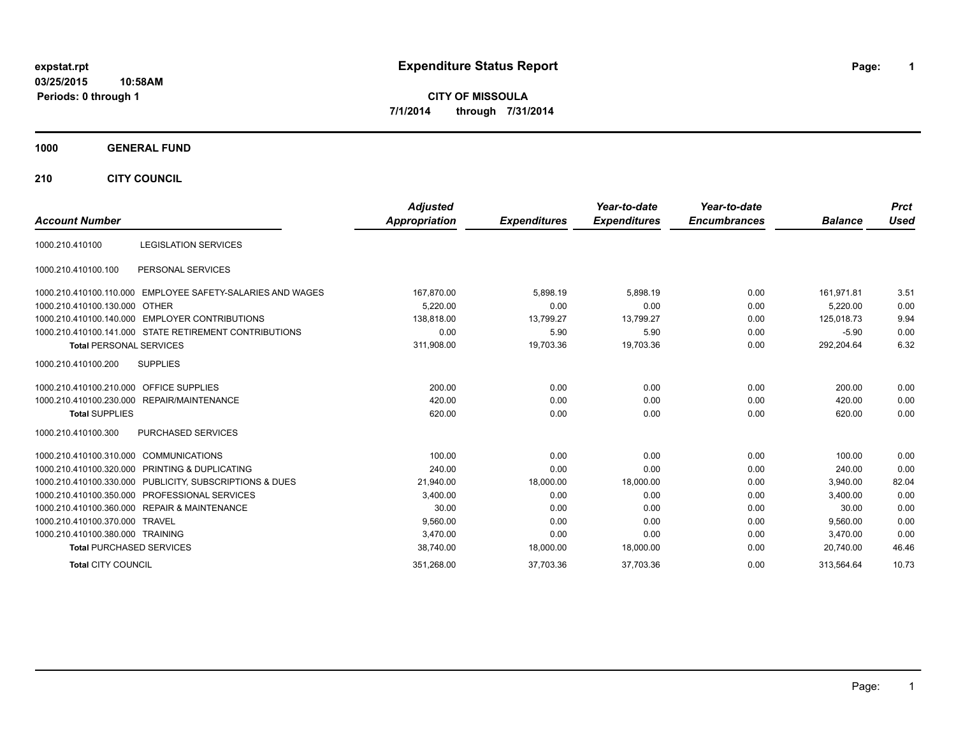### **03/25/2015 10:58AM Periods: 0 through 1**

# **expstat.rpt Expenditure Status Report Page:**

**1**

**CITY OF MISSOULA 7/1/2014 through 7/31/2014**

#### **1000 GENERAL FUND**

**210 CITY COUNCIL**

|                                                               | <b>Adjusted</b>      |                     | Year-to-date        | Year-to-date        |                | <b>Prct</b> |
|---------------------------------------------------------------|----------------------|---------------------|---------------------|---------------------|----------------|-------------|
| <b>Account Number</b>                                         | <b>Appropriation</b> | <b>Expenditures</b> | <b>Expenditures</b> | <b>Encumbrances</b> | <b>Balance</b> | <b>Used</b> |
| <b>LEGISLATION SERVICES</b><br>1000.210.410100                |                      |                     |                     |                     |                |             |
| PERSONAL SERVICES<br>1000.210.410100.100                      |                      |                     |                     |                     |                |             |
| EMPLOYEE SAFETY-SALARIES AND WAGES<br>1000.210.410100.110.000 | 167,870.00           | 5.898.19            | 5.898.19            | 0.00                | 161.971.81     | 3.51        |
| 1000.210.410100.130.000 OTHER                                 | 5.220.00             | 0.00                | 0.00                | 0.00                | 5.220.00       | 0.00        |
| 1000.210.410100.140.000 EMPLOYER CONTRIBUTIONS                | 138,818.00           | 13,799.27           | 13,799.27           | 0.00                | 125,018.73     | 9.94        |
| 1000.210.410100.141.000 STATE RETIREMENT CONTRIBUTIONS        | 0.00                 | 5.90                | 5.90                | 0.00                | $-5.90$        | 0.00        |
| <b>Total PERSONAL SERVICES</b>                                | 311,908.00           | 19,703.36           | 19,703.36           | 0.00                | 292,204.64     | 6.32        |
| 1000.210.410100.200<br><b>SUPPLIES</b>                        |                      |                     |                     |                     |                |             |
| <b>OFFICE SUPPLIES</b><br>1000.210.410100.210.000             | 200.00               | 0.00                | 0.00                | 0.00                | 200.00         | 0.00        |
| 1000.210.410100.230.000 REPAIR/MAINTENANCE                    | 420.00               | 0.00                | 0.00                | 0.00                | 420.00         | 0.00        |
| <b>Total SUPPLIES</b>                                         | 620.00               | 0.00                | 0.00                | 0.00                | 620.00         | 0.00        |
| PURCHASED SERVICES<br>1000.210.410100.300                     |                      |                     |                     |                     |                |             |
| <b>COMMUNICATIONS</b><br>1000.210.410100.310.000              | 100.00               | 0.00                | 0.00                | 0.00                | 100.00         | 0.00        |
| 1000.210.410100.320.000 PRINTING & DUPLICATING                | 240.00               | 0.00                | 0.00                | 0.00                | 240.00         | 0.00        |
| 1000.210.410100.330.000 PUBLICITY, SUBSCRIPTIONS & DUES       | 21,940.00            | 18,000.00           | 18,000.00           | 0.00                | 3.940.00       | 82.04       |
| 1000.210.410100.350.000 PROFESSIONAL SERVICES                 | 3.400.00             | 0.00                | 0.00                | 0.00                | 3.400.00       | 0.00        |
| 1000.210.410100.360.000 REPAIR & MAINTENANCE                  | 30.00                | 0.00                | 0.00                | 0.00                | 30.00          | 0.00        |
| 1000.210.410100.370.000 TRAVEL                                | 9,560.00             | 0.00                | 0.00                | 0.00                | 9,560.00       | 0.00        |
| 1000.210.410100.380.000 TRAINING                              | 3.470.00             | 0.00                | 0.00                | 0.00                | 3,470.00       | 0.00        |
| <b>Total PURCHASED SERVICES</b>                               | 38,740.00            | 18,000.00           | 18,000.00           | 0.00                | 20,740.00      | 46.46       |
| <b>Total CITY COUNCIL</b>                                     | 351,268.00           | 37,703.36           | 37,703.36           | 0.00                | 313.564.64     | 10.73       |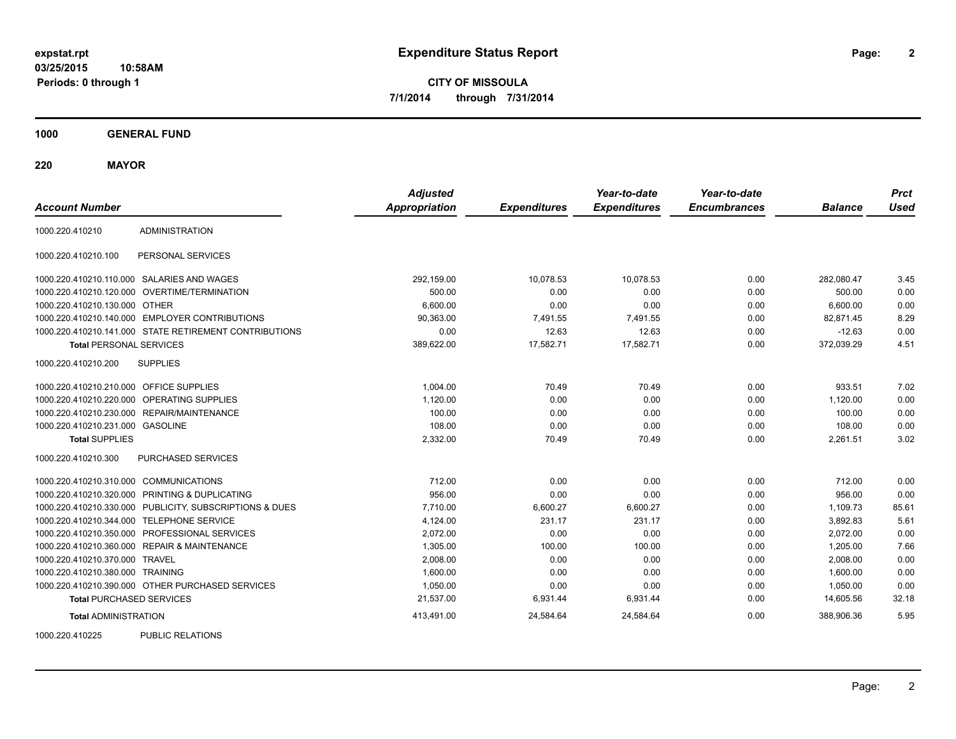**03/25/2015 10:58AM Periods: 0 through 1**

**CITY OF MISSOULA 7/1/2014 through 7/31/2014**

**1000 GENERAL FUND**

**220 MAYOR**

| <b>Account Number</b>                   |                                                         | <b>Adjusted</b><br><b>Appropriation</b> | <b>Expenditures</b> | Year-to-date<br><b>Expenditures</b> | Year-to-date<br><b>Encumbrances</b> | <b>Balance</b> | <b>Prct</b><br><b>Used</b> |
|-----------------------------------------|---------------------------------------------------------|-----------------------------------------|---------------------|-------------------------------------|-------------------------------------|----------------|----------------------------|
| 1000.220.410210                         | <b>ADMINISTRATION</b>                                   |                                         |                     |                                     |                                     |                |                            |
| 1000.220.410210.100                     | PERSONAL SERVICES                                       |                                         |                     |                                     |                                     |                |                            |
|                                         | 1000.220.410210.110.000 SALARIES AND WAGES              | 292,159.00                              | 10.078.53           | 10.078.53                           | 0.00                                | 282,080.47     | 3.45                       |
| 1000.220.410210.120.000                 | OVERTIME/TERMINATION                                    | 500.00                                  | 0.00                | 0.00                                | 0.00                                | 500.00         | 0.00                       |
| 1000.220.410210.130.000 OTHER           |                                                         | 6,600.00                                | 0.00                | 0.00                                | 0.00                                | 6,600.00       | 0.00                       |
|                                         | 1000.220.410210.140.000 EMPLOYER CONTRIBUTIONS          | 90,363.00                               | 7,491.55            | 7.491.55                            | 0.00                                | 82.871.45      | 8.29                       |
|                                         | 1000.220.410210.141.000 STATE RETIREMENT CONTRIBUTIONS  | 0.00                                    | 12.63               | 12.63                               | 0.00                                | $-12.63$       | 0.00                       |
| <b>Total PERSONAL SERVICES</b>          |                                                         | 389,622.00                              | 17,582.71           | 17,582.71                           | 0.00                                | 372,039.29     | 4.51                       |
| 1000.220.410210.200                     | <b>SUPPLIES</b>                                         |                                         |                     |                                     |                                     |                |                            |
| 1000.220.410210.210.000 OFFICE SUPPLIES |                                                         | 1,004.00                                | 70.49               | 70.49                               | 0.00                                | 933.51         | 7.02                       |
|                                         | 1000.220.410210.220.000 OPERATING SUPPLIES              | 1,120.00                                | 0.00                | 0.00                                | 0.00                                | 1,120.00       | 0.00                       |
|                                         | 1000.220.410210.230.000 REPAIR/MAINTENANCE              | 100.00                                  | 0.00                | 0.00                                | 0.00                                | 100.00         | 0.00                       |
| 1000.220.410210.231.000 GASOLINE        |                                                         | 108.00                                  | 0.00                | 0.00                                | 0.00                                | 108.00         | 0.00                       |
| <b>Total SUPPLIES</b>                   |                                                         | 2,332.00                                | 70.49               | 70.49                               | 0.00                                | 2,261.51       | 3.02                       |
| 1000.220.410210.300                     | <b>PURCHASED SERVICES</b>                               |                                         |                     |                                     |                                     |                |                            |
| 1000.220.410210.310.000 COMMUNICATIONS  |                                                         | 712.00                                  | 0.00                | 0.00                                | 0.00                                | 712.00         | 0.00                       |
|                                         | 1000.220.410210.320.000 PRINTING & DUPLICATING          | 956.00                                  | 0.00                | 0.00                                | 0.00                                | 956.00         | 0.00                       |
|                                         | 1000.220.410210.330.000 PUBLICITY, SUBSCRIPTIONS & DUES | 7.710.00                                | 6.600.27            | 6.600.27                            | 0.00                                | 1.109.73       | 85.61                      |
|                                         | 1000.220.410210.344.000 TELEPHONE SERVICE               | 4,124.00                                | 231.17              | 231.17                              | 0.00                                | 3,892.83       | 5.61                       |
|                                         | 1000.220.410210.350.000 PROFESSIONAL SERVICES           | 2,072.00                                | 0.00                | 0.00                                | 0.00                                | 2,072.00       | 0.00                       |
|                                         | 1000.220.410210.360.000 REPAIR & MAINTENANCE            | 1,305.00                                | 100.00              | 100.00                              | 0.00                                | 1,205.00       | 7.66                       |
| 1000.220.410210.370.000 TRAVEL          |                                                         | 2,008.00                                | 0.00                | 0.00                                | 0.00                                | 2,008.00       | 0.00                       |
| 1000.220.410210.380.000 TRAINING        |                                                         | 1.600.00                                | 0.00                | 0.00                                | 0.00                                | 1,600.00       | 0.00                       |
|                                         | 1000.220.410210.390.000 OTHER PURCHASED SERVICES        | 1,050.00                                | 0.00                | 0.00                                | 0.00                                | 1,050.00       | 0.00                       |
| <b>Total PURCHASED SERVICES</b>         |                                                         | 21,537.00                               | 6,931.44            | 6,931.44                            | 0.00                                | 14,605.56      | 32.18                      |
| <b>Total ADMINISTRATION</b>             |                                                         | 413,491.00                              | 24,584.64           | 24,584.64                           | 0.00                                | 388.906.36     | 5.95                       |
| 1000.220.110225                         | DUDLIC DEL ATIONIC                                      |                                         |                     |                                     |                                     |                |                            |

1000.220.410225 PUBLIC RELATIONS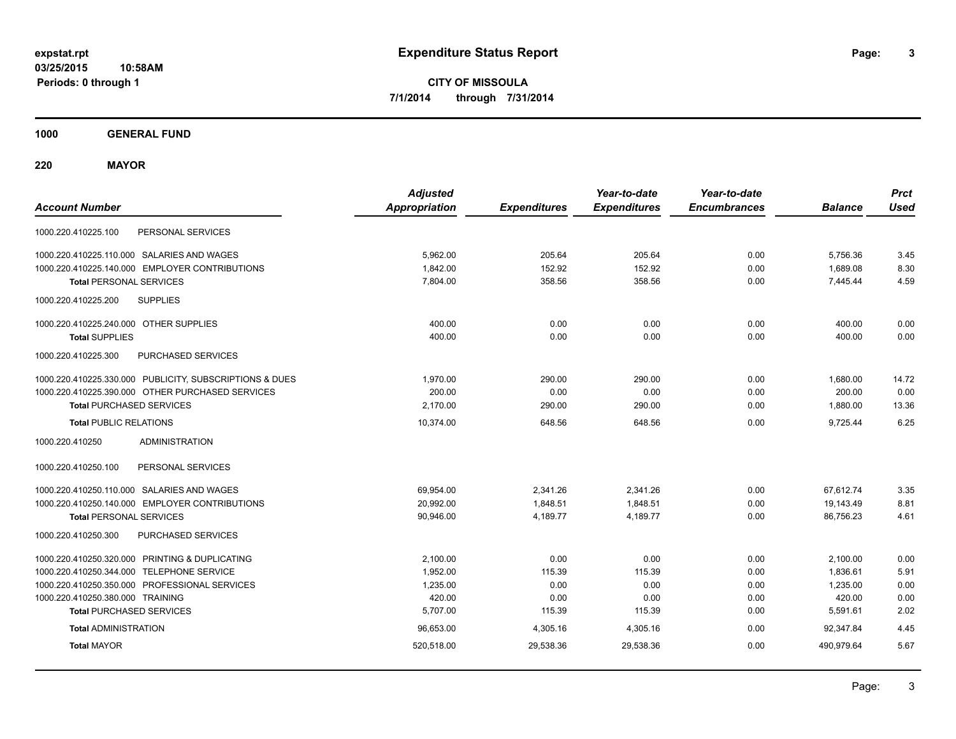**1000 GENERAL FUND**

**220 MAYOR**

| <b>Account Number</b>                                   | <b>Adjusted</b><br><b>Appropriation</b> | <b>Expenditures</b> | Year-to-date<br><b>Expenditures</b> | Year-to-date<br><b>Encumbrances</b> | <b>Balance</b> | <b>Prct</b><br><b>Used</b> |
|---------------------------------------------------------|-----------------------------------------|---------------------|-------------------------------------|-------------------------------------|----------------|----------------------------|
| PERSONAL SERVICES<br>1000.220.410225.100                |                                         |                     |                                     |                                     |                |                            |
| 1000.220.410225.110.000 SALARIES AND WAGES              | 5,962.00                                | 205.64              | 205.64                              | 0.00                                | 5,756.36       | 3.45                       |
| 1000.220.410225.140.000 EMPLOYER CONTRIBUTIONS          | 1,842.00                                | 152.92              | 152.92                              | 0.00                                | 1,689.08       | 8.30                       |
| <b>Total PERSONAL SERVICES</b>                          | 7.804.00                                | 358.56              | 358.56                              | 0.00                                | 7.445.44       | 4.59                       |
| 1000.220.410225.200<br><b>SUPPLIES</b>                  |                                         |                     |                                     |                                     |                |                            |
| 1000.220.410225.240.000 OTHER SUPPLIES                  | 400.00                                  | 0.00                | 0.00                                | 0.00                                | 400.00         | 0.00                       |
| <b>Total SUPPLIES</b>                                   | 400.00                                  | 0.00                | 0.00                                | 0.00                                | 400.00         | 0.00                       |
| PURCHASED SERVICES<br>1000.220.410225.300               |                                         |                     |                                     |                                     |                |                            |
| 1000.220.410225.330.000 PUBLICITY, SUBSCRIPTIONS & DUES | 1,970.00                                | 290.00              | 290.00                              | 0.00                                | 1,680.00       | 14.72                      |
| 1000.220.410225.390.000 OTHER PURCHASED SERVICES        | 200.00                                  | 0.00                | 0.00                                | 0.00                                | 200.00         | 0.00                       |
| <b>Total PURCHASED SERVICES</b>                         | 2,170.00                                | 290.00              | 290.00                              | 0.00                                | 1,880.00       | 13.36                      |
| <b>Total PUBLIC RELATIONS</b>                           | 10.374.00                               | 648.56              | 648.56                              | 0.00                                | 9.725.44       | 6.25                       |
| <b>ADMINISTRATION</b><br>1000.220.410250                |                                         |                     |                                     |                                     |                |                            |
| PERSONAL SERVICES<br>1000.220.410250.100                |                                         |                     |                                     |                                     |                |                            |
| 1000.220.410250.110.000 SALARIES AND WAGES              | 69,954.00                               | 2,341.26            | 2,341.26                            | 0.00                                | 67,612.74      | 3.35                       |
| 1000.220.410250.140.000 EMPLOYER CONTRIBUTIONS          | 20,992.00                               | 1,848.51            | 1,848.51                            | 0.00                                | 19,143.49      | 8.81                       |
| <b>Total PERSONAL SERVICES</b>                          | 90,946.00                               | 4,189.77            | 4,189.77                            | 0.00                                | 86,756.23      | 4.61                       |
| PURCHASED SERVICES<br>1000.220.410250.300               |                                         |                     |                                     |                                     |                |                            |
| 1000.220.410250.320.000 PRINTING & DUPLICATING          | 2,100.00                                | 0.00                | 0.00                                | 0.00                                | 2,100.00       | 0.00                       |
| 1000.220.410250.344.000 TELEPHONE SERVICE               | 1,952.00                                | 115.39              | 115.39                              | 0.00                                | 1,836.61       | 5.91                       |
| 1000.220.410250.350.000 PROFESSIONAL SERVICES           | 1,235.00                                | 0.00                | 0.00                                | 0.00                                | 1,235.00       | 0.00                       |
| 1000.220.410250.380.000 TRAINING                        | 420.00                                  | 0.00                | 0.00                                | 0.00                                | 420.00         | 0.00                       |
| <b>Total PURCHASED SERVICES</b>                         | 5,707.00                                | 115.39              | 115.39                              | 0.00                                | 5,591.61       | 2.02                       |
| <b>Total ADMINISTRATION</b>                             | 96,653.00                               | 4,305.16            | 4,305.16                            | 0.00                                | 92.347.84      | 4.45                       |
| <b>Total MAYOR</b>                                      | 520,518.00                              | 29,538.36           | 29,538.36                           | 0.00                                | 490,979.64     | 5.67                       |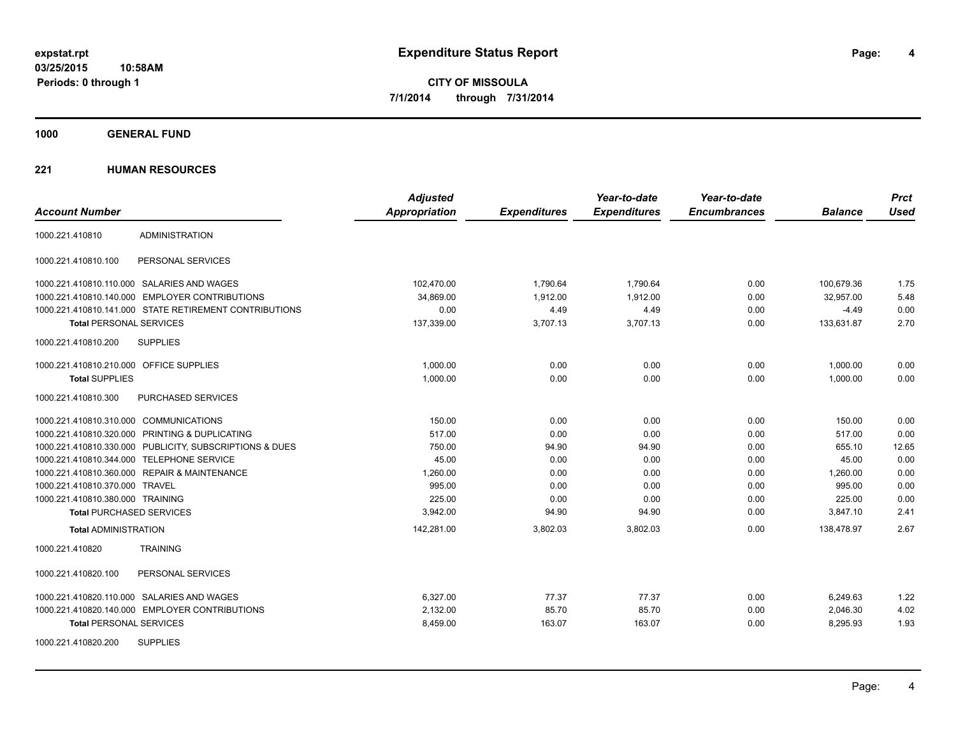**4**

**CITY OF MISSOULA 7/1/2014 through 7/31/2014**

**1000 GENERAL FUND**

|                                                         | <b>Adjusted</b>      |                     | Year-to-date        | Year-to-date        |                | <b>Prct</b> |
|---------------------------------------------------------|----------------------|---------------------|---------------------|---------------------|----------------|-------------|
| <b>Account Number</b>                                   | <b>Appropriation</b> | <b>Expenditures</b> | <b>Expenditures</b> | <b>Encumbrances</b> | <b>Balance</b> | <b>Used</b> |
| <b>ADMINISTRATION</b><br>1000.221.410810                |                      |                     |                     |                     |                |             |
| 1000.221.410810.100<br>PERSONAL SERVICES                |                      |                     |                     |                     |                |             |
| 1000.221.410810.110.000 SALARIES AND WAGES              | 102,470.00           | 1,790.64            | 1,790.64            | 0.00                | 100,679.36     | 1.75        |
| 1000.221.410810.140.000 EMPLOYER CONTRIBUTIONS          | 34.869.00            | 1,912.00            | 1.912.00            | 0.00                | 32.957.00      | 5.48        |
| 1000.221.410810.141.000 STATE RETIREMENT CONTRIBUTIONS  | 0.00                 | 4.49                | 4.49                | 0.00                | $-4.49$        | 0.00        |
| <b>Total PERSONAL SERVICES</b>                          | 137,339.00           | 3,707.13            | 3,707.13            | 0.00                | 133,631.87     | 2.70        |
| 1000.221.410810.200<br><b>SUPPLIES</b>                  |                      |                     |                     |                     |                |             |
| 1000.221.410810.210.000 OFFICE SUPPLIES                 | 1.000.00             | 0.00                | 0.00                | 0.00                | 1,000.00       | 0.00        |
| <b>Total SUPPLIES</b>                                   | 1,000.00             | 0.00                | 0.00                | 0.00                | 1,000.00       | 0.00        |
| PURCHASED SERVICES<br>1000.221.410810.300               |                      |                     |                     |                     |                |             |
| 1000.221.410810.310.000 COMMUNICATIONS                  | 150.00               | 0.00                | 0.00                | 0.00                | 150.00         | 0.00        |
| 1000.221.410810.320.000 PRINTING & DUPLICATING          | 517.00               | 0.00                | 0.00                | 0.00                | 517.00         | 0.00        |
| 1000.221.410810.330.000 PUBLICITY, SUBSCRIPTIONS & DUES | 750.00               | 94.90               | 94.90               | 0.00                | 655.10         | 12.65       |
| 1000.221.410810.344.000 TELEPHONE SERVICE               | 45.00                | 0.00                | 0.00                | 0.00                | 45.00          | 0.00        |
| 1000.221.410810.360.000 REPAIR & MAINTENANCE            | 1,260.00             | 0.00                | 0.00                | 0.00                | 1,260.00       | 0.00        |
| 1000.221.410810.370.000 TRAVEL                          | 995.00               | 0.00                | 0.00                | 0.00                | 995.00         | 0.00        |
| 1000.221.410810.380.000 TRAINING                        | 225.00               | 0.00                | 0.00                | 0.00                | 225.00         | 0.00        |
| <b>Total PURCHASED SERVICES</b>                         | 3,942.00             | 94.90               | 94.90               | 0.00                | 3,847.10       | 2.41        |
| <b>Total ADMINISTRATION</b>                             | 142,281.00           | 3,802.03            | 3,802.03            | 0.00                | 138,478.97     | 2.67        |
| 1000.221.410820<br><b>TRAINING</b>                      |                      |                     |                     |                     |                |             |
| 1000.221.410820.100<br>PERSONAL SERVICES                |                      |                     |                     |                     |                |             |
| 1000.221.410820.110.000 SALARIES AND WAGES              | 6,327.00             | 77.37               | 77.37               | 0.00                | 6,249.63       | 1.22        |
| 1000.221.410820.140.000 EMPLOYER CONTRIBUTIONS          | 2,132.00             | 85.70               | 85.70               | 0.00                | 2,046.30       | 4.02        |
| <b>Total PERSONAL SERVICES</b>                          | 8,459.00             | 163.07              | 163.07              | 0.00                | 8,295.93       | 1.93        |
| <b>SUPPLIES</b><br>1000.221.410820.200                  |                      |                     |                     |                     |                |             |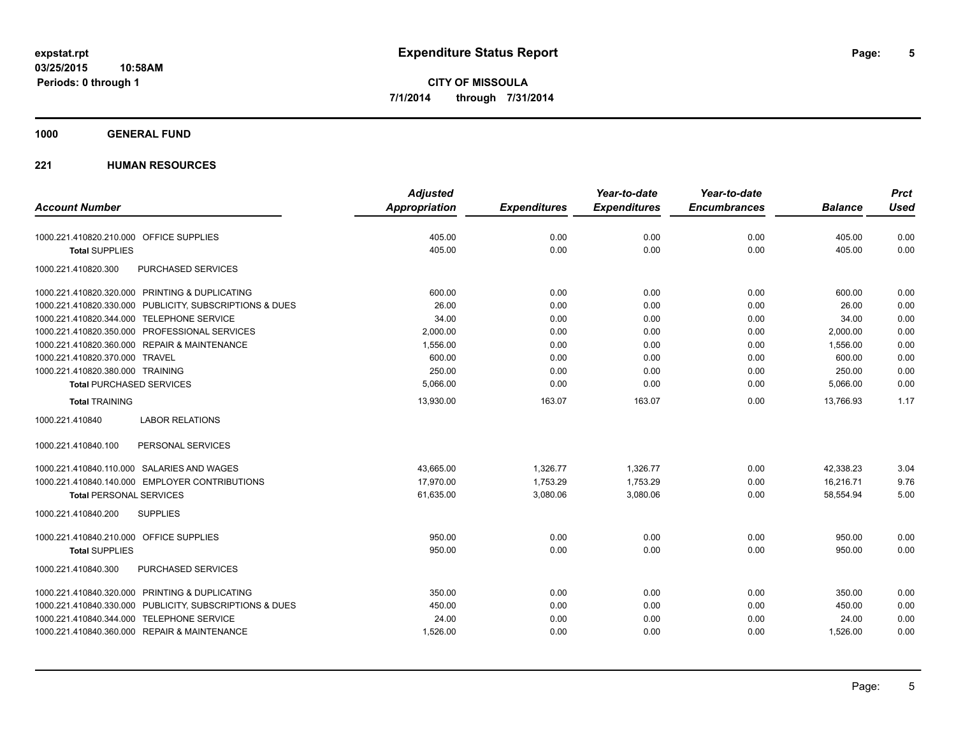#### **1000 GENERAL FUND**

|                                                         | <b>Adjusted</b> |                     | Year-to-date        | Year-to-date        |                | <b>Prct</b> |
|---------------------------------------------------------|-----------------|---------------------|---------------------|---------------------|----------------|-------------|
| <b>Account Number</b>                                   | Appropriation   | <b>Expenditures</b> | <b>Expenditures</b> | <b>Encumbrances</b> | <b>Balance</b> | <b>Used</b> |
| 1000.221.410820.210.000 OFFICE SUPPLIES                 | 405.00          | 0.00                | 0.00                | 0.00                | 405.00         | 0.00        |
| <b>Total SUPPLIES</b>                                   | 405.00          | 0.00                | 0.00                | 0.00                | 405.00         | 0.00        |
| 1000.221.410820.300<br><b>PURCHASED SERVICES</b>        |                 |                     |                     |                     |                |             |
| 1000.221.410820.320.000 PRINTING & DUPLICATING          | 600.00          | 0.00                | 0.00                | 0.00                | 600.00         | 0.00        |
| 1000.221.410820.330.000 PUBLICITY, SUBSCRIPTIONS & DUES | 26.00           | 0.00                | 0.00                | 0.00                | 26.00          | 0.00        |
| 1000.221.410820.344.000 TELEPHONE SERVICE               | 34.00           | 0.00                | 0.00                | 0.00                | 34.00          | 0.00        |
| 1000.221.410820.350.000 PROFESSIONAL SERVICES           | 2,000.00        | 0.00                | 0.00                | 0.00                | 2,000.00       | 0.00        |
| 1000.221.410820.360.000 REPAIR & MAINTENANCE            | 1,556.00        | 0.00                | 0.00                | 0.00                | 1,556.00       | 0.00        |
| 1000.221.410820.370.000 TRAVEL                          | 600.00          | 0.00                | 0.00                | 0.00                | 600.00         | 0.00        |
| 1000.221.410820.380.000 TRAINING                        | 250.00          | 0.00                | 0.00                | 0.00                | 250.00         | 0.00        |
| <b>Total PURCHASED SERVICES</b>                         | 5,066.00        | 0.00                | 0.00                | 0.00                | 5,066.00       | 0.00        |
| <b>Total TRAINING</b>                                   | 13,930.00       | 163.07              | 163.07              | 0.00                | 13,766.93      | 1.17        |
| 1000.221.410840<br><b>LABOR RELATIONS</b>               |                 |                     |                     |                     |                |             |
| 1000.221.410840.100<br>PERSONAL SERVICES                |                 |                     |                     |                     |                |             |
| 1000.221.410840.110.000 SALARIES AND WAGES              | 43,665.00       | 1,326.77            | 1,326.77            | 0.00                | 42,338.23      | 3.04        |
| 1000.221.410840.140.000 EMPLOYER CONTRIBUTIONS          | 17.970.00       | 1,753.29            | 1,753.29            | 0.00                | 16.216.71      | 9.76        |
| <b>Total PERSONAL SERVICES</b>                          | 61,635.00       | 3,080.06            | 3,080.06            | 0.00                | 58,554.94      | 5.00        |
| <b>SUPPLIES</b><br>1000.221.410840.200                  |                 |                     |                     |                     |                |             |
| 1000.221.410840.210.000 OFFICE SUPPLIES                 | 950.00          | 0.00                | 0.00                | 0.00                | 950.00         | 0.00        |
| <b>Total SUPPLIES</b>                                   | 950.00          | 0.00                | 0.00                | 0.00                | 950.00         | 0.00        |
| PURCHASED SERVICES<br>1000.221.410840.300               |                 |                     |                     |                     |                |             |
| 1000.221.410840.320.000 PRINTING & DUPLICATING          | 350.00          | 0.00                | 0.00                | 0.00                | 350.00         | 0.00        |
| 1000.221.410840.330.000 PUBLICITY, SUBSCRIPTIONS & DUES | 450.00          | 0.00                | 0.00                | 0.00                | 450.00         | 0.00        |
| 1000.221.410840.344.000 TELEPHONE SERVICE               | 24.00           | 0.00                | 0.00                | 0.00                | 24.00          | 0.00        |
| 1000.221.410840.360.000 REPAIR & MAINTENANCE            | 1,526.00        | 0.00                | 0.00                | 0.00                | 1,526.00       | 0.00        |
|                                                         |                 |                     |                     |                     |                |             |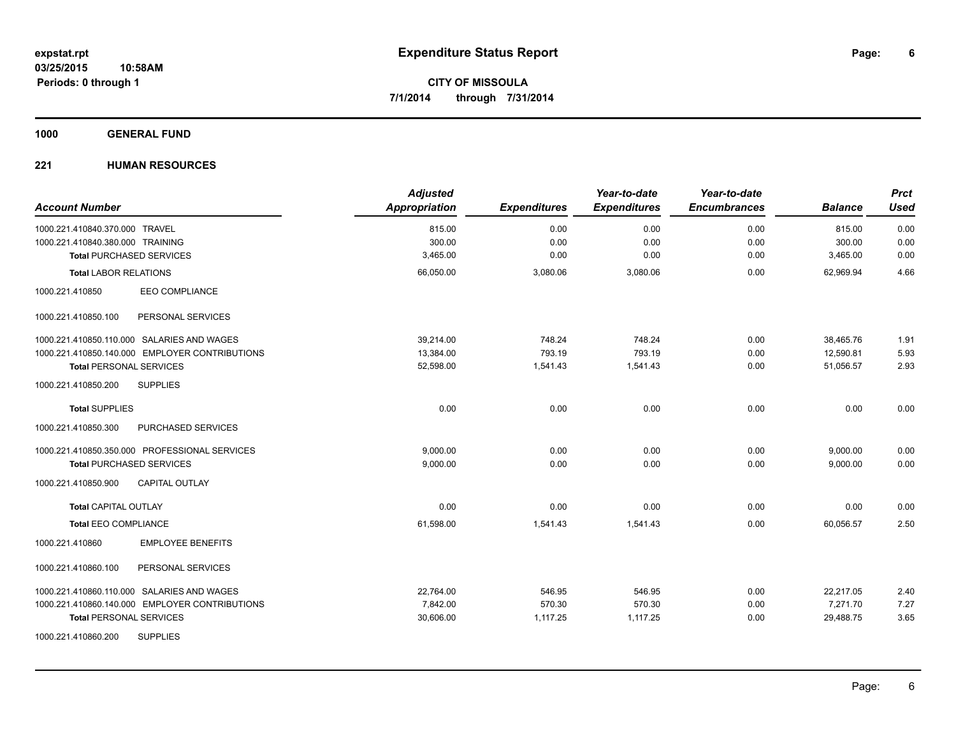**1000 GENERAL FUND**

| <b>Account Number</b>                          | <b>Adjusted</b><br>Appropriation | <b>Expenditures</b> | Year-to-date<br><b>Expenditures</b> | Year-to-date<br><b>Encumbrances</b> | <b>Balance</b> | <b>Prct</b><br><b>Used</b> |
|------------------------------------------------|----------------------------------|---------------------|-------------------------------------|-------------------------------------|----------------|----------------------------|
| 1000.221.410840.370.000 TRAVEL                 | 815.00                           | 0.00                | 0.00                                | 0.00                                | 815.00         | 0.00                       |
| 1000.221.410840.380.000 TRAINING               | 300.00                           | 0.00                | 0.00                                | 0.00                                | 300.00         | 0.00                       |
| <b>Total PURCHASED SERVICES</b>                | 3,465.00                         | 0.00                | 0.00                                | 0.00                                | 3,465.00       | 0.00                       |
| <b>Total LABOR RELATIONS</b>                   | 66,050.00                        | 3,080.06            | 3,080.06                            | 0.00                                | 62,969.94      | 4.66                       |
| <b>EEO COMPLIANCE</b><br>1000.221.410850       |                                  |                     |                                     |                                     |                |                            |
| PERSONAL SERVICES<br>1000.221.410850.100       |                                  |                     |                                     |                                     |                |                            |
| 1000.221.410850.110.000 SALARIES AND WAGES     | 39.214.00                        | 748.24              | 748.24                              | 0.00                                | 38,465.76      | 1.91                       |
| 1000.221.410850.140.000 EMPLOYER CONTRIBUTIONS | 13,384.00                        | 793.19              | 793.19                              | 0.00                                | 12,590.81      | 5.93                       |
| <b>Total PERSONAL SERVICES</b>                 | 52,598.00                        | 1,541.43            | 1,541.43                            | 0.00                                | 51.056.57      | 2.93                       |
| 1000.221.410850.200<br><b>SUPPLIES</b>         |                                  |                     |                                     |                                     |                |                            |
| <b>Total SUPPLIES</b>                          | 0.00                             | 0.00                | 0.00                                | 0.00                                | 0.00           | 0.00                       |
| 1000.221.410850.300<br>PURCHASED SERVICES      |                                  |                     |                                     |                                     |                |                            |
| 1000.221.410850.350.000 PROFESSIONAL SERVICES  | 9,000.00                         | 0.00                | 0.00                                | 0.00                                | 9,000.00       | 0.00                       |
| <b>Total PURCHASED SERVICES</b>                | 9,000.00                         | 0.00                | 0.00                                | 0.00                                | 9,000.00       | 0.00                       |
| 1000.221.410850.900<br><b>CAPITAL OUTLAY</b>   |                                  |                     |                                     |                                     |                |                            |
| <b>Total CAPITAL OUTLAY</b>                    | 0.00                             | 0.00                | 0.00                                | 0.00                                | 0.00           | 0.00                       |
| <b>Total EEO COMPLIANCE</b>                    | 61,598.00                        | 1,541.43            | 1,541.43                            | 0.00                                | 60,056.57      | 2.50                       |
| <b>EMPLOYEE BENEFITS</b><br>1000.221.410860    |                                  |                     |                                     |                                     |                |                            |
| 1000.221.410860.100<br>PERSONAL SERVICES       |                                  |                     |                                     |                                     |                |                            |
| 1000.221.410860.110.000 SALARIES AND WAGES     | 22,764.00                        | 546.95              | 546.95                              | 0.00                                | 22,217.05      | 2.40                       |
| 1000.221.410860.140.000 EMPLOYER CONTRIBUTIONS | 7,842.00                         | 570.30              | 570.30                              | 0.00                                | 7,271.70       | 7.27                       |
| <b>Total PERSONAL SERVICES</b>                 | 30,606.00                        | 1,117.25            | 1,117.25                            | 0.00                                | 29,488.75      | 3.65                       |
| <b>SUPPLIES</b><br>1000.221.410860.200         |                                  |                     |                                     |                                     |                |                            |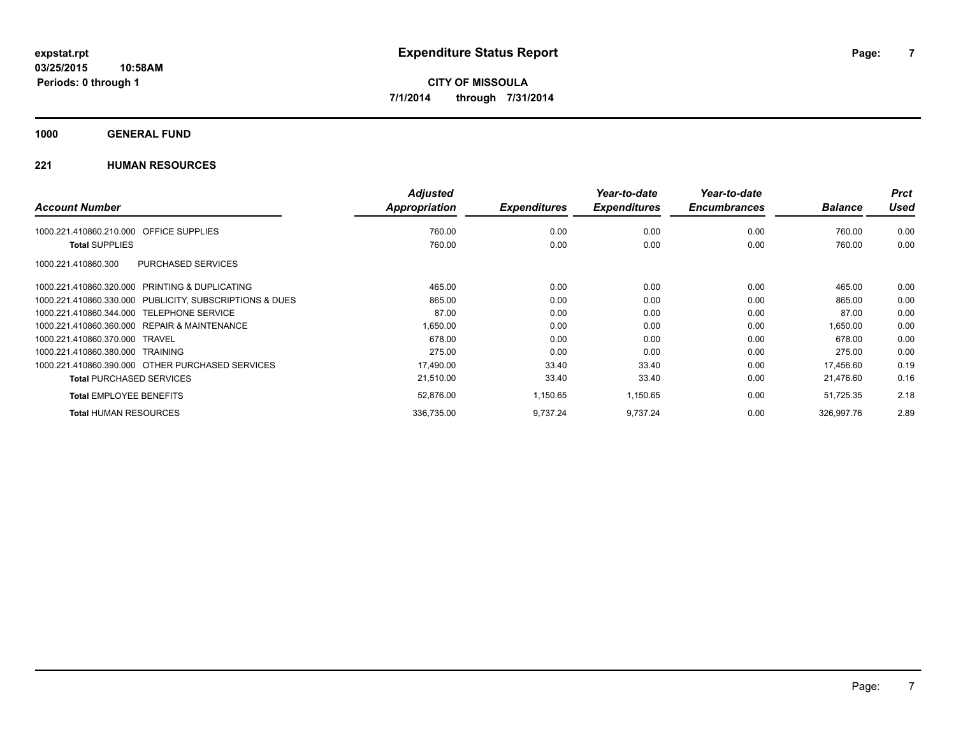#### **1000 GENERAL FUND**

|                                                         | <b>Adjusted</b>      |                     | Year-to-date        | Year-to-date        |                | <b>Prct</b> |
|---------------------------------------------------------|----------------------|---------------------|---------------------|---------------------|----------------|-------------|
| <b>Account Number</b>                                   | <b>Appropriation</b> | <b>Expenditures</b> | <b>Expenditures</b> | <b>Encumbrances</b> | <b>Balance</b> | Used        |
| 1000.221.410860.210.000<br><b>OFFICE SUPPLIES</b>       | 760.00               | 0.00                | 0.00                | 0.00                | 760.00         | 0.00        |
| <b>Total SUPPLIES</b>                                   | 760.00               | 0.00                | 0.00                | 0.00                | 760.00         | 0.00        |
| PURCHASED SERVICES<br>1000.221.410860.300               |                      |                     |                     |                     |                |             |
| 1000.221.410860.320.000 PRINTING & DUPLICATING          | 465.00               | 0.00                | 0.00                | 0.00                | 465.00         | 0.00        |
| 1000.221.410860.330.000 PUBLICITY, SUBSCRIPTIONS & DUES | 865.00               | 0.00                | 0.00                | 0.00                | 865.00         | 0.00        |
| 1000.221.410860.344.000 TELEPHONE SERVICE               | 87.00                | 0.00                | 0.00                | 0.00                | 87.00          | 0.00        |
| 1000.221.410860.360.000 REPAIR & MAINTENANCE            | 1,650.00             | 0.00                | 0.00                | 0.00                | 1,650.00       | 0.00        |
| 1000.221.410860.370.000 TRAVEL                          | 678.00               | 0.00                | 0.00                | 0.00                | 678.00         | 0.00        |
| 1000.221.410860.380.000 TRAINING                        | 275.00               | 0.00                | 0.00                | 0.00                | 275.00         | 0.00        |
| 1000.221.410860.390.000 OTHER PURCHASED SERVICES        | 17,490.00            | 33.40               | 33.40               | 0.00                | 17,456.60      | 0.19        |
| <b>Total PURCHASED SERVICES</b>                         | 21,510.00            | 33.40               | 33.40               | 0.00                | 21,476.60      | 0.16        |
| <b>Total EMPLOYEE BENEFITS</b>                          | 52,876.00            | 1,150.65            | 1,150.65            | 0.00                | 51,725.35      | 2.18        |
| <b>Total HUMAN RESOURCES</b>                            | 336,735.00           | 9,737.24            | 9,737.24            | 0.00                | 326,997.76     | 2.89        |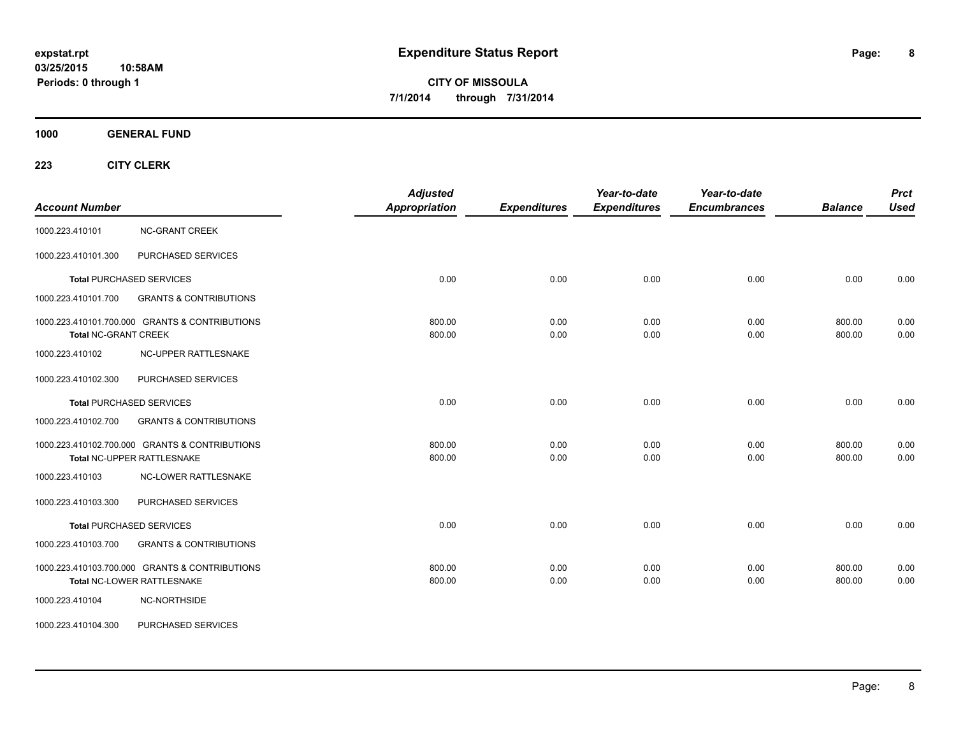**1000 GENERAL FUND**

| <b>Account Number</b>       |                                                                              | <b>Adjusted</b><br><b>Appropriation</b> | <b>Expenditures</b> | Year-to-date<br><b>Expenditures</b> | Year-to-date<br><b>Encumbrances</b> | <b>Balance</b>   | <b>Prct</b><br><b>Used</b> |
|-----------------------------|------------------------------------------------------------------------------|-----------------------------------------|---------------------|-------------------------------------|-------------------------------------|------------------|----------------------------|
| 1000.223.410101             | <b>NC-GRANT CREEK</b>                                                        |                                         |                     |                                     |                                     |                  |                            |
| 1000.223.410101.300         | PURCHASED SERVICES                                                           |                                         |                     |                                     |                                     |                  |                            |
|                             | <b>Total PURCHASED SERVICES</b>                                              | 0.00                                    | 0.00                | 0.00                                | 0.00                                | 0.00             | 0.00                       |
| 1000.223.410101.700         | <b>GRANTS &amp; CONTRIBUTIONS</b>                                            |                                         |                     |                                     |                                     |                  |                            |
| <b>Total NC-GRANT CREEK</b> | 1000.223.410101.700.000 GRANTS & CONTRIBUTIONS                               | 800.00<br>800.00                        | 0.00<br>0.00        | 0.00<br>0.00                        | 0.00<br>0.00                        | 800.00<br>800.00 | 0.00<br>0.00               |
| 1000.223.410102             | NC-UPPER RATTLESNAKE                                                         |                                         |                     |                                     |                                     |                  |                            |
| 1000.223.410102.300         | PURCHASED SERVICES                                                           |                                         |                     |                                     |                                     |                  |                            |
|                             | <b>Total PURCHASED SERVICES</b>                                              | 0.00                                    | 0.00                | 0.00                                | 0.00                                | 0.00             | 0.00                       |
| 1000.223.410102.700         | <b>GRANTS &amp; CONTRIBUTIONS</b>                                            |                                         |                     |                                     |                                     |                  |                            |
|                             | 1000.223.410102.700.000 GRANTS & CONTRIBUTIONS<br>Total NC-UPPER RATTLESNAKE | 800.00<br>800.00                        | 0.00<br>0.00        | 0.00<br>0.00                        | 0.00<br>0.00                        | 800.00<br>800.00 | 0.00<br>0.00               |
| 1000.223.410103             | <b>NC-LOWER RATTLESNAKE</b>                                                  |                                         |                     |                                     |                                     |                  |                            |
| 1000.223.410103.300         | PURCHASED SERVICES                                                           |                                         |                     |                                     |                                     |                  |                            |
|                             | <b>Total PURCHASED SERVICES</b>                                              | 0.00                                    | 0.00                | 0.00                                | 0.00                                | 0.00             | 0.00                       |
| 1000.223.410103.700         | <b>GRANTS &amp; CONTRIBUTIONS</b>                                            |                                         |                     |                                     |                                     |                  |                            |
|                             | 1000.223.410103.700.000 GRANTS & CONTRIBUTIONS<br>Total NC-LOWER RATTLESNAKE | 800.00<br>800.00                        | 0.00<br>0.00        | 0.00<br>0.00                        | 0.00<br>0.00                        | 800.00<br>800.00 | 0.00<br>0.00               |
| 1000.223.410104             | NC-NORTHSIDE                                                                 |                                         |                     |                                     |                                     |                  |                            |
| 1000.223.410104.300         | PURCHASED SERVICES                                                           |                                         |                     |                                     |                                     |                  |                            |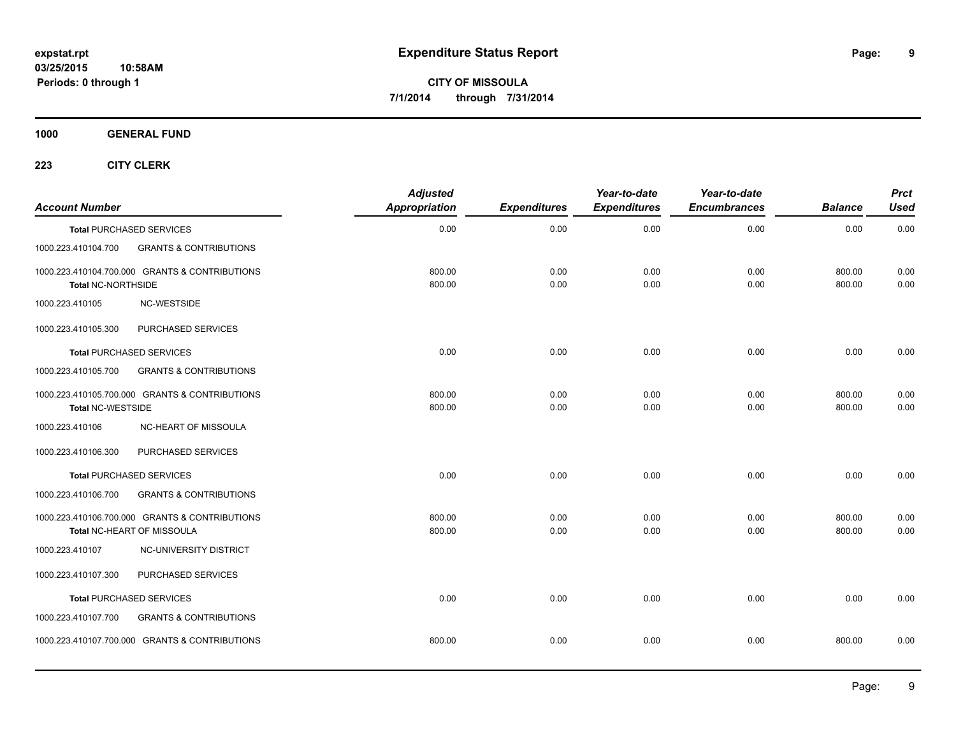**1000 GENERAL FUND**

| <b>Account Number</b>     |                                                                              | <b>Adjusted</b><br><b>Appropriation</b> | <b>Expenditures</b> | Year-to-date<br><b>Expenditures</b> | Year-to-date<br><b>Encumbrances</b> | <b>Balance</b>   | <b>Prct</b><br><b>Used</b> |
|---------------------------|------------------------------------------------------------------------------|-----------------------------------------|---------------------|-------------------------------------|-------------------------------------|------------------|----------------------------|
|                           | <b>Total PURCHASED SERVICES</b>                                              | 0.00                                    | 0.00                | 0.00                                | 0.00                                | 0.00             | 0.00                       |
| 1000.223.410104.700       | <b>GRANTS &amp; CONTRIBUTIONS</b>                                            |                                         |                     |                                     |                                     |                  |                            |
| <b>Total NC-NORTHSIDE</b> | 1000.223.410104.700.000 GRANTS & CONTRIBUTIONS                               | 800.00<br>800.00                        | 0.00<br>0.00        | 0.00<br>0.00                        | 0.00<br>0.00                        | 800.00<br>800.00 | 0.00<br>0.00               |
| 1000.223.410105           | NC-WESTSIDE                                                                  |                                         |                     |                                     |                                     |                  |                            |
| 1000.223.410105.300       | PURCHASED SERVICES                                                           |                                         |                     |                                     |                                     |                  |                            |
|                           | <b>Total PURCHASED SERVICES</b>                                              | 0.00                                    | 0.00                | 0.00                                | 0.00                                | 0.00             | 0.00                       |
| 1000.223.410105.700       | <b>GRANTS &amp; CONTRIBUTIONS</b>                                            |                                         |                     |                                     |                                     |                  |                            |
| <b>Total NC-WESTSIDE</b>  | 1000.223.410105.700.000 GRANTS & CONTRIBUTIONS                               | 800.00<br>800.00                        | 0.00<br>0.00        | 0.00<br>0.00                        | 0.00<br>0.00                        | 800.00<br>800.00 | 0.00<br>0.00               |
| 1000.223.410106           | NC-HEART OF MISSOULA                                                         |                                         |                     |                                     |                                     |                  |                            |
| 1000.223.410106.300       | PURCHASED SERVICES                                                           |                                         |                     |                                     |                                     |                  |                            |
|                           | <b>Total PURCHASED SERVICES</b>                                              | 0.00                                    | 0.00                | 0.00                                | 0.00                                | 0.00             | 0.00                       |
| 1000.223.410106.700       | <b>GRANTS &amp; CONTRIBUTIONS</b>                                            |                                         |                     |                                     |                                     |                  |                            |
|                           | 1000.223.410106.700.000 GRANTS & CONTRIBUTIONS<br>Total NC-HEART OF MISSOULA | 800.00<br>800.00                        | 0.00<br>0.00        | 0.00<br>0.00                        | 0.00<br>0.00                        | 800.00<br>800.00 | 0.00<br>0.00               |
| 1000.223.410107           | NC-UNIVERSITY DISTRICT                                                       |                                         |                     |                                     |                                     |                  |                            |
| 1000.223.410107.300       | PURCHASED SERVICES                                                           |                                         |                     |                                     |                                     |                  |                            |
|                           | <b>Total PURCHASED SERVICES</b>                                              | 0.00                                    | 0.00                | 0.00                                | 0.00                                | 0.00             | 0.00                       |
| 1000.223.410107.700       | <b>GRANTS &amp; CONTRIBUTIONS</b>                                            |                                         |                     |                                     |                                     |                  |                            |
|                           | 1000.223.410107.700.000 GRANTS & CONTRIBUTIONS                               | 800.00                                  | 0.00                | 0.00                                | 0.00                                | 800.00           | 0.00                       |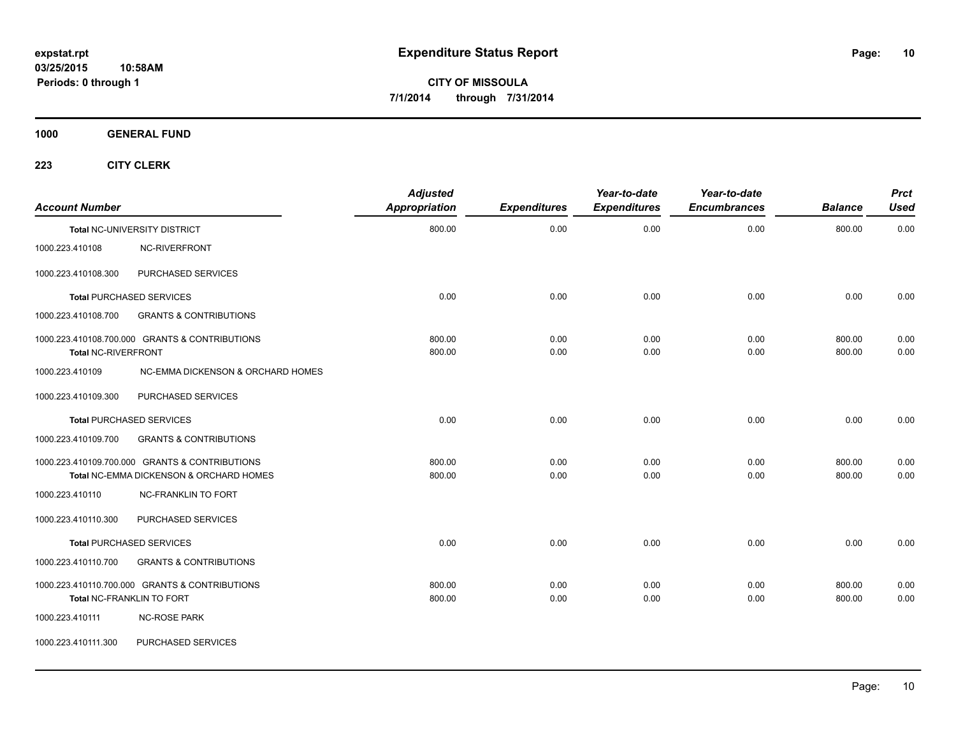**1000 GENERAL FUND**

| <b>Account Number</b>      |                                                                                           | <b>Adjusted</b><br><b>Appropriation</b> | <b>Expenditures</b> | Year-to-date<br><b>Expenditures</b> | Year-to-date<br><b>Encumbrances</b> | <b>Balance</b>   | <b>Prct</b><br><b>Used</b> |
|----------------------------|-------------------------------------------------------------------------------------------|-----------------------------------------|---------------------|-------------------------------------|-------------------------------------|------------------|----------------------------|
|                            | Total NC-UNIVERSITY DISTRICT                                                              | 800.00                                  | 0.00                | 0.00                                | 0.00                                | 800.00           | 0.00                       |
| 1000.223.410108            | NC-RIVERFRONT                                                                             |                                         |                     |                                     |                                     |                  |                            |
| 1000.223.410108.300        | PURCHASED SERVICES                                                                        |                                         |                     |                                     |                                     |                  |                            |
|                            | <b>Total PURCHASED SERVICES</b>                                                           | 0.00                                    | 0.00                | 0.00                                | 0.00                                | 0.00             | 0.00                       |
| 1000.223.410108.700        | <b>GRANTS &amp; CONTRIBUTIONS</b>                                                         |                                         |                     |                                     |                                     |                  |                            |
| <b>Total NC-RIVERFRONT</b> | 1000.223.410108.700.000 GRANTS & CONTRIBUTIONS                                            | 800.00<br>800.00                        | 0.00<br>0.00        | 0.00<br>0.00                        | 0.00<br>0.00                        | 800.00<br>800.00 | 0.00<br>0.00               |
| 1000.223.410109            | NC-EMMA DICKENSON & ORCHARD HOMES                                                         |                                         |                     |                                     |                                     |                  |                            |
| 1000.223.410109.300        | PURCHASED SERVICES                                                                        |                                         |                     |                                     |                                     |                  |                            |
|                            | <b>Total PURCHASED SERVICES</b>                                                           | 0.00                                    | 0.00                | 0.00                                | 0.00                                | 0.00             | 0.00                       |
| 1000.223.410109.700        | <b>GRANTS &amp; CONTRIBUTIONS</b>                                                         |                                         |                     |                                     |                                     |                  |                            |
|                            | 1000.223.410109.700.000 GRANTS & CONTRIBUTIONS<br>Total NC-EMMA DICKENSON & ORCHARD HOMES | 800.00<br>800.00                        | 0.00<br>0.00        | 0.00<br>0.00                        | 0.00<br>0.00                        | 800.00<br>800.00 | 0.00<br>0.00               |
| 1000.223.410110            | <b>NC-FRANKLIN TO FORT</b>                                                                |                                         |                     |                                     |                                     |                  |                            |
| 1000.223.410110.300        | PURCHASED SERVICES                                                                        |                                         |                     |                                     |                                     |                  |                            |
|                            | <b>Total PURCHASED SERVICES</b>                                                           | 0.00                                    | 0.00                | 0.00                                | 0.00                                | 0.00             | 0.00                       |
| 1000.223.410110.700        | <b>GRANTS &amp; CONTRIBUTIONS</b>                                                         |                                         |                     |                                     |                                     |                  |                            |
|                            | 1000.223.410110.700.000 GRANTS & CONTRIBUTIONS<br>Total NC-FRANKLIN TO FORT               | 800.00<br>800.00                        | 0.00<br>0.00        | 0.00<br>0.00                        | 0.00<br>0.00                        | 800.00<br>800.00 | 0.00<br>0.00               |
| 1000.223.410111            | <b>NC-ROSE PARK</b>                                                                       |                                         |                     |                                     |                                     |                  |                            |
| 1000.223.410111.300        | PURCHASED SERVICES                                                                        |                                         |                     |                                     |                                     |                  |                            |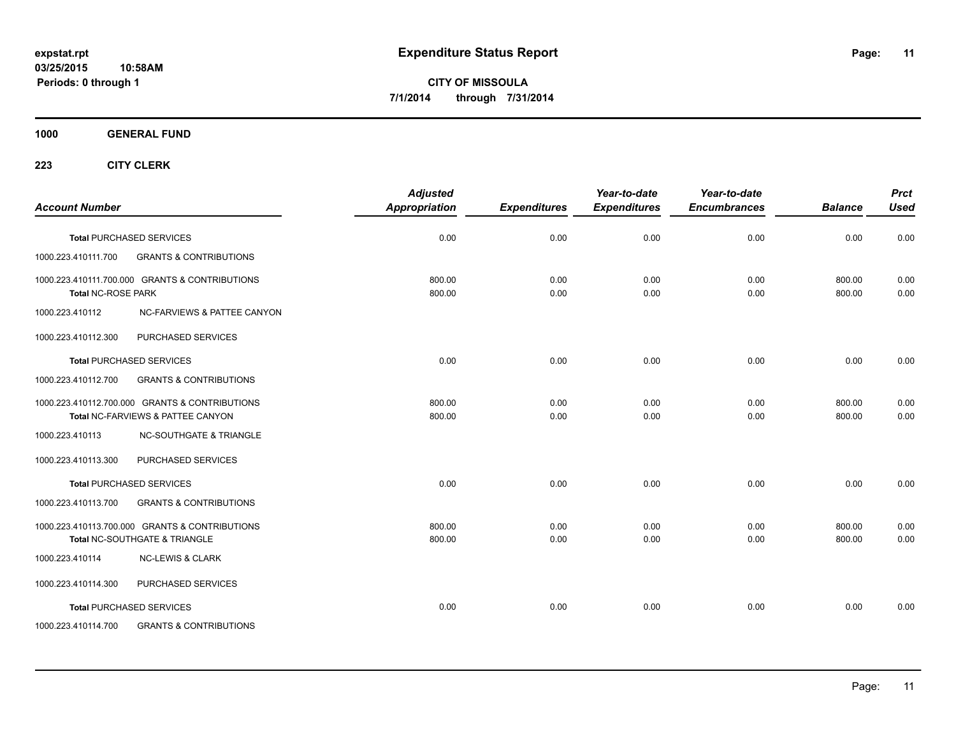#### **1000 GENERAL FUND**

| <b>Account Number</b>                                                               | <b>Adjusted</b><br>Appropriation | <b>Expenditures</b> | Year-to-date<br><b>Expenditures</b> | Year-to-date<br><b>Encumbrances</b> | <b>Balance</b>   | <b>Prct</b><br><b>Used</b> |
|-------------------------------------------------------------------------------------|----------------------------------|---------------------|-------------------------------------|-------------------------------------|------------------|----------------------------|
| <b>Total PURCHASED SERVICES</b>                                                     | 0.00                             | 0.00                | 0.00                                | 0.00                                | 0.00             | 0.00                       |
| <b>GRANTS &amp; CONTRIBUTIONS</b><br>1000.223.410111.700                            |                                  |                     |                                     |                                     |                  |                            |
| 1000.223.410111.700.000 GRANTS & CONTRIBUTIONS<br><b>Total NC-ROSE PARK</b>         | 800.00<br>800.00                 | 0.00<br>0.00        | 0.00<br>0.00                        | 0.00<br>0.00                        | 800.00<br>800.00 | 0.00<br>0.00               |
| 1000.223.410112<br>NC-FARVIEWS & PATTEE CANYON                                      |                                  |                     |                                     |                                     |                  |                            |
| PURCHASED SERVICES<br>1000.223.410112.300                                           |                                  |                     |                                     |                                     |                  |                            |
| <b>Total PURCHASED SERVICES</b>                                                     | 0.00                             | 0.00                | 0.00                                | 0.00                                | 0.00             | 0.00                       |
| <b>GRANTS &amp; CONTRIBUTIONS</b><br>1000.223.410112.700                            |                                  |                     |                                     |                                     |                  |                            |
| 1000.223.410112.700.000 GRANTS & CONTRIBUTIONS<br>Total NC-FARVIEWS & PATTEE CANYON | 800.00<br>800.00                 | 0.00<br>0.00        | 0.00<br>0.00                        | 0.00<br>0.00                        | 800.00<br>800.00 | 0.00<br>0.00               |
| <b>NC-SOUTHGATE &amp; TRIANGLE</b><br>1000.223.410113                               |                                  |                     |                                     |                                     |                  |                            |
| PURCHASED SERVICES<br>1000.223.410113.300                                           |                                  |                     |                                     |                                     |                  |                            |
| <b>Total PURCHASED SERVICES</b>                                                     | 0.00                             | 0.00                | 0.00                                | 0.00                                | 0.00             | 0.00                       |
| 1000.223.410113.700<br><b>GRANTS &amp; CONTRIBUTIONS</b>                            |                                  |                     |                                     |                                     |                  |                            |
| 1000.223.410113.700.000 GRANTS & CONTRIBUTIONS<br>Total NC-SOUTHGATE & TRIANGLE     | 800.00<br>800.00                 | 0.00<br>0.00        | 0.00<br>0.00                        | 0.00<br>0.00                        | 800.00<br>800.00 | 0.00<br>0.00               |
| 1000.223.410114<br><b>NC-LEWIS &amp; CLARK</b>                                      |                                  |                     |                                     |                                     |                  |                            |
| 1000.223.410114.300<br>PURCHASED SERVICES                                           |                                  |                     |                                     |                                     |                  |                            |
| <b>Total PURCHASED SERVICES</b>                                                     | 0.00                             | 0.00                | 0.00                                | 0.00                                | 0.00             | 0.00                       |
| 1000.223.410114.700<br><b>GRANTS &amp; CONTRIBUTIONS</b>                            |                                  |                     |                                     |                                     |                  |                            |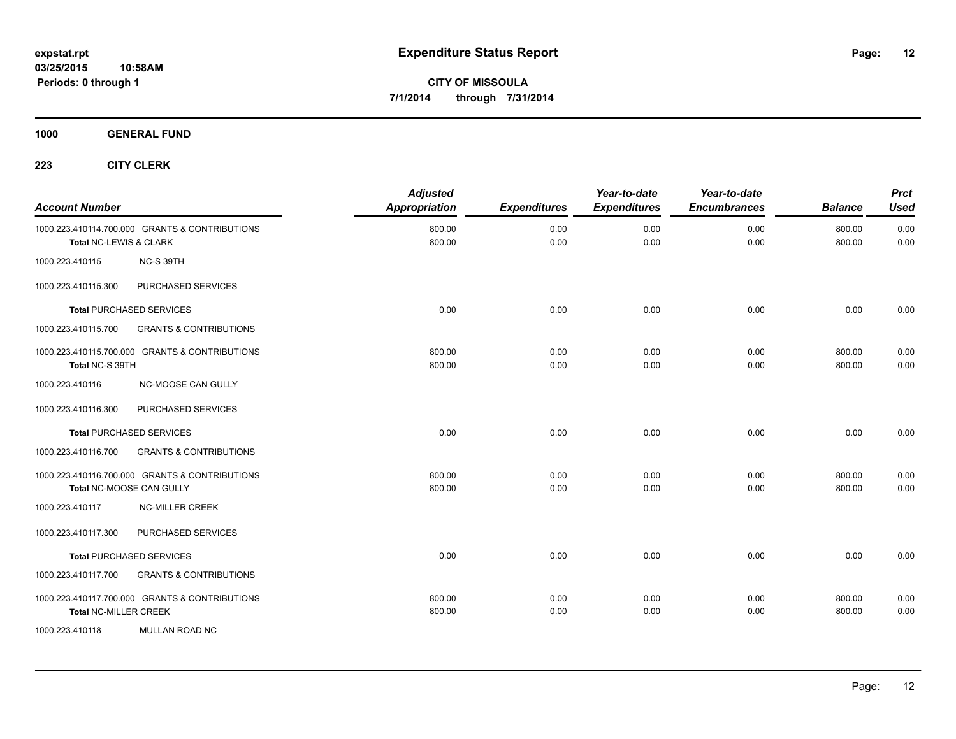**1000 GENERAL FUND**

| <b>Account Number</b>        |                                                                            | <b>Adjusted</b><br>Appropriation | <b>Expenditures</b> | Year-to-date<br><b>Expenditures</b> | Year-to-date<br><b>Encumbrances</b> | <b>Balance</b>   | <b>Prct</b><br><b>Used</b> |
|------------------------------|----------------------------------------------------------------------------|----------------------------------|---------------------|-------------------------------------|-------------------------------------|------------------|----------------------------|
| Total NC-LEWIS & CLARK       | 1000.223.410114.700.000 GRANTS & CONTRIBUTIONS                             | 800.00<br>800.00                 | 0.00<br>0.00        | 0.00<br>0.00                        | 0.00<br>0.00                        | 800.00<br>800.00 | 0.00<br>0.00               |
| 1000.223.410115              | NC-S 39TH                                                                  |                                  |                     |                                     |                                     |                  |                            |
| 1000.223.410115.300          | <b>PURCHASED SERVICES</b>                                                  |                                  |                     |                                     |                                     |                  |                            |
|                              | <b>Total PURCHASED SERVICES</b>                                            | 0.00                             | 0.00                | 0.00                                | 0.00                                | 0.00             | 0.00                       |
| 1000.223.410115.700          | <b>GRANTS &amp; CONTRIBUTIONS</b>                                          |                                  |                     |                                     |                                     |                  |                            |
| Total NC-S 39TH              | 1000.223.410115.700.000 GRANTS & CONTRIBUTIONS                             | 800.00<br>800.00                 | 0.00<br>0.00        | 0.00<br>0.00                        | 0.00<br>0.00                        | 800.00<br>800.00 | 0.00<br>0.00               |
| 1000.223.410116              | NC-MOOSE CAN GULLY                                                         |                                  |                     |                                     |                                     |                  |                            |
| 1000.223.410116.300          | PURCHASED SERVICES                                                         |                                  |                     |                                     |                                     |                  |                            |
|                              | <b>Total PURCHASED SERVICES</b>                                            | 0.00                             | 0.00                | 0.00                                | 0.00                                | 0.00             | 0.00                       |
| 1000.223.410116.700          | <b>GRANTS &amp; CONTRIBUTIONS</b>                                          |                                  |                     |                                     |                                     |                  |                            |
|                              | 1000.223.410116.700.000 GRANTS & CONTRIBUTIONS<br>Total NC-MOOSE CAN GULLY | 800.00<br>800.00                 | 0.00<br>0.00        | 0.00<br>0.00                        | 0.00<br>0.00                        | 800.00<br>800.00 | 0.00<br>0.00               |
| 1000.223.410117              | <b>NC-MILLER CREEK</b>                                                     |                                  |                     |                                     |                                     |                  |                            |
| 1000.223.410117.300          | PURCHASED SERVICES                                                         |                                  |                     |                                     |                                     |                  |                            |
|                              | <b>Total PURCHASED SERVICES</b>                                            | 0.00                             | 0.00                | 0.00                                | 0.00                                | 0.00             | 0.00                       |
| 1000.223.410117.700          | <b>GRANTS &amp; CONTRIBUTIONS</b>                                          |                                  |                     |                                     |                                     |                  |                            |
| <b>Total NC-MILLER CREEK</b> | 1000.223.410117.700.000 GRANTS & CONTRIBUTIONS                             | 800.00<br>800.00                 | 0.00<br>0.00        | 0.00<br>0.00                        | 0.00<br>0.00                        | 800.00<br>800.00 | 0.00<br>0.00               |
| 1000.223.410118              | MULLAN ROAD NC                                                             |                                  |                     |                                     |                                     |                  |                            |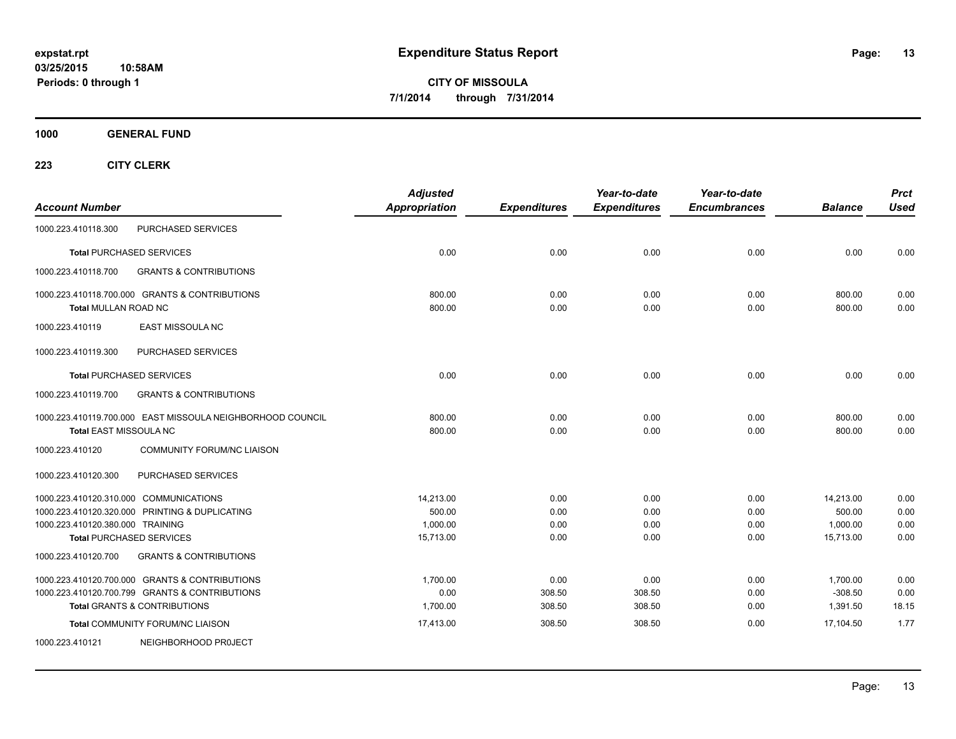**1000 GENERAL FUND**

| <b>Account Number</b>            |                                                            | <b>Adjusted</b><br><b>Appropriation</b> | <b>Expenditures</b> | Year-to-date<br><b>Expenditures</b> | Year-to-date<br><b>Encumbrances</b> | <b>Balance</b>   | <b>Prct</b><br><b>Used</b> |
|----------------------------------|------------------------------------------------------------|-----------------------------------------|---------------------|-------------------------------------|-------------------------------------|------------------|----------------------------|
| 1000.223.410118.300              | PURCHASED SERVICES                                         |                                         |                     |                                     |                                     |                  |                            |
|                                  | <b>Total PURCHASED SERVICES</b>                            | 0.00                                    | 0.00                | 0.00                                | 0.00                                | 0.00             | 0.00                       |
| 1000.223.410118.700              | <b>GRANTS &amp; CONTRIBUTIONS</b>                          |                                         |                     |                                     |                                     |                  |                            |
| Total MULLAN ROAD NC             | 1000.223.410118.700.000 GRANTS & CONTRIBUTIONS             | 800.00<br>800.00                        | 0.00<br>0.00        | 0.00<br>0.00                        | 0.00<br>0.00                        | 800.00<br>800.00 | 0.00<br>0.00               |
| 1000.223.410119                  | EAST MISSOULA NC                                           |                                         |                     |                                     |                                     |                  |                            |
| 1000.223.410119.300              | PURCHASED SERVICES                                         |                                         |                     |                                     |                                     |                  |                            |
|                                  | <b>Total PURCHASED SERVICES</b>                            | 0.00                                    | 0.00                | 0.00                                | 0.00                                | 0.00             | 0.00                       |
| 1000.223.410119.700              | <b>GRANTS &amp; CONTRIBUTIONS</b>                          |                                         |                     |                                     |                                     |                  |                            |
| Total EAST MISSOULA NC           | 1000.223.410119.700.000 EAST MISSOULA NEIGHBORHOOD COUNCIL | 800.00<br>800.00                        | 0.00<br>0.00        | 0.00<br>0.00                        | 0.00<br>0.00                        | 800.00<br>800.00 | 0.00<br>0.00               |
| 1000.223.410120                  | COMMUNITY FORUM/NC LIAISON                                 |                                         |                     |                                     |                                     |                  |                            |
| 1000.223.410120.300              | PURCHASED SERVICES                                         |                                         |                     |                                     |                                     |                  |                            |
|                                  | 1000.223.410120.310.000 COMMUNICATIONS                     | 14,213.00                               | 0.00                | 0.00                                | 0.00                                | 14,213.00        | 0.00                       |
|                                  | 1000.223.410120.320.000 PRINTING & DUPLICATING             | 500.00                                  | 0.00                | 0.00                                | 0.00                                | 500.00           | 0.00                       |
| 1000.223.410120.380.000 TRAINING |                                                            | 1,000.00                                | 0.00                | 0.00                                | 0.00                                | 1,000.00         | 0.00                       |
|                                  | <b>Total PURCHASED SERVICES</b>                            | 15,713.00                               | 0.00                | 0.00                                | 0.00                                | 15,713.00        | 0.00                       |
| 1000.223.410120.700              | <b>GRANTS &amp; CONTRIBUTIONS</b>                          |                                         |                     |                                     |                                     |                  |                            |
|                                  | 1000.223.410120.700.000 GRANTS & CONTRIBUTIONS             | 1,700.00                                | 0.00                | 0.00                                | 0.00                                | 1,700.00         | 0.00                       |
|                                  | 1000.223.410120.700.799 GRANTS & CONTRIBUTIONS             | 0.00                                    | 308.50              | 308.50                              | 0.00                                | $-308.50$        | 0.00                       |
|                                  | Total GRANTS & CONTRIBUTIONS                               | 1,700.00                                | 308.50              | 308.50                              | 0.00                                | 1,391.50         | 18.15                      |
|                                  | Total COMMUNITY FORUM/NC LIAISON                           | 17,413.00                               | 308.50              | 308.50                              | 0.00                                | 17,104.50        | 1.77                       |
| 1000.223.410121                  | NEIGHBORHOOD PROJECT                                       |                                         |                     |                                     |                                     |                  |                            |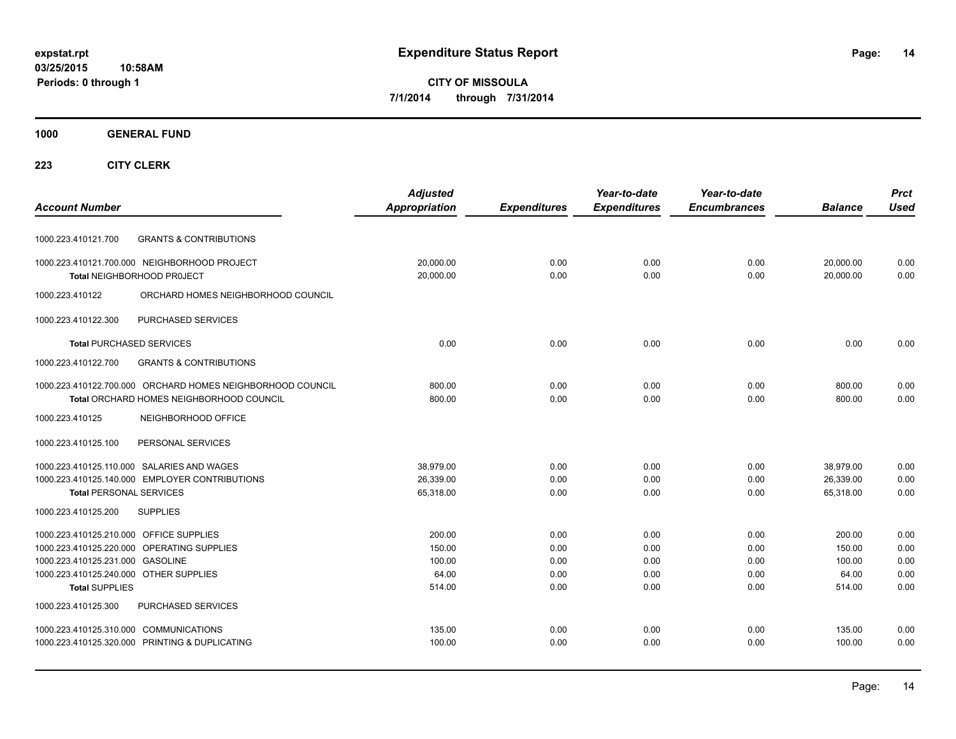#### **1000 GENERAL FUND**

|                                            |                                                            | <b>Adjusted</b>      |                     | Year-to-date        | Year-to-date        |                | <b>Prct</b> |
|--------------------------------------------|------------------------------------------------------------|----------------------|---------------------|---------------------|---------------------|----------------|-------------|
| <b>Account Number</b>                      |                                                            | <b>Appropriation</b> | <b>Expenditures</b> | <b>Expenditures</b> | <b>Encumbrances</b> | <b>Balance</b> | <b>Used</b> |
| 1000.223.410121.700                        | <b>GRANTS &amp; CONTRIBUTIONS</b>                          |                      |                     |                     |                     |                |             |
|                                            | 1000.223.410121.700.000 NEIGHBORHOOD PROJECT               | 20,000.00            | 0.00                | 0.00                | 0.00                | 20,000.00      | 0.00        |
| Total NEIGHBORHOOD PROJECT                 |                                                            | 20,000.00            | 0.00                | 0.00                | 0.00                | 20,000.00      | 0.00        |
| 1000.223.410122                            | ORCHARD HOMES NEIGHBORHOOD COUNCIL                         |                      |                     |                     |                     |                |             |
| 1000.223.410122.300                        | PURCHASED SERVICES                                         |                      |                     |                     |                     |                |             |
| <b>Total PURCHASED SERVICES</b>            |                                                            | 0.00                 | 0.00                | 0.00                | 0.00                | 0.00           | 0.00        |
| 1000.223.410122.700                        | <b>GRANTS &amp; CONTRIBUTIONS</b>                          |                      |                     |                     |                     |                |             |
|                                            | 1000.223.410122.700.000 ORCHARD HOMES NEIGHBORHOOD COUNCIL | 800.00               | 0.00                | 0.00                | 0.00                | 800.00         | 0.00        |
|                                            | Total ORCHARD HOMES NEIGHBORHOOD COUNCIL                   | 800.00               | 0.00                | 0.00                | 0.00                | 800.00         | 0.00        |
| 1000.223.410125                            | NEIGHBORHOOD OFFICE                                        |                      |                     |                     |                     |                |             |
| 1000.223.410125.100                        | PERSONAL SERVICES                                          |                      |                     |                     |                     |                |             |
|                                            | 1000.223.410125.110.000 SALARIES AND WAGES                 | 38,979.00            | 0.00                | 0.00                | 0.00                | 38,979.00      | 0.00        |
|                                            | 1000.223.410125.140.000 EMPLOYER CONTRIBUTIONS             | 26,339.00            | 0.00                | 0.00                | 0.00                | 26,339.00      | 0.00        |
| <b>Total PERSONAL SERVICES</b>             |                                                            | 65,318.00            | 0.00                | 0.00                | 0.00                | 65,318.00      | 0.00        |
| 1000.223.410125.200                        | <b>SUPPLIES</b>                                            |                      |                     |                     |                     |                |             |
| 1000.223.410125.210.000 OFFICE SUPPLIES    |                                                            | 200.00               | 0.00                | 0.00                | 0.00                | 200.00         | 0.00        |
| 1000.223.410125.220.000 OPERATING SUPPLIES |                                                            | 150.00               | 0.00                | 0.00                | 0.00                | 150.00         | 0.00        |
| 1000.223.410125.231.000 GASOLINE           |                                                            | 100.00               | 0.00                | 0.00                | 0.00                | 100.00         | 0.00        |
| 1000.223.410125.240.000 OTHER SUPPLIES     |                                                            | 64.00                | 0.00                | 0.00                | 0.00                | 64.00          | 0.00        |
| <b>Total SUPPLIES</b>                      |                                                            | 514.00               | 0.00                | 0.00                | 0.00                | 514.00         | 0.00        |
| 1000.223.410125.300                        | PURCHASED SERVICES                                         |                      |                     |                     |                     |                |             |
| 1000.223.410125.310.000 COMMUNICATIONS     |                                                            | 135.00               | 0.00                | 0.00                | 0.00                | 135.00         | 0.00        |
|                                            | 1000.223.410125.320.000 PRINTING & DUPLICATING             | 100.00               | 0.00                | 0.00                | 0.00                | 100.00         | 0.00        |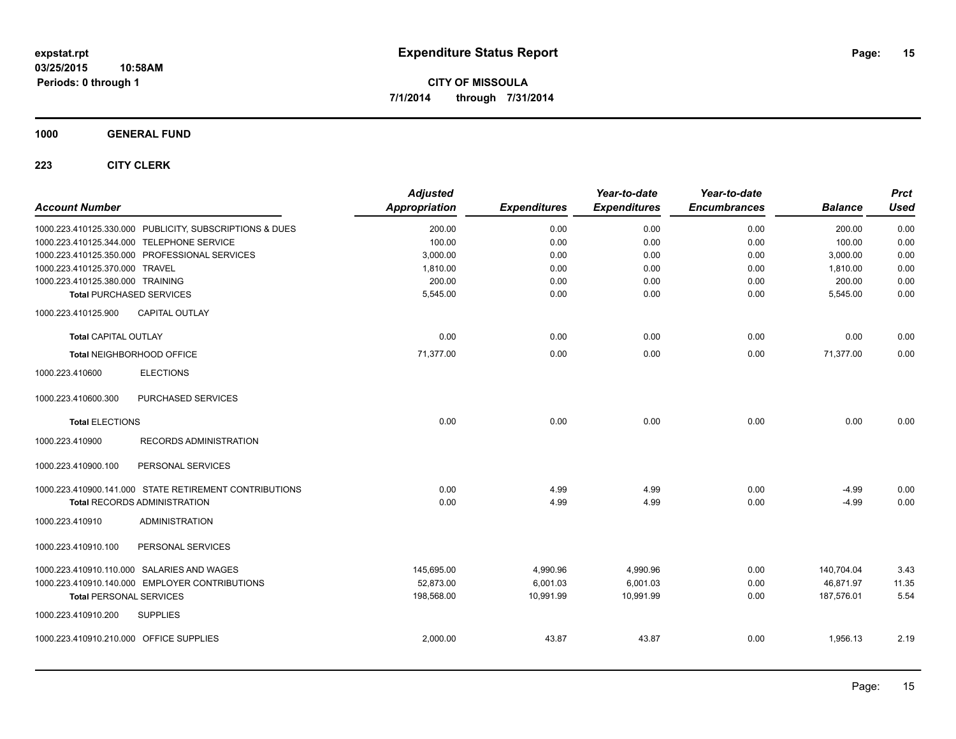**1000 GENERAL FUND**

| <b>Account Number</b>                   |                                                         | <b>Adjusted</b><br><b>Appropriation</b> | <b>Expenditures</b> | Year-to-date<br><b>Expenditures</b> | Year-to-date<br><b>Encumbrances</b> | <b>Balance</b> | <b>Prct</b><br><b>Used</b> |
|-----------------------------------------|---------------------------------------------------------|-----------------------------------------|---------------------|-------------------------------------|-------------------------------------|----------------|----------------------------|
|                                         | 1000.223.410125.330.000 PUBLICITY, SUBSCRIPTIONS & DUES | 200.00                                  | 0.00                | 0.00                                | 0.00                                | 200.00         | 0.00                       |
|                                         | 1000.223.410125.344.000 TELEPHONE SERVICE               | 100.00                                  | 0.00                | 0.00                                | 0.00                                | 100.00         | 0.00                       |
|                                         | 1000.223.410125.350.000 PROFESSIONAL SERVICES           | 3,000.00                                | 0.00                | 0.00                                | 0.00                                | 3,000.00       | 0.00                       |
| 1000.223.410125.370.000 TRAVEL          |                                                         | 1,810.00                                | 0.00                | 0.00                                | 0.00                                | 1,810.00       | 0.00                       |
| 1000.223.410125.380.000 TRAINING        |                                                         | 200.00                                  | 0.00                | 0.00                                | 0.00                                | 200.00         | 0.00                       |
| <b>Total PURCHASED SERVICES</b>         |                                                         | 5,545.00                                | 0.00                | 0.00                                | 0.00                                | 5,545.00       | 0.00                       |
| 1000.223.410125.900                     | <b>CAPITAL OUTLAY</b>                                   |                                         |                     |                                     |                                     |                |                            |
| <b>Total CAPITAL OUTLAY</b>             |                                                         | 0.00                                    | 0.00                | 0.00                                | 0.00                                | 0.00           | 0.00                       |
| Total NEIGHBORHOOD OFFICE               |                                                         | 71,377.00                               | 0.00                | 0.00                                | 0.00                                | 71,377.00      | 0.00                       |
| 1000.223.410600                         | <b>ELECTIONS</b>                                        |                                         |                     |                                     |                                     |                |                            |
| 1000.223.410600.300                     | PURCHASED SERVICES                                      |                                         |                     |                                     |                                     |                |                            |
| <b>Total ELECTIONS</b>                  |                                                         | 0.00                                    | 0.00                | 0.00                                | 0.00                                | 0.00           | 0.00                       |
| 1000.223.410900                         | <b>RECORDS ADMINISTRATION</b>                           |                                         |                     |                                     |                                     |                |                            |
| 1000.223.410900.100                     | PERSONAL SERVICES                                       |                                         |                     |                                     |                                     |                |                            |
|                                         | 1000.223.410900.141.000 STATE RETIREMENT CONTRIBUTIONS  | 0.00                                    | 4.99                | 4.99                                | 0.00                                | $-4.99$        | 0.00                       |
|                                         | <b>Total RECORDS ADMINISTRATION</b>                     | 0.00                                    | 4.99                | 4.99                                | 0.00                                | $-4.99$        | 0.00                       |
| 1000.223.410910                         | <b>ADMINISTRATION</b>                                   |                                         |                     |                                     |                                     |                |                            |
| 1000.223.410910.100                     | PERSONAL SERVICES                                       |                                         |                     |                                     |                                     |                |                            |
|                                         | 1000.223.410910.110.000 SALARIES AND WAGES              | 145,695.00                              | 4,990.96            | 4,990.96                            | 0.00                                | 140,704.04     | 3.43                       |
|                                         | 1000.223.410910.140.000 EMPLOYER CONTRIBUTIONS          | 52,873.00                               | 6,001.03            | 6,001.03                            | 0.00                                | 46,871.97      | 11.35                      |
| <b>Total PERSONAL SERVICES</b>          |                                                         | 198,568.00                              | 10,991.99           | 10,991.99                           | 0.00                                | 187,576.01     | 5.54                       |
| 1000.223.410910.200                     | <b>SUPPLIES</b>                                         |                                         |                     |                                     |                                     |                |                            |
| 1000.223.410910.210.000 OFFICE SUPPLIES |                                                         | 2,000.00                                | 43.87               | 43.87                               | 0.00                                | 1,956.13       | 2.19                       |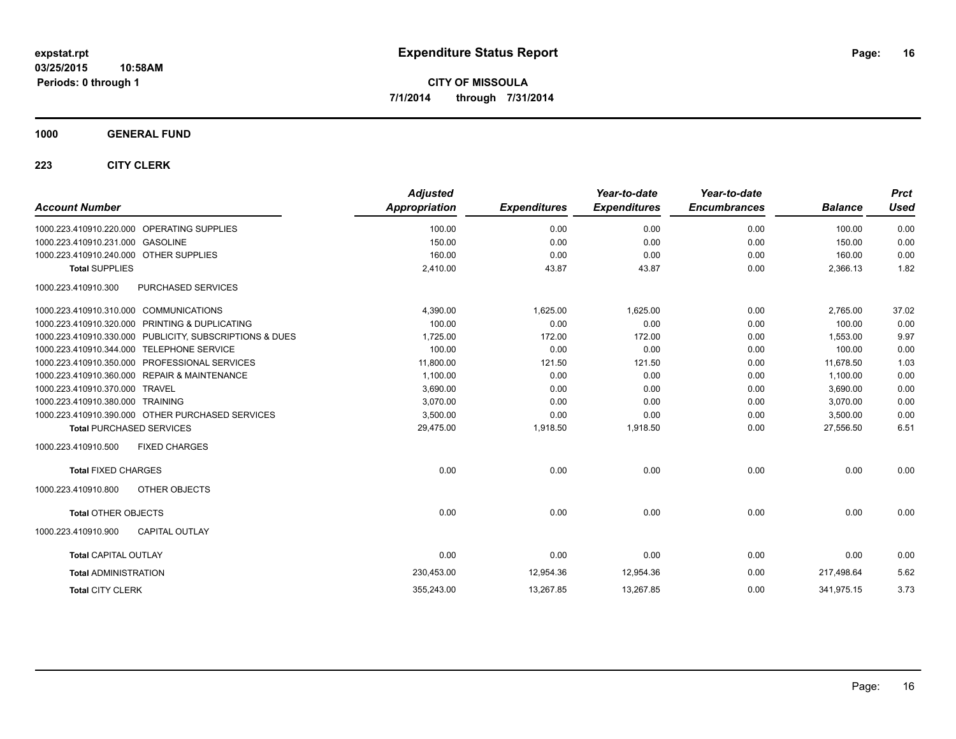#### **1000 GENERAL FUND**

| <b>Account Number</b>                                   | <b>Adjusted</b><br><b>Appropriation</b> | <b>Expenditures</b> | Year-to-date<br><b>Expenditures</b> | Year-to-date<br><b>Encumbrances</b> | <b>Balance</b> | <b>Prct</b><br><b>Used</b> |
|---------------------------------------------------------|-----------------------------------------|---------------------|-------------------------------------|-------------------------------------|----------------|----------------------------|
| 1000.223.410910.220.000 OPERATING SUPPLIES              | 100.00                                  | 0.00                | 0.00                                | 0.00                                | 100.00         | 0.00                       |
| 1000.223.410910.231.000 GASOLINE                        | 150.00                                  | 0.00                | 0.00                                | 0.00                                | 150.00         | 0.00                       |
| 1000.223.410910.240.000 OTHER SUPPLIES                  | 160.00                                  | 0.00                | 0.00                                | 0.00                                | 160.00         | 0.00                       |
| <b>Total SUPPLIES</b>                                   | 2,410.00                                | 43.87               | 43.87                               | 0.00                                | 2,366.13       | 1.82                       |
| PURCHASED SERVICES<br>1000.223.410910.300               |                                         |                     |                                     |                                     |                |                            |
| 1000.223.410910.310.000 COMMUNICATIONS                  | 4,390.00                                | 1,625.00            | 1,625.00                            | 0.00                                | 2,765.00       | 37.02                      |
| 1000.223.410910.320.000 PRINTING & DUPLICATING          | 100.00                                  | 0.00                | 0.00                                | 0.00                                | 100.00         | 0.00                       |
| 1000.223.410910.330.000 PUBLICITY, SUBSCRIPTIONS & DUES | 1,725.00                                | 172.00              | 172.00                              | 0.00                                | 1,553.00       | 9.97                       |
| 1000.223.410910.344.000 TELEPHONE SERVICE               | 100.00                                  | 0.00                | 0.00                                | 0.00                                | 100.00         | 0.00                       |
| 1000.223.410910.350.000 PROFESSIONAL SERVICES           | 11,800.00                               | 121.50              | 121.50                              | 0.00                                | 11,678.50      | 1.03                       |
| 1000.223.410910.360.000 REPAIR & MAINTENANCE            | 1,100.00                                | 0.00                | 0.00                                | 0.00                                | 1,100.00       | 0.00                       |
| 1000.223.410910.370.000 TRAVEL                          | 3,690.00                                | 0.00                | 0.00                                | 0.00                                | 3,690.00       | 0.00                       |
| 1000.223.410910.380.000 TRAINING                        | 3,070.00                                | 0.00                | 0.00                                | 0.00                                | 3,070.00       | 0.00                       |
| 1000.223.410910.390.000 OTHER PURCHASED SERVICES        | 3,500.00                                | 0.00                | 0.00                                | 0.00                                | 3,500.00       | 0.00                       |
| <b>Total PURCHASED SERVICES</b>                         | 29,475.00                               | 1,918.50            | 1,918.50                            | 0.00                                | 27,556.50      | 6.51                       |
| 1000.223.410910.500<br><b>FIXED CHARGES</b>             |                                         |                     |                                     |                                     |                |                            |
| <b>Total FIXED CHARGES</b>                              | 0.00                                    | 0.00                | 0.00                                | 0.00                                | 0.00           | 0.00                       |
| 1000.223.410910.800<br>OTHER OBJECTS                    |                                         |                     |                                     |                                     |                |                            |
| <b>Total OTHER OBJECTS</b>                              | 0.00                                    | 0.00                | 0.00                                | 0.00                                | 0.00           | 0.00                       |
| <b>CAPITAL OUTLAY</b><br>1000.223.410910.900            |                                         |                     |                                     |                                     |                |                            |
| <b>Total CAPITAL OUTLAY</b>                             | 0.00                                    | 0.00                | 0.00                                | 0.00                                | 0.00           | 0.00                       |
| <b>Total ADMINISTRATION</b>                             | 230,453.00                              | 12,954.36           | 12,954.36                           | 0.00                                | 217,498.64     | 5.62                       |
| <b>Total CITY CLERK</b>                                 | 355,243.00                              | 13,267.85           | 13,267.85                           | 0.00                                | 341,975.15     | 3.73                       |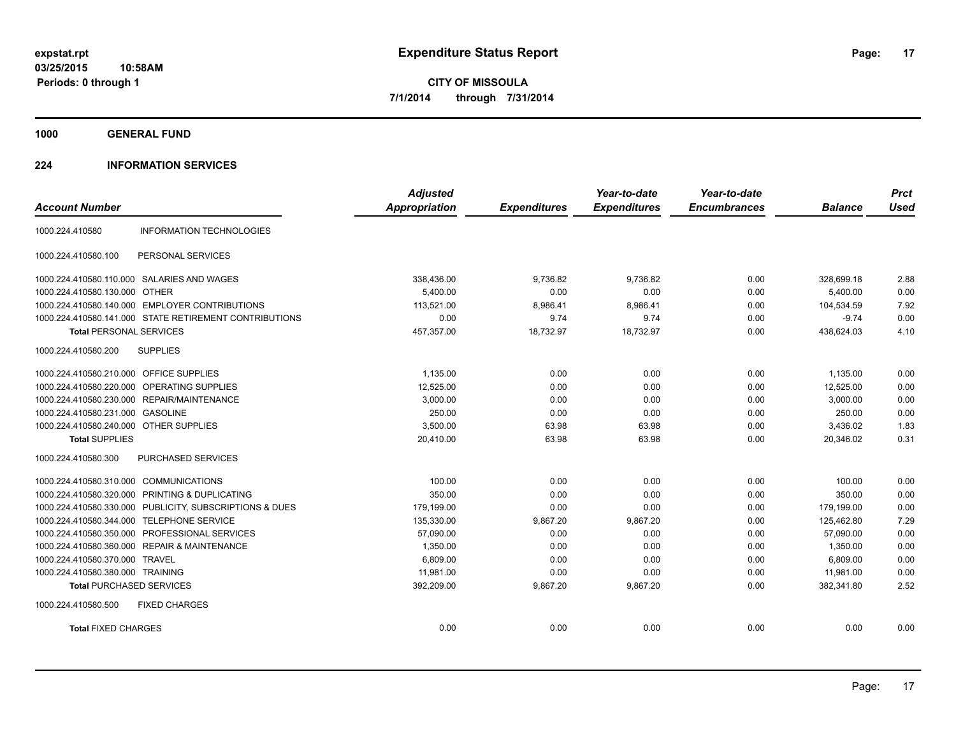**1000 GENERAL FUND**

#### **224 INFORMATION SERVICES**

|                                         |                                                         | <b>Adjusted</b>      |                     | Year-to-date        | Year-to-date        |                | <b>Prct</b> |
|-----------------------------------------|---------------------------------------------------------|----------------------|---------------------|---------------------|---------------------|----------------|-------------|
| <b>Account Number</b>                   |                                                         | <b>Appropriation</b> | <b>Expenditures</b> | <b>Expenditures</b> | <b>Encumbrances</b> | <b>Balance</b> | <b>Used</b> |
| 1000.224.410580                         | <b>INFORMATION TECHNOLOGIES</b>                         |                      |                     |                     |                     |                |             |
| 1000.224.410580.100                     | PERSONAL SERVICES                                       |                      |                     |                     |                     |                |             |
|                                         | 1000.224.410580.110.000 SALARIES AND WAGES              | 338,436.00           | 9,736.82            | 9.736.82            | 0.00                | 328,699.18     | 2.88        |
| 1000.224.410580.130.000 OTHER           |                                                         | 5,400.00             | 0.00                | 0.00                | 0.00                | 5,400.00       | 0.00        |
|                                         | 1000.224.410580.140.000 EMPLOYER CONTRIBUTIONS          | 113.521.00           | 8,986.41            | 8,986.41            | 0.00                | 104.534.59     | 7.92        |
|                                         | 1000.224.410580.141.000 STATE RETIREMENT CONTRIBUTIONS  | 0.00                 | 9.74                | 9.74                | 0.00                | $-9.74$        | 0.00        |
| <b>Total PERSONAL SERVICES</b>          |                                                         | 457,357.00           | 18,732.97           | 18,732.97           | 0.00                | 438,624.03     | 4.10        |
| 1000.224.410580.200                     | <b>SUPPLIES</b>                                         |                      |                     |                     |                     |                |             |
| 1000.224.410580.210.000 OFFICE SUPPLIES |                                                         | 1,135.00             | 0.00                | 0.00                | 0.00                | 1,135.00       | 0.00        |
|                                         | 1000.224.410580.220.000 OPERATING SUPPLIES              | 12.525.00            | 0.00                | 0.00                | 0.00                | 12,525.00      | 0.00        |
|                                         | 1000.224.410580.230.000 REPAIR/MAINTENANCE              | 3,000.00             | 0.00                | 0.00                | 0.00                | 3,000.00       | 0.00        |
| 1000.224.410580.231.000 GASOLINE        |                                                         | 250.00               | 0.00                | 0.00                | 0.00                | 250.00         | 0.00        |
| 1000.224.410580.240.000 OTHER SUPPLIES  |                                                         | 3,500.00             | 63.98               | 63.98               | 0.00                | 3,436.02       | 1.83        |
| <b>Total SUPPLIES</b>                   |                                                         | 20,410.00            | 63.98               | 63.98               | 0.00                | 20,346.02      | 0.31        |
| 1000.224.410580.300                     | PURCHASED SERVICES                                      |                      |                     |                     |                     |                |             |
| 1000.224.410580.310.000 COMMUNICATIONS  |                                                         | 100.00               | 0.00                | 0.00                | 0.00                | 100.00         | 0.00        |
|                                         | 1000.224.410580.320.000 PRINTING & DUPLICATING          | 350.00               | 0.00                | 0.00                | 0.00                | 350.00         | 0.00        |
|                                         | 1000.224.410580.330.000 PUBLICITY, SUBSCRIPTIONS & DUES | 179,199.00           | 0.00                | 0.00                | 0.00                | 179,199.00     | 0.00        |
|                                         | 1000.224.410580.344.000 TELEPHONE SERVICE               | 135,330.00           | 9,867.20            | 9,867.20            | 0.00                | 125,462.80     | 7.29        |
|                                         | 1000.224.410580.350.000 PROFESSIONAL SERVICES           | 57,090.00            | 0.00                | 0.00                | 0.00                | 57,090.00      | 0.00        |
|                                         | 1000.224.410580.360.000 REPAIR & MAINTENANCE            | 1,350.00             | 0.00                | 0.00                | 0.00                | 1,350.00       | 0.00        |
| 1000.224.410580.370.000 TRAVEL          |                                                         | 6,809.00             | 0.00                | 0.00                | 0.00                | 6,809.00       | 0.00        |
| 1000.224.410580.380.000 TRAINING        |                                                         | 11,981.00            | 0.00                | 0.00                | 0.00                | 11,981.00      | 0.00        |
| <b>Total PURCHASED SERVICES</b>         |                                                         | 392,209.00           | 9,867.20            | 9,867.20            | 0.00                | 382,341.80     | 2.52        |
| 1000.224.410580.500                     | <b>FIXED CHARGES</b>                                    |                      |                     |                     |                     |                |             |
| <b>Total FIXED CHARGES</b>              |                                                         | 0.00                 | 0.00                | 0.00                | 0.00                | 0.00           | 0.00        |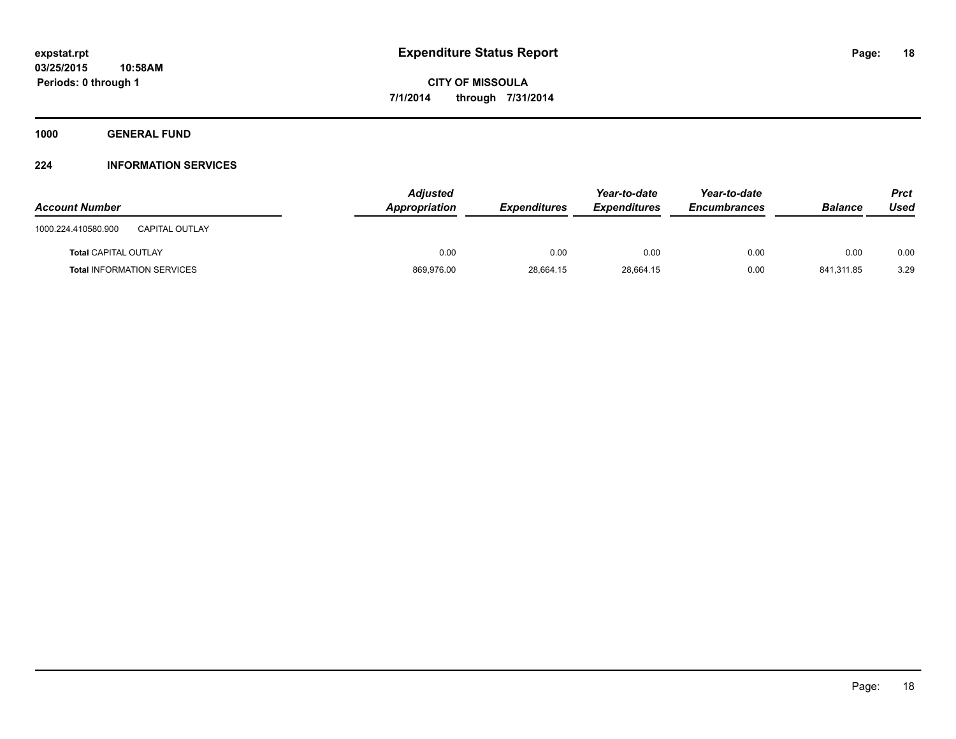**1000 GENERAL FUND**

#### **224 INFORMATION SERVICES**

| <b>Account Number</b>                        | <b>Adjusted</b><br>Appropriation | <b>Expenditures</b> | Year-to-date<br><b>Expenditures</b> | Year-to-date<br><b>Encumbrances</b> | <b>Balance</b> | Prct<br>Used |
|----------------------------------------------|----------------------------------|---------------------|-------------------------------------|-------------------------------------|----------------|--------------|
| <b>CAPITAL OUTLAY</b><br>1000.224.410580.900 |                                  |                     |                                     |                                     |                |              |
| <b>Total CAPITAL OUTLAY</b>                  | 0.00                             | 0.00                | 0.00                                | 0.00                                | 0.00           | 0.00         |
| <b>Total INFORMATION SERVICES</b>            | 869,976.00                       | 28.664.15           | 28,664.15                           | 0.00                                | 841.311.85     | 3.29         |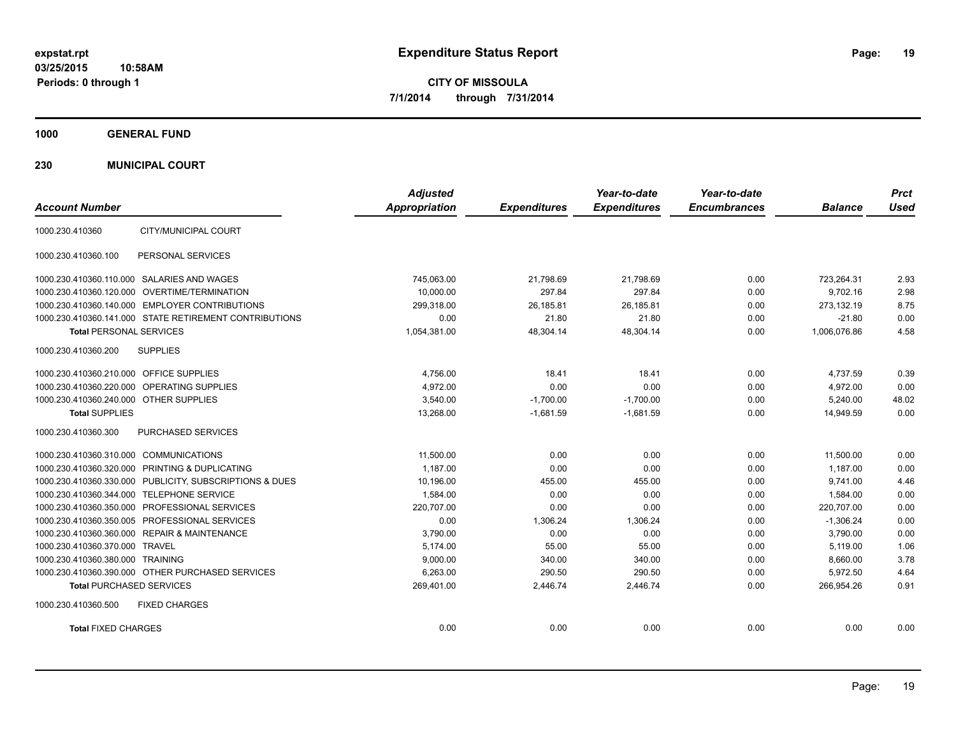**1000 GENERAL FUND**

**230 MUNICIPAL COURT**

| <b>Account Number</b>                                      | <b>Adjusted</b><br>Appropriation | <b>Expenditures</b> | Year-to-date<br><b>Expenditures</b> | Year-to-date<br><b>Encumbrances</b> | <b>Balance</b> | <b>Prct</b><br><b>Used</b> |
|------------------------------------------------------------|----------------------------------|---------------------|-------------------------------------|-------------------------------------|----------------|----------------------------|
| CITY/MUNICIPAL COURT<br>1000.230.410360                    |                                  |                     |                                     |                                     |                |                            |
| 1000.230.410360.100<br>PERSONAL SERVICES                   |                                  |                     |                                     |                                     |                |                            |
| 1000.230.410360.110.000 SALARIES AND WAGES                 | 745.063.00                       | 21.798.69           | 21.798.69                           | 0.00                                | 723.264.31     | 2.93                       |
| 1000.230.410360.120.000 OVERTIME/TERMINATION               | 10,000.00                        | 297.84              | 297.84                              | 0.00                                | 9,702.16       | 2.98                       |
| 1000.230.410360.140.000 EMPLOYER CONTRIBUTIONS             | 299.318.00                       | 26,185.81           | 26.185.81                           | 0.00                                | 273,132.19     | 8.75                       |
| 1000.230.410360.141.000 STATE RETIREMENT CONTRIBUTIONS     | 0.00                             | 21.80               | 21.80                               | 0.00                                | $-21.80$       | 0.00                       |
| <b>Total PERSONAL SERVICES</b>                             | 1,054,381.00                     | 48,304.14           | 48,304.14                           | 0.00                                | 1,006,076.86   | 4.58                       |
| <b>SUPPLIES</b><br>1000.230.410360.200                     |                                  |                     |                                     |                                     |                |                            |
| 1000.230.410360.210.000 OFFICE SUPPLIES                    | 4,756.00                         | 18.41               | 18.41                               | 0.00                                | 4,737.59       | 0.39                       |
| 1000.230.410360.220.000 OPERATING SUPPLIES                 | 4,972.00                         | 0.00                | 0.00                                | 0.00                                | 4,972.00       | 0.00                       |
| 1000.230.410360.240.000 OTHER SUPPLIES                     | 3,540.00                         | $-1,700.00$         | $-1,700.00$                         | 0.00                                | 5,240.00       | 48.02                      |
| <b>Total SUPPLIES</b>                                      | 13.268.00                        | $-1,681.59$         | $-1.681.59$                         | 0.00                                | 14.949.59      | 0.00                       |
| 1000.230.410360.300<br>PURCHASED SERVICES                  |                                  |                     |                                     |                                     |                |                            |
| 1000.230.410360.310.000 COMMUNICATIONS                     | 11,500.00                        | 0.00                | 0.00                                | 0.00                                | 11,500.00      | 0.00                       |
| 1000.230.410360.320.000 PRINTING & DUPLICATING             | 1.187.00                         | 0.00                | 0.00                                | 0.00                                | 1.187.00       | 0.00                       |
| 1000.230.410360.330.000<br>PUBLICITY, SUBSCRIPTIONS & DUES | 10,196.00                        | 455.00              | 455.00                              | 0.00                                | 9,741.00       | 4.46                       |
| 1000.230.410360.344.000 TELEPHONE SERVICE                  | 1.584.00                         | 0.00                | 0.00                                | 0.00                                | 1.584.00       | 0.00                       |
| 1000.230.410360.350.000 PROFESSIONAL SERVICES              | 220,707.00                       | 0.00                | 0.00                                | 0.00                                | 220,707.00     | 0.00                       |
| 1000.230.410360.350.005 PROFESSIONAL SERVICES              | 0.00                             | 1,306.24            | 1,306.24                            | 0.00                                | $-1,306.24$    | 0.00                       |
| 1000.230.410360.360.000 REPAIR & MAINTENANCE               | 3,790.00                         | 0.00                | 0.00                                | 0.00                                | 3,790.00       | 0.00                       |
| 1000.230.410360.370.000 TRAVEL                             | 5,174.00                         | 55.00               | 55.00                               | 0.00                                | 5,119.00       | 1.06                       |
| 1000.230.410360.380.000 TRAINING                           | 9,000.00                         | 340.00              | 340.00                              | 0.00                                | 8,660.00       | 3.78                       |
| 1000.230.410360.390.000 OTHER PURCHASED SERVICES           | 6,263.00                         | 290.50              | 290.50                              | 0.00                                | 5,972.50       | 4.64                       |
| <b>Total PURCHASED SERVICES</b>                            | 269,401.00                       | 2,446.74            | 2,446.74                            | 0.00                                | 266,954.26     | 0.91                       |
| 1000.230.410360.500<br><b>FIXED CHARGES</b>                |                                  |                     |                                     |                                     |                |                            |
| <b>Total FIXED CHARGES</b>                                 | 0.00                             | 0.00                | 0.00                                | 0.00                                | 0.00           | 0.00                       |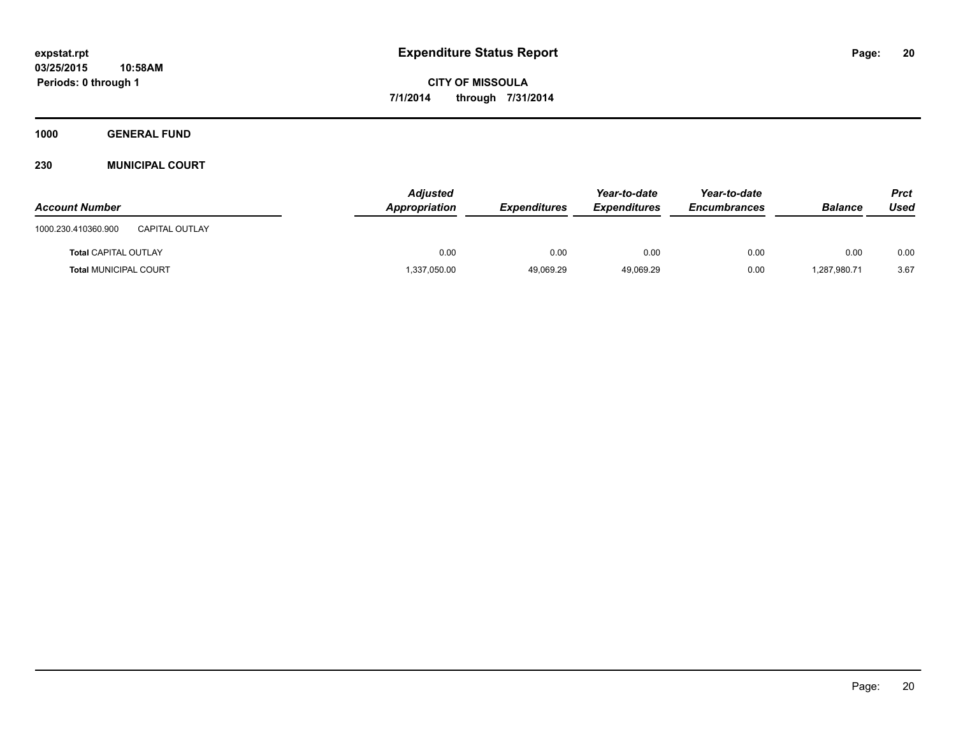**1000 GENERAL FUND**

#### **230 MUNICIPAL COURT**

| <b>Account Number</b>                        | <b>Adjusted</b><br>Appropriation | <b>Expenditures</b> | Year-to-date<br><b>Expenditures</b> | Year-to-date<br><b>Encumbrances</b> | <b>Balance</b> | Prct<br>Used |
|----------------------------------------------|----------------------------------|---------------------|-------------------------------------|-------------------------------------|----------------|--------------|
| 1000.230.410360.900<br><b>CAPITAL OUTLAY</b> |                                  |                     |                                     |                                     |                |              |
| <b>Total CAPITAL OUTLAY</b>                  | 0.00                             | 0.00                | 0.00                                | 0.00                                | 0.00           | 0.00         |
| <b>Total MUNICIPAL COURT</b>                 | 1,337,050.00                     | 49.069.29           | 49,069.29                           | 0.00                                | 1,287,980.71   | 3.67         |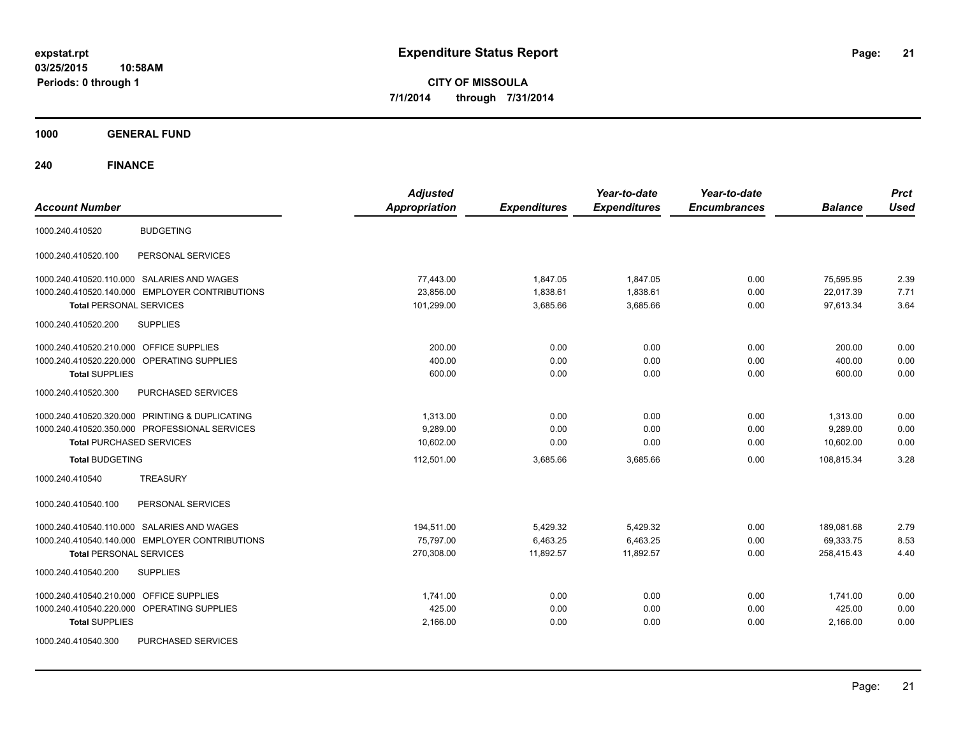**1000 GENERAL FUND**

| <b>Account Number</b>                             | <b>Adjusted</b><br><b>Appropriation</b> | <b>Expenditures</b> | Year-to-date<br><b>Expenditures</b> | Year-to-date<br><b>Encumbrances</b> | <b>Balance</b> | <b>Prct</b><br><b>Used</b> |
|---------------------------------------------------|-----------------------------------------|---------------------|-------------------------------------|-------------------------------------|----------------|----------------------------|
| <b>BUDGETING</b><br>1000.240.410520               |                                         |                     |                                     |                                     |                |                            |
| PERSONAL SERVICES<br>1000.240.410520.100          |                                         |                     |                                     |                                     |                |                            |
| 1000.240.410520.110.000 SALARIES AND WAGES        | 77,443.00                               | 1,847.05            | 1,847.05                            | 0.00                                | 75,595.95      | 2.39                       |
| 1000.240.410520.140.000 EMPLOYER CONTRIBUTIONS    | 23,856.00                               | 1,838.61            | 1,838.61                            | 0.00                                | 22,017.39      | 7.71                       |
| <b>Total PERSONAL SERVICES</b>                    | 101,299.00                              | 3,685.66            | 3,685.66                            | 0.00                                | 97.613.34      | 3.64                       |
| 1000.240.410520.200<br><b>SUPPLIES</b>            |                                         |                     |                                     |                                     |                |                            |
| OFFICE SUPPLIES<br>1000.240.410520.210.000        | 200.00                                  | 0.00                | 0.00                                | 0.00                                | 200.00         | 0.00                       |
| 1000.240.410520.220.000 OPERATING SUPPLIES        | 400.00                                  | 0.00                | 0.00                                | 0.00                                | 400.00         | 0.00                       |
| <b>Total SUPPLIES</b>                             | 600.00                                  | 0.00                | 0.00                                | 0.00                                | 600.00         | 0.00                       |
| PURCHASED SERVICES<br>1000.240.410520.300         |                                         |                     |                                     |                                     |                |                            |
| 1000.240.410520.320.000 PRINTING & DUPLICATING    | 1,313.00                                | 0.00                | 0.00                                | 0.00                                | 1,313.00       | 0.00                       |
| 1000.240.410520.350.000 PROFESSIONAL SERVICES     | 9.289.00                                | 0.00                | 0.00                                | 0.00                                | 9.289.00       | 0.00                       |
| <b>Total PURCHASED SERVICES</b>                   | 10,602.00                               | 0.00                | 0.00                                | 0.00                                | 10,602.00      | 0.00                       |
| <b>Total BUDGETING</b>                            | 112,501.00                              | 3,685.66            | 3,685.66                            | 0.00                                | 108,815.34     | 3.28                       |
| <b>TREASURY</b><br>1000.240.410540                |                                         |                     |                                     |                                     |                |                            |
| 1000.240.410540.100<br>PERSONAL SERVICES          |                                         |                     |                                     |                                     |                |                            |
| 1000.240.410540.110.000 SALARIES AND WAGES        | 194,511.00                              | 5,429.32            | 5,429.32                            | 0.00                                | 189,081.68     | 2.79                       |
| 1000.240.410540.140.000 EMPLOYER CONTRIBUTIONS    | 75,797.00                               | 6,463.25            | 6,463.25                            | 0.00                                | 69,333.75      | 8.53                       |
| <b>Total PERSONAL SERVICES</b>                    | 270,308.00                              | 11,892.57           | 11.892.57                           | 0.00                                | 258.415.43     | 4.40                       |
| <b>SUPPLIES</b><br>1000.240.410540.200            |                                         |                     |                                     |                                     |                |                            |
| 1000.240.410540.210.000<br><b>OFFICE SUPPLIES</b> | 1,741.00                                | 0.00                | 0.00                                | 0.00                                | 1,741.00       | 0.00                       |
| 1000.240.410540.220.000<br>OPERATING SUPPLIES     | 425.00                                  | 0.00                | 0.00                                | 0.00                                | 425.00         | 0.00                       |
| <b>Total SUPPLIES</b>                             | 2,166.00                                | 0.00                | 0.00                                | 0.00                                | 2,166.00       | 0.00                       |
| PURCHASED SERVICES<br>1000.240.410540.300         |                                         |                     |                                     |                                     |                |                            |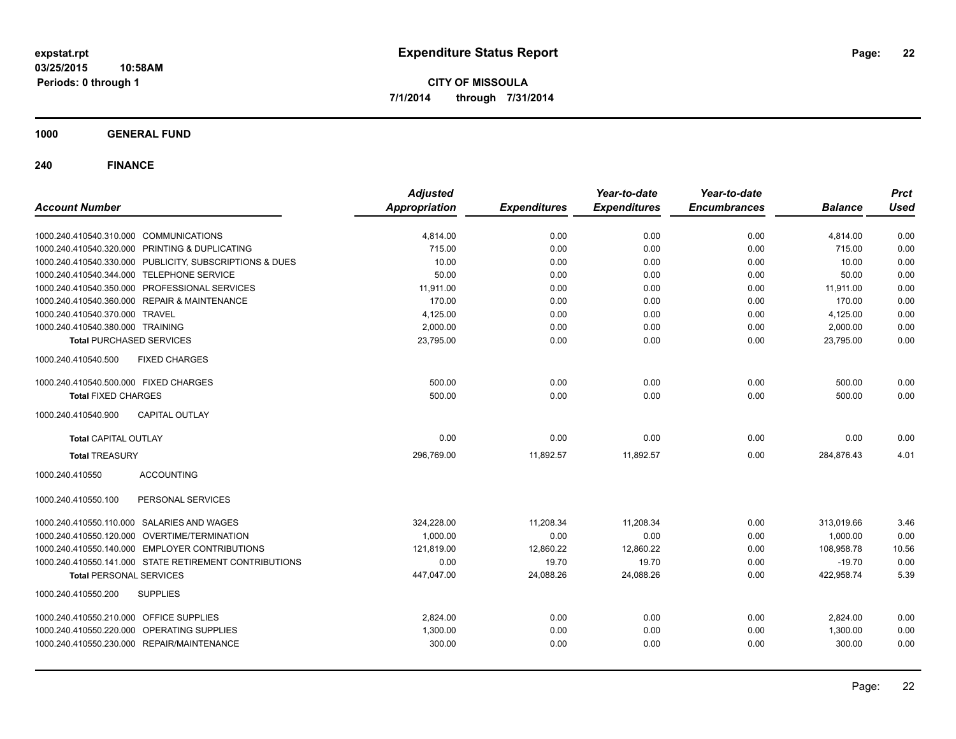**1000 GENERAL FUND**

| <b>Account Number</b>                                                                    | <b>Adjusted</b><br><b>Appropriation</b> | <b>Expenditures</b> | Year-to-date<br><b>Expenditures</b> | Year-to-date<br><b>Encumbrances</b> | <b>Balance</b>     | <b>Prct</b><br><b>Used</b> |
|------------------------------------------------------------------------------------------|-----------------------------------------|---------------------|-------------------------------------|-------------------------------------|--------------------|----------------------------|
|                                                                                          |                                         |                     | 0.00                                | 0.00                                |                    |                            |
| 1000.240.410540.310.000 COMMUNICATIONS<br>1000.240.410540.320.000 PRINTING & DUPLICATING | 4,814.00<br>715.00                      | 0.00<br>0.00        | 0.00                                | 0.00                                | 4,814.00<br>715.00 | 0.00<br>0.00               |
| 1000.240.410540.330.000 PUBLICITY, SUBSCRIPTIONS & DUES                                  | 10.00                                   | 0.00                | 0.00                                | 0.00                                | 10.00              | 0.00                       |
| 1000.240.410540.344.000 TELEPHONE SERVICE                                                | 50.00                                   | 0.00                | 0.00                                | 0.00                                | 50.00              | 0.00                       |
| 1000.240.410540.350.000 PROFESSIONAL SERVICES                                            | 11,911.00                               | 0.00                | 0.00                                | 0.00                                | 11,911.00          | 0.00                       |
| 1000.240.410540.360.000 REPAIR & MAINTENANCE                                             | 170.00                                  | 0.00                | 0.00                                | 0.00                                | 170.00             | 0.00                       |
| 1000.240.410540.370.000 TRAVEL                                                           | 4,125.00                                | 0.00                | 0.00                                | 0.00                                | 4,125.00           | 0.00                       |
| 1000.240.410540.380.000 TRAINING                                                         | 2,000.00                                | 0.00                | 0.00                                | 0.00                                | 2,000.00           | 0.00                       |
| <b>Total PURCHASED SERVICES</b>                                                          | 23,795.00                               | 0.00                | 0.00                                | 0.00                                | 23,795.00          | 0.00                       |
| 1000.240.410540.500<br><b>FIXED CHARGES</b>                                              |                                         |                     |                                     |                                     |                    |                            |
| 1000.240.410540.500.000 FIXED CHARGES                                                    | 500.00                                  | 0.00                | 0.00                                | 0.00                                | 500.00             | 0.00                       |
| <b>Total FIXED CHARGES</b>                                                               | 500.00                                  | 0.00                | 0.00                                | 0.00                                | 500.00             | 0.00                       |
| 1000.240.410540.900<br><b>CAPITAL OUTLAY</b>                                             |                                         |                     |                                     |                                     |                    |                            |
| <b>Total CAPITAL OUTLAY</b>                                                              | 0.00                                    | 0.00                | 0.00                                | 0.00                                | 0.00               | 0.00                       |
| <b>Total TREASURY</b>                                                                    | 296,769.00                              | 11,892.57           | 11,892.57                           | 0.00                                | 284,876.43         | 4.01                       |
| 1000.240.410550<br><b>ACCOUNTING</b>                                                     |                                         |                     |                                     |                                     |                    |                            |
| 1000.240.410550.100<br>PERSONAL SERVICES                                                 |                                         |                     |                                     |                                     |                    |                            |
| 1000.240.410550.110.000 SALARIES AND WAGES                                               | 324,228.00                              | 11,208.34           | 11,208.34                           | 0.00                                | 313,019.66         | 3.46                       |
| 1000.240.410550.120.000 OVERTIME/TERMINATION                                             | 1,000.00                                | 0.00                | 0.00                                | 0.00                                | 1,000.00           | 0.00                       |
| 1000.240.410550.140.000 EMPLOYER CONTRIBUTIONS                                           | 121,819.00                              | 12,860.22           | 12,860.22                           | 0.00                                | 108,958.78         | 10.56                      |
| 1000.240.410550.141.000 STATE RETIREMENT CONTRIBUTIONS                                   | 0.00                                    | 19.70               | 19.70                               | 0.00                                | $-19.70$           | 0.00                       |
| <b>Total PERSONAL SERVICES</b>                                                           | 447,047.00                              | 24,088.26           | 24,088.26                           | 0.00                                | 422,958.74         | 5.39                       |
| 1000.240.410550.200<br><b>SUPPLIES</b>                                                   |                                         |                     |                                     |                                     |                    |                            |
| 1000.240.410550.210.000 OFFICE SUPPLIES                                                  | 2,824.00                                | 0.00                | 0.00                                | 0.00                                | 2,824.00           | 0.00                       |
| 1000.240.410550.220.000 OPERATING SUPPLIES                                               | 1,300.00                                | 0.00                | 0.00                                | 0.00                                | 1,300.00           | 0.00                       |
| 1000.240.410550.230.000 REPAIR/MAINTENANCE                                               | 300.00                                  | 0.00                | 0.00                                | 0.00                                | 300.00             | 0.00                       |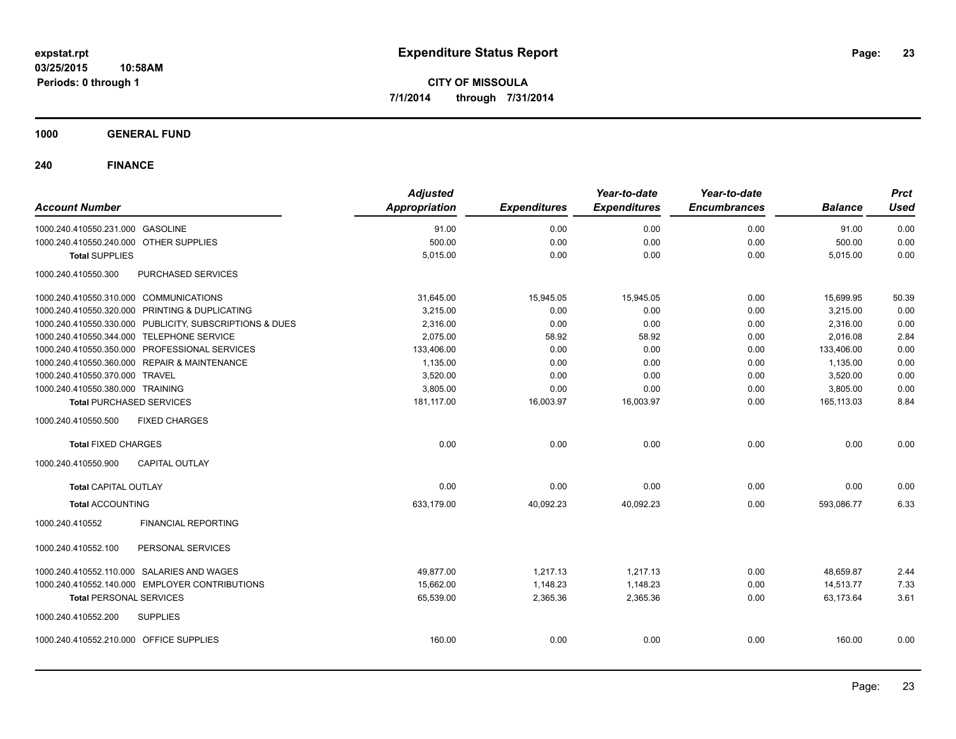**1000 GENERAL FUND**

| <b>Account Number</b>                                   | <b>Adjusted</b><br>Appropriation | <b>Expenditures</b> | Year-to-date<br><b>Expenditures</b> | Year-to-date<br><b>Encumbrances</b> | <b>Balance</b> | <b>Prct</b><br><b>Used</b> |
|---------------------------------------------------------|----------------------------------|---------------------|-------------------------------------|-------------------------------------|----------------|----------------------------|
| 1000.240.410550.231.000 GASOLINE                        | 91.00                            | 0.00                | 0.00                                | 0.00                                | 91.00          | 0.00                       |
| 1000.240.410550.240.000 OTHER SUPPLIES                  | 500.00                           | 0.00                | 0.00                                | 0.00                                | 500.00         | 0.00                       |
| <b>Total SUPPLIES</b>                                   | 5,015.00                         | 0.00                | 0.00                                | 0.00                                | 5,015.00       | 0.00                       |
| 1000.240.410550.300<br>PURCHASED SERVICES               |                                  |                     |                                     |                                     |                |                            |
| 1000.240.410550.310.000 COMMUNICATIONS                  | 31,645.00                        | 15,945.05           | 15,945.05                           | 0.00                                | 15,699.95      | 50.39                      |
| 1000.240.410550.320.000 PRINTING & DUPLICATING          | 3,215.00                         | 0.00                | 0.00                                | 0.00                                | 3,215.00       | 0.00                       |
| 1000.240.410550.330.000 PUBLICITY, SUBSCRIPTIONS & DUES | 2,316.00                         | 0.00                | 0.00                                | 0.00                                | 2,316.00       | 0.00                       |
| 1000.240.410550.344.000 TELEPHONE SERVICE               | 2,075.00                         | 58.92               | 58.92                               | 0.00                                | 2,016.08       | 2.84                       |
| 1000.240.410550.350.000 PROFESSIONAL SERVICES           | 133,406.00                       | 0.00                | 0.00                                | 0.00                                | 133,406.00     | 0.00                       |
| 1000.240.410550.360.000 REPAIR & MAINTENANCE            | 1,135.00                         | 0.00                | 0.00                                | 0.00                                | 1,135.00       | 0.00                       |
| 1000.240.410550.370.000 TRAVEL                          | 3,520.00                         | 0.00                | 0.00                                | 0.00                                | 3,520.00       | 0.00                       |
| 1000.240.410550.380.000 TRAINING                        | 3,805.00                         | 0.00                | 0.00                                | 0.00                                | 3,805.00       | 0.00                       |
| <b>Total PURCHASED SERVICES</b>                         | 181,117.00                       | 16,003.97           | 16,003.97                           | 0.00                                | 165,113.03     | 8.84                       |
| 1000.240.410550.500<br><b>FIXED CHARGES</b>             |                                  |                     |                                     |                                     |                |                            |
| <b>Total FIXED CHARGES</b>                              | 0.00                             | 0.00                | 0.00                                | 0.00                                | 0.00           | 0.00                       |
| <b>CAPITAL OUTLAY</b><br>1000.240.410550.900            |                                  |                     |                                     |                                     |                |                            |
| <b>Total CAPITAL OUTLAY</b>                             | 0.00                             | 0.00                | 0.00                                | 0.00                                | 0.00           | 0.00                       |
| <b>Total ACCOUNTING</b>                                 | 633,179.00                       | 40,092.23           | 40,092.23                           | 0.00                                | 593,086.77     | 6.33                       |
| 1000.240.410552<br><b>FINANCIAL REPORTING</b>           |                                  |                     |                                     |                                     |                |                            |
| PERSONAL SERVICES<br>1000.240.410552.100                |                                  |                     |                                     |                                     |                |                            |
| 1000.240.410552.110.000 SALARIES AND WAGES              | 49,877.00                        | 1,217.13            | 1,217.13                            | 0.00                                | 48,659.87      | 2.44                       |
| 1000.240.410552.140.000 EMPLOYER CONTRIBUTIONS          | 15,662.00                        | 1,148.23            | 1,148.23                            | 0.00                                | 14,513.77      | 7.33                       |
| <b>Total PERSONAL SERVICES</b>                          | 65,539.00                        | 2,365.36            | 2,365.36                            | 0.00                                | 63,173.64      | 3.61                       |
| 1000.240.410552.200<br><b>SUPPLIES</b>                  |                                  |                     |                                     |                                     |                |                            |
| 1000.240.410552.210.000 OFFICE SUPPLIES                 | 160.00                           | 0.00                | 0.00                                | 0.00                                | 160.00         | 0.00                       |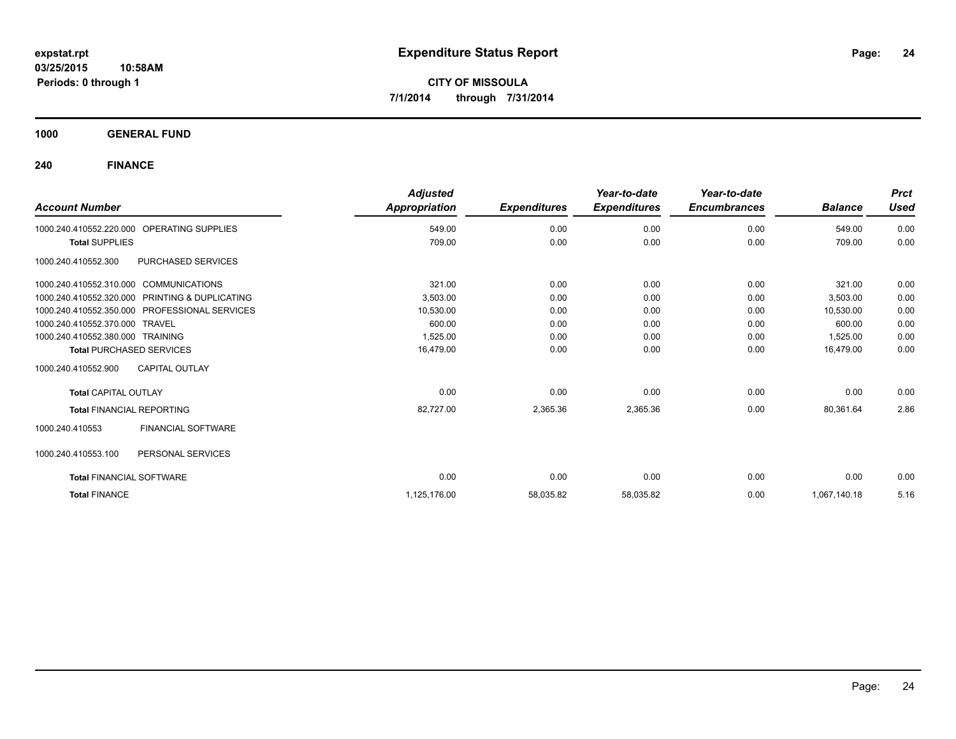**1000 GENERAL FUND**

| <b>Account Number</b>                                | <b>Adjusted</b><br>Appropriation | <b>Expenditures</b> | Year-to-date<br><b>Expenditures</b> | Year-to-date<br><b>Encumbrances</b> | <b>Balance</b> | <b>Prct</b><br><b>Used</b> |
|------------------------------------------------------|----------------------------------|---------------------|-------------------------------------|-------------------------------------|----------------|----------------------------|
| <b>OPERATING SUPPLIES</b><br>1000.240.410552.220.000 | 549.00                           | 0.00                | 0.00                                | 0.00                                | 549.00         | 0.00                       |
| <b>Total SUPPLIES</b>                                | 709.00                           | 0.00                | 0.00                                | 0.00                                | 709.00         | 0.00                       |
| PURCHASED SERVICES<br>1000.240.410552.300            |                                  |                     |                                     |                                     |                |                            |
| 1000.240.410552.310.000 COMMUNICATIONS               | 321.00                           | 0.00                | 0.00                                | 0.00                                | 321.00         | 0.00                       |
| 1000.240.410552.320.000 PRINTING & DUPLICATING       | 3,503.00                         | 0.00                | 0.00                                | 0.00                                | 3,503.00       | 0.00                       |
| 1000.240.410552.350.000 PROFESSIONAL SERVICES        | 10,530.00                        | 0.00                | 0.00                                | 0.00                                | 10,530.00      | 0.00                       |
| 1000.240.410552.370.000 TRAVEL                       | 600.00                           | 0.00                | 0.00                                | 0.00                                | 600.00         | 0.00                       |
| 1000.240.410552.380.000 TRAINING                     | 1,525.00                         | 0.00                | 0.00                                | 0.00                                | 1,525.00       | 0.00                       |
| <b>Total PURCHASED SERVICES</b>                      | 16,479.00                        | 0.00                | 0.00                                | 0.00                                | 16.479.00      | 0.00                       |
| 1000.240.410552.900<br><b>CAPITAL OUTLAY</b>         |                                  |                     |                                     |                                     |                |                            |
| <b>Total CAPITAL OUTLAY</b>                          | 0.00                             | 0.00                | 0.00                                | 0.00                                | 0.00           | 0.00                       |
| <b>Total FINANCIAL REPORTING</b>                     | 82,727.00                        | 2,365.36            | 2,365.36                            | 0.00                                | 80,361.64      | 2.86                       |
| FINANCIAL SOFTWARE<br>1000.240.410553                |                                  |                     |                                     |                                     |                |                            |
| 1000.240.410553.100<br>PERSONAL SERVICES             |                                  |                     |                                     |                                     |                |                            |
| <b>Total FINANCIAL SOFTWARE</b>                      | 0.00                             | 0.00                | 0.00                                | 0.00                                | 0.00           | 0.00                       |
| <b>Total FINANCE</b>                                 | 1,125,176.00                     | 58,035.82           | 58,035.82                           | 0.00                                | 1,067,140.18   | 5.16                       |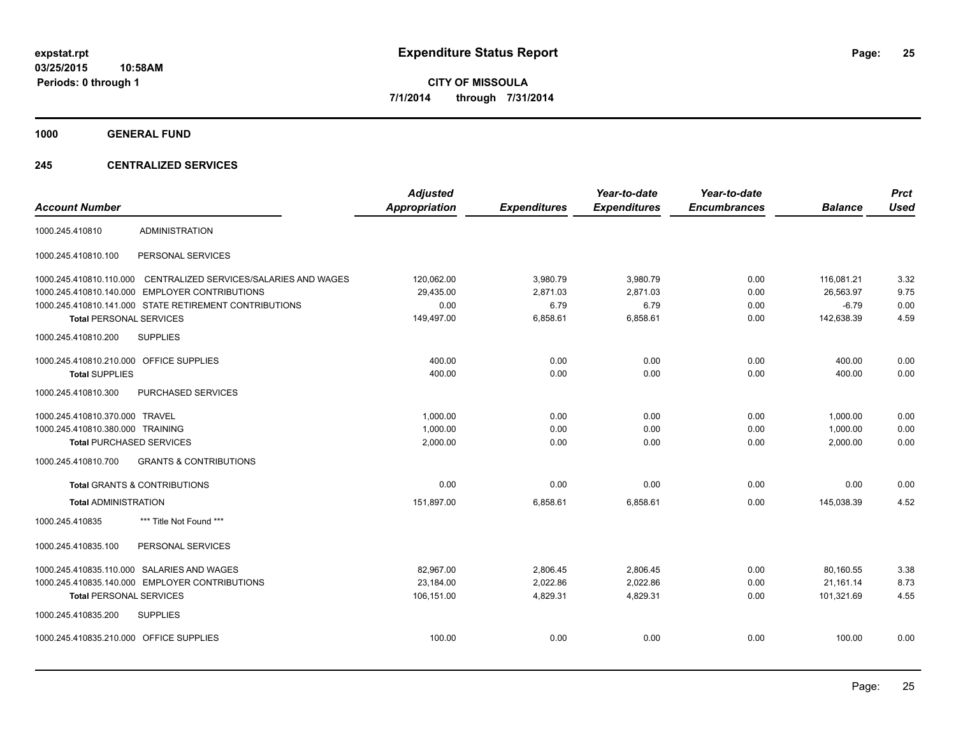**1000 GENERAL FUND**

#### **245 CENTRALIZED SERVICES**

| <b>Account Number</b>                   |                                                        | <b>Adjusted</b><br><b>Appropriation</b> | <b>Expenditures</b> | Year-to-date<br><b>Expenditures</b> | Year-to-date<br><b>Encumbrances</b> | <b>Balance</b> | <b>Prct</b><br><b>Used</b> |
|-----------------------------------------|--------------------------------------------------------|-----------------------------------------|---------------------|-------------------------------------|-------------------------------------|----------------|----------------------------|
| 1000.245.410810                         | <b>ADMINISTRATION</b>                                  |                                         |                     |                                     |                                     |                |                            |
| 1000.245.410810.100                     | PERSONAL SERVICES                                      |                                         |                     |                                     |                                     |                |                            |
| 1000.245.410810.110.000                 | CENTRALIZED SERVICES/SALARIES AND WAGES                | 120,062.00                              | 3,980.79            | 3,980.79                            | 0.00                                | 116,081.21     | 3.32                       |
| 1000.245.410810.140.000                 | <b>EMPLOYER CONTRIBUTIONS</b>                          | 29,435.00                               | 2,871.03            | 2,871.03                            | 0.00                                | 26,563.97      | 9.75                       |
|                                         | 1000.245.410810.141.000 STATE RETIREMENT CONTRIBUTIONS | 0.00                                    | 6.79                | 6.79                                | 0.00                                | $-6.79$        | 0.00                       |
| <b>Total PERSONAL SERVICES</b>          |                                                        | 149,497.00                              | 6,858.61            | 6,858.61                            | 0.00                                | 142,638.39     | 4.59                       |
| 1000.245.410810.200                     | <b>SUPPLIES</b>                                        |                                         |                     |                                     |                                     |                |                            |
| 1000.245.410810.210.000 OFFICE SUPPLIES |                                                        | 400.00                                  | 0.00                | 0.00                                | 0.00                                | 400.00         | 0.00                       |
| <b>Total SUPPLIES</b>                   |                                                        | 400.00                                  | 0.00                | 0.00                                | 0.00                                | 400.00         | 0.00                       |
| 1000.245.410810.300                     | PURCHASED SERVICES                                     |                                         |                     |                                     |                                     |                |                            |
| 1000.245.410810.370.000 TRAVEL          |                                                        | 1,000.00                                | 0.00                | 0.00                                | 0.00                                | 1,000.00       | 0.00                       |
| 1000.245.410810.380.000 TRAINING        |                                                        | 1,000.00                                | 0.00                | 0.00                                | 0.00                                | 1,000.00       | 0.00                       |
| <b>Total PURCHASED SERVICES</b>         |                                                        | 2,000.00                                | 0.00                | 0.00                                | 0.00                                | 2,000.00       | 0.00                       |
| 1000.245.410810.700                     | <b>GRANTS &amp; CONTRIBUTIONS</b>                      |                                         |                     |                                     |                                     |                |                            |
|                                         | <b>Total GRANTS &amp; CONTRIBUTIONS</b>                | 0.00                                    | 0.00                | 0.00                                | 0.00                                | 0.00           | 0.00                       |
| <b>Total ADMINISTRATION</b>             |                                                        | 151,897.00                              | 6,858.61            | 6,858.61                            | 0.00                                | 145,038.39     | 4.52                       |
| 1000.245.410835                         | *** Title Not Found ***                                |                                         |                     |                                     |                                     |                |                            |
| 1000.245.410835.100                     | PERSONAL SERVICES                                      |                                         |                     |                                     |                                     |                |                            |
|                                         | 1000.245.410835.110.000 SALARIES AND WAGES             | 82,967.00                               | 2,806.45            | 2,806.45                            | 0.00                                | 80,160.55      | 3.38                       |
|                                         | 1000.245.410835.140.000 EMPLOYER CONTRIBUTIONS         | 23,184.00                               | 2,022.86            | 2,022.86                            | 0.00                                | 21,161.14      | 8.73                       |
| <b>Total PERSONAL SERVICES</b>          |                                                        | 106,151.00                              | 4,829.31            | 4,829.31                            | 0.00                                | 101,321.69     | 4.55                       |
| 1000.245.410835.200                     | <b>SUPPLIES</b>                                        |                                         |                     |                                     |                                     |                |                            |
| 1000.245.410835.210.000 OFFICE SUPPLIES |                                                        | 100.00                                  | 0.00                | 0.00                                | 0.00                                | 100.00         | 0.00                       |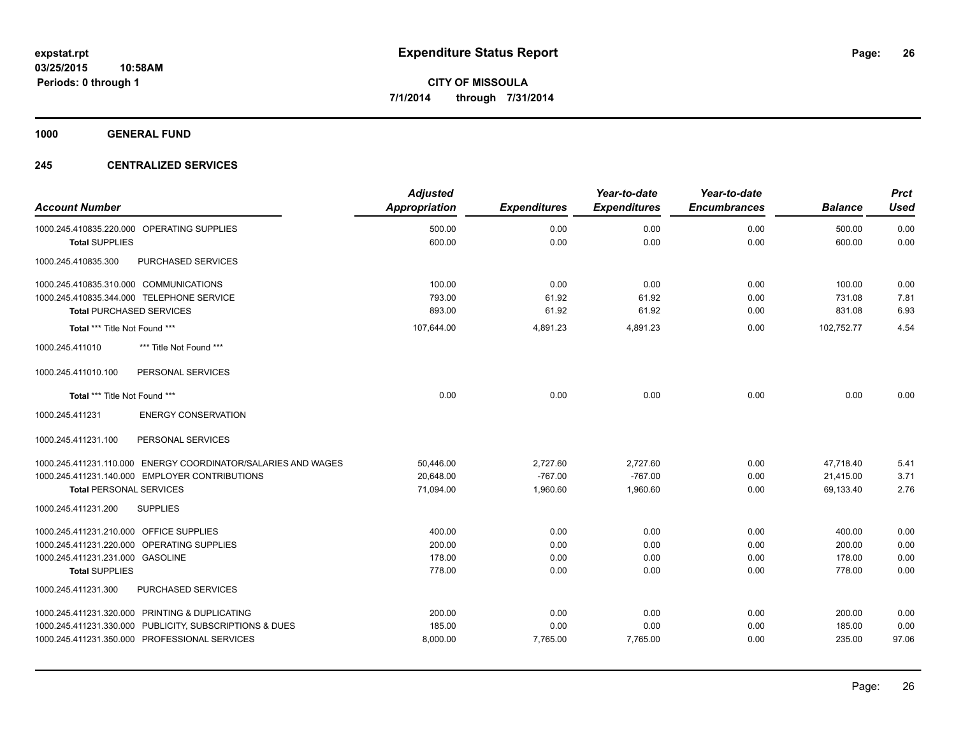**1000 GENERAL FUND**

#### **245 CENTRALIZED SERVICES**

| <b>Account Number</b>                                         | <b>Adjusted</b><br>Appropriation | <b>Expenditures</b> | Year-to-date<br><b>Expenditures</b> | Year-to-date<br><b>Encumbrances</b> | <b>Balance</b> | <b>Prct</b><br><b>Used</b> |
|---------------------------------------------------------------|----------------------------------|---------------------|-------------------------------------|-------------------------------------|----------------|----------------------------|
| 1000.245.410835.220.000 OPERATING SUPPLIES                    | 500.00                           | 0.00                | 0.00                                | 0.00                                | 500.00         | 0.00                       |
| <b>Total SUPPLIES</b>                                         | 600.00                           | 0.00                | 0.00                                | 0.00                                | 600.00         | 0.00                       |
| PURCHASED SERVICES<br>1000.245.410835.300                     |                                  |                     |                                     |                                     |                |                            |
| 1000.245.410835.310.000 COMMUNICATIONS                        | 100.00                           | 0.00                | 0.00                                | 0.00                                | 100.00         | 0.00                       |
| 1000.245.410835.344.000 TELEPHONE SERVICE                     | 793.00                           | 61.92               | 61.92                               | 0.00                                | 731.08         | 7.81                       |
| <b>Total PURCHASED SERVICES</b>                               | 893.00                           | 61.92               | 61.92                               | 0.00                                | 831.08         | 6.93                       |
| Total *** Title Not Found ***                                 | 107,644.00                       | 4,891.23            | 4,891.23                            | 0.00                                | 102,752.77     | 4.54                       |
| *** Title Not Found ***<br>1000.245.411010                    |                                  |                     |                                     |                                     |                |                            |
| PERSONAL SERVICES<br>1000.245.411010.100                      |                                  |                     |                                     |                                     |                |                            |
| Total *** Title Not Found ***                                 | 0.00                             | 0.00                | 0.00                                | 0.00                                | 0.00           | 0.00                       |
| <b>ENERGY CONSERVATION</b><br>1000.245.411231                 |                                  |                     |                                     |                                     |                |                            |
| 1000.245.411231.100<br>PERSONAL SERVICES                      |                                  |                     |                                     |                                     |                |                            |
| 1000.245.411231.110.000 ENERGY COORDINATOR/SALARIES AND WAGES | 50,446.00                        | 2,727.60            | 2,727.60                            | 0.00                                | 47,718.40      | 5.41                       |
| 1000.245.411231.140.000 EMPLOYER CONTRIBUTIONS                | 20.648.00                        | $-767.00$           | $-767.00$                           | 0.00                                | 21.415.00      | 3.71                       |
| <b>Total PERSONAL SERVICES</b>                                | 71,094.00                        | 1,960.60            | 1,960.60                            | 0.00                                | 69,133.40      | 2.76                       |
| 1000.245.411231.200<br><b>SUPPLIES</b>                        |                                  |                     |                                     |                                     |                |                            |
| 1000.245.411231.210.000 OFFICE SUPPLIES                       | 400.00                           | 0.00                | 0.00                                | 0.00                                | 400.00         | 0.00                       |
| 1000.245.411231.220.000 OPERATING SUPPLIES                    | 200.00                           | 0.00                | 0.00                                | 0.00                                | 200.00         | 0.00                       |
| 1000.245.411231.231.000 GASOLINE                              | 178.00                           | 0.00                | 0.00                                | 0.00                                | 178.00         | 0.00                       |
| <b>Total SUPPLIES</b>                                         | 778.00                           | 0.00                | 0.00                                | 0.00                                | 778.00         | 0.00                       |
| 1000.245.411231.300<br>PURCHASED SERVICES                     |                                  |                     |                                     |                                     |                |                            |
| 1000.245.411231.320.000 PRINTING & DUPLICATING                | 200.00                           | 0.00                | 0.00                                | 0.00                                | 200.00         | 0.00                       |
| 1000.245.411231.330.000 PUBLICITY, SUBSCRIPTIONS & DUES       | 185.00                           | 0.00                | 0.00                                | 0.00                                | 185.00         | 0.00                       |
| 1000.245.411231.350.000 PROFESSIONAL SERVICES                 | 8,000.00                         | 7,765.00            | 7,765.00                            | 0.00                                | 235.00         | 97.06                      |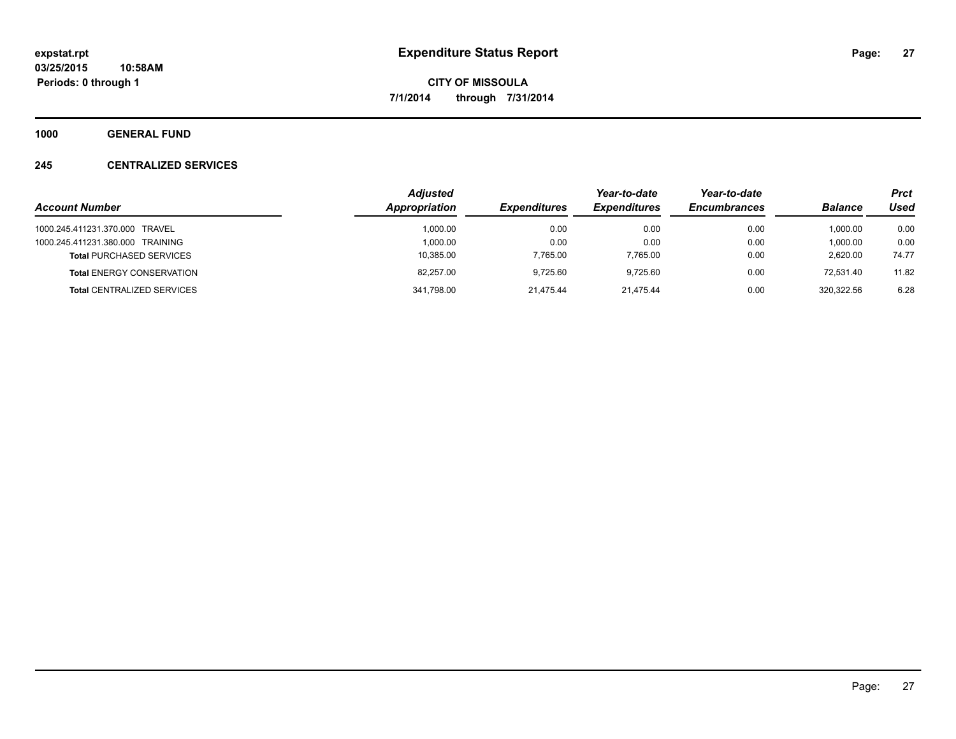**1000 GENERAL FUND**

#### **245 CENTRALIZED SERVICES**

|                                   | <b>Adjusted</b> |                     | Year-to-date        | Year-to-date        |                | <b>Prct</b> |
|-----------------------------------|-----------------|---------------------|---------------------|---------------------|----------------|-------------|
| <b>Account Number</b>             | Appropriation   | <b>Expenditures</b> | <b>Expenditures</b> | <b>Encumbrances</b> | <b>Balance</b> | Used        |
| 1000.245.411231.370.000 TRAVEL    | 1.000.00        | 0.00                | 0.00                | 0.00                | 1.000.00       | 0.00        |
| 1000.245.411231.380.000 TRAINING  | 1.000.00        | 0.00                | 0.00                | 0.00                | 1,000.00       | 0.00        |
| <b>Total PURCHASED SERVICES</b>   | 10,385.00       | 7.765.00            | 7,765.00            | 0.00                | 2.620.00       | 74.77       |
| <b>Total ENERGY CONSERVATION</b>  | 82.257.00       | 9.725.60            | 9.725.60            | 0.00                | 72.531.40      | 11.82       |
| <b>Total CENTRALIZED SERVICES</b> | 341,798.00      | 21.475.44           | 21.475.44           | 0.00                | 320.322.56     | 6.28        |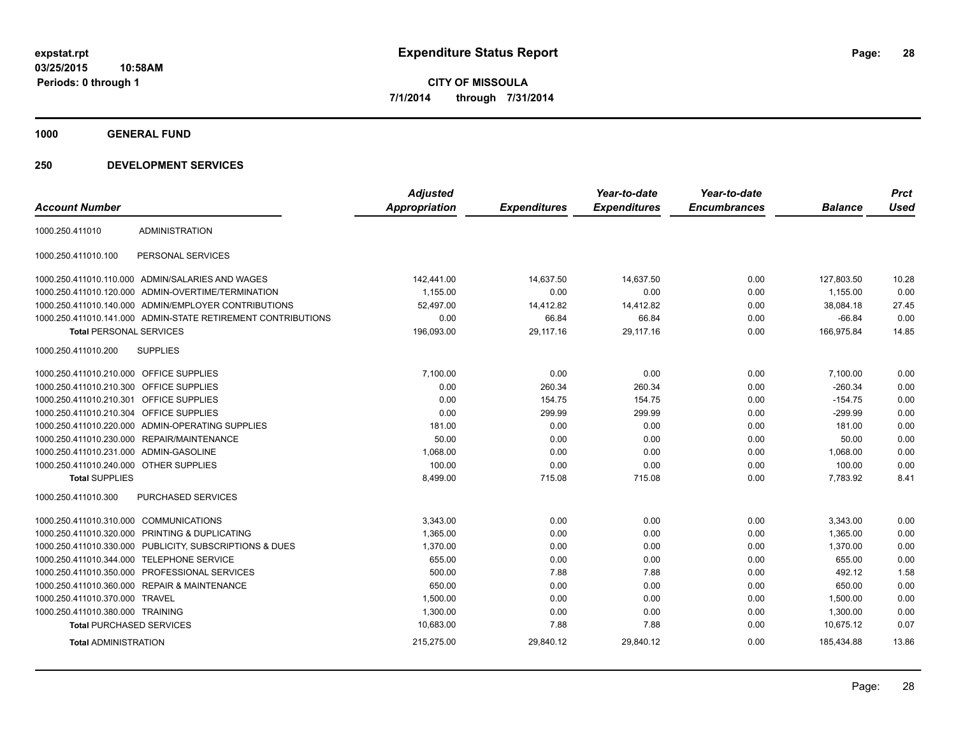**1000 GENERAL FUND**

| <b>Account Number</b>                   |                                                              | <b>Adjusted</b><br>Appropriation | <b>Expenditures</b> | Year-to-date<br><b>Expenditures</b> | Year-to-date<br><b>Encumbrances</b> | <b>Balance</b> | <b>Prct</b><br><b>Used</b> |
|-----------------------------------------|--------------------------------------------------------------|----------------------------------|---------------------|-------------------------------------|-------------------------------------|----------------|----------------------------|
| 1000.250.411010                         | <b>ADMINISTRATION</b>                                        |                                  |                     |                                     |                                     |                |                            |
| 1000.250.411010.100                     | PERSONAL SERVICES                                            |                                  |                     |                                     |                                     |                |                            |
|                                         | 1000.250.411010.110.000 ADMIN/SALARIES AND WAGES             | 142,441.00                       | 14,637.50           | 14,637.50                           | 0.00                                | 127,803.50     | 10.28                      |
|                                         | 1000.250.411010.120.000 ADMIN-OVERTIME/TERMINATION           | 1,155.00                         | 0.00                | 0.00                                | 0.00                                | 1,155.00       | 0.00                       |
|                                         | 1000.250.411010.140.000 ADMIN/EMPLOYER CONTRIBUTIONS         | 52,497.00                        | 14,412.82           | 14,412.82                           | 0.00                                | 38,084.18      | 27.45                      |
|                                         | 1000.250.411010.141.000 ADMIN-STATE RETIREMENT CONTRIBUTIONS | 0.00                             | 66.84               | 66.84                               | 0.00                                | $-66.84$       | 0.00                       |
| <b>Total PERSONAL SERVICES</b>          |                                                              | 196,093.00                       | 29,117.16           | 29,117.16                           | 0.00                                | 166,975.84     | 14.85                      |
| 1000.250.411010.200                     | <b>SUPPLIES</b>                                              |                                  |                     |                                     |                                     |                |                            |
| 1000.250.411010.210.000 OFFICE SUPPLIES |                                                              | 7,100.00                         | 0.00                | 0.00                                | 0.00                                | 7,100.00       | 0.00                       |
| 1000.250.411010.210.300 OFFICE SUPPLIES |                                                              | 0.00                             | 260.34              | 260.34                              | 0.00                                | $-260.34$      | 0.00                       |
| 1000.250.411010.210.301                 | <b>OFFICE SUPPLIES</b>                                       | 0.00                             | 154.75              | 154.75                              | 0.00                                | $-154.75$      | 0.00                       |
| 1000.250.411010.210.304 OFFICE SUPPLIES |                                                              | 0.00                             | 299.99              | 299.99                              | 0.00                                | $-299.99$      | 0.00                       |
|                                         | 1000.250.411010.220.000 ADMIN-OPERATING SUPPLIES             | 181.00                           | 0.00                | 0.00                                | 0.00                                | 181.00         | 0.00                       |
| 1000.250.411010.230.000                 | <b>REPAIR/MAINTENANCE</b>                                    | 50.00                            | 0.00                | 0.00                                | 0.00                                | 50.00          | 0.00                       |
| 1000.250.411010.231.000 ADMIN-GASOLINE  |                                                              | 1.068.00                         | 0.00                | 0.00                                | 0.00                                | 1,068.00       | 0.00                       |
| 1000.250.411010.240.000 OTHER SUPPLIES  |                                                              | 100.00                           | 0.00                | 0.00                                | 0.00                                | 100.00         | 0.00                       |
| <b>Total SUPPLIES</b>                   |                                                              | 8,499.00                         | 715.08              | 715.08                              | 0.00                                | 7,783.92       | 8.41                       |
| 1000.250.411010.300                     | PURCHASED SERVICES                                           |                                  |                     |                                     |                                     |                |                            |
| 1000.250.411010.310.000 COMMUNICATIONS  |                                                              | 3,343.00                         | 0.00                | 0.00                                | 0.00                                | 3,343.00       | 0.00                       |
|                                         | 1000.250.411010.320.000 PRINTING & DUPLICATING               | 1,365.00                         | 0.00                | 0.00                                | 0.00                                | 1,365.00       | 0.00                       |
|                                         | 1000.250.411010.330.000 PUBLICITY, SUBSCRIPTIONS & DUES      | 1,370.00                         | 0.00                | 0.00                                | 0.00                                | 1,370.00       | 0.00                       |
| 1000.250.411010.344.000                 | <b>TELEPHONE SERVICE</b>                                     | 655.00                           | 0.00                | 0.00                                | 0.00                                | 655.00         | 0.00                       |
|                                         | 1000.250.411010.350.000 PROFESSIONAL SERVICES                | 500.00                           | 7.88                | 7.88                                | 0.00                                | 492.12         | 1.58                       |
|                                         | 1000.250.411010.360.000 REPAIR & MAINTENANCE                 | 650.00                           | 0.00                | 0.00                                | 0.00                                | 650.00         | 0.00                       |
| 1000.250.411010.370.000 TRAVEL          |                                                              | 1,500.00                         | 0.00                | 0.00                                | 0.00                                | 1,500.00       | 0.00                       |
| 1000.250.411010.380.000 TRAINING        |                                                              | 1,300.00                         | 0.00                | 0.00                                | 0.00                                | 1,300.00       | 0.00                       |
| <b>Total PURCHASED SERVICES</b>         |                                                              | 10,683.00                        | 7.88                | 7.88                                | 0.00                                | 10,675.12      | 0.07                       |
| <b>Total ADMINISTRATION</b>             |                                                              | 215,275.00                       | 29,840.12           | 29,840.12                           | 0.00                                | 185,434.88     | 13.86                      |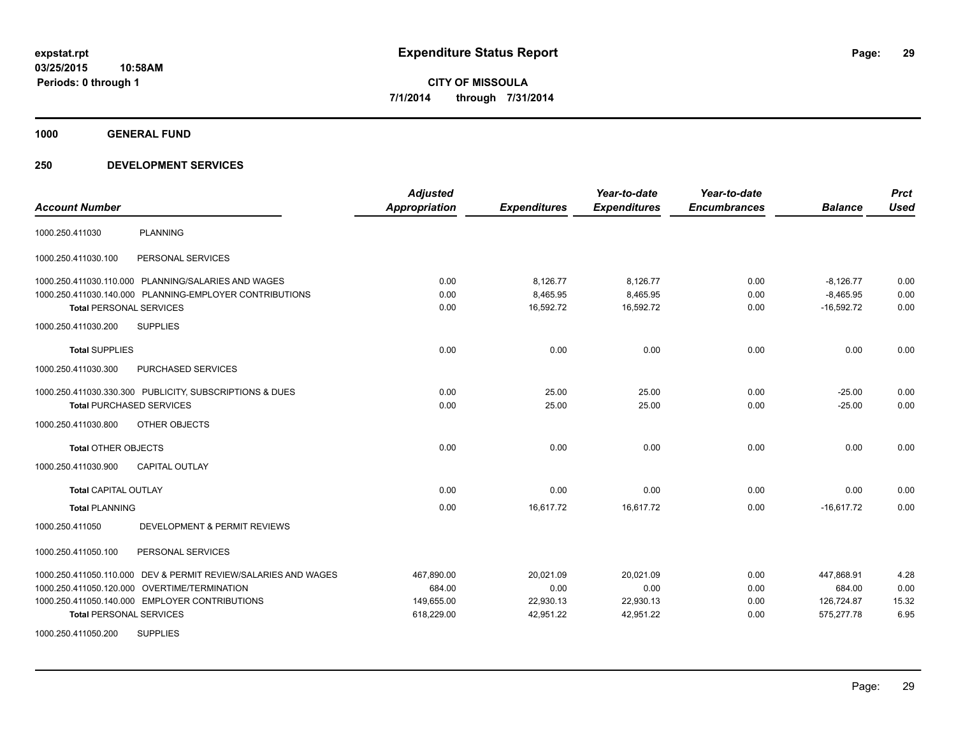**1000 GENERAL FUND**

| <b>Account Number</b>                                          | <b>Adjusted</b><br><b>Appropriation</b> | <b>Expenditures</b> | Year-to-date<br><b>Expenditures</b> | Year-to-date<br><b>Encumbrances</b> | <b>Balance</b> | <b>Prct</b><br><b>Used</b> |
|----------------------------------------------------------------|-----------------------------------------|---------------------|-------------------------------------|-------------------------------------|----------------|----------------------------|
| <b>PLANNING</b><br>1000.250.411030                             |                                         |                     |                                     |                                     |                |                            |
| PERSONAL SERVICES<br>1000.250.411030.100                       |                                         |                     |                                     |                                     |                |                            |
| 1000.250.411030.110.000 PLANNING/SALARIES AND WAGES            | 0.00                                    | 8,126.77            | 8,126.77                            | 0.00                                | $-8,126.77$    | 0.00                       |
| 1000.250.411030.140.000 PLANNING-EMPLOYER CONTRIBUTIONS        | 0.00                                    | 8,465.95            | 8,465.95                            | 0.00                                | $-8,465.95$    | 0.00                       |
| <b>Total PERSONAL SERVICES</b>                                 | 0.00                                    | 16,592.72           | 16,592.72                           | 0.00                                | $-16,592.72$   | 0.00                       |
| <b>SUPPLIES</b><br>1000.250.411030.200                         |                                         |                     |                                     |                                     |                |                            |
| <b>Total SUPPLIES</b>                                          | 0.00                                    | 0.00                | 0.00                                | 0.00                                | 0.00           | 0.00                       |
| 1000.250.411030.300<br>PURCHASED SERVICES                      |                                         |                     |                                     |                                     |                |                            |
| 1000.250.411030.330.300 PUBLICITY, SUBSCRIPTIONS & DUES        | 0.00                                    | 25.00               | 25.00                               | 0.00                                | $-25.00$       | 0.00                       |
| <b>Total PURCHASED SERVICES</b>                                | 0.00                                    | 25.00               | 25.00                               | 0.00                                | $-25.00$       | 0.00                       |
| 1000.250.411030.800<br>OTHER OBJECTS                           |                                         |                     |                                     |                                     |                |                            |
| <b>Total OTHER OBJECTS</b>                                     | 0.00                                    | 0.00                | 0.00                                | 0.00                                | 0.00           | 0.00                       |
| 1000.250.411030.900<br><b>CAPITAL OUTLAY</b>                   |                                         |                     |                                     |                                     |                |                            |
| <b>Total CAPITAL OUTLAY</b>                                    | 0.00                                    | 0.00                | 0.00                                | 0.00                                | 0.00           | 0.00                       |
| <b>Total PLANNING</b>                                          | 0.00                                    | 16,617.72           | 16,617.72                           | 0.00                                | $-16.617.72$   | 0.00                       |
| <b>DEVELOPMENT &amp; PERMIT REVIEWS</b><br>1000.250.411050     |                                         |                     |                                     |                                     |                |                            |
| 1000.250.411050.100<br>PERSONAL SERVICES                       |                                         |                     |                                     |                                     |                |                            |
| 1000.250.411050.110.000 DEV & PERMIT REVIEW/SALARIES AND WAGES | 467,890.00                              | 20,021.09           | 20,021.09                           | 0.00                                | 447,868.91     | 4.28                       |
| 1000.250.411050.120.000 OVERTIME/TERMINATION                   | 684.00                                  | 0.00                | 0.00                                | 0.00                                | 684.00         | 0.00                       |
| 1000.250.411050.140.000 EMPLOYER CONTRIBUTIONS                 | 149,655.00                              | 22,930.13           | 22,930.13                           | 0.00                                | 126,724.87     | 15.32                      |
| <b>Total PERSONAL SERVICES</b>                                 | 618,229.00                              | 42,951.22           | 42,951.22                           | 0.00                                | 575,277.78     | 6.95                       |
| 1000.250.411050.200<br><b>SUPPLIES</b>                         |                                         |                     |                                     |                                     |                |                            |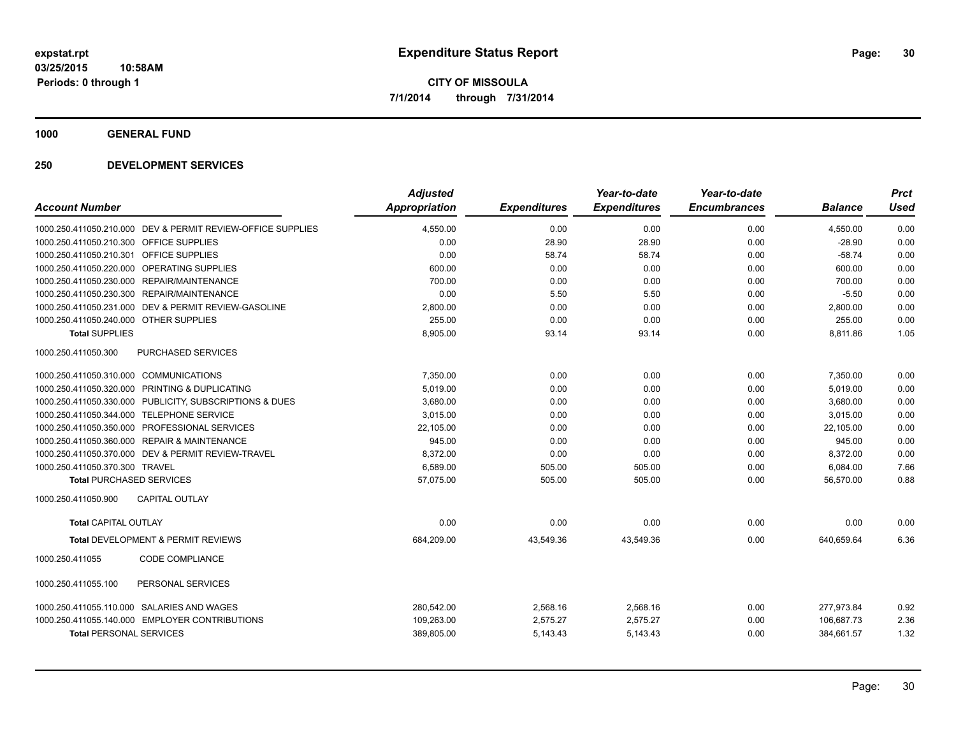**1000 GENERAL FUND**

| <b>Account Number</b>                                       | <b>Adjusted</b><br><b>Appropriation</b> | <b>Expenditures</b> | Year-to-date<br><b>Expenditures</b> | Year-to-date<br><b>Encumbrances</b> | <b>Balance</b> | <b>Prct</b><br><b>Used</b> |
|-------------------------------------------------------------|-----------------------------------------|---------------------|-------------------------------------|-------------------------------------|----------------|----------------------------|
|                                                             |                                         |                     |                                     |                                     |                |                            |
| 1000.250.411050.210.000 DEV & PERMIT REVIEW-OFFICE SUPPLIES | 4,550.00                                | 0.00                | 0.00                                | 0.00                                | 4,550.00       | 0.00                       |
| 1000.250.411050.210.300 OFFICE SUPPLIES                     | 0.00                                    | 28.90               | 28.90                               | 0.00                                | $-28.90$       | 0.00                       |
| 1000.250.411050.210.301 OFFICE SUPPLIES                     | 0.00                                    | 58.74               | 58.74                               | 0.00                                | $-58.74$       | 0.00                       |
| 1000.250.411050.220.000 OPERATING SUPPLIES                  | 600.00                                  | 0.00                | 0.00                                | 0.00                                | 600.00         | 0.00                       |
| <b>REPAIR/MAINTENANCE</b><br>1000.250.411050.230.000        | 700.00                                  | 0.00                | 0.00                                | 0.00                                | 700.00         | 0.00                       |
| 1000.250.411050.230.300 REPAIR/MAINTENANCE                  | 0.00                                    | 5.50                | 5.50                                | 0.00                                | $-5.50$        | 0.00                       |
| 1000.250.411050.231.000<br>DEV & PERMIT REVIEW-GASOLINE     | 2,800.00                                | 0.00                | 0.00                                | 0.00                                | 2,800.00       | 0.00                       |
| 1000.250.411050.240.000 OTHER SUPPLIES                      | 255.00                                  | 0.00                | 0.00                                | 0.00                                | 255.00         | 0.00                       |
| <b>Total SUPPLIES</b>                                       | 8,905.00                                | 93.14               | 93.14                               | 0.00                                | 8,811.86       | 1.05                       |
| <b>PURCHASED SERVICES</b><br>1000.250.411050.300            |                                         |                     |                                     |                                     |                |                            |
| 1000.250.411050.310.000 COMMUNICATIONS                      | 7,350.00                                | 0.00                | 0.00                                | 0.00                                | 7,350.00       | 0.00                       |
| 1000.250.411050.320.000 PRINTING & DUPLICATING              | 5,019.00                                | 0.00                | 0.00                                | 0.00                                | 5,019.00       | 0.00                       |
| 1000.250.411050.330.000 PUBLICITY, SUBSCRIPTIONS & DUES     | 3,680.00                                | 0.00                | 0.00                                | 0.00                                | 3,680.00       | 0.00                       |
| 1000.250.411050.344.000 TELEPHONE SERVICE                   | 3.015.00                                | 0.00                | 0.00                                | 0.00                                | 3.015.00       | 0.00                       |
| PROFESSIONAL SERVICES<br>1000.250.411050.350.000            | 22,105.00                               | 0.00                | 0.00                                | 0.00                                | 22,105.00      | 0.00                       |
| 1000.250.411050.360.000 REPAIR & MAINTENANCE                | 945.00                                  | 0.00                | 0.00                                | 0.00                                | 945.00         | 0.00                       |
| 1000.250.411050.370.000 DEV & PERMIT REVIEW-TRAVEL          | 8,372.00                                | 0.00                | 0.00                                | 0.00                                | 8,372.00       | 0.00                       |
| 1000.250.411050.370.300 TRAVEL                              | 6,589.00                                | 505.00              | 505.00                              | 0.00                                | 6,084.00       | 7.66                       |
| <b>Total PURCHASED SERVICES</b>                             | 57,075.00                               | 505.00              | 505.00                              | 0.00                                | 56,570.00      | 0.88                       |
| CAPITAL OUTLAY<br>1000.250.411050.900                       |                                         |                     |                                     |                                     |                |                            |
| <b>Total CAPITAL OUTLAY</b>                                 | 0.00                                    | 0.00                | 0.00                                | 0.00                                | 0.00           | 0.00                       |
| Total DEVELOPMENT & PERMIT REVIEWS                          | 684,209.00                              | 43,549.36           | 43,549.36                           | 0.00                                | 640,659.64     | 6.36                       |
| <b>CODE COMPLIANCE</b><br>1000.250.411055                   |                                         |                     |                                     |                                     |                |                            |
| 1000.250.411055.100<br>PERSONAL SERVICES                    |                                         |                     |                                     |                                     |                |                            |
| 1000.250.411055.110.000 SALARIES AND WAGES                  | 280,542.00                              | 2,568.16            | 2,568.16                            | 0.00                                | 277,973.84     | 0.92                       |
| 1000.250.411055.140.000 EMPLOYER CONTRIBUTIONS              | 109,263.00                              | 2,575.27            | 2,575.27                            | 0.00                                | 106,687.73     | 2.36                       |
| <b>Total PERSONAL SERVICES</b>                              | 389,805.00                              | 5,143.43            | 5,143.43                            | 0.00                                | 384,661.57     | 1.32                       |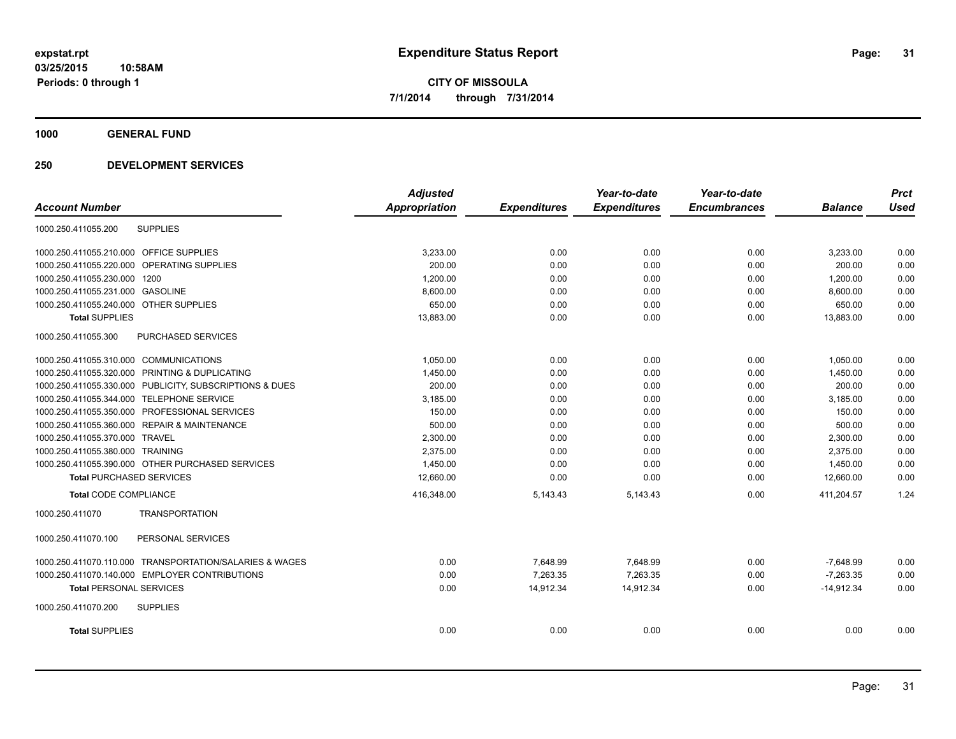**1000 GENERAL FUND**

|                                                         | <b>Adjusted</b> |                     | Year-to-date        | Year-to-date        |                | <b>Prct</b> |
|---------------------------------------------------------|-----------------|---------------------|---------------------|---------------------|----------------|-------------|
| <b>Account Number</b>                                   | Appropriation   | <b>Expenditures</b> | <b>Expenditures</b> | <b>Encumbrances</b> | <b>Balance</b> | <b>Used</b> |
| 1000.250.411055.200<br><b>SUPPLIES</b>                  |                 |                     |                     |                     |                |             |
| 1000.250.411055.210.000 OFFICE SUPPLIES                 | 3,233.00        | 0.00                | 0.00                | 0.00                | 3,233.00       | 0.00        |
| 1000.250.411055.220.000 OPERATING SUPPLIES              | 200.00          | 0.00                | 0.00                | 0.00                | 200.00         | 0.00        |
| 1000.250.411055.230.000 1200                            | 1.200.00        | 0.00                | 0.00                | 0.00                | 1,200.00       | 0.00        |
| 1000.250.411055.231.000 GASOLINE                        | 8,600.00        | 0.00                | 0.00                | 0.00                | 8,600.00       | 0.00        |
| 1000.250.411055.240.000 OTHER SUPPLIES                  | 650.00          | 0.00                | 0.00                | 0.00                | 650.00         | 0.00        |
| <b>Total SUPPLIES</b>                                   | 13,883.00       | 0.00                | 0.00                | 0.00                | 13,883.00      | 0.00        |
| 1000.250.411055.300<br><b>PURCHASED SERVICES</b>        |                 |                     |                     |                     |                |             |
| 1000.250.411055.310.000 COMMUNICATIONS                  | 1,050.00        | 0.00                | 0.00                | 0.00                | 1,050.00       | 0.00        |
| 1000.250.411055.320.000 PRINTING & DUPLICATING          | 1,450.00        | 0.00                | 0.00                | 0.00                | 1,450.00       | 0.00        |
| 1000.250.411055.330.000 PUBLICITY, SUBSCRIPTIONS & DUES | 200.00          | 0.00                | 0.00                | 0.00                | 200.00         | 0.00        |
| 1000.250.411055.344.000 TELEPHONE SERVICE               | 3,185.00        | 0.00                | 0.00                | 0.00                | 3,185.00       | 0.00        |
| 1000.250.411055.350.000 PROFESSIONAL SERVICES           | 150.00          | 0.00                | 0.00                | 0.00                | 150.00         | 0.00        |
| 1000.250.411055.360.000 REPAIR & MAINTENANCE            | 500.00          | 0.00                | 0.00                | 0.00                | 500.00         | 0.00        |
| 1000.250.411055.370.000 TRAVEL                          | 2,300.00        | 0.00                | 0.00                | 0.00                | 2,300.00       | 0.00        |
| 1000.250.411055.380.000 TRAINING                        | 2,375.00        | 0.00                | 0.00                | 0.00                | 2,375.00       | 0.00        |
| 1000.250.411055.390.000 OTHER PURCHASED SERVICES        | 1,450.00        | 0.00                | 0.00                | 0.00                | 1,450.00       | 0.00        |
| <b>Total PURCHASED SERVICES</b>                         | 12,660.00       | 0.00                | 0.00                | 0.00                | 12.660.00      | 0.00        |
| <b>Total CODE COMPLIANCE</b>                            | 416,348.00      | 5,143.43            | 5,143.43            | 0.00                | 411,204.57     | 1.24        |
| <b>TRANSPORTATION</b><br>1000.250.411070                |                 |                     |                     |                     |                |             |
| 1000.250.411070.100<br>PERSONAL SERVICES                |                 |                     |                     |                     |                |             |
| 1000.250.411070.110.000 TRANSPORTATION/SALARIES & WAGES | 0.00            | 7,648.99            | 7,648.99            | 0.00                | $-7,648.99$    | 0.00        |
| 1000.250.411070.140.000 EMPLOYER CONTRIBUTIONS          | 0.00            | 7.263.35            | 7.263.35            | 0.00                | $-7.263.35$    | 0.00        |
| <b>Total PERSONAL SERVICES</b>                          | 0.00            | 14,912.34           | 14,912.34           | 0.00                | $-14,912.34$   | 0.00        |
| 1000.250.411070.200<br><b>SUPPLIES</b>                  |                 |                     |                     |                     |                |             |
| <b>Total SUPPLIES</b>                                   | 0.00            | 0.00                | 0.00                | 0.00                | 0.00           | 0.00        |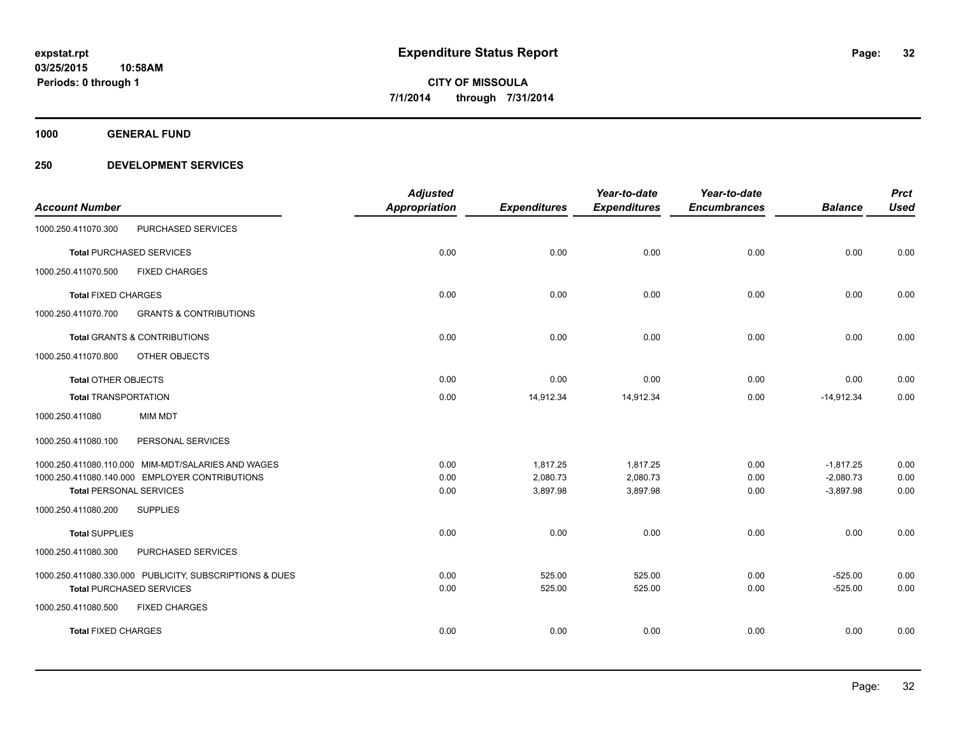**1000 GENERAL FUND**

|                                |                                                         | <b>Adjusted</b>      |                     | Year-to-date        | Year-to-date        |                | <b>Prct</b> |
|--------------------------------|---------------------------------------------------------|----------------------|---------------------|---------------------|---------------------|----------------|-------------|
| <b>Account Number</b>          |                                                         | <b>Appropriation</b> | <b>Expenditures</b> | <b>Expenditures</b> | <b>Encumbrances</b> | <b>Balance</b> | <b>Used</b> |
| 1000.250.411070.300            | PURCHASED SERVICES                                      |                      |                     |                     |                     |                |             |
|                                | <b>Total PURCHASED SERVICES</b>                         | 0.00                 | 0.00                | 0.00                | 0.00                | 0.00           | 0.00        |
| 1000.250.411070.500            | <b>FIXED CHARGES</b>                                    |                      |                     |                     |                     |                |             |
| <b>Total FIXED CHARGES</b>     |                                                         | 0.00                 | 0.00                | 0.00                | 0.00                | 0.00           | 0.00        |
| 1000.250.411070.700            | <b>GRANTS &amp; CONTRIBUTIONS</b>                       |                      |                     |                     |                     |                |             |
|                                | <b>Total GRANTS &amp; CONTRIBUTIONS</b>                 | 0.00                 | 0.00                | 0.00                | 0.00                | 0.00           | 0.00        |
| 1000.250.411070.800            | OTHER OBJECTS                                           |                      |                     |                     |                     |                |             |
| <b>Total OTHER OBJECTS</b>     |                                                         | 0.00                 | 0.00                | 0.00                | 0.00                | 0.00           | 0.00        |
| <b>Total TRANSPORTATION</b>    |                                                         | 0.00                 | 14,912.34           | 14,912.34           | 0.00                | $-14,912.34$   | 0.00        |
| 1000.250.411080                | <b>MIM MDT</b>                                          |                      |                     |                     |                     |                |             |
| 1000.250.411080.100            | PERSONAL SERVICES                                       |                      |                     |                     |                     |                |             |
|                                | 1000.250.411080.110.000 MIM-MDT/SALARIES AND WAGES      | 0.00                 | 1,817.25            | 1,817.25            | 0.00                | $-1,817.25$    | 0.00        |
|                                | 1000.250.411080.140.000 EMPLOYER CONTRIBUTIONS          | 0.00                 | 2,080.73            | 2,080.73            | 0.00                | $-2,080.73$    | 0.00        |
| <b>Total PERSONAL SERVICES</b> |                                                         | 0.00                 | 3,897.98            | 3,897.98            | 0.00                | $-3,897.98$    | 0.00        |
| 1000.250.411080.200            | <b>SUPPLIES</b>                                         |                      |                     |                     |                     |                |             |
| <b>Total SUPPLIES</b>          |                                                         | 0.00                 | 0.00                | 0.00                | 0.00                | 0.00           | 0.00        |
| 1000.250.411080.300            | PURCHASED SERVICES                                      |                      |                     |                     |                     |                |             |
|                                | 1000.250.411080.330.000 PUBLICITY, SUBSCRIPTIONS & DUES | 0.00                 | 525.00              | 525.00              | 0.00                | $-525.00$      | 0.00        |
|                                | <b>Total PURCHASED SERVICES</b>                         | 0.00                 | 525.00              | 525.00              | 0.00                | $-525.00$      | 0.00        |
| 1000.250.411080.500            | <b>FIXED CHARGES</b>                                    |                      |                     |                     |                     |                |             |
| <b>Total FIXED CHARGES</b>     |                                                         | 0.00                 | 0.00                | 0.00                | 0.00                | 0.00           | 0.00        |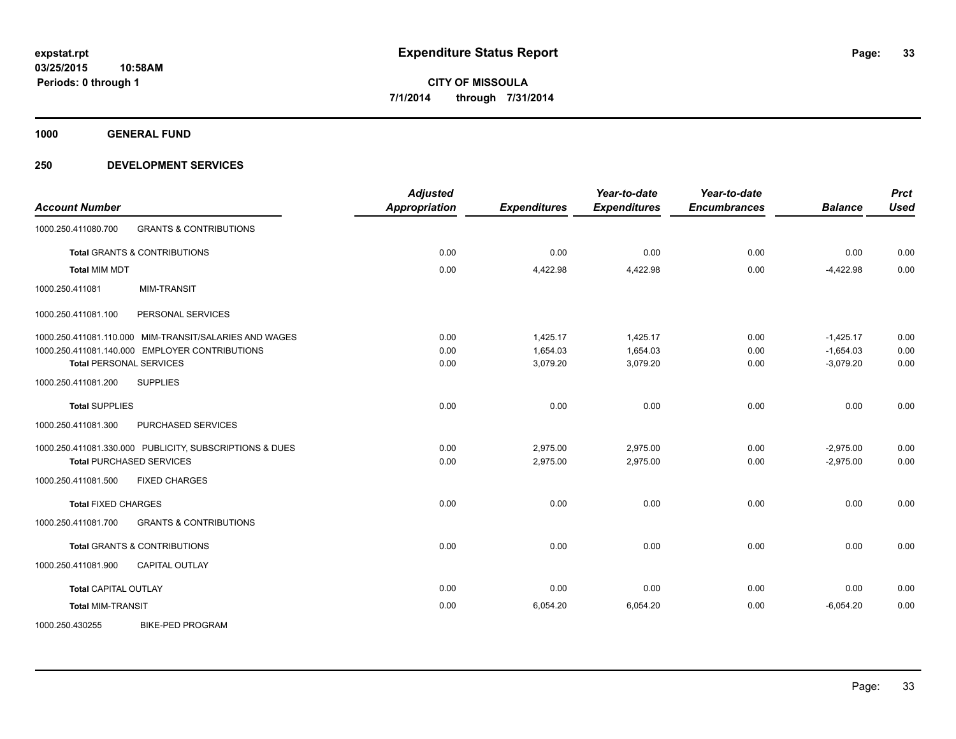**1000 GENERAL FUND**

| <b>Account Number</b>                                    | <b>Adjusted</b><br><b>Appropriation</b> | <b>Expenditures</b> | Year-to-date<br><b>Expenditures</b> | Year-to-date<br><b>Encumbrances</b> | <b>Balance</b> | <b>Prct</b><br><b>Used</b> |
|----------------------------------------------------------|-----------------------------------------|---------------------|-------------------------------------|-------------------------------------|----------------|----------------------------|
| <b>GRANTS &amp; CONTRIBUTIONS</b><br>1000.250.411080.700 |                                         |                     |                                     |                                     |                |                            |
| <b>Total GRANTS &amp; CONTRIBUTIONS</b>                  | 0.00                                    | 0.00                | 0.00                                | 0.00                                | 0.00           | 0.00                       |
| <b>Total MIM MDT</b>                                     | 0.00                                    | 4,422.98            | 4,422.98                            | 0.00                                | $-4,422.98$    | 0.00                       |
| <b>MIM-TRANSIT</b><br>1000.250.411081                    |                                         |                     |                                     |                                     |                |                            |
| 1000.250.411081.100<br>PERSONAL SERVICES                 |                                         |                     |                                     |                                     |                |                            |
| 1000.250.411081.110.000 MIM-TRANSIT/SALARIES AND WAGES   | 0.00                                    | 1,425.17            | 1,425.17                            | 0.00                                | $-1,425.17$    | 0.00                       |
| 1000.250.411081.140.000 EMPLOYER CONTRIBUTIONS           | 0.00                                    | 1,654.03            | 1,654.03                            | 0.00                                | $-1,654.03$    | 0.00                       |
| <b>Total PERSONAL SERVICES</b>                           | 0.00                                    | 3,079.20            | 3.079.20                            | 0.00                                | $-3.079.20$    | 0.00                       |
| 1000.250.411081.200<br><b>SUPPLIES</b>                   |                                         |                     |                                     |                                     |                |                            |
| <b>Total SUPPLIES</b>                                    | 0.00                                    | 0.00                | 0.00                                | 0.00                                | 0.00           | 0.00                       |
| PURCHASED SERVICES<br>1000.250.411081.300                |                                         |                     |                                     |                                     |                |                            |
| 1000.250.411081.330.000 PUBLICITY, SUBSCRIPTIONS & DUES  | 0.00                                    | 2,975.00            | 2,975.00                            | 0.00                                | $-2,975.00$    | 0.00                       |
| <b>Total PURCHASED SERVICES</b>                          | 0.00                                    | 2,975.00            | 2,975.00                            | 0.00                                | $-2,975.00$    | 0.00                       |
| 1000.250.411081.500<br><b>FIXED CHARGES</b>              |                                         |                     |                                     |                                     |                |                            |
| <b>Total FIXED CHARGES</b>                               | 0.00                                    | 0.00                | 0.00                                | 0.00                                | 0.00           | 0.00                       |
| <b>GRANTS &amp; CONTRIBUTIONS</b><br>1000.250.411081.700 |                                         |                     |                                     |                                     |                |                            |
| <b>Total GRANTS &amp; CONTRIBUTIONS</b>                  | 0.00                                    | 0.00                | 0.00                                | 0.00                                | 0.00           | 0.00                       |
| <b>CAPITAL OUTLAY</b><br>1000.250.411081.900             |                                         |                     |                                     |                                     |                |                            |
| <b>Total CAPITAL OUTLAY</b>                              | 0.00                                    | 0.00                | 0.00                                | 0.00                                | 0.00           | 0.00                       |
| <b>Total MIM-TRANSIT</b>                                 | 0.00                                    | 6,054.20            | 6,054.20                            | 0.00                                | $-6,054.20$    | 0.00                       |
| <b>BIKE-PED PROGRAM</b><br>1000.250.430255               |                                         |                     |                                     |                                     |                |                            |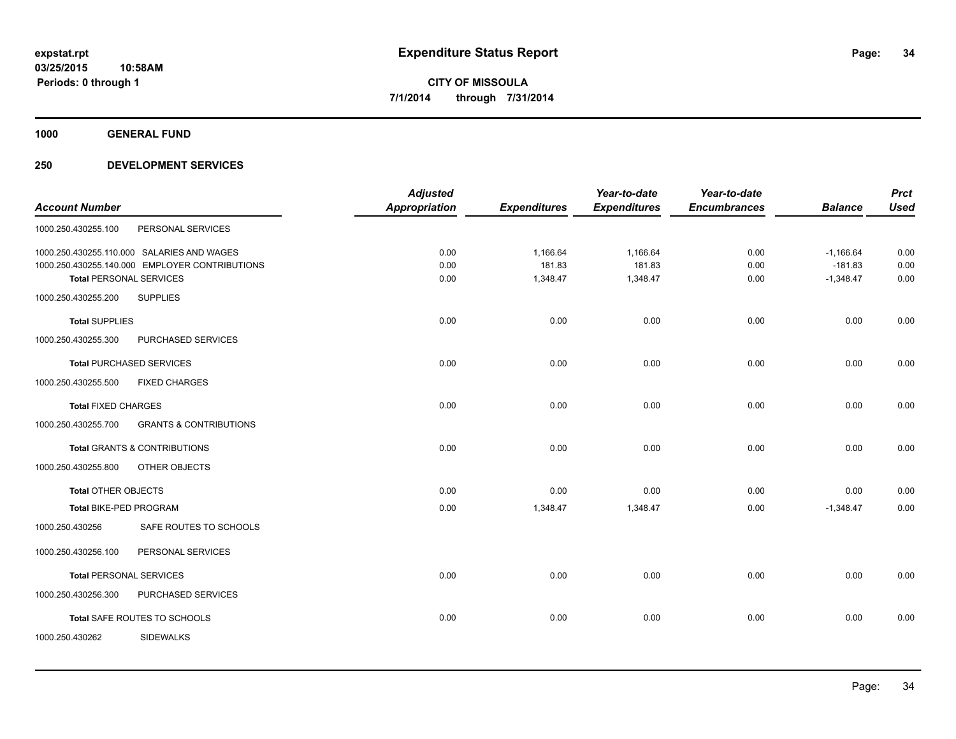**1000 GENERAL FUND**

| <b>Prct</b> |                | Year-to-date        | Year-to-date        |                     | <b>Adjusted</b>      |                                                |                                |
|-------------|----------------|---------------------|---------------------|---------------------|----------------------|------------------------------------------------|--------------------------------|
| <b>Used</b> | <b>Balance</b> | <b>Encumbrances</b> | <b>Expenditures</b> | <b>Expenditures</b> | <b>Appropriation</b> |                                                | <b>Account Number</b>          |
|             |                |                     |                     |                     |                      | PERSONAL SERVICES                              | 1000.250.430255.100            |
| 0.00        | $-1,166.64$    | 0.00                | 1,166.64            | 1,166.64            | 0.00                 | 1000.250.430255.110.000 SALARIES AND WAGES     |                                |
| 0.00        | $-181.83$      | 0.00                | 181.83              | 181.83              | 0.00                 | 1000.250.430255.140.000 EMPLOYER CONTRIBUTIONS |                                |
| 0.00        | $-1,348.47$    | 0.00                | 1,348.47            | 1,348.47            | 0.00                 |                                                | <b>Total PERSONAL SERVICES</b> |
|             |                |                     |                     |                     |                      | <b>SUPPLIES</b>                                | 1000.250.430255.200            |
| 0.00        | 0.00           | 0.00                | 0.00                | 0.00                | 0.00                 |                                                | <b>Total SUPPLIES</b>          |
|             |                |                     |                     |                     |                      | PURCHASED SERVICES                             | 1000.250.430255.300            |
| 0.00        | 0.00           | 0.00                | 0.00                | 0.00                | 0.00                 | <b>Total PURCHASED SERVICES</b>                |                                |
|             |                |                     |                     |                     |                      | <b>FIXED CHARGES</b>                           | 1000.250.430255.500            |
| 0.00        | 0.00           | 0.00                | 0.00                | 0.00                | 0.00                 |                                                | <b>Total FIXED CHARGES</b>     |
|             |                |                     |                     |                     |                      | <b>GRANTS &amp; CONTRIBUTIONS</b>              | 1000.250.430255.700            |
| 0.00        | 0.00           | 0.00                | 0.00                | 0.00                | 0.00                 | <b>Total GRANTS &amp; CONTRIBUTIONS</b>        |                                |
|             |                |                     |                     |                     |                      | OTHER OBJECTS                                  | 1000.250.430255.800            |
| 0.00        | 0.00           | 0.00                | 0.00                | 0.00                | 0.00                 |                                                | <b>Total OTHER OBJECTS</b>     |
| 0.00        | $-1,348.47$    | 0.00                | 1,348.47            | 1,348.47            | 0.00                 |                                                | Total BIKE-PED PROGRAM         |
|             |                |                     |                     |                     |                      | SAFE ROUTES TO SCHOOLS                         | 1000.250.430256                |
|             |                |                     |                     |                     |                      | PERSONAL SERVICES                              | 1000.250.430256.100            |
| 0.00        | 0.00           | 0.00                | 0.00                | 0.00                | 0.00                 |                                                | <b>Total PERSONAL SERVICES</b> |
|             |                |                     |                     |                     |                      | PURCHASED SERVICES                             | 1000.250.430256.300            |
| 0.00        | 0.00           | 0.00                | 0.00                | 0.00                | 0.00                 | Total SAFE ROUTES TO SCHOOLS                   |                                |
|             |                |                     |                     |                     |                      | <b>SIDEWALKS</b>                               | 1000.250.430262                |
|             |                |                     |                     |                     |                      |                                                |                                |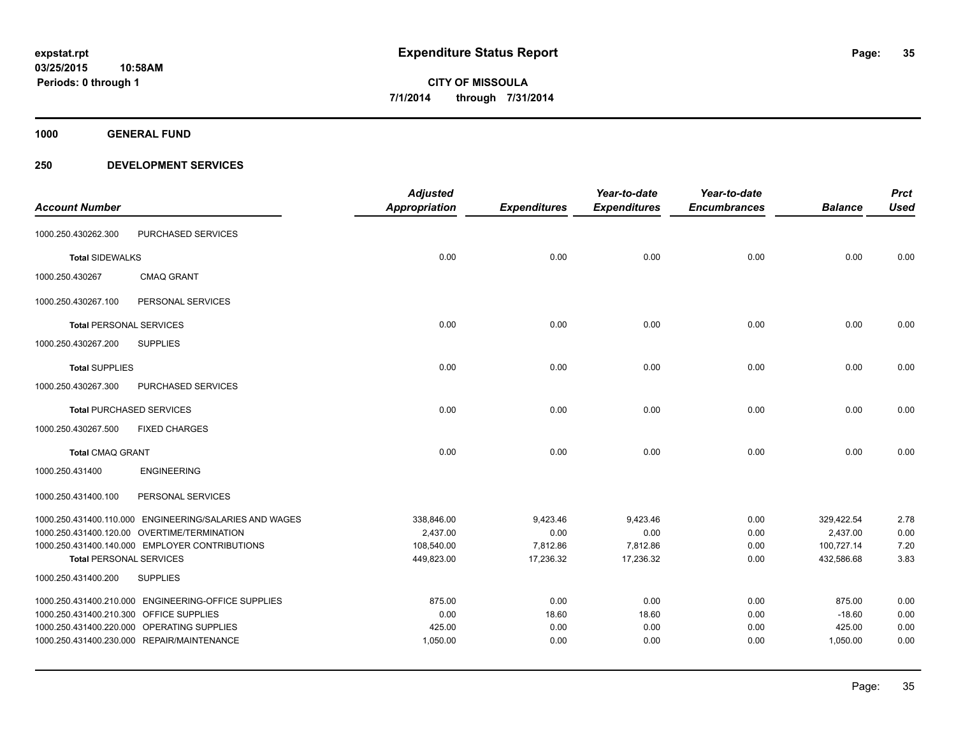**1000 GENERAL FUND**

|                                         |                                                        | <b>Adjusted</b>      |                     | Year-to-date        | Year-to-date        |                | <b>Prct</b> |
|-----------------------------------------|--------------------------------------------------------|----------------------|---------------------|---------------------|---------------------|----------------|-------------|
| <b>Account Number</b>                   |                                                        | <b>Appropriation</b> | <b>Expenditures</b> | <b>Expenditures</b> | <b>Encumbrances</b> | <b>Balance</b> | <b>Used</b> |
| 1000.250.430262.300                     | PURCHASED SERVICES                                     |                      |                     |                     |                     |                |             |
| <b>Total SIDEWALKS</b>                  |                                                        | 0.00                 | 0.00                | 0.00                | 0.00                | 0.00           | 0.00        |
| 1000.250.430267                         | <b>CMAQ GRANT</b>                                      |                      |                     |                     |                     |                |             |
| 1000.250.430267.100                     | PERSONAL SERVICES                                      |                      |                     |                     |                     |                |             |
| <b>Total PERSONAL SERVICES</b>          |                                                        | 0.00                 | 0.00                | 0.00                | 0.00                | 0.00           | 0.00        |
| 1000.250.430267.200                     | <b>SUPPLIES</b>                                        |                      |                     |                     |                     |                |             |
| <b>Total SUPPLIES</b>                   |                                                        | 0.00                 | 0.00                | 0.00                | 0.00                | 0.00           | 0.00        |
| 1000.250.430267.300                     | PURCHASED SERVICES                                     |                      |                     |                     |                     |                |             |
|                                         | <b>Total PURCHASED SERVICES</b>                        | 0.00                 | 0.00                | 0.00                | 0.00                | 0.00           | 0.00        |
| 1000.250.430267.500                     | <b>FIXED CHARGES</b>                                   |                      |                     |                     |                     |                |             |
| <b>Total CMAQ GRANT</b>                 |                                                        | 0.00                 | 0.00                | 0.00                | 0.00                | 0.00           | 0.00        |
| 1000.250.431400                         | <b>ENGINEERING</b>                                     |                      |                     |                     |                     |                |             |
| 1000.250.431400.100                     | PERSONAL SERVICES                                      |                      |                     |                     |                     |                |             |
|                                         | 1000.250.431400.110.000 ENGINEERING/SALARIES AND WAGES | 338,846.00           | 9,423.46            | 9,423.46            | 0.00                | 329,422.54     | 2.78        |
|                                         | 1000.250.431400.120.00 OVERTIME/TERMINATION            | 2,437.00             | 0.00                | 0.00                | 0.00                | 2,437.00       | 0.00        |
|                                         | 1000.250.431400.140.000 EMPLOYER CONTRIBUTIONS         | 108,540.00           | 7,812.86            | 7,812.86            | 0.00                | 100,727.14     | 7.20        |
| <b>Total PERSONAL SERVICES</b>          |                                                        | 449,823.00           | 17,236.32           | 17,236.32           | 0.00                | 432,586.68     | 3.83        |
| 1000.250.431400.200                     | <b>SUPPLIES</b>                                        |                      |                     |                     |                     |                |             |
|                                         | 1000.250.431400.210.000 ENGINEERING-OFFICE SUPPLIES    | 875.00               | 0.00                | 0.00                | 0.00                | 875.00         | 0.00        |
| 1000.250.431400.210.300 OFFICE SUPPLIES |                                                        | 0.00                 | 18.60               | 18.60               | 0.00                | $-18.60$       | 0.00        |
|                                         | 1000.250.431400.220.000 OPERATING SUPPLIES             | 425.00               | 0.00                | 0.00                | 0.00                | 425.00         | 0.00        |
|                                         | 1000.250.431400.230.000 REPAIR/MAINTENANCE             | 1,050.00             | 0.00                | 0.00                | 0.00                | 1,050.00       | 0.00        |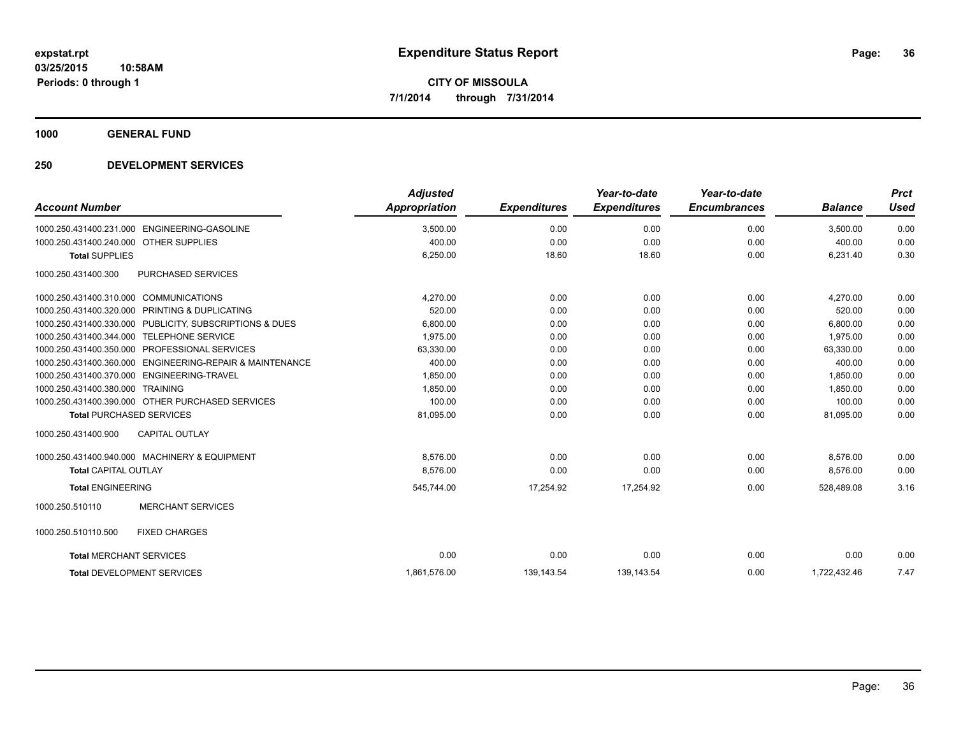**1000 GENERAL FUND**

| <b>Account Number</b>                                                  | <b>Adjusted</b><br>Appropriation | <b>Expenditures</b> | Year-to-date<br><b>Expenditures</b> | Year-to-date<br><b>Encumbrances</b> | <b>Balance</b> | <b>Prct</b><br>Used |
|------------------------------------------------------------------------|----------------------------------|---------------------|-------------------------------------|-------------------------------------|----------------|---------------------|
| 1000.250.431400.231.000 ENGINEERING-GASOLINE                           | 3,500.00                         | 0.00                | 0.00                                | 0.00                                | 3.500.00       | 0.00                |
| 1000.250.431400.240.000 OTHER SUPPLIES                                 | 400.00                           | 0.00                | 0.00                                | 0.00                                | 400.00         | 0.00                |
| <b>Total SUPPLIES</b>                                                  | 6,250.00                         | 18.60               | 18.60                               | 0.00                                | 6,231.40       | 0.30                |
| 1000.250.431400.300<br>PURCHASED SERVICES                              |                                  |                     |                                     |                                     |                |                     |
| 1000.250.431400.310.000 COMMUNICATIONS                                 | 4,270.00                         | 0.00                | 0.00                                | 0.00                                | 4,270.00       | 0.00                |
| 1000.250.431400.320.000 PRINTING & DUPLICATING                         | 520.00                           | 0.00                | 0.00                                | 0.00                                | 520.00         | 0.00                |
| 1000.250.431400.330.000 PUBLICITY, SUBSCRIPTIONS & DUES                | 6,800.00                         | 0.00                | 0.00                                | 0.00                                | 6,800.00       | 0.00                |
| 1000.250.431400.344.000 TELEPHONE SERVICE                              | 1.975.00                         | 0.00                | 0.00                                | 0.00                                | 1.975.00       | 0.00                |
| 1000.250.431400.350.000 PROFESSIONAL SERVICES                          | 63,330.00                        | 0.00                | 0.00                                | 0.00                                | 63,330.00      | 0.00                |
| <b>ENGINEERING-REPAIR &amp; MAINTENANCE</b><br>1000.250.431400.360.000 | 400.00                           | 0.00                | 0.00                                | 0.00                                | 400.00         | 0.00                |
| 1000.250.431400.370.000 ENGINEERING-TRAVEL                             | 1,850.00                         | 0.00                | 0.00                                | 0.00                                | 1,850.00       | 0.00                |
| 1000.250.431400.380.000 TRAINING                                       | 1,850.00                         | 0.00                | 0.00                                | 0.00                                | 1,850.00       | 0.00                |
| 1000.250.431400.390.000 OTHER PURCHASED SERVICES                       | 100.00                           | 0.00                | 0.00                                | 0.00                                | 100.00         | 0.00                |
| <b>Total PURCHASED SERVICES</b>                                        | 81,095.00                        | 0.00                | 0.00                                | 0.00                                | 81.095.00      | 0.00                |
| <b>CAPITAL OUTLAY</b><br>1000.250.431400.900                           |                                  |                     |                                     |                                     |                |                     |
| 1000.250.431400.940.000 MACHINERY & EQUIPMENT                          | 8,576.00                         | 0.00                | 0.00                                | 0.00                                | 8,576.00       | 0.00                |
| <b>Total CAPITAL OUTLAY</b>                                            | 8,576.00                         | 0.00                | 0.00                                | 0.00                                | 8,576.00       | 0.00                |
| <b>Total ENGINEERING</b>                                               | 545,744.00                       | 17,254.92           | 17,254.92                           | 0.00                                | 528,489.08     | 3.16                |
| <b>MERCHANT SERVICES</b><br>1000.250.510110                            |                                  |                     |                                     |                                     |                |                     |
| 1000.250.510110.500<br><b>FIXED CHARGES</b>                            |                                  |                     |                                     |                                     |                |                     |
| <b>Total MERCHANT SERVICES</b>                                         | 0.00                             | 0.00                | 0.00                                | 0.00                                | 0.00           | 0.00                |
| <b>Total DEVELOPMENT SERVICES</b>                                      | 1.861.576.00                     | 139.143.54          | 139.143.54                          | 0.00                                | 1.722.432.46   | 7.47                |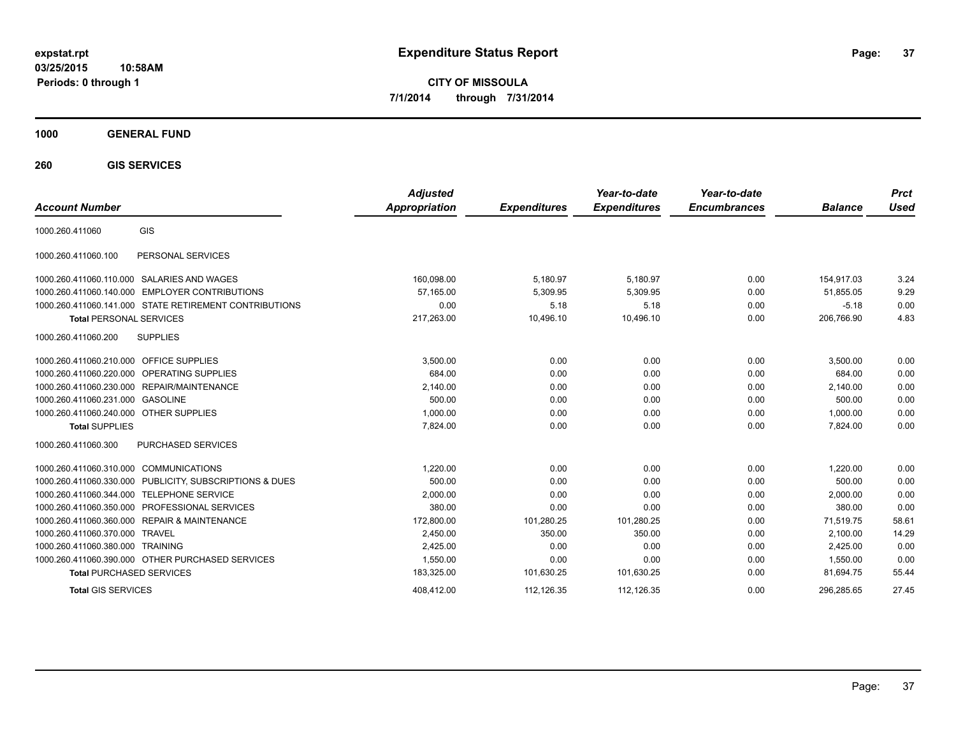**03/25/2015 10:58AM Periods: 0 through 1**

**CITY OF MISSOULA 7/1/2014 through 7/31/2014**

**1000 GENERAL FUND**

**260 GIS SERVICES**

| <b>Account Number</b>                   |                                                         | <b>Adjusted</b><br>Appropriation | <b>Expenditures</b> | Year-to-date<br><b>Expenditures</b> | Year-to-date<br><b>Encumbrances</b> | <b>Balance</b> | <b>Prct</b><br><b>Used</b> |
|-----------------------------------------|---------------------------------------------------------|----------------------------------|---------------------|-------------------------------------|-------------------------------------|----------------|----------------------------|
| 1000.260.411060                         | <b>GIS</b>                                              |                                  |                     |                                     |                                     |                |                            |
| 1000.260.411060.100                     | PERSONAL SERVICES                                       |                                  |                     |                                     |                                     |                |                            |
|                                         | 1000.260.411060.110.000 SALARIES AND WAGES              | 160,098.00                       | 5,180.97            | 5,180.97                            | 0.00                                | 154.917.03     | 3.24                       |
|                                         | 1000.260.411060.140.000 EMPLOYER CONTRIBUTIONS          | 57,165.00                        | 5,309.95            | 5,309.95                            | 0.00                                | 51,855.05      | 9.29                       |
|                                         | 1000.260.411060.141.000 STATE RETIREMENT CONTRIBUTIONS  | 0.00                             | 5.18                | 5.18                                | 0.00                                | $-5.18$        | 0.00                       |
| <b>Total PERSONAL SERVICES</b>          |                                                         | 217,263.00                       | 10,496.10           | 10,496.10                           | 0.00                                | 206,766.90     | 4.83                       |
| 1000.260.411060.200                     | <b>SUPPLIES</b>                                         |                                  |                     |                                     |                                     |                |                            |
| 1000.260.411060.210.000 OFFICE SUPPLIES |                                                         | 3,500.00                         | 0.00                | 0.00                                | 0.00                                | 3,500.00       | 0.00                       |
|                                         | 1000.260.411060.220.000 OPERATING SUPPLIES              | 684.00                           | 0.00                | 0.00                                | 0.00                                | 684.00         | 0.00                       |
|                                         | 1000.260.411060.230.000 REPAIR/MAINTENANCE              | 2,140.00                         | 0.00                | 0.00                                | 0.00                                | 2,140.00       | 0.00                       |
| 1000.260.411060.231.000 GASOLINE        |                                                         | 500.00                           | 0.00                | 0.00                                | 0.00                                | 500.00         | 0.00                       |
| 1000.260.411060.240.000 OTHER SUPPLIES  |                                                         | 1,000.00                         | 0.00                | 0.00                                | 0.00                                | 1,000.00       | 0.00                       |
| <b>Total SUPPLIES</b>                   |                                                         | 7,824.00                         | 0.00                | 0.00                                | 0.00                                | 7,824.00       | 0.00                       |
| 1000.260.411060.300                     | PURCHASED SERVICES                                      |                                  |                     |                                     |                                     |                |                            |
| 1000.260.411060.310.000 COMMUNICATIONS  |                                                         | 1.220.00                         | 0.00                | 0.00                                | 0.00                                | 1.220.00       | 0.00                       |
|                                         | 1000.260.411060.330.000 PUBLICITY, SUBSCRIPTIONS & DUES | 500.00                           | 0.00                | 0.00                                | 0.00                                | 500.00         | 0.00                       |
|                                         | 1000.260.411060.344.000 TELEPHONE SERVICE               | 2,000.00                         | 0.00                | 0.00                                | 0.00                                | 2,000.00       | 0.00                       |
|                                         | 1000.260.411060.350.000 PROFESSIONAL SERVICES           | 380.00                           | 0.00                | 0.00                                | 0.00                                | 380.00         | 0.00                       |
|                                         | 1000.260.411060.360.000 REPAIR & MAINTENANCE            | 172,800.00                       | 101,280.25          | 101,280.25                          | 0.00                                | 71,519.75      | 58.61                      |
| 1000.260.411060.370.000                 | <b>TRAVEL</b>                                           | 2,450.00                         | 350.00              | 350.00                              | 0.00                                | 2,100.00       | 14.29                      |
| 1000.260.411060.380.000 TRAINING        |                                                         | 2,425.00                         | 0.00                | 0.00                                | 0.00                                | 2,425.00       | 0.00                       |
|                                         | 1000.260.411060.390.000 OTHER PURCHASED SERVICES        | 1,550.00                         | 0.00                | 0.00                                | 0.00                                | 1,550.00       | 0.00                       |
| <b>Total PURCHASED SERVICES</b>         |                                                         | 183,325.00                       | 101,630.25          | 101,630.25                          | 0.00                                | 81,694.75      | 55.44                      |
| <b>Total GIS SERVICES</b>               |                                                         | 408.412.00                       | 112.126.35          | 112.126.35                          | 0.00                                | 296.285.65     | 27.45                      |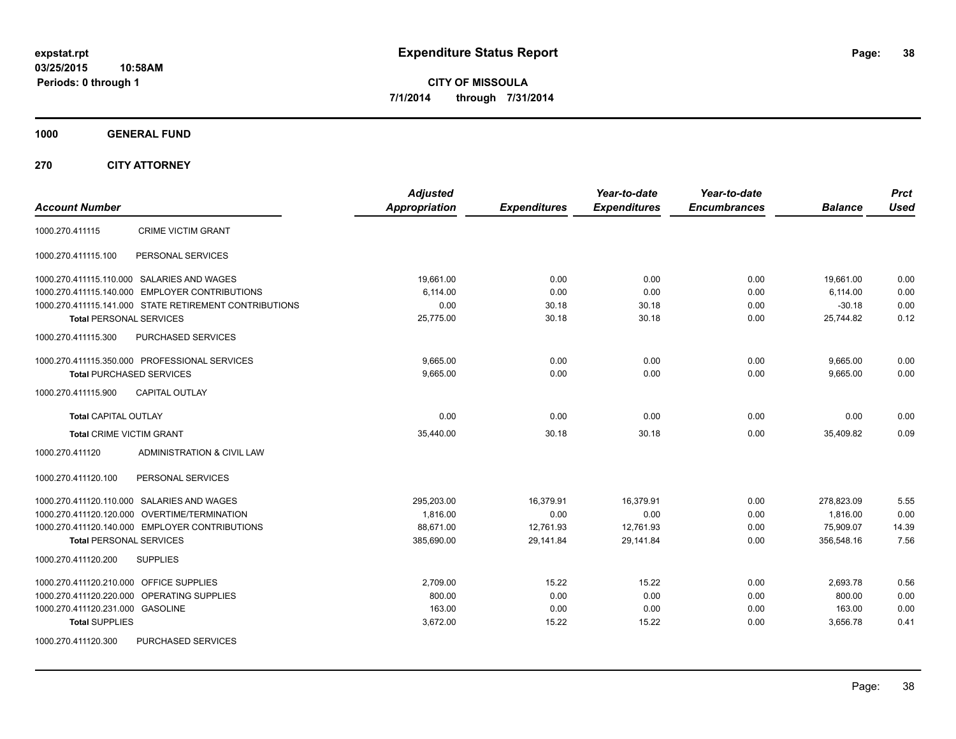**1000 GENERAL FUND**

**270 CITY ATTORNEY**

| <b>Account Number</b>                                  | <b>Adjusted</b><br><b>Appropriation</b> | <b>Expenditures</b> | Year-to-date<br><b>Expenditures</b> | Year-to-date<br><b>Encumbrances</b> | <b>Balance</b> | <b>Prct</b><br><b>Used</b> |
|--------------------------------------------------------|-----------------------------------------|---------------------|-------------------------------------|-------------------------------------|----------------|----------------------------|
| <b>CRIME VICTIM GRANT</b><br>1000.270.411115           |                                         |                     |                                     |                                     |                |                            |
| PERSONAL SERVICES<br>1000.270.411115.100               |                                         |                     |                                     |                                     |                |                            |
| 1000.270.411115.110.000 SALARIES AND WAGES             | 19.661.00                               | 0.00                | 0.00                                | 0.00                                | 19,661.00      | 0.00                       |
| 1000.270.411115.140.000 EMPLOYER CONTRIBUTIONS         | 6,114.00                                | 0.00                | 0.00                                | 0.00                                | 6,114.00       | 0.00                       |
| 1000.270.411115.141.000 STATE RETIREMENT CONTRIBUTIONS | 0.00                                    | 30.18               | 30.18                               | 0.00                                | $-30.18$       | 0.00                       |
| <b>Total PERSONAL SERVICES</b>                         | 25,775.00                               | 30.18               | 30.18                               | 0.00                                | 25,744.82      | 0.12                       |
| 1000.270.411115.300<br><b>PURCHASED SERVICES</b>       |                                         |                     |                                     |                                     |                |                            |
| 1000.270.411115.350.000 PROFESSIONAL SERVICES          | 9,665.00                                | 0.00                | 0.00                                | 0.00                                | 9,665.00       | 0.00                       |
| <b>Total PURCHASED SERVICES</b>                        | 9,665.00                                | 0.00                | 0.00                                | 0.00                                | 9,665.00       | 0.00                       |
| <b>CAPITAL OUTLAY</b><br>1000.270.411115.900           |                                         |                     |                                     |                                     |                |                            |
| <b>Total CAPITAL OUTLAY</b>                            | 0.00                                    | 0.00                | 0.00                                | 0.00                                | 0.00           | 0.00                       |
| <b>Total CRIME VICTIM GRANT</b>                        | 35,440.00                               | 30.18               | 30.18                               | 0.00                                | 35,409.82      | 0.09                       |
| 1000.270.411120<br>ADMINISTRATION & CIVIL LAW          |                                         |                     |                                     |                                     |                |                            |
| 1000.270.411120.100<br>PERSONAL SERVICES               |                                         |                     |                                     |                                     |                |                            |
| 1000.270.411120.110.000 SALARIES AND WAGES             | 295,203.00                              | 16,379.91           | 16,379.91                           | 0.00                                | 278,823.09     | 5.55                       |
| 1000.270.411120.120.000 OVERTIME/TERMINATION           | 1,816.00                                | 0.00                | 0.00                                | 0.00                                | 1,816.00       | 0.00                       |
| 1000.270.411120.140.000 EMPLOYER CONTRIBUTIONS         | 88,671.00                               | 12,761.93           | 12,761.93                           | 0.00                                | 75,909.07      | 14.39                      |
| <b>Total PERSONAL SERVICES</b>                         | 385,690.00                              | 29,141.84           | 29,141.84                           | 0.00                                | 356,548.16     | 7.56                       |
| 1000.270.411120.200<br><b>SUPPLIES</b>                 |                                         |                     |                                     |                                     |                |                            |
| 1000.270.411120.210.000 OFFICE SUPPLIES                | 2,709.00                                | 15.22               | 15.22                               | 0.00                                | 2,693.78       | 0.56                       |
| 1000.270.411120.220.000 OPERATING SUPPLIES             | 800.00                                  | 0.00                | 0.00                                | 0.00                                | 800.00         | 0.00                       |
| 1000.270.411120.231.000 GASOLINE                       | 163.00                                  | 0.00                | 0.00                                | 0.00                                | 163.00         | 0.00                       |
| <b>Total SUPPLIES</b>                                  | 3,672.00                                | 15.22               | 15.22                               | 0.00                                | 3,656.78       | 0.41                       |
| PURCHASED SERVICES<br>1000.270.411120.300              |                                         |                     |                                     |                                     |                |                            |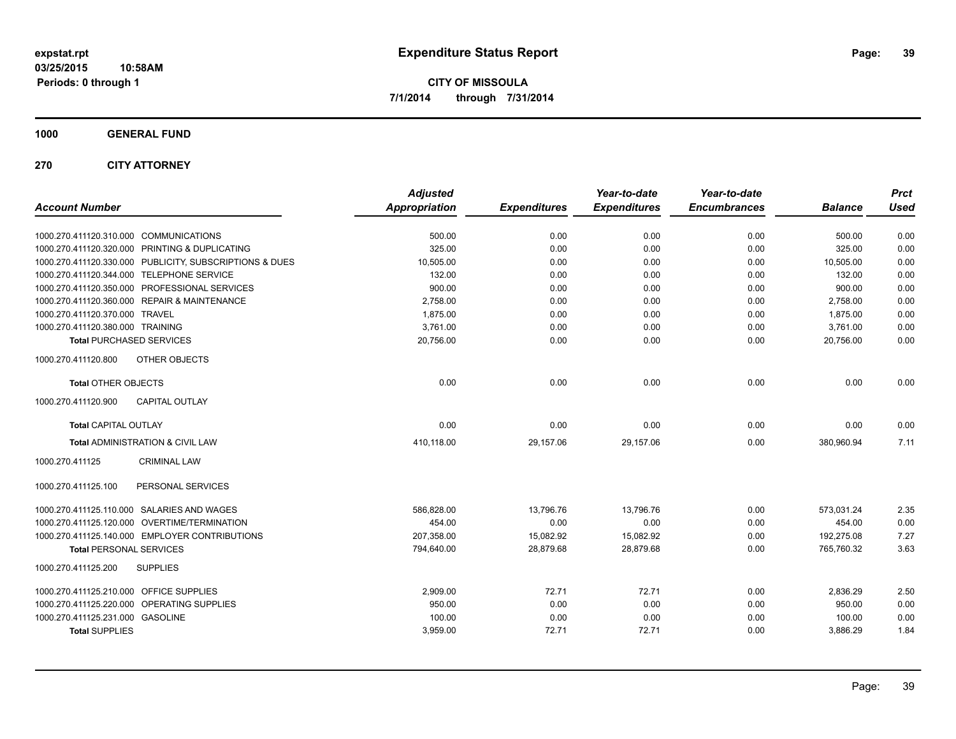**1000 GENERAL FUND**

**270 CITY ATTORNEY**

| <b>Account Number</b>                                   | <b>Adjusted</b><br><b>Appropriation</b> | <b>Expenditures</b> | Year-to-date<br><b>Expenditures</b> | Year-to-date<br><b>Encumbrances</b> | <b>Balance</b> | <b>Prct</b><br><b>Used</b> |
|---------------------------------------------------------|-----------------------------------------|---------------------|-------------------------------------|-------------------------------------|----------------|----------------------------|
| 1000.270.411120.310.000 COMMUNICATIONS                  | 500.00                                  | 0.00                | 0.00                                | 0.00                                | 500.00         | 0.00                       |
| 1000.270.411120.320.000 PRINTING & DUPLICATING          | 325.00                                  | 0.00                | 0.00                                | 0.00                                | 325.00         | 0.00                       |
| 1000.270.411120.330.000 PUBLICITY, SUBSCRIPTIONS & DUES | 10,505.00                               | 0.00                | 0.00                                | 0.00                                | 10,505.00      | 0.00                       |
| 1000.270.411120.344.000 TELEPHONE SERVICE               | 132.00                                  | 0.00                | 0.00                                | 0.00                                | 132.00         | 0.00                       |
| 1000.270.411120.350.000 PROFESSIONAL SERVICES           | 900.00                                  | 0.00                | 0.00                                | 0.00                                | 900.00         | 0.00                       |
| 1000.270.411120.360.000 REPAIR & MAINTENANCE            | 2,758.00                                | 0.00                | 0.00                                | 0.00                                | 2,758.00       | 0.00                       |
| 1000.270.411120.370.000 TRAVEL                          | 1,875.00                                | 0.00                | 0.00                                | 0.00                                | 1,875.00       | 0.00                       |
| 1000.270.411120.380.000 TRAINING                        | 3,761.00                                | 0.00                | 0.00                                | 0.00                                | 3,761.00       | 0.00                       |
| <b>Total PURCHASED SERVICES</b>                         | 20,756.00                               | 0.00                | 0.00                                | 0.00                                | 20,756.00      | 0.00                       |
| 1000.270.411120.800<br>OTHER OBJECTS                    |                                         |                     |                                     |                                     |                |                            |
| <b>Total OTHER OBJECTS</b>                              | 0.00                                    | 0.00                | 0.00                                | 0.00                                | 0.00           | 0.00                       |
| <b>CAPITAL OUTLAY</b><br>1000.270.411120.900            |                                         |                     |                                     |                                     |                |                            |
| <b>Total CAPITAL OUTLAY</b>                             | 0.00                                    | 0.00                | 0.00                                | 0.00                                | 0.00           | 0.00                       |
| Total ADMINISTRATION & CIVIL LAW                        | 410,118.00                              | 29,157.06           | 29,157.06                           | 0.00                                | 380,960.94     | 7.11                       |
| 1000.270.411125<br><b>CRIMINAL LAW</b>                  |                                         |                     |                                     |                                     |                |                            |
| PERSONAL SERVICES<br>1000.270.411125.100                |                                         |                     |                                     |                                     |                |                            |
| 1000.270.411125.110.000 SALARIES AND WAGES              | 586,828.00                              | 13,796.76           | 13,796.76                           | 0.00                                | 573,031.24     | 2.35                       |
| 1000.270.411125.120.000 OVERTIME/TERMINATION            | 454.00                                  | 0.00                | 0.00                                | 0.00                                | 454.00         | 0.00                       |
| 1000.270.411125.140.000 EMPLOYER CONTRIBUTIONS          | 207.358.00                              | 15,082.92           | 15,082.92                           | 0.00                                | 192.275.08     | 7.27                       |
| <b>Total PERSONAL SERVICES</b>                          | 794,640.00                              | 28,879.68           | 28,879.68                           | 0.00                                | 765,760.32     | 3.63                       |
| 1000.270.411125.200<br><b>SUPPLIES</b>                  |                                         |                     |                                     |                                     |                |                            |
| 1000.270.411125.210.000 OFFICE SUPPLIES                 | 2,909.00                                | 72.71               | 72.71                               | 0.00                                | 2,836.29       | 2.50                       |
| 1000.270.411125.220.000 OPERATING SUPPLIES              | 950.00                                  | 0.00                | 0.00                                | 0.00                                | 950.00         | 0.00                       |
| 1000.270.411125.231.000 GASOLINE                        | 100.00                                  | 0.00                | 0.00                                | 0.00                                | 100.00         | 0.00                       |
| <b>Total SUPPLIES</b>                                   | 3,959.00                                | 72.71               | 72.71                               | 0.00                                | 3,886.29       | 1.84                       |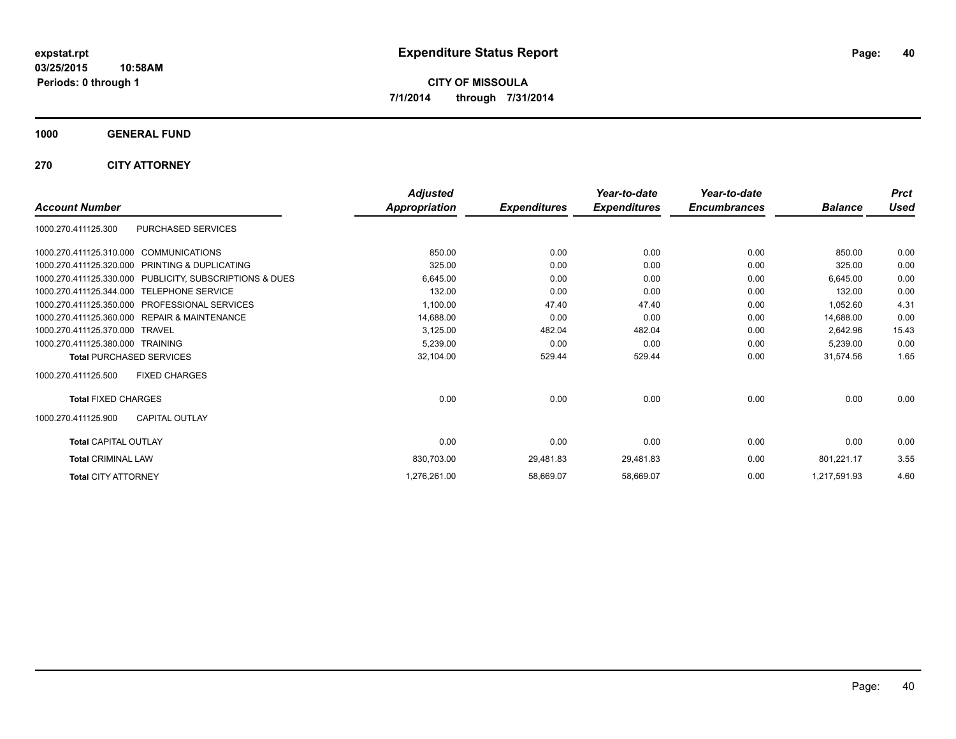**1000 GENERAL FUND**

**270 CITY ATTORNEY**

|                                                         | <b>Adjusted</b> |                     | Year-to-date        | Year-to-date<br><b>Encumbrances</b> |                | <b>Prct</b> |
|---------------------------------------------------------|-----------------|---------------------|---------------------|-------------------------------------|----------------|-------------|
| <b>Account Number</b>                                   | Appropriation   | <b>Expenditures</b> | <b>Expenditures</b> |                                     | <b>Balance</b> | <b>Used</b> |
| PURCHASED SERVICES<br>1000.270.411125.300               |                 |                     |                     |                                     |                |             |
| 1000.270.411125.310.000<br><b>COMMUNICATIONS</b>        | 850.00          | 0.00                | 0.00                | 0.00                                | 850.00         | 0.00        |
| 1000.270.411125.320.000<br>PRINTING & DUPLICATING       | 325.00          | 0.00                | 0.00                | 0.00                                | 325.00         | 0.00        |
| 1000.270.411125.330.000 PUBLICITY, SUBSCRIPTIONS & DUES | 6,645.00        | 0.00                | 0.00                | 0.00                                | 6,645.00       | 0.00        |
| 1000.270.411125.344.000<br><b>TELEPHONE SERVICE</b>     | 132.00          | 0.00                | 0.00                | 0.00                                | 132.00         | 0.00        |
| PROFESSIONAL SERVICES<br>1000.270.411125.350.000        | 1,100.00        | 47.40               | 47.40               | 0.00                                | 1,052.60       | 4.31        |
| 1000.270.411125.360.000 REPAIR & MAINTENANCE            | 14,688.00       | 0.00                | 0.00                | 0.00                                | 14,688.00      | 0.00        |
| 1000.270.411125.370.000 TRAVEL                          | 3,125.00        | 482.04              | 482.04              | 0.00                                | 2,642.96       | 15.43       |
| 1000.270.411125.380.000 TRAINING                        | 5,239.00        | 0.00                | 0.00                | 0.00                                | 5,239.00       | 0.00        |
| <b>Total PURCHASED SERVICES</b>                         | 32,104.00       | 529.44              | 529.44              | 0.00                                | 31,574.56      | 1.65        |
| 1000.270.411125.500<br><b>FIXED CHARGES</b>             |                 |                     |                     |                                     |                |             |
| <b>Total FIXED CHARGES</b>                              | 0.00            | 0.00                | 0.00                | 0.00                                | 0.00           | 0.00        |
| 1000.270.411125.900<br><b>CAPITAL OUTLAY</b>            |                 |                     |                     |                                     |                |             |
| <b>Total CAPITAL OUTLAY</b>                             | 0.00            | 0.00                | 0.00                | 0.00                                | 0.00           | 0.00        |
| <b>Total CRIMINAL LAW</b>                               | 830,703.00      | 29,481.83           | 29,481.83           | 0.00                                | 801,221.17     | 3.55        |
| <b>Total CITY ATTORNEY</b>                              | 1,276,261.00    | 58,669.07           | 58,669.07           | 0.00                                | 1,217,591.93   | 4.60        |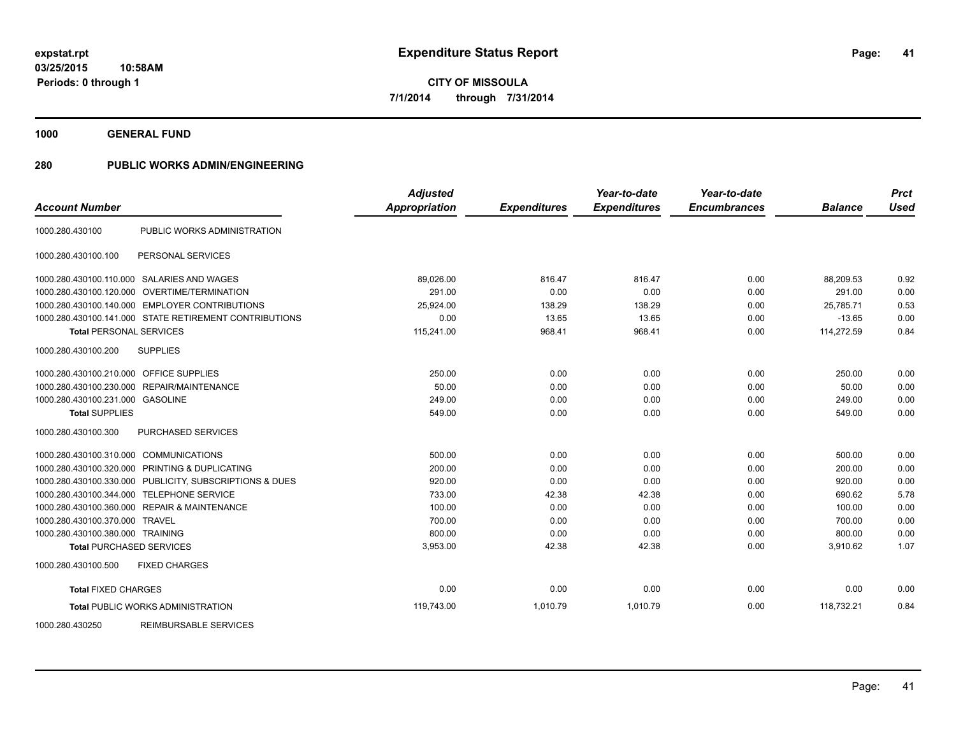**1000 GENERAL FUND**

| <b>Account Number</b>                   |                                                         | <b>Adjusted</b><br><b>Appropriation</b> |                     | Year-to-date<br><b>Expenditures</b> | Year-to-date<br><b>Encumbrances</b> | <b>Balance</b> | <b>Prct</b><br><b>Used</b> |
|-----------------------------------------|---------------------------------------------------------|-----------------------------------------|---------------------|-------------------------------------|-------------------------------------|----------------|----------------------------|
|                                         |                                                         |                                         | <b>Expenditures</b> |                                     |                                     |                |                            |
| 1000.280.430100                         | PUBLIC WORKS ADMINISTRATION                             |                                         |                     |                                     |                                     |                |                            |
| 1000.280.430100.100                     | PERSONAL SERVICES                                       |                                         |                     |                                     |                                     |                |                            |
|                                         | 1000.280.430100.110.000 SALARIES AND WAGES              | 89,026.00                               | 816.47              | 816.47                              | 0.00                                | 88.209.53      | 0.92                       |
| 1000.280.430100.120.000                 | <b>OVERTIME/TERMINATION</b>                             | 291.00                                  | 0.00                | 0.00                                | 0.00                                | 291.00         | 0.00                       |
|                                         | 1000.280.430100.140.000 EMPLOYER CONTRIBUTIONS          | 25,924.00                               | 138.29              | 138.29                              | 0.00                                | 25,785.71      | 0.53                       |
|                                         | 1000.280.430100.141.000 STATE RETIREMENT CONTRIBUTIONS  | 0.00                                    | 13.65               | 13.65                               | 0.00                                | $-13.65$       | 0.00                       |
| <b>Total PERSONAL SERVICES</b>          |                                                         | 115,241.00                              | 968.41              | 968.41                              | 0.00                                | 114,272.59     | 0.84                       |
| 1000.280.430100.200                     | <b>SUPPLIES</b>                                         |                                         |                     |                                     |                                     |                |                            |
| 1000.280.430100.210.000 OFFICE SUPPLIES |                                                         | 250.00                                  | 0.00                | 0.00                                | 0.00                                | 250.00         | 0.00                       |
| 1000.280.430100.230.000                 | REPAIR/MAINTENANCE                                      | 50.00                                   | 0.00                | 0.00                                | 0.00                                | 50.00          | 0.00                       |
| 1000.280.430100.231.000 GASOLINE        |                                                         | 249.00                                  | 0.00                | 0.00                                | 0.00                                | 249.00         | 0.00                       |
| <b>Total SUPPLIES</b>                   |                                                         | 549.00                                  | 0.00                | 0.00                                | 0.00                                | 549.00         | 0.00                       |
| 1000.280.430100.300                     | PURCHASED SERVICES                                      |                                         |                     |                                     |                                     |                |                            |
| 1000.280.430100.310.000 COMMUNICATIONS  |                                                         | 500.00                                  | 0.00                | 0.00                                | 0.00                                | 500.00         | 0.00                       |
|                                         | 1000.280.430100.320.000 PRINTING & DUPLICATING          | 200.00                                  | 0.00                | 0.00                                | 0.00                                | 200.00         | 0.00                       |
|                                         | 1000.280.430100.330.000 PUBLICITY, SUBSCRIPTIONS & DUES | 920.00                                  | 0.00                | 0.00                                | 0.00                                | 920.00         | 0.00                       |
| 1000.280.430100.344.000                 | <b>TELEPHONE SERVICE</b>                                | 733.00                                  | 42.38               | 42.38                               | 0.00                                | 690.62         | 5.78                       |
|                                         | 1000.280.430100.360.000 REPAIR & MAINTENANCE            | 100.00                                  | 0.00                | 0.00                                | 0.00                                | 100.00         | 0.00                       |
| 1000.280.430100.370.000 TRAVEL          |                                                         | 700.00                                  | 0.00                | 0.00                                | 0.00                                | 700.00         | 0.00                       |
| 1000.280.430100.380.000 TRAINING        |                                                         | 800.00                                  | 0.00                | 0.00                                | 0.00                                | 800.00         | 0.00                       |
| <b>Total PURCHASED SERVICES</b>         |                                                         | 3,953.00                                | 42.38               | 42.38                               | 0.00                                | 3,910.62       | 1.07                       |
| 1000.280.430100.500                     | <b>FIXED CHARGES</b>                                    |                                         |                     |                                     |                                     |                |                            |
| <b>Total FIXED CHARGES</b>              |                                                         | 0.00                                    | 0.00                | 0.00                                | 0.00                                | 0.00           | 0.00                       |
|                                         | <b>Total PUBLIC WORKS ADMINISTRATION</b>                | 119,743.00                              | 1,010.79            | 1,010.79                            | 0.00                                | 118,732.21     | 0.84                       |
| 1000.280.430250                         | REIMBURSABLE SERVICES                                   |                                         |                     |                                     |                                     |                |                            |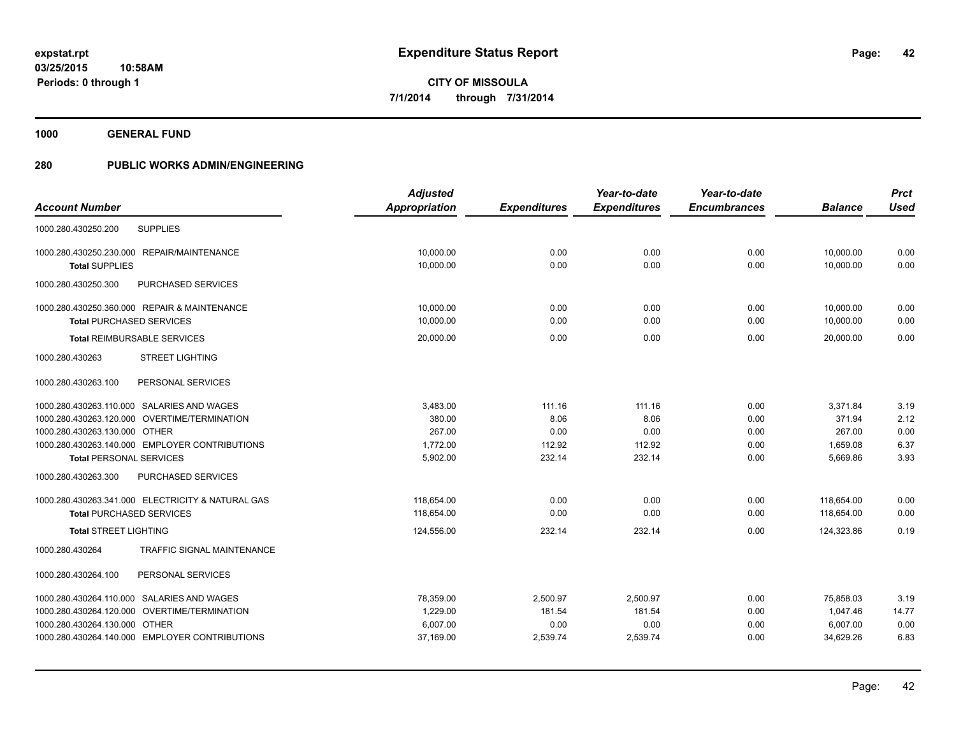**1000 GENERAL FUND**

|                                                   | <b>Adjusted</b> |                     | Year-to-date        | Year-to-date        |                | <b>Prct</b> |
|---------------------------------------------------|-----------------|---------------------|---------------------|---------------------|----------------|-------------|
| <b>Account Number</b>                             | Appropriation   | <b>Expenditures</b> | <b>Expenditures</b> | <b>Encumbrances</b> | <b>Balance</b> | <b>Used</b> |
| <b>SUPPLIES</b><br>1000.280.430250.200            |                 |                     |                     |                     |                |             |
| 1000.280.430250.230.000 REPAIR/MAINTENANCE        | 10,000.00       | 0.00                | 0.00                | 0.00                | 10,000.00      | 0.00        |
| <b>Total SUPPLIES</b>                             | 10,000.00       | 0.00                | 0.00                | 0.00                | 10,000.00      | 0.00        |
| 1000.280.430250.300<br>PURCHASED SERVICES         |                 |                     |                     |                     |                |             |
| 1000.280.430250.360.000 REPAIR & MAINTENANCE      | 10,000.00       | 0.00                | 0.00                | 0.00                | 10,000.00      | 0.00        |
| <b>Total PURCHASED SERVICES</b>                   | 10,000.00       | 0.00                | 0.00                | 0.00                | 10,000.00      | 0.00        |
| <b>Total REIMBURSABLE SERVICES</b>                | 20,000.00       | 0.00                | 0.00                | 0.00                | 20,000.00      | 0.00        |
| <b>STREET LIGHTING</b><br>1000.280.430263         |                 |                     |                     |                     |                |             |
| PERSONAL SERVICES<br>1000.280.430263.100          |                 |                     |                     |                     |                |             |
| 1000.280.430263.110.000 SALARIES AND WAGES        | 3,483.00        | 111.16              | 111.16              | 0.00                | 3,371.84       | 3.19        |
| 1000.280.430263.120.000 OVERTIME/TERMINATION      | 380.00          | 8.06                | 8.06                | 0.00                | 371.94         | 2.12        |
| 1000.280.430263.130.000 OTHER                     | 267.00          | 0.00                | 0.00                | 0.00                | 267.00         | 0.00        |
| 1000.280.430263.140.000 EMPLOYER CONTRIBUTIONS    | 1,772.00        | 112.92              | 112.92              | 0.00                | 1,659.08       | 6.37        |
| <b>Total PERSONAL SERVICES</b>                    | 5,902.00        | 232.14              | 232.14              | 0.00                | 5,669.86       | 3.93        |
| 1000.280.430263.300<br>PURCHASED SERVICES         |                 |                     |                     |                     |                |             |
| 1000.280.430263.341.000 ELECTRICITY & NATURAL GAS | 118.654.00      | 0.00                | 0.00                | 0.00                | 118.654.00     | 0.00        |
| <b>Total PURCHASED SERVICES</b>                   | 118,654.00      | 0.00                | 0.00                | 0.00                | 118,654.00     | 0.00        |
| <b>Total STREET LIGHTING</b>                      | 124,556.00      | 232.14              | 232.14              | 0.00                | 124,323.86     | 0.19        |
| TRAFFIC SIGNAL MAINTENANCE<br>1000.280.430264     |                 |                     |                     |                     |                |             |
| PERSONAL SERVICES<br>1000.280.430264.100          |                 |                     |                     |                     |                |             |
| 1000.280.430264.110.000 SALARIES AND WAGES        | 78,359.00       | 2,500.97            | 2,500.97            | 0.00                | 75,858.03      | 3.19        |
| 1000.280.430264.120.000 OVERTIME/TERMINATION      | 1,229.00        | 181.54              | 181.54              | 0.00                | 1,047.46       | 14.77       |
| 1000.280.430264.130.000 OTHER                     | 6,007.00        | 0.00                | 0.00                | 0.00                | 6,007.00       | 0.00        |
| 1000.280.430264.140.000 EMPLOYER CONTRIBUTIONS    | 37,169.00       | 2,539.74            | 2,539.74            | 0.00                | 34,629.26      | 6.83        |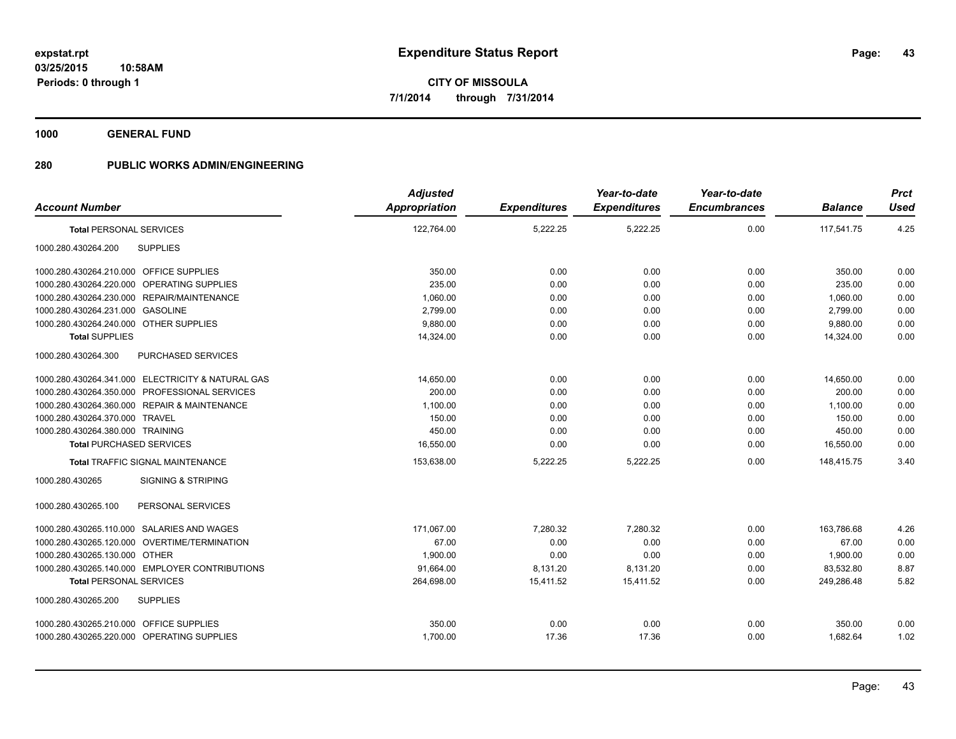**1000 GENERAL FUND**

|                                                   | <b>Adjusted</b>      |                     | Year-to-date        | Year-to-date        |                | <b>Prct</b> |
|---------------------------------------------------|----------------------|---------------------|---------------------|---------------------|----------------|-------------|
| <b>Account Number</b>                             | <b>Appropriation</b> | <b>Expenditures</b> | <b>Expenditures</b> | <b>Encumbrances</b> | <b>Balance</b> | <b>Used</b> |
| <b>Total PERSONAL SERVICES</b>                    | 122,764.00           | 5,222.25            | 5,222.25            | 0.00                | 117,541.75     | 4.25        |
| <b>SUPPLIES</b><br>1000.280.430264.200            |                      |                     |                     |                     |                |             |
| 1000.280.430264.210.000 OFFICE SUPPLIES           | 350.00               | 0.00                | 0.00                | 0.00                | 350.00         | 0.00        |
| 1000.280.430264.220.000 OPERATING SUPPLIES        | 235.00               | 0.00                | 0.00                | 0.00                | 235.00         | 0.00        |
| 1000.280.430264.230.000 REPAIR/MAINTENANCE        | 1,060.00             | 0.00                | 0.00                | 0.00                | 1,060.00       | 0.00        |
| 1000.280.430264.231.000 GASOLINE                  | 2,799.00             | 0.00                | 0.00                | 0.00                | 2,799.00       | 0.00        |
| 1000.280.430264.240.000 OTHER SUPPLIES            | 9,880.00             | 0.00                | 0.00                | 0.00                | 9,880.00       | 0.00        |
| <b>Total SUPPLIES</b>                             | 14,324.00            | 0.00                | 0.00                | 0.00                | 14,324.00      | 0.00        |
| 1000.280.430264.300<br>PURCHASED SERVICES         |                      |                     |                     |                     |                |             |
| 1000.280.430264.341.000 ELECTRICITY & NATURAL GAS | 14,650.00            | 0.00                | 0.00                | 0.00                | 14,650.00      | 0.00        |
| 1000.280.430264.350.000 PROFESSIONAL SERVICES     | 200.00               | 0.00                | 0.00                | 0.00                | 200.00         | 0.00        |
| 1000.280.430264.360.000 REPAIR & MAINTENANCE      | 1,100.00             | 0.00                | 0.00                | 0.00                | 1,100.00       | 0.00        |
| 1000.280.430264.370.000 TRAVEL                    | 150.00               | 0.00                | 0.00                | 0.00                | 150.00         | 0.00        |
| 1000.280.430264.380.000 TRAINING                  | 450.00               | 0.00                | 0.00                | 0.00                | 450.00         | 0.00        |
| <b>Total PURCHASED SERVICES</b>                   | 16,550.00            | 0.00                | 0.00                | 0.00                | 16,550.00      | 0.00        |
| <b>Total TRAFFIC SIGNAL MAINTENANCE</b>           | 153,638.00           | 5,222.25            | 5,222.25            | 0.00                | 148.415.75     | 3.40        |
| <b>SIGNING &amp; STRIPING</b><br>1000.280.430265  |                      |                     |                     |                     |                |             |
| 1000.280.430265.100<br>PERSONAL SERVICES          |                      |                     |                     |                     |                |             |
| 1000.280.430265.110.000 SALARIES AND WAGES        | 171.067.00           | 7,280.32            | 7.280.32            | 0.00                | 163.786.68     | 4.26        |
| 1000.280.430265.120.000 OVERTIME/TERMINATION      | 67.00                | 0.00                | 0.00                | 0.00                | 67.00          | 0.00        |
| 1000.280.430265.130.000 OTHER                     | 1.900.00             | 0.00                | 0.00                | 0.00                | 1,900.00       | 0.00        |
| 1000.280.430265.140.000 EMPLOYER CONTRIBUTIONS    | 91,664.00            | 8,131.20            | 8,131.20            | 0.00                | 83,532.80      | 8.87        |
| <b>Total PERSONAL SERVICES</b>                    | 264,698.00           | 15,411.52           | 15,411.52           | 0.00                | 249,286.48     | 5.82        |
| <b>SUPPLIES</b><br>1000.280.430265.200            |                      |                     |                     |                     |                |             |
| 1000.280.430265.210.000 OFFICE SUPPLIES           | 350.00               | 0.00                | 0.00                | 0.00                | 350.00         | 0.00        |
| 1000.280.430265.220.000 OPERATING SUPPLIES        | 1,700.00             | 17.36               | 17.36               | 0.00                | 1,682.64       | 1.02        |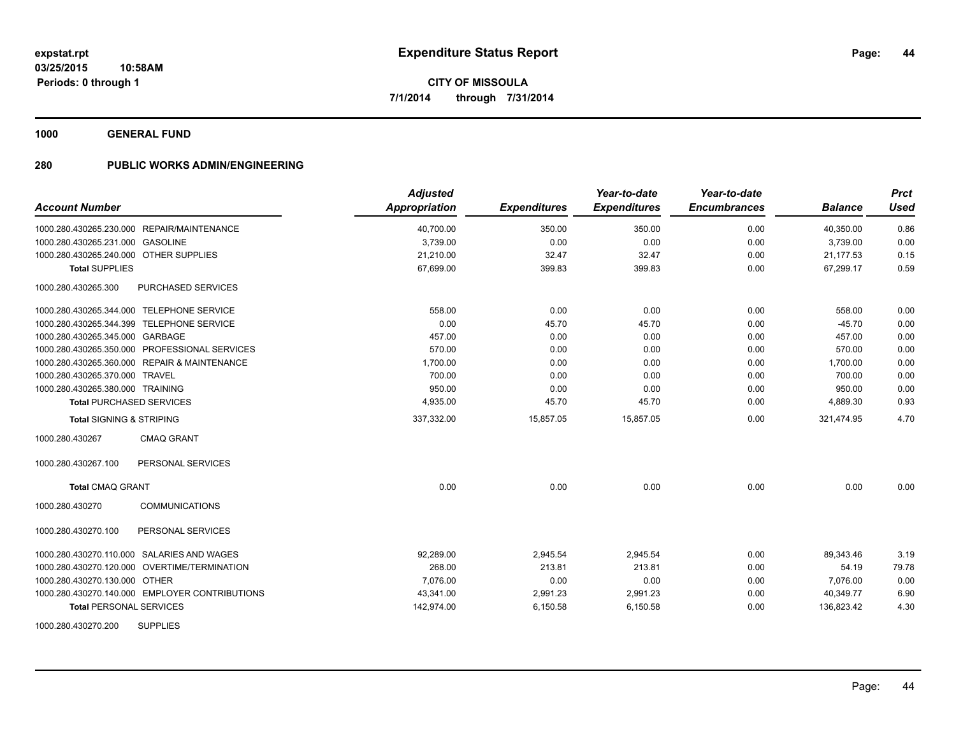**1000 GENERAL FUND**

| <b>Account Number</b>                            | <b>Adjusted</b><br>Appropriation | <b>Expenditures</b> | Year-to-date<br><b>Expenditures</b> | Year-to-date<br><b>Encumbrances</b> | <b>Balance</b> | <b>Prct</b><br><b>Used</b> |
|--------------------------------------------------|----------------------------------|---------------------|-------------------------------------|-------------------------------------|----------------|----------------------------|
| 1000.280.430265.230.000 REPAIR/MAINTENANCE       | 40,700.00                        | 350.00              | 350.00                              | 0.00                                | 40,350.00      | 0.86                       |
| 1000.280.430265.231.000 GASOLINE                 | 3,739.00                         | 0.00                | 0.00                                | 0.00                                | 3,739.00       | 0.00                       |
| 1000.280.430265.240.000 OTHER SUPPLIES           | 21,210.00                        | 32.47               | 32.47                               | 0.00                                | 21,177.53      | 0.15                       |
| <b>Total SUPPLIES</b>                            | 67,699.00                        | 399.83              | 399.83                              | 0.00                                | 67,299.17      | 0.59                       |
| 1000.280.430265.300<br><b>PURCHASED SERVICES</b> |                                  |                     |                                     |                                     |                |                            |
| 1000.280.430265.344.000 TELEPHONE SERVICE        | 558.00                           | 0.00                | 0.00                                | 0.00                                | 558.00         | 0.00                       |
| 1000.280.430265.344.399 TELEPHONE SERVICE        | 0.00                             | 45.70               | 45.70                               | 0.00                                | $-45.70$       | 0.00                       |
| 1000.280.430265.345.000 GARBAGE                  | 457.00                           | 0.00                | 0.00                                | 0.00                                | 457.00         | 0.00                       |
| 1000.280.430265.350.000 PROFESSIONAL SERVICES    | 570.00                           | 0.00                | 0.00                                | 0.00                                | 570.00         | 0.00                       |
| 1000.280.430265.360.000 REPAIR & MAINTENANCE     | 1,700.00                         | 0.00                | 0.00                                | 0.00                                | 1,700.00       | 0.00                       |
| 1000.280.430265.370.000 TRAVEL                   | 700.00                           | 0.00                | 0.00                                | 0.00                                | 700.00         | 0.00                       |
| 1000.280.430265.380.000 TRAINING                 | 950.00                           | 0.00                | 0.00                                | 0.00                                | 950.00         | 0.00                       |
| <b>Total PURCHASED SERVICES</b>                  | 4,935.00                         | 45.70               | 45.70                               | 0.00                                | 4,889.30       | 0.93                       |
| <b>Total SIGNING &amp; STRIPING</b>              | 337,332.00                       | 15,857.05           | 15,857.05                           | 0.00                                | 321,474.95     | 4.70                       |
| 1000.280.430267<br><b>CMAQ GRANT</b>             |                                  |                     |                                     |                                     |                |                            |
| PERSONAL SERVICES<br>1000.280.430267.100         |                                  |                     |                                     |                                     |                |                            |
| <b>Total CMAQ GRANT</b>                          | 0.00                             | 0.00                | 0.00                                | 0.00                                | 0.00           | 0.00                       |
| <b>COMMUNICATIONS</b><br>1000.280.430270         |                                  |                     |                                     |                                     |                |                            |
| 1000.280.430270.100<br>PERSONAL SERVICES         |                                  |                     |                                     |                                     |                |                            |
| 1000.280.430270.110.000 SALARIES AND WAGES       | 92,289.00                        | 2,945.54            | 2,945.54                            | 0.00                                | 89.343.46      | 3.19                       |
| 1000.280.430270.120.000 OVERTIME/TERMINATION     | 268.00                           | 213.81              | 213.81                              | 0.00                                | 54.19          | 79.78                      |
| 1000.280.430270.130.000 OTHER                    | 7.076.00                         | 0.00                | 0.00                                | 0.00                                | 7,076.00       | 0.00                       |
| 1000.280.430270.140.000 EMPLOYER CONTRIBUTIONS   | 43,341.00                        | 2,991.23            | 2,991.23                            | 0.00                                | 40,349.77      | 6.90                       |
| <b>Total PERSONAL SERVICES</b>                   | 142,974.00                       | 6,150.58            | 6,150.58                            | 0.00                                | 136,823.42     | 4.30                       |
| <b>SUPPLIES</b><br>1000.280.430270.200           |                                  |                     |                                     |                                     |                |                            |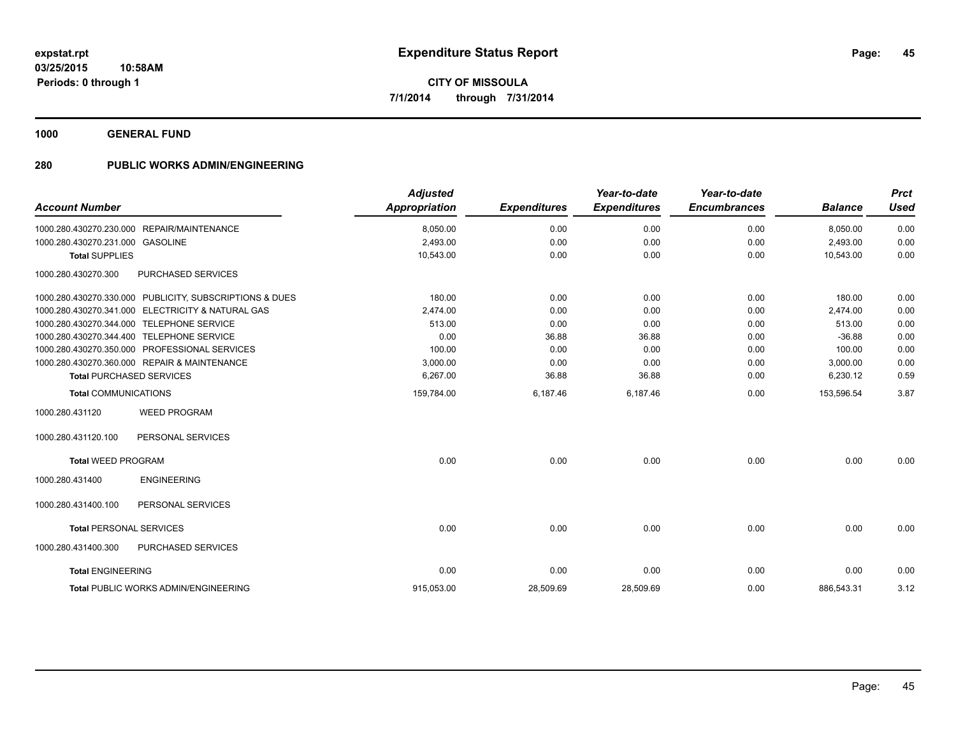**1000 GENERAL FUND**

| <b>Account Number</b>                                   |                    | Adjusted<br><b>Appropriation</b> | <b>Expenditures</b> | Year-to-date<br><b>Expenditures</b> | Year-to-date<br><b>Encumbrances</b> | <b>Balance</b> | <b>Prct</b><br><b>Used</b> |
|---------------------------------------------------------|--------------------|----------------------------------|---------------------|-------------------------------------|-------------------------------------|----------------|----------------------------|
| 1000.280.430270.230.000 REPAIR/MAINTENANCE              |                    | 8,050.00                         | 0.00                | 0.00                                | 0.00                                | 8,050.00       | 0.00                       |
| 1000.280.430270.231.000 GASOLINE                        |                    | 2,493.00                         | 0.00                | 0.00                                | 0.00                                | 2,493.00       | 0.00                       |
| <b>Total SUPPLIES</b>                                   |                    | 10,543.00                        | 0.00                | 0.00                                | 0.00                                | 10,543.00      | 0.00                       |
| 1000.280.430270.300                                     | PURCHASED SERVICES |                                  |                     |                                     |                                     |                |                            |
| 1000.280.430270.330.000 PUBLICITY, SUBSCRIPTIONS & DUES |                    | 180.00                           | 0.00                | 0.00                                | 0.00                                | 180.00         | 0.00                       |
| 1000.280.430270.341.000 ELECTRICITY & NATURAL GAS       |                    | 2,474.00                         | 0.00                | 0.00                                | 0.00                                | 2,474.00       | 0.00                       |
| 1000.280.430270.344.000 TELEPHONE SERVICE               |                    | 513.00                           | 0.00                | 0.00                                | 0.00                                | 513.00         | 0.00                       |
| 1000.280.430270.344.400 TELEPHONE SERVICE               |                    | 0.00                             | 36.88               | 36.88                               | 0.00                                | $-36.88$       | 0.00                       |
| 1000.280.430270.350.000 PROFESSIONAL SERVICES           |                    | 100.00                           | 0.00                | 0.00                                | 0.00                                | 100.00         | 0.00                       |
| 1000.280.430270.360.000 REPAIR & MAINTENANCE            |                    | 3,000.00                         | 0.00                | 0.00                                | 0.00                                | 3,000.00       | 0.00                       |
| <b>Total PURCHASED SERVICES</b>                         |                    | 6,267.00                         | 36.88               | 36.88                               | 0.00                                | 6,230.12       | 0.59                       |
| <b>Total COMMUNICATIONS</b>                             |                    | 159,784.00                       | 6,187.46            | 6,187.46                            | 0.00                                | 153,596.54     | 3.87                       |
| <b>WEED PROGRAM</b><br>1000.280.431120                  |                    |                                  |                     |                                     |                                     |                |                            |
| PERSONAL SERVICES<br>1000.280.431120.100                |                    |                                  |                     |                                     |                                     |                |                            |
| <b>Total WEED PROGRAM</b>                               |                    | 0.00                             | 0.00                | 0.00                                | 0.00                                | 0.00           | 0.00                       |
| <b>ENGINEERING</b><br>1000.280.431400                   |                    |                                  |                     |                                     |                                     |                |                            |
| 1000.280.431400.100<br>PERSONAL SERVICES                |                    |                                  |                     |                                     |                                     |                |                            |
| <b>Total PERSONAL SERVICES</b>                          |                    | 0.00                             | 0.00                | 0.00                                | 0.00                                | 0.00           | 0.00                       |
| 1000.280.431400.300                                     | PURCHASED SERVICES |                                  |                     |                                     |                                     |                |                            |
| <b>Total ENGINEERING</b>                                |                    | 0.00                             | 0.00                | 0.00                                | 0.00                                | 0.00           | 0.00                       |
| <b>Total PUBLIC WORKS ADMIN/ENGINEERING</b>             |                    | 915,053.00                       | 28,509.69           | 28,509.69                           | 0.00                                | 886,543.31     | 3.12                       |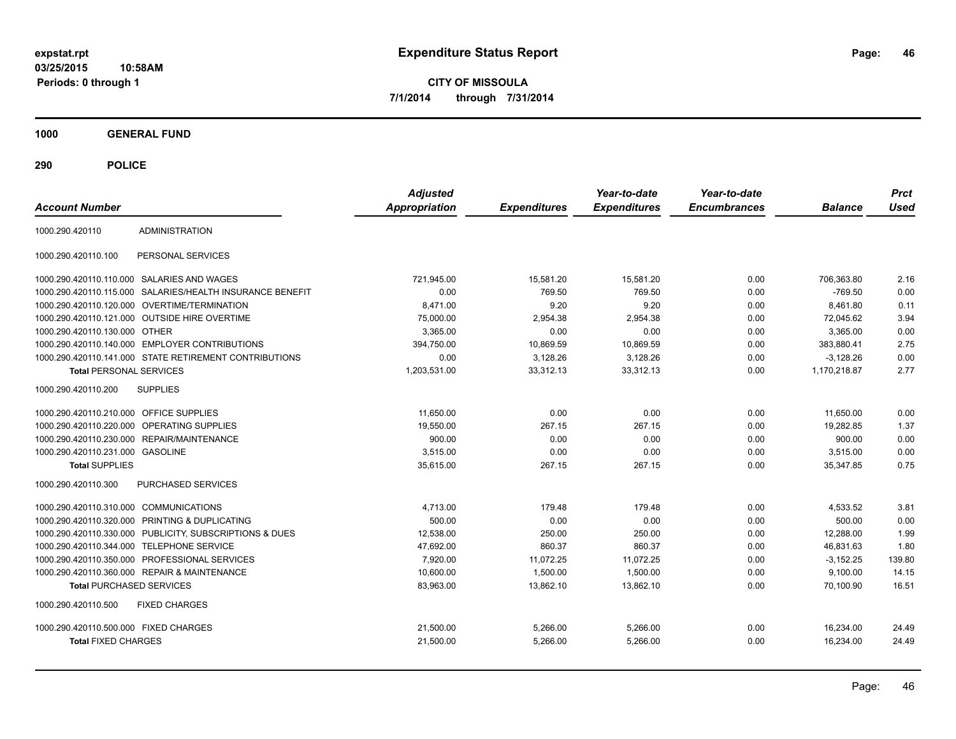**03/25/2015 10:58AM Periods: 0 through 1**

**CITY OF MISSOULA 7/1/2014 through 7/31/2014**

**1000 GENERAL FUND**

| <b>Account Number</b>                                  |                                   | <b>Adjusted</b><br><b>Appropriation</b> | <b>Expenditures</b> | Year-to-date<br><b>Expenditures</b> | Year-to-date<br><b>Encumbrances</b> | <b>Balance</b> | <b>Prct</b><br><b>Used</b> |
|--------------------------------------------------------|-----------------------------------|-----------------------------------------|---------------------|-------------------------------------|-------------------------------------|----------------|----------------------------|
| <b>ADMINISTRATION</b><br>1000.290.420110               |                                   |                                         |                     |                                     |                                     |                |                            |
| 1000.290.420110.100                                    | PERSONAL SERVICES                 |                                         |                     |                                     |                                     |                |                            |
| 1000.290.420110.110.000 SALARIES AND WAGES             |                                   | 721.945.00                              | 15,581.20           | 15,581.20                           | 0.00                                | 706.363.80     | 2.16                       |
| 1000.290.420110.115.000                                | SALARIES/HEALTH INSURANCE BENEFIT | 0.00                                    | 769.50              | 769.50                              | 0.00                                | $-769.50$      | 0.00                       |
| 1000.290.420110.120.000                                | <b>OVERTIME/TERMINATION</b>       | 8.471.00                                | 9.20                | 9.20                                | 0.00                                | 8.461.80       | 0.11                       |
| 1000.290.420110.121.000 OUTSIDE HIRE OVERTIME          |                                   | 75,000.00                               | 2,954.38            | 2,954.38                            | 0.00                                | 72,045.62      | 3.94                       |
| 1000.290.420110.130.000 OTHER                          |                                   | 3.365.00                                | 0.00                | 0.00                                | 0.00                                | 3.365.00       | 0.00                       |
| 1000.290.420110.140.000                                | <b>EMPLOYER CONTRIBUTIONS</b>     | 394,750.00                              | 10,869.59           | 10,869.59                           | 0.00                                | 383.880.41     | 2.75                       |
| 1000.290.420110.141.000 STATE RETIREMENT CONTRIBUTIONS |                                   | 0.00                                    | 3,128.26            | 3,128.26                            | 0.00                                | $-3,128.26$    | 0.00                       |
| <b>Total PERSONAL SERVICES</b>                         |                                   | 1,203,531.00                            | 33,312.13           | 33,312.13                           | 0.00                                | 1,170,218.87   | 2.77                       |
| 1000.290.420110.200<br><b>SUPPLIES</b>                 |                                   |                                         |                     |                                     |                                     |                |                            |
| 1000.290.420110.210.000                                | <b>OFFICE SUPPLIES</b>            | 11,650.00                               | 0.00                | 0.00                                | 0.00                                | 11,650.00      | 0.00                       |
| 1000.290.420110.220.000                                | <b>OPERATING SUPPLIES</b>         | 19,550.00                               | 267.15              | 267.15                              | 0.00                                | 19.282.85      | 1.37                       |
| 1000.290.420110.230.000                                | REPAIR/MAINTENANCE                | 900.00                                  | 0.00                | 0.00                                | 0.00                                | 900.00         | 0.00                       |
| 1000.290.420110.231.000 GASOLINE                       |                                   | 3.515.00                                | 0.00                | 0.00                                | 0.00                                | 3.515.00       | 0.00                       |
| <b>Total SUPPLIES</b>                                  |                                   | 35,615.00                               | 267.15              | 267.15                              | 0.00                                | 35,347.85      | 0.75                       |
| 1000.290.420110.300                                    | <b>PURCHASED SERVICES</b>         |                                         |                     |                                     |                                     |                |                            |
| 1000.290.420110.310.000                                | <b>COMMUNICATIONS</b>             | 4,713.00                                | 179.48              | 179.48                              | 0.00                                | 4,533.52       | 3.81                       |
| 1000.290.420110.320.000                                | PRINTING & DUPLICATING            | 500.00                                  | 0.00                | 0.00                                | 0.00                                | 500.00         | 0.00                       |
| 1000.290.420110.330.000                                | PUBLICITY, SUBSCRIPTIONS & DUES   | 12,538.00                               | 250.00              | 250.00                              | 0.00                                | 12,288.00      | 1.99                       |
| 1000.290.420110.344.000                                | <b>TELEPHONE SERVICE</b>          | 47,692.00                               | 860.37              | 860.37                              | 0.00                                | 46,831.63      | 1.80                       |
| 1000.290.420110.350.000                                | PROFESSIONAL SERVICES             | 7,920.00                                | 11,072.25           | 11,072.25                           | 0.00                                | $-3.152.25$    | 139.80                     |
| 1000.290.420110.360.000                                | <b>REPAIR &amp; MAINTENANCE</b>   | 10,600.00                               | 1,500.00            | 1,500.00                            | 0.00                                | 9,100.00       | 14.15                      |
| <b>Total PURCHASED SERVICES</b>                        |                                   | 83,963.00                               | 13,862.10           | 13,862.10                           | 0.00                                | 70,100.90      | 16.51                      |
| <b>FIXED CHARGES</b><br>1000.290.420110.500            |                                   |                                         |                     |                                     |                                     |                |                            |
| 1000.290.420110.500.000 FIXED CHARGES                  |                                   | 21,500.00                               | 5,266.00            | 5,266.00                            | 0.00                                | 16,234.00      | 24.49                      |
| <b>Total FIXED CHARGES</b>                             |                                   | 21,500.00                               | 5.266.00            | 5.266.00                            | 0.00                                | 16,234.00      | 24.49                      |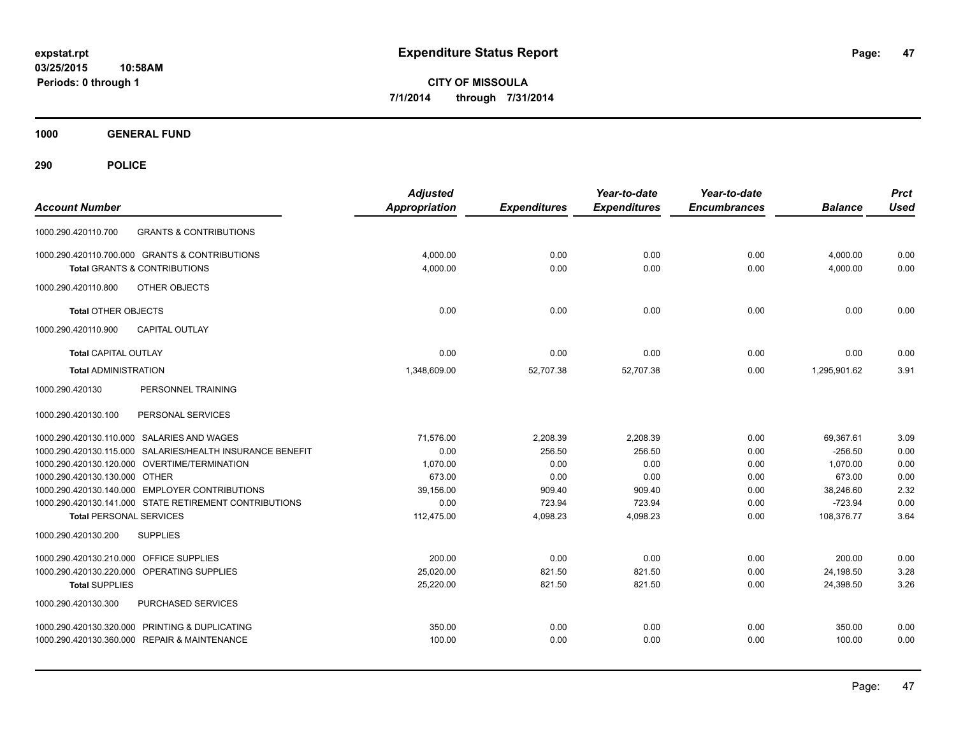**1000 GENERAL FUND**

| <b>Account Number</b>                                                                    | <b>Adjusted</b><br><b>Appropriation</b> | <b>Expenditures</b> | Year-to-date<br><b>Expenditures</b> | Year-to-date<br><b>Encumbrances</b> | <b>Balance</b>          | <b>Prct</b><br><b>Used</b> |
|------------------------------------------------------------------------------------------|-----------------------------------------|---------------------|-------------------------------------|-------------------------------------|-------------------------|----------------------------|
| <b>GRANTS &amp; CONTRIBUTIONS</b><br>1000.290.420110.700                                 |                                         |                     |                                     |                                     |                         |                            |
| 1000.290.420110.700.000 GRANTS & CONTRIBUTIONS                                           | 4,000.00                                | 0.00                | 0.00                                | 0.00                                | 4,000.00                | 0.00                       |
| <b>Total GRANTS &amp; CONTRIBUTIONS</b>                                                  | 4,000.00                                | 0.00                | 0.00                                | 0.00                                | 4,000.00                | 0.00                       |
| OTHER OBJECTS<br>1000.290.420110.800                                                     |                                         |                     |                                     |                                     |                         |                            |
| <b>Total OTHER OBJECTS</b>                                                               | 0.00                                    | 0.00                | 0.00                                | 0.00                                | 0.00                    | 0.00                       |
| CAPITAL OUTLAY<br>1000.290.420110.900                                                    |                                         |                     |                                     |                                     |                         |                            |
| <b>Total CAPITAL OUTLAY</b>                                                              | 0.00                                    | 0.00                | 0.00                                | 0.00                                | 0.00                    | 0.00                       |
| <b>Total ADMINISTRATION</b>                                                              | 1,348,609.00                            | 52,707.38           | 52,707.38                           | 0.00                                | 1,295,901.62            | 3.91                       |
| 1000.290.420130<br>PERSONNEL TRAINING                                                    |                                         |                     |                                     |                                     |                         |                            |
| 1000.290.420130.100<br>PERSONAL SERVICES                                                 |                                         |                     |                                     |                                     |                         |                            |
| 1000.290.420130.110.000 SALARIES AND WAGES                                               | 71,576.00                               | 2,208.39            | 2,208.39                            | 0.00                                | 69,367.61               | 3.09                       |
| 1000.290.420130.115.000 SALARIES/HEALTH INSURANCE BENEFIT                                | 0.00                                    | 256.50              | 256.50                              | 0.00                                | $-256.50$               | 0.00                       |
| 1000.290.420130.120.000 OVERTIME/TERMINATION                                             | 1.070.00                                | 0.00                | 0.00                                | 0.00                                | 1.070.00                | 0.00                       |
| 1000.290.420130.130.000 OTHER                                                            | 673.00                                  | 0.00                | 0.00                                | 0.00                                | 673.00                  | 0.00                       |
| 1000.290.420130.140.000 EMPLOYER CONTRIBUTIONS                                           | 39,156.00                               | 909.40              | 909.40                              | 0.00                                | 38,246.60               | 2.32                       |
| 1000.290.420130.141.000 STATE RETIREMENT CONTRIBUTIONS<br><b>Total PERSONAL SERVICES</b> | 0.00<br>112,475.00                      | 723.94<br>4,098.23  | 723.94<br>4,098.23                  | 0.00<br>0.00                        | $-723.94$<br>108,376.77 | 0.00<br>3.64               |
| 1000.290.420130.200<br><b>SUPPLIES</b>                                                   |                                         |                     |                                     |                                     |                         |                            |
| 1000.290.420130.210.000 OFFICE SUPPLIES                                                  | 200.00                                  | 0.00                | 0.00                                | 0.00                                | 200.00                  | 0.00                       |
| 1000.290.420130.220.000<br>OPERATING SUPPLIES                                            | 25,020.00                               | 821.50              | 821.50                              | 0.00                                | 24,198.50               | 3.28                       |
| <b>Total SUPPLIES</b>                                                                    | 25,220.00                               | 821.50              | 821.50                              | 0.00                                | 24,398.50               | 3.26                       |
| PURCHASED SERVICES<br>1000.290.420130.300                                                |                                         |                     |                                     |                                     |                         |                            |
| 1000.290.420130.320.000 PRINTING & DUPLICATING                                           | 350.00                                  | 0.00                | 0.00                                | 0.00                                | 350.00                  | 0.00                       |
| 1000.290.420130.360.000 REPAIR & MAINTENANCE                                             | 100.00                                  | 0.00                | 0.00                                | 0.00                                | 100.00                  | 0.00                       |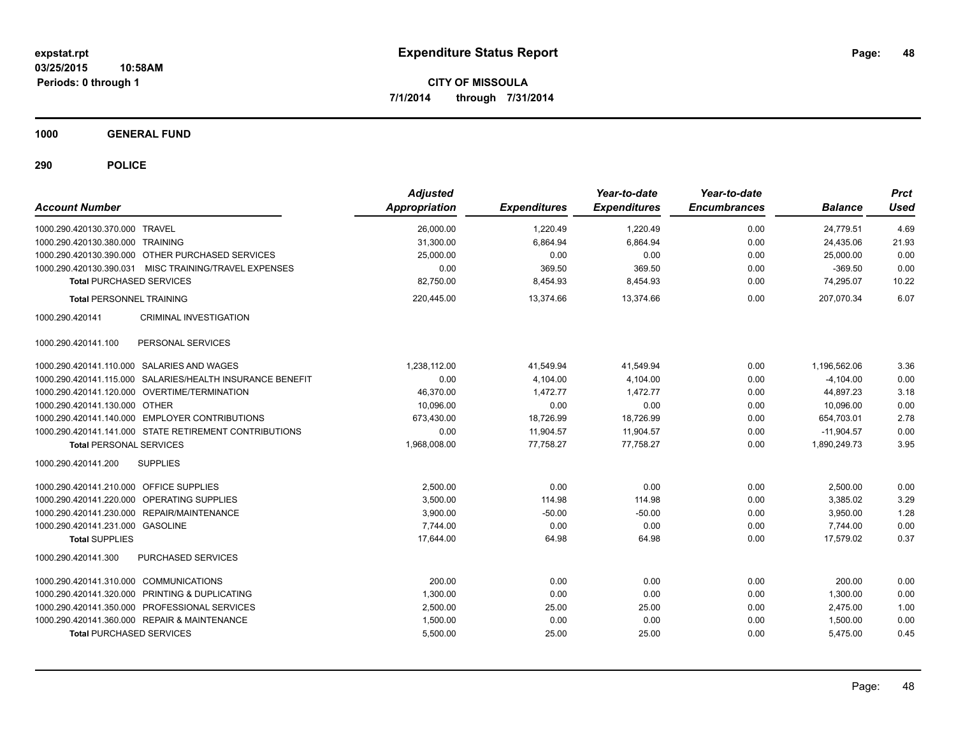**1000 GENERAL FUND**

| <b>Account Number</b>                                     | <b>Adjusted</b><br><b>Appropriation</b> | <b>Expenditures</b> | Year-to-date<br><b>Expenditures</b> | Year-to-date<br><b>Encumbrances</b> | <b>Balance</b> | <b>Prct</b><br><b>Used</b> |
|-----------------------------------------------------------|-----------------------------------------|---------------------|-------------------------------------|-------------------------------------|----------------|----------------------------|
| 1000.290.420130.370.000 TRAVEL                            | 26,000.00                               | 1,220.49            | 1,220.49                            | 0.00                                | 24.779.51      | 4.69                       |
| 1000.290.420130.380.000 TRAINING                          | 31,300.00                               | 6,864.94            | 6,864.94                            | 0.00                                | 24,435.06      | 21.93                      |
| 1000.290.420130.390.000 OTHER PURCHASED SERVICES          | 25,000.00                               | 0.00                | 0.00                                | 0.00                                | 25,000.00      | 0.00                       |
| MISC TRAINING/TRAVEL EXPENSES<br>1000.290.420130.390.031  | 0.00                                    | 369.50              | 369.50                              | 0.00                                | $-369.50$      | 0.00                       |
| <b>Total PURCHASED SERVICES</b>                           | 82,750.00                               | 8,454.93            | 8,454.93                            | 0.00                                | 74.295.07      | 10.22                      |
| <b>Total PERSONNEL TRAINING</b>                           | 220,445.00                              | 13,374.66           | 13,374.66                           | 0.00                                | 207,070.34     | 6.07                       |
| <b>CRIMINAL INVESTIGATION</b><br>1000.290.420141          |                                         |                     |                                     |                                     |                |                            |
| 1000.290.420141.100<br>PERSONAL SERVICES                  |                                         |                     |                                     |                                     |                |                            |
| 1000.290.420141.110.000 SALARIES AND WAGES                | 1,238,112.00                            | 41,549.94           | 41,549.94                           | 0.00                                | 1,196,562.06   | 3.36                       |
| 1000.290.420141.115.000 SALARIES/HEALTH INSURANCE BENEFIT | 0.00                                    | 4,104.00            | 4,104.00                            | 0.00                                | $-4,104.00$    | 0.00                       |
| 1000.290.420141.120.000 OVERTIME/TERMINATION              | 46,370.00                               | 1,472.77            | 1.472.77                            | 0.00                                | 44.897.23      | 3.18                       |
| 1000.290.420141.130.000 OTHER                             | 10,096.00                               | 0.00                | 0.00                                | 0.00                                | 10.096.00      | 0.00                       |
| 1000.290.420141.140.000 EMPLOYER CONTRIBUTIONS            | 673,430.00                              | 18,726.99           | 18,726.99                           | 0.00                                | 654,703.01     | 2.78                       |
| 1000.290.420141.141.000 STATE RETIREMENT CONTRIBUTIONS    | 0.00                                    | 11,904.57           | 11,904.57                           | 0.00                                | $-11,904.57$   | 0.00                       |
| <b>Total PERSONAL SERVICES</b>                            | 1,968,008.00                            | 77,758.27           | 77,758.27                           | 0.00                                | 1,890,249.73   | 3.95                       |
| 1000.290.420141.200<br><b>SUPPLIES</b>                    |                                         |                     |                                     |                                     |                |                            |
| 1000.290.420141.210.000 OFFICE SUPPLIES                   | 2,500.00                                | 0.00                | 0.00                                | 0.00                                | 2,500.00       | 0.00                       |
| 1000.290.420141.220.000 OPERATING SUPPLIES                | 3.500.00                                | 114.98              | 114.98                              | 0.00                                | 3.385.02       | 3.29                       |
| 1000.290.420141.230.000 REPAIR/MAINTENANCE                | 3.900.00                                | $-50.00$            | $-50.00$                            | 0.00                                | 3.950.00       | 1.28                       |
| 1000.290.420141.231.000 GASOLINE                          | 7.744.00                                | 0.00                | 0.00                                | 0.00                                | 7.744.00       | 0.00                       |
| <b>Total SUPPLIES</b>                                     | 17,644.00                               | 64.98               | 64.98                               | 0.00                                | 17.579.02      | 0.37                       |
| 1000.290.420141.300<br>PURCHASED SERVICES                 |                                         |                     |                                     |                                     |                |                            |
| 1000.290.420141.310.000 COMMUNICATIONS                    | 200.00                                  | 0.00                | 0.00                                | 0.00                                | 200.00         | 0.00                       |
| 1000.290.420141.320.000 PRINTING & DUPLICATING            | 1,300.00                                | 0.00                | 0.00                                | 0.00                                | 1,300.00       | 0.00                       |
| 1000.290.420141.350.000 PROFESSIONAL SERVICES             | 2,500.00                                | 25.00               | 25.00                               | 0.00                                | 2,475.00       | 1.00                       |
| 1000.290.420141.360.000 REPAIR & MAINTENANCE              | 1,500.00                                | 0.00                | 0.00                                | 0.00                                | 1,500.00       | 0.00                       |
| <b>Total PURCHASED SERVICES</b>                           | 5,500.00                                | 25.00               | 25.00                               | 0.00                                | 5,475.00       | 0.45                       |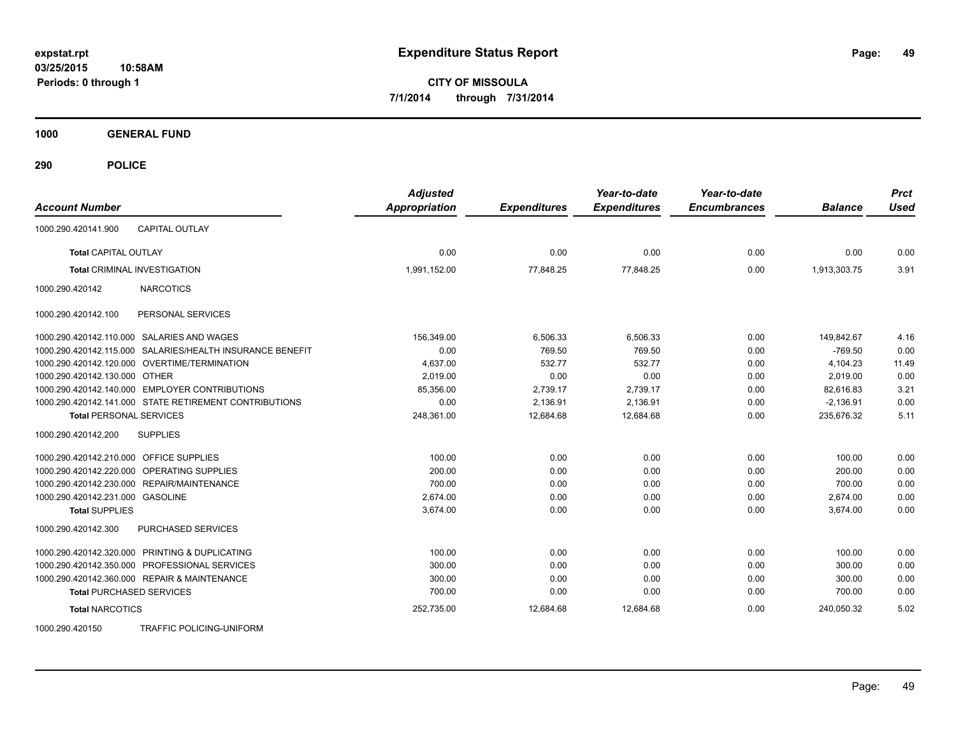**Periods: 0 through 1**

**CITY OF MISSOULA 7/1/2014 through 7/31/2014**

**1000 GENERAL FUND**

**290 POLICE**

| <b>Account Number</b>                                     | <b>Adjusted</b><br><b>Appropriation</b> | <b>Expenditures</b> | Year-to-date<br><b>Expenditures</b> | Year-to-date<br><b>Encumbrances</b> | <b>Balance</b> | <b>Prct</b><br><b>Used</b> |
|-----------------------------------------------------------|-----------------------------------------|---------------------|-------------------------------------|-------------------------------------|----------------|----------------------------|
| <b>CAPITAL OUTLAY</b><br>1000.290.420141.900              |                                         |                     |                                     |                                     |                |                            |
| <b>Total CAPITAL OUTLAY</b>                               | 0.00                                    | 0.00                | 0.00                                | 0.00                                | 0.00           | 0.00                       |
| <b>Total CRIMINAL INVESTIGATION</b>                       | 1,991,152.00                            | 77,848.25           | 77,848.25                           | 0.00                                | 1,913,303.75   | 3.91                       |
| 1000.290.420142<br><b>NARCOTICS</b>                       |                                         |                     |                                     |                                     |                |                            |
| PERSONAL SERVICES<br>1000.290.420142.100                  |                                         |                     |                                     |                                     |                |                            |
| 1000.290.420142.110.000 SALARIES AND WAGES                | 156,349.00                              | 6,506.33            | 6,506.33                            | 0.00                                | 149,842.67     | 4.16                       |
| 1000.290.420142.115.000 SALARIES/HEALTH INSURANCE BENEFIT | 0.00                                    | 769.50              | 769.50                              | 0.00                                | $-769.50$      | 0.00                       |
| 1000.290.420142.120.000 OVERTIME/TERMINATION              | 4,637.00                                | 532.77              | 532.77                              | 0.00                                | 4,104.23       | 11.49                      |
| 1000.290.420142.130.000 OTHER                             | 2.019.00                                | 0.00                | 0.00                                | 0.00                                | 2.019.00       | 0.00                       |
| 1000.290.420142.140.000 EMPLOYER CONTRIBUTIONS            | 85,356.00                               | 2,739.17            | 2.739.17                            | 0.00                                | 82.616.83      | 3.21                       |
| 1000.290.420142.141.000 STATE RETIREMENT CONTRIBUTIONS    | 0.00                                    | 2,136.91            | 2,136.91                            | 0.00                                | $-2,136.91$    | 0.00                       |
| <b>Total PERSONAL SERVICES</b>                            | 248,361.00                              | 12,684.68           | 12,684.68                           | 0.00                                | 235,676.32     | 5.11                       |
| <b>SUPPLIES</b><br>1000.290.420142.200                    |                                         |                     |                                     |                                     |                |                            |
| 1000.290.420142.210.000 OFFICE SUPPLIES                   | 100.00                                  | 0.00                | 0.00                                | 0.00                                | 100.00         | 0.00                       |
| 1000.290.420142.220.000 OPERATING SUPPLIES                | 200.00                                  | 0.00                | 0.00                                | 0.00                                | 200.00         | 0.00                       |
| 1000.290.420142.230.000 REPAIR/MAINTENANCE                | 700.00                                  | 0.00                | 0.00                                | 0.00                                | 700.00         | 0.00                       |
| 1000.290.420142.231.000 GASOLINE                          | 2,674.00                                | 0.00                | 0.00                                | 0.00                                | 2,674.00       | 0.00                       |
| <b>Total SUPPLIES</b>                                     | 3.674.00                                | 0.00                | 0.00                                | 0.00                                | 3,674.00       | 0.00                       |
| PURCHASED SERVICES<br>1000.290.420142.300                 |                                         |                     |                                     |                                     |                |                            |
| 1000.290.420142.320.000 PRINTING & DUPLICATING            | 100.00                                  | 0.00                | 0.00                                | 0.00                                | 100.00         | 0.00                       |
| 1000.290.420142.350.000 PROFESSIONAL SERVICES             | 300.00                                  | 0.00                | 0.00                                | 0.00                                | 300.00         | 0.00                       |
| 1000.290.420142.360.000 REPAIR & MAINTENANCE              | 300.00                                  | 0.00                | 0.00                                | 0.00                                | 300.00         | 0.00                       |
| <b>Total PURCHASED SERVICES</b>                           | 700.00                                  | 0.00                | 0.00                                | 0.00                                | 700.00         | 0.00                       |
| <b>Total NARCOTICS</b>                                    | 252,735.00                              | 12,684.68           | 12.684.68                           | 0.00                                | 240.050.32     | 5.02                       |

1000.290.420150 TRAFFIC POLICING-UNIFORM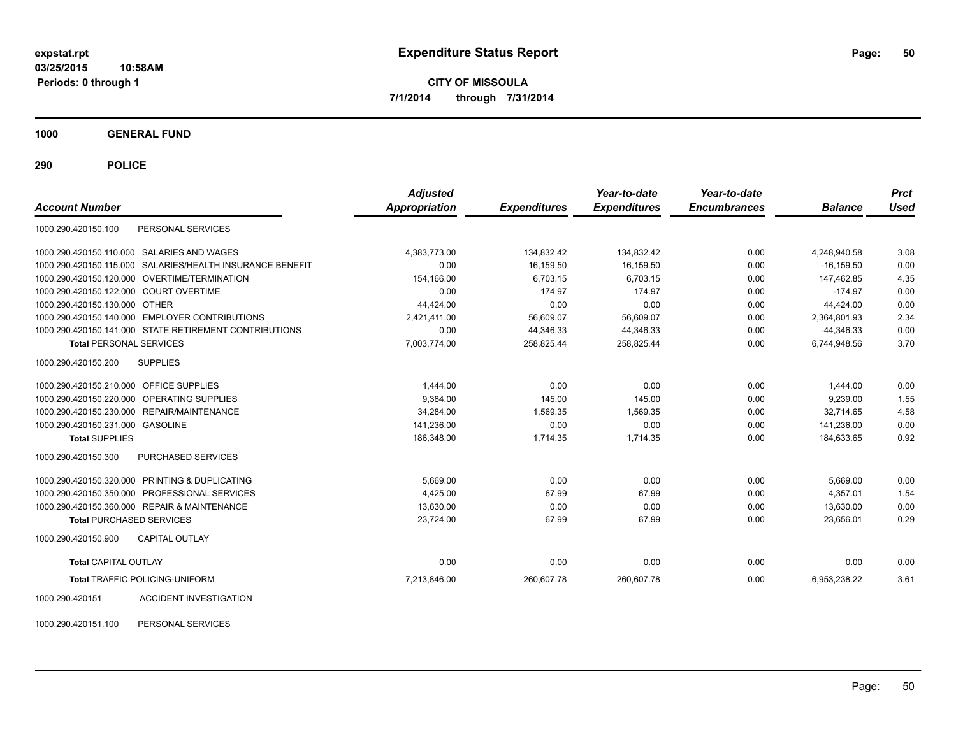**1000 GENERAL FUND**

**290 POLICE**

| <b>Account Number</b>                                        | <b>Adjusted</b><br><b>Appropriation</b> | <b>Expenditures</b> | Year-to-date<br><b>Expenditures</b> | Year-to-date<br><b>Encumbrances</b> | <b>Balance</b> | <b>Prct</b><br><b>Used</b> |
|--------------------------------------------------------------|-----------------------------------------|---------------------|-------------------------------------|-------------------------------------|----------------|----------------------------|
| PERSONAL SERVICES<br>1000.290.420150.100                     |                                         |                     |                                     |                                     |                |                            |
| SALARIES AND WAGES<br>1000.290.420150.110.000                | 4,383,773.00                            | 134,832.42          | 134,832.42                          | 0.00                                | 4,248,940.58   | 3.08                       |
| SALARIES/HEALTH INSURANCE BENEFIT<br>1000.290.420150.115.000 | 0.00                                    | 16,159.50           | 16,159.50                           | 0.00                                | $-16.159.50$   | 0.00                       |
| <b>OVERTIME/TERMINATION</b><br>1000.290.420150.120.000       | 154,166.00                              | 6,703.15            | 6,703.15                            | 0.00                                | 147,462.85     | 4.35                       |
| 1000.290.420150.122.000 COURT OVERTIME                       | 0.00                                    | 174.97              | 174.97                              | 0.00                                | $-174.97$      | 0.00                       |
| 1000.290.420150.130.000 OTHER                                | 44,424.00                               | 0.00                | 0.00                                | 0.00                                | 44,424.00      | 0.00                       |
| 1000.290.420150.140.000 EMPLOYER CONTRIBUTIONS               | 2,421,411.00                            | 56,609.07           | 56,609.07                           | 0.00                                | 2.364.801.93   | 2.34                       |
| 1000.290.420150.141.000 STATE RETIREMENT CONTRIBUTIONS       | 0.00                                    | 44,346.33           | 44,346.33                           | 0.00                                | $-44,346.33$   | 0.00                       |
| <b>Total PERSONAL SERVICES</b>                               | 7,003,774.00                            | 258,825.44          | 258,825.44                          | 0.00                                | 6,744,948.56   | 3.70                       |
| 1000.290.420150.200<br><b>SUPPLIES</b>                       |                                         |                     |                                     |                                     |                |                            |
| 1000.290.420150.210.000 OFFICE SUPPLIES                      | 1,444.00                                | 0.00                | 0.00                                | 0.00                                | 1,444.00       | 0.00                       |
| OPERATING SUPPLIES<br>1000.290.420150.220.000                | 9,384.00                                | 145.00              | 145.00                              | 0.00                                | 9,239.00       | 1.55                       |
| REPAIR/MAINTENANCE<br>1000.290.420150.230.000                | 34,284.00                               | 1,569.35            | 1,569.35                            | 0.00                                | 32.714.65      | 4.58                       |
| 1000.290.420150.231.000 GASOLINE                             | 141,236.00                              | 0.00                | 0.00                                | 0.00                                | 141,236.00     | 0.00                       |
| <b>Total SUPPLIES</b>                                        | 186,348.00                              | 1,714.35            | 1,714.35                            | 0.00                                | 184,633.65     | 0.92                       |
| 1000.290.420150.300<br><b>PURCHASED SERVICES</b>             |                                         |                     |                                     |                                     |                |                            |
| 1000.290.420150.320.000 PRINTING & DUPLICATING               | 5,669.00                                | 0.00                | 0.00                                | 0.00                                | 5,669.00       | 0.00                       |
| PROFESSIONAL SERVICES<br>1000.290.420150.350.000             | 4,425.00                                | 67.99               | 67.99                               | 0.00                                | 4.357.01       | 1.54                       |
| 1000.290.420150.360.000 REPAIR & MAINTENANCE                 | 13,630.00                               | 0.00                | 0.00                                | 0.00                                | 13,630.00      | 0.00                       |
| <b>Total PURCHASED SERVICES</b>                              | 23,724.00                               | 67.99               | 67.99                               | 0.00                                | 23,656.01      | 0.29                       |
| <b>CAPITAL OUTLAY</b><br>1000.290.420150.900                 |                                         |                     |                                     |                                     |                |                            |
| Total CAPITAL OUTLAY                                         | 0.00                                    | 0.00                | 0.00                                | 0.00                                | 0.00           | 0.00                       |
| <b>Total TRAFFIC POLICING-UNIFORM</b>                        | 7,213,846.00                            | 260,607.78          | 260,607.78                          | 0.00                                | 6,953,238.22   | 3.61                       |
| ACCIDENT INVESTIGATION<br>1000.290.420151                    |                                         |                     |                                     |                                     |                |                            |

1000.290.420151.100 PERSONAL SERVICES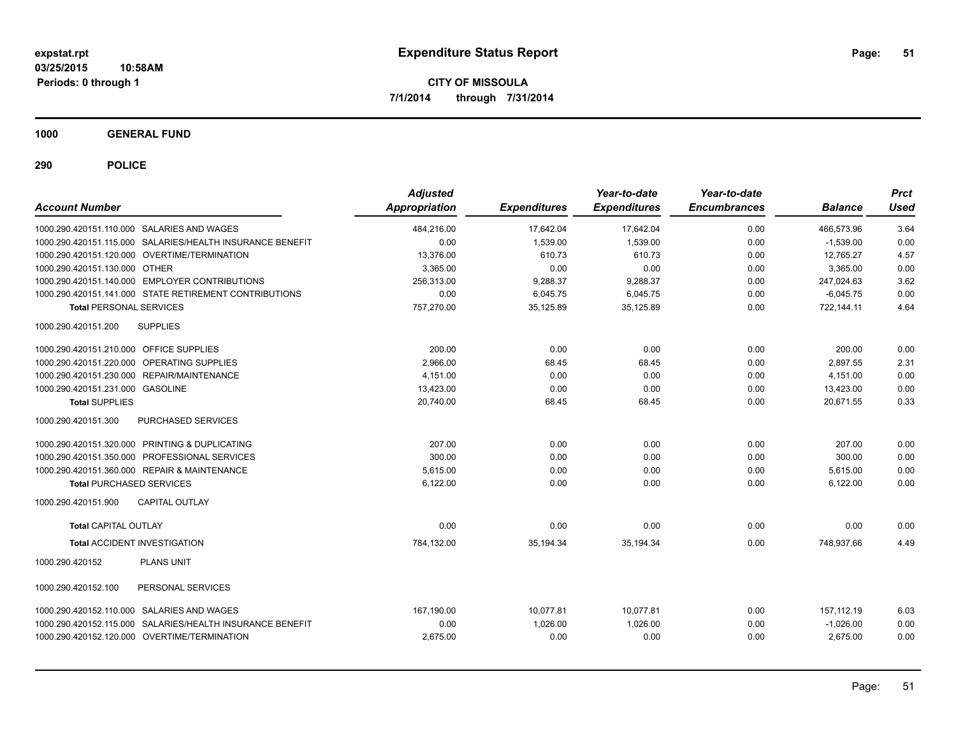**1000 GENERAL FUND**

| <b>Account Number</b>                                     | <b>Adjusted</b><br><b>Appropriation</b> | <b>Expenditures</b> | Year-to-date<br><b>Expenditures</b> | Year-to-date<br><b>Encumbrances</b> | <b>Balance</b> | <b>Prct</b><br>Used |
|-----------------------------------------------------------|-----------------------------------------|---------------------|-------------------------------------|-------------------------------------|----------------|---------------------|
| 1000.290.420151.110.000 SALARIES AND WAGES                | 484,216.00                              | 17,642.04           | 17,642.04                           | 0.00                                | 466,573.96     | 3.64                |
| 1000.290.420151.115.000 SALARIES/HEALTH INSURANCE BENEFIT | 0.00                                    | 1,539.00            | 1,539.00                            | 0.00                                | $-1,539.00$    | 0.00                |
| 1000.290.420151.120.000 OVERTIME/TERMINATION              | 13,376.00                               | 610.73              | 610.73                              | 0.00                                | 12,765.27      | 4.57                |
| 1000.290.420151.130.000 OTHER                             | 3.365.00                                | 0.00                | 0.00                                | 0.00                                | 3.365.00       | 0.00                |
| 1000.290.420151.140.000 EMPLOYER CONTRIBUTIONS            | 256.313.00                              | 9.288.37            | 9.288.37                            | 0.00                                | 247.024.63     | 3.62                |
| 1000.290.420151.141.000 STATE RETIREMENT CONTRIBUTIONS    | 0.00                                    | 6,045.75            | 6,045.75                            | 0.00                                | $-6,045.75$    | 0.00                |
| <b>Total PERSONAL SERVICES</b>                            | 757,270.00                              | 35,125.89           | 35,125.89                           | 0.00                                | 722,144.11     | 4.64                |
| 1000.290.420151.200<br><b>SUPPLIES</b>                    |                                         |                     |                                     |                                     |                |                     |
| 1000.290.420151.210.000 OFFICE SUPPLIES                   | 200.00                                  | 0.00                | 0.00                                | 0.00                                | 200.00         | 0.00                |
| OPERATING SUPPLIES<br>1000.290.420151.220.000             | 2,966.00                                | 68.45               | 68.45                               | 0.00                                | 2,897.55       | 2.31                |
| 1000.290.420151.230.000 REPAIR/MAINTENANCE                | 4,151.00                                | 0.00                | 0.00                                | 0.00                                | 4,151.00       | 0.00                |
| 1000.290.420151.231.000 GASOLINE                          | 13,423.00                               | 0.00                | 0.00                                | 0.00                                | 13,423.00      | 0.00                |
| <b>Total SUPPLIES</b>                                     | 20,740.00                               | 68.45               | 68.45                               | 0.00                                | 20,671.55      | 0.33                |
| 1000.290.420151.300<br>PURCHASED SERVICES                 |                                         |                     |                                     |                                     |                |                     |
| 1000.290.420151.320.000 PRINTING & DUPLICATING            | 207.00                                  | 0.00                | 0.00                                | 0.00                                | 207.00         | 0.00                |
| 1000.290.420151.350.000 PROFESSIONAL SERVICES             | 300.00                                  | 0.00                | 0.00                                | 0.00                                | 300.00         | 0.00                |
| 1000.290.420151.360.000 REPAIR & MAINTENANCE              | 5,615.00                                | 0.00                | 0.00                                | 0.00                                | 5,615.00       | 0.00                |
| <b>Total PURCHASED SERVICES</b>                           | 6,122.00                                | 0.00                | 0.00                                | 0.00                                | 6,122.00       | 0.00                |
| 1000.290.420151.900<br><b>CAPITAL OUTLAY</b>              |                                         |                     |                                     |                                     |                |                     |
| <b>Total CAPITAL OUTLAY</b>                               | 0.00                                    | 0.00                | 0.00                                | 0.00                                | 0.00           | 0.00                |
| <b>Total ACCIDENT INVESTIGATION</b>                       | 784,132.00                              | 35,194.34           | 35,194.34                           | 0.00                                | 748.937.66     | 4.49                |
| 1000.290.420152<br><b>PLANS UNIT</b>                      |                                         |                     |                                     |                                     |                |                     |
| 1000.290.420152.100<br>PERSONAL SERVICES                  |                                         |                     |                                     |                                     |                |                     |
| 1000.290.420152.110.000 SALARIES AND WAGES                | 167,190.00                              | 10.077.81           | 10.077.81                           | 0.00                                | 157.112.19     | 6.03                |
| 1000.290.420152.115.000 SALARIES/HEALTH INSURANCE BENEFIT | 0.00                                    | 1,026.00            | 1,026.00                            | 0.00                                | $-1,026.00$    | 0.00                |
| 1000.290.420152.120.000 OVERTIME/TERMINATION              | 2,675.00                                | 0.00                | 0.00                                | 0.00                                | 2,675.00       | 0.00                |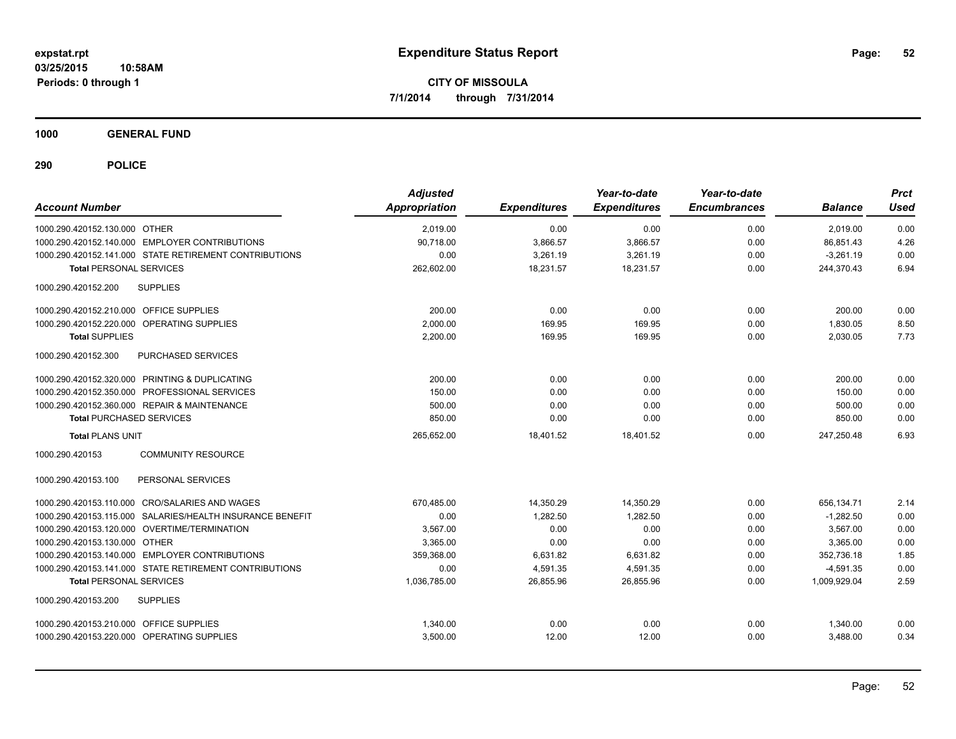**1000 GENERAL FUND**

| <b>Account Number</b>                                     | <b>Adjusted</b><br><b>Appropriation</b> | <b>Expenditures</b> | Year-to-date<br><b>Expenditures</b> | Year-to-date<br><b>Encumbrances</b> | <b>Balance</b> | <b>Prct</b><br><b>Used</b> |
|-----------------------------------------------------------|-----------------------------------------|---------------------|-------------------------------------|-------------------------------------|----------------|----------------------------|
| 1000.290.420152.130.000 OTHER                             | 2,019.00                                | 0.00                | 0.00                                | 0.00                                | 2,019.00       | 0.00                       |
| 1000.290.420152.140.000 EMPLOYER CONTRIBUTIONS            | 90,718.00                               | 3,866.57            | 3,866.57                            | 0.00                                | 86,851.43      | 4.26                       |
| 1000.290.420152.141.000 STATE RETIREMENT CONTRIBUTIONS    | 0.00                                    | 3,261.19            | 3,261.19                            | 0.00                                | $-3,261.19$    | 0.00                       |
| <b>Total PERSONAL SERVICES</b>                            | 262,602.00                              | 18,231.57           | 18,231.57                           | 0.00                                | 244,370.43     | 6.94                       |
| 1000.290.420152.200<br><b>SUPPLIES</b>                    |                                         |                     |                                     |                                     |                |                            |
| 1000.290.420152.210.000 OFFICE SUPPLIES                   | 200.00                                  | 0.00                | 0.00                                | 0.00                                | 200.00         | 0.00                       |
| 1000.290.420152.220.000 OPERATING SUPPLIES                | 2,000.00                                | 169.95              | 169.95                              | 0.00                                | 1,830.05       | 8.50                       |
| <b>Total SUPPLIES</b>                                     | 2,200.00                                | 169.95              | 169.95                              | 0.00                                | 2,030.05       | 7.73                       |
| 1000.290.420152.300<br>PURCHASED SERVICES                 |                                         |                     |                                     |                                     |                |                            |
| 1000.290.420152.320.000 PRINTING & DUPLICATING            | 200.00                                  | 0.00                | 0.00                                | 0.00                                | 200.00         | 0.00                       |
| 1000.290.420152.350.000 PROFESSIONAL SERVICES             | 150.00                                  | 0.00                | 0.00                                | 0.00                                | 150.00         | 0.00                       |
| 1000.290.420152.360.000 REPAIR & MAINTENANCE              | 500.00                                  | 0.00                | 0.00                                | 0.00                                | 500.00         | 0.00                       |
| <b>Total PURCHASED SERVICES</b>                           | 850.00                                  | 0.00                | 0.00                                | 0.00                                | 850.00         | 0.00                       |
| <b>Total PLANS UNIT</b>                                   | 265,652.00                              | 18,401.52           | 18.401.52                           | 0.00                                | 247,250.48     | 6.93                       |
| 1000.290.420153<br><b>COMMUNITY RESOURCE</b>              |                                         |                     |                                     |                                     |                |                            |
| PERSONAL SERVICES<br>1000.290.420153.100                  |                                         |                     |                                     |                                     |                |                            |
| 1000.290.420153.110.000 CRO/SALARIES AND WAGES            | 670,485.00                              | 14,350.29           | 14,350.29                           | 0.00                                | 656,134.71     | 2.14                       |
| 1000.290.420153.115.000 SALARIES/HEALTH INSURANCE BENEFIT | 0.00                                    | 1,282.50            | 1,282.50                            | 0.00                                | $-1,282.50$    | 0.00                       |
| 1000.290.420153.120.000 OVERTIME/TERMINATION              | 3,567.00                                | 0.00                | 0.00                                | 0.00                                | 3.567.00       | 0.00                       |
| 1000.290.420153.130.000 OTHER                             | 3,365.00                                | 0.00                | 0.00                                | 0.00                                | 3,365.00       | 0.00                       |
| 1000.290.420153.140.000 EMPLOYER CONTRIBUTIONS            | 359,368.00                              | 6,631.82            | 6,631.82                            | 0.00                                | 352,736.18     | 1.85                       |
| 1000.290.420153.141.000 STATE RETIREMENT CONTRIBUTIONS    | 0.00                                    | 4,591.35            | 4,591.35                            | 0.00                                | $-4,591.35$    | 0.00                       |
| <b>Total PERSONAL SERVICES</b>                            | 1.036.785.00                            | 26.855.96           | 26.855.96                           | 0.00                                | 1.009.929.04   | 2.59                       |
| 1000.290.420153.200<br><b>SUPPLIES</b>                    |                                         |                     |                                     |                                     |                |                            |
| 1000.290.420153.210.000 OFFICE SUPPLIES                   | 1,340.00                                | 0.00                | 0.00                                | 0.00                                | 1,340.00       | 0.00                       |
| 1000.290.420153.220.000 OPERATING SUPPLIES                | 3,500.00                                | 12.00               | 12.00                               | 0.00                                | 3.488.00       | 0.34                       |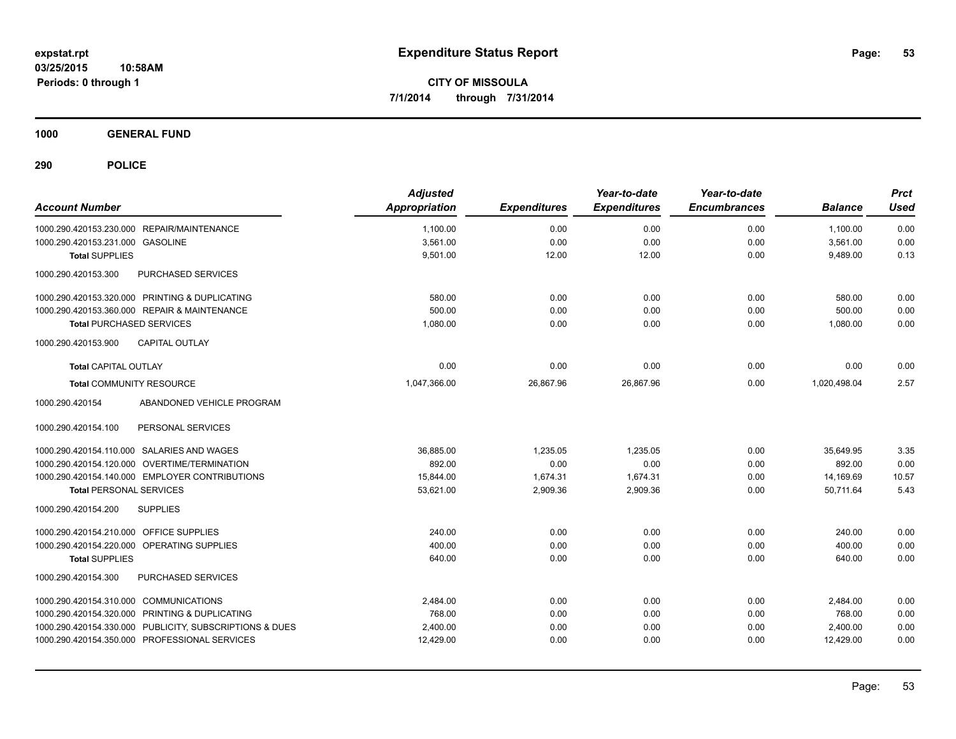**1000 GENERAL FUND**

| <b>Account Number</b>                                   | <b>Adjusted</b><br><b>Appropriation</b> | <b>Expenditures</b> | Year-to-date<br><b>Expenditures</b> | Year-to-date<br><b>Encumbrances</b> | <b>Balance</b> | <b>Prct</b><br><b>Used</b> |
|---------------------------------------------------------|-----------------------------------------|---------------------|-------------------------------------|-------------------------------------|----------------|----------------------------|
| 1000.290.420153.230.000 REPAIR/MAINTENANCE              | 1,100.00                                | 0.00                | 0.00                                | 0.00                                | 1,100.00       | 0.00                       |
| 1000.290.420153.231.000 GASOLINE                        | 3,561.00                                | 0.00                | 0.00                                | 0.00                                | 3,561.00       | 0.00                       |
| <b>Total SUPPLIES</b>                                   | 9,501.00                                | 12.00               | 12.00                               | 0.00                                | 9,489.00       | 0.13                       |
| PURCHASED SERVICES<br>1000.290.420153.300               |                                         |                     |                                     |                                     |                |                            |
| 1000.290.420153.320.000 PRINTING & DUPLICATING          | 580.00                                  | 0.00                | 0.00                                | 0.00                                | 580.00         | 0.00                       |
| 1000.290.420153.360.000 REPAIR & MAINTENANCE            | 500.00                                  | 0.00                | 0.00                                | 0.00                                | 500.00         | 0.00                       |
| <b>Total PURCHASED SERVICES</b>                         | 1,080.00                                | 0.00                | 0.00                                | 0.00                                | 1,080.00       | 0.00                       |
| <b>CAPITAL OUTLAY</b><br>1000.290.420153.900            |                                         |                     |                                     |                                     |                |                            |
| <b>Total CAPITAL OUTLAY</b>                             | 0.00                                    | 0.00                | 0.00                                | 0.00                                | 0.00           | 0.00                       |
| <b>Total COMMUNITY RESOURCE</b>                         | 1.047.366.00                            | 26,867.96           | 26,867.96                           | 0.00                                | 1.020.498.04   | 2.57                       |
| ABANDONED VEHICLE PROGRAM<br>1000.290.420154            |                                         |                     |                                     |                                     |                |                            |
| PERSONAL SERVICES<br>1000.290.420154.100                |                                         |                     |                                     |                                     |                |                            |
| 1000.290.420154.110.000 SALARIES AND WAGES              | 36.885.00                               | 1.235.05            | 1.235.05                            | 0.00                                | 35.649.95      | 3.35                       |
| 1000.290.420154.120.000 OVERTIME/TERMINATION            | 892.00                                  | 0.00                | 0.00                                | 0.00                                | 892.00         | 0.00                       |
| 1000.290.420154.140.000 EMPLOYER CONTRIBUTIONS          | 15.844.00                               | 1,674.31            | 1,674.31                            | 0.00                                | 14,169.69      | 10.57                      |
| <b>Total PERSONAL SERVICES</b>                          | 53,621.00                               | 2,909.36            | 2,909.36                            | 0.00                                | 50,711.64      | 5.43                       |
| <b>SUPPLIES</b><br>1000.290.420154.200                  |                                         |                     |                                     |                                     |                |                            |
| 1000.290.420154.210.000 OFFICE SUPPLIES                 | 240.00                                  | 0.00                | 0.00                                | 0.00                                | 240.00         | 0.00                       |
| 1000.290.420154.220.000 OPERATING SUPPLIES              | 400.00                                  | 0.00                | 0.00                                | 0.00                                | 400.00         | 0.00                       |
| <b>Total SUPPLIES</b>                                   | 640.00                                  | 0.00                | 0.00                                | 0.00                                | 640.00         | 0.00                       |
| PURCHASED SERVICES<br>1000.290.420154.300               |                                         |                     |                                     |                                     |                |                            |
| 1000.290.420154.310.000 COMMUNICATIONS                  | 2,484.00                                | 0.00                | 0.00                                | 0.00                                | 2,484.00       | 0.00                       |
| 1000.290.420154.320.000 PRINTING & DUPLICATING          | 768.00                                  | 0.00                | 0.00                                | 0.00                                | 768.00         | 0.00                       |
| 1000.290.420154.330.000 PUBLICITY, SUBSCRIPTIONS & DUES | 2,400.00                                | 0.00                | 0.00                                | 0.00                                | 2,400.00       | 0.00                       |
| 1000.290.420154.350.000 PROFESSIONAL SERVICES           | 12,429.00                               | 0.00                | 0.00                                | 0.00                                | 12,429.00      | 0.00                       |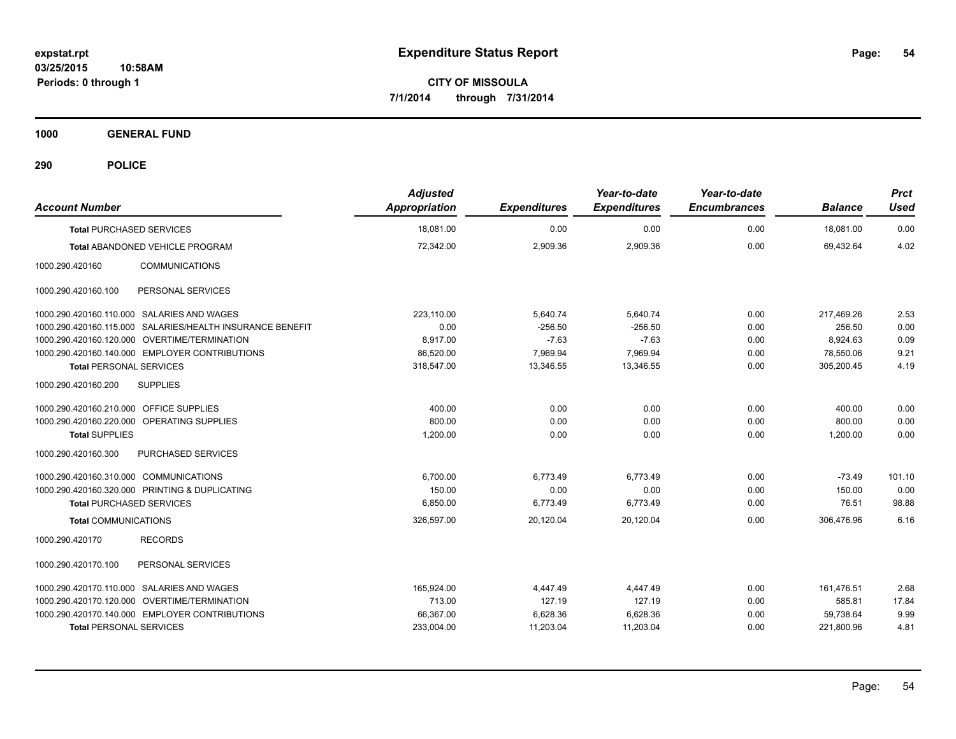**1000 GENERAL FUND**

| <b>Account Number</b>                                     | <b>Adjusted</b><br><b>Appropriation</b> | <b>Expenditures</b> | Year-to-date<br><b>Expenditures</b> | Year-to-date<br><b>Encumbrances</b> | <b>Balance</b> | <b>Prct</b><br><b>Used</b> |
|-----------------------------------------------------------|-----------------------------------------|---------------------|-------------------------------------|-------------------------------------|----------------|----------------------------|
| <b>Total PURCHASED SERVICES</b>                           | 18.081.00                               | 0.00                | 0.00                                | 0.00                                | 18.081.00      | 0.00                       |
| Total ABANDONED VEHICLE PROGRAM                           | 72,342.00                               | 2,909.36            | 2,909.36                            | 0.00                                | 69,432.64      | 4.02                       |
| 1000.290.420160<br><b>COMMUNICATIONS</b>                  |                                         |                     |                                     |                                     |                |                            |
| PERSONAL SERVICES<br>1000.290.420160.100                  |                                         |                     |                                     |                                     |                |                            |
| 1000.290.420160.110.000 SALARIES AND WAGES                | 223.110.00                              | 5,640.74            | 5,640.74                            | 0.00                                | 217.469.26     | 2.53                       |
| 1000.290.420160.115.000 SALARIES/HEALTH INSURANCE BENEFIT | 0.00                                    | $-256.50$           | $-256.50$                           | 0.00                                | 256.50         | 0.00                       |
| 1000.290.420160.120.000 OVERTIME/TERMINATION              | 8.917.00                                | $-7.63$             | $-7.63$                             | 0.00                                | 8,924.63       | 0.09                       |
| 1000.290.420160.140.000 EMPLOYER CONTRIBUTIONS            | 86,520.00                               | 7,969.94            | 7,969.94                            | 0.00                                | 78,550.06      | 9.21                       |
| <b>Total PERSONAL SERVICES</b>                            | 318,547.00                              | 13,346.55           | 13,346.55                           | 0.00                                | 305,200.45     | 4.19                       |
| <b>SUPPLIES</b><br>1000.290.420160.200                    |                                         |                     |                                     |                                     |                |                            |
| 1000.290.420160.210.000 OFFICE SUPPLIES                   | 400.00                                  | 0.00                | 0.00                                | 0.00                                | 400.00         | 0.00                       |
| 1000.290.420160.220.000<br><b>OPERATING SUPPLIES</b>      | 800.00                                  | 0.00                | 0.00                                | 0.00                                | 800.00         | 0.00                       |
| <b>Total SUPPLIES</b>                                     | 1,200.00                                | 0.00                | 0.00                                | 0.00                                | 1,200.00       | 0.00                       |
| <b>PURCHASED SERVICES</b><br>1000.290.420160.300          |                                         |                     |                                     |                                     |                |                            |
| 1000.290.420160.310.000 COMMUNICATIONS                    | 6,700.00                                | 6,773.49            | 6,773.49                            | 0.00                                | $-73.49$       | 101.10                     |
| 1000.290.420160.320.000 PRINTING & DUPLICATING            | 150.00                                  | 0.00                | 0.00                                | 0.00                                | 150.00         | 0.00                       |
| <b>Total PURCHASED SERVICES</b>                           | 6,850.00                                | 6,773.49            | 6,773.49                            | 0.00                                | 76.51          | 98.88                      |
| <b>Total COMMUNICATIONS</b>                               | 326,597.00                              | 20,120.04           | 20.120.04                           | 0.00                                | 306.476.96     | 6.16                       |
| 1000.290.420170<br><b>RECORDS</b>                         |                                         |                     |                                     |                                     |                |                            |
| 1000.290.420170.100<br>PERSONAL SERVICES                  |                                         |                     |                                     |                                     |                |                            |
| 1000.290.420170.110.000 SALARIES AND WAGES                | 165.924.00                              | 4.447.49            | 4.447.49                            | 0.00                                | 161,476.51     | 2.68                       |
| 1000.290.420170.120.000 OVERTIME/TERMINATION              | 713.00                                  | 127.19              | 127.19                              | 0.00                                | 585.81         | 17.84                      |
| 1000.290.420170.140.000 EMPLOYER CONTRIBUTIONS            | 66,367.00                               | 6,628.36            | 6,628.36                            | 0.00                                | 59,738.64      | 9.99                       |
| <b>Total PERSONAL SERVICES</b>                            | 233,004.00                              | 11,203.04           | 11,203.04                           | 0.00                                | 221,800.96     | 4.81                       |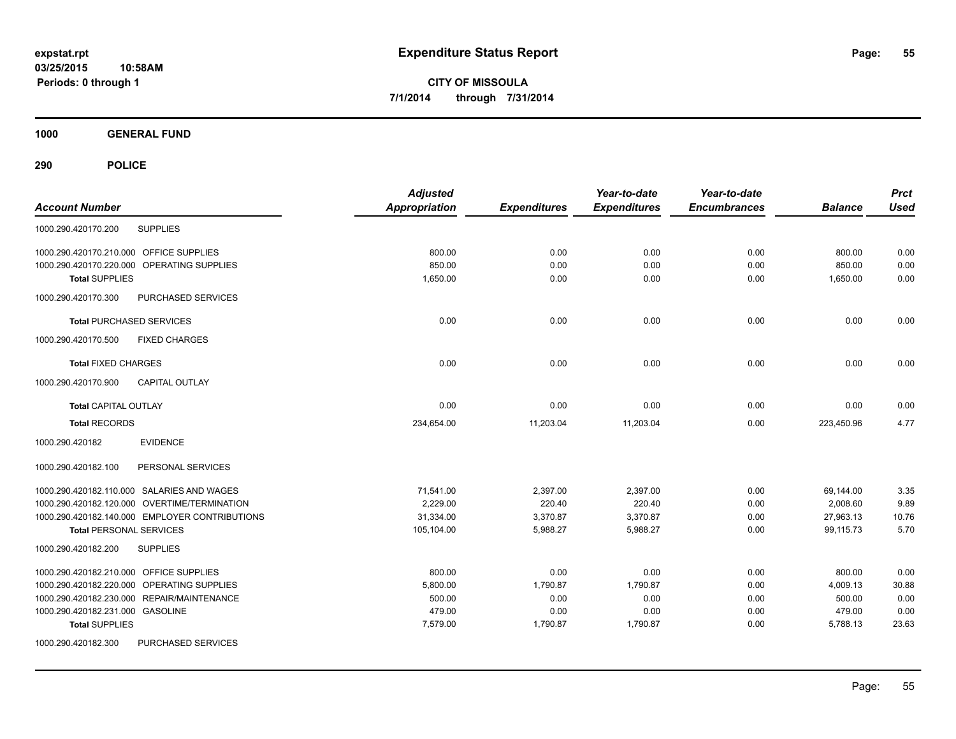**1000 GENERAL FUND**

| <b>Account Number</b>                          | <b>Adjusted</b><br>Appropriation | <b>Expenditures</b> | Year-to-date<br><b>Expenditures</b> | Year-to-date<br><b>Encumbrances</b> | <b>Balance</b> | <b>Prct</b><br><b>Used</b> |
|------------------------------------------------|----------------------------------|---------------------|-------------------------------------|-------------------------------------|----------------|----------------------------|
| <b>SUPPLIES</b><br>1000.290.420170.200         |                                  |                     |                                     |                                     |                |                            |
| 1000.290.420170.210.000 OFFICE SUPPLIES        | 800.00                           | 0.00                | 0.00                                | 0.00                                | 800.00         | 0.00                       |
| 1000.290.420170.220.000 OPERATING SUPPLIES     | 850.00                           | 0.00                | 0.00                                | 0.00                                | 850.00         | 0.00                       |
| <b>Total SUPPLIES</b>                          | 1,650.00                         | 0.00                | 0.00                                | 0.00                                | 1,650.00       | 0.00                       |
| 1000.290.420170.300<br>PURCHASED SERVICES      |                                  |                     |                                     |                                     |                |                            |
| <b>Total PURCHASED SERVICES</b>                | 0.00                             | 0.00                | 0.00                                | 0.00                                | 0.00           | 0.00                       |
| 1000.290.420170.500<br><b>FIXED CHARGES</b>    |                                  |                     |                                     |                                     |                |                            |
| <b>Total FIXED CHARGES</b>                     | 0.00                             | 0.00                | 0.00                                | 0.00                                | 0.00           | 0.00                       |
| <b>CAPITAL OUTLAY</b><br>1000.290.420170.900   |                                  |                     |                                     |                                     |                |                            |
| <b>Total CAPITAL OUTLAY</b>                    | 0.00                             | 0.00                | 0.00                                | 0.00                                | 0.00           | 0.00                       |
| <b>Total RECORDS</b>                           | 234,654.00                       | 11,203.04           | 11,203.04                           | 0.00                                | 223,450.96     | 4.77                       |
| <b>EVIDENCE</b><br>1000.290.420182             |                                  |                     |                                     |                                     |                |                            |
| 1000.290.420182.100<br>PERSONAL SERVICES       |                                  |                     |                                     |                                     |                |                            |
| 1000.290.420182.110.000 SALARIES AND WAGES     | 71,541.00                        | 2,397.00            | 2,397.00                            | 0.00                                | 69,144.00      | 3.35                       |
| 1000.290.420182.120.000 OVERTIME/TERMINATION   | 2.229.00                         | 220.40              | 220.40                              | 0.00                                | 2,008.60       | 9.89                       |
| 1000.290.420182.140.000 EMPLOYER CONTRIBUTIONS | 31.334.00                        | 3,370.87            | 3,370.87                            | 0.00                                | 27,963.13      | 10.76                      |
| <b>Total PERSONAL SERVICES</b>                 | 105,104.00                       | 5,988.27            | 5,988.27                            | 0.00                                | 99,115.73      | 5.70                       |
| 1000.290.420182.200<br><b>SUPPLIES</b>         |                                  |                     |                                     |                                     |                |                            |
| 1000.290.420182.210.000 OFFICE SUPPLIES        | 800.00                           | 0.00                | 0.00                                | 0.00                                | 800.00         | 0.00                       |
| 1000.290.420182.220.000 OPERATING SUPPLIES     | 5,800.00                         | 1,790.87            | 1,790.87                            | 0.00                                | 4,009.13       | 30.88                      |
| 1000.290.420182.230.000 REPAIR/MAINTENANCE     | 500.00                           | 0.00                | 0.00                                | 0.00                                | 500.00         | 0.00                       |
| 1000.290.420182.231.000 GASOLINE               | 479.00                           | 0.00                | 0.00                                | 0.00                                | 479.00         | 0.00                       |
| <b>Total SUPPLIES</b>                          | 7,579.00                         | 1,790.87            | 1,790.87                            | 0.00                                | 5,788.13       | 23.63                      |
| 1000.290.420182.300<br>PURCHASED SERVICES      |                                  |                     |                                     |                                     |                |                            |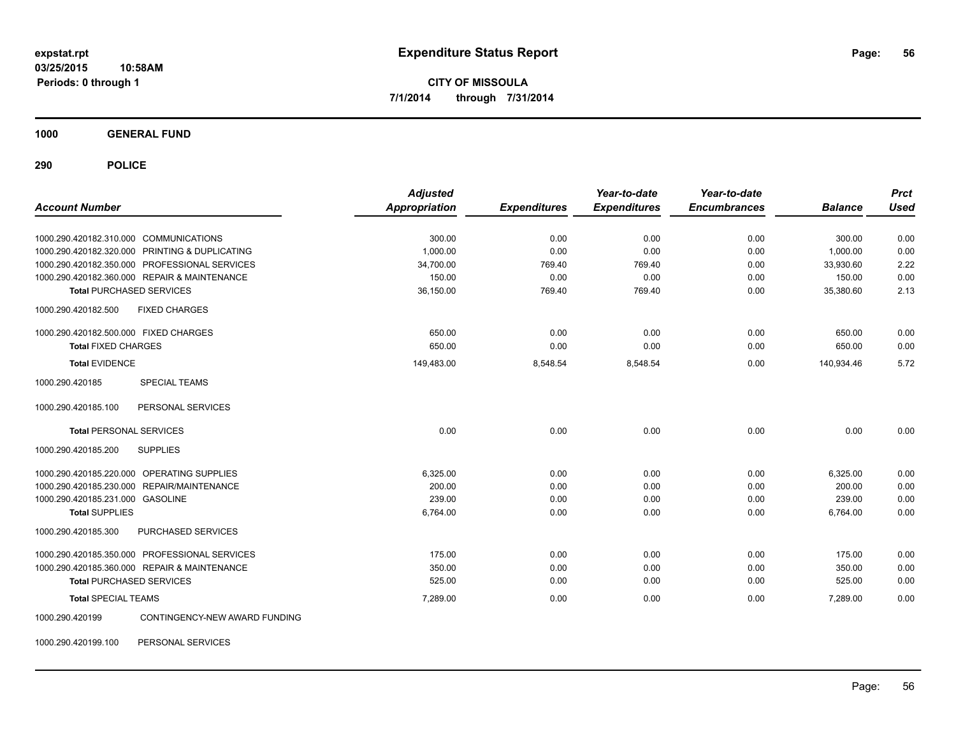**1000 GENERAL FUND**

**290 POLICE**

| <b>Account Number</b>                            | <b>Adjusted</b><br><b>Appropriation</b> | <b>Expenditures</b> | Year-to-date<br><b>Expenditures</b> | Year-to-date<br><b>Encumbrances</b> | <b>Balance</b> | <b>Prct</b><br><b>Used</b> |
|--------------------------------------------------|-----------------------------------------|---------------------|-------------------------------------|-------------------------------------|----------------|----------------------------|
|                                                  |                                         |                     |                                     |                                     |                |                            |
| 1000.290.420182.310.000 COMMUNICATIONS           | 300.00                                  | 0.00                | 0.00                                | 0.00                                | 300.00         | 0.00                       |
| 1000.290.420182.320.000 PRINTING & DUPLICATING   | 1,000.00                                | 0.00                | 0.00                                | 0.00                                | 1,000.00       | 0.00                       |
| 1000.290.420182.350.000 PROFESSIONAL SERVICES    | 34,700.00                               | 769.40              | 769.40                              | 0.00                                | 33,930.60      | 2.22                       |
| 1000.290.420182.360.000 REPAIR & MAINTENANCE     | 150.00                                  | 0.00                | 0.00                                | 0.00                                | 150.00         | 0.00                       |
| <b>Total PURCHASED SERVICES</b>                  | 36,150.00                               | 769.40              | 769.40                              | 0.00                                | 35,380.60      | 2.13                       |
| 1000.290.420182.500<br><b>FIXED CHARGES</b>      |                                         |                     |                                     |                                     |                |                            |
| 1000.290.420182.500.000 FIXED CHARGES            | 650.00                                  | 0.00                | 0.00                                | 0.00                                | 650.00         | 0.00                       |
| <b>Total FIXED CHARGES</b>                       | 650.00                                  | 0.00                | 0.00                                | 0.00                                | 650.00         | 0.00                       |
| <b>Total EVIDENCE</b>                            | 149,483.00                              | 8,548.54            | 8,548.54                            | 0.00                                | 140,934.46     | 5.72                       |
| <b>SPECIAL TEAMS</b><br>1000.290.420185          |                                         |                     |                                     |                                     |                |                            |
| PERSONAL SERVICES<br>1000.290.420185.100         |                                         |                     |                                     |                                     |                |                            |
| <b>Total PERSONAL SERVICES</b>                   | 0.00                                    | 0.00                | 0.00                                | 0.00                                | 0.00           | 0.00                       |
| <b>SUPPLIES</b><br>1000.290.420185.200           |                                         |                     |                                     |                                     |                |                            |
| 1000.290.420185.220.000 OPERATING SUPPLIES       | 6,325.00                                | 0.00                | 0.00                                | 0.00                                | 6,325.00       | 0.00                       |
| 1000.290.420185.230.000 REPAIR/MAINTENANCE       | 200.00                                  | 0.00                | 0.00                                | 0.00                                | 200.00         | 0.00                       |
| 1000.290.420185.231.000 GASOLINE                 | 239.00                                  | 0.00                | 0.00                                | 0.00                                | 239.00         | 0.00                       |
| <b>Total SUPPLIES</b>                            | 6,764.00                                | 0.00                | 0.00                                | 0.00                                | 6,764.00       | 0.00                       |
| 1000.290.420185.300<br>PURCHASED SERVICES        |                                         |                     |                                     |                                     |                |                            |
| 1000.290.420185.350.000 PROFESSIONAL SERVICES    | 175.00                                  | 0.00                | 0.00                                | 0.00                                | 175.00         | 0.00                       |
| 1000.290.420185.360.000 REPAIR & MAINTENANCE     | 350.00                                  | 0.00                | 0.00                                | 0.00                                | 350.00         | 0.00                       |
| <b>Total PURCHASED SERVICES</b>                  | 525.00                                  | 0.00                | 0.00                                | 0.00                                | 525.00         | 0.00                       |
| <b>Total SPECIAL TEAMS</b>                       | 7,289.00                                | 0.00                | 0.00                                | 0.00                                | 7,289.00       | 0.00                       |
| CONTINGENCY-NEW AWARD FUNDING<br>1000.290.420199 |                                         |                     |                                     |                                     |                |                            |

1000.290.420199.100 PERSONAL SERVICES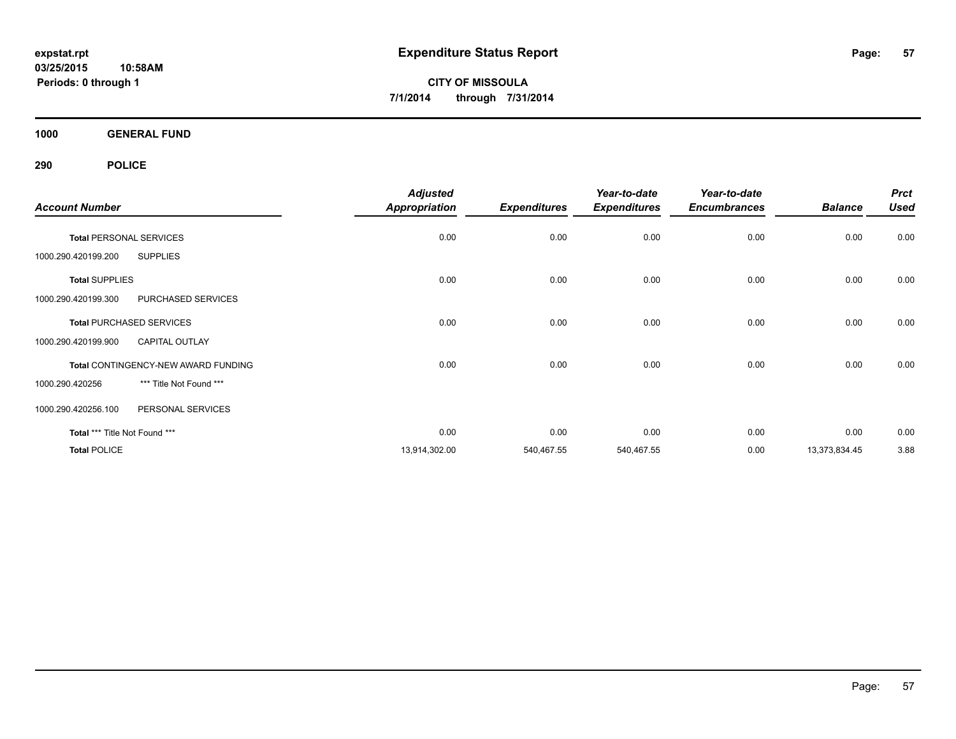**1000 GENERAL FUND**

| <b>Account Number</b>                        | <b>Adjusted</b><br><b>Appropriation</b> | <b>Expenditures</b> | Year-to-date<br><b>Expenditures</b> | Year-to-date<br><b>Encumbrances</b> | <b>Balance</b> | <b>Prct</b><br><b>Used</b> |
|----------------------------------------------|-----------------------------------------|---------------------|-------------------------------------|-------------------------------------|----------------|----------------------------|
| <b>Total PERSONAL SERVICES</b>               | 0.00                                    | 0.00                | 0.00                                | 0.00                                | 0.00           | 0.00                       |
| <b>SUPPLIES</b><br>1000.290.420199.200       |                                         |                     |                                     |                                     |                |                            |
| <b>Total SUPPLIES</b>                        | 0.00                                    | 0.00                | 0.00                                | 0.00                                | 0.00           | 0.00                       |
| PURCHASED SERVICES<br>1000.290.420199.300    |                                         |                     |                                     |                                     |                |                            |
| <b>Total PURCHASED SERVICES</b>              | 0.00                                    | 0.00                | 0.00                                | 0.00                                | 0.00           | 0.00                       |
| 1000.290.420199.900<br><b>CAPITAL OUTLAY</b> |                                         |                     |                                     |                                     |                |                            |
| Total CONTINGENCY-NEW AWARD FUNDING          | 0.00                                    | 0.00                | 0.00                                | 0.00                                | 0.00           | 0.00                       |
| *** Title Not Found ***<br>1000.290.420256   |                                         |                     |                                     |                                     |                |                            |
| PERSONAL SERVICES<br>1000.290.420256.100     |                                         |                     |                                     |                                     |                |                            |
| Total *** Title Not Found ***                | 0.00                                    | 0.00                | 0.00                                | 0.00                                | 0.00           | 0.00                       |
| <b>Total POLICE</b>                          | 13,914,302.00                           | 540,467.55          | 540,467.55                          | 0.00                                | 13,373,834.45  | 3.88                       |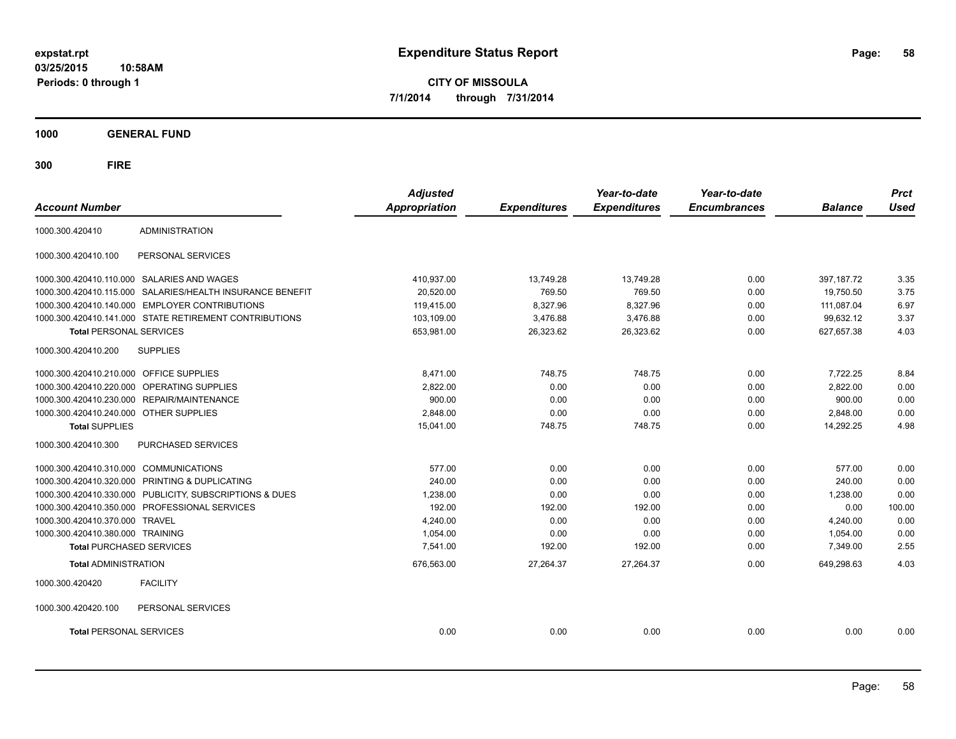**03/25/2015 10:58AM Periods: 0 through 1**

**CITY OF MISSOULA 7/1/2014 through 7/31/2014**

**1000 GENERAL FUND**

| <b>Account Number</b>                   |                                                         | <b>Adjusted</b><br><b>Appropriation</b> | <b>Expenditures</b> | Year-to-date<br><b>Expenditures</b> | Year-to-date<br><b>Encumbrances</b> | <b>Balance</b> | <b>Prct</b><br><b>Used</b> |
|-----------------------------------------|---------------------------------------------------------|-----------------------------------------|---------------------|-------------------------------------|-------------------------------------|----------------|----------------------------|
| 1000.300.420410                         | <b>ADMINISTRATION</b>                                   |                                         |                     |                                     |                                     |                |                            |
| 1000.300.420410.100                     | PERSONAL SERVICES                                       |                                         |                     |                                     |                                     |                |                            |
|                                         | 1000.300.420410.110.000 SALARIES AND WAGES              | 410.937.00                              | 13.749.28           | 13.749.28                           | 0.00                                | 397.187.72     | 3.35                       |
| 1000.300.420410.115.000                 | SALARIES/HEALTH INSURANCE BENEFIT                       | 20.520.00                               | 769.50              | 769.50                              | 0.00                                | 19.750.50      | 3.75                       |
| 1000.300.420410.140.000                 | <b>EMPLOYER CONTRIBUTIONS</b>                           | 119.415.00                              | 8,327.96            | 8,327.96                            | 0.00                                | 111.087.04     | 6.97                       |
|                                         | 1000.300.420410.141.000 STATE RETIREMENT CONTRIBUTIONS  | 103,109.00                              | 3,476.88            | 3,476.88                            | 0.00                                | 99.632.12      | 3.37                       |
| <b>Total PERSONAL SERVICES</b>          |                                                         | 653,981.00                              | 26,323.62           | 26,323.62                           | 0.00                                | 627,657.38     | 4.03                       |
| 1000.300.420410.200                     | <b>SUPPLIES</b>                                         |                                         |                     |                                     |                                     |                |                            |
| 1000.300.420410.210.000 OFFICE SUPPLIES |                                                         | 8.471.00                                | 748.75              | 748.75                              | 0.00                                | 7,722.25       | 8.84                       |
| 1000.300.420410.220.000                 | <b>OPERATING SUPPLIES</b>                               | 2,822.00                                | 0.00                | 0.00                                | 0.00                                | 2,822.00       | 0.00                       |
|                                         | 1000.300.420410.230.000 REPAIR/MAINTENANCE              | 900.00                                  | 0.00                | 0.00                                | 0.00                                | 900.00         | 0.00                       |
| 1000.300.420410.240.000 OTHER SUPPLIES  |                                                         | 2,848.00                                | 0.00                | 0.00                                | 0.00                                | 2,848.00       | 0.00                       |
| <b>Total SUPPLIES</b>                   |                                                         | 15,041.00                               | 748.75              | 748.75                              | 0.00                                | 14,292.25      | 4.98                       |
| 1000.300.420410.300                     | PURCHASED SERVICES                                      |                                         |                     |                                     |                                     |                |                            |
| 1000.300.420410.310.000                 | <b>COMMUNICATIONS</b>                                   | 577.00                                  | 0.00                | 0.00                                | 0.00                                | 577.00         | 0.00                       |
| 1000.300.420410.320.000                 | PRINTING & DUPLICATING                                  | 240.00                                  | 0.00                | 0.00                                | 0.00                                | 240.00         | 0.00                       |
|                                         | 1000.300.420410.330.000 PUBLICITY, SUBSCRIPTIONS & DUES | 1,238.00                                | 0.00                | 0.00                                | 0.00                                | 1,238.00       | 0.00                       |
|                                         | 1000.300.420410.350.000 PROFESSIONAL SERVICES           | 192.00                                  | 192.00              | 192.00                              | 0.00                                | 0.00           | 100.00                     |
| 1000.300.420410.370.000 TRAVEL          |                                                         | 4.240.00                                | 0.00                | 0.00                                | 0.00                                | 4,240.00       | 0.00                       |
| 1000.300.420410.380.000 TRAINING        |                                                         | 1,054.00                                | 0.00                | 0.00                                | 0.00                                | 1,054.00       | 0.00                       |
| <b>Total PURCHASED SERVICES</b>         |                                                         | 7.541.00                                | 192.00              | 192.00                              | 0.00                                | 7.349.00       | 2.55                       |
| <b>Total ADMINISTRATION</b>             |                                                         | 676,563.00                              | 27,264.37           | 27,264.37                           | 0.00                                | 649,298.63     | 4.03                       |
| 1000.300.420420                         | <b>FACILITY</b>                                         |                                         |                     |                                     |                                     |                |                            |
| 1000.300.420420.100                     | PERSONAL SERVICES                                       |                                         |                     |                                     |                                     |                |                            |
| <b>Total PERSONAL SERVICES</b>          |                                                         | 0.00                                    | 0.00                | 0.00                                | 0.00                                | 0.00           | 0.00                       |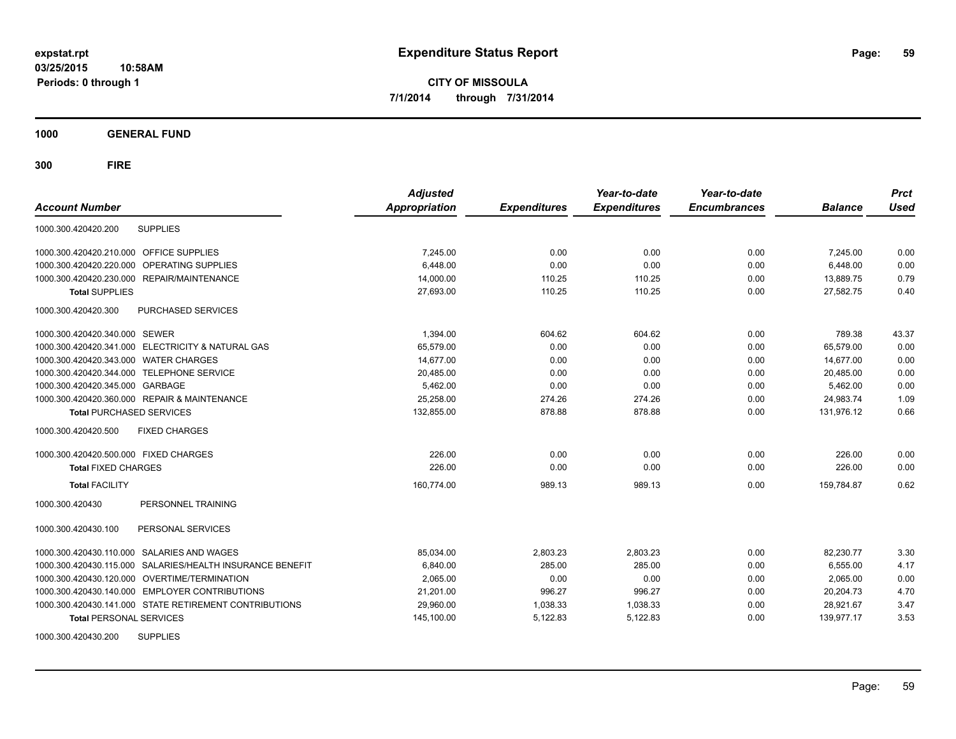**1000 GENERAL FUND**

| <b>Account Number</b>                                     | <b>Adjusted</b><br><b>Appropriation</b> | <b>Expenditures</b> | Year-to-date<br><b>Expenditures</b> | Year-to-date<br><b>Encumbrances</b> | <b>Balance</b> | <b>Prct</b><br><b>Used</b> |
|-----------------------------------------------------------|-----------------------------------------|---------------------|-------------------------------------|-------------------------------------|----------------|----------------------------|
| <b>SUPPLIES</b><br>1000.300.420420.200                    |                                         |                     |                                     |                                     |                |                            |
| 1000.300.420420.210.000 OFFICE SUPPLIES                   | 7,245.00                                | 0.00                | 0.00                                | 0.00                                | 7,245.00       | 0.00                       |
| 1000.300.420420.220.000 OPERATING SUPPLIES                | 6,448.00                                | 0.00                | 0.00                                | 0.00                                | 6.448.00       | 0.00                       |
| 1000.300.420420.230.000 REPAIR/MAINTENANCE                | 14.000.00                               | 110.25              | 110.25                              | 0.00                                | 13.889.75      | 0.79                       |
| <b>Total SUPPLIES</b>                                     | 27,693.00                               | 110.25              | 110.25                              | 0.00                                | 27.582.75      | 0.40                       |
| PURCHASED SERVICES<br>1000.300.420420.300                 |                                         |                     |                                     |                                     |                |                            |
| 1000.300.420420.340.000 SEWER                             | 1,394.00                                | 604.62              | 604.62                              | 0.00                                | 789.38         | 43.37                      |
| 1000.300.420420.341.000 ELECTRICITY & NATURAL GAS         | 65.579.00                               | 0.00                | 0.00                                | 0.00                                | 65.579.00      | 0.00                       |
| 1000.300.420420.343.000 WATER CHARGES                     | 14,677.00                               | 0.00                | 0.00                                | 0.00                                | 14,677.00      | 0.00                       |
| 1000.300.420420.344.000 TELEPHONE SERVICE                 | 20,485.00                               | 0.00                | 0.00                                | 0.00                                | 20,485.00      | 0.00                       |
| 1000.300.420420.345.000 GARBAGE                           | 5,462.00                                | 0.00                | 0.00                                | 0.00                                | 5,462.00       | 0.00                       |
| 1000.300.420420.360.000 REPAIR & MAINTENANCE              | 25.258.00                               | 274.26              | 274.26                              | 0.00                                | 24,983.74      | 1.09                       |
| <b>Total PURCHASED SERVICES</b>                           | 132,855.00                              | 878.88              | 878.88                              | 0.00                                | 131,976.12     | 0.66                       |
| 1000.300.420420.500<br><b>FIXED CHARGES</b>               |                                         |                     |                                     |                                     |                |                            |
| 1000.300.420420.500.000 FIXED CHARGES                     | 226.00                                  | 0.00                | 0.00                                | 0.00                                | 226.00         | 0.00                       |
| <b>Total FIXED CHARGES</b>                                | 226.00                                  | 0.00                | 0.00                                | 0.00                                | 226.00         | 0.00                       |
| <b>Total FACILITY</b>                                     | 160,774.00                              | 989.13              | 989.13                              | 0.00                                | 159,784.87     | 0.62                       |
| PERSONNEL TRAINING<br>1000.300.420430                     |                                         |                     |                                     |                                     |                |                            |
| PERSONAL SERVICES<br>1000.300.420430.100                  |                                         |                     |                                     |                                     |                |                            |
| 1000.300.420430.110.000 SALARIES AND WAGES                | 85,034.00                               | 2,803.23            | 2,803.23                            | 0.00                                | 82,230.77      | 3.30                       |
| 1000.300.420430.115.000 SALARIES/HEALTH INSURANCE BENEFIT | 6,840.00                                | 285.00              | 285.00                              | 0.00                                | 6,555.00       | 4.17                       |
| 1000.300.420430.120.000 OVERTIME/TERMINATION              | 2,065.00                                | 0.00                | 0.00                                | 0.00                                | 2,065.00       | 0.00                       |
| 1000.300.420430.140.000 EMPLOYER CONTRIBUTIONS            | 21,201.00                               | 996.27              | 996.27                              | 0.00                                | 20,204.73      | 4.70                       |
| 1000.300.420430.141.000 STATE RETIREMENT CONTRIBUTIONS    | 29,960.00                               | 1,038.33            | 1,038.33                            | 0.00                                | 28,921.67      | 3.47                       |
| <b>Total PERSONAL SERVICES</b>                            | 145,100.00                              | 5,122.83            | 5,122.83                            | 0.00                                | 139,977.17     | 3.53                       |
| <b>SUPPLIES</b><br>1000.300.420430.200                    |                                         |                     |                                     |                                     |                |                            |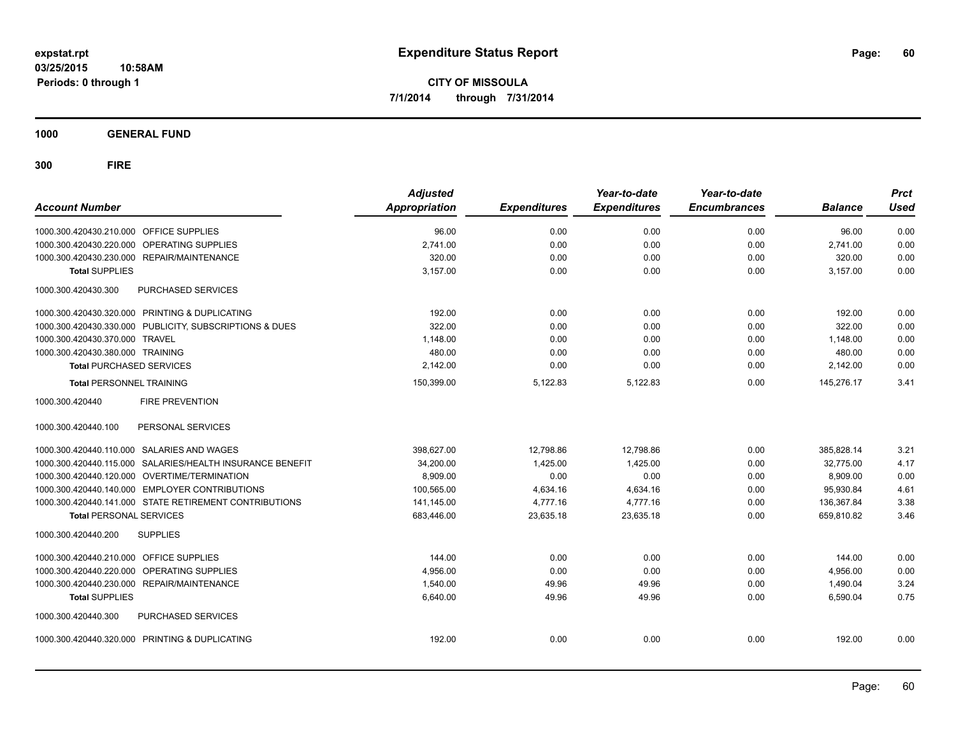**1000 GENERAL FUND**

| <b>Account Number</b>                                     | <b>Adjusted</b><br><b>Appropriation</b> | <b>Expenditures</b> | Year-to-date<br><b>Expenditures</b> | Year-to-date<br><b>Encumbrances</b> | <b>Balance</b> | <b>Prct</b><br><b>Used</b> |
|-----------------------------------------------------------|-----------------------------------------|---------------------|-------------------------------------|-------------------------------------|----------------|----------------------------|
| 1000.300.420430.210.000 OFFICE SUPPLIES                   | 96.00                                   | 0.00                | 0.00                                | 0.00                                | 96.00          | 0.00                       |
| 1000.300.420430.220.000 OPERATING SUPPLIES                | 2,741.00                                | 0.00                | 0.00                                | 0.00                                | 2.741.00       | 0.00                       |
| REPAIR/MAINTENANCE<br>1000.300.420430.230.000             | 320.00                                  | 0.00                | 0.00                                | 0.00                                | 320.00         | 0.00                       |
| <b>Total SUPPLIES</b>                                     | 3.157.00                                | 0.00                | 0.00                                | 0.00                                | 3,157.00       | 0.00                       |
| 1000.300.420430.300<br><b>PURCHASED SERVICES</b>          |                                         |                     |                                     |                                     |                |                            |
| 1000.300.420430.320.000 PRINTING & DUPLICATING            | 192.00                                  | 0.00                | 0.00                                | 0.00                                | 192.00         | 0.00                       |
| 1000.300.420430.330.000 PUBLICITY, SUBSCRIPTIONS & DUES   | 322.00                                  | 0.00                | 0.00                                | 0.00                                | 322.00         | 0.00                       |
| 1000.300.420430.370.000 TRAVEL                            | 1,148.00                                | 0.00                | 0.00                                | 0.00                                | 1,148.00       | 0.00                       |
| 1000.300.420430.380.000 TRAINING                          | 480.00                                  | 0.00                | 0.00                                | 0.00                                | 480.00         | 0.00                       |
| <b>Total PURCHASED SERVICES</b>                           | 2,142.00                                | 0.00                | 0.00                                | 0.00                                | 2,142.00       | 0.00                       |
| <b>Total PERSONNEL TRAINING</b>                           | 150,399.00                              | 5,122.83            | 5,122.83                            | 0.00                                | 145,276.17     | 3.41                       |
| 1000.300.420440<br><b>FIRE PREVENTION</b>                 |                                         |                     |                                     |                                     |                |                            |
| PERSONAL SERVICES<br>1000.300.420440.100                  |                                         |                     |                                     |                                     |                |                            |
| 1000.300.420440.110.000 SALARIES AND WAGES                | 398,627.00                              | 12,798.86           | 12,798.86                           | 0.00                                | 385,828.14     | 3.21                       |
| 1000.300.420440.115.000 SALARIES/HEALTH INSURANCE BENEFIT | 34,200.00                               | 1,425.00            | 1,425.00                            | 0.00                                | 32.775.00      | 4.17                       |
| 1000.300.420440.120.000 OVERTIME/TERMINATION              | 8,909.00                                | 0.00                | 0.00                                | 0.00                                | 8,909.00       | 0.00                       |
| 1000.300.420440.140.000 EMPLOYER CONTRIBUTIONS            | 100,565.00                              | 4,634.16            | 4,634.16                            | 0.00                                | 95,930.84      | 4.61                       |
| 1000.300.420440.141.000 STATE RETIREMENT CONTRIBUTIONS    | 141,145.00                              | 4,777.16            | 4,777.16                            | 0.00                                | 136,367.84     | 3.38                       |
| <b>Total PERSONAL SERVICES</b>                            | 683,446.00                              | 23,635.18           | 23,635.18                           | 0.00                                | 659,810.82     | 3.46                       |
| 1000.300.420440.200<br><b>SUPPLIES</b>                    |                                         |                     |                                     |                                     |                |                            |
| 1000.300.420440.210.000 OFFICE SUPPLIES                   | 144.00                                  | 0.00                | 0.00                                | 0.00                                | 144.00         | 0.00                       |
| 1000.300.420440.220.000<br><b>OPERATING SUPPLIES</b>      | 4,956.00                                | 0.00                | 0.00                                | 0.00                                | 4,956.00       | 0.00                       |
| 1000.300.420440.230.000<br><b>REPAIR/MAINTENANCE</b>      | 1.540.00                                | 49.96               | 49.96                               | 0.00                                | 1,490.04       | 3.24                       |
| <b>Total SUPPLIES</b>                                     | 6,640.00                                | 49.96               | 49.96                               | 0.00                                | 6,590.04       | 0.75                       |
| 1000.300.420440.300<br><b>PURCHASED SERVICES</b>          |                                         |                     |                                     |                                     |                |                            |
| 1000.300.420440.320.000 PRINTING & DUPLICATING            | 192.00                                  | 0.00                | 0.00                                | 0.00                                | 192.00         | 0.00                       |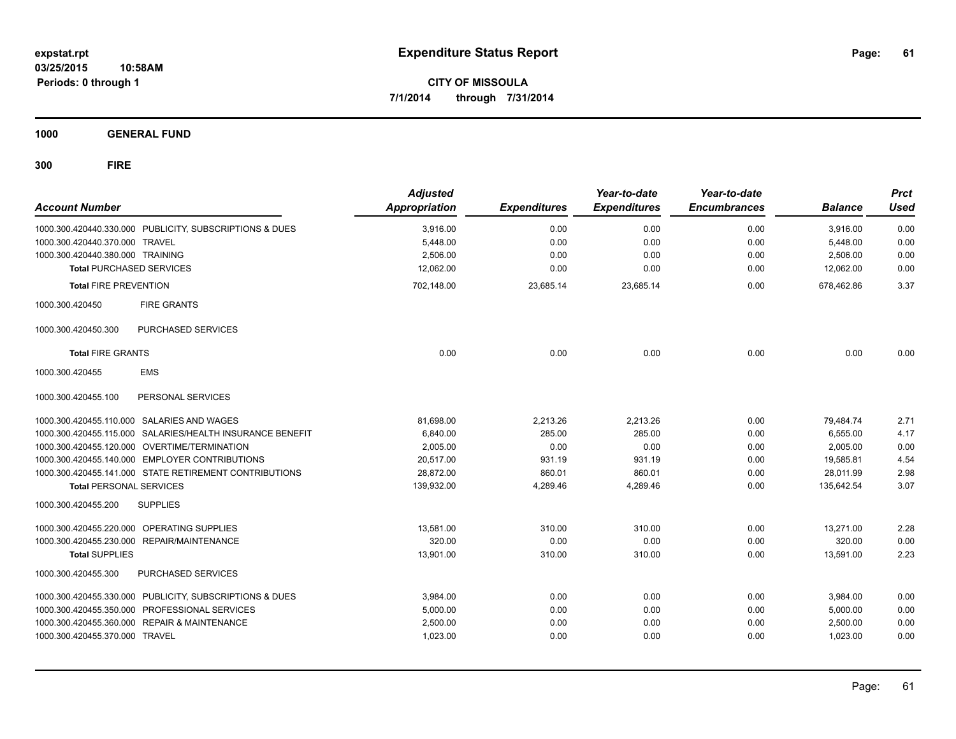**1000 GENERAL FUND**

| <b>Account Number</b>            |                                                           | <b>Adjusted</b><br><b>Appropriation</b> | <b>Expenditures</b> | Year-to-date<br><b>Expenditures</b> | Year-to-date<br><b>Encumbrances</b> | <b>Balance</b> | <b>Prct</b><br><b>Used</b> |
|----------------------------------|-----------------------------------------------------------|-----------------------------------------|---------------------|-------------------------------------|-------------------------------------|----------------|----------------------------|
|                                  | 1000.300.420440.330.000 PUBLICITY, SUBSCRIPTIONS & DUES   | 3,916.00                                | 0.00                | 0.00                                | 0.00                                | 3,916.00       | 0.00                       |
| 1000.300.420440.370.000 TRAVEL   |                                                           | 5,448.00                                | 0.00                | 0.00                                | 0.00                                | 5,448.00       | 0.00                       |
| 1000.300.420440.380.000 TRAINING |                                                           | 2,506.00                                | 0.00                | 0.00                                | 0.00                                | 2,506.00       | 0.00                       |
|                                  | <b>Total PURCHASED SERVICES</b>                           | 12,062.00                               | 0.00                | 0.00                                | 0.00                                | 12,062.00      | 0.00                       |
| <b>Total FIRE PREVENTION</b>     |                                                           | 702,148.00                              | 23,685.14           | 23,685.14                           | 0.00                                | 678,462.86     | 3.37                       |
| 1000.300.420450                  | <b>FIRE GRANTS</b>                                        |                                         |                     |                                     |                                     |                |                            |
| 1000.300.420450.300              | PURCHASED SERVICES                                        |                                         |                     |                                     |                                     |                |                            |
| <b>Total FIRE GRANTS</b>         |                                                           | 0.00                                    | 0.00                | 0.00                                | 0.00                                | 0.00           | 0.00                       |
| 1000.300.420455                  | <b>EMS</b>                                                |                                         |                     |                                     |                                     |                |                            |
| 1000.300.420455.100              | PERSONAL SERVICES                                         |                                         |                     |                                     |                                     |                |                            |
|                                  | 1000.300.420455.110.000 SALARIES AND WAGES                | 81,698.00                               | 2,213.26            | 2,213.26                            | 0.00                                | 79,484.74      | 2.71                       |
|                                  | 1000.300.420455.115.000 SALARIES/HEALTH INSURANCE BENEFIT | 6.840.00                                | 285.00              | 285.00                              | 0.00                                | 6,555.00       | 4.17                       |
|                                  | 1000.300.420455.120.000 OVERTIME/TERMINATION              | 2.005.00                                | 0.00                | 0.00                                | 0.00                                | 2.005.00       | 0.00                       |
|                                  | 1000.300.420455.140.000 EMPLOYER CONTRIBUTIONS            | 20.517.00                               | 931.19              | 931.19                              | 0.00                                | 19.585.81      | 4.54                       |
|                                  | 1000.300.420455.141.000 STATE RETIREMENT CONTRIBUTIONS    | 28,872.00                               | 860.01              | 860.01                              | 0.00                                | 28,011.99      | 2.98                       |
| <b>Total PERSONAL SERVICES</b>   |                                                           | 139,932.00                              | 4,289.46            | 4,289.46                            | 0.00                                | 135,642.54     | 3.07                       |
| 1000.300.420455.200              | <b>SUPPLIES</b>                                           |                                         |                     |                                     |                                     |                |                            |
|                                  | 1000.300.420455.220.000 OPERATING SUPPLIES                | 13.581.00                               | 310.00              | 310.00                              | 0.00                                | 13,271.00      | 2.28                       |
|                                  | 1000.300.420455.230.000 REPAIR/MAINTENANCE                | 320.00                                  | 0.00                | 0.00                                | 0.00                                | 320.00         | 0.00                       |
| <b>Total SUPPLIES</b>            |                                                           | 13,901.00                               | 310.00              | 310.00                              | 0.00                                | 13,591.00      | 2.23                       |
| 1000.300.420455.300              | PURCHASED SERVICES                                        |                                         |                     |                                     |                                     |                |                            |
|                                  | 1000.300.420455.330.000 PUBLICITY, SUBSCRIPTIONS & DUES   | 3,984.00                                | 0.00                | 0.00                                | 0.00                                | 3,984.00       | 0.00                       |
|                                  | 1000.300.420455.350.000 PROFESSIONAL SERVICES             | 5,000.00                                | 0.00                | 0.00                                | 0.00                                | 5,000.00       | 0.00                       |
|                                  | 1000.300.420455.360.000 REPAIR & MAINTENANCE              | 2,500.00                                | 0.00                | 0.00                                | 0.00                                | 2,500.00       | 0.00                       |
| 1000.300.420455.370.000 TRAVEL   |                                                           | 1,023.00                                | 0.00                | 0.00                                | 0.00                                | 1,023.00       | 0.00                       |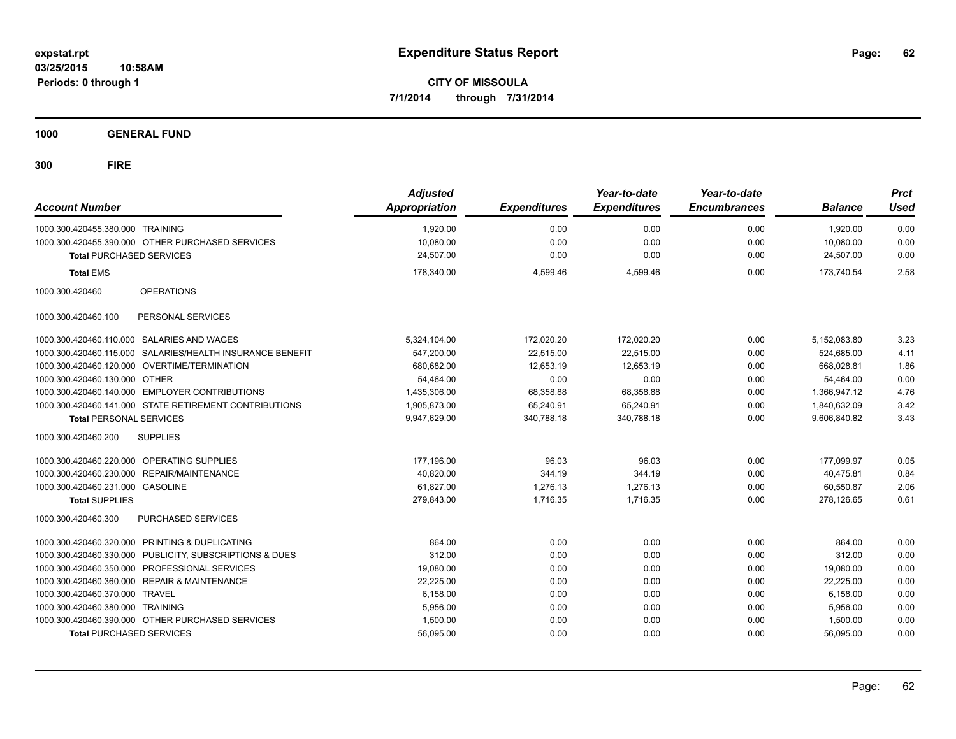**1000 GENERAL FUND**

| <b>Account Number</b>            |                                                           | <b>Adjusted</b><br><b>Appropriation</b> | <b>Expenditures</b> | Year-to-date<br><b>Expenditures</b> | Year-to-date<br><b>Encumbrances</b> | <b>Balance</b> | <b>Prct</b><br><b>Used</b> |
|----------------------------------|-----------------------------------------------------------|-----------------------------------------|---------------------|-------------------------------------|-------------------------------------|----------------|----------------------------|
| 1000.300.420455.380.000 TRAINING |                                                           | 1,920.00                                | 0.00                | 0.00                                | 0.00                                | 1.920.00       | 0.00                       |
|                                  | 1000.300.420455.390.000 OTHER PURCHASED SERVICES          | 10,080.00                               | 0.00                | 0.00                                | 0.00                                | 10,080.00      | 0.00                       |
| <b>Total PURCHASED SERVICES</b>  |                                                           | 24,507.00                               | 0.00                | 0.00                                | 0.00                                | 24,507.00      | 0.00                       |
| <b>Total EMS</b>                 |                                                           | 178,340.00                              | 4,599.46            | 4,599.46                            | 0.00                                | 173,740.54     | 2.58                       |
| 1000.300.420460                  | <b>OPERATIONS</b>                                         |                                         |                     |                                     |                                     |                |                            |
| 1000.300.420460.100              | PERSONAL SERVICES                                         |                                         |                     |                                     |                                     |                |                            |
|                                  | 1000.300.420460.110.000 SALARIES AND WAGES                | 5,324,104.00                            | 172,020.20          | 172,020.20                          | 0.00                                | 5,152,083.80   | 3.23                       |
|                                  | 1000.300.420460.115.000 SALARIES/HEALTH INSURANCE BENEFIT | 547,200.00                              | 22,515.00           | 22,515.00                           | 0.00                                | 524.685.00     | 4.11                       |
|                                  | 1000.300.420460.120.000 OVERTIME/TERMINATION              | 680,682.00                              | 12,653.19           | 12,653.19                           | 0.00                                | 668,028.81     | 1.86                       |
| 1000.300.420460.130.000 OTHER    |                                                           | 54,464.00                               | 0.00                | 0.00                                | 0.00                                | 54,464.00      | 0.00                       |
|                                  | 1000.300.420460.140.000 EMPLOYER CONTRIBUTIONS            | 1,435,306.00                            | 68,358.88           | 68,358.88                           | 0.00                                | 1,366,947.12   | 4.76                       |
|                                  | 1000.300.420460.141.000 STATE RETIREMENT CONTRIBUTIONS    | 1,905,873.00                            | 65,240.91           | 65,240.91                           | 0.00                                | 1,840,632.09   | 3.42                       |
| <b>Total PERSONAL SERVICES</b>   |                                                           | 9,947,629.00                            | 340,788.18          | 340,788.18                          | 0.00                                | 9,606,840.82   | 3.43                       |
| 1000.300.420460.200              | <b>SUPPLIES</b>                                           |                                         |                     |                                     |                                     |                |                            |
|                                  | 1000.300.420460.220.000 OPERATING SUPPLIES                | 177,196.00                              | 96.03               | 96.03                               | 0.00                                | 177,099.97     | 0.05                       |
|                                  | 1000.300.420460.230.000 REPAIR/MAINTENANCE                | 40,820.00                               | 344.19              | 344.19                              | 0.00                                | 40,475.81      | 0.84                       |
| 1000.300.420460.231.000 GASOLINE |                                                           | 61,827.00                               | 1,276.13            | 1,276.13                            | 0.00                                | 60,550.87      | 2.06                       |
| <b>Total SUPPLIES</b>            |                                                           | 279.843.00                              | 1.716.35            | 1.716.35                            | 0.00                                | 278.126.65     | 0.61                       |
| 1000.300.420460.300              | <b>PURCHASED SERVICES</b>                                 |                                         |                     |                                     |                                     |                |                            |
|                                  | 1000.300.420460.320.000 PRINTING & DUPLICATING            | 864.00                                  | 0.00                | 0.00                                | 0.00                                | 864.00         | 0.00                       |
|                                  | 1000.300.420460.330.000 PUBLICITY, SUBSCRIPTIONS & DUES   | 312.00                                  | 0.00                | 0.00                                | 0.00                                | 312.00         | 0.00                       |
|                                  | 1000.300.420460.350.000 PROFESSIONAL SERVICES             | 19.080.00                               | 0.00                | 0.00                                | 0.00                                | 19.080.00      | 0.00                       |
|                                  | 1000.300.420460.360.000 REPAIR & MAINTENANCE              | 22,225.00                               | 0.00                | 0.00                                | 0.00                                | 22,225.00      | 0.00                       |
| 1000.300.420460.370.000 TRAVEL   |                                                           | 6,158.00                                | 0.00                | 0.00                                | 0.00                                | 6,158.00       | 0.00                       |
| 1000.300.420460.380.000 TRAINING |                                                           | 5,956.00                                | 0.00                | 0.00                                | 0.00                                | 5,956.00       | 0.00                       |
|                                  | 1000.300.420460.390.000 OTHER PURCHASED SERVICES          | 1,500.00                                | 0.00                | 0.00                                | 0.00                                | 1,500.00       | 0.00                       |
| <b>Total PURCHASED SERVICES</b>  |                                                           | 56,095.00                               | 0.00                | 0.00                                | 0.00                                | 56,095.00      | 0.00                       |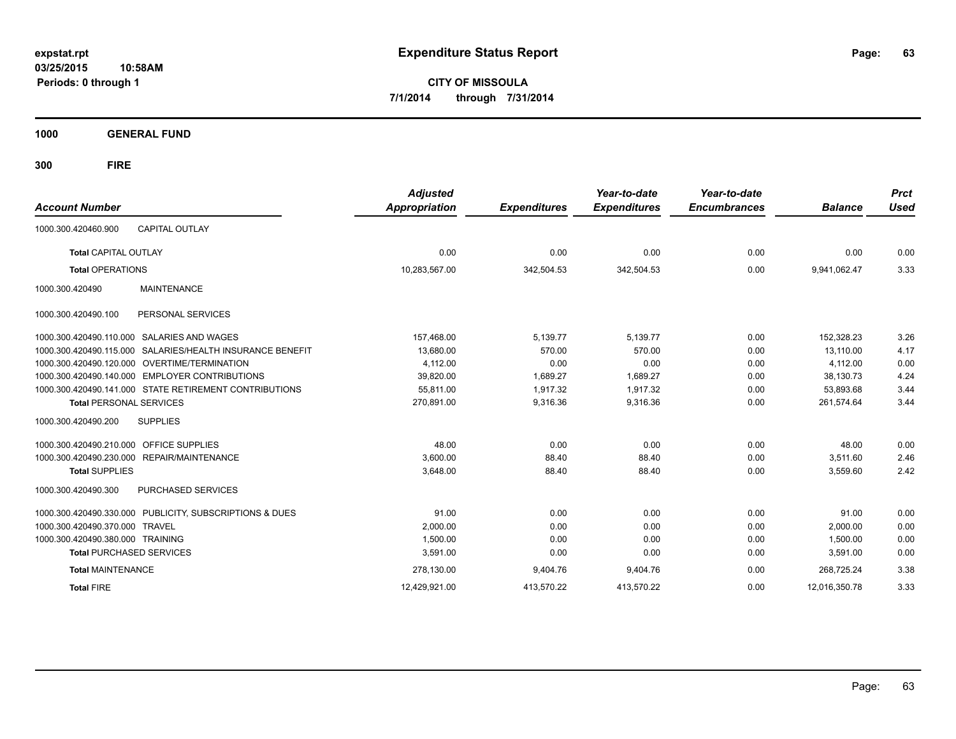**03/25/2015 10:58AM Periods: 0 through 1**

**CITY OF MISSOULA 7/1/2014 through 7/31/2014**

**1000 GENERAL FUND**

| <b>Account Number</b>                                        | <b>Adjusted</b><br>Appropriation | <b>Expenditures</b> | Year-to-date<br><b>Expenditures</b> | Year-to-date<br><b>Encumbrances</b> | <b>Balance</b> | <b>Prct</b><br><b>Used</b> |
|--------------------------------------------------------------|----------------------------------|---------------------|-------------------------------------|-------------------------------------|----------------|----------------------------|
| <b>CAPITAL OUTLAY</b><br>1000.300.420460.900                 |                                  |                     |                                     |                                     |                |                            |
| <b>Total CAPITAL OUTLAY</b>                                  | 0.00                             | 0.00                | 0.00                                | 0.00                                | 0.00           | 0.00                       |
| <b>Total OPERATIONS</b>                                      | 10,283,567.00                    | 342,504.53          | 342,504.53                          | 0.00                                | 9.941.062.47   | 3.33                       |
| <b>MAINTENANCE</b><br>1000.300.420490                        |                                  |                     |                                     |                                     |                |                            |
| PERSONAL SERVICES<br>1000.300.420490.100                     |                                  |                     |                                     |                                     |                |                            |
| SALARIES AND WAGES<br>1000.300.420490.110.000                | 157,468.00                       | 5,139.77            | 5,139.77                            | 0.00                                | 152,328.23     | 3.26                       |
| SALARIES/HEALTH INSURANCE BENEFIT<br>1000.300.420490.115.000 | 13,680.00                        | 570.00              | 570.00                              | 0.00                                | 13,110.00      | 4.17                       |
| OVERTIME/TERMINATION<br>1000.300.420490.120.000              | 4,112.00                         | 0.00                | 0.00                                | 0.00                                | 4,112.00       | 0.00                       |
| <b>EMPLOYER CONTRIBUTIONS</b><br>1000.300.420490.140.000     | 39,820.00                        | 1.689.27            | 1.689.27                            | 0.00                                | 38,130.73      | 4.24                       |
| 1000.300.420490.141.000 STATE RETIREMENT CONTRIBUTIONS       | 55,811.00                        | 1.917.32            | 1.917.32                            | 0.00                                | 53.893.68      | 3.44                       |
| <b>Total PERSONAL SERVICES</b>                               | 270,891.00                       | 9,316.36            | 9,316.36                            | 0.00                                | 261,574.64     | 3.44                       |
| <b>SUPPLIES</b><br>1000.300.420490.200                       |                                  |                     |                                     |                                     |                |                            |
| 1000.300.420490.210.000<br><b>OFFICE SUPPLIES</b>            | 48.00                            | 0.00                | 0.00                                | 0.00                                | 48.00          | 0.00                       |
| 1000.300.420490.230.000<br>REPAIR/MAINTENANCE                | 3,600.00                         | 88.40               | 88.40                               | 0.00                                | 3,511.60       | 2.46                       |
| <b>Total SUPPLIES</b>                                        | 3.648.00                         | 88.40               | 88.40                               | 0.00                                | 3,559.60       | 2.42                       |
| 1000.300.420490.300<br>PURCHASED SERVICES                    |                                  |                     |                                     |                                     |                |                            |
| 1000.300.420490.330.000 PUBLICITY, SUBSCRIPTIONS & DUES      | 91.00                            | 0.00                | 0.00                                | 0.00                                | 91.00          | 0.00                       |
| <b>TRAVEL</b><br>1000.300.420490.370.000                     | 2,000.00                         | 0.00                | 0.00                                | 0.00                                | 2,000.00       | 0.00                       |
| 1000.300.420490.380.000 TRAINING                             | 1,500.00                         | 0.00                | 0.00                                | 0.00                                | 1,500.00       | 0.00                       |
| <b>Total PURCHASED SERVICES</b>                              | 3,591.00                         | 0.00                | 0.00                                | 0.00                                | 3,591.00       | 0.00                       |
| <b>Total MAINTENANCE</b>                                     | 278.130.00                       | 9,404.76            | 9,404.76                            | 0.00                                | 268.725.24     | 3.38                       |
| <b>Total FIRE</b>                                            | 12.429.921.00                    | 413,570.22          | 413.570.22                          | 0.00                                | 12.016.350.78  | 3.33                       |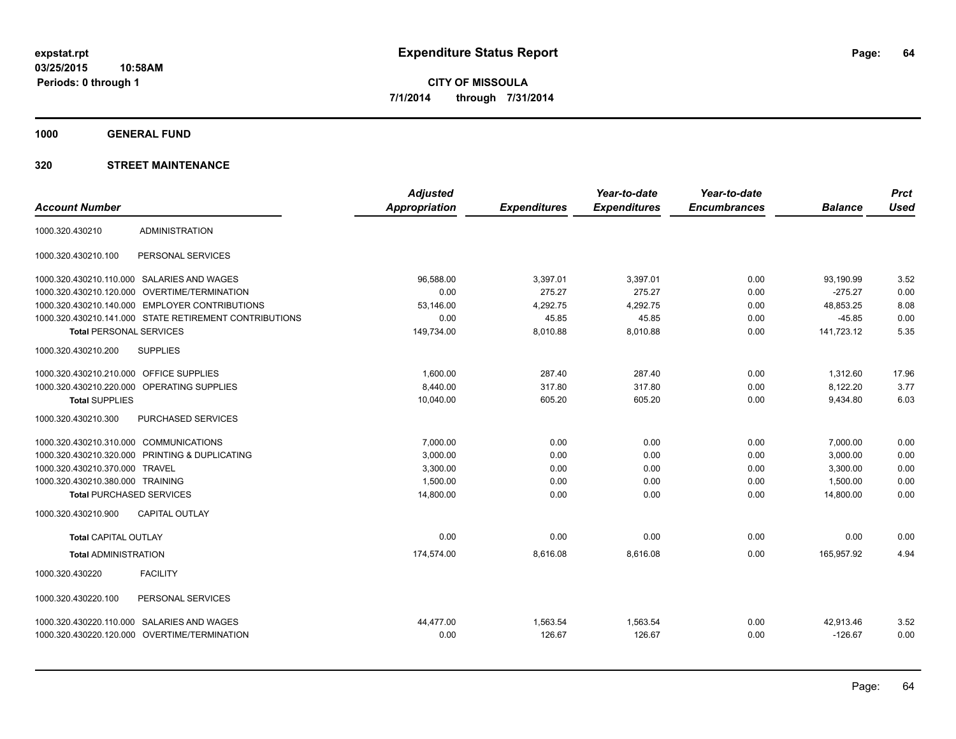**1000 GENERAL FUND**

|                                         |                                                        | <b>Adjusted</b>      |                     | Year-to-date        | Year-to-date        |                | <b>Prct</b> |
|-----------------------------------------|--------------------------------------------------------|----------------------|---------------------|---------------------|---------------------|----------------|-------------|
| <b>Account Number</b>                   |                                                        | <b>Appropriation</b> | <b>Expenditures</b> | <b>Expenditures</b> | <b>Encumbrances</b> | <b>Balance</b> | <b>Used</b> |
| 1000.320.430210                         | <b>ADMINISTRATION</b>                                  |                      |                     |                     |                     |                |             |
| 1000.320.430210.100                     | PERSONAL SERVICES                                      |                      |                     |                     |                     |                |             |
|                                         | 1000.320.430210.110.000 SALARIES AND WAGES             | 96,588.00            | 3,397.01            | 3,397.01            | 0.00                | 93,190.99      | 3.52        |
| 1000.320.430210.120.000                 | OVERTIME/TERMINATION                                   | 0.00                 | 275.27              | 275.27              | 0.00                | $-275.27$      | 0.00        |
|                                         | 1000.320.430210.140.000 EMPLOYER CONTRIBUTIONS         | 53,146.00            | 4,292.75            | 4,292.75            | 0.00                | 48,853.25      | 8.08        |
|                                         | 1000.320.430210.141.000 STATE RETIREMENT CONTRIBUTIONS | 0.00                 | 45.85               | 45.85               | 0.00                | $-45.85$       | 0.00        |
| <b>Total PERSONAL SERVICES</b>          |                                                        | 149,734.00           | 8,010.88            | 8,010.88            | 0.00                | 141,723.12     | 5.35        |
| 1000.320.430210.200                     | <b>SUPPLIES</b>                                        |                      |                     |                     |                     |                |             |
| 1000.320.430210.210.000 OFFICE SUPPLIES |                                                        | 1,600.00             | 287.40              | 287.40              | 0.00                | 1,312.60       | 17.96       |
|                                         | 1000.320.430210.220.000 OPERATING SUPPLIES             | 8,440.00             | 317.80              | 317.80              | 0.00                | 8,122.20       | 3.77        |
| <b>Total SUPPLIES</b>                   |                                                        | 10,040.00            | 605.20              | 605.20              | 0.00                | 9,434.80       | 6.03        |
| 1000.320.430210.300                     | PURCHASED SERVICES                                     |                      |                     |                     |                     |                |             |
| 1000.320.430210.310.000 COMMUNICATIONS  |                                                        | 7,000.00             | 0.00                | 0.00                | 0.00                | 7,000.00       | 0.00        |
|                                         | 1000.320.430210.320.000 PRINTING & DUPLICATING         | 3,000.00             | 0.00                | 0.00                | 0.00                | 3,000.00       | 0.00        |
| 1000.320.430210.370.000 TRAVEL          |                                                        | 3,300.00             | 0.00                | 0.00                | 0.00                | 3,300.00       | 0.00        |
| 1000.320.430210.380.000 TRAINING        |                                                        | 1,500.00             | 0.00                | 0.00                | 0.00                | 1,500.00       | 0.00        |
| <b>Total PURCHASED SERVICES</b>         |                                                        | 14,800.00            | 0.00                | 0.00                | 0.00                | 14,800.00      | 0.00        |
| 1000.320.430210.900                     | <b>CAPITAL OUTLAY</b>                                  |                      |                     |                     |                     |                |             |
| <b>Total CAPITAL OUTLAY</b>             |                                                        | 0.00                 | 0.00                | 0.00                | 0.00                | 0.00           | 0.00        |
| <b>Total ADMINISTRATION</b>             |                                                        | 174,574.00           | 8,616.08            | 8,616.08            | 0.00                | 165,957.92     | 4.94        |
| 1000.320.430220                         | <b>FACILITY</b>                                        |                      |                     |                     |                     |                |             |
| 1000.320.430220.100                     | PERSONAL SERVICES                                      |                      |                     |                     |                     |                |             |
|                                         | 1000.320.430220.110.000 SALARIES AND WAGES             | 44,477.00            | 1,563.54            | 1,563.54            | 0.00                | 42,913.46      | 3.52        |
|                                         | 1000.320.430220.120.000 OVERTIME/TERMINATION           | 0.00                 | 126.67              | 126.67              | 0.00                | $-126.67$      | 0.00        |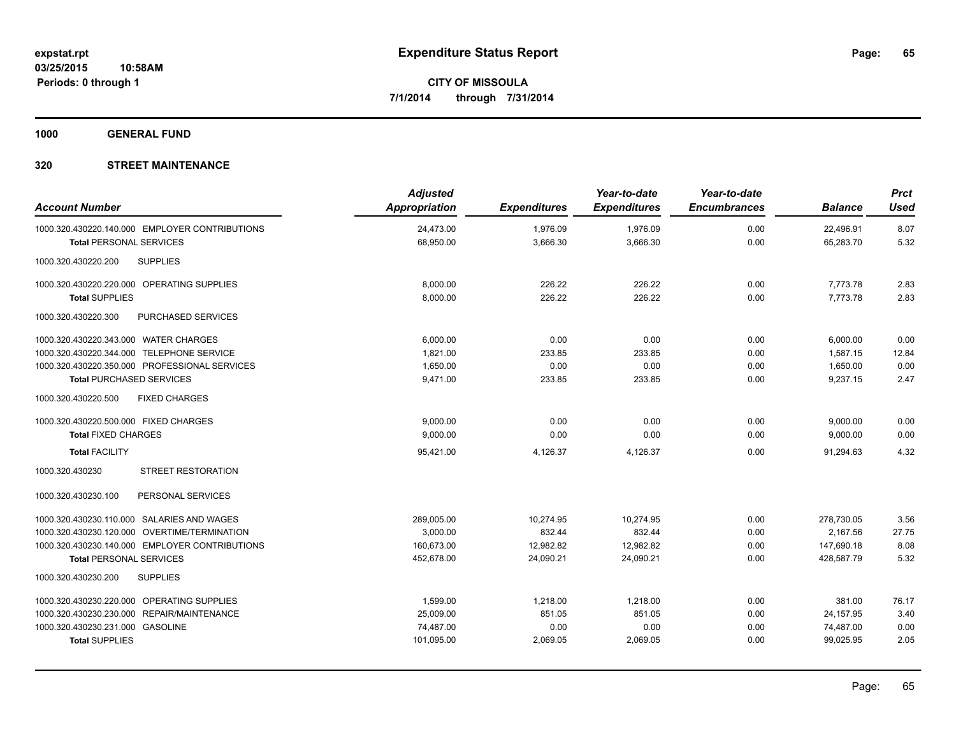**1000 GENERAL FUND**

| <b>Account Number</b>                                                            | <b>Adjusted</b><br><b>Appropriation</b> | <b>Expenditures</b>  | Year-to-date<br><b>Expenditures</b> | Year-to-date<br><b>Encumbrances</b> | <b>Balance</b>         | <b>Prct</b><br>Used |
|----------------------------------------------------------------------------------|-----------------------------------------|----------------------|-------------------------------------|-------------------------------------|------------------------|---------------------|
| 1000.320.430220.140.000 EMPLOYER CONTRIBUTIONS<br><b>Total PERSONAL SERVICES</b> | 24,473.00<br>68,950.00                  | 1,976.09<br>3,666.30 | 1,976.09<br>3,666.30                | 0.00<br>0.00                        | 22,496.91<br>65.283.70 | 8.07<br>5.32        |
| 1000.320.430220.200<br><b>SUPPLIES</b>                                           |                                         |                      |                                     |                                     |                        |                     |
| 1000.320.430220.220.000 OPERATING SUPPLIES                                       | 8,000.00                                | 226.22               | 226.22                              | 0.00                                | 7,773.78               | 2.83                |
| <b>Total SUPPLIES</b>                                                            | 8,000.00                                | 226.22               | 226.22                              | 0.00                                | 7,773.78               | 2.83                |
| 1000.320.430220.300<br><b>PURCHASED SERVICES</b>                                 |                                         |                      |                                     |                                     |                        |                     |
| 1000.320.430220.343.000 WATER CHARGES                                            | 6.000.00                                | 0.00                 | 0.00                                | 0.00                                | 6,000.00               | 0.00                |
| 1000.320.430220.344.000 TELEPHONE SERVICE                                        | 1,821.00                                | 233.85               | 233.85                              | 0.00                                | 1,587.15               | 12.84               |
| 1000.320.430220.350.000 PROFESSIONAL SERVICES                                    | 1,650.00                                | 0.00                 | 0.00                                | 0.00                                | 1,650.00               | 0.00                |
| <b>Total PURCHASED SERVICES</b>                                                  | 9,471.00                                | 233.85               | 233.85                              | 0.00                                | 9,237.15               | 2.47                |
| 1000.320.430220.500<br><b>FIXED CHARGES</b>                                      |                                         |                      |                                     |                                     |                        |                     |
| 1000.320.430220.500.000 FIXED CHARGES                                            | 9.000.00                                | 0.00                 | 0.00                                | 0.00                                | 9,000.00               | 0.00                |
| <b>Total FIXED CHARGES</b>                                                       | 9,000.00                                | 0.00                 | 0.00                                | 0.00                                | 9,000.00               | 0.00                |
| <b>Total FACILITY</b>                                                            | 95,421.00                               | 4,126.37             | 4,126.37                            | 0.00                                | 91.294.63              | 4.32                |
| 1000.320.430230<br><b>STREET RESTORATION</b>                                     |                                         |                      |                                     |                                     |                        |                     |
| 1000.320.430230.100<br>PERSONAL SERVICES                                         |                                         |                      |                                     |                                     |                        |                     |
| 1000.320.430230.110.000 SALARIES AND WAGES                                       | 289,005.00                              | 10,274.95            | 10,274.95                           | 0.00                                | 278,730.05             | 3.56                |
| 1000.320.430230.120.000 OVERTIME/TERMINATION                                     | 3,000.00                                | 832.44               | 832.44                              | 0.00                                | 2,167.56               | 27.75               |
| 1000.320.430230.140.000 EMPLOYER CONTRIBUTIONS                                   | 160,673.00                              | 12,982.82            | 12,982.82                           | 0.00                                | 147,690.18             | 8.08                |
| <b>Total PERSONAL SERVICES</b>                                                   | 452,678.00                              | 24,090.21            | 24,090.21                           | 0.00                                | 428.587.79             | 5.32                |
| <b>SUPPLIES</b><br>1000.320.430230.200                                           |                                         |                      |                                     |                                     |                        |                     |
| 1000.320.430230.220.000 OPERATING SUPPLIES                                       | 1,599.00                                | 1,218.00             | 1,218.00                            | 0.00                                | 381.00                 | 76.17               |
| 1000.320.430230.230.000 REPAIR/MAINTENANCE                                       | 25,009.00                               | 851.05               | 851.05                              | 0.00                                | 24,157.95              | 3.40                |
| 1000.320.430230.231.000 GASOLINE                                                 | 74,487.00                               | 0.00                 | 0.00                                | 0.00                                | 74,487.00              | 0.00                |
| <b>Total SUPPLIES</b>                                                            | 101,095.00                              | 2,069.05             | 2,069.05                            | 0.00                                | 99,025.95              | 2.05                |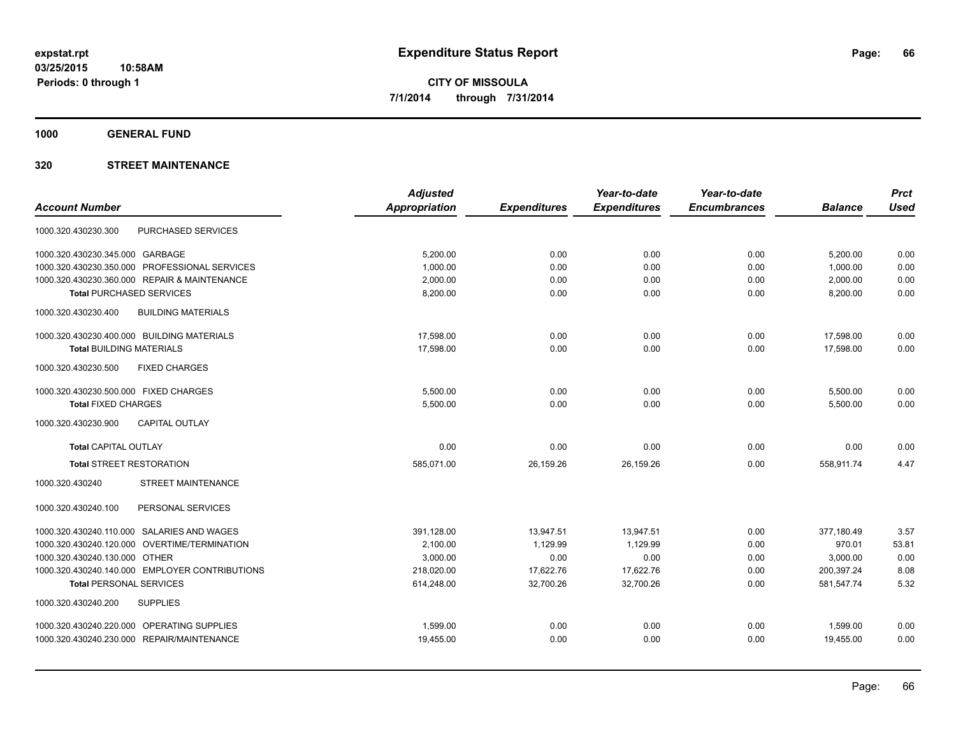**1000 GENERAL FUND**

| <b>Adjusted</b>      |                     | Year-to-date        | Year-to-date        |                | <b>Prct</b> |
|----------------------|---------------------|---------------------|---------------------|----------------|-------------|
| <b>Appropriation</b> | <b>Expenditures</b> | <b>Expenditures</b> | <b>Encumbrances</b> | <b>Balance</b> | <b>Used</b> |
|                      |                     |                     |                     |                |             |
| 5.200.00             | 0.00                | 0.00                | 0.00                | 5,200.00       | 0.00        |
| 1,000.00             | 0.00                | 0.00                | 0.00                | 1,000.00       | 0.00        |
| 2,000.00             | 0.00                | 0.00                | 0.00                | 2,000.00       | 0.00        |
| 8,200.00             | 0.00                | 0.00                | 0.00                | 8,200.00       | 0.00        |
|                      |                     |                     |                     |                |             |
| 17,598.00            | 0.00                | 0.00                | 0.00                | 17,598.00      | 0.00        |
| 17,598.00            | 0.00                | 0.00                | 0.00                | 17.598.00      | 0.00        |
|                      |                     |                     |                     |                |             |
| 5,500.00             | 0.00                | 0.00                | 0.00                | 5,500.00       | 0.00        |
| 5,500.00             | 0.00                | 0.00                | 0.00                | 5,500.00       | 0.00        |
|                      |                     |                     |                     |                |             |
| 0.00                 | 0.00                | 0.00                | 0.00                | 0.00           | 0.00        |
| 585,071.00           | 26,159.26           | 26,159.26           | 0.00                | 558,911.74     | 4.47        |
|                      |                     |                     |                     |                |             |
|                      |                     |                     |                     |                |             |
| 391,128.00           | 13,947.51           | 13,947.51           | 0.00                | 377,180.49     | 3.57        |
| 2,100.00             | 1,129.99            | 1,129.99            | 0.00                | 970.01         | 53.81       |
| 3,000.00             | 0.00                | 0.00                | 0.00                | 3,000.00       | 0.00        |
| 218,020.00           | 17,622.76           | 17,622.76           | 0.00                | 200.397.24     | 8.08        |
| 614,248.00           | 32,700.26           | 32,700.26           | 0.00                | 581,547.74     | 5.32        |
|                      |                     |                     |                     |                |             |
| 1,599.00             | 0.00                | 0.00                | 0.00                | 1,599.00       | 0.00        |
| 19,455.00            | 0.00                | 0.00                | 0.00                | 19,455.00      | 0.00        |
|                      |                     |                     |                     |                |             |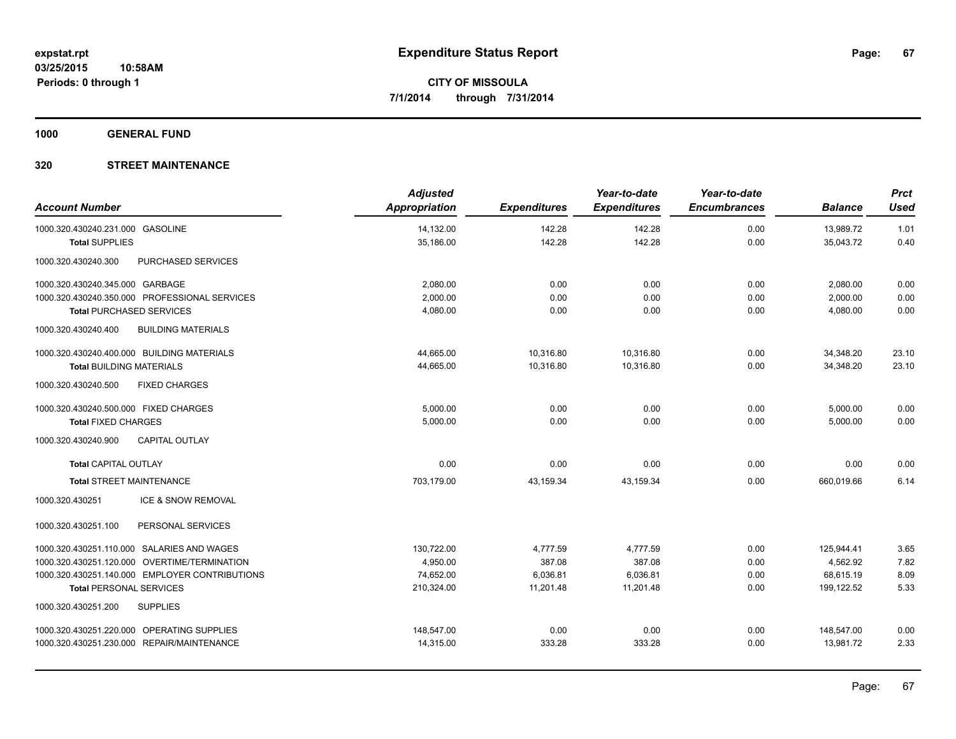**1000 GENERAL FUND**

| <b>Account Number</b>                            | <b>Adjusted</b><br><b>Appropriation</b> | <b>Expenditures</b> | Year-to-date<br><b>Expenditures</b> | Year-to-date<br><b>Encumbrances</b> | <b>Balance</b> | <b>Prct</b><br><b>Used</b> |
|--------------------------------------------------|-----------------------------------------|---------------------|-------------------------------------|-------------------------------------|----------------|----------------------------|
| 1000.320.430240.231.000 GASOLINE                 | 14,132.00                               | 142.28              | 142.28                              | 0.00                                | 13,989.72      | 1.01                       |
| <b>Total SUPPLIES</b>                            | 35,186.00                               | 142.28              | 142.28                              | 0.00                                | 35,043.72      | 0.40                       |
| 1000.320.430240.300<br><b>PURCHASED SERVICES</b> |                                         |                     |                                     |                                     |                |                            |
| 1000.320.430240.345.000 GARBAGE                  | 2,080.00                                | 0.00                | 0.00                                | 0.00                                | 2,080.00       | 0.00                       |
| 1000.320.430240.350.000 PROFESSIONAL SERVICES    | 2.000.00                                | 0.00                | 0.00                                | 0.00                                | 2,000.00       | 0.00                       |
| <b>Total PURCHASED SERVICES</b>                  | 4,080.00                                | 0.00                | 0.00                                | 0.00                                | 4,080.00       | 0.00                       |
| 1000.320.430240.400<br><b>BUILDING MATERIALS</b> |                                         |                     |                                     |                                     |                |                            |
| 1000.320.430240.400.000 BUILDING MATERIALS       | 44,665.00                               | 10,316.80           | 10,316.80                           | 0.00                                | 34,348.20      | 23.10                      |
| <b>Total BUILDING MATERIALS</b>                  | 44,665.00                               | 10,316.80           | 10,316.80                           | 0.00                                | 34,348.20      | 23.10                      |
| 1000.320.430240.500<br><b>FIXED CHARGES</b>      |                                         |                     |                                     |                                     |                |                            |
| 1000.320.430240.500.000 FIXED CHARGES            | 5,000.00                                | 0.00                | 0.00                                | 0.00                                | 5,000.00       | 0.00                       |
| <b>Total FIXED CHARGES</b>                       | 5,000.00                                | 0.00                | 0.00                                | 0.00                                | 5,000.00       | 0.00                       |
| <b>CAPITAL OUTLAY</b><br>1000.320.430240.900     |                                         |                     |                                     |                                     |                |                            |
| <b>Total CAPITAL OUTLAY</b>                      | 0.00                                    | 0.00                | 0.00                                | 0.00                                | 0.00           | 0.00                       |
| <b>Total STREET MAINTENANCE</b>                  | 703,179.00                              | 43,159.34           | 43,159.34                           | 0.00                                | 660,019.66     | 6.14                       |
| 1000.320.430251<br>ICE & SNOW REMOVAL            |                                         |                     |                                     |                                     |                |                            |
| PERSONAL SERVICES<br>1000.320.430251.100         |                                         |                     |                                     |                                     |                |                            |
| 1000.320.430251.110.000 SALARIES AND WAGES       | 130,722.00                              | 4,777.59            | 4,777.59                            | 0.00                                | 125,944.41     | 3.65                       |
| 1000.320.430251.120.000 OVERTIME/TERMINATION     | 4,950.00                                | 387.08              | 387.08                              | 0.00                                | 4,562.92       | 7.82                       |
| 1000.320.430251.140.000 EMPLOYER CONTRIBUTIONS   | 74,652.00                               | 6,036.81            | 6,036.81                            | 0.00                                | 68.615.19      | 8.09                       |
| <b>Total PERSONAL SERVICES</b>                   | 210,324.00                              | 11,201.48           | 11,201.48                           | 0.00                                | 199,122.52     | 5.33                       |
| <b>SUPPLIES</b><br>1000.320.430251.200           |                                         |                     |                                     |                                     |                |                            |
| 1000.320.430251.220.000 OPERATING SUPPLIES       | 148,547.00                              | 0.00                | 0.00                                | 0.00                                | 148,547.00     | 0.00                       |
| 1000.320.430251.230.000 REPAIR/MAINTENANCE       | 14,315.00                               | 333.28              | 333.28                              | 0.00                                | 13.981.72      | 2.33                       |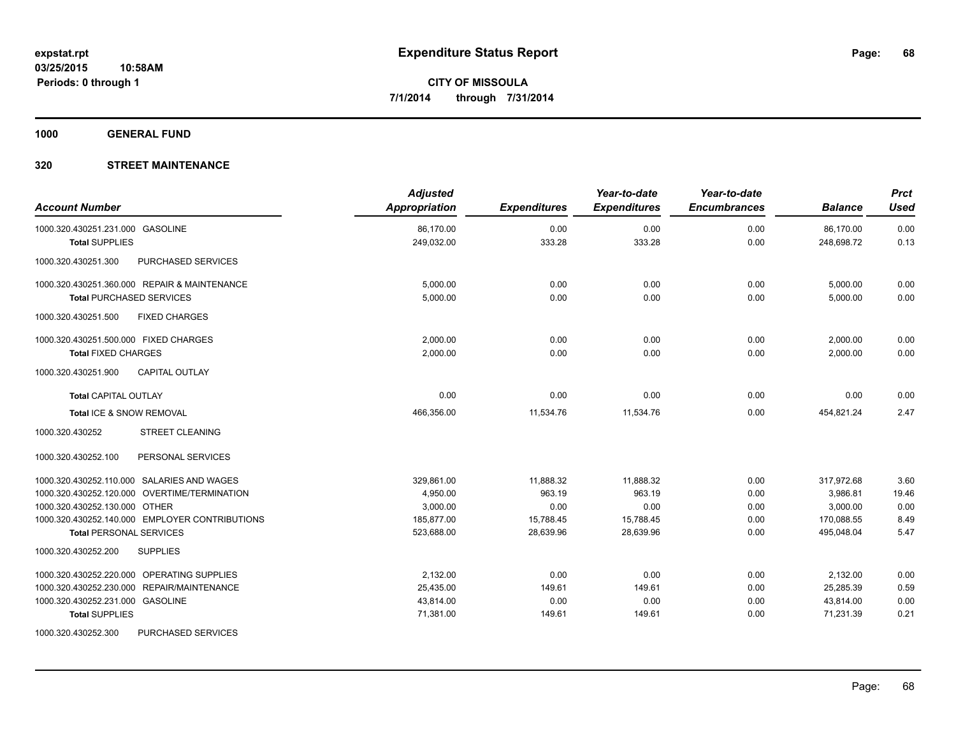**1000 GENERAL FUND**

### **320 STREET MAINTENANCE**

| <b>Account Number</b>                          | <b>Adjusted</b><br>Appropriation | <b>Expenditures</b> | Year-to-date<br><b>Expenditures</b> | Year-to-date<br><b>Encumbrances</b> | <b>Balance</b> | <b>Prct</b><br><b>Used</b> |
|------------------------------------------------|----------------------------------|---------------------|-------------------------------------|-------------------------------------|----------------|----------------------------|
| 1000.320.430251.231.000 GASOLINE               | 86.170.00                        | 0.00                | 0.00                                | 0.00                                | 86,170.00      | 0.00                       |
| <b>Total SUPPLIES</b>                          | 249,032.00                       | 333.28              | 333.28                              | 0.00                                | 248,698.72     | 0.13                       |
| 1000.320.430251.300<br>PURCHASED SERVICES      |                                  |                     |                                     |                                     |                |                            |
| 1000.320.430251.360.000 REPAIR & MAINTENANCE   | 5,000.00                         | 0.00                | 0.00                                | 0.00                                | 5,000.00       | 0.00                       |
| <b>Total PURCHASED SERVICES</b>                | 5,000.00                         | 0.00                | 0.00                                | 0.00                                | 5,000.00       | 0.00                       |
| 1000.320.430251.500<br><b>FIXED CHARGES</b>    |                                  |                     |                                     |                                     |                |                            |
| 1000.320.430251.500.000 FIXED CHARGES          | 2,000.00                         | 0.00                | 0.00                                | 0.00                                | 2,000.00       | 0.00                       |
| <b>Total FIXED CHARGES</b>                     | 2,000.00                         | 0.00                | 0.00                                | 0.00                                | 2.000.00       | 0.00                       |
| CAPITAL OUTLAY<br>1000.320.430251.900          |                                  |                     |                                     |                                     |                |                            |
| <b>Total CAPITAL OUTLAY</b>                    | 0.00                             | 0.00                | 0.00                                | 0.00                                | 0.00           | 0.00                       |
| Total ICE & SNOW REMOVAL                       | 466,356.00                       | 11,534.76           | 11,534.76                           | 0.00                                | 454,821.24     | 2.47                       |
| 1000.320.430252<br><b>STREET CLEANING</b>      |                                  |                     |                                     |                                     |                |                            |
| 1000.320.430252.100<br>PERSONAL SERVICES       |                                  |                     |                                     |                                     |                |                            |
| 1000.320.430252.110.000 SALARIES AND WAGES     | 329,861.00                       | 11,888.32           | 11,888.32                           | 0.00                                | 317,972.68     | 3.60                       |
| 1000.320.430252.120.000 OVERTIME/TERMINATION   | 4.950.00                         | 963.19              | 963.19                              | 0.00                                | 3.986.81       | 19.46                      |
| 1000.320.430252.130.000 OTHER                  | 3,000.00                         | 0.00                | 0.00                                | 0.00                                | 3,000.00       | 0.00                       |
| 1000.320.430252.140.000 EMPLOYER CONTRIBUTIONS | 185,877.00                       | 15,788.45           | 15,788.45                           | 0.00                                | 170,088.55     | 8.49                       |
| <b>Total PERSONAL SERVICES</b>                 | 523,688.00                       | 28,639.96           | 28,639.96                           | 0.00                                | 495,048.04     | 5.47                       |
| 1000.320.430252.200<br><b>SUPPLIES</b>         |                                  |                     |                                     |                                     |                |                            |
| 1000.320.430252.220.000 OPERATING SUPPLIES     | 2,132.00                         | 0.00                | 0.00                                | 0.00                                | 2,132.00       | 0.00                       |
| 1000.320.430252.230.000 REPAIR/MAINTENANCE     | 25,435.00                        | 149.61              | 149.61                              | 0.00                                | 25,285.39      | 0.59                       |
| 1000.320.430252.231.000 GASOLINE               | 43,814.00                        | 0.00                | 0.00                                | 0.00                                | 43,814.00      | 0.00                       |
| <b>Total SUPPLIES</b>                          | 71,381.00                        | 149.61              | 149.61                              | 0.00                                | 71,231.39      | 0.21                       |
| <b>PUBOULOFB OFBUGES</b>                       |                                  |                     |                                     |                                     |                |                            |

1000.320.430252.300 PURCHASED SERVICES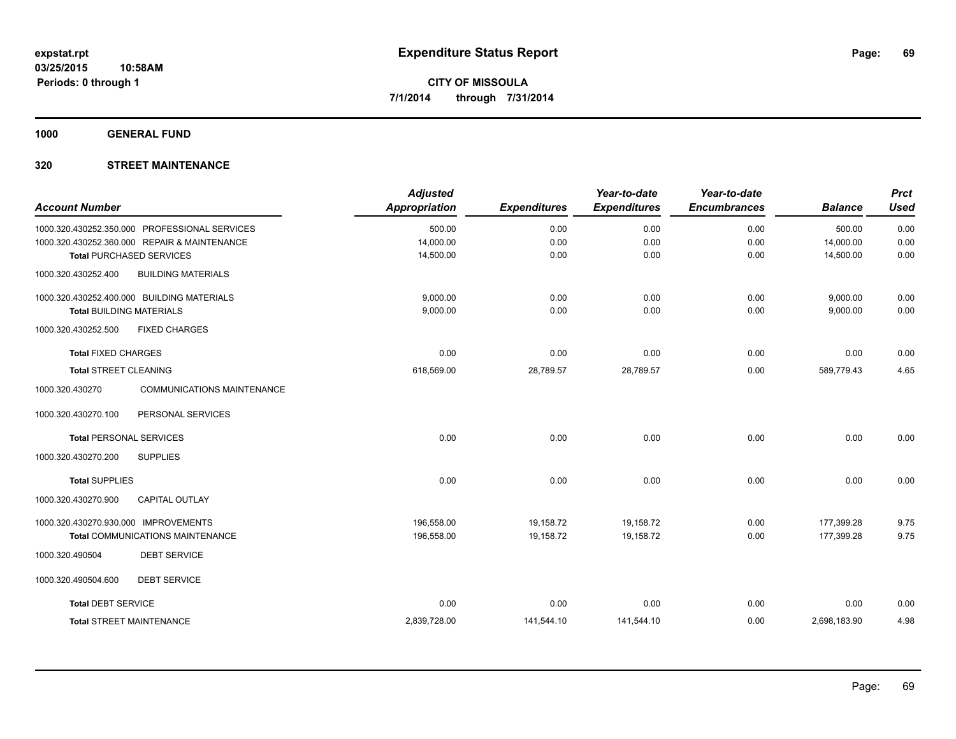**1000 GENERAL FUND**

| <b>Account Number</b>                |                                               | <b>Adjusted</b><br><b>Appropriation</b> | <b>Expenditures</b> | Year-to-date<br><b>Expenditures</b> | Year-to-date<br><b>Encumbrances</b> | <b>Balance</b> | <b>Prct</b><br><b>Used</b> |
|--------------------------------------|-----------------------------------------------|-----------------------------------------|---------------------|-------------------------------------|-------------------------------------|----------------|----------------------------|
|                                      | 1000.320.430252.350.000 PROFESSIONAL SERVICES | 500.00                                  | 0.00                | 0.00                                | 0.00                                | 500.00         | 0.00                       |
|                                      | 1000.320.430252.360.000 REPAIR & MAINTENANCE  | 14,000.00                               | 0.00                | 0.00                                | 0.00                                | 14,000.00      | 0.00                       |
|                                      | <b>Total PURCHASED SERVICES</b>               | 14,500.00                               | 0.00                | 0.00                                | 0.00                                | 14,500.00      | 0.00                       |
| 1000.320.430252.400                  | <b>BUILDING MATERIALS</b>                     |                                         |                     |                                     |                                     |                |                            |
|                                      | 1000.320.430252.400.000 BUILDING MATERIALS    | 9.000.00                                | 0.00                | 0.00                                | 0.00                                | 9,000.00       | 0.00                       |
| <b>Total BUILDING MATERIALS</b>      |                                               | 9,000.00                                | 0.00                | 0.00                                | 0.00                                | 9,000.00       | 0.00                       |
| 1000.320.430252.500                  | <b>FIXED CHARGES</b>                          |                                         |                     |                                     |                                     |                |                            |
| <b>Total FIXED CHARGES</b>           |                                               | 0.00                                    | 0.00                | 0.00                                | 0.00                                | 0.00           | 0.00                       |
| <b>Total STREET CLEANING</b>         |                                               | 618,569.00                              | 28,789.57           | 28,789.57                           | 0.00                                | 589,779.43     | 4.65                       |
| 1000.320.430270                      | <b>COMMUNICATIONS MAINTENANCE</b>             |                                         |                     |                                     |                                     |                |                            |
| 1000.320.430270.100                  | PERSONAL SERVICES                             |                                         |                     |                                     |                                     |                |                            |
| <b>Total PERSONAL SERVICES</b>       |                                               | 0.00                                    | 0.00                | 0.00                                | 0.00                                | 0.00           | 0.00                       |
| 1000.320.430270.200                  | <b>SUPPLIES</b>                               |                                         |                     |                                     |                                     |                |                            |
| <b>Total SUPPLIES</b>                |                                               | 0.00                                    | 0.00                | 0.00                                | 0.00                                | 0.00           | 0.00                       |
| 1000.320.430270.900                  | <b>CAPITAL OUTLAY</b>                         |                                         |                     |                                     |                                     |                |                            |
| 1000.320.430270.930.000 IMPROVEMENTS |                                               | 196,558.00                              | 19,158.72           | 19,158.72                           | 0.00                                | 177,399.28     | 9.75                       |
|                                      | <b>Total COMMUNICATIONS MAINTENANCE</b>       | 196,558.00                              | 19,158.72           | 19,158.72                           | 0.00                                | 177,399.28     | 9.75                       |
| 1000.320.490504                      | <b>DEBT SERVICE</b>                           |                                         |                     |                                     |                                     |                |                            |
| 1000.320.490504.600                  | <b>DEBT SERVICE</b>                           |                                         |                     |                                     |                                     |                |                            |
| <b>Total DEBT SERVICE</b>            |                                               | 0.00                                    | 0.00                | 0.00                                | 0.00                                | 0.00           | 0.00                       |
|                                      | <b>Total STREET MAINTENANCE</b>               | 2,839,728.00                            | 141,544.10          | 141,544.10                          | 0.00                                | 2,698,183.90   | 4.98                       |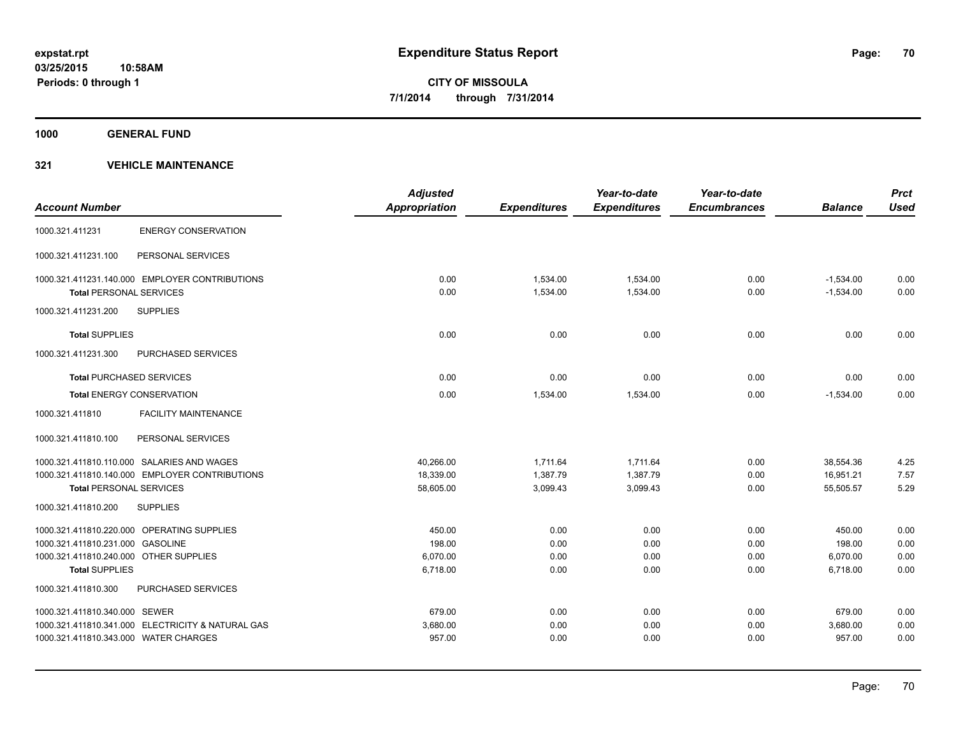**1000 GENERAL FUND**

### **321 VEHICLE MAINTENANCE**

|                                        |                                                   | <b>Adjusted</b>      |                     | Year-to-date        | Year-to-date        |                | <b>Prct</b> |
|----------------------------------------|---------------------------------------------------|----------------------|---------------------|---------------------|---------------------|----------------|-------------|
| <b>Account Number</b>                  |                                                   | <b>Appropriation</b> | <b>Expenditures</b> | <b>Expenditures</b> | <b>Encumbrances</b> | <b>Balance</b> | <b>Used</b> |
| 1000.321.411231                        | <b>ENERGY CONSERVATION</b>                        |                      |                     |                     |                     |                |             |
| 1000.321.411231.100                    | PERSONAL SERVICES                                 |                      |                     |                     |                     |                |             |
|                                        | 1000.321.411231.140.000 EMPLOYER CONTRIBUTIONS    | 0.00                 | 1,534.00            | 1,534.00            | 0.00                | $-1,534.00$    | 0.00        |
| <b>Total PERSONAL SERVICES</b>         |                                                   | 0.00                 | 1,534.00            | 1,534.00            | 0.00                | $-1,534.00$    | 0.00        |
| 1000.321.411231.200                    | <b>SUPPLIES</b>                                   |                      |                     |                     |                     |                |             |
| <b>Total SUPPLIES</b>                  |                                                   | 0.00                 | 0.00                | 0.00                | 0.00                | 0.00           | 0.00        |
| 1000.321.411231.300                    | PURCHASED SERVICES                                |                      |                     |                     |                     |                |             |
| <b>Total PURCHASED SERVICES</b>        |                                                   | 0.00                 | 0.00                | 0.00                | 0.00                | 0.00           | 0.00        |
|                                        | <b>Total ENERGY CONSERVATION</b>                  | 0.00                 | 1,534.00            | 1,534.00            | 0.00                | $-1,534.00$    | 0.00        |
| 1000.321.411810                        | <b>FACILITY MAINTENANCE</b>                       |                      |                     |                     |                     |                |             |
| 1000.321.411810.100                    | PERSONAL SERVICES                                 |                      |                     |                     |                     |                |             |
|                                        | 1000.321.411810.110.000 SALARIES AND WAGES        | 40,266.00            | 1,711.64            | 1,711.64            | 0.00                | 38,554.36      | 4.25        |
|                                        | 1000.321.411810.140.000 EMPLOYER CONTRIBUTIONS    | 18,339.00            | 1,387.79            | 1,387.79            | 0.00                | 16,951.21      | 7.57        |
| <b>Total PERSONAL SERVICES</b>         |                                                   | 58,605.00            | 3,099.43            | 3,099.43            | 0.00                | 55,505.57      | 5.29        |
| 1000.321.411810.200                    | <b>SUPPLIES</b>                                   |                      |                     |                     |                     |                |             |
|                                        | 1000.321.411810.220.000 OPERATING SUPPLIES        | 450.00               | 0.00                | 0.00                | 0.00                | 450.00         | 0.00        |
| 1000.321.411810.231.000 GASOLINE       |                                                   | 198.00               | 0.00                | 0.00                | 0.00                | 198.00         | 0.00        |
| 1000.321.411810.240.000 OTHER SUPPLIES |                                                   | 6.070.00             | 0.00                | 0.00                | 0.00                | 6,070.00       | 0.00        |
| <b>Total SUPPLIES</b>                  |                                                   | 6,718.00             | 0.00                | 0.00                | 0.00                | 6,718.00       | 0.00        |
| 1000.321.411810.300                    | <b>PURCHASED SERVICES</b>                         |                      |                     |                     |                     |                |             |
| 1000.321.411810.340.000 SEWER          |                                                   | 679.00               | 0.00                | 0.00                | 0.00                | 679.00         | 0.00        |
|                                        | 1000.321.411810.341.000 ELECTRICITY & NATURAL GAS | 3,680.00             | 0.00                | 0.00                | 0.00                | 3,680.00       | 0.00        |
| 1000.321.411810.343.000 WATER CHARGES  |                                                   | 957.00               | 0.00                | 0.00                | 0.00                | 957.00         | 0.00        |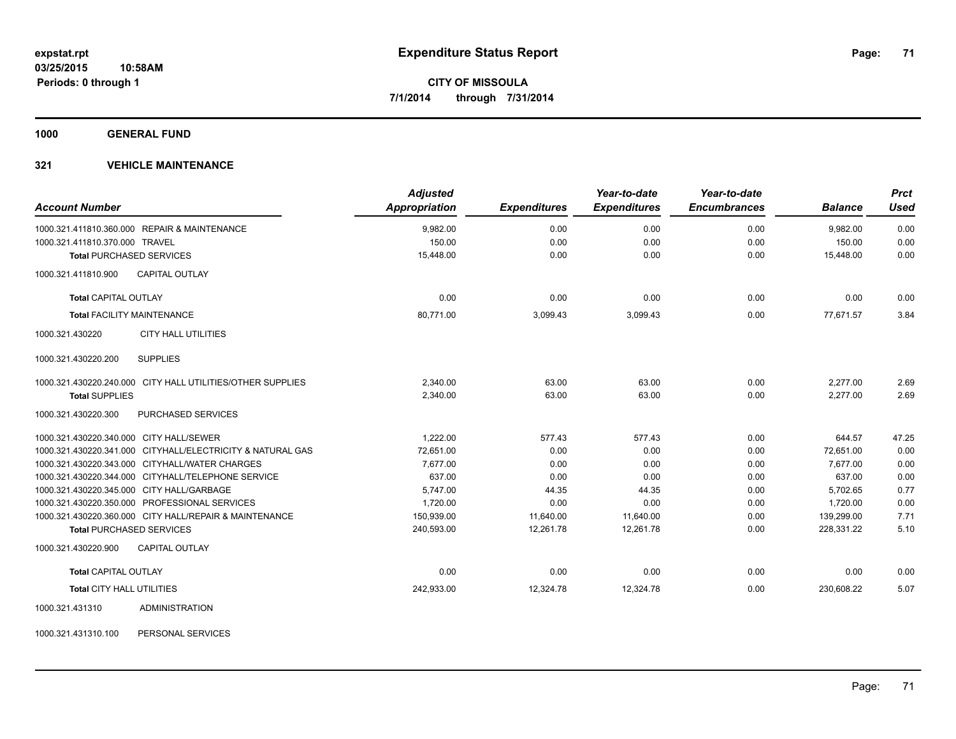**1000 GENERAL FUND**

### **321 VEHICLE MAINTENANCE**

| <b>Account Number</b>                                      | <b>Adjusted</b><br>Appropriation | <b>Expenditures</b> | Year-to-date<br><b>Expenditures</b> | Year-to-date<br><b>Encumbrances</b> | <b>Balance</b> | <b>Prct</b><br><b>Used</b> |
|------------------------------------------------------------|----------------------------------|---------------------|-------------------------------------|-------------------------------------|----------------|----------------------------|
| 1000.321.411810.360.000 REPAIR & MAINTENANCE               | 9,982.00                         | 0.00                | 0.00                                | 0.00                                | 9,982.00       | 0.00                       |
| 1000.321.411810.370.000 TRAVEL                             | 150.00                           | 0.00                | 0.00                                | 0.00                                | 150.00         | 0.00                       |
| <b>Total PURCHASED SERVICES</b>                            | 15,448.00                        | 0.00                | 0.00                                | 0.00                                | 15,448.00      | 0.00                       |
| 1000.321.411810.900<br><b>CAPITAL OUTLAY</b>               |                                  |                     |                                     |                                     |                |                            |
| <b>Total CAPITAL OUTLAY</b>                                | 0.00                             | 0.00                | 0.00                                | 0.00                                | 0.00           | 0.00                       |
| <b>Total FACILITY MAINTENANCE</b>                          | 80,771.00                        | 3,099.43            | 3,099.43                            | 0.00                                | 77.671.57      | 3.84                       |
| 1000.321.430220<br><b>CITY HALL UTILITIES</b>              |                                  |                     |                                     |                                     |                |                            |
| <b>SUPPLIES</b><br>1000.321.430220.200                     |                                  |                     |                                     |                                     |                |                            |
| 1000.321.430220.240.000 CITY HALL UTILITIES/OTHER SUPPLIES | 2.340.00                         | 63.00               | 63.00                               | 0.00                                | 2.277.00       | 2.69                       |
| <b>Total SUPPLIES</b>                                      | 2,340.00                         | 63.00               | 63.00                               | 0.00                                | 2,277.00       | 2.69                       |
| PURCHASED SERVICES<br>1000.321.430220.300                  |                                  |                     |                                     |                                     |                |                            |
| 1000.321.430220.340.000 CITY HALL/SEWER                    | 1,222.00                         | 577.43              | 577.43                              | 0.00                                | 644.57         | 47.25                      |
| 1000.321.430220.341.000 CITYHALL/ELECTRICITY & NATURAL GAS | 72.651.00                        | 0.00                | 0.00                                | 0.00                                | 72.651.00      | 0.00                       |
| 1000.321.430220.343.000 CITYHALL/WATER CHARGES             | 7,677.00                         | 0.00                | 0.00                                | 0.00                                | 7.677.00       | 0.00                       |
| 1000.321.430220.344.000 CITYHALL/TELEPHONE SERVICE         | 637.00                           | 0.00                | 0.00                                | 0.00                                | 637.00         | 0.00                       |
| 1000.321.430220.345.000 CITY HALL/GARBAGE                  | 5,747.00                         | 44.35               | 44.35                               | 0.00                                | 5.702.65       | 0.77                       |
| 1000.321.430220.350.000 PROFESSIONAL SERVICES              | 1,720.00                         | 0.00                | 0.00                                | 0.00                                | 1,720.00       | 0.00                       |
| 1000.321.430220.360.000 CITY HALL/REPAIR & MAINTENANCE     | 150,939.00                       | 11,640.00           | 11,640.00                           | 0.00                                | 139,299.00     | 7.71                       |
| <b>Total PURCHASED SERVICES</b>                            | 240,593.00                       | 12,261.78           | 12,261.78                           | 0.00                                | 228,331.22     | 5.10                       |
| 1000.321.430220.900<br><b>CAPITAL OUTLAY</b>               |                                  |                     |                                     |                                     |                |                            |
| <b>Total CAPITAL OUTLAY</b>                                | 0.00                             | 0.00                | 0.00                                | 0.00                                | 0.00           | 0.00                       |
| Total CITY HALL UTILITIES                                  | 242,933.00                       | 12,324.78           | 12,324.78                           | 0.00                                | 230,608.22     | 5.07                       |
| 1000.321.431310<br><b>ADMINISTRATION</b>                   |                                  |                     |                                     |                                     |                |                            |

1000.321.431310.100 PERSONAL SERVICES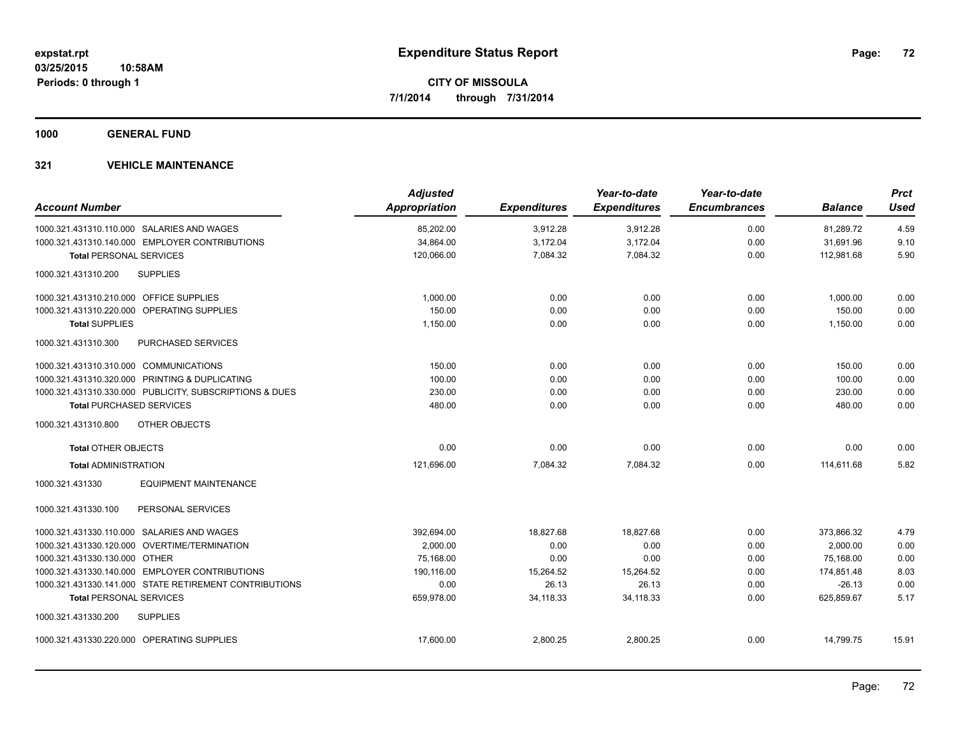**1000 GENERAL FUND**

### **321 VEHICLE MAINTENANCE**

| <b>Account Number</b>                          |                                                         | <b>Adjusted</b><br><b>Appropriation</b> | <b>Expenditures</b> | Year-to-date<br><b>Expenditures</b> | Year-to-date<br><b>Encumbrances</b> | <b>Balance</b> | <b>Prct</b><br><b>Used</b> |
|------------------------------------------------|---------------------------------------------------------|-----------------------------------------|---------------------|-------------------------------------|-------------------------------------|----------------|----------------------------|
| 1000.321.431310.110.000 SALARIES AND WAGES     |                                                         | 85,202.00                               | 3,912.28            | 3,912.28                            | 0.00                                | 81,289.72      | 4.59                       |
| 1000.321.431310.140.000 EMPLOYER CONTRIBUTIONS |                                                         | 34,864.00                               | 3,172.04            | 3,172.04                            | 0.00                                | 31,691.96      | 9.10                       |
| <b>Total PERSONAL SERVICES</b>                 |                                                         | 120,066.00                              | 7,084.32            | 7,084.32                            | 0.00                                | 112,981.68     | 5.90                       |
| <b>SUPPLIES</b><br>1000.321.431310.200         |                                                         |                                         |                     |                                     |                                     |                |                            |
| 1000.321.431310.210.000 OFFICE SUPPLIES        |                                                         | 1.000.00                                | 0.00                | 0.00                                | 0.00                                | 1,000.00       | 0.00                       |
| 1000.321.431310.220.000 OPERATING SUPPLIES     |                                                         | 150.00                                  | 0.00                | 0.00                                | 0.00                                | 150.00         | 0.00                       |
| <b>Total SUPPLIES</b>                          |                                                         | 1,150.00                                | 0.00                | 0.00                                | 0.00                                | 1,150.00       | 0.00                       |
| 1000.321.431310.300                            | PURCHASED SERVICES                                      |                                         |                     |                                     |                                     |                |                            |
| 1000.321.431310.310.000 COMMUNICATIONS         |                                                         | 150.00                                  | 0.00                | 0.00                                | 0.00                                | 150.00         | 0.00                       |
| 1000.321.431310.320.000 PRINTING & DUPLICATING |                                                         | 100.00                                  | 0.00                | 0.00                                | 0.00                                | 100.00         | 0.00                       |
|                                                | 1000.321.431310.330.000 PUBLICITY, SUBSCRIPTIONS & DUES | 230.00                                  | 0.00                | 0.00                                | 0.00                                | 230.00         | 0.00                       |
| <b>Total PURCHASED SERVICES</b>                |                                                         | 480.00                                  | 0.00                | 0.00                                | 0.00                                | 480.00         | 0.00                       |
| 1000.321.431310.800                            | OTHER OBJECTS                                           |                                         |                     |                                     |                                     |                |                            |
| <b>Total OTHER OBJECTS</b>                     |                                                         | 0.00                                    | 0.00                | 0.00                                | 0.00                                | 0.00           | 0.00                       |
| <b>Total ADMINISTRATION</b>                    |                                                         | 121,696.00                              | 7,084.32            | 7,084.32                            | 0.00                                | 114,611.68     | 5.82                       |
| 1000.321.431330                                | <b>EQUIPMENT MAINTENANCE</b>                            |                                         |                     |                                     |                                     |                |                            |
| 1000.321.431330.100                            | PERSONAL SERVICES                                       |                                         |                     |                                     |                                     |                |                            |
| 1000.321.431330.110.000 SALARIES AND WAGES     |                                                         | 392.694.00                              | 18.827.68           | 18.827.68                           | 0.00                                | 373.866.32     | 4.79                       |
| 1000.321.431330.120.000 OVERTIME/TERMINATION   |                                                         | 2,000.00                                | 0.00                | 0.00                                | 0.00                                | 2,000.00       | 0.00                       |
| 1000.321.431330.130.000 OTHER                  |                                                         | 75.168.00                               | 0.00                | 0.00                                | 0.00                                | 75.168.00      | 0.00                       |
| 1000.321.431330.140.000 EMPLOYER CONTRIBUTIONS |                                                         | 190,116.00                              | 15,264.52           | 15,264.52                           | 0.00                                | 174,851.48     | 8.03                       |
|                                                | 1000.321.431330.141.000 STATE RETIREMENT CONTRIBUTIONS  | 0.00                                    | 26.13               | 26.13                               | 0.00                                | $-26.13$       | 0.00                       |
| <b>Total PERSONAL SERVICES</b>                 |                                                         | 659,978.00                              | 34,118.33           | 34,118.33                           | 0.00                                | 625,859.67     | 5.17                       |
| 1000.321.431330.200<br><b>SUPPLIES</b>         |                                                         |                                         |                     |                                     |                                     |                |                            |
| 1000.321.431330.220.000 OPERATING SUPPLIES     |                                                         | 17,600.00                               | 2,800.25            | 2,800.25                            | 0.00                                | 14,799.75      | 15.91                      |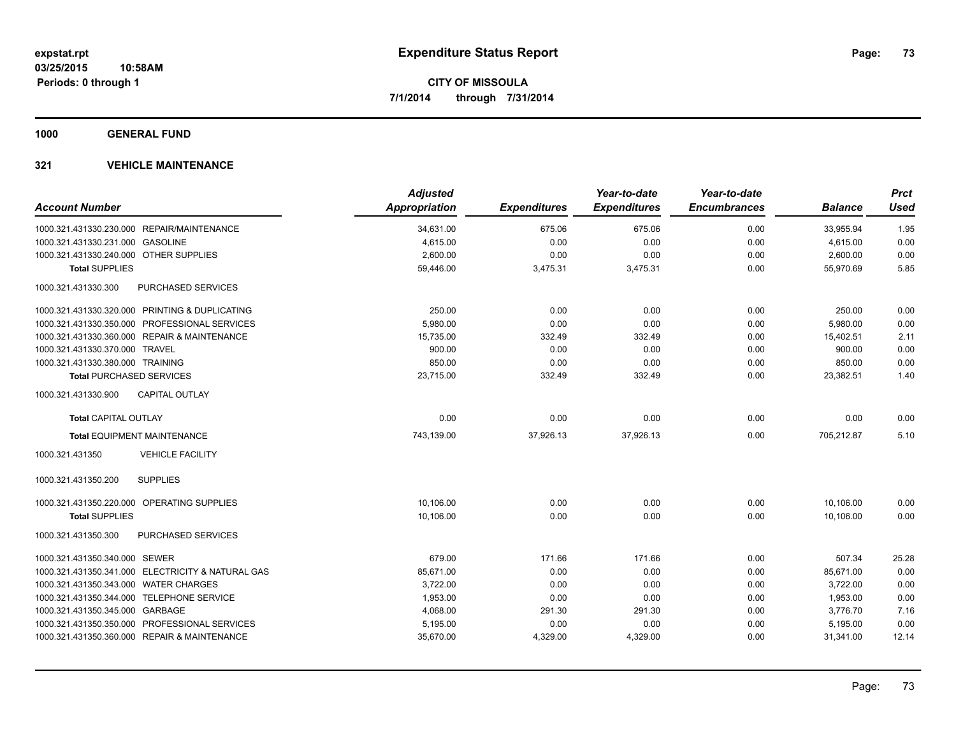**1000 GENERAL FUND**

#### **321 VEHICLE MAINTENANCE**

| <b>Account Number</b>                             | <b>Adjusted</b><br><b>Appropriation</b> | <b>Expenditures</b> | Year-to-date<br><b>Expenditures</b> | Year-to-date<br><b>Encumbrances</b> | <b>Balance</b> | <b>Prct</b><br><b>Used</b> |
|---------------------------------------------------|-----------------------------------------|---------------------|-------------------------------------|-------------------------------------|----------------|----------------------------|
| 1000.321.431330.230.000 REPAIR/MAINTENANCE        | 34,631.00                               | 675.06              | 675.06                              | 0.00                                | 33,955.94      | 1.95                       |
| 1000.321.431330.231.000 GASOLINE                  | 4,615.00                                | 0.00                | 0.00                                | 0.00                                | 4,615.00       | 0.00                       |
| 1000.321.431330.240.000 OTHER SUPPLIES            | 2,600.00                                | 0.00                | 0.00                                | 0.00                                | 2,600.00       | 0.00                       |
| <b>Total SUPPLIES</b>                             | 59,446.00                               | 3,475.31            | 3,475.31                            | 0.00                                | 55,970.69      | 5.85                       |
| 1000.321.431330.300<br><b>PURCHASED SERVICES</b>  |                                         |                     |                                     |                                     |                |                            |
| 1000.321.431330.320.000 PRINTING & DUPLICATING    | 250.00                                  | 0.00                | 0.00                                | 0.00                                | 250.00         | 0.00                       |
| 1000.321.431330.350.000 PROFESSIONAL SERVICES     | 5,980.00                                | 0.00                | 0.00                                | 0.00                                | 5,980.00       | 0.00                       |
| 1000.321.431330.360.000 REPAIR & MAINTENANCE      | 15,735.00                               | 332.49              | 332.49                              | 0.00                                | 15,402.51      | 2.11                       |
| 1000.321.431330.370.000 TRAVEL                    | 900.00                                  | 0.00                | 0.00                                | 0.00                                | 900.00         | 0.00                       |
| 1000.321.431330.380.000 TRAINING                  | 850.00                                  | 0.00                | 0.00                                | 0.00                                | 850.00         | 0.00                       |
| <b>Total PURCHASED SERVICES</b>                   | 23,715.00                               | 332.49              | 332.49                              | 0.00                                | 23,382.51      | 1.40                       |
| <b>CAPITAL OUTLAY</b><br>1000.321.431330.900      |                                         |                     |                                     |                                     |                |                            |
| <b>Total CAPITAL OUTLAY</b>                       | 0.00                                    | 0.00                | 0.00                                | 0.00                                | 0.00           | 0.00                       |
| <b>Total EQUIPMENT MAINTENANCE</b>                | 743,139.00                              | 37,926.13           | 37,926.13                           | 0.00                                | 705,212.87     | 5.10                       |
| 1000.321.431350<br><b>VEHICLE FACILITY</b>        |                                         |                     |                                     |                                     |                |                            |
| <b>SUPPLIES</b><br>1000.321.431350.200            |                                         |                     |                                     |                                     |                |                            |
| 1000.321.431350.220.000 OPERATING SUPPLIES        | 10,106.00                               | 0.00                | 0.00                                | 0.00                                | 10,106.00      | 0.00                       |
| <b>Total SUPPLIES</b>                             | 10,106.00                               | 0.00                | 0.00                                | 0.00                                | 10.106.00      | 0.00                       |
| 1000.321.431350.300<br>PURCHASED SERVICES         |                                         |                     |                                     |                                     |                |                            |
| 1000.321.431350.340.000 SEWER                     | 679.00                                  | 171.66              | 171.66                              | 0.00                                | 507.34         | 25.28                      |
| 1000.321.431350.341.000 ELECTRICITY & NATURAL GAS | 85,671.00                               | 0.00                | 0.00                                | 0.00                                | 85,671.00      | 0.00                       |
| 1000.321.431350.343.000 WATER CHARGES             | 3,722.00                                | 0.00                | 0.00                                | 0.00                                | 3,722.00       | 0.00                       |
| 1000.321.431350.344.000 TELEPHONE SERVICE         | 1,953.00                                | 0.00                | 0.00                                | 0.00                                | 1,953.00       | 0.00                       |
| 1000.321.431350.345.000 GARBAGE                   | 4,068.00                                | 291.30              | 291.30                              | 0.00                                | 3,776.70       | 7.16                       |
| 1000.321.431350.350.000 PROFESSIONAL SERVICES     | 5,195.00                                | 0.00                | 0.00                                | 0.00                                | 5,195.00       | 0.00                       |
| 1000.321.431350.360.000 REPAIR & MAINTENANCE      | 35,670.00                               | 4,329.00            | 4,329.00                            | 0.00                                | 31,341.00      | 12.14                      |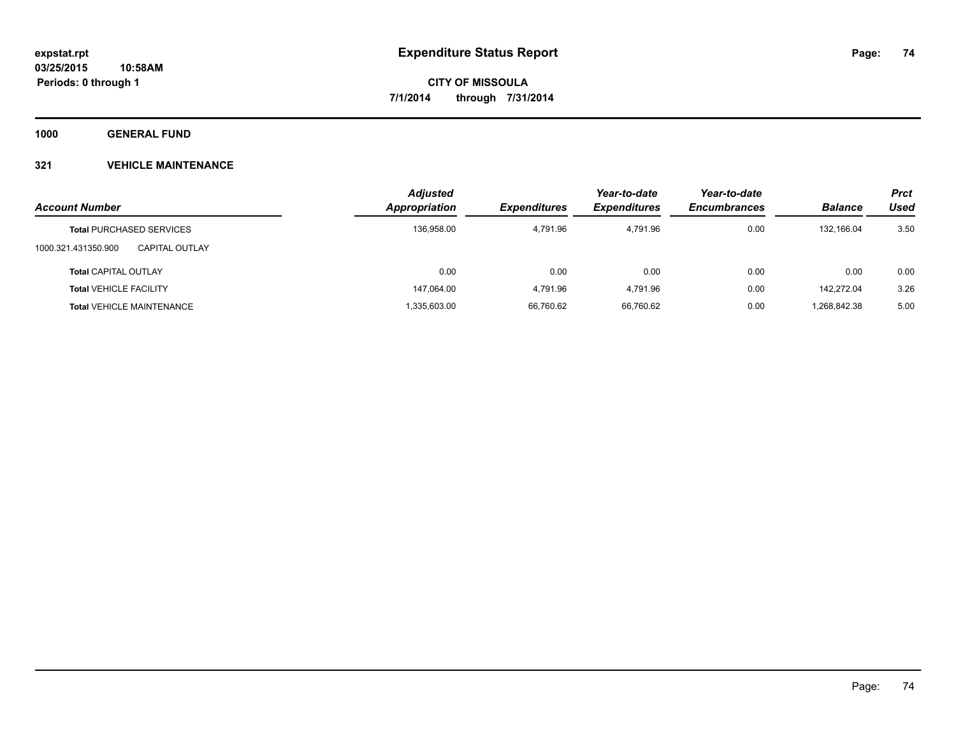**1000 GENERAL FUND**

### **321 VEHICLE MAINTENANCE**

| <b>Account Number</b>                 | <b>Adjusted</b><br>Appropriation | <b>Expenditures</b> | Year-to-date<br><b>Expenditures</b> | Year-to-date<br><b>Encumbrances</b> | <b>Balance</b> | <b>Prct</b><br>Used |
|---------------------------------------|----------------------------------|---------------------|-------------------------------------|-------------------------------------|----------------|---------------------|
|                                       |                                  |                     |                                     |                                     |                |                     |
| <b>Total PURCHASED SERVICES</b>       | 136,958.00                       | 4.791.96            | 4.791.96                            | 0.00                                | 132.166.04     | 3.50                |
| 1000.321.431350.900<br>CAPITAL OUTLAY |                                  |                     |                                     |                                     |                |                     |
| <b>Total CAPITAL OUTLAY</b>           | 0.00                             | 0.00                | 0.00                                | 0.00                                | 0.00           | 0.00                |
| <b>Total VEHICLE FACILITY</b>         | 147,064.00                       | 4,791.96            | 4,791.96                            | 0.00                                | 142,272.04     | 3.26                |
| <b>Total VEHICLE MAINTENANCE</b>      | 1,335,603.00                     | 66,760.62           | 66,760.62                           | 0.00                                | .268,842.38    | 5.00                |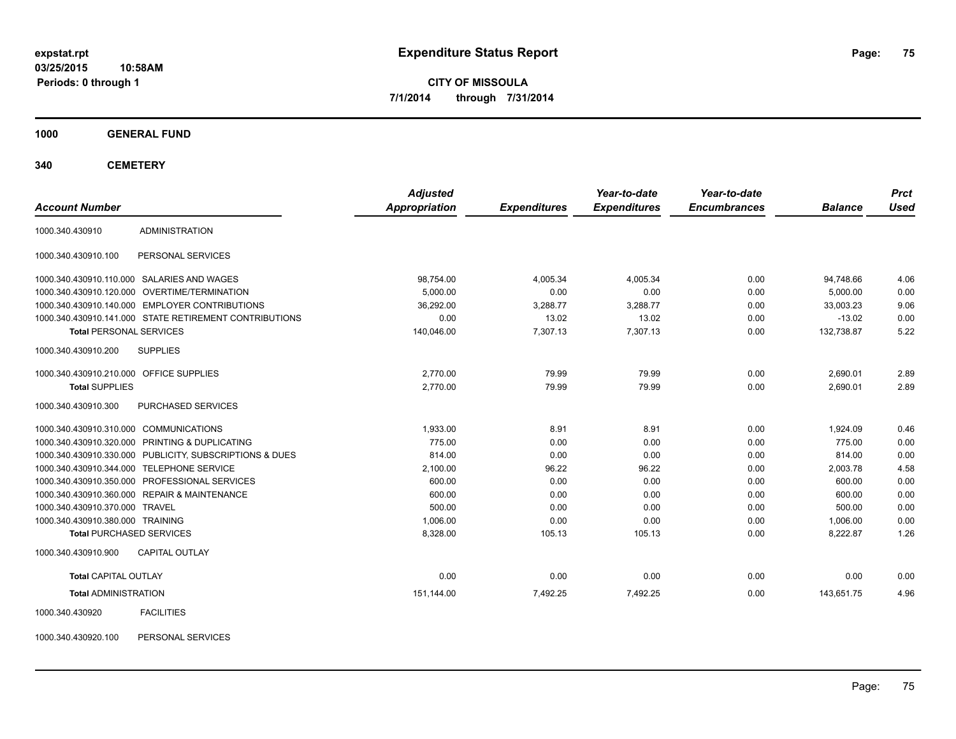**03/25/2015 10:58AM Periods: 0 through 1**

**CITY OF MISSOULA 7/1/2014 through 7/31/2014**

**1000 GENERAL FUND**

**340 CEMETERY**

| <b>Account Number</b>                   |                                                         | <b>Adjusted</b><br>Appropriation | <b>Expenditures</b> | Year-to-date<br><b>Expenditures</b> | Year-to-date<br><b>Encumbrances</b> | <b>Balance</b> | <b>Prct</b><br><b>Used</b> |
|-----------------------------------------|---------------------------------------------------------|----------------------------------|---------------------|-------------------------------------|-------------------------------------|----------------|----------------------------|
| 1000.340.430910                         | <b>ADMINISTRATION</b>                                   |                                  |                     |                                     |                                     |                |                            |
| 1000.340.430910.100                     | PERSONAL SERVICES                                       |                                  |                     |                                     |                                     |                |                            |
|                                         | 1000.340.430910.110.000 SALARIES AND WAGES              | 98,754.00                        | 4,005.34            | 4,005.34                            | 0.00                                | 94,748.66      | 4.06                       |
|                                         | 1000.340.430910.120.000 OVERTIME/TERMINATION            | 5,000.00                         | 0.00                | 0.00                                | 0.00                                | 5,000.00       | 0.00                       |
|                                         | 1000.340.430910.140.000 EMPLOYER CONTRIBUTIONS          | 36,292.00                        | 3,288.77            | 3,288.77                            | 0.00                                | 33.003.23      | 9.06                       |
|                                         | 1000.340.430910.141.000 STATE RETIREMENT CONTRIBUTIONS  | 0.00                             | 13.02               | 13.02                               | 0.00                                | $-13.02$       | 0.00                       |
| <b>Total PERSONAL SERVICES</b>          |                                                         | 140.046.00                       | 7.307.13            | 7,307.13                            | 0.00                                | 132,738.87     | 5.22                       |
| 1000.340.430910.200                     | <b>SUPPLIES</b>                                         |                                  |                     |                                     |                                     |                |                            |
| 1000.340.430910.210.000 OFFICE SUPPLIES |                                                         | 2.770.00                         | 79.99               | 79.99                               | 0.00                                | 2,690.01       | 2.89                       |
| <b>Total SUPPLIES</b>                   |                                                         | 2,770.00                         | 79.99               | 79.99                               | 0.00                                | 2,690.01       | 2.89                       |
| 1000.340.430910.300                     | <b>PURCHASED SERVICES</b>                               |                                  |                     |                                     |                                     |                |                            |
| 1000.340.430910.310.000 COMMUNICATIONS  |                                                         | 1.933.00                         | 8.91                | 8.91                                | 0.00                                | 1.924.09       | 0.46                       |
|                                         | 1000.340.430910.320.000 PRINTING & DUPLICATING          | 775.00                           | 0.00                | 0.00                                | 0.00                                | 775.00         | 0.00                       |
|                                         | 1000.340.430910.330.000 PUBLICITY, SUBSCRIPTIONS & DUES | 814.00                           | 0.00                | 0.00                                | 0.00                                | 814.00         | 0.00                       |
|                                         | 1000.340.430910.344.000 TELEPHONE SERVICE               | 2,100.00                         | 96.22               | 96.22                               | 0.00                                | 2,003.78       | 4.58                       |
|                                         | 1000.340.430910.350.000 PROFESSIONAL SERVICES           | 600.00                           | 0.00                | 0.00                                | 0.00                                | 600.00         | 0.00                       |
|                                         | 1000.340.430910.360.000 REPAIR & MAINTENANCE            | 600.00                           | 0.00                | 0.00                                | 0.00                                | 600.00         | 0.00                       |
| 1000.340.430910.370.000 TRAVEL          |                                                         | 500.00                           | 0.00                | 0.00                                | 0.00                                | 500.00         | 0.00                       |
| 1000.340.430910.380.000 TRAINING        |                                                         | 1,006.00                         | 0.00                | 0.00                                | 0.00                                | 1,006.00       | 0.00                       |
| <b>Total PURCHASED SERVICES</b>         |                                                         | 8,328.00                         | 105.13              | 105.13                              | 0.00                                | 8,222.87       | 1.26                       |
| 1000.340.430910.900                     | <b>CAPITAL OUTLAY</b>                                   |                                  |                     |                                     |                                     |                |                            |
| <b>Total CAPITAL OUTLAY</b>             |                                                         | 0.00                             | 0.00                | 0.00                                | 0.00                                | 0.00           | 0.00                       |
| <b>Total ADMINISTRATION</b>             |                                                         | 151,144.00                       | 7,492.25            | 7,492.25                            | 0.00                                | 143,651.75     | 4.96                       |
| 1000.340.430920                         | <b>FACILITIES</b>                                       |                                  |                     |                                     |                                     |                |                            |

1000.340.430920.100 PERSONAL SERVICES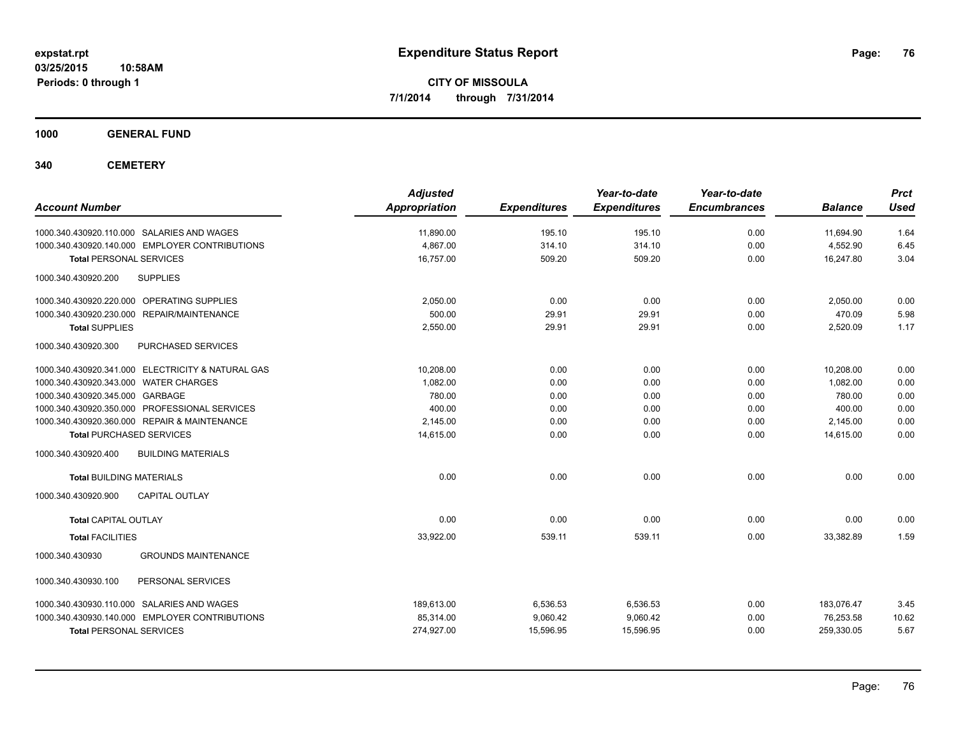**1000 GENERAL FUND**

**340 CEMETERY**

| <b>Account Number</b>                             | <b>Adjusted</b><br>Appropriation | <b>Expenditures</b> | Year-to-date<br><b>Expenditures</b> | Year-to-date<br><b>Encumbrances</b> | <b>Balance</b> | <b>Prct</b><br><b>Used</b> |
|---------------------------------------------------|----------------------------------|---------------------|-------------------------------------|-------------------------------------|----------------|----------------------------|
| 1000.340.430920.110.000 SALARIES AND WAGES        | 11,890.00                        | 195.10              | 195.10                              | 0.00                                | 11,694.90      | 1.64                       |
| 1000.340.430920.140.000 EMPLOYER CONTRIBUTIONS    | 4,867.00                         | 314.10              | 314.10                              | 0.00                                | 4,552.90       | 6.45                       |
| <b>Total PERSONAL SERVICES</b>                    | 16,757.00                        | 509.20              | 509.20                              | 0.00                                | 16,247.80      | 3.04                       |
| <b>SUPPLIES</b><br>1000.340.430920.200            |                                  |                     |                                     |                                     |                |                            |
| 1000.340.430920.220.000 OPERATING SUPPLIES        | 2,050.00                         | 0.00                | 0.00                                | 0.00                                | 2,050.00       | 0.00                       |
| 1000.340.430920.230.000 REPAIR/MAINTENANCE        | 500.00                           | 29.91               | 29.91                               | 0.00                                | 470.09         | 5.98                       |
| <b>Total SUPPLIES</b>                             | 2,550.00                         | 29.91               | 29.91                               | 0.00                                | 2,520.09       | 1.17                       |
| 1000.340.430920.300<br>PURCHASED SERVICES         |                                  |                     |                                     |                                     |                |                            |
| 1000.340.430920.341.000 ELECTRICITY & NATURAL GAS | 10,208.00                        | 0.00                | 0.00                                | 0.00                                | 10,208.00      | 0.00                       |
| 1000.340.430920.343.000 WATER CHARGES             | 1.082.00                         | 0.00                | 0.00                                | 0.00                                | 1.082.00       | 0.00                       |
| 1000.340.430920.345.000 GARBAGE                   | 780.00                           | 0.00                | 0.00                                | 0.00                                | 780.00         | 0.00                       |
| 1000.340.430920.350.000 PROFESSIONAL SERVICES     | 400.00                           | 0.00                | 0.00                                | 0.00                                | 400.00         | 0.00                       |
| 1000.340.430920.360.000 REPAIR & MAINTENANCE      | 2,145.00                         | 0.00                | 0.00                                | 0.00                                | 2,145.00       | 0.00                       |
| <b>Total PURCHASED SERVICES</b>                   | 14,615.00                        | 0.00                | 0.00                                | 0.00                                | 14,615.00      | 0.00                       |
| <b>BUILDING MATERIALS</b><br>1000.340.430920.400  |                                  |                     |                                     |                                     |                |                            |
| <b>Total BUILDING MATERIALS</b>                   | 0.00                             | 0.00                | 0.00                                | 0.00                                | 0.00           | 0.00                       |
| 1000.340.430920.900<br><b>CAPITAL OUTLAY</b>      |                                  |                     |                                     |                                     |                |                            |
| <b>Total CAPITAL OUTLAY</b>                       | 0.00                             | 0.00                | 0.00                                | 0.00                                | 0.00           | 0.00                       |
| <b>Total FACILITIES</b>                           | 33,922.00                        | 539.11              | 539.11                              | 0.00                                | 33.382.89      | 1.59                       |
| <b>GROUNDS MAINTENANCE</b><br>1000.340.430930     |                                  |                     |                                     |                                     |                |                            |
| 1000.340.430930.100<br>PERSONAL SERVICES          |                                  |                     |                                     |                                     |                |                            |
| 1000.340.430930.110.000 SALARIES AND WAGES        | 189,613.00                       | 6,536.53            | 6,536.53                            | 0.00                                | 183,076.47     | 3.45                       |
| 1000.340.430930.140.000 EMPLOYER CONTRIBUTIONS    | 85,314.00                        | 9,060.42            | 9,060.42                            | 0.00                                | 76,253.58      | 10.62                      |
| <b>Total PERSONAL SERVICES</b>                    | 274,927.00                       | 15,596.95           | 15,596.95                           | 0.00                                | 259,330.05     | 5.67                       |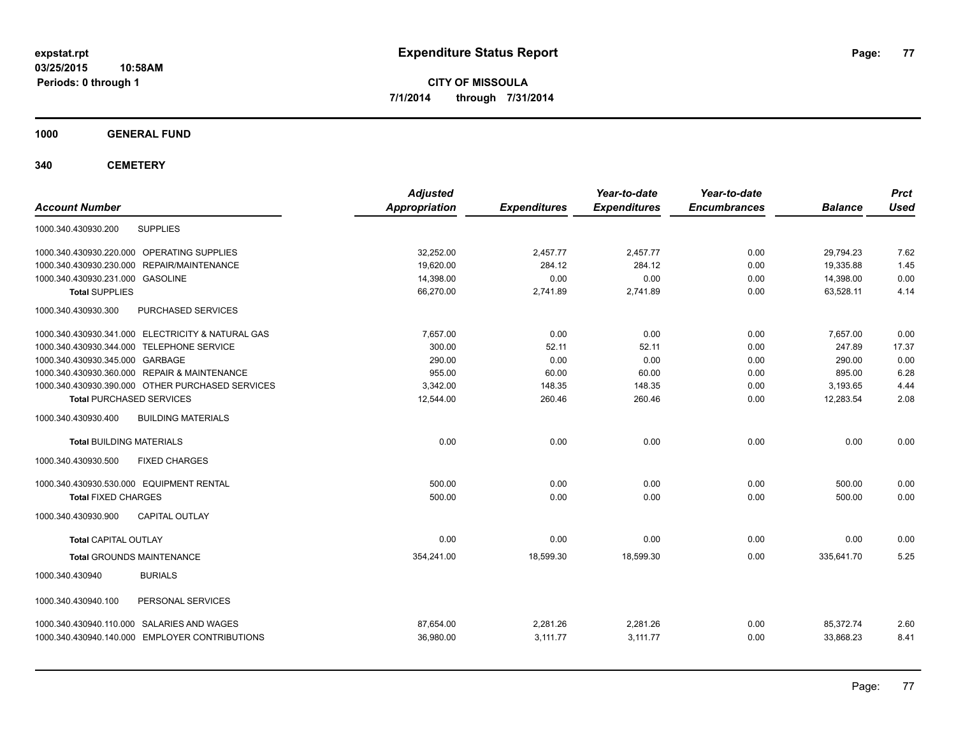**1000 GENERAL FUND**

**340 CEMETERY**

| <b>Account Number</b>                             | <b>Adjusted</b><br><b>Appropriation</b> | <b>Expenditures</b> | Year-to-date<br><b>Expenditures</b> | Year-to-date<br><b>Encumbrances</b> | <b>Balance</b> | <b>Prct</b><br><b>Used</b> |
|---------------------------------------------------|-----------------------------------------|---------------------|-------------------------------------|-------------------------------------|----------------|----------------------------|
| <b>SUPPLIES</b><br>1000.340.430930.200            |                                         |                     |                                     |                                     |                |                            |
| 1000.340.430930.220.000 OPERATING SUPPLIES        | 32,252.00                               | 2,457.77            | 2.457.77                            | 0.00                                | 29,794.23      | 7.62                       |
| 1000.340.430930.230.000<br>REPAIR/MAINTENANCE     | 19,620.00                               | 284.12              | 284.12                              | 0.00                                | 19,335.88      | 1.45                       |
| 1000.340.430930.231.000 GASOLINE                  | 14,398.00                               | 0.00                | 0.00                                | 0.00                                | 14,398.00      | 0.00                       |
| <b>Total SUPPLIES</b>                             | 66,270.00                               | 2,741.89            | 2,741.89                            | 0.00                                | 63,528.11      | 4.14                       |
| 1000.340.430930.300<br>PURCHASED SERVICES         |                                         |                     |                                     |                                     |                |                            |
| 1000.340.430930.341.000 ELECTRICITY & NATURAL GAS | 7,657.00                                | 0.00                | 0.00                                | 0.00                                | 7,657.00       | 0.00                       |
| 1000.340.430930.344.000 TELEPHONE SERVICE         | 300.00                                  | 52.11               | 52.11                               | 0.00                                | 247.89         | 17.37                      |
| 1000.340.430930.345.000 GARBAGE                   | 290.00                                  | 0.00                | 0.00                                | 0.00                                | 290.00         | 0.00                       |
| 1000.340.430930.360.000 REPAIR & MAINTENANCE      | 955.00                                  | 60.00               | 60.00                               | 0.00                                | 895.00         | 6.28                       |
| 1000.340.430930.390.000 OTHER PURCHASED SERVICES  | 3,342.00                                | 148.35              | 148.35                              | 0.00                                | 3,193.65       | 4.44                       |
| <b>Total PURCHASED SERVICES</b>                   | 12,544.00                               | 260.46              | 260.46                              | 0.00                                | 12,283.54      | 2.08                       |
| 1000.340.430930.400<br><b>BUILDING MATERIALS</b>  |                                         |                     |                                     |                                     |                |                            |
| <b>Total BUILDING MATERIALS</b>                   | 0.00                                    | 0.00                | 0.00                                | 0.00                                | 0.00           | 0.00                       |
| 1000.340.430930.500<br><b>FIXED CHARGES</b>       |                                         |                     |                                     |                                     |                |                            |
| 1000.340.430930.530.000 EQUIPMENT RENTAL          | 500.00                                  | 0.00                | 0.00                                | 0.00                                | 500.00         | 0.00                       |
| <b>Total FIXED CHARGES</b>                        | 500.00                                  | 0.00                | 0.00                                | 0.00                                | 500.00         | 0.00                       |
| CAPITAL OUTLAY<br>1000.340.430930.900             |                                         |                     |                                     |                                     |                |                            |
| <b>Total CAPITAL OUTLAY</b>                       | 0.00                                    | 0.00                | 0.00                                | 0.00                                | 0.00           | 0.00                       |
| <b>Total GROUNDS MAINTENANCE</b>                  | 354,241.00                              | 18,599.30           | 18,599.30                           | 0.00                                | 335,641.70     | 5.25                       |
| 1000.340.430940<br><b>BURIALS</b>                 |                                         |                     |                                     |                                     |                |                            |
| 1000.340.430940.100<br>PERSONAL SERVICES          |                                         |                     |                                     |                                     |                |                            |
| 1000.340.430940.110.000 SALARIES AND WAGES        | 87,654.00                               | 2,281.26            | 2,281.26                            | 0.00                                | 85,372.74      | 2.60                       |
| 1000.340.430940.140.000 EMPLOYER CONTRIBUTIONS    | 36,980.00                               | 3,111.77            | 3,111.77                            | 0.00                                | 33,868.23      | 8.41                       |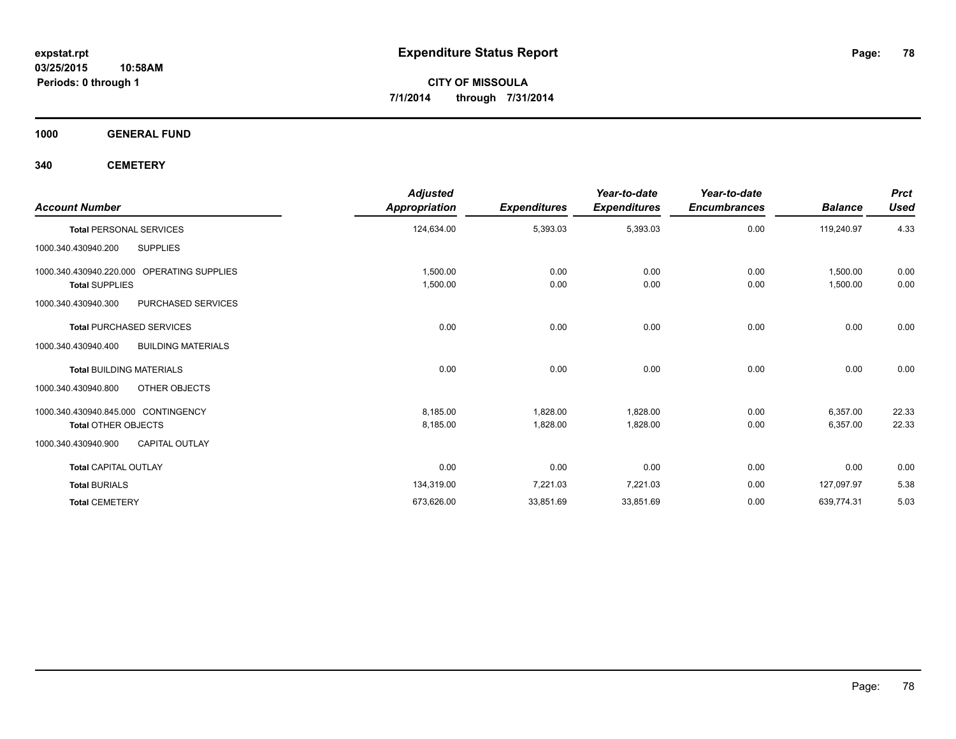**1000 GENERAL FUND**

**340 CEMETERY**

| <b>Account Number</b>                            | <b>Adjusted</b><br><b>Appropriation</b> | <b>Expenditures</b> | Year-to-date<br><b>Expenditures</b> | Year-to-date<br><b>Encumbrances</b> | <b>Balance</b> | <b>Prct</b><br><b>Used</b> |
|--------------------------------------------------|-----------------------------------------|---------------------|-------------------------------------|-------------------------------------|----------------|----------------------------|
| <b>Total PERSONAL SERVICES</b>                   | 124,634.00                              | 5,393.03            | 5,393.03                            | 0.00                                | 119,240.97     | 4.33                       |
| <b>SUPPLIES</b><br>1000.340.430940.200           |                                         |                     |                                     |                                     |                |                            |
| 1000.340.430940.220.000 OPERATING SUPPLIES       | 1,500.00                                | 0.00                | 0.00                                | 0.00                                | 1,500.00       | 0.00                       |
| <b>Total SUPPLIES</b>                            | 1,500.00                                | 0.00                | 0.00                                | 0.00                                | 1,500.00       | 0.00                       |
| PURCHASED SERVICES<br>1000.340.430940.300        |                                         |                     |                                     |                                     |                |                            |
| <b>Total PURCHASED SERVICES</b>                  | 0.00                                    | 0.00                | 0.00                                | 0.00                                | 0.00           | 0.00                       |
| 1000.340.430940.400<br><b>BUILDING MATERIALS</b> |                                         |                     |                                     |                                     |                |                            |
| <b>Total BUILDING MATERIALS</b>                  | 0.00                                    | 0.00                | 0.00                                | 0.00                                | 0.00           | 0.00                       |
| OTHER OBJECTS<br>1000.340.430940.800             |                                         |                     |                                     |                                     |                |                            |
| 1000.340.430940.845.000 CONTINGENCY              | 8,185.00                                | 1.828.00            | 1,828.00                            | 0.00                                | 6,357.00       | 22.33                      |
| <b>Total OTHER OBJECTS</b>                       | 8,185.00                                | 1,828.00            | 1,828.00                            | 0.00                                | 6,357.00       | 22.33                      |
| <b>CAPITAL OUTLAY</b><br>1000.340.430940.900     |                                         |                     |                                     |                                     |                |                            |
| <b>Total CAPITAL OUTLAY</b>                      | 0.00                                    | 0.00                | 0.00                                | 0.00                                | 0.00           | 0.00                       |
| <b>Total BURIALS</b>                             | 134,319.00                              | 7,221.03            | 7,221.03                            | 0.00                                | 127,097.97     | 5.38                       |
| <b>Total CEMETERY</b>                            | 673,626.00                              | 33,851.69           | 33,851.69                           | 0.00                                | 639,774.31     | 5.03                       |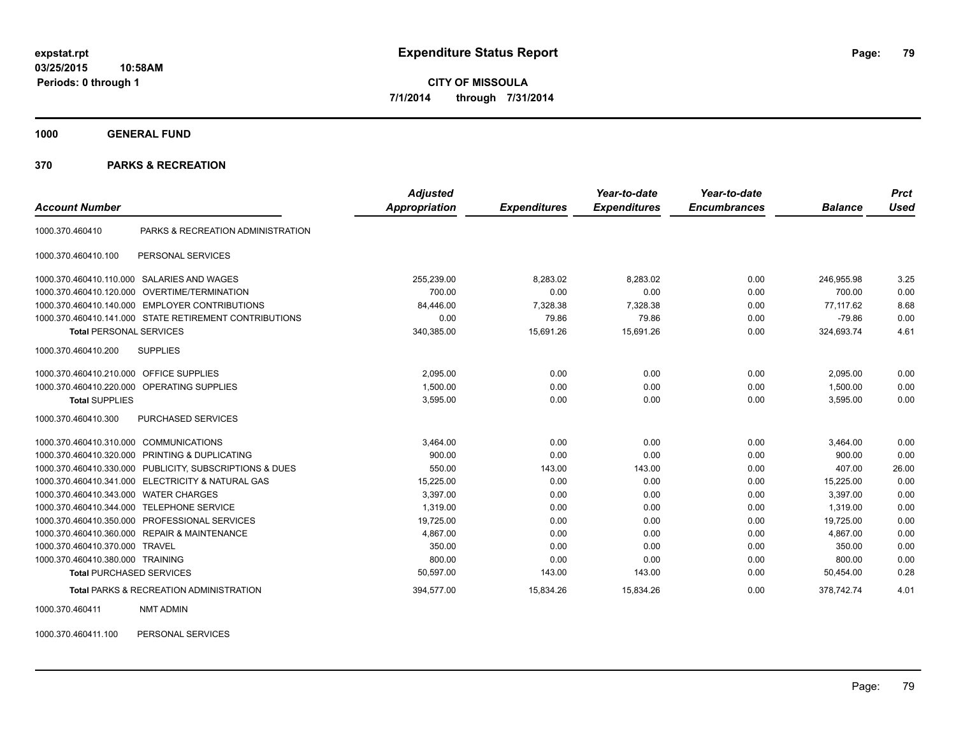**1000 GENERAL FUND**

#### **370 PARKS & RECREATION**

| <b>Account Number</b>                   |                                                         | <b>Adjusted</b><br><b>Appropriation</b> | <b>Expenditures</b> | Year-to-date<br><b>Expenditures</b> | Year-to-date<br><b>Encumbrances</b> | <b>Balance</b> | <b>Prct</b><br><b>Used</b> |
|-----------------------------------------|---------------------------------------------------------|-----------------------------------------|---------------------|-------------------------------------|-------------------------------------|----------------|----------------------------|
|                                         |                                                         |                                         |                     |                                     |                                     |                |                            |
| 1000.370.460410                         | PARKS & RECREATION ADMINISTRATION                       |                                         |                     |                                     |                                     |                |                            |
| 1000.370.460410.100                     | PERSONAL SERVICES                                       |                                         |                     |                                     |                                     |                |                            |
| 1000.370.460410.110.000                 | <b>SALARIES AND WAGES</b>                               | 255,239.00                              | 8.283.02            | 8.283.02                            | 0.00                                | 246.955.98     | 3.25                       |
| 1000.370.460410.120.000                 | <b>OVERTIME/TERMINATION</b>                             | 700.00                                  | 0.00                | 0.00                                | 0.00                                | 700.00         | 0.00                       |
|                                         | 1000.370.460410.140.000 EMPLOYER CONTRIBUTIONS          | 84,446.00                               | 7,328.38            | 7,328.38                            | 0.00                                | 77.117.62      | 8.68                       |
|                                         | 1000.370.460410.141.000 STATE RETIREMENT CONTRIBUTIONS  | 0.00                                    | 79.86               | 79.86                               | 0.00                                | $-79.86$       | 0.00                       |
| <b>Total PERSONAL SERVICES</b>          |                                                         | 340,385.00                              | 15,691.26           | 15,691.26                           | 0.00                                | 324,693.74     | 4.61                       |
| 1000.370.460410.200                     | <b>SUPPLIES</b>                                         |                                         |                     |                                     |                                     |                |                            |
| 1000.370.460410.210.000 OFFICE SUPPLIES |                                                         | 2,095.00                                | 0.00                | 0.00                                | 0.00                                | 2,095.00       | 0.00                       |
|                                         | 1000.370.460410.220.000 OPERATING SUPPLIES              | 1,500.00                                | 0.00                | 0.00                                | 0.00                                | 1,500.00       | 0.00                       |
| <b>Total SUPPLIES</b>                   |                                                         | 3,595.00                                | 0.00                | 0.00                                | 0.00                                | 3,595.00       | 0.00                       |
| 1000.370.460410.300                     | PURCHASED SERVICES                                      |                                         |                     |                                     |                                     |                |                            |
| 1000.370.460410.310.000                 | <b>COMMUNICATIONS</b>                                   | 3,464.00                                | 0.00                | 0.00                                | 0.00                                | 3,464.00       | 0.00                       |
|                                         | 1000.370.460410.320.000 PRINTING & DUPLICATING          | 900.00                                  | 0.00                | 0.00                                | 0.00                                | 900.00         | 0.00                       |
|                                         | 1000.370.460410.330.000 PUBLICITY, SUBSCRIPTIONS & DUES | 550.00                                  | 143.00              | 143.00                              | 0.00                                | 407.00         | 26.00                      |
|                                         | 1000.370.460410.341.000 ELECTRICITY & NATURAL GAS       | 15,225.00                               | 0.00                | 0.00                                | 0.00                                | 15.225.00      | 0.00                       |
| 1000.370.460410.343.000                 | <b>WATER CHARGES</b>                                    | 3.397.00                                | 0.00                | 0.00                                | 0.00                                | 3.397.00       | 0.00                       |
| 1000.370.460410.344.000                 | <b>TELEPHONE SERVICE</b>                                | 1.319.00                                | 0.00                | 0.00                                | 0.00                                | 1,319.00       | 0.00                       |
|                                         | 1000.370.460410.350.000 PROFESSIONAL SERVICES           | 19,725.00                               | 0.00                | 0.00                                | 0.00                                | 19,725.00      | 0.00                       |
|                                         | 1000.370.460410.360.000 REPAIR & MAINTENANCE            | 4,867.00                                | 0.00                | 0.00                                | 0.00                                | 4,867.00       | 0.00                       |
| 1000.370.460410.370.000                 | <b>TRAVEL</b>                                           | 350.00                                  | 0.00                | 0.00                                | 0.00                                | 350.00         | 0.00                       |
| 1000.370.460410.380.000 TRAINING        |                                                         | 800.00                                  | 0.00                | 0.00                                | 0.00                                | 800.00         | 0.00                       |
| <b>Total PURCHASED SERVICES</b>         |                                                         | 50,597.00                               | 143.00              | 143.00                              | 0.00                                | 50,454.00      | 0.28                       |
|                                         | <b>Total PARKS &amp; RECREATION ADMINISTRATION</b>      | 394.577.00                              | 15,834.26           | 15,834.26                           | 0.00                                | 378.742.74     | 4.01                       |

1000.370.460411 NMT ADMIN

1000.370.460411.100 PERSONAL SERVICES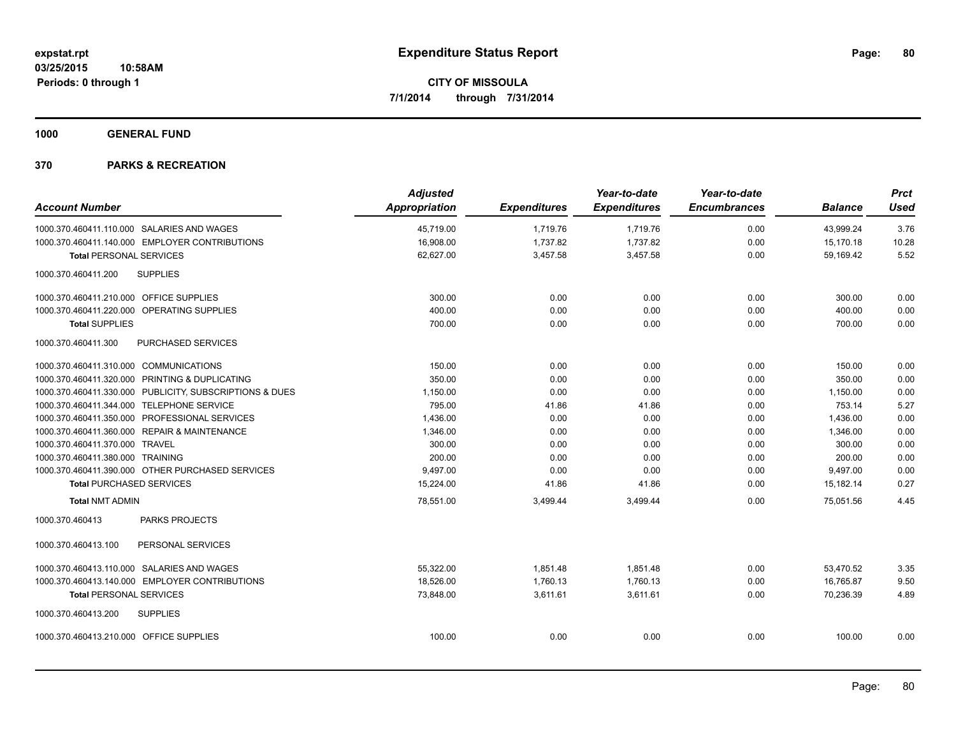**1000 GENERAL FUND**

|                                                         | <b>Adjusted</b> |                     | Year-to-date        | Year-to-date        |                | <b>Prct</b> |
|---------------------------------------------------------|-----------------|---------------------|---------------------|---------------------|----------------|-------------|
| <b>Account Number</b>                                   | Appropriation   | <b>Expenditures</b> | <b>Expenditures</b> | <b>Encumbrances</b> | <b>Balance</b> | <b>Used</b> |
| 1000.370.460411.110.000 SALARIES AND WAGES              | 45.719.00       | 1,719.76            | 1,719.76            | 0.00                | 43,999.24      | 3.76        |
| 1000.370.460411.140.000 EMPLOYER CONTRIBUTIONS          | 16,908.00       | 1,737.82            | 1,737.82            | 0.00                | 15.170.18      | 10.28       |
| <b>Total PERSONAL SERVICES</b>                          | 62,627.00       | 3,457.58            | 3,457.58            | 0.00                | 59,169.42      | 5.52        |
| 1000.370.460411.200<br><b>SUPPLIES</b>                  |                 |                     |                     |                     |                |             |
| 1000.370.460411.210.000 OFFICE SUPPLIES                 | 300.00          | 0.00                | 0.00                | 0.00                | 300.00         | 0.00        |
| 1000.370.460411.220.000 OPERATING SUPPLIES              | 400.00          | 0.00                | 0.00                | 0.00                | 400.00         | 0.00        |
| <b>Total SUPPLIES</b>                                   | 700.00          | 0.00                | 0.00                | 0.00                | 700.00         | 0.00        |
| 1000.370.460411.300<br><b>PURCHASED SERVICES</b>        |                 |                     |                     |                     |                |             |
| 1000.370.460411.310.000 COMMUNICATIONS                  | 150.00          | 0.00                | 0.00                | 0.00                | 150.00         | 0.00        |
| 1000.370.460411.320.000 PRINTING & DUPLICATING          | 350.00          | 0.00                | 0.00                | 0.00                | 350.00         | 0.00        |
| 1000.370.460411.330.000 PUBLICITY, SUBSCRIPTIONS & DUES | 1,150.00        | 0.00                | 0.00                | 0.00                | 1,150.00       | 0.00        |
| 1000.370.460411.344.000 TELEPHONE SERVICE               | 795.00          | 41.86               | 41.86               | 0.00                | 753.14         | 5.27        |
| 1000.370.460411.350.000 PROFESSIONAL SERVICES           | 1,436.00        | 0.00                | 0.00                | 0.00                | 1,436.00       | 0.00        |
| 1000.370.460411.360.000 REPAIR & MAINTENANCE            | 1,346.00        | 0.00                | 0.00                | 0.00                | 1,346.00       | 0.00        |
| 1000.370.460411.370.000 TRAVEL                          | 300.00          | 0.00                | 0.00                | 0.00                | 300.00         | 0.00        |
| 1000.370.460411.380.000 TRAINING                        | 200.00          | 0.00                | 0.00                | 0.00                | 200.00         | 0.00        |
| 1000.370.460411.390.000 OTHER PURCHASED SERVICES        | 9.497.00        | 0.00                | 0.00                | 0.00                | 9,497.00       | 0.00        |
| <b>Total PURCHASED SERVICES</b>                         | 15,224.00       | 41.86               | 41.86               | 0.00                | 15,182.14      | 0.27        |
| <b>Total NMT ADMIN</b>                                  | 78,551.00       | 3,499.44            | 3,499.44            | 0.00                | 75,051.56      | 4.45        |
| 1000.370.460413<br><b>PARKS PROJECTS</b>                |                 |                     |                     |                     |                |             |
| PERSONAL SERVICES<br>1000.370.460413.100                |                 |                     |                     |                     |                |             |
| 1000.370.460413.110.000 SALARIES AND WAGES              | 55,322.00       | 1.851.48            | 1.851.48            | 0.00                | 53,470.52      | 3.35        |
| 1000.370.460413.140.000 EMPLOYER CONTRIBUTIONS          | 18.526.00       | 1.760.13            | 1.760.13            | 0.00                | 16.765.87      | 9.50        |
| <b>Total PERSONAL SERVICES</b>                          | 73,848.00       | 3.611.61            | 3.611.61            | 0.00                | 70.236.39      | 4.89        |
| 1000.370.460413.200<br><b>SUPPLIES</b>                  |                 |                     |                     |                     |                |             |
| 1000.370.460413.210.000 OFFICE SUPPLIES                 | 100.00          | 0.00                | 0.00                | 0.00                | 100.00         | 0.00        |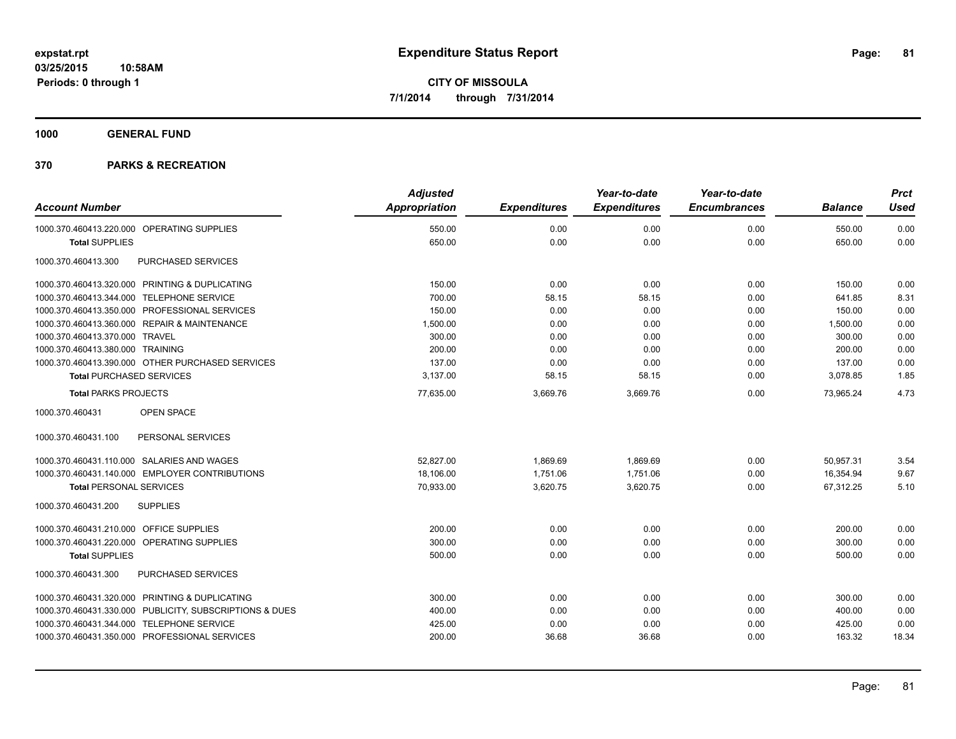**1000 GENERAL FUND**

|                                                         | <b>Adjusted</b>      |                     | Year-to-date        | Year-to-date        |                | <b>Prct</b> |
|---------------------------------------------------------|----------------------|---------------------|---------------------|---------------------|----------------|-------------|
| <b>Account Number</b>                                   | <b>Appropriation</b> | <b>Expenditures</b> | <b>Expenditures</b> | <b>Encumbrances</b> | <b>Balance</b> | <b>Used</b> |
| 1000.370.460413.220.000 OPERATING SUPPLIES              | 550.00               | 0.00                | 0.00                | 0.00                | 550.00         | 0.00        |
| <b>Total SUPPLIES</b>                                   | 650.00               | 0.00                | 0.00                | 0.00                | 650.00         | 0.00        |
| 1000.370.460413.300<br>PURCHASED SERVICES               |                      |                     |                     |                     |                |             |
| 1000.370.460413.320.000 PRINTING & DUPLICATING          | 150.00               | 0.00                | 0.00                | 0.00                | 150.00         | 0.00        |
| 1000.370.460413.344.000 TELEPHONE SERVICE               | 700.00               | 58.15               | 58.15               | 0.00                | 641.85         | 8.31        |
| 1000.370.460413.350.000 PROFESSIONAL SERVICES           | 150.00               | 0.00                | 0.00                | 0.00                | 150.00         | 0.00        |
| 1000.370.460413.360.000 REPAIR & MAINTENANCE            | 1,500.00             | 0.00                | 0.00                | 0.00                | 1,500.00       | 0.00        |
| 1000.370.460413.370.000 TRAVEL                          | 300.00               | 0.00                | 0.00                | 0.00                | 300.00         | 0.00        |
| 1000.370.460413.380.000 TRAINING                        | 200.00               | 0.00                | 0.00                | 0.00                | 200.00         | 0.00        |
| 1000.370.460413.390.000 OTHER PURCHASED SERVICES        | 137.00               | 0.00                | 0.00                | 0.00                | 137.00         | 0.00        |
| <b>Total PURCHASED SERVICES</b>                         | 3,137.00             | 58.15               | 58.15               | 0.00                | 3,078.85       | 1.85        |
| <b>Total PARKS PROJECTS</b>                             | 77,635.00            | 3,669.76            | 3,669.76            | 0.00                | 73,965.24      | 4.73        |
| 1000.370.460431<br><b>OPEN SPACE</b>                    |                      |                     |                     |                     |                |             |
| PERSONAL SERVICES<br>1000.370.460431.100                |                      |                     |                     |                     |                |             |
| 1000.370.460431.110.000 SALARIES AND WAGES              | 52,827.00            | 1,869.69            | 1,869.69            | 0.00                | 50,957.31      | 3.54        |
| 1000.370.460431.140.000 EMPLOYER CONTRIBUTIONS          | 18,106.00            | 1,751.06            | 1,751.06            | 0.00                | 16,354.94      | 9.67        |
| <b>Total PERSONAL SERVICES</b>                          | 70,933.00            | 3,620.75            | 3,620.75            | 0.00                | 67,312.25      | 5.10        |
| 1000.370.460431.200<br><b>SUPPLIES</b>                  |                      |                     |                     |                     |                |             |
| 1000.370.460431.210.000 OFFICE SUPPLIES                 | 200.00               | 0.00                | 0.00                | 0.00                | 200.00         | 0.00        |
| 1000.370.460431.220.000 OPERATING SUPPLIES              | 300.00               | 0.00                | 0.00                | 0.00                | 300.00         | 0.00        |
| <b>Total SUPPLIES</b>                                   | 500.00               | 0.00                | 0.00                | 0.00                | 500.00         | 0.00        |
| PURCHASED SERVICES<br>1000.370.460431.300               |                      |                     |                     |                     |                |             |
| 1000.370.460431.320.000 PRINTING & DUPLICATING          | 300.00               | 0.00                | 0.00                | 0.00                | 300.00         | 0.00        |
| 1000.370.460431.330.000 PUBLICITY, SUBSCRIPTIONS & DUES | 400.00               | 0.00                | 0.00                | 0.00                | 400.00         | 0.00        |
| 1000.370.460431.344.000 TELEPHONE SERVICE               | 425.00               | 0.00                | 0.00                | 0.00                | 425.00         | 0.00        |
| 1000.370.460431.350.000 PROFESSIONAL SERVICES           | 200.00               | 36.68               | 36.68               | 0.00                | 163.32         | 18.34       |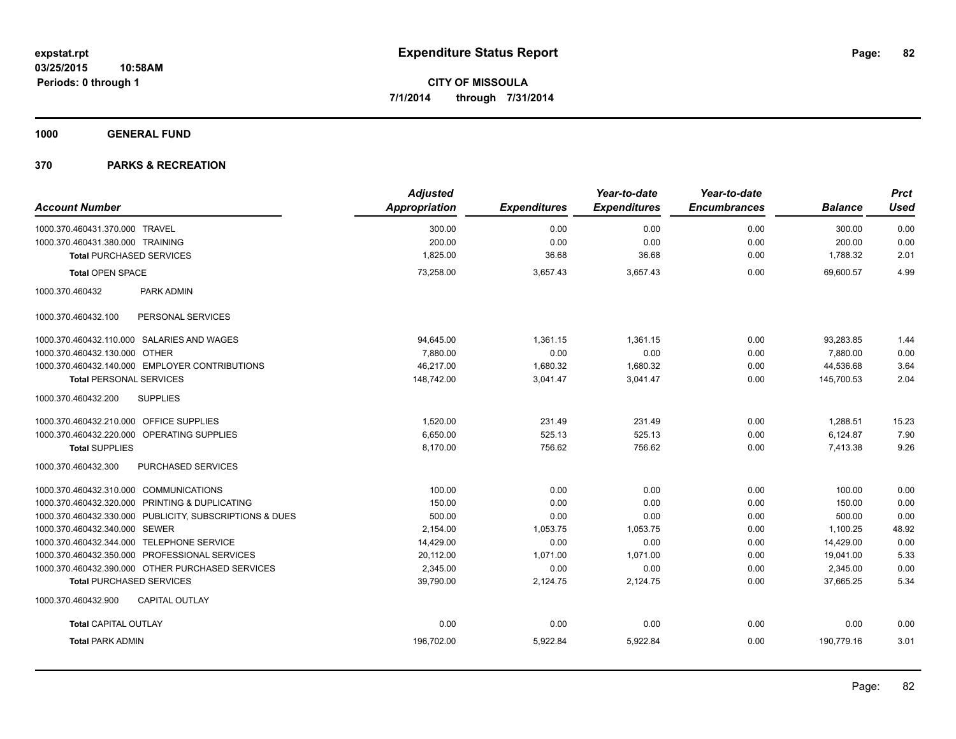**1000 GENERAL FUND**

| <b>Account Number</b>                                   | <b>Adjusted</b><br>Appropriation | <b>Expenditures</b> | Year-to-date<br><b>Expenditures</b> | Year-to-date<br><b>Encumbrances</b> | <b>Balance</b> | <b>Prct</b><br><b>Used</b> |
|---------------------------------------------------------|----------------------------------|---------------------|-------------------------------------|-------------------------------------|----------------|----------------------------|
|                                                         |                                  |                     |                                     |                                     |                |                            |
| 1000.370.460431.370.000 TRAVEL                          | 300.00                           | 0.00                | 0.00                                | 0.00                                | 300.00         | 0.00                       |
| 1000.370.460431.380.000 TRAINING                        | 200.00                           | 0.00                | 0.00                                | 0.00                                | 200.00         | 0.00                       |
| <b>Total PURCHASED SERVICES</b>                         | 1,825.00                         | 36.68               | 36.68                               | 0.00                                | 1,788.32       | 2.01                       |
| <b>Total OPEN SPACE</b>                                 | 73,258.00                        | 3,657.43            | 3,657.43                            | 0.00                                | 69.600.57      | 4.99                       |
| 1000.370.460432<br><b>PARK ADMIN</b>                    |                                  |                     |                                     |                                     |                |                            |
| 1000.370.460432.100<br>PERSONAL SERVICES                |                                  |                     |                                     |                                     |                |                            |
| 1000.370.460432.110.000 SALARIES AND WAGES              | 94,645.00                        | 1,361.15            | 1.361.15                            | 0.00                                | 93,283.85      | 1.44                       |
| 1000.370.460432.130.000 OTHER                           | 7,880.00                         | 0.00                | 0.00                                | 0.00                                | 7,880.00       | 0.00                       |
| 1000.370.460432.140.000 EMPLOYER CONTRIBUTIONS          | 46,217.00                        | 1,680.32            | 1,680.32                            | 0.00                                | 44,536.68      | 3.64                       |
| <b>Total PERSONAL SERVICES</b>                          | 148,742.00                       | 3,041.47            | 3,041.47                            | 0.00                                | 145,700.53     | 2.04                       |
| 1000.370.460432.200<br><b>SUPPLIES</b>                  |                                  |                     |                                     |                                     |                |                            |
| 1000.370.460432.210.000 OFFICE SUPPLIES                 | 1,520.00                         | 231.49              | 231.49                              | 0.00                                | 1,288.51       | 15.23                      |
| 1000.370.460432.220.000 OPERATING SUPPLIES              | 6,650.00                         | 525.13              | 525.13                              | 0.00                                | 6,124.87       | 7.90                       |
| <b>Total SUPPLIES</b>                                   | 8,170.00                         | 756.62              | 756.62                              | 0.00                                | 7,413.38       | 9.26                       |
| 1000.370.460432.300<br>PURCHASED SERVICES               |                                  |                     |                                     |                                     |                |                            |
| 1000.370.460432.310.000 COMMUNICATIONS                  | 100.00                           | 0.00                | 0.00                                | 0.00                                | 100.00         | 0.00                       |
| 1000.370.460432.320.000 PRINTING & DUPLICATING          | 150.00                           | 0.00                | 0.00                                | 0.00                                | 150.00         | 0.00                       |
| 1000.370.460432.330.000 PUBLICITY, SUBSCRIPTIONS & DUES | 500.00                           | 0.00                | 0.00                                | 0.00                                | 500.00         | 0.00                       |
| 1000.370.460432.340.000 SEWER                           | 2,154.00                         | 1,053.75            | 1,053.75                            | 0.00                                | 1,100.25       | 48.92                      |
| 1000.370.460432.344.000 TELEPHONE SERVICE               | 14,429.00                        | 0.00                | 0.00                                | 0.00                                | 14,429.00      | 0.00                       |
| 1000.370.460432.350.000 PROFESSIONAL SERVICES           | 20,112.00                        | 1,071.00            | 1,071.00                            | 0.00                                | 19,041.00      | 5.33                       |
| 1000.370.460432.390.000 OTHER PURCHASED SERVICES        | 2,345.00                         | 0.00                | 0.00                                | 0.00                                | 2,345.00       | 0.00                       |
| <b>Total PURCHASED SERVICES</b>                         | 39,790.00                        | 2,124.75            | 2,124.75                            | 0.00                                | 37,665.25      | 5.34                       |
| <b>CAPITAL OUTLAY</b><br>1000.370.460432.900            |                                  |                     |                                     |                                     |                |                            |
| <b>Total CAPITAL OUTLAY</b>                             | 0.00                             | 0.00                | 0.00                                | 0.00                                | 0.00           | 0.00                       |
| <b>Total PARK ADMIN</b>                                 | 196,702.00                       | 5,922.84            | 5,922.84                            | 0.00                                | 190,779.16     | 3.01                       |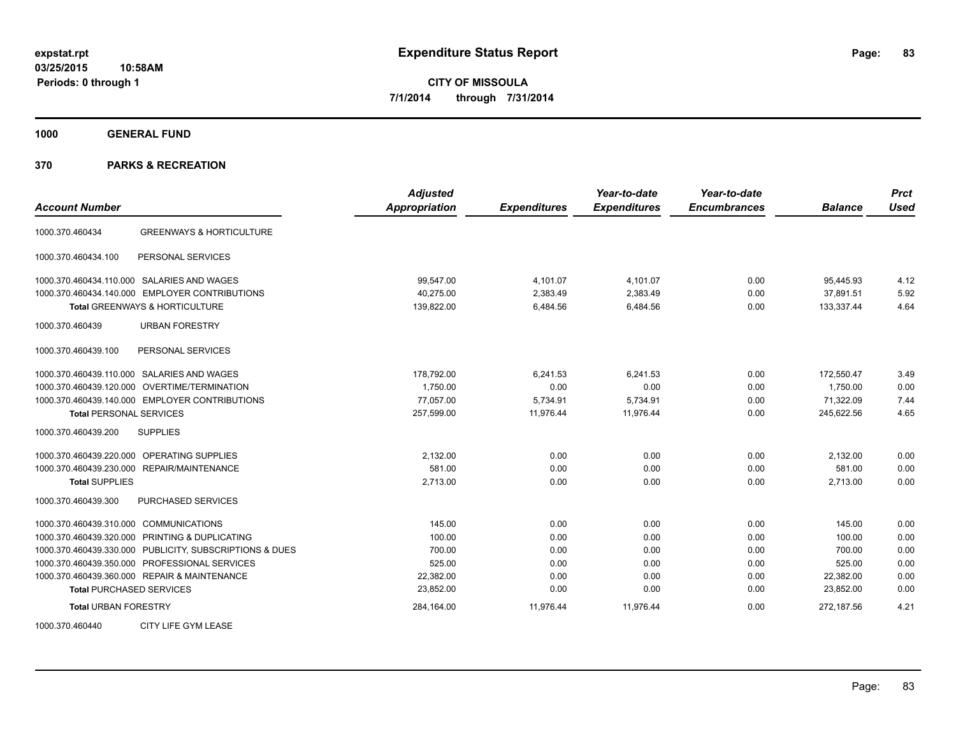**1000 GENERAL FUND**

| <b>Account Number</b>                                   | <b>Adjusted</b><br><b>Appropriation</b> | <b>Expenditures</b> | Year-to-date<br><b>Expenditures</b> | Year-to-date<br><b>Encumbrances</b> | <b>Balance</b> | <b>Prct</b><br><b>Used</b> |
|---------------------------------------------------------|-----------------------------------------|---------------------|-------------------------------------|-------------------------------------|----------------|----------------------------|
| <b>GREENWAYS &amp; HORTICULTURE</b><br>1000.370.460434  |                                         |                     |                                     |                                     |                |                            |
| 1000.370.460434.100<br>PERSONAL SERVICES                |                                         |                     |                                     |                                     |                |                            |
| 1000.370.460434.110.000 SALARIES AND WAGES              | 99,547.00                               | 4,101.07            | 4,101.07                            | 0.00                                | 95,445.93      | 4.12                       |
| 1000.370.460434.140.000 EMPLOYER CONTRIBUTIONS          | 40.275.00                               | 2,383.49            | 2,383.49                            | 0.00                                | 37.891.51      | 5.92                       |
| Total GREENWAYS & HORTICULTURE                          | 139,822.00                              | 6,484.56            | 6,484.56                            | 0.00                                | 133,337.44     | 4.64                       |
| 1000.370.460439<br><b>URBAN FORESTRY</b>                |                                         |                     |                                     |                                     |                |                            |
| PERSONAL SERVICES<br>1000.370.460439.100                |                                         |                     |                                     |                                     |                |                            |
| 1000.370.460439.110.000 SALARIES AND WAGES              | 178,792.00                              | 6,241.53            | 6,241.53                            | 0.00                                | 172,550.47     | 3.49                       |
| 1000.370.460439.120.000 OVERTIME/TERMINATION            | 1.750.00                                | 0.00                | 0.00                                | 0.00                                | 1.750.00       | 0.00                       |
| 1000.370.460439.140.000 EMPLOYER CONTRIBUTIONS          | 77,057.00                               | 5,734.91            | 5,734.91                            | 0.00                                | 71,322.09      | 7.44                       |
| <b>Total PERSONAL SERVICES</b>                          | 257,599.00                              | 11,976.44           | 11,976.44                           | 0.00                                | 245,622.56     | 4.65                       |
| 1000.370.460439.200<br><b>SUPPLIES</b>                  |                                         |                     |                                     |                                     |                |                            |
| 1000.370.460439.220.000 OPERATING SUPPLIES              | 2,132.00                                | 0.00                | 0.00                                | 0.00                                | 2,132.00       | 0.00                       |
| 1000.370.460439.230.000 REPAIR/MAINTENANCE              | 581.00                                  | 0.00                | 0.00                                | 0.00                                | 581.00         | 0.00                       |
| <b>Total SUPPLIES</b>                                   | 2,713.00                                | 0.00                | 0.00                                | 0.00                                | 2,713.00       | 0.00                       |
| PURCHASED SERVICES<br>1000.370.460439.300               |                                         |                     |                                     |                                     |                |                            |
| 1000.370.460439.310.000 COMMUNICATIONS                  | 145.00                                  | 0.00                | 0.00                                | 0.00                                | 145.00         | 0.00                       |
| 1000.370.460439.320.000 PRINTING & DUPLICATING          | 100.00                                  | 0.00                | 0.00                                | 0.00                                | 100.00         | 0.00                       |
| 1000.370.460439.330.000 PUBLICITY, SUBSCRIPTIONS & DUES | 700.00                                  | 0.00                | 0.00                                | 0.00                                | 700.00         | 0.00                       |
| 1000.370.460439.350.000 PROFESSIONAL SERVICES           | 525.00                                  | 0.00                | 0.00                                | 0.00                                | 525.00         | 0.00                       |
| 1000.370.460439.360.000 REPAIR & MAINTENANCE            | 22.382.00                               | 0.00                | 0.00                                | 0.00                                | 22,382.00      | 0.00                       |
| <b>Total PURCHASED SERVICES</b>                         | 23,852.00                               | 0.00                | 0.00                                | 0.00                                | 23,852.00      | 0.00                       |
| <b>Total URBAN FORESTRY</b>                             | 284,164.00                              | 11,976.44           | 11,976.44                           | 0.00                                | 272,187.56     | 4.21                       |
| CITY LIFE GYM LEASE<br>1000.370.460440                  |                                         |                     |                                     |                                     |                |                            |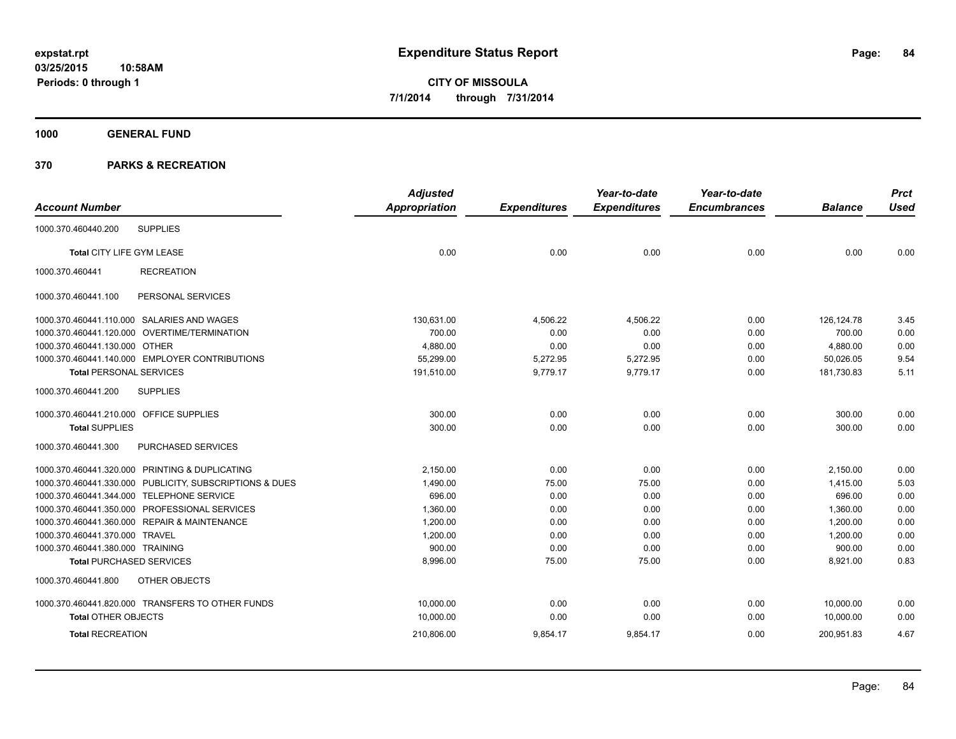**1000 GENERAL FUND**

|                                         |                                                         | <b>Adjusted</b> |                     | Year-to-date        | Year-to-date        |                | <b>Prct</b> |
|-----------------------------------------|---------------------------------------------------------|-----------------|---------------------|---------------------|---------------------|----------------|-------------|
| <b>Account Number</b>                   |                                                         | Appropriation   | <b>Expenditures</b> | <b>Expenditures</b> | <b>Encumbrances</b> | <b>Balance</b> | <b>Used</b> |
| 1000.370.460440.200                     | <b>SUPPLIES</b>                                         |                 |                     |                     |                     |                |             |
| <b>Total CITY LIFE GYM LEASE</b>        |                                                         | 0.00            | 0.00                | 0.00                | 0.00                | 0.00           | 0.00        |
| 1000.370.460441                         | <b>RECREATION</b>                                       |                 |                     |                     |                     |                |             |
| 1000.370.460441.100                     | PERSONAL SERVICES                                       |                 |                     |                     |                     |                |             |
|                                         | 1000.370.460441.110.000 SALARIES AND WAGES              | 130,631.00      | 4,506.22            | 4,506.22            | 0.00                | 126, 124. 78   | 3.45        |
|                                         | 1000.370.460441.120.000 OVERTIME/TERMINATION            | 700.00          | 0.00                | 0.00                | 0.00                | 700.00         | 0.00        |
| 1000.370.460441.130.000 OTHER           |                                                         | 4,880.00        | 0.00                | 0.00                | 0.00                | 4,880.00       | 0.00        |
|                                         | 1000.370.460441.140.000 EMPLOYER CONTRIBUTIONS          | 55,299.00       | 5,272.95            | 5,272.95            | 0.00                | 50,026.05      | 9.54        |
| <b>Total PERSONAL SERVICES</b>          |                                                         | 191,510.00      | 9,779.17            | 9,779.17            | 0.00                | 181,730.83     | 5.11        |
| 1000.370.460441.200                     | <b>SUPPLIES</b>                                         |                 |                     |                     |                     |                |             |
| 1000.370.460441.210.000 OFFICE SUPPLIES |                                                         | 300.00          | 0.00                | 0.00                | 0.00                | 300.00         | 0.00        |
| <b>Total SUPPLIES</b>                   |                                                         | 300.00          | 0.00                | 0.00                | 0.00                | 300.00         | 0.00        |
| 1000.370.460441.300                     | PURCHASED SERVICES                                      |                 |                     |                     |                     |                |             |
|                                         | 1000.370.460441.320.000 PRINTING & DUPLICATING          | 2,150.00        | 0.00                | 0.00                | 0.00                | 2,150.00       | 0.00        |
|                                         | 1000.370.460441.330.000 PUBLICITY, SUBSCRIPTIONS & DUES | 1,490.00        | 75.00               | 75.00               | 0.00                | 1,415.00       | 5.03        |
|                                         | 1000.370.460441.344.000 TELEPHONE SERVICE               | 696.00          | 0.00                | 0.00                | 0.00                | 696.00         | 0.00        |
|                                         | 1000.370.460441.350.000 PROFESSIONAL SERVICES           | 1,360.00        | 0.00                | 0.00                | 0.00                | 1,360.00       | 0.00        |
|                                         | 1000.370.460441.360.000 REPAIR & MAINTENANCE            | 1,200.00        | 0.00                | 0.00                | 0.00                | 1,200.00       | 0.00        |
| 1000.370.460441.370.000 TRAVEL          |                                                         | 1,200.00        | 0.00                | 0.00                | 0.00                | 1,200.00       | 0.00        |
| 1000.370.460441.380.000 TRAINING        |                                                         | 900.00          | 0.00                | 0.00                | 0.00                | 900.00         | 0.00        |
| <b>Total PURCHASED SERVICES</b>         |                                                         | 8,996.00        | 75.00               | 75.00               | 0.00                | 8,921.00       | 0.83        |
| 1000.370.460441.800                     | OTHER OBJECTS                                           |                 |                     |                     |                     |                |             |
|                                         | 1000.370.460441.820.000 TRANSFERS TO OTHER FUNDS        | 10,000.00       | 0.00                | 0.00                | 0.00                | 10,000.00      | 0.00        |
| <b>Total OTHER OBJECTS</b>              |                                                         | 10,000.00       | 0.00                | 0.00                | 0.00                | 10,000.00      | 0.00        |
| <b>Total RECREATION</b>                 |                                                         | 210,806.00      | 9,854.17            | 9,854.17            | 0.00                | 200,951.83     | 4.67        |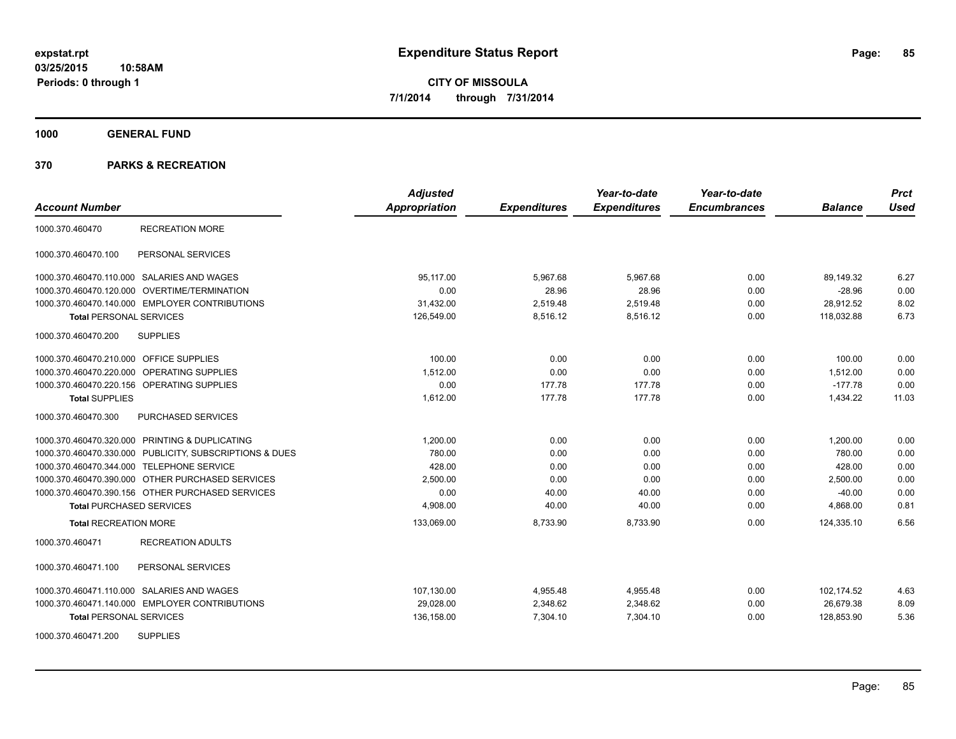**1000 GENERAL FUND**

|                                                         | <b>Adjusted</b> |                     | Year-to-date        | Year-to-date        |                | <b>Prct</b> |
|---------------------------------------------------------|-----------------|---------------------|---------------------|---------------------|----------------|-------------|
| <b>Account Number</b>                                   | Appropriation   | <b>Expenditures</b> | <b>Expenditures</b> | <b>Encumbrances</b> | <b>Balance</b> | <b>Used</b> |
| <b>RECREATION MORE</b><br>1000.370.460470               |                 |                     |                     |                     |                |             |
| PERSONAL SERVICES<br>1000.370.460470.100                |                 |                     |                     |                     |                |             |
| 1000.370.460470.110.000 SALARIES AND WAGES              | 95,117.00       | 5,967.68            | 5,967.68            | 0.00                | 89,149.32      | 6.27        |
| 1000.370.460470.120.000 OVERTIME/TERMINATION            | 0.00            | 28.96               | 28.96               | 0.00                | $-28.96$       | 0.00        |
| 1000.370.460470.140.000 EMPLOYER CONTRIBUTIONS          | 31,432.00       | 2,519.48            | 2,519.48            | 0.00                | 28,912.52      | 8.02        |
| <b>Total PERSONAL SERVICES</b>                          | 126,549.00      | 8,516.12            | 8,516.12            | 0.00                | 118,032.88     | 6.73        |
| 1000.370.460470.200<br><b>SUPPLIES</b>                  |                 |                     |                     |                     |                |             |
| 1000.370.460470.210.000 OFFICE SUPPLIES                 | 100.00          | 0.00                | 0.00                | 0.00                | 100.00         | 0.00        |
| 1000.370.460470.220.000 OPERATING SUPPLIES              | 1,512.00        | 0.00                | 0.00                | 0.00                | 1,512.00       | 0.00        |
| 1000.370.460470.220.156 OPERATING SUPPLIES              | 0.00            | 177.78              | 177.78              | 0.00                | $-177.78$      | 0.00        |
| <b>Total SUPPLIES</b>                                   | 1,612.00        | 177.78              | 177.78              | 0.00                | 1,434.22       | 11.03       |
| 1000.370.460470.300<br>PURCHASED SERVICES               |                 |                     |                     |                     |                |             |
| 1000.370.460470.320.000 PRINTING & DUPLICATING          | 1,200.00        | 0.00                | 0.00                | 0.00                | 1,200.00       | 0.00        |
| 1000.370.460470.330.000 PUBLICITY, SUBSCRIPTIONS & DUES | 780.00          | 0.00                | 0.00                | 0.00                | 780.00         | 0.00        |
| 1000.370.460470.344.000 TELEPHONE SERVICE               | 428.00          | 0.00                | 0.00                | 0.00                | 428.00         | 0.00        |
| 1000.370.460470.390.000 OTHER PURCHASED SERVICES        | 2,500.00        | 0.00                | 0.00                | 0.00                | 2,500.00       | 0.00        |
| 1000.370.460470.390.156 OTHER PURCHASED SERVICES        | 0.00            | 40.00               | 40.00               | 0.00                | $-40.00$       | 0.00        |
| <b>Total PURCHASED SERVICES</b>                         | 4,908.00        | 40.00               | 40.00               | 0.00                | 4,868.00       | 0.81        |
| <b>Total RECREATION MORE</b>                            | 133,069.00      | 8,733.90            | 8,733.90            | 0.00                | 124,335.10     | 6.56        |
| 1000.370.460471<br><b>RECREATION ADULTS</b>             |                 |                     |                     |                     |                |             |
| PERSONAL SERVICES<br>1000.370.460471.100                |                 |                     |                     |                     |                |             |
| 1000.370.460471.110.000 SALARIES AND WAGES              | 107,130.00      | 4,955.48            | 4,955.48            | 0.00                | 102,174.52     | 4.63        |
| 1000.370.460471.140.000 EMPLOYER CONTRIBUTIONS          | 29,028.00       | 2,348.62            | 2,348.62            | 0.00                | 26,679.38      | 8.09        |
| <b>Total PERSONAL SERVICES</b>                          | 136,158.00      | 7,304.10            | 7,304.10            | 0.00                | 128,853.90     | 5.36        |
| <b>SUPPLIES</b><br>1000.370.460471.200                  |                 |                     |                     |                     |                |             |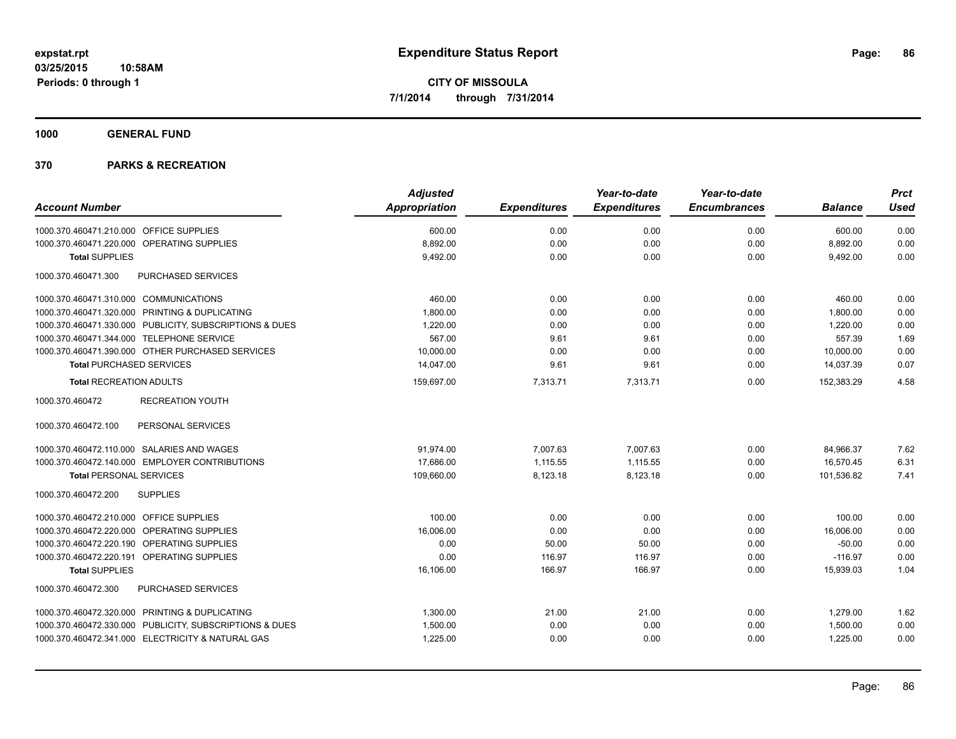**1000 GENERAL FUND**

|                                                         | <b>Adjusted</b> |                     | Year-to-date        | Year-to-date        |                | <b>Prct</b> |
|---------------------------------------------------------|-----------------|---------------------|---------------------|---------------------|----------------|-------------|
| <b>Account Number</b>                                   | Appropriation   | <b>Expenditures</b> | <b>Expenditures</b> | <b>Encumbrances</b> | <b>Balance</b> | <b>Used</b> |
| 1000.370.460471.210.000 OFFICE SUPPLIES                 | 600.00          | 0.00                | 0.00                | 0.00                | 600.00         | 0.00        |
| 1000.370.460471.220.000 OPERATING SUPPLIES              | 8,892.00        | 0.00                | 0.00                | 0.00                | 8,892.00       | 0.00        |
| <b>Total SUPPLIES</b>                                   | 9,492.00        | 0.00                | 0.00                | 0.00                | 9,492.00       | 0.00        |
| 1000.370.460471.300<br>PURCHASED SERVICES               |                 |                     |                     |                     |                |             |
| 1000.370.460471.310.000 COMMUNICATIONS                  | 460.00          | 0.00                | 0.00                | 0.00                | 460.00         | 0.00        |
| 1000.370.460471.320.000 PRINTING & DUPLICATING          | 1,800.00        | 0.00                | 0.00                | 0.00                | 1,800.00       | 0.00        |
| 1000.370.460471.330.000 PUBLICITY, SUBSCRIPTIONS & DUES | 1,220.00        | 0.00                | 0.00                | 0.00                | 1,220.00       | 0.00        |
| 1000.370.460471.344.000 TELEPHONE SERVICE               | 567.00          | 9.61                | 9.61                | 0.00                | 557.39         | 1.69        |
| 1000.370.460471.390.000 OTHER PURCHASED SERVICES        | 10,000.00       | 0.00                | 0.00                | 0.00                | 10,000.00      | 0.00        |
| <b>Total PURCHASED SERVICES</b>                         | 14,047.00       | 9.61                | 9.61                | 0.00                | 14,037.39      | 0.07        |
| <b>Total RECREATION ADULTS</b>                          | 159,697.00      | 7,313.71            | 7,313.71            | 0.00                | 152,383.29     | 4.58        |
| 1000.370.460472<br><b>RECREATION YOUTH</b>              |                 |                     |                     |                     |                |             |
| PERSONAL SERVICES<br>1000.370.460472.100                |                 |                     |                     |                     |                |             |
| 1000.370.460472.110.000 SALARIES AND WAGES              | 91,974.00       | 7,007.63            | 7,007.63            | 0.00                | 84,966.37      | 7.62        |
| 1000.370.460472.140.000 EMPLOYER CONTRIBUTIONS          | 17,686.00       | 1,115.55            | 1,115.55            | 0.00                | 16,570.45      | 6.31        |
| <b>Total PERSONAL SERVICES</b>                          | 109,660.00      | 8,123.18            | 8,123.18            | 0.00                | 101,536.82     | 7.41        |
| 1000.370.460472.200<br><b>SUPPLIES</b>                  |                 |                     |                     |                     |                |             |
| 1000.370.460472.210.000 OFFICE SUPPLIES                 | 100.00          | 0.00                | 0.00                | 0.00                | 100.00         | 0.00        |
| 1000.370.460472.220.000 OPERATING SUPPLIES              | 16,006.00       | 0.00                | 0.00                | 0.00                | 16,006.00      | 0.00        |
| 1000.370.460472.220.190 OPERATING SUPPLIES              | 0.00            | 50.00               | 50.00               | 0.00                | $-50.00$       | 0.00        |
| 1000.370.460472.220.191 OPERATING SUPPLIES              | 0.00            | 116.97              | 116.97              | 0.00                | $-116.97$      | 0.00        |
| <b>Total SUPPLIES</b>                                   | 16,106.00       | 166.97              | 166.97              | 0.00                | 15,939.03      | 1.04        |
| PURCHASED SERVICES<br>1000.370.460472.300               |                 |                     |                     |                     |                |             |
| 1000.370.460472.320.000 PRINTING & DUPLICATING          | 1,300.00        | 21.00               | 21.00               | 0.00                | 1,279.00       | 1.62        |
| 1000.370.460472.330.000 PUBLICITY, SUBSCRIPTIONS & DUES | 1,500.00        | 0.00                | 0.00                | 0.00                | 1,500.00       | 0.00        |
| 1000.370.460472.341.000 ELECTRICITY & NATURAL GAS       | 1,225.00        | 0.00                | 0.00                | 0.00                | 1,225.00       | 0.00        |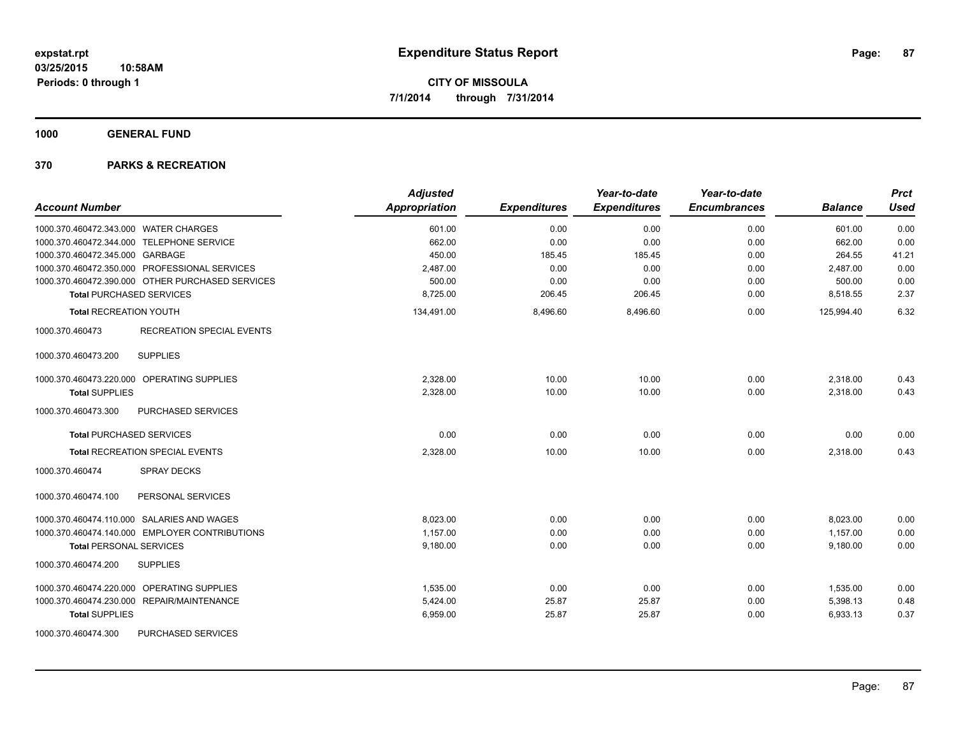**1000 GENERAL FUND**

| <b>Account Number</b>                               | <b>Adjusted</b><br>Appropriation | <b>Expenditures</b> | Year-to-date<br><b>Expenditures</b> | Year-to-date<br><b>Encumbrances</b> | <b>Balance</b> | <b>Prct</b><br><b>Used</b> |
|-----------------------------------------------------|----------------------------------|---------------------|-------------------------------------|-------------------------------------|----------------|----------------------------|
| 1000.370.460472.343.000 WATER CHARGES               | 601.00                           | 0.00                | 0.00                                | 0.00                                | 601.00         | 0.00                       |
| 1000.370.460472.344.000 TELEPHONE SERVICE           | 662.00                           | 0.00                | 0.00                                | 0.00                                | 662.00         | 0.00                       |
| 1000.370.460472.345.000 GARBAGE                     | 450.00                           | 185.45              | 185.45                              | 0.00                                | 264.55         | 41.21                      |
| 1000.370.460472.350.000 PROFESSIONAL SERVICES       | 2,487.00                         | 0.00                | 0.00                                | 0.00                                | 2,487.00       | 0.00                       |
| 1000.370.460472.390.000 OTHER PURCHASED SERVICES    | 500.00                           | 0.00                | 0.00                                | 0.00                                | 500.00         | 0.00                       |
| <b>Total PURCHASED SERVICES</b>                     | 8,725.00                         | 206.45              | 206.45                              | 0.00                                | 8,518.55       | 2.37                       |
| <b>Total RECREATION YOUTH</b>                       | 134,491.00                       | 8,496.60            | 8,496.60                            | 0.00                                | 125,994.40     | 6.32                       |
| 1000.370.460473<br><b>RECREATION SPECIAL EVENTS</b> |                                  |                     |                                     |                                     |                |                            |
| <b>SUPPLIES</b><br>1000.370.460473.200              |                                  |                     |                                     |                                     |                |                            |
| 1000.370.460473.220.000 OPERATING SUPPLIES          | 2,328.00                         | 10.00               | 10.00                               | 0.00                                | 2,318.00       | 0.43                       |
| <b>Total SUPPLIES</b>                               | 2,328.00                         | 10.00               | 10.00                               | 0.00                                | 2,318.00       | 0.43                       |
| 1000.370.460473.300<br>PURCHASED SERVICES           |                                  |                     |                                     |                                     |                |                            |
| <b>Total PURCHASED SERVICES</b>                     | 0.00                             | 0.00                | 0.00                                | 0.00                                | 0.00           | 0.00                       |
| <b>Total RECREATION SPECIAL EVENTS</b>              | 2,328.00                         | 10.00               | 10.00                               | 0.00                                | 2,318.00       | 0.43                       |
| 1000.370.460474<br><b>SPRAY DECKS</b>               |                                  |                     |                                     |                                     |                |                            |
| 1000.370.460474.100<br>PERSONAL SERVICES            |                                  |                     |                                     |                                     |                |                            |
| 1000.370.460474.110.000 SALARIES AND WAGES          | 8,023.00                         | 0.00                | 0.00                                | 0.00                                | 8,023.00       | 0.00                       |
| 1000.370.460474.140.000 EMPLOYER CONTRIBUTIONS      | 1,157.00                         | 0.00                | 0.00                                | 0.00                                | 1,157.00       | 0.00                       |
| <b>Total PERSONAL SERVICES</b>                      | 9,180.00                         | 0.00                | 0.00                                | 0.00                                | 9,180.00       | 0.00                       |
| 1000.370.460474.200<br><b>SUPPLIES</b>              |                                  |                     |                                     |                                     |                |                            |
| 1000.370.460474.220.000 OPERATING SUPPLIES          | 1.535.00                         | 0.00                | 0.00                                | 0.00                                | 1,535.00       | 0.00                       |
| 1000.370.460474.230.000 REPAIR/MAINTENANCE          | 5,424.00                         | 25.87               | 25.87                               | 0.00                                | 5,398.13       | 0.48                       |
| <b>Total SUPPLIES</b>                               | 6,959.00                         | 25.87               | 25.87                               | 0.00                                | 6,933.13       | 0.37                       |
| PURCHASED SERVICES<br>1000.370.460474.300           |                                  |                     |                                     |                                     |                |                            |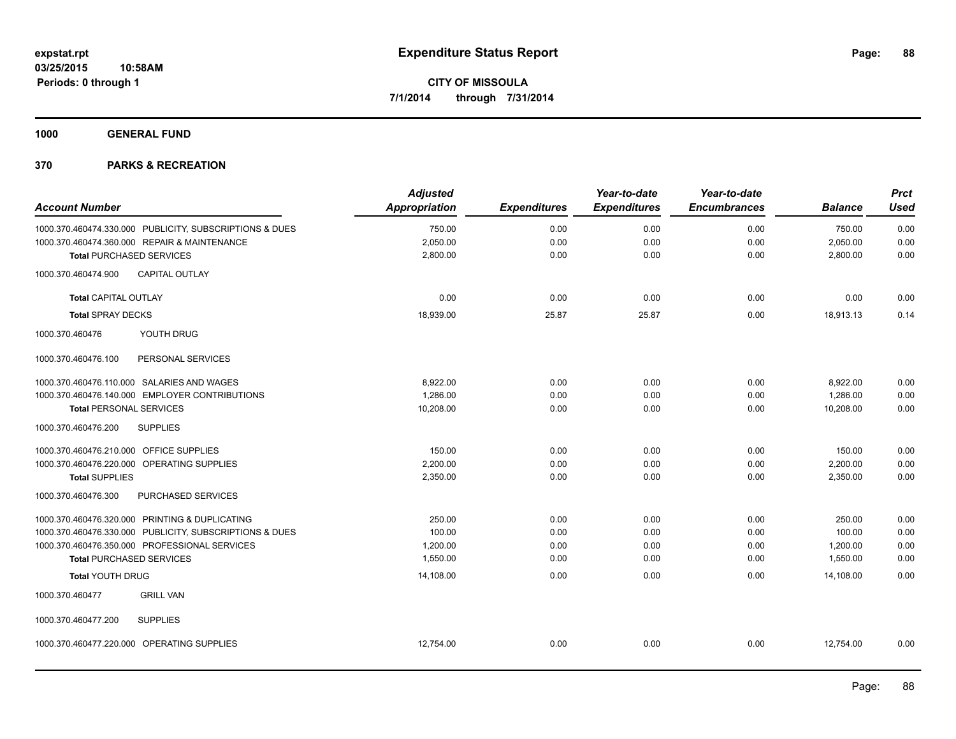**1000 GENERAL FUND**

| <b>Account Number</b>                          |                                                         | <b>Adjusted</b><br>Appropriation | <b>Expenditures</b> | Year-to-date<br><b>Expenditures</b> | Year-to-date<br><b>Encumbrances</b> | <b>Balance</b> | <b>Prct</b><br><b>Used</b> |
|------------------------------------------------|---------------------------------------------------------|----------------------------------|---------------------|-------------------------------------|-------------------------------------|----------------|----------------------------|
|                                                |                                                         |                                  |                     |                                     |                                     |                |                            |
|                                                | 1000.370.460474.330.000 PUBLICITY, SUBSCRIPTIONS & DUES | 750.00                           | 0.00                | 0.00                                | 0.00                                | 750.00         | 0.00                       |
| 1000.370.460474.360.000 REPAIR & MAINTENANCE   |                                                         | 2,050.00                         | 0.00                | 0.00                                | 0.00                                | 2,050.00       | 0.00                       |
| <b>Total PURCHASED SERVICES</b>                |                                                         | 2,800.00                         | 0.00                | 0.00                                | 0.00                                | 2,800.00       | 0.00                       |
| 1000.370.460474.900                            | <b>CAPITAL OUTLAY</b>                                   |                                  |                     |                                     |                                     |                |                            |
| <b>Total CAPITAL OUTLAY</b>                    |                                                         | 0.00                             | 0.00                | 0.00                                | 0.00                                | 0.00           | 0.00                       |
| <b>Total SPRAY DECKS</b>                       |                                                         | 18,939.00                        | 25.87               | 25.87                               | 0.00                                | 18,913.13      | 0.14                       |
| 1000.370.460476                                | YOUTH DRUG                                              |                                  |                     |                                     |                                     |                |                            |
| 1000.370.460476.100                            | PERSONAL SERVICES                                       |                                  |                     |                                     |                                     |                |                            |
| 1000.370.460476.110.000 SALARIES AND WAGES     |                                                         | 8,922.00                         | 0.00                | 0.00                                | 0.00                                | 8,922.00       | 0.00                       |
|                                                | 1000.370.460476.140.000 EMPLOYER CONTRIBUTIONS          | 1,286.00                         | 0.00                | 0.00                                | 0.00                                | 1,286.00       | 0.00                       |
| <b>Total PERSONAL SERVICES</b>                 |                                                         | 10,208.00                        | 0.00                | 0.00                                | 0.00                                | 10,208.00      | 0.00                       |
| 1000.370.460476.200                            | <b>SUPPLIES</b>                                         |                                  |                     |                                     |                                     |                |                            |
| 1000.370.460476.210.000 OFFICE SUPPLIES        |                                                         | 150.00                           | 0.00                | 0.00                                | 0.00                                | 150.00         | 0.00                       |
| 1000.370.460476.220.000 OPERATING SUPPLIES     |                                                         | 2,200.00                         | 0.00                | 0.00                                | 0.00                                | 2,200.00       | 0.00                       |
| <b>Total SUPPLIES</b>                          |                                                         | 2,350.00                         | 0.00                | 0.00                                | 0.00                                | 2,350.00       | 0.00                       |
| 1000.370.460476.300                            | PURCHASED SERVICES                                      |                                  |                     |                                     |                                     |                |                            |
| 1000.370.460476.320.000 PRINTING & DUPLICATING |                                                         | 250.00                           | 0.00                | 0.00                                | 0.00                                | 250.00         | 0.00                       |
|                                                | 1000.370.460476.330.000 PUBLICITY, SUBSCRIPTIONS & DUES | 100.00                           | 0.00                | 0.00                                | 0.00                                | 100.00         | 0.00                       |
| 1000.370.460476.350.000 PROFESSIONAL SERVICES  |                                                         | 1,200.00                         | 0.00                | 0.00                                | 0.00                                | 1,200.00       | 0.00                       |
| <b>Total PURCHASED SERVICES</b>                |                                                         | 1,550.00                         | 0.00                | 0.00                                | 0.00                                | 1,550.00       | 0.00                       |
| <b>Total YOUTH DRUG</b>                        |                                                         | 14,108.00                        | 0.00                | 0.00                                | 0.00                                | 14,108.00      | 0.00                       |
| 1000.370.460477                                | <b>GRILL VAN</b>                                        |                                  |                     |                                     |                                     |                |                            |
| 1000.370.460477.200                            | <b>SUPPLIES</b>                                         |                                  |                     |                                     |                                     |                |                            |
| 1000.370.460477.220.000 OPERATING SUPPLIES     |                                                         | 12.754.00                        | 0.00                | 0.00                                | 0.00                                | 12.754.00      | 0.00                       |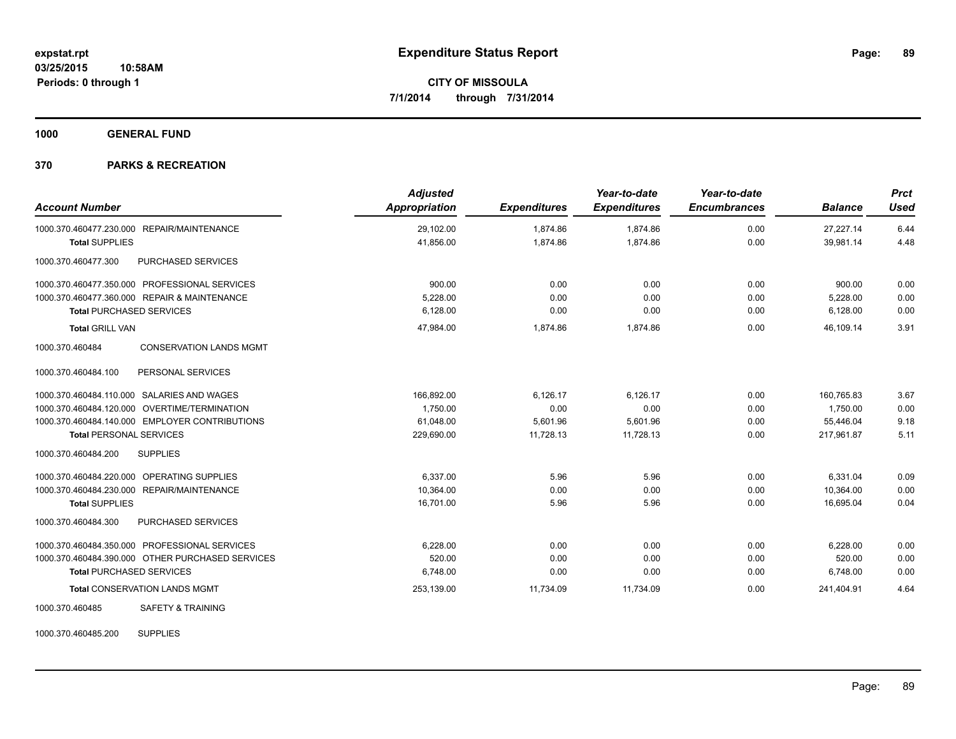**1000 GENERAL FUND**

#### **370 PARKS & RECREATION**

| <b>Account Number</b>           |                                                  | <b>Adjusted</b><br>Appropriation | <b>Expenditures</b> | Year-to-date<br><b>Expenditures</b> | Year-to-date<br><b>Encumbrances</b> | <b>Balance</b> | <b>Prct</b><br><b>Used</b> |
|---------------------------------|--------------------------------------------------|----------------------------------|---------------------|-------------------------------------|-------------------------------------|----------------|----------------------------|
|                                 | 1000.370.460477.230.000 REPAIR/MAINTENANCE       | 29,102.00                        | 1,874.86            | 1,874.86                            | 0.00                                | 27,227.14      | 6.44                       |
| <b>Total SUPPLIES</b>           |                                                  | 41,856.00                        | 1.874.86            | 1.874.86                            | 0.00                                | 39.981.14      | 4.48                       |
| 1000.370.460477.300             | PURCHASED SERVICES                               |                                  |                     |                                     |                                     |                |                            |
|                                 | 1000.370.460477.350.000 PROFESSIONAL SERVICES    | 900.00                           | 0.00                | 0.00                                | 0.00                                | 900.00         | 0.00                       |
|                                 | 1000.370.460477.360.000 REPAIR & MAINTENANCE     | 5,228.00                         | 0.00                | 0.00                                | 0.00                                | 5,228.00       | 0.00                       |
| <b>Total PURCHASED SERVICES</b> |                                                  | 6,128.00                         | 0.00                | 0.00                                | 0.00                                | 6,128.00       | 0.00                       |
| <b>Total GRILL VAN</b>          |                                                  | 47,984.00                        | 1,874.86            | 1,874.86                            | 0.00                                | 46,109.14      | 3.91                       |
| 1000.370.460484                 | <b>CONSERVATION LANDS MGMT</b>                   |                                  |                     |                                     |                                     |                |                            |
| 1000.370.460484.100             | PERSONAL SERVICES                                |                                  |                     |                                     |                                     |                |                            |
|                                 | 1000.370.460484.110.000 SALARIES AND WAGES       | 166,892.00                       | 6,126.17            | 6.126.17                            | 0.00                                | 160.765.83     | 3.67                       |
|                                 | 1000.370.460484.120.000 OVERTIME/TERMINATION     | 1,750.00                         | 0.00                | 0.00                                | 0.00                                | 1,750.00       | 0.00                       |
|                                 | 1000.370.460484.140.000 EMPLOYER CONTRIBUTIONS   | 61,048.00                        | 5,601.96            | 5,601.96                            | 0.00                                | 55,446.04      | 9.18                       |
| <b>Total PERSONAL SERVICES</b>  |                                                  | 229,690.00                       | 11,728.13           | 11,728.13                           | 0.00                                | 217,961.87     | 5.11                       |
| 1000.370.460484.200             | <b>SUPPLIES</b>                                  |                                  |                     |                                     |                                     |                |                            |
| 1000.370.460484.220.000         | <b>OPERATING SUPPLIES</b>                        | 6,337.00                         | 5.96                | 5.96                                | 0.00                                | 6,331.04       | 0.09                       |
|                                 | 1000.370.460484.230.000 REPAIR/MAINTENANCE       | 10,364.00                        | 0.00                | 0.00                                | 0.00                                | 10,364.00      | 0.00                       |
| <b>Total SUPPLIES</b>           |                                                  | 16.701.00                        | 5.96                | 5.96                                | 0.00                                | 16.695.04      | 0.04                       |
| 1000.370.460484.300             | PURCHASED SERVICES                               |                                  |                     |                                     |                                     |                |                            |
|                                 | 1000.370.460484.350.000 PROFESSIONAL SERVICES    | 6,228.00                         | 0.00                | 0.00                                | 0.00                                | 6,228.00       | 0.00                       |
|                                 | 1000.370.460484.390.000 OTHER PURCHASED SERVICES | 520.00                           | 0.00                | 0.00                                | 0.00                                | 520.00         | 0.00                       |
| <b>Total PURCHASED SERVICES</b> |                                                  | 6,748.00                         | 0.00                | 0.00                                | 0.00                                | 6,748.00       | 0.00                       |
|                                 | <b>Total CONSERVATION LANDS MGMT</b>             | 253,139.00                       | 11,734.09           | 11,734.09                           | 0.00                                | 241,404.91     | 4.64                       |
| 1000.370.460485                 | <b>SAFETY &amp; TRAINING</b>                     |                                  |                     |                                     |                                     |                |                            |

1000.370.460485.200 SUPPLIES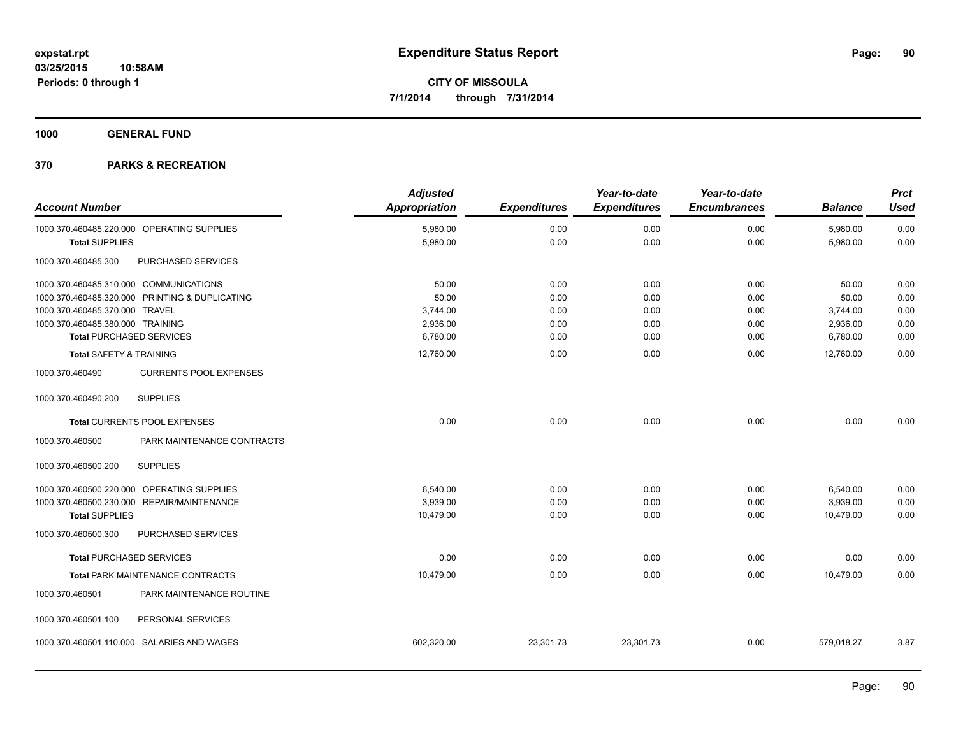**1000 GENERAL FUND**

| <b>Account Number</b>                  |                                                | <b>Adjusted</b><br><b>Appropriation</b> | <b>Expenditures</b> | Year-to-date<br><b>Expenditures</b> | Year-to-date<br><b>Encumbrances</b> | <b>Balance</b> | <b>Prct</b><br><b>Used</b> |
|----------------------------------------|------------------------------------------------|-----------------------------------------|---------------------|-------------------------------------|-------------------------------------|----------------|----------------------------|
|                                        | 1000.370.460485.220.000 OPERATING SUPPLIES     | 5,980.00                                | 0.00                | 0.00                                | 0.00                                | 5,980.00       | 0.00                       |
| <b>Total SUPPLIES</b>                  |                                                | 5,980.00                                | 0.00                | 0.00                                | 0.00                                | 5,980.00       | 0.00                       |
| 1000.370.460485.300                    | PURCHASED SERVICES                             |                                         |                     |                                     |                                     |                |                            |
| 1000.370.460485.310.000 COMMUNICATIONS |                                                | 50.00                                   | 0.00                | 0.00                                | 0.00                                | 50.00          | 0.00                       |
|                                        | 1000.370.460485.320.000 PRINTING & DUPLICATING | 50.00                                   | 0.00                | 0.00                                | 0.00                                | 50.00          | 0.00                       |
| 1000.370.460485.370.000 TRAVEL         |                                                | 3,744.00                                | 0.00                | 0.00                                | 0.00                                | 3,744.00       | 0.00                       |
| 1000.370.460485.380.000 TRAINING       |                                                | 2,936.00                                | 0.00                | 0.00                                | 0.00                                | 2,936.00       | 0.00                       |
| <b>Total PURCHASED SERVICES</b>        |                                                | 6,780.00                                | 0.00                | 0.00                                | 0.00                                | 6,780.00       | 0.00                       |
| <b>Total SAFETY &amp; TRAINING</b>     |                                                | 12,760.00                               | 0.00                | 0.00                                | 0.00                                | 12,760.00      | 0.00                       |
| 1000.370.460490                        | <b>CURRENTS POOL EXPENSES</b>                  |                                         |                     |                                     |                                     |                |                            |
| 1000.370.460490.200                    | <b>SUPPLIES</b>                                |                                         |                     |                                     |                                     |                |                            |
|                                        | <b>Total CURRENTS POOL EXPENSES</b>            | 0.00                                    | 0.00                | 0.00                                | 0.00                                | 0.00           | 0.00                       |
| 1000.370.460500                        | PARK MAINTENANCE CONTRACTS                     |                                         |                     |                                     |                                     |                |                            |
| 1000.370.460500.200                    | <b>SUPPLIES</b>                                |                                         |                     |                                     |                                     |                |                            |
| 1000.370.460500.220.000                | OPERATING SUPPLIES                             | 6,540.00                                | 0.00                | 0.00                                | 0.00                                | 6,540.00       | 0.00                       |
|                                        | 1000.370.460500.230.000 REPAIR/MAINTENANCE     | 3,939.00                                | 0.00                | 0.00                                | 0.00                                | 3,939.00       | 0.00                       |
| <b>Total SUPPLIES</b>                  |                                                | 10,479.00                               | 0.00                | 0.00                                | 0.00                                | 10,479.00      | 0.00                       |
| 1000.370.460500.300                    | PURCHASED SERVICES                             |                                         |                     |                                     |                                     |                |                            |
| <b>Total PURCHASED SERVICES</b>        |                                                | 0.00                                    | 0.00                | 0.00                                | 0.00                                | 0.00           | 0.00                       |
|                                        | <b>Total PARK MAINTENANCE CONTRACTS</b>        | 10,479.00                               | 0.00                | 0.00                                | 0.00                                | 10,479.00      | 0.00                       |
| 1000.370.460501                        | PARK MAINTENANCE ROUTINE                       |                                         |                     |                                     |                                     |                |                            |
| 1000.370.460501.100                    | PERSONAL SERVICES                              |                                         |                     |                                     |                                     |                |                            |
|                                        | 1000.370.460501.110.000 SALARIES AND WAGES     | 602,320.00                              | 23,301.73           | 23,301.73                           | 0.00                                | 579,018.27     | 3.87                       |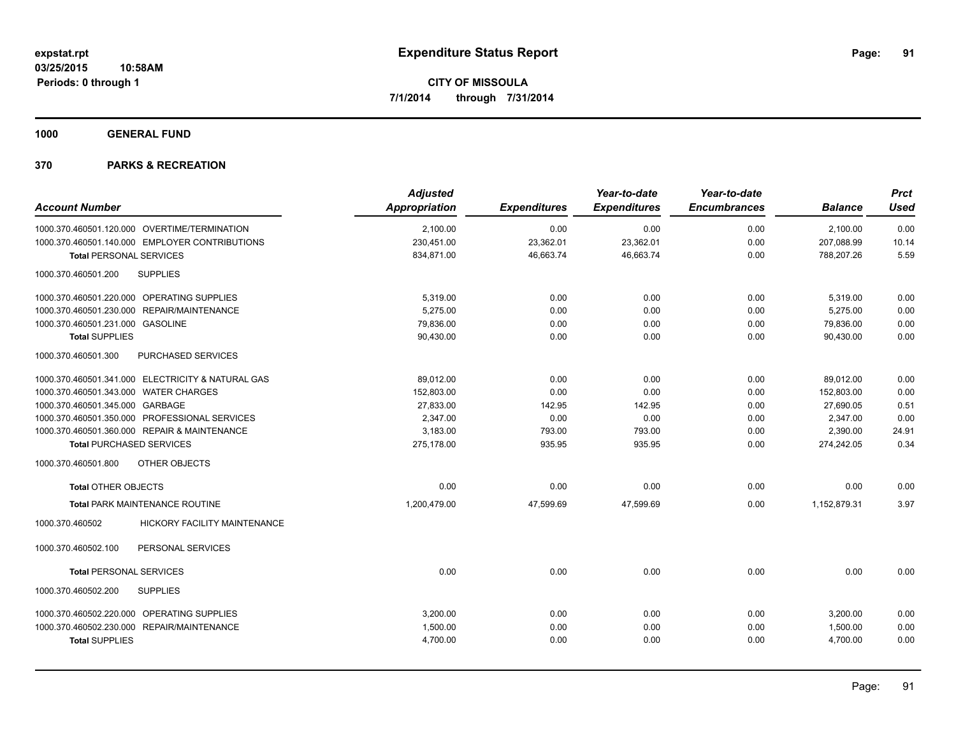**1000 GENERAL FUND**

|                                                   | <b>Adjusted</b>      |                     | Year-to-date        | Year-to-date        |                | <b>Prct</b> |
|---------------------------------------------------|----------------------|---------------------|---------------------|---------------------|----------------|-------------|
| <b>Account Number</b>                             | <b>Appropriation</b> | <b>Expenditures</b> | <b>Expenditures</b> | <b>Encumbrances</b> | <b>Balance</b> | <b>Used</b> |
| 1000.370.460501.120.000 OVERTIME/TERMINATION      | 2,100.00             | 0.00                | 0.00                | 0.00                | 2,100.00       | 0.00        |
| 1000.370.460501.140.000 EMPLOYER CONTRIBUTIONS    | 230,451.00           | 23,362.01           | 23,362.01           | 0.00                | 207,088.99     | 10.14       |
| <b>Total PERSONAL SERVICES</b>                    | 834,871.00           | 46,663.74           | 46,663.74           | 0.00                | 788,207.26     | 5.59        |
| 1000.370.460501.200<br><b>SUPPLIES</b>            |                      |                     |                     |                     |                |             |
| 1000.370.460501.220.000 OPERATING SUPPLIES        | 5,319.00             | 0.00                | 0.00                | 0.00                | 5,319.00       | 0.00        |
| 1000.370.460501.230.000 REPAIR/MAINTENANCE        | 5,275.00             | 0.00                | 0.00                | 0.00                | 5,275.00       | 0.00        |
| 1000.370.460501.231.000 GASOLINE                  | 79,836.00            | 0.00                | 0.00                | 0.00                | 79,836.00      | 0.00        |
| <b>Total SUPPLIES</b>                             | 90,430.00            | 0.00                | 0.00                | 0.00                | 90.430.00      | 0.00        |
| 1000.370.460501.300<br>PURCHASED SERVICES         |                      |                     |                     |                     |                |             |
| 1000.370.460501.341.000 ELECTRICITY & NATURAL GAS | 89,012.00            | 0.00                | 0.00                | 0.00                | 89,012.00      | 0.00        |
| 1000.370.460501.343.000 WATER CHARGES             | 152,803.00           | 0.00                | 0.00                | 0.00                | 152,803.00     | 0.00        |
| 1000.370.460501.345.000 GARBAGE                   | 27,833.00            | 142.95              | 142.95              | 0.00                | 27,690.05      | 0.51        |
| 1000.370.460501.350.000 PROFESSIONAL SERVICES     | 2,347.00             | 0.00                | 0.00                | 0.00                | 2,347.00       | 0.00        |
| 1000.370.460501.360.000 REPAIR & MAINTENANCE      | 3,183.00             | 793.00              | 793.00              | 0.00                | 2,390.00       | 24.91       |
| <b>Total PURCHASED SERVICES</b>                   | 275,178.00           | 935.95              | 935.95              | 0.00                | 274,242.05     | 0.34        |
| OTHER OBJECTS<br>1000.370.460501.800              |                      |                     |                     |                     |                |             |
| <b>Total OTHER OBJECTS</b>                        | 0.00                 | 0.00                | 0.00                | 0.00                | 0.00           | 0.00        |
| Total PARK MAINTENANCE ROUTINE                    | 1,200,479.00         | 47,599.69           | 47,599.69           | 0.00                | 1,152,879.31   | 3.97        |
| HICKORY FACILITY MAINTENANCE<br>1000.370.460502   |                      |                     |                     |                     |                |             |
| PERSONAL SERVICES<br>1000.370.460502.100          |                      |                     |                     |                     |                |             |
| <b>Total PERSONAL SERVICES</b>                    | 0.00                 | 0.00                | 0.00                | 0.00                | 0.00           | 0.00        |
| <b>SUPPLIES</b><br>1000.370.460502.200            |                      |                     |                     |                     |                |             |
| 1000.370.460502.220.000 OPERATING SUPPLIES        | 3,200.00             | 0.00                | 0.00                | 0.00                | 3,200.00       | 0.00        |
| 1000.370.460502.230.000 REPAIR/MAINTENANCE        | 1,500.00             | 0.00                | 0.00                | 0.00                | 1,500.00       | 0.00        |
| <b>Total SUPPLIES</b>                             | 4,700.00             | 0.00                | 0.00                | 0.00                | 4,700.00       | 0.00        |
|                                                   |                      |                     |                     |                     |                |             |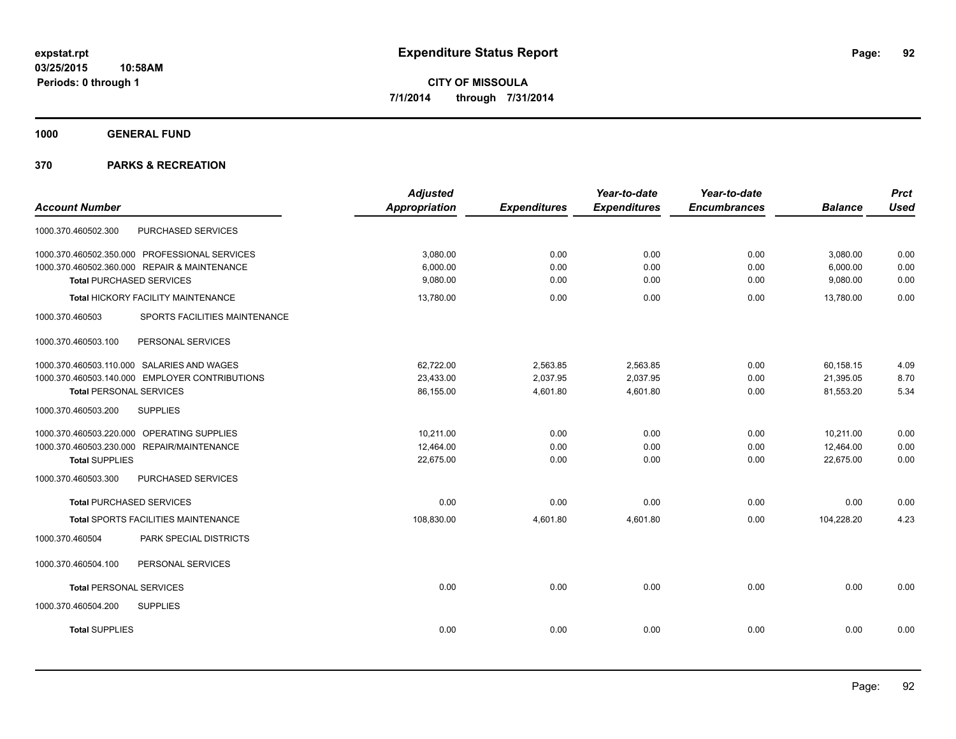**1000 GENERAL FUND**

|                                                  | <b>Adjusted</b> |                     | Year-to-date        | Year-to-date        |                | <b>Prct</b> |
|--------------------------------------------------|-----------------|---------------------|---------------------|---------------------|----------------|-------------|
| <b>Account Number</b>                            | Appropriation   | <b>Expenditures</b> | <b>Expenditures</b> | <b>Encumbrances</b> | <b>Balance</b> | <b>Used</b> |
| PURCHASED SERVICES<br>1000.370.460502.300        |                 |                     |                     |                     |                |             |
| 1000.370.460502.350.000 PROFESSIONAL SERVICES    | 3,080.00        | 0.00                | 0.00                | 0.00                | 3,080.00       | 0.00        |
| 1000.370.460502.360.000 REPAIR & MAINTENANCE     | 6,000.00        | 0.00                | 0.00                | 0.00                | 6,000.00       | 0.00        |
| <b>Total PURCHASED SERVICES</b>                  | 9,080.00        | 0.00                | 0.00                | 0.00                | 9,080.00       | 0.00        |
| Total HICKORY FACILITY MAINTENANCE               | 13,780.00       | 0.00                | 0.00                | 0.00                | 13,780.00      | 0.00        |
| 1000.370.460503<br>SPORTS FACILITIES MAINTENANCE |                 |                     |                     |                     |                |             |
| 1000.370.460503.100<br>PERSONAL SERVICES         |                 |                     |                     |                     |                |             |
| 1000.370.460503.110.000 SALARIES AND WAGES       | 62,722.00       | 2,563.85            | 2,563.85            | 0.00                | 60,158.15      | 4.09        |
| 1000.370.460503.140.000 EMPLOYER CONTRIBUTIONS   | 23,433.00       | 2,037.95            | 2,037.95            | 0.00                | 21,395.05      | 8.70        |
| <b>Total PERSONAL SERVICES</b>                   | 86,155.00       | 4,601.80            | 4,601.80            | 0.00                | 81,553.20      | 5.34        |
| 1000.370.460503.200<br><b>SUPPLIES</b>           |                 |                     |                     |                     |                |             |
| 1000.370.460503.220.000 OPERATING SUPPLIES       | 10.211.00       | 0.00                | 0.00                | 0.00                | 10.211.00      | 0.00        |
| 1000.370.460503.230.000 REPAIR/MAINTENANCE       | 12,464.00       | 0.00                | 0.00                | 0.00                | 12,464.00      | 0.00        |
| <b>Total SUPPLIES</b>                            | 22,675.00       | 0.00                | 0.00                | 0.00                | 22,675.00      | 0.00        |
| 1000.370.460503.300<br>PURCHASED SERVICES        |                 |                     |                     |                     |                |             |
| <b>Total PURCHASED SERVICES</b>                  | 0.00            | 0.00                | 0.00                | 0.00                | 0.00           | 0.00        |
| <b>Total SPORTS FACILITIES MAINTENANCE</b>       | 108,830.00      | 4,601.80            | 4,601.80            | 0.00                | 104,228.20     | 4.23        |
| 1000.370.460504<br>PARK SPECIAL DISTRICTS        |                 |                     |                     |                     |                |             |
| 1000.370.460504.100<br>PERSONAL SERVICES         |                 |                     |                     |                     |                |             |
| <b>Total PERSONAL SERVICES</b>                   | 0.00            | 0.00                | 0.00                | 0.00                | 0.00           | 0.00        |
| 1000.370.460504.200<br><b>SUPPLIES</b>           |                 |                     |                     |                     |                |             |
| <b>Total SUPPLIES</b>                            | 0.00            | 0.00                | 0.00                | 0.00                | 0.00           | 0.00        |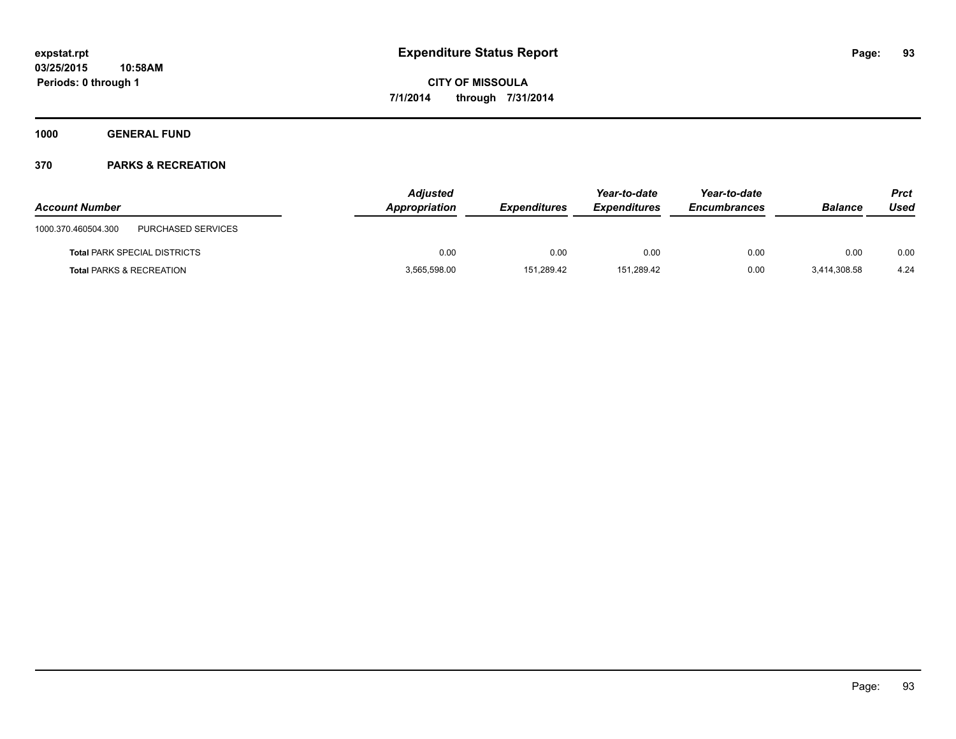**1000 GENERAL FUND**

| <b>Account Number</b>                     | <b>Adjusted</b><br>Appropriation | <b>Expenditures</b> | Year-to-date<br><b>Expenditures</b> | Year-to-date<br><b>Encumbrances</b> | <b>Balance</b> | Prct<br>Used |
|-------------------------------------------|----------------------------------|---------------------|-------------------------------------|-------------------------------------|----------------|--------------|
| PURCHASED SERVICES<br>1000.370.460504.300 |                                  |                     |                                     |                                     |                |              |
| <b>Total PARK SPECIAL DISTRICTS</b>       | 0.00                             | 0.00                | 0.00                                | 0.00                                | 0.00           | 0.00         |
| <b>Total PARKS &amp; RECREATION</b>       | 3,565,598.00                     | 151.289.42          | 151.289.42                          | 0.00                                | 3,414,308.58   | 4.24         |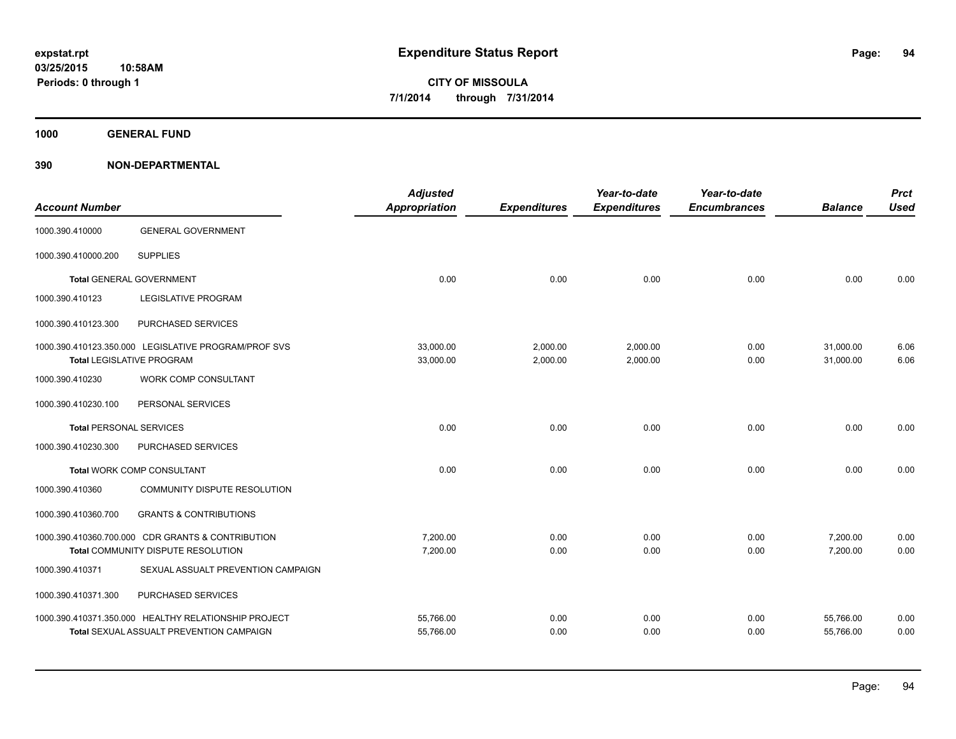**1000 GENERAL FUND**

| <b>Account Number</b>          |                                                                                          | <b>Adjusted</b><br>Appropriation | <b>Expenditures</b>  | Year-to-date<br><b>Expenditures</b> | Year-to-date<br><b>Encumbrances</b> | <b>Balance</b>         | <b>Prct</b><br><b>Used</b> |
|--------------------------------|------------------------------------------------------------------------------------------|----------------------------------|----------------------|-------------------------------------|-------------------------------------|------------------------|----------------------------|
| 1000.390.410000                | <b>GENERAL GOVERNMENT</b>                                                                |                                  |                      |                                     |                                     |                        |                            |
| 1000.390.410000.200            | <b>SUPPLIES</b>                                                                          |                                  |                      |                                     |                                     |                        |                            |
|                                | Total GENERAL GOVERNMENT                                                                 | 0.00                             | 0.00                 | 0.00                                | 0.00                                | 0.00                   | 0.00                       |
| 1000.390.410123                | <b>LEGISLATIVE PROGRAM</b>                                                               |                                  |                      |                                     |                                     |                        |                            |
| 1000.390.410123.300            | PURCHASED SERVICES                                                                       |                                  |                      |                                     |                                     |                        |                            |
|                                | 1000.390.410123.350.000 LEGISLATIVE PROGRAM/PROF SVS<br><b>Total LEGISLATIVE PROGRAM</b> | 33,000.00<br>33,000.00           | 2,000.00<br>2,000.00 | 2,000.00<br>2,000.00                | 0.00<br>0.00                        | 31,000.00<br>31,000.00 | 6.06<br>6.06               |
| 1000.390.410230                | <b>WORK COMP CONSULTANT</b>                                                              |                                  |                      |                                     |                                     |                        |                            |
| 1000.390.410230.100            | PERSONAL SERVICES                                                                        |                                  |                      |                                     |                                     |                        |                            |
| <b>Total PERSONAL SERVICES</b> |                                                                                          | 0.00                             | 0.00                 | 0.00                                | 0.00                                | 0.00                   | 0.00                       |
| 1000.390.410230.300            | PURCHASED SERVICES                                                                       |                                  |                      |                                     |                                     |                        |                            |
|                                | Total WORK COMP CONSULTANT                                                               | 0.00                             | 0.00                 | 0.00                                | 0.00                                | 0.00                   | 0.00                       |
| 1000.390.410360                | COMMUNITY DISPUTE RESOLUTION                                                             |                                  |                      |                                     |                                     |                        |                            |
| 1000.390.410360.700            | <b>GRANTS &amp; CONTRIBUTIONS</b>                                                        |                                  |                      |                                     |                                     |                        |                            |
|                                | 1000.390.410360.700.000 CDR GRANTS & CONTRIBUTION                                        | 7,200.00                         | 0.00                 | 0.00                                | 0.00                                | 7,200.00               | 0.00                       |
|                                | Total COMMUNITY DISPUTE RESOLUTION                                                       | 7,200.00                         | 0.00                 | 0.00                                | 0.00                                | 7,200.00               | 0.00                       |
| 1000.390.410371                | SEXUAL ASSUALT PREVENTION CAMPAIGN                                                       |                                  |                      |                                     |                                     |                        |                            |
| 1000.390.410371.300            | PURCHASED SERVICES                                                                       |                                  |                      |                                     |                                     |                        |                            |
|                                | 1000.390.410371.350.000 HEALTHY RELATIONSHIP PROJECT                                     | 55,766.00                        | 0.00                 | 0.00                                | 0.00                                | 55,766.00              | 0.00                       |
|                                | <b>Total SEXUAL ASSUALT PREVENTION CAMPAIGN</b>                                          | 55,766.00                        | 0.00                 | 0.00                                | 0.00                                | 55,766.00              | 0.00                       |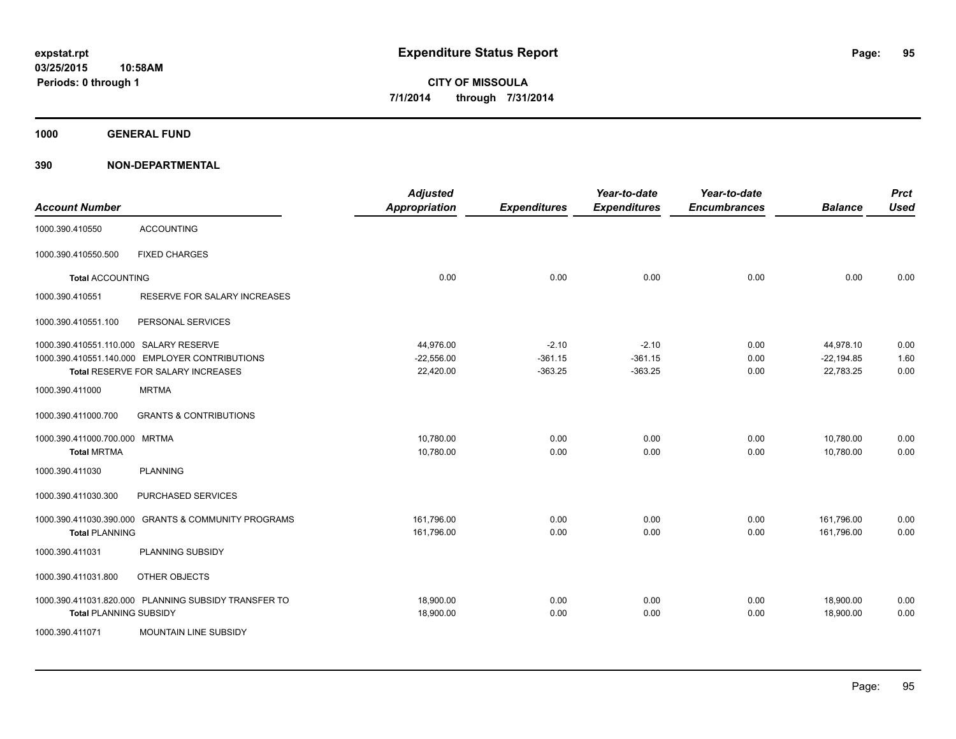**1000 GENERAL FUND**

| <b>Account Number</b>                  |                                                      | <b>Adjusted</b><br><b>Appropriation</b> | <b>Expenditures</b> | Year-to-date<br><b>Expenditures</b> | Year-to-date<br><b>Encumbrances</b> | <b>Balance</b> | <b>Prct</b><br><b>Used</b> |
|----------------------------------------|------------------------------------------------------|-----------------------------------------|---------------------|-------------------------------------|-------------------------------------|----------------|----------------------------|
| 1000.390.410550                        | <b>ACCOUNTING</b>                                    |                                         |                     |                                     |                                     |                |                            |
| 1000.390.410550.500                    | <b>FIXED CHARGES</b>                                 |                                         |                     |                                     |                                     |                |                            |
| <b>Total ACCOUNTING</b>                |                                                      | 0.00                                    | 0.00                | 0.00                                | 0.00                                | 0.00           | 0.00                       |
| 1000.390.410551                        | RESERVE FOR SALARY INCREASES                         |                                         |                     |                                     |                                     |                |                            |
| 1000.390.410551.100                    | PERSONAL SERVICES                                    |                                         |                     |                                     |                                     |                |                            |
| 1000.390.410551.110.000 SALARY RESERVE |                                                      | 44,976.00                               | $-2.10$             | $-2.10$                             | 0.00                                | 44,978.10      | 0.00                       |
|                                        | 1000.390.410551.140.000 EMPLOYER CONTRIBUTIONS       | $-22,556.00$                            | $-361.15$           | $-361.15$                           | 0.00                                | $-22,194.85$   | 1.60                       |
|                                        | Total RESERVE FOR SALARY INCREASES                   | 22,420.00                               | $-363.25$           | $-363.25$                           | 0.00                                | 22,783.25      | 0.00                       |
| 1000.390.411000                        | <b>MRTMA</b>                                         |                                         |                     |                                     |                                     |                |                            |
| 1000.390.411000.700                    | <b>GRANTS &amp; CONTRIBUTIONS</b>                    |                                         |                     |                                     |                                     |                |                            |
| 1000.390.411000.700.000 MRTMA          |                                                      | 10,780.00                               | 0.00                | 0.00                                | 0.00                                | 10,780.00      | 0.00                       |
| <b>Total MRTMA</b>                     |                                                      | 10,780.00                               | 0.00                | 0.00                                | 0.00                                | 10,780.00      | 0.00                       |
| 1000.390.411030                        | <b>PLANNING</b>                                      |                                         |                     |                                     |                                     |                |                            |
| 1000.390.411030.300                    | PURCHASED SERVICES                                   |                                         |                     |                                     |                                     |                |                            |
| 1000.390.411030.390.000                | <b>GRANTS &amp; COMMUNITY PROGRAMS</b>               | 161,796.00                              | 0.00                | 0.00                                | 0.00                                | 161,796.00     | 0.00                       |
| <b>Total PLANNING</b>                  |                                                      | 161,796.00                              | 0.00                | 0.00                                | 0.00                                | 161,796.00     | 0.00                       |
| 1000.390.411031                        | PLANNING SUBSIDY                                     |                                         |                     |                                     |                                     |                |                            |
| 1000.390.411031.800                    | OTHER OBJECTS                                        |                                         |                     |                                     |                                     |                |                            |
|                                        | 1000.390.411031.820.000 PLANNING SUBSIDY TRANSFER TO | 18,900.00                               | 0.00                | 0.00                                | 0.00                                | 18,900.00      | 0.00                       |
| <b>Total PLANNING SUBSIDY</b>          |                                                      | 18,900.00                               | 0.00                | 0.00                                | 0.00                                | 18,900.00      | 0.00                       |
| 1000.390.411071                        | <b>MOUNTAIN LINE SUBSIDY</b>                         |                                         |                     |                                     |                                     |                |                            |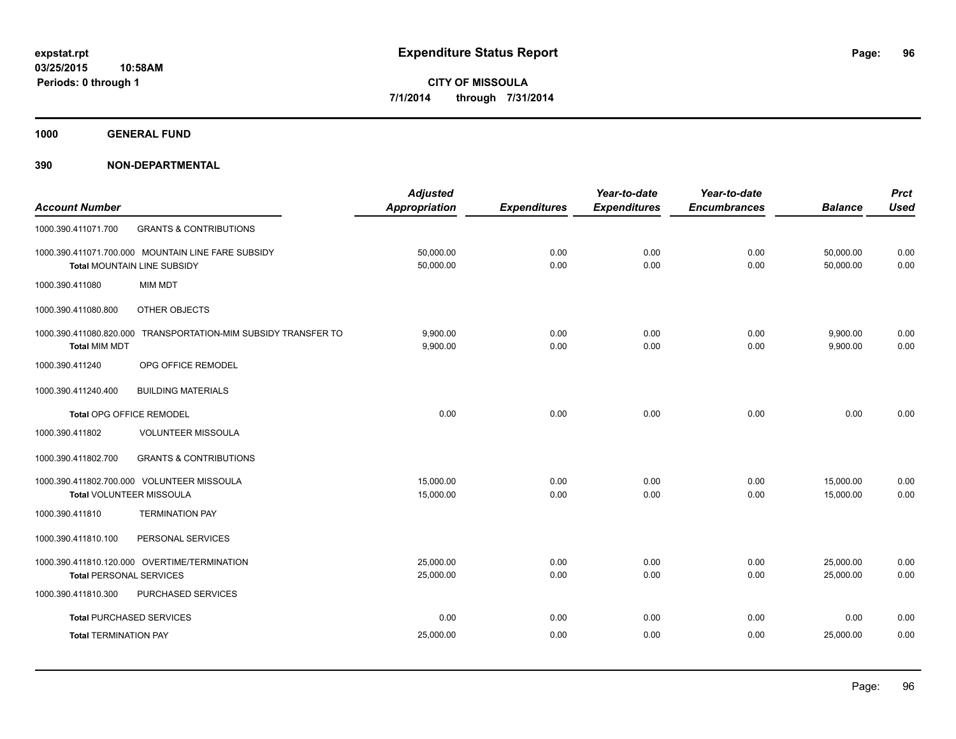**1000 GENERAL FUND**

|                                 |                                                                | <b>Adjusted</b>      |                     | Year-to-date        | Year-to-date        |                | <b>Prct</b> |
|---------------------------------|----------------------------------------------------------------|----------------------|---------------------|---------------------|---------------------|----------------|-------------|
| <b>Account Number</b>           |                                                                | <b>Appropriation</b> | <b>Expenditures</b> | <b>Expenditures</b> | <b>Encumbrances</b> | <b>Balance</b> | <b>Used</b> |
| 1000.390.411071.700             | <b>GRANTS &amp; CONTRIBUTIONS</b>                              |                      |                     |                     |                     |                |             |
|                                 | 1000.390.411071.700.000 MOUNTAIN LINE FARE SUBSIDY             | 50,000.00            | 0.00                | 0.00                | 0.00                | 50,000.00      | 0.00        |
|                                 | <b>Total MOUNTAIN LINE SUBSIDY</b>                             | 50,000.00            | 0.00                | 0.00                | 0.00                | 50,000.00      | 0.00        |
| 1000.390.411080                 | <b>MIM MDT</b>                                                 |                      |                     |                     |                     |                |             |
| 1000.390.411080.800             | OTHER OBJECTS                                                  |                      |                     |                     |                     |                |             |
|                                 | 1000.390.411080.820.000 TRANSPORTATION-MIM SUBSIDY TRANSFER TO | 9,900.00             | 0.00                | 0.00                | 0.00                | 9,900.00       | 0.00        |
| <b>Total MIM MDT</b>            |                                                                | 9,900.00             | 0.00                | 0.00                | 0.00                | 9,900.00       | 0.00        |
| 1000.390.411240                 | OPG OFFICE REMODEL                                             |                      |                     |                     |                     |                |             |
| 1000.390.411240.400             | <b>BUILDING MATERIALS</b>                                      |                      |                     |                     |                     |                |             |
| Total OPG OFFICE REMODEL        |                                                                | 0.00                 | 0.00                | 0.00                | 0.00                | 0.00           | 0.00        |
| 1000.390.411802                 | <b>VOLUNTEER MISSOULA</b>                                      |                      |                     |                     |                     |                |             |
| 1000.390.411802.700             | <b>GRANTS &amp; CONTRIBUTIONS</b>                              |                      |                     |                     |                     |                |             |
|                                 | 1000.390.411802.700.000 VOLUNTEER MISSOULA                     | 15,000.00            | 0.00                | 0.00                | 0.00                | 15,000.00      | 0.00        |
| Total VOLUNTEER MISSOULA        |                                                                | 15,000.00            | 0.00                | 0.00                | 0.00                | 15.000.00      | 0.00        |
| 1000.390.411810                 | <b>TERMINATION PAY</b>                                         |                      |                     |                     |                     |                |             |
| 1000.390.411810.100             | PERSONAL SERVICES                                              |                      |                     |                     |                     |                |             |
|                                 | 1000.390.411810.120.000 OVERTIME/TERMINATION                   | 25,000.00            | 0.00                | 0.00                | 0.00                | 25,000.00      | 0.00        |
| <b>Total PERSONAL SERVICES</b>  |                                                                | 25,000.00            | 0.00                | 0.00                | 0.00                | 25,000.00      | 0.00        |
| 1000.390.411810.300             | PURCHASED SERVICES                                             |                      |                     |                     |                     |                |             |
| <b>Total PURCHASED SERVICES</b> |                                                                | 0.00                 | 0.00                | 0.00                | 0.00                | 0.00           | 0.00        |
| <b>Total TERMINATION PAY</b>    |                                                                | 25,000.00            | 0.00                | 0.00                | 0.00                | 25,000.00      | 0.00        |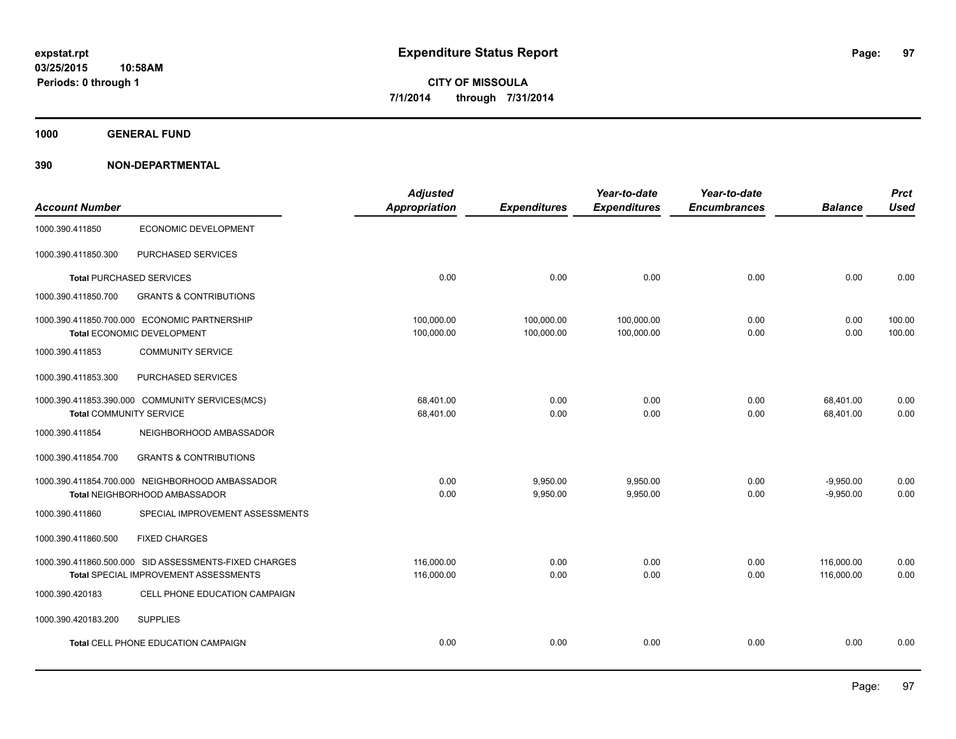**1000 GENERAL FUND**

|                                |                                                       | <b>Adjusted</b> |                     | Year-to-date        | Year-to-date        |                | <b>Prct</b> |
|--------------------------------|-------------------------------------------------------|-----------------|---------------------|---------------------|---------------------|----------------|-------------|
| <b>Account Number</b>          |                                                       | Appropriation   | <b>Expenditures</b> | <b>Expenditures</b> | <b>Encumbrances</b> | <b>Balance</b> | <b>Used</b> |
| 1000.390.411850                | ECONOMIC DEVELOPMENT                                  |                 |                     |                     |                     |                |             |
| 1000.390.411850.300            | PURCHASED SERVICES                                    |                 |                     |                     |                     |                |             |
|                                | <b>Total PURCHASED SERVICES</b>                       | 0.00            | 0.00                | 0.00                | 0.00                | 0.00           | 0.00        |
| 1000.390.411850.700            | <b>GRANTS &amp; CONTRIBUTIONS</b>                     |                 |                     |                     |                     |                |             |
|                                | 1000.390.411850.700.000 ECONOMIC PARTNERSHIP          | 100,000.00      | 100,000.00          | 100,000.00          | 0.00                | 0.00           | 100.00      |
|                                | Total ECONOMIC DEVELOPMENT                            | 100,000.00      | 100,000.00          | 100,000.00          | 0.00                | 0.00           | 100.00      |
| 1000.390.411853                | <b>COMMUNITY SERVICE</b>                              |                 |                     |                     |                     |                |             |
| 1000.390.411853.300            | PURCHASED SERVICES                                    |                 |                     |                     |                     |                |             |
|                                | 1000.390.411853.390.000 COMMUNITY SERVICES(MCS)       | 68.401.00       | 0.00                | 0.00                | 0.00                | 68,401.00      | 0.00        |
| <b>Total COMMUNITY SERVICE</b> |                                                       | 68,401.00       | 0.00                | 0.00                | 0.00                | 68,401.00      | 0.00        |
| 1000.390.411854                | NEIGHBORHOOD AMBASSADOR                               |                 |                     |                     |                     |                |             |
| 1000.390.411854.700            | <b>GRANTS &amp; CONTRIBUTIONS</b>                     |                 |                     |                     |                     |                |             |
|                                | 1000.390.411854.700.000 NEIGHBORHOOD AMBASSADOR       | 0.00            | 9,950.00            | 9,950.00            | 0.00                | $-9,950.00$    | 0.00        |
|                                | Total NEIGHBORHOOD AMBASSADOR                         | 0.00            | 9,950.00            | 9,950.00            | 0.00                | $-9,950.00$    | 0.00        |
| 1000.390.411860                | SPECIAL IMPROVEMENT ASSESSMENTS                       |                 |                     |                     |                     |                |             |
| 1000.390.411860.500            | <b>FIXED CHARGES</b>                                  |                 |                     |                     |                     |                |             |
|                                | 1000.390.411860.500.000 SID ASSESSMENTS-FIXED CHARGES | 116,000.00      | 0.00                | 0.00                | 0.00                | 116,000.00     | 0.00        |
|                                | Total SPECIAL IMPROVEMENT ASSESSMENTS                 | 116,000.00      | 0.00                | 0.00                | 0.00                | 116,000.00     | 0.00        |
| 1000.390.420183                | CELL PHONE EDUCATION CAMPAIGN                         |                 |                     |                     |                     |                |             |
| 1000.390.420183.200            | <b>SUPPLIES</b>                                       |                 |                     |                     |                     |                |             |
|                                | <b>Total CELL PHONE EDUCATION CAMPAIGN</b>            | 0.00            | 0.00                | 0.00                | 0.00                | 0.00           | 0.00        |
|                                |                                                       |                 |                     |                     |                     |                |             |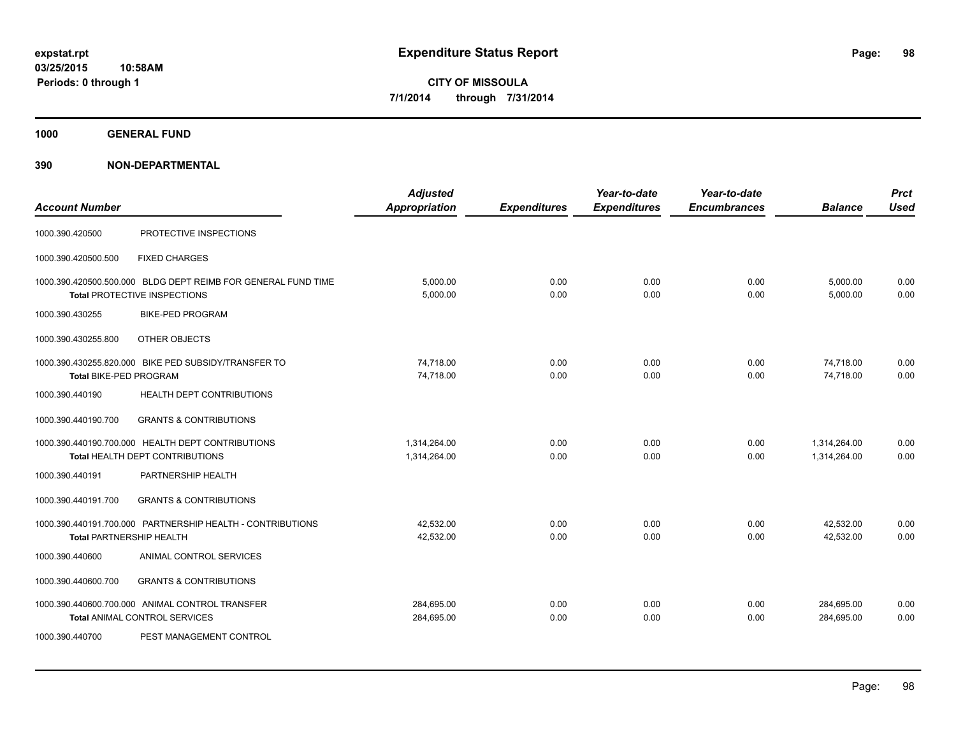**1000 GENERAL FUND**

| <b>Account Number</b>           |                                                                                                      | <b>Adjusted</b><br>Appropriation | <b>Expenditures</b> | Year-to-date<br><b>Expenditures</b> | Year-to-date<br><b>Encumbrances</b> | <b>Balance</b>               | <b>Prct</b><br><b>Used</b> |
|---------------------------------|------------------------------------------------------------------------------------------------------|----------------------------------|---------------------|-------------------------------------|-------------------------------------|------------------------------|----------------------------|
| 1000.390.420500                 | PROTECTIVE INSPECTIONS                                                                               |                                  |                     |                                     |                                     |                              |                            |
| 1000.390.420500.500             | <b>FIXED CHARGES</b>                                                                                 |                                  |                     |                                     |                                     |                              |                            |
|                                 | 1000.390.420500.500.000 BLDG DEPT REIMB FOR GENERAL FUND TIME<br><b>Total PROTECTIVE INSPECTIONS</b> | 5,000.00<br>5,000.00             | 0.00<br>0.00        | 0.00<br>0.00                        | 0.00<br>0.00                        | 5,000.00<br>5,000.00         | 0.00<br>0.00               |
| 1000.390.430255                 | <b>BIKE-PED PROGRAM</b>                                                                              |                                  |                     |                                     |                                     |                              |                            |
| 1000.390.430255.800             | OTHER OBJECTS                                                                                        |                                  |                     |                                     |                                     |                              |                            |
| Total BIKE-PED PROGRAM          | 1000.390.430255.820.000 BIKE PED SUBSIDY/TRANSFER TO                                                 | 74,718.00<br>74,718.00           | 0.00<br>0.00        | 0.00<br>0.00                        | 0.00<br>0.00                        | 74,718.00<br>74,718.00       | 0.00<br>0.00               |
| 1000.390.440190                 | HEALTH DEPT CONTRIBUTIONS                                                                            |                                  |                     |                                     |                                     |                              |                            |
| 1000.390.440190.700             | <b>GRANTS &amp; CONTRIBUTIONS</b>                                                                    |                                  |                     |                                     |                                     |                              |                            |
|                                 | 1000.390.440190.700.000 HEALTH DEPT CONTRIBUTIONS<br><b>Total HEALTH DEPT CONTRIBUTIONS</b>          | 1,314,264.00<br>1,314,264.00     | 0.00<br>0.00        | 0.00<br>0.00                        | 0.00<br>0.00                        | 1,314,264.00<br>1,314,264.00 | 0.00<br>0.00               |
| 1000.390.440191                 | PARTNERSHIP HEALTH                                                                                   |                                  |                     |                                     |                                     |                              |                            |
| 1000.390.440191.700             | <b>GRANTS &amp; CONTRIBUTIONS</b>                                                                    |                                  |                     |                                     |                                     |                              |                            |
| <b>Total PARTNERSHIP HEALTH</b> | 1000.390.440191.700.000 PARTNERSHIP HEALTH - CONTRIBUTIONS                                           | 42,532.00<br>42,532.00           | 0.00<br>0.00        | 0.00<br>0.00                        | 0.00<br>0.00                        | 42,532.00<br>42,532.00       | 0.00<br>0.00               |
| 1000.390.440600                 | ANIMAL CONTROL SERVICES                                                                              |                                  |                     |                                     |                                     |                              |                            |
| 1000.390.440600.700             | <b>GRANTS &amp; CONTRIBUTIONS</b>                                                                    |                                  |                     |                                     |                                     |                              |                            |
|                                 | 1000.390.440600.700.000 ANIMAL CONTROL TRANSFER<br>Total ANIMAL CONTROL SERVICES                     | 284,695.00<br>284,695.00         | 0.00<br>0.00        | 0.00<br>0.00                        | 0.00<br>0.00                        | 284,695.00<br>284,695.00     | 0.00<br>0.00               |
| 1000.390.440700                 | PEST MANAGEMENT CONTROL                                                                              |                                  |                     |                                     |                                     |                              |                            |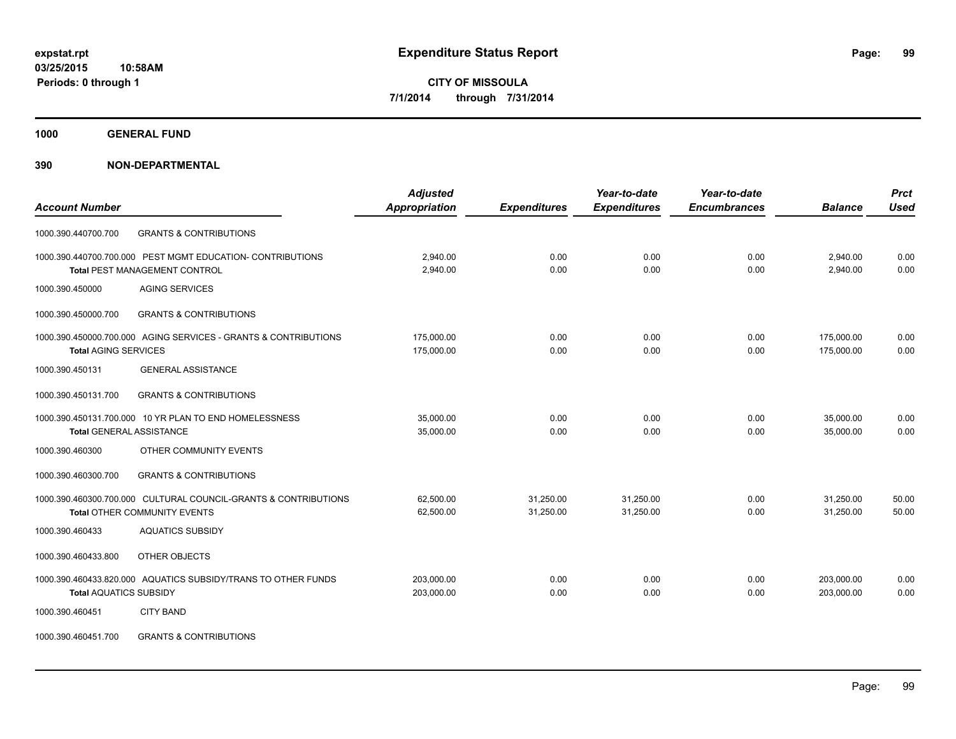**1000 GENERAL FUND**

| <b>Account Number</b>                                           | <b>Adjusted</b><br>Appropriation | <b>Expenditures</b> | Year-to-date<br><b>Expenditures</b> | Year-to-date<br><b>Encumbrances</b> | <b>Balance</b> | <b>Prct</b><br><b>Used</b> |
|-----------------------------------------------------------------|----------------------------------|---------------------|-------------------------------------|-------------------------------------|----------------|----------------------------|
|                                                                 |                                  |                     |                                     |                                     |                |                            |
| <b>GRANTS &amp; CONTRIBUTIONS</b><br>1000.390.440700.700        |                                  |                     |                                     |                                     |                |                            |
| 1000.390.440700.700.000 PEST MGMT EDUCATION- CONTRIBUTIONS      | 2,940.00                         | 0.00                | 0.00                                | 0.00                                | 2,940.00       | 0.00                       |
| <b>Total PEST MANAGEMENT CONTROL</b>                            | 2,940.00                         | 0.00                | 0.00                                | 0.00                                | 2,940.00       | 0.00                       |
| <b>AGING SERVICES</b><br>1000.390.450000                        |                                  |                     |                                     |                                     |                |                            |
| <b>GRANTS &amp; CONTRIBUTIONS</b><br>1000.390.450000.700        |                                  |                     |                                     |                                     |                |                            |
| 1000.390.450000.700.000 AGING SERVICES - GRANTS & CONTRIBUTIONS | 175,000.00                       | 0.00                | 0.00                                | 0.00                                | 175,000.00     | 0.00                       |
| <b>Total AGING SERVICES</b>                                     | 175,000.00                       | 0.00                | 0.00                                | 0.00                                | 175,000.00     | 0.00                       |
| 1000.390.450131<br><b>GENERAL ASSISTANCE</b>                    |                                  |                     |                                     |                                     |                |                            |
| <b>GRANTS &amp; CONTRIBUTIONS</b><br>1000.390.450131.700        |                                  |                     |                                     |                                     |                |                            |
| 1000.390.450131.700.000 10 YR PLAN TO END HOMELESSNESS          | 35,000.00                        | 0.00                | 0.00                                | 0.00                                | 35,000.00      | 0.00                       |
| <b>Total GENERAL ASSISTANCE</b>                                 | 35,000.00                        | 0.00                | 0.00                                | 0.00                                | 35,000.00      | 0.00                       |
| 1000.390.460300<br>OTHER COMMUNITY EVENTS                       |                                  |                     |                                     |                                     |                |                            |
| <b>GRANTS &amp; CONTRIBUTIONS</b><br>1000.390.460300.700        |                                  |                     |                                     |                                     |                |                            |
| 1000.390.460300.700.000 CULTURAL COUNCIL-GRANTS & CONTRIBUTIONS | 62,500.00                        | 31,250.00           | 31,250.00                           | 0.00                                | 31,250.00      | 50.00                      |
| <b>Total OTHER COMMUNITY EVENTS</b>                             | 62,500.00                        | 31,250.00           | 31.250.00                           | 0.00                                | 31.250.00      | 50.00                      |
| 1000.390.460433<br><b>AQUATICS SUBSIDY</b>                      |                                  |                     |                                     |                                     |                |                            |
| OTHER OBJECTS<br>1000.390.460433.800                            |                                  |                     |                                     |                                     |                |                            |
| 1000.390.460433.820.000 AQUATICS SUBSIDY/TRANS TO OTHER FUNDS   | 203,000.00                       | 0.00                | 0.00                                | 0.00                                | 203,000.00     | 0.00                       |
| <b>Total AQUATICS SUBSIDY</b>                                   | 203,000.00                       | 0.00                | 0.00                                | 0.00                                | 203,000.00     | 0.00                       |
| 1000.390.460451<br><b>CITY BAND</b>                             |                                  |                     |                                     |                                     |                |                            |
| <b>GRANTS &amp; CONTRIBUTIONS</b><br>1000.390.460451.700        |                                  |                     |                                     |                                     |                |                            |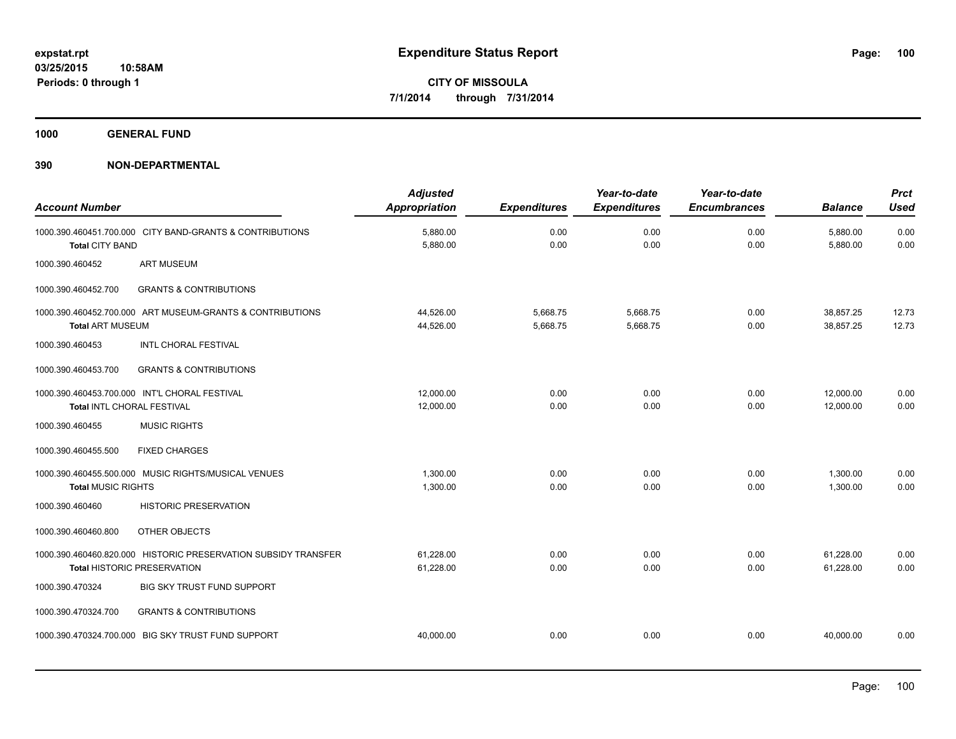**1000 GENERAL FUND**

| <b>Account Number</b>                                                              |                                                                | <b>Adjusted</b><br><b>Appropriation</b> | <b>Expenditures</b>  | Year-to-date<br><b>Expenditures</b> | Year-to-date<br><b>Encumbrances</b> | <b>Balance</b>         | <b>Prct</b><br><b>Used</b> |
|------------------------------------------------------------------------------------|----------------------------------------------------------------|-----------------------------------------|----------------------|-------------------------------------|-------------------------------------|------------------------|----------------------------|
| 1000.390.460451.700.000 CITY BAND-GRANTS & CONTRIBUTIONS<br><b>Total CITY BAND</b> |                                                                | 5,880.00<br>5,880.00                    | 0.00<br>0.00         | 0.00<br>0.00                        | 0.00<br>0.00                        | 5,880.00<br>5,880.00   | 0.00<br>0.00               |
| 1000.390.460452<br><b>ART MUSEUM</b>                                               |                                                                |                                         |                      |                                     |                                     |                        |                            |
| 1000.390.460452.700                                                                | <b>GRANTS &amp; CONTRIBUTIONS</b>                              |                                         |                      |                                     |                                     |                        |                            |
| <b>Total ART MUSEUM</b>                                                            | 1000.390.460452.700.000 ART MUSEUM-GRANTS & CONTRIBUTIONS      | 44,526.00<br>44,526.00                  | 5,668.75<br>5,668.75 | 5,668.75<br>5,668.75                | 0.00<br>0.00                        | 38,857.25<br>38,857.25 | 12.73<br>12.73             |
| 1000.390.460453                                                                    | <b>INTL CHORAL FESTIVAL</b>                                    |                                         |                      |                                     |                                     |                        |                            |
| 1000.390.460453.700                                                                | <b>GRANTS &amp; CONTRIBUTIONS</b>                              |                                         |                      |                                     |                                     |                        |                            |
| 1000.390.460453.700.000 INT'L CHORAL FESTIVAL<br>Total INTL CHORAL FESTIVAL        |                                                                | 12,000.00<br>12,000.00                  | 0.00<br>0.00         | 0.00<br>0.00                        | 0.00<br>0.00                        | 12,000.00<br>12,000.00 | 0.00<br>0.00               |
| 1000.390.460455<br><b>MUSIC RIGHTS</b>                                             |                                                                |                                         |                      |                                     |                                     |                        |                            |
| 1000.390.460455.500<br><b>FIXED CHARGES</b>                                        |                                                                |                                         |                      |                                     |                                     |                        |                            |
| 1000.390.460455.500.000 MUSIC RIGHTS/MUSICAL VENUES<br><b>Total MUSIC RIGHTS</b>   |                                                                | 1,300.00<br>1,300.00                    | 0.00<br>0.00         | 0.00<br>0.00                        | 0.00<br>0.00                        | 1,300.00<br>1,300.00   | 0.00<br>0.00               |
| 1000.390.460460                                                                    | <b>HISTORIC PRESERVATION</b>                                   |                                         |                      |                                     |                                     |                        |                            |
| OTHER OBJECTS<br>1000.390.460460.800                                               |                                                                |                                         |                      |                                     |                                     |                        |                            |
| <b>Total HISTORIC PRESERVATION</b>                                                 | 1000.390.460460.820.000 HISTORIC PRESERVATION SUBSIDY TRANSFER | 61,228.00<br>61,228.00                  | 0.00<br>0.00         | 0.00<br>0.00                        | 0.00<br>0.00                        | 61,228.00<br>61,228.00 | 0.00<br>0.00               |
| 1000.390.470324                                                                    | <b>BIG SKY TRUST FUND SUPPORT</b>                              |                                         |                      |                                     |                                     |                        |                            |
| 1000.390.470324.700                                                                | <b>GRANTS &amp; CONTRIBUTIONS</b>                              |                                         |                      |                                     |                                     |                        |                            |
| 1000.390.470324.700.000 BIG SKY TRUST FUND SUPPORT                                 |                                                                | 40,000.00                               | 0.00                 | 0.00                                | 0.00                                | 40.000.00              | 0.00                       |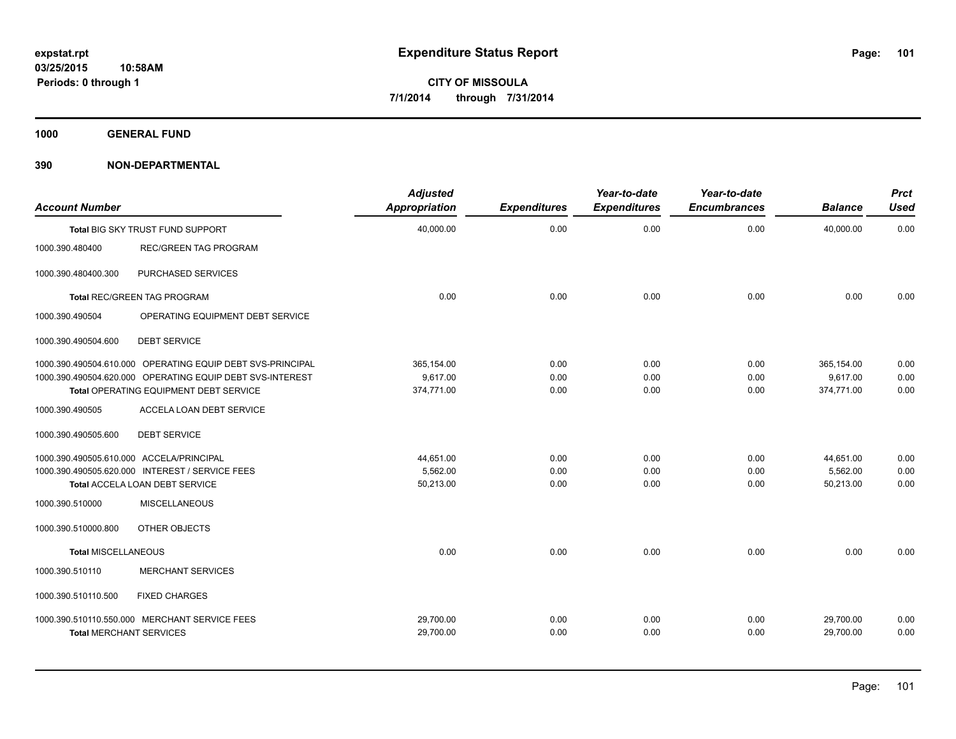**1000 GENERAL FUND**

| <b>Account Number</b>                    |                                                            | <b>Adjusted</b><br><b>Appropriation</b> | <b>Expenditures</b> | Year-to-date<br><b>Expenditures</b> | Year-to-date<br><b>Encumbrances</b> | <b>Balance</b> | <b>Prct</b><br><b>Used</b> |
|------------------------------------------|------------------------------------------------------------|-----------------------------------------|---------------------|-------------------------------------|-------------------------------------|----------------|----------------------------|
|                                          | Total BIG SKY TRUST FUND SUPPORT                           | 40,000.00                               | 0.00                | 0.00                                | 0.00                                | 40,000.00      | 0.00                       |
| 1000.390.480400                          | <b>REC/GREEN TAG PROGRAM</b>                               |                                         |                     |                                     |                                     |                |                            |
| 1000.390.480400.300                      | PURCHASED SERVICES                                         |                                         |                     |                                     |                                     |                |                            |
|                                          | <b>Total REC/GREEN TAG PROGRAM</b>                         | 0.00                                    | 0.00                | 0.00                                | 0.00                                | 0.00           | 0.00                       |
| 1000.390.490504                          | OPERATING EQUIPMENT DEBT SERVICE                           |                                         |                     |                                     |                                     |                |                            |
| 1000.390.490504.600                      | <b>DEBT SERVICE</b>                                        |                                         |                     |                                     |                                     |                |                            |
|                                          | 1000.390.490504.610.000 OPERATING EQUIP DEBT SVS-PRINCIPAL | 365,154.00                              | 0.00                | 0.00                                | 0.00                                | 365,154.00     | 0.00                       |
|                                          | 1000.390.490504.620.000 OPERATING EQUIP DEBT SVS-INTEREST  | 9,617.00                                | 0.00                | 0.00                                | 0.00                                | 9,617.00       | 0.00                       |
|                                          | Total OPERATING EQUIPMENT DEBT SERVICE                     | 374,771.00                              | 0.00                | 0.00                                | 0.00                                | 374,771.00     | 0.00                       |
| 1000.390.490505                          | ACCELA LOAN DEBT SERVICE                                   |                                         |                     |                                     |                                     |                |                            |
| 1000.390.490505.600                      | <b>DEBT SERVICE</b>                                        |                                         |                     |                                     |                                     |                |                            |
| 1000.390.490505.610.000 ACCELA/PRINCIPAL |                                                            | 44,651.00                               | 0.00                | 0.00                                | 0.00                                | 44,651.00      | 0.00                       |
|                                          | 1000.390.490505.620.000 INTEREST / SERVICE FEES            | 5,562.00                                | 0.00                | 0.00                                | 0.00                                | 5,562.00       | 0.00                       |
|                                          | Total ACCELA LOAN DEBT SERVICE                             | 50,213.00                               | 0.00                | 0.00                                | 0.00                                | 50,213.00      | 0.00                       |
| 1000.390.510000                          | <b>MISCELLANEOUS</b>                                       |                                         |                     |                                     |                                     |                |                            |
| 1000.390.510000.800                      | OTHER OBJECTS                                              |                                         |                     |                                     |                                     |                |                            |
| <b>Total MISCELLANEOUS</b>               |                                                            | 0.00                                    | 0.00                | 0.00                                | 0.00                                | 0.00           | 0.00                       |
| 1000.390.510110                          | <b>MERCHANT SERVICES</b>                                   |                                         |                     |                                     |                                     |                |                            |
| 1000.390.510110.500                      | <b>FIXED CHARGES</b>                                       |                                         |                     |                                     |                                     |                |                            |
|                                          | 1000.390.510110.550.000 MERCHANT SERVICE FEES              | 29,700.00                               | 0.00                | 0.00                                | 0.00                                | 29,700.00      | 0.00                       |
| <b>Total MERCHANT SERVICES</b>           |                                                            | 29,700.00                               | 0.00                | 0.00                                | 0.00                                | 29,700.00      | 0.00                       |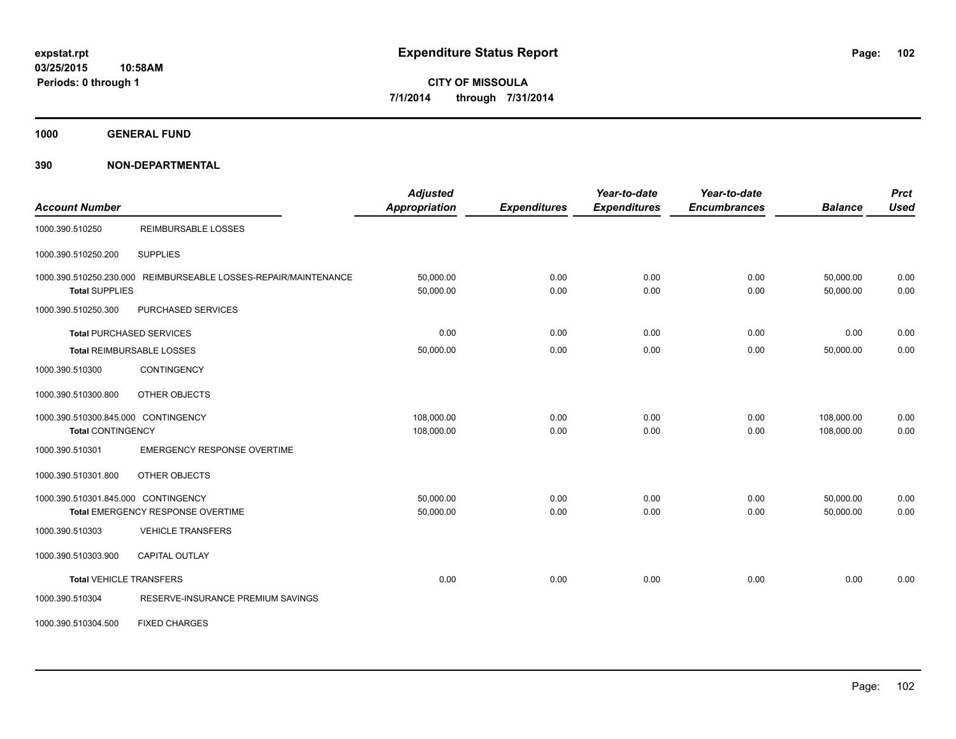**1000 GENERAL FUND**

| <b>Account Number</b>                                           |                                                                 | <b>Adjusted</b><br><b>Appropriation</b> | <b>Expenditures</b> | Year-to-date<br><b>Expenditures</b> | Year-to-date<br><b>Encumbrances</b> | <b>Balance</b>           | <b>Prct</b><br><b>Used</b> |
|-----------------------------------------------------------------|-----------------------------------------------------------------|-----------------------------------------|---------------------|-------------------------------------|-------------------------------------|--------------------------|----------------------------|
| 1000.390.510250                                                 | <b>REIMBURSABLE LOSSES</b>                                      |                                         |                     |                                     |                                     |                          |                            |
| 1000.390.510250.200                                             | <b>SUPPLIES</b>                                                 |                                         |                     |                                     |                                     |                          |                            |
| <b>Total SUPPLIES</b>                                           | 1000.390.510250.230.000 REIMBURSEABLE LOSSES-REPAIR/MAINTENANCE | 50,000.00<br>50,000.00                  | 0.00<br>0.00        | 0.00<br>0.00                        | 0.00<br>0.00                        | 50,000.00<br>50,000.00   | 0.00<br>0.00               |
| 1000.390.510250.300                                             | PURCHASED SERVICES                                              |                                         |                     |                                     |                                     |                          |                            |
|                                                                 | <b>Total PURCHASED SERVICES</b>                                 | 0.00                                    | 0.00                | 0.00                                | 0.00                                | 0.00                     | 0.00                       |
|                                                                 | Total REIMBURSABLE LOSSES                                       | 50,000.00                               | 0.00                | 0.00                                | 0.00                                | 50,000.00                | 0.00                       |
| 1000.390.510300                                                 | <b>CONTINGENCY</b>                                              |                                         |                     |                                     |                                     |                          |                            |
| 1000.390.510300.800                                             | OTHER OBJECTS                                                   |                                         |                     |                                     |                                     |                          |                            |
| 1000.390.510300.845.000 CONTINGENCY<br><b>Total CONTINGENCY</b> |                                                                 | 108,000.00<br>108,000.00                | 0.00<br>0.00        | 0.00<br>0.00                        | 0.00<br>0.00                        | 108,000.00<br>108,000.00 | 0.00<br>0.00               |
| 1000.390.510301                                                 | <b>EMERGENCY RESPONSE OVERTIME</b>                              |                                         |                     |                                     |                                     |                          |                            |
| 1000.390.510301.800                                             | OTHER OBJECTS                                                   |                                         |                     |                                     |                                     |                          |                            |
| 1000.390.510301.845.000 CONTINGENCY                             | Total EMERGENCY RESPONSE OVERTIME                               | 50,000.00<br>50,000.00                  | 0.00<br>0.00        | 0.00<br>0.00                        | 0.00<br>0.00                        | 50,000.00<br>50,000.00   | 0.00<br>0.00               |
| 1000.390.510303                                                 | <b>VEHICLE TRANSFERS</b>                                        |                                         |                     |                                     |                                     |                          |                            |
| 1000.390.510303.900                                             | <b>CAPITAL OUTLAY</b>                                           |                                         |                     |                                     |                                     |                          |                            |
| <b>Total VEHICLE TRANSFERS</b>                                  |                                                                 | 0.00                                    | 0.00                | 0.00                                | 0.00                                | 0.00                     | 0.00                       |
| 1000.390.510304                                                 | RESERVE-INSURANCE PREMIUM SAVINGS                               |                                         |                     |                                     |                                     |                          |                            |
| 1000.390.510304.500                                             | <b>FIXED CHARGES</b>                                            |                                         |                     |                                     |                                     |                          |                            |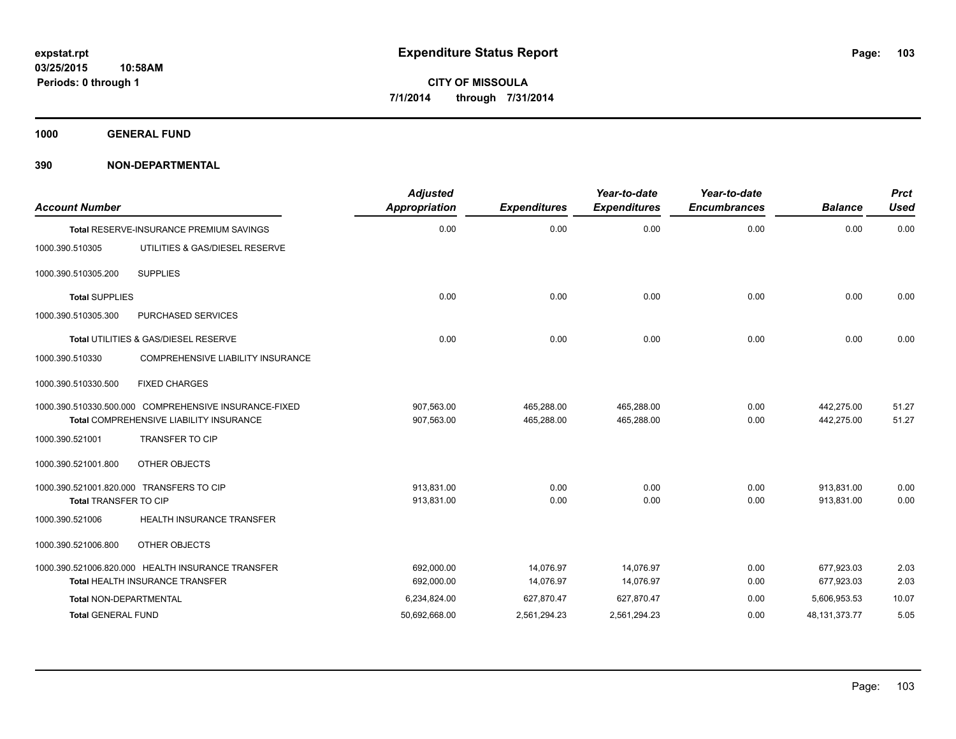**1000 GENERAL FUND**

| <b>Account Number</b>         |                                                       | <b>Adjusted</b><br><b>Appropriation</b> | <b>Expenditures</b> | Year-to-date<br><b>Expenditures</b> | Year-to-date<br><b>Encumbrances</b> | <b>Balance</b>   | <b>Prct</b><br><b>Used</b> |
|-------------------------------|-------------------------------------------------------|-----------------------------------------|---------------------|-------------------------------------|-------------------------------------|------------------|----------------------------|
|                               | Total RESERVE-INSURANCE PREMIUM SAVINGS               | 0.00                                    | 0.00                | 0.00                                | 0.00                                | 0.00             | 0.00                       |
| 1000.390.510305               | UTILITIES & GAS/DIESEL RESERVE                        |                                         |                     |                                     |                                     |                  |                            |
| 1000.390.510305.200           | <b>SUPPLIES</b>                                       |                                         |                     |                                     |                                     |                  |                            |
| <b>Total SUPPLIES</b>         |                                                       | 0.00                                    | 0.00                | 0.00                                | 0.00                                | 0.00             | 0.00                       |
| 1000.390.510305.300           | PURCHASED SERVICES                                    |                                         |                     |                                     |                                     |                  |                            |
|                               | Total UTILITIES & GAS/DIESEL RESERVE                  | 0.00                                    | 0.00                | 0.00                                | 0.00                                | 0.00             | 0.00                       |
| 1000.390.510330               | COMPREHENSIVE LIABILITY INSURANCE                     |                                         |                     |                                     |                                     |                  |                            |
| 1000.390.510330.500           | <b>FIXED CHARGES</b>                                  |                                         |                     |                                     |                                     |                  |                            |
|                               | 1000.390.510330.500.000 COMPREHENSIVE INSURANCE-FIXED | 907,563.00                              | 465,288.00          | 465,288.00                          | 0.00                                | 442,275.00       | 51.27                      |
|                               | Total COMPREHENSIVE LIABILITY INSURANCE               | 907,563.00                              | 465,288.00          | 465,288.00                          | 0.00                                | 442,275.00       | 51.27                      |
| 1000.390.521001               | <b>TRANSFER TO CIP</b>                                |                                         |                     |                                     |                                     |                  |                            |
| 1000.390.521001.800           | OTHER OBJECTS                                         |                                         |                     |                                     |                                     |                  |                            |
|                               | 1000.390.521001.820.000 TRANSFERS TO CIP              | 913,831.00                              | 0.00                | 0.00                                | 0.00                                | 913,831.00       | 0.00                       |
| <b>Total TRANSFER TO CIP</b>  |                                                       | 913,831.00                              | 0.00                | 0.00                                | 0.00                                | 913,831.00       | 0.00                       |
| 1000.390.521006               | <b>HEALTH INSURANCE TRANSFER</b>                      |                                         |                     |                                     |                                     |                  |                            |
| 1000.390.521006.800           | OTHER OBJECTS                                         |                                         |                     |                                     |                                     |                  |                            |
|                               | 1000.390.521006.820.000 HEALTH INSURANCE TRANSFER     | 692,000.00                              | 14,076.97           | 14,076.97                           | 0.00                                | 677,923.03       | 2.03                       |
|                               | <b>Total HEALTH INSURANCE TRANSFER</b>                | 692,000.00                              | 14,076.97           | 14,076.97                           | 0.00                                | 677,923.03       | 2.03                       |
| <b>Total NON-DEPARTMENTAL</b> |                                                       | 6,234,824.00                            | 627,870.47          | 627,870.47                          | 0.00                                | 5,606,953.53     | 10.07                      |
| <b>Total GENERAL FUND</b>     |                                                       | 50,692,668.00                           | 2,561,294.23        | 2,561,294.23                        | 0.00                                | 48, 131, 373. 77 | 5.05                       |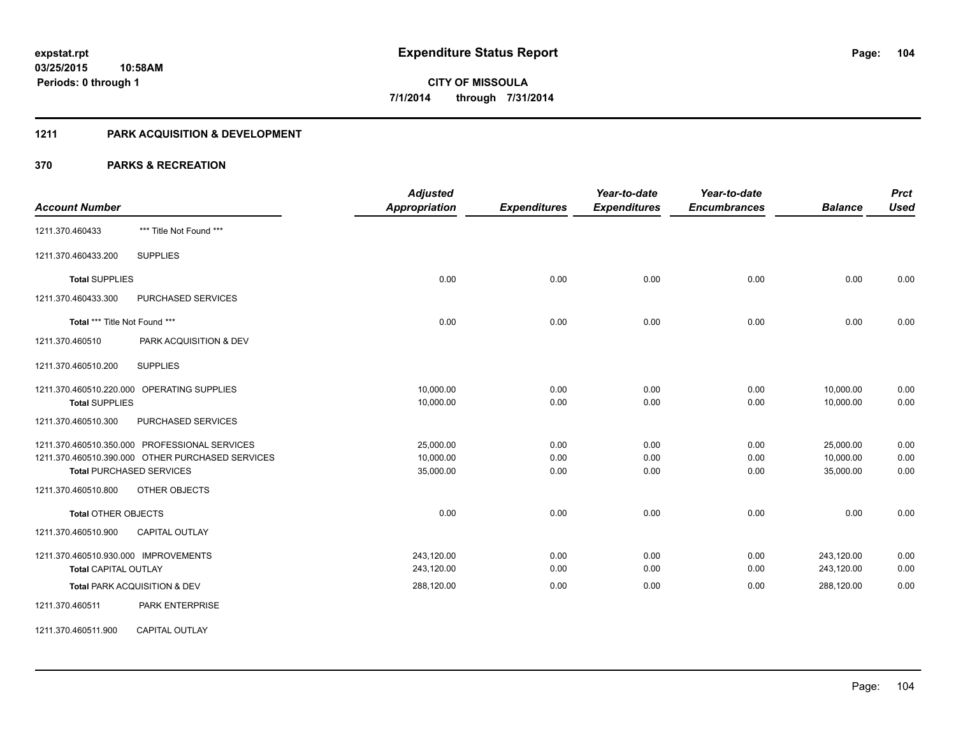#### **1211 PARK ACQUISITION & DEVELOPMENT**

|                                                  | <b>Adjusted</b>      |                     | Year-to-date        | Year-to-date        |                | <b>Prct</b> |
|--------------------------------------------------|----------------------|---------------------|---------------------|---------------------|----------------|-------------|
| <b>Account Number</b>                            | <b>Appropriation</b> | <b>Expenditures</b> | <b>Expenditures</b> | <b>Encumbrances</b> | <b>Balance</b> | <b>Used</b> |
| *** Title Not Found ***<br>1211.370.460433       |                      |                     |                     |                     |                |             |
| <b>SUPPLIES</b><br>1211.370.460433.200           |                      |                     |                     |                     |                |             |
| <b>Total SUPPLIES</b>                            | 0.00                 | 0.00                | 0.00                | 0.00                | 0.00           | 0.00        |
| 1211.370.460433.300<br>PURCHASED SERVICES        |                      |                     |                     |                     |                |             |
| Total *** Title Not Found ***                    | 0.00                 | 0.00                | 0.00                | 0.00                | 0.00           | 0.00        |
| 1211.370.460510<br>PARK ACQUISITION & DEV        |                      |                     |                     |                     |                |             |
| <b>SUPPLIES</b><br>1211.370.460510.200           |                      |                     |                     |                     |                |             |
| 1211.370.460510.220.000 OPERATING SUPPLIES       | 10,000.00            | 0.00                | 0.00                | 0.00                | 10,000.00      | 0.00        |
| <b>Total SUPPLIES</b>                            | 10,000.00            | 0.00                | 0.00                | 0.00                | 10,000.00      | 0.00        |
| PURCHASED SERVICES<br>1211.370.460510.300        |                      |                     |                     |                     |                |             |
| 1211.370.460510.350.000 PROFESSIONAL SERVICES    | 25,000.00            | 0.00                | 0.00                | 0.00                | 25,000.00      | 0.00        |
| 1211.370.460510.390.000 OTHER PURCHASED SERVICES | 10,000.00            | 0.00                | 0.00                | 0.00                | 10,000.00      | 0.00        |
| <b>Total PURCHASED SERVICES</b>                  | 35,000.00            | 0.00                | 0.00                | 0.00                | 35,000.00      | 0.00        |
| 1211.370.460510.800<br>OTHER OBJECTS             |                      |                     |                     |                     |                |             |
| <b>Total OTHER OBJECTS</b>                       | 0.00                 | 0.00                | 0.00                | 0.00                | 0.00           | 0.00        |
| <b>CAPITAL OUTLAY</b><br>1211.370.460510.900     |                      |                     |                     |                     |                |             |
| 1211.370.460510.930.000 IMPROVEMENTS             | 243,120.00           | 0.00                | 0.00                | 0.00                | 243,120.00     | 0.00        |
| <b>Total CAPITAL OUTLAY</b>                      | 243,120.00           | 0.00                | 0.00                | 0.00                | 243,120.00     | 0.00        |
| Total PARK ACQUISITION & DEV                     | 288,120.00           | 0.00                | 0.00                | 0.00                | 288,120.00     | 0.00        |
| 1211.370.460511<br><b>PARK ENTERPRISE</b>        |                      |                     |                     |                     |                |             |
| <b>CAPITAL OUTLAY</b><br>1211.370.460511.900     |                      |                     |                     |                     |                |             |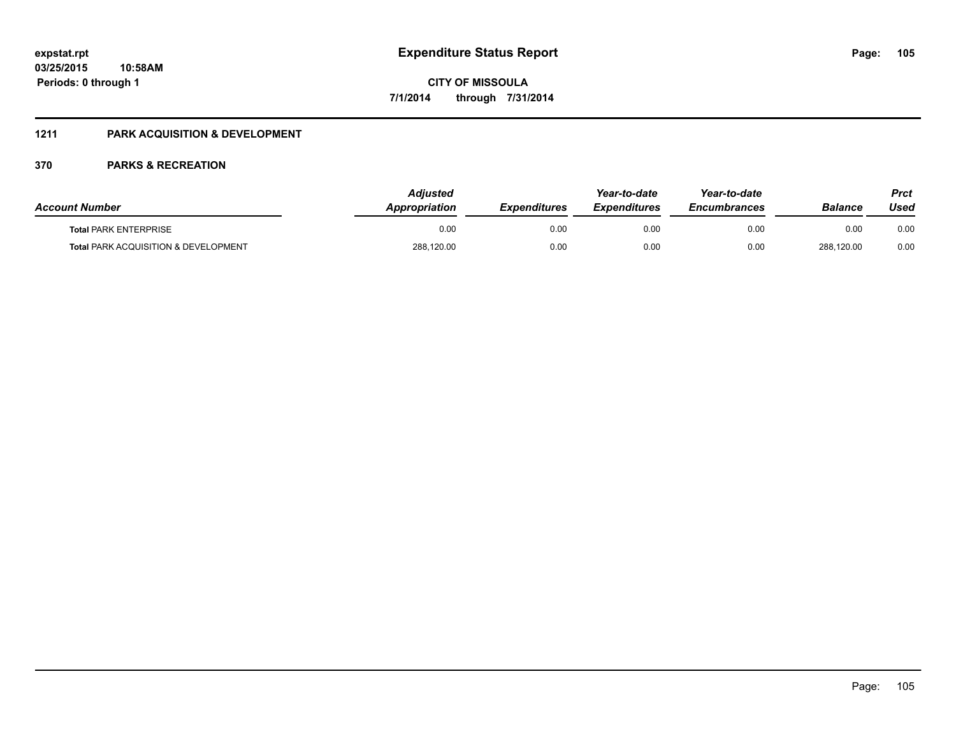#### **1211 PARK ACQUISITION & DEVELOPMENT**

| <b>Account Number</b>                | <b>Adiusted</b><br><b>Appropriation</b> | <b>Expenditures</b> | Year-to-date<br><b>Expenditures</b> | Year-to-date<br><b>Encumbrances</b> | <b>Balance</b> | Prct<br>Used |
|--------------------------------------|-----------------------------------------|---------------------|-------------------------------------|-------------------------------------|----------------|--------------|
| <b>Total PARK ENTERPRISE</b>         | 0.00                                    | 0.00                | 0.00                                | 0.00                                | 0.00           | 0.00         |
| Total PARK ACQUISITION & DEVELOPMENT | 288,120.00                              | 0.00                | 0.00                                | 0.00                                | 288,120.00     | 0.00         |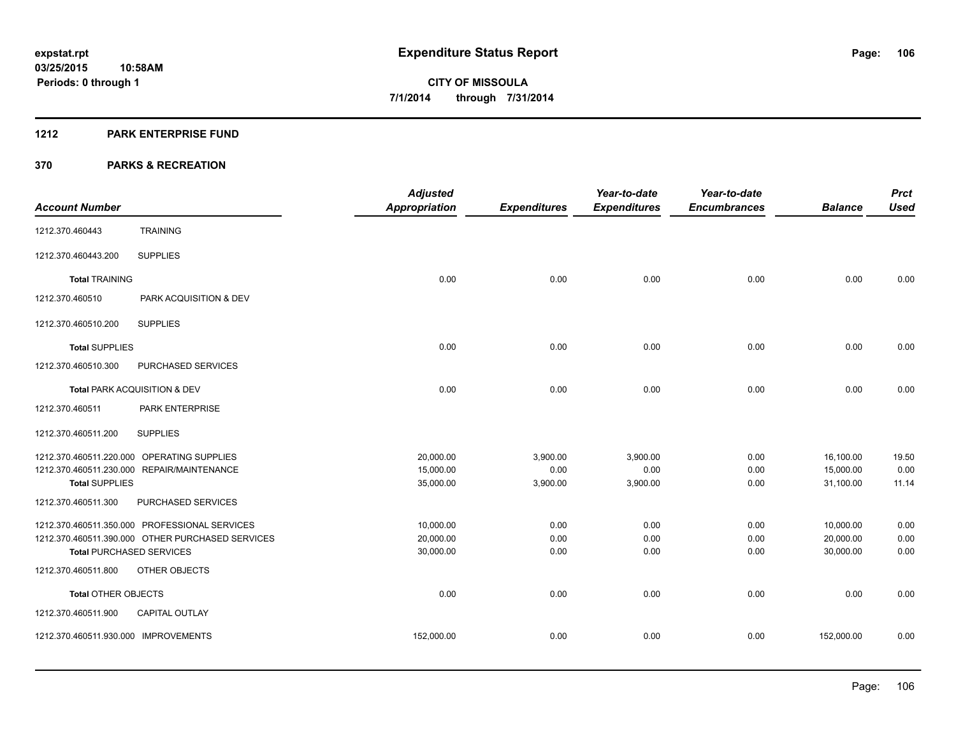#### **1212 PARK ENTERPRISE FUND**

|                                                  | <b>Adjusted</b>      |                     | Year-to-date        | Year-to-date        |                | <b>Prct</b> |
|--------------------------------------------------|----------------------|---------------------|---------------------|---------------------|----------------|-------------|
| <b>Account Number</b>                            | <b>Appropriation</b> | <b>Expenditures</b> | <b>Expenditures</b> | <b>Encumbrances</b> | <b>Balance</b> | <b>Used</b> |
| <b>TRAINING</b><br>1212.370.460443               |                      |                     |                     |                     |                |             |
| <b>SUPPLIES</b><br>1212.370.460443.200           |                      |                     |                     |                     |                |             |
| <b>Total TRAINING</b>                            | 0.00                 | 0.00                | 0.00                | 0.00                | 0.00           | 0.00        |
| PARK ACQUISITION & DEV<br>1212.370.460510        |                      |                     |                     |                     |                |             |
| 1212.370.460510.200<br><b>SUPPLIES</b>           |                      |                     |                     |                     |                |             |
| <b>Total SUPPLIES</b>                            | 0.00                 | 0.00                | 0.00                | 0.00                | 0.00           | 0.00        |
| 1212.370.460510.300<br>PURCHASED SERVICES        |                      |                     |                     |                     |                |             |
| Total PARK ACQUISITION & DEV                     | 0.00                 | 0.00                | 0.00                | 0.00                | 0.00           | 0.00        |
| 1212.370.460511<br><b>PARK ENTERPRISE</b>        |                      |                     |                     |                     |                |             |
| <b>SUPPLIES</b><br>1212.370.460511.200           |                      |                     |                     |                     |                |             |
| 1212.370.460511.220.000 OPERATING SUPPLIES       | 20,000.00            | 3,900.00            | 3,900.00            | 0.00                | 16,100.00      | 19.50       |
| 1212.370.460511.230.000 REPAIR/MAINTENANCE       | 15,000.00            | 0.00                | 0.00                | 0.00                | 15,000.00      | 0.00        |
| <b>Total SUPPLIES</b>                            | 35,000.00            | 3,900.00            | 3,900.00            | 0.00                | 31,100.00      | 11.14       |
| PURCHASED SERVICES<br>1212.370.460511.300        |                      |                     |                     |                     |                |             |
| 1212.370.460511.350.000 PROFESSIONAL SERVICES    | 10,000.00            | 0.00                | 0.00                | 0.00                | 10,000.00      | 0.00        |
| 1212.370.460511.390.000 OTHER PURCHASED SERVICES | 20,000.00            | 0.00                | 0.00                | 0.00                | 20,000.00      | 0.00        |
| <b>Total PURCHASED SERVICES</b>                  | 30,000.00            | 0.00                | 0.00                | 0.00                | 30,000.00      | 0.00        |
| 1212.370.460511.800<br>OTHER OBJECTS             |                      |                     |                     |                     |                |             |
| <b>Total OTHER OBJECTS</b>                       | 0.00                 | 0.00                | 0.00                | 0.00                | 0.00           | 0.00        |
| CAPITAL OUTLAY<br>1212.370.460511.900            |                      |                     |                     |                     |                |             |
| 1212.370.460511.930.000 IMPROVEMENTS             | 152,000.00           | 0.00                | 0.00                | 0.00                | 152,000.00     | 0.00        |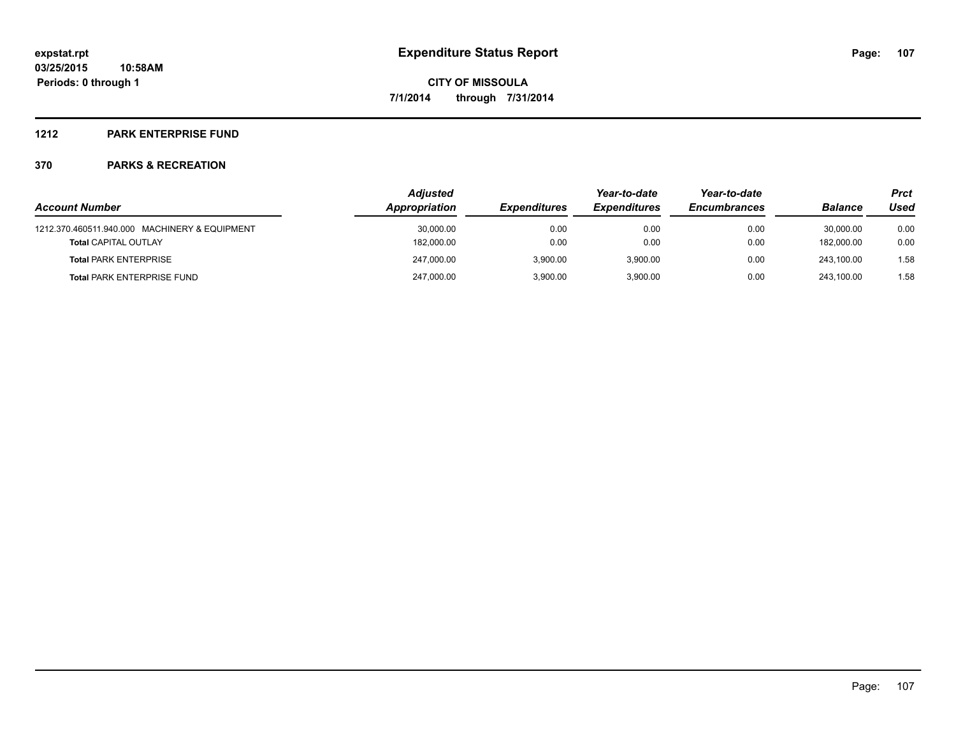### **1212 PARK ENTERPRISE FUND**

|                                               | <b>Adjusted</b> |                     | Year-to-date        | Year-to-date        |                | Prct |  |
|-----------------------------------------------|-----------------|---------------------|---------------------|---------------------|----------------|------|--|
| <b>Account Number</b>                         | Appropriation   | <b>Expenditures</b> | <b>Expenditures</b> | <b>Encumbrances</b> | <b>Balance</b> | Used |  |
| 1212.370.460511.940.000 MACHINERY & EQUIPMENT | 30,000.00       | 0.00                | 0.00                | 0.00                | 30.000.00      | 0.00 |  |
| <b>Total CAPITAL OUTLAY</b>                   | 182,000.00      | 0.00                | 0.00                | 0.00                | 182.000.00     | 0.00 |  |
| <b>Total PARK ENTERPRISE</b>                  | 247.000.00      | 3.900.00            | 3.900.00            | 0.00                | 243.100.00     | 1.58 |  |
| <b>Total PARK ENTERPRISE FUND</b>             | 247,000.00      | 3.900.00            | 3.900.00            | 0.00                | 243.100.00     | 1.58 |  |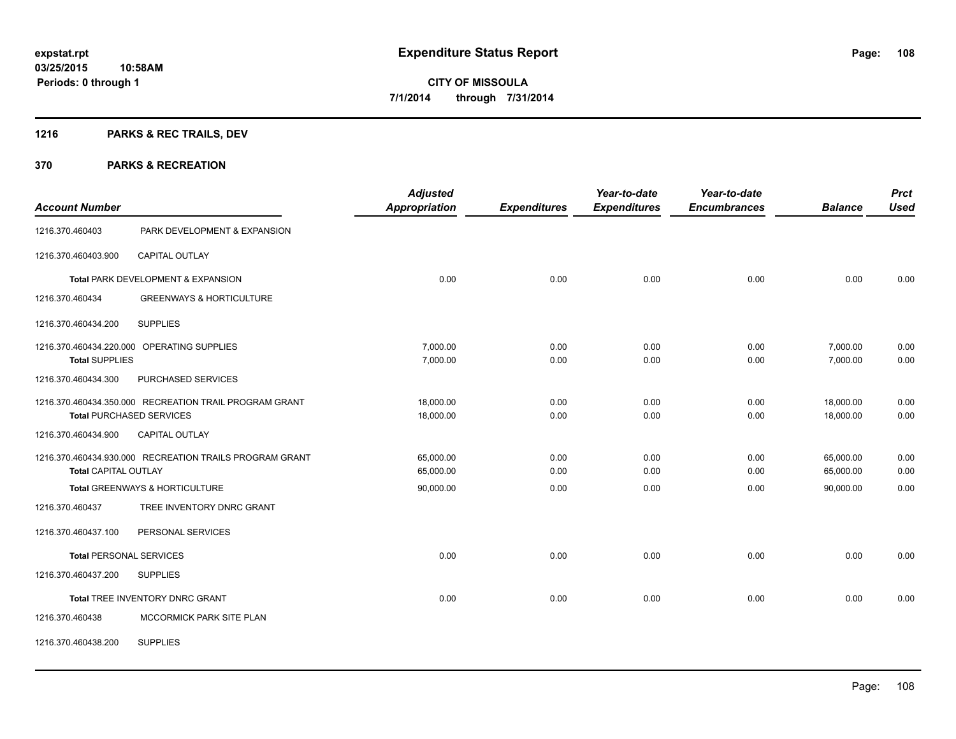### **1216 PARKS & REC TRAILS, DEV**

| <b>Account Number</b>       |                                                         | <b>Adjusted</b><br><b>Appropriation</b> | <b>Expenditures</b> | Year-to-date<br><b>Expenditures</b> | Year-to-date<br><b>Encumbrances</b> | <b>Balance</b> | <b>Prct</b><br><b>Used</b> |
|-----------------------------|---------------------------------------------------------|-----------------------------------------|---------------------|-------------------------------------|-------------------------------------|----------------|----------------------------|
| 1216.370.460403             | PARK DEVELOPMENT & EXPANSION                            |                                         |                     |                                     |                                     |                |                            |
| 1216.370.460403.900         | CAPITAL OUTLAY                                          |                                         |                     |                                     |                                     |                |                            |
|                             | Total PARK DEVELOPMENT & EXPANSION                      | 0.00                                    | 0.00                | 0.00                                | 0.00                                | 0.00           | 0.00                       |
| 1216.370.460434             | <b>GREENWAYS &amp; HORTICULTURE</b>                     |                                         |                     |                                     |                                     |                |                            |
| 1216.370.460434.200         | <b>SUPPLIES</b>                                         |                                         |                     |                                     |                                     |                |                            |
|                             | 1216.370.460434.220.000 OPERATING SUPPLIES              | 7,000.00                                | 0.00                | 0.00                                | 0.00                                | 7,000.00       | 0.00                       |
| <b>Total SUPPLIES</b>       |                                                         | 7,000.00                                | 0.00                | 0.00                                | 0.00                                | 7,000.00       | 0.00                       |
| 1216.370.460434.300         | PURCHASED SERVICES                                      |                                         |                     |                                     |                                     |                |                            |
|                             | 1216.370.460434.350.000 RECREATION TRAIL PROGRAM GRANT  | 18,000.00                               | 0.00                | 0.00                                | 0.00                                | 18,000.00      | 0.00                       |
|                             | <b>Total PURCHASED SERVICES</b>                         | 18,000.00                               | 0.00                | 0.00                                | 0.00                                | 18,000.00      | 0.00                       |
| 1216.370.460434.900         | <b>CAPITAL OUTLAY</b>                                   |                                         |                     |                                     |                                     |                |                            |
|                             | 1216.370.460434.930.000 RECREATION TRAILS PROGRAM GRANT | 65,000.00                               | 0.00                | 0.00                                | 0.00                                | 65,000.00      | 0.00                       |
| <b>Total CAPITAL OUTLAY</b> |                                                         | 65,000.00                               | 0.00                | 0.00                                | 0.00                                | 65,000.00      | 0.00                       |
|                             | Total GREENWAYS & HORTICULTURE                          | 90,000.00                               | 0.00                | 0.00                                | 0.00                                | 90,000.00      | 0.00                       |
| 1216.370.460437             | TREE INVENTORY DNRC GRANT                               |                                         |                     |                                     |                                     |                |                            |
| 1216.370.460437.100         | PERSONAL SERVICES                                       |                                         |                     |                                     |                                     |                |                            |
|                             | <b>Total PERSONAL SERVICES</b>                          | 0.00                                    | 0.00                | 0.00                                | 0.00                                | 0.00           | 0.00                       |
| 1216.370.460437.200         | <b>SUPPLIES</b>                                         |                                         |                     |                                     |                                     |                |                            |
|                             | Total TREE INVENTORY DNRC GRANT                         | 0.00                                    | 0.00                | 0.00                                | 0.00                                | 0.00           | 0.00                       |
| 1216.370.460438             | MCCORMICK PARK SITE PLAN                                |                                         |                     |                                     |                                     |                |                            |
| 1216.370.460438.200         | <b>SUPPLIES</b>                                         |                                         |                     |                                     |                                     |                |                            |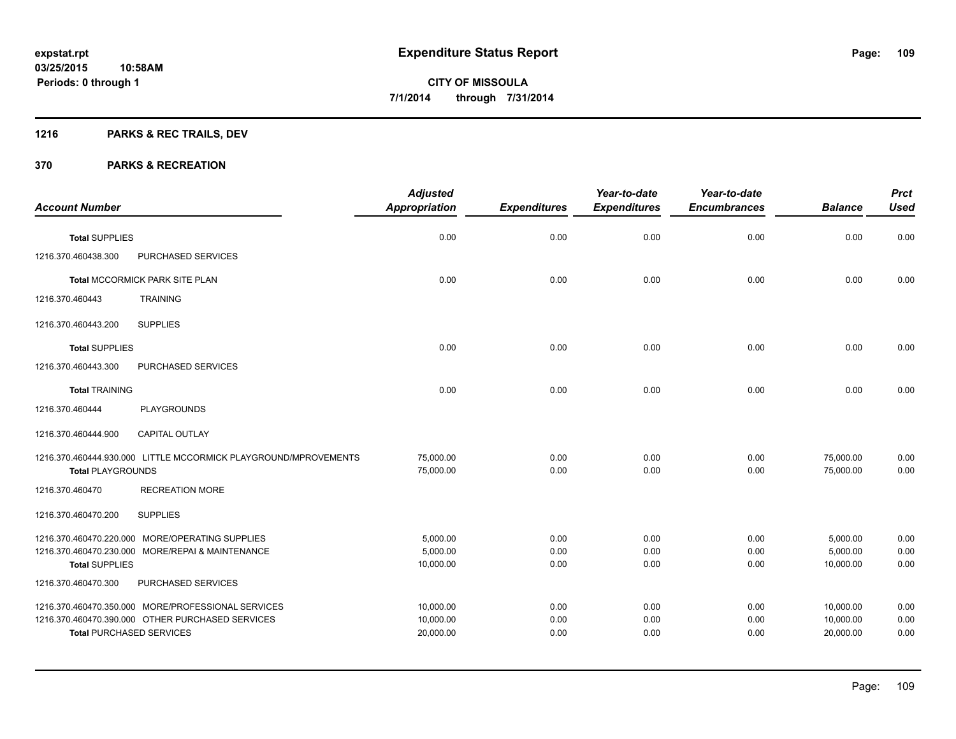## **1216 PARKS & REC TRAILS, DEV**

| <b>Account Number</b>    |                                                                                                                                           | <b>Adjusted</b><br><b>Appropriation</b> | <b>Expenditures</b>  | Year-to-date<br><b>Expenditures</b> | Year-to-date<br><b>Encumbrances</b> | <b>Balance</b>                      | <b>Prct</b><br><b>Used</b> |
|--------------------------|-------------------------------------------------------------------------------------------------------------------------------------------|-----------------------------------------|----------------------|-------------------------------------|-------------------------------------|-------------------------------------|----------------------------|
|                          |                                                                                                                                           |                                         |                      |                                     |                                     |                                     |                            |
| <b>Total SUPPLIES</b>    |                                                                                                                                           | 0.00                                    | 0.00                 | 0.00                                | 0.00                                | 0.00                                | 0.00                       |
| 1216.370.460438.300      | PURCHASED SERVICES                                                                                                                        |                                         |                      |                                     |                                     |                                     |                            |
|                          | Total MCCORMICK PARK SITE PLAN                                                                                                            | 0.00                                    | 0.00                 | 0.00                                | 0.00                                | 0.00                                | 0.00                       |
| 1216.370.460443          | <b>TRAINING</b>                                                                                                                           |                                         |                      |                                     |                                     |                                     |                            |
| 1216.370.460443.200      | <b>SUPPLIES</b>                                                                                                                           |                                         |                      |                                     |                                     |                                     |                            |
| <b>Total SUPPLIES</b>    |                                                                                                                                           | 0.00                                    | 0.00                 | 0.00                                | 0.00                                | 0.00                                | 0.00                       |
| 1216.370.460443.300      | PURCHASED SERVICES                                                                                                                        |                                         |                      |                                     |                                     |                                     |                            |
| <b>Total TRAINING</b>    |                                                                                                                                           | 0.00                                    | 0.00                 | 0.00                                | 0.00                                | 0.00                                | 0.00                       |
| 1216.370.460444          | PLAYGROUNDS                                                                                                                               |                                         |                      |                                     |                                     |                                     |                            |
| 1216.370.460444.900      | CAPITAL OUTLAY                                                                                                                            |                                         |                      |                                     |                                     |                                     |                            |
| <b>Total PLAYGROUNDS</b> | 1216.370.460444.930.000 LITTLE MCCORMICK PLAYGROUND/MPROVEMENTS                                                                           | 75,000.00<br>75,000.00                  | 0.00<br>0.00         | 0.00<br>0.00                        | 0.00<br>0.00                        | 75,000.00<br>75,000.00              | 0.00<br>0.00               |
| 1216.370.460470          | <b>RECREATION MORE</b>                                                                                                                    |                                         |                      |                                     |                                     |                                     |                            |
| 1216.370.460470.200      | <b>SUPPLIES</b>                                                                                                                           |                                         |                      |                                     |                                     |                                     |                            |
| <b>Total SUPPLIES</b>    | 1216.370.460470.220.000 MORE/OPERATING SUPPLIES<br>1216.370.460470.230.000 MORE/REPAI & MAINTENANCE                                       | 5,000.00<br>5,000.00<br>10,000.00       | 0.00<br>0.00<br>0.00 | 0.00<br>0.00<br>0.00                | 0.00<br>0.00<br>0.00                | 5,000.00<br>5,000.00<br>10,000.00   | 0.00<br>0.00<br>0.00       |
| 1216.370.460470.300      | PURCHASED SERVICES                                                                                                                        |                                         |                      |                                     |                                     |                                     |                            |
|                          | 1216.370.460470.350.000 MORE/PROFESSIONAL SERVICES<br>1216.370.460470.390.000 OTHER PURCHASED SERVICES<br><b>Total PURCHASED SERVICES</b> | 10,000.00<br>10,000.00<br>20,000.00     | 0.00<br>0.00<br>0.00 | 0.00<br>0.00<br>0.00                | 0.00<br>0.00<br>0.00                | 10,000.00<br>10,000.00<br>20,000.00 | 0.00<br>0.00<br>0.00       |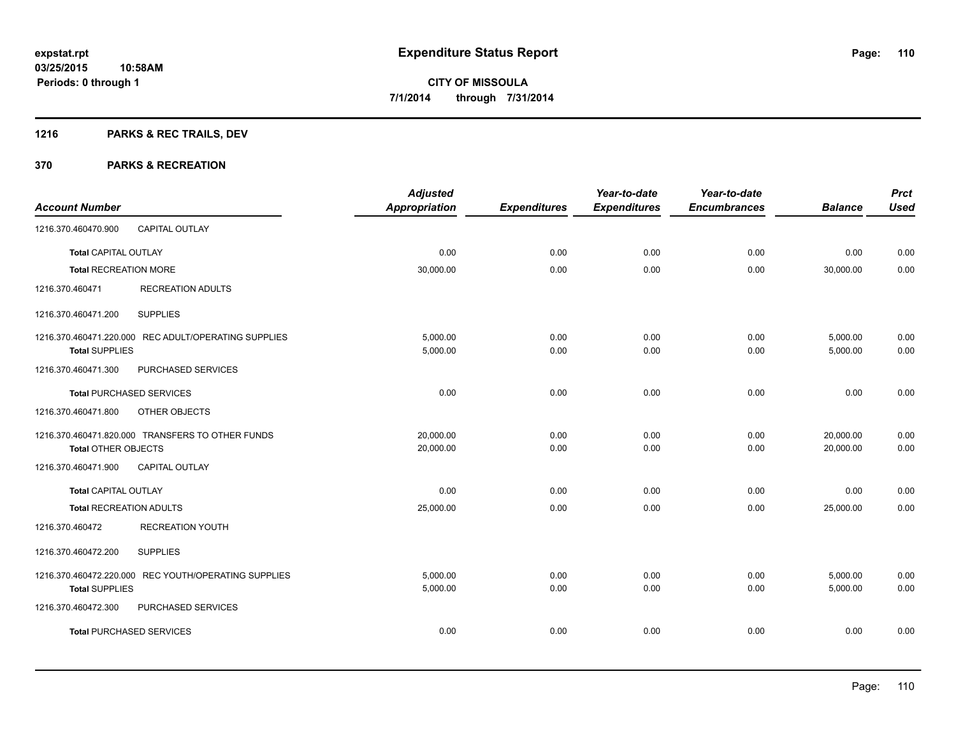## **1216 PARKS & REC TRAILS, DEV**

|                                                      | <b>Adjusted</b>      |                     | Year-to-date        | Year-to-date        |                | <b>Prct</b> |
|------------------------------------------------------|----------------------|---------------------|---------------------|---------------------|----------------|-------------|
| <b>Account Number</b>                                | <b>Appropriation</b> | <b>Expenditures</b> | <b>Expenditures</b> | <b>Encumbrances</b> | <b>Balance</b> | <b>Used</b> |
| <b>CAPITAL OUTLAY</b><br>1216.370.460470.900         |                      |                     |                     |                     |                |             |
| <b>Total CAPITAL OUTLAY</b>                          | 0.00                 | 0.00                | 0.00                | 0.00                | 0.00           | 0.00        |
| <b>Total RECREATION MORE</b>                         | 30,000.00            | 0.00                | 0.00                | 0.00                | 30,000.00      | 0.00        |
| <b>RECREATION ADULTS</b><br>1216.370.460471          |                      |                     |                     |                     |                |             |
| 1216.370.460471.200<br><b>SUPPLIES</b>               |                      |                     |                     |                     |                |             |
| 1216.370.460471.220.000 REC ADULT/OPERATING SUPPLIES | 5,000.00             | 0.00                | 0.00                | 0.00                | 5,000.00       | 0.00        |
| <b>Total SUPPLIES</b>                                | 5,000.00             | 0.00                | 0.00                | 0.00                | 5,000.00       | 0.00        |
| 1216.370.460471.300<br>PURCHASED SERVICES            |                      |                     |                     |                     |                |             |
| <b>Total PURCHASED SERVICES</b>                      | 0.00                 | 0.00                | 0.00                | 0.00                | 0.00           | 0.00        |
| 1216.370.460471.800<br>OTHER OBJECTS                 |                      |                     |                     |                     |                |             |
| 1216.370.460471.820.000 TRANSFERS TO OTHER FUNDS     | 20,000.00            | 0.00                | 0.00                | 0.00                | 20,000.00      | 0.00        |
| <b>Total OTHER OBJECTS</b>                           | 20,000.00            | 0.00                | 0.00                | 0.00                | 20,000.00      | 0.00        |
| 1216.370.460471.900<br><b>CAPITAL OUTLAY</b>         |                      |                     |                     |                     |                |             |
| <b>Total CAPITAL OUTLAY</b>                          | 0.00                 | 0.00                | 0.00                | 0.00                | 0.00           | 0.00        |
| <b>Total RECREATION ADULTS</b>                       | 25,000.00            | 0.00                | 0.00                | 0.00                | 25,000.00      | 0.00        |
| <b>RECREATION YOUTH</b><br>1216.370.460472           |                      |                     |                     |                     |                |             |
| <b>SUPPLIES</b><br>1216.370.460472.200               |                      |                     |                     |                     |                |             |
| 1216.370.460472.220.000 REC YOUTH/OPERATING SUPPLIES | 5,000.00             | 0.00                | 0.00                | 0.00                | 5,000.00       | 0.00        |
| <b>Total SUPPLIES</b>                                | 5,000.00             | 0.00                | 0.00                | 0.00                | 5,000.00       | 0.00        |
| 1216.370.460472.300<br>PURCHASED SERVICES            |                      |                     |                     |                     |                |             |
| <b>Total PURCHASED SERVICES</b>                      | 0.00                 | 0.00                | 0.00                | 0.00                | 0.00           | 0.00        |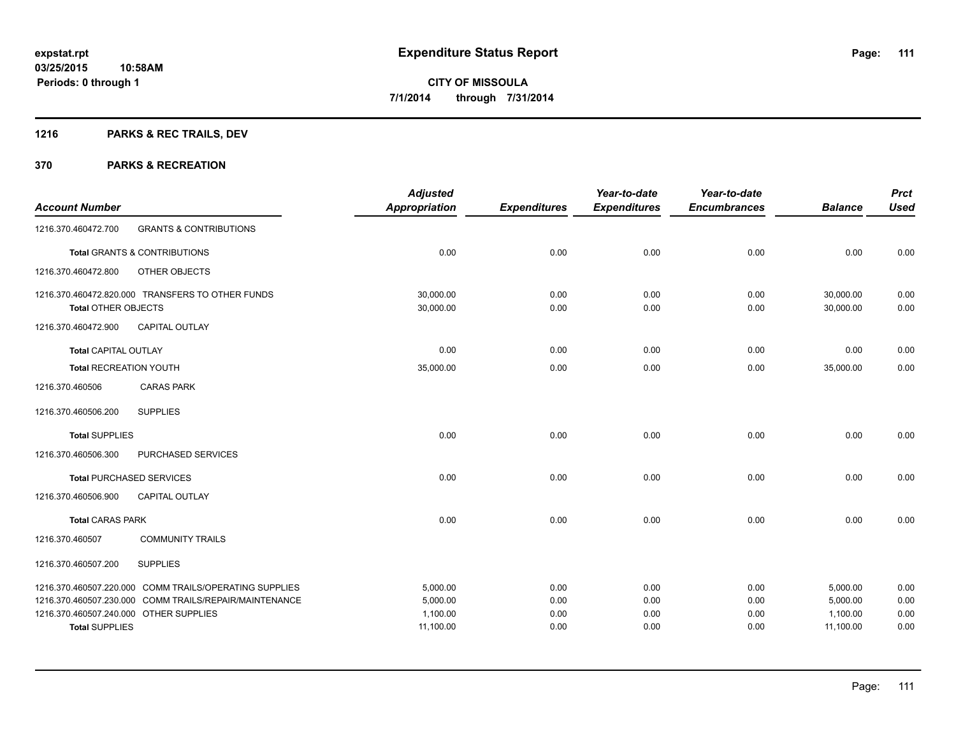## **1216 PARKS & REC TRAILS, DEV**

|                                                                 |                                                        | <b>Adjusted</b>       |                     | Year-to-date        | Year-to-date        |                       | <b>Prct</b>  |
|-----------------------------------------------------------------|--------------------------------------------------------|-----------------------|---------------------|---------------------|---------------------|-----------------------|--------------|
| <b>Account Number</b>                                           |                                                        | <b>Appropriation</b>  | <b>Expenditures</b> | <b>Expenditures</b> | <b>Encumbrances</b> | <b>Balance</b>        | <b>Used</b>  |
| 1216.370.460472.700                                             | <b>GRANTS &amp; CONTRIBUTIONS</b>                      |                       |                     |                     |                     |                       |              |
|                                                                 | Total GRANTS & CONTRIBUTIONS                           | 0.00                  | 0.00                | 0.00                | 0.00                | 0.00                  | 0.00         |
| 1216.370.460472.800                                             | OTHER OBJECTS                                          |                       |                     |                     |                     |                       |              |
|                                                                 | 1216.370.460472.820.000 TRANSFERS TO OTHER FUNDS       | 30,000.00             | 0.00                | 0.00                | 0.00                | 30,000.00             | 0.00         |
| Total OTHER OBJECTS                                             |                                                        | 30,000.00             | 0.00                | 0.00                | 0.00                | 30,000.00             | 0.00         |
| 1216.370.460472.900                                             | <b>CAPITAL OUTLAY</b>                                  |                       |                     |                     |                     |                       |              |
| <b>Total CAPITAL OUTLAY</b>                                     |                                                        | 0.00                  | 0.00                | 0.00                | 0.00                | 0.00                  | 0.00         |
| <b>Total RECREATION YOUTH</b>                                   |                                                        | 35,000.00             | 0.00                | 0.00                | 0.00                | 35,000.00             | 0.00         |
| 1216.370.460506                                                 | <b>CARAS PARK</b>                                      |                       |                     |                     |                     |                       |              |
| 1216.370.460506.200                                             | <b>SUPPLIES</b>                                        |                       |                     |                     |                     |                       |              |
| <b>Total SUPPLIES</b>                                           |                                                        | 0.00                  | 0.00                | 0.00                | 0.00                | 0.00                  | 0.00         |
| 1216.370.460506.300                                             | PURCHASED SERVICES                                     |                       |                     |                     |                     |                       |              |
| <b>Total PURCHASED SERVICES</b>                                 |                                                        | 0.00                  | 0.00                | 0.00                | 0.00                | 0.00                  | 0.00         |
| 1216.370.460506.900                                             | <b>CAPITAL OUTLAY</b>                                  |                       |                     |                     |                     |                       |              |
| <b>Total CARAS PARK</b>                                         |                                                        | 0.00                  | 0.00                | 0.00                | 0.00                | 0.00                  | 0.00         |
| 1216.370.460507                                                 | <b>COMMUNITY TRAILS</b>                                |                       |                     |                     |                     |                       |              |
| 1216.370.460507.200                                             | <b>SUPPLIES</b>                                        |                       |                     |                     |                     |                       |              |
|                                                                 | 1216.370.460507.220.000 COMM TRAILS/OPERATING SUPPLIES | 5,000.00              | 0.00                | 0.00                | 0.00                | 5,000.00              | 0.00         |
|                                                                 | 1216.370.460507.230.000 COMM TRAILS/REPAIR/MAINTENANCE | 5,000.00              | 0.00                | 0.00                | 0.00                | 5,000.00              | 0.00         |
| 1216.370.460507.240.000 OTHER SUPPLIES<br><b>Total SUPPLIES</b> |                                                        | 1,100.00<br>11,100.00 | 0.00<br>0.00        | 0.00<br>0.00        | 0.00<br>0.00        | 1,100.00<br>11,100.00 | 0.00<br>0.00 |
|                                                                 |                                                        |                       |                     |                     |                     |                       |              |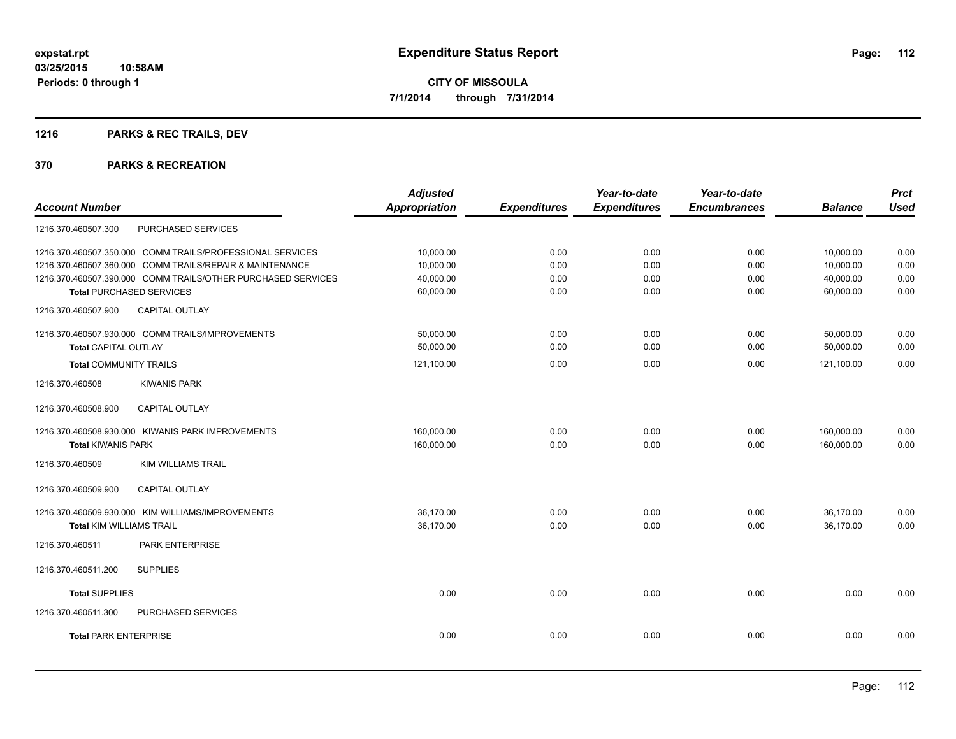## **1216 PARKS & REC TRAILS, DEV**

| <b>Prct</b>                                                        |
|--------------------------------------------------------------------|
| <b>Used</b><br><b>Balance</b>                                      |
|                                                                    |
| 0.00<br>10,000.00                                                  |
| 10,000.00<br>0.00                                                  |
| 40,000.00<br>0.00                                                  |
| 0.00<br>60,000.00                                                  |
|                                                                    |
| 50,000.00<br>0.00                                                  |
| 50,000.00<br>0.00                                                  |
| 0.00<br>121,100.00                                                 |
|                                                                    |
|                                                                    |
| 0.00                                                               |
| 0.00                                                               |
|                                                                    |
|                                                                    |
| 0.00                                                               |
| 0.00                                                               |
|                                                                    |
|                                                                    |
| 0.00                                                               |
|                                                                    |
| 0.00                                                               |
| 160,000.00<br>160,000.00<br>36,170.00<br>36,170.00<br>0.00<br>0.00 |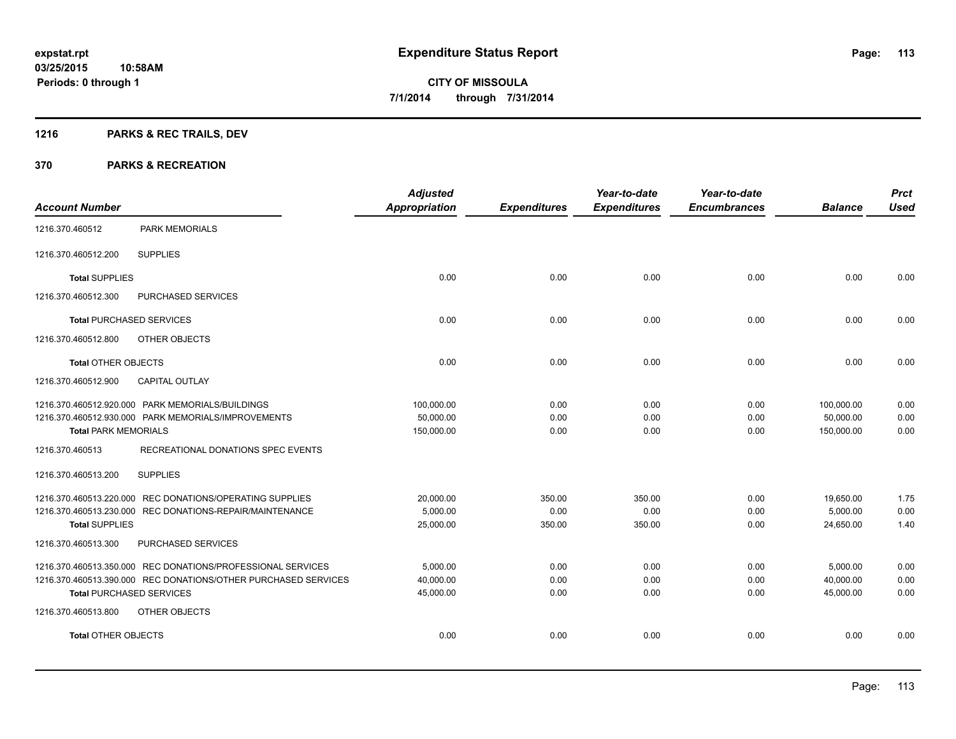## **1216 PARKS & REC TRAILS, DEV**

|                                 |                                                                | <b>Adjusted</b>      |                     | Year-to-date        | Year-to-date        |                | <b>Prct</b> |
|---------------------------------|----------------------------------------------------------------|----------------------|---------------------|---------------------|---------------------|----------------|-------------|
| <b>Account Number</b>           |                                                                | <b>Appropriation</b> | <b>Expenditures</b> | <b>Expenditures</b> | <b>Encumbrances</b> | <b>Balance</b> | <b>Used</b> |
| 1216.370.460512                 | <b>PARK MEMORIALS</b>                                          |                      |                     |                     |                     |                |             |
| 1216.370.460512.200             | <b>SUPPLIES</b>                                                |                      |                     |                     |                     |                |             |
| <b>Total SUPPLIES</b>           |                                                                | 0.00                 | 0.00                | 0.00                | 0.00                | 0.00           | 0.00        |
| 1216.370.460512.300             | PURCHASED SERVICES                                             |                      |                     |                     |                     |                |             |
| <b>Total PURCHASED SERVICES</b> |                                                                | 0.00                 | 0.00                | 0.00                | 0.00                | 0.00           | 0.00        |
| 1216.370.460512.800             | OTHER OBJECTS                                                  |                      |                     |                     |                     |                |             |
| <b>Total OTHER OBJECTS</b>      |                                                                | 0.00                 | 0.00                | 0.00                | 0.00                | 0.00           | 0.00        |
| 1216.370.460512.900             | <b>CAPITAL OUTLAY</b>                                          |                      |                     |                     |                     |                |             |
|                                 | 1216.370.460512.920.000 PARK MEMORIALS/BUILDINGS               | 100,000.00           | 0.00                | 0.00                | 0.00                | 100,000.00     | 0.00        |
|                                 | 1216.370.460512.930.000 PARK MEMORIALS/IMPROVEMENTS            | 50,000.00            | 0.00                | 0.00                | 0.00                | 50,000.00      | 0.00        |
| <b>Total PARK MEMORIALS</b>     |                                                                | 150,000.00           | 0.00                | 0.00                | 0.00                | 150,000.00     | 0.00        |
| 1216.370.460513                 | RECREATIONAL DONATIONS SPEC EVENTS                             |                      |                     |                     |                     |                |             |
| 1216.370.460513.200             | <b>SUPPLIES</b>                                                |                      |                     |                     |                     |                |             |
|                                 | 1216.370.460513.220.000 REC DONATIONS/OPERATING SUPPLIES       | 20,000.00            | 350.00              | 350.00              | 0.00                | 19,650.00      | 1.75        |
|                                 | 1216.370.460513.230.000 REC DONATIONS-REPAIR/MAINTENANCE       | 5,000.00             | 0.00                | 0.00                | 0.00                | 5,000.00       | 0.00        |
| <b>Total SUPPLIES</b>           |                                                                | 25,000.00            | 350.00              | 350.00              | 0.00                | 24,650.00      | 1.40        |
| 1216.370.460513.300             | PURCHASED SERVICES                                             |                      |                     |                     |                     |                |             |
|                                 | 1216.370.460513.350.000 REC DONATIONS/PROFESSIONAL SERVICES    | 5,000.00             | 0.00                | 0.00                | 0.00                | 5,000.00       | 0.00        |
|                                 | 1216.370.460513.390.000 REC DONATIONS/OTHER PURCHASED SERVICES | 40,000.00            | 0.00                | 0.00                | 0.00                | 40,000.00      | 0.00        |
| <b>Total PURCHASED SERVICES</b> |                                                                | 45,000.00            | 0.00                | 0.00                | 0.00                | 45,000.00      | 0.00        |
| 1216.370.460513.800             | <b>OTHER OBJECTS</b>                                           |                      |                     |                     |                     |                |             |
| <b>Total OTHER OBJECTS</b>      |                                                                | 0.00                 | 0.00                | 0.00                | 0.00                | 0.00           | 0.00        |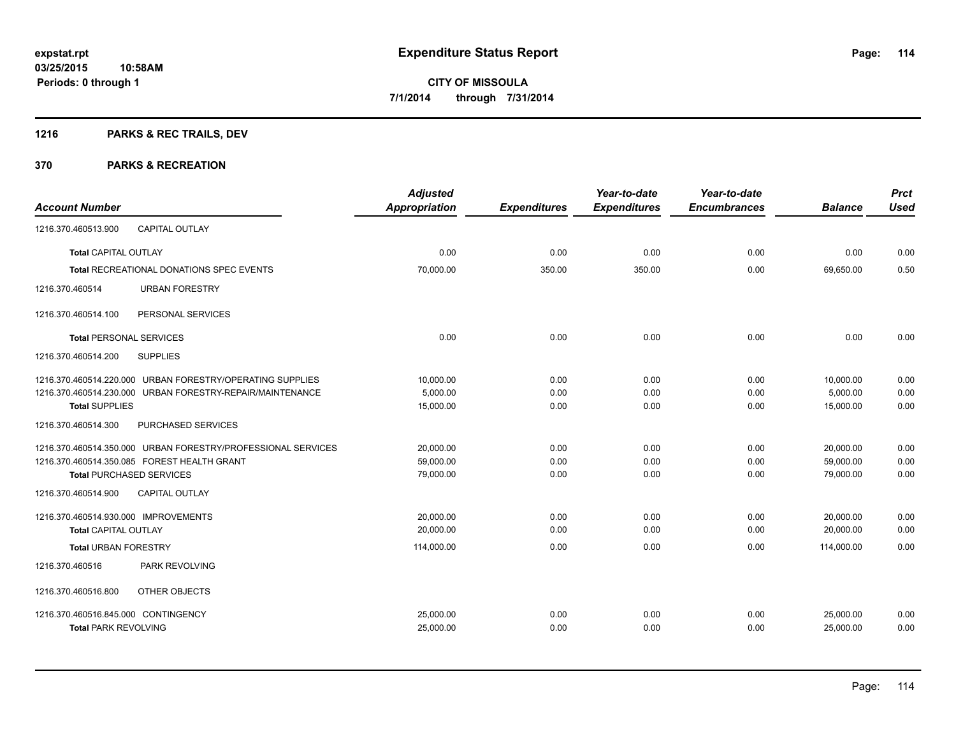## **1216 PARKS & REC TRAILS, DEV**

|                                      |                                                              | <b>Adjusted</b> |                     | Year-to-date        | Year-to-date        |                | <b>Prct</b> |
|--------------------------------------|--------------------------------------------------------------|-----------------|---------------------|---------------------|---------------------|----------------|-------------|
| <b>Account Number</b>                |                                                              | Appropriation   | <b>Expenditures</b> | <b>Expenditures</b> | <b>Encumbrances</b> | <b>Balance</b> | <b>Used</b> |
| 1216.370.460513.900                  | <b>CAPITAL OUTLAY</b>                                        |                 |                     |                     |                     |                |             |
| <b>Total CAPITAL OUTLAY</b>          |                                                              | 0.00            | 0.00                | 0.00                | 0.00                | 0.00           | 0.00        |
|                                      | <b>Total RECREATIONAL DONATIONS SPEC EVENTS</b>              | 70,000.00       | 350.00              | 350.00              | 0.00                | 69,650.00      | 0.50        |
| 1216.370.460514                      | <b>URBAN FORESTRY</b>                                        |                 |                     |                     |                     |                |             |
| 1216.370.460514.100                  | PERSONAL SERVICES                                            |                 |                     |                     |                     |                |             |
| <b>Total PERSONAL SERVICES</b>       |                                                              | 0.00            | 0.00                | 0.00                | 0.00                | 0.00           | 0.00        |
| 1216.370.460514.200                  | <b>SUPPLIES</b>                                              |                 |                     |                     |                     |                |             |
|                                      | 1216.370.460514.220.000 URBAN FORESTRY/OPERATING SUPPLIES    | 10,000.00       | 0.00                | 0.00                | 0.00                | 10,000.00      | 0.00        |
|                                      | 1216.370.460514.230.000 URBAN FORESTRY-REPAIR/MAINTENANCE    | 5,000.00        | 0.00                | 0.00                | 0.00                | 5,000.00       | 0.00        |
| <b>Total SUPPLIES</b>                |                                                              | 15,000.00       | 0.00                | 0.00                | 0.00                | 15,000.00      | 0.00        |
| 1216.370.460514.300                  | PURCHASED SERVICES                                           |                 |                     |                     |                     |                |             |
|                                      | 1216.370.460514.350.000 URBAN FORESTRY/PROFESSIONAL SERVICES | 20,000.00       | 0.00                | 0.00                | 0.00                | 20,000.00      | 0.00        |
|                                      | 1216.370.460514.350.085 FOREST HEALTH GRANT                  | 59,000.00       | 0.00                | 0.00                | 0.00                | 59,000.00      | 0.00        |
| <b>Total PURCHASED SERVICES</b>      |                                                              | 79,000.00       | 0.00                | 0.00                | 0.00                | 79,000.00      | 0.00        |
| 1216.370.460514.900                  | <b>CAPITAL OUTLAY</b>                                        |                 |                     |                     |                     |                |             |
| 1216.370.460514.930.000 IMPROVEMENTS |                                                              | 20,000.00       | 0.00                | 0.00                | 0.00                | 20,000.00      | 0.00        |
| Total CAPITAL OUTLAY                 |                                                              | 20,000.00       | 0.00                | 0.00                | 0.00                | 20.000.00      | 0.00        |
| <b>Total URBAN FORESTRY</b>          |                                                              | 114,000.00      | 0.00                | 0.00                | 0.00                | 114,000.00     | 0.00        |
| 1216.370.460516                      | PARK REVOLVING                                               |                 |                     |                     |                     |                |             |
| 1216.370.460516.800                  | OTHER OBJECTS                                                |                 |                     |                     |                     |                |             |
| 1216.370.460516.845.000 CONTINGENCY  |                                                              | 25,000.00       | 0.00                | 0.00                | 0.00                | 25,000.00      | 0.00        |
| <b>Total PARK REVOLVING</b>          |                                                              | 25,000.00       | 0.00                | 0.00                | 0.00                | 25,000.00      | 0.00        |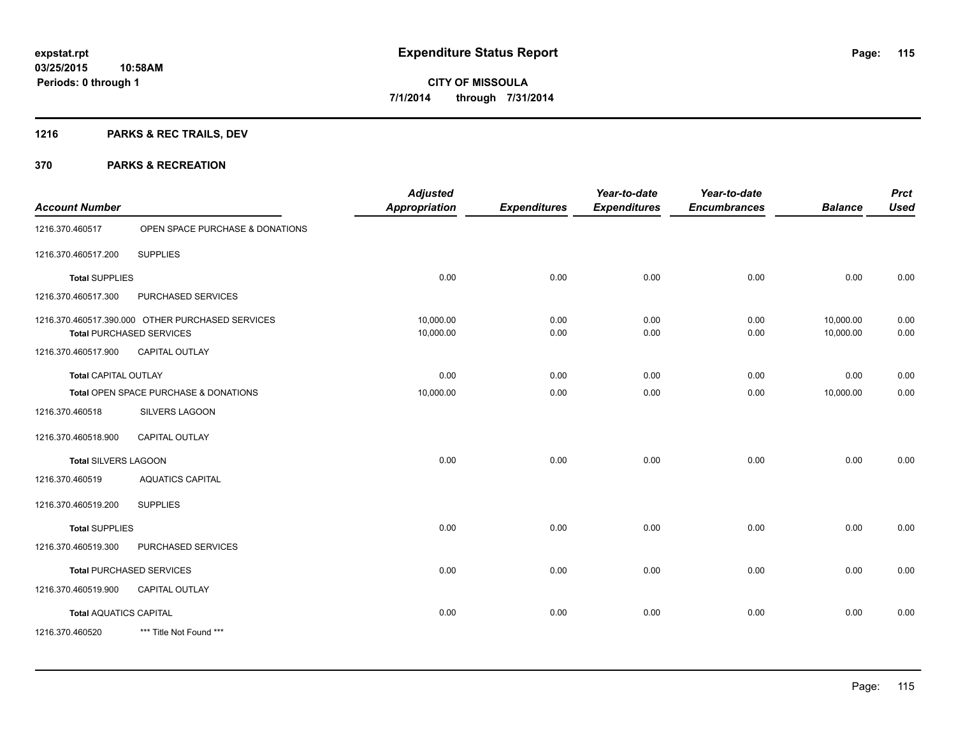## **1216 PARKS & REC TRAILS, DEV**

|                               |                                                                                     | <b>Adjusted</b>        |                     | Year-to-date        | Year-to-date        |                        | <b>Prct</b>  |
|-------------------------------|-------------------------------------------------------------------------------------|------------------------|---------------------|---------------------|---------------------|------------------------|--------------|
| <b>Account Number</b>         |                                                                                     | <b>Appropriation</b>   | <b>Expenditures</b> | <b>Expenditures</b> | <b>Encumbrances</b> | <b>Balance</b>         | <b>Used</b>  |
| 1216.370.460517               | OPEN SPACE PURCHASE & DONATIONS                                                     |                        |                     |                     |                     |                        |              |
| 1216.370.460517.200           | <b>SUPPLIES</b>                                                                     |                        |                     |                     |                     |                        |              |
| <b>Total SUPPLIES</b>         |                                                                                     | 0.00                   | 0.00                | 0.00                | 0.00                | 0.00                   | 0.00         |
| 1216.370.460517.300           | PURCHASED SERVICES                                                                  |                        |                     |                     |                     |                        |              |
|                               | 1216.370.460517.390.000 OTHER PURCHASED SERVICES<br><b>Total PURCHASED SERVICES</b> | 10,000.00<br>10,000.00 | 0.00<br>0.00        | 0.00<br>0.00        | 0.00<br>0.00        | 10,000.00<br>10,000.00 | 0.00<br>0.00 |
| 1216.370.460517.900           | <b>CAPITAL OUTLAY</b>                                                               |                        |                     |                     |                     |                        |              |
| <b>Total CAPITAL OUTLAY</b>   |                                                                                     | 0.00                   | 0.00                | 0.00                | 0.00                | 0.00                   | 0.00         |
|                               | Total OPEN SPACE PURCHASE & DONATIONS                                               | 10,000.00              | 0.00                | 0.00                | 0.00                | 10,000.00              | 0.00         |
| 1216.370.460518               | <b>SILVERS LAGOON</b>                                                               |                        |                     |                     |                     |                        |              |
| 1216.370.460518.900           | <b>CAPITAL OUTLAY</b>                                                               |                        |                     |                     |                     |                        |              |
| <b>Total SILVERS LAGOON</b>   |                                                                                     | 0.00                   | 0.00                | 0.00                | 0.00                | 0.00                   | 0.00         |
| 1216.370.460519               | <b>AQUATICS CAPITAL</b>                                                             |                        |                     |                     |                     |                        |              |
| 1216.370.460519.200           | <b>SUPPLIES</b>                                                                     |                        |                     |                     |                     |                        |              |
| <b>Total SUPPLIES</b>         |                                                                                     | 0.00                   | 0.00                | 0.00                | 0.00                | 0.00                   | 0.00         |
| 1216.370.460519.300           | PURCHASED SERVICES                                                                  |                        |                     |                     |                     |                        |              |
|                               | <b>Total PURCHASED SERVICES</b>                                                     | 0.00                   | 0.00                | 0.00                | 0.00                | 0.00                   | 0.00         |
| 1216.370.460519.900           | <b>CAPITAL OUTLAY</b>                                                               |                        |                     |                     |                     |                        |              |
| <b>Total AQUATICS CAPITAL</b> |                                                                                     | 0.00                   | 0.00                | 0.00                | 0.00                | 0.00                   | 0.00         |
| 1216.370.460520               | *** Title Not Found ***                                                             |                        |                     |                     |                     |                        |              |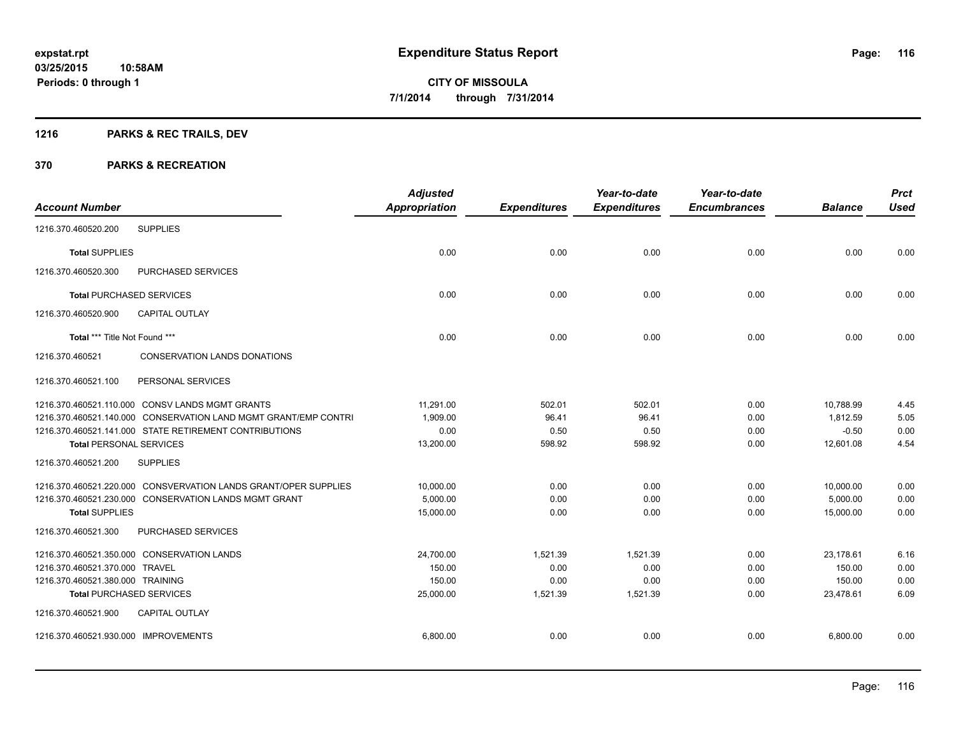## **1216 PARKS & REC TRAILS, DEV**

| <b>Account Number</b>                |                                                                 | <b>Adjusted</b><br><b>Appropriation</b> | <b>Expenditures</b> | Year-to-date<br><b>Expenditures</b> | Year-to-date<br><b>Encumbrances</b> | <b>Balance</b> | <b>Prct</b><br><b>Used</b> |
|--------------------------------------|-----------------------------------------------------------------|-----------------------------------------|---------------------|-------------------------------------|-------------------------------------|----------------|----------------------------|
| 1216.370.460520.200                  | <b>SUPPLIES</b>                                                 |                                         |                     |                                     |                                     |                |                            |
| <b>Total SUPPLIES</b>                |                                                                 | 0.00                                    | 0.00                | 0.00                                | 0.00                                | 0.00           | 0.00                       |
| 1216.370.460520.300                  | PURCHASED SERVICES                                              |                                         |                     |                                     |                                     |                |                            |
| <b>Total PURCHASED SERVICES</b>      |                                                                 | 0.00                                    | 0.00                | 0.00                                | 0.00                                | 0.00           | 0.00                       |
| 1216.370.460520.900                  | <b>CAPITAL OUTLAY</b>                                           |                                         |                     |                                     |                                     |                |                            |
| Total *** Title Not Found ***        |                                                                 | 0.00                                    | 0.00                | 0.00                                | 0.00                                | 0.00           | 0.00                       |
| 1216.370.460521                      | <b>CONSERVATION LANDS DONATIONS</b>                             |                                         |                     |                                     |                                     |                |                            |
| 1216.370.460521.100                  | PERSONAL SERVICES                                               |                                         |                     |                                     |                                     |                |                            |
|                                      | 1216.370.460521.110.000 CONSV LANDS MGMT GRANTS                 | 11,291.00                               | 502.01              | 502.01                              | 0.00                                | 10,788.99      | 4.45                       |
|                                      | 1216.370.460521.140.000 CONSERVATION LAND MGMT GRANT/EMP CONTRI | 1,909.00                                | 96.41               | 96.41                               | 0.00                                | 1,812.59       | 5.05                       |
|                                      | 1216.370.460521.141.000 STATE RETIREMENT CONTRIBUTIONS          | 0.00                                    | 0.50                | 0.50                                | 0.00                                | $-0.50$        | 0.00                       |
| <b>Total PERSONAL SERVICES</b>       |                                                                 | 13,200.00                               | 598.92              | 598.92                              | 0.00                                | 12.601.08      | 4.54                       |
| 1216.370.460521.200                  | <b>SUPPLIES</b>                                                 |                                         |                     |                                     |                                     |                |                            |
|                                      | 1216.370.460521.220.000 CONSVERVATION LANDS GRANT/OPER SUPPLIES | 10,000.00                               | 0.00                | 0.00                                | 0.00                                | 10,000.00      | 0.00                       |
|                                      | 1216.370.460521.230.000 CONSERVATION LANDS MGMT GRANT           | 5,000.00                                | 0.00                | 0.00                                | 0.00                                | 5,000.00       | 0.00                       |
| <b>Total SUPPLIES</b>                |                                                                 | 15,000.00                               | 0.00                | 0.00                                | 0.00                                | 15,000.00      | 0.00                       |
| 1216.370.460521.300                  | PURCHASED SERVICES                                              |                                         |                     |                                     |                                     |                |                            |
|                                      | 1216.370.460521.350.000 CONSERVATION LANDS                      | 24,700.00                               | 1,521.39            | 1,521.39                            | 0.00                                | 23,178.61      | 6.16                       |
| 1216.370.460521.370.000 TRAVEL       |                                                                 | 150.00                                  | 0.00                | 0.00                                | 0.00                                | 150.00         | 0.00                       |
| 1216.370.460521.380.000 TRAINING     |                                                                 | 150.00                                  | 0.00                | 0.00                                | 0.00                                | 150.00         | 0.00                       |
| <b>Total PURCHASED SERVICES</b>      |                                                                 | 25,000.00                               | 1,521.39            | 1,521.39                            | 0.00                                | 23,478.61      | 6.09                       |
| 1216.370.460521.900                  | <b>CAPITAL OUTLAY</b>                                           |                                         |                     |                                     |                                     |                |                            |
| 1216.370.460521.930.000 IMPROVEMENTS |                                                                 | 6,800.00                                | 0.00                | 0.00                                | 0.00                                | 6,800.00       | 0.00                       |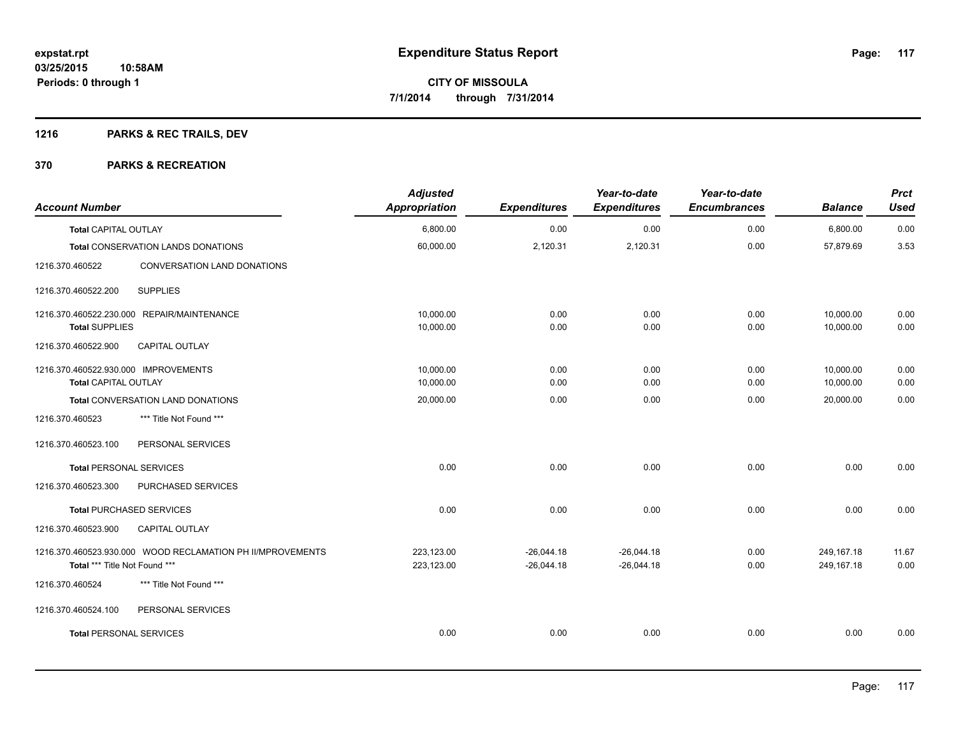## **1216 PARKS & REC TRAILS, DEV**

| <b>Account Number</b>                                                                       | <b>Adjusted</b><br><b>Appropriation</b> | <b>Expenditures</b>          | Year-to-date<br><b>Expenditures</b> | Year-to-date<br><b>Encumbrances</b> | <b>Balance</b>             | <b>Prct</b><br><b>Used</b> |
|---------------------------------------------------------------------------------------------|-----------------------------------------|------------------------------|-------------------------------------|-------------------------------------|----------------------------|----------------------------|
| <b>Total CAPITAL OUTLAY</b>                                                                 | 6,800.00                                | 0.00                         | 0.00                                | 0.00                                | 6,800.00                   | 0.00                       |
| <b>Total CONSERVATION LANDS DONATIONS</b>                                                   | 60,000.00                               | 2,120.31                     | 2,120.31                            | 0.00                                | 57,879.69                  | 3.53                       |
| CONVERSATION LAND DONATIONS<br>1216.370.460522                                              |                                         |                              |                                     |                                     |                            |                            |
| <b>SUPPLIES</b><br>1216.370.460522.200                                                      |                                         |                              |                                     |                                     |                            |                            |
| 1216.370.460522.230.000 REPAIR/MAINTENANCE<br><b>Total SUPPLIES</b>                         | 10,000.00<br>10,000.00                  | 0.00<br>0.00                 | 0.00<br>0.00                        | 0.00<br>0.00                        | 10,000.00<br>10,000.00     | 0.00<br>0.00               |
| 1216.370.460522.900<br><b>CAPITAL OUTLAY</b>                                                |                                         |                              |                                     |                                     |                            |                            |
| 1216.370.460522.930.000 IMPROVEMENTS<br><b>Total CAPITAL OUTLAY</b>                         | 10,000.00<br>10,000.00                  | 0.00<br>0.00                 | 0.00<br>0.00                        | 0.00<br>0.00                        | 10,000.00<br>10,000.00     | 0.00<br>0.00               |
| Total CONVERSATION LAND DONATIONS                                                           | 20,000.00                               | 0.00                         | 0.00                                | 0.00                                | 20,000.00                  | 0.00                       |
| *** Title Not Found ***<br>1216.370.460523                                                  |                                         |                              |                                     |                                     |                            |                            |
| 1216.370.460523.100<br>PERSONAL SERVICES                                                    |                                         |                              |                                     |                                     |                            |                            |
| <b>Total PERSONAL SERVICES</b>                                                              | 0.00                                    | 0.00                         | 0.00                                | 0.00                                | 0.00                       | 0.00                       |
| 1216.370.460523.300<br>PURCHASED SERVICES                                                   |                                         |                              |                                     |                                     |                            |                            |
| <b>Total PURCHASED SERVICES</b>                                                             | 0.00                                    | 0.00                         | 0.00                                | 0.00                                | 0.00                       | 0.00                       |
| CAPITAL OUTLAY<br>1216.370.460523.900                                                       |                                         |                              |                                     |                                     |                            |                            |
| 1216.370.460523.930.000 WOOD RECLAMATION PH II/MPROVEMENTS<br>Total *** Title Not Found *** | 223,123.00<br>223,123.00                | $-26.044.18$<br>$-26,044.18$ | $-26.044.18$<br>$-26,044.18$        | 0.00<br>0.00                        | 249.167.18<br>249, 167. 18 | 11.67<br>0.00              |
| *** Title Not Found ***<br>1216.370.460524                                                  |                                         |                              |                                     |                                     |                            |                            |
| 1216.370.460524.100<br>PERSONAL SERVICES                                                    |                                         |                              |                                     |                                     |                            |                            |
| <b>Total PERSONAL SERVICES</b>                                                              | 0.00                                    | 0.00                         | 0.00                                | 0.00                                | 0.00                       | 0.00                       |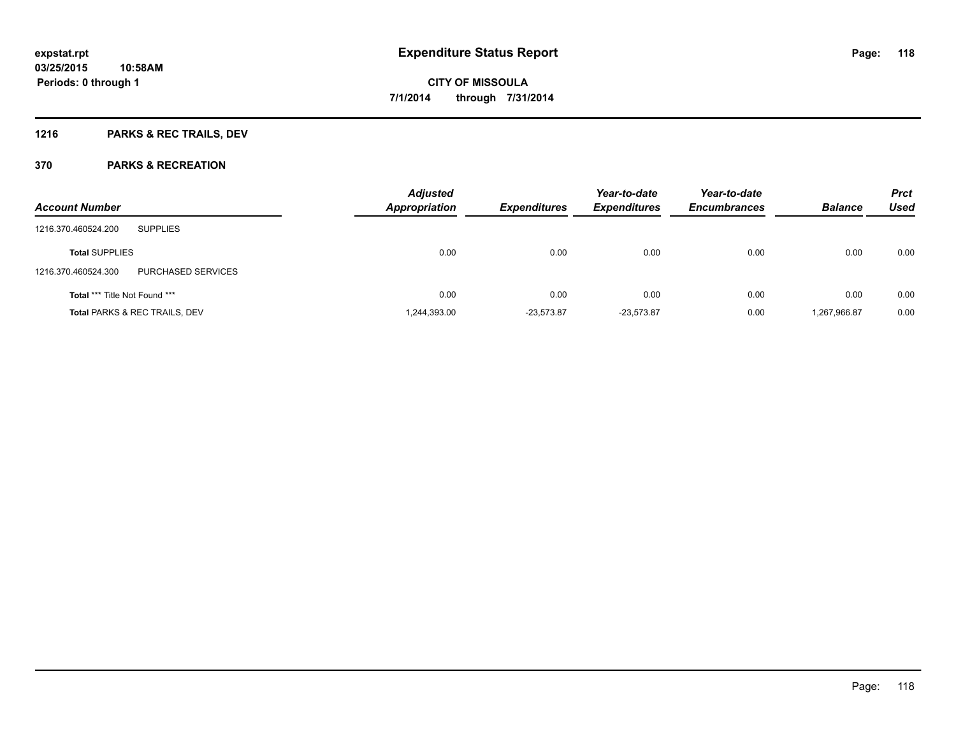## **1216 PARKS & REC TRAILS, DEV**

|                                           | <b>Adjusted</b> |                     | Year-to-date        | Year-to-date        |                | <b>Prct</b> |
|-------------------------------------------|-----------------|---------------------|---------------------|---------------------|----------------|-------------|
| <b>Account Number</b>                     | Appropriation   | <b>Expenditures</b> | <b>Expenditures</b> | <b>Encumbrances</b> | <b>Balance</b> | <b>Used</b> |
| <b>SUPPLIES</b><br>1216.370.460524.200    |                 |                     |                     |                     |                |             |
| <b>Total SUPPLIES</b>                     | 0.00            | 0.00                | 0.00                | 0.00                | 0.00           | 0.00        |
| PURCHASED SERVICES<br>1216.370.460524.300 |                 |                     |                     |                     |                |             |
| <b>Total *** Title Not Found ***</b>      | 0.00            | 0.00                | 0.00                | 0.00                | 0.00           | 0.00        |
| <b>Total PARKS &amp; REC TRAILS, DEV</b>  | 1,244,393.00    | $-23,573.87$        | $-23,573.87$        | 0.00                | 1,267,966.87   | 0.00        |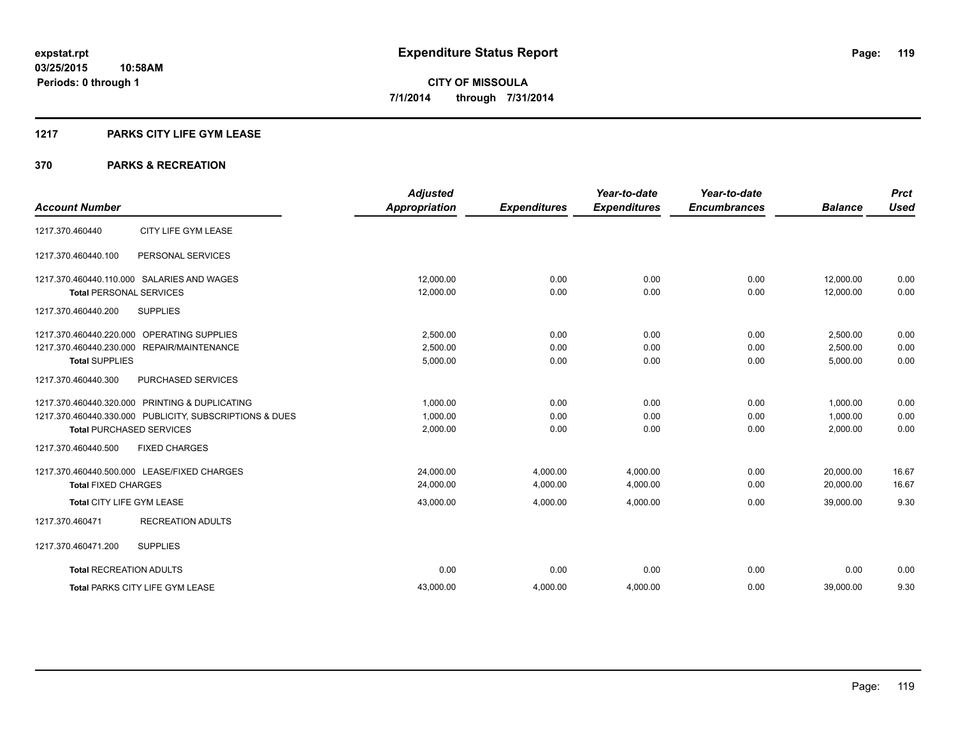### **1217 PARKS CITY LIFE GYM LEASE**

| <b>Account Number</b>                                   | <b>Adjusted</b><br><b>Appropriation</b> | <b>Expenditures</b> | Year-to-date<br><b>Expenditures</b> | Year-to-date<br><b>Encumbrances</b> | <b>Balance</b> | <b>Prct</b><br><b>Used</b> |
|---------------------------------------------------------|-----------------------------------------|---------------------|-------------------------------------|-------------------------------------|----------------|----------------------------|
|                                                         |                                         |                     |                                     |                                     |                |                            |
| CITY LIFE GYM LEASE<br>1217.370.460440                  |                                         |                     |                                     |                                     |                |                            |
| PERSONAL SERVICES<br>1217.370.460440.100                |                                         |                     |                                     |                                     |                |                            |
| 1217.370.460440.110.000 SALARIES AND WAGES              | 12,000.00                               | 0.00                | 0.00                                | 0.00                                | 12,000.00      | 0.00                       |
| <b>Total PERSONAL SERVICES</b>                          | 12,000.00                               | 0.00                | 0.00                                | 0.00                                | 12,000.00      | 0.00                       |
| 1217.370.460440.200<br><b>SUPPLIES</b>                  |                                         |                     |                                     |                                     |                |                            |
| 1217.370.460440.220.000 OPERATING SUPPLIES              | 2,500.00                                | 0.00                | 0.00                                | 0.00                                | 2,500.00       | 0.00                       |
| 1217.370.460440.230.000 REPAIR/MAINTENANCE              | 2,500.00                                | 0.00                | 0.00                                | 0.00                                | 2,500.00       | 0.00                       |
| <b>Total SUPPLIES</b>                                   | 5,000.00                                | 0.00                | 0.00                                | 0.00                                | 5,000.00       | 0.00                       |
| PURCHASED SERVICES<br>1217.370.460440.300               |                                         |                     |                                     |                                     |                |                            |
| 1217.370.460440.320.000 PRINTING & DUPLICATING          | 1,000.00                                | 0.00                | 0.00                                | 0.00                                | 1,000.00       | 0.00                       |
| 1217.370.460440.330.000 PUBLICITY, SUBSCRIPTIONS & DUES | 1,000.00                                | 0.00                | 0.00                                | 0.00                                | 1,000.00       | 0.00                       |
| <b>Total PURCHASED SERVICES</b>                         | 2,000.00                                | 0.00                | 0.00                                | 0.00                                | 2,000.00       | 0.00                       |
| 1217.370.460440.500<br><b>FIXED CHARGES</b>             |                                         |                     |                                     |                                     |                |                            |
| 1217.370.460440.500.000 LEASE/FIXED CHARGES             | 24,000.00                               | 4,000.00            | 4,000.00                            | 0.00                                | 20,000.00      | 16.67                      |
| <b>Total FIXED CHARGES</b>                              | 24,000.00                               | 4,000.00            | 4,000.00                            | 0.00                                | 20,000.00      | 16.67                      |
| Total CITY LIFE GYM LEASE                               | 43,000.00                               | 4,000.00            | 4,000.00                            | 0.00                                | 39,000.00      | 9.30                       |
| 1217.370.460471<br><b>RECREATION ADULTS</b>             |                                         |                     |                                     |                                     |                |                            |
| <b>SUPPLIES</b><br>1217.370.460471.200                  |                                         |                     |                                     |                                     |                |                            |
| <b>Total RECREATION ADULTS</b>                          | 0.00                                    | 0.00                | 0.00                                | 0.00                                | 0.00           | 0.00                       |
| <b>Total PARKS CITY LIFE GYM LEASE</b>                  | 43,000.00                               | 4,000.00            | 4,000.00                            | 0.00                                | 39,000.00      | 9.30                       |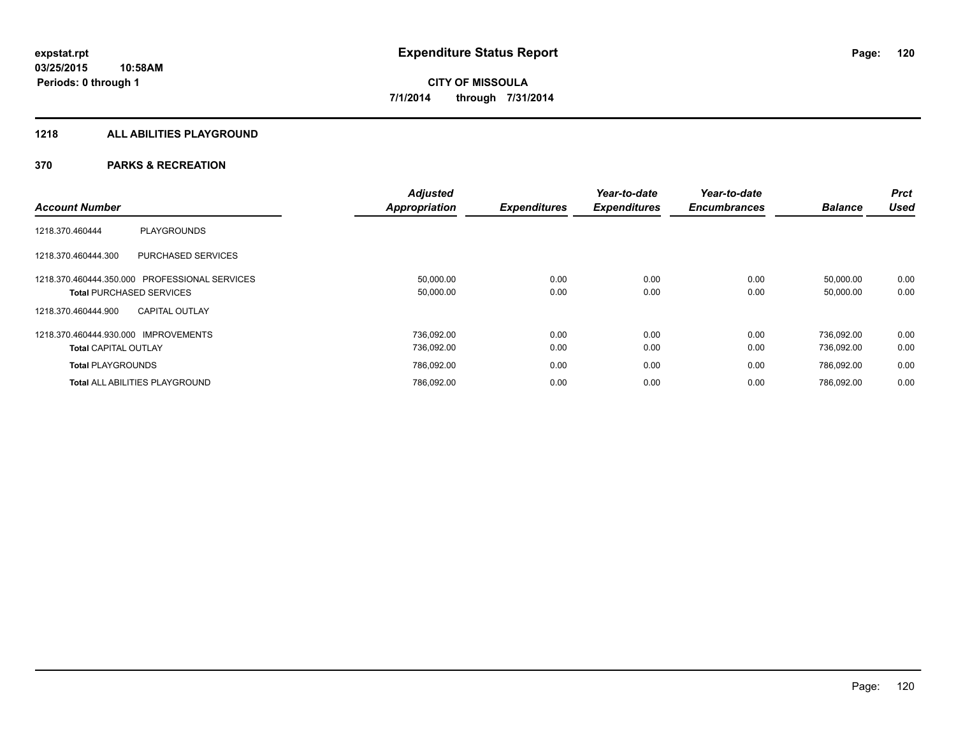### **1218 ALL ABILITIES PLAYGROUND**

|                                               | <b>Adjusted</b>      | <b>Expenditures</b> | Year-to-date<br><b>Expenditures</b> | Year-to-date<br><b>Encumbrances</b> |                | Prct<br>Used |
|-----------------------------------------------|----------------------|---------------------|-------------------------------------|-------------------------------------|----------------|--------------|
| <b>Account Number</b>                         | <b>Appropriation</b> |                     |                                     |                                     | <b>Balance</b> |              |
| <b>PLAYGROUNDS</b><br>1218.370.460444         |                      |                     |                                     |                                     |                |              |
| PURCHASED SERVICES<br>1218.370.460444.300     |                      |                     |                                     |                                     |                |              |
| 1218.370.460444.350.000 PROFESSIONAL SERVICES | 50,000.00            | 0.00                | 0.00                                | 0.00                                | 50.000.00      | 0.00         |
| <b>Total PURCHASED SERVICES</b>               | 50,000.00            | 0.00                | 0.00                                | 0.00                                | 50,000.00      | 0.00         |
| <b>CAPITAL OUTLAY</b><br>1218.370.460444.900  |                      |                     |                                     |                                     |                |              |
| 1218.370.460444.930.000 IMPROVEMENTS          | 736,092.00           | 0.00                | 0.00                                | 0.00                                | 736.092.00     | 0.00         |
| <b>Total CAPITAL OUTLAY</b>                   | 736,092.00           | 0.00                | 0.00                                | 0.00                                | 736,092.00     | 0.00         |
| <b>Total PLAYGROUNDS</b>                      | 786,092.00           | 0.00                | 0.00                                | 0.00                                | 786,092.00     | 0.00         |
| <b>Total ALL ABILITIES PLAYGROUND</b>         | 786,092.00           | 0.00                | 0.00                                | 0.00                                | 786.092.00     | 0.00         |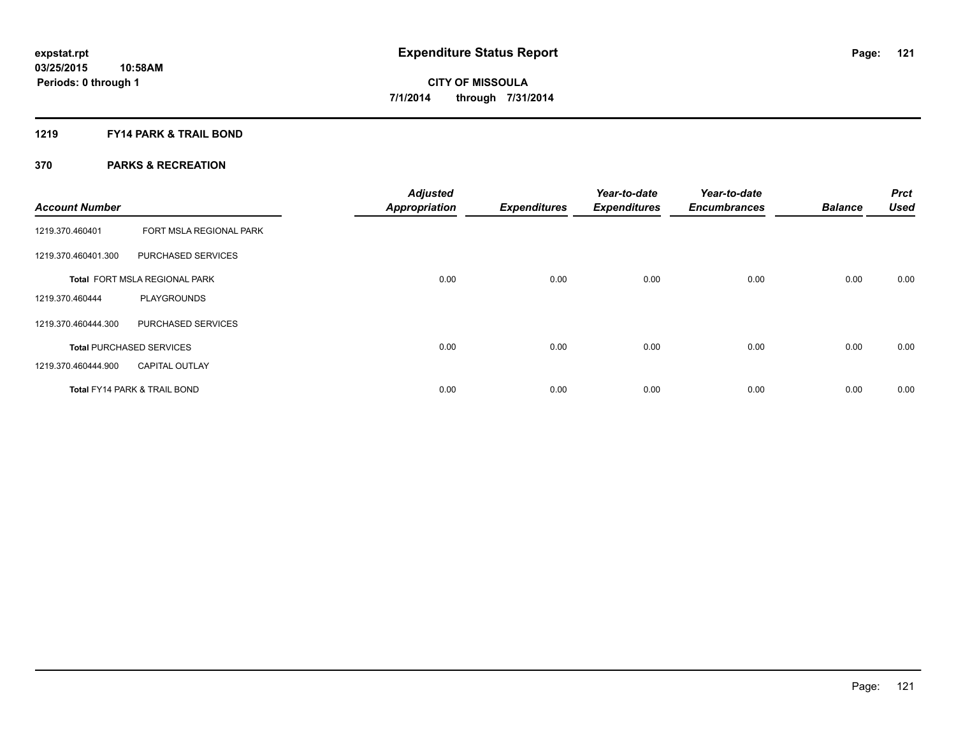### **1219 FY14 PARK & TRAIL BOND**

| <b>Account Number</b> |                                 | <b>Adjusted</b><br><b>Appropriation</b> | <b>Expenditures</b> | Year-to-date<br><b>Expenditures</b> | Year-to-date<br><b>Encumbrances</b> | <b>Balance</b> | <b>Prct</b><br><b>Used</b> |
|-----------------------|---------------------------------|-----------------------------------------|---------------------|-------------------------------------|-------------------------------------|----------------|----------------------------|
| 1219.370.460401       | FORT MSLA REGIONAL PARK         |                                         |                     |                                     |                                     |                |                            |
| 1219.370.460401.300   | PURCHASED SERVICES              |                                         |                     |                                     |                                     |                |                            |
|                       | Total FORT MSLA REGIONAL PARK   | 0.00                                    | 0.00                | 0.00                                | 0.00                                | 0.00           | 0.00                       |
| 1219.370.460444       | <b>PLAYGROUNDS</b>              |                                         |                     |                                     |                                     |                |                            |
| 1219.370.460444.300   | PURCHASED SERVICES              |                                         |                     |                                     |                                     |                |                            |
|                       | <b>Total PURCHASED SERVICES</b> | 0.00                                    | 0.00                | 0.00                                | 0.00                                | 0.00           | 0.00                       |
| 1219.370.460444.900   | <b>CAPITAL OUTLAY</b>           |                                         |                     |                                     |                                     |                |                            |
|                       | Total FY14 PARK & TRAIL BOND    | 0.00                                    | 0.00                | 0.00                                | 0.00                                | 0.00           | 0.00                       |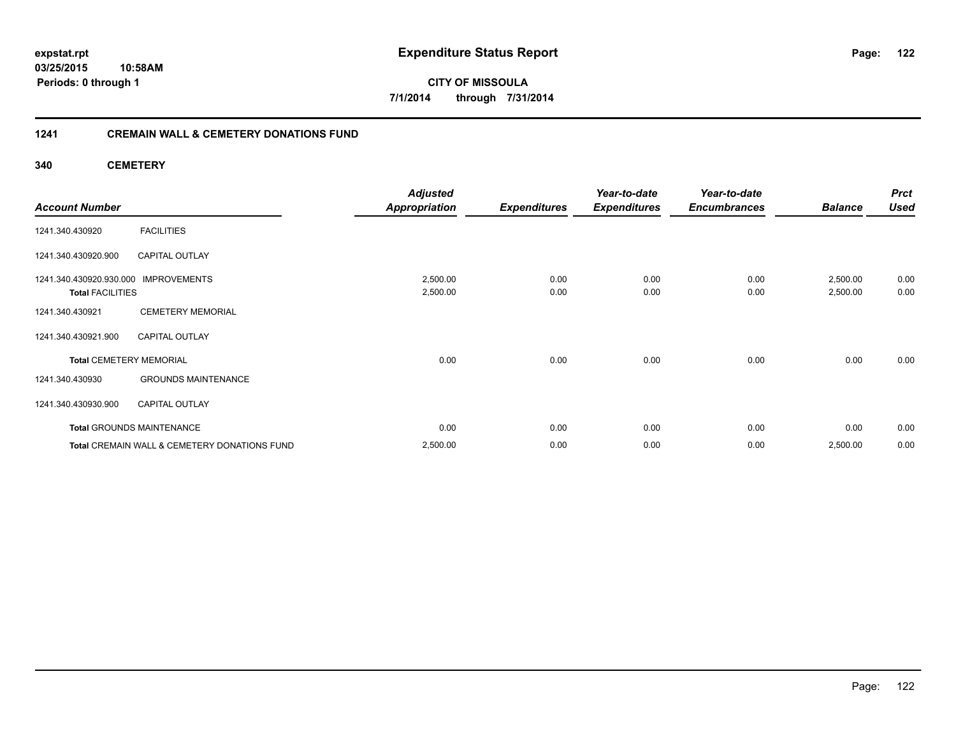### **03/25/2015 10:58AM Periods: 0 through 1**

**CITY OF MISSOULA 7/1/2014 through 7/31/2014**

### **1241 CREMAIN WALL & CEMETERY DONATIONS FUND**

**340 CEMETERY**

|                                |                                              | <b>Adjusted</b>      |                     | Year-to-date        | Year-to-date        |                | <b>Prct</b> |
|--------------------------------|----------------------------------------------|----------------------|---------------------|---------------------|---------------------|----------------|-------------|
| <b>Account Number</b>          |                                              | <b>Appropriation</b> | <b>Expenditures</b> | <b>Expenditures</b> | <b>Encumbrances</b> | <b>Balance</b> | <b>Used</b> |
| 1241.340.430920                | <b>FACILITIES</b>                            |                      |                     |                     |                     |                |             |
| 1241.340.430920.900            | <b>CAPITAL OUTLAY</b>                        |                      |                     |                     |                     |                |             |
| 1241.340.430920.930.000        | <b>IMPROVEMENTS</b>                          | 2,500.00             | 0.00                | 0.00                | 0.00                | 2,500.00       | 0.00        |
| <b>Total FACILITIES</b>        |                                              | 2,500.00             | 0.00                | 0.00                | 0.00                | 2,500.00       | 0.00        |
| 1241.340.430921                | <b>CEMETERY MEMORIAL</b>                     |                      |                     |                     |                     |                |             |
| 1241.340.430921.900            | <b>CAPITAL OUTLAY</b>                        |                      |                     |                     |                     |                |             |
| <b>Total CEMETERY MEMORIAL</b> |                                              | 0.00                 | 0.00                | 0.00                | 0.00                | 0.00           | 0.00        |
| 1241.340.430930                | <b>GROUNDS MAINTENANCE</b>                   |                      |                     |                     |                     |                |             |
| 1241.340.430930.900            | <b>CAPITAL OUTLAY</b>                        |                      |                     |                     |                     |                |             |
|                                | <b>Total GROUNDS MAINTENANCE</b>             | 0.00                 | 0.00                | 0.00                | 0.00                | 0.00           | 0.00        |
|                                | Total CREMAIN WALL & CEMETERY DONATIONS FUND | 2,500.00             | 0.00                | 0.00                | 0.00                | 2,500.00       | 0.00        |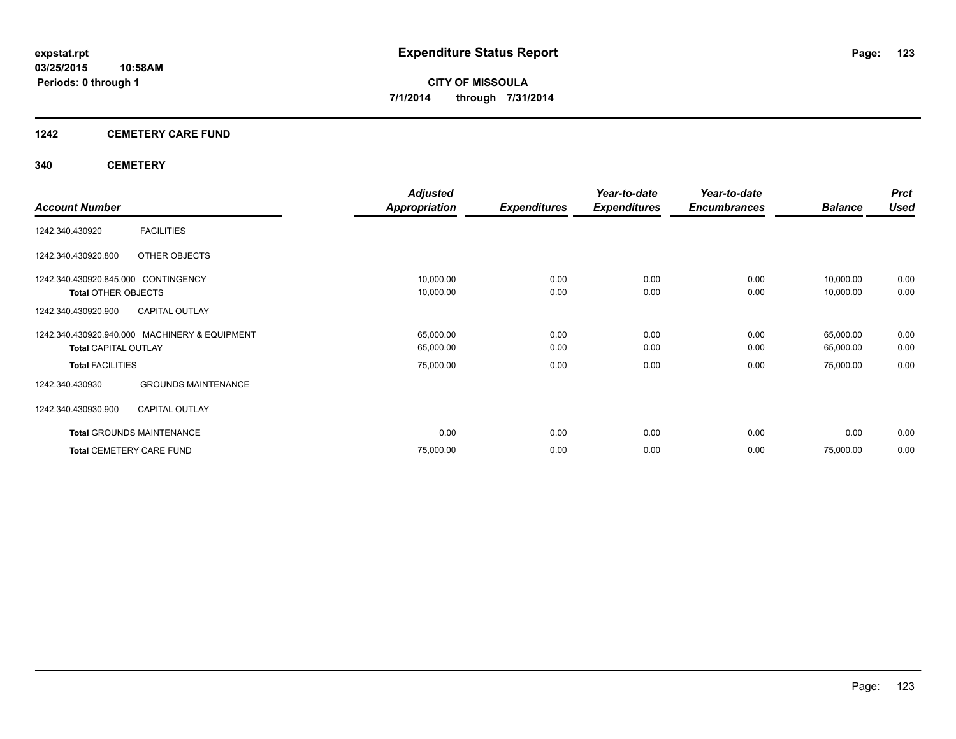### **1242 CEMETERY CARE FUND**

### **340 CEMETERY**

|                                               | <b>Adjusted</b>      |                     | Year-to-date        | Year-to-date        |                | <b>Prct</b> |
|-----------------------------------------------|----------------------|---------------------|---------------------|---------------------|----------------|-------------|
| <b>Account Number</b>                         | <b>Appropriation</b> | <b>Expenditures</b> | <b>Expenditures</b> | <b>Encumbrances</b> | <b>Balance</b> | <b>Used</b> |
| <b>FACILITIES</b><br>1242.340.430920          |                      |                     |                     |                     |                |             |
| OTHER OBJECTS<br>1242.340.430920.800          |                      |                     |                     |                     |                |             |
| 1242.340.430920.845.000 CONTINGENCY           | 10,000.00            | 0.00                | 0.00                | 0.00                | 10,000.00      | 0.00        |
| <b>Total OTHER OBJECTS</b>                    | 10,000.00            | 0.00                | 0.00                | 0.00                | 10,000.00      | 0.00        |
| <b>CAPITAL OUTLAY</b><br>1242.340.430920.900  |                      |                     |                     |                     |                |             |
| 1242.340.430920.940.000 MACHINERY & EQUIPMENT | 65,000.00            | 0.00                | 0.00                | 0.00                | 65,000.00      | 0.00        |
| <b>Total CAPITAL OUTLAY</b>                   | 65,000.00            | 0.00                | 0.00                | 0.00                | 65,000.00      | 0.00        |
| <b>Total FACILITIES</b>                       | 75,000.00            | 0.00                | 0.00                | 0.00                | 75,000.00      | 0.00        |
| <b>GROUNDS MAINTENANCE</b><br>1242.340.430930 |                      |                     |                     |                     |                |             |
| <b>CAPITAL OUTLAY</b><br>1242.340.430930.900  |                      |                     |                     |                     |                |             |
| <b>Total GROUNDS MAINTENANCE</b>              | 0.00                 | 0.00                | 0.00                | 0.00                | 0.00           | 0.00        |
| <b>Total CEMETERY CARE FUND</b>               | 75,000.00            | 0.00                | 0.00                | 0.00                | 75,000.00      | 0.00        |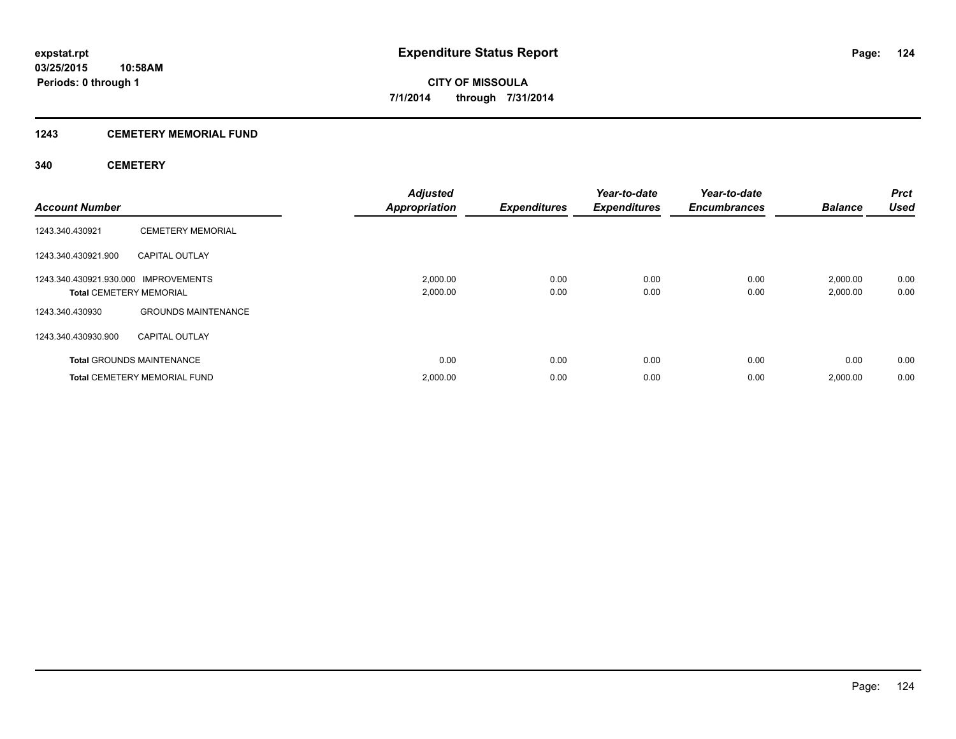### **1243 CEMETERY MEMORIAL FUND**

### **340 CEMETERY**

| <b>Account Number</b>                                                  |                                     | Adjusted<br><b>Appropriation</b> | <b>Expenditures</b> | Year-to-date<br><b>Expenditures</b> | Year-to-date<br><b>Encumbrances</b> | <b>Balance</b>       | <b>Prct</b><br><b>Used</b> |
|------------------------------------------------------------------------|-------------------------------------|----------------------------------|---------------------|-------------------------------------|-------------------------------------|----------------------|----------------------------|
| 1243.340.430921                                                        | <b>CEMETERY MEMORIAL</b>            |                                  |                     |                                     |                                     |                      |                            |
| 1243.340.430921.900                                                    | <b>CAPITAL OUTLAY</b>               |                                  |                     |                                     |                                     |                      |                            |
| 1243.340.430921.930.000 IMPROVEMENTS<br><b>Total CEMETERY MEMORIAL</b> |                                     | 2,000.00<br>2,000.00             | 0.00<br>0.00        | 0.00<br>0.00                        | 0.00<br>0.00                        | 2,000.00<br>2,000.00 | 0.00<br>0.00               |
| 1243.340.430930                                                        | <b>GROUNDS MAINTENANCE</b>          |                                  |                     |                                     |                                     |                      |                            |
| 1243.340.430930.900                                                    | <b>CAPITAL OUTLAY</b>               |                                  |                     |                                     |                                     |                      |                            |
|                                                                        | <b>Total GROUNDS MAINTENANCE</b>    | 0.00                             | 0.00                | 0.00                                | 0.00                                | 0.00                 | 0.00                       |
|                                                                        | <b>Total CEMETERY MEMORIAL FUND</b> | 2,000.00                         | 0.00                | 0.00                                | 0.00                                | 2,000.00             | 0.00                       |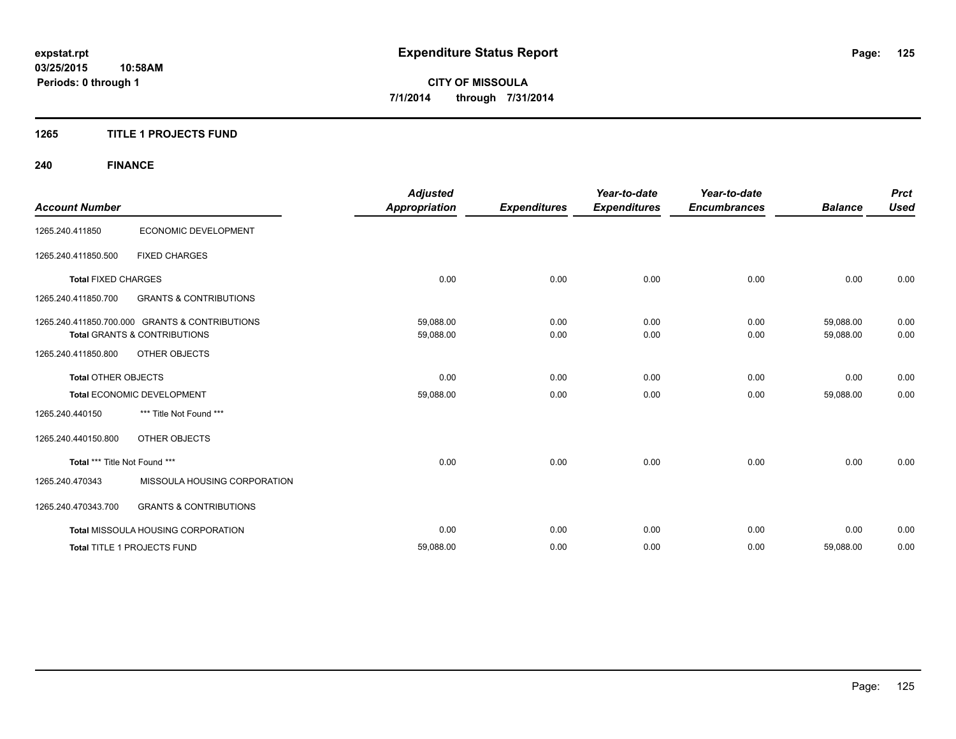### **1265 TITLE 1 PROJECTS FUND**

## **240 FINANCE**

|                               |                                                | <b>Adjusted</b>      |                     | Year-to-date        | Year-to-date        |                | <b>Prct</b> |
|-------------------------------|------------------------------------------------|----------------------|---------------------|---------------------|---------------------|----------------|-------------|
| <b>Account Number</b>         |                                                | <b>Appropriation</b> | <b>Expenditures</b> | <b>Expenditures</b> | <b>Encumbrances</b> | <b>Balance</b> | <b>Used</b> |
| 1265.240.411850               | ECONOMIC DEVELOPMENT                           |                      |                     |                     |                     |                |             |
| 1265.240.411850.500           | <b>FIXED CHARGES</b>                           |                      |                     |                     |                     |                |             |
| <b>Total FIXED CHARGES</b>    |                                                | 0.00                 | 0.00                | 0.00                | 0.00                | 0.00           | 0.00        |
| 1265.240.411850.700           | <b>GRANTS &amp; CONTRIBUTIONS</b>              |                      |                     |                     |                     |                |             |
|                               | 1265.240.411850.700.000 GRANTS & CONTRIBUTIONS | 59,088.00            | 0.00                | 0.00                | 0.00                | 59,088.00      | 0.00        |
|                               | <b>Total GRANTS &amp; CONTRIBUTIONS</b>        | 59,088.00            | 0.00                | 0.00                | 0.00                | 59,088.00      | 0.00        |
| 1265.240.411850.800           | OTHER OBJECTS                                  |                      |                     |                     |                     |                |             |
| <b>Total OTHER OBJECTS</b>    |                                                | 0.00                 | 0.00                | 0.00                | 0.00                | 0.00           | 0.00        |
|                               | Total ECONOMIC DEVELOPMENT                     | 59,088.00            | 0.00                | 0.00                | 0.00                | 59,088.00      | 0.00        |
| 1265.240.440150               | *** Title Not Found ***                        |                      |                     |                     |                     |                |             |
| 1265.240.440150.800           | <b>OTHER OBJECTS</b>                           |                      |                     |                     |                     |                |             |
| Total *** Title Not Found *** |                                                | 0.00                 | 0.00                | 0.00                | 0.00                | 0.00           | 0.00        |
| 1265.240.470343               | MISSOULA HOUSING CORPORATION                   |                      |                     |                     |                     |                |             |
| 1265.240.470343.700           | <b>GRANTS &amp; CONTRIBUTIONS</b>              |                      |                     |                     |                     |                |             |
|                               | <b>Total MISSOULA HOUSING CORPORATION</b>      | 0.00                 | 0.00                | 0.00                | 0.00                | 0.00           | 0.00        |
|                               | Total TITLE 1 PROJECTS FUND                    | 59,088.00            | 0.00                | 0.00                | 0.00                | 59,088.00      | 0.00        |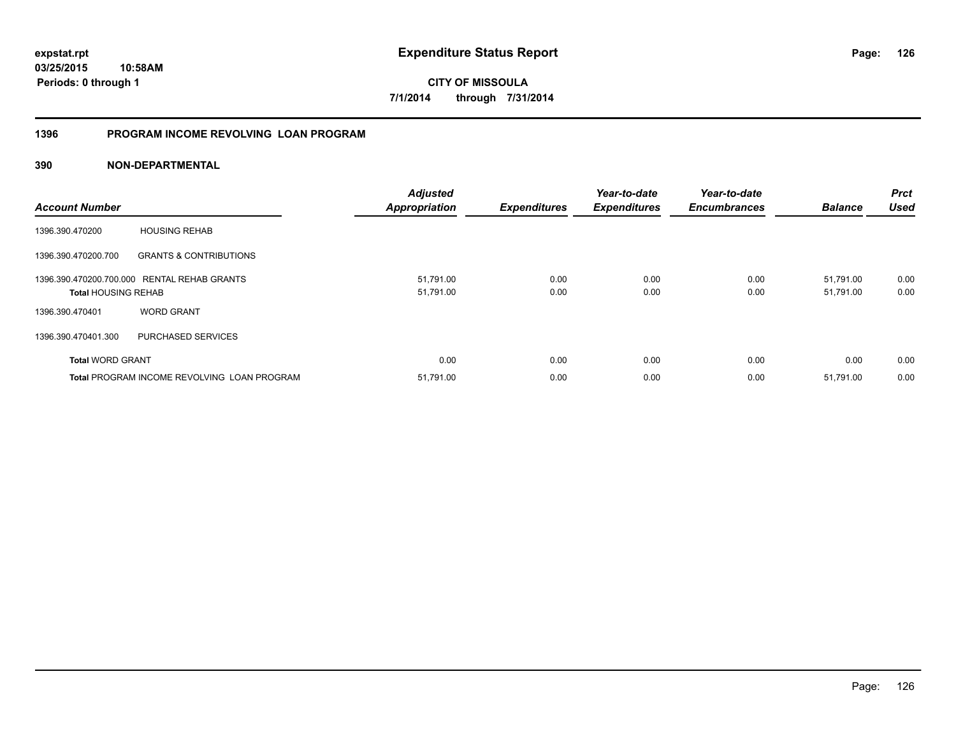### **1396 PROGRAM INCOME REVOLVING LOAN PROGRAM**

| <b>Account Number</b>      |                                                    | <b>Adjusted</b><br><b>Appropriation</b> | <b>Expenditures</b> | Year-to-date<br><b>Expenditures</b> | Year-to-date<br><b>Encumbrances</b> | <b>Balance</b>         | <b>Prct</b><br><b>Used</b> |
|----------------------------|----------------------------------------------------|-----------------------------------------|---------------------|-------------------------------------|-------------------------------------|------------------------|----------------------------|
| 1396.390.470200            | <b>HOUSING REHAB</b>                               |                                         |                     |                                     |                                     |                        |                            |
| 1396.390.470200.700        | <b>GRANTS &amp; CONTRIBUTIONS</b>                  |                                         |                     |                                     |                                     |                        |                            |
| <b>Total HOUSING REHAB</b> | 1396.390.470200.700.000 RENTAL REHAB GRANTS        | 51,791.00<br>51,791.00                  | 0.00<br>0.00        | 0.00<br>0.00                        | 0.00<br>0.00                        | 51.791.00<br>51,791.00 | 0.00<br>0.00               |
| 1396.390.470401            | <b>WORD GRANT</b>                                  |                                         |                     |                                     |                                     |                        |                            |
| 1396.390.470401.300        | PURCHASED SERVICES                                 |                                         |                     |                                     |                                     |                        |                            |
| <b>Total WORD GRANT</b>    |                                                    | 0.00                                    | 0.00                | 0.00                                | 0.00                                | 0.00                   | 0.00                       |
|                            | <b>Total PROGRAM INCOME REVOLVING LOAN PROGRAM</b> | 51,791.00                               | 0.00                | 0.00                                | 0.00                                | 51,791.00              | 0.00                       |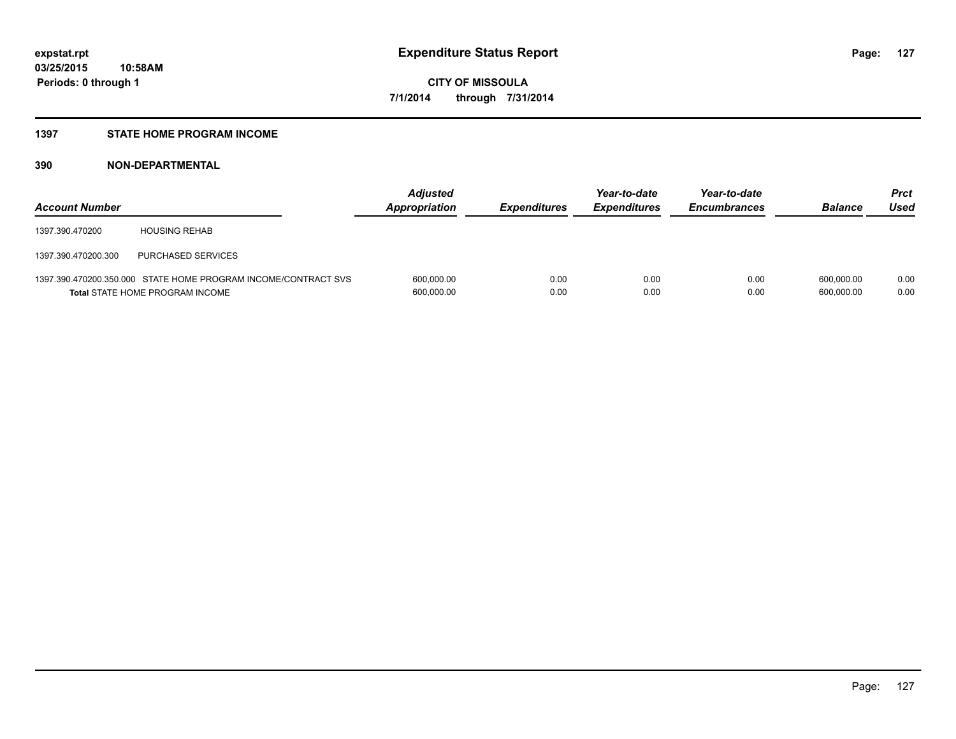### **1397 STATE HOME PROGRAM INCOME**

| <b>Account Number</b> |                                                                                                          | <b>Adjusted</b><br>Appropriation | <b>Expenditures</b> | Year-to-date<br><b>Expenditures</b> | Year-to-date<br><b>Encumbrances</b> | <b>Balance</b>           | Prct<br>Used |
|-----------------------|----------------------------------------------------------------------------------------------------------|----------------------------------|---------------------|-------------------------------------|-------------------------------------|--------------------------|--------------|
| 1397.390.470200       | <b>HOUSING REHAB</b>                                                                                     |                                  |                     |                                     |                                     |                          |              |
| 1397.390.470200.300   | PURCHASED SERVICES                                                                                       |                                  |                     |                                     |                                     |                          |              |
|                       | 1397.390.470200.350.000 STATE HOME PROGRAM INCOME/CONTRACT SVS<br><b>Total STATE HOME PROGRAM INCOME</b> | 600,000.00<br>600,000.00         | 0.00<br>0.00        | 0.00<br>0.00                        | 0.00<br>0.00                        | 600.000.00<br>600.000.00 | 0.00<br>0.00 |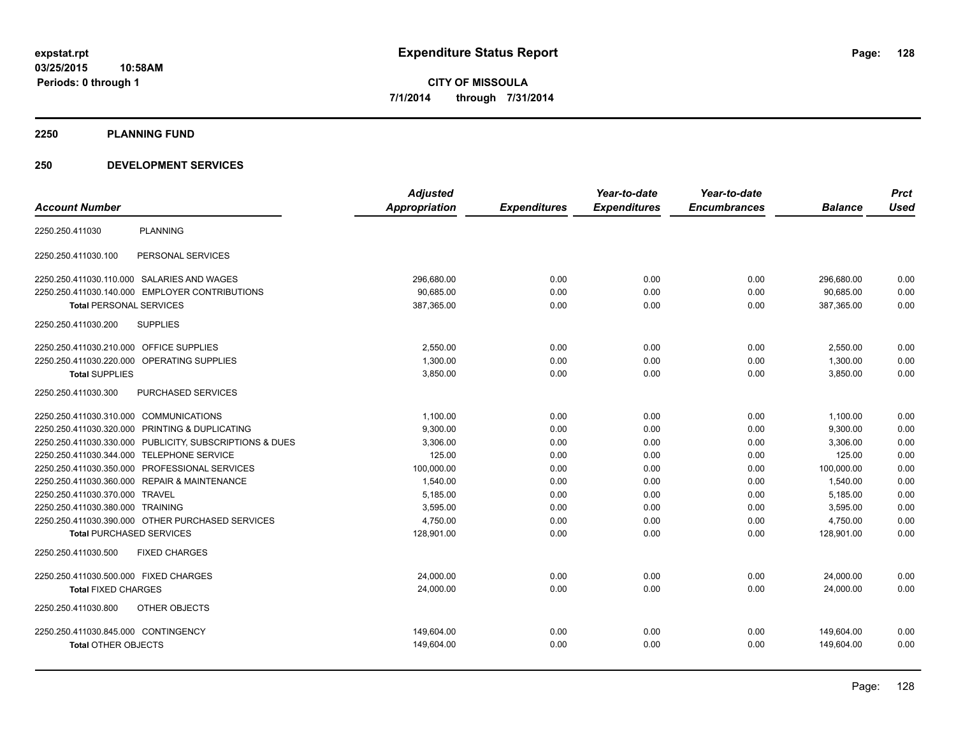### **2250 PLANNING FUND**

### **250 DEVELOPMENT SERVICES**

|                                                         | <b>Adjusted</b> |                     | Year-to-date        | Year-to-date        |                | <b>Prct</b><br><b>Used</b> |
|---------------------------------------------------------|-----------------|---------------------|---------------------|---------------------|----------------|----------------------------|
| <b>Account Number</b>                                   | Appropriation   | <b>Expenditures</b> | <b>Expenditures</b> | <b>Encumbrances</b> | <b>Balance</b> |                            |
| <b>PLANNING</b><br>2250.250.411030                      |                 |                     |                     |                     |                |                            |
| PERSONAL SERVICES<br>2250.250.411030.100                |                 |                     |                     |                     |                |                            |
| 2250.250.411030.110.000 SALARIES AND WAGES              | 296,680.00      | 0.00                | 0.00                | 0.00                | 296,680.00     | 0.00                       |
| 2250.250.411030.140.000 EMPLOYER CONTRIBUTIONS          | 90,685.00       | 0.00                | 0.00                | 0.00                | 90,685.00      | 0.00                       |
| <b>Total PERSONAL SERVICES</b>                          | 387,365.00      | 0.00                | 0.00                | 0.00                | 387,365.00     | 0.00                       |
| <b>SUPPLIES</b><br>2250.250.411030.200                  |                 |                     |                     |                     |                |                            |
| 2250.250.411030.210.000 OFFICE SUPPLIES                 | 2,550.00        | 0.00                | 0.00                | 0.00                | 2,550.00       | 0.00                       |
| 2250.250.411030.220.000 OPERATING SUPPLIES              | 1,300.00        | 0.00                | 0.00                | 0.00                | 1,300.00       | 0.00                       |
| <b>Total SUPPLIES</b>                                   | 3,850.00        | 0.00                | 0.00                | 0.00                | 3,850.00       | 0.00                       |
| PURCHASED SERVICES<br>2250.250.411030.300               |                 |                     |                     |                     |                |                            |
| 2250.250.411030.310.000 COMMUNICATIONS                  | 1,100.00        | 0.00                | 0.00                | 0.00                | 1,100.00       | 0.00                       |
| 2250.250.411030.320.000 PRINTING & DUPLICATING          | 9.300.00        | 0.00                | 0.00                | 0.00                | 9,300.00       | 0.00                       |
| 2250.250.411030.330.000 PUBLICITY, SUBSCRIPTIONS & DUES | 3,306.00        | 0.00                | 0.00                | 0.00                | 3,306.00       | 0.00                       |
| 2250.250.411030.344.000 TELEPHONE SERVICE               | 125.00          | 0.00                | 0.00                | 0.00                | 125.00         | 0.00                       |
| 2250.250.411030.350.000 PROFESSIONAL SERVICES           | 100,000.00      | 0.00                | 0.00                | 0.00                | 100,000.00     | 0.00                       |
| 2250.250.411030.360.000 REPAIR & MAINTENANCE            | 1,540.00        | 0.00                | 0.00                | 0.00                | 1,540.00       | 0.00                       |
| 2250.250.411030.370.000 TRAVEL                          | 5,185.00        | 0.00                | 0.00                | 0.00                | 5,185.00       | 0.00                       |
| 2250.250.411030.380.000 TRAINING                        | 3,595.00        | 0.00                | 0.00                | 0.00                | 3,595.00       | 0.00                       |
| 2250.250.411030.390.000 OTHER PURCHASED SERVICES        | 4,750.00        | 0.00                | 0.00                | 0.00                | 4,750.00       | 0.00                       |
| <b>Total PURCHASED SERVICES</b>                         | 128,901.00      | 0.00                | 0.00                | 0.00                | 128,901.00     | 0.00                       |
| <b>FIXED CHARGES</b><br>2250.250.411030.500             |                 |                     |                     |                     |                |                            |
| 2250.250.411030.500.000 FIXED CHARGES                   | 24,000.00       | 0.00                | 0.00                | 0.00                | 24,000.00      | 0.00                       |
| <b>Total FIXED CHARGES</b>                              | 24,000.00       | 0.00                | 0.00                | 0.00                | 24,000.00      | 0.00                       |
| OTHER OBJECTS<br>2250.250.411030.800                    |                 |                     |                     |                     |                |                            |
| 2250.250.411030.845.000 CONTINGENCY                     | 149,604.00      | 0.00                | 0.00                | 0.00                | 149,604.00     | 0.00                       |
| <b>Total OTHER OBJECTS</b>                              | 149,604.00      | 0.00                | 0.00                | 0.00                | 149,604.00     | 0.00                       |
|                                                         |                 |                     |                     |                     |                |                            |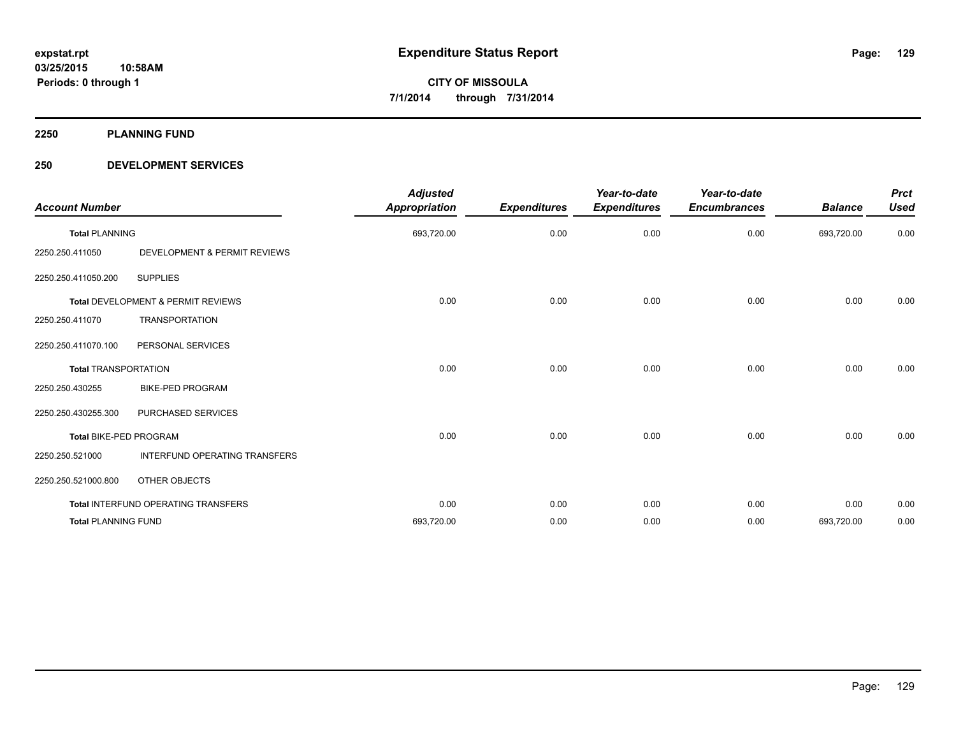**2250 PLANNING FUND**

### **250 DEVELOPMENT SERVICES**

| <b>Account Number</b>       |                                               | <b>Adjusted</b><br><b>Appropriation</b> | <b>Expenditures</b> | Year-to-date<br><b>Expenditures</b> | Year-to-date<br><b>Encumbrances</b> | <b>Balance</b> | <b>Prct</b><br><b>Used</b> |
|-----------------------------|-----------------------------------------------|-----------------------------------------|---------------------|-------------------------------------|-------------------------------------|----------------|----------------------------|
| <b>Total PLANNING</b>       |                                               | 693,720.00                              | 0.00                | 0.00                                | 0.00                                | 693,720.00     | 0.00                       |
| 2250.250.411050             | <b>DEVELOPMENT &amp; PERMIT REVIEWS</b>       |                                         |                     |                                     |                                     |                |                            |
| 2250.250.411050.200         | <b>SUPPLIES</b>                               |                                         |                     |                                     |                                     |                |                            |
|                             | <b>Total DEVELOPMENT &amp; PERMIT REVIEWS</b> | 0.00                                    | 0.00                | 0.00                                | 0.00                                | 0.00           | 0.00                       |
| 2250.250.411070             | <b>TRANSPORTATION</b>                         |                                         |                     |                                     |                                     |                |                            |
| 2250.250.411070.100         | PERSONAL SERVICES                             |                                         |                     |                                     |                                     |                |                            |
| <b>Total TRANSPORTATION</b> |                                               | 0.00                                    | 0.00                | 0.00                                | 0.00                                | 0.00           | 0.00                       |
| 2250.250.430255             | <b>BIKE-PED PROGRAM</b>                       |                                         |                     |                                     |                                     |                |                            |
| 2250.250.430255.300         | PURCHASED SERVICES                            |                                         |                     |                                     |                                     |                |                            |
| Total BIKE-PED PROGRAM      |                                               | 0.00                                    | 0.00                | 0.00                                | 0.00                                | 0.00           | 0.00                       |
| 2250.250.521000             | INTERFUND OPERATING TRANSFERS                 |                                         |                     |                                     |                                     |                |                            |
| 2250.250.521000.800         | OTHER OBJECTS                                 |                                         |                     |                                     |                                     |                |                            |
|                             | Total INTERFUND OPERATING TRANSFERS           | 0.00                                    | 0.00                | 0.00                                | 0.00                                | 0.00           | 0.00                       |
| <b>Total PLANNING FUND</b>  |                                               | 693,720.00                              | 0.00                | 0.00                                | 0.00                                | 693,720.00     | 0.00                       |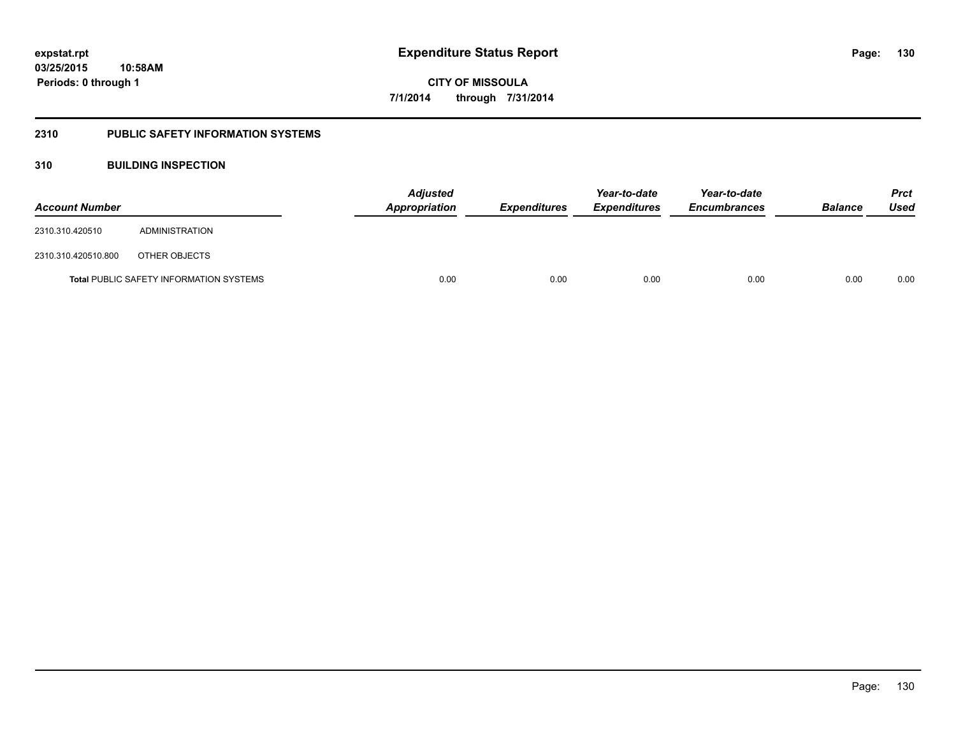### **2310 PUBLIC SAFETY INFORMATION SYSTEMS**

### **310 BUILDING INSPECTION**

| <b>Account Number</b> |                                                | <b>Adjusted</b><br>Appropriation | <b>Expenditures</b> | Year-to-date<br><b>Expenditures</b> | Year-to-date<br><b>Encumbrances</b> | <b>Balance</b> | <b>Prct</b><br>Used |
|-----------------------|------------------------------------------------|----------------------------------|---------------------|-------------------------------------|-------------------------------------|----------------|---------------------|
| 2310.310.420510       | ADMINISTRATION                                 |                                  |                     |                                     |                                     |                |                     |
| 2310.310.420510.800   | OTHER OBJECTS                                  |                                  |                     |                                     |                                     |                |                     |
|                       | <b>Total PUBLIC SAFETY INFORMATION SYSTEMS</b> | 0.00                             | 0.00                | 0.00                                | 0.00                                | 0.00           | 0.00                |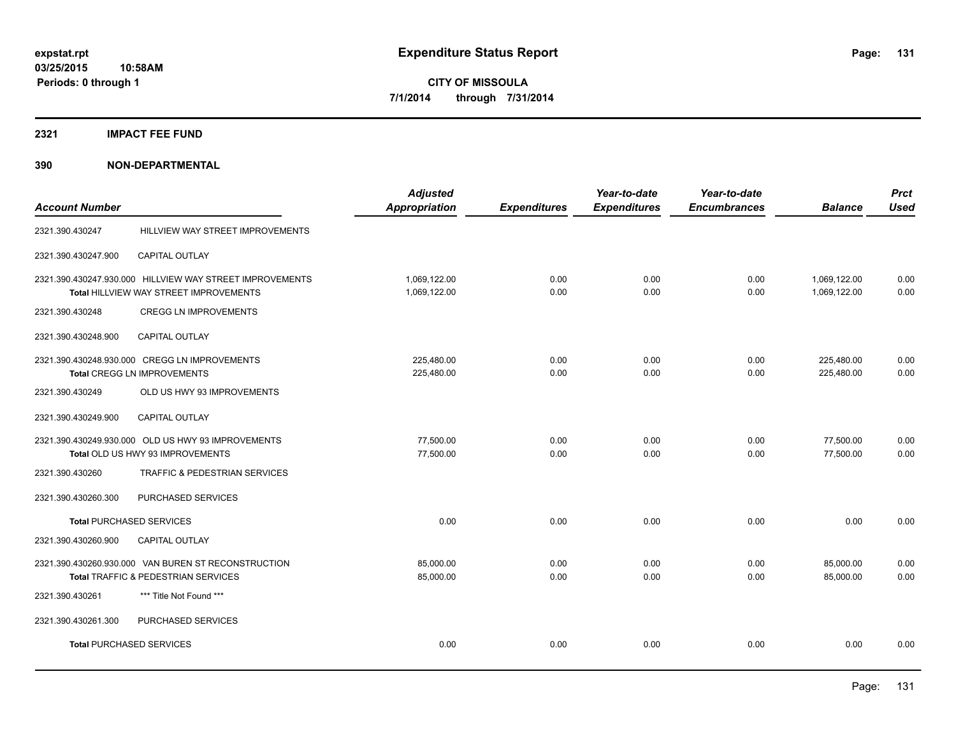### **2321 IMPACT FEE FUND**

|                                 |                                                          | <b>Adjusted</b> |                     | Year-to-date        | Year-to-date        |                | <b>Prct</b> |
|---------------------------------|----------------------------------------------------------|-----------------|---------------------|---------------------|---------------------|----------------|-------------|
| <b>Account Number</b>           |                                                          | Appropriation   | <b>Expenditures</b> | <b>Expenditures</b> | <b>Encumbrances</b> | <b>Balance</b> | <b>Used</b> |
| 2321.390.430247                 | HILLVIEW WAY STREET IMPROVEMENTS                         |                 |                     |                     |                     |                |             |
| 2321.390.430247.900             | <b>CAPITAL OUTLAY</b>                                    |                 |                     |                     |                     |                |             |
|                                 | 2321.390.430247.930.000 HILLVIEW WAY STREET IMPROVEMENTS | 1,069,122.00    | 0.00                | 0.00                | 0.00                | 1,069,122.00   | 0.00        |
|                                 | Total HILLVIEW WAY STREET IMPROVEMENTS                   | 1,069,122.00    | 0.00                | 0.00                | 0.00                | 1,069,122.00   | 0.00        |
| 2321.390.430248                 | <b>CREGG LN IMPROVEMENTS</b>                             |                 |                     |                     |                     |                |             |
| 2321.390.430248.900             | <b>CAPITAL OUTLAY</b>                                    |                 |                     |                     |                     |                |             |
|                                 | 2321.390.430248.930.000 CREGG LN IMPROVEMENTS            | 225,480.00      | 0.00                | 0.00                | 0.00                | 225,480.00     | 0.00        |
|                                 | <b>Total CREGG LN IMPROVEMENTS</b>                       | 225,480.00      | 0.00                | 0.00                | 0.00                | 225,480.00     | 0.00        |
| 2321.390.430249                 | OLD US HWY 93 IMPROVEMENTS                               |                 |                     |                     |                     |                |             |
| 2321.390.430249.900             | <b>CAPITAL OUTLAY</b>                                    |                 |                     |                     |                     |                |             |
|                                 | 2321.390.430249.930.000 OLD US HWY 93 IMPROVEMENTS       | 77,500.00       | 0.00                | 0.00                | 0.00                | 77,500.00      | 0.00        |
|                                 | Total OLD US HWY 93 IMPROVEMENTS                         | 77,500.00       | 0.00                | 0.00                | 0.00                | 77,500.00      | 0.00        |
| 2321.390.430260                 | <b>TRAFFIC &amp; PEDESTRIAN SERVICES</b>                 |                 |                     |                     |                     |                |             |
| 2321.390.430260.300             | PURCHASED SERVICES                                       |                 |                     |                     |                     |                |             |
| <b>Total PURCHASED SERVICES</b> |                                                          | 0.00            | 0.00                | 0.00                | 0.00                | 0.00           | 0.00        |
| 2321.390.430260.900             | <b>CAPITAL OUTLAY</b>                                    |                 |                     |                     |                     |                |             |
|                                 | 2321.390.430260.930.000 VAN BUREN ST RECONSTRUCTION      | 85,000.00       | 0.00                | 0.00                | 0.00                | 85,000.00      | 0.00        |
|                                 | Total TRAFFIC & PEDESTRIAN SERVICES                      | 85,000.00       | 0.00                | 0.00                | 0.00                | 85,000.00      | 0.00        |
| 2321.390.430261                 | *** Title Not Found ***                                  |                 |                     |                     |                     |                |             |
| 2321.390.430261.300             | PURCHASED SERVICES                                       |                 |                     |                     |                     |                |             |
|                                 | <b>Total PURCHASED SERVICES</b>                          | 0.00            | 0.00                | 0.00                | 0.00                | 0.00           | 0.00        |
|                                 |                                                          |                 |                     |                     |                     |                |             |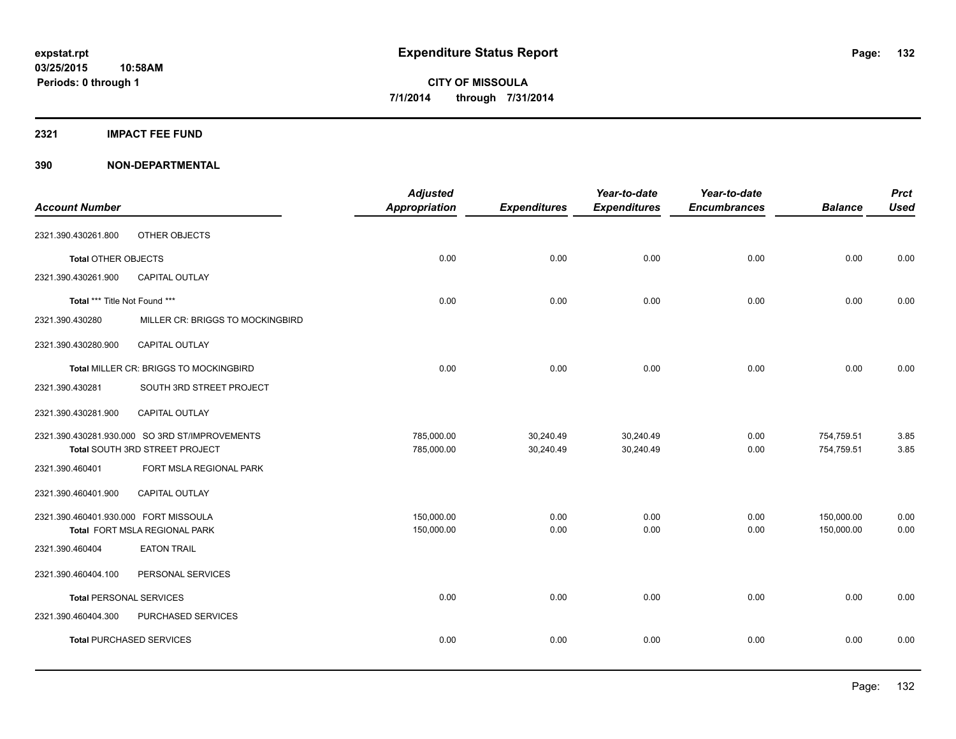### **2321 IMPACT FEE FUND**

| <b>Account Number</b>                 |                                                | <b>Adjusted</b><br>Appropriation | <b>Expenditures</b> | Year-to-date<br><b>Expenditures</b> | Year-to-date<br><b>Encumbrances</b> | <b>Balance</b> | <b>Prct</b><br><b>Used</b> |
|---------------------------------------|------------------------------------------------|----------------------------------|---------------------|-------------------------------------|-------------------------------------|----------------|----------------------------|
|                                       |                                                |                                  |                     |                                     |                                     |                |                            |
| 2321.390.430261.800                   | OTHER OBJECTS                                  |                                  |                     |                                     |                                     |                |                            |
| Total OTHER OBJECTS                   |                                                | 0.00                             | 0.00                | 0.00                                | 0.00                                | 0.00           | 0.00                       |
| 2321.390.430261.900                   | <b>CAPITAL OUTLAY</b>                          |                                  |                     |                                     |                                     |                |                            |
| Total *** Title Not Found ***         |                                                | 0.00                             | 0.00                | 0.00                                | 0.00                                | 0.00           | 0.00                       |
| 2321.390.430280                       | MILLER CR: BRIGGS TO MOCKINGBIRD               |                                  |                     |                                     |                                     |                |                            |
| 2321.390.430280.900                   | CAPITAL OUTLAY                                 |                                  |                     |                                     |                                     |                |                            |
|                                       | <b>Total MILLER CR: BRIGGS TO MOCKINGBIRD</b>  | 0.00                             | 0.00                | 0.00                                | 0.00                                | 0.00           | 0.00                       |
| 2321.390.430281                       | SOUTH 3RD STREET PROJECT                       |                                  |                     |                                     |                                     |                |                            |
| 2321.390.430281.900                   | CAPITAL OUTLAY                                 |                                  |                     |                                     |                                     |                |                            |
|                                       | 2321.390.430281.930.000 SO 3RD ST/IMPROVEMENTS | 785,000.00                       | 30,240.49           | 30,240.49                           | 0.00                                | 754,759.51     | 3.85                       |
|                                       | Total SOUTH 3RD STREET PROJECT                 | 785,000.00                       | 30,240.49           | 30,240.49                           | 0.00                                | 754,759.51     | 3.85                       |
| 2321.390.460401                       | FORT MSLA REGIONAL PARK                        |                                  |                     |                                     |                                     |                |                            |
| 2321.390.460401.900                   | <b>CAPITAL OUTLAY</b>                          |                                  |                     |                                     |                                     |                |                            |
| 2321.390.460401.930.000 FORT MISSOULA |                                                | 150,000.00                       | 0.00                | 0.00                                | 0.00                                | 150,000.00     | 0.00                       |
|                                       | Total FORT MSLA REGIONAL PARK                  | 150,000.00                       | 0.00                | 0.00                                | 0.00                                | 150,000.00     | 0.00                       |
| 2321.390.460404                       | <b>EATON TRAIL</b>                             |                                  |                     |                                     |                                     |                |                            |
| 2321.390.460404.100                   | PERSONAL SERVICES                              |                                  |                     |                                     |                                     |                |                            |
| <b>Total PERSONAL SERVICES</b>        |                                                | 0.00                             | 0.00                | 0.00                                | 0.00                                | 0.00           | 0.00                       |
| 2321.390.460404.300                   | PURCHASED SERVICES                             |                                  |                     |                                     |                                     |                |                            |
|                                       | <b>Total PURCHASED SERVICES</b>                | 0.00                             | 0.00                | 0.00                                | 0.00                                | 0.00           | 0.00                       |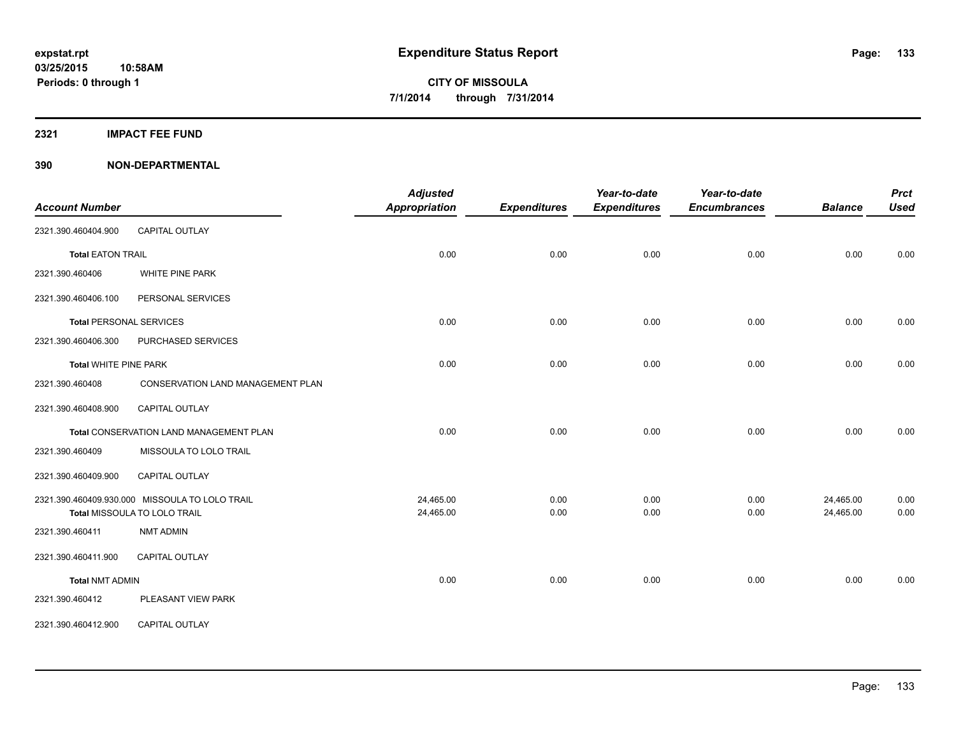**2321 IMPACT FEE FUND**

| <b>Account Number</b>          |                                                | <b>Adjusted</b><br><b>Appropriation</b> | <b>Expenditures</b> | Year-to-date<br><b>Expenditures</b> | Year-to-date<br><b>Encumbrances</b> | <b>Balance</b> | <b>Prct</b><br><b>Used</b> |
|--------------------------------|------------------------------------------------|-----------------------------------------|---------------------|-------------------------------------|-------------------------------------|----------------|----------------------------|
| 2321.390.460404.900            | <b>CAPITAL OUTLAY</b>                          |                                         |                     |                                     |                                     |                |                            |
| <b>Total EATON TRAIL</b>       |                                                | 0.00                                    | 0.00                | 0.00                                | 0.00                                | 0.00           | 0.00                       |
| 2321.390.460406                | WHITE PINE PARK                                |                                         |                     |                                     |                                     |                |                            |
| 2321.390.460406.100            | PERSONAL SERVICES                              |                                         |                     |                                     |                                     |                |                            |
| <b>Total PERSONAL SERVICES</b> |                                                | 0.00                                    | 0.00                | 0.00                                | 0.00                                | 0.00           | 0.00                       |
| 2321.390.460406.300            | PURCHASED SERVICES                             |                                         |                     |                                     |                                     |                |                            |
| <b>Total WHITE PINE PARK</b>   |                                                | 0.00                                    | 0.00                | 0.00                                | 0.00                                | 0.00           | 0.00                       |
| 2321.390.460408                | CONSERVATION LAND MANAGEMENT PLAN              |                                         |                     |                                     |                                     |                |                            |
| 2321.390.460408.900            | <b>CAPITAL OUTLAY</b>                          |                                         |                     |                                     |                                     |                |                            |
|                                | Total CONSERVATION LAND MANAGEMENT PLAN        | 0.00                                    | 0.00                | 0.00                                | 0.00                                | 0.00           | 0.00                       |
| 2321.390.460409                | MISSOULA TO LOLO TRAIL                         |                                         |                     |                                     |                                     |                |                            |
| 2321.390.460409.900            | <b>CAPITAL OUTLAY</b>                          |                                         |                     |                                     |                                     |                |                            |
|                                | 2321.390.460409.930.000 MISSOULA TO LOLO TRAIL | 24,465.00                               | 0.00                | 0.00                                | 0.00                                | 24,465.00      | 0.00                       |
|                                | Total MISSOULA TO LOLO TRAIL                   | 24,465.00                               | 0.00                | 0.00                                | 0.00                                | 24,465.00      | 0.00                       |
| 2321.390.460411                | <b>NMT ADMIN</b>                               |                                         |                     |                                     |                                     |                |                            |
| 2321.390.460411.900            | CAPITAL OUTLAY                                 |                                         |                     |                                     |                                     |                |                            |
| <b>Total NMT ADMIN</b>         |                                                | 0.00                                    | 0.00                | 0.00                                | 0.00                                | 0.00           | 0.00                       |
| 2321.390.460412                | PLEASANT VIEW PARK                             |                                         |                     |                                     |                                     |                |                            |
| 2321.390.460412.900            | CAPITAL OUTLAY                                 |                                         |                     |                                     |                                     |                |                            |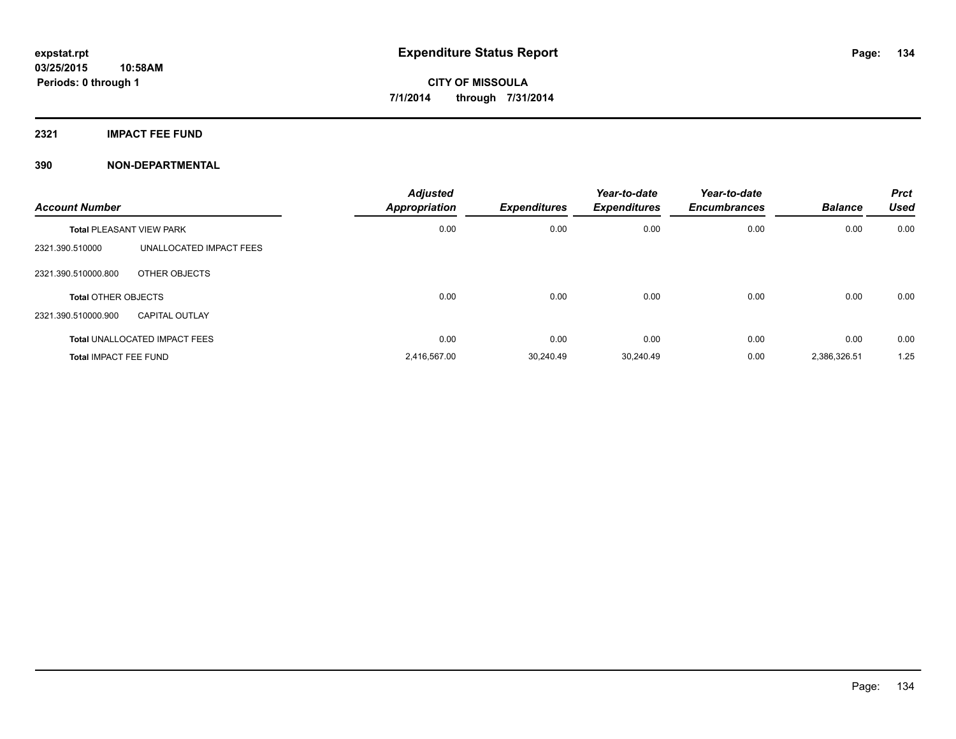**2321 IMPACT FEE FUND**

| <b>Account Number</b>           |                                      | <b>Adjusted</b><br><b>Appropriation</b> | <b>Expenditures</b> | Year-to-date<br><b>Expenditures</b> | Year-to-date<br><b>Encumbrances</b> | <b>Balance</b> | <b>Prct</b><br><b>Used</b> |
|---------------------------------|--------------------------------------|-----------------------------------------|---------------------|-------------------------------------|-------------------------------------|----------------|----------------------------|
| <b>Total PLEASANT VIEW PARK</b> |                                      | 0.00                                    | 0.00                | 0.00                                | 0.00                                | 0.00           | 0.00                       |
| 2321.390.510000                 | UNALLOCATED IMPACT FEES              |                                         |                     |                                     |                                     |                |                            |
| 2321.390.510000.800             | OTHER OBJECTS                        |                                         |                     |                                     |                                     |                |                            |
| <b>Total OTHER OBJECTS</b>      |                                      | 0.00                                    | 0.00                | 0.00                                | 0.00                                | 0.00           | 0.00                       |
| 2321.390.510000.900             | <b>CAPITAL OUTLAY</b>                |                                         |                     |                                     |                                     |                |                            |
|                                 | <b>Total UNALLOCATED IMPACT FEES</b> | 0.00                                    | 0.00                | 0.00                                | 0.00                                | 0.00           | 0.00                       |
| <b>Total IMPACT FEE FUND</b>    |                                      | 2,416,567.00                            | 30.240.49           | 30.240.49                           | 0.00                                | 2,386,326.51   | 1.25                       |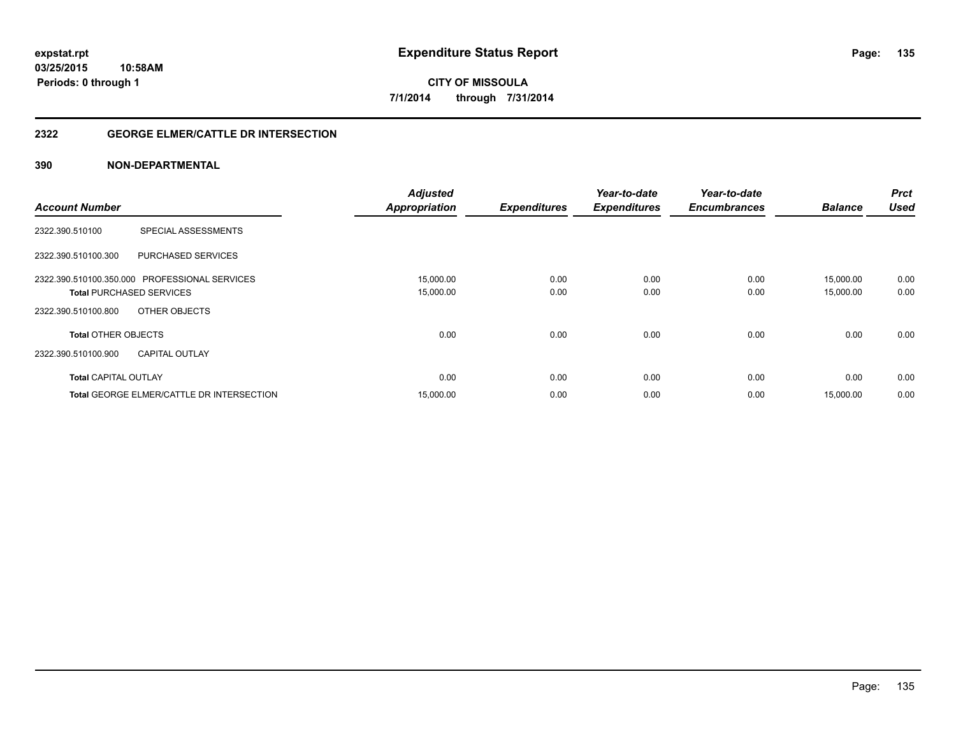### **2322 GEORGE ELMER/CATTLE DR INTERSECTION**

|                                                  | <b>Adjusted</b>      |                     | Year-to-date        | Year-to-date        | <b>Balance</b> | <b>Prct</b><br><b>Used</b> |
|--------------------------------------------------|----------------------|---------------------|---------------------|---------------------|----------------|----------------------------|
| <b>Account Number</b>                            | <b>Appropriation</b> | <b>Expenditures</b> | <b>Expenditures</b> | <b>Encumbrances</b> |                |                            |
| <b>SPECIAL ASSESSMENTS</b><br>2322.390.510100    |                      |                     |                     |                     |                |                            |
| <b>PURCHASED SERVICES</b><br>2322.390.510100.300 |                      |                     |                     |                     |                |                            |
| 2322.390.510100.350.000 PROFESSIONAL SERVICES    | 15,000.00            | 0.00                | 0.00                | 0.00                | 15.000.00      | 0.00                       |
| <b>Total PURCHASED SERVICES</b>                  | 15,000.00            | 0.00                | 0.00                | 0.00                | 15,000.00      | 0.00                       |
| 2322.390.510100.800<br>OTHER OBJECTS             |                      |                     |                     |                     |                |                            |
| <b>Total OTHER OBJECTS</b>                       | 0.00                 | 0.00                | 0.00                | 0.00                | 0.00           | 0.00                       |
| 2322.390.510100.900<br><b>CAPITAL OUTLAY</b>     |                      |                     |                     |                     |                |                            |
| <b>Total CAPITAL OUTLAY</b>                      | 0.00                 | 0.00                | 0.00                | 0.00                | 0.00           | 0.00                       |
| <b>Total GEORGE ELMER/CATTLE DR INTERSECTION</b> | 15,000.00            | 0.00                | 0.00                | 0.00                | 15.000.00      | 0.00                       |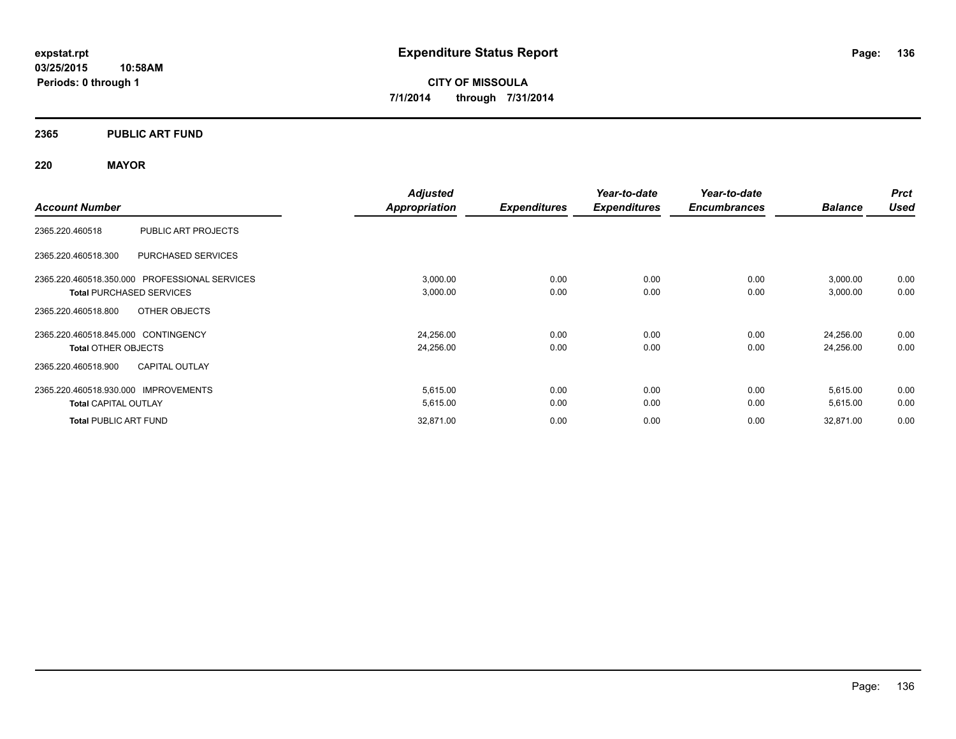### **2365 PUBLIC ART FUND**

### **220 MAYOR**

|                                                  | <b>Adjusted</b>      |                     | Year-to-date        | Year-to-date        |                | <b>Prct</b> |
|--------------------------------------------------|----------------------|---------------------|---------------------|---------------------|----------------|-------------|
| <b>Account Number</b>                            | <b>Appropriation</b> | <b>Expenditures</b> | <b>Expenditures</b> | <b>Encumbrances</b> | <b>Balance</b> | <b>Used</b> |
| PUBLIC ART PROJECTS<br>2365.220.460518           |                      |                     |                     |                     |                |             |
| <b>PURCHASED SERVICES</b><br>2365.220.460518.300 |                      |                     |                     |                     |                |             |
| 2365.220.460518.350.000 PROFESSIONAL SERVICES    | 3,000.00             | 0.00                | 0.00                | 0.00                | 3,000.00       | 0.00        |
| <b>Total PURCHASED SERVICES</b>                  | 3,000.00             | 0.00                | 0.00                | 0.00                | 3,000.00       | 0.00        |
| OTHER OBJECTS<br>2365.220.460518.800             |                      |                     |                     |                     |                |             |
| 2365.220.460518.845.000 CONTINGENCY              | 24,256.00            | 0.00                | 0.00                | 0.00                | 24,256.00      | 0.00        |
| <b>Total OTHER OBJECTS</b>                       | 24,256.00            | 0.00                | 0.00                | 0.00                | 24,256.00      | 0.00        |
| <b>CAPITAL OUTLAY</b><br>2365.220.460518.900     |                      |                     |                     |                     |                |             |
| 2365.220.460518.930.000 IMPROVEMENTS             | 5,615.00             | 0.00                | 0.00                | 0.00                | 5,615.00       | 0.00        |
| <b>Total CAPITAL OUTLAY</b>                      | 5,615.00             | 0.00                | 0.00                | 0.00                | 5,615.00       | 0.00        |
| <b>Total PUBLIC ART FUND</b>                     | 32,871.00            | 0.00                | 0.00                | 0.00                | 32,871.00      | 0.00        |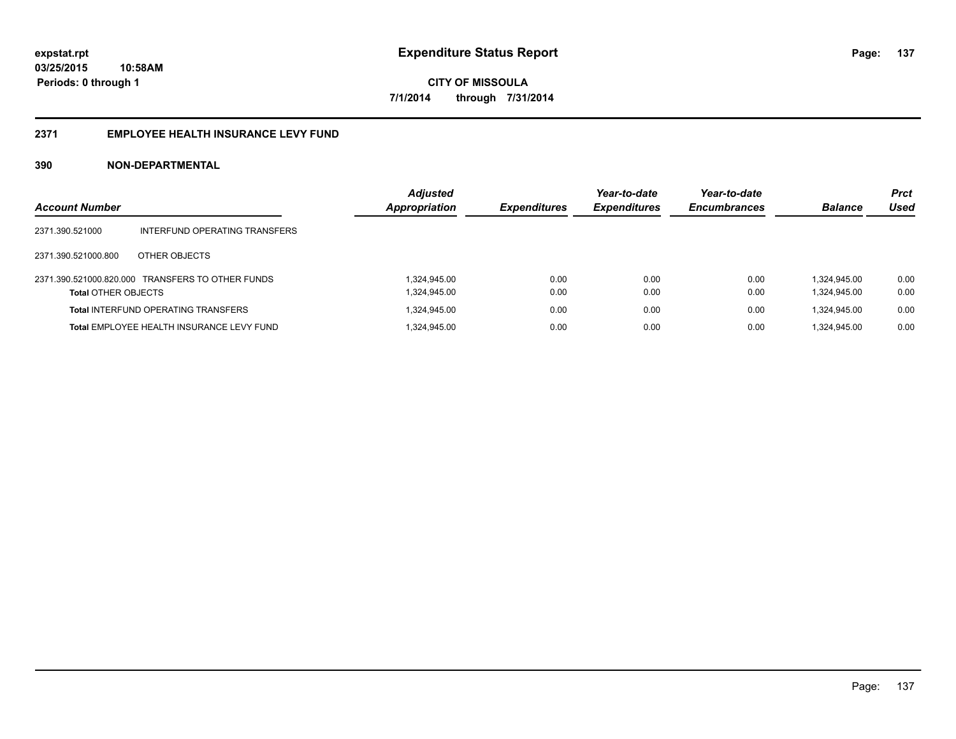### **2371 EMPLOYEE HEALTH INSURANCE LEVY FUND**

| <b>Account Number</b>      |                                                  | <b>Adjusted</b><br><b>Appropriation</b> | <b>Expenditures</b> | Year-to-date<br><b>Expenditures</b> | Year-to-date<br><b>Encumbrances</b> | <b>Balance</b>               | <b>Prct</b><br><b>Used</b> |
|----------------------------|--------------------------------------------------|-----------------------------------------|---------------------|-------------------------------------|-------------------------------------|------------------------------|----------------------------|
| 2371.390.521000            | INTERFUND OPERATING TRANSFERS                    |                                         |                     |                                     |                                     |                              |                            |
| 2371.390.521000.800        | OTHER OBJECTS                                    |                                         |                     |                                     |                                     |                              |                            |
| <b>Total OTHER OBJECTS</b> | 2371.390.521000.820.000 TRANSFERS TO OTHER FUNDS | 1.324.945.00<br>1,324,945.00            | 0.00<br>0.00        | 0.00<br>0.00                        | 0.00<br>0.00                        | 1.324.945.00<br>1,324,945.00 | 0.00<br>0.00               |
|                            | <b>Total INTERFUND OPERATING TRANSFERS</b>       | 1,324,945.00                            | 0.00                | 0.00                                | 0.00                                | 1,324,945.00                 | 0.00                       |
|                            | <b>Total EMPLOYEE HEALTH INSURANCE LEVY FUND</b> | 1.324.945.00                            | 0.00                | 0.00                                | 0.00                                | 1.324.945.00                 | 0.00                       |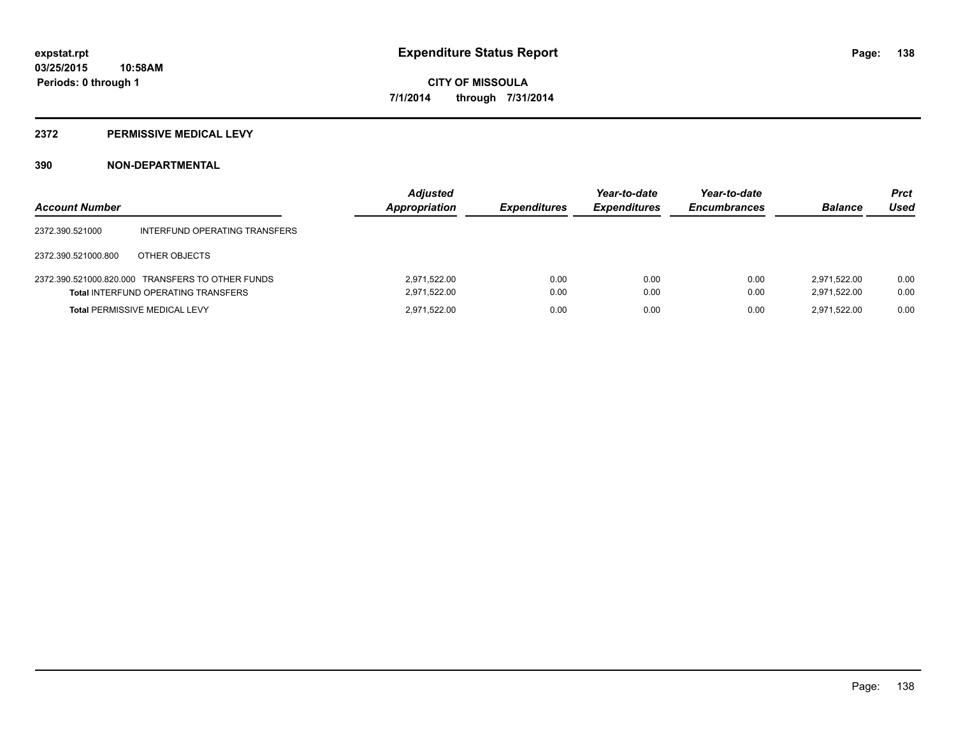### **2372 PERMISSIVE MEDICAL LEVY**

| <b>Account Number</b> |                                                                                                | <b>Adjusted</b><br>Appropriation | <b>Expenditures</b> | Year-to-date<br><b>Expenditures</b> | Year-to-date<br><b>Encumbrances</b> | <b>Balance</b>               | <b>Prct</b><br>Used |
|-----------------------|------------------------------------------------------------------------------------------------|----------------------------------|---------------------|-------------------------------------|-------------------------------------|------------------------------|---------------------|
| 2372.390.521000       | INTERFUND OPERATING TRANSFERS                                                                  |                                  |                     |                                     |                                     |                              |                     |
| 2372.390.521000.800   | OTHER OBJECTS                                                                                  |                                  |                     |                                     |                                     |                              |                     |
|                       | 2372.390.521000.820.000 TRANSFERS TO OTHER FUNDS<br><b>Total INTERFUND OPERATING TRANSFERS</b> | 2,971,522.00<br>2,971,522.00     | 0.00<br>0.00        | 0.00<br>0.00                        | 0.00<br>0.00                        | 2.971.522.00<br>2.971.522.00 | 0.00<br>0.00        |
|                       | <b>Total PERMISSIVE MEDICAL LEVY</b>                                                           | 2.971.522.00                     | 0.00                | 0.00                                | 0.00                                | 2.971.522.00                 | 0.00                |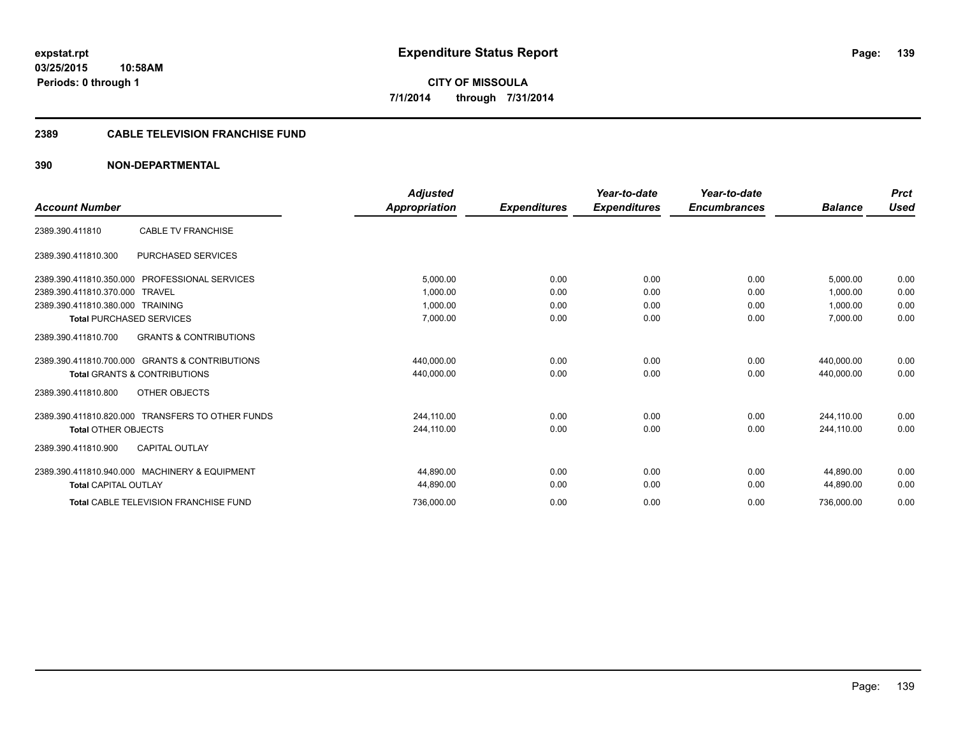### **2389 CABLE TELEVISION FRANCHISE FUND**

|                                                          | <b>Adjusted</b> |                     | Year-to-date        | Year-to-date        |                | <b>Prct</b> |
|----------------------------------------------------------|-----------------|---------------------|---------------------|---------------------|----------------|-------------|
| <b>Account Number</b>                                    | Appropriation   | <b>Expenditures</b> | <b>Expenditures</b> | <b>Encumbrances</b> | <b>Balance</b> | <b>Used</b> |
| <b>CABLE TV FRANCHISE</b><br>2389.390.411810             |                 |                     |                     |                     |                |             |
| PURCHASED SERVICES<br>2389.390.411810.300                |                 |                     |                     |                     |                |             |
| 2389.390.411810.350.000<br><b>PROFESSIONAL SERVICES</b>  | 5,000.00        | 0.00                | 0.00                | 0.00                | 5.000.00       | 0.00        |
| 2389.390.411810.370.000<br><b>TRAVEL</b>                 | 1.000.00        | 0.00                | 0.00                | 0.00                | 1.000.00       | 0.00        |
| 2389.390.411810.380.000 TRAINING                         | 1,000.00        | 0.00                | 0.00                | 0.00                | 1,000.00       | 0.00        |
| <b>Total PURCHASED SERVICES</b>                          | 7,000.00        | 0.00                | 0.00                | 0.00                | 7,000.00       | 0.00        |
| <b>GRANTS &amp; CONTRIBUTIONS</b><br>2389.390.411810.700 |                 |                     |                     |                     |                |             |
| 2389.390.411810.700.000 GRANTS & CONTRIBUTIONS           | 440.000.00      | 0.00                | 0.00                | 0.00                | 440.000.00     | 0.00        |
| <b>Total GRANTS &amp; CONTRIBUTIONS</b>                  | 440,000.00      | 0.00                | 0.00                | 0.00                | 440,000.00     | 0.00        |
| OTHER OBJECTS<br>2389.390.411810.800                     |                 |                     |                     |                     |                |             |
| 2389.390.411810.820.000 TRANSFERS TO OTHER FUNDS         | 244,110.00      | 0.00                | 0.00                | 0.00                | 244,110.00     | 0.00        |
| <b>Total OTHER OBJECTS</b>                               | 244.110.00      | 0.00                | 0.00                | 0.00                | 244.110.00     | 0.00        |
| <b>CAPITAL OUTLAY</b><br>2389.390.411810.900             |                 |                     |                     |                     |                |             |
| 2389.390.411810.940.000 MACHINERY & EQUIPMENT            | 44.890.00       | 0.00                | 0.00                | 0.00                | 44.890.00      | 0.00        |
| <b>Total CAPITAL OUTLAY</b>                              | 44,890.00       | 0.00                | 0.00                | 0.00                | 44,890.00      | 0.00        |
| <b>Total CABLE TELEVISION FRANCHISE FUND</b>             | 736,000.00      | 0.00                | 0.00                | 0.00                | 736,000.00     | 0.00        |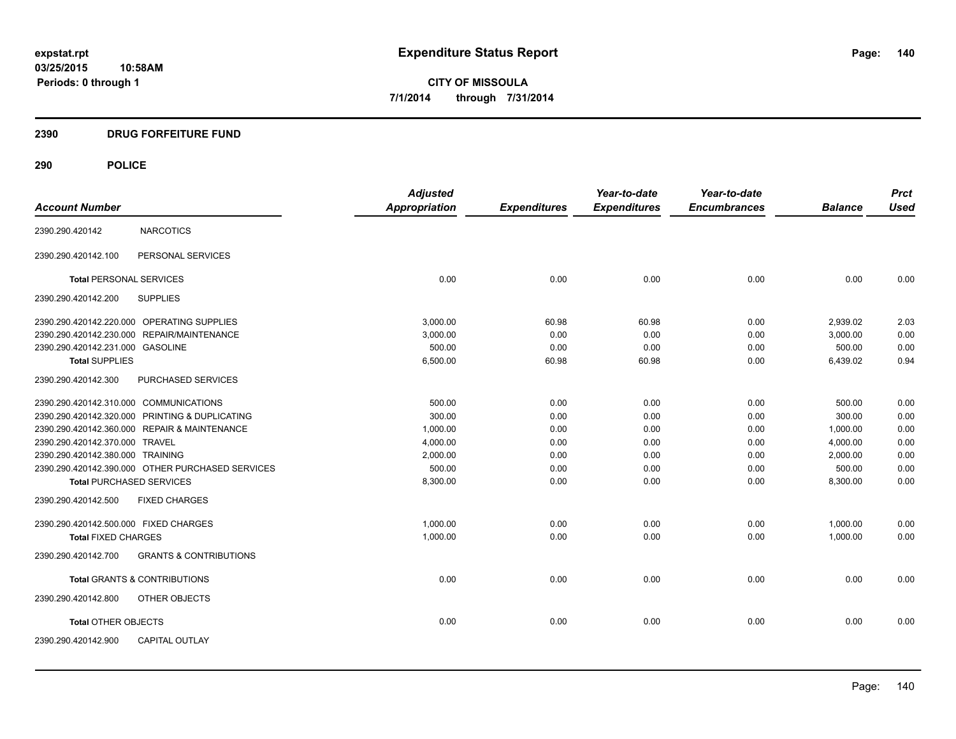### **2390 DRUG FORFEITURE FUND**

### **290 POLICE**

|                                                          | <b>Adjusted</b>      |                     | Year-to-date        | Year-to-date        |                | <b>Prct</b> |
|----------------------------------------------------------|----------------------|---------------------|---------------------|---------------------|----------------|-------------|
| <b>Account Number</b>                                    | <b>Appropriation</b> | <b>Expenditures</b> | <b>Expenditures</b> | <b>Encumbrances</b> | <b>Balance</b> | <b>Used</b> |
| <b>NARCOTICS</b><br>2390.290.420142                      |                      |                     |                     |                     |                |             |
| PERSONAL SERVICES<br>2390.290.420142.100                 |                      |                     |                     |                     |                |             |
| <b>Total PERSONAL SERVICES</b>                           | 0.00                 | 0.00                | 0.00                | 0.00                | 0.00           | 0.00        |
| <b>SUPPLIES</b><br>2390.290.420142.200                   |                      |                     |                     |                     |                |             |
| 2390.290.420142.220.000 OPERATING SUPPLIES               | 3,000.00             | 60.98               | 60.98               | 0.00                | 2,939.02       | 2.03        |
| 2390.290.420142.230.000<br><b>REPAIR/MAINTENANCE</b>     | 3,000.00             | 0.00                | 0.00                | 0.00                | 3,000.00       | 0.00        |
| 2390.290.420142.231.000 GASOLINE                         | 500.00               | 0.00                | 0.00                | 0.00                | 500.00         | 0.00        |
| <b>Total SUPPLIES</b>                                    | 6,500.00             | 60.98               | 60.98               | 0.00                | 6,439.02       | 0.94        |
| 2390.290.420142.300<br>PURCHASED SERVICES                |                      |                     |                     |                     |                |             |
| 2390.290.420142.310.000 COMMUNICATIONS                   | 500.00               | 0.00                | 0.00                | 0.00                | 500.00         | 0.00        |
| 2390.290.420142.320.000 PRINTING & DUPLICATING           | 300.00               | 0.00                | 0.00                | 0.00                | 300.00         | 0.00        |
| 2390.290.420142.360.000 REPAIR & MAINTENANCE             | 1,000.00             | 0.00                | 0.00                | 0.00                | 1,000.00       | 0.00        |
| 2390.290.420142.370.000 TRAVEL                           | 4,000.00             | 0.00                | 0.00                | 0.00                | 4,000.00       | 0.00        |
| 2390.290.420142.380.000 TRAINING                         | 2,000.00             | 0.00                | 0.00                | 0.00                | 2,000.00       | 0.00        |
| 2390.290.420142.390.000 OTHER PURCHASED SERVICES         | 500.00               | 0.00                | 0.00                | 0.00                | 500.00         | 0.00        |
| <b>Total PURCHASED SERVICES</b>                          | 8,300.00             | 0.00                | 0.00                | 0.00                | 8,300.00       | 0.00        |
| 2390.290.420142.500<br><b>FIXED CHARGES</b>              |                      |                     |                     |                     |                |             |
| 2390.290.420142.500.000 FIXED CHARGES                    | 1,000.00             | 0.00                | 0.00                | 0.00                | 1,000.00       | 0.00        |
| <b>Total FIXED CHARGES</b>                               | 1,000.00             | 0.00                | 0.00                | 0.00                | 1,000.00       | 0.00        |
| <b>GRANTS &amp; CONTRIBUTIONS</b><br>2390.290.420142.700 |                      |                     |                     |                     |                |             |
| <b>Total GRANTS &amp; CONTRIBUTIONS</b>                  | 0.00                 | 0.00                | 0.00                | 0.00                | 0.00           | 0.00        |
| 2390.290.420142.800<br>OTHER OBJECTS                     |                      |                     |                     |                     |                |             |
| <b>Total OTHER OBJECTS</b>                               | 0.00                 | 0.00                | 0.00                | 0.00                | 0.00           | 0.00        |
| 2390.290.420142.900<br><b>CAPITAL OUTLAY</b>             |                      |                     |                     |                     |                |             |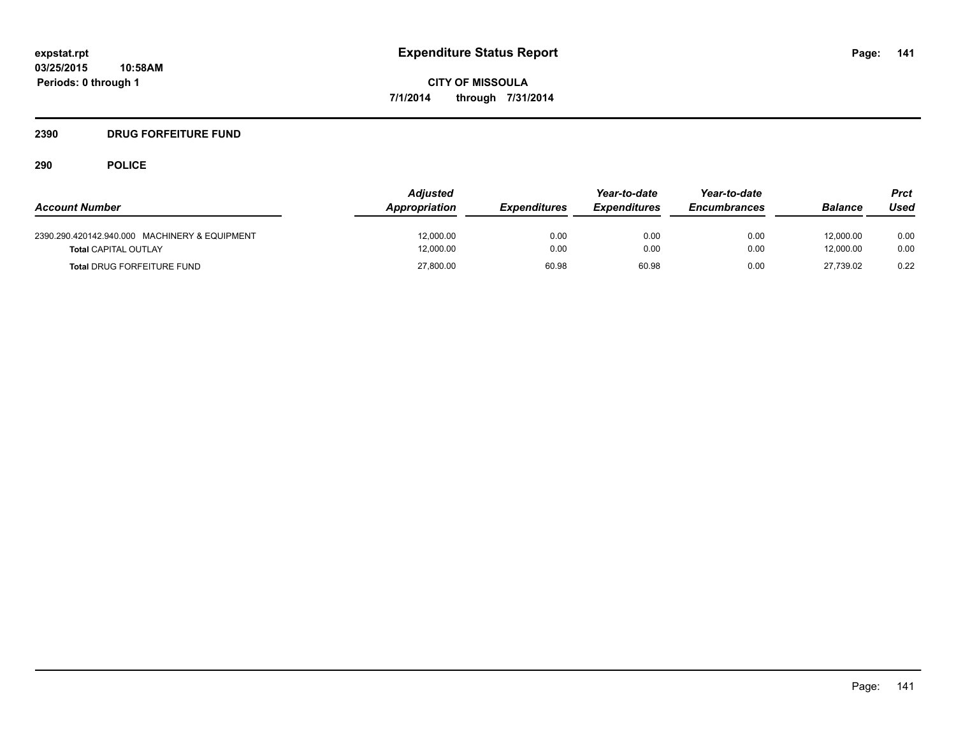### **2390 DRUG FORFEITURE FUND**

## **290 POLICE**

|                                               | <b>Adjusted</b> |                     | Year-to-date        | Year-to-date        |                | Prct |
|-----------------------------------------------|-----------------|---------------------|---------------------|---------------------|----------------|------|
| <b>Account Number</b>                         | Appropriation   | <b>Expenditures</b> | <b>Expenditures</b> | <b>Encumbrances</b> | <b>Balance</b> | Used |
| 2390.290.420142.940.000 MACHINERY & EQUIPMENT | 12.000.00       | 0.00                | 0.00                | 0.00                | 12.000.00      | 0.00 |
| <b>Total CAPITAL OUTLAY</b>                   | 12,000.00       | 0.00                | 0.00                | 0.00                | 12.000.00      | 0.00 |
| <b>Total DRUG FORFEITURE FUND</b>             | 27,800.00       | 60.98               | 60.98               | 0.00                | 27.739.02      | 0.22 |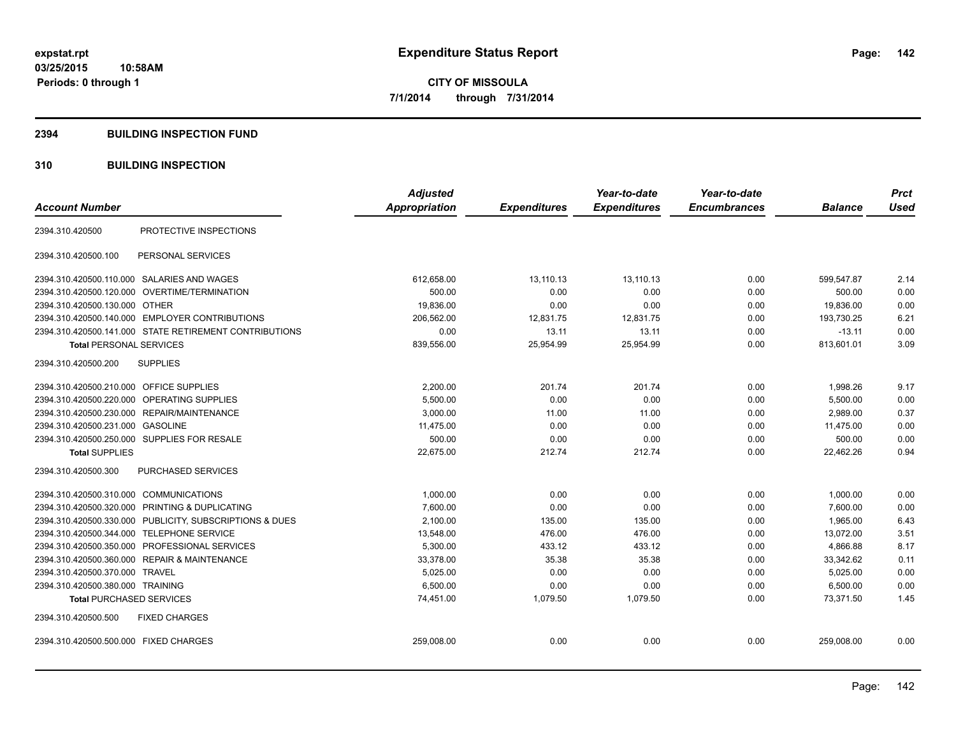#### **2394 BUILDING INSPECTION FUND**

### **310 BUILDING INSPECTION**

| <b>Account Number</b>                                   | <b>Adjusted</b><br>Appropriation | <b>Expenditures</b> | Year-to-date<br><b>Expenditures</b> | Year-to-date<br><b>Encumbrances</b> | <b>Balance</b> | <b>Prct</b><br><b>Used</b> |
|---------------------------------------------------------|----------------------------------|---------------------|-------------------------------------|-------------------------------------|----------------|----------------------------|
|                                                         |                                  |                     |                                     |                                     |                |                            |
| PROTECTIVE INSPECTIONS<br>2394.310.420500               |                                  |                     |                                     |                                     |                |                            |
| PERSONAL SERVICES<br>2394.310.420500.100                |                                  |                     |                                     |                                     |                |                            |
| 2394.310.420500.110.000 SALARIES AND WAGES              | 612,658.00                       | 13,110.13           | 13,110.13                           | 0.00                                | 599,547.87     | 2.14                       |
| 2394.310.420500.120.000 OVERTIME/TERMINATION            | 500.00                           | 0.00                | 0.00                                | 0.00                                | 500.00         | 0.00                       |
| 2394.310.420500.130.000 OTHER                           | 19,836.00                        | 0.00                | 0.00                                | 0.00                                | 19,836.00      | 0.00                       |
| 2394.310.420500.140.000 EMPLOYER CONTRIBUTIONS          | 206,562.00                       | 12,831.75           | 12,831.75                           | 0.00                                | 193,730.25     | 6.21                       |
| 2394.310.420500.141.000 STATE RETIREMENT CONTRIBUTIONS  | 0.00                             | 13.11               | 13.11                               | 0.00                                | $-13.11$       | 0.00                       |
| <b>Total PERSONAL SERVICES</b>                          | 839,556.00                       | 25,954.99           | 25,954.99                           | 0.00                                | 813,601.01     | 3.09                       |
| 2394.310.420500.200<br><b>SUPPLIES</b>                  |                                  |                     |                                     |                                     |                |                            |
| <b>OFFICE SUPPLIES</b><br>2394.310.420500.210.000       | 2,200.00                         | 201.74              | 201.74                              | 0.00                                | 1,998.26       | 9.17                       |
| 2394.310.420500.220.000<br>OPERATING SUPPLIES           | 5,500.00                         | 0.00                | 0.00                                | 0.00                                | 5,500.00       | 0.00                       |
| 2394.310.420500.230.000 REPAIR/MAINTENANCE              | 3,000.00                         | 11.00               | 11.00                               | 0.00                                | 2,989.00       | 0.37                       |
| 2394.310.420500.231.000 GASOLINE                        | 11,475.00                        | 0.00                | 0.00                                | 0.00                                | 11,475.00      | 0.00                       |
| 2394.310.420500.250.000 SUPPLIES FOR RESALE             | 500.00                           | 0.00                | 0.00                                | 0.00                                | 500.00         | 0.00                       |
| <b>Total SUPPLIES</b>                                   | 22,675.00                        | 212.74              | 212.74                              | 0.00                                | 22,462.26      | 0.94                       |
| <b>PURCHASED SERVICES</b><br>2394.310.420500.300        |                                  |                     |                                     |                                     |                |                            |
| 2394.310.420500.310.000 COMMUNICATIONS                  | 1,000.00                         | 0.00                | 0.00                                | 0.00                                | 1,000.00       | 0.00                       |
| 2394.310.420500.320.000 PRINTING & DUPLICATING          | 7,600.00                         | 0.00                | 0.00                                | 0.00                                | 7.600.00       | 0.00                       |
| 2394.310.420500.330.000 PUBLICITY, SUBSCRIPTIONS & DUES | 2,100.00                         | 135.00              | 135.00                              | 0.00                                | 1,965.00       | 6.43                       |
| 2394.310.420500.344.000 TELEPHONE SERVICE               | 13,548.00                        | 476.00              | 476.00                              | 0.00                                | 13,072.00      | 3.51                       |
| PROFESSIONAL SERVICES<br>2394.310.420500.350.000        | 5,300.00                         | 433.12              | 433.12                              | 0.00                                | 4,866.88       | 8.17                       |
| 2394.310.420500.360.000 REPAIR & MAINTENANCE            | 33.378.00                        | 35.38               | 35.38                               | 0.00                                | 33,342.62      | 0.11                       |
| 2394.310.420500.370.000 TRAVEL                          | 5,025.00                         | 0.00                | 0.00                                | 0.00                                | 5,025.00       | 0.00                       |
| 2394.310.420500.380.000 TRAINING                        | 6,500.00                         | 0.00                | 0.00                                | 0.00                                | 6,500.00       | 0.00                       |
| <b>Total PURCHASED SERVICES</b>                         | 74,451.00                        | 1,079.50            | 1,079.50                            | 0.00                                | 73,371.50      | 1.45                       |
| 2394.310.420500.500<br><b>FIXED CHARGES</b>             |                                  |                     |                                     |                                     |                |                            |
| 2394.310.420500.500.000 FIXED CHARGES                   | 259,008.00                       | 0.00                | 0.00                                | 0.00                                | 259,008.00     | 0.00                       |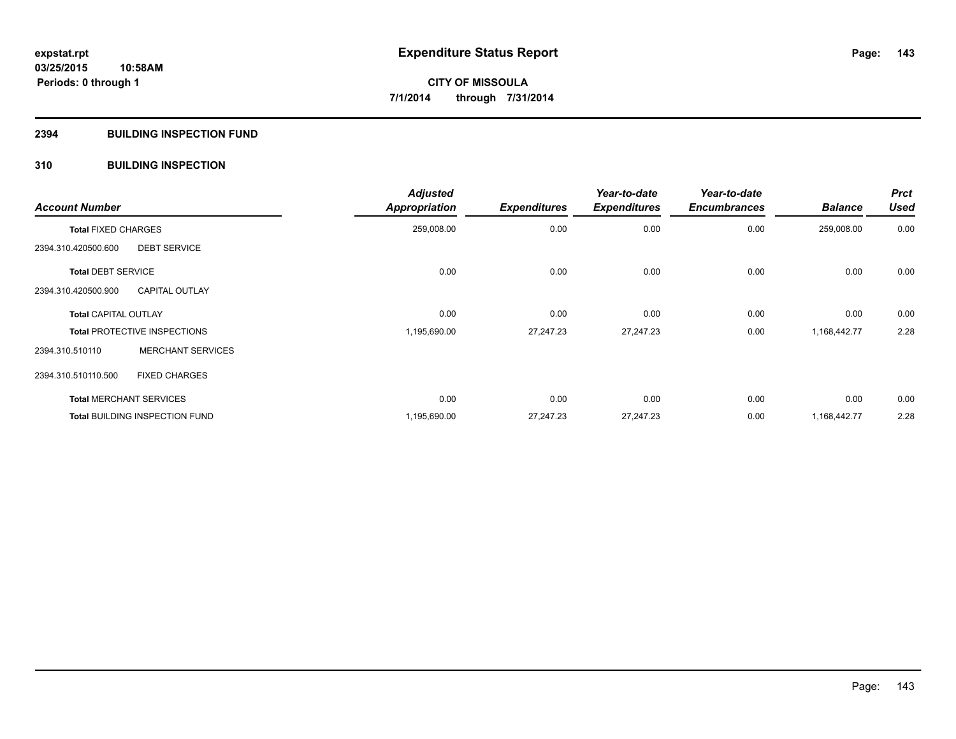### **2394 BUILDING INSPECTION FUND**

### **310 BUILDING INSPECTION**

| <b>Account Number</b>                 |                          | <b>Adjusted</b><br>Appropriation | <b>Expenditures</b> | Year-to-date<br><b>Expenditures</b> | Year-to-date<br><b>Encumbrances</b> | <b>Balance</b> | <b>Prct</b><br><b>Used</b> |
|---------------------------------------|--------------------------|----------------------------------|---------------------|-------------------------------------|-------------------------------------|----------------|----------------------------|
| <b>Total FIXED CHARGES</b>            |                          | 259,008.00                       | 0.00                | 0.00                                | 0.00                                | 259,008.00     | 0.00                       |
| 2394.310.420500.600                   | <b>DEBT SERVICE</b>      |                                  |                     |                                     |                                     |                |                            |
| <b>Total DEBT SERVICE</b>             |                          | 0.00                             | 0.00                | 0.00                                | 0.00                                | 0.00           | 0.00                       |
| 2394.310.420500.900                   | <b>CAPITAL OUTLAY</b>    |                                  |                     |                                     |                                     |                |                            |
| <b>Total CAPITAL OUTLAY</b>           |                          | 0.00                             | 0.00                | 0.00                                | 0.00                                | 0.00           | 0.00                       |
| <b>Total PROTECTIVE INSPECTIONS</b>   |                          | 1,195,690.00                     | 27,247.23           | 27,247.23                           | 0.00                                | 1,168,442.77   | 2.28                       |
| 2394.310.510110                       | <b>MERCHANT SERVICES</b> |                                  |                     |                                     |                                     |                |                            |
| 2394.310.510110.500                   | <b>FIXED CHARGES</b>     |                                  |                     |                                     |                                     |                |                            |
| <b>Total MERCHANT SERVICES</b>        |                          | 0.00                             | 0.00                | 0.00                                | 0.00                                | 0.00           | 0.00                       |
| <b>Total BUILDING INSPECTION FUND</b> |                          | 1,195,690.00                     | 27,247.23           | 27,247.23                           | 0.00                                | 1,168,442.77   | 2.28                       |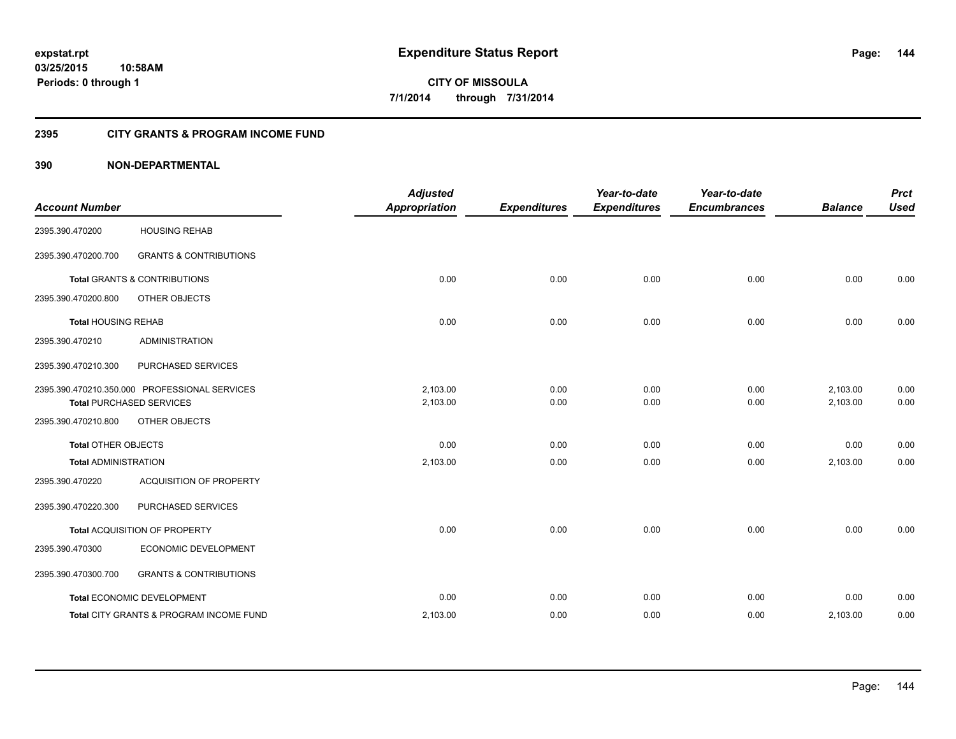### **2395 CITY GRANTS & PROGRAM INCOME FUND**

| <b>Account Number</b>       |                                                                                  | <b>Adjusted</b><br><b>Appropriation</b> | <b>Expenditures</b> | Year-to-date<br><b>Expenditures</b> | Year-to-date<br><b>Encumbrances</b> | <b>Balance</b>       | <b>Prct</b><br><b>Used</b> |
|-----------------------------|----------------------------------------------------------------------------------|-----------------------------------------|---------------------|-------------------------------------|-------------------------------------|----------------------|----------------------------|
| 2395.390.470200             | <b>HOUSING REHAB</b>                                                             |                                         |                     |                                     |                                     |                      |                            |
| 2395.390.470200.700         | <b>GRANTS &amp; CONTRIBUTIONS</b>                                                |                                         |                     |                                     |                                     |                      |                            |
|                             | Total GRANTS & CONTRIBUTIONS                                                     | 0.00                                    | 0.00                | 0.00                                | 0.00                                | 0.00                 | 0.00                       |
| 2395.390.470200.800         | OTHER OBJECTS                                                                    |                                         |                     |                                     |                                     |                      |                            |
| <b>Total HOUSING REHAB</b>  |                                                                                  | 0.00                                    | 0.00                | 0.00                                | 0.00                                | 0.00                 | 0.00                       |
| 2395.390.470210             | <b>ADMINISTRATION</b>                                                            |                                         |                     |                                     |                                     |                      |                            |
| 2395.390.470210.300         | PURCHASED SERVICES                                                               |                                         |                     |                                     |                                     |                      |                            |
|                             | 2395.390.470210.350.000 PROFESSIONAL SERVICES<br><b>Total PURCHASED SERVICES</b> | 2.103.00<br>2,103.00                    | 0.00<br>0.00        | 0.00<br>0.00                        | 0.00<br>0.00                        | 2,103.00<br>2,103.00 | 0.00<br>0.00               |
| 2395.390.470210.800         | OTHER OBJECTS                                                                    |                                         |                     |                                     |                                     |                      |                            |
| <b>Total OTHER OBJECTS</b>  |                                                                                  | 0.00                                    | 0.00                | 0.00                                | 0.00                                | 0.00                 | 0.00                       |
| <b>Total ADMINISTRATION</b> |                                                                                  | 2,103.00                                | 0.00                | 0.00                                | 0.00                                | 2,103.00             | 0.00                       |
| 2395.390.470220             | ACQUISITION OF PROPERTY                                                          |                                         |                     |                                     |                                     |                      |                            |
| 2395.390.470220.300         | PURCHASED SERVICES                                                               |                                         |                     |                                     |                                     |                      |                            |
|                             | Total ACQUISITION OF PROPERTY                                                    | 0.00                                    | 0.00                | 0.00                                | 0.00                                | 0.00                 | 0.00                       |
| 2395.390.470300             | ECONOMIC DEVELOPMENT                                                             |                                         |                     |                                     |                                     |                      |                            |
| 2395.390.470300.700         | <b>GRANTS &amp; CONTRIBUTIONS</b>                                                |                                         |                     |                                     |                                     |                      |                            |
|                             | Total ECONOMIC DEVELOPMENT                                                       | 0.00                                    | 0.00                | 0.00                                | 0.00                                | 0.00                 | 0.00                       |
|                             | Total CITY GRANTS & PROGRAM INCOME FUND                                          | 2,103.00                                | 0.00                | 0.00                                | 0.00                                | 2,103.00             | 0.00                       |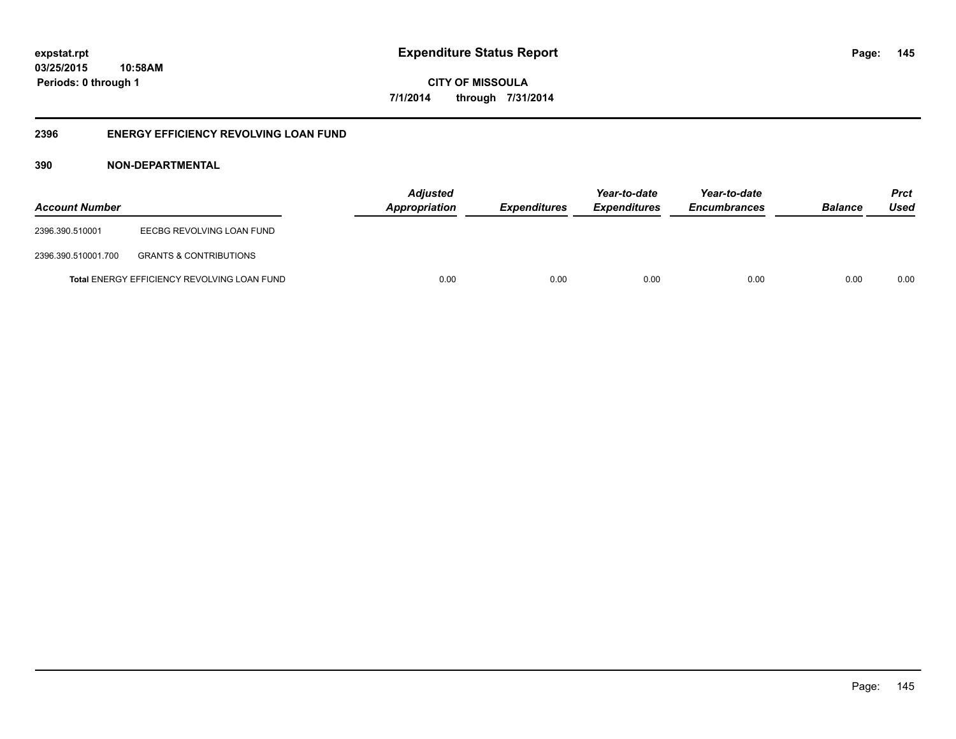**CITY OF MISSOULA 7/1/2014 through 7/31/2014**

## **2396 ENERGY EFFICIENCY REVOLVING LOAN FUND**

## **390 NON-DEPARTMENTAL**

| <b>Account Number</b> |                                             | <b>Adjusted</b><br><b>Appropriation</b> | <i><b>Expenditures</b></i> | Year-to-date<br><i><b>Expenditures</b></i> | Year-to-date<br><b>Encumbrances</b> | <b>Balance</b> | <b>Prct</b><br>Used |
|-----------------------|---------------------------------------------|-----------------------------------------|----------------------------|--------------------------------------------|-------------------------------------|----------------|---------------------|
| 2396.390.510001       | EECBG REVOLVING LOAN FUND                   |                                         |                            |                                            |                                     |                |                     |
| 2396.390.510001.700   | <b>GRANTS &amp; CONTRIBUTIONS</b>           |                                         |                            |                                            |                                     |                |                     |
|                       | Total ENERGY EFFICIENCY REVOLVING LOAN FUND | 0.00                                    | 0.00                       | 0.00                                       | 0.00                                | 0.00           | 0.00                |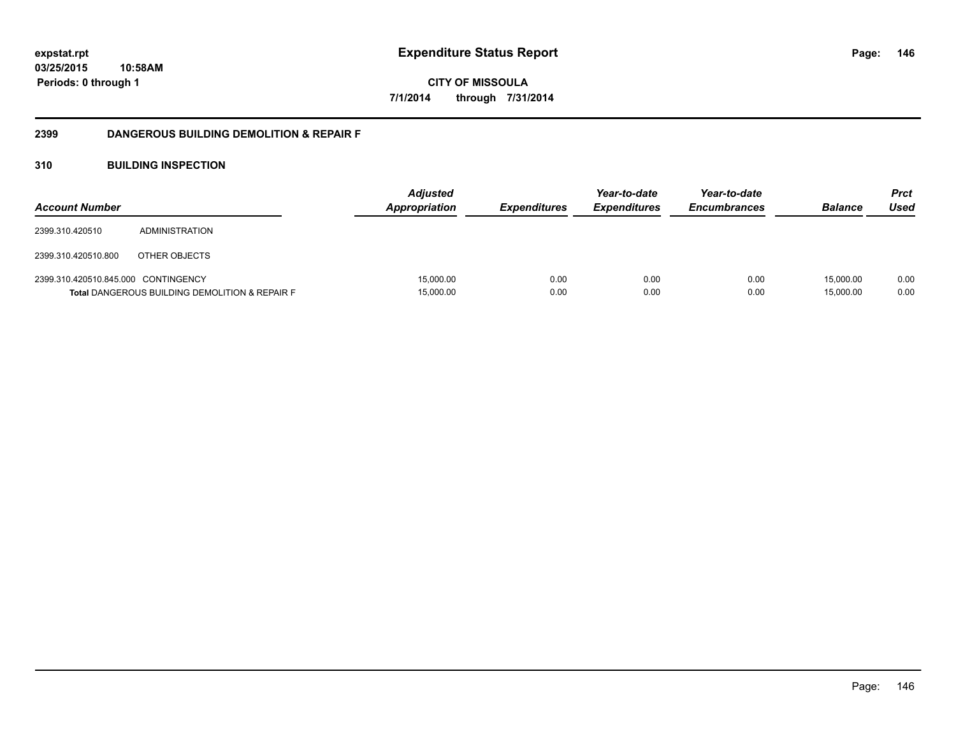**CITY OF MISSOULA 7/1/2014 through 7/31/2014**

## **2399 DANGEROUS BUILDING DEMOLITION & REPAIR F**

## **310 BUILDING INSPECTION**

| <b>Account Number</b>               |                                                           | <b>Adjusted</b><br><b>Appropriation</b> | <i><b>Expenditures</b></i> | Year-to-date<br><i><b>Expenditures</b></i> | Year-to-date<br><b>Encumbrances</b> | <b>Balance</b>         | <b>Prct</b><br>Used |
|-------------------------------------|-----------------------------------------------------------|-----------------------------------------|----------------------------|--------------------------------------------|-------------------------------------|------------------------|---------------------|
| 2399.310.420510                     | ADMINISTRATION                                            |                                         |                            |                                            |                                     |                        |                     |
| 2399.310.420510.800                 | OTHER OBJECTS                                             |                                         |                            |                                            |                                     |                        |                     |
| 2399.310.420510.845.000 CONTINGENCY | <b>Total DANGEROUS BUILDING DEMOLITION &amp; REPAIR F</b> | 15,000.00<br>15,000.00                  | 0.00<br>0.00               | 0.00<br>0.00                               | 0.00<br>0.00                        | 15.000.00<br>15,000.00 | 0.00<br>0.00        |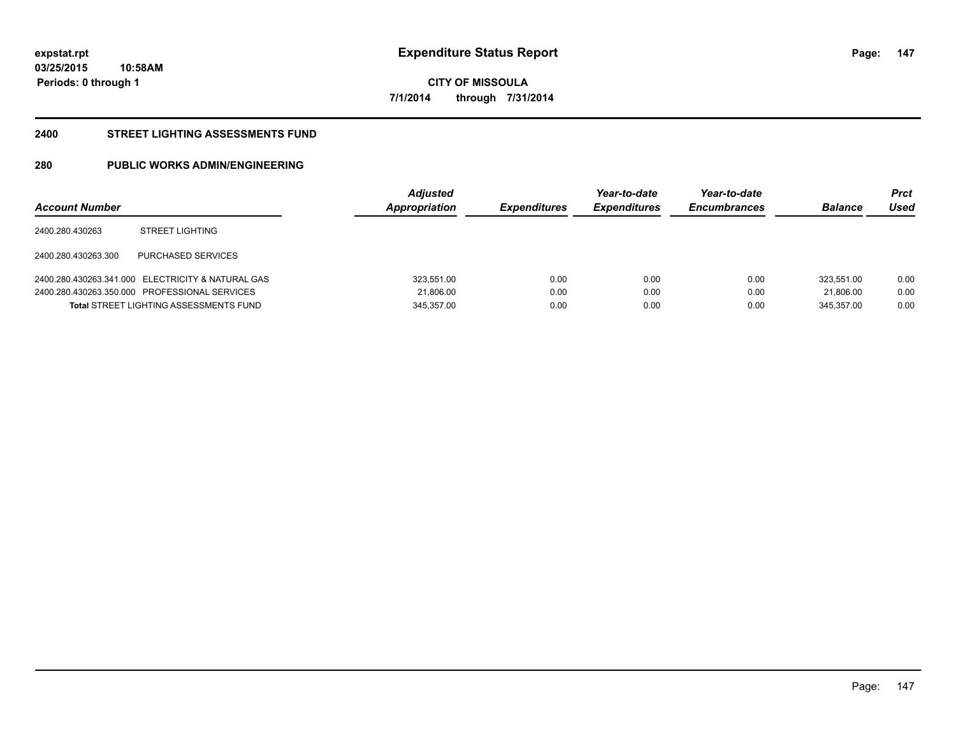**CITY OF MISSOULA 7/1/2014 through 7/31/2014**

#### **2400 STREET LIGHTING ASSESSMENTS FUND**

## **280 PUBLIC WORKS ADMIN/ENGINEERING**

| <b>Account Number</b> |                                                   | <b>Adjusted</b><br>Appropriation | <b>Expenditures</b> | Year-to-date<br><b>Expenditures</b> | Year-to-date<br><b>Encumbrances</b> | <b>Balance</b> | Prct<br>Used |
|-----------------------|---------------------------------------------------|----------------------------------|---------------------|-------------------------------------|-------------------------------------|----------------|--------------|
| 2400.280.430263       | <b>STREET LIGHTING</b>                            |                                  |                     |                                     |                                     |                |              |
| 2400.280.430263.300   | PURCHASED SERVICES                                |                                  |                     |                                     |                                     |                |              |
|                       | 2400.280.430263.341.000 ELECTRICITY & NATURAL GAS | 323.551.00                       | 0.00                | 0.00                                | 0.00                                | 323.551.00     | 0.00         |
|                       | 2400.280.430263.350.000 PROFESSIONAL SERVICES     | 21.806.00                        | 0.00                | 0.00                                | 0.00                                | 21.806.00      | 0.00         |
|                       | <b>Total STREET LIGHTING ASSESSMENTS FUND</b>     | 345,357.00                       | 0.00                | 0.00                                | 0.00                                | 345.357.00     | 0.00         |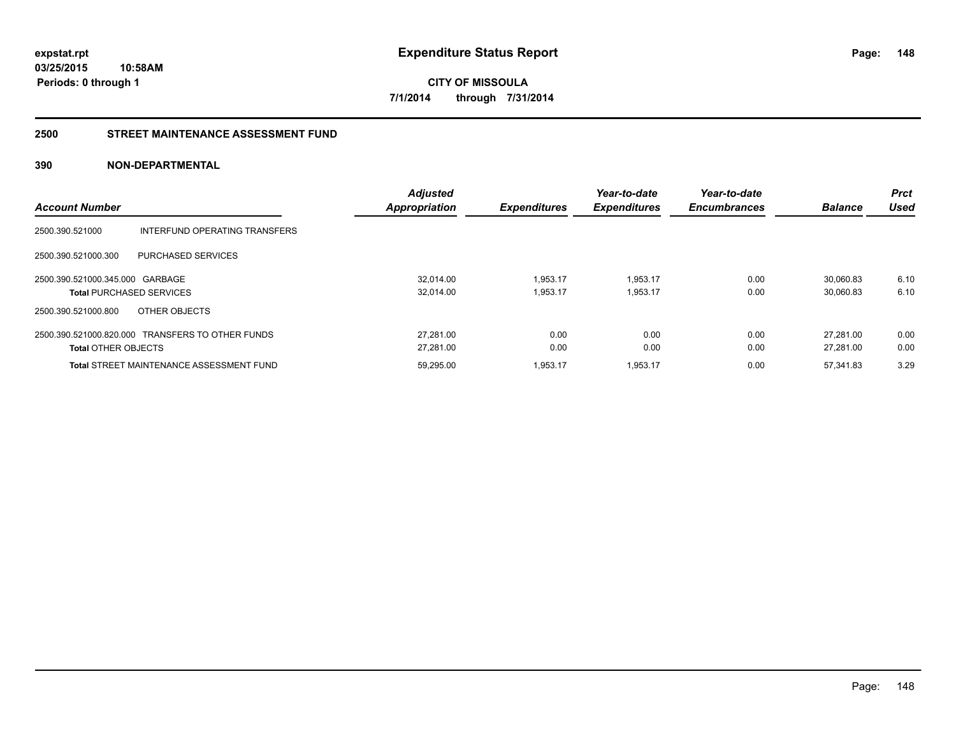**CITY OF MISSOULA 7/1/2014 through 7/31/2014**

#### **2500 STREET MAINTENANCE ASSESSMENT FUND**

## **390 NON-DEPARTMENTAL**

| <b>Account Number</b>                                                          |                               | <b>Adjusted</b><br><b>Appropriation</b> | <b>Expenditures</b>  | Year-to-date<br><b>Expenditures</b> | Year-to-date<br><b>Encumbrances</b> | <b>Balance</b>         | <b>Prct</b><br>Used |
|--------------------------------------------------------------------------------|-------------------------------|-----------------------------------------|----------------------|-------------------------------------|-------------------------------------|------------------------|---------------------|
| 2500.390.521000                                                                | INTERFUND OPERATING TRANSFERS |                                         |                      |                                     |                                     |                        |                     |
| 2500.390.521000.300<br>PURCHASED SERVICES                                      |                               |                                         |                      |                                     |                                     |                        |                     |
| 2500.390.521000.345.000 GARBAGE<br><b>Total PURCHASED SERVICES</b>             |                               | 32.014.00<br>32,014.00                  | 1.953.17<br>1,953.17 | 1,953.17<br>1,953.17                | 0.00<br>0.00                        | 30.060.83<br>30,060.83 | 6.10<br>6.10        |
| 2500.390.521000.800<br>OTHER OBJECTS                                           |                               |                                         |                      |                                     |                                     |                        |                     |
| 2500.390.521000.820.000 TRANSFERS TO OTHER FUNDS<br><b>Total OTHER OBJECTS</b> |                               | 27.281.00<br>27.281.00                  | 0.00<br>0.00         | 0.00<br>0.00                        | 0.00<br>0.00                        | 27.281.00<br>27.281.00 | 0.00<br>0.00        |
| <b>Total STREET MAINTENANCE ASSESSMENT FUND</b>                                |                               | 59,295.00                               | 1,953.17             | 1,953.17                            | 0.00                                | 57,341.83              | 3.29                |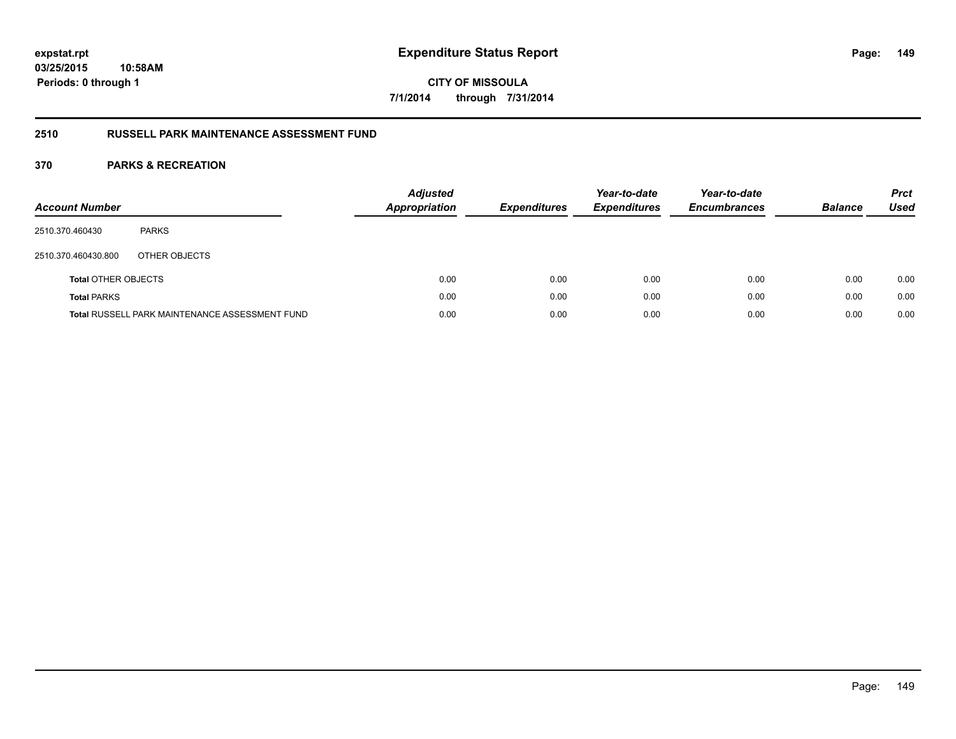## **CITY OF MISSOULA 7/1/2014 through 7/31/2014**

## **2510 RUSSELL PARK MAINTENANCE ASSESSMENT FUND**

| <b>Account Number</b>      |                                                       | <b>Adjusted</b><br><b>Appropriation</b> | <b>Expenditures</b> | Year-to-date<br><b>Expenditures</b> | Year-to-date<br><b>Encumbrances</b> | <b>Balance</b> | <b>Prct</b><br>Used |
|----------------------------|-------------------------------------------------------|-----------------------------------------|---------------------|-------------------------------------|-------------------------------------|----------------|---------------------|
| 2510.370.460430            | <b>PARKS</b>                                          |                                         |                     |                                     |                                     |                |                     |
| 2510.370.460430.800        | OTHER OBJECTS                                         |                                         |                     |                                     |                                     |                |                     |
| <b>Total OTHER OBJECTS</b> |                                                       | 0.00                                    | 0.00                | 0.00                                | 0.00                                | 0.00           | 0.00                |
| <b>Total PARKS</b>         |                                                       | 0.00                                    | 0.00                | 0.00                                | 0.00                                | 0.00           | 0.00                |
|                            | <b>Total RUSSELL PARK MAINTENANCE ASSESSMENT FUND</b> | 0.00                                    | 0.00                | 0.00                                | 0.00                                | 0.00           | 0.00                |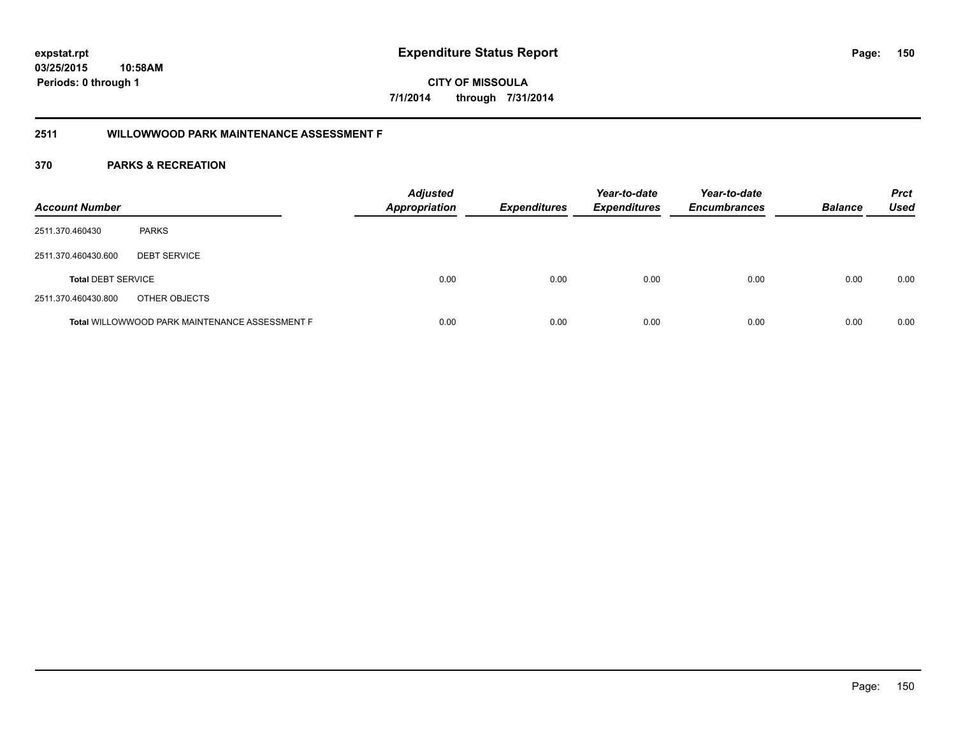## **2511 WILLOWWOOD PARK MAINTENANCE ASSESSMENT F**

| <b>Account Number</b>     |                                                | <b>Adjusted</b><br><b>Appropriation</b> | <b>Expenditures</b> | Year-to-date<br><b>Expenditures</b> | Year-to-date<br><b>Encumbrances</b> | <b>Balance</b> | <b>Prct</b><br>Used |
|---------------------------|------------------------------------------------|-----------------------------------------|---------------------|-------------------------------------|-------------------------------------|----------------|---------------------|
| 2511.370.460430           | <b>PARKS</b>                                   |                                         |                     |                                     |                                     |                |                     |
| 2511.370.460430.600       | <b>DEBT SERVICE</b>                            |                                         |                     |                                     |                                     |                |                     |
| <b>Total DEBT SERVICE</b> |                                                | 0.00                                    | 0.00                | 0.00                                | 0.00                                | 0.00           | 0.00                |
| 2511.370.460430.800       | OTHER OBJECTS                                  |                                         |                     |                                     |                                     |                |                     |
|                           | Total WILLOWWOOD PARK MAINTENANCE ASSESSMENT F | 0.00                                    | 0.00                | 0.00                                | 0.00                                | 0.00           | 0.00                |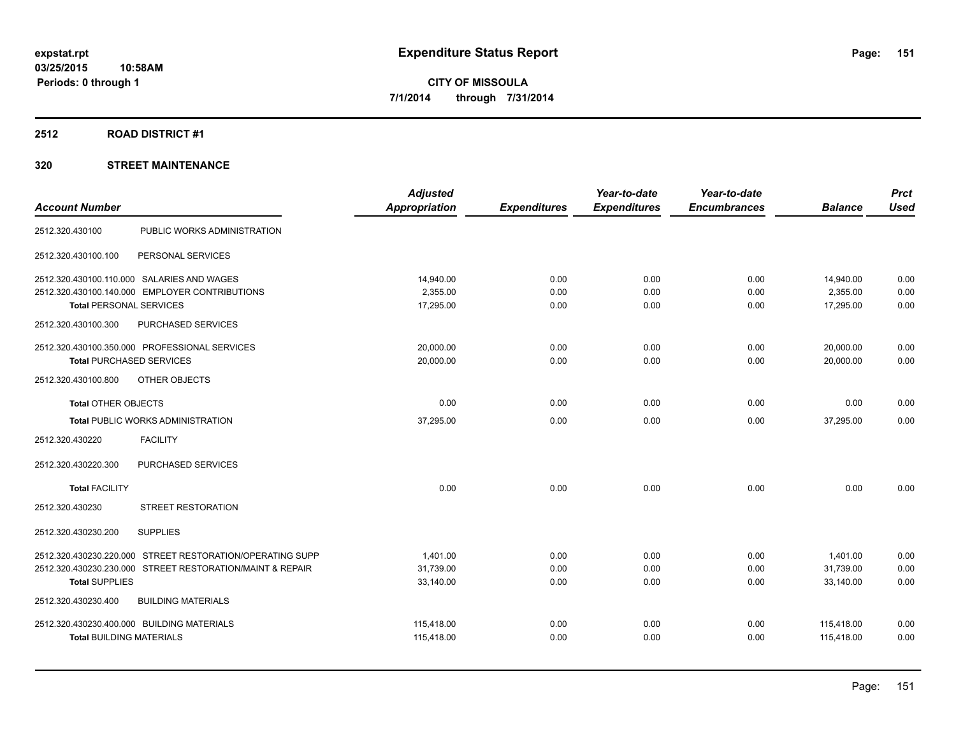## **2512 ROAD DISTRICT #1**

|                                                           | <b>Adjusted</b>      |                     | Year-to-date        | Year-to-date        |                | <b>Prct</b> |
|-----------------------------------------------------------|----------------------|---------------------|---------------------|---------------------|----------------|-------------|
| <b>Account Number</b>                                     | <b>Appropriation</b> | <b>Expenditures</b> | <b>Expenditures</b> | <b>Encumbrances</b> | <b>Balance</b> | <b>Used</b> |
| PUBLIC WORKS ADMINISTRATION<br>2512.320.430100            |                      |                     |                     |                     |                |             |
| PERSONAL SERVICES<br>2512.320.430100.100                  |                      |                     |                     |                     |                |             |
| 2512.320.430100.110.000 SALARIES AND WAGES                | 14,940.00            | 0.00                | 0.00                | 0.00                | 14,940.00      | 0.00        |
| 2512.320.430100.140.000 EMPLOYER CONTRIBUTIONS            | 2,355.00             | 0.00                | 0.00                | 0.00                | 2,355.00       | 0.00        |
| <b>Total PERSONAL SERVICES</b>                            | 17,295.00            | 0.00                | 0.00                | 0.00                | 17,295.00      | 0.00        |
| PURCHASED SERVICES<br>2512.320.430100.300                 |                      |                     |                     |                     |                |             |
| 2512.320.430100.350.000 PROFESSIONAL SERVICES             | 20,000.00            | 0.00                | 0.00                | 0.00                | 20,000.00      | 0.00        |
| <b>Total PURCHASED SERVICES</b>                           | 20,000.00            | 0.00                | 0.00                | 0.00                | 20,000.00      | 0.00        |
| 2512.320.430100.800<br>OTHER OBJECTS                      |                      |                     |                     |                     |                |             |
| <b>Total OTHER OBJECTS</b>                                | 0.00                 | 0.00                | 0.00                | 0.00                | 0.00           | 0.00        |
| <b>Total PUBLIC WORKS ADMINISTRATION</b>                  | 37,295.00            | 0.00                | 0.00                | 0.00                | 37,295.00      | 0.00        |
| 2512.320.430220<br><b>FACILITY</b>                        |                      |                     |                     |                     |                |             |
| PURCHASED SERVICES<br>2512.320.430220.300                 |                      |                     |                     |                     |                |             |
| <b>Total FACILITY</b>                                     | 0.00                 | 0.00                | 0.00                | 0.00                | 0.00           | 0.00        |
| 2512.320.430230<br><b>STREET RESTORATION</b>              |                      |                     |                     |                     |                |             |
| <b>SUPPLIES</b><br>2512.320.430230.200                    |                      |                     |                     |                     |                |             |
| 2512.320.430230.220.000 STREET RESTORATION/OPERATING SUPP | 1,401.00             | 0.00                | 0.00                | 0.00                | 1,401.00       | 0.00        |
| 2512.320.430230.230.000 STREET RESTORATION/MAINT & REPAIR | 31,739.00            | 0.00                | 0.00                | 0.00                | 31,739.00      | 0.00        |
| <b>Total SUPPLIES</b>                                     | 33,140.00            | 0.00                | 0.00                | 0.00                | 33,140.00      | 0.00        |
| 2512.320.430230.400<br><b>BUILDING MATERIALS</b>          |                      |                     |                     |                     |                |             |
| 2512.320.430230.400.000 BUILDING MATERIALS                | 115,418.00           | 0.00                | 0.00                | 0.00                | 115,418.00     | 0.00        |
| <b>Total BUILDING MATERIALS</b>                           | 115,418.00           | 0.00                | 0.00                | 0.00                | 115,418.00     | 0.00        |
|                                                           |                      |                     |                     |                     |                |             |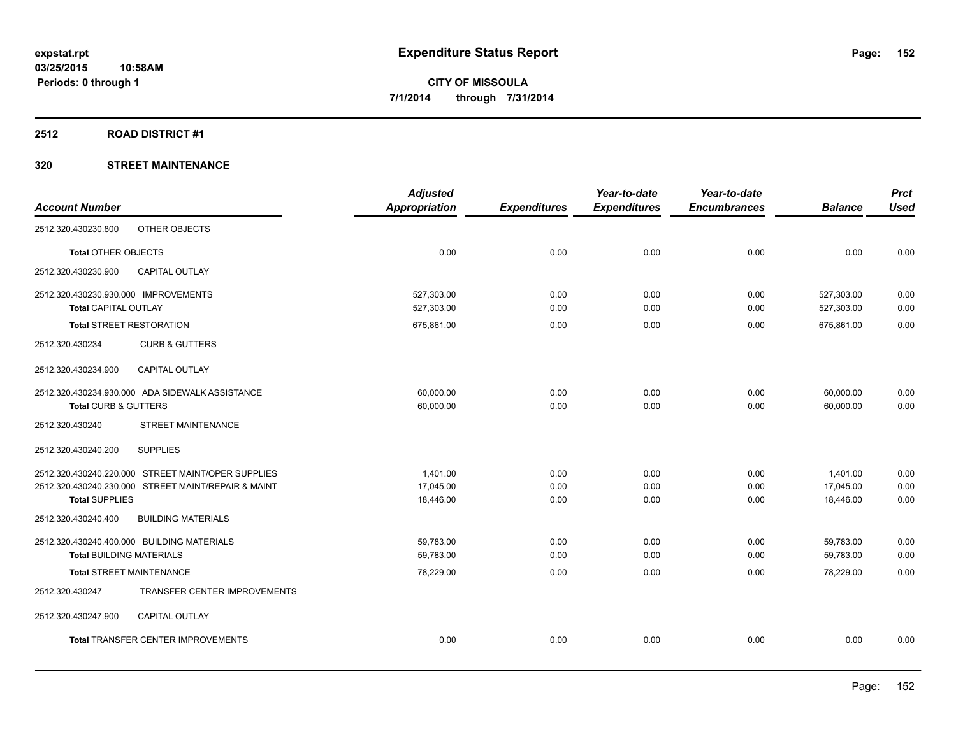## **2512 ROAD DISTRICT #1**

|                                                                                                                                    | <b>Adjusted</b>                    |                      | Year-to-date         | Year-to-date         |                                    | <b>Prct</b>          |
|------------------------------------------------------------------------------------------------------------------------------------|------------------------------------|----------------------|----------------------|----------------------|------------------------------------|----------------------|
| <b>Account Number</b>                                                                                                              | <b>Appropriation</b>               | <b>Expenditures</b>  | <b>Expenditures</b>  | <b>Encumbrances</b>  | <b>Balance</b>                     | <b>Used</b>          |
| OTHER OBJECTS<br>2512.320.430230.800                                                                                               |                                    |                      |                      |                      |                                    |                      |
| <b>Total OTHER OBJECTS</b>                                                                                                         | 0.00                               | 0.00                 | 0.00                 | 0.00                 | 0.00                               | 0.00                 |
| 2512.320.430230.900<br><b>CAPITAL OUTLAY</b>                                                                                       |                                    |                      |                      |                      |                                    |                      |
| 2512.320.430230.930.000 IMPROVEMENTS<br><b>Total CAPITAL OUTLAY</b>                                                                | 527,303.00<br>527,303.00           | 0.00<br>0.00         | 0.00<br>0.00         | 0.00<br>0.00         | 527,303.00<br>527,303.00           | 0.00<br>0.00         |
| <b>Total STREET RESTORATION</b>                                                                                                    | 675,861.00                         | 0.00                 | 0.00                 | 0.00                 | 675,861.00                         | 0.00                 |
| 2512.320.430234<br><b>CURB &amp; GUTTERS</b>                                                                                       |                                    |                      |                      |                      |                                    |                      |
| 2512.320.430234.900<br>CAPITAL OUTLAY                                                                                              |                                    |                      |                      |                      |                                    |                      |
| 2512.320.430234.930.000 ADA SIDEWALK ASSISTANCE<br>Total CURB & GUTTERS                                                            | 60,000.00<br>60,000.00             | 0.00<br>0.00         | 0.00<br>0.00         | 0.00<br>0.00         | 60,000.00<br>60.000.00             | 0.00<br>0.00         |
| STREET MAINTENANCE<br>2512.320.430240                                                                                              |                                    |                      |                      |                      |                                    |                      |
| 2512.320.430240.200<br><b>SUPPLIES</b>                                                                                             |                                    |                      |                      |                      |                                    |                      |
| 2512.320.430240.220.000 STREET MAINT/OPER SUPPLIES<br>2512.320.430240.230.000 STREET MAINT/REPAIR & MAINT<br><b>Total SUPPLIES</b> | 1.401.00<br>17,045.00<br>18,446.00 | 0.00<br>0.00<br>0.00 | 0.00<br>0.00<br>0.00 | 0.00<br>0.00<br>0.00 | 1,401.00<br>17,045.00<br>18.446.00 | 0.00<br>0.00<br>0.00 |
| 2512.320.430240.400<br><b>BUILDING MATERIALS</b>                                                                                   |                                    |                      |                      |                      |                                    |                      |
| 2512.320.430240.400.000 BUILDING MATERIALS<br><b>Total BUILDING MATERIALS</b>                                                      | 59,783.00<br>59,783.00             | 0.00<br>0.00         | 0.00<br>0.00         | 0.00<br>0.00         | 59,783.00<br>59,783.00             | 0.00<br>0.00         |
| <b>Total STREET MAINTENANCE</b>                                                                                                    | 78,229.00                          | 0.00                 | 0.00                 | 0.00                 | 78,229.00                          | 0.00                 |
| 2512.320.430247<br>TRANSFER CENTER IMPROVEMENTS                                                                                    |                                    |                      |                      |                      |                                    |                      |
| 2512.320.430247.900<br><b>CAPITAL OUTLAY</b>                                                                                       |                                    |                      |                      |                      |                                    |                      |
| <b>Total TRANSFER CENTER IMPROVEMENTS</b>                                                                                          | 0.00                               | 0.00                 | 0.00                 | 0.00                 | 0.00                               | 0.00                 |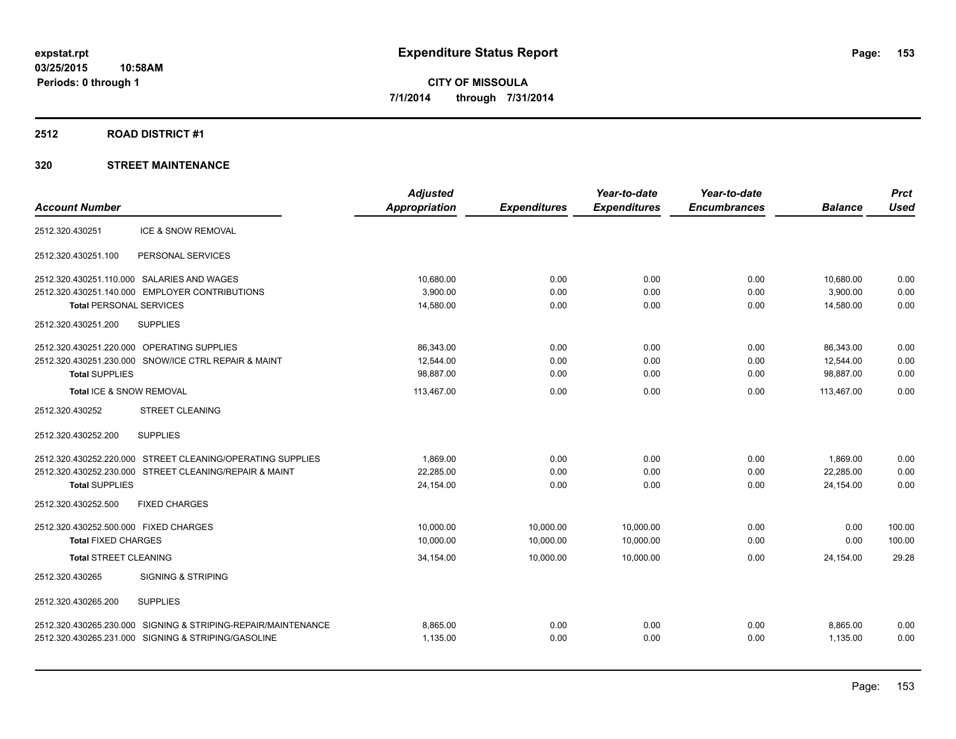## **2512 ROAD DISTRICT #1**

|                                                                  | <b>Adjusted</b>      |                     | Year-to-date        | Year-to-date        |                | <b>Prct</b> |
|------------------------------------------------------------------|----------------------|---------------------|---------------------|---------------------|----------------|-------------|
| <b>Account Number</b>                                            | <b>Appropriation</b> | <b>Expenditures</b> | <b>Expenditures</b> | <b>Encumbrances</b> | <b>Balance</b> | <b>Used</b> |
| <b>ICE &amp; SNOW REMOVAL</b><br>2512.320.430251                 |                      |                     |                     |                     |                |             |
| 2512.320.430251.100<br>PERSONAL SERVICES                         |                      |                     |                     |                     |                |             |
| 2512.320.430251.110.000 SALARIES AND WAGES                       | 10,680.00            | 0.00                | 0.00                | 0.00                | 10,680.00      | 0.00        |
| 2512.320.430251.140.000 EMPLOYER CONTRIBUTIONS                   | 3,900.00             | 0.00                | 0.00                | 0.00                | 3,900.00       | 0.00        |
| <b>Total PERSONAL SERVICES</b>                                   | 14,580.00            | 0.00                | 0.00                | 0.00                | 14,580.00      | 0.00        |
| <b>SUPPLIES</b><br>2512.320.430251.200                           |                      |                     |                     |                     |                |             |
| 2512.320.430251.220.000 OPERATING SUPPLIES                       | 86,343.00            | 0.00                | 0.00                | 0.00                | 86,343.00      | 0.00        |
| 2512.320.430251.230.000 SNOW/ICE CTRL REPAIR & MAINT             | 12,544.00            | 0.00                | 0.00                | 0.00                | 12,544.00      | 0.00        |
| <b>Total SUPPLIES</b>                                            | 98,887.00            | 0.00                | 0.00                | 0.00                | 98,887.00      | 0.00        |
| Total ICE & SNOW REMOVAL                                         | 113.467.00           | 0.00                | 0.00                | 0.00                | 113.467.00     | 0.00        |
| <b>STREET CLEANING</b><br>2512.320.430252                        |                      |                     |                     |                     |                |             |
| 2512.320.430252.200<br><b>SUPPLIES</b>                           |                      |                     |                     |                     |                |             |
| 2512.320.430252.220.000 STREET CLEANING/OPERATING SUPPLIES       | 1.869.00             | 0.00                | 0.00                | 0.00                | 1,869.00       | 0.00        |
| 2512.320.430252.230.000 STREET CLEANING/REPAIR & MAINT           | 22,285.00            | 0.00                | 0.00                | 0.00                | 22,285.00      | 0.00        |
| <b>Total SUPPLIES</b>                                            | 24,154.00            | 0.00                | 0.00                | 0.00                | 24,154.00      | 0.00        |
| 2512.320.430252.500<br><b>FIXED CHARGES</b>                      |                      |                     |                     |                     |                |             |
| 2512.320.430252.500.000 FIXED CHARGES                            | 10,000.00            | 10,000.00           | 10,000.00           | 0.00                | 0.00           | 100.00      |
| <b>Total FIXED CHARGES</b>                                       | 10,000.00            | 10,000.00           | 10,000.00           | 0.00                | 0.00           | 100.00      |
| <b>Total STREET CLEANING</b>                                     | 34,154.00            | 10.000.00           | 10.000.00           | 0.00                | 24,154.00      | 29.28       |
| <b>SIGNING &amp; STRIPING</b><br>2512.320.430265                 |                      |                     |                     |                     |                |             |
| 2512.320.430265.200<br><b>SUPPLIES</b>                           |                      |                     |                     |                     |                |             |
| SIGNING & STRIPING-REPAIR/MAINTENANCE<br>2512.320.430265.230.000 | 8,865.00             | 0.00                | 0.00                | 0.00                | 8,865.00       | 0.00        |
| 2512.320.430265.231.000 SIGNING & STRIPING/GASOLINE              | 1,135.00             | 0.00                | 0.00                | 0.00                | 1,135.00       | 0.00        |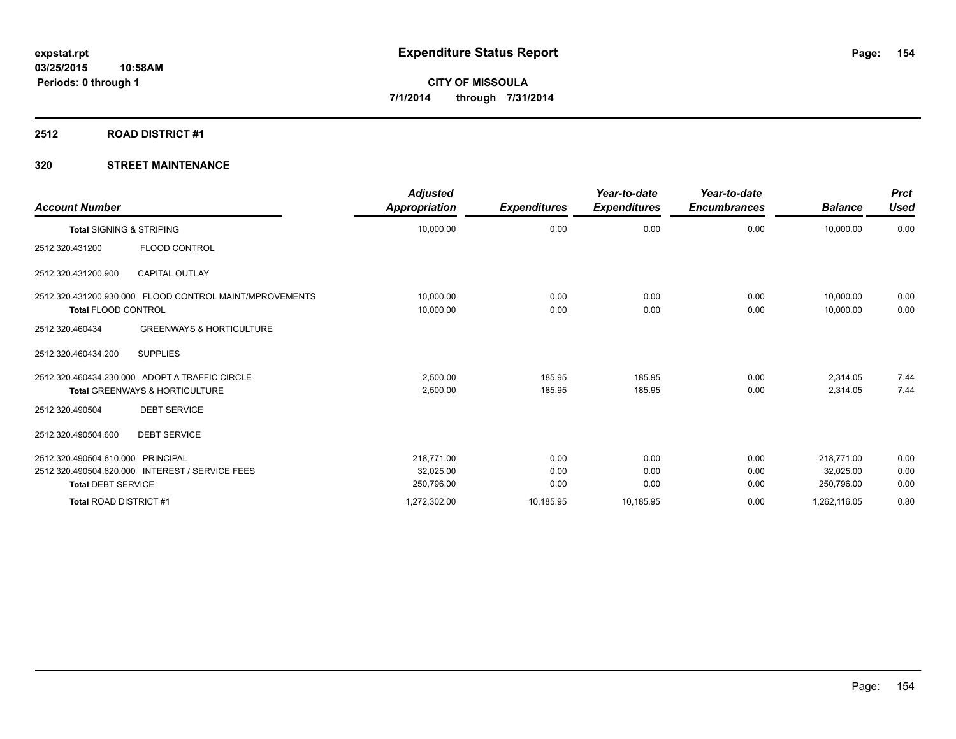## **2512 ROAD DISTRICT #1**

| <b>Account Number</b>               |                                                                                             | <b>Adjusted</b><br>Appropriation | <b>Expenditures</b> | Year-to-date<br><b>Expenditures</b> | Year-to-date<br><b>Encumbrances</b> | <b>Balance</b>          | <b>Prct</b><br><b>Used</b> |
|-------------------------------------|---------------------------------------------------------------------------------------------|----------------------------------|---------------------|-------------------------------------|-------------------------------------|-------------------------|----------------------------|
| <b>Total SIGNING &amp; STRIPING</b> |                                                                                             | 10,000.00                        | 0.00                | 0.00                                | 0.00                                | 10,000.00               | 0.00                       |
| 2512.320.431200                     | <b>FLOOD CONTROL</b>                                                                        |                                  |                     |                                     |                                     |                         |                            |
| 2512.320.431200.900                 | <b>CAPITAL OUTLAY</b>                                                                       |                                  |                     |                                     |                                     |                         |                            |
| <b>Total FLOOD CONTROL</b>          | 2512.320.431200.930.000 FLOOD CONTROL MAINT/MPROVEMENTS                                     | 10,000.00<br>10,000.00           | 0.00<br>0.00        | 0.00<br>0.00                        | 0.00<br>0.00                        | 10.000.00<br>10,000.00  | 0.00<br>0.00               |
| 2512.320.460434                     | <b>GREENWAYS &amp; HORTICULTURE</b>                                                         |                                  |                     |                                     |                                     |                         |                            |
| 2512.320.460434.200                 | <b>SUPPLIES</b>                                                                             |                                  |                     |                                     |                                     |                         |                            |
|                                     | 2512.320.460434.230.000 ADOPT A TRAFFIC CIRCLE<br><b>Total GREENWAYS &amp; HORTICULTURE</b> | 2.500.00<br>2,500.00             | 185.95<br>185.95    | 185.95<br>185.95                    | 0.00<br>0.00                        | 2,314.05<br>2,314.05    | 7.44<br>7.44               |
| 2512.320.490504                     | <b>DEBT SERVICE</b>                                                                         |                                  |                     |                                     |                                     |                         |                            |
| 2512.320.490504.600                 | <b>DEBT SERVICE</b>                                                                         |                                  |                     |                                     |                                     |                         |                            |
| 2512.320.490504.610.000 PRINCIPAL   | 2512.320.490504.620.000 INTEREST / SERVICE FEES                                             | 218.771.00<br>32,025.00          | 0.00<br>0.00        | 0.00<br>0.00                        | 0.00<br>0.00                        | 218.771.00<br>32,025.00 | 0.00<br>0.00               |
| <b>Total DEBT SERVICE</b>           |                                                                                             | 250,796.00                       | 0.00                | 0.00                                | 0.00                                | 250,796.00              | 0.00                       |
| <b>Total ROAD DISTRICT #1</b>       |                                                                                             | 1,272,302.00                     | 10,185.95           | 10,185.95                           | 0.00                                | 1,262,116.05            | 0.80                       |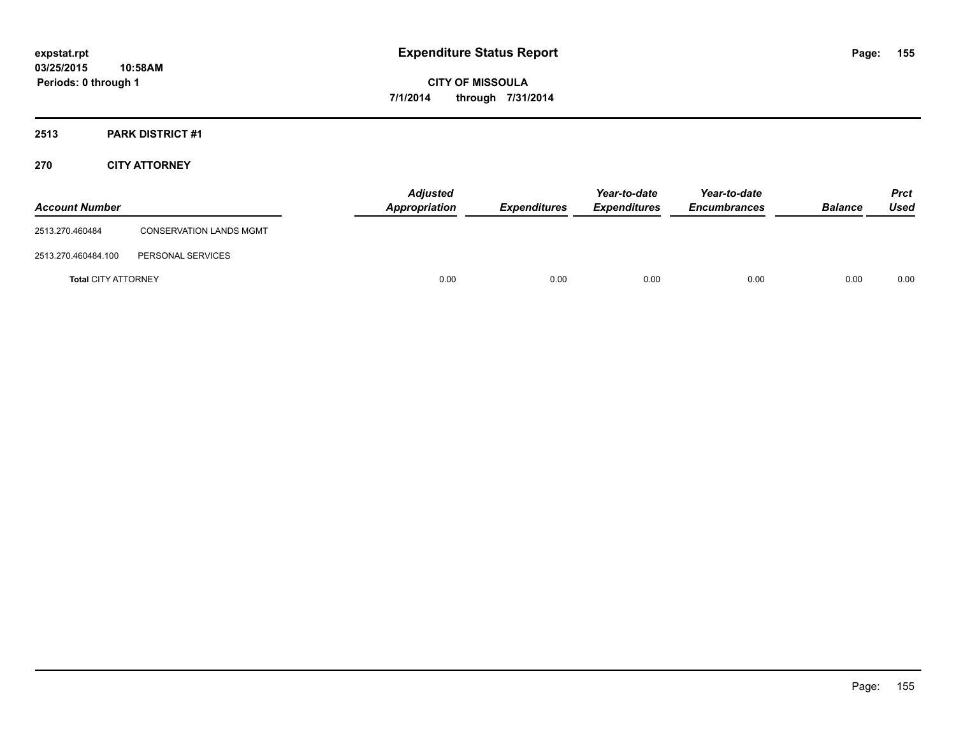## **2513 PARK DISTRICT #1**

## **270 CITY ATTORNEY**

| <b>Account Number</b>      |                                | <b>Adjusted</b><br>Appropriation | <b>Expenditures</b> | Year-to-date<br><b>Expenditures</b> | Year-to-date<br><b>Encumbrances</b> | <b>Balance</b> | <b>Prct</b><br>Used |
|----------------------------|--------------------------------|----------------------------------|---------------------|-------------------------------------|-------------------------------------|----------------|---------------------|
| 2513.270.460484            | <b>CONSERVATION LANDS MGMT</b> |                                  |                     |                                     |                                     |                |                     |
| 2513.270.460484.100        | PERSONAL SERVICES              |                                  |                     |                                     |                                     |                |                     |
| <b>Total CITY ATTORNEY</b> |                                | 0.00                             | 0.00                | 0.00                                | 0.00                                | 0.00           | 0.00                |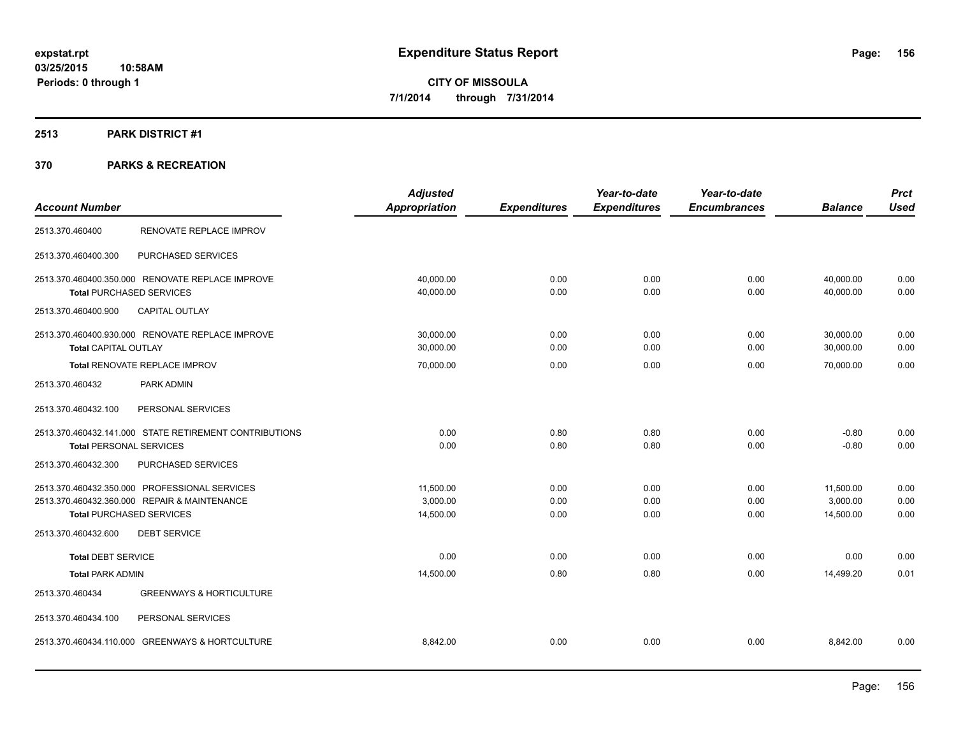## **2513 PARK DISTRICT #1**

|                                                        | <b>Adjusted</b> |                     | Year-to-date        | Year-to-date        |                | <b>Prct</b> |
|--------------------------------------------------------|-----------------|---------------------|---------------------|---------------------|----------------|-------------|
| <b>Account Number</b>                                  | Appropriation   | <b>Expenditures</b> | <b>Expenditures</b> | <b>Encumbrances</b> | <b>Balance</b> | <b>Used</b> |
| RENOVATE REPLACE IMPROV<br>2513.370.460400             |                 |                     |                     |                     |                |             |
| 2513.370.460400.300<br>PURCHASED SERVICES              |                 |                     |                     |                     |                |             |
| 2513.370.460400.350.000 RENOVATE REPLACE IMPROVE       | 40.000.00       | 0.00                | 0.00                | 0.00                | 40,000.00      | 0.00        |
| <b>Total PURCHASED SERVICES</b>                        | 40,000.00       | 0.00                | 0.00                | 0.00                | 40,000.00      | 0.00        |
| CAPITAL OUTLAY<br>2513.370.460400.900                  |                 |                     |                     |                     |                |             |
| 2513.370.460400.930.000 RENOVATE REPLACE IMPROVE       | 30,000.00       | 0.00                | 0.00                | 0.00                | 30,000.00      | 0.00        |
| Total CAPITAL OUTLAY                                   | 30,000.00       | 0.00                | 0.00                | 0.00                | 30,000.00      | 0.00        |
| Total RENOVATE REPLACE IMPROV                          | 70,000.00       | 0.00                | 0.00                | 0.00                | 70,000.00      | 0.00        |
| 2513.370.460432<br>PARK ADMIN                          |                 |                     |                     |                     |                |             |
| 2513.370.460432.100<br>PERSONAL SERVICES               |                 |                     |                     |                     |                |             |
| 2513.370.460432.141.000 STATE RETIREMENT CONTRIBUTIONS | 0.00            | 0.80                | 0.80                | 0.00                | $-0.80$        | 0.00        |
| <b>Total PERSONAL SERVICES</b>                         | 0.00            | 0.80                | 0.80                | 0.00                | $-0.80$        | 0.00        |
| PURCHASED SERVICES<br>2513.370.460432.300              |                 |                     |                     |                     |                |             |
| 2513.370.460432.350.000 PROFESSIONAL SERVICES          | 11.500.00       | 0.00                | 0.00                | 0.00                | 11,500.00      | 0.00        |
| 2513.370.460432.360.000 REPAIR & MAINTENANCE           | 3,000.00        | 0.00                | 0.00                | 0.00                | 3,000.00       | 0.00        |
| <b>Total PURCHASED SERVICES</b>                        | 14,500.00       | 0.00                | 0.00                | 0.00                | 14,500.00      | 0.00        |
| 2513.370.460432.600<br><b>DEBT SERVICE</b>             |                 |                     |                     |                     |                |             |
| <b>Total DEBT SERVICE</b>                              | 0.00            | 0.00                | 0.00                | 0.00                | 0.00           | 0.00        |
| <b>Total PARK ADMIN</b>                                | 14,500.00       | 0.80                | 0.80                | 0.00                | 14.499.20      | 0.01        |
| <b>GREENWAYS &amp; HORTICULTURE</b><br>2513.370.460434 |                 |                     |                     |                     |                |             |
| 2513.370.460434.100<br>PERSONAL SERVICES               |                 |                     |                     |                     |                |             |
| 2513.370.460434.110.000 GREENWAYS & HORTCULTURE        | 8,842.00        | 0.00                | 0.00                | 0.00                | 8,842.00       | 0.00        |
|                                                        |                 |                     |                     |                     |                |             |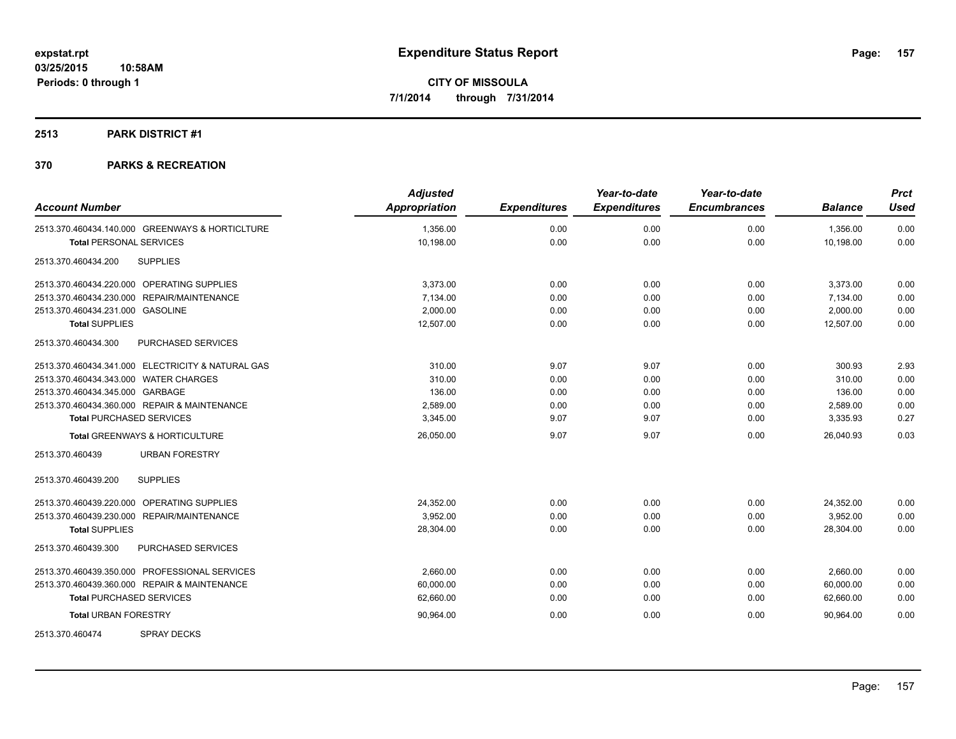## **2513 PARK DISTRICT #1**

| <b>Account Number</b>                             | <b>Adjusted</b><br>Appropriation | <b>Expenditures</b> | Year-to-date<br><b>Expenditures</b> | Year-to-date<br><b>Encumbrances</b> | <b>Balance</b> | <b>Prct</b><br><b>Used</b> |
|---------------------------------------------------|----------------------------------|---------------------|-------------------------------------|-------------------------------------|----------------|----------------------------|
| 2513.370.460434.140.000 GREENWAYS & HORTICLTURE   | 1,356.00                         | 0.00                | 0.00                                | 0.00                                | 1,356.00       | 0.00                       |
| <b>Total PERSONAL SERVICES</b>                    | 10,198.00                        | 0.00                | 0.00                                | 0.00                                | 10,198.00      | 0.00                       |
| <b>SUPPLIES</b><br>2513.370.460434.200            |                                  |                     |                                     |                                     |                |                            |
| 2513.370.460434.220.000 OPERATING SUPPLIES        | 3,373.00                         | 0.00                | 0.00                                | 0.00                                | 3,373.00       | 0.00                       |
| 2513.370.460434.230.000 REPAIR/MAINTENANCE        | 7,134.00                         | 0.00                | 0.00                                | 0.00                                | 7,134.00       | 0.00                       |
| 2513.370.460434.231.000 GASOLINE                  | 2,000.00                         | 0.00                | 0.00                                | 0.00                                | 2,000.00       | 0.00                       |
| <b>Total SUPPLIES</b>                             | 12,507.00                        | 0.00                | 0.00                                | 0.00                                | 12,507.00      | 0.00                       |
| PURCHASED SERVICES<br>2513.370.460434.300         |                                  |                     |                                     |                                     |                |                            |
| 2513.370.460434.341.000 ELECTRICITY & NATURAL GAS | 310.00                           | 9.07                | 9.07                                | 0.00                                | 300.93         | 2.93                       |
| 2513.370.460434.343.000 WATER CHARGES             | 310.00                           | 0.00                | 0.00                                | 0.00                                | 310.00         | 0.00                       |
| 2513.370.460434.345.000 GARBAGE                   | 136.00                           | 0.00                | 0.00                                | 0.00                                | 136.00         | 0.00                       |
| 2513.370.460434.360.000 REPAIR & MAINTENANCE      | 2,589.00                         | 0.00                | 0.00                                | 0.00                                | 2,589.00       | 0.00                       |
| <b>Total PURCHASED SERVICES</b>                   | 3,345.00                         | 9.07                | 9.07                                | 0.00                                | 3,335.93       | 0.27                       |
| Total GREENWAYS & HORTICULTURE                    | 26,050.00                        | 9.07                | 9.07                                | 0.00                                | 26,040.93      | 0.03                       |
| <b>URBAN FORESTRY</b><br>2513.370.460439          |                                  |                     |                                     |                                     |                |                            |
| <b>SUPPLIES</b><br>2513.370.460439.200            |                                  |                     |                                     |                                     |                |                            |
| 2513.370.460439.220.000 OPERATING SUPPLIES        | 24,352.00                        | 0.00                | 0.00                                | 0.00                                | 24,352.00      | 0.00                       |
| 2513.370.460439.230.000 REPAIR/MAINTENANCE        | 3,952.00                         | 0.00                | 0.00                                | 0.00                                | 3,952.00       | 0.00                       |
| <b>Total SUPPLIES</b>                             | 28,304.00                        | 0.00                | 0.00                                | 0.00                                | 28,304.00      | 0.00                       |
| 2513.370.460439.300<br>PURCHASED SERVICES         |                                  |                     |                                     |                                     |                |                            |
| 2513.370.460439.350.000 PROFESSIONAL SERVICES     | 2,660.00                         | 0.00                | 0.00                                | 0.00                                | 2,660.00       | 0.00                       |
| 2513.370.460439.360.000 REPAIR & MAINTENANCE      | 60,000.00                        | 0.00                | 0.00                                | 0.00                                | 60,000.00      | 0.00                       |
| <b>Total PURCHASED SERVICES</b>                   | 62,660.00                        | 0.00                | 0.00                                | 0.00                                | 62,660.00      | 0.00                       |
| <b>Total URBAN FORESTRY</b>                       | 90,964.00                        | 0.00                | 0.00                                | 0.00                                | 90,964.00      | 0.00                       |
| <b>SPRAY DECKS</b><br>2513.370.460474             |                                  |                     |                                     |                                     |                |                            |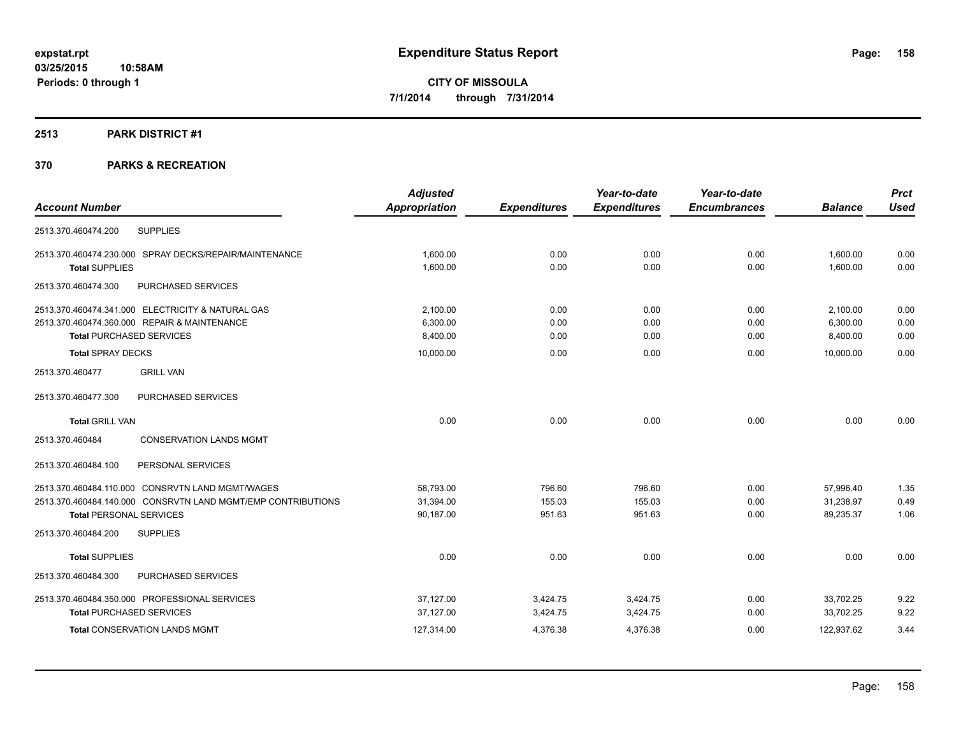## **2513 PARK DISTRICT #1**

|                                                              | <b>Adjusted</b>      |                     | Year-to-date        | Year-to-date        |                | <b>Prct</b> |
|--------------------------------------------------------------|----------------------|---------------------|---------------------|---------------------|----------------|-------------|
| <b>Account Number</b>                                        | <b>Appropriation</b> | <b>Expenditures</b> | <b>Expenditures</b> | <b>Encumbrances</b> | <b>Balance</b> | <b>Used</b> |
| <b>SUPPLIES</b><br>2513.370.460474.200                       |                      |                     |                     |                     |                |             |
| 2513.370.460474.230.000 SPRAY DECKS/REPAIR/MAINTENANCE       | 1,600.00             | 0.00                | 0.00                | 0.00                | 1,600.00       | 0.00        |
| <b>Total SUPPLIES</b>                                        | 1,600.00             | 0.00                | 0.00                | 0.00                | 1,600.00       | 0.00        |
| 2513.370.460474.300<br>PURCHASED SERVICES                    |                      |                     |                     |                     |                |             |
| 2513.370.460474.341.000 ELECTRICITY & NATURAL GAS            | 2,100.00             | 0.00                | 0.00                | 0.00                | 2,100.00       | 0.00        |
| 2513.370.460474.360.000 REPAIR & MAINTENANCE                 | 6,300.00             | 0.00                | 0.00                | 0.00                | 6,300.00       | 0.00        |
| <b>Total PURCHASED SERVICES</b>                              | 8,400.00             | 0.00                | 0.00                | 0.00                | 8,400.00       | 0.00        |
| <b>Total SPRAY DECKS</b>                                     | 10,000.00            | 0.00                | 0.00                | 0.00                | 10.000.00      | 0.00        |
| 2513.370.460477<br><b>GRILL VAN</b>                          |                      |                     |                     |                     |                |             |
| PURCHASED SERVICES<br>2513.370.460477.300                    |                      |                     |                     |                     |                |             |
| <b>Total GRILL VAN</b>                                       | 0.00                 | 0.00                | 0.00                | 0.00                | 0.00           | 0.00        |
| <b>CONSERVATION LANDS MGMT</b><br>2513.370.460484            |                      |                     |                     |                     |                |             |
| PERSONAL SERVICES<br>2513.370.460484.100                     |                      |                     |                     |                     |                |             |
| 2513.370.460484.110.000 CONSRVTN LAND MGMT/WAGES             | 58,793.00            | 796.60              | 796.60              | 0.00                | 57,996.40      | 1.35        |
| 2513.370.460484.140.000 CONSRVTN LAND MGMT/EMP CONTRIBUTIONS | 31,394.00            | 155.03              | 155.03              | 0.00                | 31,238.97      | 0.49        |
| <b>Total PERSONAL SERVICES</b>                               | 90,187.00            | 951.63              | 951.63              | 0.00                | 89,235.37      | 1.06        |
| <b>SUPPLIES</b><br>2513.370.460484.200                       |                      |                     |                     |                     |                |             |
| <b>Total SUPPLIES</b>                                        | 0.00                 | 0.00                | 0.00                | 0.00                | 0.00           | 0.00        |
| PURCHASED SERVICES<br>2513.370.460484.300                    |                      |                     |                     |                     |                |             |
| 2513.370.460484.350.000 PROFESSIONAL SERVICES                | 37,127.00            | 3,424.75            | 3,424.75            | 0.00                | 33,702.25      | 9.22        |
| <b>Total PURCHASED SERVICES</b>                              | 37,127.00            | 3,424.75            | 3,424.75            | 0.00                | 33,702.25      | 9.22        |
| <b>Total CONSERVATION LANDS MGMT</b>                         | 127,314.00           | 4,376.38            | 4,376.38            | 0.00                | 122,937.62     | 3.44        |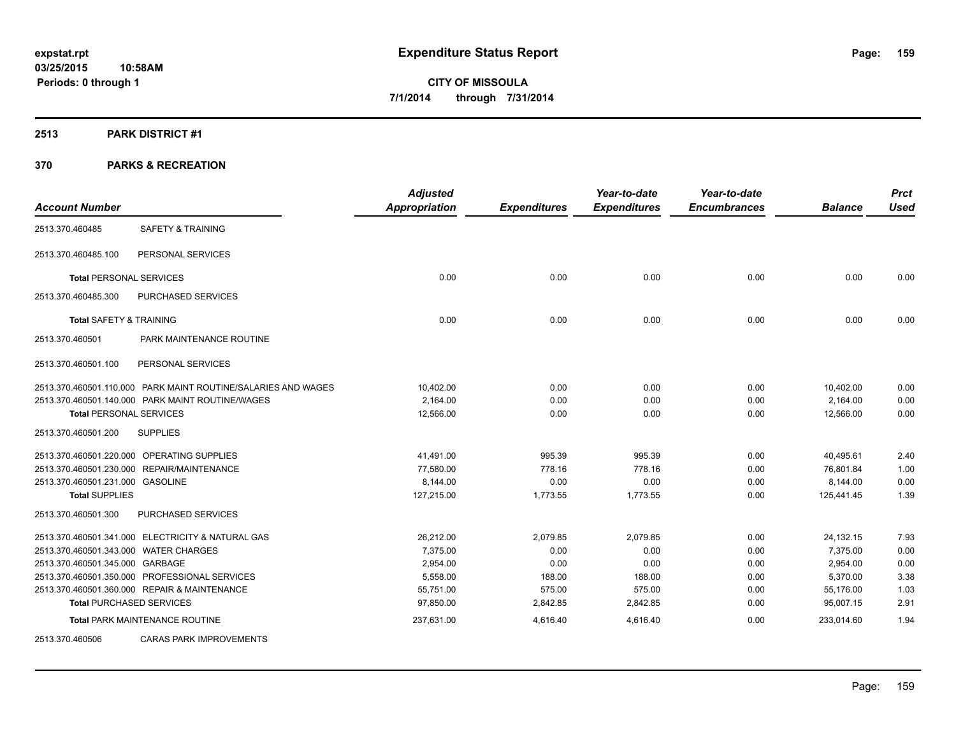## **2513 PARK DISTRICT #1**

|                                       |                                                               | <b>Adjusted</b>      |                     | Year-to-date        | Year-to-date        |                | <b>Prct</b> |
|---------------------------------------|---------------------------------------------------------------|----------------------|---------------------|---------------------|---------------------|----------------|-------------|
| <b>Account Number</b>                 |                                                               | <b>Appropriation</b> | <b>Expenditures</b> | <b>Expenditures</b> | <b>Encumbrances</b> | <b>Balance</b> | <b>Used</b> |
| 2513.370.460485                       | <b>SAFETY &amp; TRAINING</b>                                  |                      |                     |                     |                     |                |             |
| 2513.370.460485.100                   | PERSONAL SERVICES                                             |                      |                     |                     |                     |                |             |
| <b>Total PERSONAL SERVICES</b>        |                                                               | 0.00                 | 0.00                | 0.00                | 0.00                | 0.00           | 0.00        |
| 2513.370.460485.300                   | PURCHASED SERVICES                                            |                      |                     |                     |                     |                |             |
| <b>Total SAFETY &amp; TRAINING</b>    |                                                               | 0.00                 | 0.00                | 0.00                | 0.00                | 0.00           | 0.00        |
| 2513.370.460501                       | PARK MAINTENANCE ROUTINE                                      |                      |                     |                     |                     |                |             |
| 2513.370.460501.100                   | PERSONAL SERVICES                                             |                      |                     |                     |                     |                |             |
|                                       | 2513.370.460501.110.000 PARK MAINT ROUTINE/SALARIES AND WAGES | 10.402.00            | 0.00                | 0.00                | 0.00                | 10,402.00      | 0.00        |
|                                       | 2513.370.460501.140.000 PARK MAINT ROUTINE/WAGES              | 2,164.00             | 0.00                | 0.00                | 0.00                | 2,164.00       | 0.00        |
| <b>Total PERSONAL SERVICES</b>        |                                                               | 12,566.00            | 0.00                | 0.00                | 0.00                | 12,566.00      | 0.00        |
| 2513.370.460501.200                   | <b>SUPPLIES</b>                                               |                      |                     |                     |                     |                |             |
|                                       | 2513.370.460501.220.000 OPERATING SUPPLIES                    | 41,491.00            | 995.39              | 995.39              | 0.00                | 40,495.61      | 2.40        |
|                                       | 2513.370.460501.230.000 REPAIR/MAINTENANCE                    | 77,580.00            | 778.16              | 778.16              | 0.00                | 76,801.84      | 1.00        |
| 2513.370.460501.231.000 GASOLINE      |                                                               | 8,144.00             | 0.00                | 0.00                | 0.00                | 8,144.00       | 0.00        |
| <b>Total SUPPLIES</b>                 |                                                               | 127,215.00           | 1,773.55            | 1,773.55            | 0.00                | 125,441.45     | 1.39        |
| 2513.370.460501.300                   | PURCHASED SERVICES                                            |                      |                     |                     |                     |                |             |
|                                       | 2513.370.460501.341.000 ELECTRICITY & NATURAL GAS             | 26,212.00            | 2,079.85            | 2,079.85            | 0.00                | 24,132.15      | 7.93        |
| 2513.370.460501.343.000 WATER CHARGES |                                                               | 7,375.00             | 0.00                | 0.00                | 0.00                | 7,375.00       | 0.00        |
| 2513.370.460501.345.000 GARBAGE       |                                                               | 2,954.00             | 0.00                | 0.00                | 0.00                | 2,954.00       | 0.00        |
|                                       | 2513.370.460501.350.000 PROFESSIONAL SERVICES                 | 5,558.00             | 188.00              | 188.00              | 0.00                | 5,370.00       | 3.38        |
|                                       | 2513.370.460501.360.000 REPAIR & MAINTENANCE                  | 55,751.00            | 575.00              | 575.00              | 0.00                | 55,176.00      | 1.03        |
|                                       | <b>Total PURCHASED SERVICES</b>                               | 97,850.00            | 2,842.85            | 2,842.85            | 0.00                | 95,007.15      | 2.91        |
|                                       | <b>Total PARK MAINTENANCE ROUTINE</b>                         | 237,631.00           | 4,616.40            | 4,616.40            | 0.00                | 233,014.60     | 1.94        |
| 2513.370.460506                       | <b>CARAS PARK IMPROVEMENTS</b>                                |                      |                     |                     |                     |                |             |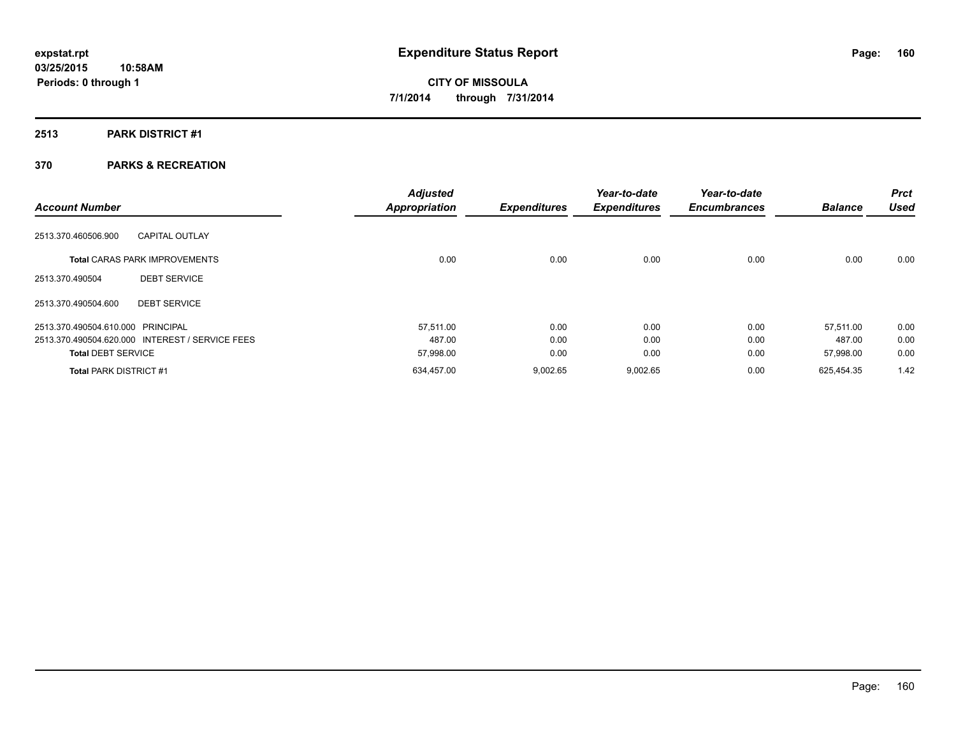## **2513 PARK DISTRICT #1**

| <b>Account Number</b>             |                                                 | <b>Adjusted</b><br><b>Appropriation</b> | <b>Expenditures</b> | Year-to-date<br><b>Expenditures</b> | Year-to-date<br><b>Encumbrances</b> | <b>Balance</b> | <b>Prct</b><br><b>Used</b> |
|-----------------------------------|-------------------------------------------------|-----------------------------------------|---------------------|-------------------------------------|-------------------------------------|----------------|----------------------------|
| 2513.370.460506.900               | <b>CAPITAL OUTLAY</b>                           |                                         |                     |                                     |                                     |                |                            |
|                                   | <b>Total CARAS PARK IMPROVEMENTS</b>            | 0.00                                    | 0.00                | 0.00                                | 0.00                                | 0.00           | 0.00                       |
| 2513.370.490504                   | <b>DEBT SERVICE</b>                             |                                         |                     |                                     |                                     |                |                            |
| 2513.370.490504.600               | <b>DEBT SERVICE</b>                             |                                         |                     |                                     |                                     |                |                            |
| 2513.370.490504.610.000 PRINCIPAL |                                                 | 57,511.00                               | 0.00                | 0.00                                | 0.00                                | 57,511.00      | 0.00                       |
|                                   | 2513.370.490504.620.000 INTEREST / SERVICE FEES | 487.00                                  | 0.00                | 0.00                                | 0.00                                | 487.00         | 0.00                       |
| <b>Total DEBT SERVICE</b>         |                                                 | 57,998.00                               | 0.00                | 0.00                                | 0.00                                | 57,998.00      | 0.00                       |
| <b>Total PARK DISTRICT #1</b>     |                                                 | 634,457.00                              | 9.002.65            | 9.002.65                            | 0.00                                | 625.454.35     | 1.42                       |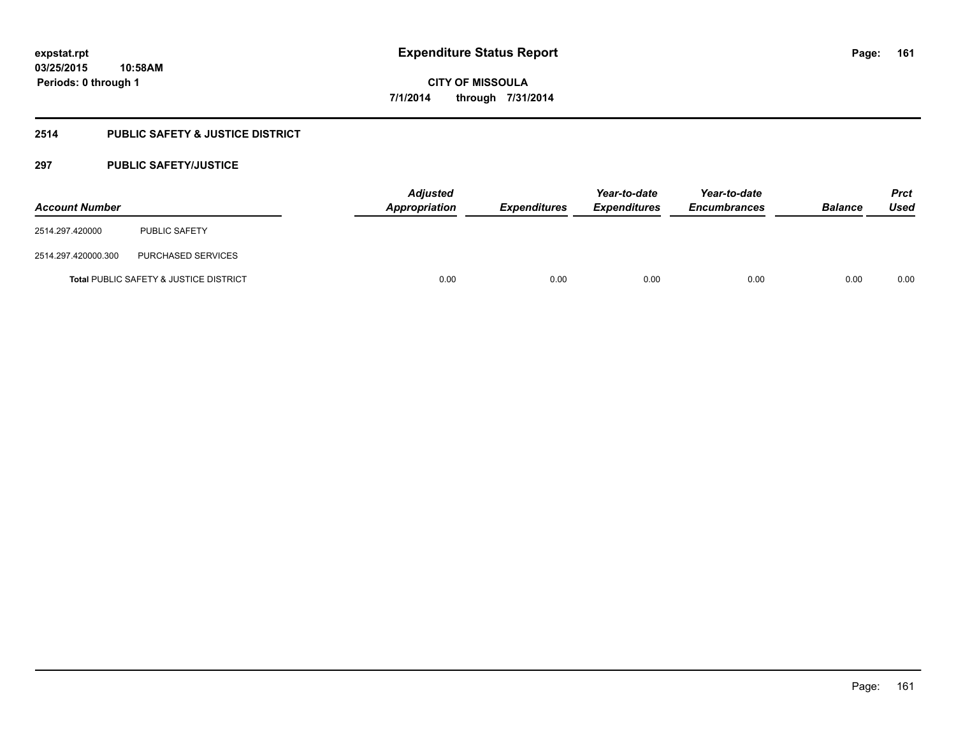## **2514 PUBLIC SAFETY & JUSTICE DISTRICT**

## **297 PUBLIC SAFETY/JUSTICE**

| <b>Account Number</b> |                                                   | <b>Adjusted</b><br>Appropriation | <b>Expenditures</b> | Year-to-date<br><b>Expenditures</b> | Year-to-date<br><b>Encumbrances</b> | <b>Balance</b> | <b>Prct</b><br>Used |
|-----------------------|---------------------------------------------------|----------------------------------|---------------------|-------------------------------------|-------------------------------------|----------------|---------------------|
| 2514.297.420000       | <b>PUBLIC SAFETY</b>                              |                                  |                     |                                     |                                     |                |                     |
| 2514.297.420000.300   | PURCHASED SERVICES                                |                                  |                     |                                     |                                     |                |                     |
|                       | <b>Total PUBLIC SAFETY &amp; JUSTICE DISTRICT</b> | 0.00                             | 0.00                | 0.00                                | 0.00                                | 0.00           | 0.00                |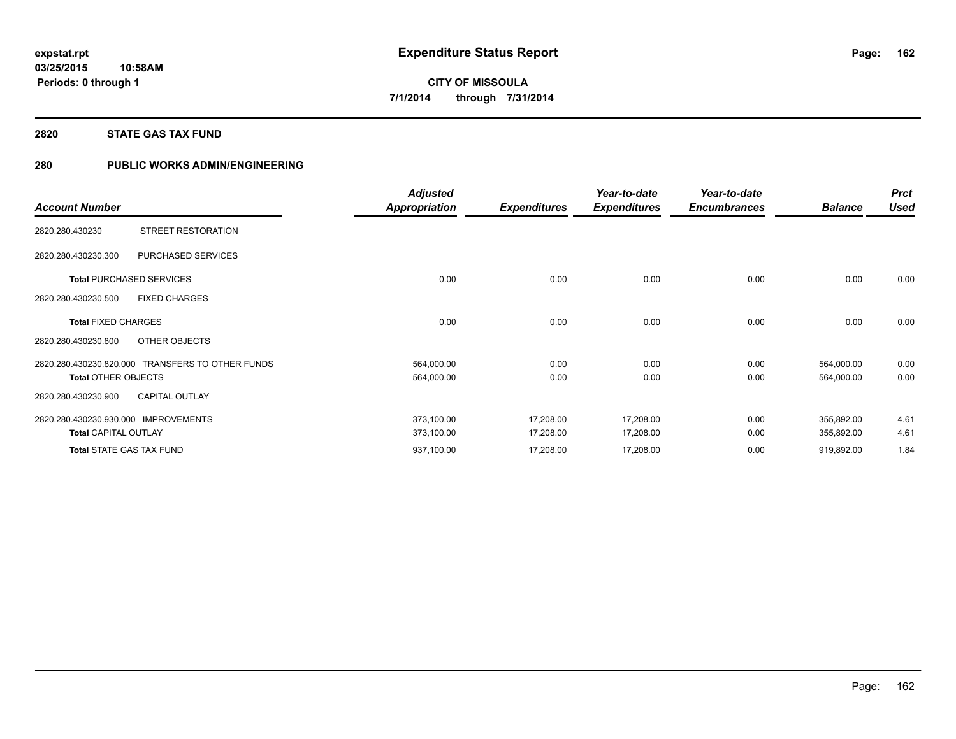## **2820 STATE GAS TAX FUND**

## **280 PUBLIC WORKS ADMIN/ENGINEERING**

|                                                  | <b>Adjusted</b>      |                     | Year-to-date        | Year-to-date        |                | <b>Prct</b> |
|--------------------------------------------------|----------------------|---------------------|---------------------|---------------------|----------------|-------------|
| <b>Account Number</b>                            | <b>Appropriation</b> | <b>Expenditures</b> | <b>Expenditures</b> | <b>Encumbrances</b> | <b>Balance</b> | <b>Used</b> |
| STREET RESTORATION<br>2820.280.430230            |                      |                     |                     |                     |                |             |
| 2820.280.430230.300<br>PURCHASED SERVICES        |                      |                     |                     |                     |                |             |
| <b>Total PURCHASED SERVICES</b>                  | 0.00                 | 0.00                | 0.00                | 0.00                | 0.00           | 0.00        |
| <b>FIXED CHARGES</b><br>2820.280.430230.500      |                      |                     |                     |                     |                |             |
| <b>Total FIXED CHARGES</b>                       | 0.00                 | 0.00                | 0.00                | 0.00                | 0.00           | 0.00        |
| <b>OTHER OBJECTS</b><br>2820.280.430230.800      |                      |                     |                     |                     |                |             |
| 2820.280.430230.820.000 TRANSFERS TO OTHER FUNDS | 564,000.00           | 0.00                | 0.00                | 0.00                | 564,000.00     | 0.00        |
| <b>Total OTHER OBJECTS</b>                       | 564,000.00           | 0.00                | 0.00                | 0.00                | 564,000.00     | 0.00        |
| <b>CAPITAL OUTLAY</b><br>2820.280.430230.900     |                      |                     |                     |                     |                |             |
| 2820.280.430230.930.000<br><b>IMPROVEMENTS</b>   | 373,100.00           | 17,208.00           | 17,208.00           | 0.00                | 355,892.00     | 4.61        |
| <b>Total CAPITAL OUTLAY</b>                      | 373,100.00           | 17,208.00           | 17,208.00           | 0.00                | 355,892.00     | 4.61        |
| <b>Total STATE GAS TAX FUND</b>                  | 937,100.00           | 17,208.00           | 17,208.00           | 0.00                | 919,892.00     | 1.84        |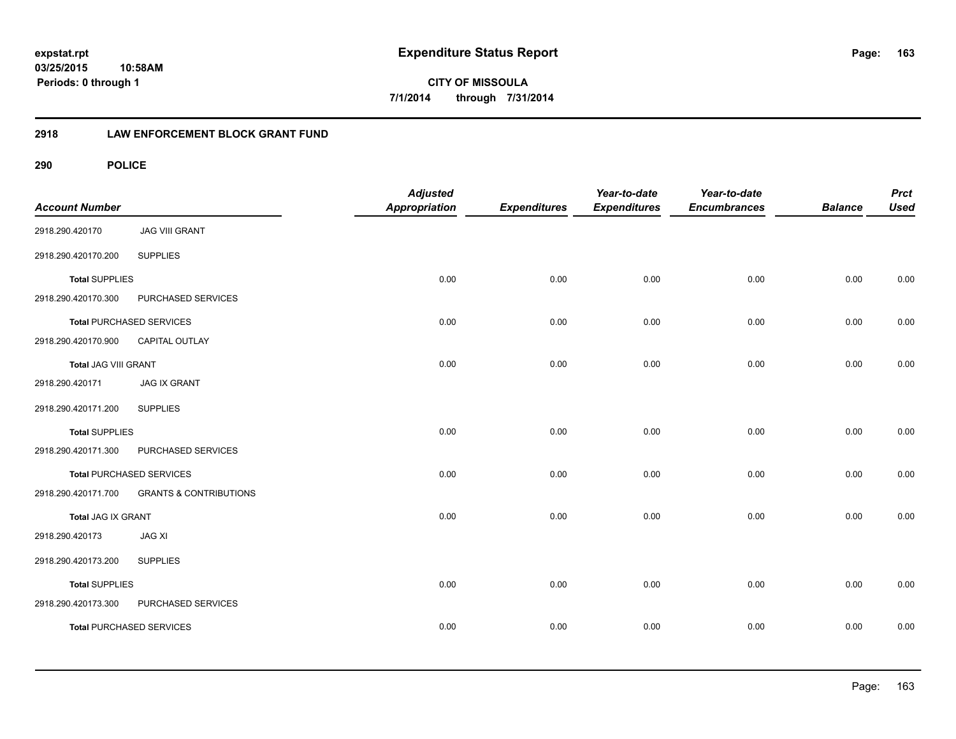**163**

**CITY OF MISSOULA 7/1/2014 through 7/31/2014**

## **2918 LAW ENFORCEMENT BLOCK GRANT FUND**

| <b>Account Number</b>       |                                   | <b>Adjusted</b><br>Appropriation | <b>Expenditures</b> | Year-to-date<br><b>Expenditures</b> | Year-to-date<br><b>Encumbrances</b> | <b>Balance</b> | <b>Prct</b><br><b>Used</b> |
|-----------------------------|-----------------------------------|----------------------------------|---------------------|-------------------------------------|-------------------------------------|----------------|----------------------------|
| 2918.290.420170             | <b>JAG VIII GRANT</b>             |                                  |                     |                                     |                                     |                |                            |
| 2918.290.420170.200         | <b>SUPPLIES</b>                   |                                  |                     |                                     |                                     |                |                            |
| <b>Total SUPPLIES</b>       |                                   | 0.00                             | 0.00                | 0.00                                | 0.00                                | 0.00           | 0.00                       |
| 2918.290.420170.300         | PURCHASED SERVICES                |                                  |                     |                                     |                                     |                |                            |
|                             | <b>Total PURCHASED SERVICES</b>   | 0.00                             | 0.00                | 0.00                                | 0.00                                | 0.00           | 0.00                       |
| 2918.290.420170.900         | CAPITAL OUTLAY                    |                                  |                     |                                     |                                     |                |                            |
| <b>Total JAG VIII GRANT</b> |                                   | 0.00                             | 0.00                | 0.00                                | 0.00                                | 0.00           | 0.00                       |
| 2918.290.420171             | <b>JAG IX GRANT</b>               |                                  |                     |                                     |                                     |                |                            |
| 2918.290.420171.200         | <b>SUPPLIES</b>                   |                                  |                     |                                     |                                     |                |                            |
| <b>Total SUPPLIES</b>       |                                   | 0.00                             | 0.00                | 0.00                                | 0.00                                | 0.00           | 0.00                       |
| 2918.290.420171.300         | PURCHASED SERVICES                |                                  |                     |                                     |                                     |                |                            |
|                             | <b>Total PURCHASED SERVICES</b>   | 0.00                             | 0.00                | 0.00                                | 0.00                                | 0.00           | 0.00                       |
| 2918.290.420171.700         | <b>GRANTS &amp; CONTRIBUTIONS</b> |                                  |                     |                                     |                                     |                |                            |
| <b>Total JAG IX GRANT</b>   |                                   | 0.00                             | 0.00                | 0.00                                | 0.00                                | 0.00           | 0.00                       |
| 2918.290.420173             | <b>JAG XI</b>                     |                                  |                     |                                     |                                     |                |                            |
| 2918.290.420173.200         | <b>SUPPLIES</b>                   |                                  |                     |                                     |                                     |                |                            |
| <b>Total SUPPLIES</b>       |                                   | 0.00                             | 0.00                | 0.00                                | 0.00                                | 0.00           | 0.00                       |
| 2918.290.420173.300         | PURCHASED SERVICES                |                                  |                     |                                     |                                     |                |                            |
|                             | <b>Total PURCHASED SERVICES</b>   | 0.00                             | 0.00                | 0.00                                | 0.00                                | 0.00           | 0.00                       |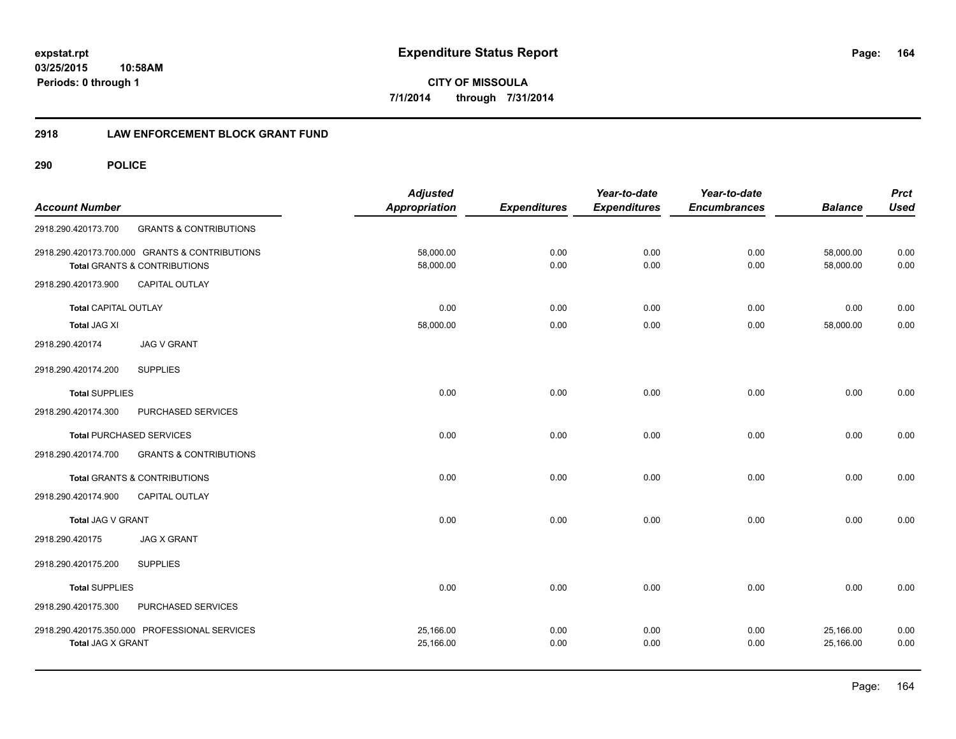## **2918 LAW ENFORCEMENT BLOCK GRANT FUND**

| <b>Account Number</b>       |                                                                                           | <b>Adjusted</b><br><b>Appropriation</b> | <b>Expenditures</b> | Year-to-date<br><b>Expenditures</b> | Year-to-date<br><b>Encumbrances</b> | <b>Balance</b>         | <b>Prct</b><br><b>Used</b> |
|-----------------------------|-------------------------------------------------------------------------------------------|-----------------------------------------|---------------------|-------------------------------------|-------------------------------------|------------------------|----------------------------|
| 2918.290.420173.700         | <b>GRANTS &amp; CONTRIBUTIONS</b>                                                         |                                         |                     |                                     |                                     |                        |                            |
|                             | 2918.290.420173.700.000 GRANTS & CONTRIBUTIONS<br><b>Total GRANTS &amp; CONTRIBUTIONS</b> | 58,000.00<br>58,000.00                  | 0.00<br>0.00        | 0.00<br>0.00                        | 0.00<br>0.00                        | 58,000.00<br>58,000.00 | 0.00<br>0.00               |
| 2918.290.420173.900         | <b>CAPITAL OUTLAY</b>                                                                     |                                         |                     |                                     |                                     |                        |                            |
| <b>Total CAPITAL OUTLAY</b> |                                                                                           | 0.00                                    | 0.00                | 0.00                                | 0.00                                | 0.00                   | 0.00                       |
| <b>Total JAG XI</b>         |                                                                                           | 58,000.00                               | 0.00                | 0.00                                | 0.00                                | 58,000.00              | 0.00                       |
| 2918.290.420174             | <b>JAG V GRANT</b>                                                                        |                                         |                     |                                     |                                     |                        |                            |
| 2918.290.420174.200         | <b>SUPPLIES</b>                                                                           |                                         |                     |                                     |                                     |                        |                            |
| <b>Total SUPPLIES</b>       |                                                                                           | 0.00                                    | 0.00                | 0.00                                | 0.00                                | 0.00                   | 0.00                       |
| 2918.290.420174.300         | PURCHASED SERVICES                                                                        |                                         |                     |                                     |                                     |                        |                            |
|                             | <b>Total PURCHASED SERVICES</b>                                                           | 0.00                                    | 0.00                | 0.00                                | 0.00                                | 0.00                   | 0.00                       |
| 2918.290.420174.700         | <b>GRANTS &amp; CONTRIBUTIONS</b>                                                         |                                         |                     |                                     |                                     |                        |                            |
|                             | Total GRANTS & CONTRIBUTIONS                                                              | 0.00                                    | 0.00                | 0.00                                | 0.00                                | 0.00                   | 0.00                       |
| 2918.290.420174.900         | <b>CAPITAL OUTLAY</b>                                                                     |                                         |                     |                                     |                                     |                        |                            |
| Total JAG V GRANT           |                                                                                           | 0.00                                    | 0.00                | 0.00                                | 0.00                                | 0.00                   | 0.00                       |
| 2918.290.420175             | <b>JAG X GRANT</b>                                                                        |                                         |                     |                                     |                                     |                        |                            |
| 2918.290.420175.200         | <b>SUPPLIES</b>                                                                           |                                         |                     |                                     |                                     |                        |                            |
| <b>Total SUPPLIES</b>       |                                                                                           | 0.00                                    | 0.00                | 0.00                                | 0.00                                | 0.00                   | 0.00                       |
| 2918.290.420175.300         | PURCHASED SERVICES                                                                        |                                         |                     |                                     |                                     |                        |                            |
| <b>Total JAG X GRANT</b>    | 2918.290.420175.350.000 PROFESSIONAL SERVICES                                             | 25,166.00<br>25,166.00                  | 0.00<br>0.00        | 0.00<br>0.00                        | 0.00<br>0.00                        | 25,166.00<br>25,166.00 | 0.00<br>0.00               |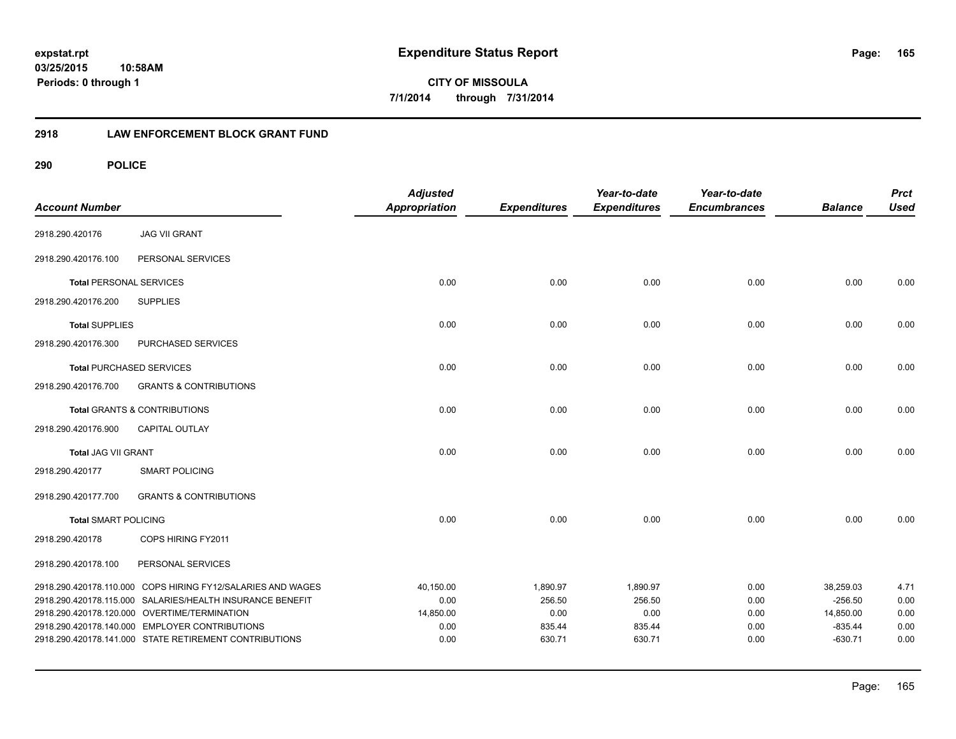**165**

**CITY OF MISSOULA 7/1/2014 through 7/31/2014**

## **2918 LAW ENFORCEMENT BLOCK GRANT FUND**

| <b>Account Number</b>          |                                                             | <b>Adjusted</b><br><b>Appropriation</b> | <b>Expenditures</b> | Year-to-date<br><b>Expenditures</b> | Year-to-date<br><b>Encumbrances</b> | <b>Balance</b> | <b>Prct</b><br><b>Used</b> |
|--------------------------------|-------------------------------------------------------------|-----------------------------------------|---------------------|-------------------------------------|-------------------------------------|----------------|----------------------------|
| 2918.290.420176                | <b>JAG VII GRANT</b>                                        |                                         |                     |                                     |                                     |                |                            |
| 2918.290.420176.100            | PERSONAL SERVICES                                           |                                         |                     |                                     |                                     |                |                            |
| <b>Total PERSONAL SERVICES</b> |                                                             | 0.00                                    | 0.00                | 0.00                                | 0.00                                | 0.00           | 0.00                       |
| 2918.290.420176.200            | <b>SUPPLIES</b>                                             |                                         |                     |                                     |                                     |                |                            |
| <b>Total SUPPLIES</b>          |                                                             | 0.00                                    | 0.00                | 0.00                                | 0.00                                | 0.00           | 0.00                       |
| 2918.290.420176.300            | PURCHASED SERVICES                                          |                                         |                     |                                     |                                     |                |                            |
|                                | <b>Total PURCHASED SERVICES</b>                             | 0.00                                    | 0.00                | 0.00                                | 0.00                                | 0.00           | 0.00                       |
| 2918.290.420176.700            | <b>GRANTS &amp; CONTRIBUTIONS</b>                           |                                         |                     |                                     |                                     |                |                            |
|                                | <b>Total GRANTS &amp; CONTRIBUTIONS</b>                     | 0.00                                    | 0.00                | 0.00                                | 0.00                                | 0.00           | 0.00                       |
| 2918.290.420176.900            | CAPITAL OUTLAY                                              |                                         |                     |                                     |                                     |                |                            |
| <b>Total JAG VII GRANT</b>     |                                                             | 0.00                                    | 0.00                | 0.00                                | 0.00                                | 0.00           | 0.00                       |
| 2918.290.420177                | <b>SMART POLICING</b>                                       |                                         |                     |                                     |                                     |                |                            |
| 2918.290.420177.700            | <b>GRANTS &amp; CONTRIBUTIONS</b>                           |                                         |                     |                                     |                                     |                |                            |
| <b>Total SMART POLICING</b>    |                                                             | 0.00                                    | 0.00                | 0.00                                | 0.00                                | 0.00           | 0.00                       |
| 2918.290.420178                | COPS HIRING FY2011                                          |                                         |                     |                                     |                                     |                |                            |
| 2918.290.420178.100            | PERSONAL SERVICES                                           |                                         |                     |                                     |                                     |                |                            |
|                                | 2918.290.420178.110.000 COPS HIRING FY12/SALARIES AND WAGES | 40,150.00                               | 1,890.97            | 1,890.97                            | 0.00                                | 38,259.03      | 4.71                       |
|                                | 2918.290.420178.115.000 SALARIES/HEALTH INSURANCE BENEFIT   | 0.00                                    | 256.50              | 256.50                              | 0.00                                | $-256.50$      | 0.00                       |
|                                | 2918.290.420178.120.000 OVERTIME/TERMINATION                | 14,850.00                               | 0.00                | 0.00                                | 0.00                                | 14,850.00      | 0.00                       |
|                                | 2918.290.420178.140.000 EMPLOYER CONTRIBUTIONS              | 0.00                                    | 835.44              | 835.44                              | 0.00                                | $-835.44$      | 0.00                       |
|                                | 2918.290.420178.141.000 STATE RETIREMENT CONTRIBUTIONS      | 0.00                                    | 630.71              | 630.71                              | 0.00                                | $-630.71$      | 0.00                       |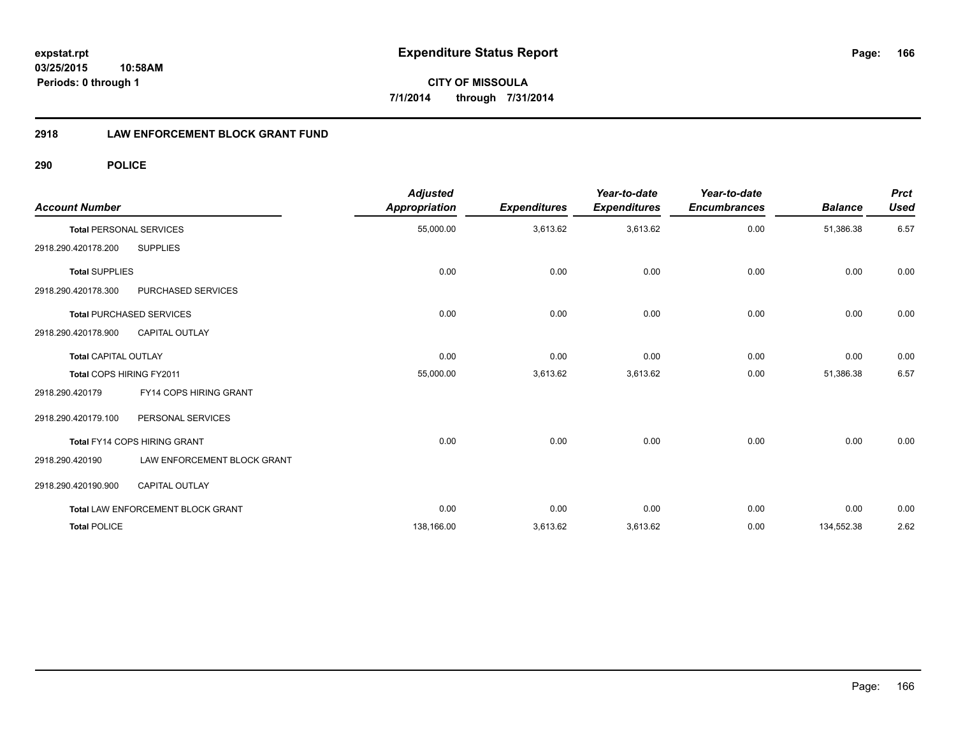## **2918 LAW ENFORCEMENT BLOCK GRANT FUND**

| <b>Account Number</b>          |                                   | <b>Adjusted</b><br><b>Appropriation</b> | <b>Expenditures</b> | Year-to-date<br><b>Expenditures</b> | Year-to-date<br><b>Encumbrances</b> | <b>Balance</b> | <b>Prct</b><br><b>Used</b> |
|--------------------------------|-----------------------------------|-----------------------------------------|---------------------|-------------------------------------|-------------------------------------|----------------|----------------------------|
| <b>Total PERSONAL SERVICES</b> |                                   | 55,000.00                               | 3,613.62            | 3,613.62                            | 0.00                                | 51,386.38      | 6.57                       |
| 2918.290.420178.200            | <b>SUPPLIES</b>                   |                                         |                     |                                     |                                     |                |                            |
| <b>Total SUPPLIES</b>          |                                   | 0.00                                    | 0.00                | 0.00                                | 0.00                                | 0.00           | 0.00                       |
| 2918.290.420178.300            | PURCHASED SERVICES                |                                         |                     |                                     |                                     |                |                            |
|                                | <b>Total PURCHASED SERVICES</b>   | 0.00                                    | 0.00                | 0.00                                | 0.00                                | 0.00           | 0.00                       |
| 2918.290.420178.900            | <b>CAPITAL OUTLAY</b>             |                                         |                     |                                     |                                     |                |                            |
| <b>Total CAPITAL OUTLAY</b>    |                                   | 0.00                                    | 0.00                | 0.00                                | 0.00                                | 0.00           | 0.00                       |
| Total COPS HIRING FY2011       |                                   | 55,000.00                               | 3,613.62            | 3,613.62                            | 0.00                                | 51,386.38      | 6.57                       |
| 2918.290.420179                | FY14 COPS HIRING GRANT            |                                         |                     |                                     |                                     |                |                            |
| 2918.290.420179.100            | PERSONAL SERVICES                 |                                         |                     |                                     |                                     |                |                            |
|                                | Total FY14 COPS HIRING GRANT      | 0.00                                    | 0.00                | 0.00                                | 0.00                                | 0.00           | 0.00                       |
| 2918.290.420190                | LAW ENFORCEMENT BLOCK GRANT       |                                         |                     |                                     |                                     |                |                            |
| 2918.290.420190.900            | <b>CAPITAL OUTLAY</b>             |                                         |                     |                                     |                                     |                |                            |
|                                | Total LAW ENFORCEMENT BLOCK GRANT | 0.00                                    | 0.00                | 0.00                                | 0.00                                | 0.00           | 0.00                       |
| <b>Total POLICE</b>            |                                   | 138,166.00                              | 3,613.62            | 3,613.62                            | 0.00                                | 134,552.38     | 2.62                       |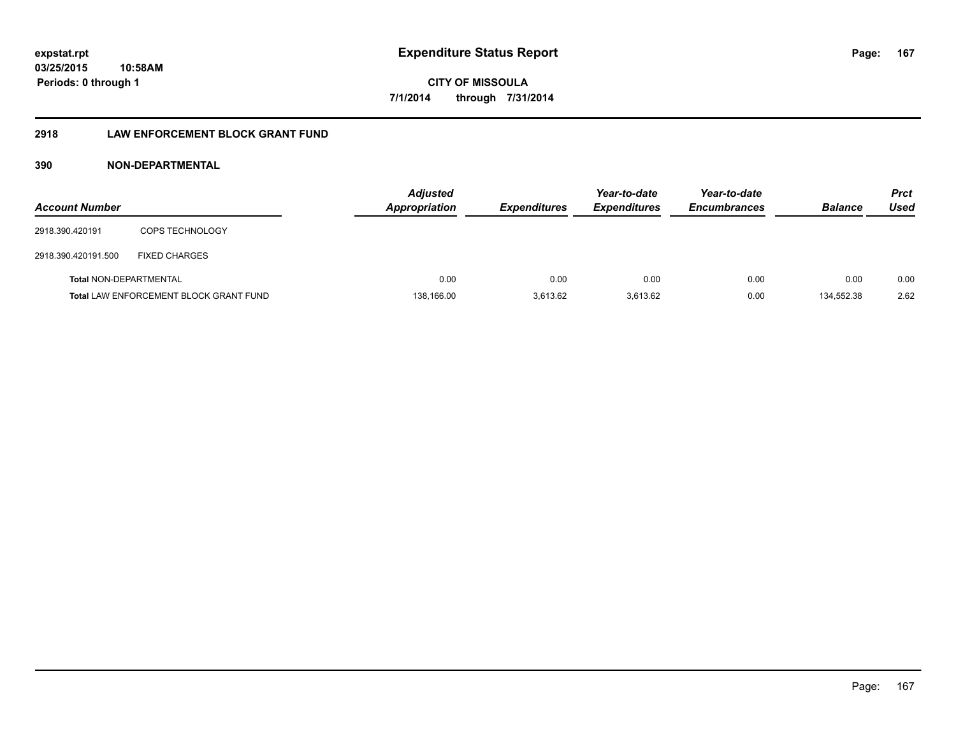## **2918 LAW ENFORCEMENT BLOCK GRANT FUND**

## **390 NON-DEPARTMENTAL**

| <b>Account Number</b>         |                                               | <b>Adjusted</b><br><b>Appropriation</b> | <b>Expenditures</b> | Year-to-date<br><b>Expenditures</b> | Year-to-date<br><b>Encumbrances</b> | <b>Balance</b> | <b>Prct</b><br>Used |
|-------------------------------|-----------------------------------------------|-----------------------------------------|---------------------|-------------------------------------|-------------------------------------|----------------|---------------------|
| 2918.390.420191               | <b>COPS TECHNOLOGY</b>                        |                                         |                     |                                     |                                     |                |                     |
| 2918.390.420191.500           | <b>FIXED CHARGES</b>                          |                                         |                     |                                     |                                     |                |                     |
| <b>Total NON-DEPARTMENTAL</b> |                                               | 0.00                                    | 0.00                | 0.00                                | 0.00                                | 0.00           | 0.00                |
|                               | <b>Total LAW ENFORCEMENT BLOCK GRANT FUND</b> | 138.166.00                              | 3.613.62            | 3.613.62                            | 0.00                                | 134.552.38     | 2.62                |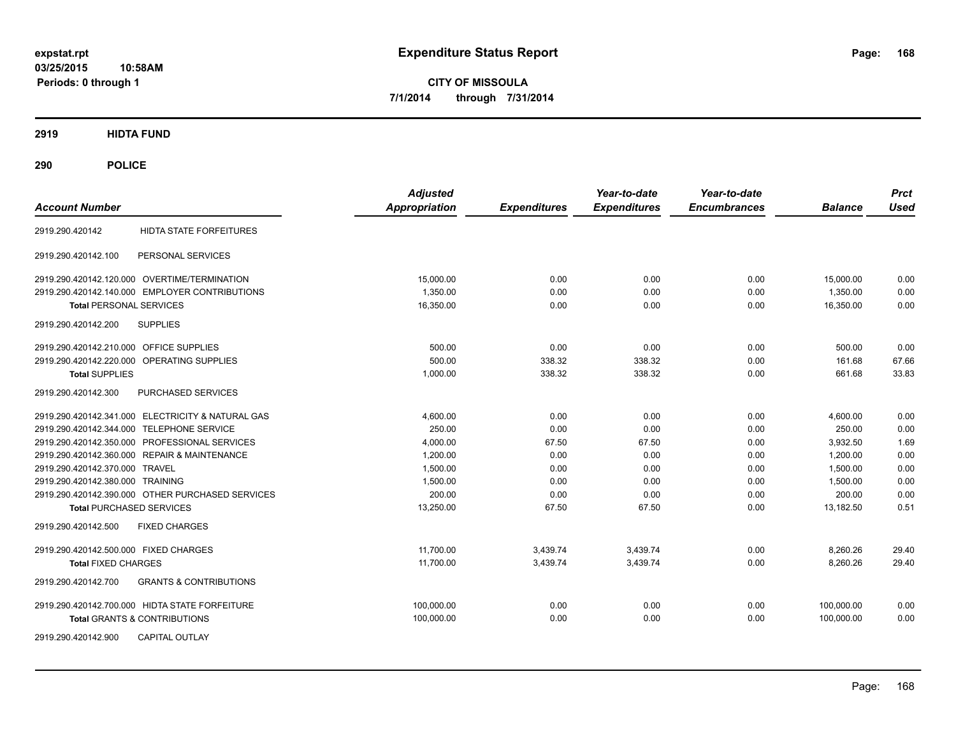**CITY OF MISSOULA 7/1/2014 through 7/31/2014**

**2919 HIDTA FUND**

| <b>Account Number</b>                                    | <b>Adjusted</b><br>Appropriation | <b>Expenditures</b> | Year-to-date<br><b>Expenditures</b> | Year-to-date<br><b>Encumbrances</b> | <b>Balance</b> | <b>Prct</b><br><b>Used</b> |
|----------------------------------------------------------|----------------------------------|---------------------|-------------------------------------|-------------------------------------|----------------|----------------------------|
| <b>HIDTA STATE FORFEITURES</b><br>2919.290.420142        |                                  |                     |                                     |                                     |                |                            |
| PERSONAL SERVICES<br>2919.290.420142.100                 |                                  |                     |                                     |                                     |                |                            |
| 2919.290.420142.120.000 OVERTIME/TERMINATION             | 15,000.00                        | 0.00                | 0.00                                | 0.00                                | 15,000.00      | 0.00                       |
| 2919.290.420142.140.000 EMPLOYER CONTRIBUTIONS           | 1.350.00                         | 0.00                | 0.00                                | 0.00                                | 1.350.00       | 0.00                       |
| <b>Total PERSONAL SERVICES</b>                           | 16,350.00                        | 0.00                | 0.00                                | 0.00                                | 16,350.00      | 0.00                       |
| <b>SUPPLIES</b><br>2919.290.420142.200                   |                                  |                     |                                     |                                     |                |                            |
| 2919.290.420142.210.000 OFFICE SUPPLIES                  | 500.00                           | 0.00                | 0.00                                | 0.00                                | 500.00         | 0.00                       |
| OPERATING SUPPLIES<br>2919.290.420142.220.000            | 500.00                           | 338.32              | 338.32                              | 0.00                                | 161.68         | 67.66                      |
| <b>Total SUPPLIES</b>                                    | 1,000.00                         | 338.32              | 338.32                              | 0.00                                | 661.68         | 33.83                      |
| 2919.290.420142.300<br>PURCHASED SERVICES                |                                  |                     |                                     |                                     |                |                            |
| 2919.290.420142.341.000 ELECTRICITY & NATURAL GAS        | 4,600.00                         | 0.00                | 0.00                                | 0.00                                | 4,600.00       | 0.00                       |
| 2919.290.420142.344.000 TELEPHONE SERVICE                | 250.00                           | 0.00                | 0.00                                | 0.00                                | 250.00         | 0.00                       |
| 2919.290.420142.350.000 PROFESSIONAL SERVICES            | 4,000.00                         | 67.50               | 67.50                               | 0.00                                | 3,932.50       | 1.69                       |
| 2919.290.420142.360.000 REPAIR & MAINTENANCE             | 1,200.00                         | 0.00                | 0.00                                | 0.00                                | 1,200.00       | 0.00                       |
| 2919.290.420142.370.000 TRAVEL                           | 1,500.00                         | 0.00                | 0.00                                | 0.00                                | 1,500.00       | 0.00                       |
| 2919.290.420142.380.000 TRAINING                         | 1,500.00                         | 0.00                | 0.00                                | 0.00                                | 1,500.00       | 0.00                       |
| 2919.290.420142.390.000 OTHER PURCHASED SERVICES         | 200.00                           | 0.00                | 0.00                                | 0.00                                | 200.00         | 0.00                       |
| <b>Total PURCHASED SERVICES</b>                          | 13,250.00                        | 67.50               | 67.50                               | 0.00                                | 13,182.50      | 0.51                       |
| 2919.290.420142.500<br><b>FIXED CHARGES</b>              |                                  |                     |                                     |                                     |                |                            |
| 2919.290.420142.500.000 FIXED CHARGES                    | 11.700.00                        | 3,439.74            | 3,439.74                            | 0.00                                | 8,260.26       | 29.40                      |
| <b>Total FIXED CHARGES</b>                               | 11,700.00                        | 3,439.74            | 3,439.74                            | 0.00                                | 8,260.26       | 29.40                      |
| <b>GRANTS &amp; CONTRIBUTIONS</b><br>2919.290.420142.700 |                                  |                     |                                     |                                     |                |                            |
| 2919.290.420142.700.000 HIDTA STATE FORFEITURE           | 100,000.00                       | 0.00                | 0.00                                | 0.00                                | 100,000.00     | 0.00                       |
| <b>Total GRANTS &amp; CONTRIBUTIONS</b>                  | 100,000.00                       | 0.00                | 0.00                                | 0.00                                | 100,000.00     | 0.00                       |
| 2919.290.420142.900<br><b>CAPITAL OUTLAY</b>             |                                  |                     |                                     |                                     |                |                            |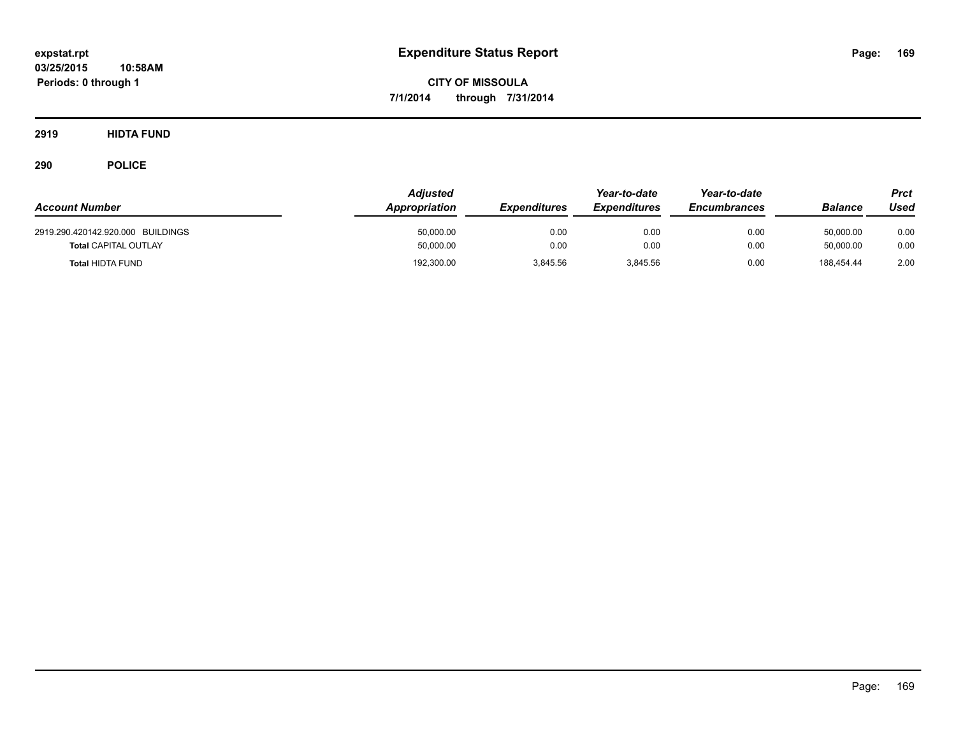**2919 HIDTA FUND**

| <b>Account Number</b>                                  | <b>Adiusted</b><br>Appropriation | <b>Expenditures</b> | Year-to-date<br><b>Expenditures</b> | Year-to-date<br><b>Encumbrances</b> | Balance                 | Prct<br>Used |
|--------------------------------------------------------|----------------------------------|---------------------|-------------------------------------|-------------------------------------|-------------------------|--------------|
| 2919.290.420142.920.000 BUILDINGS                      | 50,000.00                        | 0.00                | 0.00                                | 0.00                                | 50.000.00               | 0.00         |
| <b>Total CAPITAL OUTLAY</b><br><b>Total HIDTA FUND</b> | 50,000.00<br>192,300.00          | 0.00<br>3.845.56    | 0.00<br>3,845.56                    | 0.00<br>0.00                        | 50.000.00<br>188.454.44 | 0.00<br>2.00 |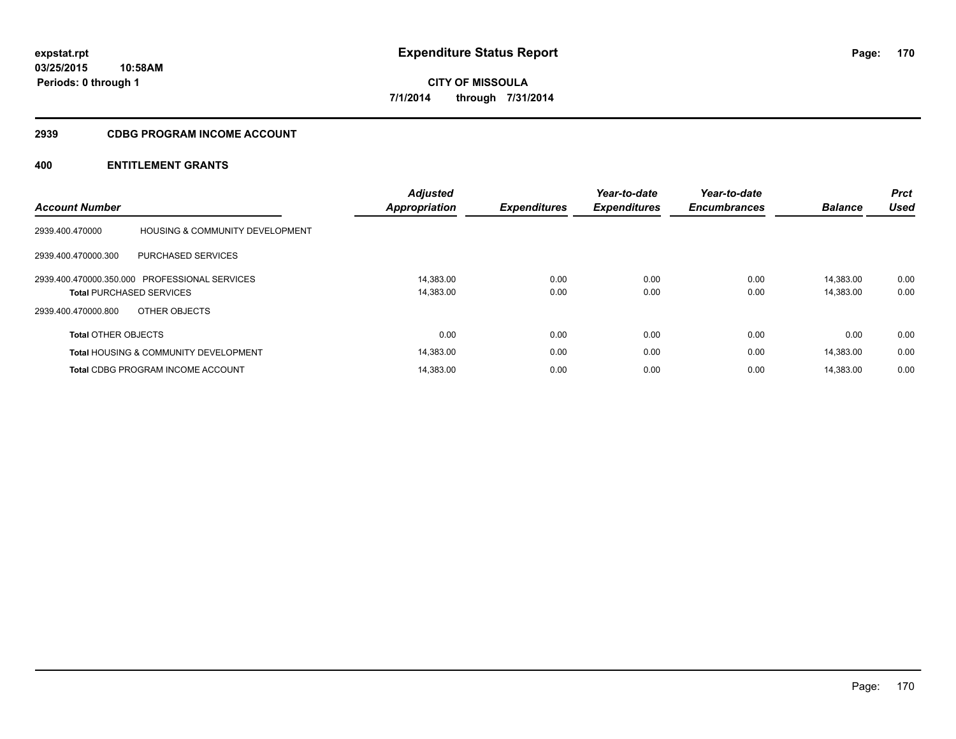## **2939 CDBG PROGRAM INCOME ACCOUNT**

|                                 |                                                  | <b>Adjusted</b>      |                     | Year-to-date        | Year-to-date        |                | <b>Prct</b> |
|---------------------------------|--------------------------------------------------|----------------------|---------------------|---------------------|---------------------|----------------|-------------|
| <b>Account Number</b>           |                                                  | <b>Appropriation</b> | <b>Expenditures</b> | <b>Expenditures</b> | <b>Encumbrances</b> | <b>Balance</b> | <b>Used</b> |
| 2939.400.470000                 | <b>HOUSING &amp; COMMUNITY DEVELOPMENT</b>       |                      |                     |                     |                     |                |             |
| 2939.400.470000.300             | PURCHASED SERVICES                               |                      |                     |                     |                     |                |             |
|                                 | 2939.400.470000.350.000 PROFESSIONAL SERVICES    | 14.383.00            | 0.00                | 0.00                | 0.00                | 14.383.00      | 0.00        |
| <b>Total PURCHASED SERVICES</b> |                                                  | 14,383.00            | 0.00                | 0.00                | 0.00                | 14,383.00      | 0.00        |
| 2939.400.470000.800             | OTHER OBJECTS                                    |                      |                     |                     |                     |                |             |
| <b>Total OTHER OBJECTS</b>      |                                                  | 0.00                 | 0.00                | 0.00                | 0.00                | 0.00           | 0.00        |
|                                 | <b>Total HOUSING &amp; COMMUNITY DEVELOPMENT</b> | 14,383.00            | 0.00                | 0.00                | 0.00                | 14,383.00      | 0.00        |
|                                 | <b>Total CDBG PROGRAM INCOME ACCOUNT</b>         | 14.383.00            | 0.00                | 0.00                | 0.00                | 14.383.00      | 0.00        |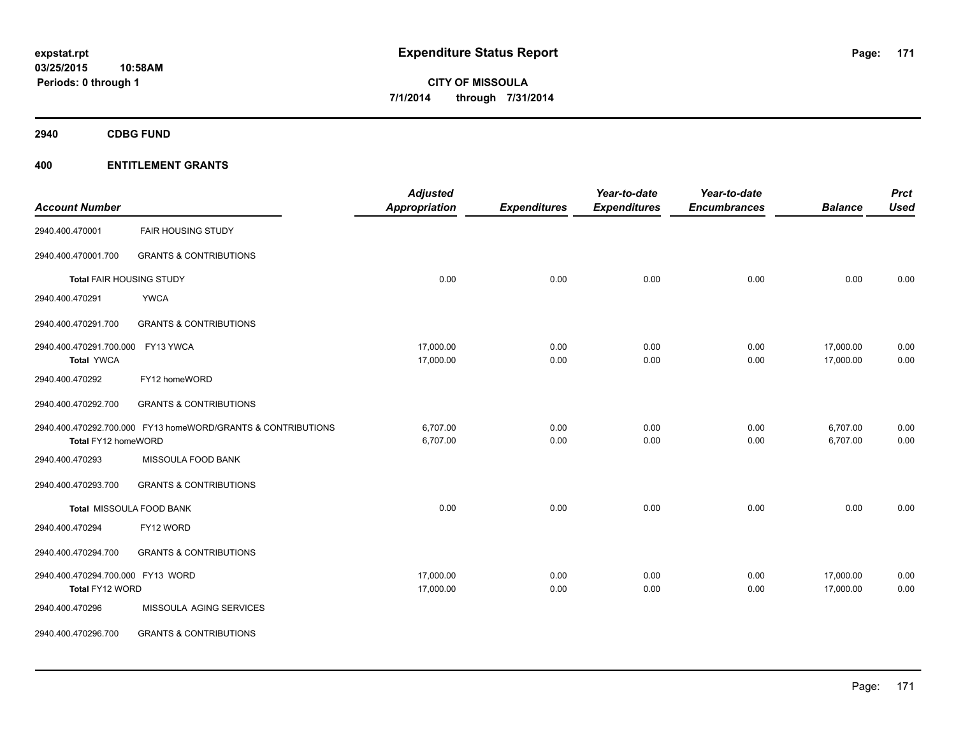**2940 CDBG FUND**

| <b>Account Number</b>             |                                                              | <b>Adjusted</b><br>Appropriation | <b>Expenditures</b> | Year-to-date<br><b>Expenditures</b> | Year-to-date<br><b>Encumbrances</b> | <b>Balance</b> | <b>Prct</b><br><b>Used</b> |
|-----------------------------------|--------------------------------------------------------------|----------------------------------|---------------------|-------------------------------------|-------------------------------------|----------------|----------------------------|
| 2940.400.470001                   | <b>FAIR HOUSING STUDY</b>                                    |                                  |                     |                                     |                                     |                |                            |
| 2940.400.470001.700               | <b>GRANTS &amp; CONTRIBUTIONS</b>                            |                                  |                     |                                     |                                     |                |                            |
| Total FAIR HOUSING STUDY          |                                                              | 0.00                             | 0.00                | 0.00                                | 0.00                                | 0.00           | 0.00                       |
| 2940.400.470291                   | <b>YWCA</b>                                                  |                                  |                     |                                     |                                     |                |                            |
| 2940.400.470291.700               | <b>GRANTS &amp; CONTRIBUTIONS</b>                            |                                  |                     |                                     |                                     |                |                            |
| 2940.400.470291.700.000           | FY13 YWCA                                                    | 17,000.00                        | 0.00                | 0.00                                | 0.00                                | 17,000.00      | 0.00                       |
| <b>Total YWCA</b>                 |                                                              | 17,000.00                        | 0.00                | 0.00                                | 0.00                                | 17,000.00      | 0.00                       |
| 2940.400.470292                   | FY12 homeWORD                                                |                                  |                     |                                     |                                     |                |                            |
| 2940.400.470292.700               | <b>GRANTS &amp; CONTRIBUTIONS</b>                            |                                  |                     |                                     |                                     |                |                            |
|                                   | 2940.400.470292.700.000 FY13 homeWORD/GRANTS & CONTRIBUTIONS | 6,707.00                         | 0.00                | 0.00                                | 0.00                                | 6,707.00       | 0.00                       |
| Total FY12 homeWORD               |                                                              | 6,707.00                         | 0.00                | 0.00                                | 0.00                                | 6,707.00       | 0.00                       |
| 2940.400.470293                   | MISSOULA FOOD BANK                                           |                                  |                     |                                     |                                     |                |                            |
| 2940.400.470293.700               | <b>GRANTS &amp; CONTRIBUTIONS</b>                            |                                  |                     |                                     |                                     |                |                            |
|                                   | Total MISSOULA FOOD BANK                                     | 0.00                             | 0.00                | 0.00                                | 0.00                                | 0.00           | 0.00                       |
| 2940.400.470294                   | FY12 WORD                                                    |                                  |                     |                                     |                                     |                |                            |
| 2940.400.470294.700               | <b>GRANTS &amp; CONTRIBUTIONS</b>                            |                                  |                     |                                     |                                     |                |                            |
| 2940.400.470294.700.000 FY13 WORD |                                                              | 17,000.00                        | 0.00                | 0.00                                | 0.00                                | 17,000.00      | 0.00                       |
| Total FY12 WORD                   |                                                              | 17,000.00                        | 0.00                | 0.00                                | 0.00                                | 17,000.00      | 0.00                       |
| 2940.400.470296                   | MISSOULA AGING SERVICES                                      |                                  |                     |                                     |                                     |                |                            |
| 2940.400.470296.700               | <b>GRANTS &amp; CONTRIBUTIONS</b>                            |                                  |                     |                                     |                                     |                |                            |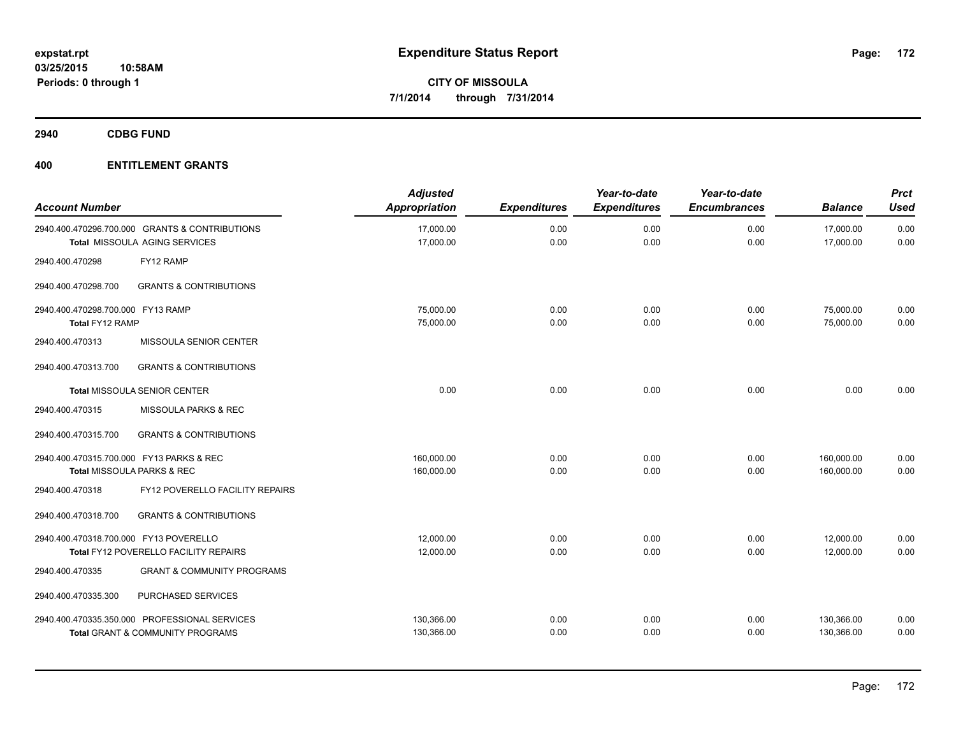**2940 CDBG FUND**

| <b>Account Number</b>                                |                                                                                              | <b>Adjusted</b><br>Appropriation | <b>Expenditures</b> | Year-to-date<br><b>Expenditures</b> | Year-to-date<br><b>Encumbrances</b> | <b>Balance</b>           | Prct<br><b>Used</b> |
|------------------------------------------------------|----------------------------------------------------------------------------------------------|----------------------------------|---------------------|-------------------------------------|-------------------------------------|--------------------------|---------------------|
|                                                      | 2940.400.470296.700.000 GRANTS & CONTRIBUTIONS<br><b>Total MISSOULA AGING SERVICES</b>       | 17.000.00<br>17,000.00           | 0.00<br>0.00        | 0.00<br>0.00                        | 0.00<br>0.00                        | 17,000.00<br>17,000.00   | 0.00<br>0.00        |
| 2940.400.470298                                      | FY12 RAMP                                                                                    |                                  |                     |                                     |                                     |                          |                     |
| 2940.400.470298.700                                  | <b>GRANTS &amp; CONTRIBUTIONS</b>                                                            |                                  |                     |                                     |                                     |                          |                     |
| 2940.400.470298.700.000 FY13 RAMP<br>Total FY12 RAMP |                                                                                              | 75,000.00<br>75,000.00           | 0.00<br>0.00        | 0.00<br>0.00                        | 0.00<br>0.00                        | 75,000.00<br>75,000.00   | 0.00<br>0.00        |
| 2940.400.470313                                      | MISSOULA SENIOR CENTER                                                                       |                                  |                     |                                     |                                     |                          |                     |
| 2940.400.470313.700                                  | <b>GRANTS &amp; CONTRIBUTIONS</b>                                                            |                                  |                     |                                     |                                     |                          |                     |
|                                                      | Total MISSOULA SENIOR CENTER                                                                 | 0.00                             | 0.00                | 0.00                                | 0.00                                | 0.00                     | 0.00                |
| 2940.400.470315                                      | MISSOULA PARKS & REC                                                                         |                                  |                     |                                     |                                     |                          |                     |
| 2940.400.470315.700                                  | <b>GRANTS &amp; CONTRIBUTIONS</b>                                                            |                                  |                     |                                     |                                     |                          |                     |
| 2940.400.470315.700.000 FY13 PARKS & REC             | Total MISSOULA PARKS & REC                                                                   | 160,000.00<br>160,000.00         | 0.00<br>0.00        | 0.00<br>0.00                        | 0.00<br>0.00                        | 160,000.00<br>160,000.00 | 0.00<br>0.00        |
| 2940.400.470318                                      | FY12 POVERELLO FACILITY REPAIRS                                                              |                                  |                     |                                     |                                     |                          |                     |
| 2940.400.470318.700                                  | <b>GRANTS &amp; CONTRIBUTIONS</b>                                                            |                                  |                     |                                     |                                     |                          |                     |
| 2940.400.470318.700.000 FY13 POVERELLO               | Total FY12 POVERELLO FACILITY REPAIRS                                                        | 12,000.00<br>12,000.00           | 0.00<br>0.00        | 0.00<br>0.00                        | 0.00<br>0.00                        | 12,000.00<br>12,000.00   | 0.00<br>0.00        |
| 2940.400.470335                                      | <b>GRANT &amp; COMMUNITY PROGRAMS</b>                                                        |                                  |                     |                                     |                                     |                          |                     |
| 2940.400.470335.300                                  | PURCHASED SERVICES                                                                           |                                  |                     |                                     |                                     |                          |                     |
|                                                      | 2940.400.470335.350.000 PROFESSIONAL SERVICES<br><b>Total GRANT &amp; COMMUNITY PROGRAMS</b> | 130,366.00<br>130,366.00         | 0.00<br>0.00        | 0.00<br>0.00                        | 0.00<br>0.00                        | 130,366.00<br>130,366.00 | 0.00<br>0.00        |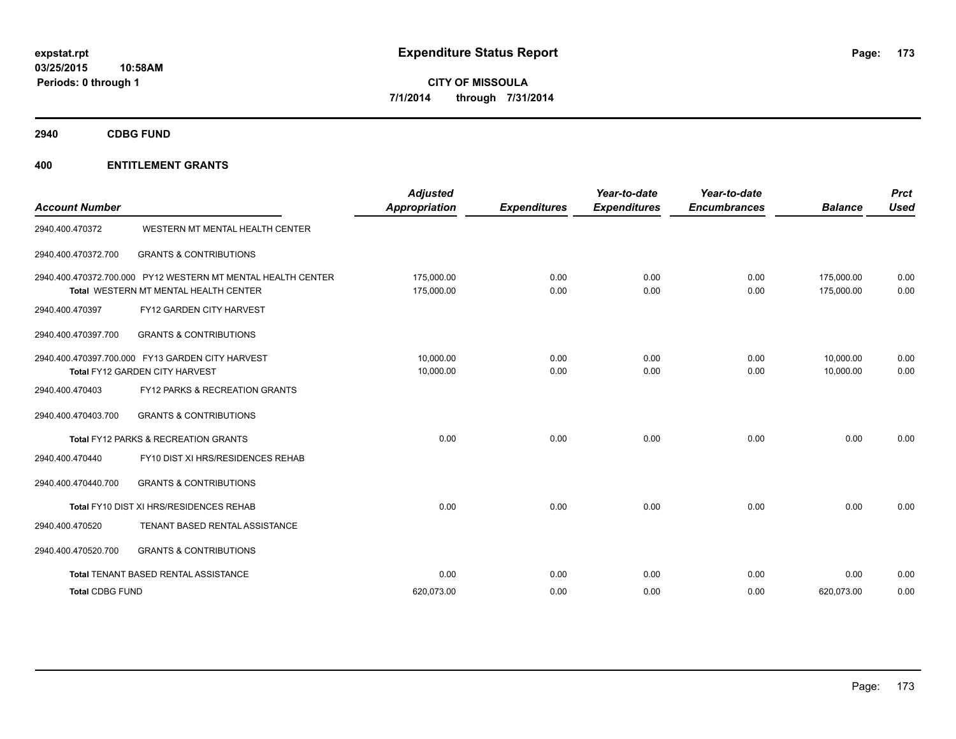**2940 CDBG FUND**

| <b>Account Number</b>  |                                                                                    | Adjusted<br><b>Appropriation</b> | <b>Expenditures</b> | Year-to-date<br><b>Expenditures</b> | Year-to-date<br><b>Encumbrances</b> | <b>Balance</b>         | Prct<br><b>Used</b> |
|------------------------|------------------------------------------------------------------------------------|----------------------------------|---------------------|-------------------------------------|-------------------------------------|------------------------|---------------------|
| 2940.400.470372        | WESTERN MT MENTAL HEALTH CENTER                                                    |                                  |                     |                                     |                                     |                        |                     |
| 2940.400.470372.700    | <b>GRANTS &amp; CONTRIBUTIONS</b>                                                  |                                  |                     |                                     |                                     |                        |                     |
|                        | 2940.400.470372.700.000 PY12 WESTERN MT MENTAL HEALTH CENTER                       | 175,000.00                       | 0.00                | 0.00                                | 0.00                                | 175,000.00             | 0.00                |
| 2940.400.470397        | Total WESTERN MT MENTAL HEALTH CENTER<br>FY12 GARDEN CITY HARVEST                  | 175,000.00                       | 0.00                | 0.00                                | 0.00                                | 175,000.00             | 0.00                |
| 2940.400.470397.700    | <b>GRANTS &amp; CONTRIBUTIONS</b>                                                  |                                  |                     |                                     |                                     |                        |                     |
|                        | 2940.400.470397.700.000 FY13 GARDEN CITY HARVEST<br>Total FY12 GARDEN CITY HARVEST | 10,000.00<br>10,000.00           | 0.00<br>0.00        | 0.00<br>0.00                        | 0.00<br>0.00                        | 10,000.00<br>10,000.00 | 0.00<br>0.00        |
| 2940.400.470403        | <b>FY12 PARKS &amp; RECREATION GRANTS</b>                                          |                                  |                     |                                     |                                     |                        |                     |
| 2940.400.470403.700    | <b>GRANTS &amp; CONTRIBUTIONS</b>                                                  |                                  |                     |                                     |                                     |                        |                     |
|                        | Total FY12 PARKS & RECREATION GRANTS                                               | 0.00                             | 0.00                | 0.00                                | 0.00                                | 0.00                   | 0.00                |
| 2940.400.470440        | FY10 DIST XI HRS/RESIDENCES REHAB                                                  |                                  |                     |                                     |                                     |                        |                     |
| 2940.400.470440.700    | <b>GRANTS &amp; CONTRIBUTIONS</b>                                                  |                                  |                     |                                     |                                     |                        |                     |
|                        | Total FY10 DIST XI HRS/RESIDENCES REHAB                                            | 0.00                             | 0.00                | 0.00                                | 0.00                                | 0.00                   | 0.00                |
| 2940.400.470520        | TENANT BASED RENTAL ASSISTANCE                                                     |                                  |                     |                                     |                                     |                        |                     |
| 2940.400.470520.700    | <b>GRANTS &amp; CONTRIBUTIONS</b>                                                  |                                  |                     |                                     |                                     |                        |                     |
|                        | Total TENANT BASED RENTAL ASSISTANCE                                               | 0.00                             | 0.00                | 0.00                                | 0.00                                | 0.00                   | 0.00                |
| <b>Total CDBG FUND</b> |                                                                                    | 620,073.00                       | 0.00                | 0.00                                | 0.00                                | 620,073.00             | 0.00                |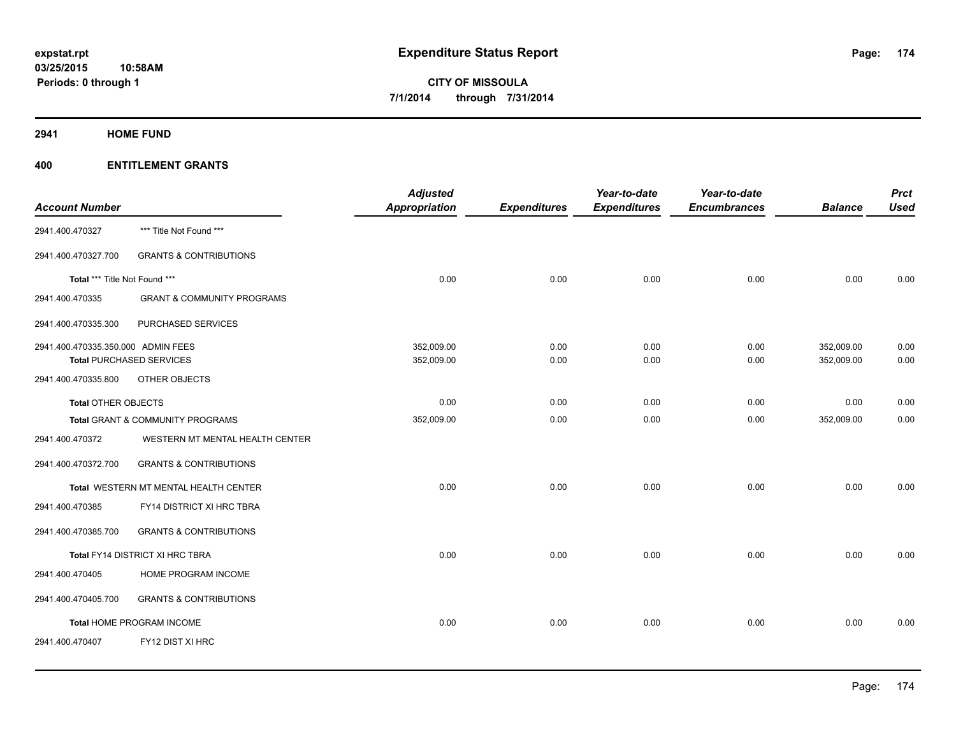**2941 HOME FUND**

| <b>Account Number</b>              |                                       | <b>Adjusted</b><br><b>Appropriation</b> | <b>Expenditures</b> | Year-to-date<br><b>Expenditures</b> | Year-to-date<br><b>Encumbrances</b> | <b>Balance</b>           | <b>Prct</b><br><b>Used</b> |
|------------------------------------|---------------------------------------|-----------------------------------------|---------------------|-------------------------------------|-------------------------------------|--------------------------|----------------------------|
| 2941.400.470327                    | *** Title Not Found ***               |                                         |                     |                                     |                                     |                          |                            |
| 2941.400.470327.700                | <b>GRANTS &amp; CONTRIBUTIONS</b>     |                                         |                     |                                     |                                     |                          |                            |
| Total *** Title Not Found ***      |                                       | 0.00                                    | 0.00                | 0.00                                | 0.00                                | 0.00                     | 0.00                       |
| 2941.400.470335                    | <b>GRANT &amp; COMMUNITY PROGRAMS</b> |                                         |                     |                                     |                                     |                          |                            |
| 2941.400.470335.300                | PURCHASED SERVICES                    |                                         |                     |                                     |                                     |                          |                            |
| 2941.400.470335.350.000 ADMIN FEES | <b>Total PURCHASED SERVICES</b>       | 352,009.00<br>352,009.00                | 0.00<br>0.00        | 0.00<br>0.00                        | 0.00<br>0.00                        | 352,009.00<br>352,009.00 | 0.00<br>0.00               |
| 2941.400.470335.800                | OTHER OBJECTS                         |                                         |                     |                                     |                                     |                          |                            |
| <b>Total OTHER OBJECTS</b>         |                                       | 0.00                                    | 0.00                | 0.00                                | 0.00                                | 0.00                     | 0.00                       |
|                                    | Total GRANT & COMMUNITY PROGRAMS      | 352,009.00                              | 0.00                | 0.00                                | 0.00                                | 352,009.00               | 0.00                       |
| 2941.400.470372                    | WESTERN MT MENTAL HEALTH CENTER       |                                         |                     |                                     |                                     |                          |                            |
| 2941.400.470372.700                | <b>GRANTS &amp; CONTRIBUTIONS</b>     |                                         |                     |                                     |                                     |                          |                            |
|                                    | Total WESTERN MT MENTAL HEALTH CENTER | 0.00                                    | 0.00                | 0.00                                | 0.00                                | 0.00                     | 0.00                       |
| 2941.400.470385                    | FY14 DISTRICT XI HRC TBRA             |                                         |                     |                                     |                                     |                          |                            |
| 2941.400.470385.700                | <b>GRANTS &amp; CONTRIBUTIONS</b>     |                                         |                     |                                     |                                     |                          |                            |
|                                    | Total FY14 DISTRICT XI HRC TBRA       | 0.00                                    | 0.00                | 0.00                                | 0.00                                | 0.00                     | 0.00                       |
| 2941.400.470405                    | HOME PROGRAM INCOME                   |                                         |                     |                                     |                                     |                          |                            |
| 2941.400.470405.700                | <b>GRANTS &amp; CONTRIBUTIONS</b>     |                                         |                     |                                     |                                     |                          |                            |
|                                    | Total HOME PROGRAM INCOME             | 0.00                                    | 0.00                | 0.00                                | 0.00                                | 0.00                     | 0.00                       |
| 2941.400.470407                    | FY12 DIST XI HRC                      |                                         |                     |                                     |                                     |                          |                            |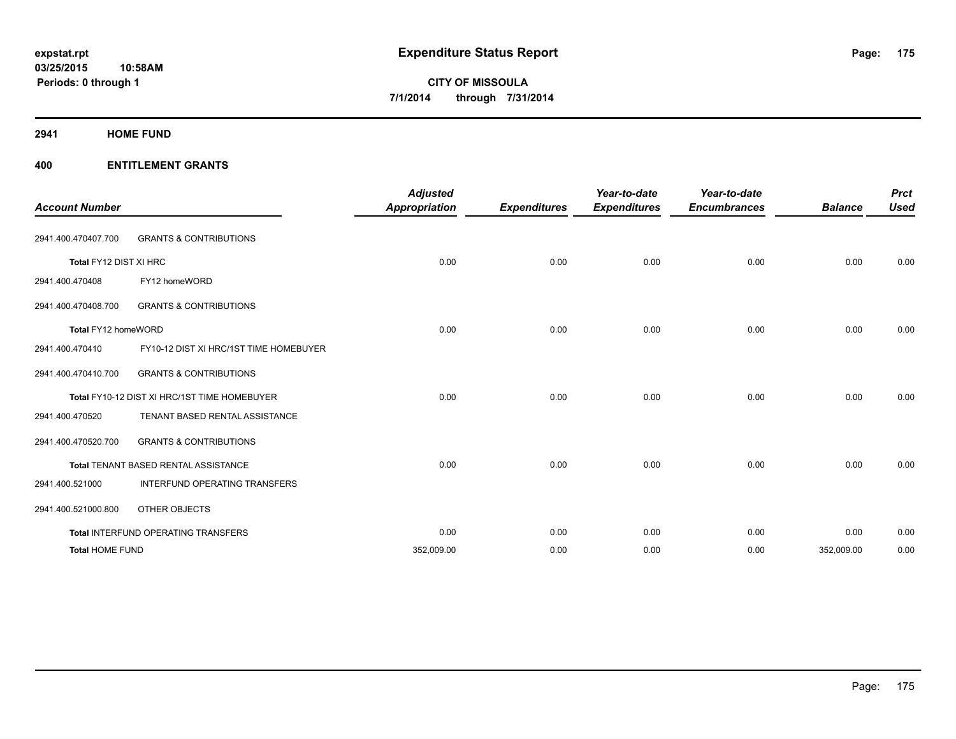**2941 HOME FUND**

| <b>Account Number</b>  |                                              | <b>Adjusted</b><br><b>Appropriation</b> | <b>Expenditures</b> | Year-to-date<br><b>Expenditures</b> | Year-to-date<br><b>Encumbrances</b> | <b>Balance</b> | <b>Prct</b><br><b>Used</b> |
|------------------------|----------------------------------------------|-----------------------------------------|---------------------|-------------------------------------|-------------------------------------|----------------|----------------------------|
| 2941.400.470407.700    | <b>GRANTS &amp; CONTRIBUTIONS</b>            |                                         |                     |                                     |                                     |                |                            |
| Total FY12 DIST XI HRC |                                              | 0.00                                    | 0.00                | 0.00                                | 0.00                                | 0.00           | 0.00                       |
| 2941.400.470408        | FY12 homeWORD                                |                                         |                     |                                     |                                     |                |                            |
| 2941.400.470408.700    | <b>GRANTS &amp; CONTRIBUTIONS</b>            |                                         |                     |                                     |                                     |                |                            |
| Total FY12 homeWORD    |                                              | 0.00                                    | 0.00                | 0.00                                | 0.00                                | 0.00           | 0.00                       |
| 2941.400.470410        | FY10-12 DIST XI HRC/1ST TIME HOMEBUYER       |                                         |                     |                                     |                                     |                |                            |
| 2941.400.470410.700    | <b>GRANTS &amp; CONTRIBUTIONS</b>            |                                         |                     |                                     |                                     |                |                            |
|                        | Total FY10-12 DIST XI HRC/1ST TIME HOMEBUYER | 0.00                                    | 0.00                | 0.00                                | 0.00                                | 0.00           | 0.00                       |
| 2941.400.470520        | TENANT BASED RENTAL ASSISTANCE               |                                         |                     |                                     |                                     |                |                            |
| 2941.400.470520.700    | <b>GRANTS &amp; CONTRIBUTIONS</b>            |                                         |                     |                                     |                                     |                |                            |
|                        | Total TENANT BASED RENTAL ASSISTANCE         | 0.00                                    | 0.00                | 0.00                                | 0.00                                | 0.00           | 0.00                       |
| 2941.400.521000        | INTERFUND OPERATING TRANSFERS                |                                         |                     |                                     |                                     |                |                            |
| 2941.400.521000.800    | OTHER OBJECTS                                |                                         |                     |                                     |                                     |                |                            |
|                        | Total INTERFUND OPERATING TRANSFERS          | 0.00                                    | 0.00                | 0.00                                | 0.00                                | 0.00           | 0.00                       |
| <b>Total HOME FUND</b> |                                              | 352,009.00                              | 0.00                | 0.00                                | 0.00                                | 352,009.00     | 0.00                       |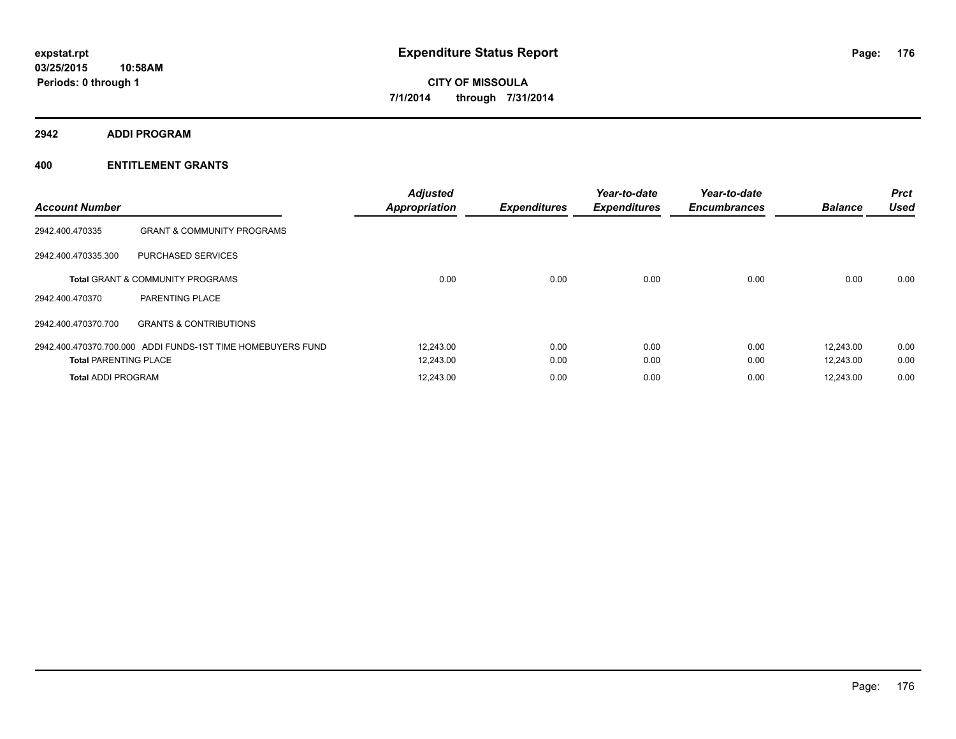**2942 ADDI PROGRAM**

| <b>Account Number</b>        |                                                             | <b>Adjusted</b><br><b>Appropriation</b> | <b>Expenditures</b> | Year-to-date<br><b>Expenditures</b> | Year-to-date<br><b>Encumbrances</b> | <b>Balance</b> | <b>Prct</b><br><b>Used</b> |
|------------------------------|-------------------------------------------------------------|-----------------------------------------|---------------------|-------------------------------------|-------------------------------------|----------------|----------------------------|
| 2942.400.470335              | <b>GRANT &amp; COMMUNITY PROGRAMS</b>                       |                                         |                     |                                     |                                     |                |                            |
| 2942.400.470335.300          | PURCHASED SERVICES                                          |                                         |                     |                                     |                                     |                |                            |
|                              | <b>Total GRANT &amp; COMMUNITY PROGRAMS</b>                 | 0.00                                    | 0.00                | 0.00                                | 0.00                                | 0.00           | 0.00                       |
| 2942.400.470370              | <b>PARENTING PLACE</b>                                      |                                         |                     |                                     |                                     |                |                            |
| 2942.400.470370.700          | <b>GRANTS &amp; CONTRIBUTIONS</b>                           |                                         |                     |                                     |                                     |                |                            |
|                              | 2942.400.470370.700.000 ADDI FUNDS-1ST TIME HOMEBUYERS FUND | 12,243.00                               | 0.00                | 0.00                                | 0.00                                | 12.243.00      | 0.00                       |
| <b>Total PARENTING PLACE</b> |                                                             | 12,243.00                               | 0.00                | 0.00                                | 0.00                                | 12.243.00      | 0.00                       |
| <b>Total ADDI PROGRAM</b>    |                                                             | 12,243.00                               | 0.00                | 0.00                                | 0.00                                | 12,243.00      | 0.00                       |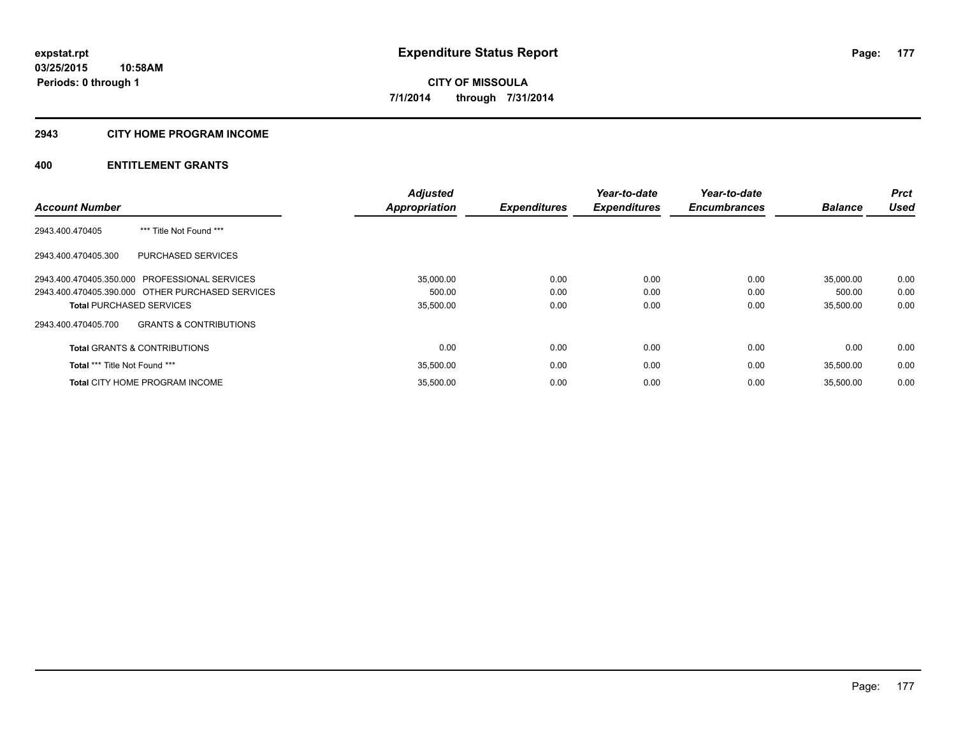## **2943 CITY HOME PROGRAM INCOME**

|                                                          | <b>Adjusted</b>      |                     | Year-to-date        | Year-to-date        |                | <b>Prct</b> |
|----------------------------------------------------------|----------------------|---------------------|---------------------|---------------------|----------------|-------------|
| <b>Account Number</b>                                    | <b>Appropriation</b> | <b>Expenditures</b> | <b>Expenditures</b> | <b>Encumbrances</b> | <b>Balance</b> | <b>Used</b> |
| *** Title Not Found ***<br>2943.400.470405               |                      |                     |                     |                     |                |             |
| 2943.400.470405.300<br>PURCHASED SERVICES                |                      |                     |                     |                     |                |             |
| 2943.400.470405.350.000 PROFESSIONAL SERVICES            | 35,000.00            | 0.00                | 0.00                | 0.00                | 35.000.00      | 0.00        |
| 2943.400.470405.390.000 OTHER PURCHASED SERVICES         | 500.00               | 0.00                | 0.00                | 0.00                | 500.00         | 0.00        |
| <b>Total PURCHASED SERVICES</b>                          | 35,500.00            | 0.00                | 0.00                | 0.00                | 35,500.00      | 0.00        |
| <b>GRANTS &amp; CONTRIBUTIONS</b><br>2943.400.470405.700 |                      |                     |                     |                     |                |             |
| <b>Total GRANTS &amp; CONTRIBUTIONS</b>                  | 0.00                 | 0.00                | 0.00                | 0.00                | 0.00           | 0.00        |
| <b>Total *** Title Not Found ***</b>                     | 35,500.00            | 0.00                | 0.00                | 0.00                | 35,500.00      | 0.00        |
| <b>Total CITY HOME PROGRAM INCOME</b>                    | 35,500.00            | 0.00                | 0.00                | 0.00                | 35.500.00      | 0.00        |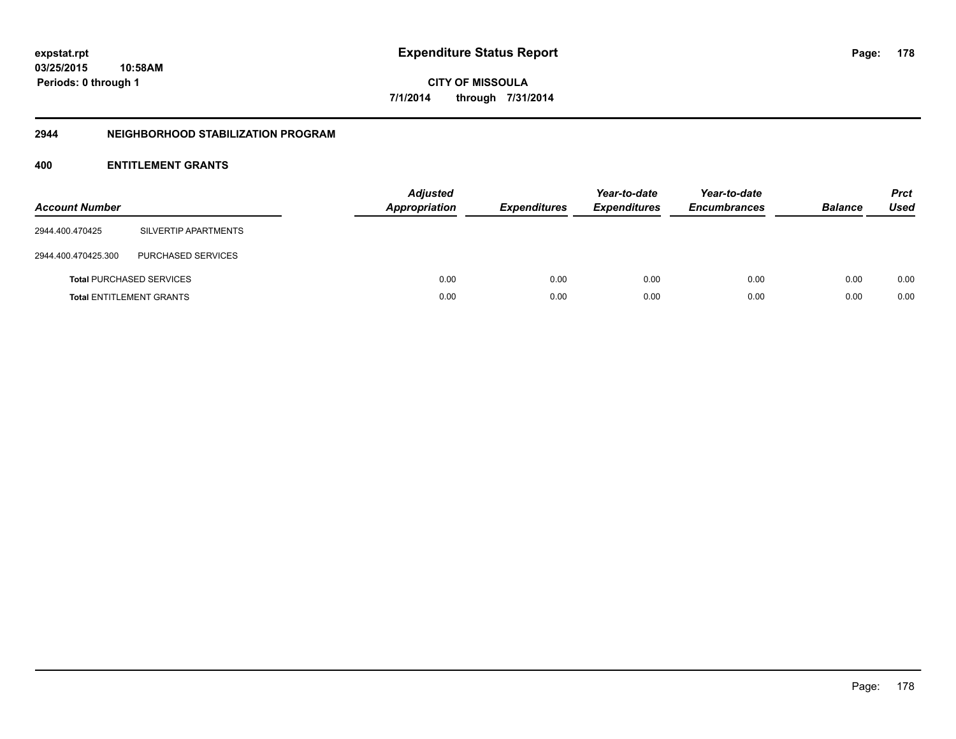## **2944 NEIGHBORHOOD STABILIZATION PROGRAM**

| <b>Account Number</b> |                                 | <b>Adjusted</b><br><b>Appropriation</b> | <b>Expenditures</b> | Year-to-date<br><b>Expenditures</b> | Year-to-date<br><b>Encumbrances</b> | <b>Balance</b> | <b>Prct</b><br>Used |
|-----------------------|---------------------------------|-----------------------------------------|---------------------|-------------------------------------|-------------------------------------|----------------|---------------------|
| 2944.400.470425       | SILVERTIP APARTMENTS            |                                         |                     |                                     |                                     |                |                     |
| 2944.400.470425.300   | PURCHASED SERVICES              |                                         |                     |                                     |                                     |                |                     |
|                       | <b>Total PURCHASED SERVICES</b> | 0.00                                    | 0.00                | 0.00                                | 0.00                                | 0.00           | 0.00                |
|                       | <b>Total ENTITLEMENT GRANTS</b> | 0.00                                    | 0.00                | 0.00                                | 0.00                                | 0.00           | 0.00                |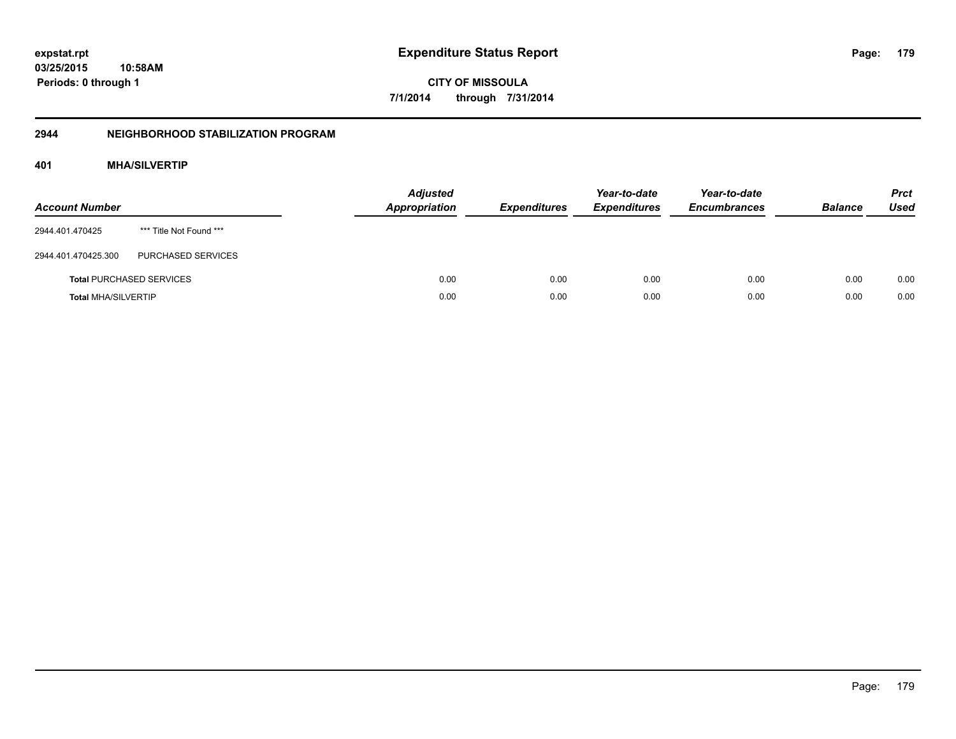## **2944 NEIGHBORHOOD STABILIZATION PROGRAM**

## **401 MHA/SILVERTIP**

| <b>Account Number</b>      |                                 | <b>Adjusted</b><br>Appropriation | <b>Expenditures</b> | Year-to-date<br><b>Expenditures</b> | Year-to-date<br><b>Encumbrances</b> | <b>Balance</b> | <b>Prct</b><br><b>Used</b> |
|----------------------------|---------------------------------|----------------------------------|---------------------|-------------------------------------|-------------------------------------|----------------|----------------------------|
| 2944.401.470425            | *** Title Not Found ***         |                                  |                     |                                     |                                     |                |                            |
| 2944.401.470425.300        | PURCHASED SERVICES              |                                  |                     |                                     |                                     |                |                            |
|                            | <b>Total PURCHASED SERVICES</b> | 0.00                             | 0.00                | 0.00                                | 0.00                                | 0.00           | 0.00                       |
| <b>Total MHA/SILVERTIP</b> |                                 | 0.00                             | 0.00                | 0.00                                | 0.00                                | 0.00           | 0.00                       |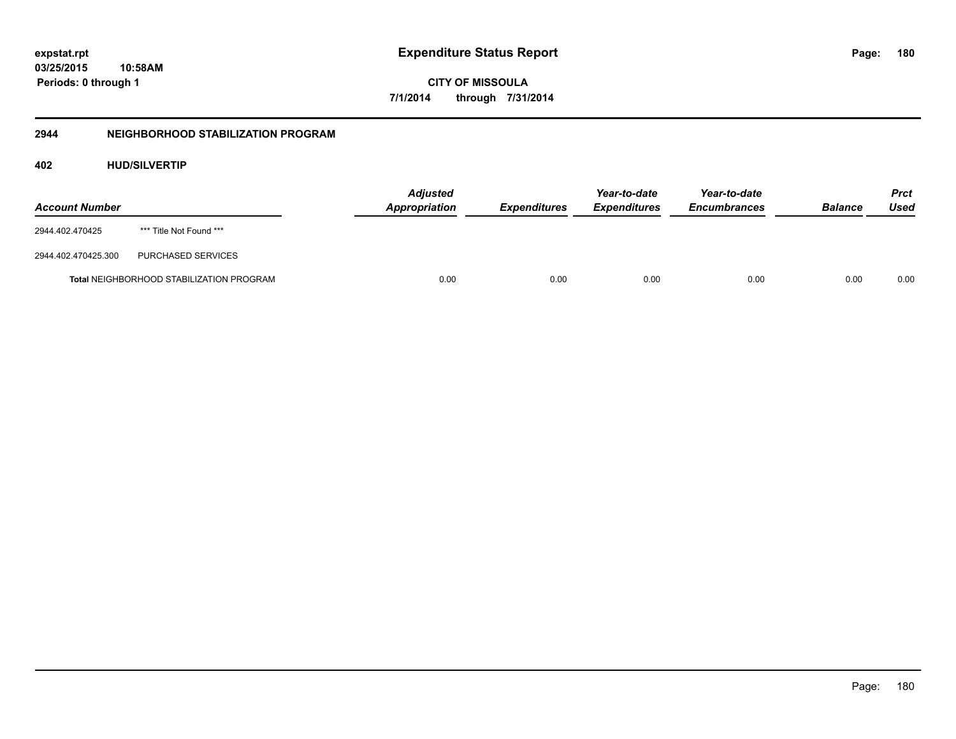**CITY OF MISSOULA 7/1/2014 through 7/31/2014**

## **2944 NEIGHBORHOOD STABILIZATION PROGRAM**

## **402 HUD/SILVERTIP**

| <b>Account Number</b> |                                                 | <b>Adjusted</b><br><b>Appropriation</b> | <b>Expenditures</b> | Year-to-date<br><b>Expenditures</b> | Year-to-date<br><b>Encumbrances</b> | <b>Balance</b> | <b>Prct</b><br>Used |
|-----------------------|-------------------------------------------------|-----------------------------------------|---------------------|-------------------------------------|-------------------------------------|----------------|---------------------|
| 2944.402.470425       | *** Title Not Found ***                         |                                         |                     |                                     |                                     |                |                     |
| 2944.402.470425.300   | PURCHASED SERVICES                              |                                         |                     |                                     |                                     |                |                     |
|                       | <b>Total NEIGHBORHOOD STABILIZATION PROGRAM</b> | 0.00                                    | 0.00                | 0.00                                | 0.00                                | 0.00           | 0.00                |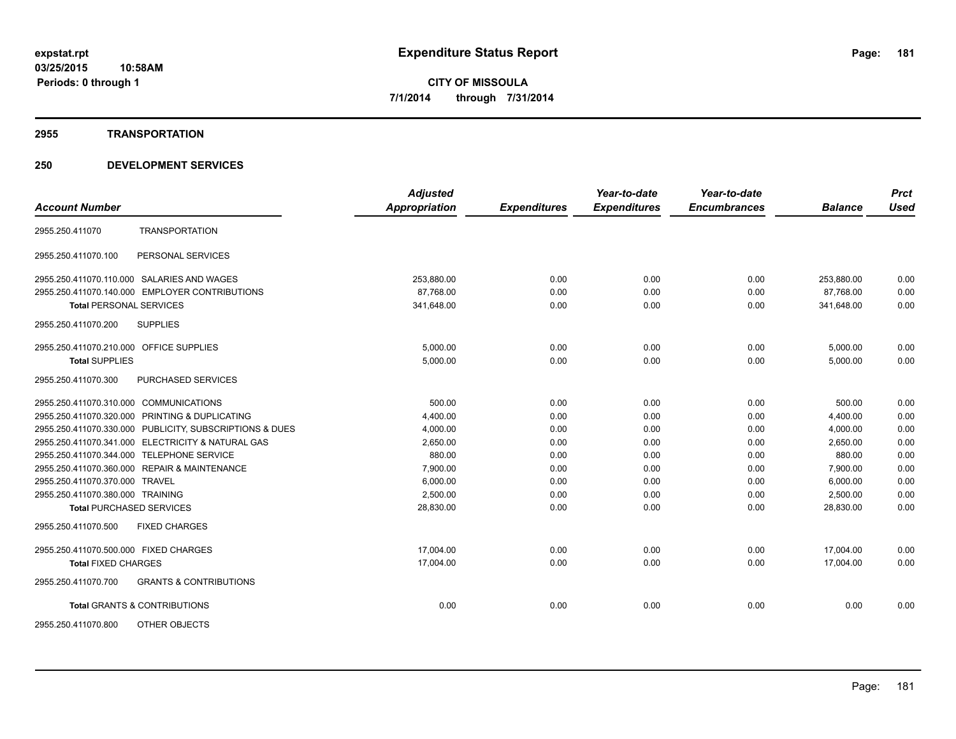#### **2955 TRANSPORTATION**

|                                                          | <b>Adjusted</b>      |                     | Year-to-date        | Year-to-date        |                | <b>Prct</b> |
|----------------------------------------------------------|----------------------|---------------------|---------------------|---------------------|----------------|-------------|
| <b>Account Number</b>                                    | <b>Appropriation</b> | <b>Expenditures</b> | <b>Expenditures</b> | <b>Encumbrances</b> | <b>Balance</b> | <b>Used</b> |
| <b>TRANSPORTATION</b><br>2955.250.411070                 |                      |                     |                     |                     |                |             |
| 2955.250.411070.100<br>PERSONAL SERVICES                 |                      |                     |                     |                     |                |             |
| 2955.250.411070.110.000 SALARIES AND WAGES               | 253,880.00           | 0.00                | 0.00                | 0.00                | 253,880.00     | 0.00        |
| 2955.250.411070.140.000 EMPLOYER CONTRIBUTIONS           | 87.768.00            | 0.00                | 0.00                | 0.00                | 87.768.00      | 0.00        |
| <b>Total PERSONAL SERVICES</b>                           | 341,648.00           | 0.00                | 0.00                | 0.00                | 341,648.00     | 0.00        |
| 2955.250.411070.200<br><b>SUPPLIES</b>                   |                      |                     |                     |                     |                |             |
| 2955.250.411070.210.000 OFFICE SUPPLIES                  | 5,000.00             | 0.00                | 0.00                | 0.00                | 5,000.00       | 0.00        |
| <b>Total SUPPLIES</b>                                    | 5,000.00             | 0.00                | 0.00                | 0.00                | 5,000.00       | 0.00        |
| 2955.250.411070.300<br>PURCHASED SERVICES                |                      |                     |                     |                     |                |             |
| 2955.250.411070.310.000 COMMUNICATIONS                   | 500.00               | 0.00                | 0.00                | 0.00                | 500.00         | 0.00        |
| 2955.250.411070.320.000 PRINTING & DUPLICATING           | 4,400.00             | 0.00                | 0.00                | 0.00                | 4,400.00       | 0.00        |
| 2955.250.411070.330.000 PUBLICITY, SUBSCRIPTIONS & DUES  | 4,000.00             | 0.00                | 0.00                | 0.00                | 4,000.00       | 0.00        |
| 2955.250.411070.341.000 ELECTRICITY & NATURAL GAS        | 2,650.00             | 0.00                | 0.00                | 0.00                | 2,650.00       | 0.00        |
| 2955.250.411070.344.000 TELEPHONE SERVICE                | 880.00               | 0.00                | 0.00                | 0.00                | 880.00         | 0.00        |
| 2955.250.411070.360.000 REPAIR & MAINTENANCE             | 7,900.00             | 0.00                | 0.00                | 0.00                | 7,900.00       | 0.00        |
| 2955.250.411070.370.000 TRAVEL                           | 6,000.00             | 0.00                | 0.00                | 0.00                | 6,000.00       | 0.00        |
| 2955.250.411070.380.000 TRAINING                         | 2,500.00             | 0.00                | 0.00                | 0.00                | 2,500.00       | 0.00        |
| <b>Total PURCHASED SERVICES</b>                          | 28,830.00            | 0.00                | 0.00                | 0.00                | 28,830.00      | 0.00        |
| <b>FIXED CHARGES</b><br>2955.250.411070.500              |                      |                     |                     |                     |                |             |
| 2955.250.411070.500.000 FIXED CHARGES                    | 17,004.00            | 0.00                | 0.00                | 0.00                | 17,004.00      | 0.00        |
| <b>Total FIXED CHARGES</b>                               | 17,004.00            | 0.00                | 0.00                | 0.00                | 17,004.00      | 0.00        |
| 2955.250.411070.700<br><b>GRANTS &amp; CONTRIBUTIONS</b> |                      |                     |                     |                     |                |             |
| <b>Total GRANTS &amp; CONTRIBUTIONS</b>                  | 0.00                 | 0.00                | 0.00                | 0.00                | 0.00           | 0.00        |
| OTHER OBJECTS<br>2955.250.411070.800                     |                      |                     |                     |                     |                |             |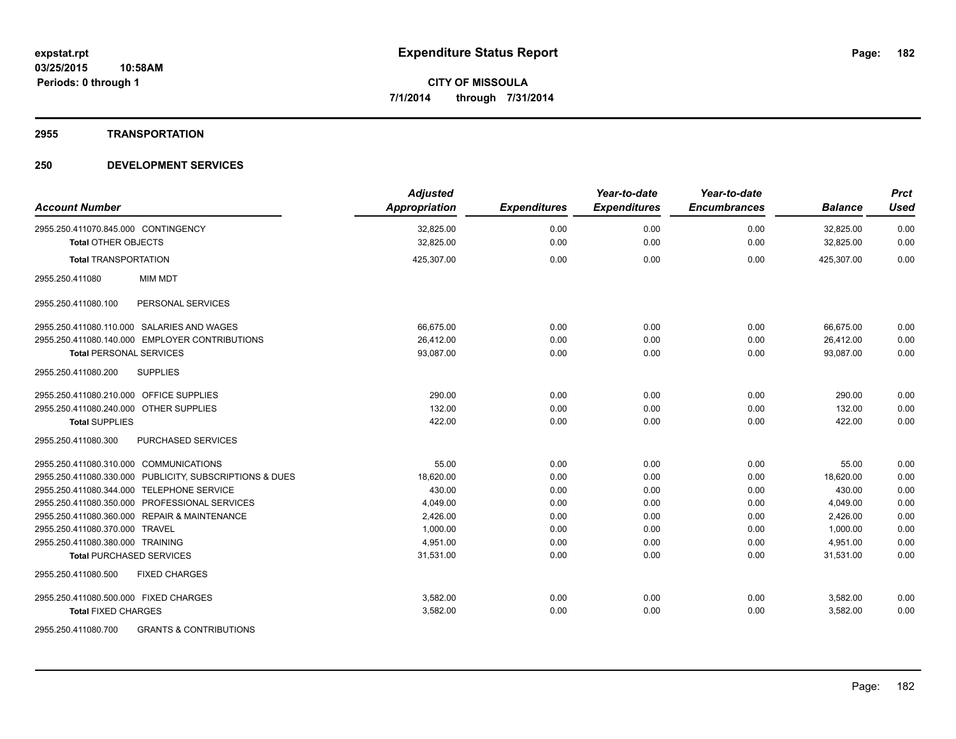#### **2955 TRANSPORTATION**

| <b>Account Number</b>                                    | <b>Adjusted</b><br><b>Appropriation</b> | <b>Expenditures</b> | Year-to-date<br><b>Expenditures</b> | Year-to-date<br><b>Encumbrances</b> | <b>Balance</b> | <b>Prct</b><br><b>Used</b> |
|----------------------------------------------------------|-----------------------------------------|---------------------|-------------------------------------|-------------------------------------|----------------|----------------------------|
| 2955.250.411070.845.000 CONTINGENCY                      | 32,825.00                               | 0.00                | 0.00                                | 0.00                                | 32,825.00      | 0.00                       |
| <b>Total OTHER OBJECTS</b>                               | 32,825.00                               | 0.00                | 0.00                                | 0.00                                | 32,825.00      | 0.00                       |
| <b>Total TRANSPORTATION</b>                              | 425,307.00                              | 0.00                | 0.00                                | 0.00                                | 425,307.00     | 0.00                       |
| <b>MIM MDT</b><br>2955.250.411080                        |                                         |                     |                                     |                                     |                |                            |
| PERSONAL SERVICES<br>2955.250.411080.100                 |                                         |                     |                                     |                                     |                |                            |
| 2955.250.411080.110.000 SALARIES AND WAGES               | 66.675.00                               | 0.00                | 0.00                                | 0.00                                | 66,675.00      | 0.00                       |
| 2955.250.411080.140.000 EMPLOYER CONTRIBUTIONS           | 26.412.00                               | 0.00                | 0.00                                | 0.00                                | 26.412.00      | 0.00                       |
| <b>Total PERSONAL SERVICES</b>                           | 93,087.00                               | 0.00                | 0.00                                | 0.00                                | 93.087.00      | 0.00                       |
| <b>SUPPLIES</b><br>2955.250.411080.200                   |                                         |                     |                                     |                                     |                |                            |
| 2955.250.411080.210.000 OFFICE SUPPLIES                  | 290.00                                  | 0.00                | 0.00                                | 0.00                                | 290.00         | 0.00                       |
| 2955.250.411080.240.000 OTHER SUPPLIES                   | 132.00                                  | 0.00                | 0.00                                | 0.00                                | 132.00         | 0.00                       |
| <b>Total SUPPLIES</b>                                    | 422.00                                  | 0.00                | 0.00                                | 0.00                                | 422.00         | 0.00                       |
| 2955.250.411080.300<br><b>PURCHASED SERVICES</b>         |                                         |                     |                                     |                                     |                |                            |
| 2955.250.411080.310.000 COMMUNICATIONS                   | 55.00                                   | 0.00                | 0.00                                | 0.00                                | 55.00          | 0.00                       |
| 2955.250.411080.330.000 PUBLICITY, SUBSCRIPTIONS & DUES  | 18,620.00                               | 0.00                | 0.00                                | 0.00                                | 18,620.00      | 0.00                       |
| 2955.250.411080.344.000 TELEPHONE SERVICE                | 430.00                                  | 0.00                | 0.00                                | 0.00                                | 430.00         | 0.00                       |
| 2955.250.411080.350.000 PROFESSIONAL SERVICES            | 4,049.00                                | 0.00                | 0.00                                | 0.00                                | 4,049.00       | 0.00                       |
| 2955.250.411080.360.000 REPAIR & MAINTENANCE             | 2,426.00                                | 0.00                | 0.00                                | 0.00                                | 2,426.00       | 0.00                       |
| 2955.250.411080.370.000 TRAVEL                           | 1,000.00                                | 0.00                | 0.00                                | 0.00                                | 1,000.00       | 0.00                       |
| 2955.250.411080.380.000 TRAINING                         | 4,951.00                                | 0.00                | 0.00                                | 0.00                                | 4,951.00       | 0.00                       |
| <b>Total PURCHASED SERVICES</b>                          | 31,531.00                               | 0.00                | 0.00                                | 0.00                                | 31.531.00      | 0.00                       |
| 2955.250.411080.500<br><b>FIXED CHARGES</b>              |                                         |                     |                                     |                                     |                |                            |
| 2955.250.411080.500.000 FIXED CHARGES                    | 3,582.00                                | 0.00                | 0.00                                | 0.00                                | 3,582.00       | 0.00                       |
| <b>Total FIXED CHARGES</b>                               | 3,582.00                                | 0.00                | 0.00                                | 0.00                                | 3,582.00       | 0.00                       |
| <b>GRANTS &amp; CONTRIBUTIONS</b><br>2955.250.411080.700 |                                         |                     |                                     |                                     |                |                            |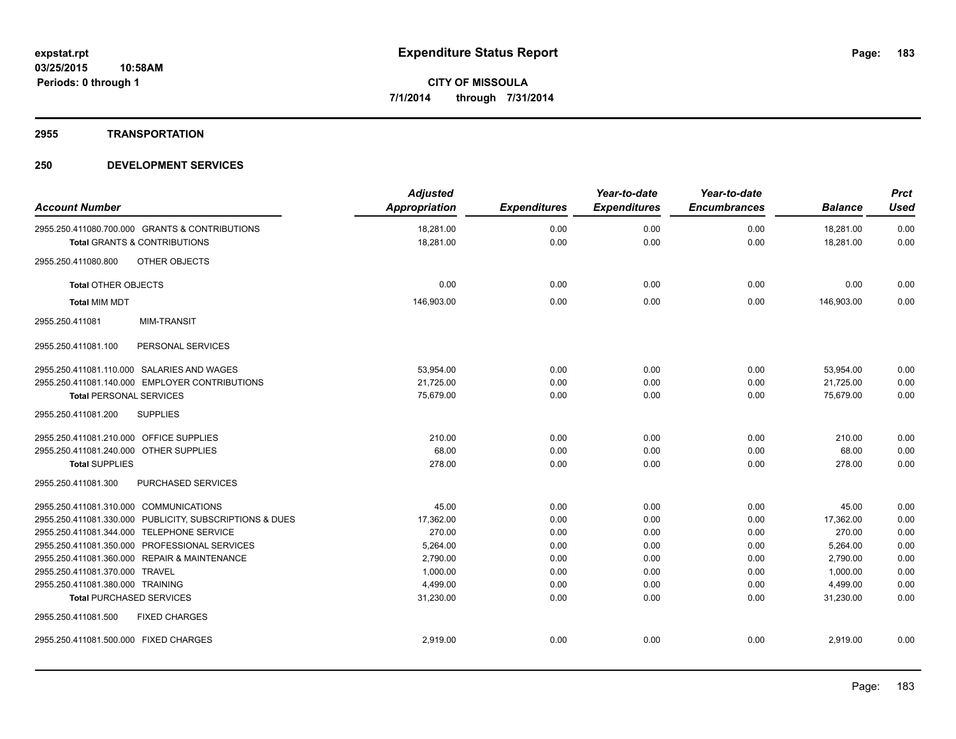## **2955 TRANSPORTATION**

| <b>Account Number</b>                                   | <b>Adjusted</b><br>Appropriation | <b>Expenditures</b> | Year-to-date<br><b>Expenditures</b> | Year-to-date<br><b>Encumbrances</b> | <b>Balance</b>         | <b>Prct</b><br><b>Used</b> |
|---------------------------------------------------------|----------------------------------|---------------------|-------------------------------------|-------------------------------------|------------------------|----------------------------|
| 2955.250.411080.700.000 GRANTS & CONTRIBUTIONS          | 18,281.00<br>18,281.00           | 0.00<br>0.00        | 0.00<br>0.00                        | 0.00<br>0.00                        | 18,281.00<br>18,281.00 | 0.00<br>0.00               |
| <b>Total GRANTS &amp; CONTRIBUTIONS</b>                 |                                  |                     |                                     |                                     |                        |                            |
| OTHER OBJECTS<br>2955.250.411080.800                    |                                  |                     |                                     |                                     |                        |                            |
| <b>Total OTHER OBJECTS</b>                              | 0.00                             | 0.00                | 0.00                                | 0.00                                | 0.00                   | 0.00                       |
| <b>Total MIM MDT</b>                                    | 146,903.00                       | 0.00                | 0.00                                | 0.00                                | 146,903.00             | 0.00                       |
| 2955.250.411081<br><b>MIM-TRANSIT</b>                   |                                  |                     |                                     |                                     |                        |                            |
| PERSONAL SERVICES<br>2955.250.411081.100                |                                  |                     |                                     |                                     |                        |                            |
| 2955.250.411081.110.000 SALARIES AND WAGES              | 53,954.00                        | 0.00                | 0.00                                | 0.00                                | 53,954.00              | 0.00                       |
| 2955.250.411081.140.000 EMPLOYER CONTRIBUTIONS          | 21,725.00                        | 0.00                | 0.00                                | 0.00                                | 21,725.00              | 0.00                       |
| <b>Total PERSONAL SERVICES</b>                          | 75,679.00                        | 0.00                | 0.00                                | 0.00                                | 75,679.00              | 0.00                       |
| <b>SUPPLIES</b><br>2955.250.411081.200                  |                                  |                     |                                     |                                     |                        |                            |
| 2955.250.411081.210.000 OFFICE SUPPLIES                 | 210.00                           | 0.00                | 0.00                                | 0.00                                | 210.00                 | 0.00                       |
| 2955.250.411081.240.000 OTHER SUPPLIES                  | 68.00                            | 0.00                | 0.00                                | 0.00                                | 68.00                  | 0.00                       |
| <b>Total SUPPLIES</b>                                   | 278.00                           | 0.00                | 0.00                                | 0.00                                | 278.00                 | 0.00                       |
| 2955.250.411081.300<br>PURCHASED SERVICES               |                                  |                     |                                     |                                     |                        |                            |
| 2955.250.411081.310.000 COMMUNICATIONS                  | 45.00                            | 0.00                | 0.00                                | 0.00                                | 45.00                  | 0.00                       |
| 2955.250.411081.330.000 PUBLICITY, SUBSCRIPTIONS & DUES | 17,362.00                        | 0.00                | 0.00                                | 0.00                                | 17,362.00              | 0.00                       |
| 2955.250.411081.344.000 TELEPHONE SERVICE               | 270.00                           | 0.00                | 0.00                                | 0.00                                | 270.00                 | 0.00                       |
| 2955.250.411081.350.000 PROFESSIONAL SERVICES           | 5,264.00                         | 0.00                | 0.00                                | 0.00                                | 5,264.00               | 0.00                       |
| 2955.250.411081.360.000 REPAIR & MAINTENANCE            | 2.790.00                         | 0.00                | 0.00                                | 0.00                                | 2,790.00               | 0.00                       |
| 2955.250.411081.370.000 TRAVEL                          | 1,000.00                         | 0.00                | 0.00                                | 0.00                                | 1,000.00               | 0.00                       |
| 2955.250.411081.380.000 TRAINING                        | 4,499.00                         | 0.00                | 0.00                                | 0.00                                | 4,499.00               | 0.00                       |
| <b>Total PURCHASED SERVICES</b>                         | 31,230.00                        | 0.00                | 0.00                                | 0.00                                | 31,230.00              | 0.00                       |
| <b>FIXED CHARGES</b><br>2955.250.411081.500             |                                  |                     |                                     |                                     |                        |                            |
| 2955.250.411081.500.000 FIXED CHARGES                   | 2.919.00                         | 0.00                | 0.00                                | 0.00                                | 2,919.00               | 0.00                       |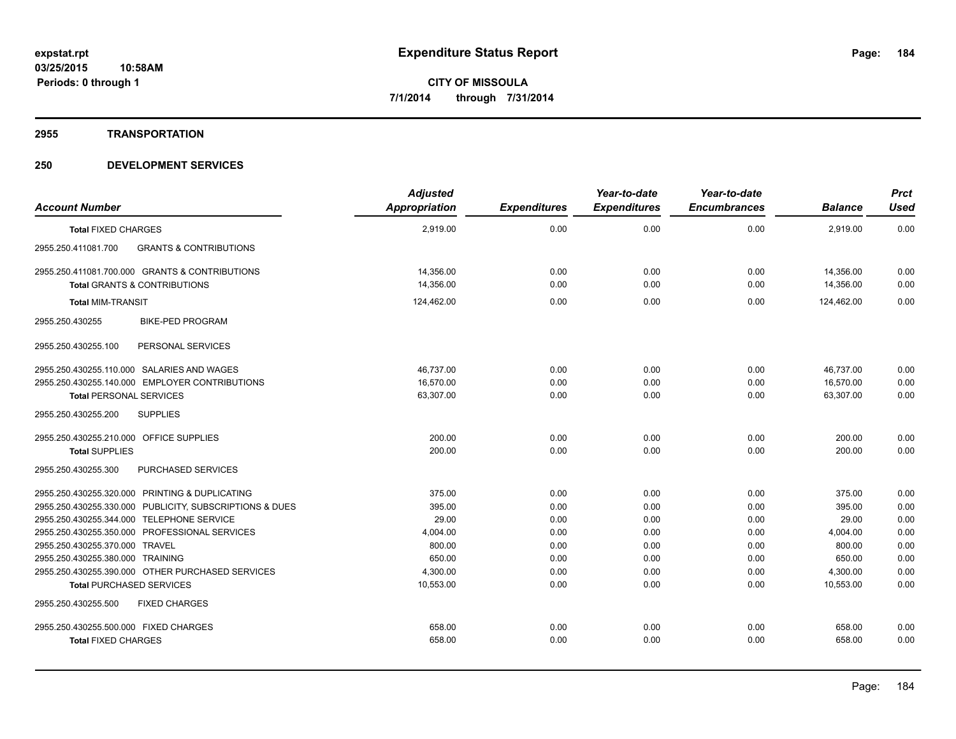## **2955 TRANSPORTATION**

| <b>Account Number</b>                                    | <b>Adjusted</b><br>Appropriation | <b>Expenditures</b> | Year-to-date<br><b>Expenditures</b> | Year-to-date<br><b>Encumbrances</b> | <b>Balance</b> | <b>Prct</b><br><b>Used</b> |
|----------------------------------------------------------|----------------------------------|---------------------|-------------------------------------|-------------------------------------|----------------|----------------------------|
| <b>Total FIXED CHARGES</b>                               | 2.919.00                         | 0.00                | 0.00                                | 0.00                                | 2,919.00       | 0.00                       |
| <b>GRANTS &amp; CONTRIBUTIONS</b><br>2955.250.411081.700 |                                  |                     |                                     |                                     |                |                            |
| 2955.250.411081.700.000 GRANTS & CONTRIBUTIONS           | 14.356.00                        | 0.00                | 0.00                                | 0.00                                | 14.356.00      | 0.00                       |
| <b>Total GRANTS &amp; CONTRIBUTIONS</b>                  | 14,356.00                        | 0.00                | 0.00                                | 0.00                                | 14,356.00      | 0.00                       |
| <b>Total MIM-TRANSIT</b>                                 | 124,462.00                       | 0.00                | 0.00                                | 0.00                                | 124,462.00     | 0.00                       |
| <b>BIKE-PED PROGRAM</b><br>2955.250.430255               |                                  |                     |                                     |                                     |                |                            |
| PERSONAL SERVICES<br>2955.250.430255.100                 |                                  |                     |                                     |                                     |                |                            |
| 2955.250.430255.110.000 SALARIES AND WAGES               | 46,737.00                        | 0.00                | 0.00                                | 0.00                                | 46,737.00      | 0.00                       |
| 2955.250.430255.140.000 EMPLOYER CONTRIBUTIONS           | 16,570.00                        | 0.00                | 0.00                                | 0.00                                | 16,570.00      | 0.00                       |
| <b>Total PERSONAL SERVICES</b>                           | 63,307.00                        | 0.00                | 0.00                                | 0.00                                | 63,307.00      | 0.00                       |
| 2955.250.430255.200<br><b>SUPPLIES</b>                   |                                  |                     |                                     |                                     |                |                            |
| 2955.250.430255.210.000 OFFICE SUPPLIES                  | 200.00                           | 0.00                | 0.00                                | 0.00                                | 200.00         | 0.00                       |
| <b>Total SUPPLIES</b>                                    | 200.00                           | 0.00                | 0.00                                | 0.00                                | 200.00         | 0.00                       |
| 2955.250.430255.300<br>PURCHASED SERVICES                |                                  |                     |                                     |                                     |                |                            |
| 2955.250.430255.320.000 PRINTING & DUPLICATING           | 375.00                           | 0.00                | 0.00                                | 0.00                                | 375.00         | 0.00                       |
| 2955.250.430255.330.000 PUBLICITY, SUBSCRIPTIONS & DUES  | 395.00                           | 0.00                | 0.00                                | 0.00                                | 395.00         | 0.00                       |
| 2955.250.430255.344.000 TELEPHONE SERVICE                | 29.00                            | 0.00                | 0.00                                | 0.00                                | 29.00          | 0.00                       |
| 2955.250.430255.350.000 PROFESSIONAL SERVICES            | 4,004.00                         | 0.00                | 0.00                                | 0.00                                | 4,004.00       | 0.00                       |
| 2955.250.430255.370.000 TRAVEL                           | 800.00                           | 0.00                | 0.00                                | 0.00                                | 800.00         | 0.00                       |
| 2955.250.430255.380.000 TRAINING                         | 650.00                           | 0.00                | 0.00                                | 0.00                                | 650.00         | 0.00                       |
| 2955.250.430255.390.000 OTHER PURCHASED SERVICES         | 4,300.00                         | 0.00                | 0.00                                | 0.00                                | 4,300.00       | 0.00                       |
| <b>Total PURCHASED SERVICES</b>                          | 10,553.00                        | 0.00                | 0.00                                | 0.00                                | 10.553.00      | 0.00                       |
| 2955.250.430255.500<br><b>FIXED CHARGES</b>              |                                  |                     |                                     |                                     |                |                            |
| 2955.250.430255.500.000 FIXED CHARGES                    | 658.00                           | 0.00                | 0.00                                | 0.00                                | 658.00         | 0.00                       |
| <b>Total FIXED CHARGES</b>                               | 658.00                           | 0.00                | 0.00                                | 0.00                                | 658.00         | 0.00                       |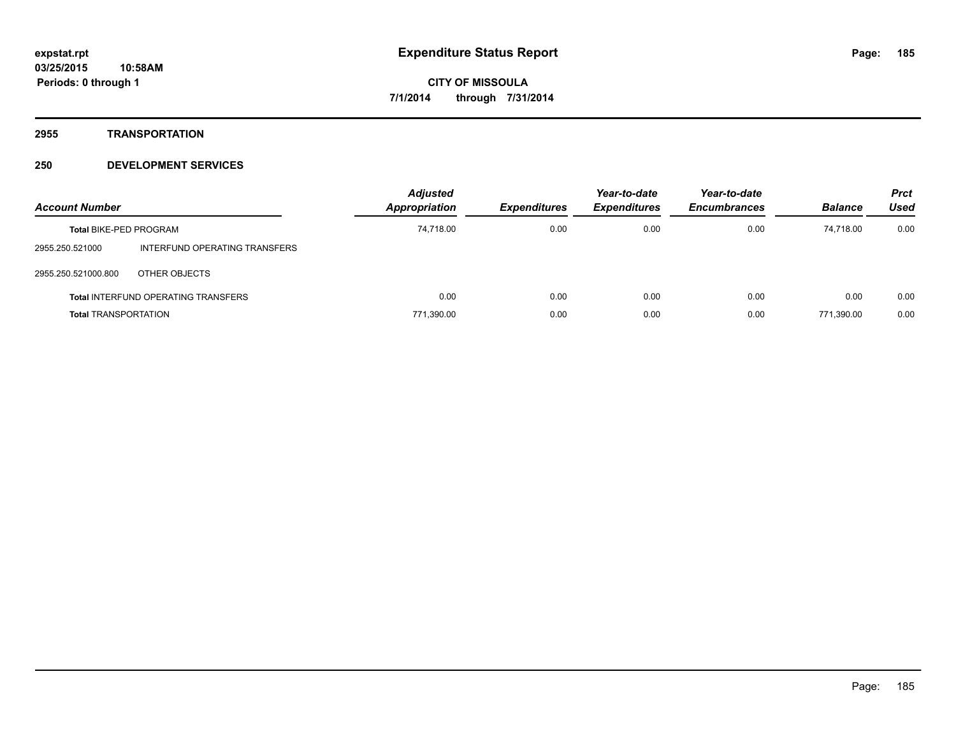**2955 TRANSPORTATION**

| <b>Account Number</b>         |                                            | <b>Adjusted</b><br>Appropriation | <b>Expenditures</b> | Year-to-date<br><b>Expenditures</b> | Year-to-date<br><b>Encumbrances</b> | <b>Balance</b> | <b>Prct</b><br>Used |
|-------------------------------|--------------------------------------------|----------------------------------|---------------------|-------------------------------------|-------------------------------------|----------------|---------------------|
| <b>Total BIKE-PED PROGRAM</b> |                                            | 74,718.00                        | 0.00                | 0.00                                | 0.00                                | 74.718.00      | 0.00                |
| 2955.250.521000               | INTERFUND OPERATING TRANSFERS              |                                  |                     |                                     |                                     |                |                     |
| 2955.250.521000.800           | OTHER OBJECTS                              |                                  |                     |                                     |                                     |                |                     |
|                               | <b>Total INTERFUND OPERATING TRANSFERS</b> | 0.00                             | 0.00                | 0.00                                | 0.00                                | 0.00           | 0.00                |
| <b>Total TRANSPORTATION</b>   |                                            | 771,390.00                       | 0.00                | 0.00                                | 0.00                                | 771.390.00     | 0.00                |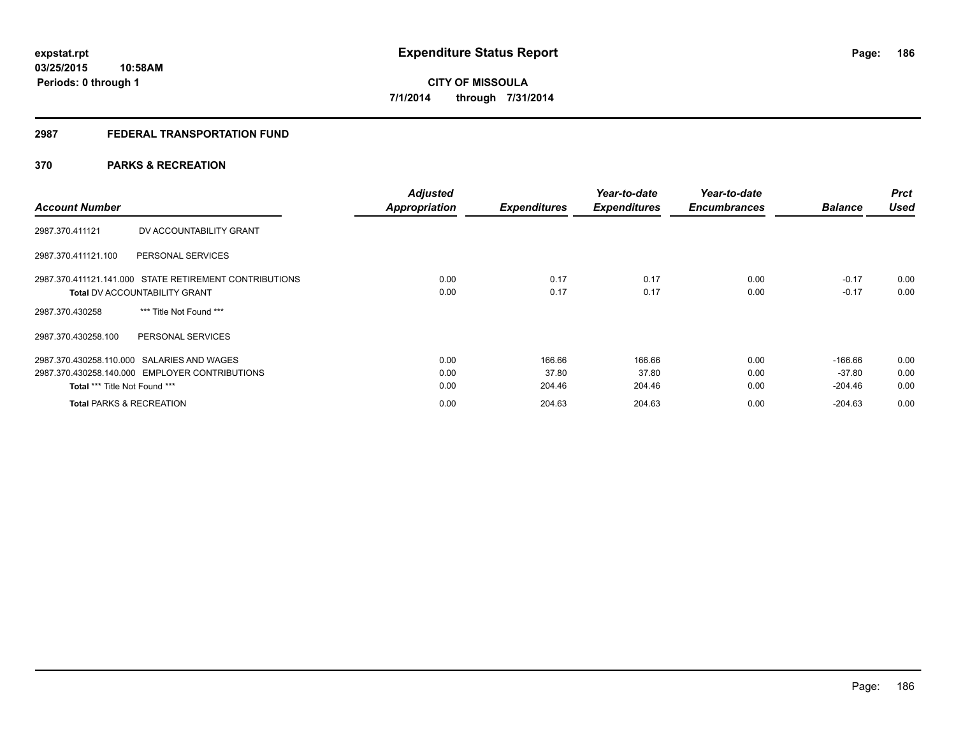## **2987 FEDERAL TRANSPORTATION FUND**

## **370 PARKS & RECREATION**

| <b>Account Number</b>                                  | <b>Adjusted</b><br><b>Appropriation</b> | <b>Expenditures</b> | Year-to-date<br><b>Expenditures</b> | Year-to-date<br><b>Encumbrances</b> | <b>Balance</b> | <b>Prct</b><br><b>Used</b> |
|--------------------------------------------------------|-----------------------------------------|---------------------|-------------------------------------|-------------------------------------|----------------|----------------------------|
| DV ACCOUNTABILITY GRANT<br>2987.370.411121             |                                         |                     |                                     |                                     |                |                            |
| 2987.370.411121.100<br>PERSONAL SERVICES               |                                         |                     |                                     |                                     |                |                            |
| 2987.370.411121.141.000 STATE RETIREMENT CONTRIBUTIONS | 0.00                                    | 0.17                | 0.17                                | 0.00                                | $-0.17$        | 0.00                       |
| <b>Total DV ACCOUNTABILITY GRANT</b>                   | 0.00                                    | 0.17                | 0.17                                | 0.00                                | $-0.17$        | 0.00                       |
| *** Title Not Found ***<br>2987.370.430258             |                                         |                     |                                     |                                     |                |                            |
| PERSONAL SERVICES<br>2987.370.430258.100               |                                         |                     |                                     |                                     |                |                            |
| 2987.370.430258.110.000 SALARIES AND WAGES             | 0.00                                    | 166.66              | 166.66                              | 0.00                                | $-166.66$      | 0.00                       |
| 2987.370.430258.140.000 EMPLOYER CONTRIBUTIONS         | 0.00                                    | 37.80               | 37.80                               | 0.00                                | $-37.80$       | 0.00                       |
| Total *** Title Not Found ***                          | 0.00                                    | 204.46              | 204.46                              | 0.00                                | $-204.46$      | 0.00                       |
| <b>Total PARKS &amp; RECREATION</b>                    | 0.00                                    | 204.63              | 204.63                              | 0.00                                | $-204.63$      | 0.00                       |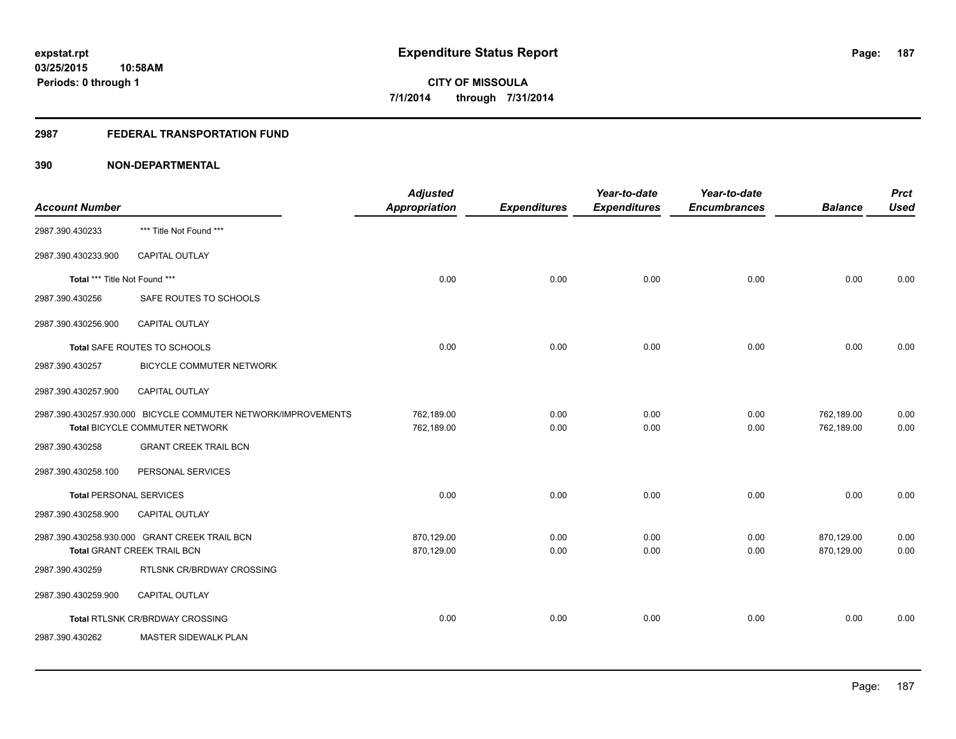## **2987 FEDERAL TRANSPORTATION FUND**

| <b>Account Number</b>          |                                                                                                 | <b>Adjusted</b><br>Appropriation | <b>Expenditures</b> | Year-to-date<br><b>Expenditures</b> | Year-to-date<br><b>Encumbrances</b> | <b>Balance</b>           | <b>Prct</b><br><b>Used</b> |
|--------------------------------|-------------------------------------------------------------------------------------------------|----------------------------------|---------------------|-------------------------------------|-------------------------------------|--------------------------|----------------------------|
| 2987.390.430233                | *** Title Not Found ***                                                                         |                                  |                     |                                     |                                     |                          |                            |
| 2987.390.430233.900            | <b>CAPITAL OUTLAY</b>                                                                           |                                  |                     |                                     |                                     |                          |                            |
| Total *** Title Not Found ***  |                                                                                                 | 0.00                             | 0.00                | 0.00                                | 0.00                                | 0.00                     | 0.00                       |
| 2987.390.430256                | SAFE ROUTES TO SCHOOLS                                                                          |                                  |                     |                                     |                                     |                          |                            |
| 2987.390.430256.900            | <b>CAPITAL OUTLAY</b>                                                                           |                                  |                     |                                     |                                     |                          |                            |
|                                | Total SAFE ROUTES TO SCHOOLS                                                                    | 0.00                             | 0.00                | 0.00                                | 0.00                                | 0.00                     | 0.00                       |
| 2987.390.430257                | <b>BICYCLE COMMUTER NETWORK</b>                                                                 |                                  |                     |                                     |                                     |                          |                            |
| 2987.390.430257.900            | <b>CAPITAL OUTLAY</b>                                                                           |                                  |                     |                                     |                                     |                          |                            |
|                                | 2987.390.430257.930.000 BICYCLE COMMUTER NETWORK/IMPROVEMENTS<br>Total BICYCLE COMMUTER NETWORK | 762,189.00<br>762,189.00         | 0.00<br>0.00        | 0.00<br>0.00                        | 0.00<br>0.00                        | 762,189.00<br>762,189.00 | 0.00<br>0.00               |
| 2987.390.430258                | <b>GRANT CREEK TRAIL BCN</b>                                                                    |                                  |                     |                                     |                                     |                          |                            |
|                                |                                                                                                 |                                  |                     |                                     |                                     |                          |                            |
| 2987.390.430258.100            | PERSONAL SERVICES                                                                               |                                  |                     |                                     |                                     |                          |                            |
| <b>Total PERSONAL SERVICES</b> |                                                                                                 | 0.00                             | 0.00                | 0.00                                | 0.00                                | 0.00                     | 0.00                       |
| 2987.390.430258.900            | CAPITAL OUTLAY                                                                                  |                                  |                     |                                     |                                     |                          |                            |
|                                | 2987.390.430258.930.000 GRANT CREEK TRAIL BCN<br><b>Total GRANT CREEK TRAIL BCN</b>             | 870,129.00<br>870,129.00         | 0.00<br>0.00        | 0.00<br>0.00                        | 0.00<br>0.00                        | 870,129.00<br>870,129.00 | 0.00<br>0.00               |
| 2987.390.430259                | RTLSNK CR/BRDWAY CROSSING                                                                       |                                  |                     |                                     |                                     |                          |                            |
| 2987.390.430259.900            | <b>CAPITAL OUTLAY</b>                                                                           |                                  |                     |                                     |                                     |                          |                            |
|                                | Total RTLSNK CR/BRDWAY CROSSING                                                                 | 0.00                             | 0.00                | 0.00                                | 0.00                                | 0.00                     | 0.00                       |
| 2987.390.430262                | MASTER SIDEWALK PLAN                                                                            |                                  |                     |                                     |                                     |                          |                            |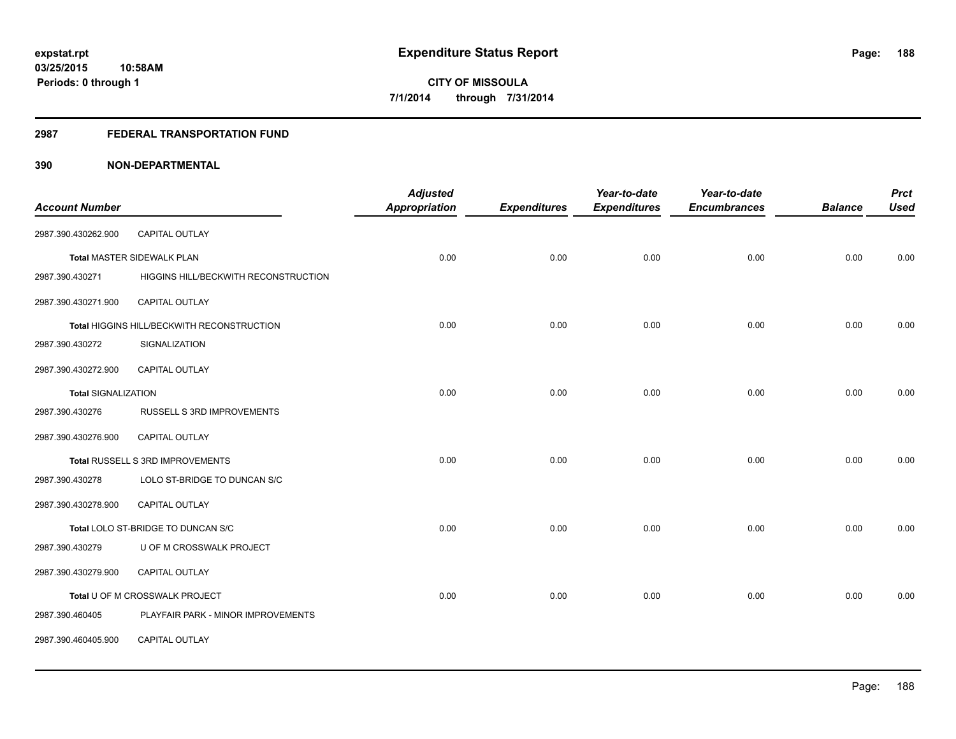## **2987 FEDERAL TRANSPORTATION FUND**

| <b>Account Number</b>      |                                            | <b>Adjusted</b><br><b>Appropriation</b> | <b>Expenditures</b> | Year-to-date<br><b>Expenditures</b> | Year-to-date<br><b>Encumbrances</b> | <b>Balance</b> | <b>Prct</b><br><b>Used</b> |
|----------------------------|--------------------------------------------|-----------------------------------------|---------------------|-------------------------------------|-------------------------------------|----------------|----------------------------|
|                            |                                            |                                         |                     |                                     |                                     |                |                            |
| 2987.390.430262.900        | CAPITAL OUTLAY                             |                                         |                     |                                     |                                     |                |                            |
|                            | <b>Total MASTER SIDEWALK PLAN</b>          | 0.00                                    | 0.00                | 0.00                                | 0.00                                | 0.00           | 0.00                       |
| 2987.390.430271            | HIGGINS HILL/BECKWITH RECONSTRUCTION       |                                         |                     |                                     |                                     |                |                            |
| 2987.390.430271.900        | <b>CAPITAL OUTLAY</b>                      |                                         |                     |                                     |                                     |                |                            |
|                            | Total HIGGINS HILL/BECKWITH RECONSTRUCTION | 0.00                                    | 0.00                | 0.00                                | 0.00                                | 0.00           | 0.00                       |
| 2987.390.430272            | SIGNALIZATION                              |                                         |                     |                                     |                                     |                |                            |
| 2987.390.430272.900        | <b>CAPITAL OUTLAY</b>                      |                                         |                     |                                     |                                     |                |                            |
| <b>Total SIGNALIZATION</b> |                                            | 0.00                                    | 0.00                | 0.00                                | 0.00                                | 0.00           | 0.00                       |
| 2987.390.430276            | RUSSELL S 3RD IMPROVEMENTS                 |                                         |                     |                                     |                                     |                |                            |
| 2987.390.430276.900        | <b>CAPITAL OUTLAY</b>                      |                                         |                     |                                     |                                     |                |                            |
|                            | Total RUSSELL S 3RD IMPROVEMENTS           | 0.00                                    | 0.00                | 0.00                                | 0.00                                | 0.00           | 0.00                       |
| 2987.390.430278            | LOLO ST-BRIDGE TO DUNCAN S/C               |                                         |                     |                                     |                                     |                |                            |
| 2987.390.430278.900        | CAPITAL OUTLAY                             |                                         |                     |                                     |                                     |                |                            |
|                            | Total LOLO ST-BRIDGE TO DUNCAN S/C         | 0.00                                    | 0.00                | 0.00                                | 0.00                                | 0.00           | 0.00                       |
| 2987.390.430279            | U OF M CROSSWALK PROJECT                   |                                         |                     |                                     |                                     |                |                            |
| 2987.390.430279.900        | CAPITAL OUTLAY                             |                                         |                     |                                     |                                     |                |                            |
|                            | Total U OF M CROSSWALK PROJECT             | 0.00                                    | 0.00                | 0.00                                | 0.00                                | 0.00           | 0.00                       |
| 2987.390.460405            | PLAYFAIR PARK - MINOR IMPROVEMENTS         |                                         |                     |                                     |                                     |                |                            |
| 2987.390.460405.900        | CAPITAL OUTLAY                             |                                         |                     |                                     |                                     |                |                            |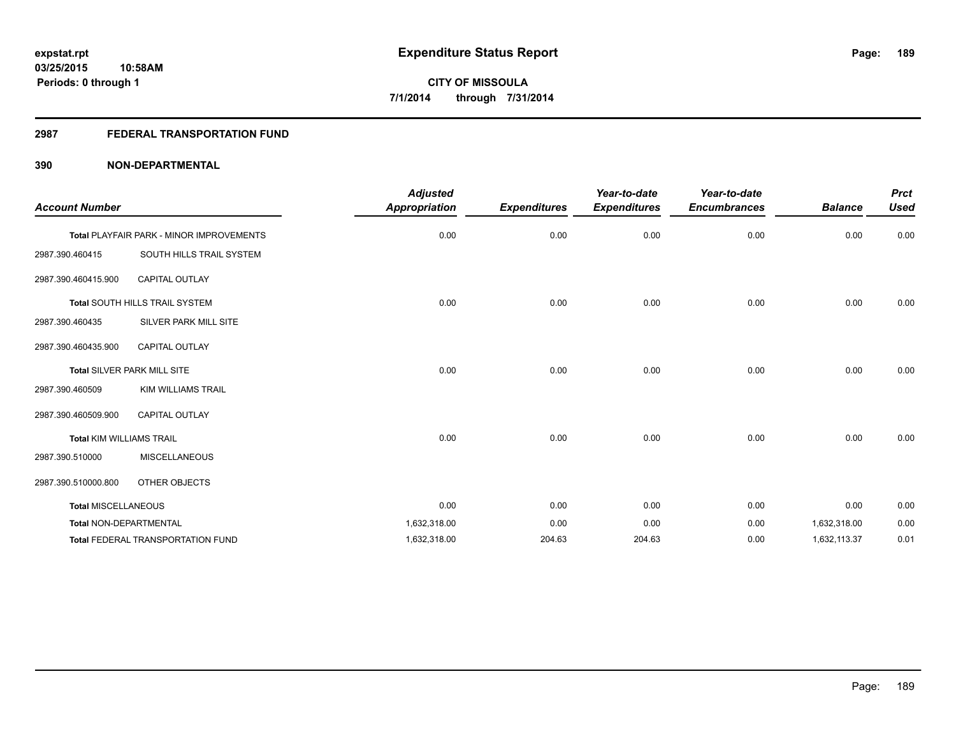## **2987 FEDERAL TRANSPORTATION FUND**

| <b>Account Number</b>           |                                          | <b>Adjusted</b><br>Appropriation | <b>Expenditures</b> | Year-to-date<br><b>Expenditures</b> | Year-to-date<br><b>Encumbrances</b> | <b>Balance</b> | <b>Prct</b><br><b>Used</b> |
|---------------------------------|------------------------------------------|----------------------------------|---------------------|-------------------------------------|-------------------------------------|----------------|----------------------------|
|                                 | Total PLAYFAIR PARK - MINOR IMPROVEMENTS | 0.00                             | 0.00                | 0.00                                | 0.00                                | 0.00           | 0.00                       |
| 2987.390.460415                 | SOUTH HILLS TRAIL SYSTEM                 |                                  |                     |                                     |                                     |                |                            |
| 2987.390.460415.900             | <b>CAPITAL OUTLAY</b>                    |                                  |                     |                                     |                                     |                |                            |
|                                 | Total SOUTH HILLS TRAIL SYSTEM           | 0.00                             | 0.00                | 0.00                                | 0.00                                | 0.00           | 0.00                       |
| 2987.390.460435                 | SILVER PARK MILL SITE                    |                                  |                     |                                     |                                     |                |                            |
| 2987.390.460435.900             | <b>CAPITAL OUTLAY</b>                    |                                  |                     |                                     |                                     |                |                            |
|                                 | Total SILVER PARK MILL SITE              | 0.00                             | 0.00                | 0.00                                | 0.00                                | 0.00           | 0.00                       |
| 2987.390.460509                 | <b>KIM WILLIAMS TRAIL</b>                |                                  |                     |                                     |                                     |                |                            |
| 2987.390.460509.900             | <b>CAPITAL OUTLAY</b>                    |                                  |                     |                                     |                                     |                |                            |
| <b>Total KIM WILLIAMS TRAIL</b> |                                          | 0.00                             | 0.00                | 0.00                                | 0.00                                | 0.00           | 0.00                       |
| 2987.390.510000                 | <b>MISCELLANEOUS</b>                     |                                  |                     |                                     |                                     |                |                            |
| 2987.390.510000.800             | OTHER OBJECTS                            |                                  |                     |                                     |                                     |                |                            |
| <b>Total MISCELLANEOUS</b>      |                                          | 0.00                             | 0.00                | 0.00                                | 0.00                                | 0.00           | 0.00                       |
| Total NON-DEPARTMENTAL          |                                          | 1,632,318.00                     | 0.00                | 0.00                                | 0.00                                | 1,632,318.00   | 0.00                       |
|                                 | <b>Total FEDERAL TRANSPORTATION FUND</b> | 1,632,318.00                     | 204.63              | 204.63                              | 0.00                                | 1,632,113.37   | 0.01                       |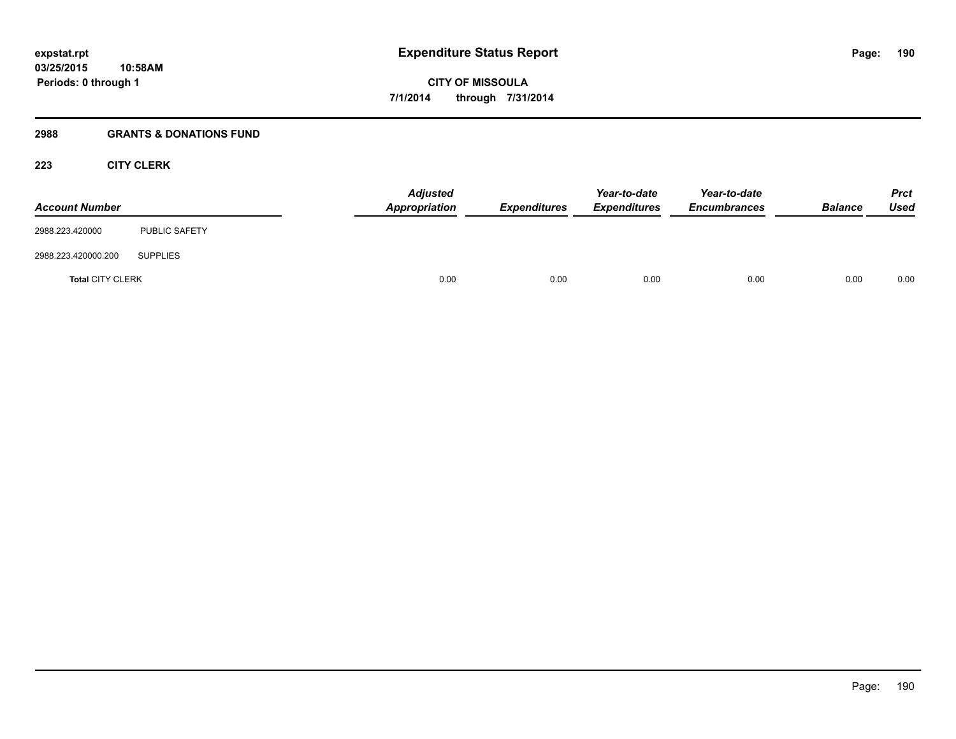#### **2988 GRANTS & DONATIONS FUND**

## **223 CITY CLERK**

| <b>Account Number</b>   |                      | <b>Adjusted</b><br>Appropriation | <b>Expenditures</b> | Year-to-date<br><b>Expenditures</b> | Year-to-date<br><b>Encumbrances</b> | <b>Balance</b> | <b>Prct</b><br><b>Used</b> |
|-------------------------|----------------------|----------------------------------|---------------------|-------------------------------------|-------------------------------------|----------------|----------------------------|
| 2988.223.420000         | <b>PUBLIC SAFETY</b> |                                  |                     |                                     |                                     |                |                            |
| 2988.223.420000.200     | <b>SUPPLIES</b>      |                                  |                     |                                     |                                     |                |                            |
| <b>Total CITY CLERK</b> |                      | 0.00                             | 0.00                | 0.00                                | 0.00                                | 0.00           | 0.00                       |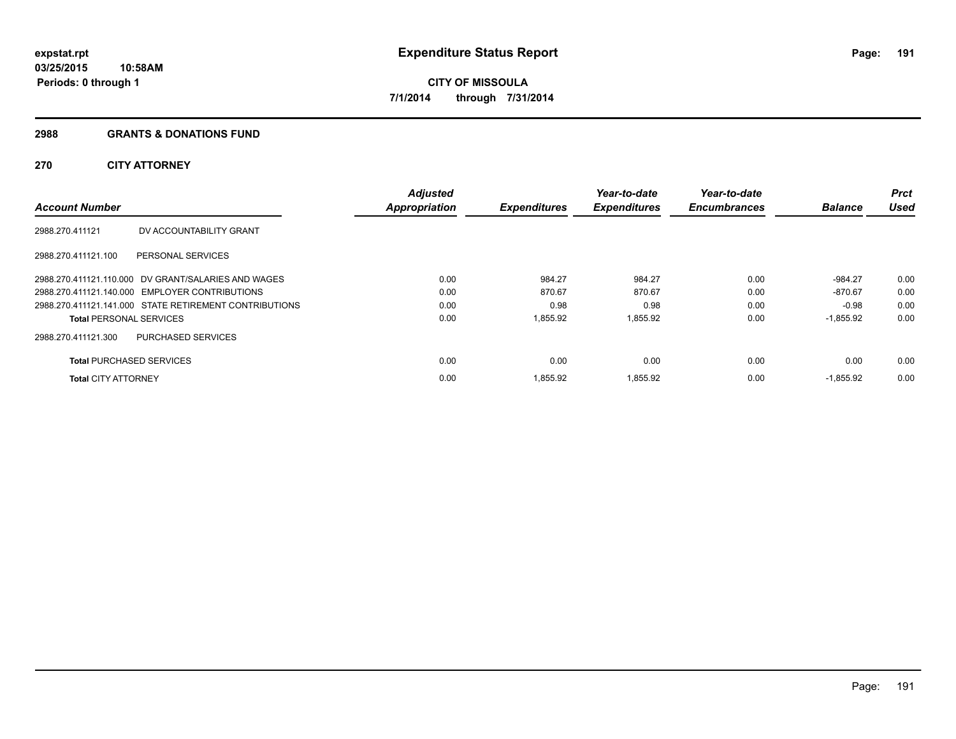#### **2988 GRANTS & DONATIONS FUND**

## **270 CITY ATTORNEY**

|                                 |                                                        | <b>Adjusted</b>      |                     | Year-to-date        | Year-to-date        |                | <b>Prct</b> |
|---------------------------------|--------------------------------------------------------|----------------------|---------------------|---------------------|---------------------|----------------|-------------|
| <b>Account Number</b>           |                                                        | <b>Appropriation</b> | <b>Expenditures</b> | <b>Expenditures</b> | <b>Encumbrances</b> | <b>Balance</b> | <b>Used</b> |
| 2988.270.411121                 | DV ACCOUNTABILITY GRANT                                |                      |                     |                     |                     |                |             |
| 2988.270.411121.100             | PERSONAL SERVICES                                      |                      |                     |                     |                     |                |             |
|                                 | 2988.270.411121.110.000 DV GRANT/SALARIES AND WAGES    | 0.00                 | 984.27              | 984.27              | 0.00                | $-984.27$      | 0.00        |
|                                 | 2988.270.411121.140.000 EMPLOYER CONTRIBUTIONS         | 0.00                 | 870.67              | 870.67              | 0.00                | $-870.67$      | 0.00        |
|                                 | 2988.270.411121.141.000 STATE RETIREMENT CONTRIBUTIONS | 0.00                 | 0.98                | 0.98                | 0.00                | $-0.98$        | 0.00        |
| <b>Total PERSONAL SERVICES</b>  |                                                        | 0.00                 | 1,855.92            | 1,855.92            | 0.00                | $-1,855.92$    | 0.00        |
| 2988.270.411121.300             | PURCHASED SERVICES                                     |                      |                     |                     |                     |                |             |
| <b>Total PURCHASED SERVICES</b> |                                                        | 0.00                 | 0.00                | 0.00                | 0.00                | 0.00           | 0.00        |
| <b>Total CITY ATTORNEY</b>      |                                                        | 0.00                 | 1.855.92            | 1,855.92            | 0.00                | $-1.855.92$    | 0.00        |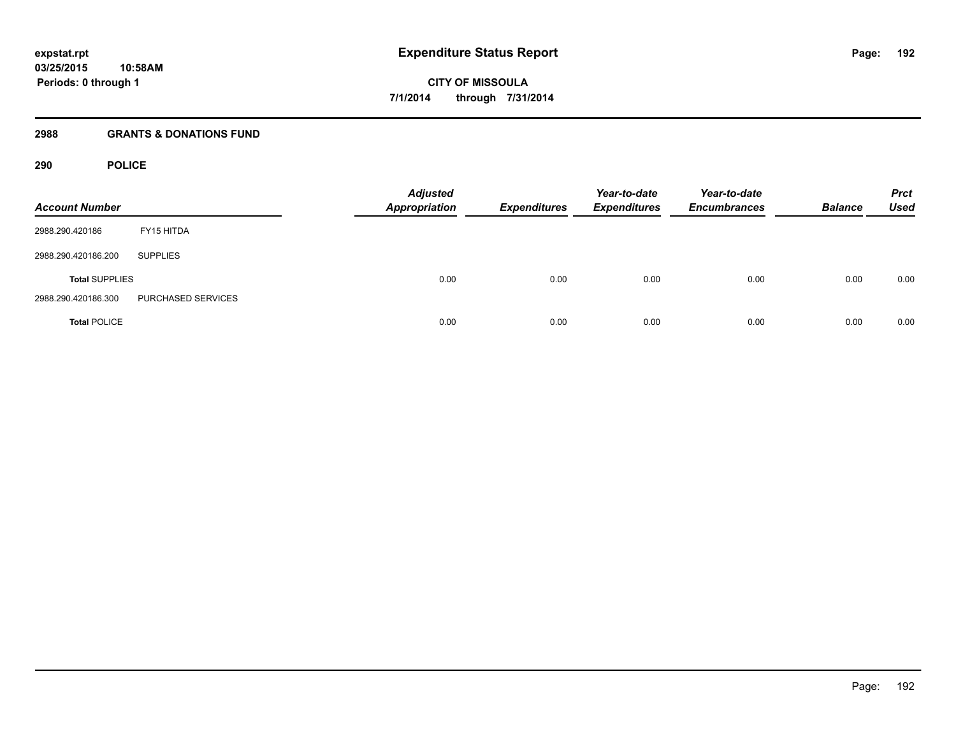## **2988 GRANTS & DONATIONS FUND**

## **290 POLICE**

| <b>Account Number</b> |                    | <b>Adjusted</b><br><b>Appropriation</b> | <b>Expenditures</b> | Year-to-date<br><b>Expenditures</b> | Year-to-date<br><b>Encumbrances</b> | <b>Balance</b> | <b>Prct</b><br><b>Used</b> |
|-----------------------|--------------------|-----------------------------------------|---------------------|-------------------------------------|-------------------------------------|----------------|----------------------------|
| 2988.290.420186       | FY15 HITDA         |                                         |                     |                                     |                                     |                |                            |
| 2988.290.420186.200   | <b>SUPPLIES</b>    |                                         |                     |                                     |                                     |                |                            |
| <b>Total SUPPLIES</b> |                    | 0.00                                    | 0.00                | 0.00                                | 0.00                                | 0.00           | 0.00                       |
| 2988.290.420186.300   | PURCHASED SERVICES |                                         |                     |                                     |                                     |                |                            |
| <b>Total POLICE</b>   |                    | 0.00                                    | 0.00                | 0.00                                | 0.00                                | 0.00           | 0.00                       |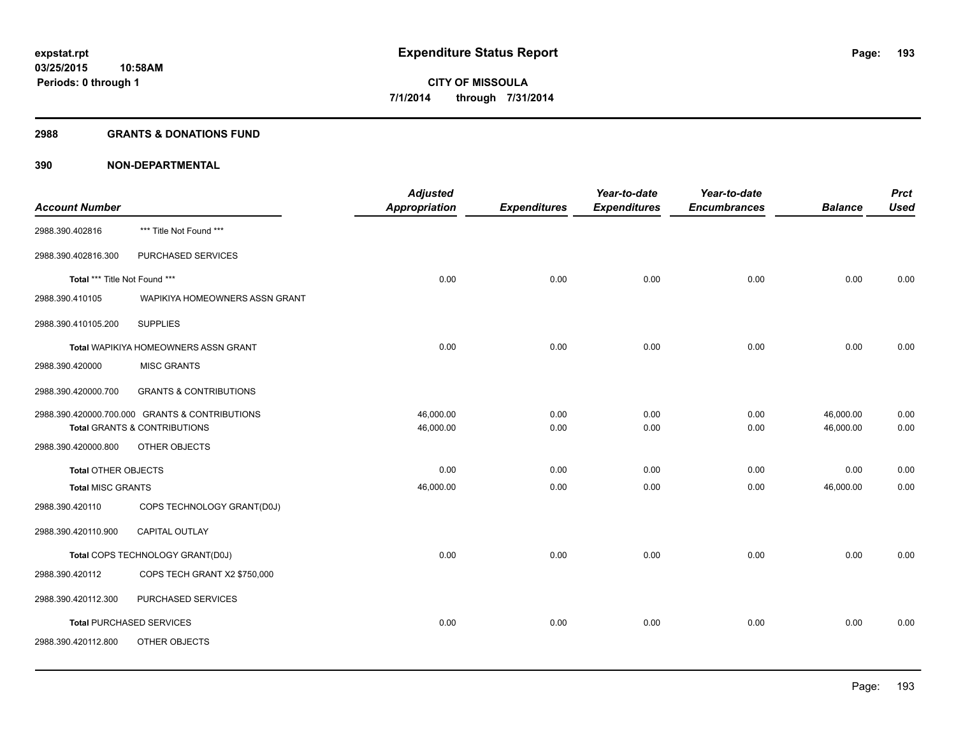#### **2988 GRANTS & DONATIONS FUND**

|                               |                                                | <b>Adjusted</b> |                     | Year-to-date        | Year-to-date        |                | <b>Prct</b> |
|-------------------------------|------------------------------------------------|-----------------|---------------------|---------------------|---------------------|----------------|-------------|
| <b>Account Number</b>         |                                                | Appropriation   | <b>Expenditures</b> | <b>Expenditures</b> | <b>Encumbrances</b> | <b>Balance</b> | <b>Used</b> |
| 2988.390.402816               | *** Title Not Found ***                        |                 |                     |                     |                     |                |             |
| 2988.390.402816.300           | PURCHASED SERVICES                             |                 |                     |                     |                     |                |             |
| Total *** Title Not Found *** |                                                | 0.00            | 0.00                | 0.00                | 0.00                | 0.00           | 0.00        |
| 2988.390.410105               | WAPIKIYA HOMEOWNERS ASSN GRANT                 |                 |                     |                     |                     |                |             |
| 2988.390.410105.200           | <b>SUPPLIES</b>                                |                 |                     |                     |                     |                |             |
|                               | <b>Total WAPIKIYA HOMEOWNERS ASSN GRANT</b>    | 0.00            | 0.00                | 0.00                | 0.00                | 0.00           | 0.00        |
| 2988.390.420000               | <b>MISC GRANTS</b>                             |                 |                     |                     |                     |                |             |
| 2988.390.420000.700           | <b>GRANTS &amp; CONTRIBUTIONS</b>              |                 |                     |                     |                     |                |             |
|                               | 2988.390.420000.700.000 GRANTS & CONTRIBUTIONS | 46,000.00       | 0.00                | 0.00                | 0.00                | 46,000.00      | 0.00        |
|                               | <b>Total GRANTS &amp; CONTRIBUTIONS</b>        | 46,000.00       | 0.00                | 0.00                | 0.00                | 46,000.00      | 0.00        |
| 2988.390.420000.800           | OTHER OBJECTS                                  |                 |                     |                     |                     |                |             |
| <b>Total OTHER OBJECTS</b>    |                                                | 0.00            | 0.00                | 0.00                | 0.00                | 0.00           | 0.00        |
| <b>Total MISC GRANTS</b>      |                                                | 46,000.00       | 0.00                | 0.00                | 0.00                | 46,000.00      | 0.00        |
| 2988.390.420110               | COPS TECHNOLOGY GRANT(D0J)                     |                 |                     |                     |                     |                |             |
| 2988.390.420110.900           | CAPITAL OUTLAY                                 |                 |                     |                     |                     |                |             |
|                               | Total COPS TECHNOLOGY GRANT(D0J)               | 0.00            | 0.00                | 0.00                | 0.00                | 0.00           | 0.00        |
| 2988.390.420112               | COPS TECH GRANT X2 \$750,000                   |                 |                     |                     |                     |                |             |
| 2988.390.420112.300           | PURCHASED SERVICES                             |                 |                     |                     |                     |                |             |
|                               | <b>Total PURCHASED SERVICES</b>                | 0.00            | 0.00                | 0.00                | 0.00                | 0.00           | 0.00        |
| 2988.390.420112.800           | OTHER OBJECTS                                  |                 |                     |                     |                     |                |             |
|                               |                                                |                 |                     |                     |                     |                |             |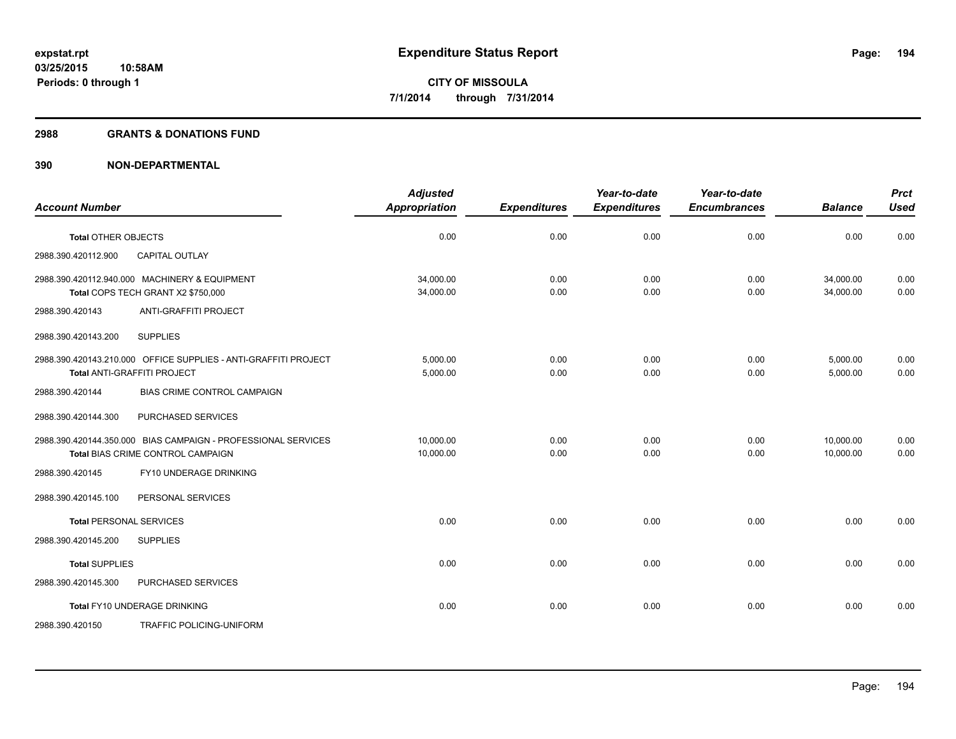#### **2988 GRANTS & DONATIONS FUND**

| <b>Account Number</b>                                                                              | <b>Adjusted</b><br>Appropriation | <b>Expenditures</b> | Year-to-date<br><b>Expenditures</b> | Year-to-date<br><b>Encumbrances</b> | <b>Balance</b>         | <b>Prct</b><br><b>Used</b> |
|----------------------------------------------------------------------------------------------------|----------------------------------|---------------------|-------------------------------------|-------------------------------------|------------------------|----------------------------|
| <b>Total OTHER OBJECTS</b>                                                                         | 0.00                             | 0.00                | 0.00                                | 0.00                                | 0.00                   | 0.00                       |
| 2988.390.420112.900<br><b>CAPITAL OUTLAY</b>                                                       |                                  |                     |                                     |                                     |                        |                            |
| 2988.390.420112.940.000 MACHINERY & EQUIPMENT<br>Total COPS TECH GRANT X2 \$750,000                | 34,000.00<br>34,000.00           | 0.00<br>0.00        | 0.00<br>0.00                        | 0.00<br>0.00                        | 34,000.00<br>34,000.00 | 0.00<br>0.00               |
| <b>ANTI-GRAFFITI PROJECT</b><br>2988.390.420143                                                    |                                  |                     |                                     |                                     |                        |                            |
| <b>SUPPLIES</b><br>2988.390.420143.200                                                             |                                  |                     |                                     |                                     |                        |                            |
| 2988.390.420143.210.000 OFFICE SUPPLIES - ANTI-GRAFFITI PROJECT<br>Total ANTI-GRAFFITI PROJECT     | 5,000.00<br>5,000.00             | 0.00<br>0.00        | 0.00<br>0.00                        | 0.00<br>0.00                        | 5,000.00<br>5,000.00   | 0.00<br>0.00               |
| BIAS CRIME CONTROL CAMPAIGN<br>2988.390.420144                                                     |                                  |                     |                                     |                                     |                        |                            |
| 2988.390.420144.300<br>PURCHASED SERVICES                                                          |                                  |                     |                                     |                                     |                        |                            |
| 2988.390.420144.350.000 BIAS CAMPAIGN - PROFESSIONAL SERVICES<br>Total BIAS CRIME CONTROL CAMPAIGN | 10.000.00<br>10,000.00           | 0.00<br>0.00        | 0.00<br>0.00                        | 0.00<br>0.00                        | 10.000.00<br>10,000.00 | 0.00<br>0.00               |
| FY10 UNDERAGE DRINKING<br>2988.390.420145                                                          |                                  |                     |                                     |                                     |                        |                            |
| PERSONAL SERVICES<br>2988.390.420145.100                                                           |                                  |                     |                                     |                                     |                        |                            |
| <b>Total PERSONAL SERVICES</b>                                                                     | 0.00                             | 0.00                | 0.00                                | 0.00                                | 0.00                   | 0.00                       |
| 2988.390.420145.200<br><b>SUPPLIES</b>                                                             |                                  |                     |                                     |                                     |                        |                            |
| <b>Total SUPPLIES</b>                                                                              | 0.00                             | 0.00                | 0.00                                | 0.00                                | 0.00                   | 0.00                       |
| 2988.390.420145.300<br>PURCHASED SERVICES                                                          |                                  |                     |                                     |                                     |                        |                            |
| Total FY10 UNDERAGE DRINKING                                                                       | 0.00                             | 0.00                | 0.00                                | 0.00                                | 0.00                   | 0.00                       |
| <b>TRAFFIC POLICING-UNIFORM</b><br>2988.390.420150                                                 |                                  |                     |                                     |                                     |                        |                            |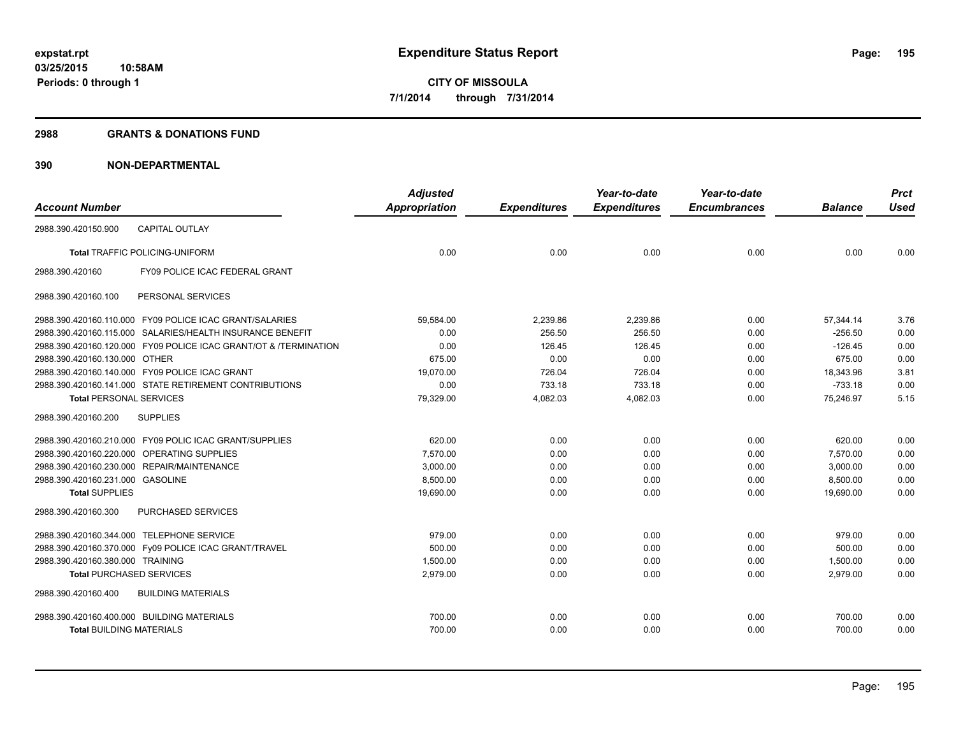#### **2988 GRANTS & DONATIONS FUND**

|                                            |                                                                  | <b>Adjusted</b>      |                     | Year-to-date        | Year-to-date        |                | <b>Prct</b> |
|--------------------------------------------|------------------------------------------------------------------|----------------------|---------------------|---------------------|---------------------|----------------|-------------|
| <b>Account Number</b>                      |                                                                  | <b>Appropriation</b> | <b>Expenditures</b> | <b>Expenditures</b> | <b>Encumbrances</b> | <b>Balance</b> | <b>Used</b> |
| 2988.390.420150.900                        | <b>CAPITAL OUTLAY</b>                                            |                      |                     |                     |                     |                |             |
|                                            | <b>Total TRAFFIC POLICING-UNIFORM</b>                            | 0.00                 | 0.00                | 0.00                | 0.00                | 0.00           | 0.00        |
| 2988.390.420160                            | FY09 POLICE ICAC FEDERAL GRANT                                   |                      |                     |                     |                     |                |             |
| 2988.390.420160.100                        | PERSONAL SERVICES                                                |                      |                     |                     |                     |                |             |
|                                            | 2988.390.420160.110.000 FY09 POLICE ICAC GRANT/SALARIES          | 59,584.00            | 2,239.86            | 2,239.86            | 0.00                | 57,344.14      | 3.76        |
|                                            | 2988.390.420160.115.000 SALARIES/HEALTH INSURANCE BENEFIT        | 0.00                 | 256.50              | 256.50              | 0.00                | $-256.50$      | 0.00        |
|                                            | 2988.390.420160.120.000 FY09 POLICE ICAC GRANT/OT & /TERMINATION | 0.00                 | 126.45              | 126.45              | 0.00                | $-126.45$      | 0.00        |
| 2988.390.420160.130.000 OTHER              |                                                                  | 675.00               | 0.00                | 0.00                | 0.00                | 675.00         | 0.00        |
|                                            | 2988.390.420160.140.000 FY09 POLICE ICAC GRANT                   | 19,070.00            | 726.04              | 726.04              | 0.00                | 18,343.96      | 3.81        |
|                                            | 2988.390.420160.141.000 STATE RETIREMENT CONTRIBUTIONS           | 0.00                 | 733.18              | 733.18              | 0.00                | $-733.18$      | 0.00        |
| <b>Total PERSONAL SERVICES</b>             |                                                                  | 79,329.00            | 4,082.03            | 4,082.03            | 0.00                | 75,246.97      | 5.15        |
| 2988.390.420160.200                        | <b>SUPPLIES</b>                                                  |                      |                     |                     |                     |                |             |
|                                            | 2988.390.420160.210.000 FY09 POLIC ICAC GRANT/SUPPLIES           | 620.00               | 0.00                | 0.00                | 0.00                | 620.00         | 0.00        |
|                                            | 2988.390.420160.220.000 OPERATING SUPPLIES                       | 7,570.00             | 0.00                | 0.00                | 0.00                | 7,570.00       | 0.00        |
|                                            | 2988.390.420160.230.000 REPAIR/MAINTENANCE                       | 3,000.00             | 0.00                | 0.00                | 0.00                | 3,000.00       | 0.00        |
| 2988.390.420160.231.000 GASOLINE           |                                                                  | 8,500.00             | 0.00                | 0.00                | 0.00                | 8,500.00       | 0.00        |
| <b>Total SUPPLIES</b>                      |                                                                  | 19,690.00            | 0.00                | 0.00                | 0.00                | 19,690.00      | 0.00        |
| 2988.390.420160.300                        | <b>PURCHASED SERVICES</b>                                        |                      |                     |                     |                     |                |             |
| 2988.390.420160.344.000 TELEPHONE SERVICE  |                                                                  | 979.00               | 0.00                | 0.00                | 0.00                | 979.00         | 0.00        |
|                                            | 2988.390.420160.370.000 Fy09 POLICE ICAC GRANT/TRAVEL            | 500.00               | 0.00                | 0.00                | 0.00                | 500.00         | 0.00        |
| 2988.390.420160.380.000 TRAINING           |                                                                  | 1.500.00             | 0.00                | 0.00                | 0.00                | 1,500.00       | 0.00        |
| <b>Total PURCHASED SERVICES</b>            |                                                                  | 2,979.00             | 0.00                | 0.00                | 0.00                | 2,979.00       | 0.00        |
| 2988.390.420160.400                        | <b>BUILDING MATERIALS</b>                                        |                      |                     |                     |                     |                |             |
| 2988.390.420160.400.000 BUILDING MATERIALS |                                                                  | 700.00               | 0.00                | 0.00                | 0.00                | 700.00         | 0.00        |
| <b>Total BUILDING MATERIALS</b>            |                                                                  | 700.00               | 0.00                | 0.00                | 0.00                | 700.00         | 0.00        |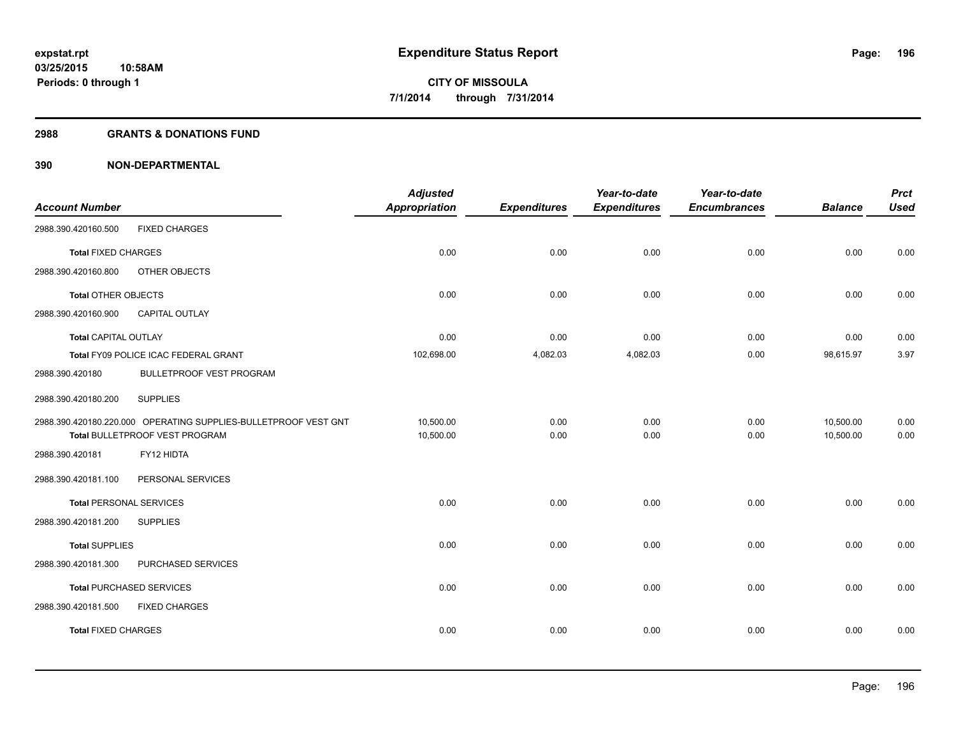#### **2988 GRANTS & DONATIONS FUND**

|                                |                                                                 | <b>Adjusted</b>      |                     | Year-to-date        | Year-to-date        |                | <b>Prct</b> |
|--------------------------------|-----------------------------------------------------------------|----------------------|---------------------|---------------------|---------------------|----------------|-------------|
| <b>Account Number</b>          |                                                                 | <b>Appropriation</b> | <b>Expenditures</b> | <b>Expenditures</b> | <b>Encumbrances</b> | <b>Balance</b> | <b>Used</b> |
| 2988.390.420160.500            | <b>FIXED CHARGES</b>                                            |                      |                     |                     |                     |                |             |
| <b>Total FIXED CHARGES</b>     |                                                                 | 0.00                 | 0.00                | 0.00                | 0.00                | 0.00           | 0.00        |
| 2988.390.420160.800            | OTHER OBJECTS                                                   |                      |                     |                     |                     |                |             |
| <b>Total OTHER OBJECTS</b>     |                                                                 | 0.00                 | 0.00                | 0.00                | 0.00                | 0.00           | 0.00        |
| 2988.390.420160.900            | <b>CAPITAL OUTLAY</b>                                           |                      |                     |                     |                     |                |             |
| <b>Total CAPITAL OUTLAY</b>    |                                                                 | 0.00                 | 0.00                | 0.00                | 0.00                | 0.00           | 0.00        |
|                                | Total FY09 POLICE ICAC FEDERAL GRANT                            | 102,698.00           | 4,082.03            | 4,082.03            | 0.00                | 98,615.97      | 3.97        |
| 2988.390.420180                | <b>BULLETPROOF VEST PROGRAM</b>                                 |                      |                     |                     |                     |                |             |
| 2988.390.420180.200            | <b>SUPPLIES</b>                                                 |                      |                     |                     |                     |                |             |
|                                | 2988.390.420180.220.000 OPERATING SUPPLIES-BULLETPROOF VEST GNT | 10,500.00            | 0.00                | 0.00                | 0.00                | 10,500.00      | 0.00        |
|                                | Total BULLETPROOF VEST PROGRAM                                  | 10,500.00            | 0.00                | 0.00                | 0.00                | 10,500.00      | 0.00        |
| 2988.390.420181                | FY12 HIDTA                                                      |                      |                     |                     |                     |                |             |
| 2988.390.420181.100            | PERSONAL SERVICES                                               |                      |                     |                     |                     |                |             |
| <b>Total PERSONAL SERVICES</b> |                                                                 | 0.00                 | 0.00                | 0.00                | 0.00                | 0.00           | 0.00        |
| 2988.390.420181.200            | <b>SUPPLIES</b>                                                 |                      |                     |                     |                     |                |             |
| <b>Total SUPPLIES</b>          |                                                                 | 0.00                 | 0.00                | 0.00                | 0.00                | 0.00           | 0.00        |
| 2988.390.420181.300            | PURCHASED SERVICES                                              |                      |                     |                     |                     |                |             |
|                                | <b>Total PURCHASED SERVICES</b>                                 | 0.00                 | 0.00                | 0.00                | 0.00                | 0.00           | 0.00        |
| 2988.390.420181.500            | <b>FIXED CHARGES</b>                                            |                      |                     |                     |                     |                |             |
| <b>Total FIXED CHARGES</b>     |                                                                 | 0.00                 | 0.00                | 0.00                | 0.00                | 0.00           | 0.00        |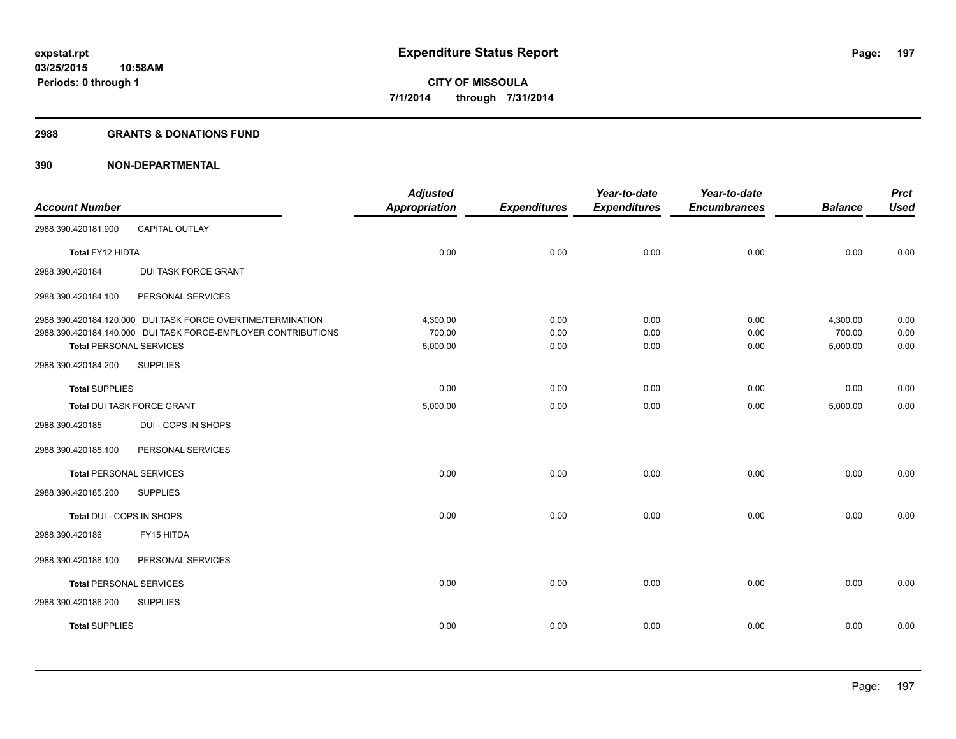#### **2988 GRANTS & DONATIONS FUND**

|                                |                                                               | <b>Adjusted</b>      |                     | Year-to-date        | Year-to-date        |                    | <b>Prct</b>  |
|--------------------------------|---------------------------------------------------------------|----------------------|---------------------|---------------------|---------------------|--------------------|--------------|
| <b>Account Number</b>          |                                                               | <b>Appropriation</b> | <b>Expenditures</b> | <b>Expenditures</b> | <b>Encumbrances</b> | <b>Balance</b>     | <b>Used</b>  |
| 2988.390.420181.900            | CAPITAL OUTLAY                                                |                      |                     |                     |                     |                    |              |
| Total FY12 HIDTA               |                                                               | 0.00                 | 0.00                | 0.00                | 0.00                | 0.00               | 0.00         |
| 2988.390.420184                | DUI TASK FORCE GRANT                                          |                      |                     |                     |                     |                    |              |
| 2988.390.420184.100            | PERSONAL SERVICES                                             |                      |                     |                     |                     |                    |              |
|                                | 2988.390.420184.120.000 DUI TASK FORCE OVERTIME/TERMINATION   | 4,300.00             | 0.00                | 0.00                | 0.00                | 4,300.00           | 0.00         |
| <b>Total PERSONAL SERVICES</b> | 2988.390.420184.140.000 DUI TASK FORCE-EMPLOYER CONTRIBUTIONS | 700.00<br>5,000.00   | 0.00<br>0.00        | 0.00<br>0.00        | 0.00<br>0.00        | 700.00<br>5,000.00 | 0.00<br>0.00 |
| 2988.390.420184.200            | <b>SUPPLIES</b>                                               |                      |                     |                     |                     |                    |              |
| <b>Total SUPPLIES</b>          |                                                               | 0.00                 | 0.00                | 0.00                | 0.00                | 0.00               | 0.00         |
| Total DUI TASK FORCE GRANT     |                                                               | 5,000.00             | 0.00                | 0.00                | 0.00                | 5,000.00           | 0.00         |
| 2988.390.420185                | DUI - COPS IN SHOPS                                           |                      |                     |                     |                     |                    |              |
| 2988.390.420185.100            | PERSONAL SERVICES                                             |                      |                     |                     |                     |                    |              |
| <b>Total PERSONAL SERVICES</b> |                                                               | 0.00                 | 0.00                | 0.00                | 0.00                | 0.00               | 0.00         |
| 2988.390.420185.200            | <b>SUPPLIES</b>                                               |                      |                     |                     |                     |                    |              |
| Total DUI - COPS IN SHOPS      |                                                               | 0.00                 | 0.00                | 0.00                | 0.00                | 0.00               | 0.00         |
| 2988.390.420186                | FY15 HITDA                                                    |                      |                     |                     |                     |                    |              |
| 2988.390.420186.100            | PERSONAL SERVICES                                             |                      |                     |                     |                     |                    |              |
| <b>Total PERSONAL SERVICES</b> |                                                               | 0.00                 | 0.00                | 0.00                | 0.00                | 0.00               | 0.00         |
| 2988.390.420186.200            | <b>SUPPLIES</b>                                               |                      |                     |                     |                     |                    |              |
| <b>Total SUPPLIES</b>          |                                                               | 0.00                 | 0.00                | 0.00                | 0.00                | 0.00               | 0.00         |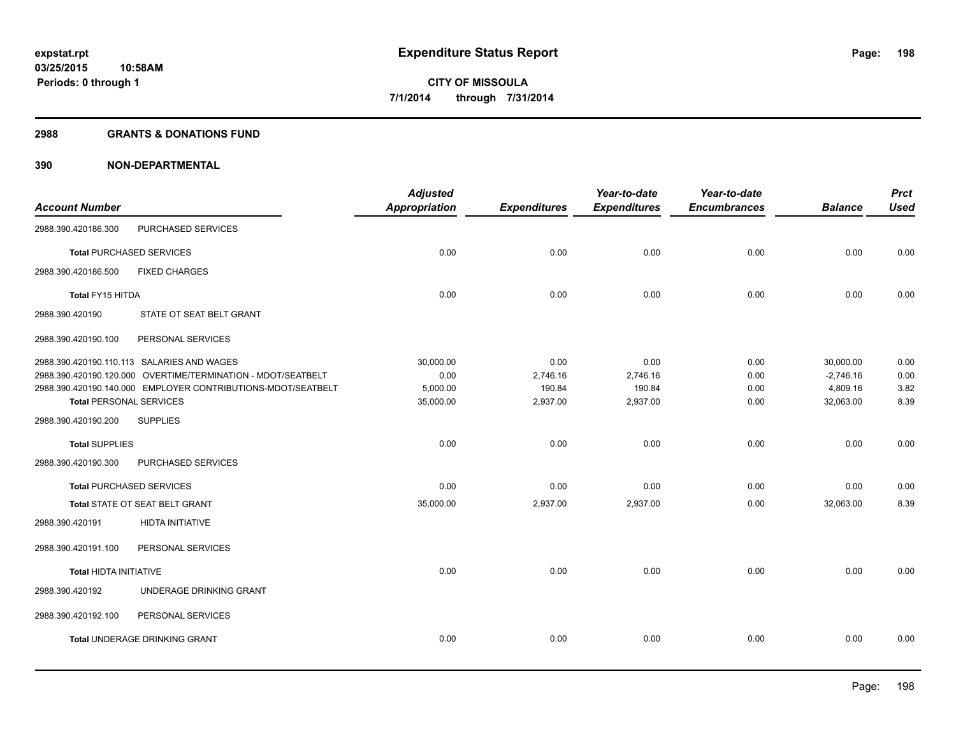#### **2988 GRANTS & DONATIONS FUND**

| <b>Account Number</b>          |                                                              | <b>Adjusted</b><br><b>Appropriation</b> | <b>Expenditures</b> | Year-to-date<br><b>Expenditures</b> | Year-to-date<br><b>Encumbrances</b> | <b>Balance</b> | <b>Prct</b><br><b>Used</b> |
|--------------------------------|--------------------------------------------------------------|-----------------------------------------|---------------------|-------------------------------------|-------------------------------------|----------------|----------------------------|
| 2988.390.420186.300            | PURCHASED SERVICES                                           |                                         |                     |                                     |                                     |                |                            |
|                                | <b>Total PURCHASED SERVICES</b>                              | 0.00                                    | 0.00                | 0.00                                | 0.00                                | 0.00           | 0.00                       |
| 2988.390.420186.500            | <b>FIXED CHARGES</b>                                         |                                         |                     |                                     |                                     |                |                            |
| Total FY15 HITDA               |                                                              | 0.00                                    | 0.00                | 0.00                                | 0.00                                | 0.00           | 0.00                       |
| 2988.390.420190                | STATE OT SEAT BELT GRANT                                     |                                         |                     |                                     |                                     |                |                            |
| 2988.390.420190.100            | PERSONAL SERVICES                                            |                                         |                     |                                     |                                     |                |                            |
|                                | 2988.390.420190.110.113 SALARIES AND WAGES                   | 30,000.00                               | 0.00                | 0.00                                | 0.00                                | 30,000.00      | 0.00                       |
|                                | 2988.390.420190.120.000 OVERTIME/TERMINATION - MDOT/SEATBELT | 0.00                                    | 2,746.16            | 2,746.16                            | 0.00                                | $-2,746.16$    | 0.00                       |
|                                | 2988.390.420190.140.000 EMPLOYER CONTRIBUTIONS-MDOT/SEATBELT | 5,000.00                                | 190.84              | 190.84                              | 0.00                                | 4,809.16       | 3.82                       |
| <b>Total PERSONAL SERVICES</b> |                                                              | 35,000.00                               | 2,937.00            | 2,937.00                            | 0.00                                | 32,063.00      | 8.39                       |
| 2988.390.420190.200            | <b>SUPPLIES</b>                                              |                                         |                     |                                     |                                     |                |                            |
| <b>Total SUPPLIES</b>          |                                                              | 0.00                                    | 0.00                | 0.00                                | 0.00                                | 0.00           | 0.00                       |
| 2988.390.420190.300            | PURCHASED SERVICES                                           |                                         |                     |                                     |                                     |                |                            |
|                                | <b>Total PURCHASED SERVICES</b>                              | 0.00                                    | 0.00                | 0.00                                | 0.00                                | 0.00           | 0.00                       |
|                                | Total STATE OT SEAT BELT GRANT                               | 35,000.00                               | 2,937.00            | 2,937.00                            | 0.00                                | 32,063.00      | 8.39                       |
| 2988.390.420191                | <b>HIDTA INITIATIVE</b>                                      |                                         |                     |                                     |                                     |                |                            |
| 2988.390.420191.100            | PERSONAL SERVICES                                            |                                         |                     |                                     |                                     |                |                            |
| <b>Total HIDTA INITIATIVE</b>  |                                                              | 0.00                                    | 0.00                | 0.00                                | 0.00                                | 0.00           | 0.00                       |
| 2988.390.420192                | UNDERAGE DRINKING GRANT                                      |                                         |                     |                                     |                                     |                |                            |
| 2988.390.420192.100            | PERSONAL SERVICES                                            |                                         |                     |                                     |                                     |                |                            |
|                                | Total UNDERAGE DRINKING GRANT                                | 0.00                                    | 0.00                | 0.00                                | 0.00                                | 0.00           | 0.00                       |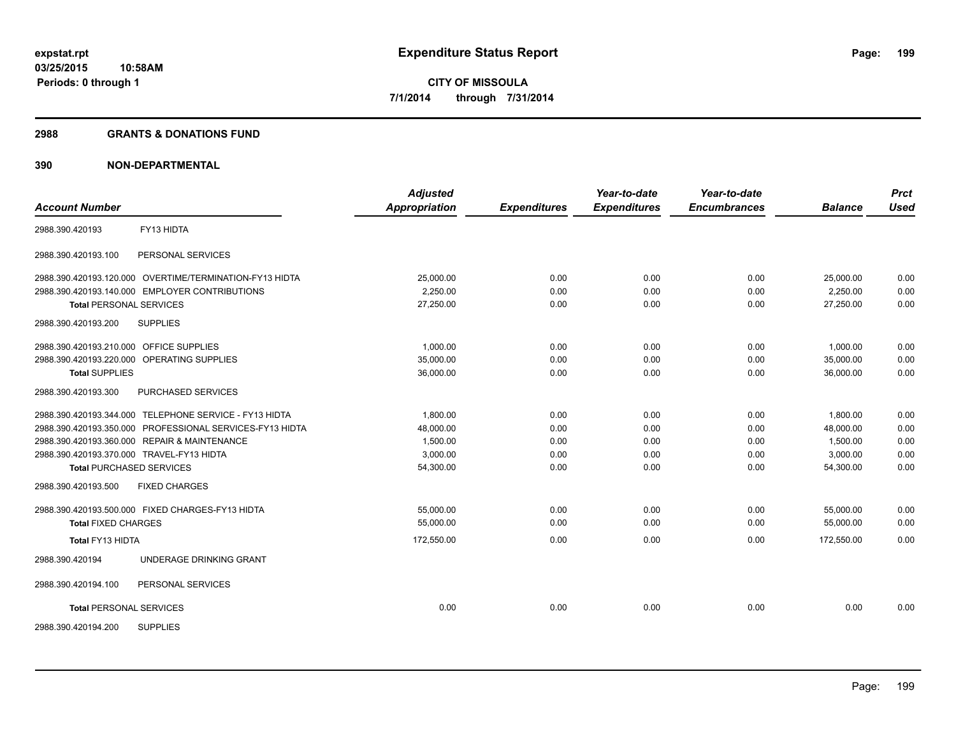#### **2988 GRANTS & DONATIONS FUND**

| <b>Account Number</b>                                    | <b>Adjusted</b><br><b>Appropriation</b> | <b>Expenditures</b> | Year-to-date<br><b>Expenditures</b> | Year-to-date<br><b>Encumbrances</b> | <b>Balance</b> | <b>Prct</b><br><b>Used</b> |
|----------------------------------------------------------|-----------------------------------------|---------------------|-------------------------------------|-------------------------------------|----------------|----------------------------|
|                                                          |                                         |                     |                                     |                                     |                |                            |
| FY13 HIDTA<br>2988.390.420193                            |                                         |                     |                                     |                                     |                |                            |
| 2988.390.420193.100<br>PERSONAL SERVICES                 |                                         |                     |                                     |                                     |                |                            |
| 2988.390.420193.120.000 OVERTIME/TERMINATION-FY13 HIDTA  | 25,000.00                               | 0.00                | 0.00                                | 0.00                                | 25,000.00      | 0.00                       |
| 2988.390.420193.140.000 EMPLOYER CONTRIBUTIONS           | 2.250.00                                | 0.00                | 0.00                                | 0.00                                | 2,250.00       | 0.00                       |
| <b>Total PERSONAL SERVICES</b>                           | 27,250.00                               | 0.00                | 0.00                                | 0.00                                | 27,250.00      | 0.00                       |
| 2988.390.420193.200<br><b>SUPPLIES</b>                   |                                         |                     |                                     |                                     |                |                            |
| 2988.390.420193.210.000 OFFICE SUPPLIES                  | 1.000.00                                | 0.00                | 0.00                                | 0.00                                | 1.000.00       | 0.00                       |
| 2988.390.420193.220.000 OPERATING SUPPLIES               | 35,000.00                               | 0.00                | 0.00                                | 0.00                                | 35,000.00      | 0.00                       |
| <b>Total SUPPLIES</b>                                    | 36,000.00                               | 0.00                | 0.00                                | 0.00                                | 36,000.00      | 0.00                       |
| 2988.390.420193.300<br><b>PURCHASED SERVICES</b>         |                                         |                     |                                     |                                     |                |                            |
| 2988.390.420193.344.000 TELEPHONE SERVICE - FY13 HIDTA   | 1,800.00                                | 0.00                | 0.00                                | 0.00                                | 1,800.00       | 0.00                       |
| 2988.390.420193.350.000 PROFESSIONAL SERVICES-FY13 HIDTA | 48,000.00                               | 0.00                | 0.00                                | 0.00                                | 48,000.00      | 0.00                       |
| 2988.390.420193.360.000 REPAIR & MAINTENANCE             | 1,500.00                                | 0.00                | 0.00                                | 0.00                                | 1,500.00       | 0.00                       |
| 2988.390.420193.370.000 TRAVEL-FY13 HIDTA                | 3,000.00                                | 0.00                | 0.00                                | 0.00                                | 3,000.00       | 0.00                       |
| <b>Total PURCHASED SERVICES</b>                          | 54,300.00                               | 0.00                | 0.00                                | 0.00                                | 54,300.00      | 0.00                       |
| 2988.390.420193.500<br><b>FIXED CHARGES</b>              |                                         |                     |                                     |                                     |                |                            |
| 2988.390.420193.500.000 FIXED CHARGES-FY13 HIDTA         | 55,000.00                               | 0.00                | 0.00                                | 0.00                                | 55,000.00      | 0.00                       |
| <b>Total FIXED CHARGES</b>                               | 55.000.00                               | 0.00                | 0.00                                | 0.00                                | 55.000.00      | 0.00                       |
| Total FY13 HIDTA                                         | 172,550.00                              | 0.00                | 0.00                                | 0.00                                | 172,550.00     | 0.00                       |
| UNDERAGE DRINKING GRANT<br>2988.390.420194               |                                         |                     |                                     |                                     |                |                            |
| PERSONAL SERVICES<br>2988.390.420194.100                 |                                         |                     |                                     |                                     |                |                            |
| <b>Total PERSONAL SERVICES</b>                           | 0.00                                    | 0.00                | 0.00                                | 0.00                                | 0.00           | 0.00                       |
| 2988.390.420194.200<br><b>SUPPLIES</b>                   |                                         |                     |                                     |                                     |                |                            |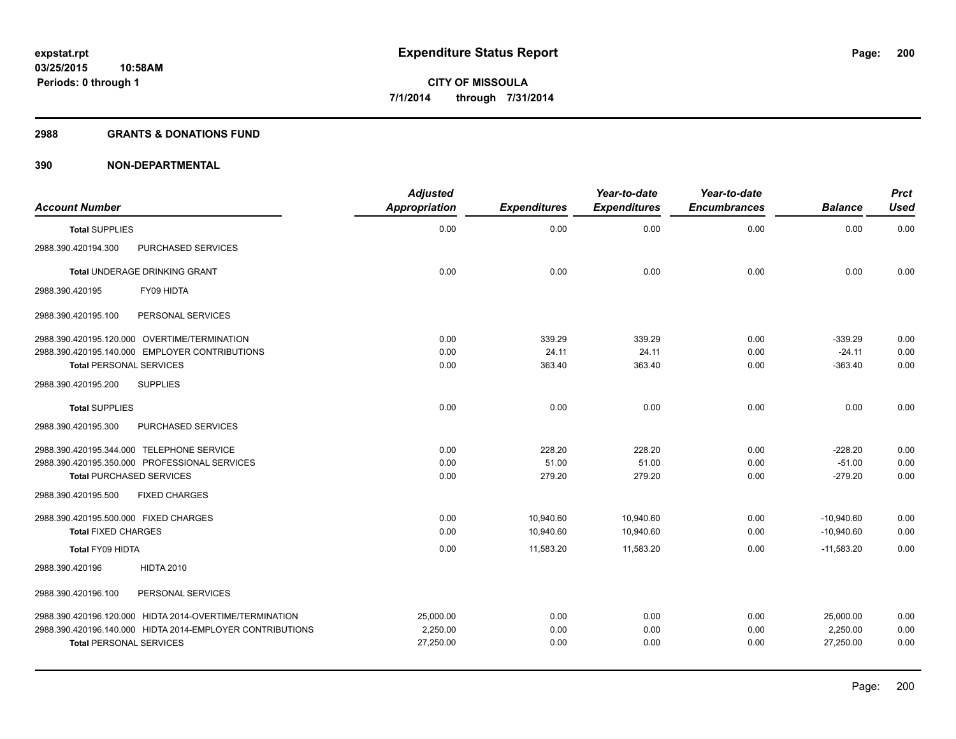#### **2988 GRANTS & DONATIONS FUND**

| <b>Account Number</b>                 |                                                           | <b>Adjusted</b><br>Appropriation | <b>Expenditures</b> | Year-to-date<br><b>Expenditures</b> | Year-to-date<br><b>Encumbrances</b> | <b>Balance</b> | <b>Prct</b><br><b>Used</b> |
|---------------------------------------|-----------------------------------------------------------|----------------------------------|---------------------|-------------------------------------|-------------------------------------|----------------|----------------------------|
| <b>Total SUPPLIES</b>                 |                                                           | 0.00                             | 0.00                | 0.00                                | 0.00                                | 0.00           | 0.00                       |
| 2988.390.420194.300                   | PURCHASED SERVICES                                        |                                  |                     |                                     |                                     |                |                            |
|                                       | Total UNDERAGE DRINKING GRANT                             | 0.00                             | 0.00                | 0.00                                | 0.00                                | 0.00           | 0.00                       |
| 2988.390.420195                       | FY09 HIDTA                                                |                                  |                     |                                     |                                     |                |                            |
| 2988.390.420195.100                   | PERSONAL SERVICES                                         |                                  |                     |                                     |                                     |                |                            |
|                                       | 2988.390.420195.120.000 OVERTIME/TERMINATION              | 0.00                             | 339.29              | 339.29                              | 0.00                                | $-339.29$      | 0.00                       |
|                                       | 2988.390.420195.140.000 EMPLOYER CONTRIBUTIONS            | 0.00                             | 24.11               | 24.11                               | 0.00                                | $-24.11$       | 0.00                       |
| <b>Total PERSONAL SERVICES</b>        |                                                           | 0.00                             | 363.40              | 363.40                              | 0.00                                | $-363.40$      | 0.00                       |
| 2988.390.420195.200                   | <b>SUPPLIES</b>                                           |                                  |                     |                                     |                                     |                |                            |
| <b>Total SUPPLIES</b>                 |                                                           | 0.00                             | 0.00                | 0.00                                | 0.00                                | 0.00           | 0.00                       |
| 2988.390.420195.300                   | PURCHASED SERVICES                                        |                                  |                     |                                     |                                     |                |                            |
|                                       | 2988.390.420195.344.000 TELEPHONE SERVICE                 | 0.00                             | 228.20              | 228.20                              | 0.00                                | $-228.20$      | 0.00                       |
|                                       | 2988.390.420195.350.000 PROFESSIONAL SERVICES             | 0.00                             | 51.00               | 51.00                               | 0.00                                | $-51.00$       | 0.00                       |
| <b>Total PURCHASED SERVICES</b>       |                                                           | 0.00                             | 279.20              | 279.20                              | 0.00                                | $-279.20$      | 0.00                       |
| 2988.390.420195.500                   | <b>FIXED CHARGES</b>                                      |                                  |                     |                                     |                                     |                |                            |
| 2988.390.420195.500.000 FIXED CHARGES |                                                           | 0.00                             | 10,940.60           | 10,940.60                           | 0.00                                | $-10,940.60$   | 0.00                       |
| <b>Total FIXED CHARGES</b>            |                                                           | 0.00                             | 10,940.60           | 10,940.60                           | 0.00                                | $-10,940.60$   | 0.00                       |
| Total FY09 HIDTA                      |                                                           | 0.00                             | 11,583.20           | 11,583.20                           | 0.00                                | $-11,583.20$   | 0.00                       |
| 2988.390.420196                       | <b>HIDTA 2010</b>                                         |                                  |                     |                                     |                                     |                |                            |
| 2988.390.420196.100                   | PERSONAL SERVICES                                         |                                  |                     |                                     |                                     |                |                            |
|                                       | 2988.390.420196.120.000 HIDTA 2014-OVERTIME/TERMINATION   | 25,000.00                        | 0.00                | 0.00                                | 0.00                                | 25.000.00      | 0.00                       |
|                                       | 2988.390.420196.140.000 HIDTA 2014-EMPLOYER CONTRIBUTIONS | 2,250.00                         | 0.00                | 0.00                                | 0.00                                | 2,250.00       | 0.00                       |
| <b>Total PERSONAL SERVICES</b>        |                                                           | 27,250.00                        | 0.00                | 0.00                                | 0.00                                | 27,250.00      | 0.00                       |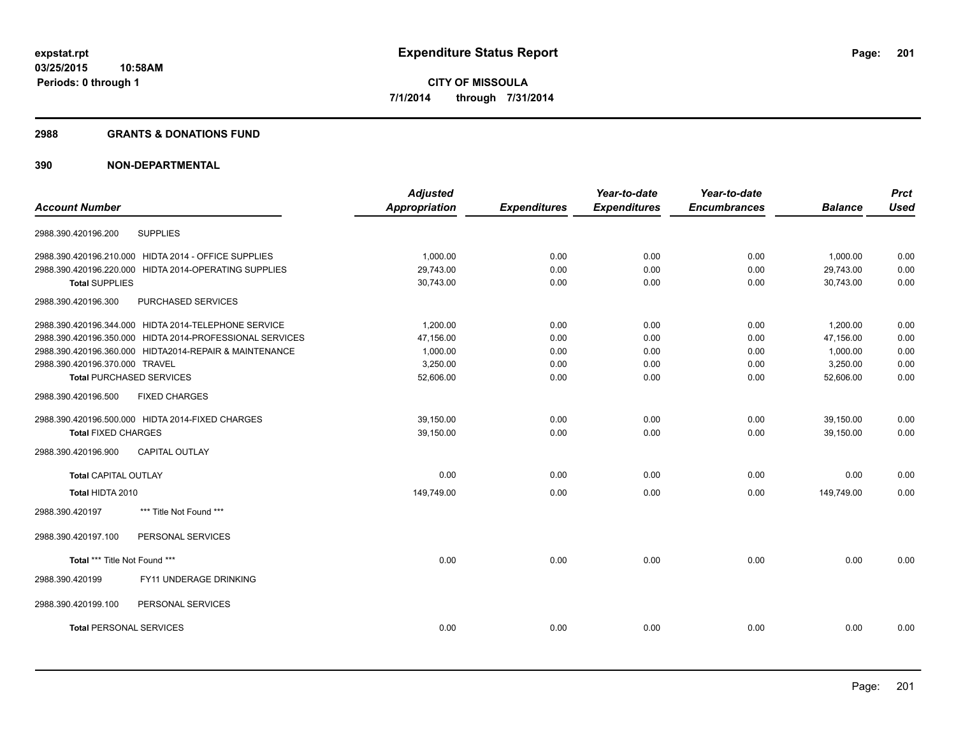#### **2988 GRANTS & DONATIONS FUND**

|                                                          | <b>Adjusted</b>      |                     | Year-to-date        | Year-to-date        |                | <b>Prct</b> |
|----------------------------------------------------------|----------------------|---------------------|---------------------|---------------------|----------------|-------------|
| <b>Account Number</b>                                    | <b>Appropriation</b> | <b>Expenditures</b> | <b>Expenditures</b> | <b>Encumbrances</b> | <b>Balance</b> | <b>Used</b> |
| <b>SUPPLIES</b><br>2988.390.420196.200                   |                      |                     |                     |                     |                |             |
| 2988.390.420196.210.000 HIDTA 2014 - OFFICE SUPPLIES     | 1,000.00             | 0.00                | 0.00                | 0.00                | 1,000.00       | 0.00        |
| 2988.390.420196.220.000 HIDTA 2014-OPERATING SUPPLIES    | 29,743.00            | 0.00                | 0.00                | 0.00                | 29,743.00      | 0.00        |
| <b>Total SUPPLIES</b>                                    | 30,743.00            | 0.00                | 0.00                | 0.00                | 30,743.00      | 0.00        |
| PURCHASED SERVICES<br>2988.390.420196.300                |                      |                     |                     |                     |                |             |
| 2988.390.420196.344.000 HIDTA 2014-TELEPHONE SERVICE     | 1.200.00             | 0.00                | 0.00                | 0.00                | 1,200.00       | 0.00        |
| 2988.390.420196.350.000 HIDTA 2014-PROFESSIONAL SERVICES | 47,156.00            | 0.00                | 0.00                | 0.00                | 47,156.00      | 0.00        |
| 2988.390.420196.360.000 HIDTA2014-REPAIR & MAINTENANCE   | 1,000.00             | 0.00                | 0.00                | 0.00                | 1,000.00       | 0.00        |
| 2988.390.420196.370.000 TRAVEL                           | 3,250.00             | 0.00                | 0.00                | 0.00                | 3,250.00       | 0.00        |
| <b>Total PURCHASED SERVICES</b>                          | 52,606.00            | 0.00                | 0.00                | 0.00                | 52,606.00      | 0.00        |
| 2988.390.420196.500<br><b>FIXED CHARGES</b>              |                      |                     |                     |                     |                |             |
| 2988.390.420196.500.000 HIDTA 2014-FIXED CHARGES         | 39,150.00            | 0.00                | 0.00                | 0.00                | 39,150.00      | 0.00        |
| <b>Total FIXED CHARGES</b>                               | 39,150.00            | 0.00                | 0.00                | 0.00                | 39,150.00      | 0.00        |
| <b>CAPITAL OUTLAY</b><br>2988.390.420196.900             |                      |                     |                     |                     |                |             |
| <b>Total CAPITAL OUTLAY</b>                              | 0.00                 | 0.00                | 0.00                | 0.00                | 0.00           | 0.00        |
| Total HIDTA 2010                                         | 149,749.00           | 0.00                | 0.00                | 0.00                | 149,749.00     | 0.00        |
| *** Title Not Found ***<br>2988.390.420197               |                      |                     |                     |                     |                |             |
| 2988.390.420197.100<br>PERSONAL SERVICES                 |                      |                     |                     |                     |                |             |
| Total *** Title Not Found ***                            | 0.00                 | 0.00                | 0.00                | 0.00                | 0.00           | 0.00        |
| 2988.390.420199<br>FY11 UNDERAGE DRINKING                |                      |                     |                     |                     |                |             |
| 2988.390.420199.100<br>PERSONAL SERVICES                 |                      |                     |                     |                     |                |             |
| <b>Total PERSONAL SERVICES</b>                           | 0.00                 | 0.00                | 0.00                | 0.00                | 0.00           | 0.00        |
|                                                          |                      |                     |                     |                     |                |             |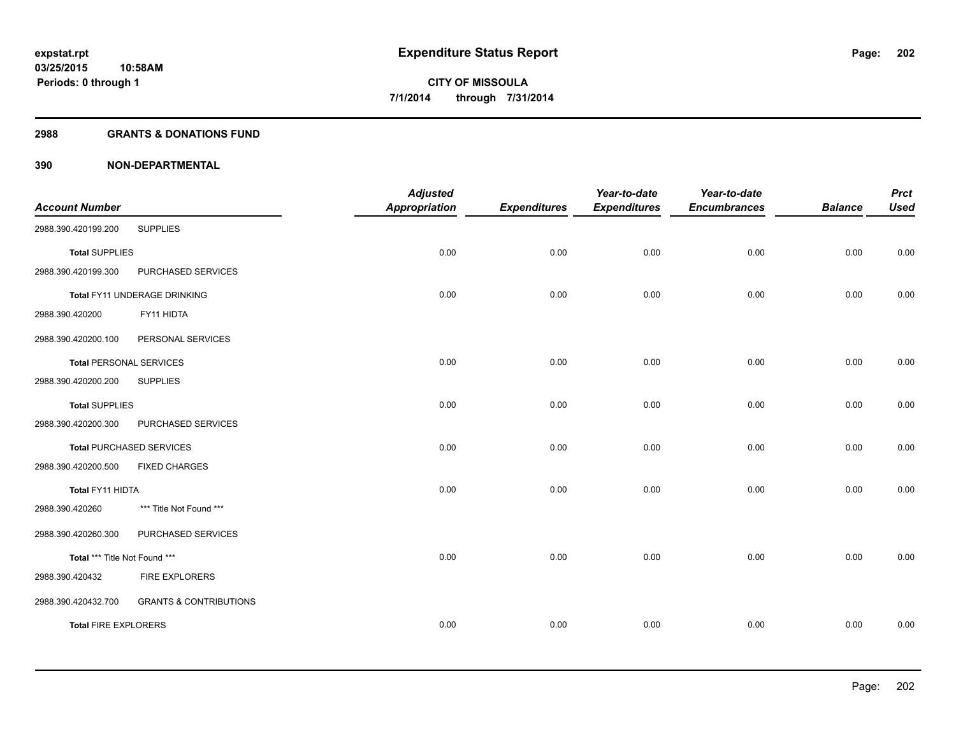#### **2988 GRANTS & DONATIONS FUND**

|                                |                                   | <b>Adjusted</b>      |                     | Year-to-date        | Year-to-date        |                | <b>Prct</b> |
|--------------------------------|-----------------------------------|----------------------|---------------------|---------------------|---------------------|----------------|-------------|
| <b>Account Number</b>          |                                   | <b>Appropriation</b> | <b>Expenditures</b> | <b>Expenditures</b> | <b>Encumbrances</b> | <b>Balance</b> | <b>Used</b> |
| 2988.390.420199.200            | <b>SUPPLIES</b>                   |                      |                     |                     |                     |                |             |
| <b>Total SUPPLIES</b>          |                                   | 0.00                 | 0.00                | 0.00                | 0.00                | 0.00           | 0.00        |
| 2988.390.420199.300            | PURCHASED SERVICES                |                      |                     |                     |                     |                |             |
|                                | Total FY11 UNDERAGE DRINKING      | 0.00                 | 0.00                | 0.00                | 0.00                | 0.00           | 0.00        |
| 2988.390.420200                | FY11 HIDTA                        |                      |                     |                     |                     |                |             |
| 2988.390.420200.100            | PERSONAL SERVICES                 |                      |                     |                     |                     |                |             |
| <b>Total PERSONAL SERVICES</b> |                                   | 0.00                 | 0.00                | 0.00                | 0.00                | 0.00           | 0.00        |
| 2988.390.420200.200            | <b>SUPPLIES</b>                   |                      |                     |                     |                     |                |             |
| <b>Total SUPPLIES</b>          |                                   | 0.00                 | 0.00                | 0.00                | 0.00                | 0.00           | 0.00        |
| 2988.390.420200.300            | PURCHASED SERVICES                |                      |                     |                     |                     |                |             |
|                                | <b>Total PURCHASED SERVICES</b>   | 0.00                 | 0.00                | 0.00                | 0.00                | 0.00           | 0.00        |
| 2988.390.420200.500            | <b>FIXED CHARGES</b>              |                      |                     |                     |                     |                |             |
| Total FY11 HIDTA               |                                   | 0.00                 | 0.00                | 0.00                | 0.00                | 0.00           | 0.00        |
| 2988.390.420260                | *** Title Not Found ***           |                      |                     |                     |                     |                |             |
| 2988.390.420260.300            | PURCHASED SERVICES                |                      |                     |                     |                     |                |             |
| Total *** Title Not Found ***  |                                   | 0.00                 | 0.00                | 0.00                | 0.00                | 0.00           | 0.00        |
| 2988.390.420432                | <b>FIRE EXPLORERS</b>             |                      |                     |                     |                     |                |             |
| 2988.390.420432.700            | <b>GRANTS &amp; CONTRIBUTIONS</b> |                      |                     |                     |                     |                |             |
| <b>Total FIRE EXPLORERS</b>    |                                   | 0.00                 | 0.00                | 0.00                | 0.00                | 0.00           | 0.00        |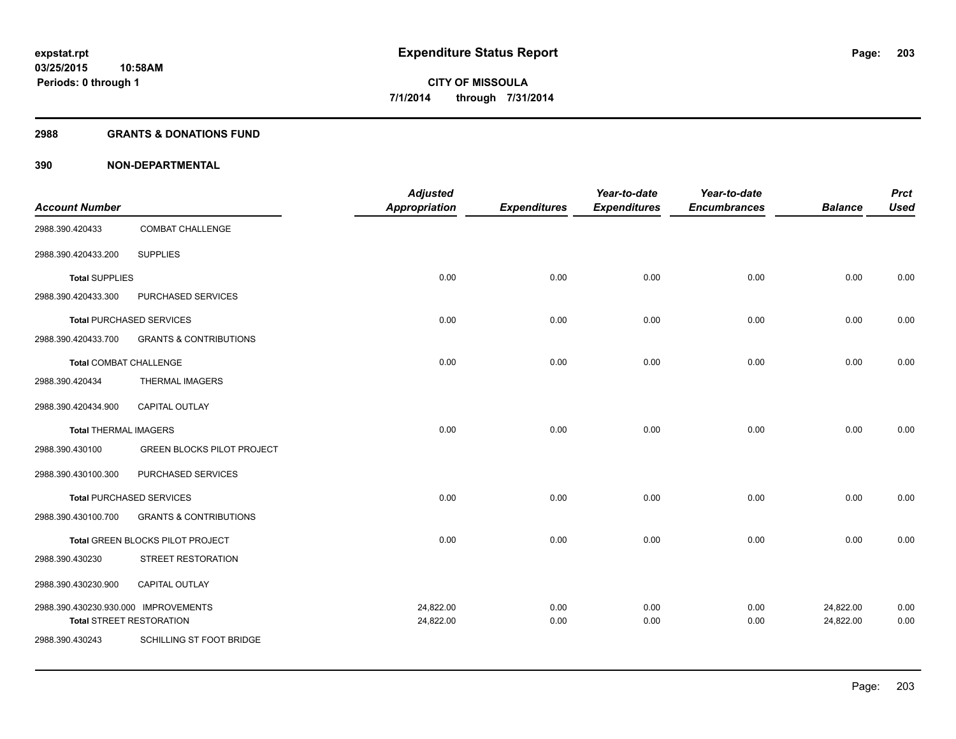#### **2988 GRANTS & DONATIONS FUND**

|                                      |                                   | <b>Adjusted</b> |                     | Year-to-date        | Year-to-date        |                | <b>Prct</b> |
|--------------------------------------|-----------------------------------|-----------------|---------------------|---------------------|---------------------|----------------|-------------|
| <b>Account Number</b>                |                                   | Appropriation   | <b>Expenditures</b> | <b>Expenditures</b> | <b>Encumbrances</b> | <b>Balance</b> | <b>Used</b> |
| 2988.390.420433                      | COMBAT CHALLENGE                  |                 |                     |                     |                     |                |             |
| 2988.390.420433.200                  | <b>SUPPLIES</b>                   |                 |                     |                     |                     |                |             |
| <b>Total SUPPLIES</b>                |                                   | 0.00            | 0.00                | 0.00                | 0.00                | 0.00           | 0.00        |
| 2988.390.420433.300                  | PURCHASED SERVICES                |                 |                     |                     |                     |                |             |
|                                      | <b>Total PURCHASED SERVICES</b>   | 0.00            | 0.00                | 0.00                | 0.00                | 0.00           | 0.00        |
| 2988.390.420433.700                  | <b>GRANTS &amp; CONTRIBUTIONS</b> |                 |                     |                     |                     |                |             |
| <b>Total COMBAT CHALLENGE</b>        |                                   | 0.00            | 0.00                | 0.00                | 0.00                | 0.00           | 0.00        |
| 2988.390.420434                      | <b>THERMAL IMAGERS</b>            |                 |                     |                     |                     |                |             |
| 2988.390.420434.900                  | <b>CAPITAL OUTLAY</b>             |                 |                     |                     |                     |                |             |
| <b>Total THERMAL IMAGERS</b>         |                                   | 0.00            | 0.00                | 0.00                | 0.00                | 0.00           | 0.00        |
| 2988.390.430100                      | <b>GREEN BLOCKS PILOT PROJECT</b> |                 |                     |                     |                     |                |             |
| 2988.390.430100.300                  | PURCHASED SERVICES                |                 |                     |                     |                     |                |             |
|                                      | <b>Total PURCHASED SERVICES</b>   | 0.00            | 0.00                | 0.00                | 0.00                | 0.00           | 0.00        |
| 2988.390.430100.700                  | <b>GRANTS &amp; CONTRIBUTIONS</b> |                 |                     |                     |                     |                |             |
|                                      | Total GREEN BLOCKS PILOT PROJECT  | 0.00            | 0.00                | 0.00                | 0.00                | 0.00           | 0.00        |
| 2988.390.430230                      | STREET RESTORATION                |                 |                     |                     |                     |                |             |
| 2988.390.430230.900                  | CAPITAL OUTLAY                    |                 |                     |                     |                     |                |             |
| 2988.390.430230.930.000 IMPROVEMENTS |                                   | 24,822.00       | 0.00                | 0.00                | 0.00                | 24,822.00      | 0.00        |
|                                      | <b>Total STREET RESTORATION</b>   | 24,822.00       | 0.00                | 0.00                | 0.00                | 24,822.00      | 0.00        |
| 2988.390.430243                      | SCHILLING ST FOOT BRIDGE          |                 |                     |                     |                     |                |             |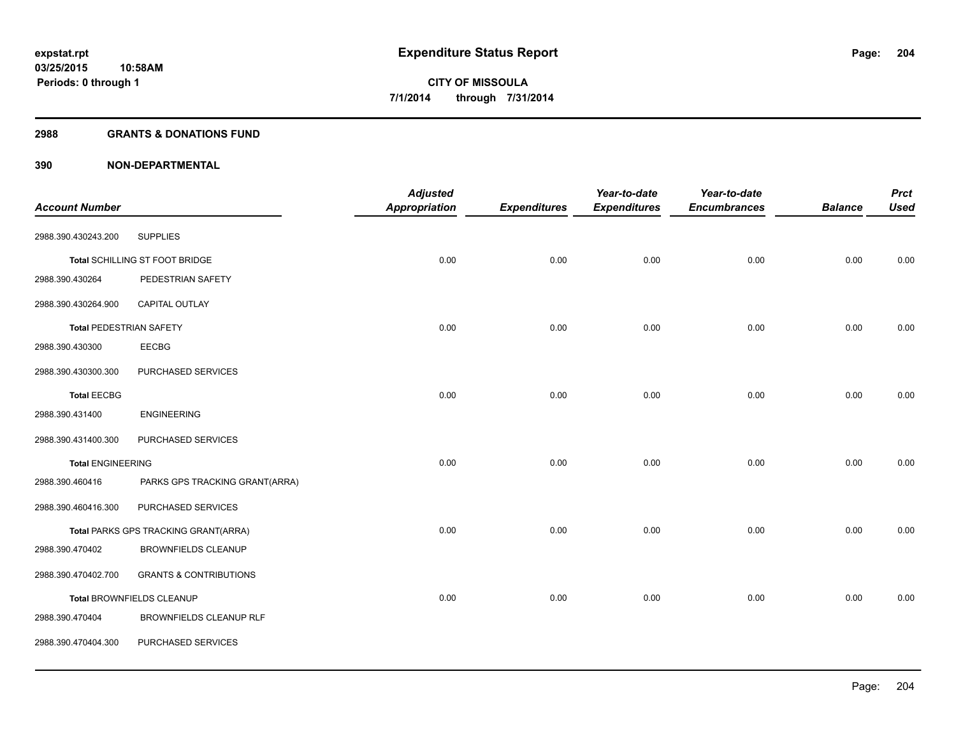#### **2988 GRANTS & DONATIONS FUND**

|                                |                                      | <b>Adjusted</b>      |                     | Year-to-date        | Year-to-date        |                | <b>Prct</b> |
|--------------------------------|--------------------------------------|----------------------|---------------------|---------------------|---------------------|----------------|-------------|
| <b>Account Number</b>          |                                      | <b>Appropriation</b> | <b>Expenditures</b> | <b>Expenditures</b> | <b>Encumbrances</b> | <b>Balance</b> | <b>Used</b> |
| 2988.390.430243.200            | <b>SUPPLIES</b>                      |                      |                     |                     |                     |                |             |
|                                | Total SCHILLING ST FOOT BRIDGE       | 0.00                 | 0.00                | 0.00                | 0.00                | 0.00           | 0.00        |
| 2988.390.430264                | PEDESTRIAN SAFETY                    |                      |                     |                     |                     |                |             |
| 2988.390.430264.900            | CAPITAL OUTLAY                       |                      |                     |                     |                     |                |             |
| <b>Total PEDESTRIAN SAFETY</b> |                                      | 0.00                 | 0.00                | 0.00                | 0.00                | 0.00           | 0.00        |
| 2988.390.430300                | EECBG                                |                      |                     |                     |                     |                |             |
| 2988.390.430300.300            | PURCHASED SERVICES                   |                      |                     |                     |                     |                |             |
| <b>Total EECBG</b>             |                                      | 0.00                 | 0.00                | 0.00                | 0.00                | 0.00           | 0.00        |
| 2988.390.431400                | <b>ENGINEERING</b>                   |                      |                     |                     |                     |                |             |
| 2988.390.431400.300            | PURCHASED SERVICES                   |                      |                     |                     |                     |                |             |
| <b>Total ENGINEERING</b>       |                                      | 0.00                 | 0.00                | 0.00                | 0.00                | 0.00           | 0.00        |
| 2988.390.460416                | PARKS GPS TRACKING GRANT(ARRA)       |                      |                     |                     |                     |                |             |
| 2988.390.460416.300            | PURCHASED SERVICES                   |                      |                     |                     |                     |                |             |
|                                | Total PARKS GPS TRACKING GRANT(ARRA) | 0.00                 | 0.00                | 0.00                | 0.00                | 0.00           | 0.00        |
| 2988.390.470402                | <b>BROWNFIELDS CLEANUP</b>           |                      |                     |                     |                     |                |             |
| 2988.390.470402.700            | <b>GRANTS &amp; CONTRIBUTIONS</b>    |                      |                     |                     |                     |                |             |
|                                | Total BROWNFIELDS CLEANUP            | 0.00                 | 0.00                | 0.00                | 0.00                | 0.00           | 0.00        |
| 2988.390.470404                | <b>BROWNFIELDS CLEANUP RLF</b>       |                      |                     |                     |                     |                |             |
| 2988.390.470404.300            | PURCHASED SERVICES                   |                      |                     |                     |                     |                |             |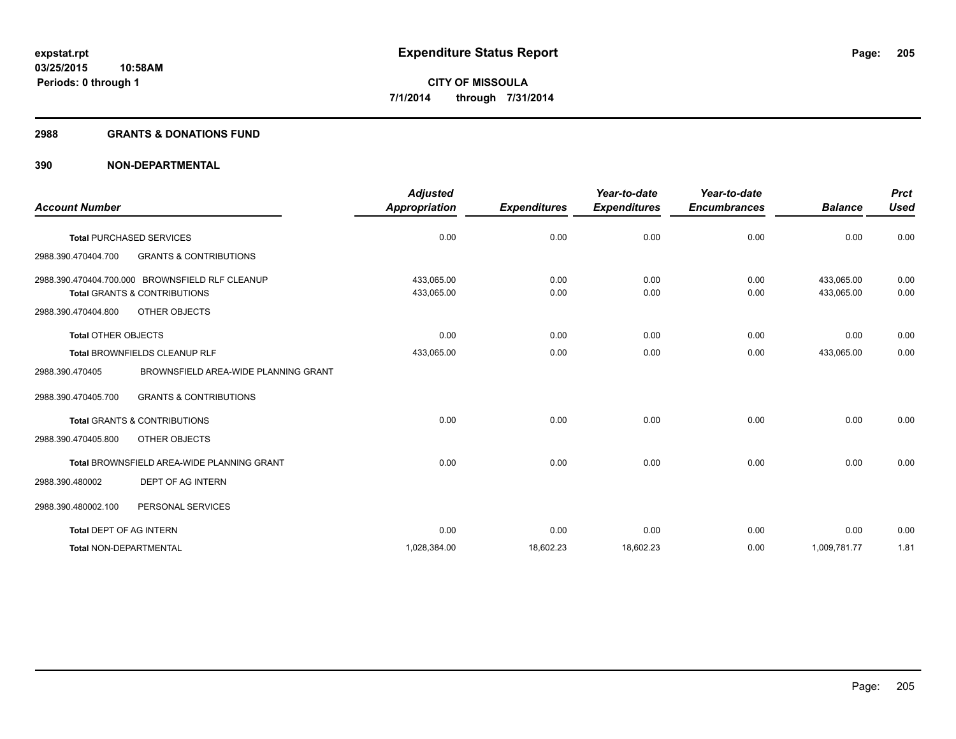#### **2988 GRANTS & DONATIONS FUND**

|                         |                                                   | <b>Adjusted</b>      |                     | Year-to-date        | Year-to-date        |                | <b>Prct</b> |
|-------------------------|---------------------------------------------------|----------------------|---------------------|---------------------|---------------------|----------------|-------------|
| <b>Account Number</b>   |                                                   | <b>Appropriation</b> | <b>Expenditures</b> | <b>Expenditures</b> | <b>Encumbrances</b> | <b>Balance</b> | <b>Used</b> |
|                         | <b>Total PURCHASED SERVICES</b>                   | 0.00                 | 0.00                | 0.00                | 0.00                | 0.00           | 0.00        |
| 2988.390.470404.700     | <b>GRANTS &amp; CONTRIBUTIONS</b>                 |                      |                     |                     |                     |                |             |
|                         | 2988.390.470404.700.000 BROWNSFIELD RLF CLEANUP   | 433.065.00           | 0.00                | 0.00                | 0.00                | 433.065.00     | 0.00        |
|                         | <b>Total GRANTS &amp; CONTRIBUTIONS</b>           | 433,065.00           | 0.00                | 0.00                | 0.00                | 433,065.00     | 0.00        |
| 2988.390.470404.800     | OTHER OBJECTS                                     |                      |                     |                     |                     |                |             |
| Total OTHER OBJECTS     |                                                   | 0.00                 | 0.00                | 0.00                | 0.00                | 0.00           | 0.00        |
|                         | <b>Total BROWNFIELDS CLEANUP RLF</b>              | 433,065.00           | 0.00                | 0.00                | 0.00                | 433,065.00     | 0.00        |
| 2988.390.470405         | BROWNSFIELD AREA-WIDE PLANNING GRANT              |                      |                     |                     |                     |                |             |
| 2988.390.470405.700     | <b>GRANTS &amp; CONTRIBUTIONS</b>                 |                      |                     |                     |                     |                |             |
|                         | <b>Total GRANTS &amp; CONTRIBUTIONS</b>           | 0.00                 | 0.00                | 0.00                | 0.00                | 0.00           | 0.00        |
| 2988.390.470405.800     | OTHER OBJECTS                                     |                      |                     |                     |                     |                |             |
|                         | <b>Total BROWNSFIELD AREA-WIDE PLANNING GRANT</b> | 0.00                 | 0.00                | 0.00                | 0.00                | 0.00           | 0.00        |
| 2988.390.480002         | <b>DEPT OF AG INTERN</b>                          |                      |                     |                     |                     |                |             |
| 2988.390.480002.100     | PERSONAL SERVICES                                 |                      |                     |                     |                     |                |             |
| Total DEPT OF AG INTERN |                                                   | 0.00                 | 0.00                | 0.00                | 0.00                | 0.00           | 0.00        |
| Total NON-DEPARTMENTAL  |                                                   | 1,028,384.00         | 18,602.23           | 18,602.23           | 0.00                | 1,009,781.77   | 1.81        |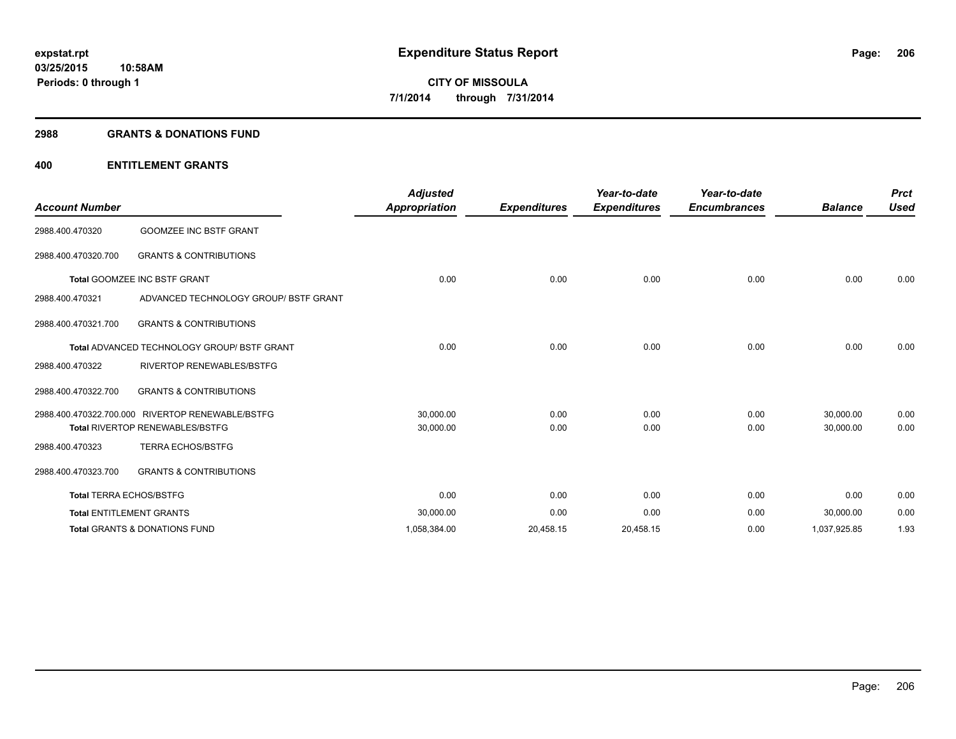#### **2988 GRANTS & DONATIONS FUND**

## **400 ENTITLEMENT GRANTS**

| <b>Account Number</b>   |                                                    | <b>Adjusted</b><br><b>Appropriation</b> | <b>Expenditures</b> | Year-to-date<br><b>Expenditures</b> | Year-to-date<br><b>Encumbrances</b> | <b>Balance</b> | <b>Prct</b><br><b>Used</b> |
|-------------------------|----------------------------------------------------|-----------------------------------------|---------------------|-------------------------------------|-------------------------------------|----------------|----------------------------|
| 2988.400.470320         | <b>GOOMZEE INC BSTF GRANT</b>                      |                                         |                     |                                     |                                     |                |                            |
| 2988.400.470320.700     | <b>GRANTS &amp; CONTRIBUTIONS</b>                  |                                         |                     |                                     |                                     |                |                            |
|                         | <b>Total GOOMZEE INC BSTF GRANT</b>                | 0.00                                    | 0.00                | 0.00                                | 0.00                                | 0.00           | 0.00                       |
| 2988.400.470321         | ADVANCED TECHNOLOGY GROUP/ BSTF GRANT              |                                         |                     |                                     |                                     |                |                            |
| 2988.400.470321.700     | <b>GRANTS &amp; CONTRIBUTIONS</b>                  |                                         |                     |                                     |                                     |                |                            |
|                         | <b>Total ADVANCED TECHNOLOGY GROUP/ BSTF GRANT</b> | 0.00                                    | 0.00                | 0.00                                | 0.00                                | 0.00           | 0.00                       |
| 2988.400.470322         | <b>RIVERTOP RENEWABLES/BSTFG</b>                   |                                         |                     |                                     |                                     |                |                            |
| 2988.400.470322.700     | <b>GRANTS &amp; CONTRIBUTIONS</b>                  |                                         |                     |                                     |                                     |                |                            |
| 2988.400.470322.700.000 | RIVERTOP RENEWABLE/BSTFG                           | 30,000.00                               | 0.00                | 0.00                                | 0.00                                | 30,000.00      | 0.00                       |
|                         | <b>Total RIVERTOP RENEWABLES/BSTFG</b>             | 30,000.00                               | 0.00                | 0.00                                | 0.00                                | 30,000.00      | 0.00                       |
| 2988.400.470323         | <b>TERRA ECHOS/BSTFG</b>                           |                                         |                     |                                     |                                     |                |                            |
| 2988.400.470323.700     | <b>GRANTS &amp; CONTRIBUTIONS</b>                  |                                         |                     |                                     |                                     |                |                            |
|                         | <b>Total TERRA ECHOS/BSTFG</b>                     | 0.00                                    | 0.00                | 0.00                                | 0.00                                | 0.00           | 0.00                       |
|                         | <b>Total ENTITLEMENT GRANTS</b>                    | 30,000.00                               | 0.00                | 0.00                                | 0.00                                | 30,000.00      | 0.00                       |
|                         | <b>Total GRANTS &amp; DONATIONS FUND</b>           | 1,058,384.00                            | 20,458.15           | 20,458.15                           | 0.00                                | 1,037,925.85   | 1.93                       |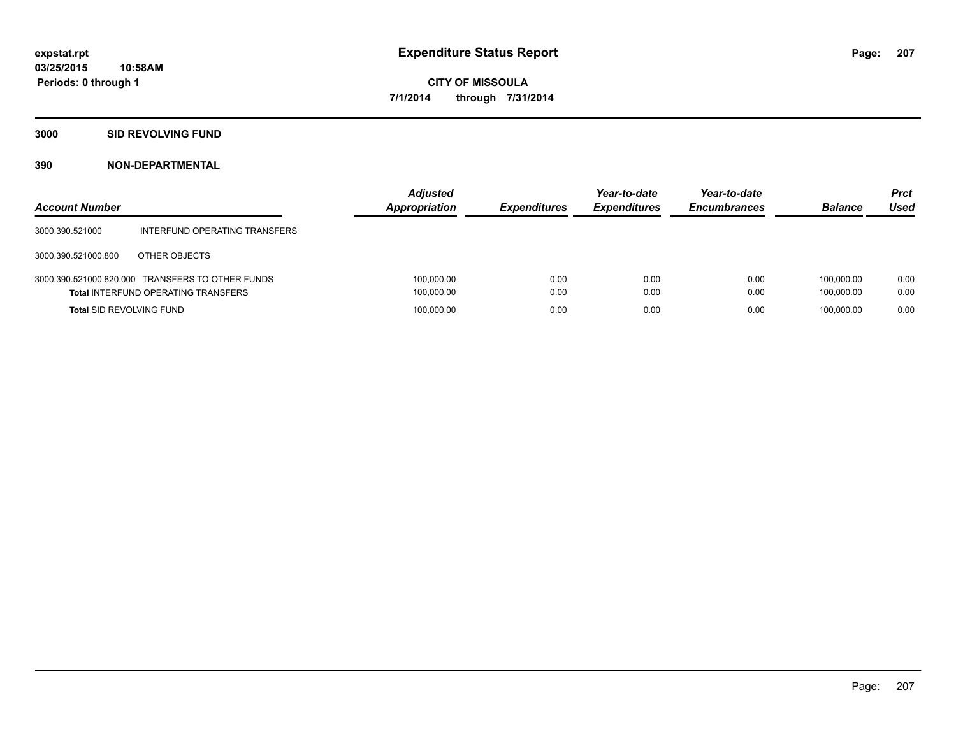## **3000 SID REVOLVING FUND**

| <b>Account Number</b>           |                                                                                                | <b>Adjusted</b><br>Appropriation | <b>Expenditures</b> | Year-to-date<br><b>Expenditures</b> | Year-to-date<br><b>Encumbrances</b> | <b>Balance</b>           | <b>Prct</b><br>Used |
|---------------------------------|------------------------------------------------------------------------------------------------|----------------------------------|---------------------|-------------------------------------|-------------------------------------|--------------------------|---------------------|
| 3000.390.521000                 | INTERFUND OPERATING TRANSFERS                                                                  |                                  |                     |                                     |                                     |                          |                     |
| 3000.390.521000.800             | OTHER OBJECTS                                                                                  |                                  |                     |                                     |                                     |                          |                     |
|                                 | 3000.390.521000.820.000 TRANSFERS TO OTHER FUNDS<br><b>Total INTERFUND OPERATING TRANSFERS</b> | 100,000.00<br>100,000.00         | 0.00<br>0.00        | 0.00<br>0.00                        | 0.00<br>0.00                        | 100.000.00<br>100.000.00 | 0.00<br>0.00        |
| <b>Total SID REVOLVING FUND</b> |                                                                                                | 100,000.00                       | 0.00                | 0.00                                | 0.00                                | 100.000.00               | 0.00                |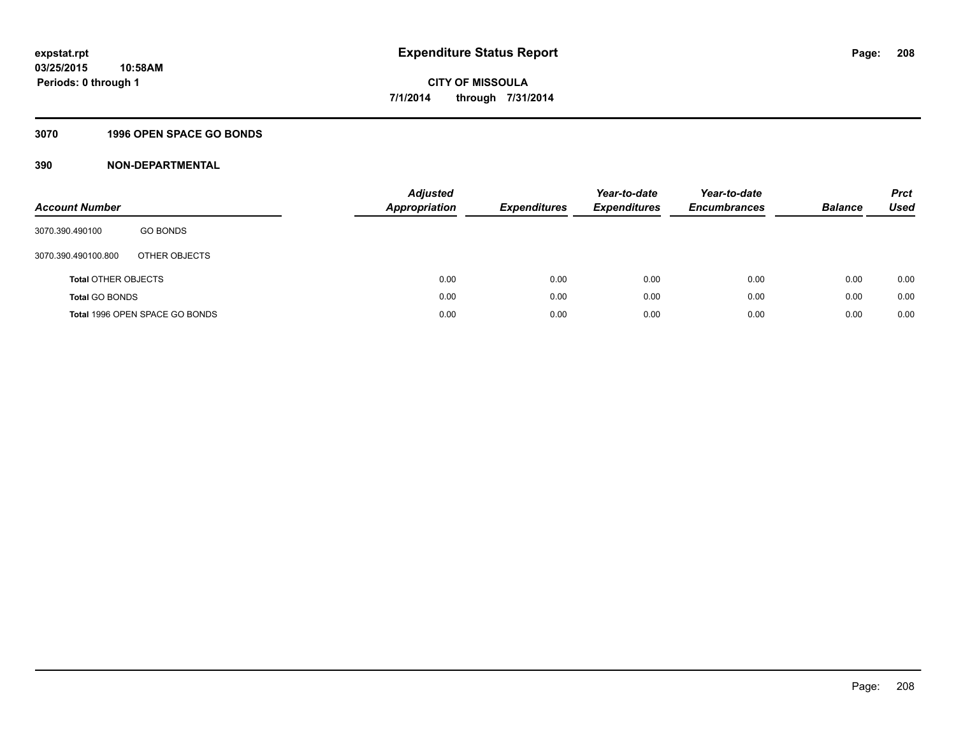## **3070 1996 OPEN SPACE GO BONDS**

| <b>Account Number</b>      |                                | Adjusted<br><b>Appropriation</b> | <b>Expenditures</b> | Year-to-date<br><b>Expenditures</b> | Year-to-date<br><b>Encumbrances</b> | <b>Balance</b> | <b>Prct</b><br>Used |
|----------------------------|--------------------------------|----------------------------------|---------------------|-------------------------------------|-------------------------------------|----------------|---------------------|
| 3070.390.490100            | <b>GO BONDS</b>                |                                  |                     |                                     |                                     |                |                     |
| 3070.390.490100.800        | OTHER OBJECTS                  |                                  |                     |                                     |                                     |                |                     |
| <b>Total OTHER OBJECTS</b> |                                | 0.00                             | 0.00                | 0.00                                | 0.00                                | 0.00           | 0.00                |
| <b>Total GO BONDS</b>      |                                | 0.00                             | 0.00                | 0.00                                | 0.00                                | 0.00           | 0.00                |
|                            | Total 1996 OPEN SPACE GO BONDS | 0.00                             | 0.00                | 0.00                                | 0.00                                | 0.00           | 0.00                |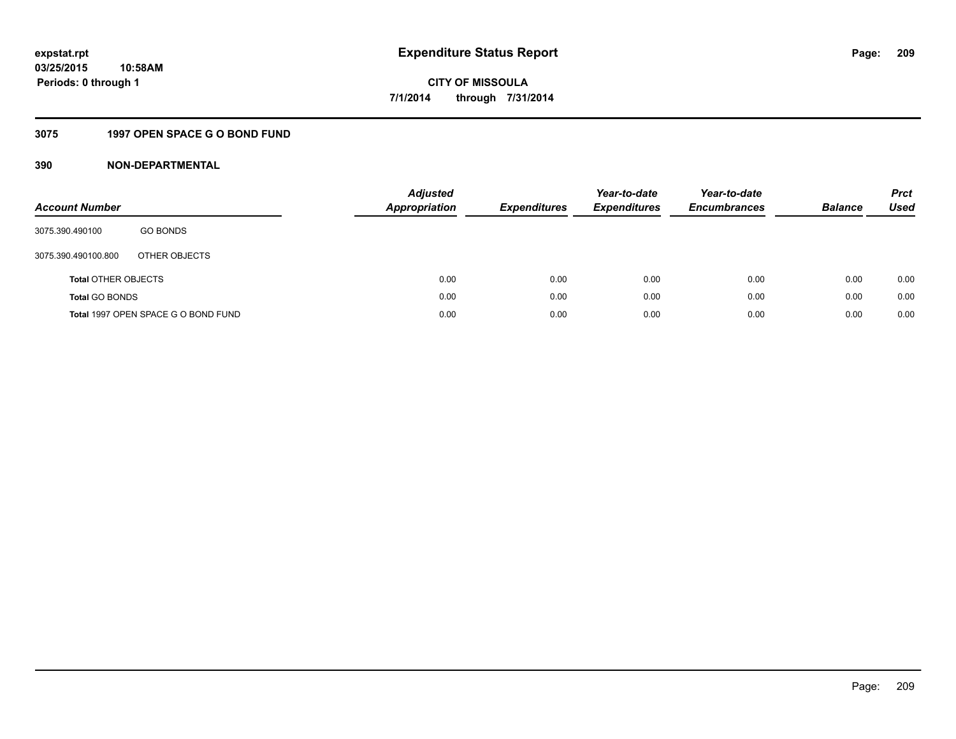## **3075 1997 OPEN SPACE G O BOND FUND**

| <b>Account Number</b>      |                                     | <b>Adjusted</b><br>Appropriation | <b>Expenditures</b> | Year-to-date<br><b>Expenditures</b> | Year-to-date<br><b>Encumbrances</b> | <b>Balance</b> | <b>Prct</b><br>Used |
|----------------------------|-------------------------------------|----------------------------------|---------------------|-------------------------------------|-------------------------------------|----------------|---------------------|
| 3075.390.490100            | <b>GO BONDS</b>                     |                                  |                     |                                     |                                     |                |                     |
| 3075.390.490100.800        | OTHER OBJECTS                       |                                  |                     |                                     |                                     |                |                     |
| <b>Total OTHER OBJECTS</b> |                                     | 0.00                             | 0.00                | 0.00                                | 0.00                                | 0.00           | 0.00                |
| <b>Total GO BONDS</b>      |                                     | 0.00                             | 0.00                | 0.00                                | 0.00                                | 0.00           | 0.00                |
|                            | Total 1997 OPEN SPACE G O BOND FUND | 0.00                             | 0.00                | 0.00                                | 0.00                                | 0.00           | 0.00                |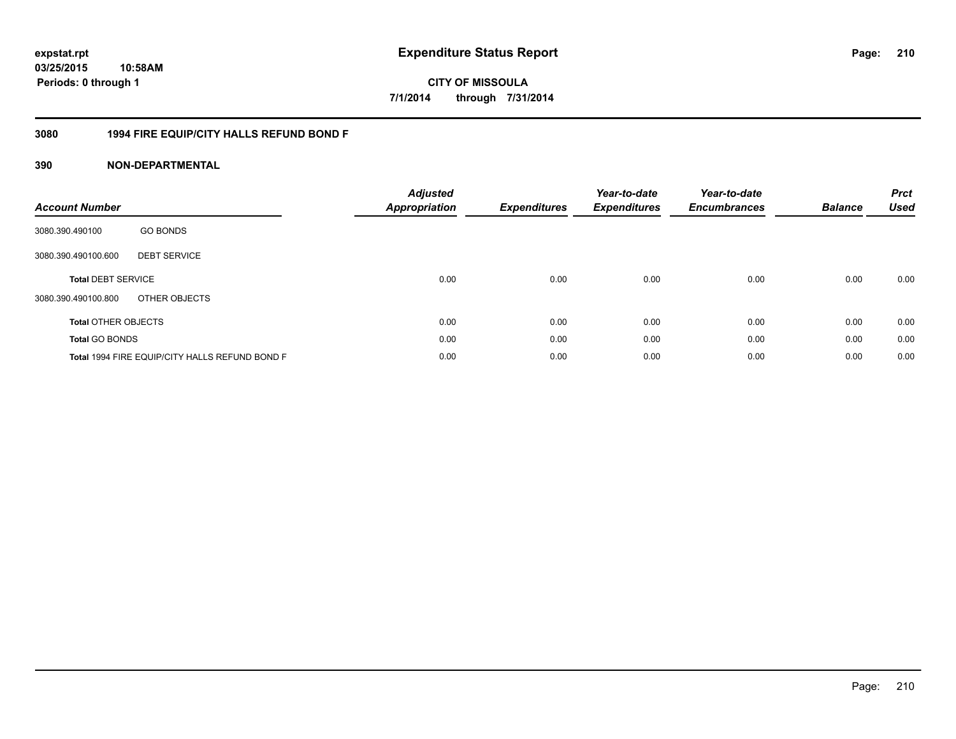# **03/25/2015 10:58AM Periods: 0 through 1**

# **CITY OF MISSOULA 7/1/2014 through 7/31/2014**

## **3080 1994 FIRE EQUIP/CITY HALLS REFUND BOND F**

| <b>Account Number</b>      |                                                | <b>Adjusted</b><br>Appropriation | Expenditures | Year-to-date<br><b>Expenditures</b> | Year-to-date<br><b>Encumbrances</b> | <b>Balance</b> | <b>Prct</b><br><b>Used</b> |
|----------------------------|------------------------------------------------|----------------------------------|--------------|-------------------------------------|-------------------------------------|----------------|----------------------------|
| 3080.390.490100            | <b>GO BONDS</b>                                |                                  |              |                                     |                                     |                |                            |
| 3080.390.490100.600        | <b>DEBT SERVICE</b>                            |                                  |              |                                     |                                     |                |                            |
| <b>Total DEBT SERVICE</b>  |                                                | 0.00                             | 0.00         | 0.00                                | 0.00                                | 0.00           | 0.00                       |
| 3080.390.490100.800        | OTHER OBJECTS                                  |                                  |              |                                     |                                     |                |                            |
| <b>Total OTHER OBJECTS</b> |                                                | 0.00                             | 0.00         | 0.00                                | 0.00                                | 0.00           | 0.00                       |
| <b>Total GO BONDS</b>      |                                                | 0.00                             | 0.00         | 0.00                                | 0.00                                | 0.00           | 0.00                       |
|                            | Total 1994 FIRE EQUIP/CITY HALLS REFUND BOND F | 0.00                             | 0.00         | 0.00                                | 0.00                                | 0.00           | 0.00                       |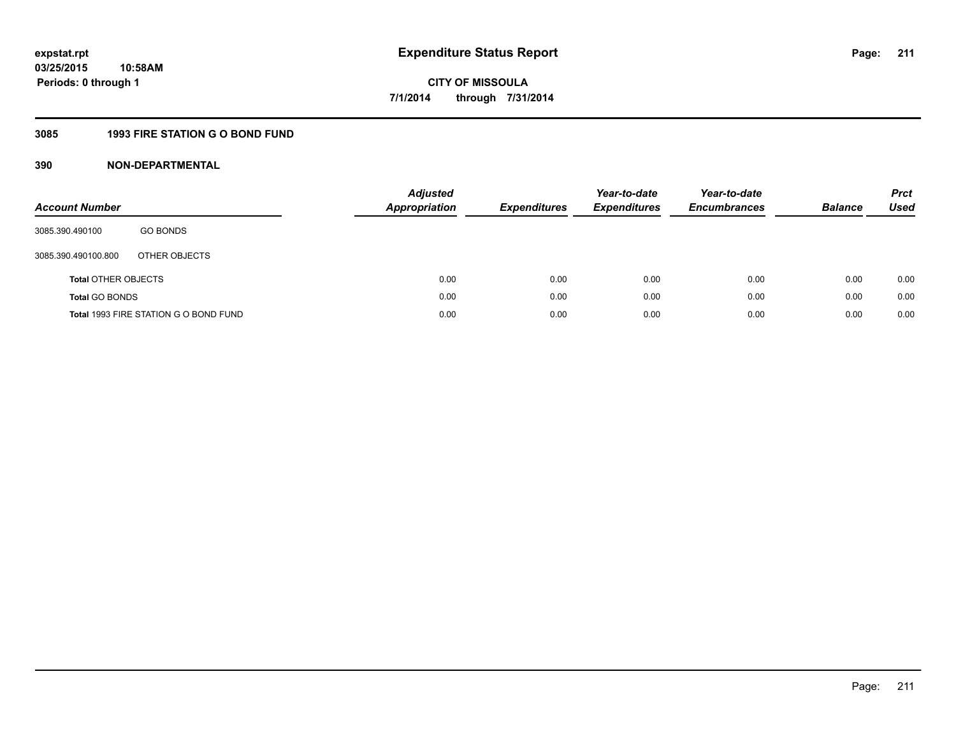## **3085 1993 FIRE STATION G O BOND FUND**

| <b>Account Number</b>      |                                       | <b>Adjusted</b><br><b>Appropriation</b> | <b>Expenditures</b> | Year-to-date<br><b>Expenditures</b> | Year-to-date<br><b>Encumbrances</b> | <b>Balance</b> | <b>Prct</b><br>Used |
|----------------------------|---------------------------------------|-----------------------------------------|---------------------|-------------------------------------|-------------------------------------|----------------|---------------------|
| 3085.390.490100            | <b>GO BONDS</b>                       |                                         |                     |                                     |                                     |                |                     |
| 3085.390.490100.800        | OTHER OBJECTS                         |                                         |                     |                                     |                                     |                |                     |
| <b>Total OTHER OBJECTS</b> |                                       | 0.00                                    | 0.00                | 0.00                                | 0.00                                | 0.00           | 0.00                |
| <b>Total GO BONDS</b>      |                                       | 0.00                                    | 0.00                | 0.00                                | 0.00                                | 0.00           | 0.00                |
|                            | Total 1993 FIRE STATION G O BOND FUND | 0.00                                    | 0.00                | 0.00                                | 0.00                                | 0.00           | 0.00                |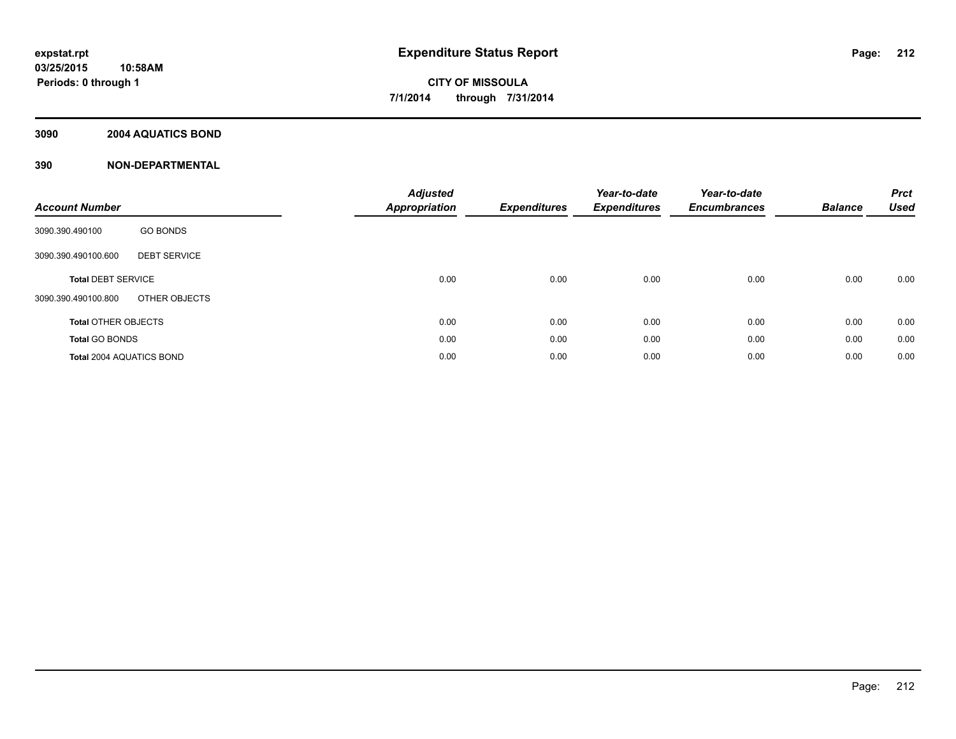## **3090 2004 AQUATICS BOND**

| <b>Account Number</b>                      | <b>Adjusted</b><br><b>Appropriation</b> | <b>Expenditures</b> | Year-to-date<br><b>Expenditures</b> | Year-to-date<br><b>Encumbrances</b> | <b>Balance</b> | <b>Prct</b><br><b>Used</b> |
|--------------------------------------------|-----------------------------------------|---------------------|-------------------------------------|-------------------------------------|----------------|----------------------------|
| <b>GO BONDS</b><br>3090.390.490100         |                                         |                     |                                     |                                     |                |                            |
| <b>DEBT SERVICE</b><br>3090.390.490100.600 |                                         |                     |                                     |                                     |                |                            |
| <b>Total DEBT SERVICE</b>                  | 0.00                                    | 0.00                | 0.00                                | 0.00                                | 0.00           | 0.00                       |
| OTHER OBJECTS<br>3090.390.490100.800       |                                         |                     |                                     |                                     |                |                            |
| <b>Total OTHER OBJECTS</b>                 | 0.00                                    | 0.00                | 0.00                                | 0.00                                | 0.00           | 0.00                       |
| <b>Total GO BONDS</b>                      | 0.00                                    | 0.00                | 0.00                                | 0.00                                | 0.00           | 0.00                       |
| <b>Total 2004 AQUATICS BOND</b>            | 0.00                                    | 0.00                | 0.00                                | 0.00                                | 0.00           | 0.00                       |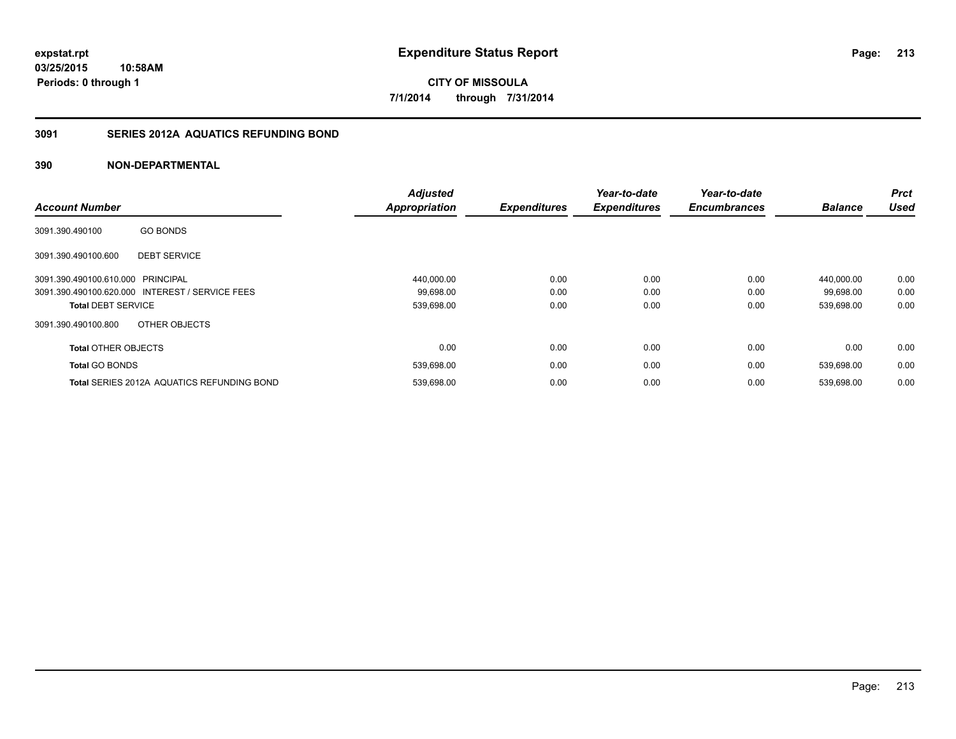## **3091 SERIES 2012A AQUATICS REFUNDING BOND**

| <b>Account Number</b>                             | <b>Adjusted</b><br>Appropriation | <b>Expenditures</b> | Year-to-date<br><b>Expenditures</b> | Year-to-date<br><b>Encumbrances</b> | <b>Balance</b> | <b>Prct</b><br><b>Used</b> |
|---------------------------------------------------|----------------------------------|---------------------|-------------------------------------|-------------------------------------|----------------|----------------------------|
| <b>GO BONDS</b><br>3091.390.490100                |                                  |                     |                                     |                                     |                |                            |
| 3091.390.490100.600<br><b>DEBT SERVICE</b>        |                                  |                     |                                     |                                     |                |                            |
| 3091.390.490100.610.000 PRINCIPAL                 | 440,000.00                       | 0.00                | 0.00                                | 0.00                                | 440.000.00     | 0.00                       |
| 3091.390.490100.620.000 INTEREST / SERVICE FEES   | 99,698.00                        | 0.00                | 0.00                                | 0.00                                | 99.698.00      | 0.00                       |
| <b>Total DEBT SERVICE</b>                         | 539,698.00                       | 0.00                | 0.00                                | 0.00                                | 539,698.00     | 0.00                       |
| OTHER OBJECTS<br>3091.390.490100.800              |                                  |                     |                                     |                                     |                |                            |
| <b>Total OTHER OBJECTS</b>                        | 0.00                             | 0.00                | 0.00                                | 0.00                                | 0.00           | 0.00                       |
| <b>Total GO BONDS</b>                             | 539,698.00                       | 0.00                | 0.00                                | 0.00                                | 539,698.00     | 0.00                       |
| <b>Total SERIES 2012A AQUATICS REFUNDING BOND</b> | 539,698.00                       | 0.00                | 0.00                                | 0.00                                | 539.698.00     | 0.00                       |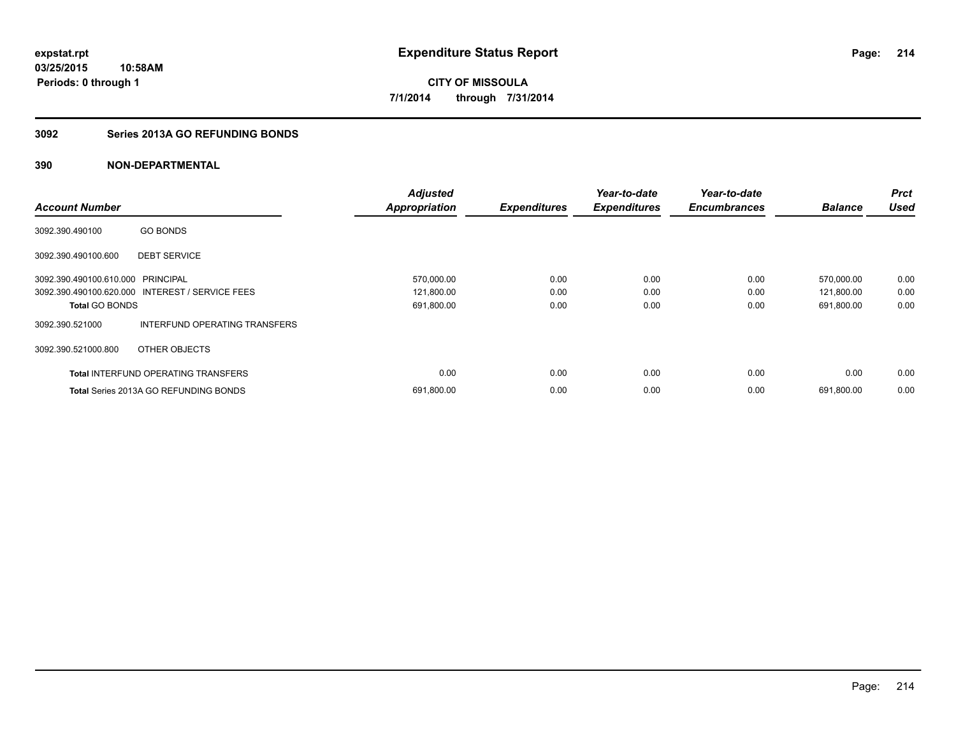## **3092 Series 2013A GO REFUNDING BONDS**

|                                   |                                                 | <b>Adjusted</b>      |                     | Year-to-date        | Year-to-date        |                | <b>Prct</b> |
|-----------------------------------|-------------------------------------------------|----------------------|---------------------|---------------------|---------------------|----------------|-------------|
| <b>Account Number</b>             |                                                 | <b>Appropriation</b> | <b>Expenditures</b> | <b>Expenditures</b> | <b>Encumbrances</b> | <b>Balance</b> | <b>Used</b> |
| 3092.390.490100                   | <b>GO BONDS</b>                                 |                      |                     |                     |                     |                |             |
| 3092.390.490100.600               | <b>DEBT SERVICE</b>                             |                      |                     |                     |                     |                |             |
| 3092.390.490100.610.000 PRINCIPAL |                                                 | 570,000.00           | 0.00                | 0.00                | 0.00                | 570.000.00     | 0.00        |
|                                   | 3092.390.490100.620.000 INTEREST / SERVICE FEES | 121,800.00           | 0.00                | 0.00                | 0.00                | 121,800.00     | 0.00        |
| <b>Total GO BONDS</b>             |                                                 | 691,800.00           | 0.00                | 0.00                | 0.00                | 691,800.00     | 0.00        |
| 3092.390.521000                   | INTERFUND OPERATING TRANSFERS                   |                      |                     |                     |                     |                |             |
| 3092.390.521000.800               | OTHER OBJECTS                                   |                      |                     |                     |                     |                |             |
|                                   | <b>Total INTERFUND OPERATING TRANSFERS</b>      | 0.00                 | 0.00                | 0.00                | 0.00                | 0.00           | 0.00        |
|                                   | <b>Total Series 2013A GO REFUNDING BONDS</b>    | 691,800.00           | 0.00                | 0.00                | 0.00                | 691,800.00     | 0.00        |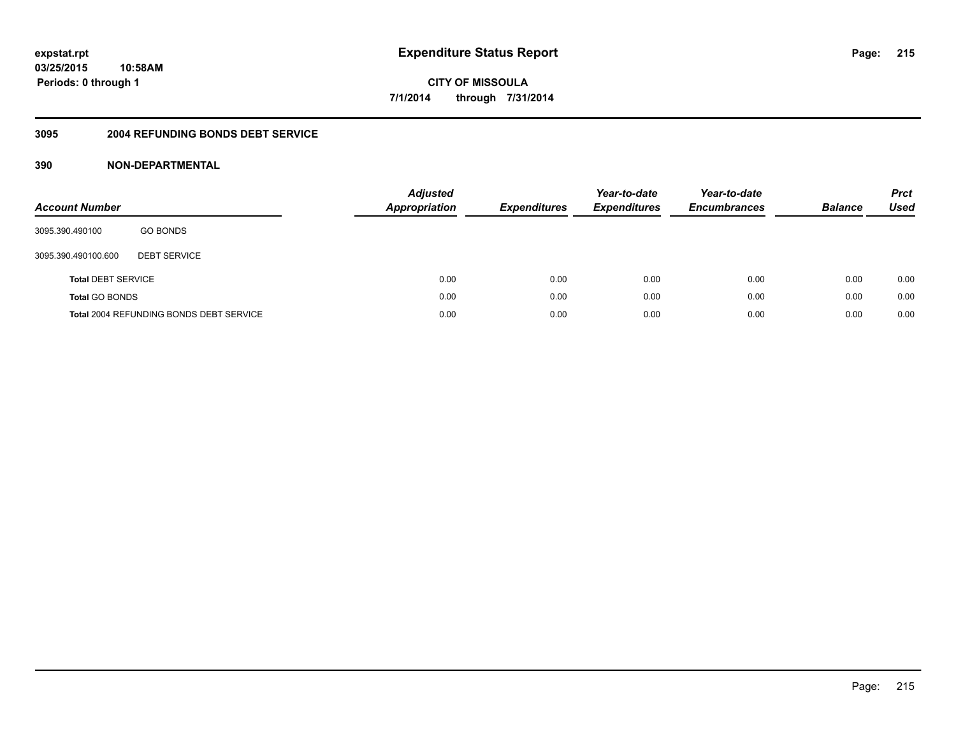## **3095 2004 REFUNDING BONDS DEBT SERVICE**

| <b>Account Number</b>     |                                                | <b>Adjusted</b><br><b>Appropriation</b> | <b>Expenditures</b> | Year-to-date<br><b>Expenditures</b> | Year-to-date<br><b>Encumbrances</b> | <b>Balance</b> | <b>Prct</b><br><b>Used</b> |
|---------------------------|------------------------------------------------|-----------------------------------------|---------------------|-------------------------------------|-------------------------------------|----------------|----------------------------|
| 3095.390.490100           | <b>GO BONDS</b>                                |                                         |                     |                                     |                                     |                |                            |
| 3095.390.490100.600       | <b>DEBT SERVICE</b>                            |                                         |                     |                                     |                                     |                |                            |
| <b>Total DEBT SERVICE</b> |                                                | 0.00                                    | 0.00                | 0.00                                | 0.00                                | 0.00           | 0.00                       |
| <b>Total GO BONDS</b>     |                                                | 0.00                                    | 0.00                | 0.00                                | 0.00                                | 0.00           | 0.00                       |
|                           | <b>Total 2004 REFUNDING BONDS DEBT SERVICE</b> | 0.00                                    | 0.00                | 0.00                                | 0.00                                | 0.00           | 0.00                       |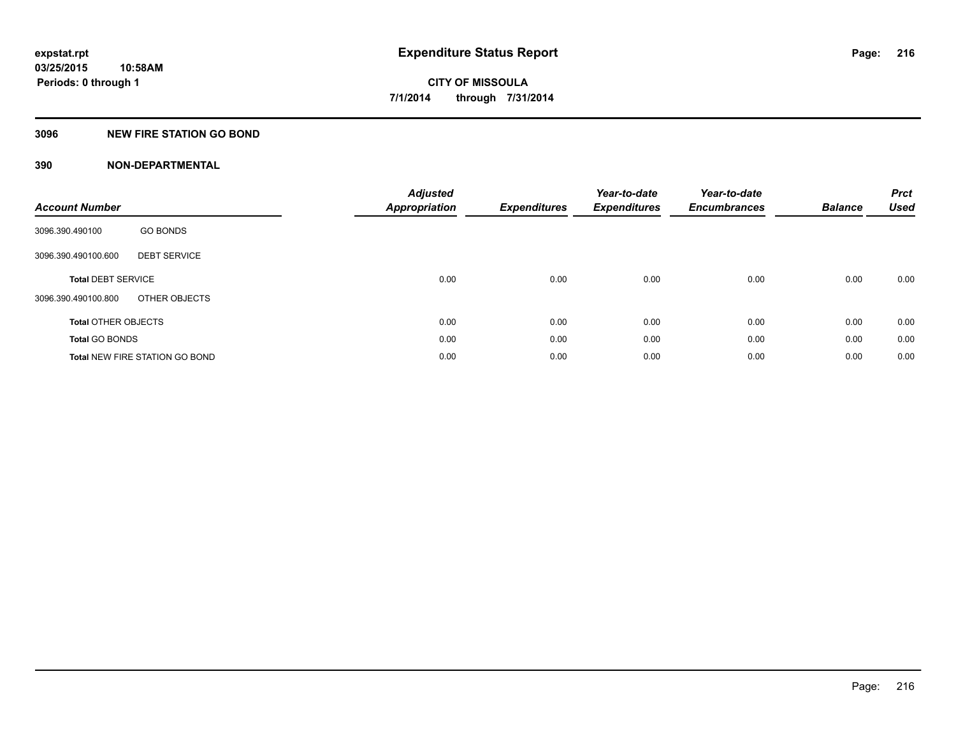## **3096 NEW FIRE STATION GO BOND**

| <b>Account Number</b>                      | <b>Adjusted</b><br><b>Appropriation</b> | <b>Expenditures</b> | Year-to-date<br><b>Expenditures</b> | Year-to-date<br><b>Encumbrances</b> | <b>Balance</b> | <b>Prct</b><br><b>Used</b> |
|--------------------------------------------|-----------------------------------------|---------------------|-------------------------------------|-------------------------------------|----------------|----------------------------|
| <b>GO BONDS</b><br>3096.390.490100         |                                         |                     |                                     |                                     |                |                            |
| <b>DEBT SERVICE</b><br>3096.390.490100.600 |                                         |                     |                                     |                                     |                |                            |
| <b>Total DEBT SERVICE</b>                  | 0.00                                    | 0.00                | 0.00                                | 0.00                                | 0.00           | 0.00                       |
| OTHER OBJECTS<br>3096.390.490100.800       |                                         |                     |                                     |                                     |                |                            |
| <b>Total OTHER OBJECTS</b>                 | 0.00                                    | 0.00                | 0.00                                | 0.00                                | 0.00           | 0.00                       |
| <b>Total GO BONDS</b>                      | 0.00                                    | 0.00                | 0.00                                | 0.00                                | 0.00           | 0.00                       |
| <b>Total NEW FIRE STATION GO BOND</b>      | 0.00                                    | 0.00                | 0.00                                | 0.00                                | 0.00           | 0.00                       |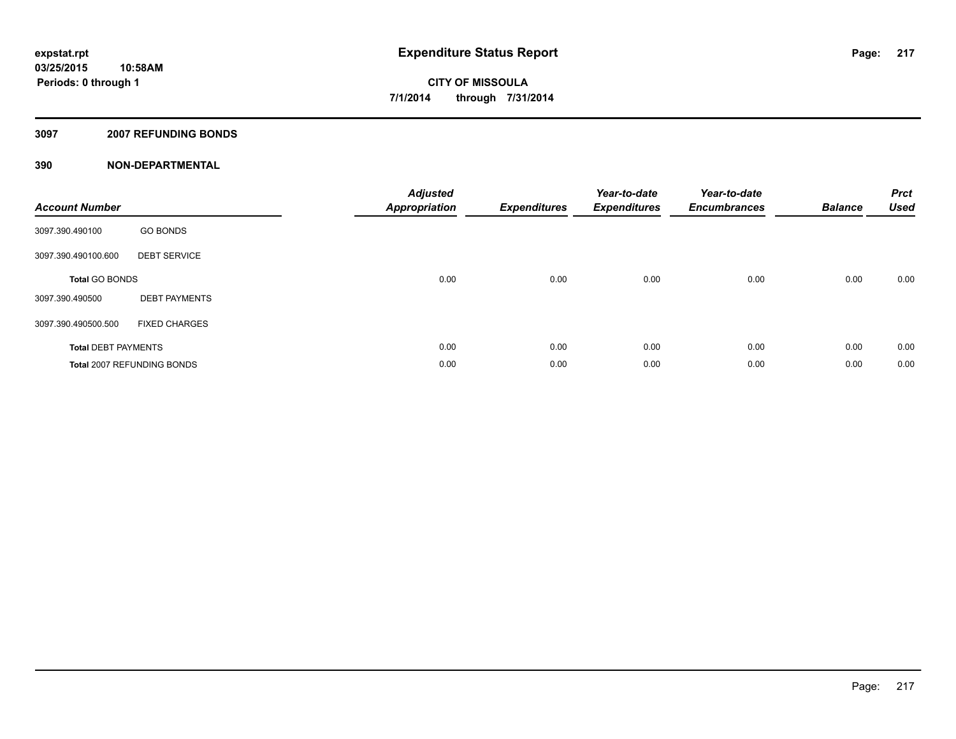### **3097 2007 REFUNDING BONDS**

| <b>Account Number</b>      |                            | <b>Adjusted</b><br><b>Appropriation</b> | <b>Expenditures</b> | Year-to-date<br><b>Expenditures</b> | Year-to-date<br><b>Encumbrances</b> | <b>Balance</b> | <b>Prct</b><br><b>Used</b> |
|----------------------------|----------------------------|-----------------------------------------|---------------------|-------------------------------------|-------------------------------------|----------------|----------------------------|
| 3097.390.490100            | <b>GO BONDS</b>            |                                         |                     |                                     |                                     |                |                            |
| 3097.390.490100.600        | <b>DEBT SERVICE</b>        |                                         |                     |                                     |                                     |                |                            |
| <b>Total GO BONDS</b>      |                            | 0.00                                    | 0.00                | 0.00                                | 0.00                                | 0.00           | 0.00                       |
| 3097.390.490500            | <b>DEBT PAYMENTS</b>       |                                         |                     |                                     |                                     |                |                            |
| 3097.390.490500.500        | <b>FIXED CHARGES</b>       |                                         |                     |                                     |                                     |                |                            |
| <b>Total DEBT PAYMENTS</b> |                            | 0.00                                    | 0.00                | 0.00                                | 0.00                                | 0.00           | 0.00                       |
|                            | Total 2007 REFUNDING BONDS | 0.00                                    | 0.00                | 0.00                                | 0.00                                | 0.00           | 0.00                       |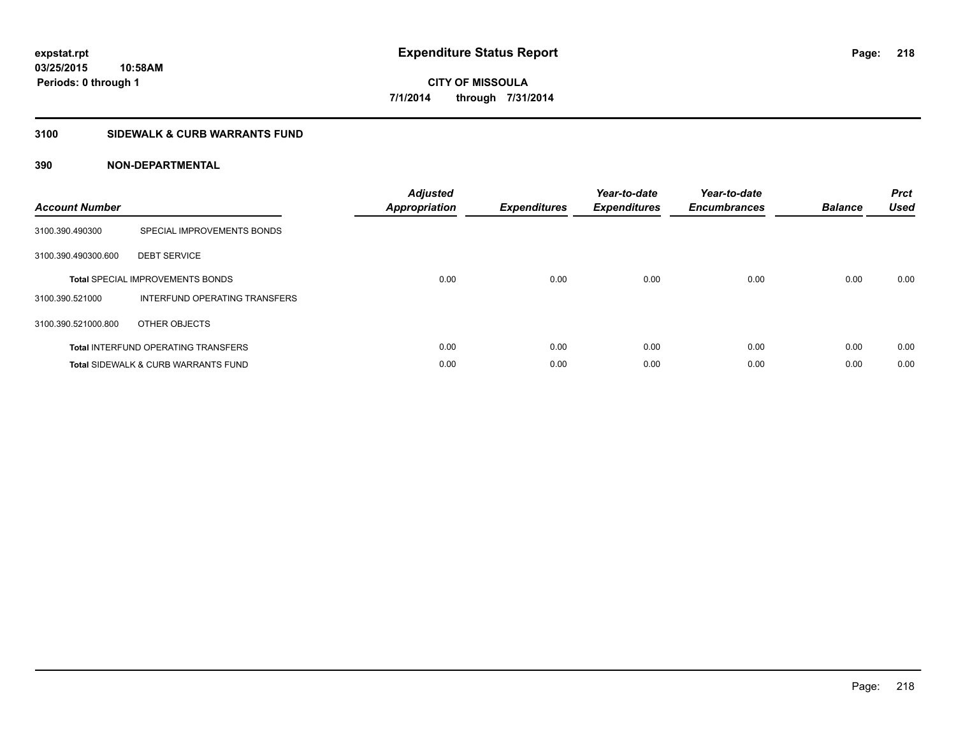## **3100 SIDEWALK & CURB WARRANTS FUND**

| <b>Account Number</b> |                                                | <b>Adjusted</b><br><b>Appropriation</b> | Expenditures | Year-to-date<br><b>Expenditures</b> | Year-to-date<br><b>Encumbrances</b> | <b>Balance</b> | <b>Prct</b><br><b>Used</b> |
|-----------------------|------------------------------------------------|-----------------------------------------|--------------|-------------------------------------|-------------------------------------|----------------|----------------------------|
| 3100.390.490300       | SPECIAL IMPROVEMENTS BONDS                     |                                         |              |                                     |                                     |                |                            |
| 3100.390.490300.600   | <b>DEBT SERVICE</b>                            |                                         |              |                                     |                                     |                |                            |
|                       | <b>Total SPECIAL IMPROVEMENTS BONDS</b>        | 0.00                                    | 0.00         | 0.00                                | 0.00                                | 0.00           | 0.00                       |
| 3100.390.521000       | INTERFUND OPERATING TRANSFERS                  |                                         |              |                                     |                                     |                |                            |
| 3100.390.521000.800   | OTHER OBJECTS                                  |                                         |              |                                     |                                     |                |                            |
|                       | <b>Total INTERFUND OPERATING TRANSFERS</b>     | 0.00                                    | 0.00         | 0.00                                | 0.00                                | 0.00           | 0.00                       |
|                       | <b>Total SIDEWALK &amp; CURB WARRANTS FUND</b> | 0.00                                    | 0.00         | 0.00                                | 0.00                                | 0.00           | 0.00                       |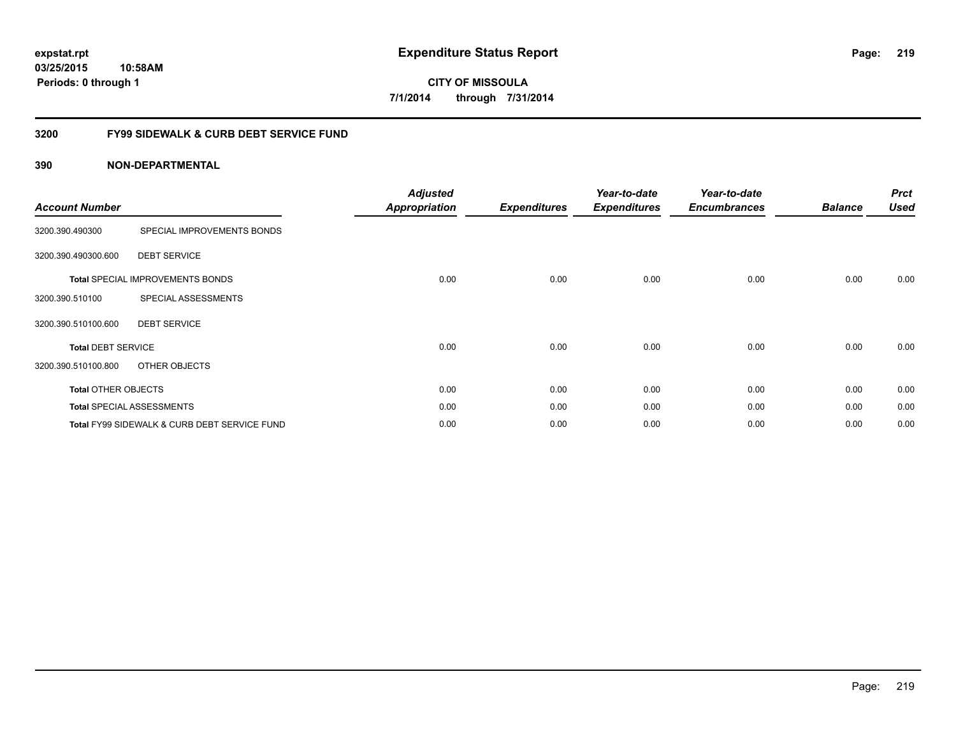## **03/25/2015 10:58AM Periods: 0 through 1**

**CITY OF MISSOULA 7/1/2014 through 7/31/2014**

## **3200 FY99 SIDEWALK & CURB DEBT SERVICE FUND**

| <b>Account Number</b>      |                                              | <b>Adjusted</b><br><b>Appropriation</b> | <b>Expenditures</b> | Year-to-date<br><b>Expenditures</b> | Year-to-date<br><b>Encumbrances</b> | <b>Balance</b> | <b>Prct</b><br><b>Used</b> |
|----------------------------|----------------------------------------------|-----------------------------------------|---------------------|-------------------------------------|-------------------------------------|----------------|----------------------------|
| 3200.390.490300            | SPECIAL IMPROVEMENTS BONDS                   |                                         |                     |                                     |                                     |                |                            |
| 3200.390.490300.600        | <b>DEBT SERVICE</b>                          |                                         |                     |                                     |                                     |                |                            |
|                            | <b>Total SPECIAL IMPROVEMENTS BONDS</b>      | 0.00                                    | 0.00                | 0.00                                | 0.00                                | 0.00           | 0.00                       |
| 3200.390.510100            | SPECIAL ASSESSMENTS                          |                                         |                     |                                     |                                     |                |                            |
| 3200.390.510100.600        | <b>DEBT SERVICE</b>                          |                                         |                     |                                     |                                     |                |                            |
| <b>Total DEBT SERVICE</b>  |                                              | 0.00                                    | 0.00                | 0.00                                | 0.00                                | 0.00           | 0.00                       |
| 3200.390.510100.800        | OTHER OBJECTS                                |                                         |                     |                                     |                                     |                |                            |
| <b>Total OTHER OBJECTS</b> |                                              | 0.00                                    | 0.00                | 0.00                                | 0.00                                | 0.00           | 0.00                       |
|                            | <b>Total SPECIAL ASSESSMENTS</b>             | 0.00                                    | 0.00                | 0.00                                | 0.00                                | 0.00           | 0.00                       |
|                            | Total FY99 SIDEWALK & CURB DEBT SERVICE FUND | 0.00                                    | 0.00                | 0.00                                | 0.00                                | 0.00           | 0.00                       |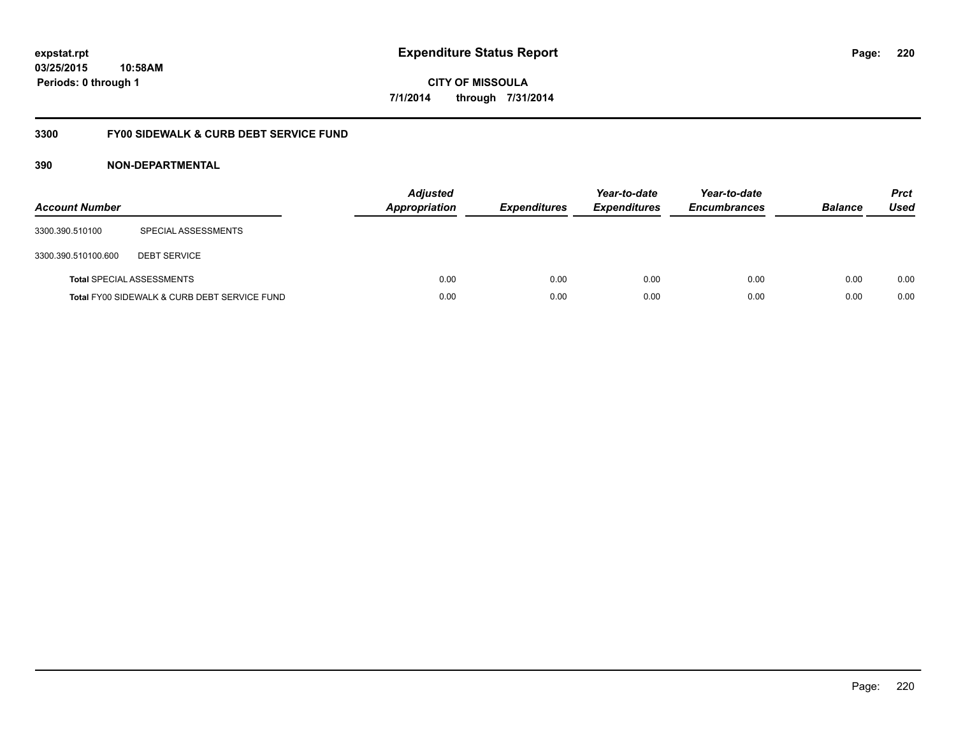## **03/25/2015 10:58AM Periods: 0 through 1**

**CITY OF MISSOULA 7/1/2014 through 7/31/2014**

## **3300 FY00 SIDEWALK & CURB DEBT SERVICE FUND**

| <b>Account Number</b> |                                              | <b>Adjusted</b><br><b>Appropriation</b> | <b>Expenditures</b> | Year-to-date<br><b>Expenditures</b> | Year-to-date<br><b>Encumbrances</b> | <b>Balance</b> | <b>Prct</b><br>Used |
|-----------------------|----------------------------------------------|-----------------------------------------|---------------------|-------------------------------------|-------------------------------------|----------------|---------------------|
| 3300.390.510100       | SPECIAL ASSESSMENTS                          |                                         |                     |                                     |                                     |                |                     |
| 3300.390.510100.600   | <b>DEBT SERVICE</b>                          |                                         |                     |                                     |                                     |                |                     |
|                       | <b>Total SPECIAL ASSESSMENTS</b>             | 0.00                                    | 0.00                | 0.00                                | 0.00                                | 0.00           | 0.00                |
|                       | Total FY00 SIDEWALK & CURB DEBT SERVICE FUND | 0.00                                    | 0.00                | 0.00                                | 0.00                                | 0.00           | 0.00                |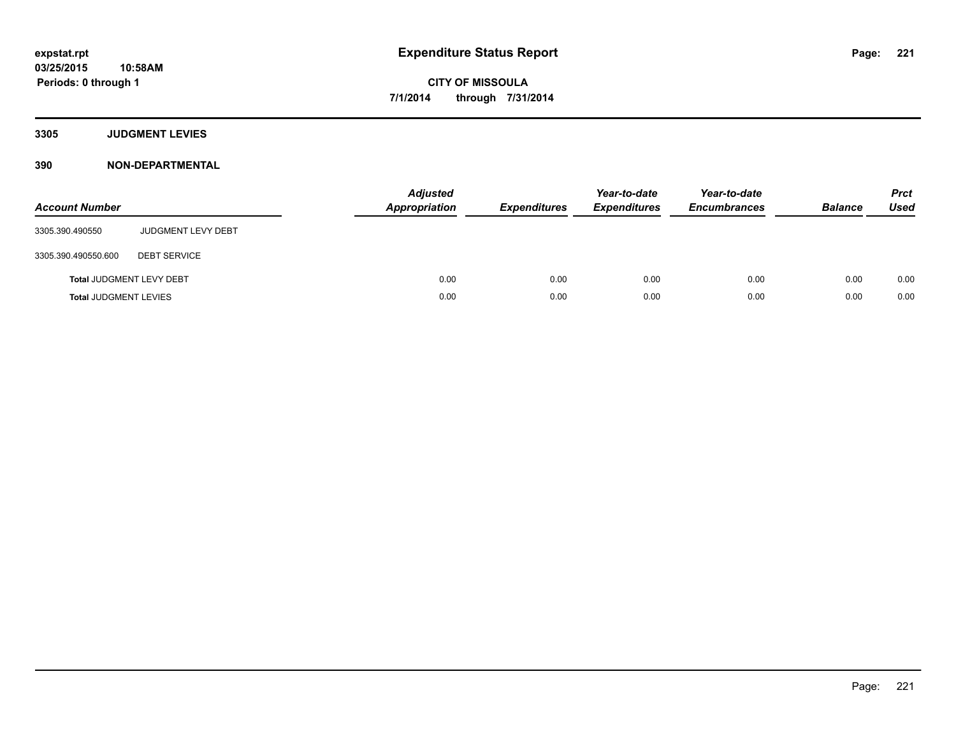## **3305 JUDGMENT LEVIES**

| <b>Account Number</b>           |                           | <b>Adjusted</b><br><b>Appropriation</b> | <b>Expenditures</b> | Year-to-date<br><b>Expenditures</b> | Year-to-date<br><b>Encumbrances</b> | <b>Balance</b> | <b>Prct</b><br><b>Used</b> |
|---------------------------------|---------------------------|-----------------------------------------|---------------------|-------------------------------------|-------------------------------------|----------------|----------------------------|
| 3305.390.490550                 | <b>JUDGMENT LEVY DEBT</b> |                                         |                     |                                     |                                     |                |                            |
| 3305.390.490550.600             | <b>DEBT SERVICE</b>       |                                         |                     |                                     |                                     |                |                            |
| <b>Total JUDGMENT LEVY DEBT</b> |                           | 0.00                                    | 0.00                | 0.00                                | 0.00                                | 0.00           | 0.00                       |
| <b>Total JUDGMENT LEVIES</b>    |                           | 0.00                                    | 0.00                | 0.00                                | 0.00                                | 0.00           | 0.00                       |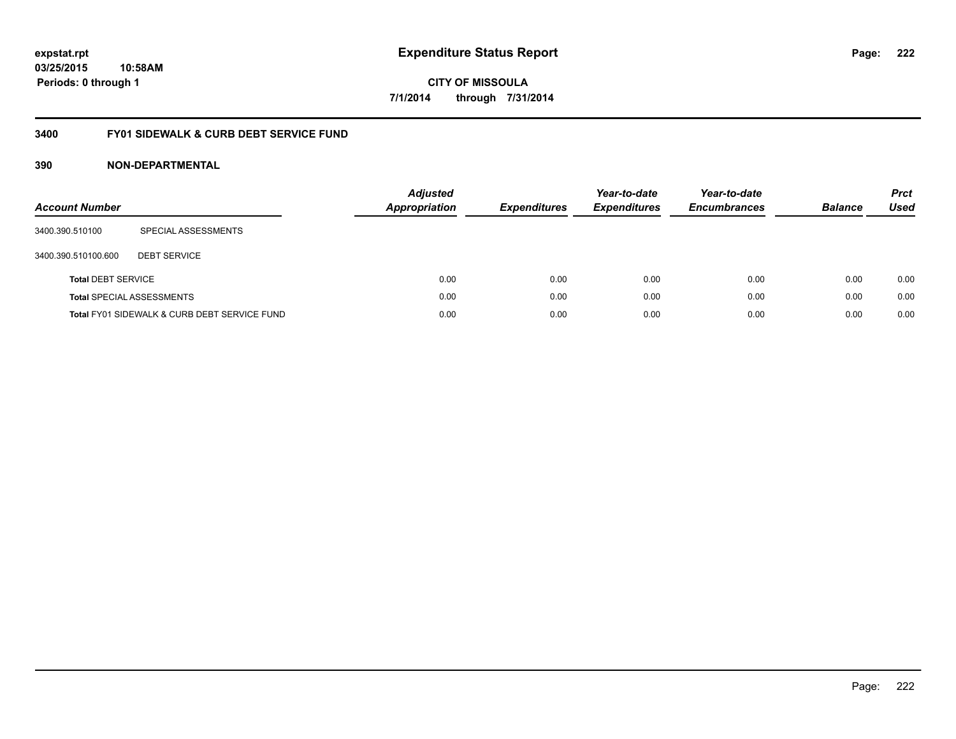## **03/25/2015 10:58AM Periods: 0 through 1**

**CITY OF MISSOULA 7/1/2014 through 7/31/2014**

## **3400 FY01 SIDEWALK & CURB DEBT SERVICE FUND**

| <b>Account Number</b>     |                                              | <b>Adjusted</b><br>Appropriation | <b>Expenditures</b> | Year-to-date<br><b>Expenditures</b> | Year-to-date<br><b>Encumbrances</b> | <b>Balance</b> | <b>Prct</b><br><b>Used</b> |
|---------------------------|----------------------------------------------|----------------------------------|---------------------|-------------------------------------|-------------------------------------|----------------|----------------------------|
| 3400.390.510100           | SPECIAL ASSESSMENTS                          |                                  |                     |                                     |                                     |                |                            |
| 3400.390.510100.600       | <b>DEBT SERVICE</b>                          |                                  |                     |                                     |                                     |                |                            |
| <b>Total DEBT SERVICE</b> |                                              | 0.00                             | 0.00                | 0.00                                | 0.00                                | 0.00           | 0.00                       |
|                           | <b>Total SPECIAL ASSESSMENTS</b>             | 0.00                             | 0.00                | 0.00                                | 0.00                                | 0.00           | 0.00                       |
|                           | Total FY01 SIDEWALK & CURB DEBT SERVICE FUND | 0.00                             | 0.00                | 0.00                                | 0.00                                | 0.00           | 0.00                       |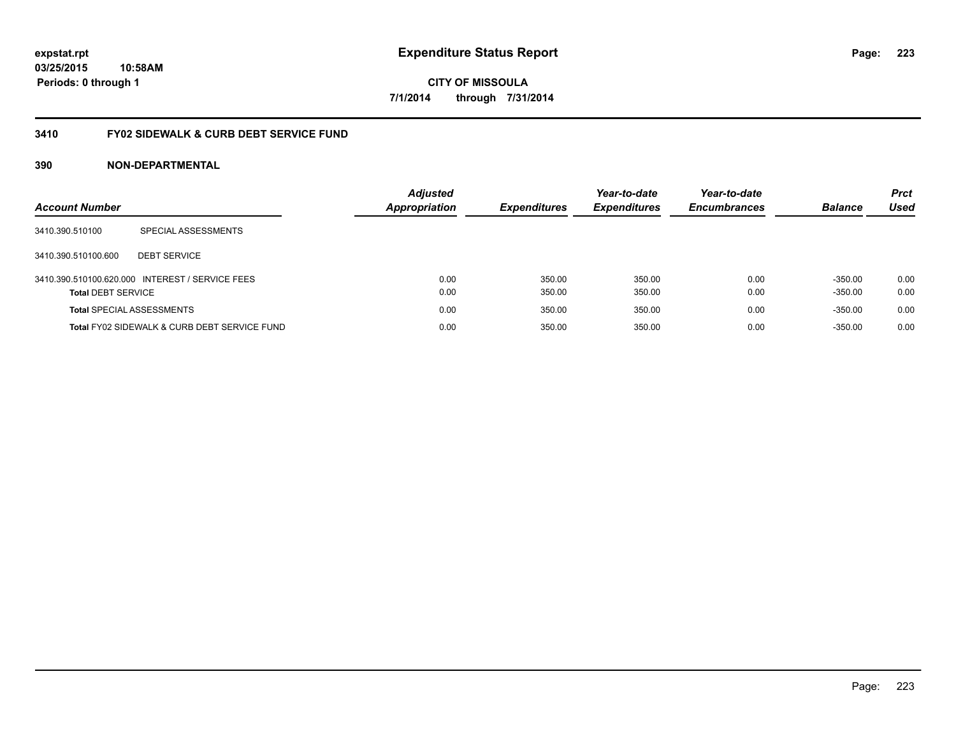## **03/25/2015 10:58AM Periods: 0 through 1**

**CITY OF MISSOULA 7/1/2014 through 7/31/2014**

## **3410 FY02 SIDEWALK & CURB DEBT SERVICE FUND**

| <b>Account Number</b>            |                                                 | <b>Adjusted</b><br><b>Appropriation</b> | <b>Expenditures</b> | Year-to-date<br><b>Expenditures</b> | Year-to-date<br><b>Encumbrances</b> | <b>Balance</b> | <b>Prct</b><br>Used |
|----------------------------------|-------------------------------------------------|-----------------------------------------|---------------------|-------------------------------------|-------------------------------------|----------------|---------------------|
| 3410.390.510100                  | SPECIAL ASSESSMENTS                             |                                         |                     |                                     |                                     |                |                     |
| 3410.390.510100.600              | <b>DEBT SERVICE</b>                             |                                         |                     |                                     |                                     |                |                     |
|                                  | 3410.390.510100.620.000 INTEREST / SERVICE FEES | 0.00                                    | 350.00              | 350.00                              | 0.00                                | $-350.00$      | 0.00                |
| <b>Total DEBT SERVICE</b>        |                                                 | 0.00                                    | 350.00              | 350.00                              | 0.00                                | $-350.00$      | 0.00                |
| <b>Total SPECIAL ASSESSMENTS</b> |                                                 | 0.00                                    | 350.00              | 350.00                              | 0.00                                | $-350.00$      | 0.00                |
|                                  | Total FY02 SIDEWALK & CURB DEBT SERVICE FUND    | 0.00                                    | 350.00              | 350.00                              | 0.00                                | $-350.00$      | 0.00                |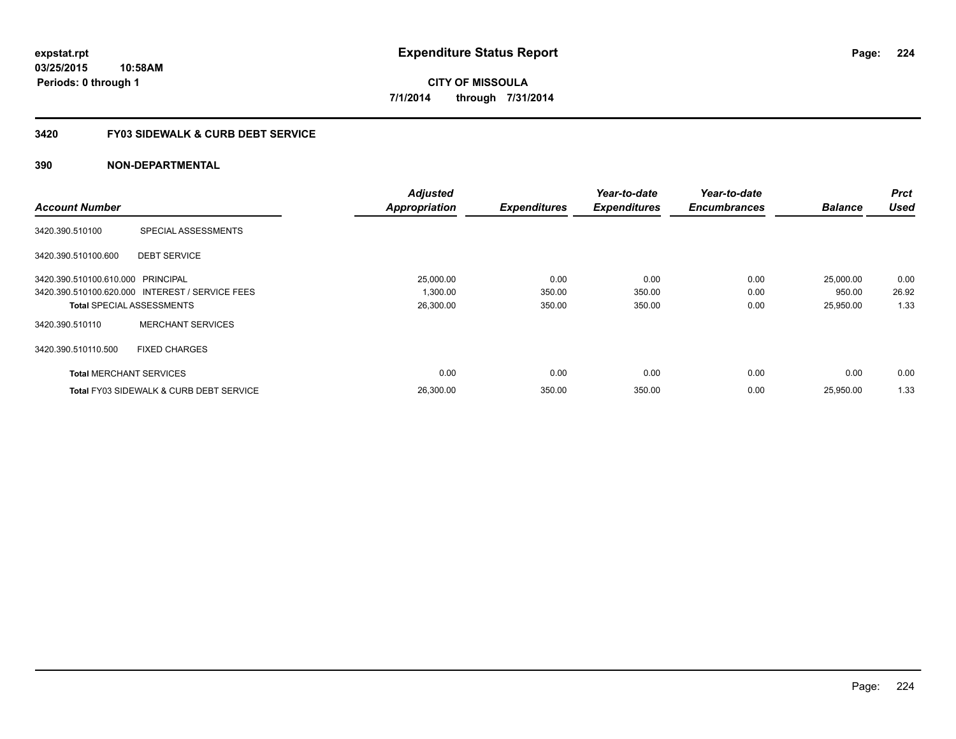## **3420 FY03 SIDEWALK & CURB DEBT SERVICE**

|                                   |                                                    | <b>Adjusted</b>      |                     | Year-to-date        | Year-to-date        |                | <b>Prct</b> |
|-----------------------------------|----------------------------------------------------|----------------------|---------------------|---------------------|---------------------|----------------|-------------|
| <b>Account Number</b>             |                                                    | <b>Appropriation</b> | <b>Expenditures</b> | <b>Expenditures</b> | <b>Encumbrances</b> | <b>Balance</b> | <b>Used</b> |
| 3420.390.510100                   | SPECIAL ASSESSMENTS                                |                      |                     |                     |                     |                |             |
| 3420.390.510100.600               | <b>DEBT SERVICE</b>                                |                      |                     |                     |                     |                |             |
| 3420.390.510100.610.000 PRINCIPAL |                                                    | 25,000.00            | 0.00                | 0.00                | 0.00                | 25,000.00      | 0.00        |
|                                   | 3420.390.510100.620.000 INTEREST / SERVICE FEES    | 1,300.00             | 350.00              | 350.00              | 0.00                | 950.00         | 26.92       |
|                                   | <b>Total SPECIAL ASSESSMENTS</b>                   | 26,300.00            | 350.00              | 350.00              | 0.00                | 25,950.00      | 1.33        |
| 3420.390.510110                   | <b>MERCHANT SERVICES</b>                           |                      |                     |                     |                     |                |             |
| 3420.390.510110.500               | <b>FIXED CHARGES</b>                               |                      |                     |                     |                     |                |             |
| <b>Total MERCHANT SERVICES</b>    |                                                    | 0.00                 | 0.00                | 0.00                | 0.00                | 0.00           | 0.00        |
|                                   | <b>Total FY03 SIDEWALK &amp; CURB DEBT SERVICE</b> | 26,300.00            | 350.00              | 350.00              | 0.00                | 25,950.00      | 1.33        |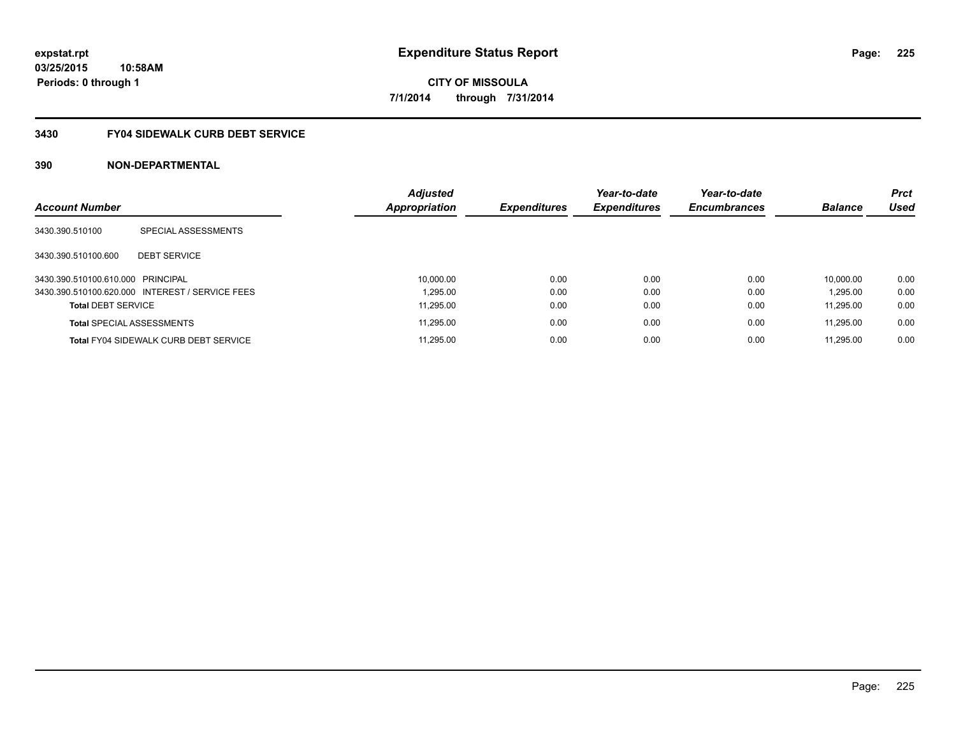## **3430 FY04 SIDEWALK CURB DEBT SERVICE**

| <b>Account Number</b>             |                                                 | <b>Adjusted</b><br>Appropriation | <b>Expenditures</b> | Year-to-date<br><b>Expenditures</b> | Year-to-date<br><b>Encumbrances</b> | <b>Balance</b> | <b>Prct</b><br><b>Used</b> |
|-----------------------------------|-------------------------------------------------|----------------------------------|---------------------|-------------------------------------|-------------------------------------|----------------|----------------------------|
|                                   |                                                 |                                  |                     |                                     |                                     |                |                            |
| 3430.390.510100                   | SPECIAL ASSESSMENTS                             |                                  |                     |                                     |                                     |                |                            |
| 3430.390.510100.600               | <b>DEBT SERVICE</b>                             |                                  |                     |                                     |                                     |                |                            |
| 3430.390.510100.610.000 PRINCIPAL |                                                 | 10,000.00                        | 0.00                | 0.00                                | 0.00                                | 10.000.00      | 0.00                       |
|                                   | 3430.390.510100.620.000 INTEREST / SERVICE FEES | 1.295.00                         | 0.00                | 0.00                                | 0.00                                | 1.295.00       | 0.00                       |
| <b>Total DEBT SERVICE</b>         |                                                 | 11.295.00                        | 0.00                | 0.00                                | 0.00                                | 11.295.00      | 0.00                       |
|                                   | <b>Total SPECIAL ASSESSMENTS</b>                | 11,295.00                        | 0.00                | 0.00                                | 0.00                                | 11.295.00      | 0.00                       |
|                                   | <b>Total FY04 SIDEWALK CURB DEBT SERVICE</b>    | 11.295.00                        | 0.00                | 0.00                                | 0.00                                | 11.295.00      | 0.00                       |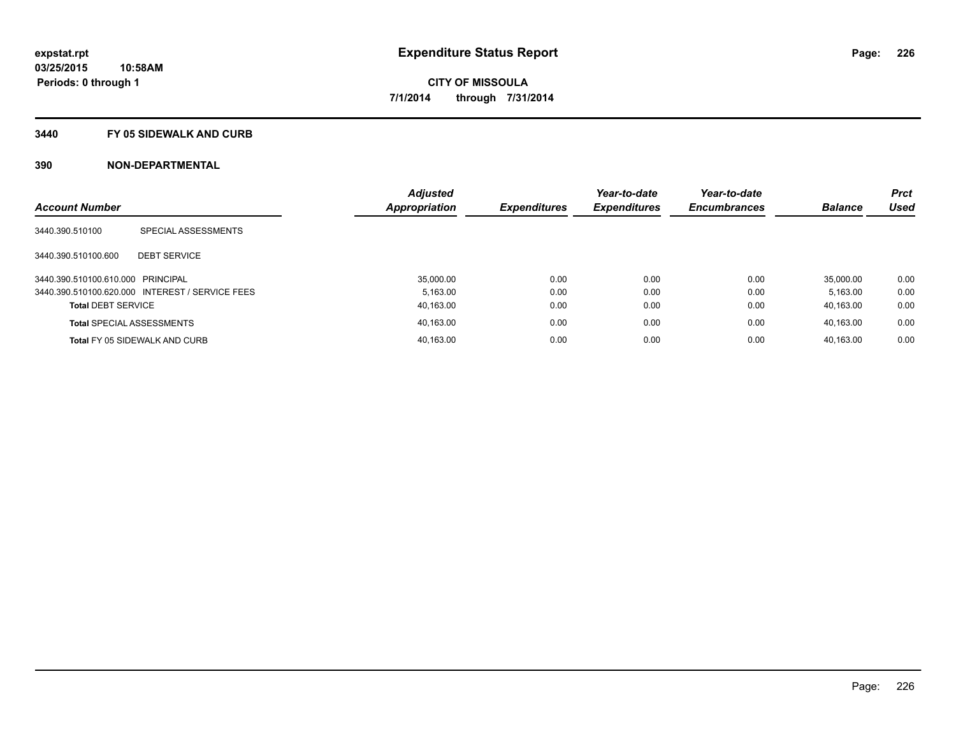#### **3440 FY 05 SIDEWALK AND CURB**

|                                   |                                                 | <b>Adjusted</b> |                     | Year-to-date        | Year-to-date        |                | <b>Prct</b> |
|-----------------------------------|-------------------------------------------------|-----------------|---------------------|---------------------|---------------------|----------------|-------------|
| <b>Account Number</b>             |                                                 | Appropriation   | <b>Expenditures</b> | <b>Expenditures</b> | <b>Encumbrances</b> | <b>Balance</b> | <b>Used</b> |
| 3440.390.510100                   | SPECIAL ASSESSMENTS                             |                 |                     |                     |                     |                |             |
| 3440.390.510100.600               | <b>DEBT SERVICE</b>                             |                 |                     |                     |                     |                |             |
| 3440.390.510100.610.000 PRINCIPAL |                                                 | 35.000.00       | 0.00                | 0.00                | 0.00                | 35.000.00      | 0.00        |
|                                   | 3440.390.510100.620.000 INTEREST / SERVICE FEES | 5.163.00        | 0.00                | 0.00                | 0.00                | 5.163.00       | 0.00        |
| <b>Total DEBT SERVICE</b>         |                                                 | 40,163.00       | 0.00                | 0.00                | 0.00                | 40.163.00      | 0.00        |
|                                   | <b>Total SPECIAL ASSESSMENTS</b>                | 40,163.00       | 0.00                | 0.00                | 0.00                | 40.163.00      | 0.00        |
|                                   | <b>Total FY 05 SIDEWALK AND CURB</b>            | 40,163.00       | 0.00                | 0.00                | 0.00                | 40.163.00      | 0.00        |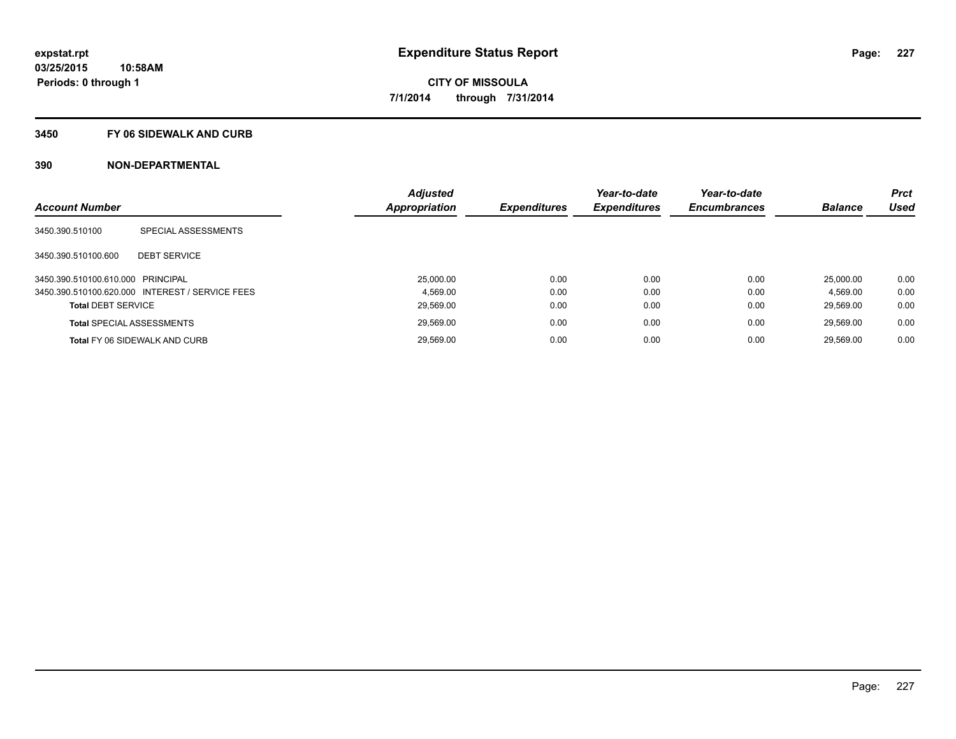#### **3450 FY 06 SIDEWALK AND CURB**

| <b>Account Number</b>             |                                                 | <b>Adjusted</b><br><b>Appropriation</b> | <b>Expenditures</b> | Year-to-date<br><b>Expenditures</b> | Year-to-date<br><b>Encumbrances</b> | <b>Balance</b> | <b>Prct</b><br><b>Used</b> |
|-----------------------------------|-------------------------------------------------|-----------------------------------------|---------------------|-------------------------------------|-------------------------------------|----------------|----------------------------|
|                                   |                                                 |                                         |                     |                                     |                                     |                |                            |
| 3450.390.510100                   | SPECIAL ASSESSMENTS                             |                                         |                     |                                     |                                     |                |                            |
| 3450.390.510100.600               | <b>DEBT SERVICE</b>                             |                                         |                     |                                     |                                     |                |                            |
| 3450.390.510100.610.000 PRINCIPAL |                                                 | 25,000.00                               | 0.00                | 0.00                                | 0.00                                | 25,000.00      | 0.00                       |
|                                   | 3450.390.510100.620.000 INTEREST / SERVICE FEES | 4.569.00                                | 0.00                | 0.00                                | 0.00                                | 4.569.00       | 0.00                       |
| <b>Total DEBT SERVICE</b>         |                                                 | 29.569.00                               | 0.00                | 0.00                                | 0.00                                | 29.569.00      | 0.00                       |
|                                   | <b>Total SPECIAL ASSESSMENTS</b>                | 29,569.00                               | 0.00                | 0.00                                | 0.00                                | 29.569.00      | 0.00                       |
|                                   | <b>Total FY 06 SIDEWALK AND CURB</b>            | 29,569.00                               | 0.00                | 0.00                                | 0.00                                | 29.569.00      | 0.00                       |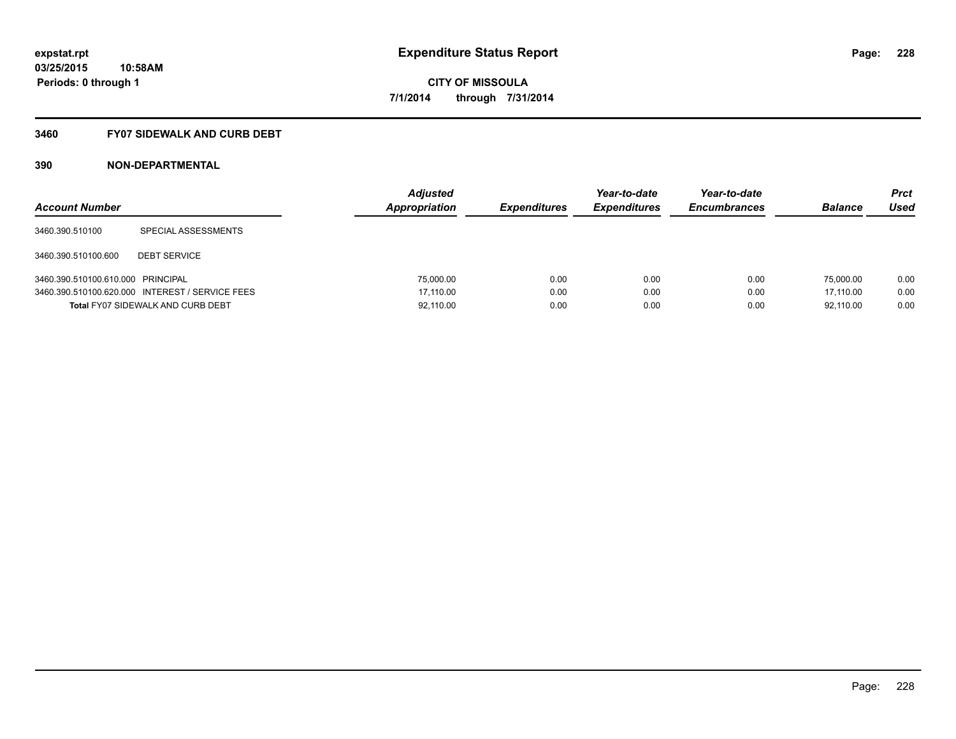## **3460 FY07 SIDEWALK AND CURB DEBT**

| <b>Account Number</b>             |                                                 | <b>Adjusted</b><br>Appropriation | <b>Expenditures</b> | Year-to-date<br><b>Expenditures</b> | Year-to-date<br><b>Encumbrances</b> | <b>Balance</b> | <b>Prct</b><br>Used |
|-----------------------------------|-------------------------------------------------|----------------------------------|---------------------|-------------------------------------|-------------------------------------|----------------|---------------------|
| 3460.390.510100                   | SPECIAL ASSESSMENTS                             |                                  |                     |                                     |                                     |                |                     |
| 3460.390.510100.600               | <b>DEBT SERVICE</b>                             |                                  |                     |                                     |                                     |                |                     |
| 3460.390.510100.610.000 PRINCIPAL |                                                 | 75,000.00                        | 0.00                | 0.00                                | 0.00                                | 75,000.00      | 0.00                |
|                                   | 3460.390.510100.620.000 INTEREST / SERVICE FEES | 17.110.00                        | 0.00                | 0.00                                | 0.00                                | 17.110.00      | 0.00                |
|                                   | <b>Total FY07 SIDEWALK AND CURB DEBT</b>        | 92,110.00                        | 0.00                | 0.00                                | 0.00                                | 92,110.00      | 0.00                |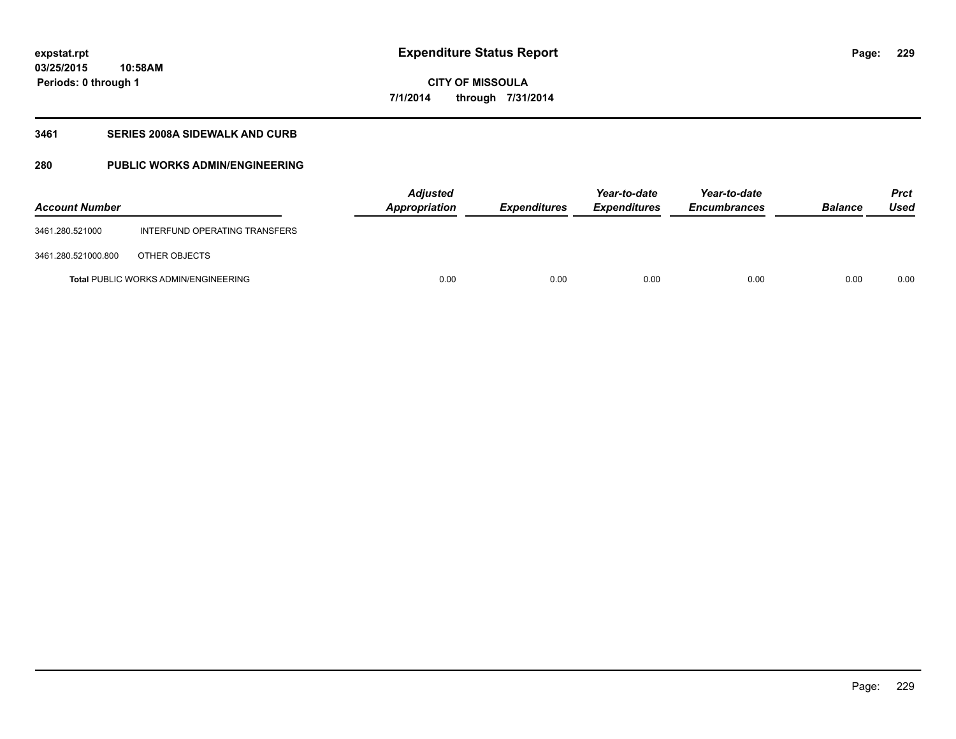**03/25/2015 10:58AM Periods: 0 through 1**

## **CITY OF MISSOULA 7/1/2014 through 7/31/2014**

## **3461 SERIES 2008A SIDEWALK AND CURB**

## **280 PUBLIC WORKS ADMIN/ENGINEERING**

| <b>Account Number</b> |                                             | <b>Adjusted</b><br>Appropriation | <b>Expenditures</b> | Year-to-date<br><b>Expenditures</b> | Year-to-date<br><b>Encumbrances</b> | <b>Balance</b> | <b>Prct</b><br>Used |
|-----------------------|---------------------------------------------|----------------------------------|---------------------|-------------------------------------|-------------------------------------|----------------|---------------------|
| 3461.280.521000       | INTERFUND OPERATING TRANSFERS               |                                  |                     |                                     |                                     |                |                     |
| 3461.280.521000.800   | OTHER OBJECTS                               |                                  |                     |                                     |                                     |                |                     |
|                       | <b>Total PUBLIC WORKS ADMIN/ENGINEERING</b> | 0.00                             | 0.00                | 0.00                                | 0.00                                | 0.00           | 0.00                |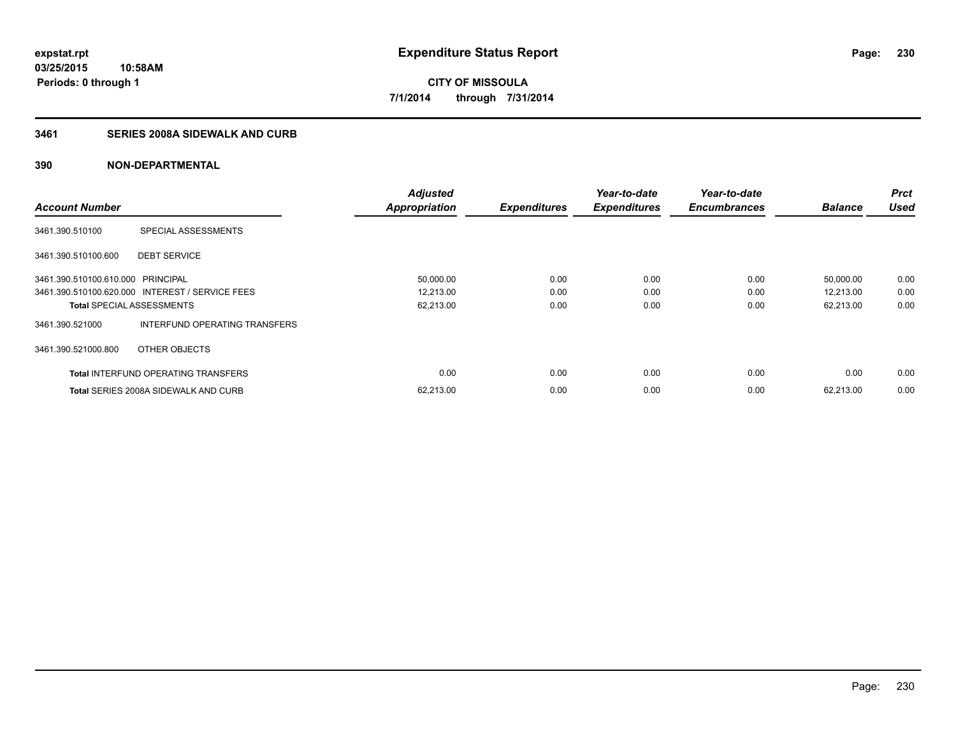## **3461 SERIES 2008A SIDEWALK AND CURB**

| <b>Account Number</b>             |                                                 | <b>Adjusted</b><br><b>Appropriation</b> | <b>Expenditures</b> | Year-to-date<br><b>Expenditures</b> | Year-to-date<br><b>Encumbrances</b> | <b>Balance</b> | <b>Prct</b><br><b>Used</b> |
|-----------------------------------|-------------------------------------------------|-----------------------------------------|---------------------|-------------------------------------|-------------------------------------|----------------|----------------------------|
|                                   |                                                 |                                         |                     |                                     |                                     |                |                            |
| 3461.390.510100                   | SPECIAL ASSESSMENTS                             |                                         |                     |                                     |                                     |                |                            |
| 3461.390.510100.600               | <b>DEBT SERVICE</b>                             |                                         |                     |                                     |                                     |                |                            |
| 3461.390.510100.610.000 PRINCIPAL |                                                 | 50,000.00                               | 0.00                | 0.00                                | 0.00                                | 50,000.00      | 0.00                       |
|                                   | 3461.390.510100.620.000 INTEREST / SERVICE FEES | 12,213.00                               | 0.00                | 0.00                                | 0.00                                | 12,213.00      | 0.00                       |
| <b>Total SPECIAL ASSESSMENTS</b>  |                                                 | 62,213.00                               | 0.00                | 0.00                                | 0.00                                | 62,213.00      | 0.00                       |
| 3461.390.521000                   | INTERFUND OPERATING TRANSFERS                   |                                         |                     |                                     |                                     |                |                            |
| 3461.390.521000.800               | OTHER OBJECTS                                   |                                         |                     |                                     |                                     |                |                            |
|                                   | <b>Total INTERFUND OPERATING TRANSFERS</b>      | 0.00                                    | 0.00                | 0.00                                | 0.00                                | 0.00           | 0.00                       |
|                                   | <b>Total SERIES 2008A SIDEWALK AND CURB</b>     | 62,213.00                               | 0.00                | 0.00                                | 0.00                                | 62.213.00      | 0.00                       |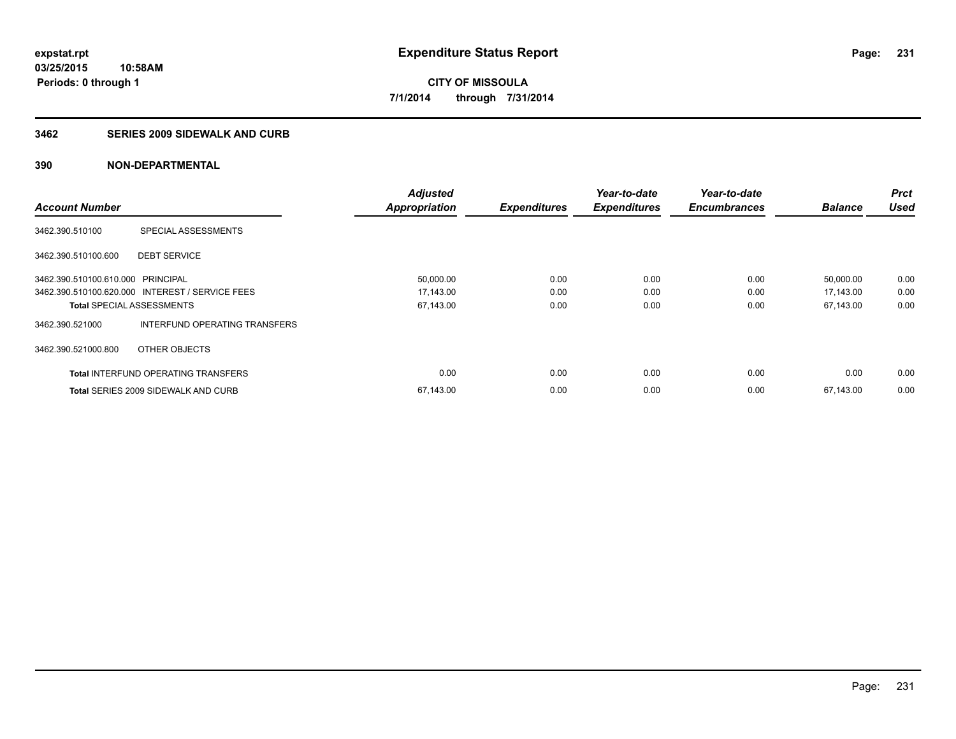### **3462 SERIES 2009 SIDEWALK AND CURB**

|                                   |                                                 | <b>Adjusted</b>      |                     | Year-to-date        | Year-to-date        |                | <b>Prct</b> |
|-----------------------------------|-------------------------------------------------|----------------------|---------------------|---------------------|---------------------|----------------|-------------|
| <b>Account Number</b>             |                                                 | <b>Appropriation</b> | <b>Expenditures</b> | <b>Expenditures</b> | <b>Encumbrances</b> | <b>Balance</b> | <b>Used</b> |
| 3462.390.510100                   | SPECIAL ASSESSMENTS                             |                      |                     |                     |                     |                |             |
| 3462.390.510100.600               | <b>DEBT SERVICE</b>                             |                      |                     |                     |                     |                |             |
| 3462.390.510100.610.000 PRINCIPAL |                                                 | 50,000.00            | 0.00                | 0.00                | 0.00                | 50.000.00      | 0.00        |
|                                   | 3462.390.510100.620.000 INTEREST / SERVICE FEES | 17,143.00            | 0.00                | 0.00                | 0.00                | 17,143.00      | 0.00        |
| <b>Total SPECIAL ASSESSMENTS</b>  |                                                 | 67,143.00            | 0.00                | 0.00                | 0.00                | 67,143.00      | 0.00        |
| 3462.390.521000                   | INTERFUND OPERATING TRANSFERS                   |                      |                     |                     |                     |                |             |
| 3462.390.521000.800               | OTHER OBJECTS                                   |                      |                     |                     |                     |                |             |
|                                   | <b>Total INTERFUND OPERATING TRANSFERS</b>      | 0.00                 | 0.00                | 0.00                | 0.00                | 0.00           | 0.00        |
|                                   | <b>Total SERIES 2009 SIDEWALK AND CURB</b>      | 67,143.00            | 0.00                | 0.00                | 0.00                | 67.143.00      | 0.00        |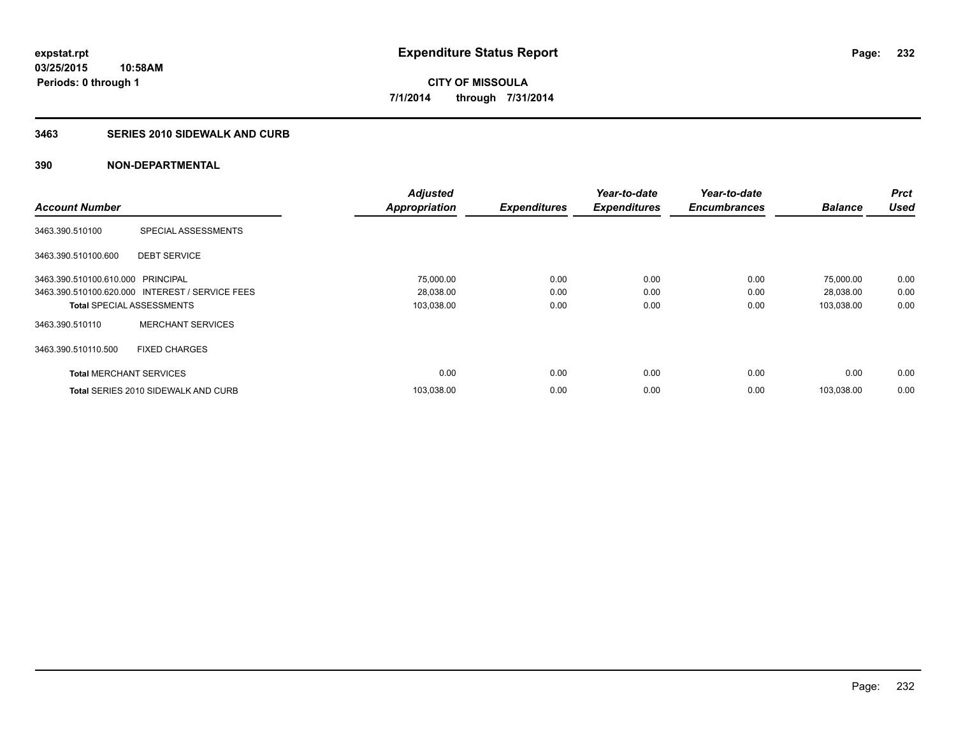#### **3463 SERIES 2010 SIDEWALK AND CURB**

|                                   |                                                 | <b>Adjusted</b>      |                     | Year-to-date        | Year-to-date        |                | <b>Prct</b> |
|-----------------------------------|-------------------------------------------------|----------------------|---------------------|---------------------|---------------------|----------------|-------------|
| <b>Account Number</b>             |                                                 | <b>Appropriation</b> | <b>Expenditures</b> | <b>Expenditures</b> | <b>Encumbrances</b> | <b>Balance</b> | <b>Used</b> |
| 3463.390.510100                   | SPECIAL ASSESSMENTS                             |                      |                     |                     |                     |                |             |
| 3463.390.510100.600               | <b>DEBT SERVICE</b>                             |                      |                     |                     |                     |                |             |
| 3463.390.510100.610.000 PRINCIPAL |                                                 | 75,000.00            | 0.00                | 0.00                | 0.00                | 75,000.00      | 0.00        |
|                                   | 3463.390.510100.620.000 INTEREST / SERVICE FEES | 28,038.00            | 0.00                | 0.00                | 0.00                | 28,038.00      | 0.00        |
| <b>Total SPECIAL ASSESSMENTS</b>  |                                                 | 103,038.00           | 0.00                | 0.00                | 0.00                | 103,038.00     | 0.00        |
| 3463.390.510110                   | <b>MERCHANT SERVICES</b>                        |                      |                     |                     |                     |                |             |
| 3463.390.510110.500               | <b>FIXED CHARGES</b>                            |                      |                     |                     |                     |                |             |
| <b>Total MERCHANT SERVICES</b>    |                                                 | 0.00                 | 0.00                | 0.00                | 0.00                | 0.00           | 0.00        |
|                                   | Total SERIES 2010 SIDEWALK AND CURB             | 103,038.00           | 0.00                | 0.00                | 0.00                | 103.038.00     | 0.00        |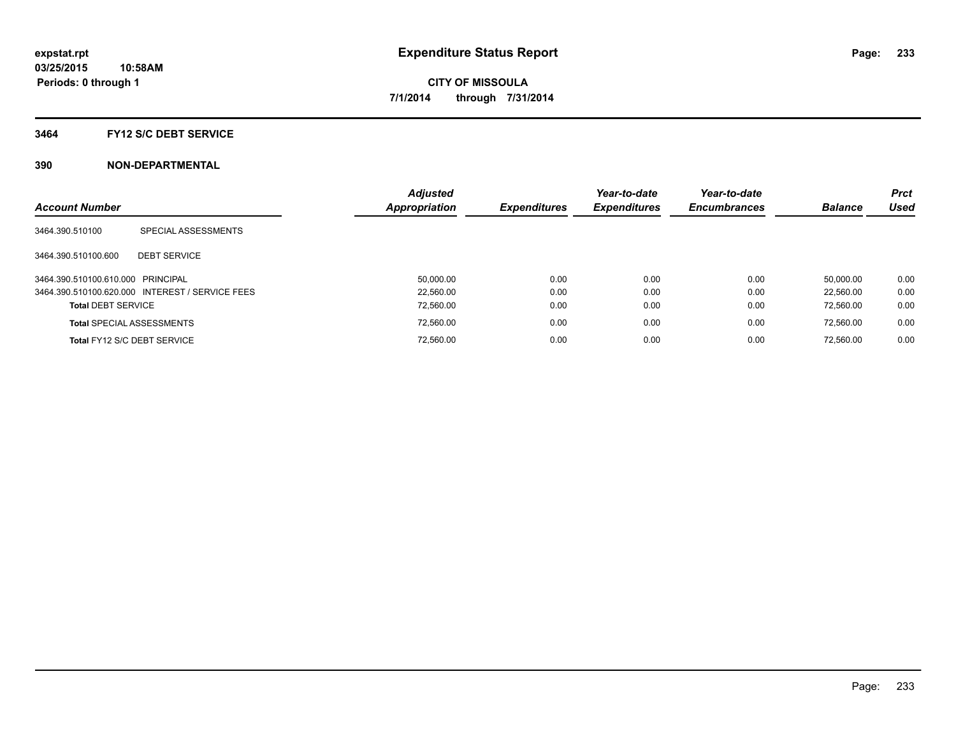#### **3464 FY12 S/C DEBT SERVICE**

| <b>Account Number</b>             |                                                 | <b>Adjusted</b><br><b>Appropriation</b> | <b>Expenditures</b> | Year-to-date<br><b>Expenditures</b> | Year-to-date<br><b>Encumbrances</b> | <b>Balance</b> | <b>Prct</b><br>Used |
|-----------------------------------|-------------------------------------------------|-----------------------------------------|---------------------|-------------------------------------|-------------------------------------|----------------|---------------------|
| 3464.390.510100                   | SPECIAL ASSESSMENTS                             |                                         |                     |                                     |                                     |                |                     |
| 3464.390.510100.600               | <b>DEBT SERVICE</b>                             |                                         |                     |                                     |                                     |                |                     |
| 3464.390.510100.610.000 PRINCIPAL |                                                 | 50.000.00                               | 0.00                | 0.00                                | 0.00                                | 50.000.00      | 0.00                |
|                                   | 3464.390.510100.620.000 INTEREST / SERVICE FEES | 22.560.00                               | 0.00                | 0.00                                | 0.00                                | 22.560.00      | 0.00                |
| <b>Total DEBT SERVICE</b>         |                                                 | 72,560.00                               | 0.00                | 0.00                                | 0.00                                | 72.560.00      | 0.00                |
|                                   | <b>Total SPECIAL ASSESSMENTS</b>                | 72,560.00                               | 0.00                | 0.00                                | 0.00                                | 72.560.00      | 0.00                |
|                                   | Total FY12 S/C DEBT SERVICE                     | 72.560.00                               | 0.00                | 0.00                                | 0.00                                | 72.560.00      | 0.00                |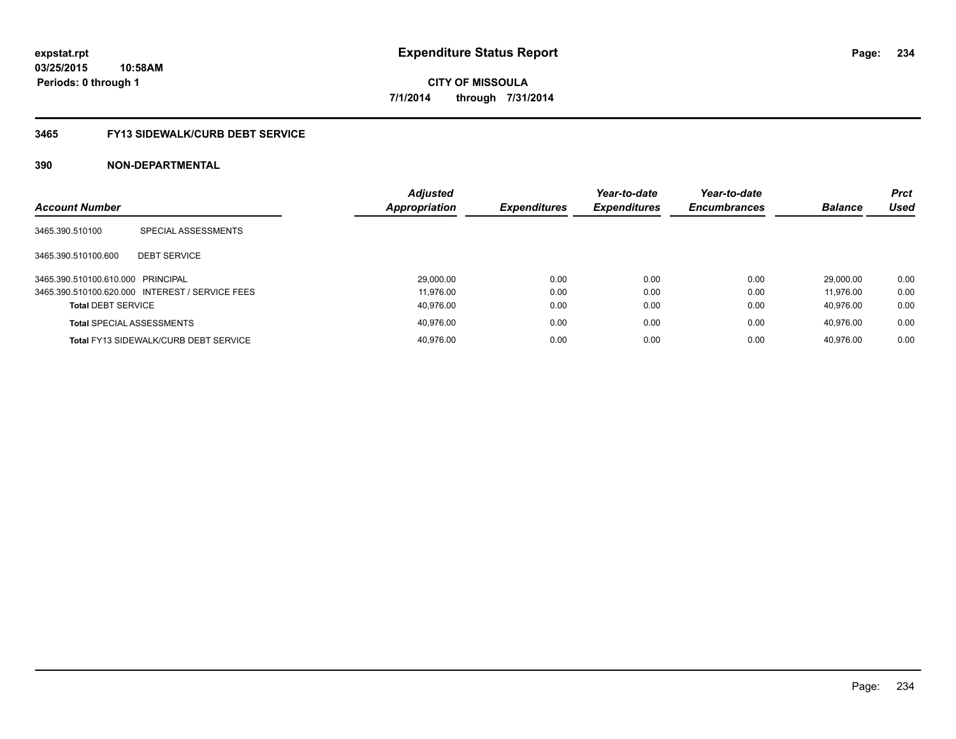# **3465 FY13 SIDEWALK/CURB DEBT SERVICE**

|                                   |                                                 | <b>Adjusted</b> |                     | Year-to-date        | Year-to-date        |                | <b>Prct</b> |
|-----------------------------------|-------------------------------------------------|-----------------|---------------------|---------------------|---------------------|----------------|-------------|
| <b>Account Number</b>             |                                                 | Appropriation   | <b>Expenditures</b> | <b>Expenditures</b> | <b>Encumbrances</b> | <b>Balance</b> | <b>Used</b> |
| 3465.390.510100                   | SPECIAL ASSESSMENTS                             |                 |                     |                     |                     |                |             |
| 3465.390.510100.600               | <b>DEBT SERVICE</b>                             |                 |                     |                     |                     |                |             |
| 3465.390.510100.610.000 PRINCIPAL |                                                 | 29,000.00       | 0.00                | 0.00                | 0.00                | 29.000.00      | 0.00        |
|                                   | 3465.390.510100.620.000 INTEREST / SERVICE FEES | 11.976.00       | 0.00                | 0.00                | 0.00                | 11.976.00      | 0.00        |
| <b>Total DEBT SERVICE</b>         |                                                 | 40.976.00       | 0.00                | 0.00                | 0.00                | 40.976.00      | 0.00        |
|                                   | <b>Total SPECIAL ASSESSMENTS</b>                | 40.976.00       | 0.00                | 0.00                | 0.00                | 40.976.00      | 0.00        |
|                                   | <b>Total FY13 SIDEWALK/CURB DEBT SERVICE</b>    | 40.976.00       | 0.00                | 0.00                | 0.00                | 40.976.00      | 0.00        |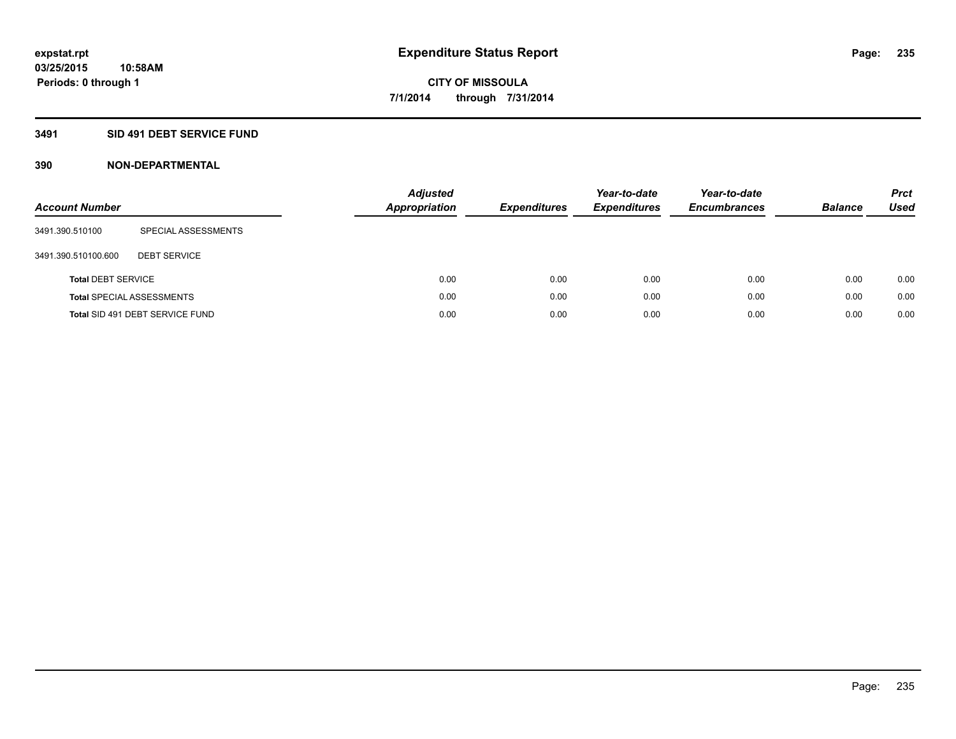## **3491 SID 491 DEBT SERVICE FUND**

| <b>Account Number</b>     |                                  | <b>Adjusted</b><br><b>Appropriation</b> | <b>Expenditures</b> | Year-to-date<br><b>Expenditures</b> | Year-to-date<br><b>Encumbrances</b> | <b>Balance</b> | <b>Prct</b><br><b>Used</b> |
|---------------------------|----------------------------------|-----------------------------------------|---------------------|-------------------------------------|-------------------------------------|----------------|----------------------------|
| 3491.390.510100           | SPECIAL ASSESSMENTS              |                                         |                     |                                     |                                     |                |                            |
| 3491.390.510100.600       | <b>DEBT SERVICE</b>              |                                         |                     |                                     |                                     |                |                            |
| <b>Total DEBT SERVICE</b> |                                  | 0.00                                    | 0.00                | 0.00                                | 0.00                                | 0.00           | 0.00                       |
|                           | <b>Total SPECIAL ASSESSMENTS</b> | 0.00                                    | 0.00                | 0.00                                | 0.00                                | 0.00           | 0.00                       |
|                           | Total SID 491 DEBT SERVICE FUND  | 0.00                                    | 0.00                | 0.00                                | 0.00                                | 0.00           | 0.00                       |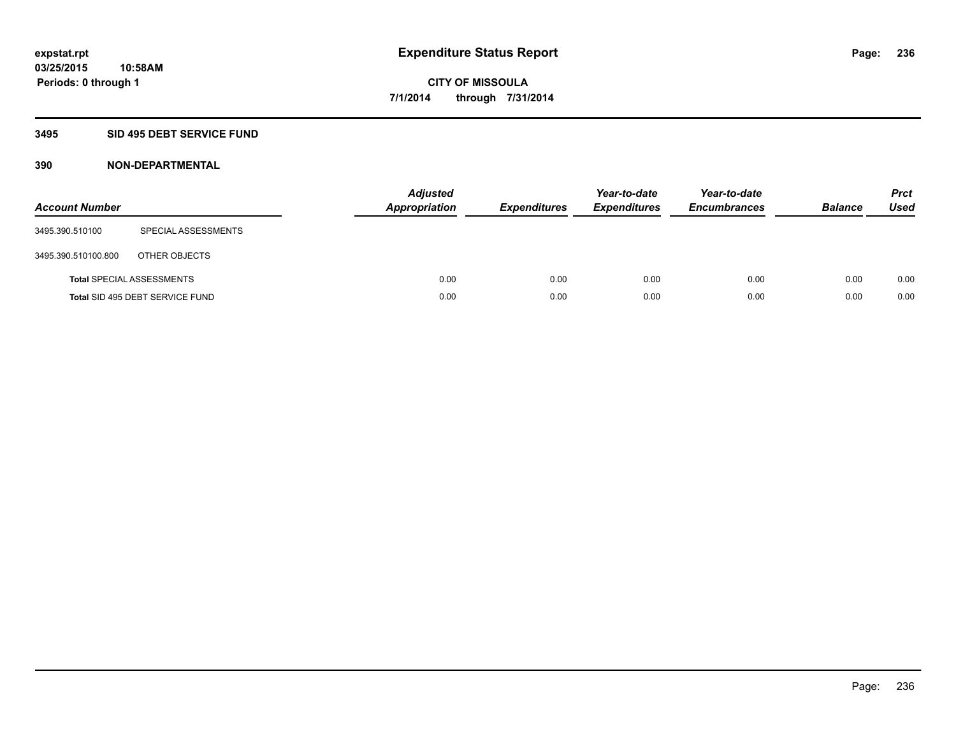## **3495 SID 495 DEBT SERVICE FUND**

| <b>Account Number</b> |                                  | <b>Adjusted</b><br><b>Appropriation</b> | <b>Expenditures</b> | Year-to-date<br><b>Expenditures</b> | Year-to-date<br><b>Encumbrances</b> | <b>Balance</b> | <b>Prct</b><br><b>Used</b> |
|-----------------------|----------------------------------|-----------------------------------------|---------------------|-------------------------------------|-------------------------------------|----------------|----------------------------|
| 3495.390.510100       | SPECIAL ASSESSMENTS              |                                         |                     |                                     |                                     |                |                            |
| 3495.390.510100.800   | OTHER OBJECTS                    |                                         |                     |                                     |                                     |                |                            |
|                       | <b>Total SPECIAL ASSESSMENTS</b> | 0.00                                    | 0.00                | 0.00                                | 0.00                                | 0.00           | 0.00                       |
|                       | Total SID 495 DEBT SERVICE FUND  | 0.00                                    | 0.00                | 0.00                                | 0.00                                | 0.00           | 0.00                       |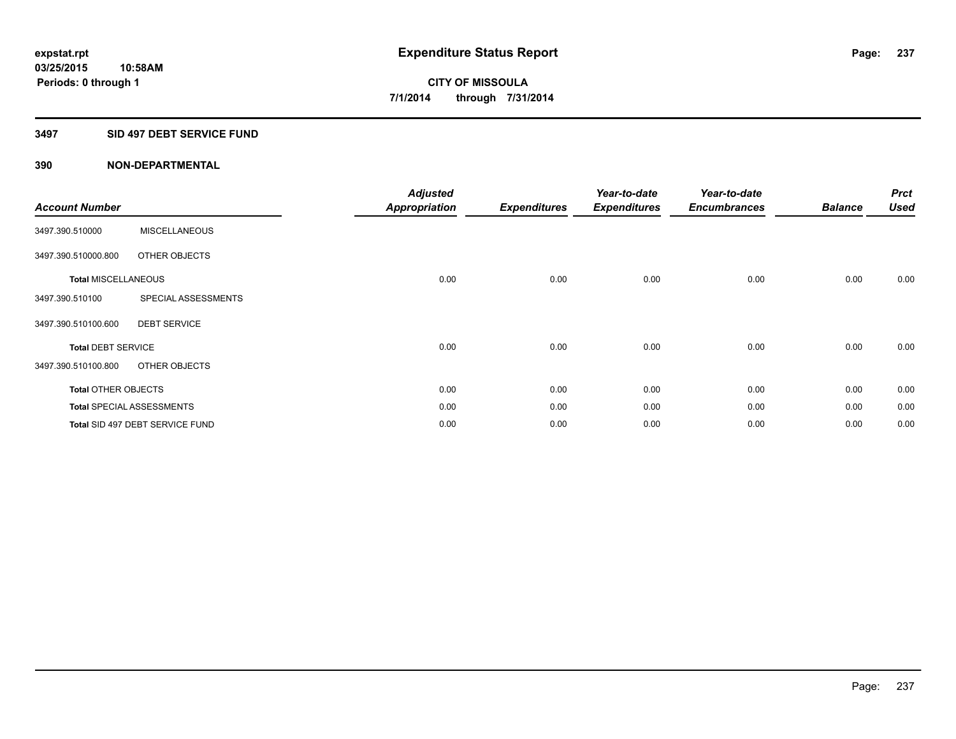### **3497 SID 497 DEBT SERVICE FUND**

| <b>Account Number</b>      |                                  | <b>Adjusted</b><br><b>Appropriation</b> | <b>Expenditures</b> | Year-to-date<br><b>Expenditures</b> | Year-to-date<br><b>Encumbrances</b> | <b>Balance</b> | <b>Prct</b><br><b>Used</b> |
|----------------------------|----------------------------------|-----------------------------------------|---------------------|-------------------------------------|-------------------------------------|----------------|----------------------------|
| 3497.390.510000            | <b>MISCELLANEOUS</b>             |                                         |                     |                                     |                                     |                |                            |
| 3497.390.510000.800        | OTHER OBJECTS                    |                                         |                     |                                     |                                     |                |                            |
| <b>Total MISCELLANEOUS</b> |                                  | 0.00                                    | 0.00                | 0.00                                | 0.00                                | 0.00           | 0.00                       |
| 3497.390.510100            | SPECIAL ASSESSMENTS              |                                         |                     |                                     |                                     |                |                            |
| 3497.390.510100.600        | <b>DEBT SERVICE</b>              |                                         |                     |                                     |                                     |                |                            |
| <b>Total DEBT SERVICE</b>  |                                  | 0.00                                    | 0.00                | 0.00                                | 0.00                                | 0.00           | 0.00                       |
| 3497.390.510100.800        | OTHER OBJECTS                    |                                         |                     |                                     |                                     |                |                            |
| <b>Total OTHER OBJECTS</b> |                                  | 0.00                                    | 0.00                | 0.00                                | 0.00                                | 0.00           | 0.00                       |
|                            | <b>Total SPECIAL ASSESSMENTS</b> | 0.00                                    | 0.00                | 0.00                                | 0.00                                | 0.00           | 0.00                       |
|                            | Total SID 497 DEBT SERVICE FUND  | 0.00                                    | 0.00                | 0.00                                | 0.00                                | 0.00           | 0.00                       |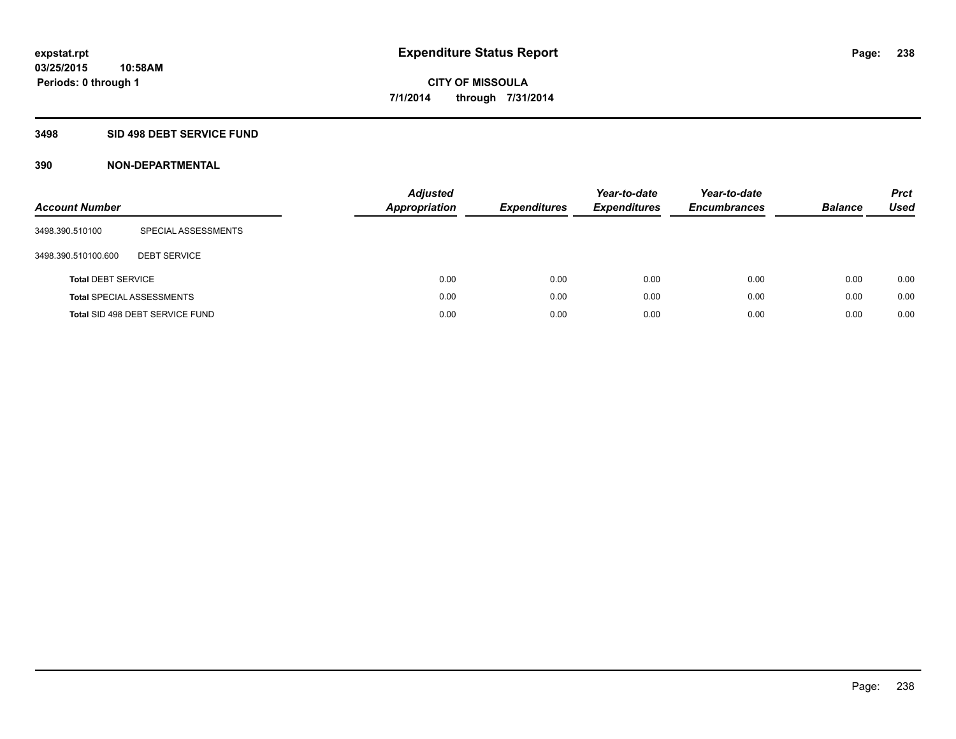### **3498 SID 498 DEBT SERVICE FUND**

| <b>Account Number</b>     |                                  | <b>Adjusted</b><br><b>Appropriation</b> | <b>Expenditures</b> | Year-to-date<br><b>Expenditures</b> | Year-to-date<br><b>Encumbrances</b> | <b>Balance</b> | <b>Prct</b><br><b>Used</b> |
|---------------------------|----------------------------------|-----------------------------------------|---------------------|-------------------------------------|-------------------------------------|----------------|----------------------------|
| 3498.390.510100           | SPECIAL ASSESSMENTS              |                                         |                     |                                     |                                     |                |                            |
| 3498.390.510100.600       | <b>DEBT SERVICE</b>              |                                         |                     |                                     |                                     |                |                            |
| <b>Total DEBT SERVICE</b> |                                  | 0.00                                    | 0.00                | 0.00                                | 0.00                                | 0.00           | 0.00                       |
|                           | <b>Total SPECIAL ASSESSMENTS</b> | 0.00                                    | 0.00                | 0.00                                | 0.00                                | 0.00           | 0.00                       |
|                           | Total SID 498 DEBT SERVICE FUND  | 0.00                                    | 0.00                | 0.00                                | 0.00                                | 0.00           | 0.00                       |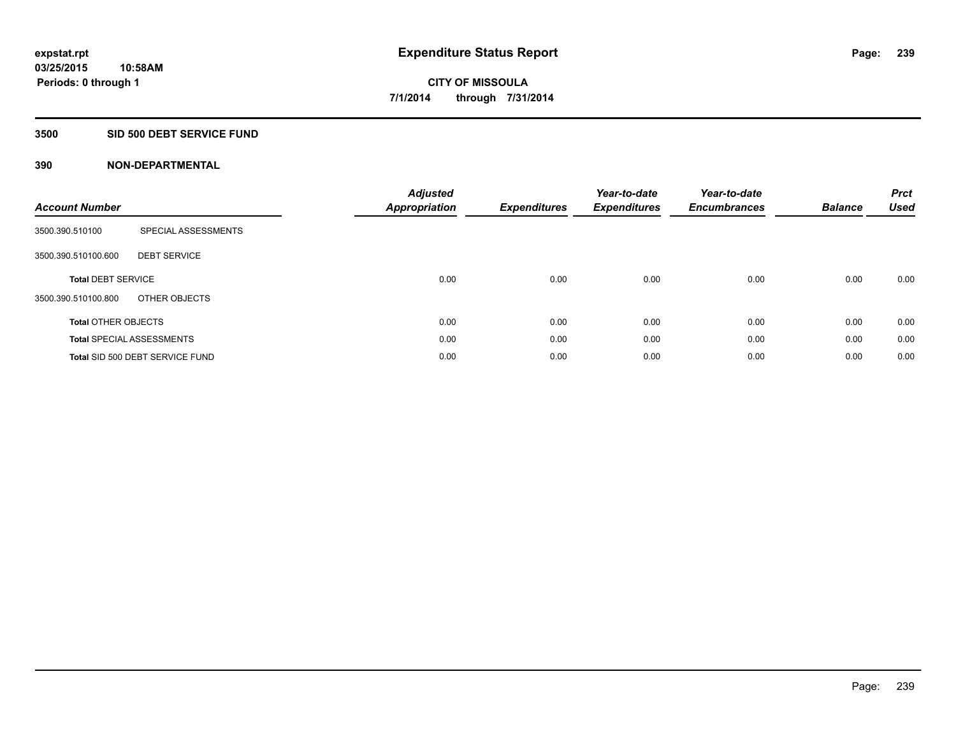### **3500 SID 500 DEBT SERVICE FUND**

| <b>Account Number</b>      |                                  | <b>Adjusted</b><br>Appropriation | <b>Expenditures</b> | Year-to-date<br><b>Expenditures</b> | Year-to-date<br><b>Encumbrances</b> | <b>Balance</b> | <b>Prct</b><br><b>Used</b> |
|----------------------------|----------------------------------|----------------------------------|---------------------|-------------------------------------|-------------------------------------|----------------|----------------------------|
| 3500.390.510100            | SPECIAL ASSESSMENTS              |                                  |                     |                                     |                                     |                |                            |
| 3500.390.510100.600        | <b>DEBT SERVICE</b>              |                                  |                     |                                     |                                     |                |                            |
| <b>Total DEBT SERVICE</b>  |                                  | 0.00                             | 0.00                | 0.00                                | 0.00                                | 0.00           | 0.00                       |
| 3500.390.510100.800        | OTHER OBJECTS                    |                                  |                     |                                     |                                     |                |                            |
| <b>Total OTHER OBJECTS</b> |                                  | 0.00                             | 0.00                | 0.00                                | 0.00                                | 0.00           | 0.00                       |
|                            | <b>Total SPECIAL ASSESSMENTS</b> | 0.00                             | 0.00                | 0.00                                | 0.00                                | 0.00           | 0.00                       |
|                            | Total SID 500 DEBT SERVICE FUND  | 0.00                             | 0.00                | 0.00                                | 0.00                                | 0.00           | 0.00                       |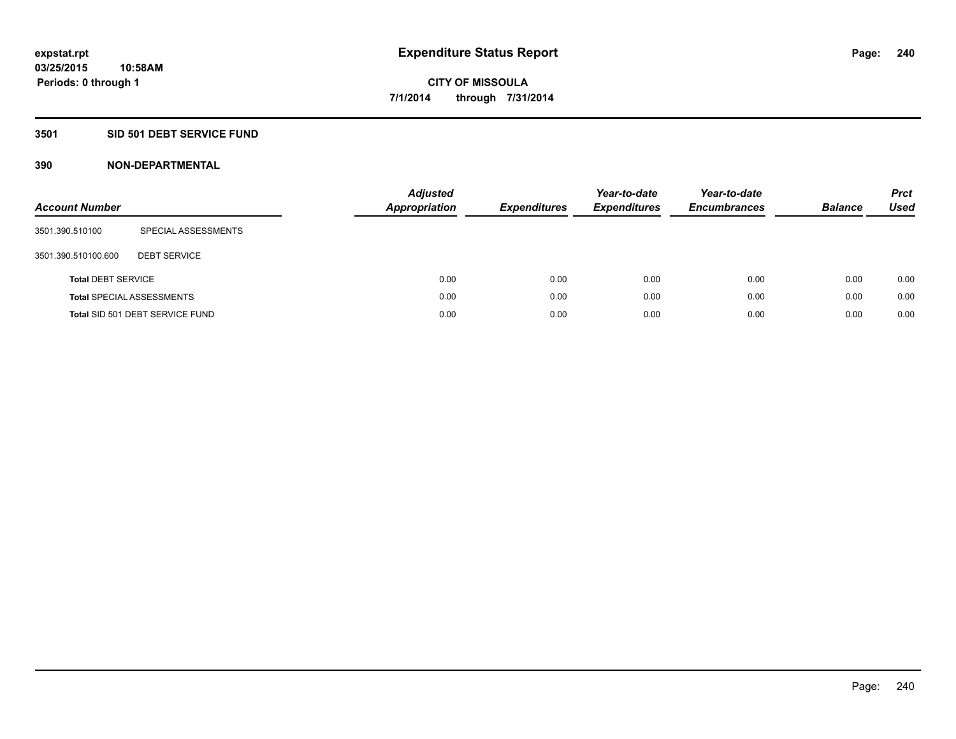### **3501 SID 501 DEBT SERVICE FUND**

| <b>Account Number</b>     |                                  | <b>Adjusted</b><br><b>Appropriation</b> | <b>Expenditures</b> | Year-to-date<br><b>Expenditures</b> | Year-to-date<br><b>Encumbrances</b> | <b>Balance</b> | <b>Prct</b><br>Used |
|---------------------------|----------------------------------|-----------------------------------------|---------------------|-------------------------------------|-------------------------------------|----------------|---------------------|
| 3501.390.510100           | SPECIAL ASSESSMENTS              |                                         |                     |                                     |                                     |                |                     |
| 3501.390.510100.600       | <b>DEBT SERVICE</b>              |                                         |                     |                                     |                                     |                |                     |
| <b>Total DEBT SERVICE</b> |                                  | 0.00                                    | 0.00                | 0.00                                | 0.00                                | 0.00           | 0.00                |
|                           | <b>Total SPECIAL ASSESSMENTS</b> | 0.00                                    | 0.00                | 0.00                                | 0.00                                | 0.00           | 0.00                |
|                           | Total SID 501 DEBT SERVICE FUND  | 0.00                                    | 0.00                | 0.00                                | 0.00                                | 0.00           | 0.00                |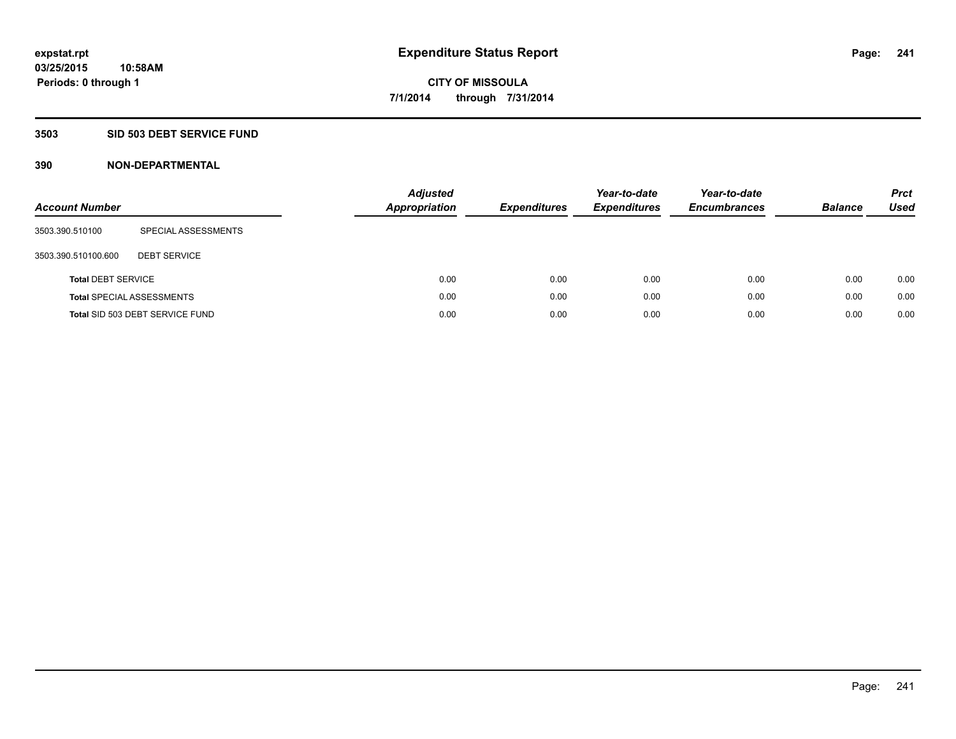## **3503 SID 503 DEBT SERVICE FUND**

| <b>Account Number</b>     |                                  | <b>Adjusted</b><br><b>Appropriation</b> | <b>Expenditures</b> | Year-to-date<br><b>Expenditures</b> | Year-to-date<br><b>Encumbrances</b> | <b>Balance</b> | <b>Prct</b><br>Used |
|---------------------------|----------------------------------|-----------------------------------------|---------------------|-------------------------------------|-------------------------------------|----------------|---------------------|
| 3503.390.510100           | SPECIAL ASSESSMENTS              |                                         |                     |                                     |                                     |                |                     |
| 3503.390.510100.600       | <b>DEBT SERVICE</b>              |                                         |                     |                                     |                                     |                |                     |
| <b>Total DEBT SERVICE</b> |                                  | 0.00                                    | 0.00                | 0.00                                | 0.00                                | 0.00           | 0.00                |
|                           | <b>Total SPECIAL ASSESSMENTS</b> | 0.00                                    | 0.00                | 0.00                                | 0.00                                | 0.00           | 0.00                |
|                           | Total SID 503 DEBT SERVICE FUND  | 0.00                                    | 0.00                | 0.00                                | 0.00                                | 0.00           | 0.00                |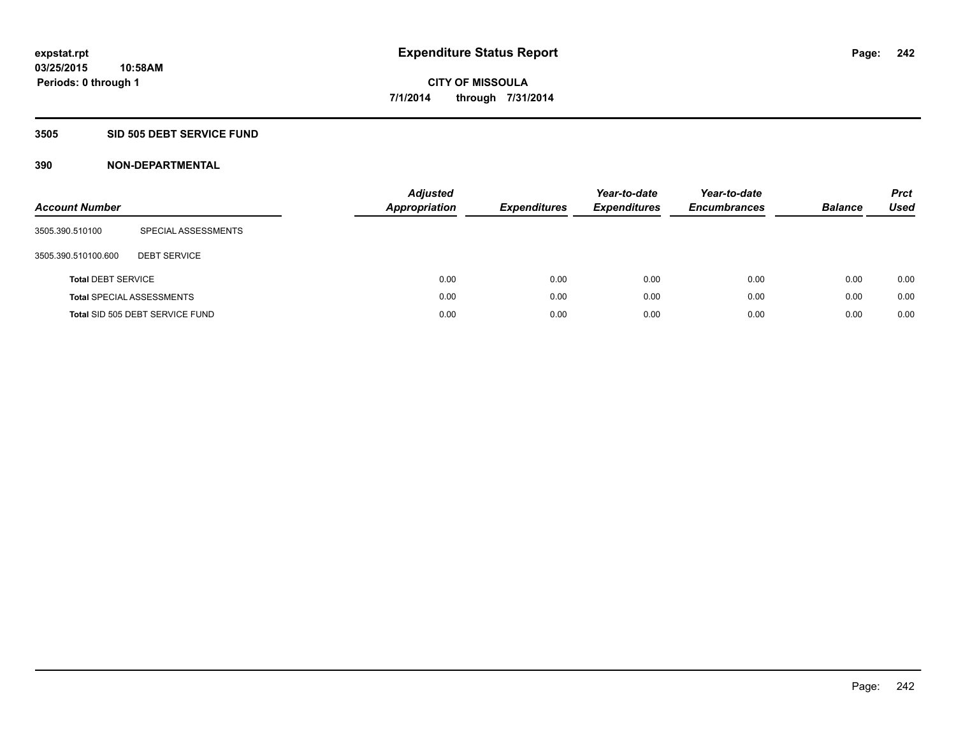### **3505 SID 505 DEBT SERVICE FUND**

| <b>Account Number</b>     |                                  | <b>Adjusted</b><br>Appropriation | <b>Expenditures</b> | Year-to-date<br><b>Expenditures</b> | Year-to-date<br><b>Encumbrances</b> | <b>Balance</b> | <b>Prct</b><br>Used |
|---------------------------|----------------------------------|----------------------------------|---------------------|-------------------------------------|-------------------------------------|----------------|---------------------|
| 3505.390.510100           | SPECIAL ASSESSMENTS              |                                  |                     |                                     |                                     |                |                     |
| 3505.390.510100.600       | <b>DEBT SERVICE</b>              |                                  |                     |                                     |                                     |                |                     |
| <b>Total DEBT SERVICE</b> |                                  | 0.00                             | 0.00                | 0.00                                | 0.00                                | 0.00           | 0.00                |
|                           | <b>Total SPECIAL ASSESSMENTS</b> | 0.00                             | 0.00                | 0.00                                | 0.00                                | 0.00           | 0.00                |
|                           | Total SID 505 DEBT SERVICE FUND  | 0.00                             | 0.00                | 0.00                                | 0.00                                | 0.00           | 0.00                |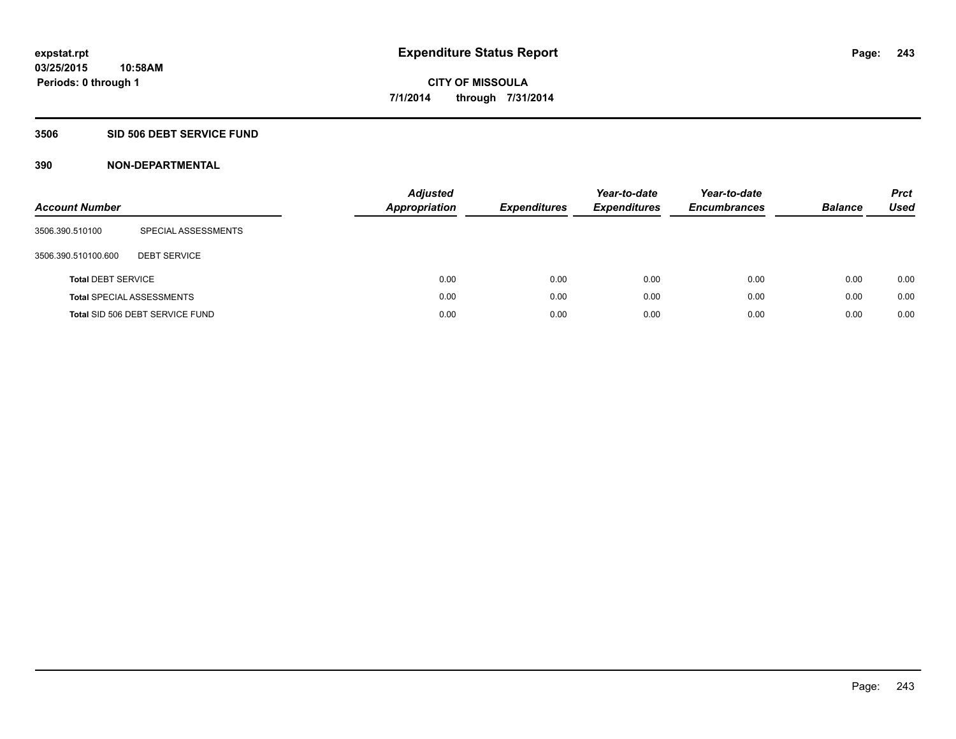### **3506 SID 506 DEBT SERVICE FUND**

| <b>Account Number</b>     |                                  | <b>Adjusted</b><br><b>Appropriation</b> | <b>Expenditures</b> | Year-to-date<br><b>Expenditures</b> | Year-to-date<br><b>Encumbrances</b> | <b>Balance</b> | <b>Prct</b><br>Used |
|---------------------------|----------------------------------|-----------------------------------------|---------------------|-------------------------------------|-------------------------------------|----------------|---------------------|
| 3506.390.510100           | SPECIAL ASSESSMENTS              |                                         |                     |                                     |                                     |                |                     |
| 3506.390.510100.600       | <b>DEBT SERVICE</b>              |                                         |                     |                                     |                                     |                |                     |
| <b>Total DEBT SERVICE</b> |                                  | 0.00                                    | 0.00                | 0.00                                | 0.00                                | 0.00           | 0.00                |
|                           | <b>Total SPECIAL ASSESSMENTS</b> | 0.00                                    | 0.00                | 0.00                                | 0.00                                | 0.00           | 0.00                |
|                           | Total SID 506 DEBT SERVICE FUND  | 0.00                                    | 0.00                | 0.00                                | 0.00                                | 0.00           | 0.00                |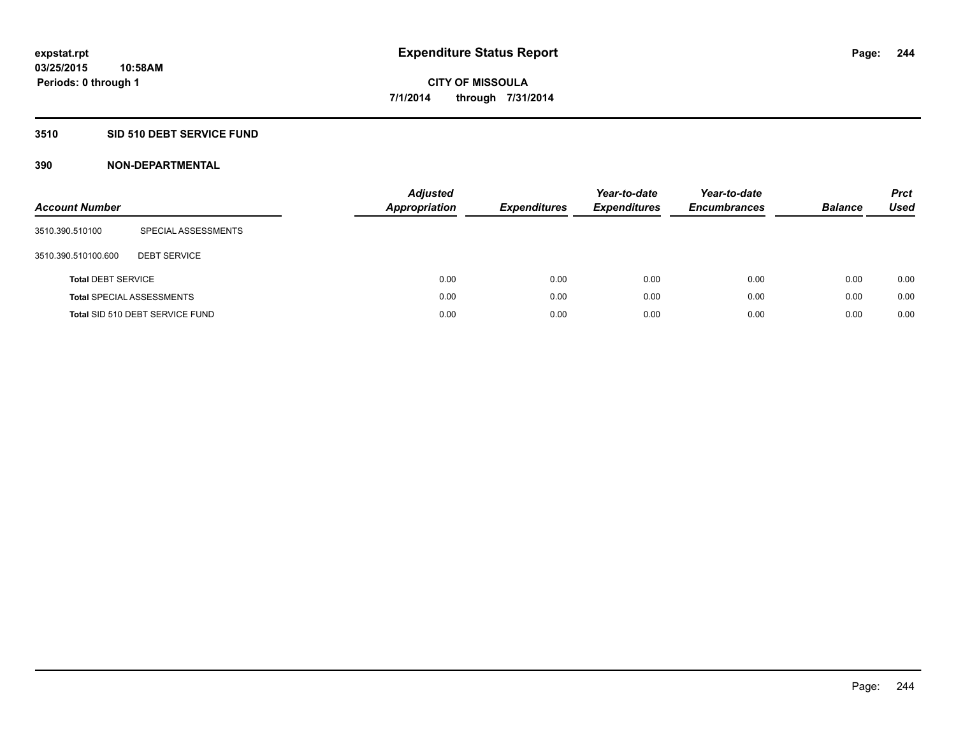## **3510 SID 510 DEBT SERVICE FUND**

| <b>Account Number</b>     |                                  | <b>Adjusted</b><br><b>Appropriation</b> | <b>Expenditures</b> | Year-to-date<br><b>Expenditures</b> | Year-to-date<br><b>Encumbrances</b> | <b>Balance</b> | <b>Prct</b><br>Used |
|---------------------------|----------------------------------|-----------------------------------------|---------------------|-------------------------------------|-------------------------------------|----------------|---------------------|
| 3510.390.510100           | SPECIAL ASSESSMENTS              |                                         |                     |                                     |                                     |                |                     |
| 3510.390.510100.600       | <b>DEBT SERVICE</b>              |                                         |                     |                                     |                                     |                |                     |
| <b>Total DEBT SERVICE</b> |                                  | 0.00                                    | 0.00                | 0.00                                | 0.00                                | 0.00           | 0.00                |
|                           | <b>Total SPECIAL ASSESSMENTS</b> | 0.00                                    | 0.00                | 0.00                                | 0.00                                | 0.00           | 0.00                |
|                           | Total SID 510 DEBT SERVICE FUND  | 0.00                                    | 0.00                | 0.00                                | 0.00                                | 0.00           | 0.00                |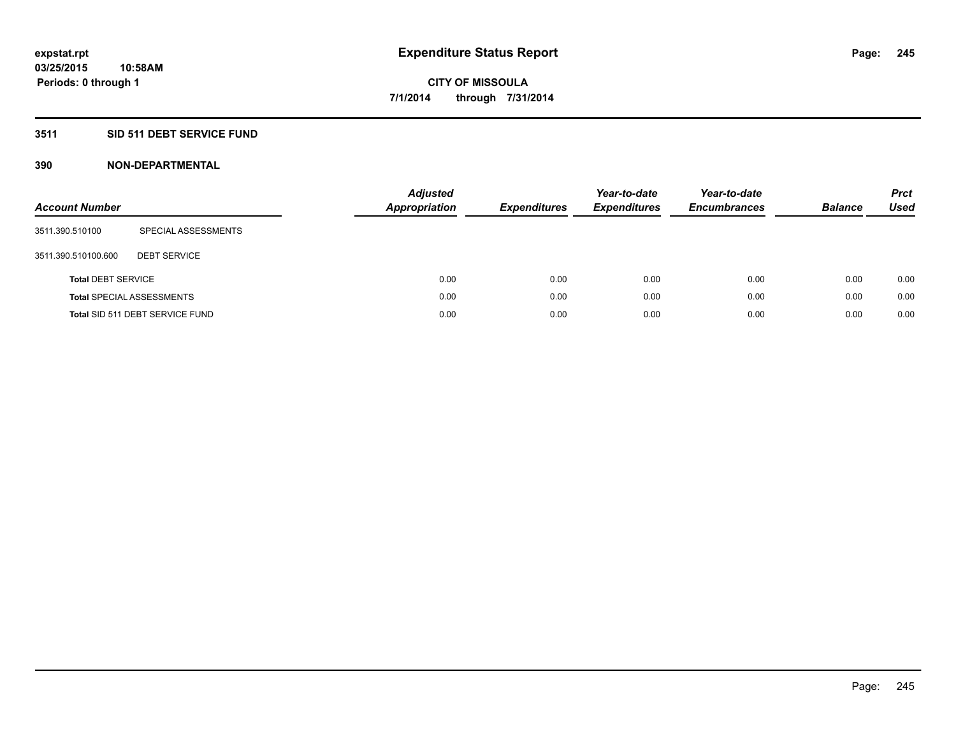## **3511 SID 511 DEBT SERVICE FUND**

| <b>Account Number</b>     |                                  | <b>Adjusted</b><br><b>Appropriation</b> | <b>Expenditures</b> | Year-to-date<br><b>Expenditures</b> | Year-to-date<br><b>Encumbrances</b> | <b>Balance</b> | <b>Prct</b><br>Used |
|---------------------------|----------------------------------|-----------------------------------------|---------------------|-------------------------------------|-------------------------------------|----------------|---------------------|
| 3511.390.510100           | SPECIAL ASSESSMENTS              |                                         |                     |                                     |                                     |                |                     |
| 3511.390.510100.600       | <b>DEBT SERVICE</b>              |                                         |                     |                                     |                                     |                |                     |
| <b>Total DEBT SERVICE</b> |                                  | 0.00                                    | 0.00                | 0.00                                | 0.00                                | 0.00           | 0.00                |
|                           | <b>Total SPECIAL ASSESSMENTS</b> | 0.00                                    | 0.00                | 0.00                                | 0.00                                | 0.00           | 0.00                |
|                           | Total SID 511 DEBT SERVICE FUND  | 0.00                                    | 0.00                | 0.00                                | 0.00                                | 0.00           | 0.00                |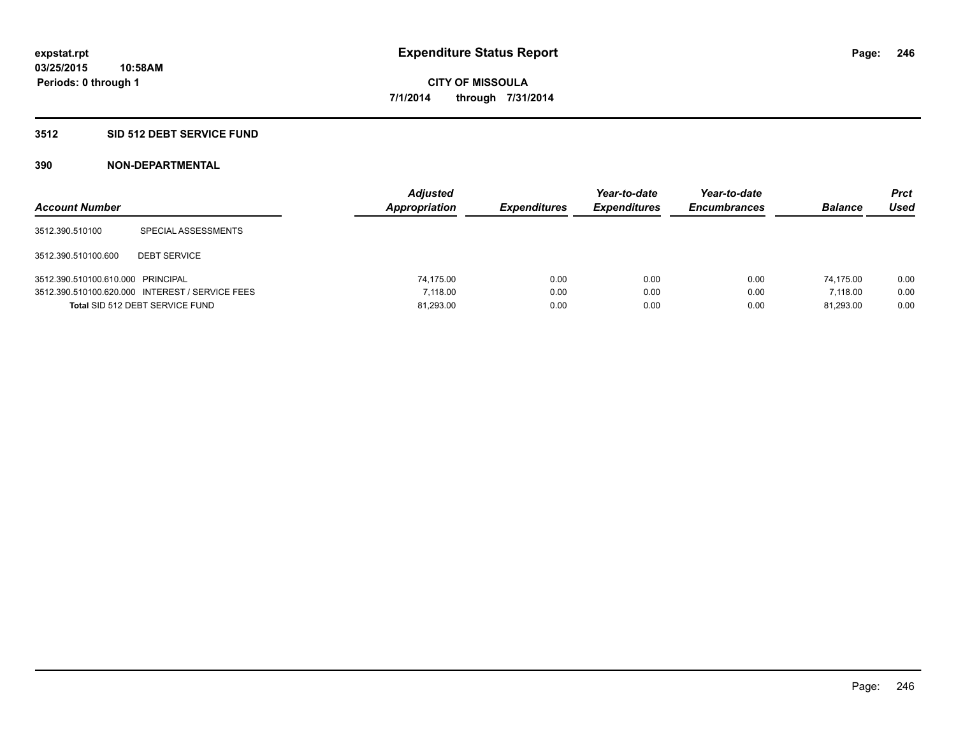### **3512 SID 512 DEBT SERVICE FUND**

| <b>Account Number</b>             |                                                 | <b>Adjusted</b><br><b>Appropriation</b> | <b>Expenditures</b> | Year-to-date<br><b>Expenditures</b> | Year-to-date<br><b>Encumbrances</b> | <b>Balance</b> | Prct<br><b>Used</b> |
|-----------------------------------|-------------------------------------------------|-----------------------------------------|---------------------|-------------------------------------|-------------------------------------|----------------|---------------------|
| 3512.390.510100                   | SPECIAL ASSESSMENTS                             |                                         |                     |                                     |                                     |                |                     |
| 3512.390.510100.600               | <b>DEBT SERVICE</b>                             |                                         |                     |                                     |                                     |                |                     |
| 3512.390.510100.610.000 PRINCIPAL |                                                 | 74.175.00                               | 0.00                | 0.00                                | 0.00                                | 74.175.00      | 0.00                |
|                                   | 3512.390.510100.620.000 INTEREST / SERVICE FEES | 7.118.00                                | 0.00                | 0.00                                | 0.00                                | 7.118.00       | 0.00                |
|                                   | Total SID 512 DEBT SERVICE FUND                 | 81,293.00                               | 0.00                | 0.00                                | 0.00                                | 81.293.00      | 0.00                |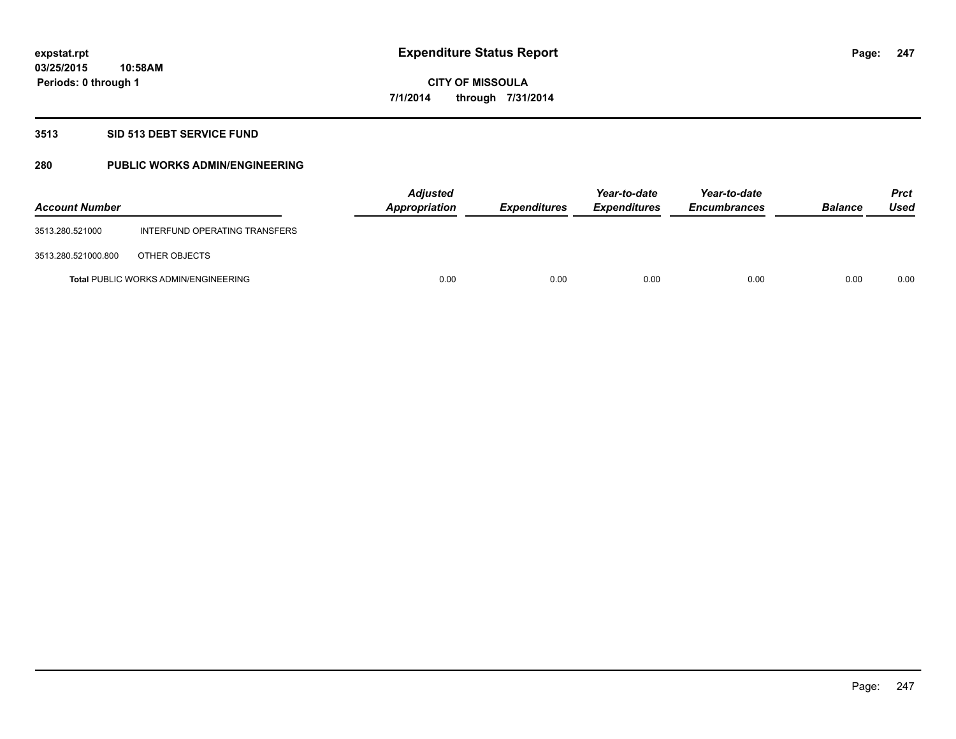### **3513 SID 513 DEBT SERVICE FUND**

## **280 PUBLIC WORKS ADMIN/ENGINEERING**

| <b>Account Number</b> |                                             | <b>Adjusted</b><br>Appropriation | <b>Expenditures</b> | Year-to-date<br><b>Expenditures</b> | Year-to-date<br><b>Encumbrances</b> | <b>Balance</b> | <b>Prct</b><br>Used |
|-----------------------|---------------------------------------------|----------------------------------|---------------------|-------------------------------------|-------------------------------------|----------------|---------------------|
| 3513.280.521000       | INTERFUND OPERATING TRANSFERS               |                                  |                     |                                     |                                     |                |                     |
| 3513.280.521000.800   | OTHER OBJECTS                               |                                  |                     |                                     |                                     |                |                     |
|                       | <b>Total PUBLIC WORKS ADMIN/ENGINEERING</b> | 0.00                             | 0.00                | 0.00                                | 0.00                                | 0.00           | 0.00                |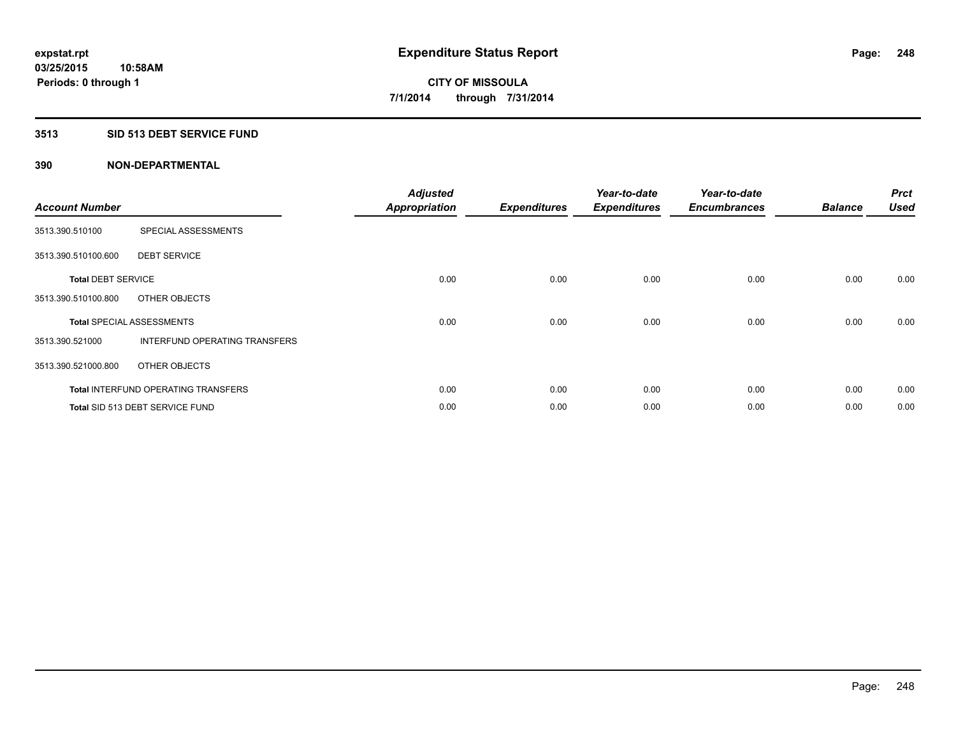### **3513 SID 513 DEBT SERVICE FUND**

| <b>Account Number</b>     |                                            | <b>Adjusted</b><br><b>Appropriation</b> | <b>Expenditures</b> | Year-to-date<br><b>Expenditures</b> | Year-to-date<br><b>Encumbrances</b> | <b>Balance</b> | <b>Prct</b><br><b>Used</b> |
|---------------------------|--------------------------------------------|-----------------------------------------|---------------------|-------------------------------------|-------------------------------------|----------------|----------------------------|
| 3513.390.510100           | SPECIAL ASSESSMENTS                        |                                         |                     |                                     |                                     |                |                            |
| 3513.390.510100.600       | <b>DEBT SERVICE</b>                        |                                         |                     |                                     |                                     |                |                            |
| <b>Total DEBT SERVICE</b> |                                            | 0.00                                    | 0.00                | 0.00                                | 0.00                                | 0.00           | 0.00                       |
| 3513.390.510100.800       | OTHER OBJECTS                              |                                         |                     |                                     |                                     |                |                            |
|                           | <b>Total SPECIAL ASSESSMENTS</b>           | 0.00                                    | 0.00                | 0.00                                | 0.00                                | 0.00           | 0.00                       |
| 3513.390.521000           | INTERFUND OPERATING TRANSFERS              |                                         |                     |                                     |                                     |                |                            |
| 3513.390.521000.800       | OTHER OBJECTS                              |                                         |                     |                                     |                                     |                |                            |
|                           | <b>Total INTERFUND OPERATING TRANSFERS</b> | 0.00                                    | 0.00                | 0.00                                | 0.00                                | 0.00           | 0.00                       |
|                           | Total SID 513 DEBT SERVICE FUND            | 0.00                                    | 0.00                | 0.00                                | 0.00                                | 0.00           | 0.00                       |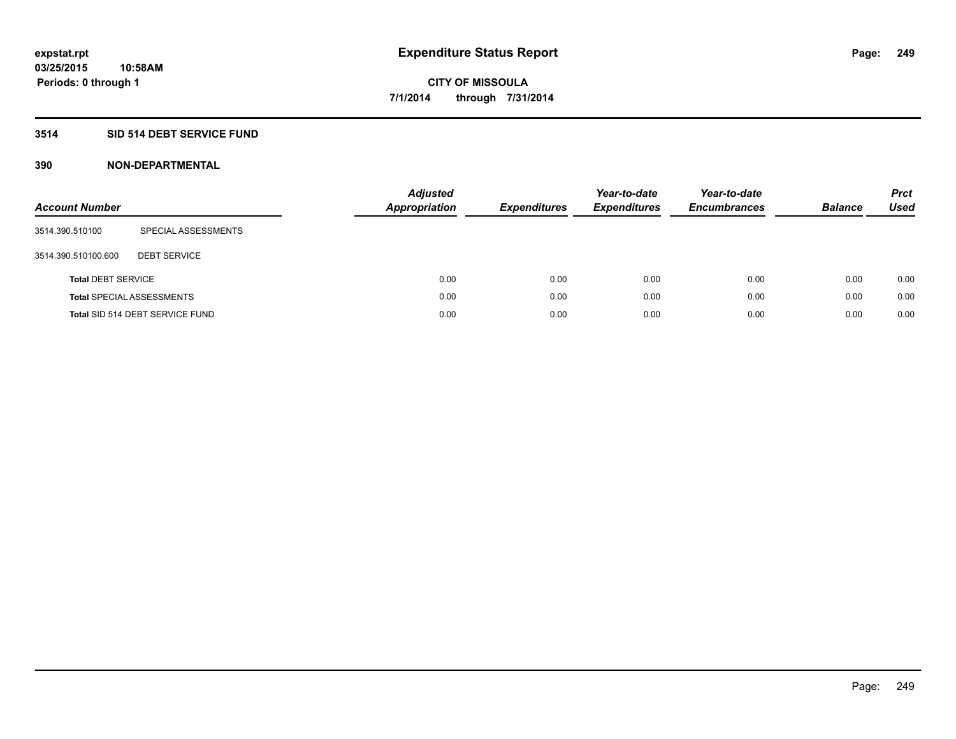## **3514 SID 514 DEBT SERVICE FUND**

| <b>Account Number</b>     |                                  | <b>Adjusted</b><br><b>Appropriation</b> | <b>Expenditures</b> | Year-to-date<br><b>Expenditures</b> | Year-to-date<br><b>Encumbrances</b> | <b>Balance</b> | <b>Prct</b><br>Used |
|---------------------------|----------------------------------|-----------------------------------------|---------------------|-------------------------------------|-------------------------------------|----------------|---------------------|
| 3514.390.510100           | SPECIAL ASSESSMENTS              |                                         |                     |                                     |                                     |                |                     |
| 3514.390.510100.600       | <b>DEBT SERVICE</b>              |                                         |                     |                                     |                                     |                |                     |
| <b>Total DEBT SERVICE</b> |                                  |                                         | 0.00<br>0.00        | 0.00                                | 0.00                                | 0.00           | 0.00                |
|                           | <b>Total SPECIAL ASSESSMENTS</b> |                                         | 0.00<br>0.00        | 0.00                                | 0.00                                | 0.00           | 0.00                |
|                           | Total SID 514 DEBT SERVICE FUND  |                                         | 0.00<br>0.00        | 0.00                                | 0.00                                | 0.00           | 0.00                |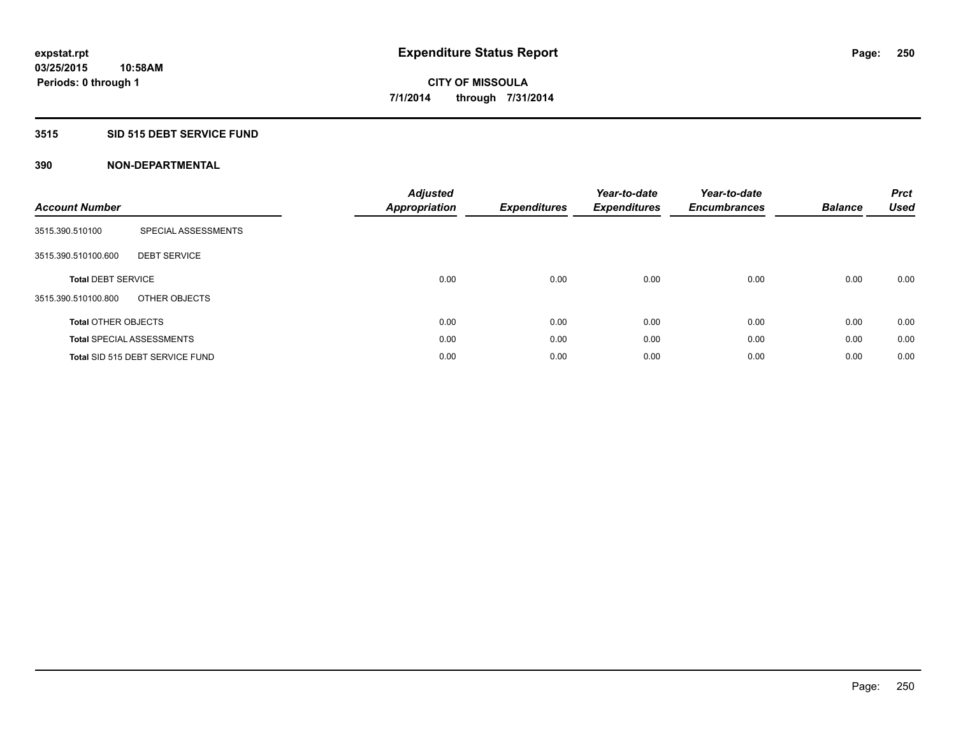## **3515 SID 515 DEBT SERVICE FUND**

| <b>Account Number</b>      |                                  | <b>Adjusted</b><br><b>Appropriation</b> | <b>Expenditures</b> | Year-to-date<br><b>Expenditures</b> | Year-to-date<br><b>Encumbrances</b> | <b>Balance</b> | <b>Prct</b><br><b>Used</b> |
|----------------------------|----------------------------------|-----------------------------------------|---------------------|-------------------------------------|-------------------------------------|----------------|----------------------------|
| 3515.390.510100            | SPECIAL ASSESSMENTS              |                                         |                     |                                     |                                     |                |                            |
| 3515.390.510100.600        | <b>DEBT SERVICE</b>              |                                         |                     |                                     |                                     |                |                            |
| <b>Total DEBT SERVICE</b>  |                                  | 0.00                                    | 0.00                | 0.00                                | 0.00                                | 0.00           | 0.00                       |
| 3515.390.510100.800        | OTHER OBJECTS                    |                                         |                     |                                     |                                     |                |                            |
| <b>Total OTHER OBJECTS</b> |                                  | 0.00                                    | 0.00                | 0.00                                | 0.00                                | 0.00           | 0.00                       |
|                            | <b>Total SPECIAL ASSESSMENTS</b> | 0.00                                    | 0.00                | 0.00                                | 0.00                                | 0.00           | 0.00                       |
|                            | Total SID 515 DEBT SERVICE FUND  | 0.00                                    | 0.00                | 0.00                                | 0.00                                | 0.00           | 0.00                       |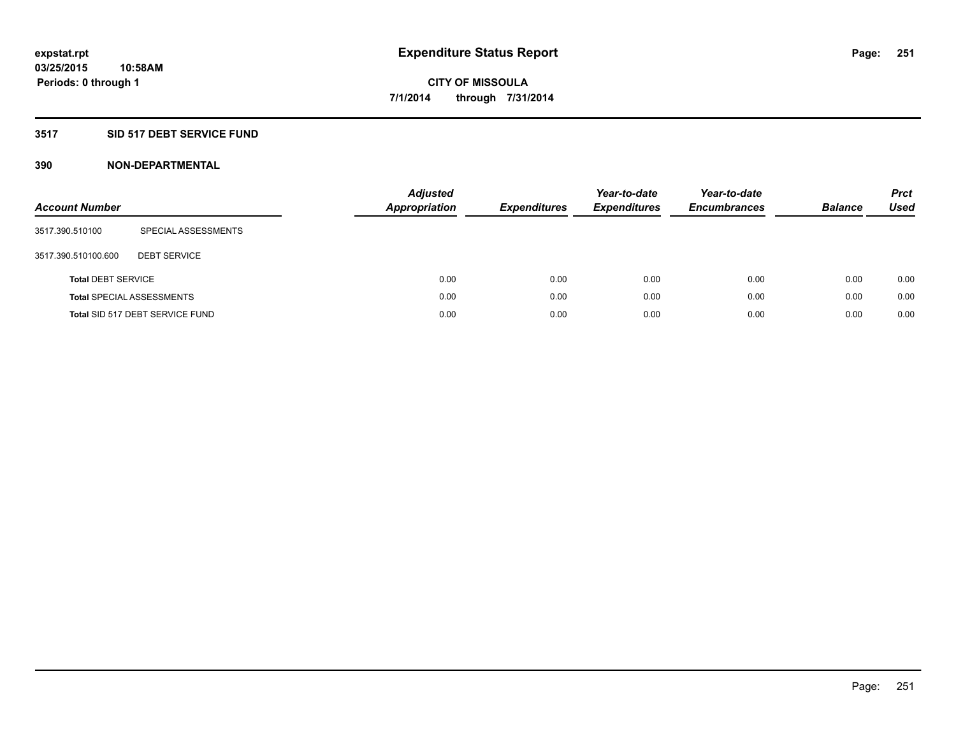## **3517 SID 517 DEBT SERVICE FUND**

| <b>Account Number</b>     |                                  | <b>Adjusted</b><br><b>Appropriation</b> | <b>Expenditures</b> | Year-to-date<br><b>Expenditures</b> | Year-to-date<br><b>Encumbrances</b> | <b>Balance</b> | <b>Prct</b><br>Used |
|---------------------------|----------------------------------|-----------------------------------------|---------------------|-------------------------------------|-------------------------------------|----------------|---------------------|
| 3517.390.510100           | SPECIAL ASSESSMENTS              |                                         |                     |                                     |                                     |                |                     |
| 3517.390.510100.600       | <b>DEBT SERVICE</b>              |                                         |                     |                                     |                                     |                |                     |
| <b>Total DEBT SERVICE</b> |                                  | 0.00                                    | 0.00                | 0.00                                | 0.00                                | 0.00           | 0.00                |
|                           | <b>Total SPECIAL ASSESSMENTS</b> | 0.00                                    | 0.00                | 0.00                                | 0.00                                | 0.00           | 0.00                |
|                           | Total SID 517 DEBT SERVICE FUND  | 0.00                                    | 0.00                | 0.00                                | 0.00                                | 0.00           | 0.00                |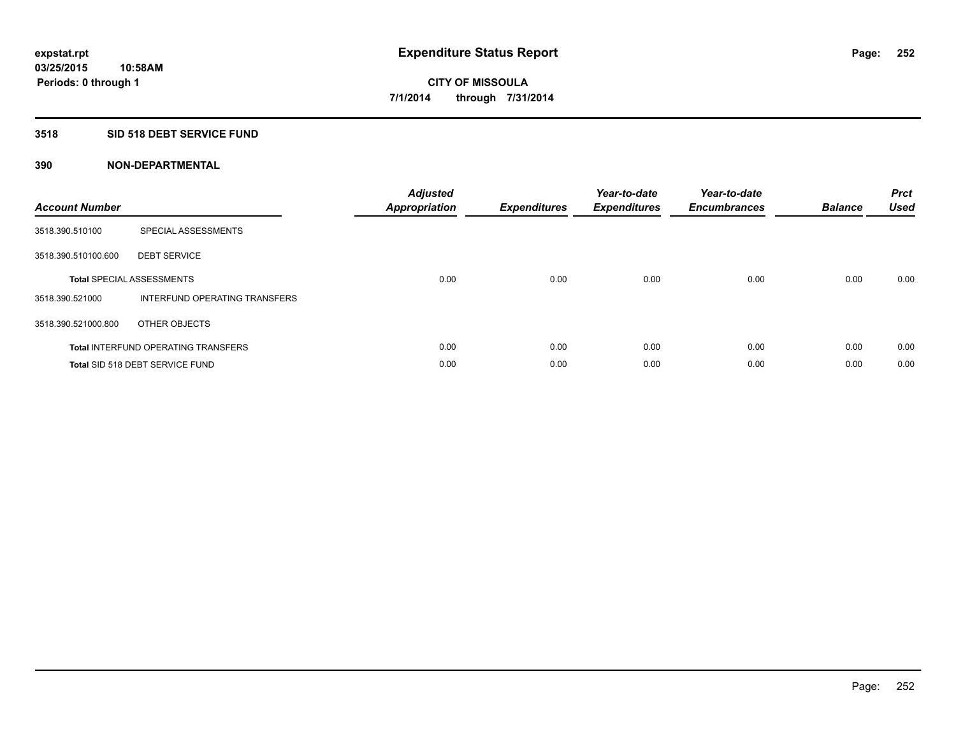### **3518 SID 518 DEBT SERVICE FUND**

| <b>Account Number</b> |                                            | <b>Adjusted</b><br>Appropriation | <b>Expenditures</b> | Year-to-date<br><b>Expenditures</b> | Year-to-date<br><b>Encumbrances</b> | <b>Balance</b> | <b>Prct</b><br><b>Used</b> |
|-----------------------|--------------------------------------------|----------------------------------|---------------------|-------------------------------------|-------------------------------------|----------------|----------------------------|
| 3518.390.510100       | SPECIAL ASSESSMENTS                        |                                  |                     |                                     |                                     |                |                            |
| 3518.390.510100.600   | <b>DEBT SERVICE</b>                        |                                  |                     |                                     |                                     |                |                            |
|                       | <b>Total SPECIAL ASSESSMENTS</b>           | 0.00                             | 0.00                | 0.00                                | 0.00                                | 0.00           | 0.00                       |
| 3518.390.521000       | INTERFUND OPERATING TRANSFERS              |                                  |                     |                                     |                                     |                |                            |
| 3518.390.521000.800   | OTHER OBJECTS                              |                                  |                     |                                     |                                     |                |                            |
|                       | <b>Total INTERFUND OPERATING TRANSFERS</b> | 0.00                             | 0.00                | 0.00                                | 0.00                                | 0.00           | 0.00                       |
|                       | Total SID 518 DEBT SERVICE FUND            | 0.00                             | 0.00                | 0.00                                | 0.00                                | 0.00           | 0.00                       |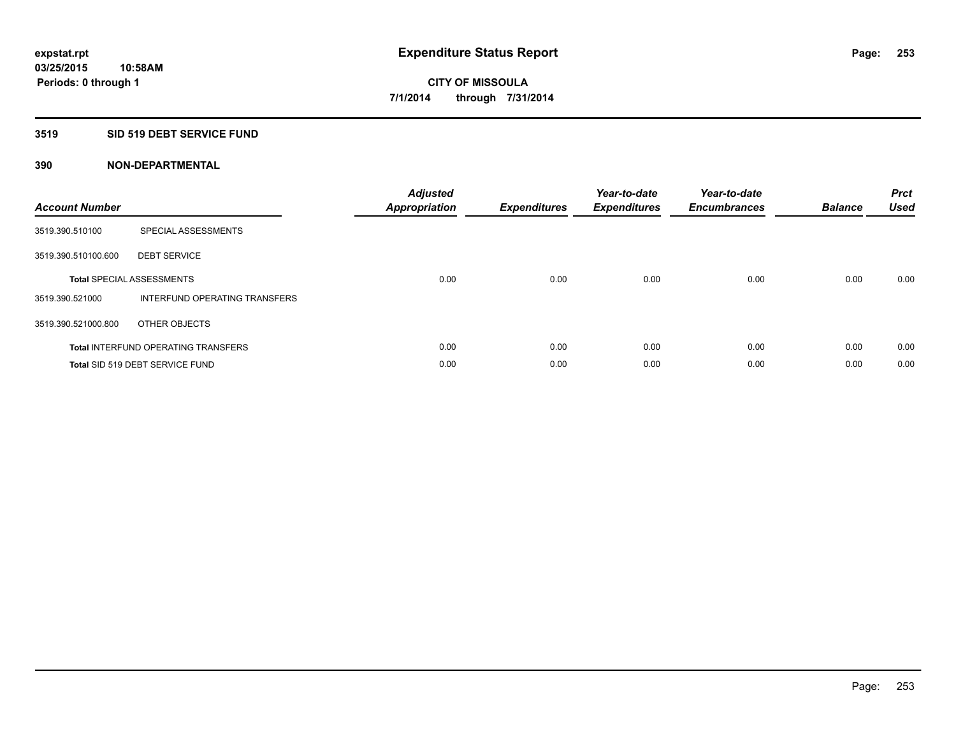#### **3519 SID 519 DEBT SERVICE FUND**

| <b>Account Number</b> |                                            | <b>Adjusted</b><br>Appropriation | <b>Expenditures</b> | Year-to-date<br><b>Expenditures</b> | Year-to-date<br><b>Encumbrances</b> | <b>Balance</b> | <b>Prct</b><br><b>Used</b> |
|-----------------------|--------------------------------------------|----------------------------------|---------------------|-------------------------------------|-------------------------------------|----------------|----------------------------|
| 3519.390.510100       | SPECIAL ASSESSMENTS                        |                                  |                     |                                     |                                     |                |                            |
| 3519.390.510100.600   | <b>DEBT SERVICE</b>                        |                                  |                     |                                     |                                     |                |                            |
|                       | <b>Total SPECIAL ASSESSMENTS</b>           | 0.00                             | 0.00                | 0.00                                | 0.00                                | 0.00           | 0.00                       |
| 3519.390.521000       | INTERFUND OPERATING TRANSFERS              |                                  |                     |                                     |                                     |                |                            |
| 3519.390.521000.800   | OTHER OBJECTS                              |                                  |                     |                                     |                                     |                |                            |
|                       | <b>Total INTERFUND OPERATING TRANSFERS</b> | 0.00                             | 0.00                | 0.00                                | 0.00                                | 0.00           | 0.00                       |
|                       | Total SID 519 DEBT SERVICE FUND            | 0.00                             | 0.00                | 0.00                                | 0.00                                | 0.00           | 0.00                       |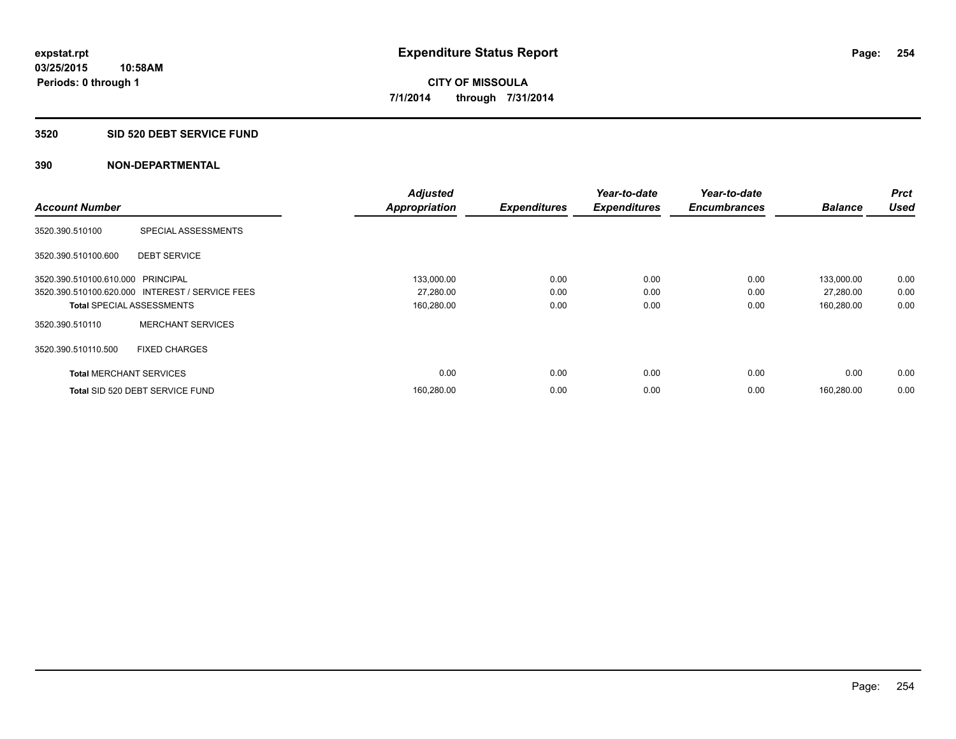#### **3520 SID 520 DEBT SERVICE FUND**

| <b>Account Number</b>             |                                                 | <b>Adjusted</b>      |                     | Year-to-date        | Year-to-date<br><b>Encumbrances</b> | <b>Balance</b> | <b>Prct</b><br><b>Used</b> |
|-----------------------------------|-------------------------------------------------|----------------------|---------------------|---------------------|-------------------------------------|----------------|----------------------------|
|                                   |                                                 | <b>Appropriation</b> | <b>Expenditures</b> | <b>Expenditures</b> |                                     |                |                            |
| 3520.390.510100                   | SPECIAL ASSESSMENTS                             |                      |                     |                     |                                     |                |                            |
| 3520.390.510100.600               | <b>DEBT SERVICE</b>                             |                      |                     |                     |                                     |                |                            |
| 3520.390.510100.610.000 PRINCIPAL |                                                 | 133,000.00           | 0.00                | 0.00                | 0.00                                | 133,000.00     | 0.00                       |
|                                   | 3520.390.510100.620.000 INTEREST / SERVICE FEES | 27,280.00            | 0.00                | 0.00                | 0.00                                | 27,280.00      | 0.00                       |
| <b>Total SPECIAL ASSESSMENTS</b>  |                                                 | 160,280.00           | 0.00                | 0.00                | 0.00                                | 160,280.00     | 0.00                       |
| 3520.390.510110                   | <b>MERCHANT SERVICES</b>                        |                      |                     |                     |                                     |                |                            |
| 3520.390.510110.500               | <b>FIXED CHARGES</b>                            |                      |                     |                     |                                     |                |                            |
| <b>Total MERCHANT SERVICES</b>    |                                                 | 0.00                 | 0.00                | 0.00                | 0.00                                | 0.00           | 0.00                       |
|                                   | Total SID 520 DEBT SERVICE FUND                 | 160,280.00           | 0.00                | 0.00                | 0.00                                | 160.280.00     | 0.00                       |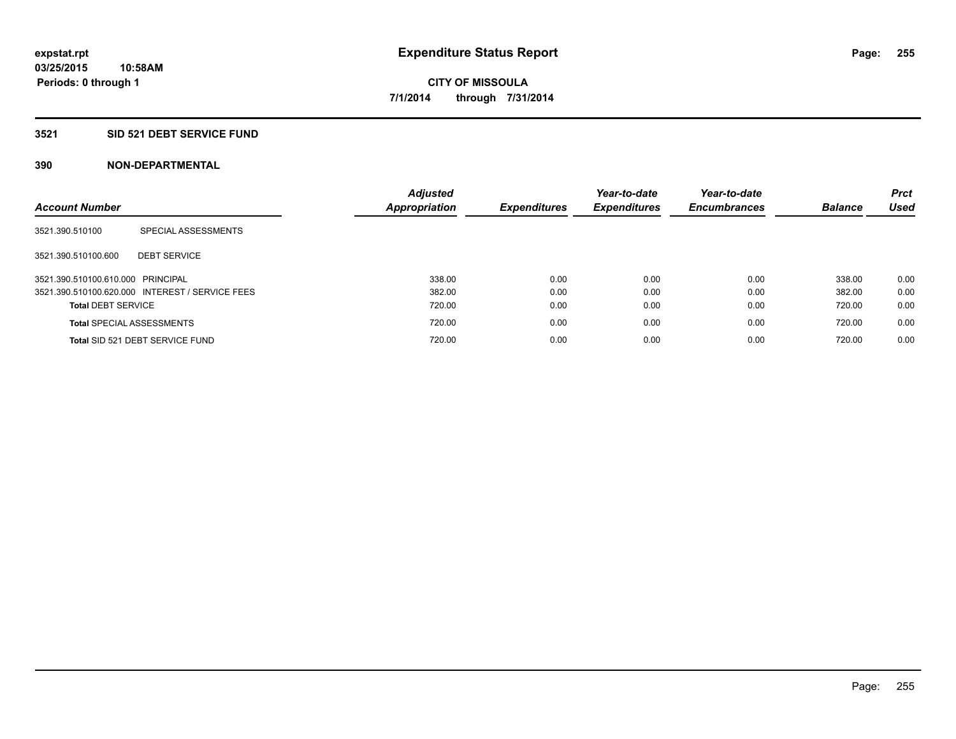#### **3521 SID 521 DEBT SERVICE FUND**

| <b>Account Number</b>             |                                                 | <b>Adjusted</b><br>Appropriation | <b>Expenditures</b> | Year-to-date<br><b>Expenditures</b> | Year-to-date<br><b>Encumbrances</b> | <b>Balance</b> | <b>Prct</b><br>Used |
|-----------------------------------|-------------------------------------------------|----------------------------------|---------------------|-------------------------------------|-------------------------------------|----------------|---------------------|
| 3521.390.510100                   | SPECIAL ASSESSMENTS                             |                                  |                     |                                     |                                     |                |                     |
| 3521.390.510100.600               | <b>DEBT SERVICE</b>                             |                                  |                     |                                     |                                     |                |                     |
| 3521.390.510100.610.000 PRINCIPAL |                                                 | 338.00                           | 0.00                | 0.00                                | 0.00                                | 338.00         | 0.00                |
|                                   | 3521.390.510100.620.000 INTEREST / SERVICE FEES | 382.00                           | 0.00                | 0.00                                | 0.00                                | 382.00         | 0.00                |
| <b>Total DEBT SERVICE</b>         |                                                 | 720.00                           | 0.00                | 0.00                                | 0.00                                | 720.00         | 0.00                |
|                                   | <b>Total SPECIAL ASSESSMENTS</b>                | 720.00                           | 0.00                | 0.00                                | 0.00                                | 720.00         | 0.00                |
|                                   | Total SID 521 DEBT SERVICE FUND                 | 720.00                           | 0.00                | 0.00                                | 0.00                                | 720.00         | 0.00                |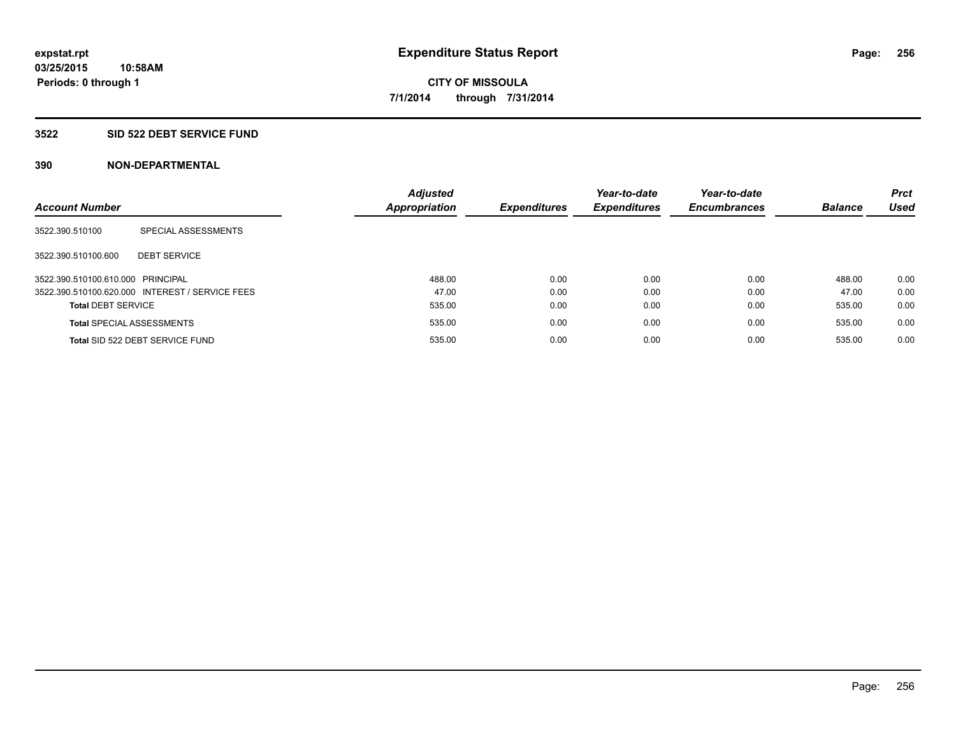#### **3522 SID 522 DEBT SERVICE FUND**

| <b>Account Number</b>             |                                                 | <b>Adjusted</b><br><b>Appropriation</b> | <b>Expenditures</b> | Year-to-date<br><b>Expenditures</b> | Year-to-date<br><b>Encumbrances</b> | <b>Balance</b> | <b>Prct</b><br><b>Used</b> |
|-----------------------------------|-------------------------------------------------|-----------------------------------------|---------------------|-------------------------------------|-------------------------------------|----------------|----------------------------|
| 3522.390.510100                   | SPECIAL ASSESSMENTS                             |                                         |                     |                                     |                                     |                |                            |
| 3522.390.510100.600               | <b>DEBT SERVICE</b>                             |                                         |                     |                                     |                                     |                |                            |
| 3522.390.510100.610.000 PRINCIPAL |                                                 | 488.00                                  | 0.00                | 0.00                                | 0.00                                | 488.00         | 0.00                       |
|                                   | 3522.390.510100.620.000 INTEREST / SERVICE FEES | 47.00                                   | 0.00                | 0.00                                | 0.00                                | 47.00          | 0.00                       |
| <b>Total DEBT SERVICE</b>         |                                                 | 535.00                                  | 0.00                | 0.00                                | 0.00                                | 535.00         | 0.00                       |
|                                   | <b>Total SPECIAL ASSESSMENTS</b>                | 535.00                                  | 0.00                | 0.00                                | 0.00                                | 535.00         | 0.00                       |
|                                   | Total SID 522 DEBT SERVICE FUND                 | 535.00                                  | 0.00                | 0.00                                | 0.00                                | 535.00         | 0.00                       |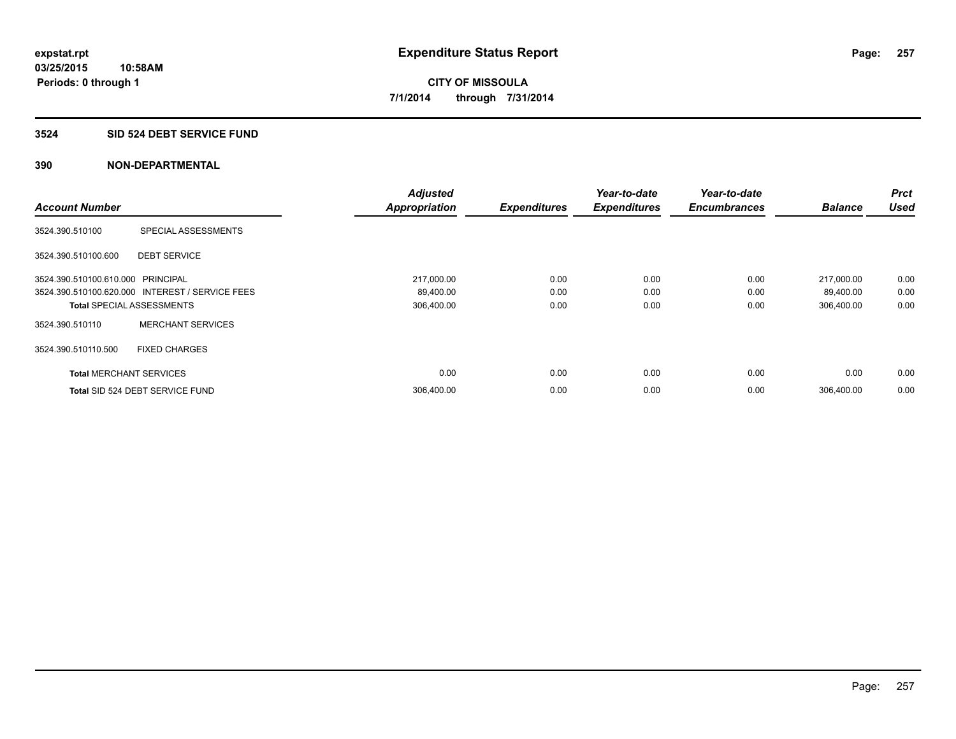#### **3524 SID 524 DEBT SERVICE FUND**

|                                   |                                                 | <b>Adjusted</b>      |                     | Year-to-date        | Year-to-date        |                | Prct        |
|-----------------------------------|-------------------------------------------------|----------------------|---------------------|---------------------|---------------------|----------------|-------------|
| <b>Account Number</b>             |                                                 | <b>Appropriation</b> | <b>Expenditures</b> | <b>Expenditures</b> | <b>Encumbrances</b> | <b>Balance</b> | <b>Used</b> |
| 3524.390.510100                   | SPECIAL ASSESSMENTS                             |                      |                     |                     |                     |                |             |
| 3524.390.510100.600               | <b>DEBT SERVICE</b>                             |                      |                     |                     |                     |                |             |
| 3524.390.510100.610.000 PRINCIPAL |                                                 | 217,000.00           | 0.00                | 0.00                | 0.00                | 217,000.00     | 0.00        |
|                                   | 3524.390.510100.620.000 INTEREST / SERVICE FEES | 89,400.00            | 0.00                | 0.00                | 0.00                | 89,400.00      | 0.00        |
| <b>Total SPECIAL ASSESSMENTS</b>  |                                                 | 306,400.00           | 0.00                | 0.00                | 0.00                | 306,400.00     | 0.00        |
| 3524.390.510110                   | <b>MERCHANT SERVICES</b>                        |                      |                     |                     |                     |                |             |
| 3524.390.510110.500               | <b>FIXED CHARGES</b>                            |                      |                     |                     |                     |                |             |
| <b>Total MERCHANT SERVICES</b>    |                                                 | 0.00                 | 0.00                | 0.00                | 0.00                | 0.00           | 0.00        |
|                                   | Total SID 524 DEBT SERVICE FUND                 | 306,400.00           | 0.00                | 0.00                | 0.00                | 306.400.00     | 0.00        |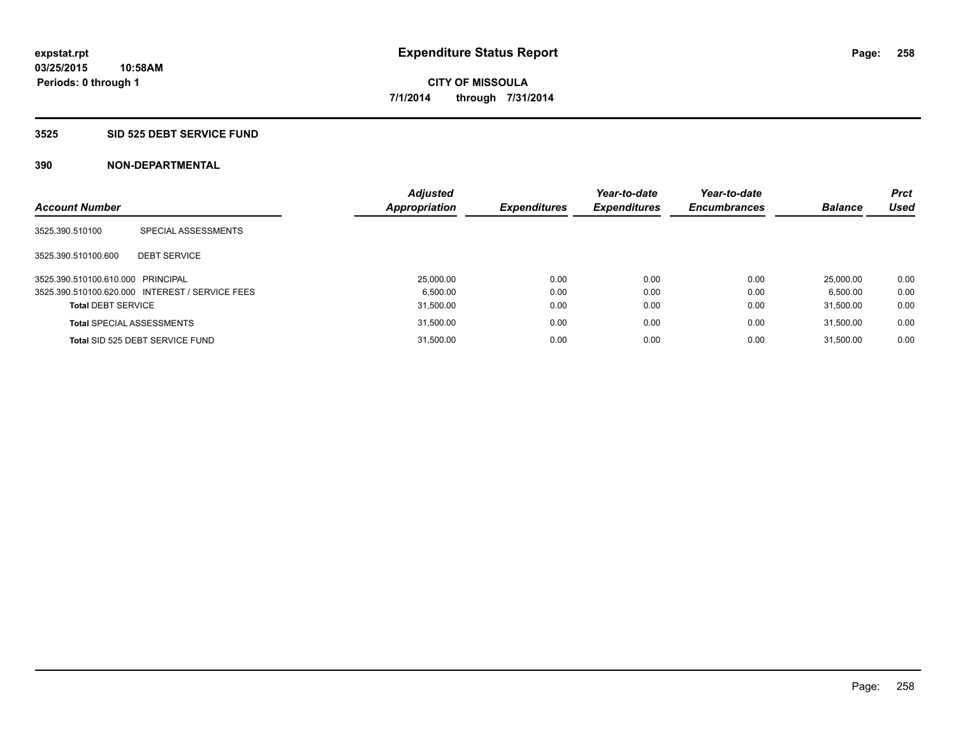#### **3525 SID 525 DEBT SERVICE FUND**

| <b>Account Number</b>             |                                                 | <b>Adjusted</b><br>Appropriation | <b>Expenditures</b> | Year-to-date<br><b>Expenditures</b> | Year-to-date<br><b>Encumbrances</b> | <b>Balance</b> | <b>Prct</b><br><b>Used</b> |
|-----------------------------------|-------------------------------------------------|----------------------------------|---------------------|-------------------------------------|-------------------------------------|----------------|----------------------------|
|                                   |                                                 |                                  |                     |                                     |                                     |                |                            |
| 3525.390.510100                   | SPECIAL ASSESSMENTS                             |                                  |                     |                                     |                                     |                |                            |
| 3525.390.510100.600               | <b>DEBT SERVICE</b>                             |                                  |                     |                                     |                                     |                |                            |
| 3525.390.510100.610.000 PRINCIPAL |                                                 | 25,000.00                        | 0.00                | 0.00                                | 0.00                                | 25.000.00      | 0.00                       |
|                                   | 3525.390.510100.620.000 INTEREST / SERVICE FEES | 6.500.00                         | 0.00                | 0.00                                | 0.00                                | 6.500.00       | 0.00                       |
| <b>Total DEBT SERVICE</b>         |                                                 | 31.500.00                        | 0.00                | 0.00                                | 0.00                                | 31.500.00      | 0.00                       |
|                                   | <b>Total SPECIAL ASSESSMENTS</b>                | 31,500.00                        | 0.00                | 0.00                                | 0.00                                | 31.500.00      | 0.00                       |
|                                   | Total SID 525 DEBT SERVICE FUND                 | 31.500.00                        | 0.00                | 0.00                                | 0.00                                | 31.500.00      | 0.00                       |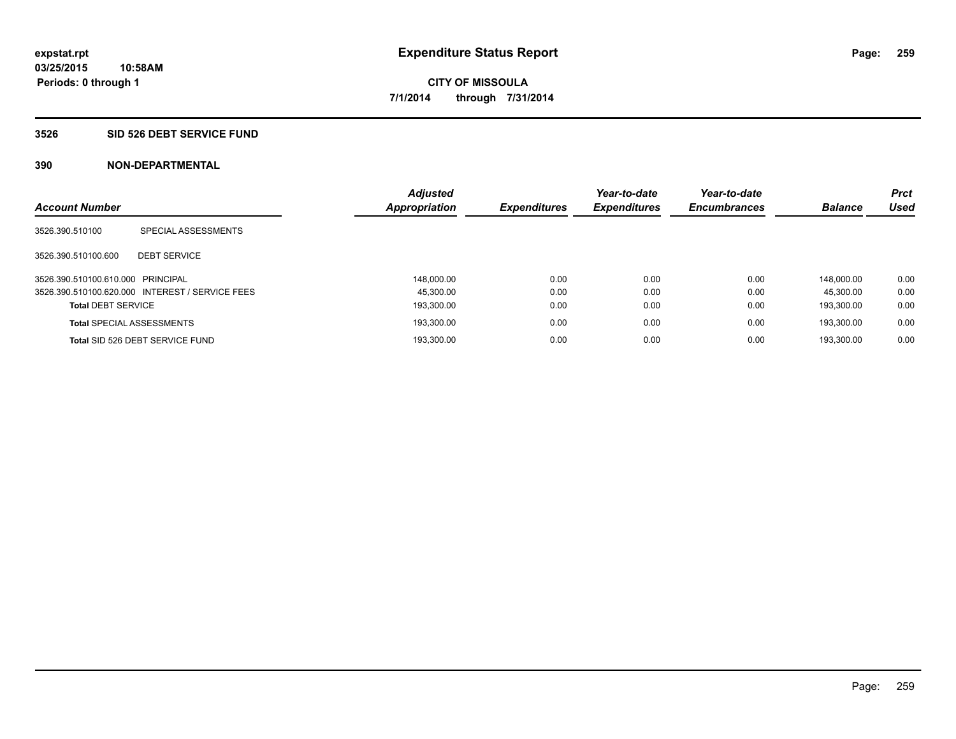#### **3526 SID 526 DEBT SERVICE FUND**

| <b>Account Number</b>             |                                                 | <b>Adjusted</b><br>Appropriation | <b>Expenditures</b> | Year-to-date<br><b>Expenditures</b> | Year-to-date<br><b>Encumbrances</b> | <b>Balance</b> | <b>Prct</b><br><b>Used</b> |
|-----------------------------------|-------------------------------------------------|----------------------------------|---------------------|-------------------------------------|-------------------------------------|----------------|----------------------------|
|                                   |                                                 |                                  |                     |                                     |                                     |                |                            |
| 3526.390.510100                   | SPECIAL ASSESSMENTS                             |                                  |                     |                                     |                                     |                |                            |
|                                   |                                                 |                                  |                     |                                     |                                     |                |                            |
| 3526.390.510100.600               | <b>DEBT SERVICE</b>                             |                                  |                     |                                     |                                     |                |                            |
| 3526.390.510100.610.000 PRINCIPAL |                                                 | 148.000.00                       | 0.00                | 0.00                                | 0.00                                | 148.000.00     | 0.00                       |
|                                   | 3526.390.510100.620.000 INTEREST / SERVICE FEES | 45.300.00                        | 0.00                | 0.00                                | 0.00                                | 45.300.00      | 0.00                       |
| <b>Total DEBT SERVICE</b>         |                                                 | 193.300.00                       | 0.00                | 0.00                                | 0.00                                | 193.300.00     | 0.00                       |
|                                   | <b>Total SPECIAL ASSESSMENTS</b>                | 193,300.00                       | 0.00                | 0.00                                | 0.00                                | 193.300.00     | 0.00                       |
|                                   | Total SID 526 DEBT SERVICE FUND                 | 193.300.00                       | 0.00                | 0.00                                | 0.00                                | 193.300.00     | 0.00                       |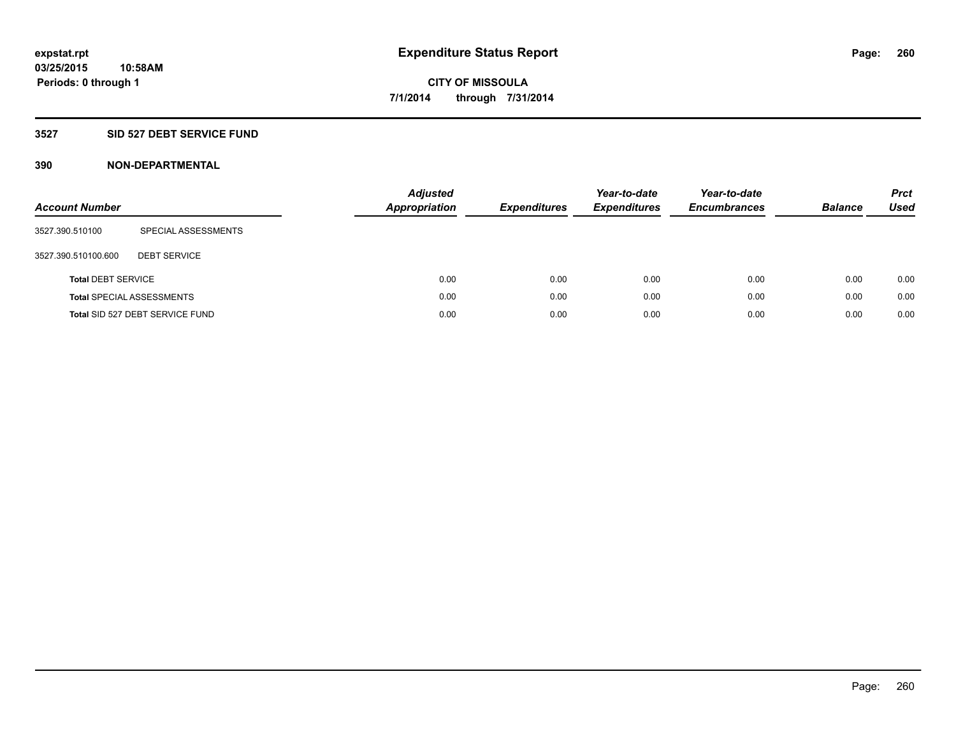### **3527 SID 527 DEBT SERVICE FUND**

| <b>Account Number</b>     |                                  | <b>Adjusted</b><br><b>Appropriation</b> | <b>Expenditures</b> | Year-to-date<br><b>Expenditures</b> | Year-to-date<br><b>Encumbrances</b> | <b>Balance</b> | <b>Prct</b><br>Used |
|---------------------------|----------------------------------|-----------------------------------------|---------------------|-------------------------------------|-------------------------------------|----------------|---------------------|
| 3527.390.510100           | SPECIAL ASSESSMENTS              |                                         |                     |                                     |                                     |                |                     |
| 3527.390.510100.600       | <b>DEBT SERVICE</b>              |                                         |                     |                                     |                                     |                |                     |
| <b>Total DEBT SERVICE</b> |                                  | 0.00                                    | 0.00                | 0.00                                | 0.00                                | 0.00           | 0.00                |
|                           | <b>Total SPECIAL ASSESSMENTS</b> | 0.00                                    | 0.00                | 0.00                                | 0.00                                | 0.00           | 0.00                |
|                           | Total SID 527 DEBT SERVICE FUND  | 0.00                                    | 0.00                | 0.00                                | 0.00                                | 0.00           | 0.00                |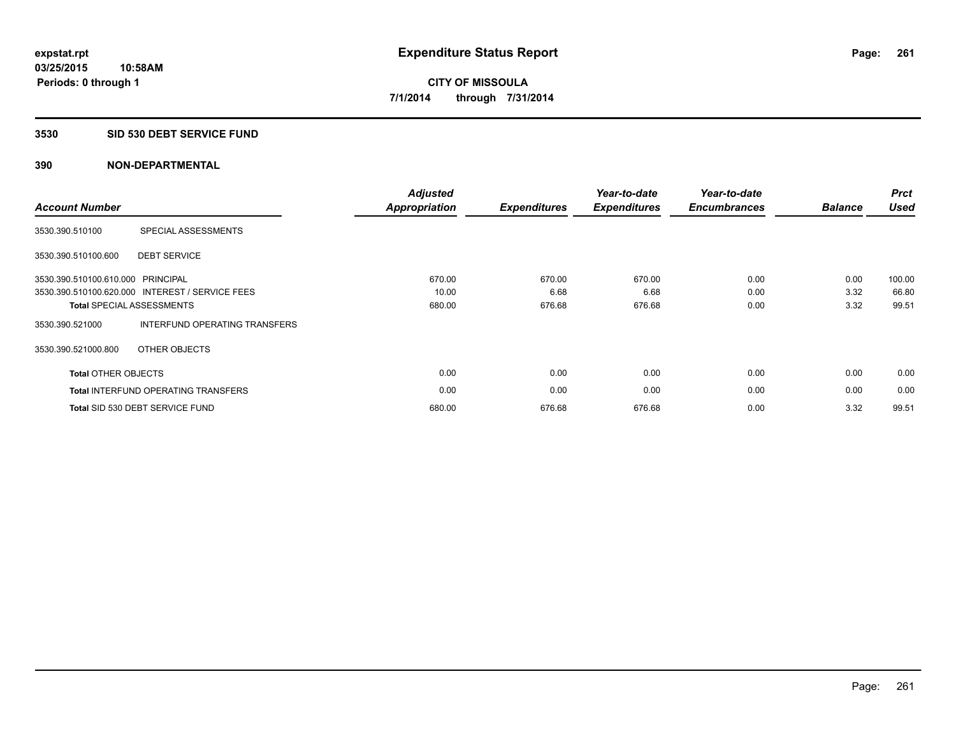#### **3530 SID 530 DEBT SERVICE FUND**

| <b>Account Number</b>             |                                                 | <b>Adjusted</b><br><b>Appropriation</b> | <b>Expenditures</b> | Year-to-date<br><b>Expenditures</b> | Year-to-date<br><b>Encumbrances</b> | <b>Balance</b> | <b>Prct</b><br><b>Used</b> |
|-----------------------------------|-------------------------------------------------|-----------------------------------------|---------------------|-------------------------------------|-------------------------------------|----------------|----------------------------|
| 3530.390.510100                   | SPECIAL ASSESSMENTS                             |                                         |                     |                                     |                                     |                |                            |
| 3530.390.510100.600               | <b>DEBT SERVICE</b>                             |                                         |                     |                                     |                                     |                |                            |
| 3530.390.510100.610.000 PRINCIPAL |                                                 | 670.00                                  | 670.00              | 670.00                              | 0.00                                | 0.00           | 100.00                     |
|                                   | 3530.390.510100.620.000 INTEREST / SERVICE FEES | 10.00                                   | 6.68                | 6.68                                | 0.00                                | 3.32           | 66.80                      |
|                                   | <b>Total SPECIAL ASSESSMENTS</b>                | 680.00                                  | 676.68              | 676.68                              | 0.00                                | 3.32           | 99.51                      |
| 3530.390.521000                   | INTERFUND OPERATING TRANSFERS                   |                                         |                     |                                     |                                     |                |                            |
| 3530.390.521000.800               | OTHER OBJECTS                                   |                                         |                     |                                     |                                     |                |                            |
| <b>Total OTHER OBJECTS</b>        |                                                 | 0.00                                    | 0.00                | 0.00                                | 0.00                                | 0.00           | 0.00                       |
|                                   | <b>Total INTERFUND OPERATING TRANSFERS</b>      | 0.00                                    | 0.00                | 0.00                                | 0.00                                | 0.00           | 0.00                       |
|                                   | Total SID 530 DEBT SERVICE FUND                 | 680.00                                  | 676.68              | 676.68                              | 0.00                                | 3.32           | 99.51                      |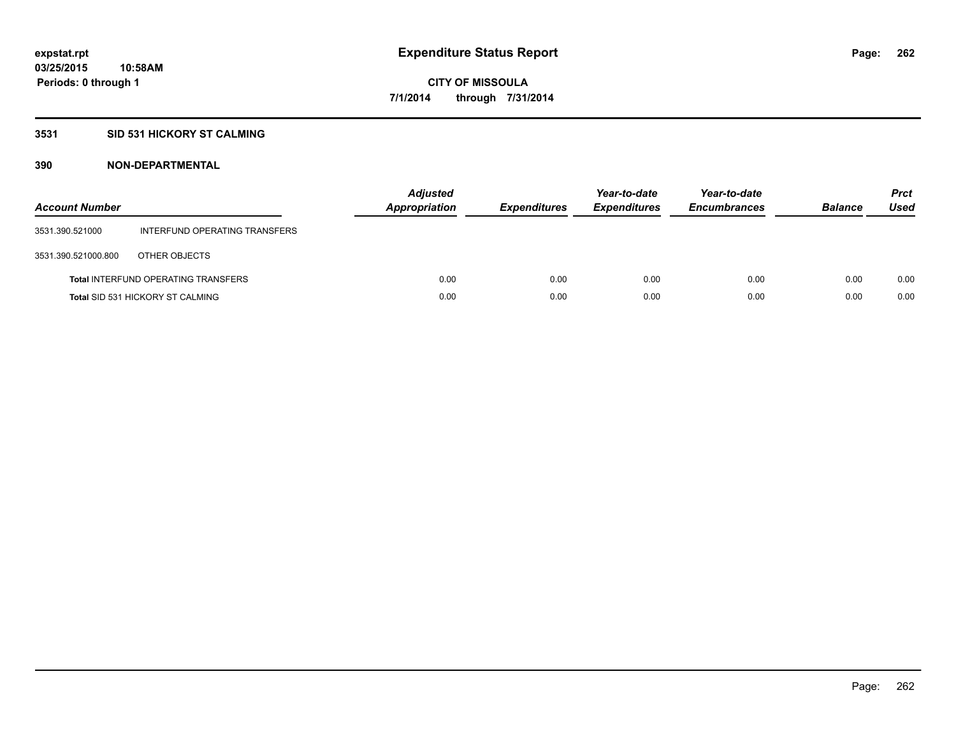### **3531 SID 531 HICKORY ST CALMING**

| <b>Account Number</b> |                                            | <b>Adjusted</b><br><b>Appropriation</b> | <b>Expenditures</b> | Year-to-date<br><b>Expenditures</b> | Year-to-date<br><b>Encumbrances</b> | <b>Balance</b> | <b>Prct</b><br>Used |
|-----------------------|--------------------------------------------|-----------------------------------------|---------------------|-------------------------------------|-------------------------------------|----------------|---------------------|
| 3531.390.521000       | INTERFUND OPERATING TRANSFERS              |                                         |                     |                                     |                                     |                |                     |
| 3531.390.521000.800   | OTHER OBJECTS                              |                                         |                     |                                     |                                     |                |                     |
|                       | <b>Total INTERFUND OPERATING TRANSFERS</b> | 0.00                                    | 0.00                | 0.00                                | 0.00                                | 0.00           | 0.00                |
|                       | <b>Total SID 531 HICKORY ST CALMING</b>    | 0.00                                    | 0.00                | 0.00                                | 0.00                                | 0.00           | 0.00                |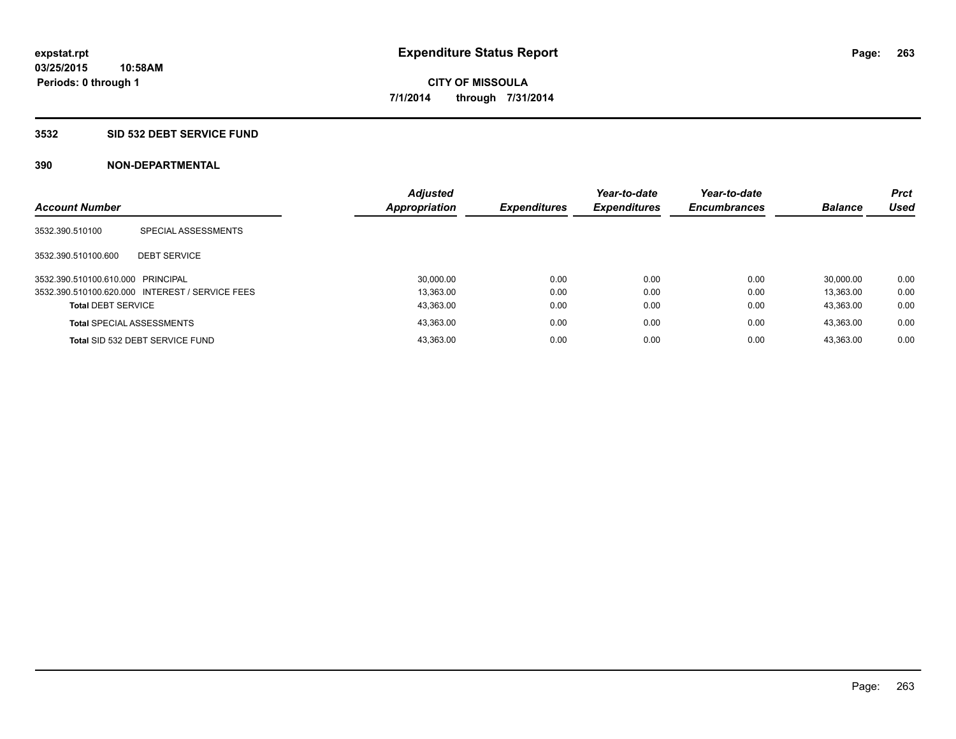#### **3532 SID 532 DEBT SERVICE FUND**

| <b>Account Number</b>             |                                                 | <b>Adjusted</b><br>Appropriation | <b>Expenditures</b> | Year-to-date<br><b>Expenditures</b> | Year-to-date<br><b>Encumbrances</b> | <b>Balance</b> | <b>Prct</b><br><b>Used</b> |
|-----------------------------------|-------------------------------------------------|----------------------------------|---------------------|-------------------------------------|-------------------------------------|----------------|----------------------------|
| 3532.390.510100                   | SPECIAL ASSESSMENTS                             |                                  |                     |                                     |                                     |                |                            |
| 3532.390.510100.600               | <b>DEBT SERVICE</b>                             |                                  |                     |                                     |                                     |                |                            |
| 3532.390.510100.610.000 PRINCIPAL |                                                 | 30,000.00                        | 0.00                | 0.00                                | 0.00                                | 30.000.00      | 0.00                       |
|                                   | 3532.390.510100.620.000 INTEREST / SERVICE FEES | 13.363.00                        | 0.00                | 0.00                                | 0.00                                | 13.363.00      | 0.00                       |
| <b>Total DEBT SERVICE</b>         |                                                 | 43,363.00                        | 0.00                | 0.00                                | 0.00                                | 43.363.00      | 0.00                       |
|                                   | <b>Total SPECIAL ASSESSMENTS</b>                | 43.363.00                        | 0.00                | 0.00                                | 0.00                                | 43.363.00      | 0.00                       |
|                                   | Total SID 532 DEBT SERVICE FUND                 | 43.363.00                        | 0.00                | 0.00                                | 0.00                                | 43.363.00      | 0.00                       |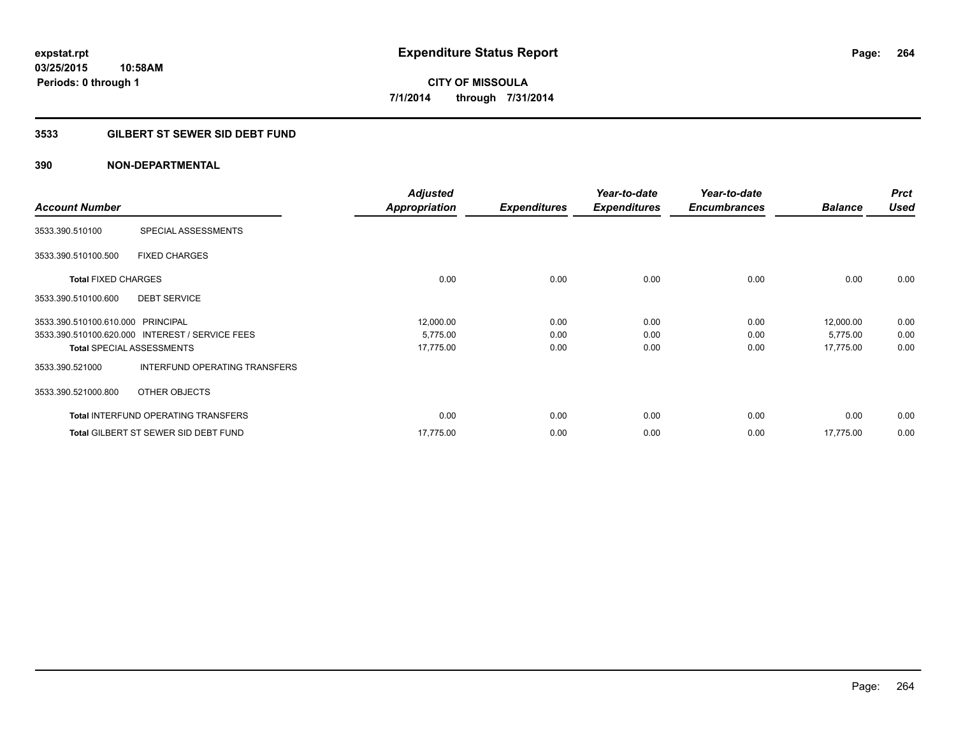### **3533 GILBERT ST SEWER SID DEBT FUND**

| <b>Account Number</b>             |                                                 | <b>Adjusted</b><br><b>Appropriation</b> | <b>Expenditures</b> | Year-to-date<br><b>Expenditures</b> | Year-to-date<br><b>Encumbrances</b> | <b>Balance</b> | <b>Prct</b><br><b>Used</b> |
|-----------------------------------|-------------------------------------------------|-----------------------------------------|---------------------|-------------------------------------|-------------------------------------|----------------|----------------------------|
| 3533.390.510100                   | SPECIAL ASSESSMENTS                             |                                         |                     |                                     |                                     |                |                            |
| 3533.390.510100.500               | <b>FIXED CHARGES</b>                            |                                         |                     |                                     |                                     |                |                            |
| <b>Total FIXED CHARGES</b>        |                                                 | 0.00                                    | 0.00                | 0.00                                | 0.00                                | 0.00           | 0.00                       |
| 3533.390.510100.600               | <b>DEBT SERVICE</b>                             |                                         |                     |                                     |                                     |                |                            |
| 3533.390.510100.610.000 PRINCIPAL |                                                 | 12,000.00                               | 0.00                | 0.00                                | 0.00                                | 12,000.00      | 0.00                       |
|                                   | 3533.390.510100.620.000 INTEREST / SERVICE FEES | 5,775.00                                | 0.00                | 0.00                                | 0.00                                | 5,775.00       | 0.00                       |
|                                   | <b>Total SPECIAL ASSESSMENTS</b>                | 17,775.00                               | 0.00                | 0.00                                | 0.00                                | 17,775.00      | 0.00                       |
| 3533.390.521000                   | INTERFUND OPERATING TRANSFERS                   |                                         |                     |                                     |                                     |                |                            |
| 3533.390.521000.800               | OTHER OBJECTS                                   |                                         |                     |                                     |                                     |                |                            |
|                                   | <b>Total INTERFUND OPERATING TRANSFERS</b>      | 0.00                                    | 0.00                | 0.00                                | 0.00                                | 0.00           | 0.00                       |
|                                   | <b>Total GILBERT ST SEWER SID DEBT FUND</b>     | 17.775.00                               | 0.00                | 0.00                                | 0.00                                | 17,775.00      | 0.00                       |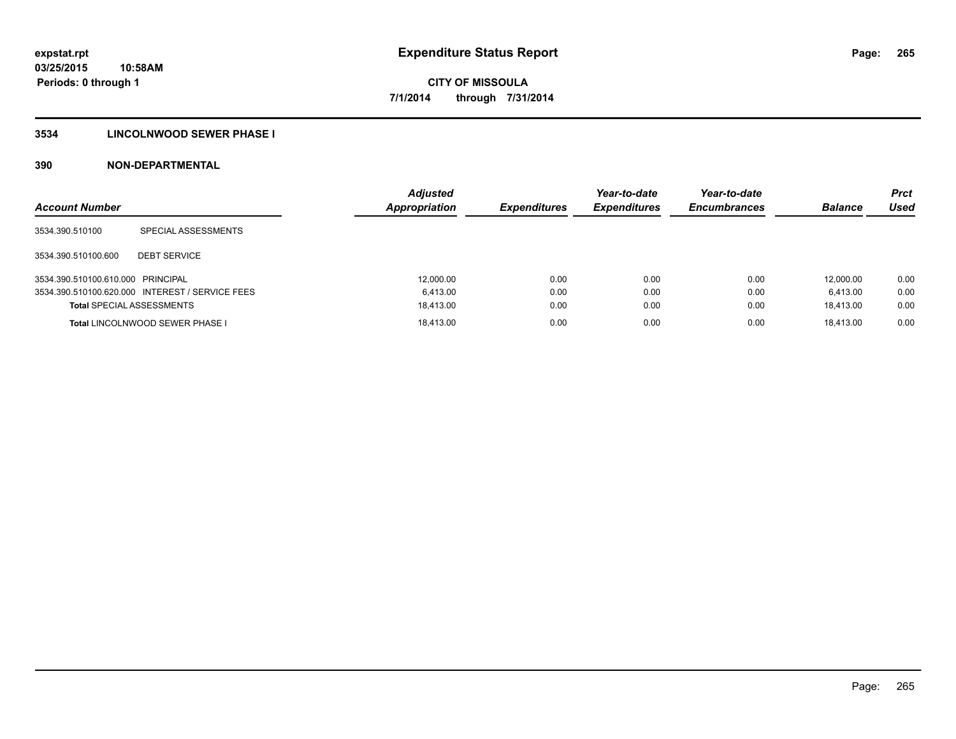### **3534 LINCOLNWOOD SEWER PHASE I**

| <b>Account Number</b>             |                                                 | <b>Adjusted</b><br>Appropriation | <b>Expenditures</b> | Year-to-date<br><b>Expenditures</b> | Year-to-date<br><b>Encumbrances</b> | <b>Balance</b> | <b>Prct</b><br>Used |
|-----------------------------------|-------------------------------------------------|----------------------------------|---------------------|-------------------------------------|-------------------------------------|----------------|---------------------|
| 3534.390.510100                   | SPECIAL ASSESSMENTS                             |                                  |                     |                                     |                                     |                |                     |
| 3534.390.510100.600               | <b>DEBT SERVICE</b>                             |                                  |                     |                                     |                                     |                |                     |
| 3534.390.510100.610.000 PRINCIPAL |                                                 | 12.000.00                        | 0.00                | 0.00                                | 0.00                                | 12.000.00      | 0.00                |
|                                   | 3534.390.510100.620.000 INTEREST / SERVICE FEES | 6.413.00                         | 0.00                | 0.00                                | 0.00                                | 6.413.00       | 0.00                |
| <b>Total SPECIAL ASSESSMENTS</b>  |                                                 | 18.413.00                        | 0.00                | 0.00                                | 0.00                                | 18.413.00      | 0.00                |
|                                   | Total LINCOLNWOOD SEWER PHASE I                 | 18.413.00                        | 0.00                | 0.00                                | 0.00                                | 18.413.00      | 0.00                |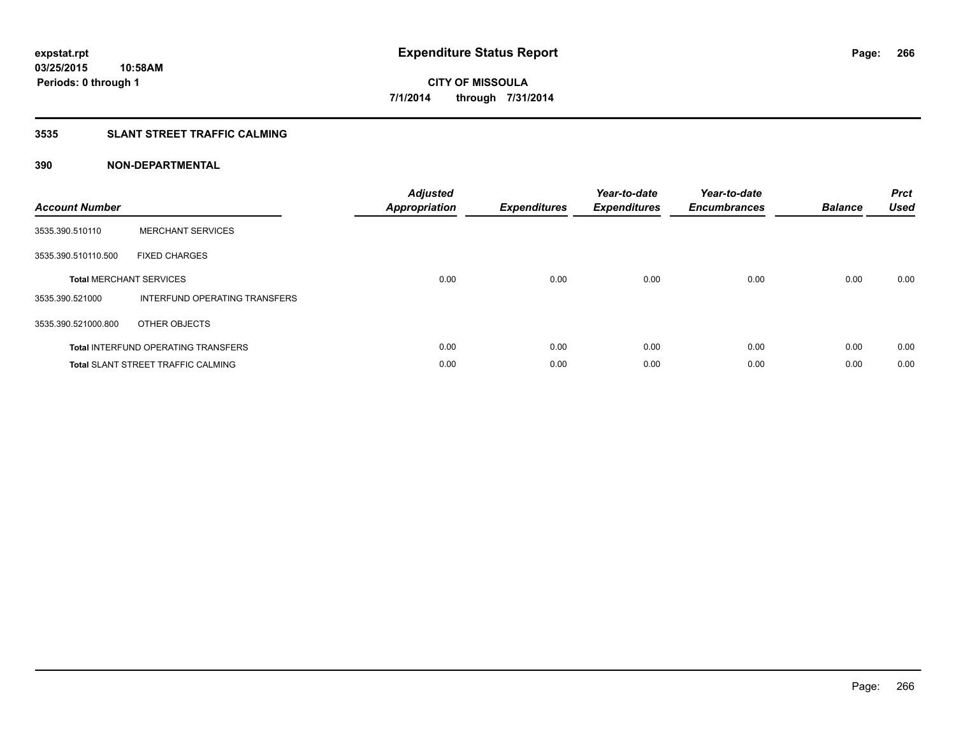### **3535 SLANT STREET TRAFFIC CALMING**

| <b>Account Number</b> |                                            | <b>Adjusted</b><br>Appropriation | <b>Expenditures</b> | Year-to-date<br><b>Expenditures</b> | Year-to-date<br><b>Encumbrances</b> | <b>Balance</b> | <b>Prct</b><br><b>Used</b> |
|-----------------------|--------------------------------------------|----------------------------------|---------------------|-------------------------------------|-------------------------------------|----------------|----------------------------|
| 3535.390.510110       | <b>MERCHANT SERVICES</b>                   |                                  |                     |                                     |                                     |                |                            |
| 3535.390.510110.500   | <b>FIXED CHARGES</b>                       |                                  |                     |                                     |                                     |                |                            |
|                       | <b>Total MERCHANT SERVICES</b>             | 0.00                             | 0.00                | 0.00                                | 0.00                                | 0.00           | 0.00                       |
| 3535.390.521000       | INTERFUND OPERATING TRANSFERS              |                                  |                     |                                     |                                     |                |                            |
| 3535.390.521000.800   | OTHER OBJECTS                              |                                  |                     |                                     |                                     |                |                            |
|                       | <b>Total INTERFUND OPERATING TRANSFERS</b> | 0.00                             | 0.00                | 0.00                                | 0.00                                | 0.00           | 0.00                       |
|                       | <b>Total SLANT STREET TRAFFIC CALMING</b>  | 0.00                             | 0.00                | 0.00                                | 0.00                                | 0.00           | 0.00                       |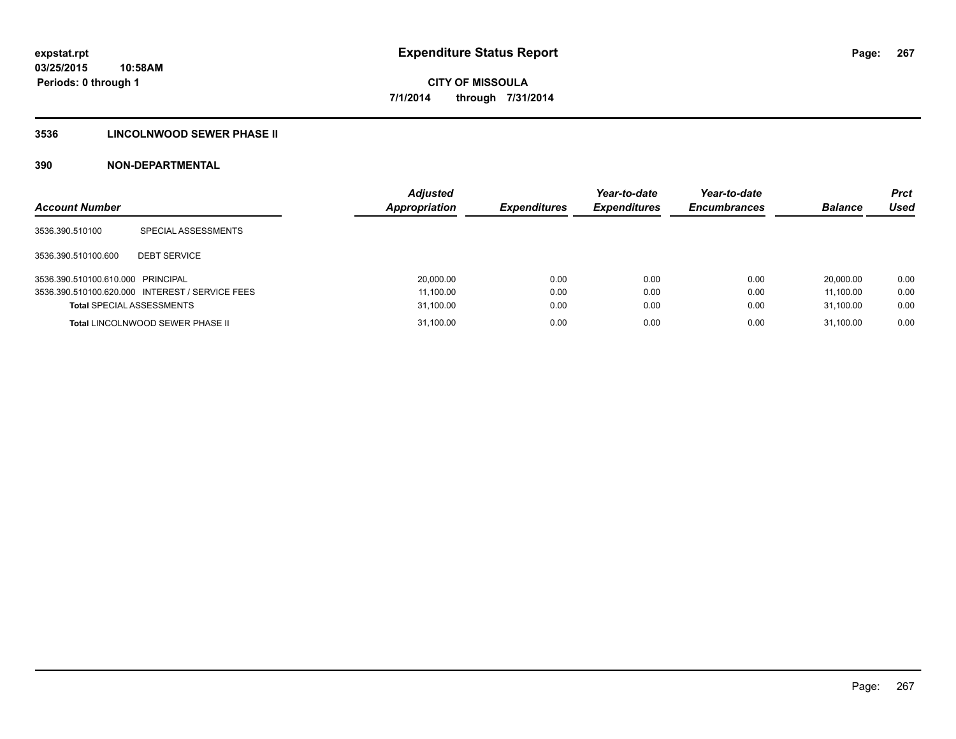### **3536 LINCOLNWOOD SEWER PHASE II**

| <b>Account Number</b>             |                                                 | <b>Adjusted</b><br>Appropriation | <b>Expenditures</b> | Year-to-date<br><b>Expenditures</b> | Year-to-date<br><b>Encumbrances</b> | <b>Balance</b> | <b>Prct</b><br>Used |
|-----------------------------------|-------------------------------------------------|----------------------------------|---------------------|-------------------------------------|-------------------------------------|----------------|---------------------|
| 3536.390.510100                   | SPECIAL ASSESSMENTS                             |                                  |                     |                                     |                                     |                |                     |
| 3536.390.510100.600               | <b>DEBT SERVICE</b>                             |                                  |                     |                                     |                                     |                |                     |
| 3536.390.510100.610.000 PRINCIPAL |                                                 | 20,000.00                        | 0.00                | 0.00                                | 0.00                                | 20.000.00      | 0.00                |
|                                   | 3536.390.510100.620.000 INTEREST / SERVICE FEES | 11,100.00                        | 0.00                | 0.00                                | 0.00                                | 11.100.00      | 0.00                |
| <b>Total SPECIAL ASSESSMENTS</b>  |                                                 | 31,100.00                        | 0.00                | 0.00                                | 0.00                                | 31,100.00      | 0.00                |
|                                   | <b>Total LINCOLNWOOD SEWER PHASE II</b>         | 31,100.00                        | 0.00                | 0.00                                | 0.00                                | 31.100.00      | 0.00                |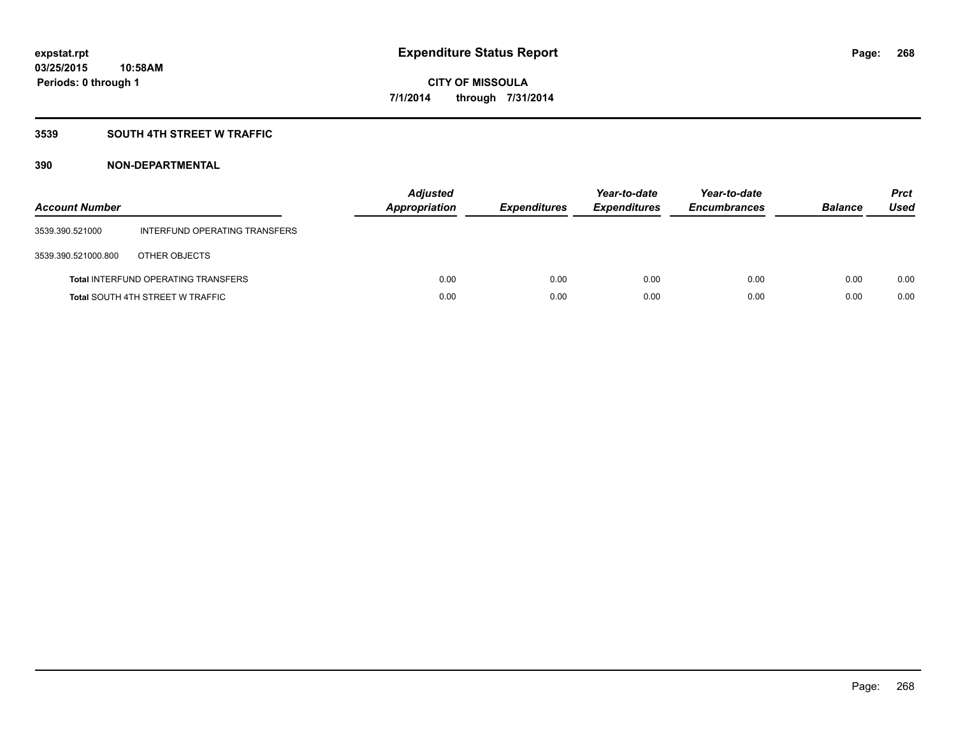### **3539 SOUTH 4TH STREET W TRAFFIC**

| <b>Account Number</b> |                                            | <b>Adjusted</b><br>Appropriation | <b>Expenditures</b> | Year-to-date<br><b>Expenditures</b> | Year-to-date<br><b>Encumbrances</b> | <b>Balance</b> | <b>Prct</b><br>Used |
|-----------------------|--------------------------------------------|----------------------------------|---------------------|-------------------------------------|-------------------------------------|----------------|---------------------|
| 3539.390.521000       | INTERFUND OPERATING TRANSFERS              |                                  |                     |                                     |                                     |                |                     |
| 3539.390.521000.800   | OTHER OBJECTS                              |                                  |                     |                                     |                                     |                |                     |
|                       | <b>Total INTERFUND OPERATING TRANSFERS</b> | 0.00                             | 0.00                | 0.00                                | 0.00                                | 0.00           | 0.00                |
|                       | <b>Total SOUTH 4TH STREET W TRAFFIC</b>    | 0.00                             | 0.00                | 0.00                                | 0.00                                | 0.00           | 0.00                |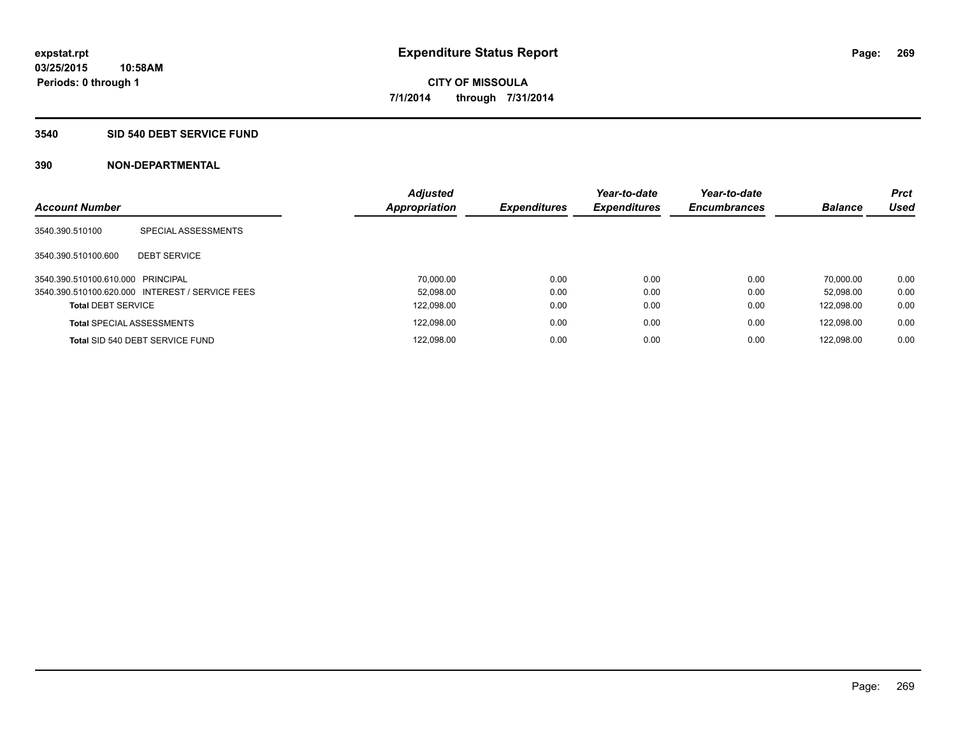#### **3540 SID 540 DEBT SERVICE FUND**

| <b>Account Number</b>             |                                                 | <b>Adjusted</b><br>Appropriation | <b>Expenditures</b> | Year-to-date<br><b>Expenditures</b> | Year-to-date<br><b>Encumbrances</b> | <b>Balance</b> | <b>Prct</b><br><b>Used</b> |
|-----------------------------------|-------------------------------------------------|----------------------------------|---------------------|-------------------------------------|-------------------------------------|----------------|----------------------------|
|                                   |                                                 |                                  |                     |                                     |                                     |                |                            |
| 3540.390.510100                   | SPECIAL ASSESSMENTS                             |                                  |                     |                                     |                                     |                |                            |
| 3540.390.510100.600               | <b>DEBT SERVICE</b>                             |                                  |                     |                                     |                                     |                |                            |
| 3540.390.510100.610.000 PRINCIPAL |                                                 | 70.000.00                        | 0.00                | 0.00                                | 0.00                                | 70.000.00      | 0.00                       |
|                                   | 3540.390.510100.620.000 INTEREST / SERVICE FEES | 52.098.00                        | 0.00                | 0.00                                | 0.00                                | 52.098.00      | 0.00                       |
| <b>Total DEBT SERVICE</b>         |                                                 | 122,098.00                       | 0.00                | 0.00                                | 0.00                                | 122.098.00     | 0.00                       |
|                                   | <b>Total SPECIAL ASSESSMENTS</b>                | 122,098.00                       | 0.00                | 0.00                                | 0.00                                | 122.098.00     | 0.00                       |
|                                   | Total SID 540 DEBT SERVICE FUND                 | 122,098.00                       | 0.00                | 0.00                                | 0.00                                | 122.098.00     | 0.00                       |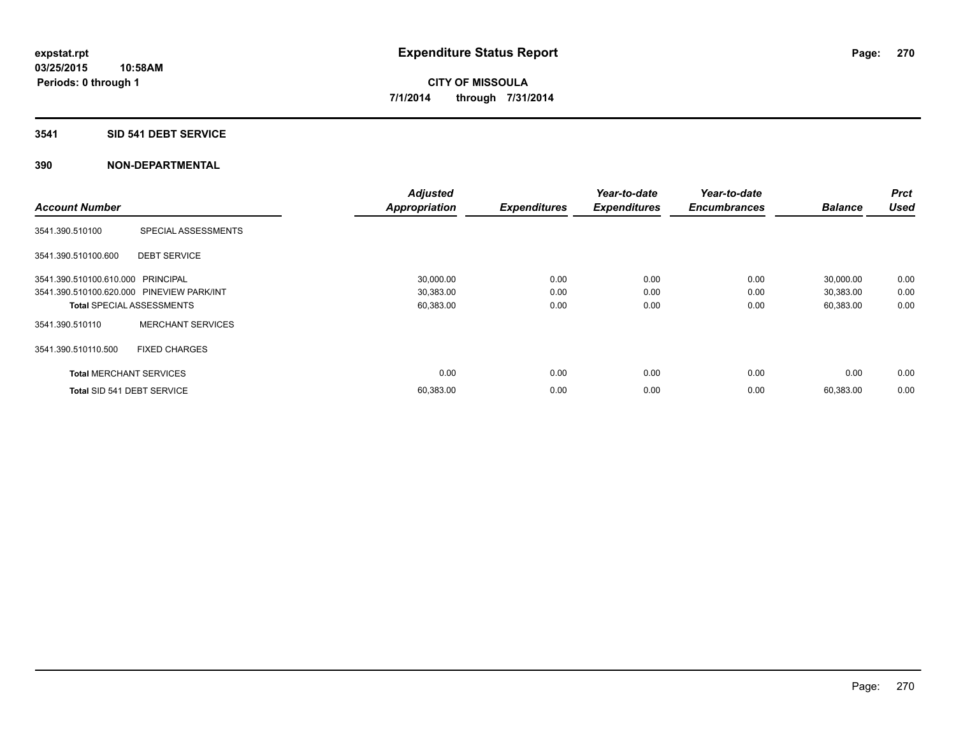#### **3541 SID 541 DEBT SERVICE**

|                                           |                          | <b>Adjusted</b>      |                     | Year-to-date        | Year-to-date        |                | <b>Prct</b> |
|-------------------------------------------|--------------------------|----------------------|---------------------|---------------------|---------------------|----------------|-------------|
| <b>Account Number</b>                     |                          | <b>Appropriation</b> | <b>Expenditures</b> | <b>Expenditures</b> | <b>Encumbrances</b> | <b>Balance</b> | <b>Used</b> |
| 3541.390.510100                           | SPECIAL ASSESSMENTS      |                      |                     |                     |                     |                |             |
| 3541.390.510100.600                       | <b>DEBT SERVICE</b>      |                      |                     |                     |                     |                |             |
| 3541.390.510100.610.000 PRINCIPAL         |                          | 30,000.00            | 0.00                | 0.00                | 0.00                | 30,000.00      | 0.00        |
| 3541.390.510100.620.000 PINEVIEW PARK/INT |                          | 30,383.00            | 0.00                | 0.00                | 0.00                | 30,383.00      | 0.00        |
| <b>Total SPECIAL ASSESSMENTS</b>          |                          | 60,383.00            | 0.00                | 0.00                | 0.00                | 60,383.00      | 0.00        |
| 3541.390.510110                           | <b>MERCHANT SERVICES</b> |                      |                     |                     |                     |                |             |
| 3541.390.510110.500                       | <b>FIXED CHARGES</b>     |                      |                     |                     |                     |                |             |
| <b>Total MERCHANT SERVICES</b>            |                          | 0.00                 | 0.00                | 0.00                | 0.00                | 0.00           | 0.00        |
| Total SID 541 DEBT SERVICE                |                          | 60,383.00            | 0.00                | 0.00                | 0.00                | 60,383.00      | 0.00        |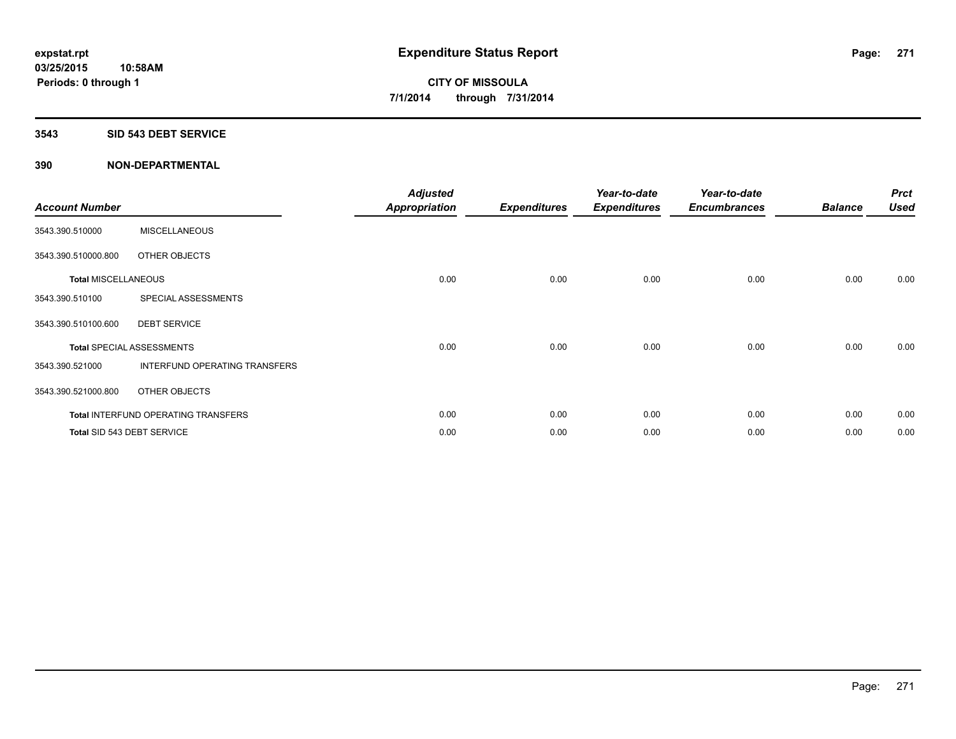#### **3543 SID 543 DEBT SERVICE**

| <b>Account Number</b>      |                                            | <b>Adjusted</b><br><b>Appropriation</b> | <b>Expenditures</b> | Year-to-date<br><b>Expenditures</b> | Year-to-date<br><b>Encumbrances</b> | <b>Balance</b> | <b>Prct</b><br><b>Used</b> |
|----------------------------|--------------------------------------------|-----------------------------------------|---------------------|-------------------------------------|-------------------------------------|----------------|----------------------------|
| 3543.390.510000            | <b>MISCELLANEOUS</b>                       |                                         |                     |                                     |                                     |                |                            |
| 3543.390.510000.800        | OTHER OBJECTS                              |                                         |                     |                                     |                                     |                |                            |
| <b>Total MISCELLANEOUS</b> |                                            | 0.00                                    | 0.00                | 0.00                                | 0.00                                | 0.00           | 0.00                       |
| 3543.390.510100            | SPECIAL ASSESSMENTS                        |                                         |                     |                                     |                                     |                |                            |
| 3543.390.510100.600        | <b>DEBT SERVICE</b>                        |                                         |                     |                                     |                                     |                |                            |
|                            | <b>Total SPECIAL ASSESSMENTS</b>           | 0.00                                    | 0.00                | 0.00                                | 0.00                                | 0.00           | 0.00                       |
| 3543.390.521000            | INTERFUND OPERATING TRANSFERS              |                                         |                     |                                     |                                     |                |                            |
| 3543.390.521000.800        | OTHER OBJECTS                              |                                         |                     |                                     |                                     |                |                            |
|                            | <b>Total INTERFUND OPERATING TRANSFERS</b> | 0.00                                    | 0.00                | 0.00                                | 0.00                                | 0.00           | 0.00                       |
|                            | Total SID 543 DEBT SERVICE                 | 0.00                                    | 0.00                | 0.00                                | 0.00                                | 0.00           | 0.00                       |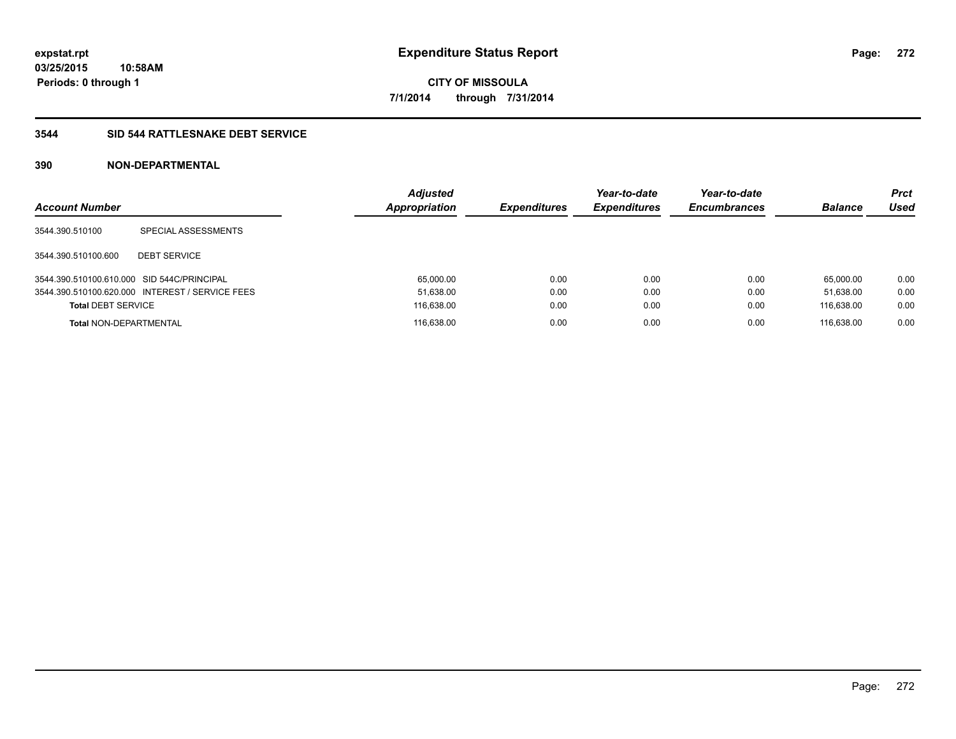### **3544 SID 544 RATTLESNAKE DEBT SERVICE**

| <b>Account Number</b>                      |                                                 | <b>Adjusted</b><br><b>Appropriation</b> | <b>Expenditures</b> | Year-to-date<br><b>Expenditures</b> | Year-to-date<br><b>Encumbrances</b> | <b>Balance</b> | Prct<br><b>Used</b> |
|--------------------------------------------|-------------------------------------------------|-----------------------------------------|---------------------|-------------------------------------|-------------------------------------|----------------|---------------------|
| 3544.390.510100                            | SPECIAL ASSESSMENTS                             |                                         |                     |                                     |                                     |                |                     |
| 3544.390.510100.600                        | <b>DEBT SERVICE</b>                             |                                         |                     |                                     |                                     |                |                     |
| 3544.390.510100.610.000 SID 544C/PRINCIPAL |                                                 | 65.000.00                               | 0.00                | 0.00                                | 0.00                                | 65.000.00      | 0.00                |
|                                            | 3544.390.510100.620.000 INTEREST / SERVICE FEES | 51,638.00                               | 0.00                | 0.00                                | 0.00                                | 51.638.00      | 0.00                |
| <b>Total DEBT SERVICE</b>                  |                                                 | 116,638.00                              | 0.00                | 0.00                                | 0.00                                | 116.638.00     | 0.00                |
| <b>Total NON-DEPARTMENTAL</b>              |                                                 | 116.638.00                              | 0.00                | 0.00                                | 0.00                                | 116.638.00     | 0.00                |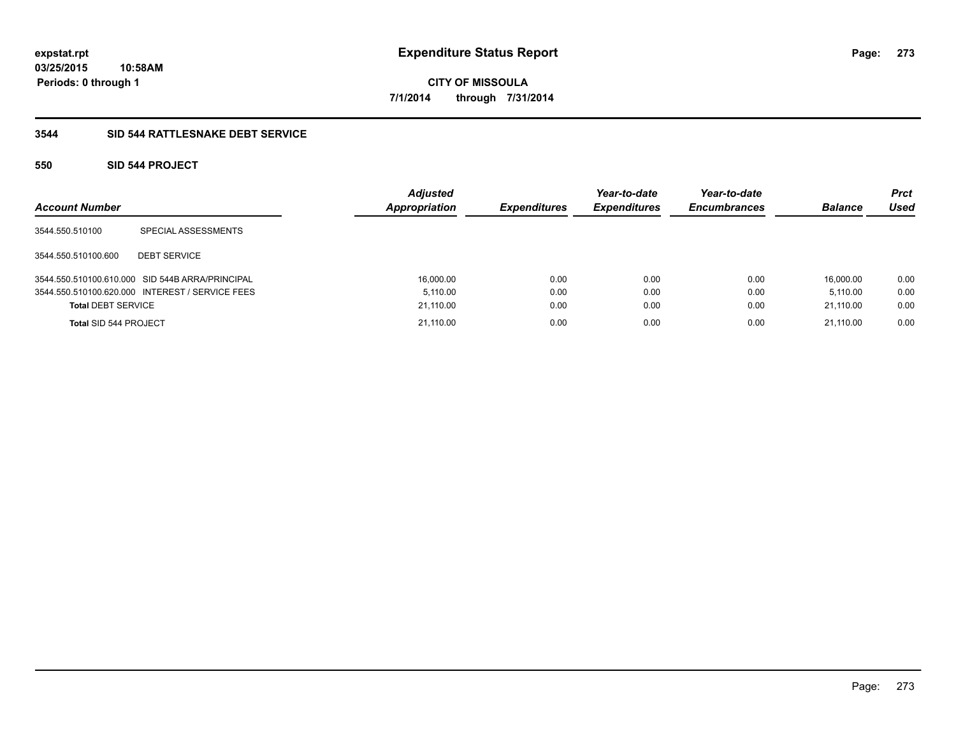### **3544 SID 544 RATTLESNAKE DEBT SERVICE**

### **550 SID 544 PROJECT**

| <b>Account Number</b>     |                                                 | <b>Adjusted</b><br>Appropriation | <b>Expenditures</b> | Year-to-date<br><b>Expenditures</b> | Year-to-date<br><b>Encumbrances</b> | <b>Balance</b> | <b>Prct</b><br>Used |
|---------------------------|-------------------------------------------------|----------------------------------|---------------------|-------------------------------------|-------------------------------------|----------------|---------------------|
| 3544.550.510100           | SPECIAL ASSESSMENTS                             |                                  |                     |                                     |                                     |                |                     |
| 3544.550.510100.600       | <b>DEBT SERVICE</b>                             |                                  |                     |                                     |                                     |                |                     |
|                           | 3544.550.510100.610.000 SID 544B ARRA/PRINCIPAL | 16,000.00                        | 0.00                | 0.00                                | 0.00                                | 16.000.00      | 0.00                |
|                           | 3544.550.510100.620.000 INTEREST / SERVICE FEES | 5.110.00                         | 0.00                | 0.00                                | 0.00                                | 5.110.00       | 0.00                |
| <b>Total DEBT SERVICE</b> |                                                 | 21,110.00                        | 0.00                | 0.00                                | 0.00                                | 21,110.00      | 0.00                |
| Total SID 544 PROJECT     |                                                 | 21.110.00                        | 0.00                | 0.00                                | 0.00                                | 21.110.00      | 0.00                |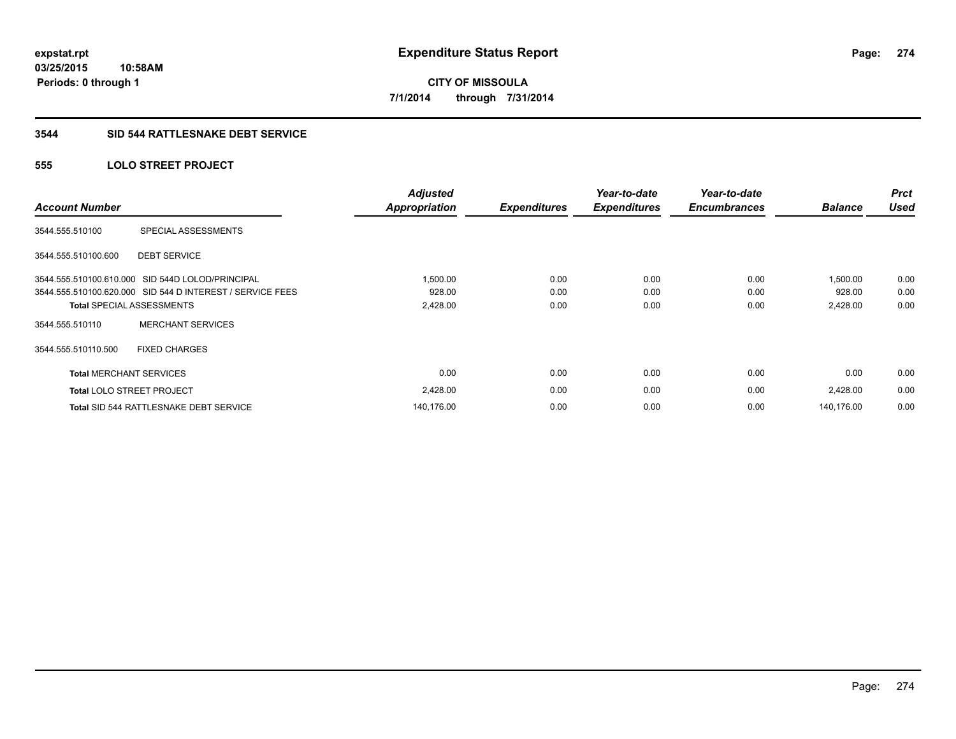### **3544 SID 544 RATTLESNAKE DEBT SERVICE**

### **555 LOLO STREET PROJECT**

| <b>Account Number</b>          |                                                           | <b>Adjusted</b><br><b>Appropriation</b> | <b>Expenditures</b> | Year-to-date<br><b>Expenditures</b> | Year-to-date<br><b>Encumbrances</b> | <b>Balance</b> | <b>Prct</b><br><b>Used</b> |
|--------------------------------|-----------------------------------------------------------|-----------------------------------------|---------------------|-------------------------------------|-------------------------------------|----------------|----------------------------|
| 3544.555.510100                | SPECIAL ASSESSMENTS                                       |                                         |                     |                                     |                                     |                |                            |
| 3544.555.510100.600            | <b>DEBT SERVICE</b>                                       |                                         |                     |                                     |                                     |                |                            |
|                                | 3544.555.510100.610.000 SID 544D LOLOD/PRINCIPAL          | 1,500.00                                | 0.00                | 0.00                                | 0.00                                | 1,500.00       | 0.00                       |
|                                | 3544.555.510100.620.000 SID 544 D INTEREST / SERVICE FEES | 928.00                                  | 0.00                | 0.00                                | 0.00                                | 928.00         | 0.00                       |
|                                | <b>Total SPECIAL ASSESSMENTS</b>                          | 2,428.00                                | 0.00                | 0.00                                | 0.00                                | 2,428.00       | 0.00                       |
| 3544.555.510110                | <b>MERCHANT SERVICES</b>                                  |                                         |                     |                                     |                                     |                |                            |
| 3544.555.510110.500            | <b>FIXED CHARGES</b>                                      |                                         |                     |                                     |                                     |                |                            |
| <b>Total MERCHANT SERVICES</b> |                                                           | 0.00                                    | 0.00                | 0.00                                | 0.00                                | 0.00           | 0.00                       |
|                                | <b>Total LOLO STREET PROJECT</b>                          | 2,428.00                                | 0.00                | 0.00                                | 0.00                                | 2,428.00       | 0.00                       |
|                                | Total SID 544 RATTLESNAKE DEBT SERVICE                    | 140,176.00                              | 0.00                | 0.00                                | 0.00                                | 140.176.00     | 0.00                       |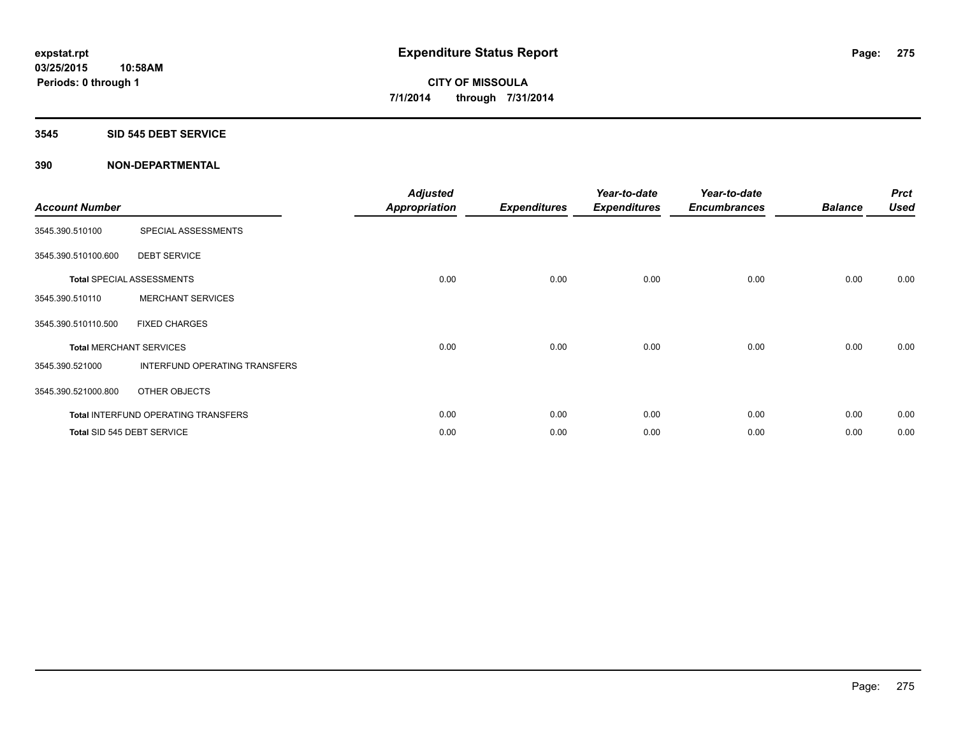#### **3545 SID 545 DEBT SERVICE**

| <b>Account Number</b> |                                            | <b>Adjusted</b><br><b>Appropriation</b> | <b>Expenditures</b> | Year-to-date<br><b>Expenditures</b> | Year-to-date<br><b>Encumbrances</b> | <b>Balance</b> | <b>Prct</b><br><b>Used</b> |
|-----------------------|--------------------------------------------|-----------------------------------------|---------------------|-------------------------------------|-------------------------------------|----------------|----------------------------|
| 3545.390.510100       | SPECIAL ASSESSMENTS                        |                                         |                     |                                     |                                     |                |                            |
| 3545.390.510100.600   | <b>DEBT SERVICE</b>                        |                                         |                     |                                     |                                     |                |                            |
|                       | <b>Total SPECIAL ASSESSMENTS</b>           | 0.00                                    | 0.00                | 0.00                                | 0.00                                | 0.00           | 0.00                       |
| 3545.390.510110       | <b>MERCHANT SERVICES</b>                   |                                         |                     |                                     |                                     |                |                            |
| 3545.390.510110.500   | <b>FIXED CHARGES</b>                       |                                         |                     |                                     |                                     |                |                            |
|                       | <b>Total MERCHANT SERVICES</b>             | 0.00                                    | 0.00                | 0.00                                | 0.00                                | 0.00           | 0.00                       |
| 3545.390.521000       | <b>INTERFUND OPERATING TRANSFERS</b>       |                                         |                     |                                     |                                     |                |                            |
| 3545.390.521000.800   | OTHER OBJECTS                              |                                         |                     |                                     |                                     |                |                            |
|                       | <b>Total INTERFUND OPERATING TRANSFERS</b> | 0.00                                    | 0.00                | 0.00                                | 0.00                                | 0.00           | 0.00                       |
|                       | Total SID 545 DEBT SERVICE                 | 0.00                                    | 0.00                | 0.00                                | 0.00                                | 0.00           | 0.00                       |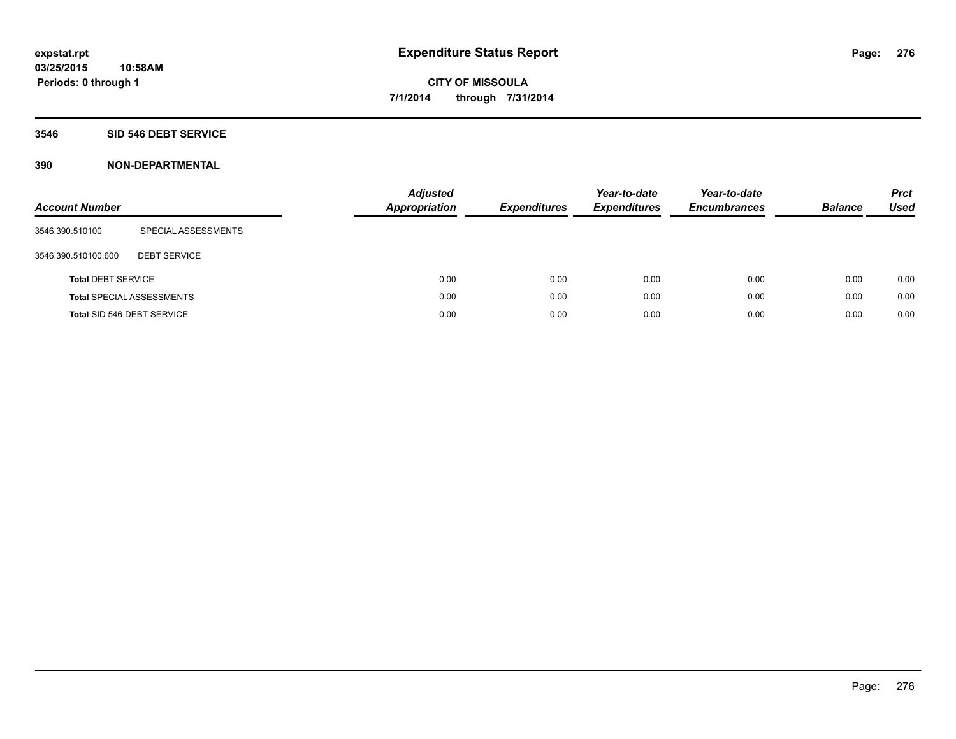#### **3546 SID 546 DEBT SERVICE**

| <b>Account Number</b>     |                                  | <b>Adjusted</b><br><b>Appropriation</b> | <b>Expenditures</b> | Year-to-date<br><b>Expenditures</b> | Year-to-date<br><b>Encumbrances</b> | <b>Balance</b> | <b>Prct</b><br><b>Used</b> |
|---------------------------|----------------------------------|-----------------------------------------|---------------------|-------------------------------------|-------------------------------------|----------------|----------------------------|
| 3546.390.510100           | SPECIAL ASSESSMENTS              |                                         |                     |                                     |                                     |                |                            |
| 3546.390.510100.600       | <b>DEBT SERVICE</b>              |                                         |                     |                                     |                                     |                |                            |
| <b>Total DEBT SERVICE</b> |                                  | 0.00                                    | 0.00                | 0.00                                | 0.00                                | 0.00           | 0.00                       |
|                           | <b>Total SPECIAL ASSESSMENTS</b> | 0.00                                    | 0.00                | 0.00                                | 0.00                                | 0.00           | 0.00                       |
|                           | Total SID 546 DEBT SERVICE       | 0.00                                    | 0.00                | 0.00                                | 0.00                                | 0.00           | 0.00                       |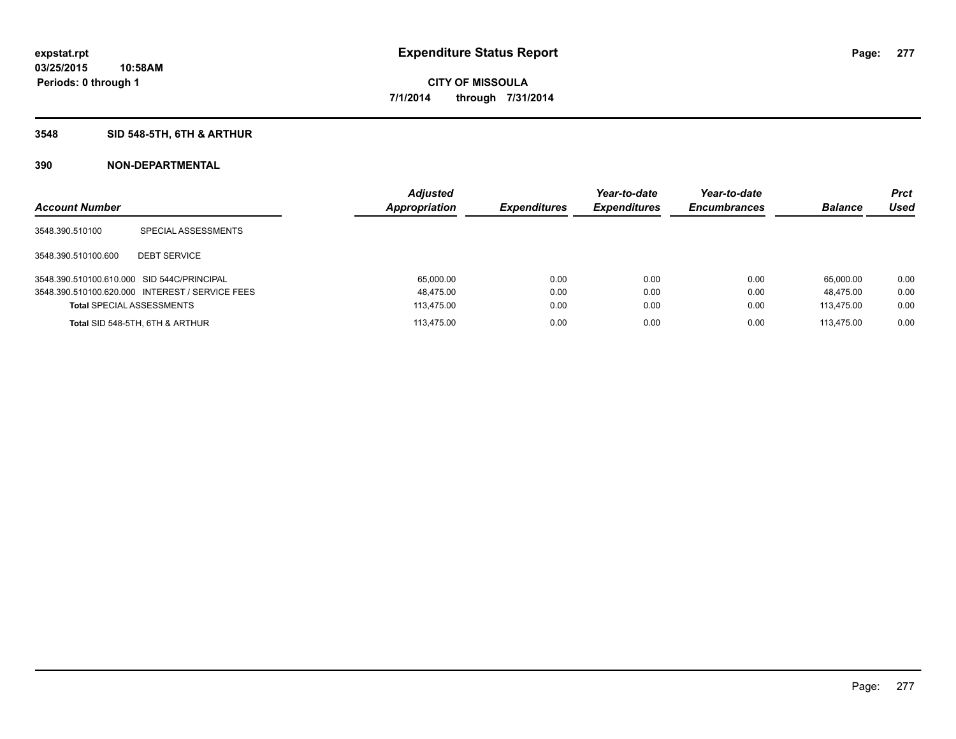### **3548 SID 548-5TH, 6TH & ARTHUR**

| <b>Account Number</b>                      |                                                 | <b>Adjusted</b><br>Appropriation | <b>Expenditures</b> | Year-to-date<br><b>Expenditures</b> | Year-to-date<br><b>Encumbrances</b> | <b>Balance</b> | <b>Prct</b><br>Used |
|--------------------------------------------|-------------------------------------------------|----------------------------------|---------------------|-------------------------------------|-------------------------------------|----------------|---------------------|
| 3548.390.510100                            | SPECIAL ASSESSMENTS                             |                                  |                     |                                     |                                     |                |                     |
| 3548.390.510100.600                        | <b>DEBT SERVICE</b>                             |                                  |                     |                                     |                                     |                |                     |
| 3548.390.510100.610.000 SID 544C/PRINCIPAL |                                                 | 65,000.00                        | 0.00                | 0.00                                | 0.00                                | 65.000.00      | 0.00                |
|                                            | 3548.390.510100.620.000 INTEREST / SERVICE FEES | 48.475.00                        | 0.00                | 0.00                                | 0.00                                | 48.475.00      | 0.00                |
| <b>Total SPECIAL ASSESSMENTS</b>           |                                                 | 113,475.00                       | 0.00                | 0.00                                | 0.00                                | 113.475.00     | 0.00                |
|                                            | Total SID 548-5TH, 6TH & ARTHUR                 | 113.475.00                       | 0.00                | 0.00                                | 0.00                                | 113.475.00     | 0.00                |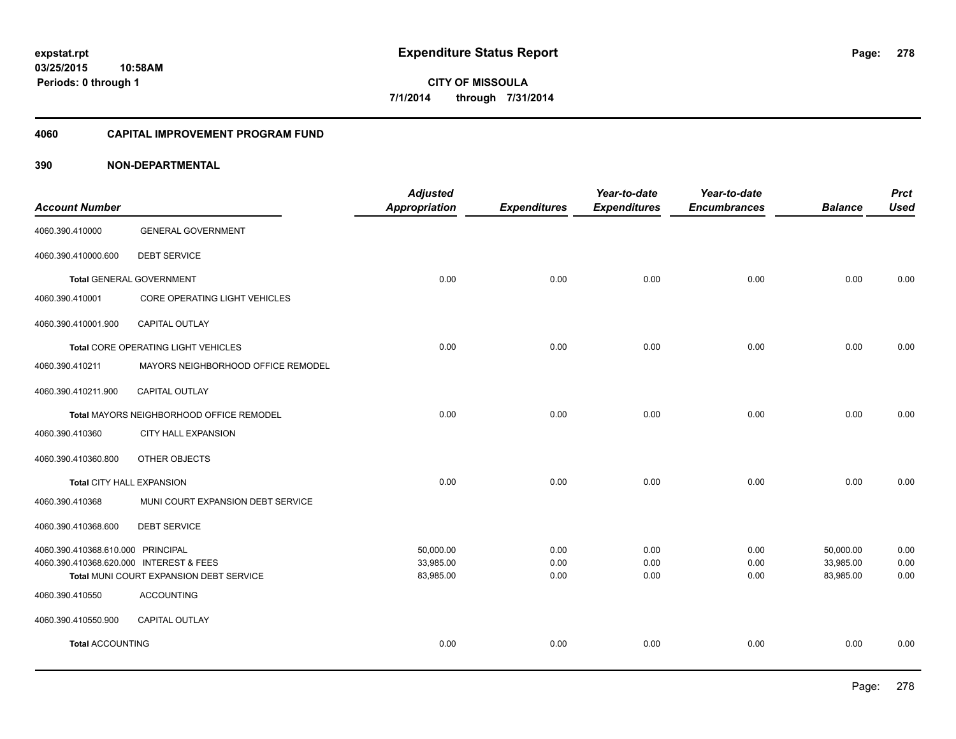#### **4060 CAPITAL IMPROVEMENT PROGRAM FUND**

|                                         |                                          | <b>Adjusted</b>      |                     | Year-to-date        | Year-to-date        |                | <b>Prct</b> |
|-----------------------------------------|------------------------------------------|----------------------|---------------------|---------------------|---------------------|----------------|-------------|
| <b>Account Number</b>                   |                                          | <b>Appropriation</b> | <b>Expenditures</b> | <b>Expenditures</b> | <b>Encumbrances</b> | <b>Balance</b> | <b>Used</b> |
| 4060.390.410000                         | <b>GENERAL GOVERNMENT</b>                |                      |                     |                     |                     |                |             |
| 4060.390.410000.600                     | <b>DEBT SERVICE</b>                      |                      |                     |                     |                     |                |             |
|                                         | <b>Total GENERAL GOVERNMENT</b>          | 0.00                 | 0.00                | 0.00                | 0.00                | 0.00           | 0.00        |
| 4060.390.410001                         | CORE OPERATING LIGHT VEHICLES            |                      |                     |                     |                     |                |             |
| 4060.390.410001.900                     | <b>CAPITAL OUTLAY</b>                    |                      |                     |                     |                     |                |             |
|                                         | Total CORE OPERATING LIGHT VEHICLES      | 0.00                 | 0.00                | 0.00                | 0.00                | 0.00           | 0.00        |
| 4060.390.410211                         | MAYORS NEIGHBORHOOD OFFICE REMODEL       |                      |                     |                     |                     |                |             |
| 4060.390.410211.900                     | CAPITAL OUTLAY                           |                      |                     |                     |                     |                |             |
|                                         | Total MAYORS NEIGHBORHOOD OFFICE REMODEL | 0.00                 | 0.00                | 0.00                | 0.00                | 0.00           | 0.00        |
| 4060.390.410360                         | <b>CITY HALL EXPANSION</b>               |                      |                     |                     |                     |                |             |
| 4060.390.410360.800                     | OTHER OBJECTS                            |                      |                     |                     |                     |                |             |
| Total CITY HALL EXPANSION               |                                          | 0.00                 | 0.00                | 0.00                | 0.00                | 0.00           | 0.00        |
| 4060.390.410368                         | MUNI COURT EXPANSION DEBT SERVICE        |                      |                     |                     |                     |                |             |
| 4060.390.410368.600                     | <b>DEBT SERVICE</b>                      |                      |                     |                     |                     |                |             |
| 4060.390.410368.610.000 PRINCIPAL       |                                          | 50,000.00            | 0.00                | 0.00                | 0.00                | 50,000.00      | 0.00        |
| 4060.390.410368.620.000 INTEREST & FEES |                                          | 33,985.00            | 0.00                | 0.00                | 0.00                | 33,985.00      | 0.00        |
|                                         | Total MUNI COURT EXPANSION DEBT SERVICE  | 83,985.00            | 0.00                | 0.00                | 0.00                | 83,985.00      | 0.00        |
| 4060.390.410550                         | <b>ACCOUNTING</b>                        |                      |                     |                     |                     |                |             |
| 4060.390.410550.900                     | <b>CAPITAL OUTLAY</b>                    |                      |                     |                     |                     |                |             |
| <b>Total ACCOUNTING</b>                 |                                          | 0.00                 | 0.00                | 0.00                | 0.00                | 0.00           | 0.00        |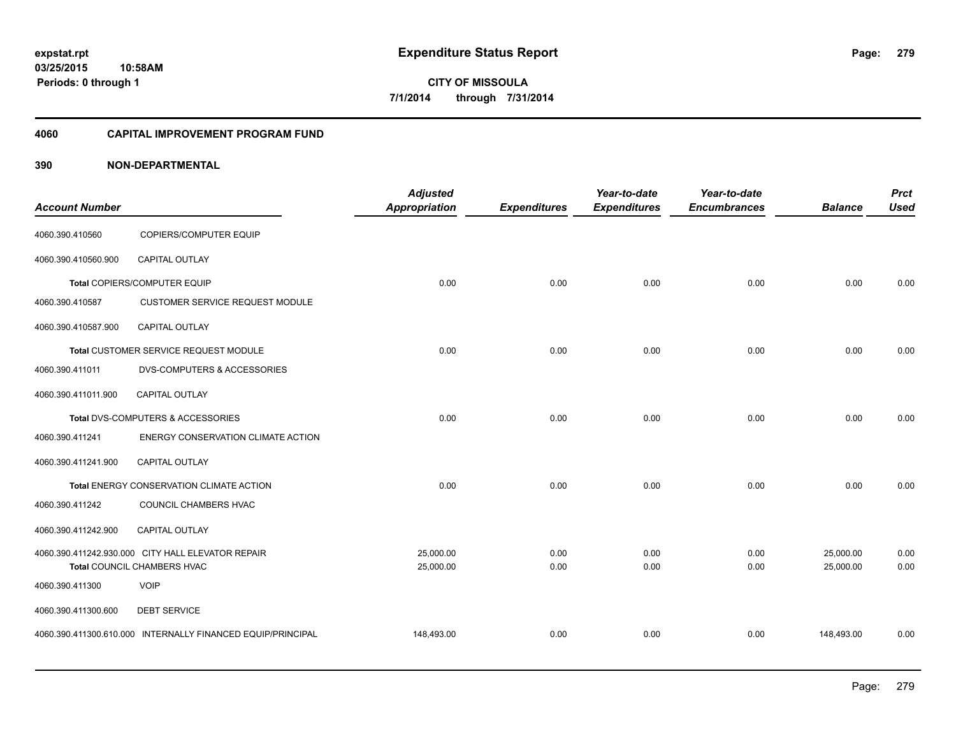#### **4060 CAPITAL IMPROVEMENT PROGRAM FUND**

| <b>Account Number</b> |                                                             | <b>Adjusted</b><br>Appropriation | <b>Expenditures</b> | Year-to-date<br><b>Expenditures</b> | Year-to-date<br><b>Encumbrances</b> | <b>Balance</b> | <b>Prct</b><br><b>Used</b> |
|-----------------------|-------------------------------------------------------------|----------------------------------|---------------------|-------------------------------------|-------------------------------------|----------------|----------------------------|
| 4060.390.410560       | <b>COPIERS/COMPUTER EQUIP</b>                               |                                  |                     |                                     |                                     |                |                            |
| 4060.390.410560.900   | <b>CAPITAL OUTLAY</b>                                       |                                  |                     |                                     |                                     |                |                            |
|                       | Total COPIERS/COMPUTER EQUIP                                | 0.00                             | 0.00                | 0.00                                | 0.00                                | 0.00           | 0.00                       |
| 4060.390.410587       | <b>CUSTOMER SERVICE REQUEST MODULE</b>                      |                                  |                     |                                     |                                     |                |                            |
| 4060.390.410587.900   | CAPITAL OUTLAY                                              |                                  |                     |                                     |                                     |                |                            |
|                       | Total CUSTOMER SERVICE REQUEST MODULE                       | 0.00                             | 0.00                | 0.00                                | 0.00                                | 0.00           | 0.00                       |
| 4060.390.411011       | DVS-COMPUTERS & ACCESSORIES                                 |                                  |                     |                                     |                                     |                |                            |
| 4060.390.411011.900   | CAPITAL OUTLAY                                              |                                  |                     |                                     |                                     |                |                            |
|                       | Total DVS-COMPUTERS & ACCESSORIES                           | 0.00                             | 0.00                | 0.00                                | 0.00                                | 0.00           | 0.00                       |
| 4060.390.411241       | <b>ENERGY CONSERVATION CLIMATE ACTION</b>                   |                                  |                     |                                     |                                     |                |                            |
| 4060.390.411241.900   | CAPITAL OUTLAY                                              |                                  |                     |                                     |                                     |                |                            |
|                       | Total ENERGY CONSERVATION CLIMATE ACTION                    | 0.00                             | 0.00                | 0.00                                | 0.00                                | 0.00           | 0.00                       |
| 4060.390.411242       | COUNCIL CHAMBERS HVAC                                       |                                  |                     |                                     |                                     |                |                            |
| 4060.390.411242.900   | CAPITAL OUTLAY                                              |                                  |                     |                                     |                                     |                |                            |
|                       | 4060.390.411242.930.000 CITY HALL ELEVATOR REPAIR           | 25,000.00                        | 0.00                | 0.00                                | 0.00                                | 25,000.00      | 0.00                       |
|                       | Total COUNCIL CHAMBERS HVAC                                 | 25,000.00                        | 0.00                | 0.00                                | 0.00                                | 25,000.00      | 0.00                       |
| 4060.390.411300       | <b>VOIP</b>                                                 |                                  |                     |                                     |                                     |                |                            |
| 4060.390.411300.600   | <b>DEBT SERVICE</b>                                         |                                  |                     |                                     |                                     |                |                            |
|                       | 4060.390.411300.610.000 INTERNALLY FINANCED EQUIP/PRINCIPAL | 148,493.00                       | 0.00                | 0.00                                | 0.00                                | 148,493.00     | 0.00                       |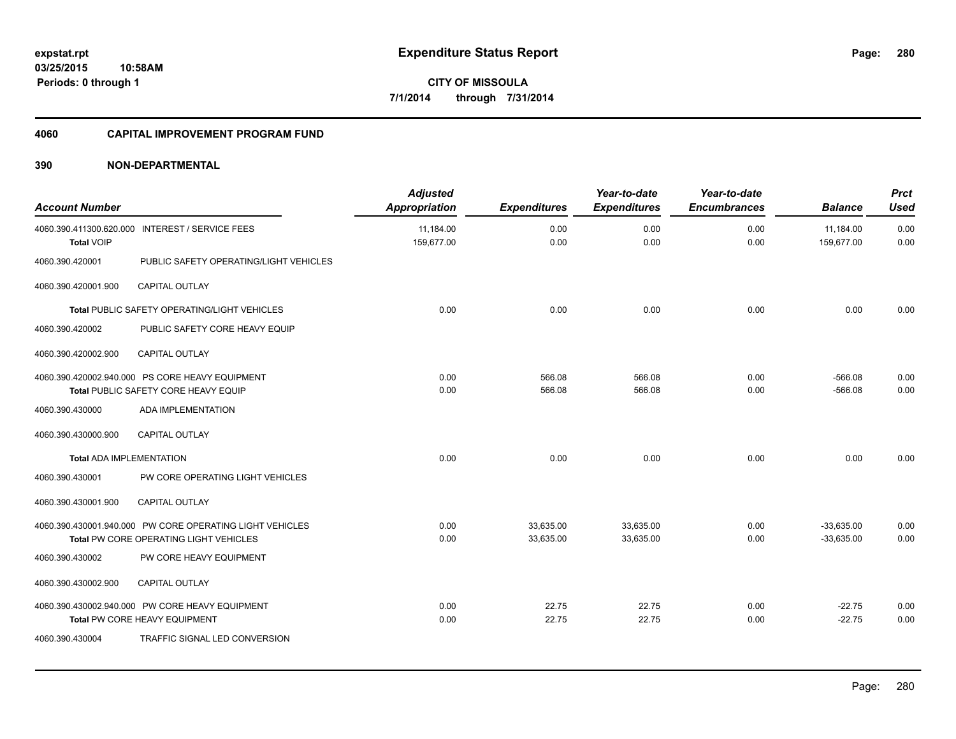#### **4060 CAPITAL IMPROVEMENT PROGRAM FUND**

| <b>Account Number</b>           |                                                          | <b>Adjusted</b><br>Appropriation | <b>Expenditures</b> | Year-to-date<br><b>Expenditures</b> | Year-to-date<br><b>Encumbrances</b> | <b>Balance</b>          | <b>Prct</b><br><b>Used</b> |
|---------------------------------|----------------------------------------------------------|----------------------------------|---------------------|-------------------------------------|-------------------------------------|-------------------------|----------------------------|
| <b>Total VOIP</b>               | 4060.390.411300.620.000 INTEREST / SERVICE FEES          | 11,184.00<br>159,677.00          | 0.00<br>0.00        | 0.00<br>0.00                        | 0.00<br>0.00                        | 11,184.00<br>159,677.00 | 0.00<br>0.00               |
| 4060.390.420001                 | PUBLIC SAFETY OPERATING/LIGHT VEHICLES                   |                                  |                     |                                     |                                     |                         |                            |
| 4060.390.420001.900             | <b>CAPITAL OUTLAY</b>                                    |                                  |                     |                                     |                                     |                         |                            |
|                                 | Total PUBLIC SAFETY OPERATING/LIGHT VEHICLES             | 0.00                             | 0.00                | 0.00                                | 0.00                                | 0.00                    | 0.00                       |
| 4060.390.420002                 | PUBLIC SAFETY CORE HEAVY EQUIP                           |                                  |                     |                                     |                                     |                         |                            |
| 4060.390.420002.900             | <b>CAPITAL OUTLAY</b>                                    |                                  |                     |                                     |                                     |                         |                            |
|                                 | 4060.390.420002.940.000 PS CORE HEAVY EQUIPMENT          | 0.00                             | 566.08              | 566.08                              | 0.00                                | $-566.08$               | 0.00                       |
|                                 | Total PUBLIC SAFETY CORE HEAVY EQUIP                     | 0.00                             | 566.08              | 566.08                              | 0.00                                | $-566.08$               | 0.00                       |
| 4060.390.430000                 | ADA IMPLEMENTATION                                       |                                  |                     |                                     |                                     |                         |                            |
| 4060.390.430000.900             | <b>CAPITAL OUTLAY</b>                                    |                                  |                     |                                     |                                     |                         |                            |
| <b>Total ADA IMPLEMENTATION</b> |                                                          | 0.00                             | 0.00                | 0.00                                | 0.00                                | 0.00                    | 0.00                       |
| 4060.390.430001                 | PW CORE OPERATING LIGHT VEHICLES                         |                                  |                     |                                     |                                     |                         |                            |
| 4060.390.430001.900             | CAPITAL OUTLAY                                           |                                  |                     |                                     |                                     |                         |                            |
|                                 | 4060.390.430001.940.000 PW CORE OPERATING LIGHT VEHICLES | 0.00                             | 33,635.00           | 33,635.00                           | 0.00                                | $-33.635.00$            | 0.00                       |
|                                 | Total PW CORE OPERATING LIGHT VEHICLES                   | 0.00                             | 33,635.00           | 33,635.00                           | 0.00                                | $-33,635.00$            | 0.00                       |
| 4060.390.430002                 | PW CORE HEAVY EQUIPMENT                                  |                                  |                     |                                     |                                     |                         |                            |
| 4060.390.430002.900             | <b>CAPITAL OUTLAY</b>                                    |                                  |                     |                                     |                                     |                         |                            |
|                                 | 4060.390.430002.940.000 PW CORE HEAVY EQUIPMENT          | 0.00                             | 22.75               | 22.75                               | 0.00                                | $-22.75$                | 0.00                       |
|                                 | Total PW CORE HEAVY EQUIPMENT                            | 0.00                             | 22.75               | 22.75                               | 0.00                                | $-22.75$                | 0.00                       |
| 4060.390.430004                 | <b>TRAFFIC SIGNAL LED CONVERSION</b>                     |                                  |                     |                                     |                                     |                         |                            |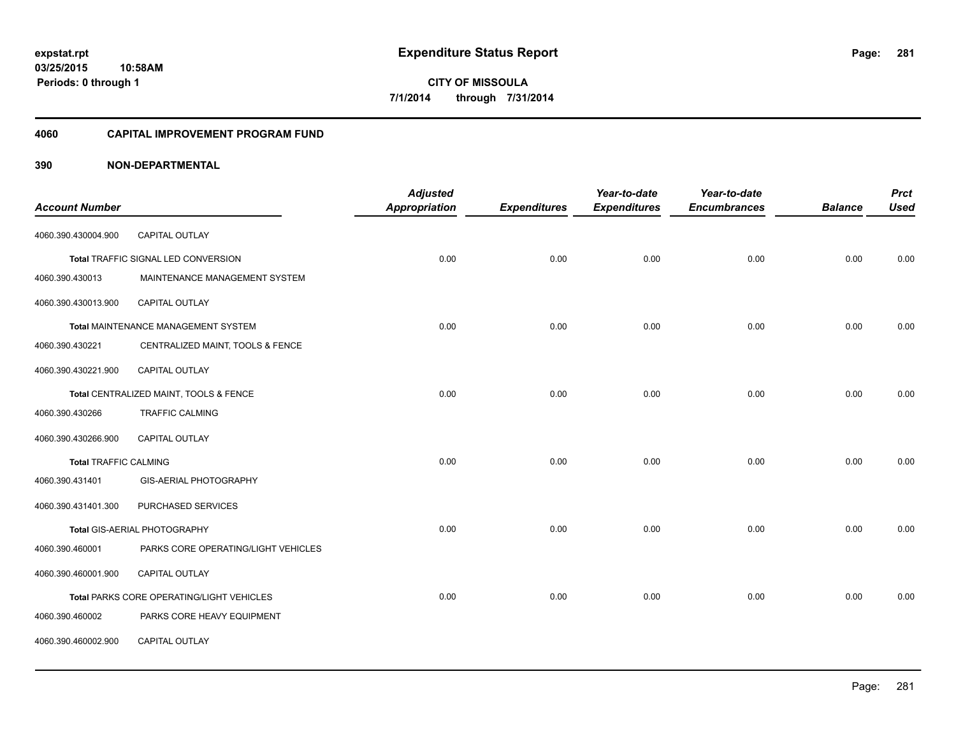#### **4060 CAPITAL IMPROVEMENT PROGRAM FUND**

|                              |                                           | <b>Adjusted</b>      |                     | Year-to-date        | Year-to-date        |                | <b>Prct</b> |
|------------------------------|-------------------------------------------|----------------------|---------------------|---------------------|---------------------|----------------|-------------|
| <b>Account Number</b>        |                                           | <b>Appropriation</b> | <b>Expenditures</b> | <b>Expenditures</b> | <b>Encumbrances</b> | <b>Balance</b> | <b>Used</b> |
| 4060.390.430004.900          | <b>CAPITAL OUTLAY</b>                     |                      |                     |                     |                     |                |             |
|                              | Total TRAFFIC SIGNAL LED CONVERSION       | 0.00                 | 0.00                | 0.00                | 0.00                | 0.00           | 0.00        |
| 4060.390.430013              | MAINTENANCE MANAGEMENT SYSTEM             |                      |                     |                     |                     |                |             |
| 4060.390.430013.900          | CAPITAL OUTLAY                            |                      |                     |                     |                     |                |             |
|                              | Total MAINTENANCE MANAGEMENT SYSTEM       | 0.00                 | 0.00                | 0.00                | 0.00                | 0.00           | 0.00        |
| 4060.390.430221              | CENTRALIZED MAINT, TOOLS & FENCE          |                      |                     |                     |                     |                |             |
| 4060.390.430221.900          | <b>CAPITAL OUTLAY</b>                     |                      |                     |                     |                     |                |             |
|                              | Total CENTRALIZED MAINT, TOOLS & FENCE    | 0.00                 | 0.00                | 0.00                | 0.00                | 0.00           | 0.00        |
| 4060.390.430266              | <b>TRAFFIC CALMING</b>                    |                      |                     |                     |                     |                |             |
| 4060.390.430266.900          | CAPITAL OUTLAY                            |                      |                     |                     |                     |                |             |
| <b>Total TRAFFIC CALMING</b> |                                           | 0.00                 | 0.00                | 0.00                | 0.00                | 0.00           | 0.00        |
| 4060.390.431401              | GIS-AERIAL PHOTOGRAPHY                    |                      |                     |                     |                     |                |             |
| 4060.390.431401.300          | PURCHASED SERVICES                        |                      |                     |                     |                     |                |             |
|                              | Total GIS-AERIAL PHOTOGRAPHY              | 0.00                 | 0.00                | 0.00                | 0.00                | 0.00           | 0.00        |
| 4060.390.460001              | PARKS CORE OPERATING/LIGHT VEHICLES       |                      |                     |                     |                     |                |             |
| 4060.390.460001.900          | CAPITAL OUTLAY                            |                      |                     |                     |                     |                |             |
|                              | Total PARKS CORE OPERATING/LIGHT VEHICLES | 0.00                 | 0.00                | 0.00                | 0.00                | 0.00           | 0.00        |
| 4060.390.460002              | PARKS CORE HEAVY EQUIPMENT                |                      |                     |                     |                     |                |             |
| 4060.390.460002.900          | CAPITAL OUTLAY                            |                      |                     |                     |                     |                |             |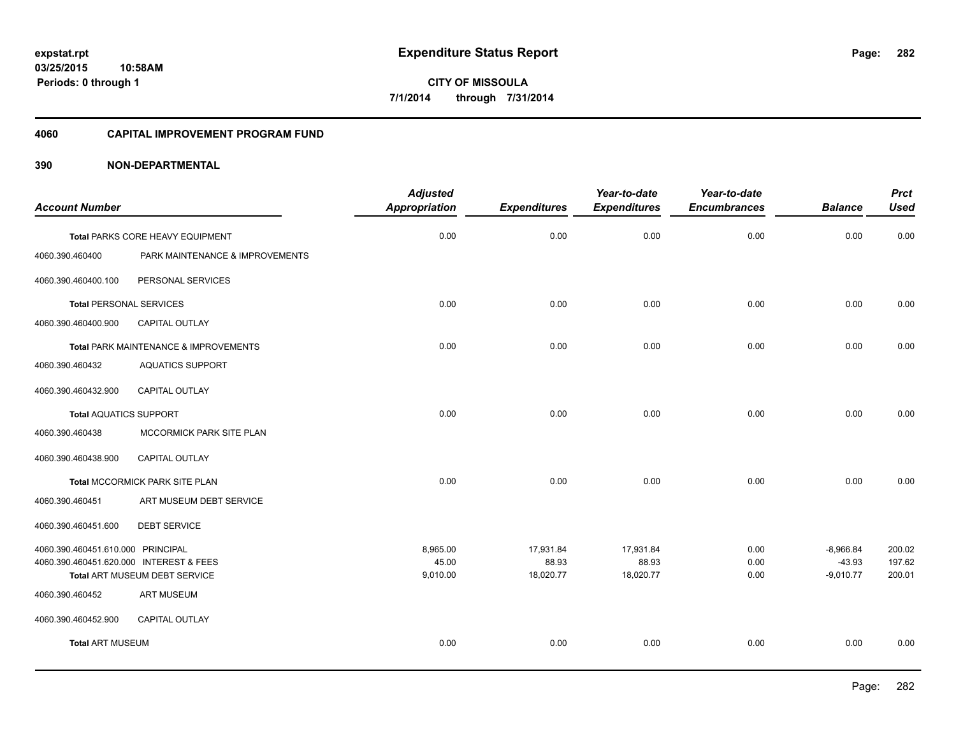#### **4060 CAPITAL IMPROVEMENT PROGRAM FUND**

|                                         |                                       | <b>Adjusted</b>      |                     | Year-to-date        | Year-to-date        |                | <b>Prct</b> |
|-----------------------------------------|---------------------------------------|----------------------|---------------------|---------------------|---------------------|----------------|-------------|
| <b>Account Number</b>                   |                                       | <b>Appropriation</b> | <b>Expenditures</b> | <b>Expenditures</b> | <b>Encumbrances</b> | <b>Balance</b> | <b>Used</b> |
|                                         | Total PARKS CORE HEAVY EQUIPMENT      | 0.00                 | 0.00                | 0.00                | 0.00                | 0.00           | 0.00        |
| 4060.390.460400                         | PARK MAINTENANCE & IMPROVEMENTS       |                      |                     |                     |                     |                |             |
| 4060.390.460400.100                     | PERSONAL SERVICES                     |                      |                     |                     |                     |                |             |
| <b>Total PERSONAL SERVICES</b>          |                                       | 0.00                 | 0.00                | 0.00                | 0.00                | 0.00           | 0.00        |
| 4060.390.460400.900                     | CAPITAL OUTLAY                        |                      |                     |                     |                     |                |             |
|                                         | Total PARK MAINTENANCE & IMPROVEMENTS | 0.00                 | 0.00                | 0.00                | 0.00                | 0.00           | 0.00        |
| 4060.390.460432                         | <b>AQUATICS SUPPORT</b>               |                      |                     |                     |                     |                |             |
| 4060.390.460432.900                     | <b>CAPITAL OUTLAY</b>                 |                      |                     |                     |                     |                |             |
| <b>Total AQUATICS SUPPORT</b>           |                                       | 0.00                 | 0.00                | 0.00                | 0.00                | 0.00           | 0.00        |
| 4060.390.460438                         | MCCORMICK PARK SITE PLAN              |                      |                     |                     |                     |                |             |
| 4060.390.460438.900                     | CAPITAL OUTLAY                        |                      |                     |                     |                     |                |             |
|                                         | Total MCCORMICK PARK SITE PLAN        | 0.00                 | 0.00                | 0.00                | 0.00                | 0.00           | 0.00        |
| 4060.390.460451                         | ART MUSEUM DEBT SERVICE               |                      |                     |                     |                     |                |             |
| 4060.390.460451.600                     | <b>DEBT SERVICE</b>                   |                      |                     |                     |                     |                |             |
| 4060.390.460451.610.000 PRINCIPAL       |                                       | 8,965.00             | 17,931.84           | 17,931.84           | 0.00                | $-8,966.84$    | 200.02      |
| 4060.390.460451.620.000 INTEREST & FEES |                                       | 45.00                | 88.93               | 88.93               | 0.00                | $-43.93$       | 197.62      |
|                                         | Total ART MUSEUM DEBT SERVICE         | 9,010.00             | 18,020.77           | 18,020.77           | 0.00                | $-9,010.77$    | 200.01      |
| 4060.390.460452                         | <b>ART MUSEUM</b>                     |                      |                     |                     |                     |                |             |
| 4060.390.460452.900                     | CAPITAL OUTLAY                        |                      |                     |                     |                     |                |             |
| <b>Total ART MUSEUM</b>                 |                                       | 0.00                 | 0.00                | 0.00                | 0.00                | 0.00           | 0.00        |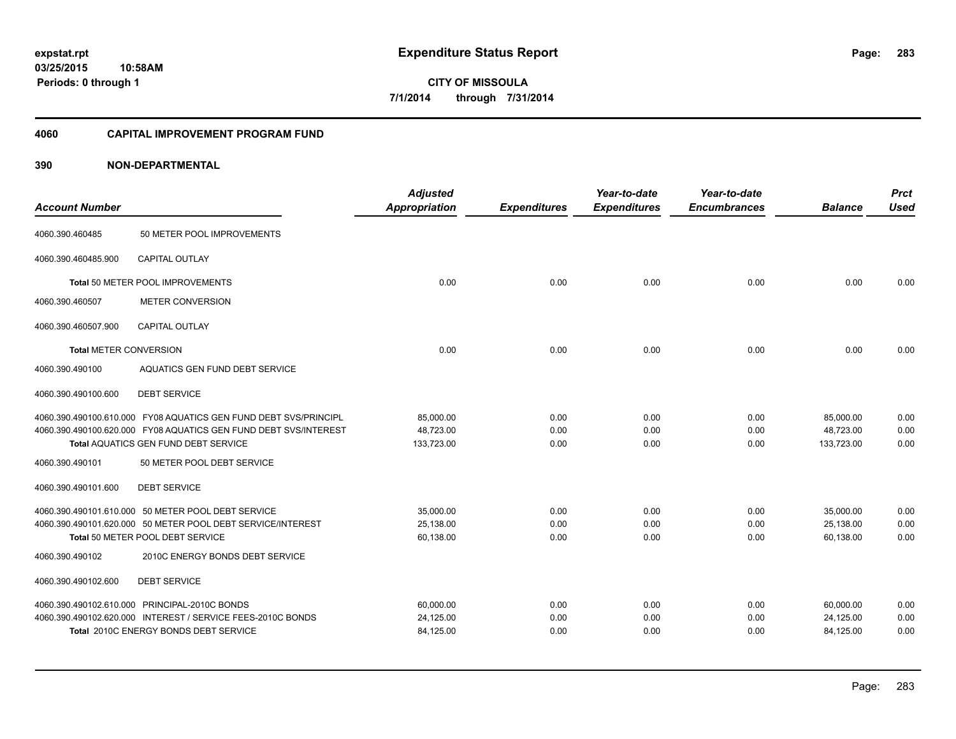### **03/25/2015 10:58AM Periods: 0 through 1**

**CITY OF MISSOULA 7/1/2014 through 7/31/2014**

#### **4060 CAPITAL IMPROVEMENT PROGRAM FUND**

| <b>Account Number</b>         |                                                                  | <b>Adjusted</b><br><b>Appropriation</b> | <b>Expenditures</b> | Year-to-date<br><b>Expenditures</b> | Year-to-date<br><b>Encumbrances</b> | <b>Balance</b> | <b>Prct</b><br><b>Used</b> |
|-------------------------------|------------------------------------------------------------------|-----------------------------------------|---------------------|-------------------------------------|-------------------------------------|----------------|----------------------------|
| 4060.390.460485               | 50 METER POOL IMPROVEMENTS                                       |                                         |                     |                                     |                                     |                |                            |
| 4060.390.460485.900           | <b>CAPITAL OUTLAY</b>                                            |                                         |                     |                                     |                                     |                |                            |
|                               | Total 50 METER POOL IMPROVEMENTS                                 | 0.00                                    | 0.00                | 0.00                                | 0.00                                | 0.00           | 0.00                       |
| 4060.390.460507               | <b>METER CONVERSION</b>                                          |                                         |                     |                                     |                                     |                |                            |
| 4060.390.460507.900           | <b>CAPITAL OUTLAY</b>                                            |                                         |                     |                                     |                                     |                |                            |
| <b>Total METER CONVERSION</b> |                                                                  | 0.00                                    | 0.00                | 0.00                                | 0.00                                | 0.00           | 0.00                       |
| 4060.390.490100               | AQUATICS GEN FUND DEBT SERVICE                                   |                                         |                     |                                     |                                     |                |                            |
| 4060.390.490100.600           | <b>DEBT SERVICE</b>                                              |                                         |                     |                                     |                                     |                |                            |
|                               | 4060.390.490100.610.000 FY08 AQUATICS GEN FUND DEBT SVS/PRINCIPL | 85,000.00                               | 0.00                | 0.00                                | 0.00                                | 85,000.00      | 0.00                       |
|                               | 4060.390.490100.620.000 FY08 AQUATICS GEN FUND DEBT SVS/INTEREST | 48,723.00                               | 0.00                | 0.00                                | 0.00                                | 48,723.00      | 0.00                       |
|                               | <b>Total AQUATICS GEN FUND DEBT SERVICE</b>                      | 133,723.00                              | 0.00                | 0.00                                | 0.00                                | 133,723.00     | 0.00                       |
| 4060.390.490101               | 50 METER POOL DEBT SERVICE                                       |                                         |                     |                                     |                                     |                |                            |
| 4060.390.490101.600           | <b>DEBT SERVICE</b>                                              |                                         |                     |                                     |                                     |                |                            |
|                               | 4060.390.490101.610.000 50 METER POOL DEBT SERVICE               | 35,000.00                               | 0.00                | 0.00                                | 0.00                                | 35,000.00      | 0.00                       |
|                               | 4060.390.490101.620.000 50 METER POOL DEBT SERVICE/INTEREST      | 25.138.00                               | 0.00                | 0.00                                | 0.00                                | 25,138.00      | 0.00                       |
|                               | Total 50 METER POOL DEBT SERVICE                                 | 60,138.00                               | 0.00                | 0.00                                | 0.00                                | 60,138.00      | 0.00                       |
| 4060.390.490102               | 2010C ENERGY BONDS DEBT SERVICE                                  |                                         |                     |                                     |                                     |                |                            |
| 4060.390.490102.600           | <b>DEBT SERVICE</b>                                              |                                         |                     |                                     |                                     |                |                            |
|                               | 4060.390.490102.610.000 PRINCIPAL-2010C BONDS                    | 60,000.00                               | 0.00                | 0.00                                | 0.00                                | 60,000.00      | 0.00                       |
|                               | 4060.390.490102.620.000 INTEREST / SERVICE FEES-2010C BONDS      | 24,125.00                               | 0.00                | 0.00                                | 0.00                                | 24,125.00      | 0.00                       |
|                               | Total 2010C ENERGY BONDS DEBT SERVICE                            | 84,125.00                               | 0.00                | 0.00                                | 0.00                                | 84,125.00      | 0.00                       |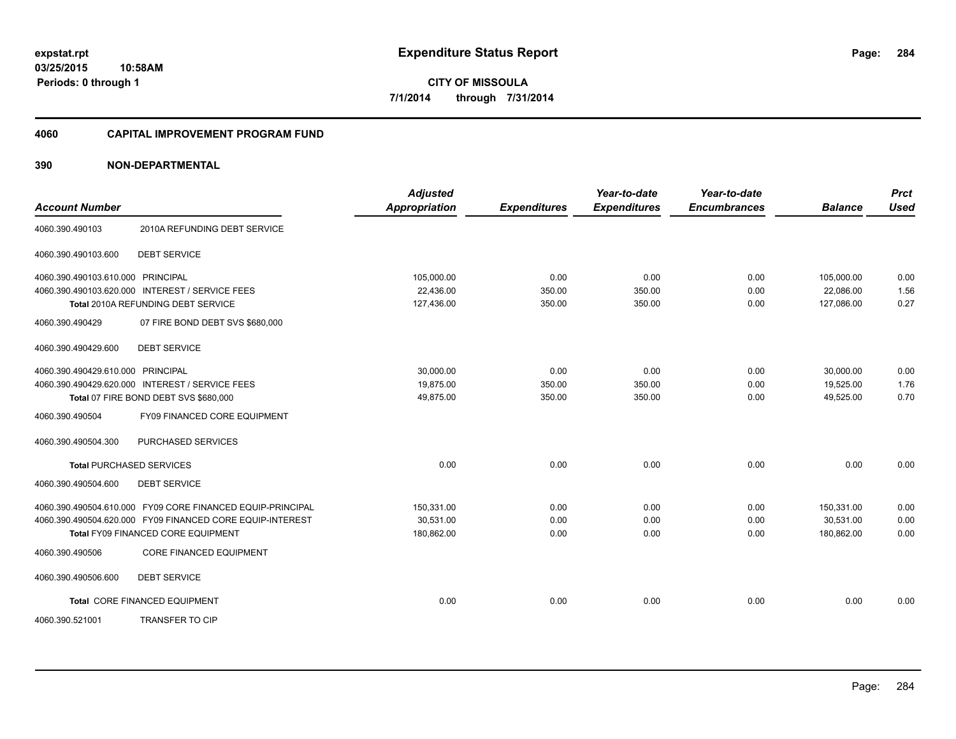#### **4060 CAPITAL IMPROVEMENT PROGRAM FUND**

|                                                            | <b>Adjusted</b>      |                     | Year-to-date        | Year-to-date        |                | <b>Prct</b> |
|------------------------------------------------------------|----------------------|---------------------|---------------------|---------------------|----------------|-------------|
| <b>Account Number</b>                                      | <b>Appropriation</b> | <b>Expenditures</b> | <b>Expenditures</b> | <b>Encumbrances</b> | <b>Balance</b> | <b>Used</b> |
| 2010A REFUNDING DEBT SERVICE<br>4060.390.490103            |                      |                     |                     |                     |                |             |
| <b>DEBT SERVICE</b><br>4060.390.490103.600                 |                      |                     |                     |                     |                |             |
| 4060.390.490103.610.000 PRINCIPAL                          | 105,000.00           | 0.00                | 0.00                | 0.00                | 105,000.00     | 0.00        |
| 4060.390.490103.620.000 INTEREST / SERVICE FEES            | 22,436.00            | 350.00              | 350.00              | 0.00                | 22,086.00      | 1.56        |
| Total 2010A REFUNDING DEBT SERVICE                         | 127,436.00           | 350.00              | 350.00              | 0.00                | 127,086.00     | 0.27        |
| 4060.390.490429<br>07 FIRE BOND DEBT SVS \$680,000         |                      |                     |                     |                     |                |             |
| <b>DEBT SERVICE</b><br>4060.390.490429.600                 |                      |                     |                     |                     |                |             |
| 4060.390.490429.610.000 PRINCIPAL                          | 30.000.00            | 0.00                | 0.00                | 0.00                | 30.000.00      | 0.00        |
| 4060.390.490429.620.000 INTEREST / SERVICE FEES            | 19.875.00            | 350.00              | 350.00              | 0.00                | 19.525.00      | 1.76        |
| Total 07 FIRE BOND DEBT SVS \$680,000                      | 49,875.00            | 350.00              | 350.00              | 0.00                | 49,525.00      | 0.70        |
| 4060.390.490504<br>FY09 FINANCED CORE EQUIPMENT            |                      |                     |                     |                     |                |             |
| PURCHASED SERVICES<br>4060.390.490504.300                  |                      |                     |                     |                     |                |             |
| <b>Total PURCHASED SERVICES</b>                            | 0.00                 | 0.00                | 0.00                | 0.00                | 0.00           | 0.00        |
| 4060.390.490504.600<br><b>DEBT SERVICE</b>                 |                      |                     |                     |                     |                |             |
| 4060.390.490504.610.000 FY09 CORE FINANCED EQUIP-PRINCIPAL | 150,331.00           | 0.00                | 0.00                | 0.00                | 150,331.00     | 0.00        |
| 4060.390.490504.620.000 FY09 FINANCED CORE EQUIP-INTEREST  | 30,531.00            | 0.00                | 0.00                | 0.00                | 30,531.00      | 0.00        |
| Total FY09 FINANCED CORE EQUIPMENT                         | 180,862.00           | 0.00                | 0.00                | 0.00                | 180,862.00     | 0.00        |
| <b>CORE FINANCED EQUIPMENT</b><br>4060.390.490506          |                      |                     |                     |                     |                |             |
| <b>DEBT SERVICE</b><br>4060.390.490506.600                 |                      |                     |                     |                     |                |             |
| Total CORE FINANCED EQUIPMENT                              | 0.00                 | 0.00                | 0.00                | 0.00                | 0.00           | 0.00        |
| <b>TRANSFER TO CIP</b><br>4060.390.521001                  |                      |                     |                     |                     |                |             |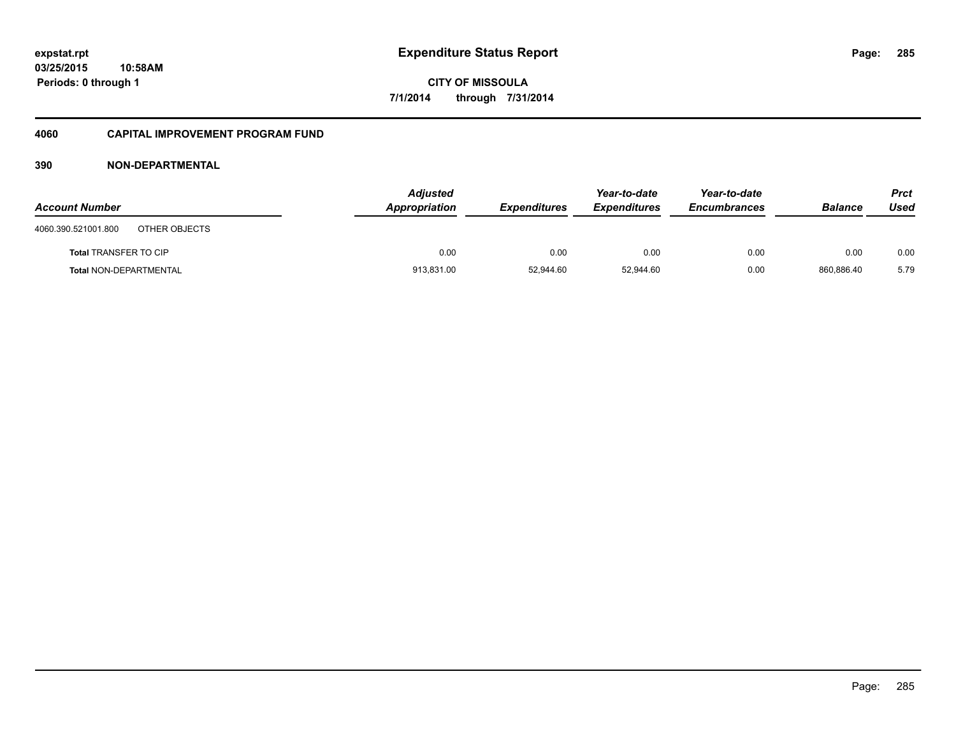#### **4060 CAPITAL IMPROVEMENT PROGRAM FUND**

| <b>Account Number</b>                | <b>Adjusted</b><br>Appropriation | <b>Expenditures</b> | Year-to-date<br><b>Expenditures</b> | Year-to-date<br><b>Encumbrances</b> | <b>Balance</b> | <b>Prct</b><br>Used |
|--------------------------------------|----------------------------------|---------------------|-------------------------------------|-------------------------------------|----------------|---------------------|
| 4060.390.521001.800<br>OTHER OBJECTS |                                  |                     |                                     |                                     |                |                     |
| <b>Total TRANSFER TO CIP</b>         | 0.00                             | 0.00                | 0.00                                | 0.00                                | 0.00           | 0.00                |
| <b>Total NON-DEPARTMENTAL</b>        | 913,831.00                       | 52,944.60           | 52,944.60                           | 0.00                                | 860,886.40     | 5.79                |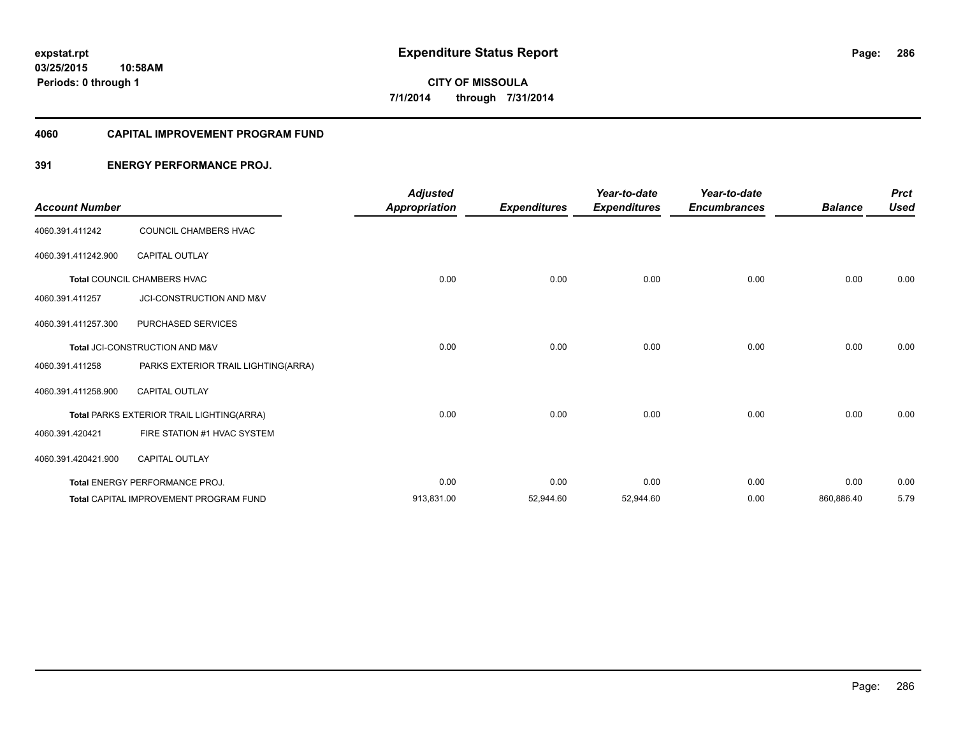#### **4060 CAPITAL IMPROVEMENT PROGRAM FUND**

### **391 ENERGY PERFORMANCE PROJ.**

| <b>Account Number</b> |                                           | <b>Adjusted</b><br><b>Appropriation</b> | <b>Expenditures</b> | Year-to-date<br><b>Expenditures</b> | Year-to-date<br><b>Encumbrances</b> | <b>Balance</b> | <b>Prct</b><br><b>Used</b> |
|-----------------------|-------------------------------------------|-----------------------------------------|---------------------|-------------------------------------|-------------------------------------|----------------|----------------------------|
| 4060.391.411242       | COUNCIL CHAMBERS HVAC                     |                                         |                     |                                     |                                     |                |                            |
| 4060.391.411242.900   | <b>CAPITAL OUTLAY</b>                     |                                         |                     |                                     |                                     |                |                            |
|                       | <b>Total COUNCIL CHAMBERS HVAC</b>        | 0.00                                    | 0.00                | 0.00                                | 0.00                                | 0.00           | 0.00                       |
| 4060.391.411257       | <b>JCI-CONSTRUCTION AND M&amp;V</b>       |                                         |                     |                                     |                                     |                |                            |
| 4060.391.411257.300   | <b>PURCHASED SERVICES</b>                 |                                         |                     |                                     |                                     |                |                            |
|                       | Total JCI-CONSTRUCTION AND M&V            | 0.00                                    | 0.00                | 0.00                                | 0.00                                | 0.00           | 0.00                       |
| 4060.391.411258       | PARKS EXTERIOR TRAIL LIGHTING(ARRA)       |                                         |                     |                                     |                                     |                |                            |
| 4060.391.411258.900   | <b>CAPITAL OUTLAY</b>                     |                                         |                     |                                     |                                     |                |                            |
|                       | Total PARKS EXTERIOR TRAIL LIGHTING(ARRA) | 0.00                                    | 0.00                | 0.00                                | 0.00                                | 0.00           | 0.00                       |
| 4060.391.420421       | FIRE STATION #1 HVAC SYSTEM               |                                         |                     |                                     |                                     |                |                            |
| 4060.391.420421.900   | <b>CAPITAL OUTLAY</b>                     |                                         |                     |                                     |                                     |                |                            |
|                       | <b>Total ENERGY PERFORMANCE PROJ.</b>     | 0.00                                    | 0.00                | 0.00                                | 0.00                                | 0.00           | 0.00                       |
|                       | Total CAPITAL IMPROVEMENT PROGRAM FUND    | 913,831.00                              | 52,944.60           | 52,944.60                           | 0.00                                | 860,886.40     | 5.79                       |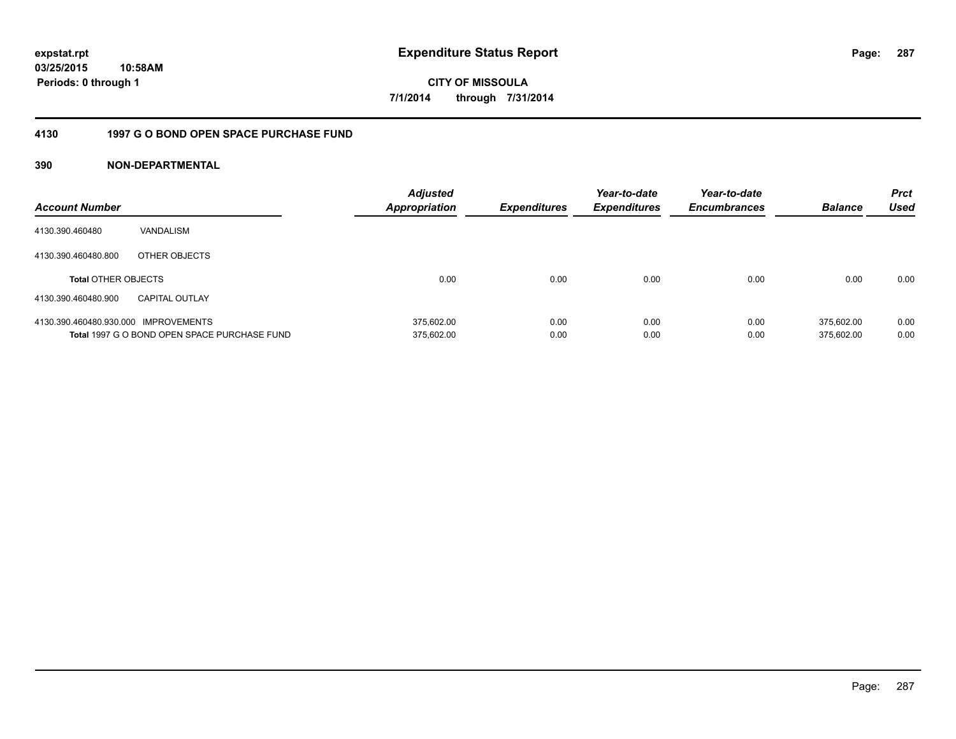**03/25/2015 10:58AM Periods: 0 through 1**

**CITY OF MISSOULA 7/1/2014 through 7/31/2014**

### **4130 1997 G O BOND OPEN SPACE PURCHASE FUND**

| <b>Account Number</b>                |                                              | <b>Adjusted</b><br>Appropriation | <b>Expenditures</b> | Year-to-date<br><b>Expenditures</b> | Year-to-date<br><b>Encumbrances</b> | <b>Balance</b> | <b>Prct</b><br>Used |
|--------------------------------------|----------------------------------------------|----------------------------------|---------------------|-------------------------------------|-------------------------------------|----------------|---------------------|
| 4130.390.460480                      | VANDALISM                                    |                                  |                     |                                     |                                     |                |                     |
| 4130.390.460480.800                  | OTHER OBJECTS                                |                                  |                     |                                     |                                     |                |                     |
| <b>Total OTHER OBJECTS</b>           |                                              | 0.00                             | 0.00                | 0.00                                | 0.00                                | 0.00           | 0.00                |
| 4130.390.460480.900                  | <b>CAPITAL OUTLAY</b>                        |                                  |                     |                                     |                                     |                |                     |
| 4130.390.460480.930.000 IMPROVEMENTS |                                              | 375.602.00                       | 0.00                | 0.00                                | 0.00                                | 375.602.00     | 0.00                |
|                                      | Total 1997 G O BOND OPEN SPACE PURCHASE FUND | 375,602.00                       | 0.00                | 0.00                                | 0.00                                | 375.602.00     | 0.00                |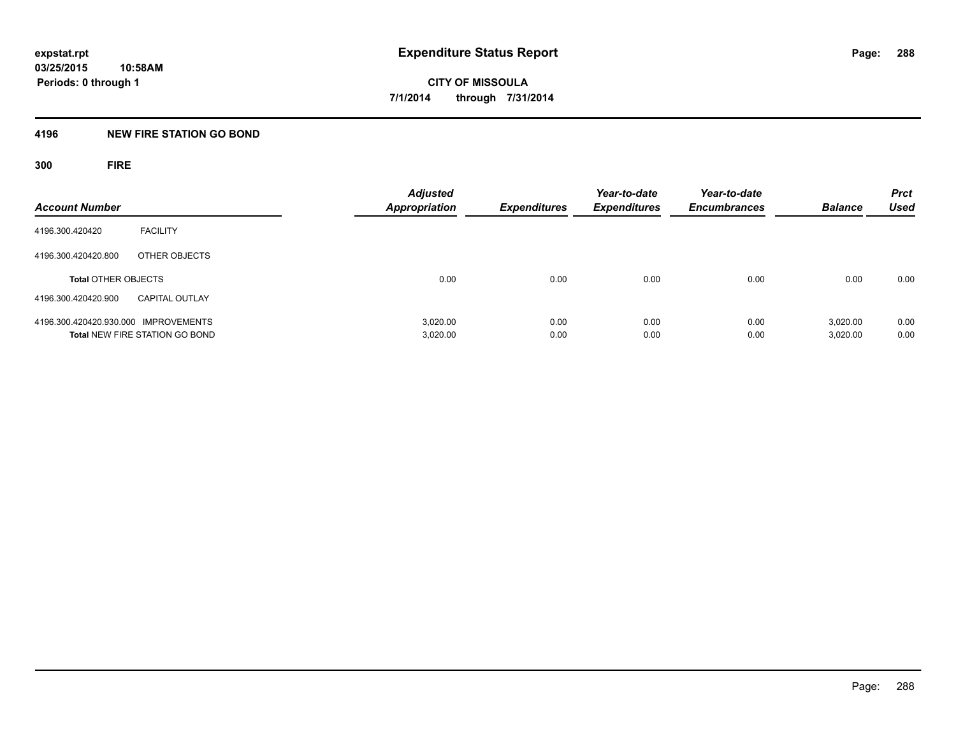#### **4196 NEW FIRE STATION GO BOND**

**300 FIRE**

| <b>Account Number</b>                |                                       | <b>Adjusted</b><br><b>Appropriation</b> | <b>Expenditures</b> | Year-to-date<br><b>Expenditures</b> | Year-to-date<br><b>Encumbrances</b> | <b>Balance</b> | <b>Prct</b><br><b>Used</b> |
|--------------------------------------|---------------------------------------|-----------------------------------------|---------------------|-------------------------------------|-------------------------------------|----------------|----------------------------|
| 4196.300.420420                      | <b>FACILITY</b>                       |                                         |                     |                                     |                                     |                |                            |
| 4196.300.420420.800                  | OTHER OBJECTS                         |                                         |                     |                                     |                                     |                |                            |
| <b>Total OTHER OBJECTS</b>           |                                       | 0.00                                    | 0.00                | 0.00                                | 0.00                                | 0.00           | 0.00                       |
| 4196.300.420420.900                  | <b>CAPITAL OUTLAY</b>                 |                                         |                     |                                     |                                     |                |                            |
| 4196.300.420420.930.000 IMPROVEMENTS |                                       | 3.020.00                                | 0.00                | 0.00                                | 0.00                                | 3,020.00       | 0.00                       |
|                                      | <b>Total NEW FIRE STATION GO BOND</b> | 3,020.00                                | 0.00                | 0.00                                | 0.00                                | 3,020.00       | 0.00                       |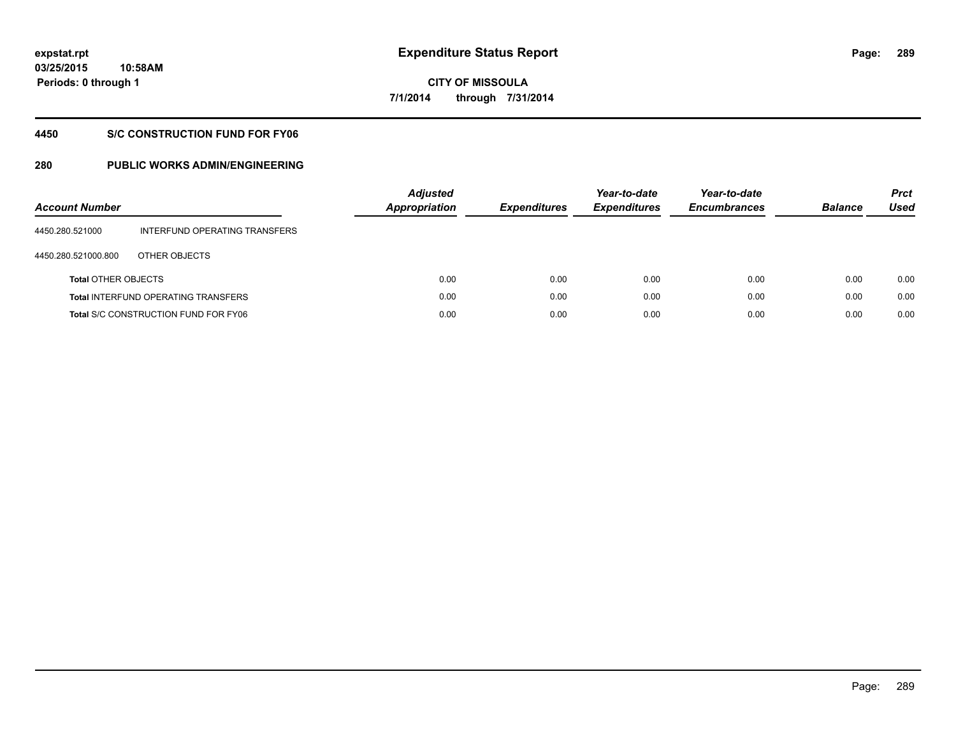### **03/25/2015 10:58AM Periods: 0 through 1**

# **CITY OF MISSOULA 7/1/2014 through 7/31/2014**

#### **4450 S/C CONSTRUCTION FUND FOR FY06**

| <b>Account Number</b>      |                                             | <b>Adjusted</b><br>Appropriation | <b>Expenditures</b> | Year-to-date<br><b>Expenditures</b> | Year-to-date<br><b>Encumbrances</b> | <b>Balance</b> | <b>Prct</b><br>Used |
|----------------------------|---------------------------------------------|----------------------------------|---------------------|-------------------------------------|-------------------------------------|----------------|---------------------|
| 4450.280.521000            | INTERFUND OPERATING TRANSFERS               |                                  |                     |                                     |                                     |                |                     |
| 4450.280.521000.800        | OTHER OBJECTS                               |                                  |                     |                                     |                                     |                |                     |
| <b>Total OTHER OBJECTS</b> |                                             | 0.00                             | 0.00                | 0.00                                | 0.00                                | 0.00           | 0.00                |
|                            | <b>Total INTERFUND OPERATING TRANSFERS</b>  | 0.00                             | 0.00                | 0.00                                | 0.00                                | 0.00           | 0.00                |
|                            | <b>Total S/C CONSTRUCTION FUND FOR FY06</b> | 0.00                             | 0.00                | 0.00                                | 0.00                                | 0.00           | 0.00                |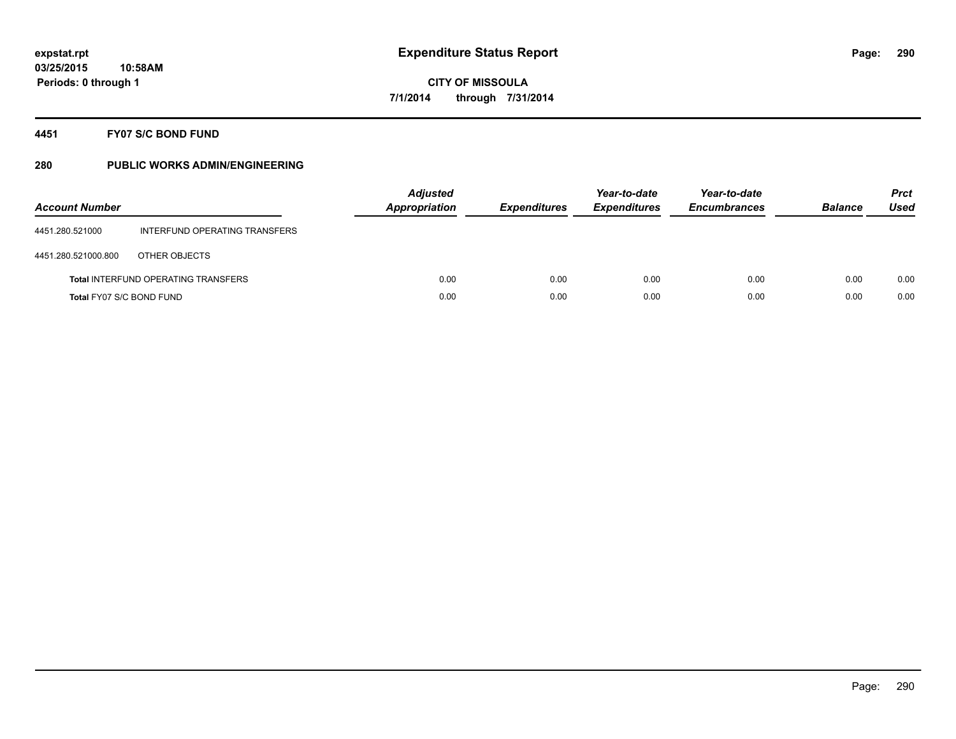#### **4451 FY07 S/C BOND FUND**

| <b>Account Number</b>    |                                            | <b>Adjusted</b><br><b>Appropriation</b> | <b>Expenditures</b> | Year-to-date<br><b>Expenditures</b> | Year-to-date<br><b>Encumbrances</b> | <b>Balance</b> | <b>Prct</b><br>Used |
|--------------------------|--------------------------------------------|-----------------------------------------|---------------------|-------------------------------------|-------------------------------------|----------------|---------------------|
| 4451.280.521000          | INTERFUND OPERATING TRANSFERS              |                                         |                     |                                     |                                     |                |                     |
| 4451.280.521000.800      | OTHER OBJECTS                              |                                         |                     |                                     |                                     |                |                     |
|                          | <b>Total INTERFUND OPERATING TRANSFERS</b> | 0.00                                    | 0.00                | 0.00                                | 0.00                                | 0.00           | 0.00                |
| Total FY07 S/C BOND FUND |                                            | 0.00                                    | 0.00                | 0.00                                | 0.00                                | 0.00           | 0.00                |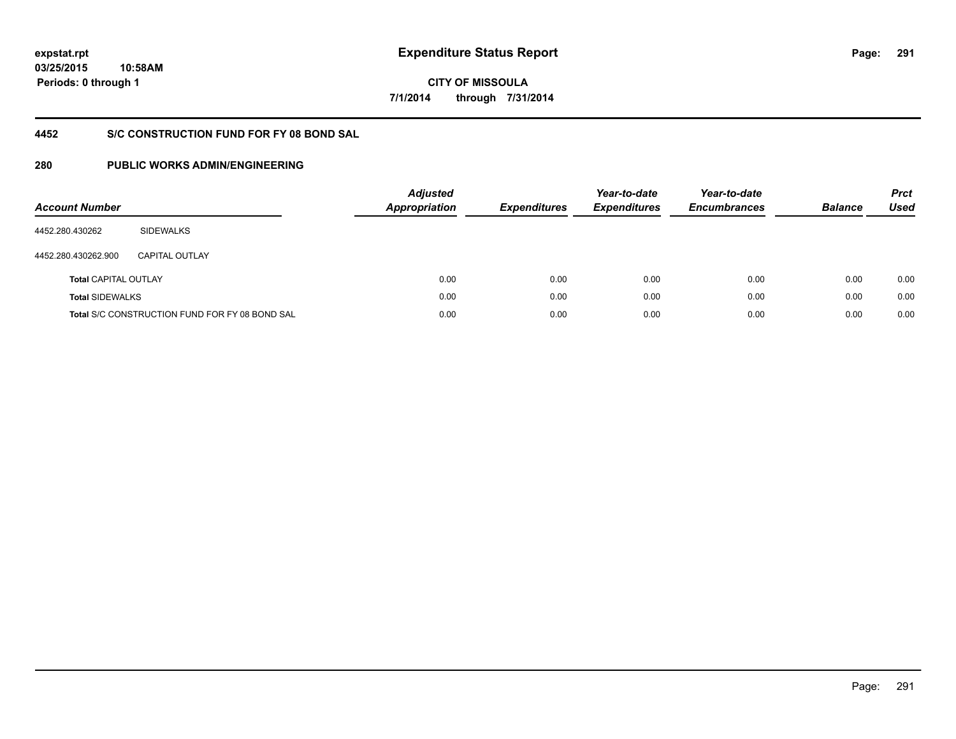**03/25/2015 10:58AM Periods: 0 through 1**

**CITY OF MISSOULA 7/1/2014 through 7/31/2014**

#### **4452 S/C CONSTRUCTION FUND FOR FY 08 BOND SAL**

| <b>Account Number</b>       |                                                       | <b>Adjusted</b><br>Appropriation | <b>Expenditures</b> | Year-to-date<br><b>Expenditures</b> | Year-to-date<br><b>Encumbrances</b> | <b>Balance</b> | <b>Prct</b><br><b>Used</b> |
|-----------------------------|-------------------------------------------------------|----------------------------------|---------------------|-------------------------------------|-------------------------------------|----------------|----------------------------|
| 4452.280.430262             | <b>SIDEWALKS</b>                                      |                                  |                     |                                     |                                     |                |                            |
| 4452.280.430262.900         | CAPITAL OUTLAY                                        |                                  |                     |                                     |                                     |                |                            |
| <b>Total CAPITAL OUTLAY</b> |                                                       | 0.00                             | 0.00                | 0.00                                | 0.00                                | 0.00           | 0.00                       |
| <b>Total SIDEWALKS</b>      |                                                       | 0.00                             | 0.00                | 0.00                                | 0.00                                | 0.00           | 0.00                       |
|                             | <b>Total S/C CONSTRUCTION FUND FOR FY 08 BOND SAL</b> | 0.00                             | 0.00                | 0.00                                | 0.00                                | 0.00           | 0.00                       |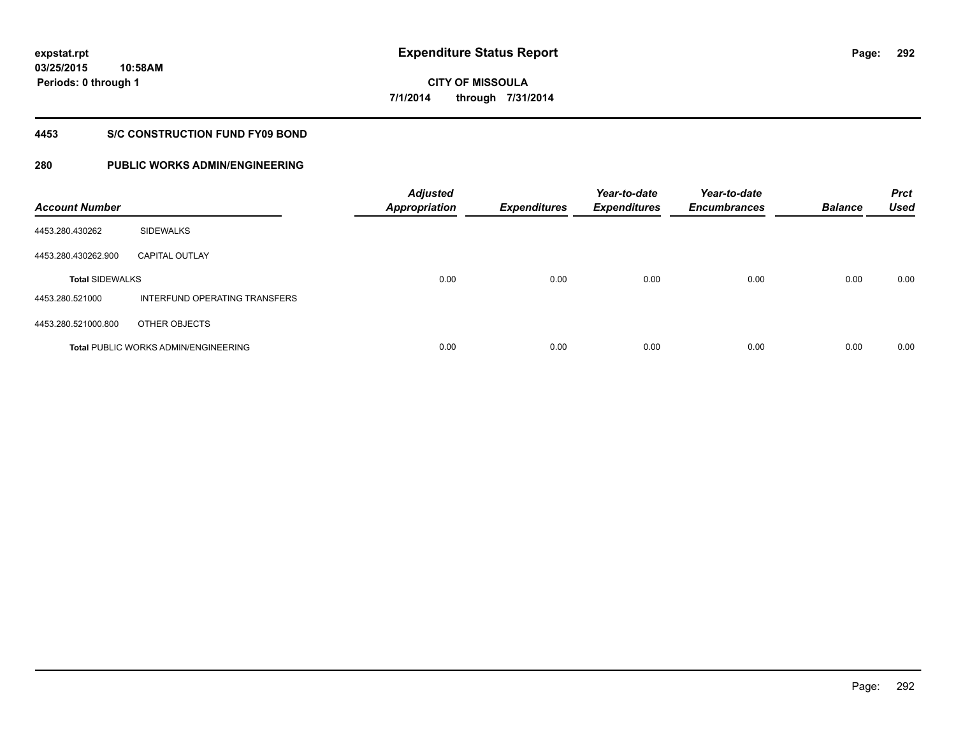#### **4453 S/C CONSTRUCTION FUND FY09 BOND**

| <b>Account Number</b>  |                                             | <b>Adjusted</b><br><b>Appropriation</b> | <b>Expenditures</b> | Year-to-date<br><b>Expenditures</b> | Year-to-date<br><b>Encumbrances</b> | <b>Balance</b> | <b>Prct</b><br><b>Used</b> |
|------------------------|---------------------------------------------|-----------------------------------------|---------------------|-------------------------------------|-------------------------------------|----------------|----------------------------|
| 4453.280.430262        | <b>SIDEWALKS</b>                            |                                         |                     |                                     |                                     |                |                            |
| 4453.280.430262.900    | <b>CAPITAL OUTLAY</b>                       |                                         |                     |                                     |                                     |                |                            |
| <b>Total SIDEWALKS</b> |                                             | 0.00                                    | 0.00                | 0.00                                | 0.00                                | 0.00           | 0.00                       |
| 4453.280.521000        | INTERFUND OPERATING TRANSFERS               |                                         |                     |                                     |                                     |                |                            |
| 4453.280.521000.800    | OTHER OBJECTS                               |                                         |                     |                                     |                                     |                |                            |
|                        | <b>Total PUBLIC WORKS ADMIN/ENGINEERING</b> | 0.00                                    | 0.00                | 0.00                                | 0.00                                | 0.00           | 0.00                       |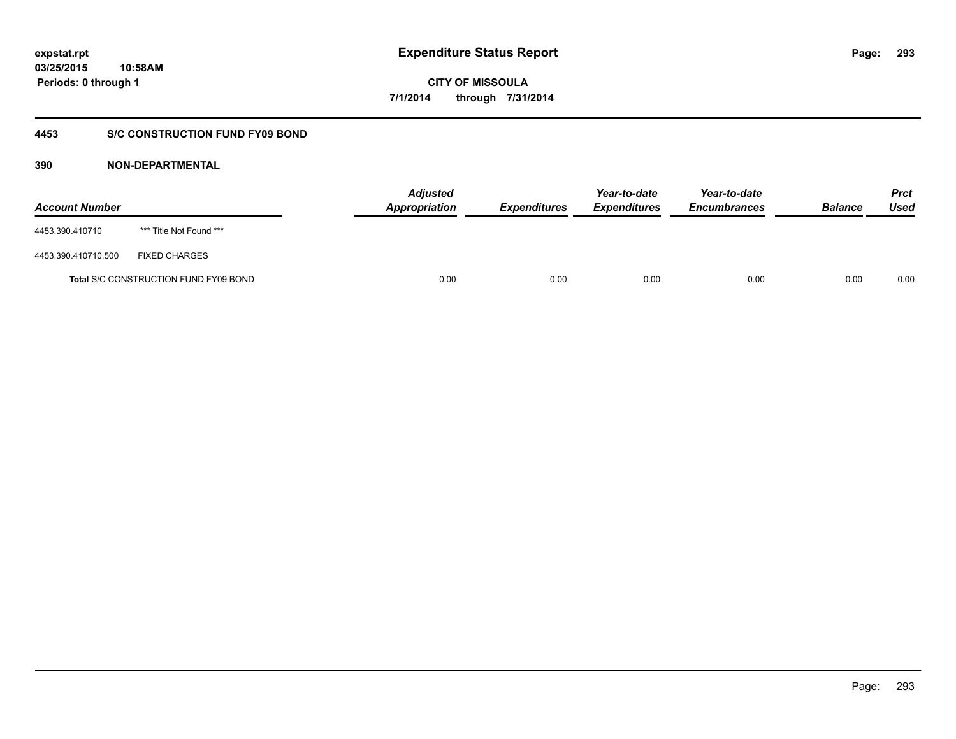### **4453 S/C CONSTRUCTION FUND FY09 BOND**

| <b>Account Number</b> |                                              | <b>Adjusted</b><br>Appropriation | <b>Expenditures</b> | Year-to-date<br><b>Expenditures</b> | Year-to-date<br><b>Encumbrances</b> | <b>Balance</b> | <b>Prct</b><br>Used |
|-----------------------|----------------------------------------------|----------------------------------|---------------------|-------------------------------------|-------------------------------------|----------------|---------------------|
| 4453.390.410710       | *** Title Not Found ***                      |                                  |                     |                                     |                                     |                |                     |
| 4453.390.410710.500   | <b>FIXED CHARGES</b>                         |                                  |                     |                                     |                                     |                |                     |
|                       | <b>Total S/C CONSTRUCTION FUND FY09 BOND</b> | 0.00                             | 0.00                | 0.00                                | 0.00                                | 0.00           | 0.00                |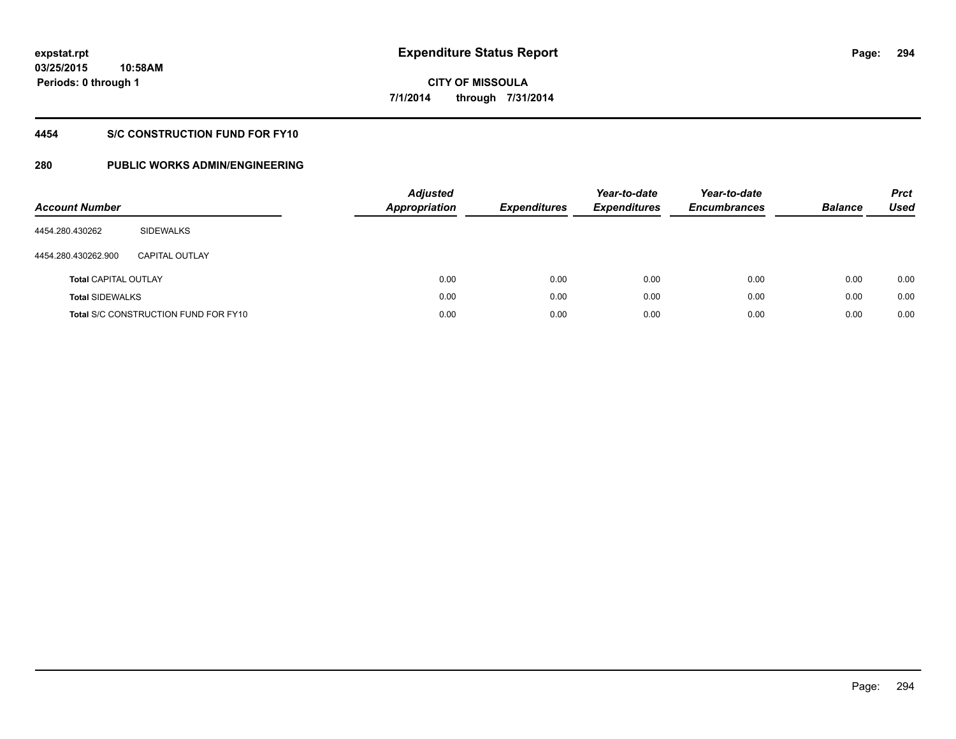### **4454 S/C CONSTRUCTION FUND FOR FY10**

| <b>Account Number</b>       |                                             | <b>Adjusted</b><br><b>Appropriation</b> |      | <b>Expenditures</b> | Year-to-date<br><b>Expenditures</b> | Year-to-date<br><b>Encumbrances</b> | <b>Balance</b> | <b>Prct</b><br>Used |
|-----------------------------|---------------------------------------------|-----------------------------------------|------|---------------------|-------------------------------------|-------------------------------------|----------------|---------------------|
| 4454.280.430262             | SIDEWALKS                                   |                                         |      |                     |                                     |                                     |                |                     |
| 4454.280.430262.900         | CAPITAL OUTLAY                              |                                         |      |                     |                                     |                                     |                |                     |
| <b>Total CAPITAL OUTLAY</b> |                                             |                                         | 0.00 | 0.00                | 0.00                                | 0.00                                | 0.00           | 0.00                |
| <b>Total SIDEWALKS</b>      |                                             |                                         | 0.00 | 0.00                | 0.00                                | 0.00                                | 0.00           | 0.00                |
|                             | <b>Total S/C CONSTRUCTION FUND FOR FY10</b> |                                         | 0.00 | 0.00                | 0.00                                | 0.00                                | 0.00           | 0.00                |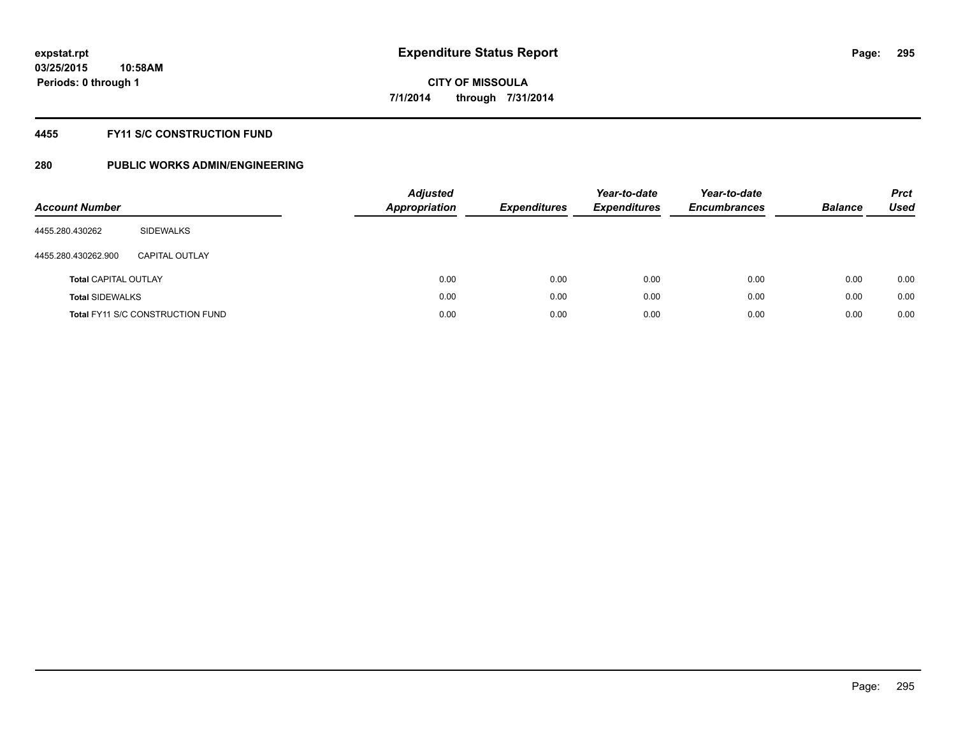#### **4455 FY11 S/C CONSTRUCTION FUND**

| <b>Account Number</b>       |                                         | <b>Adjusted</b><br><b>Appropriation</b> | <b>Expenditures</b> | Year-to-date<br><b>Expenditures</b> | Year-to-date<br><b>Encumbrances</b> | <b>Balance</b> | <b>Prct</b><br>Used |
|-----------------------------|-----------------------------------------|-----------------------------------------|---------------------|-------------------------------------|-------------------------------------|----------------|---------------------|
| 4455.280.430262             | SIDEWALKS                               |                                         |                     |                                     |                                     |                |                     |
| 4455.280.430262.900         | CAPITAL OUTLAY                          |                                         |                     |                                     |                                     |                |                     |
| <b>Total CAPITAL OUTLAY</b> |                                         | 0.00                                    | 0.00                | 0.00                                | 0.00                                | 0.00           | 0.00                |
| <b>Total SIDEWALKS</b>      |                                         | 0.00                                    | 0.00                | 0.00                                | 0.00                                | 0.00           | 0.00                |
|                             | <b>Total FY11 S/C CONSTRUCTION FUND</b> | 0.00                                    | 0.00                | 0.00                                | 0.00                                | 0.00           | 0.00                |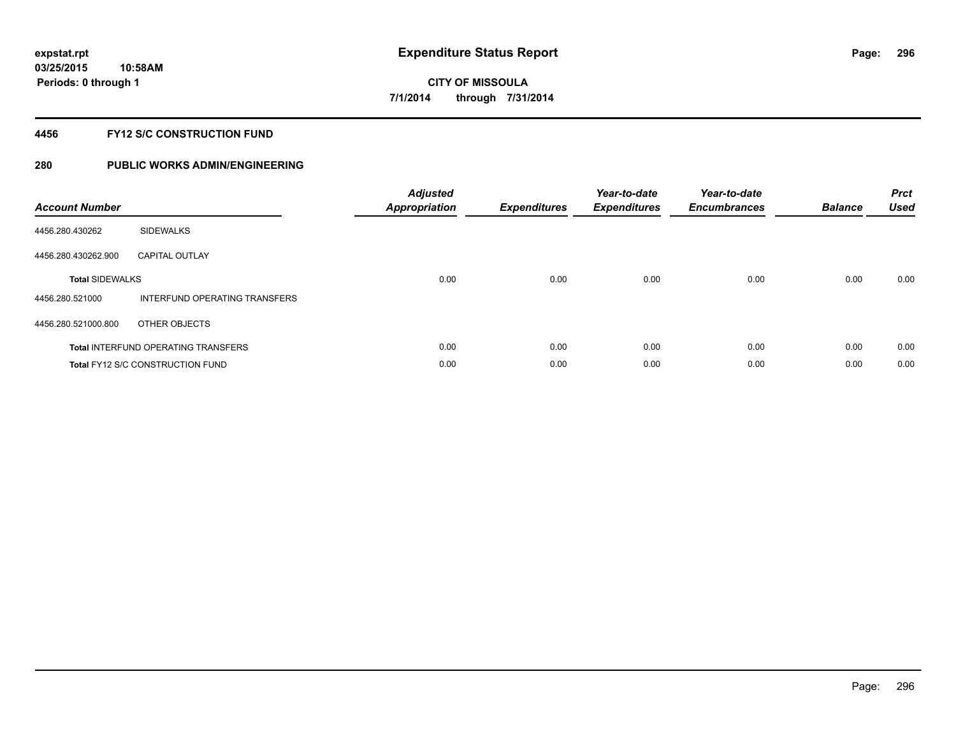#### **4456 FY12 S/C CONSTRUCTION FUND**

| <b>Account Number</b>  |                                            | <b>Adjusted</b><br><b>Appropriation</b> | <b>Expenditures</b> | Year-to-date<br><b>Expenditures</b> | Year-to-date<br><b>Encumbrances</b> | <b>Balance</b> | <b>Prct</b><br><b>Used</b> |
|------------------------|--------------------------------------------|-----------------------------------------|---------------------|-------------------------------------|-------------------------------------|----------------|----------------------------|
| 4456.280.430262        | <b>SIDEWALKS</b>                           |                                         |                     |                                     |                                     |                |                            |
| 4456.280.430262.900    | <b>CAPITAL OUTLAY</b>                      |                                         |                     |                                     |                                     |                |                            |
| <b>Total SIDEWALKS</b> |                                            | 0.00                                    | 0.00                | 0.00                                | 0.00                                | 0.00           | 0.00                       |
| 4456.280.521000        | INTERFUND OPERATING TRANSFERS              |                                         |                     |                                     |                                     |                |                            |
| 4456.280.521000.800    | OTHER OBJECTS                              |                                         |                     |                                     |                                     |                |                            |
|                        | <b>Total INTERFUND OPERATING TRANSFERS</b> | 0.00                                    | 0.00                | 0.00                                | 0.00                                | 0.00           | 0.00                       |
|                        | Total FY12 S/C CONSTRUCTION FUND           | 0.00                                    | 0.00                | 0.00                                | 0.00                                | 0.00           | 0.00                       |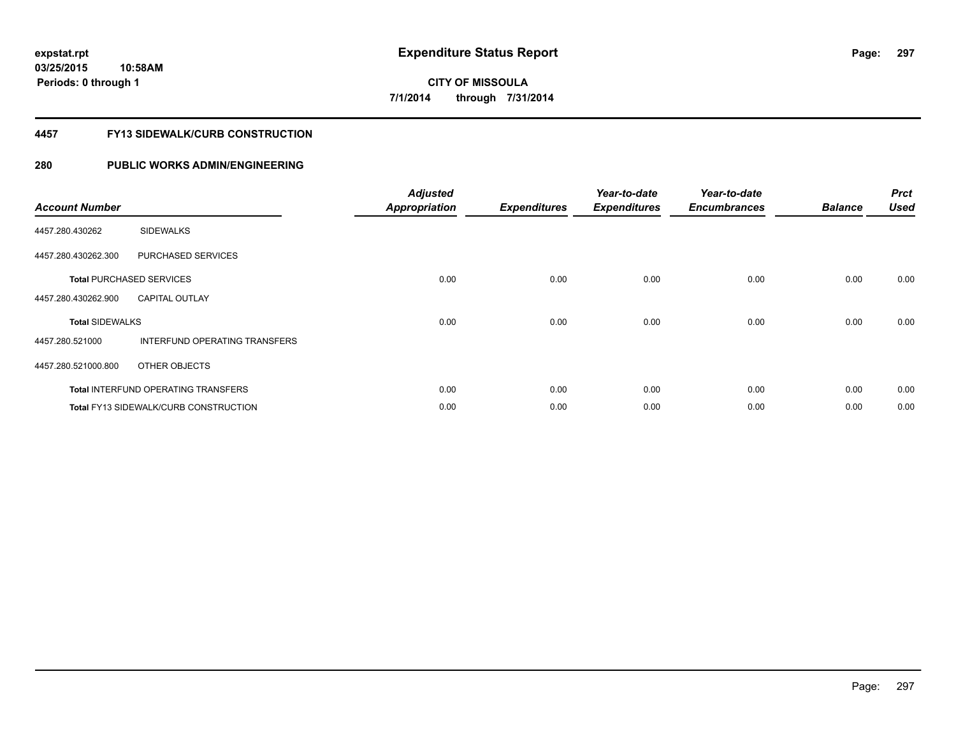#### **4457 FY13 SIDEWALK/CURB CONSTRUCTION**

| <b>Account Number</b>  |                                              | <b>Adjusted</b><br><b>Appropriation</b> | <b>Expenditures</b> | Year-to-date<br><b>Expenditures</b> | Year-to-date<br><b>Encumbrances</b> | <b>Balance</b> | <b>Prct</b><br><b>Used</b> |
|------------------------|----------------------------------------------|-----------------------------------------|---------------------|-------------------------------------|-------------------------------------|----------------|----------------------------|
| 4457.280.430262        | <b>SIDEWALKS</b>                             |                                         |                     |                                     |                                     |                |                            |
| 4457.280.430262.300    | PURCHASED SERVICES                           |                                         |                     |                                     |                                     |                |                            |
|                        | <b>Total PURCHASED SERVICES</b>              | 0.00                                    | 0.00                | 0.00                                | 0.00                                | 0.00           | 0.00                       |
| 4457.280.430262.900    | <b>CAPITAL OUTLAY</b>                        |                                         |                     |                                     |                                     |                |                            |
| <b>Total SIDEWALKS</b> |                                              | 0.00                                    | 0.00                | 0.00                                | 0.00                                | 0.00           | 0.00                       |
| 4457.280.521000        | INTERFUND OPERATING TRANSFERS                |                                         |                     |                                     |                                     |                |                            |
| 4457.280.521000.800    | OTHER OBJECTS                                |                                         |                     |                                     |                                     |                |                            |
|                        | <b>Total INTERFUND OPERATING TRANSFERS</b>   | 0.00                                    | 0.00                | 0.00                                | 0.00                                | 0.00           | 0.00                       |
|                        | <b>Total FY13 SIDEWALK/CURB CONSTRUCTION</b> | 0.00                                    | 0.00                | 0.00                                | 0.00                                | 0.00           | 0.00                       |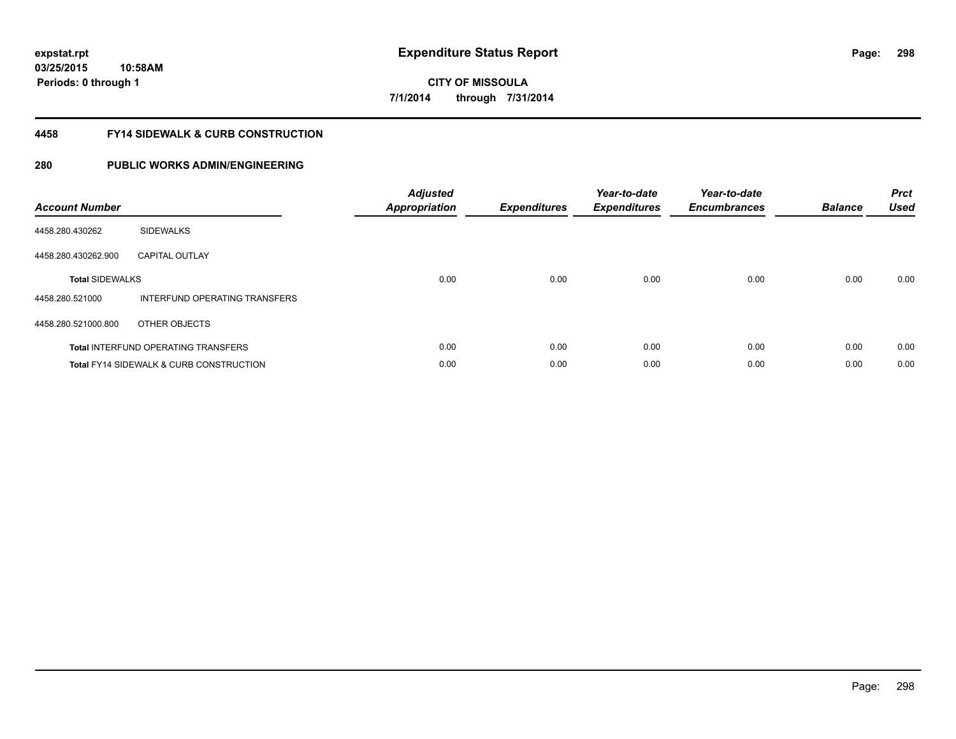#### **4458 FY14 SIDEWALK & CURB CONSTRUCTION**

| <b>Account Number</b>  |                                                    | <b>Adjusted</b><br><b>Appropriation</b> | <b>Expenditures</b> | Year-to-date<br><b>Expenditures</b> | Year-to-date<br><b>Encumbrances</b> | <b>Balance</b> | <b>Prct</b><br><b>Used</b> |
|------------------------|----------------------------------------------------|-----------------------------------------|---------------------|-------------------------------------|-------------------------------------|----------------|----------------------------|
| 4458.280.430262        | <b>SIDEWALKS</b>                                   |                                         |                     |                                     |                                     |                |                            |
| 4458.280.430262.900    | <b>CAPITAL OUTLAY</b>                              |                                         |                     |                                     |                                     |                |                            |
| <b>Total SIDEWALKS</b> |                                                    | 0.00                                    | 0.00                | 0.00                                | 0.00                                | 0.00           | 0.00                       |
| 4458.280.521000        | INTERFUND OPERATING TRANSFERS                      |                                         |                     |                                     |                                     |                |                            |
| 4458.280.521000.800    | OTHER OBJECTS                                      |                                         |                     |                                     |                                     |                |                            |
|                        | <b>Total INTERFUND OPERATING TRANSFERS</b>         | 0.00                                    | 0.00                | 0.00                                | 0.00                                | 0.00           | 0.00                       |
|                        | <b>Total FY14 SIDEWALK &amp; CURB CONSTRUCTION</b> | 0.00                                    | 0.00                | 0.00                                | 0.00                                | 0.00           | 0.00                       |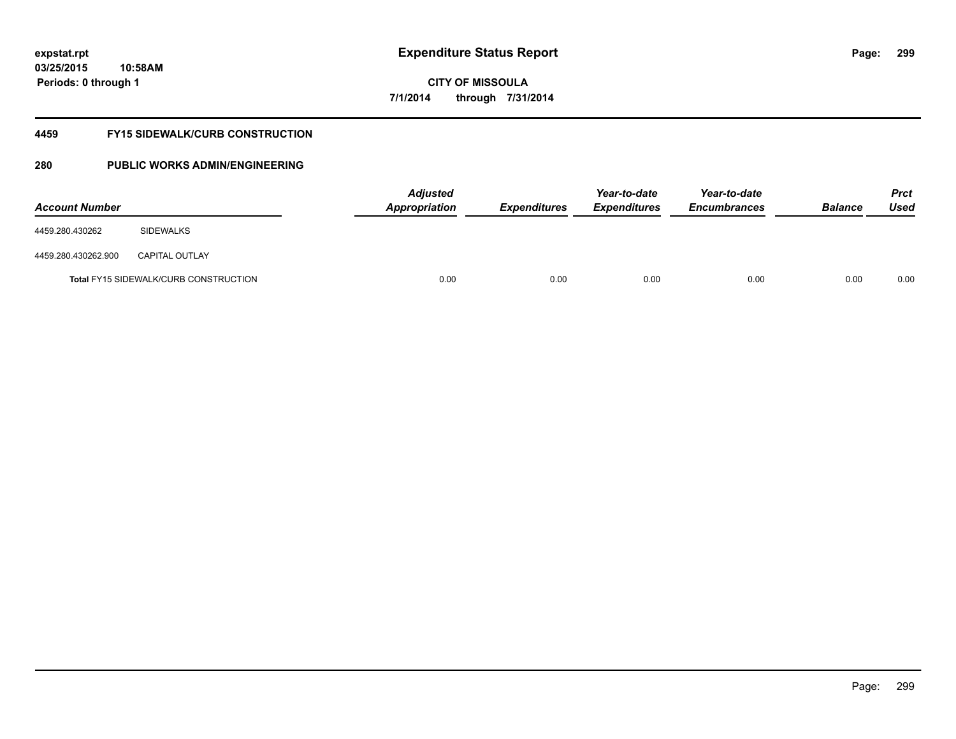**03/25/2015 10:58AM Periods: 0 through 1**

# **CITY OF MISSOULA 7/1/2014 through 7/31/2014**

#### **4459 FY15 SIDEWALK/CURB CONSTRUCTION**

| <b>Account Number</b> |                                              | <b>Adjusted</b><br>Appropriation | <b>Expenditures</b> | Year-to-date<br><b>Expenditures</b> | Year-to-date<br><b>Encumbrances</b> | <b>Balance</b> | Prct<br><b>Used</b> |
|-----------------------|----------------------------------------------|----------------------------------|---------------------|-------------------------------------|-------------------------------------|----------------|---------------------|
| 4459.280.430262       | SIDEWALKS                                    |                                  |                     |                                     |                                     |                |                     |
| 4459.280.430262.900   | <b>CAPITAL OUTLAY</b>                        |                                  |                     |                                     |                                     |                |                     |
|                       | <b>Total FY15 SIDEWALK/CURB CONSTRUCTION</b> | 0.00                             | 0.00                | 0.00                                | 0.00                                | 0.00           | 0.00                |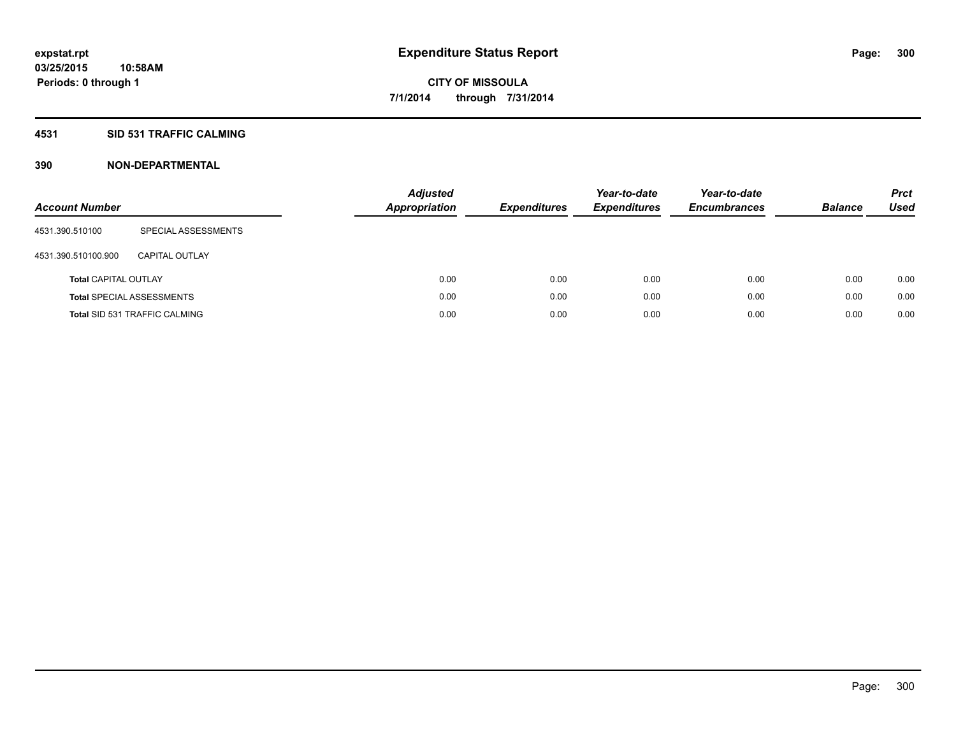#### **4531 SID 531 TRAFFIC CALMING**

| <b>Account Number</b>       |                                      | <b>Adjusted</b><br><b>Appropriation</b> | <b>Expenditures</b> | Year-to-date<br><b>Expenditures</b> | Year-to-date<br><b>Encumbrances</b> | <b>Balance</b> | <b>Prct</b><br>Used |
|-----------------------------|--------------------------------------|-----------------------------------------|---------------------|-------------------------------------|-------------------------------------|----------------|---------------------|
| 4531.390.510100             | SPECIAL ASSESSMENTS                  |                                         |                     |                                     |                                     |                |                     |
| 4531.390.510100.900         | CAPITAL OUTLAY                       |                                         |                     |                                     |                                     |                |                     |
| <b>Total CAPITAL OUTLAY</b> |                                      | 0.00                                    | 0.00                | 0.00                                | 0.00                                | 0.00           | 0.00                |
|                             | <b>Total SPECIAL ASSESSMENTS</b>     | 0.00                                    | 0.00                | 0.00                                | 0.00                                | 0.00           | 0.00                |
|                             | <b>Total SID 531 TRAFFIC CALMING</b> | 0.00                                    | 0.00                | 0.00                                | 0.00                                | 0.00           | 0.00                |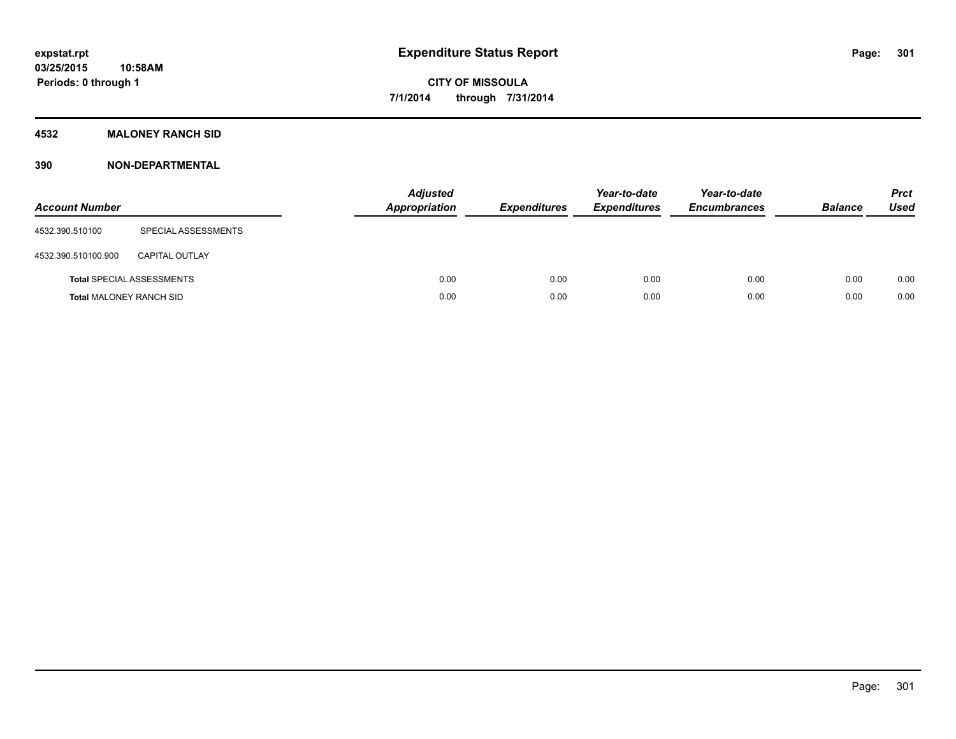### **4532 MALONEY RANCH SID**

| <b>Account Number</b>          |                                  | <b>Adjusted</b><br><b>Appropriation</b> | <b>Expenditures</b> | Year-to-date<br><b>Expenditures</b> | Year-to-date<br><b>Encumbrances</b> | <b>Balance</b> | <b>Prct</b><br><b>Used</b> |
|--------------------------------|----------------------------------|-----------------------------------------|---------------------|-------------------------------------|-------------------------------------|----------------|----------------------------|
| 4532.390.510100                | SPECIAL ASSESSMENTS              |                                         |                     |                                     |                                     |                |                            |
| 4532.390.510100.900            | CAPITAL OUTLAY                   |                                         |                     |                                     |                                     |                |                            |
|                                | <b>Total SPECIAL ASSESSMENTS</b> | 0.00                                    | 0.00                | 0.00                                | 0.00                                | 0.00           | 0.00                       |
| <b>Total MALONEY RANCH SID</b> |                                  | 0.00                                    | 0.00                | 0.00                                | 0.00                                | 0.00           | 0.00                       |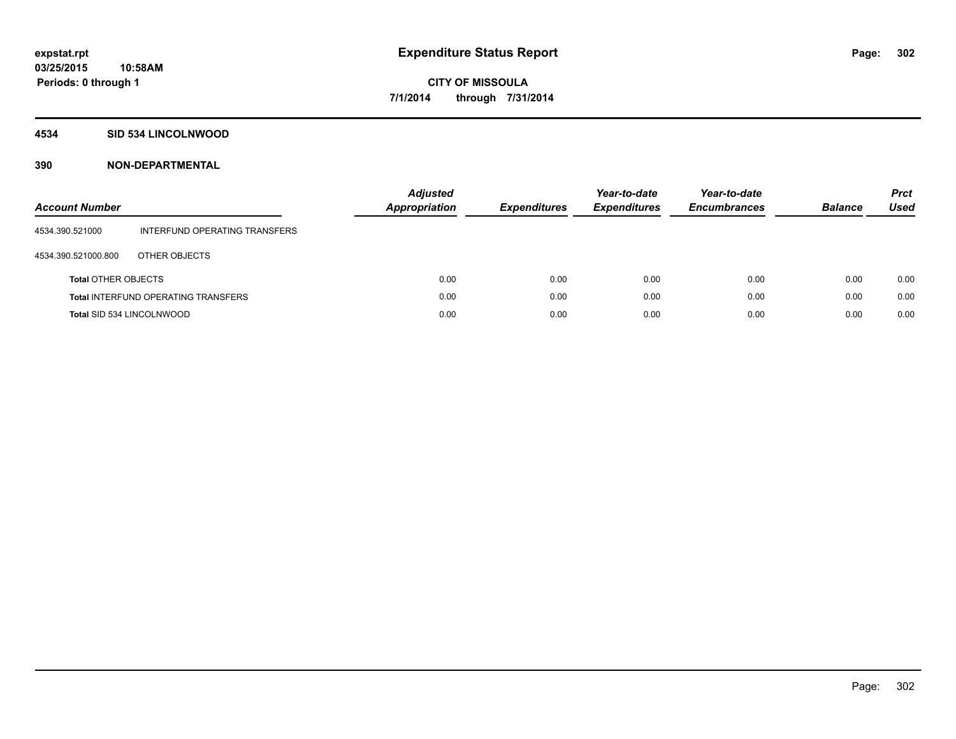#### **4534 SID 534 LINCOLNWOOD**

| <b>Account Number</b>      |                                            | <b>Adjusted</b><br>Appropriation | <b>Expenditures</b> | Year-to-date<br><b>Expenditures</b> | Year-to-date<br><b>Encumbrances</b> | <b>Balance</b> | <b>Prct</b><br><b>Used</b> |
|----------------------------|--------------------------------------------|----------------------------------|---------------------|-------------------------------------|-------------------------------------|----------------|----------------------------|
| 4534.390.521000            | INTERFUND OPERATING TRANSFERS              |                                  |                     |                                     |                                     |                |                            |
| 4534.390.521000.800        | OTHER OBJECTS                              |                                  |                     |                                     |                                     |                |                            |
| <b>Total OTHER OBJECTS</b> |                                            | 0.00                             | 0.00                | 0.00                                | 0.00                                | 0.00           | 0.00                       |
|                            | <b>Total INTERFUND OPERATING TRANSFERS</b> | 0.00                             | 0.00                | 0.00                                | 0.00                                | 0.00           | 0.00                       |
| Total SID 534 LINCOLNWOOD  |                                            | 0.00                             | 0.00                | 0.00                                | 0.00                                | 0.00           | 0.00                       |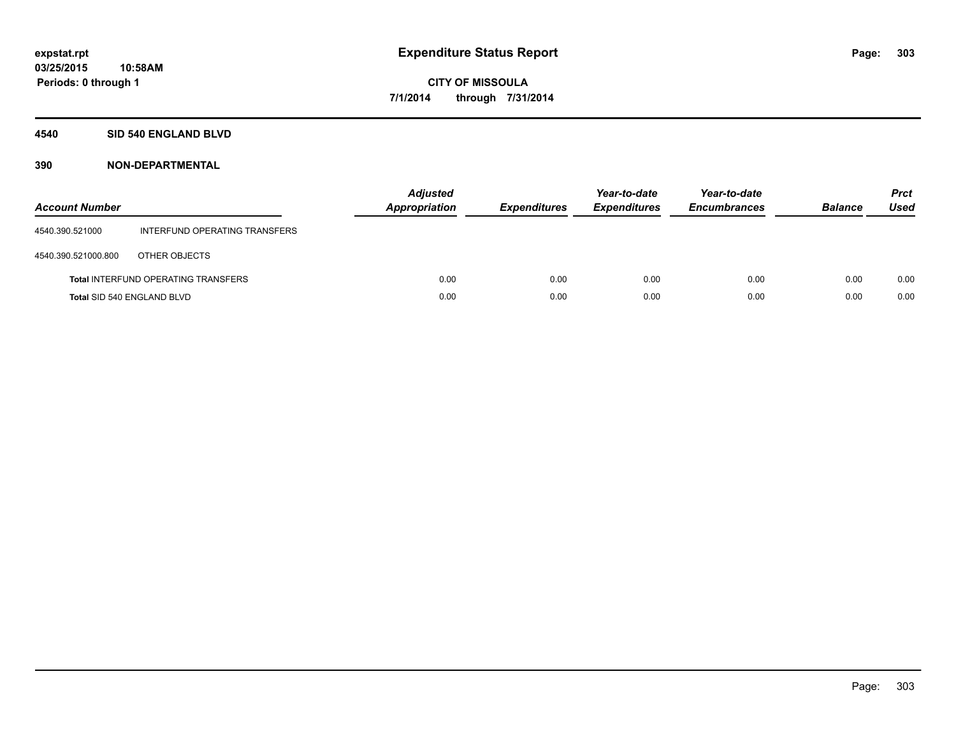#### **4540 SID 540 ENGLAND BLVD**

| <b>Account Number</b>      |                                            | <b>Adjusted</b><br>Appropriation | <b>Expenditures</b> | Year-to-date<br><b>Expenditures</b> | Year-to-date<br><b>Encumbrances</b> | <b>Balance</b> | <b>Prct</b><br>Used |
|----------------------------|--------------------------------------------|----------------------------------|---------------------|-------------------------------------|-------------------------------------|----------------|---------------------|
| 4540.390.521000            | INTERFUND OPERATING TRANSFERS              |                                  |                     |                                     |                                     |                |                     |
| 4540.390.521000.800        | OTHER OBJECTS                              |                                  |                     |                                     |                                     |                |                     |
|                            | <b>Total INTERFUND OPERATING TRANSFERS</b> | 0.00                             | 0.00                | 0.00                                | 0.00                                | 0.00           | 0.00                |
| Total SID 540 ENGLAND BLVD |                                            | 0.00                             | 0.00                | 0.00                                | 0.00                                | 0.00           | 0.00                |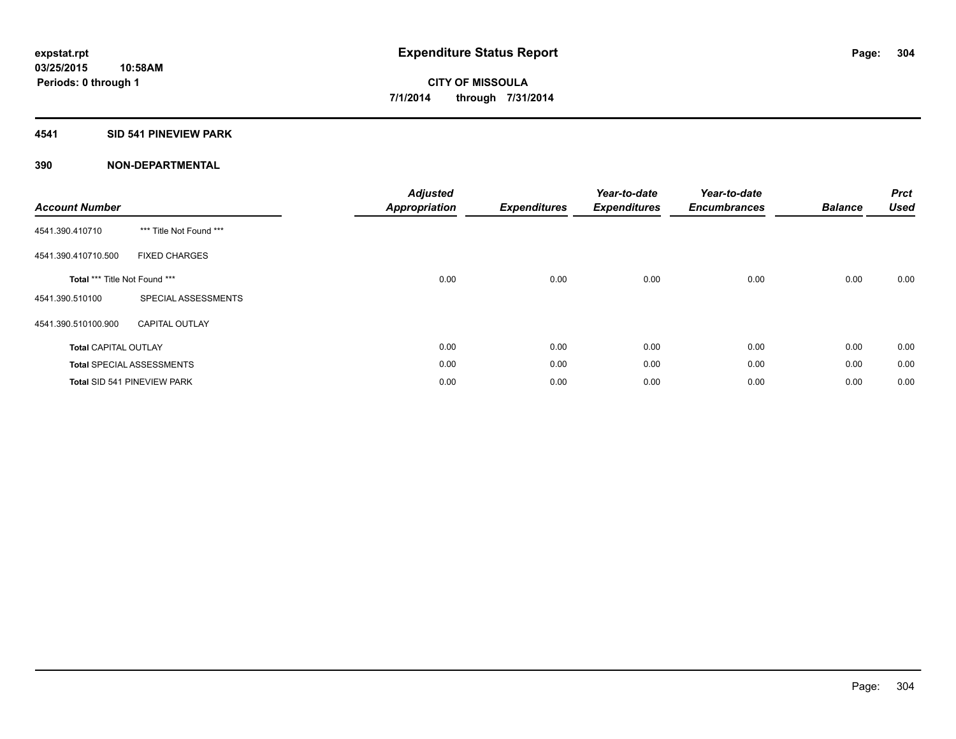#### **4541 SID 541 PINEVIEW PARK**

| <b>Account Number</b>         |                                  | <b>Adjusted</b><br><b>Appropriation</b> | <b>Expenditures</b> | Year-to-date<br><b>Expenditures</b> | Year-to-date<br><b>Encumbrances</b> | <b>Balance</b> | <b>Prct</b><br><b>Used</b> |
|-------------------------------|----------------------------------|-----------------------------------------|---------------------|-------------------------------------|-------------------------------------|----------------|----------------------------|
| 4541.390.410710               | *** Title Not Found ***          |                                         |                     |                                     |                                     |                |                            |
| 4541.390.410710.500           | <b>FIXED CHARGES</b>             |                                         |                     |                                     |                                     |                |                            |
| Total *** Title Not Found *** |                                  | 0.00                                    | 0.00                | 0.00                                | 0.00                                | 0.00           | 0.00                       |
| 4541.390.510100               | SPECIAL ASSESSMENTS              |                                         |                     |                                     |                                     |                |                            |
| 4541.390.510100.900           | <b>CAPITAL OUTLAY</b>            |                                         |                     |                                     |                                     |                |                            |
| <b>Total CAPITAL OUTLAY</b>   |                                  | 0.00                                    | 0.00                | 0.00                                | 0.00                                | 0.00           | 0.00                       |
|                               | <b>Total SPECIAL ASSESSMENTS</b> | 0.00                                    | 0.00                | 0.00                                | 0.00                                | 0.00           | 0.00                       |
|                               | Total SID 541 PINEVIEW PARK      | 0.00                                    | 0.00                | 0.00                                | 0.00                                | 0.00           | 0.00                       |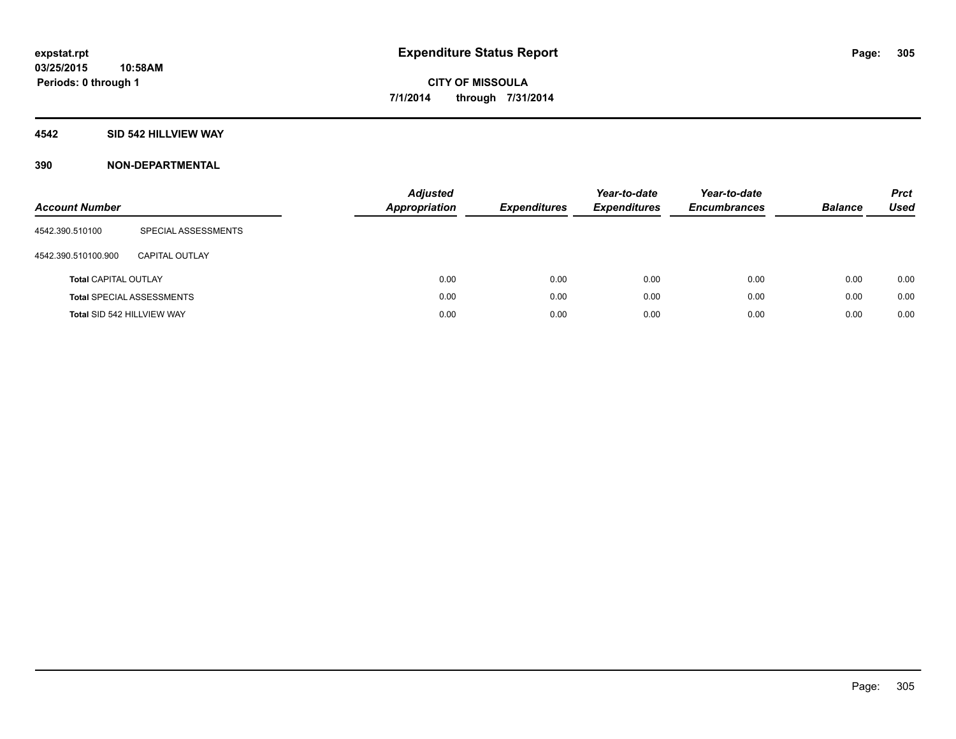### **4542 SID 542 HILLVIEW WAY**

| <b>Account Number</b>       |                                  | <b>Adjusted</b><br><b>Appropriation</b> | <b>Expenditures</b> | Year-to-date<br><b>Expenditures</b> | Year-to-date<br><b>Encumbrances</b> | <b>Balance</b> | <b>Prct</b><br>Used |
|-----------------------------|----------------------------------|-----------------------------------------|---------------------|-------------------------------------|-------------------------------------|----------------|---------------------|
| 4542.390.510100             | SPECIAL ASSESSMENTS              |                                         |                     |                                     |                                     |                |                     |
| 4542.390.510100.900         | CAPITAL OUTLAY                   |                                         |                     |                                     |                                     |                |                     |
| <b>Total CAPITAL OUTLAY</b> |                                  | 0.00                                    | 0.00                | 0.00                                | 0.00                                | 0.00           | 0.00                |
|                             | <b>Total SPECIAL ASSESSMENTS</b> | 0.00                                    | 0.00                | 0.00                                | 0.00                                | 0.00           | 0.00                |
| Total SID 542 HILLVIEW WAY  |                                  | 0.00                                    | 0.00                | 0.00                                | 0.00                                | 0.00           | 0.00                |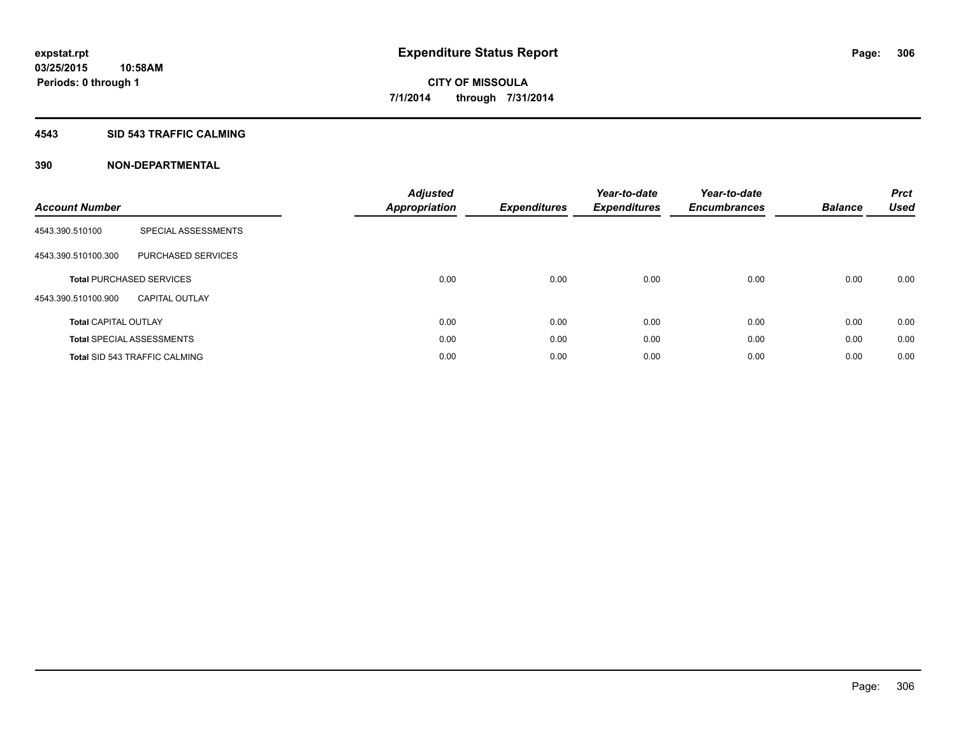#### **4543 SID 543 TRAFFIC CALMING**

| <b>Account Number</b>       |                                      | <b>Adjusted</b><br><b>Appropriation</b> | <b>Expenditures</b> | Year-to-date<br><b>Expenditures</b> | Year-to-date<br><b>Encumbrances</b> | <b>Balance</b> | <b>Prct</b><br><b>Used</b> |
|-----------------------------|--------------------------------------|-----------------------------------------|---------------------|-------------------------------------|-------------------------------------|----------------|----------------------------|
| 4543.390.510100             | SPECIAL ASSESSMENTS                  |                                         |                     |                                     |                                     |                |                            |
| 4543.390.510100.300         | PURCHASED SERVICES                   |                                         |                     |                                     |                                     |                |                            |
|                             | <b>Total PURCHASED SERVICES</b>      | 0.00                                    | 0.00                | 0.00                                | 0.00                                | 0.00           | 0.00                       |
| 4543.390.510100.900         | <b>CAPITAL OUTLAY</b>                |                                         |                     |                                     |                                     |                |                            |
| <b>Total CAPITAL OUTLAY</b> |                                      | 0.00                                    | 0.00                | 0.00                                | 0.00                                | 0.00           | 0.00                       |
|                             | <b>Total SPECIAL ASSESSMENTS</b>     | 0.00                                    | 0.00                | 0.00                                | 0.00                                | 0.00           | 0.00                       |
|                             | <b>Total SID 543 TRAFFIC CALMING</b> | 0.00                                    | 0.00                | 0.00                                | 0.00                                | 0.00           | 0.00                       |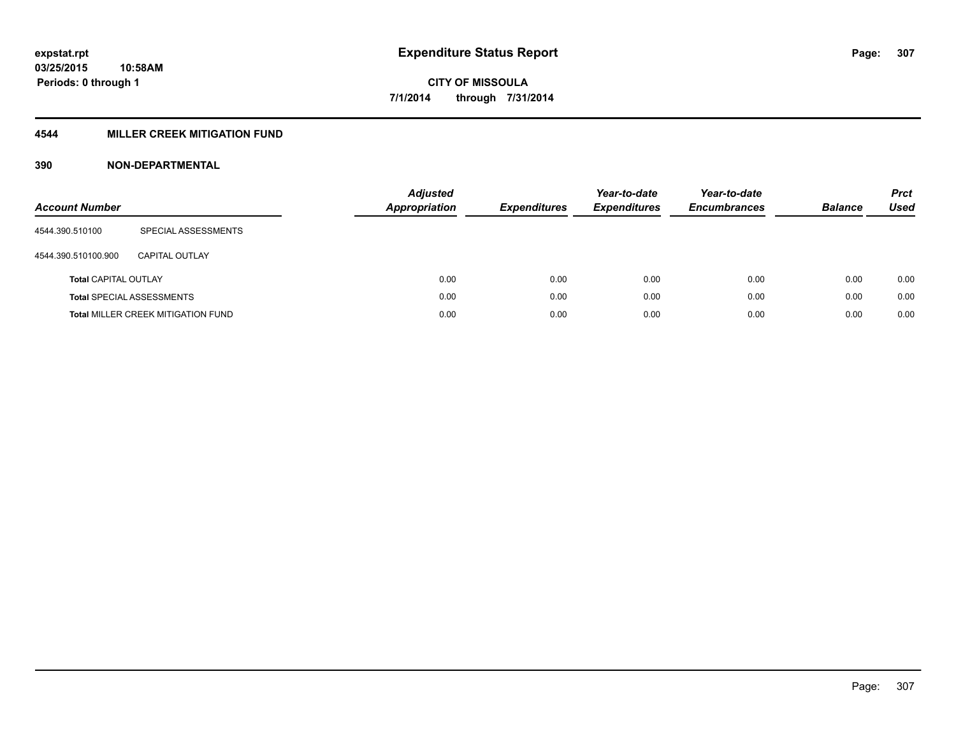### **4544 MILLER CREEK MITIGATION FUND**

| <b>Account Number</b>       |                                           | <b>Adjusted</b><br>Appropriation | <b>Expenditures</b> | Year-to-date<br><b>Expenditures</b> | Year-to-date<br><b>Encumbrances</b> | <b>Balance</b> | <b>Prct</b><br>Used |
|-----------------------------|-------------------------------------------|----------------------------------|---------------------|-------------------------------------|-------------------------------------|----------------|---------------------|
| 4544.390.510100             | SPECIAL ASSESSMENTS                       |                                  |                     |                                     |                                     |                |                     |
| 4544.390.510100.900         | CAPITAL OUTLAY                            |                                  |                     |                                     |                                     |                |                     |
| <b>Total CAPITAL OUTLAY</b> |                                           | 0.00                             | 0.00                | 0.00                                | 0.00                                | 0.00           | 0.00                |
|                             | <b>Total SPECIAL ASSESSMENTS</b>          | 0.00                             | 0.00                | 0.00                                | 0.00                                | 0.00           | 0.00                |
|                             | <b>Total MILLER CREEK MITIGATION FUND</b> | 0.00                             | 0.00                | 0.00                                | 0.00                                | 0.00           | 0.00                |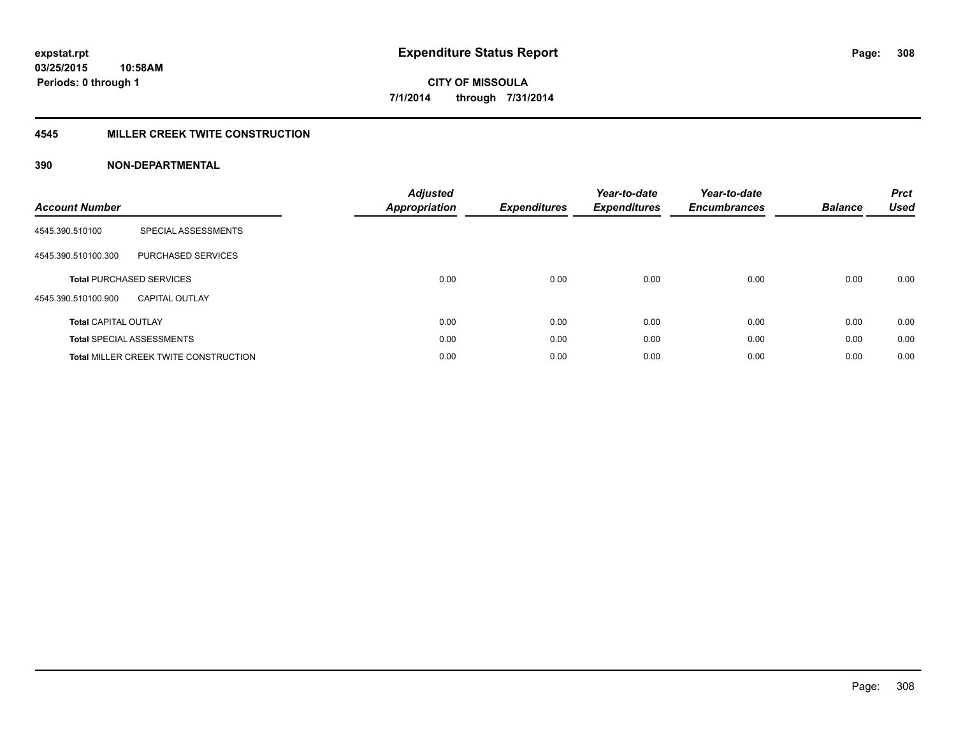#### **4545 MILLER CREEK TWITE CONSTRUCTION**

| <b>Account Number</b>       |                                              | <b>Adjusted</b><br>Appropriation | <b>Expenditures</b> | Year-to-date<br><b>Expenditures</b> | Year-to-date<br><b>Encumbrances</b> | <b>Balance</b> | <b>Prct</b><br><b>Used</b> |
|-----------------------------|----------------------------------------------|----------------------------------|---------------------|-------------------------------------|-------------------------------------|----------------|----------------------------|
| 4545.390.510100             | SPECIAL ASSESSMENTS                          |                                  |                     |                                     |                                     |                |                            |
| 4545.390.510100.300         | <b>PURCHASED SERVICES</b>                    |                                  |                     |                                     |                                     |                |                            |
|                             | <b>Total PURCHASED SERVICES</b>              | 0.00                             | 0.00                | 0.00                                | 0.00                                | 0.00           | 0.00                       |
| 4545.390.510100.900         | <b>CAPITAL OUTLAY</b>                        |                                  |                     |                                     |                                     |                |                            |
| <b>Total CAPITAL OUTLAY</b> |                                              | 0.00                             | 0.00                | 0.00                                | 0.00                                | 0.00           | 0.00                       |
|                             | <b>Total SPECIAL ASSESSMENTS</b>             | 0.00                             | 0.00                | 0.00                                | 0.00                                | 0.00           | 0.00                       |
|                             | <b>Total MILLER CREEK TWITE CONSTRUCTION</b> | 0.00                             | 0.00                | 0.00                                | 0.00                                | 0.00           | 0.00                       |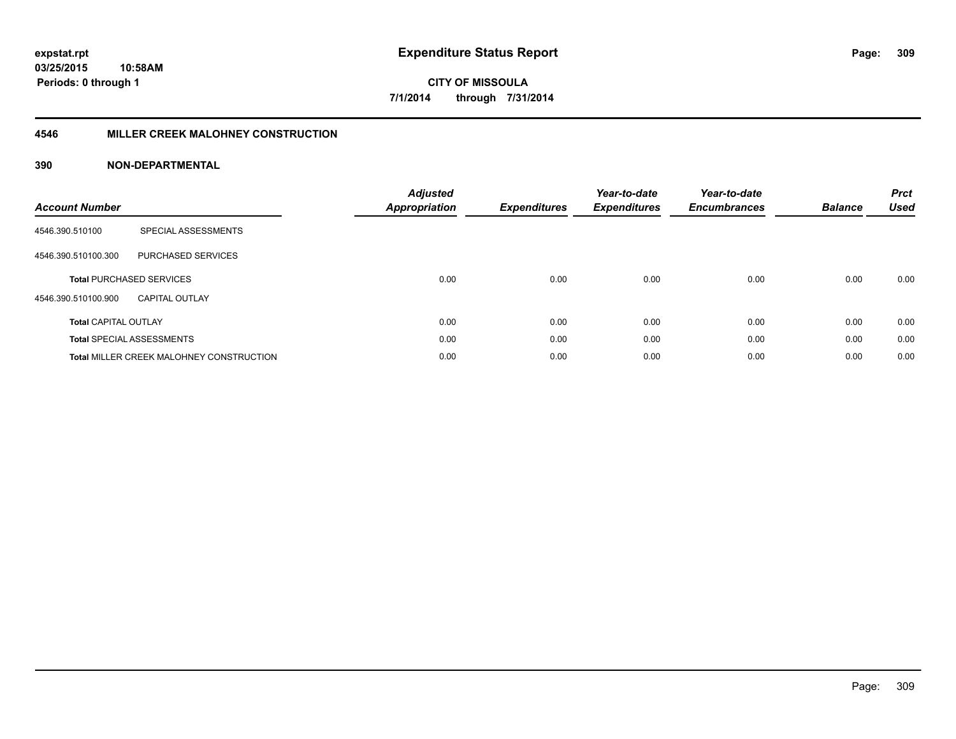#### **4546 MILLER CREEK MALOHNEY CONSTRUCTION**

| <b>Account Number</b>       |                                                 | <b>Adjusted</b><br><b>Appropriation</b> | <b>Expenditures</b> | Year-to-date<br><b>Expenditures</b> | Year-to-date<br><b>Encumbrances</b> | <b>Balance</b> | <b>Prct</b><br><b>Used</b> |
|-----------------------------|-------------------------------------------------|-----------------------------------------|---------------------|-------------------------------------|-------------------------------------|----------------|----------------------------|
| 4546.390.510100             | SPECIAL ASSESSMENTS                             |                                         |                     |                                     |                                     |                |                            |
| 4546.390.510100.300         | PURCHASED SERVICES                              |                                         |                     |                                     |                                     |                |                            |
|                             | <b>Total PURCHASED SERVICES</b>                 | 0.00                                    | 0.00                | 0.00                                | 0.00                                | 0.00           | 0.00                       |
| 4546.390.510100.900         | CAPITAL OUTLAY                                  |                                         |                     |                                     |                                     |                |                            |
| <b>Total CAPITAL OUTLAY</b> |                                                 | 0.00                                    | 0.00                | 0.00                                | 0.00                                | 0.00           | 0.00                       |
|                             | <b>Total SPECIAL ASSESSMENTS</b>                | 0.00                                    | 0.00                | 0.00                                | 0.00                                | 0.00           | 0.00                       |
|                             | <b>Total MILLER CREEK MALOHNEY CONSTRUCTION</b> | 0.00                                    | 0.00                | 0.00                                | 0.00                                | 0.00           | 0.00                       |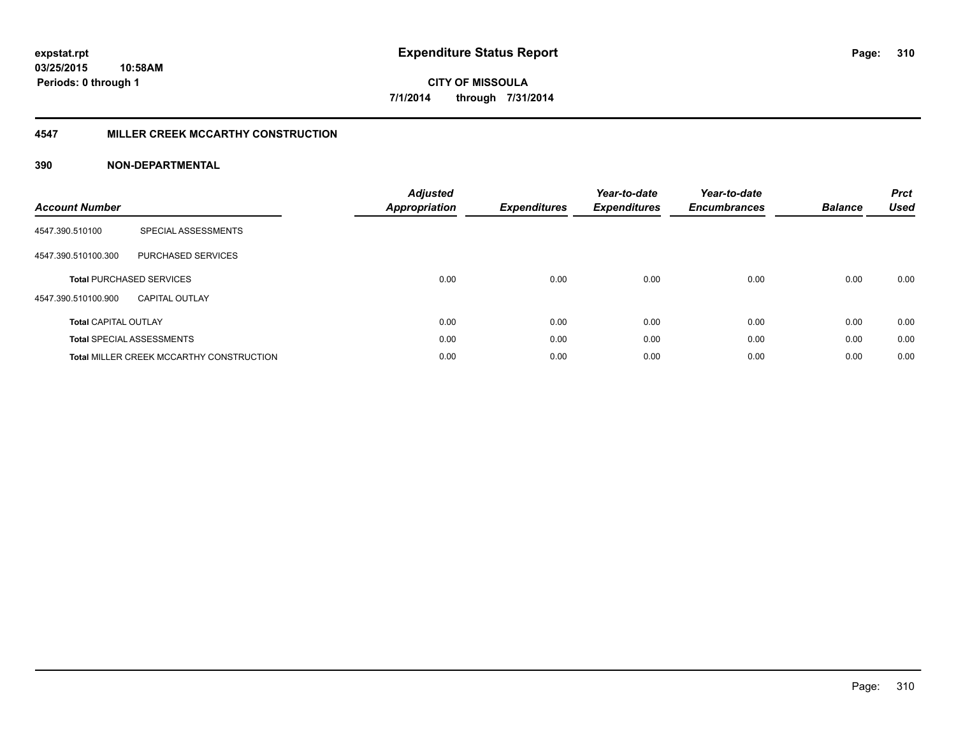#### **4547 MILLER CREEK MCCARTHY CONSTRUCTION**

| <b>Account Number</b>       |                                                 | <b>Adjusted</b><br><b>Appropriation</b> | <b>Expenditures</b> | Year-to-date<br><b>Expenditures</b> | Year-to-date<br><b>Encumbrances</b> | <b>Balance</b> | <b>Prct</b><br><b>Used</b> |
|-----------------------------|-------------------------------------------------|-----------------------------------------|---------------------|-------------------------------------|-------------------------------------|----------------|----------------------------|
| 4547.390.510100             | SPECIAL ASSESSMENTS                             |                                         |                     |                                     |                                     |                |                            |
| 4547.390.510100.300         | <b>PURCHASED SERVICES</b>                       |                                         |                     |                                     |                                     |                |                            |
|                             | <b>Total PURCHASED SERVICES</b>                 | 0.00                                    | 0.00                | 0.00                                | 0.00                                | 0.00           | 0.00                       |
| 4547.390.510100.900         | <b>CAPITAL OUTLAY</b>                           |                                         |                     |                                     |                                     |                |                            |
| <b>Total CAPITAL OUTLAY</b> |                                                 | 0.00                                    | 0.00                | 0.00                                | 0.00                                | 0.00           | 0.00                       |
|                             | <b>Total SPECIAL ASSESSMENTS</b>                | 0.00                                    | 0.00                | 0.00                                | 0.00                                | 0.00           | 0.00                       |
|                             | <b>Total MILLER CREEK MCCARTHY CONSTRUCTION</b> | 0.00                                    | 0.00                | 0.00                                | 0.00                                | 0.00           | 0.00                       |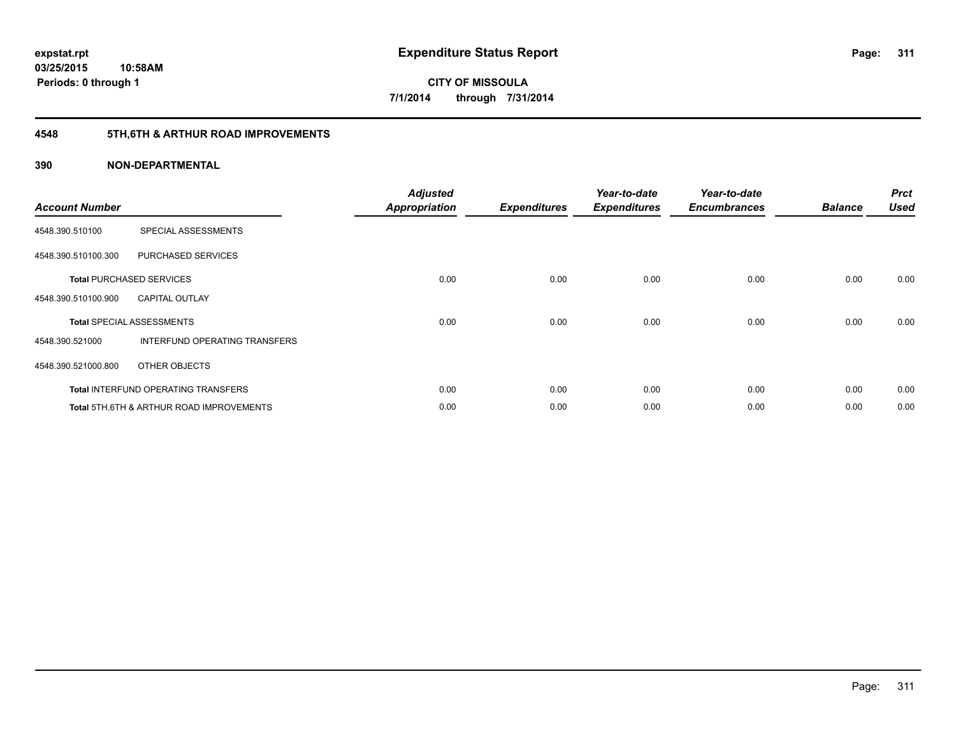## **4548 5TH,6TH & ARTHUR ROAD IMPROVEMENTS**

| <b>Account Number</b> |                                            | <b>Adjusted</b><br><b>Appropriation</b> | <b>Expenditures</b> | Year-to-date<br><b>Expenditures</b> | Year-to-date<br><b>Encumbrances</b> | <b>Balance</b> | <b>Prct</b><br><b>Used</b> |
|-----------------------|--------------------------------------------|-----------------------------------------|---------------------|-------------------------------------|-------------------------------------|----------------|----------------------------|
| 4548.390.510100       | SPECIAL ASSESSMENTS                        |                                         |                     |                                     |                                     |                |                            |
| 4548.390.510100.300   | PURCHASED SERVICES                         |                                         |                     |                                     |                                     |                |                            |
|                       | <b>Total PURCHASED SERVICES</b>            | 0.00                                    | 0.00                | 0.00                                | 0.00                                | 0.00           | 0.00                       |
| 4548.390.510100.900   | <b>CAPITAL OUTLAY</b>                      |                                         |                     |                                     |                                     |                |                            |
|                       | <b>Total SPECIAL ASSESSMENTS</b>           | 0.00                                    | 0.00                | 0.00                                | 0.00                                | 0.00           | 0.00                       |
| 4548.390.521000       | INTERFUND OPERATING TRANSFERS              |                                         |                     |                                     |                                     |                |                            |
| 4548.390.521000.800   | OTHER OBJECTS                              |                                         |                     |                                     |                                     |                |                            |
|                       | <b>Total INTERFUND OPERATING TRANSFERS</b> | 0.00                                    | 0.00                | 0.00                                | 0.00                                | 0.00           | 0.00                       |
|                       | Total 5TH.6TH & ARTHUR ROAD IMPROVEMENTS   | 0.00                                    | 0.00                | 0.00                                | 0.00                                | 0.00           | 0.00                       |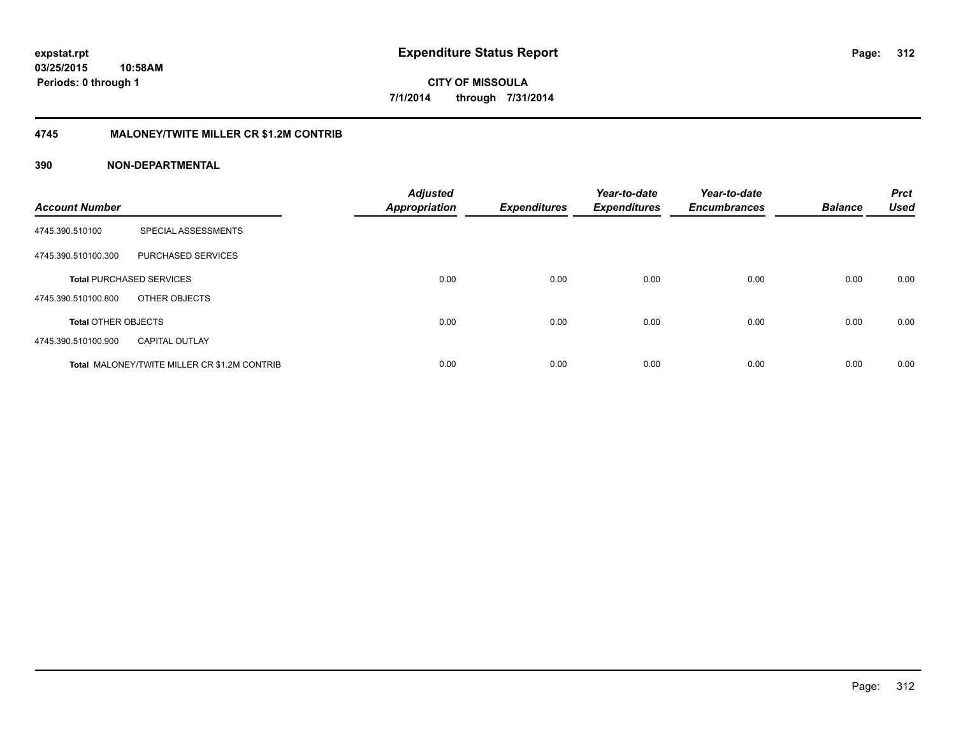## **4745 MALONEY/TWITE MILLER CR \$1.2M CONTRIB**

| <b>Account Number</b>      |                                                     | <b>Adjusted</b><br><b>Appropriation</b> | <b>Expenditures</b> | Year-to-date<br><b>Expenditures</b> | Year-to-date<br><b>Encumbrances</b> | <b>Balance</b> | <b>Prct</b><br><b>Used</b> |
|----------------------------|-----------------------------------------------------|-----------------------------------------|---------------------|-------------------------------------|-------------------------------------|----------------|----------------------------|
| 4745.390.510100            | SPECIAL ASSESSMENTS                                 |                                         |                     |                                     |                                     |                |                            |
| 4745.390.510100.300        | PURCHASED SERVICES                                  |                                         |                     |                                     |                                     |                |                            |
|                            | <b>Total PURCHASED SERVICES</b>                     | 0.00                                    | 0.00                | 0.00                                | 0.00                                | 0.00           | 0.00                       |
| 4745.390.510100.800        | OTHER OBJECTS                                       |                                         |                     |                                     |                                     |                |                            |
| <b>Total OTHER OBJECTS</b> |                                                     | 0.00                                    | 0.00                | 0.00                                | 0.00                                | 0.00           | 0.00                       |
| 4745.390.510100.900        | <b>CAPITAL OUTLAY</b>                               |                                         |                     |                                     |                                     |                |                            |
|                            | <b>Total MALONEY/TWITE MILLER CR \$1.2M CONTRIB</b> | 0.00                                    | 0.00                | 0.00                                | 0.00                                | 0.00           | 0.00                       |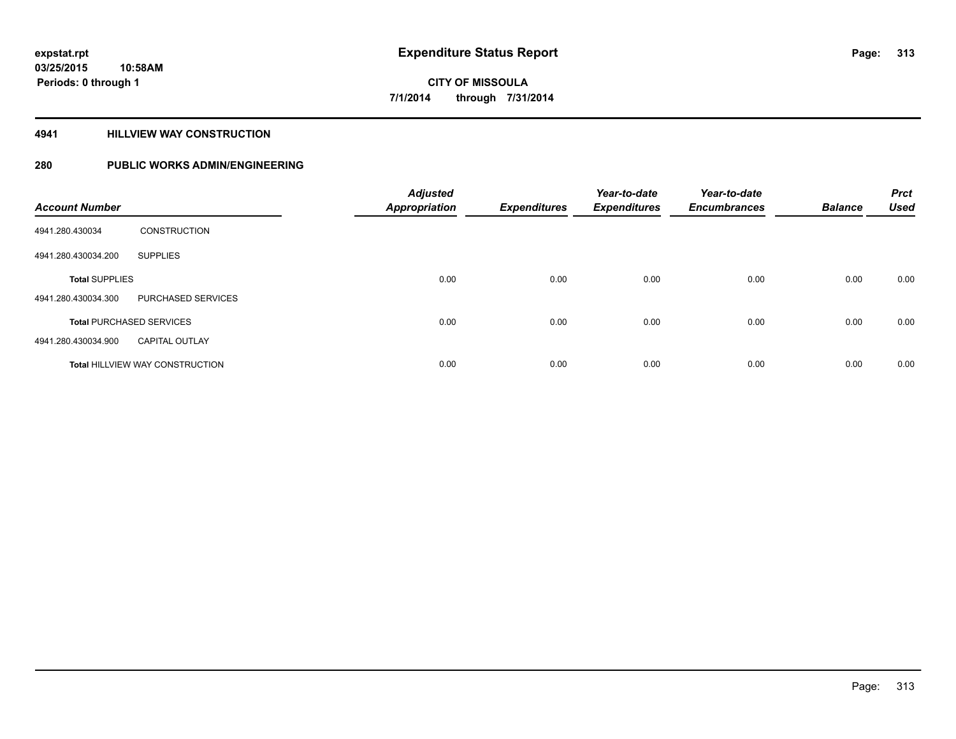#### **4941 HILLVIEW WAY CONSTRUCTION**

| <b>Account Number</b> |                                        | <b>Adjusted</b><br><b>Appropriation</b> | <b>Expenditures</b> | Year-to-date<br><b>Expenditures</b> | Year-to-date<br><b>Encumbrances</b> | <b>Balance</b> | <b>Prct</b><br><b>Used</b> |
|-----------------------|----------------------------------------|-----------------------------------------|---------------------|-------------------------------------|-------------------------------------|----------------|----------------------------|
| 4941.280.430034       | <b>CONSTRUCTION</b>                    |                                         |                     |                                     |                                     |                |                            |
| 4941.280.430034.200   | <b>SUPPLIES</b>                        |                                         |                     |                                     |                                     |                |                            |
| <b>Total SUPPLIES</b> |                                        | 0.00                                    | 0.00                | 0.00                                | 0.00                                | 0.00           | 0.00                       |
| 4941.280.430034.300   | PURCHASED SERVICES                     |                                         |                     |                                     |                                     |                |                            |
|                       | <b>Total PURCHASED SERVICES</b>        | 0.00                                    | 0.00                | 0.00                                | 0.00                                | 0.00           | 0.00                       |
| 4941.280.430034.900   | <b>CAPITAL OUTLAY</b>                  |                                         |                     |                                     |                                     |                |                            |
|                       | <b>Total HILLVIEW WAY CONSTRUCTION</b> | 0.00                                    | 0.00                | 0.00                                | 0.00                                | 0.00           | 0.00                       |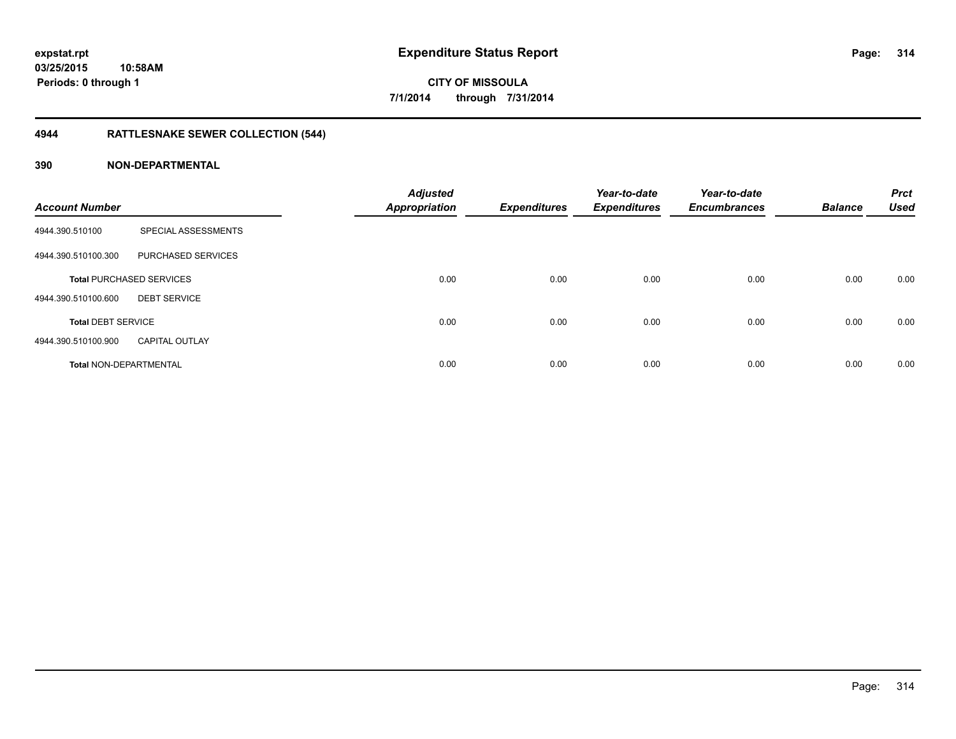## **4944 RATTLESNAKE SEWER COLLECTION (544)**

| <b>Account Number</b>         |                                 | <b>Adjusted</b><br><b>Appropriation</b> | <b>Expenditures</b> | Year-to-date<br><b>Expenditures</b> | Year-to-date<br><b>Encumbrances</b> | <b>Balance</b> | <b>Prct</b><br><b>Used</b> |
|-------------------------------|---------------------------------|-----------------------------------------|---------------------|-------------------------------------|-------------------------------------|----------------|----------------------------|
| 4944.390.510100               | SPECIAL ASSESSMENTS             |                                         |                     |                                     |                                     |                |                            |
| 4944.390.510100.300           | PURCHASED SERVICES              |                                         |                     |                                     |                                     |                |                            |
|                               | <b>Total PURCHASED SERVICES</b> | 0.00                                    | 0.00                | 0.00                                | 0.00                                | 0.00           | 0.00                       |
| 4944.390.510100.600           | <b>DEBT SERVICE</b>             |                                         |                     |                                     |                                     |                |                            |
| <b>Total DEBT SERVICE</b>     |                                 | 0.00                                    | 0.00                | 0.00                                | 0.00                                | 0.00           | 0.00                       |
| 4944.390.510100.900           | <b>CAPITAL OUTLAY</b>           |                                         |                     |                                     |                                     |                |                            |
| <b>Total NON-DEPARTMENTAL</b> |                                 | 0.00                                    | 0.00                | 0.00                                | 0.00                                | 0.00           | 0.00                       |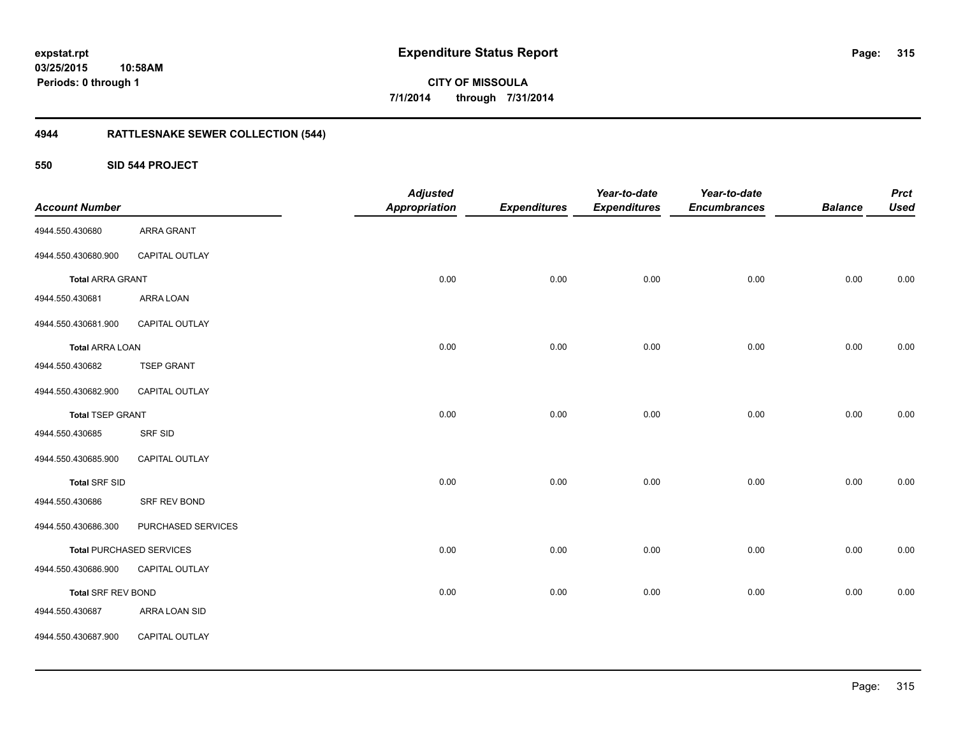## **4944 RATTLESNAKE SEWER COLLECTION (544)**

**550 SID 544 PROJECT**

| <b>Account Number</b>     |                                 | <b>Adjusted</b><br><b>Appropriation</b> | <b>Expenditures</b> | Year-to-date<br><b>Expenditures</b> | Year-to-date<br><b>Encumbrances</b> | <b>Balance</b> | <b>Prct</b><br><b>Used</b> |
|---------------------------|---------------------------------|-----------------------------------------|---------------------|-------------------------------------|-------------------------------------|----------------|----------------------------|
| 4944.550.430680           | ARRA GRANT                      |                                         |                     |                                     |                                     |                |                            |
| 4944.550.430680.900       | CAPITAL OUTLAY                  |                                         |                     |                                     |                                     |                |                            |
| <b>Total ARRA GRANT</b>   |                                 | 0.00                                    | 0.00                | 0.00                                | 0.00                                | 0.00           | 0.00                       |
| 4944.550.430681           | ARRA LOAN                       |                                         |                     |                                     |                                     |                |                            |
| 4944.550.430681.900       | CAPITAL OUTLAY                  |                                         |                     |                                     |                                     |                |                            |
| <b>Total ARRA LOAN</b>    |                                 | 0.00                                    | 0.00                | 0.00                                | 0.00                                | 0.00           | 0.00                       |
| 4944.550.430682           | <b>TSEP GRANT</b>               |                                         |                     |                                     |                                     |                |                            |
| 4944.550.430682.900       | CAPITAL OUTLAY                  |                                         |                     |                                     |                                     |                |                            |
| <b>Total TSEP GRANT</b>   |                                 | 0.00                                    | 0.00                | 0.00                                | 0.00                                | 0.00           | $0.00\,$                   |
| 4944.550.430685           | SRF SID                         |                                         |                     |                                     |                                     |                |                            |
| 4944.550.430685.900       | CAPITAL OUTLAY                  |                                         |                     |                                     |                                     |                |                            |
| <b>Total SRF SID</b>      |                                 | 0.00                                    | 0.00                | 0.00                                | 0.00                                | 0.00           | 0.00                       |
| 4944.550.430686           | SRF REV BOND                    |                                         |                     |                                     |                                     |                |                            |
| 4944.550.430686.300       | PURCHASED SERVICES              |                                         |                     |                                     |                                     |                |                            |
|                           | <b>Total PURCHASED SERVICES</b> | 0.00                                    | 0.00                | 0.00                                | 0.00                                | 0.00           | $0.00\,$                   |
| 4944.550.430686.900       | CAPITAL OUTLAY                  |                                         |                     |                                     |                                     |                |                            |
| <b>Total SRF REV BOND</b> |                                 | 0.00                                    | 0.00                | 0.00                                | 0.00                                | 0.00           | 0.00                       |
| 4944.550.430687           | ARRA LOAN SID                   |                                         |                     |                                     |                                     |                |                            |
| 4944.550.430687.900       | CAPITAL OUTLAY                  |                                         |                     |                                     |                                     |                |                            |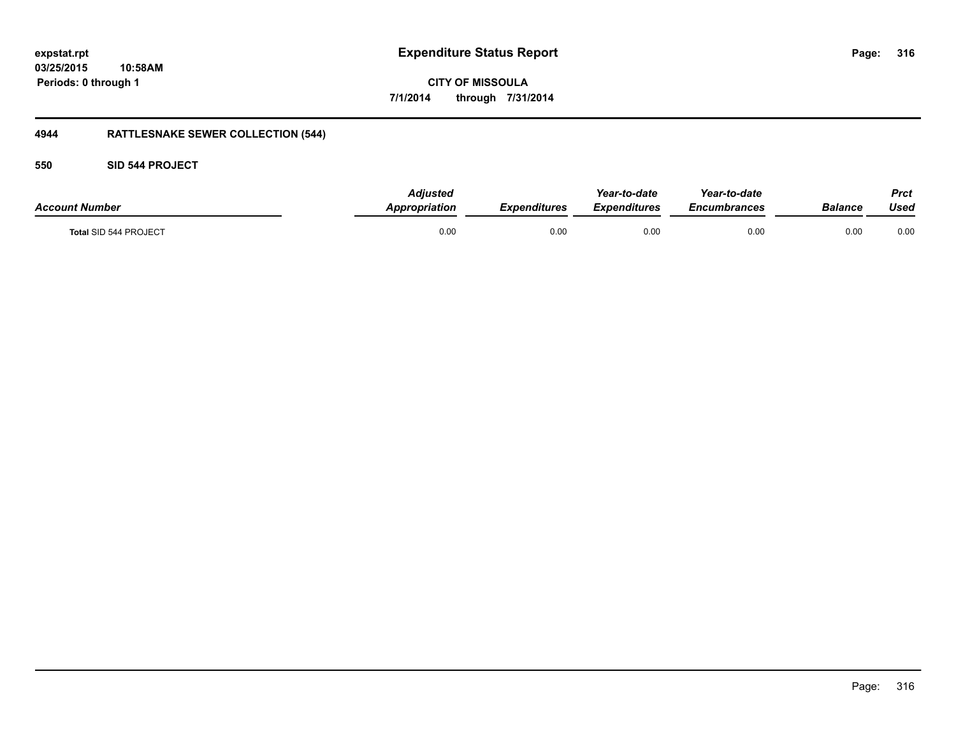### **03/25/2015 10:58AM Periods: 0 through 1**

**CITY OF MISSOULA 7/1/2014 through 7/31/2014**

## **4944 RATTLESNAKE SEWER COLLECTION (544)**

#### **550 SID 544 PROJECT**

| <b>Account Number</b> | <b>Adjusted</b><br>Appropriation | <b>Expenditures</b> | Year-to-date<br>Expenditures | Year-to-date<br>Encumbrances | Balance | <b>Prct</b><br>Used |
|-----------------------|----------------------------------|---------------------|------------------------------|------------------------------|---------|---------------------|
| Total SID 544 PROJECT | 0.00                             | 0.00                | 0.00                         | 0.00                         | 0.00    | 0.00                |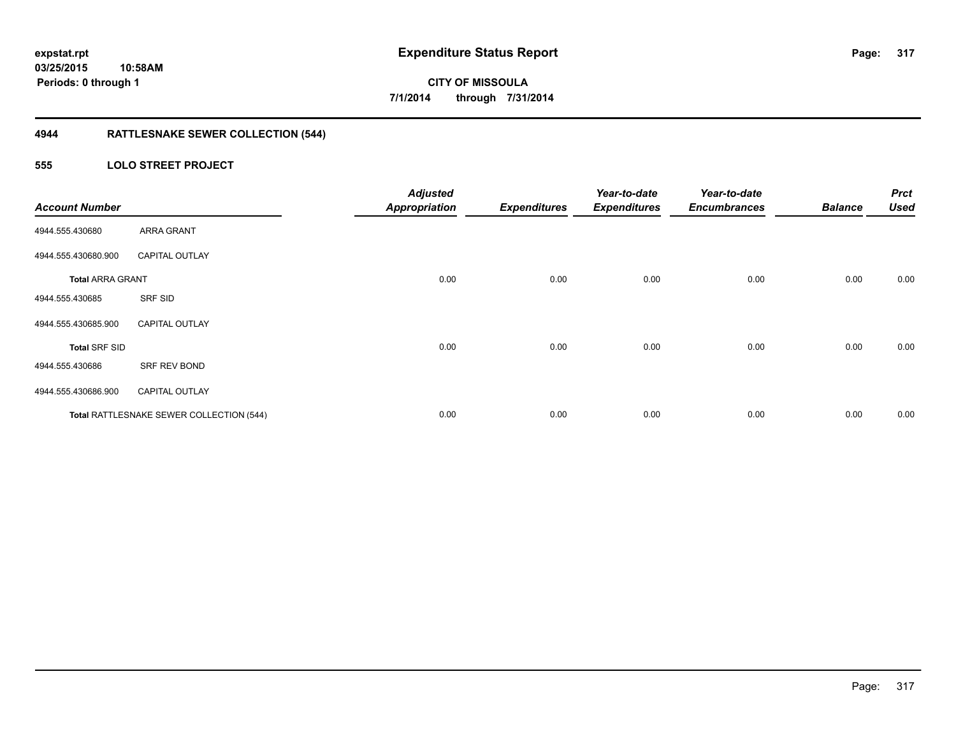## **4944 RATTLESNAKE SEWER COLLECTION (544)**

### **555 LOLO STREET PROJECT**

| <b>Account Number</b>   |                                          | <b>Adjusted</b><br><b>Appropriation</b> | <b>Expenditures</b> | Year-to-date<br><b>Expenditures</b> | Year-to-date<br><b>Encumbrances</b> | <b>Balance</b> | <b>Prct</b><br><b>Used</b> |
|-------------------------|------------------------------------------|-----------------------------------------|---------------------|-------------------------------------|-------------------------------------|----------------|----------------------------|
| 4944.555.430680         | <b>ARRA GRANT</b>                        |                                         |                     |                                     |                                     |                |                            |
| 4944.555.430680.900     | <b>CAPITAL OUTLAY</b>                    |                                         |                     |                                     |                                     |                |                            |
| <b>Total ARRA GRANT</b> |                                          | 0.00                                    | 0.00                | 0.00                                | 0.00                                | 0.00           | 0.00                       |
| 4944.555.430685         | SRF SID                                  |                                         |                     |                                     |                                     |                |                            |
| 4944.555.430685.900     | <b>CAPITAL OUTLAY</b>                    |                                         |                     |                                     |                                     |                |                            |
| <b>Total SRF SID</b>    |                                          | 0.00                                    | 0.00                | 0.00                                | 0.00                                | 0.00           | 0.00                       |
| 4944.555.430686         | SRF REV BOND                             |                                         |                     |                                     |                                     |                |                            |
| 4944.555.430686.900     | <b>CAPITAL OUTLAY</b>                    |                                         |                     |                                     |                                     |                |                            |
|                         | Total RATTLESNAKE SEWER COLLECTION (544) | 0.00                                    | 0.00                | 0.00                                | 0.00                                | 0.00           | 0.00                       |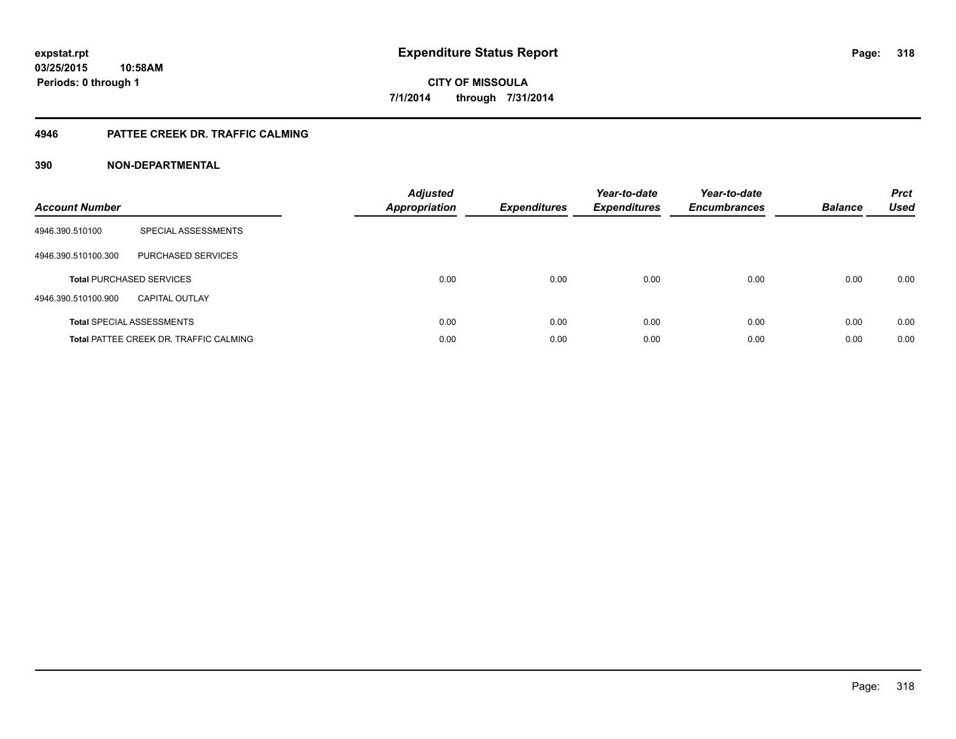#### **4946 PATTEE CREEK DR. TRAFFIC CALMING**

| <b>Account Number</b> |                                               | <b>Adjusted</b><br><b>Appropriation</b> | <b>Expenditures</b> | Year-to-date<br><b>Expenditures</b> | Year-to-date<br><b>Encumbrances</b> | <b>Balance</b> | <b>Prct</b><br><b>Used</b> |
|-----------------------|-----------------------------------------------|-----------------------------------------|---------------------|-------------------------------------|-------------------------------------|----------------|----------------------------|
| 4946.390.510100       | SPECIAL ASSESSMENTS                           |                                         |                     |                                     |                                     |                |                            |
| 4946.390.510100.300   | PURCHASED SERVICES                            |                                         |                     |                                     |                                     |                |                            |
|                       | <b>Total PURCHASED SERVICES</b>               | 0.00                                    | 0.00                | 0.00                                | 0.00                                | 0.00           | 0.00                       |
| 4946.390.510100.900   | <b>CAPITAL OUTLAY</b>                         |                                         |                     |                                     |                                     |                |                            |
|                       | <b>Total SPECIAL ASSESSMENTS</b>              | 0.00                                    | 0.00                | 0.00                                | 0.00                                | 0.00           | 0.00                       |
|                       | <b>Total PATTEE CREEK DR. TRAFFIC CALMING</b> | 0.00                                    | 0.00                | 0.00                                | 0.00                                | 0.00           | 0.00                       |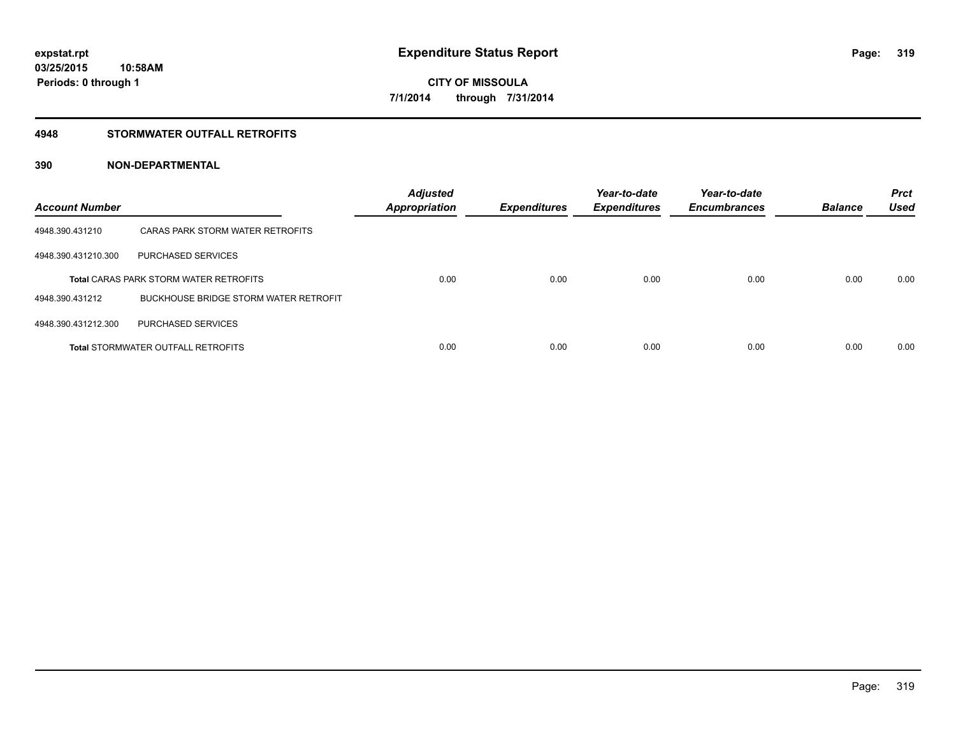#### **4948 STORMWATER OUTFALL RETROFITS**

| <b>Account Number</b> |                                               | <b>Adjusted</b><br><b>Appropriation</b> | <b>Expenditures</b> | Year-to-date<br><b>Expenditures</b> | Year-to-date<br><b>Encumbrances</b> | <b>Balance</b> | <b>Prct</b><br><b>Used</b> |
|-----------------------|-----------------------------------------------|-----------------------------------------|---------------------|-------------------------------------|-------------------------------------|----------------|----------------------------|
| 4948.390.431210       | CARAS PARK STORM WATER RETROFITS              |                                         |                     |                                     |                                     |                |                            |
| 4948.390.431210.300   | PURCHASED SERVICES                            |                                         |                     |                                     |                                     |                |                            |
|                       | <b>Total CARAS PARK STORM WATER RETROFITS</b> | 0.00                                    | 0.00                | 0.00                                | 0.00                                | 0.00           | 0.00                       |
| 4948.390.431212       | BUCKHOUSE BRIDGE STORM WATER RETROFIT         |                                         |                     |                                     |                                     |                |                            |
| 4948.390.431212.300   | PURCHASED SERVICES                            |                                         |                     |                                     |                                     |                |                            |
|                       | <b>Total STORMWATER OUTFALL RETROFITS</b>     | 0.00                                    | 0.00                | 0.00                                | 0.00                                | 0.00           | 0.00                       |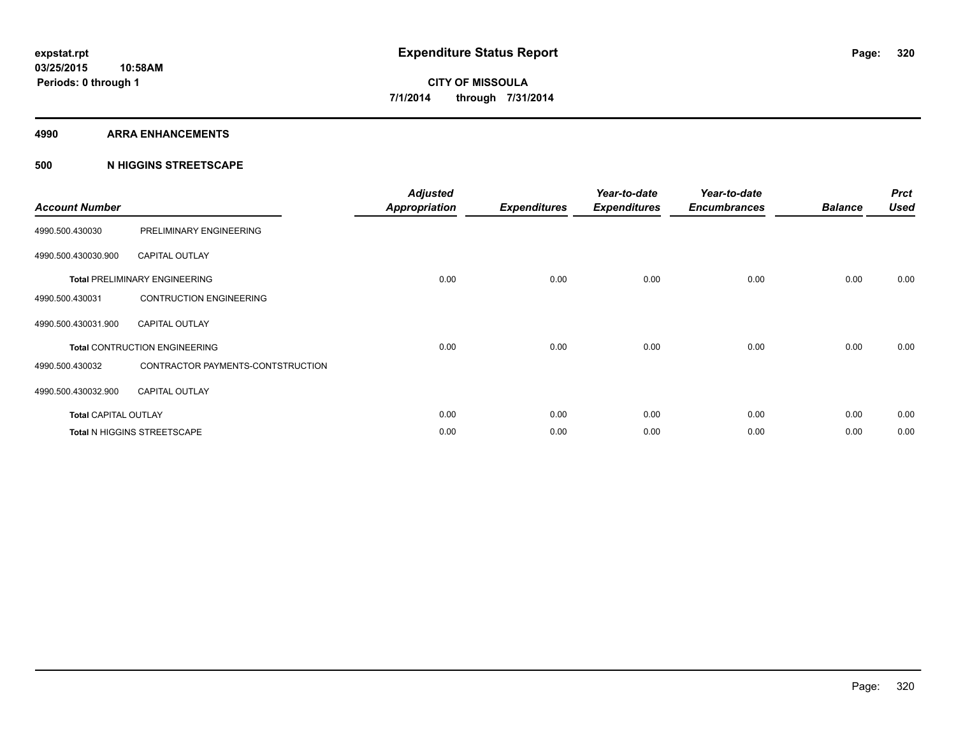#### **4990 ARRA ENHANCEMENTS**

#### **500 N HIGGINS STREETSCAPE**

| <b>Account Number</b>       |                                      | <b>Adjusted</b><br><b>Appropriation</b> | <b>Expenditures</b> | Year-to-date<br><b>Expenditures</b> | Year-to-date<br><b>Encumbrances</b> | <b>Balance</b> | <b>Prct</b><br><b>Used</b> |
|-----------------------------|--------------------------------------|-----------------------------------------|---------------------|-------------------------------------|-------------------------------------|----------------|----------------------------|
| 4990.500.430030             | PRELIMINARY ENGINEERING              |                                         |                     |                                     |                                     |                |                            |
| 4990.500.430030.900         | <b>CAPITAL OUTLAY</b>                |                                         |                     |                                     |                                     |                |                            |
|                             | <b>Total PRELIMINARY ENGINEERING</b> | 0.00                                    | 0.00                | 0.00                                | 0.00                                | 0.00           | 0.00                       |
| 4990.500.430031             | <b>CONTRUCTION ENGINEERING</b>       |                                         |                     |                                     |                                     |                |                            |
| 4990.500.430031.900         | <b>CAPITAL OUTLAY</b>                |                                         |                     |                                     |                                     |                |                            |
|                             | <b>Total CONTRUCTION ENGINEERING</b> | 0.00                                    | 0.00                | 0.00                                | 0.00                                | 0.00           | 0.00                       |
| 4990.500.430032             | CONTRACTOR PAYMENTS-CONTSTRUCTION    |                                         |                     |                                     |                                     |                |                            |
| 4990.500.430032.900         | <b>CAPITAL OUTLAY</b>                |                                         |                     |                                     |                                     |                |                            |
| <b>Total CAPITAL OUTLAY</b> |                                      | 0.00                                    | 0.00                | 0.00                                | 0.00                                | 0.00           | 0.00                       |
|                             | Total N HIGGINS STREETSCAPE          | 0.00                                    | 0.00                | 0.00                                | 0.00                                | 0.00           | 0.00                       |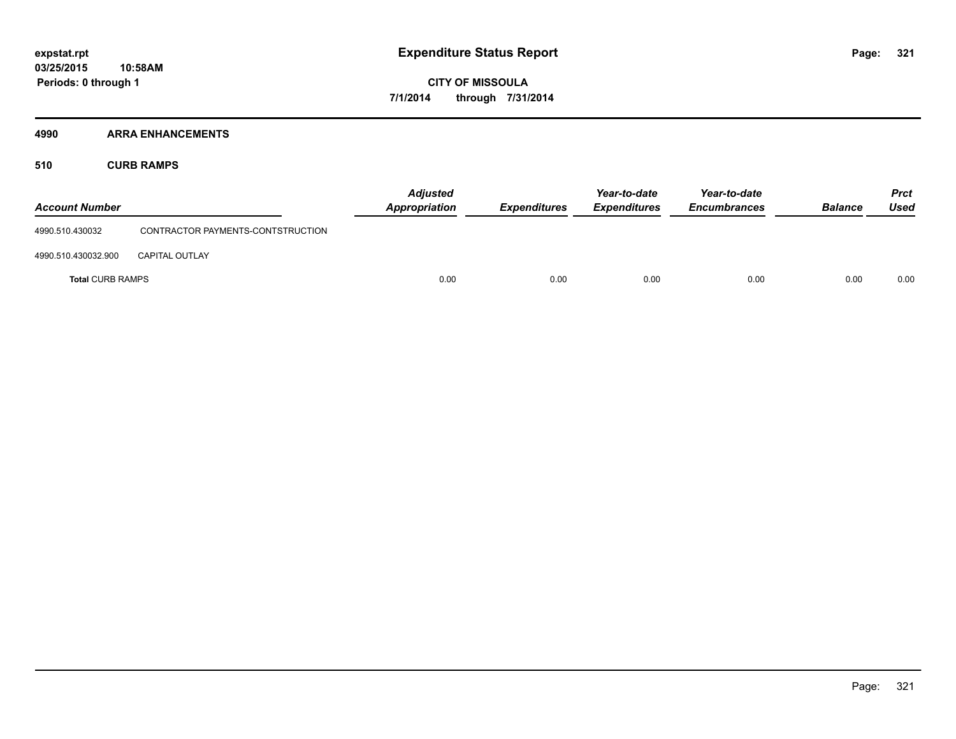#### **4990 ARRA ENHANCEMENTS**

**510 CURB RAMPS**

| <b>Account Number</b>   |                                   | <b>Adjusted</b><br><b>Appropriation</b> | <b>Expenditures</b> | Year-to-date<br><b>Expenditures</b> | Year-to-date<br><b>Encumbrances</b> | <b>Balance</b> | <b>Prct</b><br>Used |
|-------------------------|-----------------------------------|-----------------------------------------|---------------------|-------------------------------------|-------------------------------------|----------------|---------------------|
| 4990.510.430032         | CONTRACTOR PAYMENTS-CONTSTRUCTION |                                         |                     |                                     |                                     |                |                     |
| 4990.510.430032.900     | <b>CAPITAL OUTLAY</b>             |                                         |                     |                                     |                                     |                |                     |
| <b>Total CURB RAMPS</b> |                                   | 0.00                                    | 0.00                | 0.00                                | 0.00                                | 0.00           | 0.00                |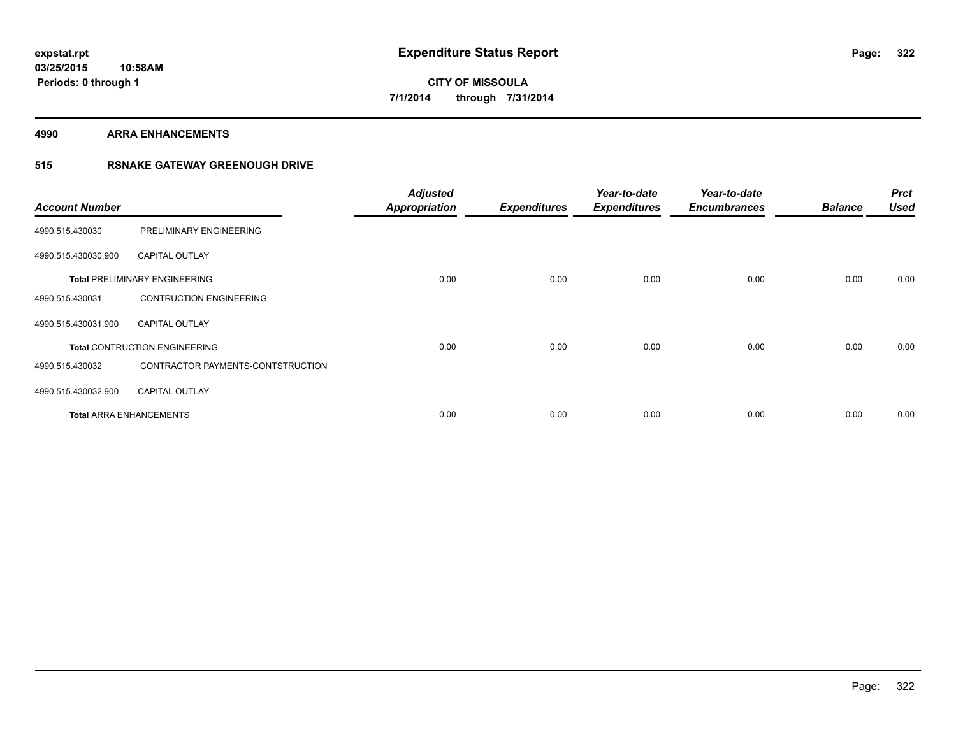**4990 ARRA ENHANCEMENTS**

### **515 RSNAKE GATEWAY GREENOUGH DRIVE**

| <b>Account Number</b> |                                      | <b>Adjusted</b><br><b>Appropriation</b> | <b>Expenditures</b> | Year-to-date<br><b>Expenditures</b> | Year-to-date<br><b>Encumbrances</b> | <b>Balance</b> | <b>Prct</b><br><b>Used</b> |
|-----------------------|--------------------------------------|-----------------------------------------|---------------------|-------------------------------------|-------------------------------------|----------------|----------------------------|
| 4990.515.430030       | PRELIMINARY ENGINEERING              |                                         |                     |                                     |                                     |                |                            |
| 4990.515.430030.900   | <b>CAPITAL OUTLAY</b>                |                                         |                     |                                     |                                     |                |                            |
|                       | <b>Total PRELIMINARY ENGINEERING</b> | 0.00                                    | 0.00                | 0.00                                | 0.00                                | 0.00           | 0.00                       |
| 4990.515.430031       | <b>CONTRUCTION ENGINEERING</b>       |                                         |                     |                                     |                                     |                |                            |
| 4990.515.430031.900   | <b>CAPITAL OUTLAY</b>                |                                         |                     |                                     |                                     |                |                            |
|                       | <b>Total CONTRUCTION ENGINEERING</b> | 0.00                                    | 0.00                | 0.00                                | 0.00                                | 0.00           | 0.00                       |
| 4990.515.430032       | CONTRACTOR PAYMENTS-CONTSTRUCTION    |                                         |                     |                                     |                                     |                |                            |
| 4990.515.430032.900   | <b>CAPITAL OUTLAY</b>                |                                         |                     |                                     |                                     |                |                            |
|                       | <b>Total ARRA ENHANCEMENTS</b>       | 0.00                                    | 0.00                | 0.00                                | 0.00                                | 0.00           | 0.00                       |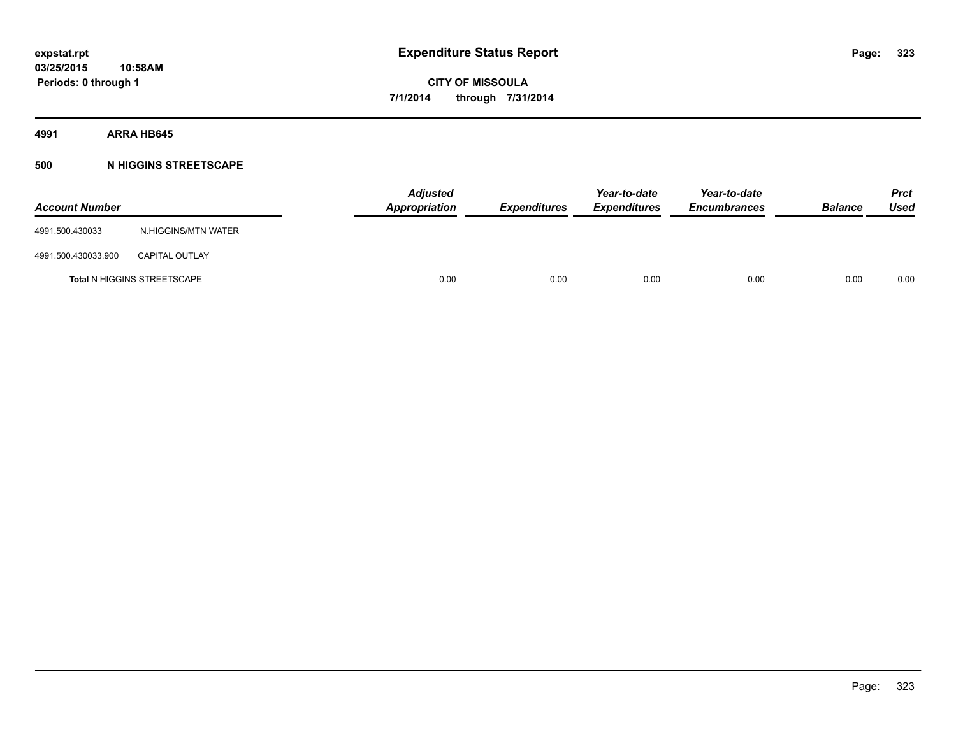**4991 ARRA HB645**

#### **500 N HIGGINS STREETSCAPE**

| <b>Account Number</b> |                                    | <b>Adjusted</b><br>Appropriation | <b>Expenditures</b> | Year-to-date<br><b>Expenditures</b> | Year-to-date<br><b>Encumbrances</b> | <b>Balance</b> | <b>Prct</b><br>Used |
|-----------------------|------------------------------------|----------------------------------|---------------------|-------------------------------------|-------------------------------------|----------------|---------------------|
| 4991.500.430033       | N.HIGGINS/MTN WATER                |                                  |                     |                                     |                                     |                |                     |
| 4991.500.430033.900   | <b>CAPITAL OUTLAY</b>              |                                  |                     |                                     |                                     |                |                     |
|                       | <b>Total N HIGGINS STREETSCAPE</b> | 0.00                             | 0.00                | 0.00                                | 0.00                                | 0.00           | 0.00                |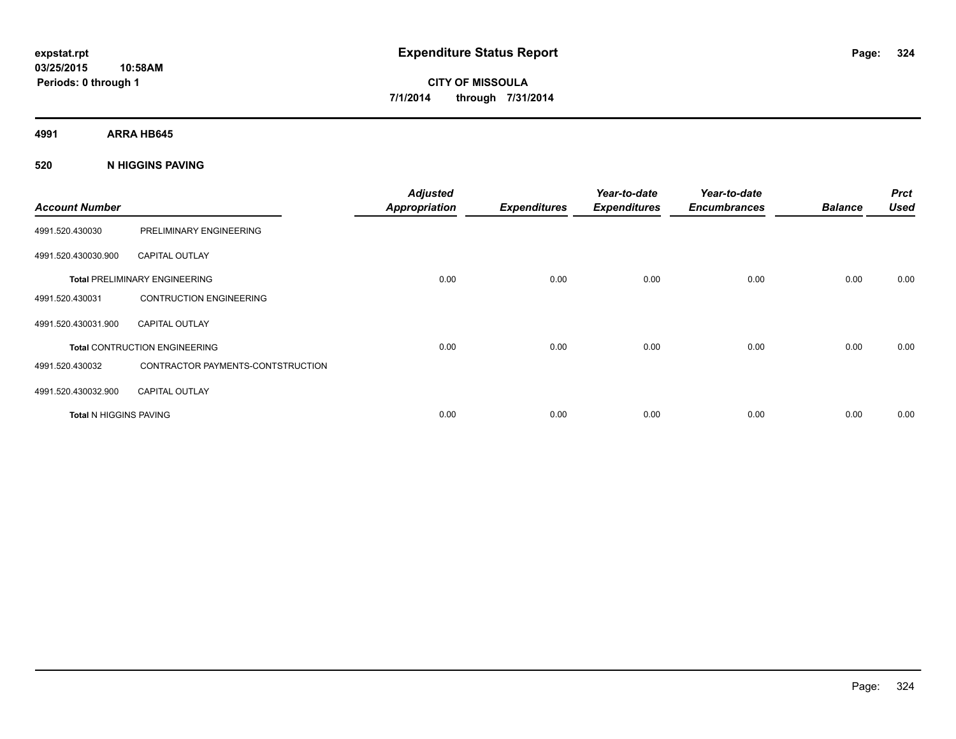**4991 ARRA HB645**

**520 N HIGGINS PAVING**

| <b>Account Number</b>         |                                      | <b>Adjusted</b><br><b>Appropriation</b> | <b>Expenditures</b> | Year-to-date<br><b>Expenditures</b> | Year-to-date<br><b>Encumbrances</b> | <b>Balance</b> | <b>Prct</b><br><b>Used</b> |
|-------------------------------|--------------------------------------|-----------------------------------------|---------------------|-------------------------------------|-------------------------------------|----------------|----------------------------|
| 4991.520.430030               | PRELIMINARY ENGINEERING              |                                         |                     |                                     |                                     |                |                            |
| 4991.520.430030.900           | <b>CAPITAL OUTLAY</b>                |                                         |                     |                                     |                                     |                |                            |
|                               | <b>Total PRELIMINARY ENGINEERING</b> | 0.00                                    | 0.00                | 0.00                                | 0.00                                | 0.00           | 0.00                       |
| 4991.520.430031               | <b>CONTRUCTION ENGINEERING</b>       |                                         |                     |                                     |                                     |                |                            |
| 4991.520.430031.900           | <b>CAPITAL OUTLAY</b>                |                                         |                     |                                     |                                     |                |                            |
|                               | <b>Total CONTRUCTION ENGINEERING</b> | 0.00                                    | 0.00                | 0.00                                | 0.00                                | 0.00           | 0.00                       |
| 4991.520.430032               | CONTRACTOR PAYMENTS-CONTSTRUCTION    |                                         |                     |                                     |                                     |                |                            |
| 4991.520.430032.900           | <b>CAPITAL OUTLAY</b>                |                                         |                     |                                     |                                     |                |                            |
| <b>Total N HIGGINS PAVING</b> |                                      | 0.00                                    | 0.00                | 0.00                                | 0.00                                | 0.00           | 0.00                       |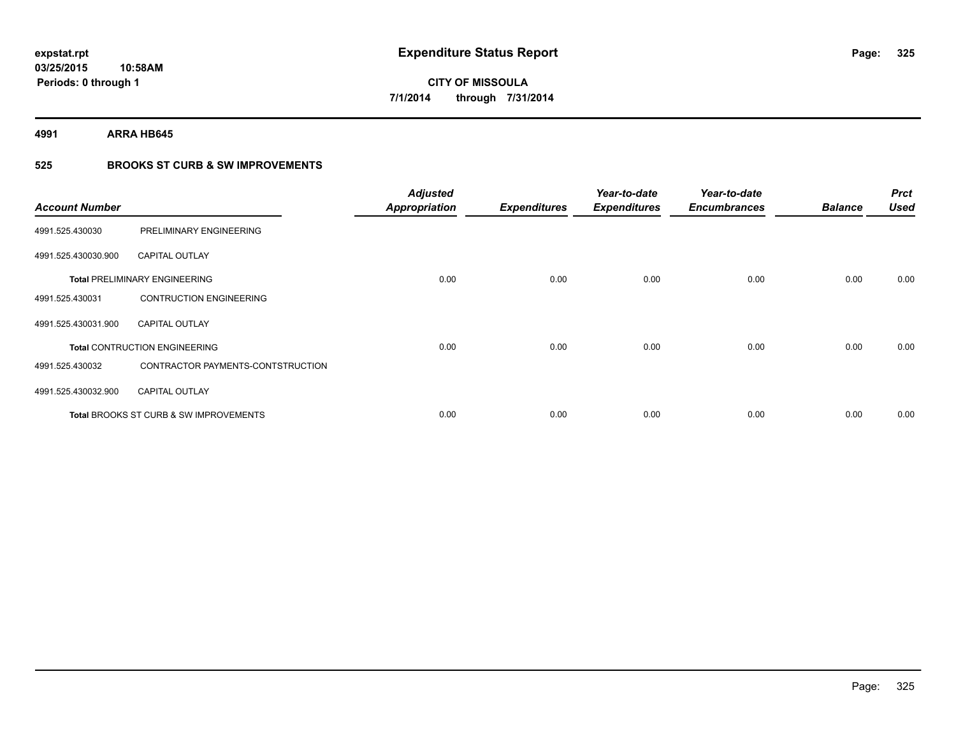**4991 ARRA HB645**

## **525 BROOKS ST CURB & SW IMPROVEMENTS**

| <b>Account Number</b> |                                                   | <b>Adjusted</b><br><b>Appropriation</b> | <b>Expenditures</b> | Year-to-date<br><b>Expenditures</b> | Year-to-date<br><b>Encumbrances</b> | <b>Balance</b> | <b>Prct</b><br><b>Used</b> |
|-----------------------|---------------------------------------------------|-----------------------------------------|---------------------|-------------------------------------|-------------------------------------|----------------|----------------------------|
| 4991.525.430030       | PRELIMINARY ENGINEERING                           |                                         |                     |                                     |                                     |                |                            |
| 4991.525.430030.900   | <b>CAPITAL OUTLAY</b>                             |                                         |                     |                                     |                                     |                |                            |
|                       | <b>Total PRELIMINARY ENGINEERING</b>              | 0.00                                    | 0.00                | 0.00                                | 0.00                                | 0.00           | 0.00                       |
| 4991.525.430031       | <b>CONTRUCTION ENGINEERING</b>                    |                                         |                     |                                     |                                     |                |                            |
| 4991.525.430031.900   | <b>CAPITAL OUTLAY</b>                             |                                         |                     |                                     |                                     |                |                            |
|                       | <b>Total CONTRUCTION ENGINEERING</b>              | 0.00                                    | 0.00                | 0.00                                | 0.00                                | 0.00           | 0.00                       |
| 4991.525.430032       | CONTRACTOR PAYMENTS-CONTSTRUCTION                 |                                         |                     |                                     |                                     |                |                            |
| 4991.525.430032.900   | <b>CAPITAL OUTLAY</b>                             |                                         |                     |                                     |                                     |                |                            |
|                       | <b>Total BROOKS ST CURB &amp; SW IMPROVEMENTS</b> | 0.00                                    | 0.00                | 0.00                                | 0.00                                | 0.00           | 0.00                       |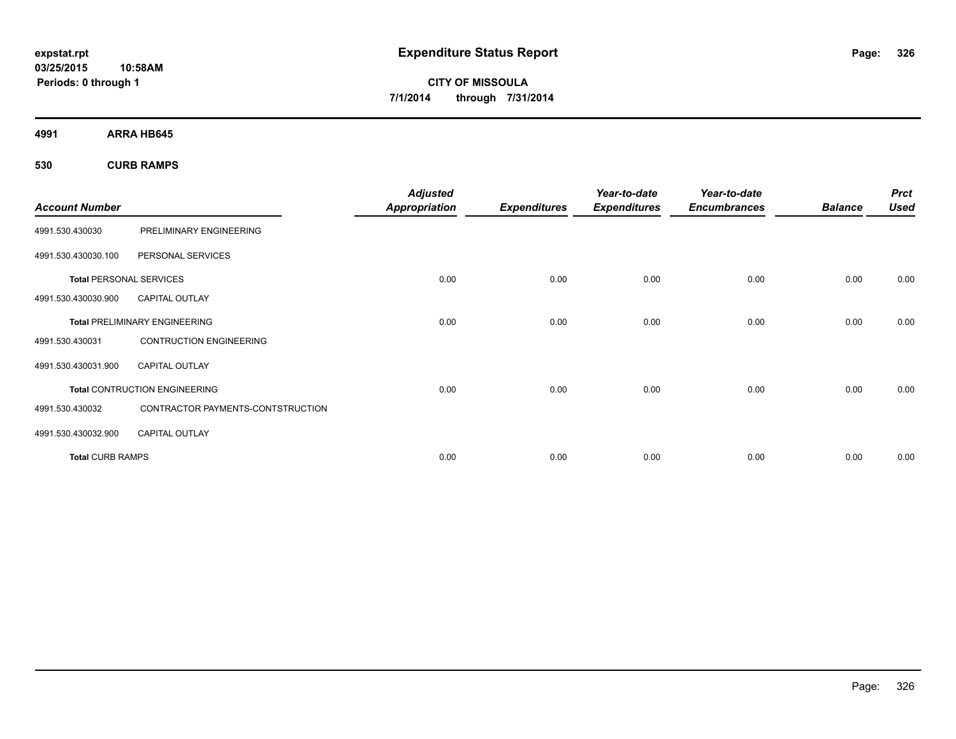**4991 ARRA HB645**

**530 CURB RAMPS**

| <b>Account Number</b>          |                                      | <b>Adjusted</b><br><b>Appropriation</b> | <b>Expenditures</b> | Year-to-date<br><b>Expenditures</b> | Year-to-date<br><b>Encumbrances</b> | <b>Balance</b> | <b>Prct</b><br><b>Used</b> |
|--------------------------------|--------------------------------------|-----------------------------------------|---------------------|-------------------------------------|-------------------------------------|----------------|----------------------------|
| 4991.530.430030                | PRELIMINARY ENGINEERING              |                                         |                     |                                     |                                     |                |                            |
| 4991.530.430030.100            | PERSONAL SERVICES                    |                                         |                     |                                     |                                     |                |                            |
| <b>Total PERSONAL SERVICES</b> |                                      | 0.00                                    | 0.00                | 0.00                                | 0.00                                | 0.00           | 0.00                       |
| 4991.530.430030.900            | <b>CAPITAL OUTLAY</b>                |                                         |                     |                                     |                                     |                |                            |
|                                | <b>Total PRELIMINARY ENGINEERING</b> | 0.00                                    | 0.00                | 0.00                                | 0.00                                | 0.00           | 0.00                       |
| 4991.530.430031                | <b>CONTRUCTION ENGINEERING</b>       |                                         |                     |                                     |                                     |                |                            |
| 4991.530.430031.900            | <b>CAPITAL OUTLAY</b>                |                                         |                     |                                     |                                     |                |                            |
|                                | <b>Total CONTRUCTION ENGINEERING</b> | 0.00                                    | 0.00                | 0.00                                | 0.00                                | 0.00           | 0.00                       |
| 4991.530.430032                | CONTRACTOR PAYMENTS-CONTSTRUCTION    |                                         |                     |                                     |                                     |                |                            |
| 4991.530.430032.900            | <b>CAPITAL OUTLAY</b>                |                                         |                     |                                     |                                     |                |                            |
| <b>Total CURB RAMPS</b>        |                                      | 0.00                                    | 0.00                | 0.00                                | 0.00                                | 0.00           | 0.00                       |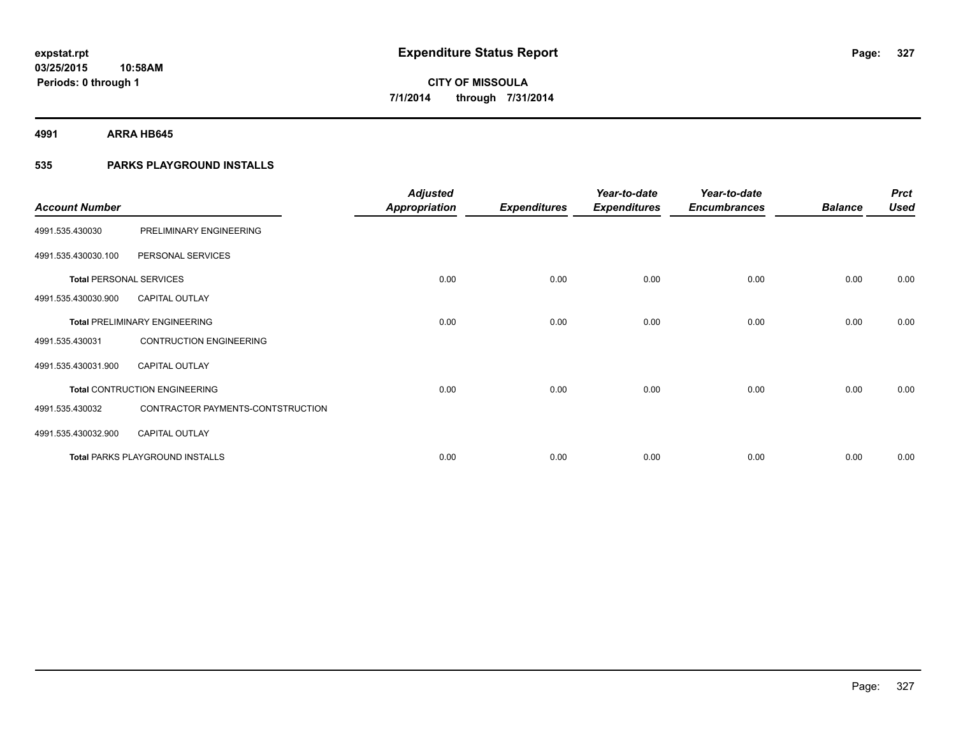**4991 ARRA HB645**

## **535 PARKS PLAYGROUND INSTALLS**

| <b>Account Number</b>          |                                        | <b>Adjusted</b><br><b>Appropriation</b> | <b>Expenditures</b> | Year-to-date<br><b>Expenditures</b> | Year-to-date<br><b>Encumbrances</b> | <b>Balance</b> | <b>Prct</b><br><b>Used</b> |
|--------------------------------|----------------------------------------|-----------------------------------------|---------------------|-------------------------------------|-------------------------------------|----------------|----------------------------|
| 4991.535.430030                | PRELIMINARY ENGINEERING                |                                         |                     |                                     |                                     |                |                            |
| 4991.535.430030.100            | PERSONAL SERVICES                      |                                         |                     |                                     |                                     |                |                            |
| <b>Total PERSONAL SERVICES</b> |                                        | 0.00                                    | 0.00                | 0.00                                | 0.00                                | 0.00           | 0.00                       |
| 4991.535.430030.900            | <b>CAPITAL OUTLAY</b>                  |                                         |                     |                                     |                                     |                |                            |
|                                | <b>Total PRELIMINARY ENGINEERING</b>   | 0.00                                    | 0.00                | 0.00                                | 0.00                                | 0.00           | 0.00                       |
| 4991.535.430031                | <b>CONTRUCTION ENGINEERING</b>         |                                         |                     |                                     |                                     |                |                            |
| 4991.535.430031.900            | <b>CAPITAL OUTLAY</b>                  |                                         |                     |                                     |                                     |                |                            |
|                                | <b>Total CONTRUCTION ENGINEERING</b>   | 0.00                                    | 0.00                | 0.00                                | 0.00                                | 0.00           | 0.00                       |
| 4991.535.430032                | CONTRACTOR PAYMENTS-CONTSTRUCTION      |                                         |                     |                                     |                                     |                |                            |
| 4991.535.430032.900            | <b>CAPITAL OUTLAY</b>                  |                                         |                     |                                     |                                     |                |                            |
|                                | <b>Total PARKS PLAYGROUND INSTALLS</b> | 0.00                                    | 0.00                | 0.00                                | 0.00                                | 0.00           | 0.00                       |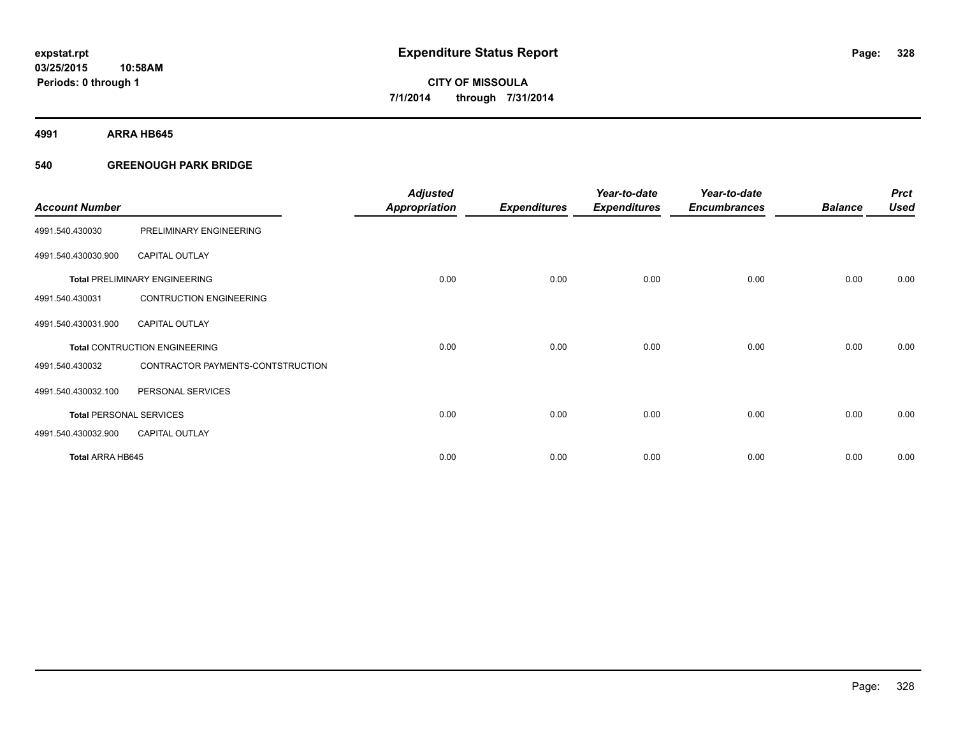**4991 ARRA HB645**

### **540 GREENOUGH PARK BRIDGE**

| <b>Account Number</b>          |                                      | <b>Adjusted</b><br><b>Appropriation</b> | <b>Expenditures</b> | Year-to-date<br><b>Expenditures</b> | Year-to-date<br><b>Encumbrances</b> | <b>Balance</b> | <b>Prct</b><br><b>Used</b> |
|--------------------------------|--------------------------------------|-----------------------------------------|---------------------|-------------------------------------|-------------------------------------|----------------|----------------------------|
| 4991.540.430030                | PRELIMINARY ENGINEERING              |                                         |                     |                                     |                                     |                |                            |
| 4991.540.430030.900            | <b>CAPITAL OUTLAY</b>                |                                         |                     |                                     |                                     |                |                            |
|                                | <b>Total PRELIMINARY ENGINEERING</b> | 0.00                                    | 0.00                | 0.00                                | 0.00                                | 0.00           | 0.00                       |
| 4991.540.430031                | <b>CONTRUCTION ENGINEERING</b>       |                                         |                     |                                     |                                     |                |                            |
| 4991.540.430031.900            | <b>CAPITAL OUTLAY</b>                |                                         |                     |                                     |                                     |                |                            |
|                                | <b>Total CONTRUCTION ENGINEERING</b> | 0.00                                    | 0.00                | 0.00                                | 0.00                                | 0.00           | 0.00                       |
| 4991.540.430032                | CONTRACTOR PAYMENTS-CONTSTRUCTION    |                                         |                     |                                     |                                     |                |                            |
| 4991.540.430032.100            | PERSONAL SERVICES                    |                                         |                     |                                     |                                     |                |                            |
| <b>Total PERSONAL SERVICES</b> |                                      | 0.00                                    | 0.00                | 0.00                                | 0.00                                | 0.00           | 0.00                       |
| 4991.540.430032.900            | <b>CAPITAL OUTLAY</b>                |                                         |                     |                                     |                                     |                |                            |
| <b>Total ARRA HB645</b>        |                                      | 0.00                                    | 0.00                | 0.00                                | 0.00                                | 0.00           | 0.00                       |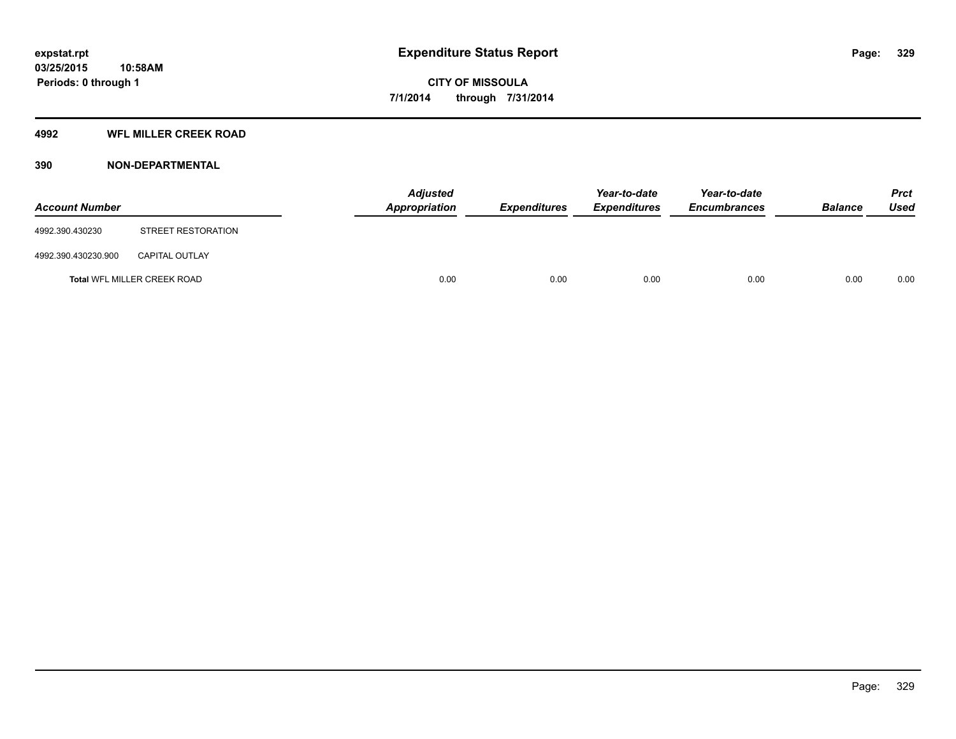### **4992 WFL MILLER CREEK ROAD**

### **390 NON-DEPARTMENTAL**

| <b>Account Number</b> |                             | Appropriation | <b>Adjusted</b> | <b>Expenditures</b> | Year-to-date<br><b>Expenditures</b> | Year-to-date<br><b>Encumbrances</b> | <b>Balance</b> | <b>Prct</b><br><b>Used</b> |
|-----------------------|-----------------------------|---------------|-----------------|---------------------|-------------------------------------|-------------------------------------|----------------|----------------------------|
| 4992.390.430230       | STREET RESTORATION          |               |                 |                     |                                     |                                     |                |                            |
| 4992.390.430230.900   | <b>CAPITAL OUTLAY</b>       |               |                 |                     |                                     |                                     |                |                            |
|                       | Total WFL MILLER CREEK ROAD |               | 0.00            | 0.00                | 0.00                                | 0.00                                | 0.00           | 0.00                       |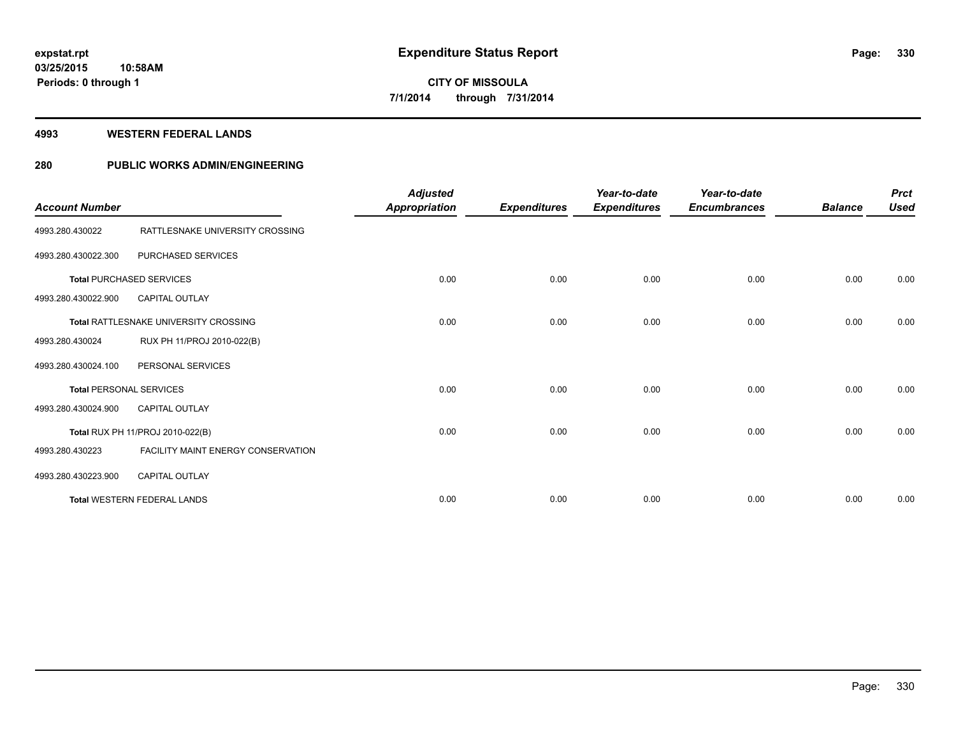#### **4993 WESTERN FEDERAL LANDS**

### **280 PUBLIC WORKS ADMIN/ENGINEERING**

| <b>Account Number</b> |                                           | <b>Adjusted</b><br><b>Appropriation</b> | <b>Expenditures</b> | Year-to-date<br><b>Expenditures</b> | Year-to-date<br><b>Encumbrances</b> | <b>Balance</b> | <b>Prct</b><br><b>Used</b> |
|-----------------------|-------------------------------------------|-----------------------------------------|---------------------|-------------------------------------|-------------------------------------|----------------|----------------------------|
| 4993.280.430022       | RATTLESNAKE UNIVERSITY CROSSING           |                                         |                     |                                     |                                     |                |                            |
| 4993.280.430022.300   | PURCHASED SERVICES                        |                                         |                     |                                     |                                     |                |                            |
|                       | <b>Total PURCHASED SERVICES</b>           | 0.00                                    | 0.00                | 0.00                                | 0.00                                | 0.00           | 0.00                       |
| 4993.280.430022.900   | <b>CAPITAL OUTLAY</b>                     |                                         |                     |                                     |                                     |                |                            |
|                       | Total RATTLESNAKE UNIVERSITY CROSSING     | 0.00                                    | 0.00                | 0.00                                | 0.00                                | 0.00           | 0.00                       |
| 4993.280.430024       | RUX PH 11/PROJ 2010-022(B)                |                                         |                     |                                     |                                     |                |                            |
| 4993.280.430024.100   | PERSONAL SERVICES                         |                                         |                     |                                     |                                     |                |                            |
|                       | <b>Total PERSONAL SERVICES</b>            | 0.00                                    | 0.00                | 0.00                                | 0.00                                | 0.00           | 0.00                       |
| 4993.280.430024.900   | <b>CAPITAL OUTLAY</b>                     |                                         |                     |                                     |                                     |                |                            |
|                       | <b>Total RUX PH 11/PROJ 2010-022(B)</b>   | 0.00                                    | 0.00                | 0.00                                | 0.00                                | 0.00           | 0.00                       |
| 4993.280.430223       | <b>FACILITY MAINT ENERGY CONSERVATION</b> |                                         |                     |                                     |                                     |                |                            |
| 4993.280.430223.900   | <b>CAPITAL OUTLAY</b>                     |                                         |                     |                                     |                                     |                |                            |
|                       | <b>Total WESTERN FEDERAL LANDS</b>        | 0.00                                    | 0.00                | 0.00                                | 0.00                                | 0.00           | 0.00                       |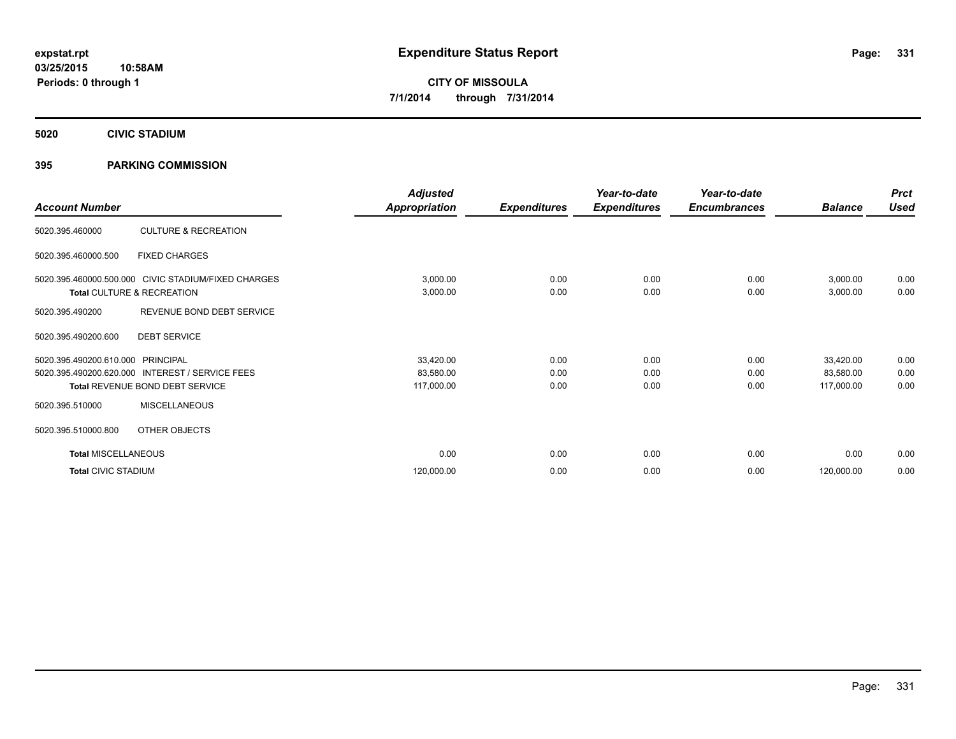**5020 CIVIC STADIUM**

### **395 PARKING COMMISSION**

| <b>Account Number</b>      |                                                     | <b>Adjusted</b><br><b>Appropriation</b> | <b>Expenditures</b> | Year-to-date<br><b>Expenditures</b> | Year-to-date<br><b>Encumbrances</b> | <b>Balance</b> | <b>Prct</b><br><b>Used</b> |
|----------------------------|-----------------------------------------------------|-----------------------------------------|---------------------|-------------------------------------|-------------------------------------|----------------|----------------------------|
|                            |                                                     |                                         |                     |                                     |                                     |                |                            |
| 5020.395.460000            | <b>CULTURE &amp; RECREATION</b>                     |                                         |                     |                                     |                                     |                |                            |
| 5020.395.460000.500        | <b>FIXED CHARGES</b>                                |                                         |                     |                                     |                                     |                |                            |
|                            | 5020.395.460000.500.000 CIVIC STADIUM/FIXED CHARGES | 3,000.00                                | 0.00                | 0.00                                | 0.00                                | 3,000.00       | 0.00                       |
|                            | Total CULTURE & RECREATION                          | 3,000.00                                | 0.00                | 0.00                                | 0.00                                | 3,000.00       | 0.00                       |
| 5020.395.490200            | REVENUE BOND DEBT SERVICE                           |                                         |                     |                                     |                                     |                |                            |
| 5020.395.490200.600        | <b>DEBT SERVICE</b>                                 |                                         |                     |                                     |                                     |                |                            |
| 5020.395.490200.610.000    | PRINCIPAL                                           | 33,420.00                               | 0.00                | 0.00                                | 0.00                                | 33,420.00      | 0.00                       |
| 5020.395.490200.620.000    | <b>INTEREST / SERVICE FEES</b>                      | 83,580.00                               | 0.00                | 0.00                                | 0.00                                | 83,580.00      | 0.00                       |
|                            | Total REVENUE BOND DEBT SERVICE                     | 117,000.00                              | 0.00                | 0.00                                | 0.00                                | 117,000.00     | 0.00                       |
| 5020.395.510000            | <b>MISCELLANEOUS</b>                                |                                         |                     |                                     |                                     |                |                            |
| 5020.395.510000.800        | OTHER OBJECTS                                       |                                         |                     |                                     |                                     |                |                            |
| <b>Total MISCELLANEOUS</b> |                                                     | 0.00                                    | 0.00                | 0.00                                | 0.00                                | 0.00           | 0.00                       |
| <b>Total CIVIC STADIUM</b> |                                                     | 120,000.00                              | 0.00                | 0.00                                | 0.00                                | 120,000.00     | 0.00                       |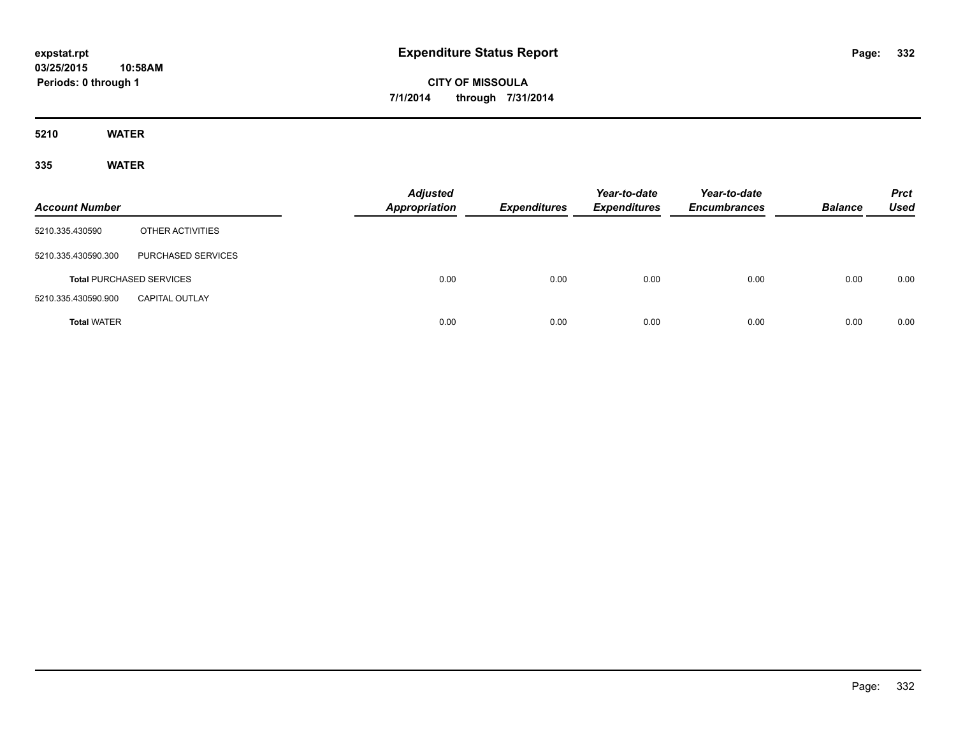**CITY OF MISSOULA 7/1/2014 through 7/31/2014**

**5210 WATER**

**335 WATER**

| <b>Account Number</b> |                                 | <b>Adjusted</b><br><b>Appropriation</b> | <b>Expenditures</b> | Year-to-date<br><b>Expenditures</b> | Year-to-date<br><b>Encumbrances</b> | <b>Balance</b> | <b>Prct</b><br><b>Used</b> |
|-----------------------|---------------------------------|-----------------------------------------|---------------------|-------------------------------------|-------------------------------------|----------------|----------------------------|
| 5210.335.430590       | OTHER ACTIVITIES                |                                         |                     |                                     |                                     |                |                            |
| 5210.335.430590.300   | PURCHASED SERVICES              |                                         |                     |                                     |                                     |                |                            |
|                       | <b>Total PURCHASED SERVICES</b> | 0.00                                    | 0.00                | 0.00                                | 0.00                                | 0.00           | 0.00                       |
| 5210.335.430590.900   | <b>CAPITAL OUTLAY</b>           |                                         |                     |                                     |                                     |                |                            |
| <b>Total WATER</b>    |                                 | 0.00                                    | 0.00                | 0.00                                | 0.00                                | 0.00           | 0.00                       |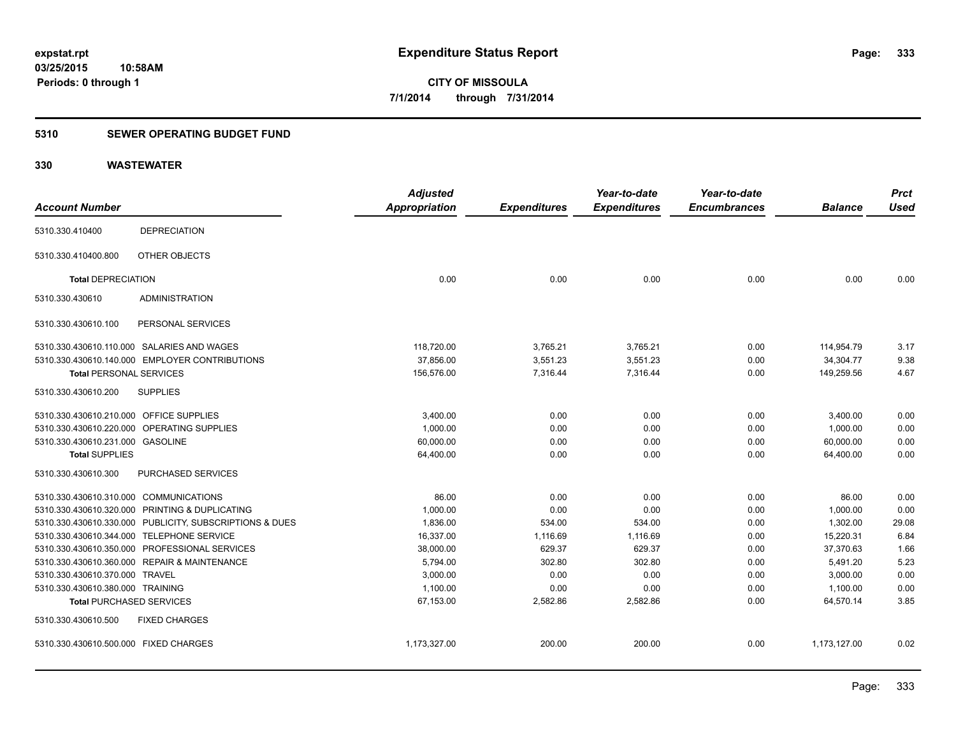### **5310 SEWER OPERATING BUDGET FUND**

| <b>Account Number</b>                   |                                                         | <b>Adjusted</b><br><b>Appropriation</b> | <b>Expenditures</b> | Year-to-date<br><b>Expenditures</b> | Year-to-date<br><b>Encumbrances</b> | <b>Balance</b> | <b>Prct</b><br><b>Used</b> |
|-----------------------------------------|---------------------------------------------------------|-----------------------------------------|---------------------|-------------------------------------|-------------------------------------|----------------|----------------------------|
|                                         |                                                         |                                         |                     |                                     |                                     |                |                            |
| 5310.330.410400                         | <b>DEPRECIATION</b>                                     |                                         |                     |                                     |                                     |                |                            |
| 5310.330.410400.800                     | OTHER OBJECTS                                           |                                         |                     |                                     |                                     |                |                            |
| <b>Total DEPRECIATION</b>               |                                                         | 0.00                                    | 0.00                | 0.00                                | 0.00                                | 0.00           | 0.00                       |
| 5310.330.430610                         | <b>ADMINISTRATION</b>                                   |                                         |                     |                                     |                                     |                |                            |
| 5310.330.430610.100                     | PERSONAL SERVICES                                       |                                         |                     |                                     |                                     |                |                            |
|                                         | 5310.330.430610.110.000 SALARIES AND WAGES              | 118,720.00                              | 3,765.21            | 3,765.21                            | 0.00                                | 114,954.79     | 3.17                       |
|                                         | 5310.330.430610.140.000 EMPLOYER CONTRIBUTIONS          | 37.856.00                               | 3,551.23            | 3,551.23                            | 0.00                                | 34,304.77      | 9.38                       |
| <b>Total PERSONAL SERVICES</b>          |                                                         | 156,576.00                              | 7.316.44            | 7,316.44                            | 0.00                                | 149.259.56     | 4.67                       |
| 5310.330.430610.200                     | <b>SUPPLIES</b>                                         |                                         |                     |                                     |                                     |                |                            |
| 5310.330.430610.210.000 OFFICE SUPPLIES |                                                         | 3,400.00                                | 0.00                | 0.00                                | 0.00                                | 3,400.00       | 0.00                       |
|                                         | 5310.330.430610.220.000 OPERATING SUPPLIES              | 1,000.00                                | 0.00                | 0.00                                | 0.00                                | 1,000.00       | 0.00                       |
| 5310.330.430610.231.000 GASOLINE        |                                                         | 60,000.00                               | 0.00                | 0.00                                | 0.00                                | 60,000.00      | 0.00                       |
| <b>Total SUPPLIES</b>                   |                                                         | 64,400.00                               | 0.00                | 0.00                                | 0.00                                | 64,400.00      | 0.00                       |
| 5310.330.430610.300                     | PURCHASED SERVICES                                      |                                         |                     |                                     |                                     |                |                            |
| 5310.330.430610.310.000 COMMUNICATIONS  |                                                         | 86.00                                   | 0.00                | 0.00                                | 0.00                                | 86.00          | 0.00                       |
|                                         | 5310.330.430610.320.000 PRINTING & DUPLICATING          | 1,000.00                                | 0.00                | 0.00                                | 0.00                                | 1,000.00       | 0.00                       |
|                                         | 5310.330.430610.330.000 PUBLICITY, SUBSCRIPTIONS & DUES | 1,836.00                                | 534.00              | 534.00                              | 0.00                                | 1,302.00       | 29.08                      |
|                                         | 5310.330.430610.344.000 TELEPHONE SERVICE               | 16,337.00                               | 1,116.69            | 1,116.69                            | 0.00                                | 15,220.31      | 6.84                       |
|                                         | 5310.330.430610.350.000 PROFESSIONAL SERVICES           | 38,000.00                               | 629.37              | 629.37                              | 0.00                                | 37,370.63      | 1.66                       |
|                                         | 5310.330.430610.360.000 REPAIR & MAINTENANCE            | 5,794.00                                | 302.80              | 302.80                              | 0.00                                | 5,491.20       | 5.23                       |
| 5310.330.430610.370.000 TRAVEL          |                                                         | 3.000.00                                | 0.00                | 0.00                                | 0.00                                | 3.000.00       | 0.00                       |
| 5310.330.430610.380.000 TRAINING        |                                                         | 1,100.00                                | 0.00                | 0.00                                | 0.00                                | 1,100.00       | 0.00                       |
| <b>Total PURCHASED SERVICES</b>         |                                                         | 67,153.00                               | 2,582.86            | 2,582.86                            | 0.00                                | 64,570.14      | 3.85                       |
| 5310.330.430610.500                     | <b>FIXED CHARGES</b>                                    |                                         |                     |                                     |                                     |                |                            |
| 5310.330.430610.500.000 FIXED CHARGES   |                                                         | 1,173,327.00                            | 200.00              | 200.00                              | 0.00                                | 1,173,127.00   | 0.02                       |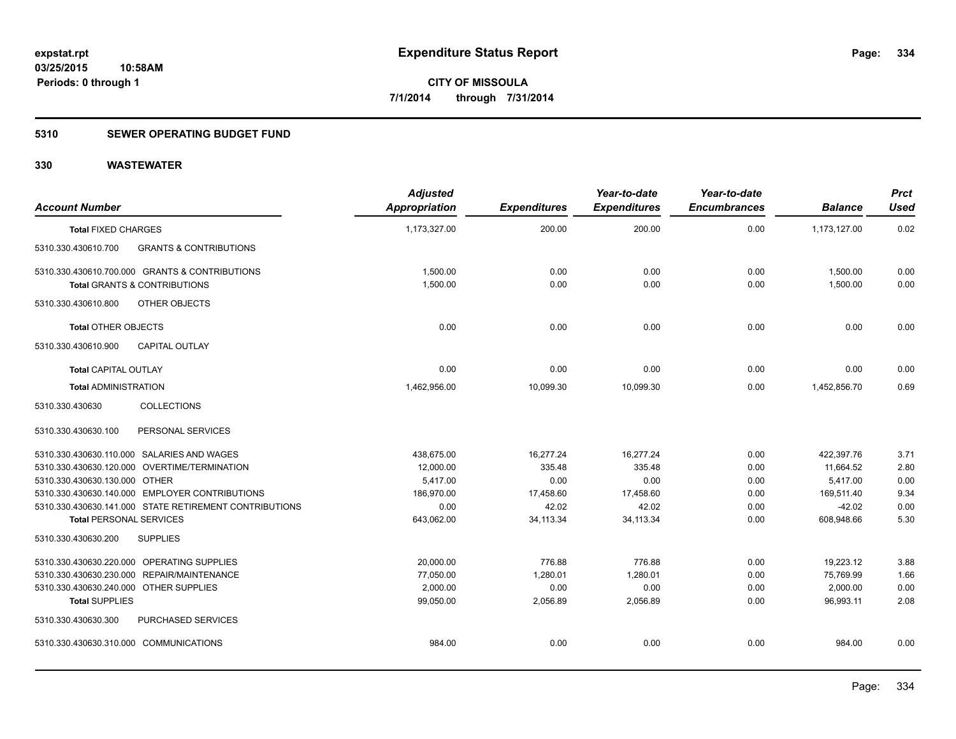### **5310 SEWER OPERATING BUDGET FUND**

| <b>Account Number</b>                                    | <b>Adjusted</b><br><b>Appropriation</b> | <b>Expenditures</b> | Year-to-date<br><b>Expenditures</b> | Year-to-date<br><b>Encumbrances</b> | <b>Balance</b> | <b>Prct</b><br><b>Used</b> |
|----------------------------------------------------------|-----------------------------------------|---------------------|-------------------------------------|-------------------------------------|----------------|----------------------------|
| <b>Total FIXED CHARGES</b>                               | 1,173,327.00                            | 200.00              | 200.00                              | 0.00                                | 1,173,127.00   | 0.02                       |
| <b>GRANTS &amp; CONTRIBUTIONS</b><br>5310.330.430610.700 |                                         |                     |                                     |                                     |                |                            |
| 5310.330.430610.700.000 GRANTS & CONTRIBUTIONS           | 1,500.00                                | 0.00                | 0.00                                | 0.00                                | 1,500.00       | 0.00                       |
| <b>Total GRANTS &amp; CONTRIBUTIONS</b>                  | 1,500.00                                | 0.00                | 0.00                                | 0.00                                | 1,500.00       | 0.00                       |
| OTHER OBJECTS<br>5310.330.430610.800                     |                                         |                     |                                     |                                     |                |                            |
| <b>Total OTHER OBJECTS</b>                               | 0.00                                    | 0.00                | 0.00                                | 0.00                                | 0.00           | 0.00                       |
| 5310.330.430610.900<br><b>CAPITAL OUTLAY</b>             |                                         |                     |                                     |                                     |                |                            |
| <b>Total CAPITAL OUTLAY</b>                              | 0.00                                    | 0.00                | 0.00                                | 0.00                                | 0.00           | 0.00                       |
| <b>Total ADMINISTRATION</b>                              | 1,462,956.00                            | 10,099.30           | 10,099.30                           | 0.00                                | 1,452,856.70   | 0.69                       |
| <b>COLLECTIONS</b><br>5310.330.430630                    |                                         |                     |                                     |                                     |                |                            |
| 5310.330.430630.100<br>PERSONAL SERVICES                 |                                         |                     |                                     |                                     |                |                            |
| 5310.330.430630.110.000 SALARIES AND WAGES               | 438,675.00                              | 16,277.24           | 16,277.24                           | 0.00                                | 422,397.76     | 3.71                       |
| 5310.330.430630.120.000 OVERTIME/TERMINATION             | 12,000.00                               | 335.48              | 335.48                              | 0.00                                | 11,664.52      | 2.80                       |
| 5310.330.430630.130.000 OTHER                            | 5,417.00                                | 0.00                | 0.00                                | 0.00                                | 5,417.00       | 0.00                       |
| 5310.330.430630.140.000 EMPLOYER CONTRIBUTIONS           | 186,970.00                              | 17,458.60           | 17,458.60                           | 0.00                                | 169,511.40     | 9.34                       |
| 5310.330.430630.141.000 STATE RETIREMENT CONTRIBUTIONS   | 0.00                                    | 42.02               | 42.02                               | 0.00                                | $-42.02$       | 0.00                       |
| <b>Total PERSONAL SERVICES</b>                           | 643,062.00                              | 34, 113.34          | 34, 113.34                          | 0.00                                | 608,948.66     | 5.30                       |
| 5310.330.430630.200<br><b>SUPPLIES</b>                   |                                         |                     |                                     |                                     |                |                            |
| 5310.330.430630.220.000 OPERATING SUPPLIES               | 20,000.00                               | 776.88              | 776.88                              | 0.00                                | 19,223.12      | 3.88                       |
| 5310.330.430630.230.000 REPAIR/MAINTENANCE               | 77,050.00                               | 1,280.01            | 1,280.01                            | 0.00                                | 75,769.99      | 1.66                       |
| 5310.330.430630.240.000 OTHER SUPPLIES                   | 2,000.00                                | 0.00                | 0.00                                | 0.00                                | 2,000.00       | 0.00                       |
| <b>Total SUPPLIES</b>                                    | 99,050.00                               | 2,056.89            | 2,056.89                            | 0.00                                | 96,993.11      | 2.08                       |
| 5310.330.430630.300<br>PURCHASED SERVICES                |                                         |                     |                                     |                                     |                |                            |
| 5310.330.430630.310.000 COMMUNICATIONS                   | 984.00                                  | 0.00                | 0.00                                | 0.00                                | 984.00         | 0.00                       |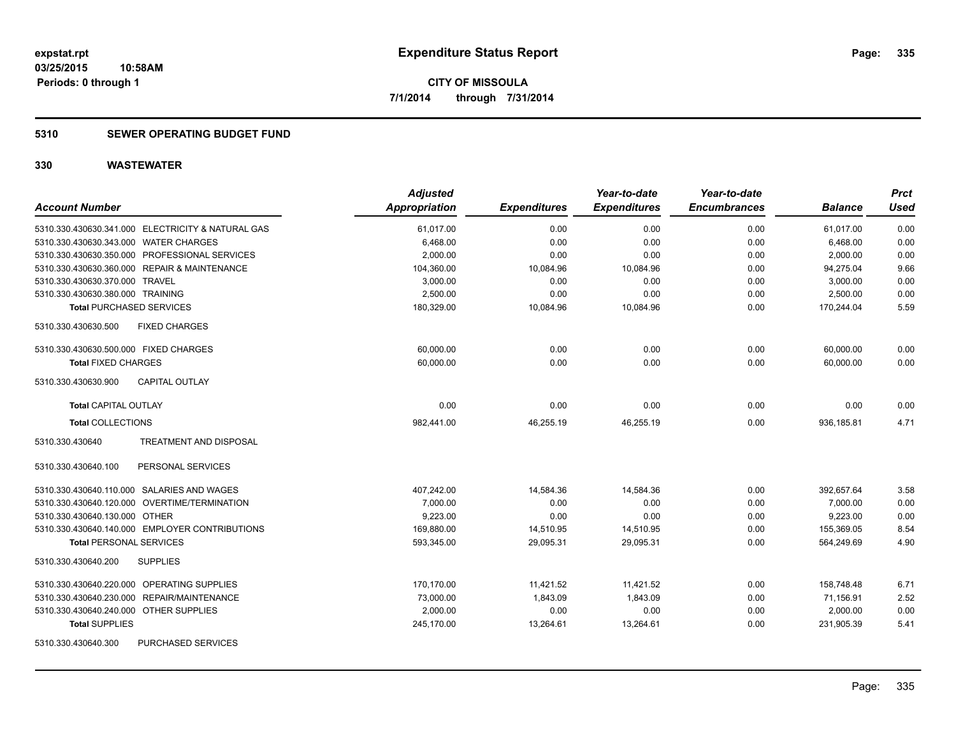### **5310 SEWER OPERATING BUDGET FUND**

| <b>Account Number</b>                                | <b>Adjusted</b><br>Appropriation | <b>Expenditures</b> | Year-to-date<br><b>Expenditures</b> | Year-to-date<br><b>Encumbrances</b> | <b>Balance</b> | <b>Prct</b><br><b>Used</b> |
|------------------------------------------------------|----------------------------------|---------------------|-------------------------------------|-------------------------------------|----------------|----------------------------|
| 5310.330.430630.341.000 ELECTRICITY & NATURAL GAS    | 61,017.00                        | 0.00                | 0.00                                | 0.00                                | 61,017.00      | 0.00                       |
| 5310.330.430630.343.000 WATER CHARGES                | 6,468.00                         | 0.00                | 0.00                                | 0.00                                | 6,468.00       | 0.00                       |
| 5310.330.430630.350.000 PROFESSIONAL SERVICES        | 2,000.00                         | 0.00                | 0.00                                | 0.00                                | 2,000.00       | 0.00                       |
| 5310.330.430630.360.000 REPAIR & MAINTENANCE         | 104,360.00                       | 10,084.96           | 10,084.96                           | 0.00                                | 94,275.04      | 9.66                       |
| 5310.330.430630.370.000 TRAVEL                       | 3,000.00                         | 0.00                | 0.00                                | 0.00                                | 3,000.00       | 0.00                       |
| 5310.330.430630.380.000 TRAINING                     | 2,500.00                         | 0.00                | 0.00                                | 0.00                                | 2,500.00       | 0.00                       |
| <b>Total PURCHASED SERVICES</b>                      | 180,329.00                       | 10,084.96           | 10,084.96                           | 0.00                                | 170,244.04     | 5.59                       |
| 5310.330.430630.500<br><b>FIXED CHARGES</b>          |                                  |                     |                                     |                                     |                |                            |
| 5310.330.430630.500.000 FIXED CHARGES                | 60,000.00                        | 0.00                | 0.00                                | 0.00                                | 60,000.00      | 0.00                       |
| <b>Total FIXED CHARGES</b>                           | 60,000.00                        | 0.00                | 0.00                                | 0.00                                | 60,000.00      | 0.00                       |
| 5310.330.430630.900<br><b>CAPITAL OUTLAY</b>         |                                  |                     |                                     |                                     |                |                            |
| <b>Total CAPITAL OUTLAY</b>                          | 0.00                             | 0.00                | 0.00                                | 0.00                                | 0.00           | 0.00                       |
| <b>Total COLLECTIONS</b>                             | 982,441.00                       | 46,255.19           | 46,255.19                           | 0.00                                | 936,185.81     | 4.71                       |
| 5310.330.430640<br><b>TREATMENT AND DISPOSAL</b>     |                                  |                     |                                     |                                     |                |                            |
| 5310.330.430640.100<br>PERSONAL SERVICES             |                                  |                     |                                     |                                     |                |                            |
| 5310.330.430640.110.000 SALARIES AND WAGES           | 407,242.00                       | 14,584.36           | 14,584.36                           | 0.00                                | 392,657.64     | 3.58                       |
| 5310.330.430640.120.000 OVERTIME/TERMINATION         | 7,000.00                         | 0.00                | 0.00                                | 0.00                                | 7.000.00       | 0.00                       |
| 5310.330.430640.130.000 OTHER                        | 9,223.00                         | 0.00                | 0.00                                | 0.00                                | 9,223.00       | 0.00                       |
| 5310.330.430640.140.000 EMPLOYER CONTRIBUTIONS       | 169,880.00                       | 14,510.95           | 14,510.95                           | 0.00                                | 155,369.05     | 8.54                       |
| <b>Total PERSONAL SERVICES</b>                       | 593,345.00                       | 29,095.31           | 29,095.31                           | 0.00                                | 564,249.69     | 4.90                       |
| <b>SUPPLIES</b><br>5310.330.430640.200               |                                  |                     |                                     |                                     |                |                            |
| OPERATING SUPPLIES<br>5310.330.430640.220.000        | 170.170.00                       | 11,421.52           | 11,421.52                           | 0.00                                | 158.748.48     | 6.71                       |
| <b>REPAIR/MAINTENANCE</b><br>5310.330.430640.230.000 | 73,000.00                        | 1,843.09            | 1.843.09                            | 0.00                                | 71,156.91      | 2.52                       |
| 5310.330.430640.240.000 OTHER SUPPLIES               | 2,000.00                         | 0.00                | 0.00                                | 0.00                                | 2,000.00       | 0.00                       |
| <b>Total SUPPLIES</b>                                | 245,170.00                       | 13,264.61           | 13,264.61                           | 0.00                                | 231,905.39     | 5.41                       |
| <b>PURCHASED SERVICES</b><br>5310.330.430640.300     |                                  |                     |                                     |                                     |                |                            |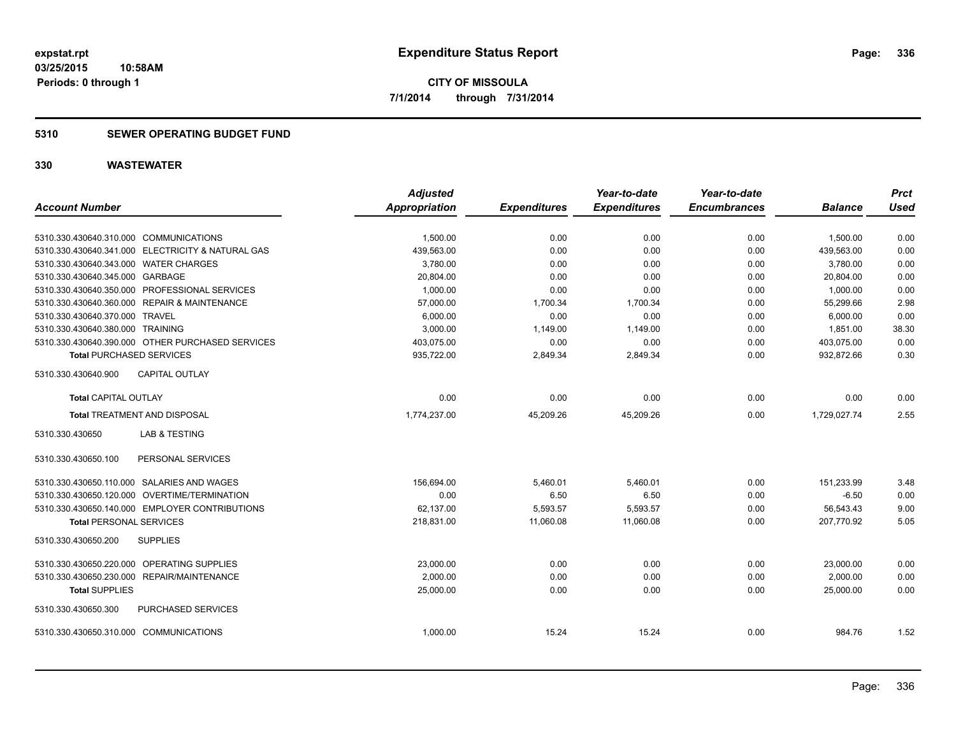### **5310 SEWER OPERATING BUDGET FUND**

|                                                                          | <b>Adjusted</b>      |                     | Year-to-date        | Year-to-date        |                      | <b>Prct</b>   |
|--------------------------------------------------------------------------|----------------------|---------------------|---------------------|---------------------|----------------------|---------------|
| <b>Account Number</b>                                                    | <b>Appropriation</b> | <b>Expenditures</b> | <b>Expenditures</b> | <b>Encumbrances</b> | <b>Balance</b>       | <b>Used</b>   |
|                                                                          |                      |                     |                     |                     |                      |               |
| 5310.330.430640.310.000 COMMUNICATIONS                                   | 1,500.00             | 0.00                | 0.00                | 0.00                | 1,500.00             | 0.00          |
| 5310.330.430640.341.000 ELECTRICITY & NATURAL GAS                        | 439,563.00           | 0.00                | 0.00                | 0.00                | 439,563.00           | 0.00          |
| 5310.330.430640.343.000 WATER CHARGES<br>5310.330.430640.345.000 GARBAGE | 3,780.00             | 0.00                | 0.00<br>0.00        | 0.00                | 3,780.00             | 0.00          |
|                                                                          | 20,804.00            | 0.00                |                     | 0.00                | 20,804.00            | 0.00          |
| 5310.330.430640.350.000 PROFESSIONAL SERVICES                            | 1,000.00             | 0.00                | 0.00                | 0.00                | 1,000.00             | 0.00          |
| 5310.330.430640.360.000 REPAIR & MAINTENANCE                             | 57,000.00            | 1,700.34            | 1,700.34            | 0.00                | 55,299.66            | 2.98          |
| 5310.330.430640.370.000 TRAVEL<br>5310.330.430640.380.000 TRAINING       | 6,000.00<br>3,000.00 | 0.00<br>1,149.00    | 0.00<br>1,149.00    | 0.00<br>0.00        | 6,000.00<br>1,851.00 | 0.00<br>38.30 |
| 5310.330.430640.390.000 OTHER PURCHASED SERVICES                         | 403,075.00           | 0.00                | 0.00                | 0.00                | 403,075.00           | 0.00          |
|                                                                          |                      |                     |                     |                     | 932,872.66           | 0.30          |
| <b>Total PURCHASED SERVICES</b>                                          | 935,722.00           | 2,849.34            | 2,849.34            | 0.00                |                      |               |
| <b>CAPITAL OUTLAY</b><br>5310.330.430640.900                             |                      |                     |                     |                     |                      |               |
| <b>Total CAPITAL OUTLAY</b>                                              | 0.00                 | 0.00                | 0.00                | 0.00                | 0.00                 | 0.00          |
| <b>Total TREATMENT AND DISPOSAL</b>                                      | 1,774,237.00         | 45,209.26           | 45.209.26           | 0.00                | 1.729.027.74         | 2.55          |
| 5310.330.430650<br><b>LAB &amp; TESTING</b>                              |                      |                     |                     |                     |                      |               |
| PERSONAL SERVICES<br>5310.330.430650.100                                 |                      |                     |                     |                     |                      |               |
| 5310.330.430650.110.000 SALARIES AND WAGES                               | 156,694.00           | 5,460.01            | 5,460.01            | 0.00                | 151,233.99           | 3.48          |
| 5310.330.430650.120.000 OVERTIME/TERMINATION                             | 0.00                 | 6.50                | 6.50                | 0.00                | $-6.50$              | 0.00          |
| 5310.330.430650.140.000 EMPLOYER CONTRIBUTIONS                           | 62,137.00            | 5,593.57            | 5,593.57            | 0.00                | 56,543.43            | 9.00          |
| <b>Total PERSONAL SERVICES</b>                                           | 218,831.00           | 11,060.08           | 11,060.08           | 0.00                | 207,770.92           | 5.05          |
| 5310.330.430650.200<br><b>SUPPLIES</b>                                   |                      |                     |                     |                     |                      |               |
| 5310.330.430650.220.000 OPERATING SUPPLIES                               | 23,000.00            | 0.00                | 0.00                | 0.00                | 23,000.00            | 0.00          |
| 5310.330.430650.230.000 REPAIR/MAINTENANCE                               | 2,000.00             | 0.00                | 0.00                | 0.00                | 2,000.00             | 0.00          |
| <b>Total SUPPLIES</b>                                                    | 25,000.00            | 0.00                | 0.00                | 0.00                | 25,000.00            | 0.00          |
| PURCHASED SERVICES<br>5310.330.430650.300                                |                      |                     |                     |                     |                      |               |
| 5310.330.430650.310.000 COMMUNICATIONS                                   | 1,000.00             | 15.24               | 15.24               | 0.00                | 984.76               | 1.52          |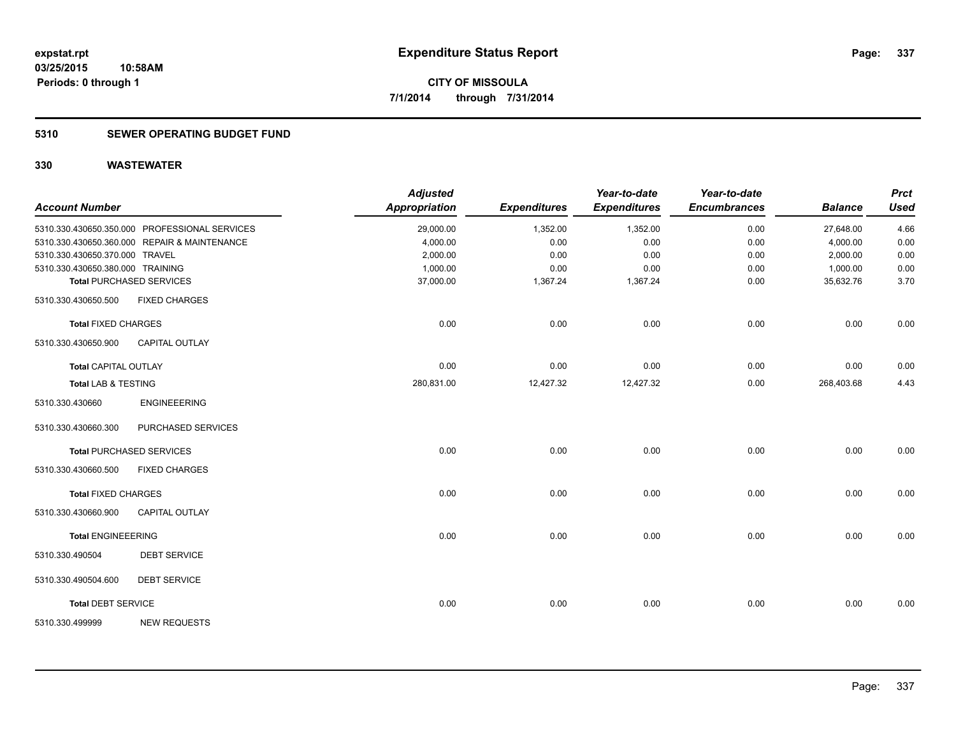### **5310 SEWER OPERATING BUDGET FUND**

| <b>Account Number</b>            |                                               | <b>Adjusted</b><br><b>Appropriation</b> | <b>Expenditures</b> | Year-to-date<br><b>Expenditures</b> | Year-to-date<br><b>Encumbrances</b> | <b>Balance</b> | <b>Prct</b><br><b>Used</b> |
|----------------------------------|-----------------------------------------------|-----------------------------------------|---------------------|-------------------------------------|-------------------------------------|----------------|----------------------------|
|                                  | 5310.330.430650.350.000 PROFESSIONAL SERVICES | 29,000.00                               | 1,352.00            | 1,352.00                            | 0.00                                | 27,648.00      | 4.66                       |
|                                  | 5310.330.430650.360.000 REPAIR & MAINTENANCE  | 4,000.00                                | 0.00                | 0.00                                | 0.00                                | 4,000.00       | 0.00                       |
| 5310.330.430650.370.000 TRAVEL   |                                               | 2,000.00                                | 0.00                | 0.00                                | 0.00                                | 2,000.00       | 0.00                       |
| 5310.330.430650.380.000 TRAINING |                                               | 1,000.00                                | 0.00                | 0.00                                | 0.00                                | 1,000.00       | 0.00                       |
|                                  | <b>Total PURCHASED SERVICES</b>               | 37,000.00                               | 1,367.24            | 1,367.24                            | 0.00                                | 35,632.76      | 3.70                       |
| 5310.330.430650.500              | <b>FIXED CHARGES</b>                          |                                         |                     |                                     |                                     |                |                            |
| <b>Total FIXED CHARGES</b>       |                                               | 0.00                                    | 0.00                | 0.00                                | 0.00                                | 0.00           | 0.00                       |
| 5310.330.430650.900              | CAPITAL OUTLAY                                |                                         |                     |                                     |                                     |                |                            |
| Total CAPITAL OUTLAY             |                                               | 0.00                                    | 0.00                | 0.00                                | 0.00                                | 0.00           | 0.00                       |
| <b>Total LAB &amp; TESTING</b>   |                                               | 280,831.00                              | 12,427.32           | 12,427.32                           | 0.00                                | 268,403.68     | 4.43                       |
| 5310.330.430660                  | <b>ENGINEEERING</b>                           |                                         |                     |                                     |                                     |                |                            |
| 5310.330.430660.300              | PURCHASED SERVICES                            |                                         |                     |                                     |                                     |                |                            |
|                                  | <b>Total PURCHASED SERVICES</b>               | 0.00                                    | 0.00                | 0.00                                | 0.00                                | 0.00           | 0.00                       |
| 5310.330.430660.500              | <b>FIXED CHARGES</b>                          |                                         |                     |                                     |                                     |                |                            |
| <b>Total FIXED CHARGES</b>       |                                               | 0.00                                    | 0.00                | 0.00                                | 0.00                                | 0.00           | 0.00                       |
| 5310.330.430660.900              | <b>CAPITAL OUTLAY</b>                         |                                         |                     |                                     |                                     |                |                            |
| <b>Total ENGINEEERING</b>        |                                               | 0.00                                    | 0.00                | 0.00                                | 0.00                                | 0.00           | 0.00                       |
| 5310.330.490504                  | <b>DEBT SERVICE</b>                           |                                         |                     |                                     |                                     |                |                            |
| 5310.330.490504.600              | <b>DEBT SERVICE</b>                           |                                         |                     |                                     |                                     |                |                            |
| <b>Total DEBT SERVICE</b>        |                                               | 0.00                                    | 0.00                | 0.00                                | 0.00                                | 0.00           | 0.00                       |
| 5310.330.499999                  | <b>NEW REQUESTS</b>                           |                                         |                     |                                     |                                     |                |                            |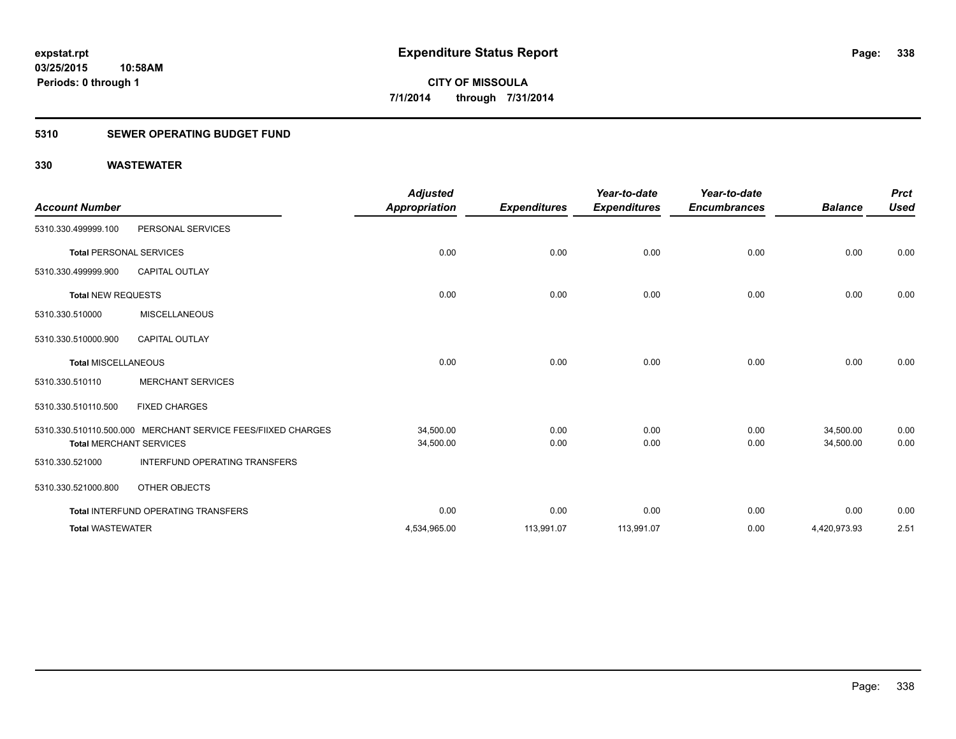### **5310 SEWER OPERATING BUDGET FUND**

| <b>Account Number</b>          |                                                              | <b>Adjusted</b><br><b>Appropriation</b> | <b>Expenditures</b> | Year-to-date<br><b>Expenditures</b> | Year-to-date<br><b>Encumbrances</b> | <b>Balance</b> | <b>Prct</b><br><b>Used</b> |
|--------------------------------|--------------------------------------------------------------|-----------------------------------------|---------------------|-------------------------------------|-------------------------------------|----------------|----------------------------|
| 5310.330.499999.100            | PERSONAL SERVICES                                            |                                         |                     |                                     |                                     |                |                            |
| <b>Total PERSONAL SERVICES</b> |                                                              | 0.00                                    | 0.00                | 0.00                                | 0.00                                | 0.00           | 0.00                       |
| 5310.330.499999.900            | <b>CAPITAL OUTLAY</b>                                        |                                         |                     |                                     |                                     |                |                            |
| <b>Total NEW REQUESTS</b>      |                                                              | 0.00                                    | 0.00                | 0.00                                | 0.00                                | 0.00           | 0.00                       |
| 5310.330.510000                | <b>MISCELLANEOUS</b>                                         |                                         |                     |                                     |                                     |                |                            |
| 5310.330.510000.900            | <b>CAPITAL OUTLAY</b>                                        |                                         |                     |                                     |                                     |                |                            |
| <b>Total MISCELLANEOUS</b>     |                                                              | 0.00                                    | 0.00                | 0.00                                | 0.00                                | 0.00           | 0.00                       |
| 5310.330.510110                | <b>MERCHANT SERVICES</b>                                     |                                         |                     |                                     |                                     |                |                            |
| 5310.330.510110.500            | <b>FIXED CHARGES</b>                                         |                                         |                     |                                     |                                     |                |                            |
|                                | 5310.330.510110.500.000 MERCHANT SERVICE FEES/FIIXED CHARGES | 34,500.00                               | 0.00                | 0.00                                | 0.00                                | 34,500.00      | 0.00                       |
|                                | <b>Total MERCHANT SERVICES</b>                               | 34,500.00                               | 0.00                | 0.00                                | 0.00                                | 34,500.00      | 0.00                       |
| 5310.330.521000                | <b>INTERFUND OPERATING TRANSFERS</b>                         |                                         |                     |                                     |                                     |                |                            |
| 5310.330.521000.800            | OTHER OBJECTS                                                |                                         |                     |                                     |                                     |                |                            |
|                                | Total INTERFUND OPERATING TRANSFERS                          | 0.00                                    | 0.00                | 0.00                                | 0.00                                | 0.00           | 0.00                       |
| <b>Total WASTEWATER</b>        |                                                              | 4,534,965.00                            | 113,991.07          | 113,991.07                          | 0.00                                | 4,420,973.93   | 2.51                       |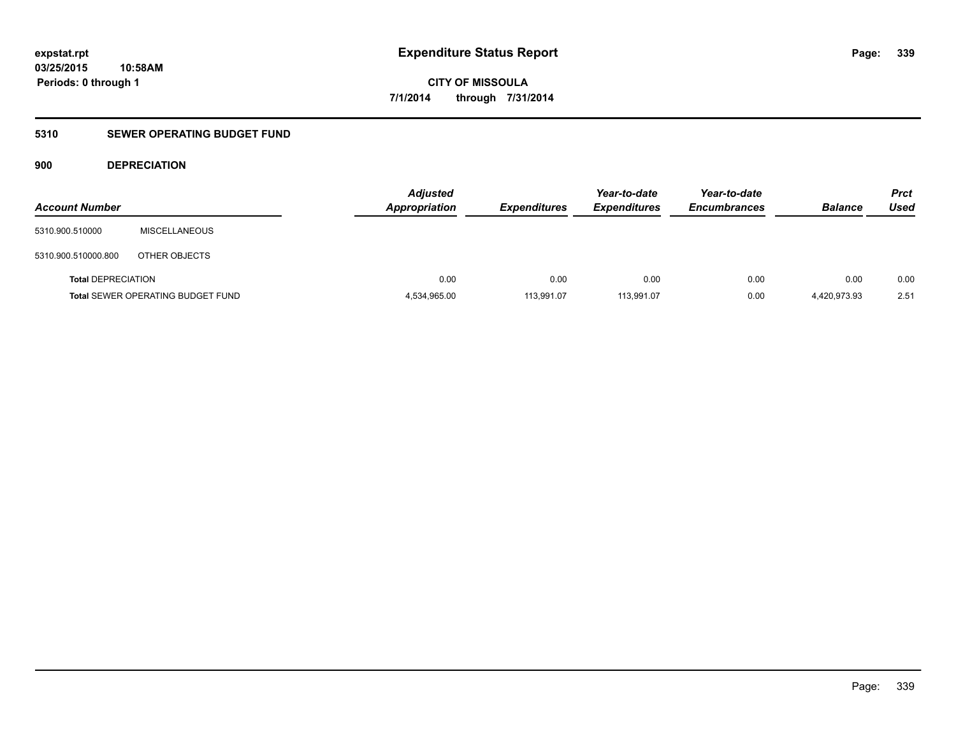### **5310 SEWER OPERATING BUDGET FUND**

### **900 DEPRECIATION**

| <b>Account Number</b>     |                                          | <b>Adjusted</b><br><b>Appropriation</b> | <b>Expenditures</b> | Year-to-date<br><b>Expenditures</b> | Year-to-date<br><b>Encumbrances</b> | <b>Balance</b> | <b>Prct</b><br>Used |
|---------------------------|------------------------------------------|-----------------------------------------|---------------------|-------------------------------------|-------------------------------------|----------------|---------------------|
| 5310.900.510000           | <b>MISCELLANEOUS</b>                     |                                         |                     |                                     |                                     |                |                     |
| 5310.900.510000.800       | OTHER OBJECTS                            |                                         |                     |                                     |                                     |                |                     |
| <b>Total DEPRECIATION</b> |                                          | 0.00                                    | 0.00                | 0.00                                | 0.00                                | 0.00           | 0.00                |
|                           | <b>Total SEWER OPERATING BUDGET FUND</b> | 4,534,965.00                            | 113,991.07          | 113,991.07                          | 0.00                                | 4.420.973.93   | 2.51                |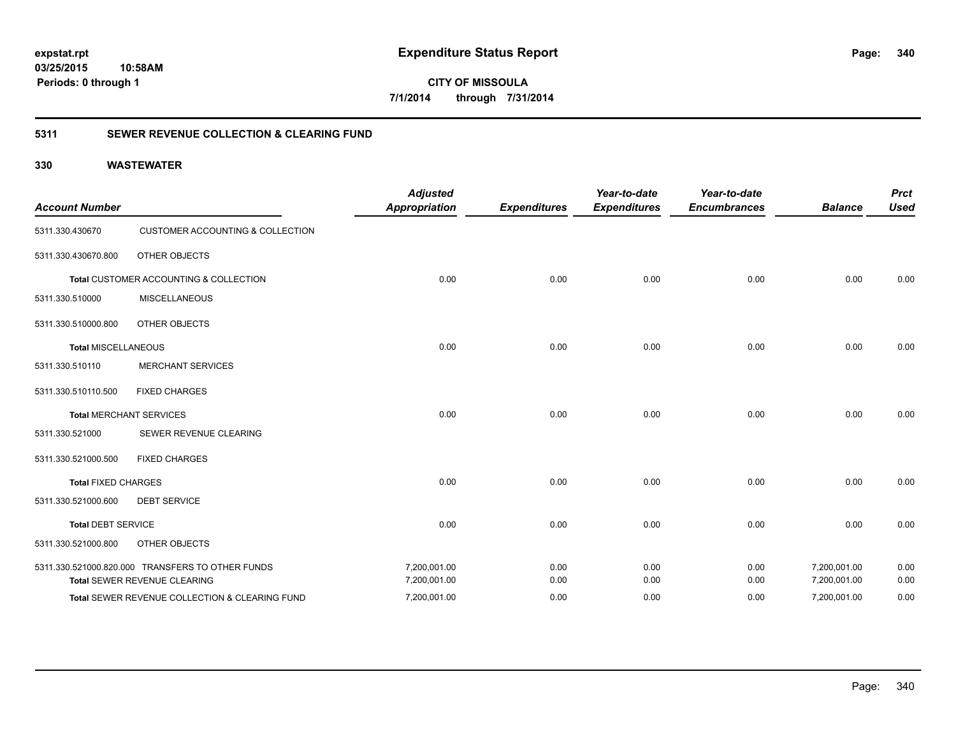**340**

**CITY OF MISSOULA 7/1/2014 through 7/31/2014**

### **5311 SEWER REVENUE COLLECTION & CLEARING FUND**

| <b>Account Number</b>      |                                                  | <b>Adjusted</b><br><b>Appropriation</b> | <b>Expenditures</b> | Year-to-date<br><b>Expenditures</b> | Year-to-date<br><b>Encumbrances</b> | <b>Balance</b> | <b>Prct</b><br><b>Used</b> |
|----------------------------|--------------------------------------------------|-----------------------------------------|---------------------|-------------------------------------|-------------------------------------|----------------|----------------------------|
| 5311.330.430670            | <b>CUSTOMER ACCOUNTING &amp; COLLECTION</b>      |                                         |                     |                                     |                                     |                |                            |
| 5311.330.430670.800        | <b>OTHER OBJECTS</b>                             |                                         |                     |                                     |                                     |                |                            |
|                            | Total CUSTOMER ACCOUNTING & COLLECTION           | 0.00                                    | 0.00                | 0.00                                | 0.00                                | 0.00           | 0.00                       |
| 5311.330.510000            | <b>MISCELLANEOUS</b>                             |                                         |                     |                                     |                                     |                |                            |
| 5311.330.510000.800        | <b>OTHER OBJECTS</b>                             |                                         |                     |                                     |                                     |                |                            |
| <b>Total MISCELLANEOUS</b> |                                                  | 0.00                                    | 0.00                | 0.00                                | 0.00                                | 0.00           | 0.00                       |
| 5311.330.510110            | <b>MERCHANT SERVICES</b>                         |                                         |                     |                                     |                                     |                |                            |
| 5311.330.510110.500        | <b>FIXED CHARGES</b>                             |                                         |                     |                                     |                                     |                |                            |
|                            | <b>Total MERCHANT SERVICES</b>                   | 0.00                                    | 0.00                | 0.00                                | 0.00                                | 0.00           | 0.00                       |
| 5311.330.521000            | SEWER REVENUE CLEARING                           |                                         |                     |                                     |                                     |                |                            |
| 5311.330.521000.500        | <b>FIXED CHARGES</b>                             |                                         |                     |                                     |                                     |                |                            |
| <b>Total FIXED CHARGES</b> |                                                  | 0.00                                    | 0.00                | 0.00                                | 0.00                                | 0.00           | 0.00                       |
| 5311.330.521000.600        | <b>DEBT SERVICE</b>                              |                                         |                     |                                     |                                     |                |                            |
| <b>Total DEBT SERVICE</b>  |                                                  | 0.00                                    | 0.00                | 0.00                                | 0.00                                | 0.00           | 0.00                       |
| 5311.330.521000.800        | <b>OTHER OBJECTS</b>                             |                                         |                     |                                     |                                     |                |                            |
|                            | 5311.330.521000.820.000 TRANSFERS TO OTHER FUNDS | 7,200,001.00                            | 0.00                | 0.00                                | 0.00                                | 7,200,001.00   | 0.00                       |
|                            | Total SEWER REVENUE CLEARING                     | 7,200,001.00                            | 0.00                | 0.00                                | 0.00                                | 7,200,001.00   | 0.00                       |
|                            | Total SEWER REVENUE COLLECTION & CLEARING FUND   | 7,200,001.00                            | 0.00                | 0.00                                | 0.00                                | 7,200,001.00   | 0.00                       |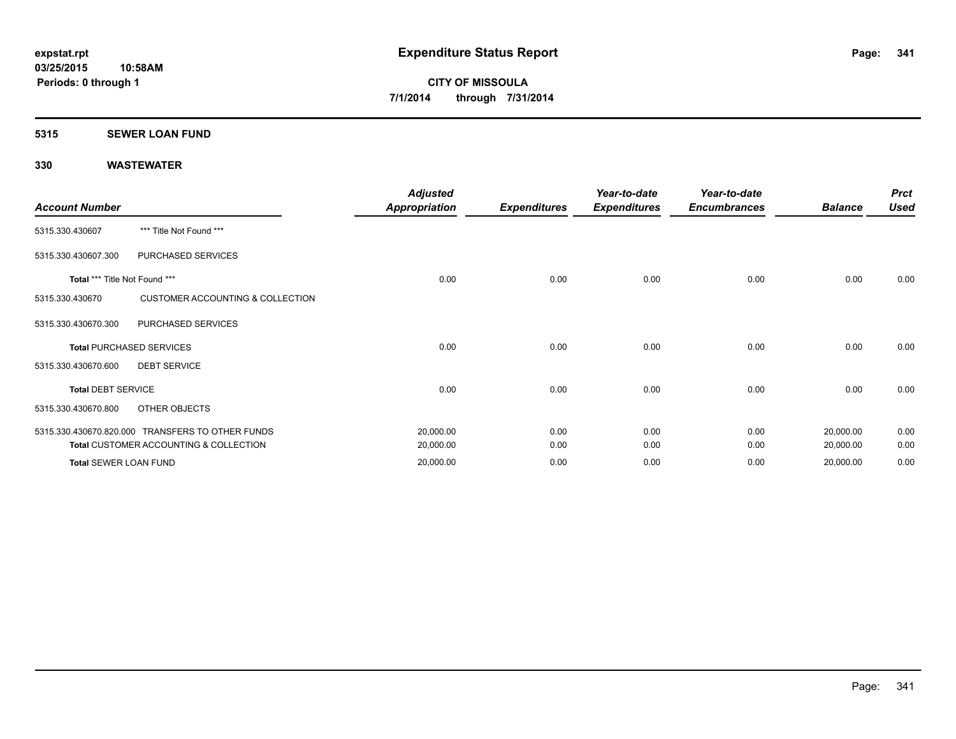### **5315 SEWER LOAN FUND**

| <b>Account Number</b>         |                                                  | <b>Adjusted</b><br><b>Appropriation</b> | <b>Expenditures</b> | Year-to-date<br><b>Expenditures</b> | Year-to-date<br><b>Encumbrances</b> | <b>Balance</b> | <b>Prct</b><br><b>Used</b> |
|-------------------------------|--------------------------------------------------|-----------------------------------------|---------------------|-------------------------------------|-------------------------------------|----------------|----------------------------|
| 5315.330.430607               | *** Title Not Found ***                          |                                         |                     |                                     |                                     |                |                            |
| 5315.330.430607.300           | PURCHASED SERVICES                               |                                         |                     |                                     |                                     |                |                            |
| Total *** Title Not Found *** |                                                  | 0.00                                    | 0.00                | 0.00                                | 0.00                                | 0.00           | 0.00                       |
| 5315.330.430670               | <b>CUSTOMER ACCOUNTING &amp; COLLECTION</b>      |                                         |                     |                                     |                                     |                |                            |
| 5315.330.430670.300           | PURCHASED SERVICES                               |                                         |                     |                                     |                                     |                |                            |
|                               | <b>Total PURCHASED SERVICES</b>                  | 0.00                                    | 0.00                | 0.00                                | 0.00                                | 0.00           | 0.00                       |
| 5315.330.430670.600           | <b>DEBT SERVICE</b>                              |                                         |                     |                                     |                                     |                |                            |
| <b>Total DEBT SERVICE</b>     |                                                  | 0.00                                    | 0.00                | 0.00                                | 0.00                                | 0.00           | 0.00                       |
| 5315.330.430670.800           | OTHER OBJECTS                                    |                                         |                     |                                     |                                     |                |                            |
|                               | 5315.330.430670.820.000 TRANSFERS TO OTHER FUNDS | 20,000.00                               | 0.00                | 0.00                                | 0.00                                | 20,000.00      | 0.00                       |
|                               | Total CUSTOMER ACCOUNTING & COLLECTION           | 20,000.00                               | 0.00                | 0.00                                | 0.00                                | 20,000.00      | 0.00                       |
| <b>Total SEWER LOAN FUND</b>  |                                                  | 20,000.00                               | 0.00                | 0.00                                | 0.00                                | 20,000.00      | 0.00                       |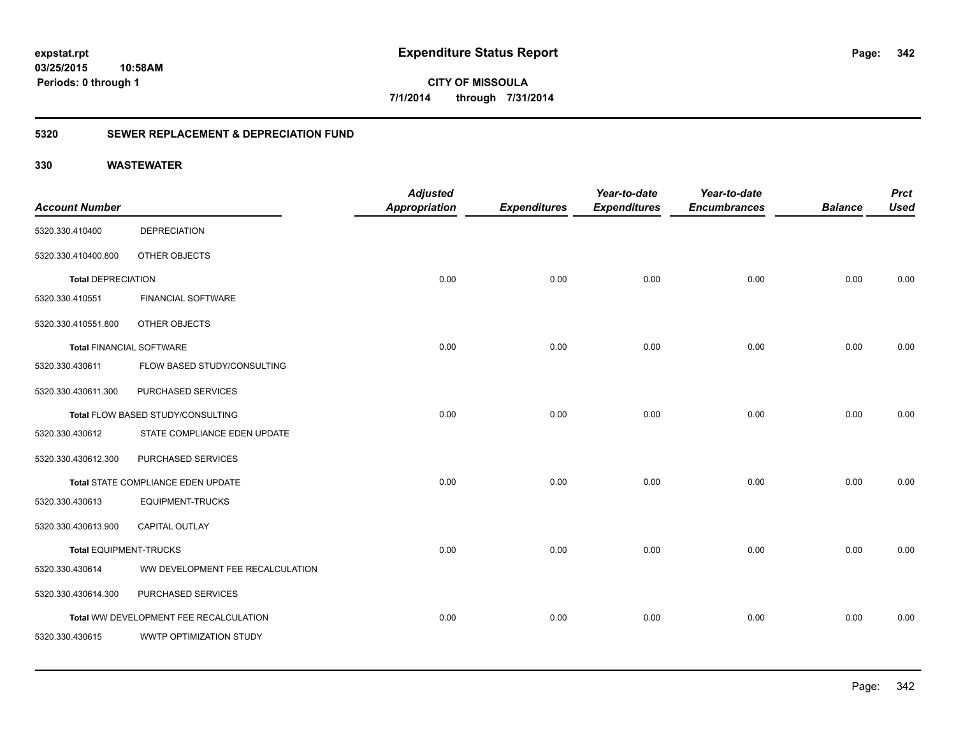**342**

**CITY OF MISSOULA 7/1/2014 through 7/31/2014**

### **5320 SEWER REPLACEMENT & DEPRECIATION FUND**

| <b>Account Number</b>           |                                        | <b>Adjusted</b><br><b>Appropriation</b> | <b>Expenditures</b> | Year-to-date<br><b>Expenditures</b> | Year-to-date<br><b>Encumbrances</b> | <b>Balance</b> | <b>Prct</b><br><b>Used</b> |
|---------------------------------|----------------------------------------|-----------------------------------------|---------------------|-------------------------------------|-------------------------------------|----------------|----------------------------|
| 5320.330.410400                 | <b>DEPRECIATION</b>                    |                                         |                     |                                     |                                     |                |                            |
| 5320.330.410400.800             | OTHER OBJECTS                          |                                         |                     |                                     |                                     |                |                            |
| <b>Total DEPRECIATION</b>       |                                        | 0.00                                    | 0.00                | 0.00                                | 0.00                                | 0.00           | 0.00                       |
| 5320.330.410551                 | <b>FINANCIAL SOFTWARE</b>              |                                         |                     |                                     |                                     |                |                            |
| 5320.330.410551.800             | OTHER OBJECTS                          |                                         |                     |                                     |                                     |                |                            |
| <b>Total FINANCIAL SOFTWARE</b> |                                        | 0.00                                    | 0.00                | 0.00                                | 0.00                                | 0.00           | 0.00                       |
| 5320.330.430611                 | FLOW BASED STUDY/CONSULTING            |                                         |                     |                                     |                                     |                |                            |
| 5320.330.430611.300             | PURCHASED SERVICES                     |                                         |                     |                                     |                                     |                |                            |
|                                 | Total FLOW BASED STUDY/CONSULTING      | 0.00                                    | 0.00                | 0.00                                | 0.00                                | 0.00           | 0.00                       |
| 5320.330.430612                 | STATE COMPLIANCE EDEN UPDATE           |                                         |                     |                                     |                                     |                |                            |
| 5320.330.430612.300             | PURCHASED SERVICES                     |                                         |                     |                                     |                                     |                |                            |
|                                 | Total STATE COMPLIANCE EDEN UPDATE     | 0.00                                    | 0.00                | 0.00                                | 0.00                                | 0.00           | 0.00                       |
| 5320.330.430613                 | <b>EQUIPMENT-TRUCKS</b>                |                                         |                     |                                     |                                     |                |                            |
| 5320.330.430613.900             | CAPITAL OUTLAY                         |                                         |                     |                                     |                                     |                |                            |
| <b>Total EQUIPMENT-TRUCKS</b>   |                                        | 0.00                                    | 0.00                | 0.00                                | 0.00                                | 0.00           | 0.00                       |
| 5320.330.430614                 | WW DEVELOPMENT FEE RECALCULATION       |                                         |                     |                                     |                                     |                |                            |
| 5320.330.430614.300             | PURCHASED SERVICES                     |                                         |                     |                                     |                                     |                |                            |
|                                 | Total WW DEVELOPMENT FEE RECALCULATION | 0.00                                    | 0.00                | 0.00                                | 0.00                                | 0.00           | 0.00                       |
| 5320.330.430615                 | WWTP OPTIMIZATION STUDY                |                                         |                     |                                     |                                     |                |                            |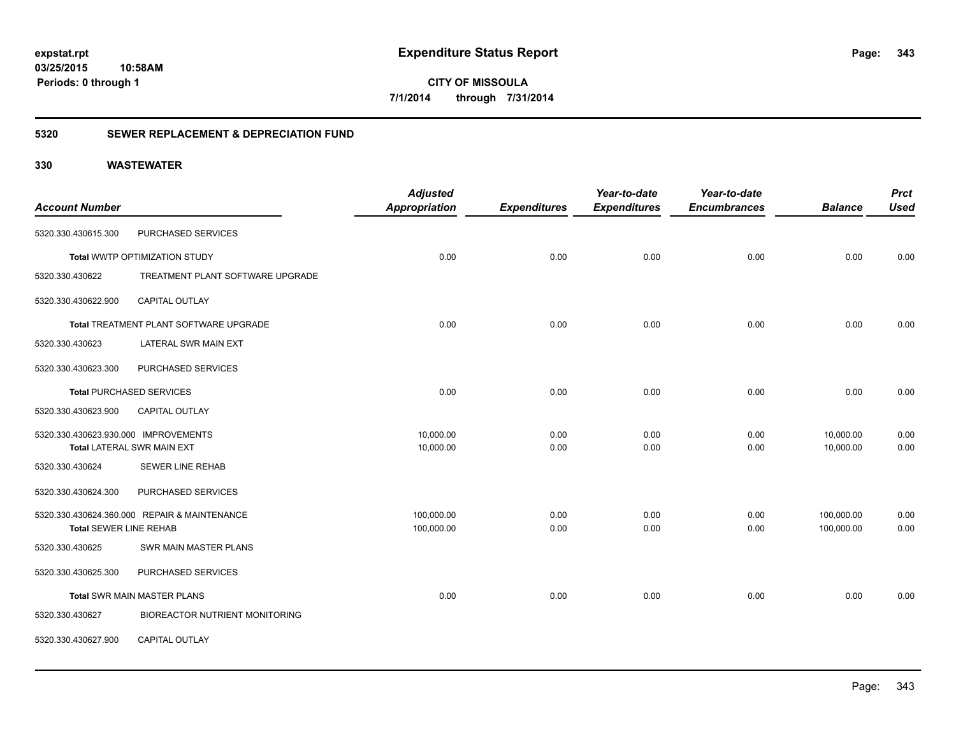**CITY OF MISSOULA 7/1/2014 through 7/31/2014**

### **5320 SEWER REPLACEMENT & DEPRECIATION FUND**

| <b>Account Number</b>                |                                              | <b>Adjusted</b><br><b>Appropriation</b> | <b>Expenditures</b> | Year-to-date<br><b>Expenditures</b> | Year-to-date<br><b>Encumbrances</b> | <b>Balance</b>           | <b>Prct</b><br><b>Used</b> |
|--------------------------------------|----------------------------------------------|-----------------------------------------|---------------------|-------------------------------------|-------------------------------------|--------------------------|----------------------------|
| 5320.330.430615.300                  | PURCHASED SERVICES                           |                                         |                     |                                     |                                     |                          |                            |
|                                      | Total WWTP OPTIMIZATION STUDY                | 0.00                                    | 0.00                | 0.00                                | 0.00                                | 0.00                     | 0.00                       |
| 5320.330.430622                      | TREATMENT PLANT SOFTWARE UPGRADE             |                                         |                     |                                     |                                     |                          |                            |
| 5320.330.430622.900                  | <b>CAPITAL OUTLAY</b>                        |                                         |                     |                                     |                                     |                          |                            |
|                                      | Total TREATMENT PLANT SOFTWARE UPGRADE       | 0.00                                    | 0.00                | 0.00                                | 0.00                                | 0.00                     | 0.00                       |
| 5320.330.430623                      | LATERAL SWR MAIN EXT                         |                                         |                     |                                     |                                     |                          |                            |
| 5320.330.430623.300                  | PURCHASED SERVICES                           |                                         |                     |                                     |                                     |                          |                            |
|                                      | <b>Total PURCHASED SERVICES</b>              | 0.00                                    | 0.00                | 0.00                                | 0.00                                | 0.00                     | 0.00                       |
| 5320.330.430623.900                  | <b>CAPITAL OUTLAY</b>                        |                                         |                     |                                     |                                     |                          |                            |
| 5320.330.430623.930.000 IMPROVEMENTS | <b>Total LATERAL SWR MAIN EXT</b>            | 10,000.00<br>10,000.00                  | 0.00<br>0.00        | 0.00<br>0.00                        | 0.00<br>0.00                        | 10,000.00<br>10,000.00   | 0.00<br>0.00               |
| 5320.330.430624                      | <b>SEWER LINE REHAB</b>                      |                                         |                     |                                     |                                     |                          |                            |
| 5320.330.430624.300                  | PURCHASED SERVICES                           |                                         |                     |                                     |                                     |                          |                            |
| Total SEWER LINE REHAB               | 5320.330.430624.360.000 REPAIR & MAINTENANCE | 100,000.00<br>100,000.00                | 0.00<br>0.00        | 0.00<br>0.00                        | 0.00<br>0.00                        | 100,000.00<br>100,000.00 | 0.00<br>0.00               |
| 5320.330.430625                      | SWR MAIN MASTER PLANS                        |                                         |                     |                                     |                                     |                          |                            |
| 5320.330.430625.300                  | PURCHASED SERVICES                           |                                         |                     |                                     |                                     |                          |                            |
|                                      | Total SWR MAIN MASTER PLANS                  | 0.00                                    | 0.00                | 0.00                                | 0.00                                | 0.00                     | 0.00                       |
| 5320.330.430627                      | <b>BIOREACTOR NUTRIENT MONITORING</b>        |                                         |                     |                                     |                                     |                          |                            |
| 5320.330.430627.900                  | <b>CAPITAL OUTLAY</b>                        |                                         |                     |                                     |                                     |                          |                            |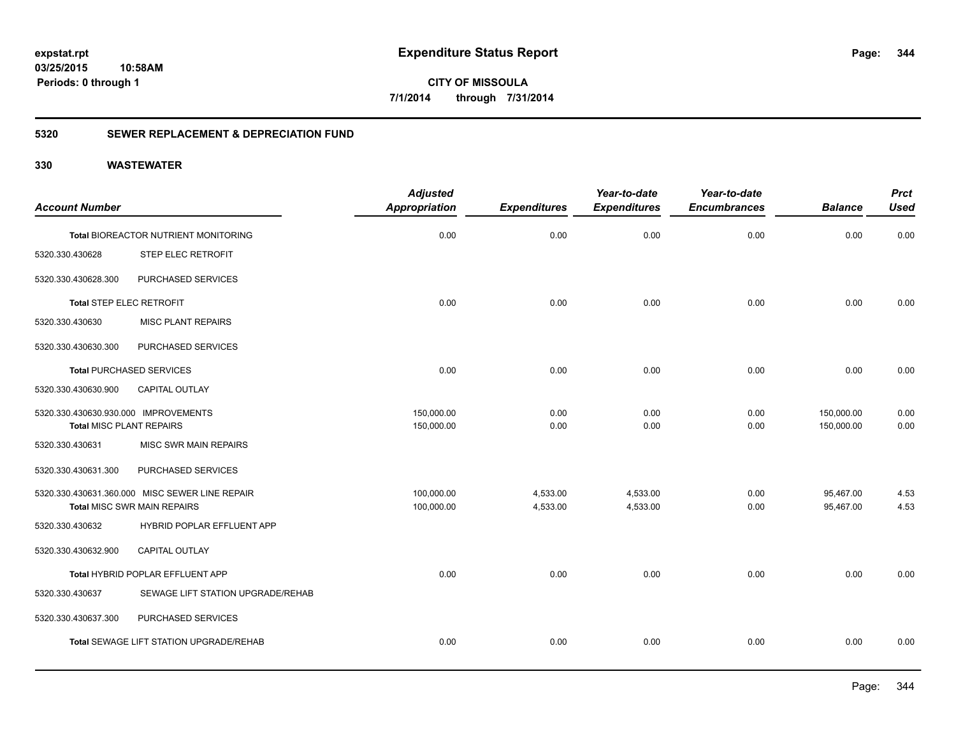**344**

**CITY OF MISSOULA 7/1/2014 through 7/31/2014**

### **5320 SEWER REPLACEMENT & DEPRECIATION FUND**

|                                      |                                                | <b>Adjusted</b>      |                     | Year-to-date        | Year-to-date        |                | <b>Prct</b> |
|--------------------------------------|------------------------------------------------|----------------------|---------------------|---------------------|---------------------|----------------|-------------|
| <b>Account Number</b>                |                                                | <b>Appropriation</b> | <b>Expenditures</b> | <b>Expenditures</b> | <b>Encumbrances</b> | <b>Balance</b> | <b>Used</b> |
|                                      | Total BIOREACTOR NUTRIENT MONITORING           | 0.00                 | 0.00                | 0.00                | 0.00                | 0.00           | 0.00        |
| 5320.330.430628                      | STEP ELEC RETROFIT                             |                      |                     |                     |                     |                |             |
| 5320.330.430628.300                  | PURCHASED SERVICES                             |                      |                     |                     |                     |                |             |
| <b>Total STEP ELEC RETROFIT</b>      |                                                | 0.00                 | 0.00                | 0.00                | 0.00                | 0.00           | 0.00        |
| 5320.330.430630                      | <b>MISC PLANT REPAIRS</b>                      |                      |                     |                     |                     |                |             |
| 5320.330.430630.300                  | PURCHASED SERVICES                             |                      |                     |                     |                     |                |             |
|                                      | <b>Total PURCHASED SERVICES</b>                | 0.00                 | 0.00                | 0.00                | 0.00                | 0.00           | 0.00        |
| 5320.330.430630.900                  | CAPITAL OUTLAY                                 |                      |                     |                     |                     |                |             |
| 5320.330.430630.930.000 IMPROVEMENTS |                                                | 150,000.00           | 0.00                | 0.00                | 0.00                | 150,000.00     | 0.00        |
| <b>Total MISC PLANT REPAIRS</b>      |                                                | 150,000.00           | 0.00                | 0.00                | 0.00                | 150,000.00     | 0.00        |
| 5320.330.430631                      | <b>MISC SWR MAIN REPAIRS</b>                   |                      |                     |                     |                     |                |             |
| 5320.330.430631.300                  | PURCHASED SERVICES                             |                      |                     |                     |                     |                |             |
|                                      | 5320.330.430631.360.000 MISC SEWER LINE REPAIR | 100,000.00           | 4,533.00            | 4,533.00            | 0.00                | 95,467.00      | 4.53        |
|                                      | Total MISC SWR MAIN REPAIRS                    | 100,000.00           | 4,533.00            | 4,533.00            | 0.00                | 95,467.00      | 4.53        |
| 5320.330.430632                      | HYBRID POPLAR EFFLUENT APP                     |                      |                     |                     |                     |                |             |
| 5320.330.430632.900                  | <b>CAPITAL OUTLAY</b>                          |                      |                     |                     |                     |                |             |
|                                      | Total HYBRID POPLAR EFFLUENT APP               | 0.00                 | 0.00                | 0.00                | 0.00                | 0.00           | 0.00        |
| 5320.330.430637                      | SEWAGE LIFT STATION UPGRADE/REHAB              |                      |                     |                     |                     |                |             |
| 5320.330.430637.300                  | PURCHASED SERVICES                             |                      |                     |                     |                     |                |             |
|                                      | Total SEWAGE LIFT STATION UPGRADE/REHAB        | 0.00                 | 0.00                | 0.00                | 0.00                | 0.00           | 0.00        |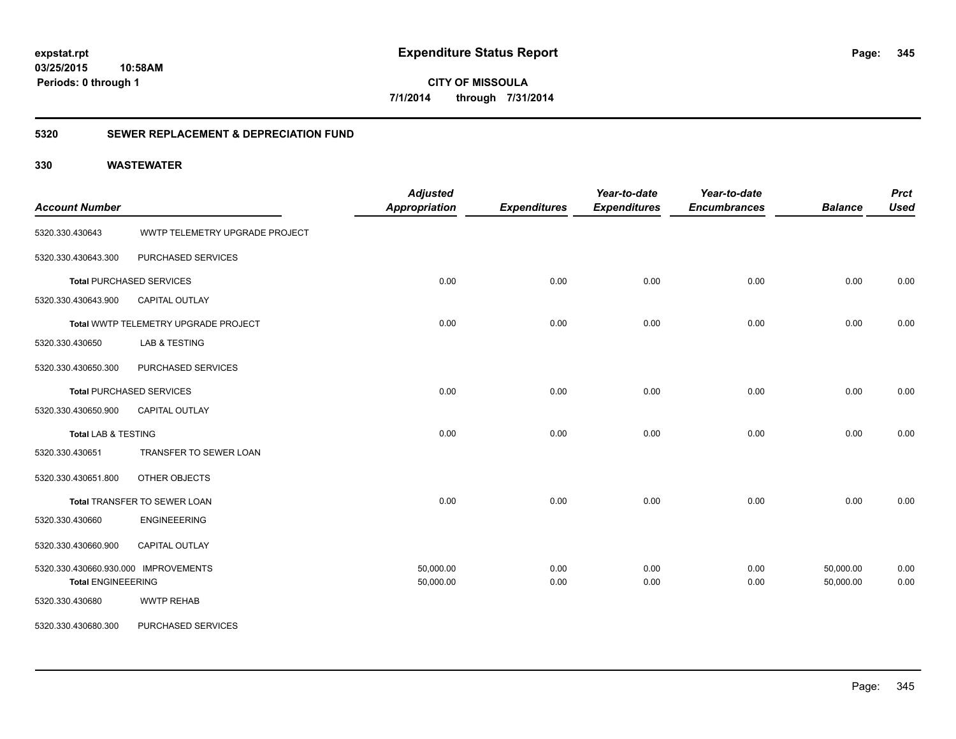**345**

**CITY OF MISSOULA 7/1/2014 through 7/31/2014**

### **5320 SEWER REPLACEMENT & DEPRECIATION FUND**

| <b>Account Number</b>                |                                      | <b>Adjusted</b><br>Appropriation | <b>Expenditures</b> | Year-to-date<br><b>Expenditures</b> | Year-to-date<br><b>Encumbrances</b> | <b>Balance</b> | <b>Prct</b><br><b>Used</b> |
|--------------------------------------|--------------------------------------|----------------------------------|---------------------|-------------------------------------|-------------------------------------|----------------|----------------------------|
| 5320.330.430643                      | WWTP TELEMETRY UPGRADE PROJECT       |                                  |                     |                                     |                                     |                |                            |
| 5320.330.430643.300                  | PURCHASED SERVICES                   |                                  |                     |                                     |                                     |                |                            |
|                                      | <b>Total PURCHASED SERVICES</b>      | 0.00                             | 0.00                | 0.00                                | 0.00                                | 0.00           | 0.00                       |
| 5320.330.430643.900                  | <b>CAPITAL OUTLAY</b>                |                                  |                     |                                     |                                     |                |                            |
|                                      | Total WWTP TELEMETRY UPGRADE PROJECT | 0.00                             | 0.00                | 0.00                                | 0.00                                | 0.00           | 0.00                       |
| 5320.330.430650                      | LAB & TESTING                        |                                  |                     |                                     |                                     |                |                            |
| 5320.330.430650.300                  | PURCHASED SERVICES                   |                                  |                     |                                     |                                     |                |                            |
|                                      | <b>Total PURCHASED SERVICES</b>      | 0.00                             | 0.00                | 0.00                                | 0.00                                | 0.00           | 0.00                       |
| 5320.330.430650.900                  | <b>CAPITAL OUTLAY</b>                |                                  |                     |                                     |                                     |                |                            |
| <b>Total LAB &amp; TESTING</b>       |                                      | 0.00                             | 0.00                | 0.00                                | 0.00                                | 0.00           | 0.00                       |
| 5320.330.430651                      | TRANSFER TO SEWER LOAN               |                                  |                     |                                     |                                     |                |                            |
| 5320.330.430651.800                  | OTHER OBJECTS                        |                                  |                     |                                     |                                     |                |                            |
|                                      | Total TRANSFER TO SEWER LOAN         | 0.00                             | 0.00                | 0.00                                | 0.00                                | 0.00           | 0.00                       |
| 5320.330.430660                      | <b>ENGINEEERING</b>                  |                                  |                     |                                     |                                     |                |                            |
| 5320.330.430660.900                  | CAPITAL OUTLAY                       |                                  |                     |                                     |                                     |                |                            |
| 5320.330.430660.930.000 IMPROVEMENTS |                                      | 50,000.00                        | 0.00                | 0.00                                | 0.00                                | 50,000.00      | 0.00                       |
| <b>Total ENGINEEERING</b>            |                                      | 50,000.00                        | 0.00                | 0.00                                | 0.00                                | 50,000.00      | 0.00                       |
| 5320.330.430680                      | <b>WWTP REHAB</b>                    |                                  |                     |                                     |                                     |                |                            |
| 5320.330.430680.300                  | PURCHASED SERVICES                   |                                  |                     |                                     |                                     |                |                            |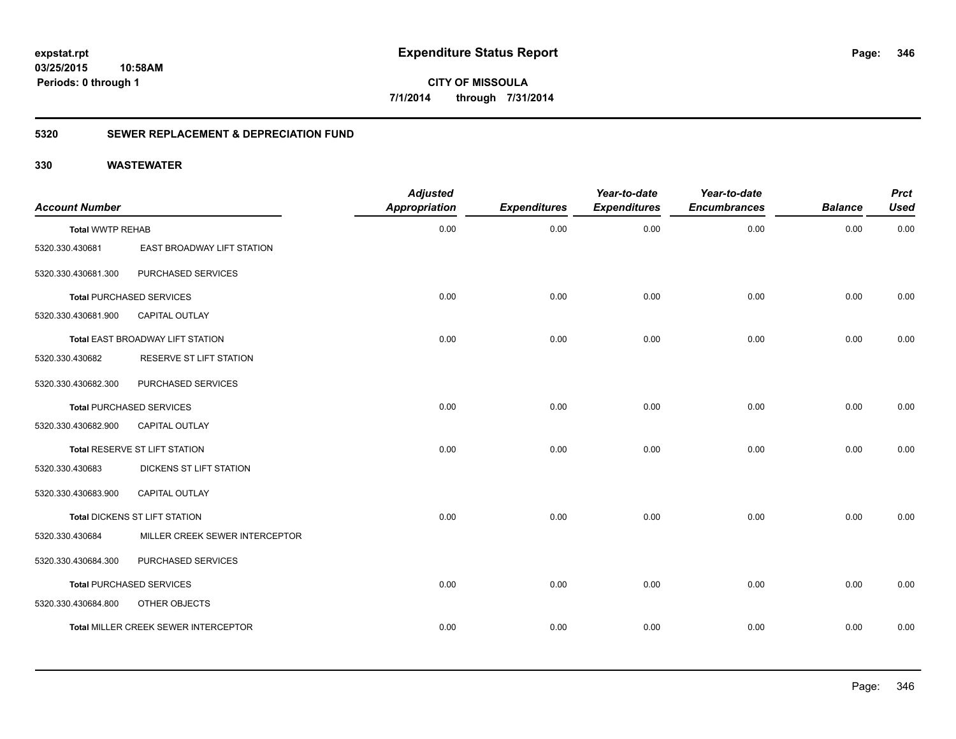**346**

**CITY OF MISSOULA 7/1/2014 through 7/31/2014**

### **5320 SEWER REPLACEMENT & DEPRECIATION FUND**

| <b>Account Number</b>   |                                      | <b>Adjusted</b><br><b>Appropriation</b> | <b>Expenditures</b> | Year-to-date<br><b>Expenditures</b> | Year-to-date<br><b>Encumbrances</b> | <b>Balance</b> | <b>Prct</b><br><b>Used</b> |
|-------------------------|--------------------------------------|-----------------------------------------|---------------------|-------------------------------------|-------------------------------------|----------------|----------------------------|
| <b>Total WWTP REHAB</b> |                                      | 0.00                                    | 0.00                | 0.00                                | 0.00                                | 0.00           | 0.00                       |
| 5320.330.430681         | EAST BROADWAY LIFT STATION           |                                         |                     |                                     |                                     |                |                            |
| 5320.330.430681.300     | PURCHASED SERVICES                   |                                         |                     |                                     |                                     |                |                            |
|                         | <b>Total PURCHASED SERVICES</b>      | 0.00                                    | 0.00                | 0.00                                | 0.00                                | 0.00           | 0.00                       |
| 5320.330.430681.900     | CAPITAL OUTLAY                       |                                         |                     |                                     |                                     |                |                            |
|                         | Total EAST BROADWAY LIFT STATION     | 0.00                                    | 0.00                | 0.00                                | 0.00                                | 0.00           | 0.00                       |
| 5320.330.430682         | RESERVE ST LIFT STATION              |                                         |                     |                                     |                                     |                |                            |
| 5320.330.430682.300     | PURCHASED SERVICES                   |                                         |                     |                                     |                                     |                |                            |
|                         | <b>Total PURCHASED SERVICES</b>      | 0.00                                    | 0.00                | 0.00                                | 0.00                                | 0.00           | 0.00                       |
| 5320.330.430682.900     | CAPITAL OUTLAY                       |                                         |                     |                                     |                                     |                |                            |
|                         | Total RESERVE ST LIFT STATION        | 0.00                                    | 0.00                | 0.00                                | 0.00                                | 0.00           | 0.00                       |
| 5320.330.430683         | DICKENS ST LIFT STATION              |                                         |                     |                                     |                                     |                |                            |
| 5320.330.430683.900     | <b>CAPITAL OUTLAY</b>                |                                         |                     |                                     |                                     |                |                            |
|                         | <b>Total DICKENS ST LIFT STATION</b> | 0.00                                    | 0.00                | 0.00                                | 0.00                                | 0.00           | 0.00                       |
| 5320.330.430684         | MILLER CREEK SEWER INTERCEPTOR       |                                         |                     |                                     |                                     |                |                            |
| 5320.330.430684.300     | PURCHASED SERVICES                   |                                         |                     |                                     |                                     |                |                            |
|                         | <b>Total PURCHASED SERVICES</b>      | 0.00                                    | 0.00                | 0.00                                | 0.00                                | 0.00           | 0.00                       |
| 5320.330.430684.800     | OTHER OBJECTS                        |                                         |                     |                                     |                                     |                |                            |
|                         | Total MILLER CREEK SEWER INTERCEPTOR | 0.00                                    | 0.00                | 0.00                                | 0.00                                | 0.00           | 0.00                       |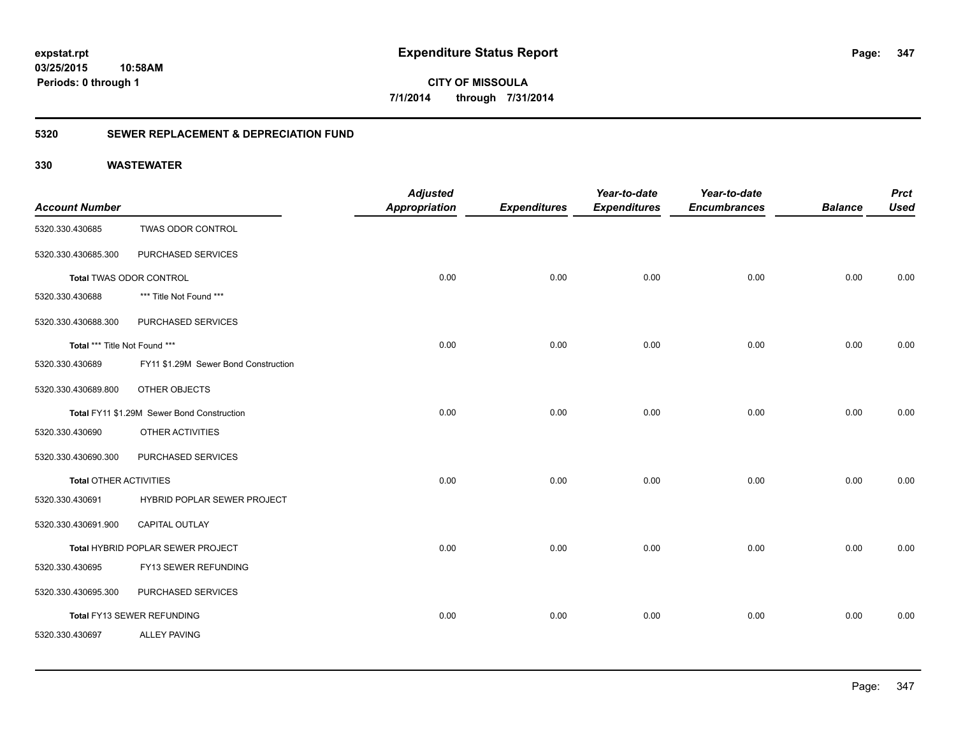**CITY OF MISSOULA 7/1/2014 through 7/31/2014**

### **5320 SEWER REPLACEMENT & DEPRECIATION FUND**

|                               |                                            | <b>Adjusted</b>      |                     | Year-to-date        | Year-to-date        |                | <b>Prct</b> |
|-------------------------------|--------------------------------------------|----------------------|---------------------|---------------------|---------------------|----------------|-------------|
| <b>Account Number</b>         |                                            | <b>Appropriation</b> | <b>Expenditures</b> | <b>Expenditures</b> | <b>Encumbrances</b> | <b>Balance</b> | <b>Used</b> |
| 5320.330.430685               | <b>TWAS ODOR CONTROL</b>                   |                      |                     |                     |                     |                |             |
| 5320.330.430685.300           | PURCHASED SERVICES                         |                      |                     |                     |                     |                |             |
| Total TWAS ODOR CONTROL       |                                            | 0.00                 | 0.00                | 0.00                | 0.00                | 0.00           | 0.00        |
| 5320.330.430688               | *** Title Not Found ***                    |                      |                     |                     |                     |                |             |
| 5320.330.430688.300           | PURCHASED SERVICES                         |                      |                     |                     |                     |                |             |
| Total *** Title Not Found *** |                                            | 0.00                 | 0.00                | 0.00                | 0.00                | 0.00           | 0.00        |
| 5320.330.430689               | FY11 \$1.29M Sewer Bond Construction       |                      |                     |                     |                     |                |             |
| 5320.330.430689.800           | OTHER OBJECTS                              |                      |                     |                     |                     |                |             |
|                               | Total FY11 \$1.29M Sewer Bond Construction | 0.00                 | 0.00                | 0.00                | 0.00                | 0.00           | 0.00        |
| 5320.330.430690               | OTHER ACTIVITIES                           |                      |                     |                     |                     |                |             |
| 5320.330.430690.300           | PURCHASED SERVICES                         |                      |                     |                     |                     |                |             |
| <b>Total OTHER ACTIVITIES</b> |                                            | 0.00                 | 0.00                | 0.00                | 0.00                | 0.00           | 0.00        |
| 5320.330.430691               | HYBRID POPLAR SEWER PROJECT                |                      |                     |                     |                     |                |             |
| 5320.330.430691.900           | CAPITAL OUTLAY                             |                      |                     |                     |                     |                |             |
|                               | Total HYBRID POPLAR SEWER PROJECT          | 0.00                 | 0.00                | 0.00                | 0.00                | 0.00           | 0.00        |
| 5320.330.430695               | FY13 SEWER REFUNDING                       |                      |                     |                     |                     |                |             |
| 5320.330.430695.300           | PURCHASED SERVICES                         |                      |                     |                     |                     |                |             |
|                               | Total FY13 SEWER REFUNDING                 | 0.00                 | 0.00                | 0.00                | 0.00                | 0.00           | 0.00        |
| 5320.330.430697               | <b>ALLEY PAVING</b>                        |                      |                     |                     |                     |                |             |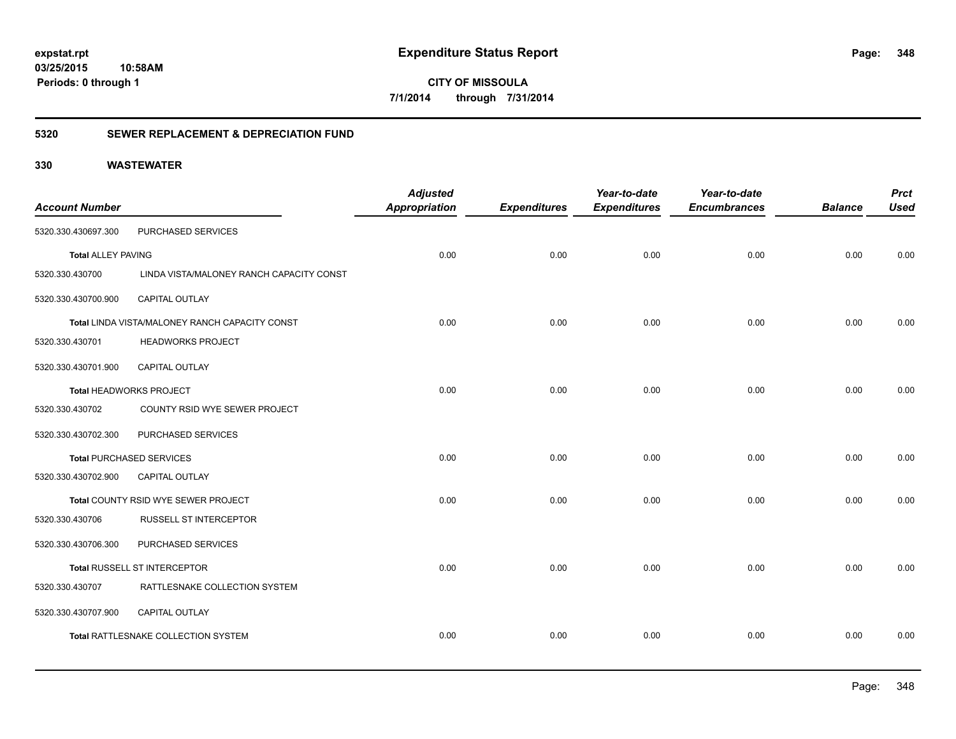**CITY OF MISSOULA 7/1/2014 through 7/31/2014**

### **5320 SEWER REPLACEMENT & DEPRECIATION FUND**

| <b>Account Number</b>     |                                                | <b>Adjusted</b><br><b>Appropriation</b> | <b>Expenditures</b> | Year-to-date<br><b>Expenditures</b> | Year-to-date<br><b>Encumbrances</b> | <b>Balance</b> | <b>Prct</b><br><b>Used</b> |
|---------------------------|------------------------------------------------|-----------------------------------------|---------------------|-------------------------------------|-------------------------------------|----------------|----------------------------|
| 5320.330.430697.300       | PURCHASED SERVICES                             |                                         |                     |                                     |                                     |                |                            |
| <b>Total ALLEY PAVING</b> |                                                | 0.00                                    | 0.00                | 0.00                                | 0.00                                | 0.00           | 0.00                       |
| 5320.330.430700           | LINDA VISTA/MALONEY RANCH CAPACITY CONST       |                                         |                     |                                     |                                     |                |                            |
| 5320.330.430700.900       | CAPITAL OUTLAY                                 |                                         |                     |                                     |                                     |                |                            |
|                           | Total LINDA VISTA/MALONEY RANCH CAPACITY CONST | 0.00                                    | 0.00                | 0.00                                | 0.00                                | 0.00           | 0.00                       |
| 5320.330.430701           | <b>HEADWORKS PROJECT</b>                       |                                         |                     |                                     |                                     |                |                            |
| 5320.330.430701.900       | <b>CAPITAL OUTLAY</b>                          |                                         |                     |                                     |                                     |                |                            |
|                           | Total HEADWORKS PROJECT                        | 0.00                                    | 0.00                | 0.00                                | 0.00                                | 0.00           | 0.00                       |
| 5320.330.430702           | COUNTY RSID WYE SEWER PROJECT                  |                                         |                     |                                     |                                     |                |                            |
| 5320.330.430702.300       | PURCHASED SERVICES                             |                                         |                     |                                     |                                     |                |                            |
|                           | <b>Total PURCHASED SERVICES</b>                | 0.00                                    | 0.00                | 0.00                                | 0.00                                | 0.00           | 0.00                       |
| 5320.330.430702.900       | <b>CAPITAL OUTLAY</b>                          |                                         |                     |                                     |                                     |                |                            |
|                           | Total COUNTY RSID WYE SEWER PROJECT            | 0.00                                    | 0.00                | 0.00                                | 0.00                                | 0.00           | 0.00                       |
| 5320.330.430706           | <b>RUSSELL ST INTERCEPTOR</b>                  |                                         |                     |                                     |                                     |                |                            |
| 5320.330.430706.300       | PURCHASED SERVICES                             |                                         |                     |                                     |                                     |                |                            |
|                           | Total RUSSELL ST INTERCEPTOR                   | 0.00                                    | 0.00                | 0.00                                | 0.00                                | 0.00           | 0.00                       |
| 5320.330.430707           | RATTLESNAKE COLLECTION SYSTEM                  |                                         |                     |                                     |                                     |                |                            |
| 5320.330.430707.900       | <b>CAPITAL OUTLAY</b>                          |                                         |                     |                                     |                                     |                |                            |
|                           | Total RATTLESNAKE COLLECTION SYSTEM            | 0.00                                    | 0.00                | 0.00                                | 0.00                                | 0.00           | 0.00                       |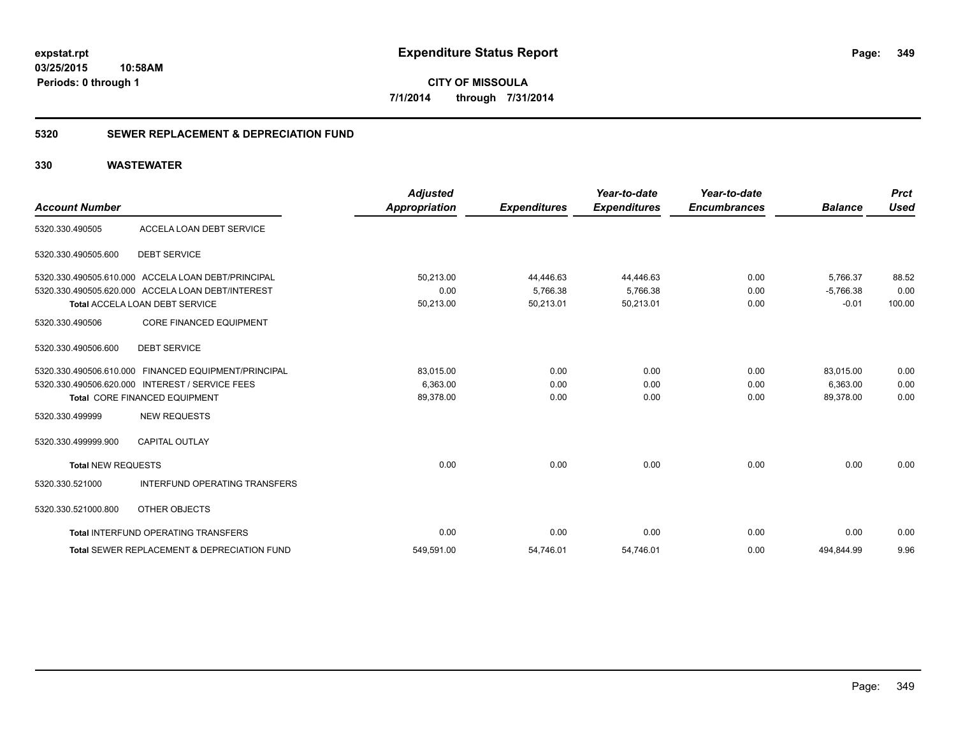**349**

**CITY OF MISSOULA 7/1/2014 through 7/31/2014**

### **5320 SEWER REPLACEMENT & DEPRECIATION FUND**

| <b>Account Number</b>     |                                                        | <b>Adjusted</b><br><b>Appropriation</b> | <b>Expenditures</b> | Year-to-date<br><b>Expenditures</b> | Year-to-date<br><b>Encumbrances</b> | <b>Balance</b> | <b>Prct</b><br><b>Used</b> |
|---------------------------|--------------------------------------------------------|-----------------------------------------|---------------------|-------------------------------------|-------------------------------------|----------------|----------------------------|
| 5320.330.490505           | ACCELA LOAN DEBT SERVICE                               |                                         |                     |                                     |                                     |                |                            |
| 5320.330.490505.600       | <b>DEBT SERVICE</b>                                    |                                         |                     |                                     |                                     |                |                            |
|                           | 5320.330.490505.610.000 ACCELA LOAN DEBT/PRINCIPAL     | 50,213.00                               | 44,446.63           | 44,446.63                           | 0.00                                | 5,766.37       | 88.52                      |
|                           | 5320.330.490505.620.000 ACCELA LOAN DEBT/INTEREST      | 0.00                                    | 5,766.38            | 5,766.38                            | 0.00                                | $-5.766.38$    | 0.00                       |
|                           | <b>Total ACCELA LOAN DEBT SERVICE</b>                  | 50,213.00                               | 50,213.01           | 50,213.01                           | 0.00                                | $-0.01$        | 100.00                     |
| 5320.330.490506           | <b>CORE FINANCED EQUIPMENT</b>                         |                                         |                     |                                     |                                     |                |                            |
| 5320.330.490506.600       | <b>DEBT SERVICE</b>                                    |                                         |                     |                                     |                                     |                |                            |
|                           | 5320.330.490506.610.000 FINANCED EQUIPMENT/PRINCIPAL   | 83,015.00                               | 0.00                | 0.00                                | 0.00                                | 83,015.00      | 0.00                       |
|                           | 5320.330.490506.620.000 INTEREST / SERVICE FEES        | 6,363.00                                | 0.00                | 0.00                                | 0.00                                | 6.363.00       | 0.00                       |
|                           | <b>Total CORE FINANCED EQUIPMENT</b>                   | 89,378.00                               | 0.00                | 0.00                                | 0.00                                | 89,378.00      | 0.00                       |
| 5320.330.499999           | <b>NEW REQUESTS</b>                                    |                                         |                     |                                     |                                     |                |                            |
| 5320.330.499999.900       | <b>CAPITAL OUTLAY</b>                                  |                                         |                     |                                     |                                     |                |                            |
| <b>Total NEW REQUESTS</b> |                                                        | 0.00                                    | 0.00                | 0.00                                | 0.00                                | 0.00           | 0.00                       |
| 5320.330.521000           | <b>INTERFUND OPERATING TRANSFERS</b>                   |                                         |                     |                                     |                                     |                |                            |
| 5320.330.521000.800       | OTHER OBJECTS                                          |                                         |                     |                                     |                                     |                |                            |
|                           | Total INTERFUND OPERATING TRANSFERS                    | 0.00                                    | 0.00                | 0.00                                | 0.00                                | 0.00           | 0.00                       |
|                           | <b>Total SEWER REPLACEMENT &amp; DEPRECIATION FUND</b> | 549,591.00                              | 54,746.01           | 54,746.01                           | 0.00                                | 494,844.99     | 9.96                       |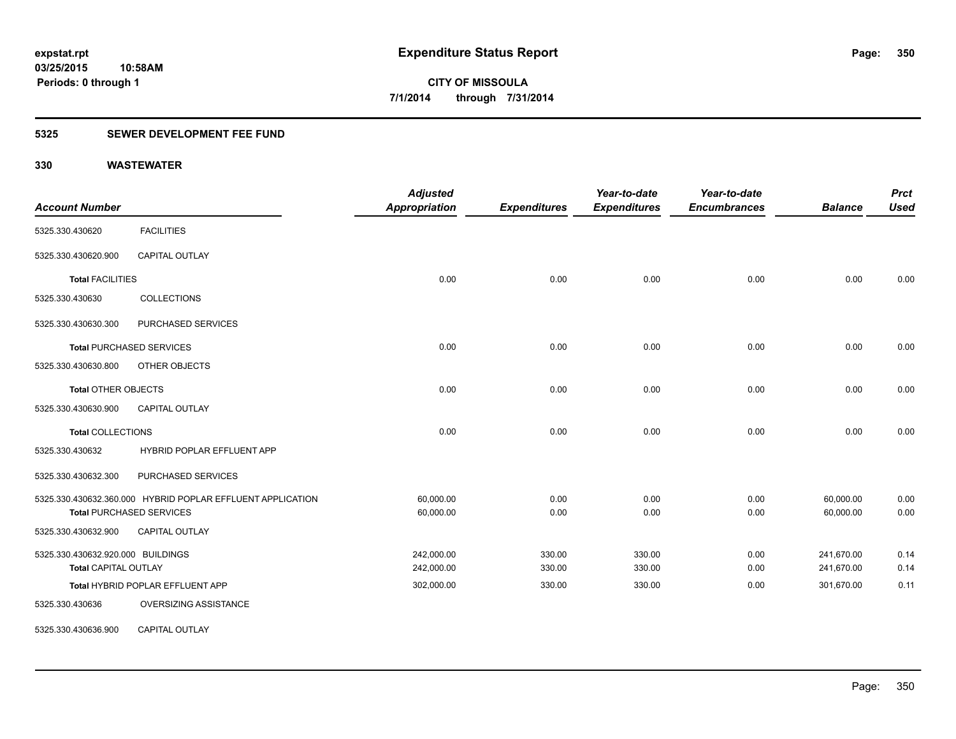### **5325 SEWER DEVELOPMENT FEE FUND**

| <b>Account Number</b>             |                                                            | <b>Adjusted</b><br><b>Appropriation</b> | <b>Expenditures</b> | Year-to-date<br><b>Expenditures</b> | Year-to-date<br><b>Encumbrances</b> | <b>Balance</b> | <b>Prct</b><br><b>Used</b> |
|-----------------------------------|------------------------------------------------------------|-----------------------------------------|---------------------|-------------------------------------|-------------------------------------|----------------|----------------------------|
| 5325.330.430620                   | <b>FACILITIES</b>                                          |                                         |                     |                                     |                                     |                |                            |
| 5325.330.430620.900               | <b>CAPITAL OUTLAY</b>                                      |                                         |                     |                                     |                                     |                |                            |
| <b>Total FACILITIES</b>           |                                                            | 0.00                                    | 0.00                | 0.00                                | 0.00                                | 0.00           | 0.00                       |
| 5325.330.430630                   | <b>COLLECTIONS</b>                                         |                                         |                     |                                     |                                     |                |                            |
| 5325.330.430630.300               | PURCHASED SERVICES                                         |                                         |                     |                                     |                                     |                |                            |
|                                   | <b>Total PURCHASED SERVICES</b>                            | 0.00                                    | 0.00                | 0.00                                | 0.00                                | 0.00           | 0.00                       |
| 5325.330.430630.800               | OTHER OBJECTS                                              |                                         |                     |                                     |                                     |                |                            |
| <b>Total OTHER OBJECTS</b>        |                                                            | 0.00                                    | 0.00                | 0.00                                | 0.00                                | 0.00           | 0.00                       |
| 5325.330.430630.900               | <b>CAPITAL OUTLAY</b>                                      |                                         |                     |                                     |                                     |                |                            |
| <b>Total COLLECTIONS</b>          |                                                            | 0.00                                    | 0.00                | 0.00                                | 0.00                                | 0.00           | 0.00                       |
| 5325.330.430632                   | <b>HYBRID POPLAR EFFLUENT APP</b>                          |                                         |                     |                                     |                                     |                |                            |
| 5325.330.430632.300               | PURCHASED SERVICES                                         |                                         |                     |                                     |                                     |                |                            |
|                                   | 5325.330.430632.360.000 HYBRID POPLAR EFFLUENT APPLICATION | 60,000.00                               | 0.00                | 0.00                                | 0.00                                | 60,000.00      | 0.00                       |
|                                   | <b>Total PURCHASED SERVICES</b>                            | 60,000.00                               | 0.00                | 0.00                                | 0.00                                | 60,000.00      | 0.00                       |
| 5325.330.430632.900               | CAPITAL OUTLAY                                             |                                         |                     |                                     |                                     |                |                            |
| 5325.330.430632.920.000 BUILDINGS |                                                            | 242,000.00                              | 330.00              | 330.00                              | 0.00                                | 241,670.00     | 0.14                       |
| <b>Total CAPITAL OUTLAY</b>       |                                                            | 242,000.00                              | 330.00              | 330.00                              | 0.00                                | 241,670.00     | 0.14                       |
|                                   | Total HYBRID POPLAR EFFLUENT APP                           | 302,000.00                              | 330.00              | 330.00                              | 0.00                                | 301,670.00     | 0.11                       |
| 5325.330.430636                   | OVERSIZING ASSISTANCE                                      |                                         |                     |                                     |                                     |                |                            |
| 5325.330.430636.900               | <b>CAPITAL OUTLAY</b>                                      |                                         |                     |                                     |                                     |                |                            |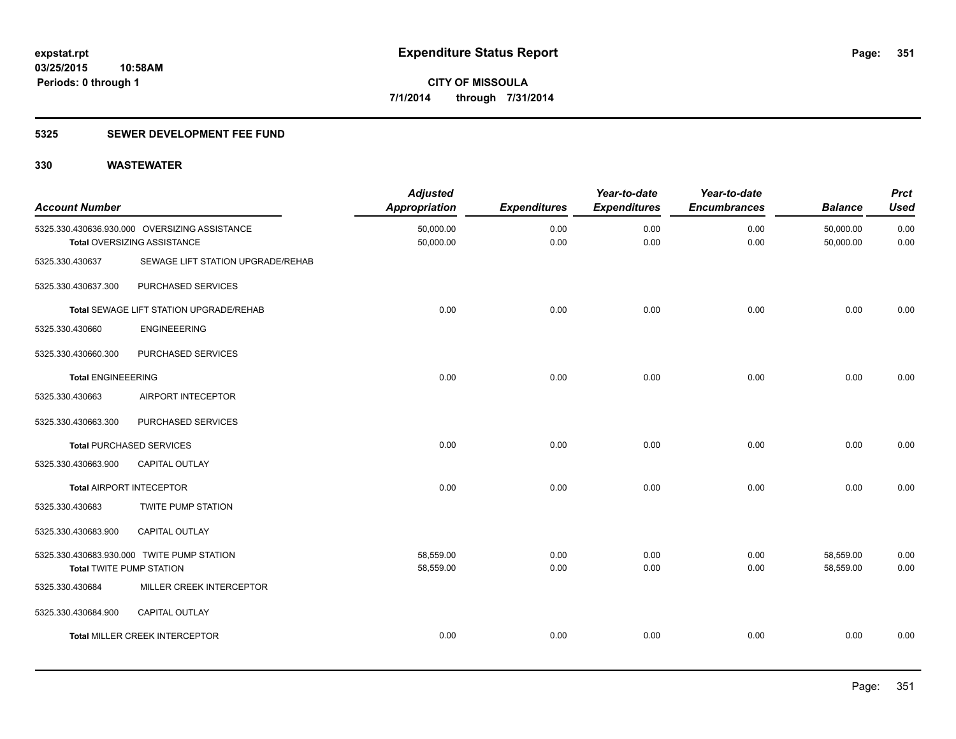### **5325 SEWER DEVELOPMENT FEE FUND**

| <b>Account Number</b>           |                                                                              | <b>Adjusted</b><br><b>Appropriation</b> | <b>Expenditures</b> | Year-to-date<br><b>Expenditures</b> | Year-to-date<br><b>Encumbrances</b> | <b>Balance</b>         | <b>Prct</b><br><b>Used</b> |
|---------------------------------|------------------------------------------------------------------------------|-----------------------------------------|---------------------|-------------------------------------|-------------------------------------|------------------------|----------------------------|
|                                 | 5325.330.430636.930.000 OVERSIZING ASSISTANCE<br>Total OVERSIZING ASSISTANCE | 50,000.00<br>50,000.00                  | 0.00<br>0.00        | 0.00<br>0.00                        | 0.00<br>0.00                        | 50,000.00<br>50,000.00 | 0.00<br>0.00               |
| 5325.330.430637                 | SEWAGE LIFT STATION UPGRADE/REHAB                                            |                                         |                     |                                     |                                     |                        |                            |
| 5325.330.430637.300             | PURCHASED SERVICES                                                           |                                         |                     |                                     |                                     |                        |                            |
|                                 | Total SEWAGE LIFT STATION UPGRADE/REHAB                                      | 0.00                                    | 0.00                | 0.00                                | 0.00                                | 0.00                   | 0.00                       |
| 5325.330.430660                 | <b>ENGINEEERING</b>                                                          |                                         |                     |                                     |                                     |                        |                            |
| 5325.330.430660.300             | PURCHASED SERVICES                                                           |                                         |                     |                                     |                                     |                        |                            |
| <b>Total ENGINEEERING</b>       |                                                                              | 0.00                                    | 0.00                | 0.00                                | 0.00                                | 0.00                   | 0.00                       |
| 5325.330.430663                 | AIRPORT INTECEPTOR                                                           |                                         |                     |                                     |                                     |                        |                            |
| 5325.330.430663.300             | PURCHASED SERVICES                                                           |                                         |                     |                                     |                                     |                        |                            |
|                                 | <b>Total PURCHASED SERVICES</b>                                              | 0.00                                    | 0.00                | 0.00                                | 0.00                                | 0.00                   | 0.00                       |
| 5325.330.430663.900             | <b>CAPITAL OUTLAY</b>                                                        |                                         |                     |                                     |                                     |                        |                            |
| <b>Total AIRPORT INTECEPTOR</b> |                                                                              | 0.00                                    | 0.00                | 0.00                                | 0.00                                | 0.00                   | 0.00                       |
| 5325.330.430683                 | <b>TWITE PUMP STATION</b>                                                    |                                         |                     |                                     |                                     |                        |                            |
| 5325.330.430683.900             | CAPITAL OUTLAY                                                               |                                         |                     |                                     |                                     |                        |                            |
| <b>Total TWITE PUMP STATION</b> | 5325.330.430683.930.000 TWITE PUMP STATION                                   | 58,559.00<br>58,559.00                  | 0.00<br>0.00        | 0.00<br>0.00                        | 0.00<br>0.00                        | 58,559.00<br>58,559.00 | 0.00<br>0.00               |
| 5325.330.430684                 | MILLER CREEK INTERCEPTOR                                                     |                                         |                     |                                     |                                     |                        |                            |
| 5325.330.430684.900             | CAPITAL OUTLAY                                                               |                                         |                     |                                     |                                     |                        |                            |
|                                 | Total MILLER CREEK INTERCEPTOR                                               | 0.00                                    | 0.00                | 0.00                                | 0.00                                | 0.00                   | 0.00                       |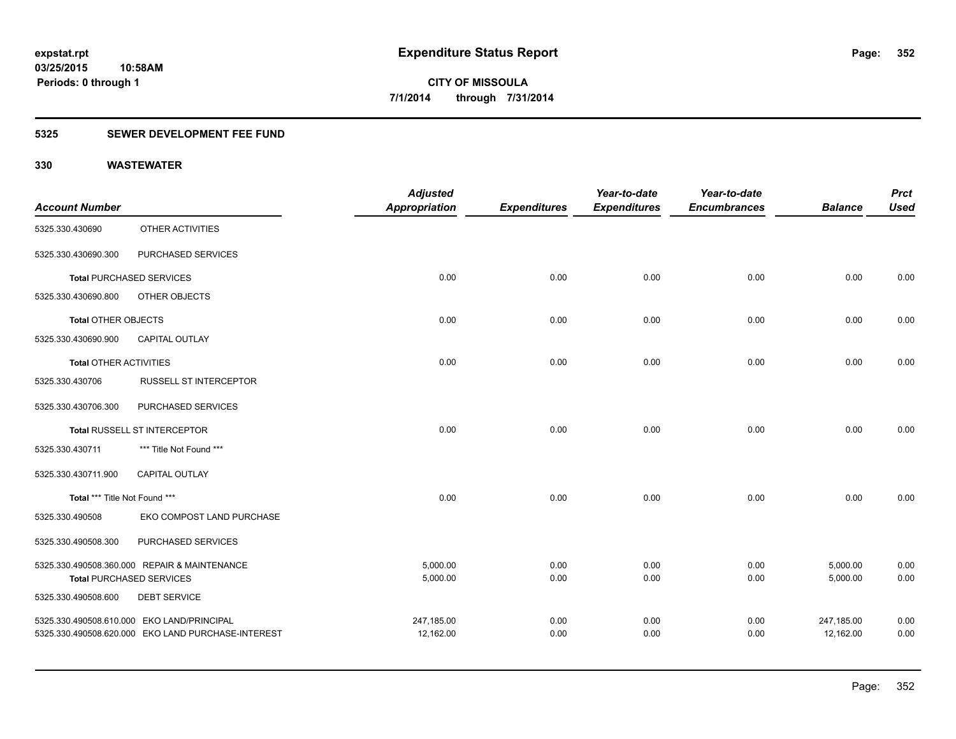### **5325 SEWER DEVELOPMENT FEE FUND**

|                               |                                                    | <b>Adjusted</b>      |                     | Year-to-date        | Year-to-date        |                | <b>Prct</b> |
|-------------------------------|----------------------------------------------------|----------------------|---------------------|---------------------|---------------------|----------------|-------------|
| <b>Account Number</b>         |                                                    | <b>Appropriation</b> | <b>Expenditures</b> | <b>Expenditures</b> | <b>Encumbrances</b> | <b>Balance</b> | <b>Used</b> |
| 5325.330.430690               | OTHER ACTIVITIES                                   |                      |                     |                     |                     |                |             |
| 5325.330.430690.300           | PURCHASED SERVICES                                 |                      |                     |                     |                     |                |             |
|                               | <b>Total PURCHASED SERVICES</b>                    | 0.00                 | 0.00                | 0.00                | 0.00                | 0.00           | 0.00        |
| 5325.330.430690.800           | OTHER OBJECTS                                      |                      |                     |                     |                     |                |             |
| Total OTHER OBJECTS           |                                                    | 0.00                 | 0.00                | 0.00                | 0.00                | 0.00           | 0.00        |
| 5325.330.430690.900           | <b>CAPITAL OUTLAY</b>                              |                      |                     |                     |                     |                |             |
| <b>Total OTHER ACTIVITIES</b> |                                                    | 0.00                 | 0.00                | 0.00                | 0.00                | 0.00           | 0.00        |
| 5325.330.430706               | <b>RUSSELL ST INTERCEPTOR</b>                      |                      |                     |                     |                     |                |             |
| 5325.330.430706.300           | PURCHASED SERVICES                                 |                      |                     |                     |                     |                |             |
|                               | Total RUSSELL ST INTERCEPTOR                       | 0.00                 | 0.00                | 0.00                | 0.00                | 0.00           | 0.00        |
| 5325.330.430711               | *** Title Not Found ***                            |                      |                     |                     |                     |                |             |
| 5325.330.430711.900           | <b>CAPITAL OUTLAY</b>                              |                      |                     |                     |                     |                |             |
| Total *** Title Not Found *** |                                                    | 0.00                 | 0.00                | 0.00                | 0.00                | 0.00           | 0.00        |
| 5325.330.490508               | EKO COMPOST LAND PURCHASE                          |                      |                     |                     |                     |                |             |
| 5325.330.490508.300           | PURCHASED SERVICES                                 |                      |                     |                     |                     |                |             |
|                               | 5325.330.490508.360.000 REPAIR & MAINTENANCE       | 5,000.00             | 0.00                | 0.00                | 0.00                | 5,000.00       | 0.00        |
|                               | <b>Total PURCHASED SERVICES</b>                    | 5,000.00             | 0.00                | 0.00                | 0.00                | 5,000.00       | 0.00        |
| 5325.330.490508.600           | <b>DEBT SERVICE</b>                                |                      |                     |                     |                     |                |             |
|                               | 5325.330.490508.610.000 EKO LAND/PRINCIPAL         | 247,185.00           | 0.00                | 0.00                | 0.00                | 247,185.00     | 0.00        |
|                               | 5325.330.490508.620.000 EKO LAND PURCHASE-INTEREST | 12,162.00            | 0.00                | 0.00                | 0.00                | 12,162.00      | 0.00        |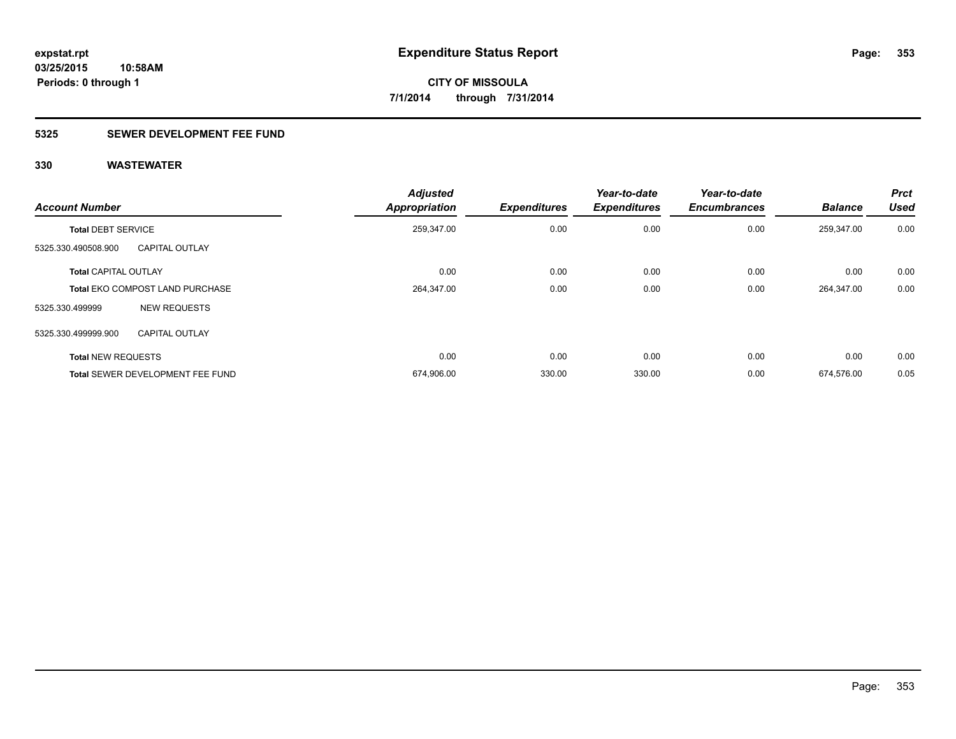### **5325 SEWER DEVELOPMENT FEE FUND**

| <b>Account Number</b>       |                                         | <b>Adjusted</b><br><b>Appropriation</b> | <b>Expenditures</b> | Year-to-date<br><b>Expenditures</b> | Year-to-date<br><b>Encumbrances</b> | <b>Balance</b> | <b>Prct</b><br><b>Used</b> |
|-----------------------------|-----------------------------------------|-----------------------------------------|---------------------|-------------------------------------|-------------------------------------|----------------|----------------------------|
| <b>Total DEBT SERVICE</b>   |                                         | 259,347.00                              | 0.00                | 0.00                                | 0.00                                | 259,347.00     | 0.00                       |
| 5325.330.490508.900         | <b>CAPITAL OUTLAY</b>                   |                                         |                     |                                     |                                     |                |                            |
| <b>Total CAPITAL OUTLAY</b> |                                         | 0.00                                    | 0.00                | 0.00                                | 0.00                                | 0.00           | 0.00                       |
|                             | <b>Total EKO COMPOST LAND PURCHASE</b>  | 264,347.00                              | 0.00                | 0.00                                | 0.00                                | 264,347.00     | 0.00                       |
| 5325.330.499999             | <b>NEW REQUESTS</b>                     |                                         |                     |                                     |                                     |                |                            |
| 5325.330.499999.900         | <b>CAPITAL OUTLAY</b>                   |                                         |                     |                                     |                                     |                |                            |
| <b>Total NEW REQUESTS</b>   |                                         | 0.00                                    | 0.00                | 0.00                                | 0.00                                | 0.00           | 0.00                       |
|                             | <b>Total SEWER DEVELOPMENT FEE FUND</b> | 674,906.00                              | 330.00              | 330.00                              | 0.00                                | 674.576.00     | 0.05                       |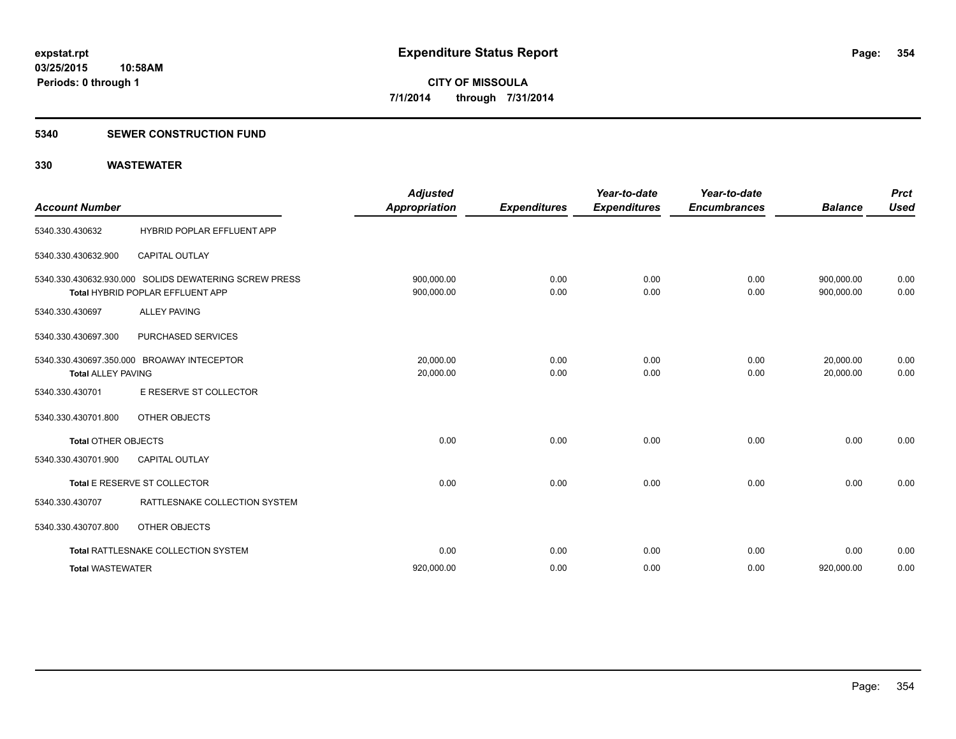#### **5340 SEWER CONSTRUCTION FUND**

| <b>Account Number</b>      |                                                                                           | <b>Adjusted</b><br><b>Appropriation</b> | <b>Expenditures</b> | Year-to-date<br><b>Expenditures</b> | Year-to-date<br><b>Encumbrances</b> | <b>Balance</b>           | <b>Prct</b><br><b>Used</b> |
|----------------------------|-------------------------------------------------------------------------------------------|-----------------------------------------|---------------------|-------------------------------------|-------------------------------------|--------------------------|----------------------------|
| 5340.330.430632            | HYBRID POPLAR EFFLUENT APP                                                                |                                         |                     |                                     |                                     |                          |                            |
| 5340.330.430632.900        | <b>CAPITAL OUTLAY</b>                                                                     |                                         |                     |                                     |                                     |                          |                            |
|                            | 5340.330.430632.930.000 SOLIDS DEWATERING SCREW PRESS<br>Total HYBRID POPLAR EFFLUENT APP | 900,000.00<br>900,000.00                | 0.00<br>0.00        | 0.00<br>0.00                        | 0.00<br>0.00                        | 900,000.00<br>900,000.00 | 0.00<br>0.00               |
| 5340.330.430697            | <b>ALLEY PAVING</b>                                                                       |                                         |                     |                                     |                                     |                          |                            |
| 5340.330.430697.300        | PURCHASED SERVICES                                                                        |                                         |                     |                                     |                                     |                          |                            |
| <b>Total ALLEY PAVING</b>  | 5340.330.430697.350.000 BROAWAY INTECEPTOR                                                | 20.000.00<br>20,000.00                  | 0.00<br>0.00        | 0.00<br>0.00                        | 0.00<br>0.00                        | 20,000.00<br>20.000.00   | 0.00<br>0.00               |
| 5340.330.430701            | E RESERVE ST COLLECTOR                                                                    |                                         |                     |                                     |                                     |                          |                            |
| 5340.330.430701.800        | <b>OTHER OBJECTS</b>                                                                      |                                         |                     |                                     |                                     |                          |                            |
| <b>Total OTHER OBJECTS</b> |                                                                                           | 0.00                                    | 0.00                | 0.00                                | 0.00                                | 0.00                     | 0.00                       |
| 5340.330.430701.900        | <b>CAPITAL OUTLAY</b>                                                                     |                                         |                     |                                     |                                     |                          |                            |
|                            | Total E RESERVE ST COLLECTOR                                                              | 0.00                                    | 0.00                | 0.00                                | 0.00                                | 0.00                     | 0.00                       |
| 5340.330.430707            | RATTLESNAKE COLLECTION SYSTEM                                                             |                                         |                     |                                     |                                     |                          |                            |
| 5340.330.430707.800        | OTHER OBJECTS                                                                             |                                         |                     |                                     |                                     |                          |                            |
|                            | Total RATTLESNAKE COLLECTION SYSTEM                                                       | 0.00                                    | 0.00                | 0.00                                | 0.00                                | 0.00                     | 0.00                       |
| <b>Total WASTEWATER</b>    |                                                                                           | 920,000.00                              | 0.00                | 0.00                                | 0.00                                | 920,000.00               | 0.00                       |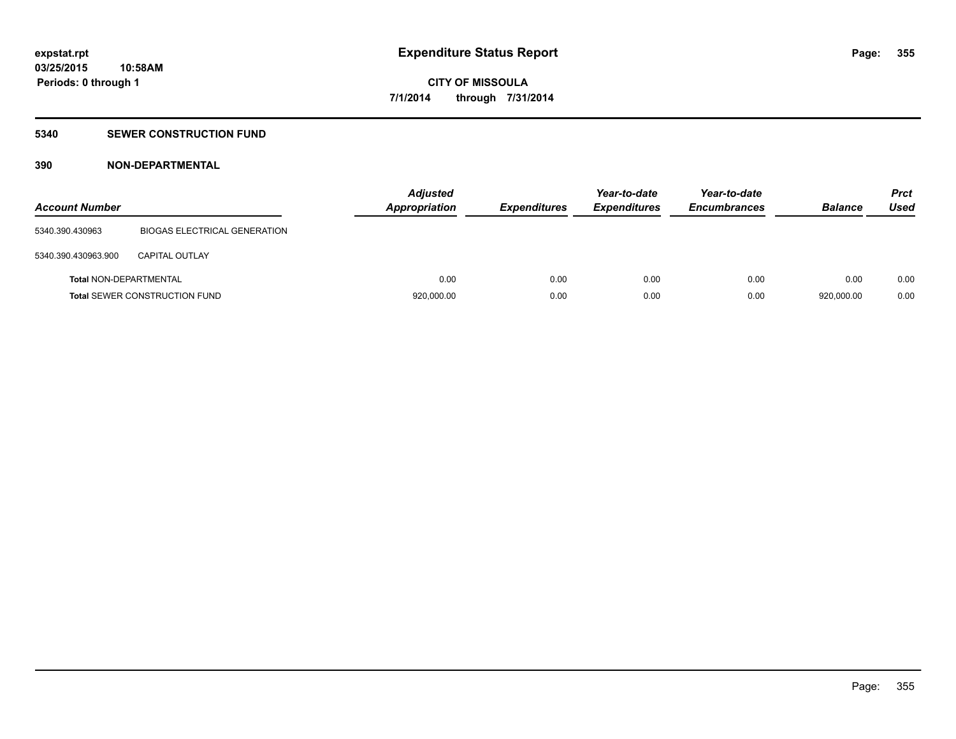### **5340 SEWER CONSTRUCTION FUND**

### **390 NON-DEPARTMENTAL**

| <b>Account Number</b>         |                                      | <b>Adjusted</b><br><b>Appropriation</b> | <b>Expenditures</b> | Year-to-date<br><b>Expenditures</b> | Year-to-date<br><b>Encumbrances</b> | <b>Balance</b> | <b>Prct</b><br>Used |
|-------------------------------|--------------------------------------|-----------------------------------------|---------------------|-------------------------------------|-------------------------------------|----------------|---------------------|
| 5340.390.430963               | BIOGAS ELECTRICAL GENERATION         |                                         |                     |                                     |                                     |                |                     |
| 5340.390.430963.900           | <b>CAPITAL OUTLAY</b>                |                                         |                     |                                     |                                     |                |                     |
| <b>Total NON-DEPARTMENTAL</b> |                                      | 0.00                                    | 0.00                | 0.00                                | 0.00                                | 0.00           | 0.00                |
|                               | <b>Total SEWER CONSTRUCTION FUND</b> | 920,000.00                              | 0.00                | 0.00                                | 0.00                                | 920.000.00     | 0.00                |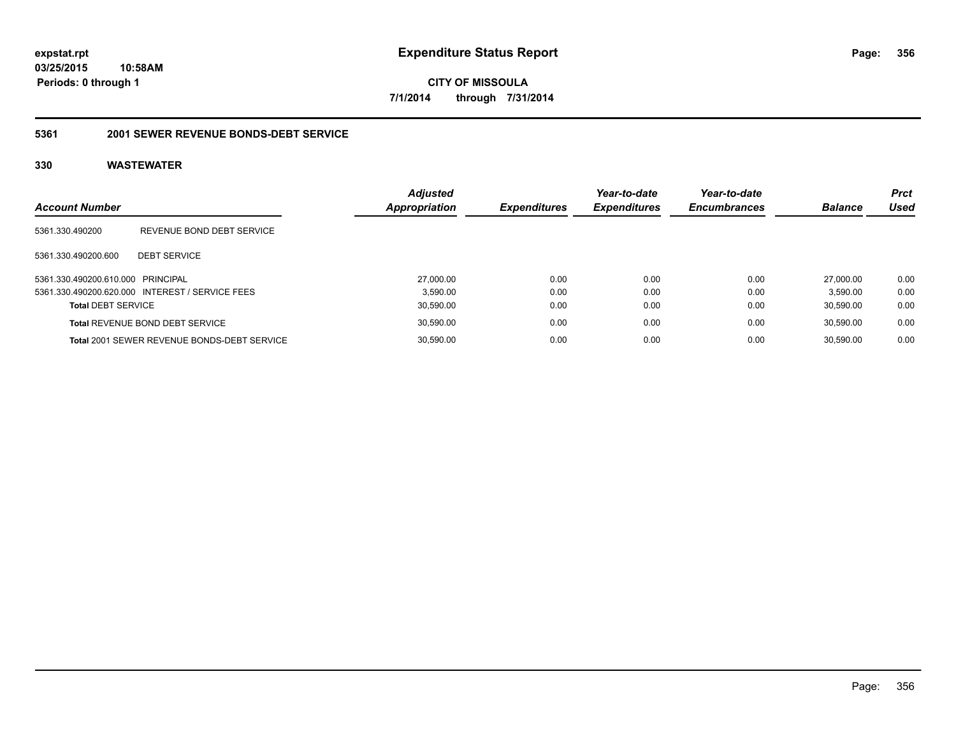**CITY OF MISSOULA 7/1/2014 through 7/31/2014**

### **5361 2001 SEWER REVENUE BONDS-DEBT SERVICE**

| <b>Account Number</b>             |                                                 | <b>Adjusted</b><br>Appropriation | <b>Expenditures</b> | Year-to-date<br><b>Expenditures</b> | Year-to-date<br><b>Encumbrances</b> | <b>Balance</b> | <b>Prct</b><br>Used |
|-----------------------------------|-------------------------------------------------|----------------------------------|---------------------|-------------------------------------|-------------------------------------|----------------|---------------------|
| 5361.330.490200                   | REVENUE BOND DEBT SERVICE                       |                                  |                     |                                     |                                     |                |                     |
| 5361.330.490200.600               | <b>DEBT SERVICE</b>                             |                                  |                     |                                     |                                     |                |                     |
| 5361.330.490200.610.000 PRINCIPAL |                                                 | 27,000.00                        | 0.00                | 0.00                                | 0.00                                | 27.000.00      | 0.00                |
|                                   | 5361.330.490200.620.000 INTEREST / SERVICE FEES | 3.590.00                         | 0.00                | 0.00                                | 0.00                                | 3.590.00       | 0.00                |
| <b>Total DEBT SERVICE</b>         |                                                 | 30,590.00                        | 0.00                | 0.00                                | 0.00                                | 30.590.00      | 0.00                |
|                                   | <b>Total REVENUE BOND DEBT SERVICE</b>          | 30,590.00                        | 0.00                | 0.00                                | 0.00                                | 30.590.00      | 0.00                |
|                                   | Total 2001 SEWER REVENUE BONDS-DEBT SERVICE     | 30,590.00                        | 0.00                | 0.00                                | 0.00                                | 30.590.00      | 0.00                |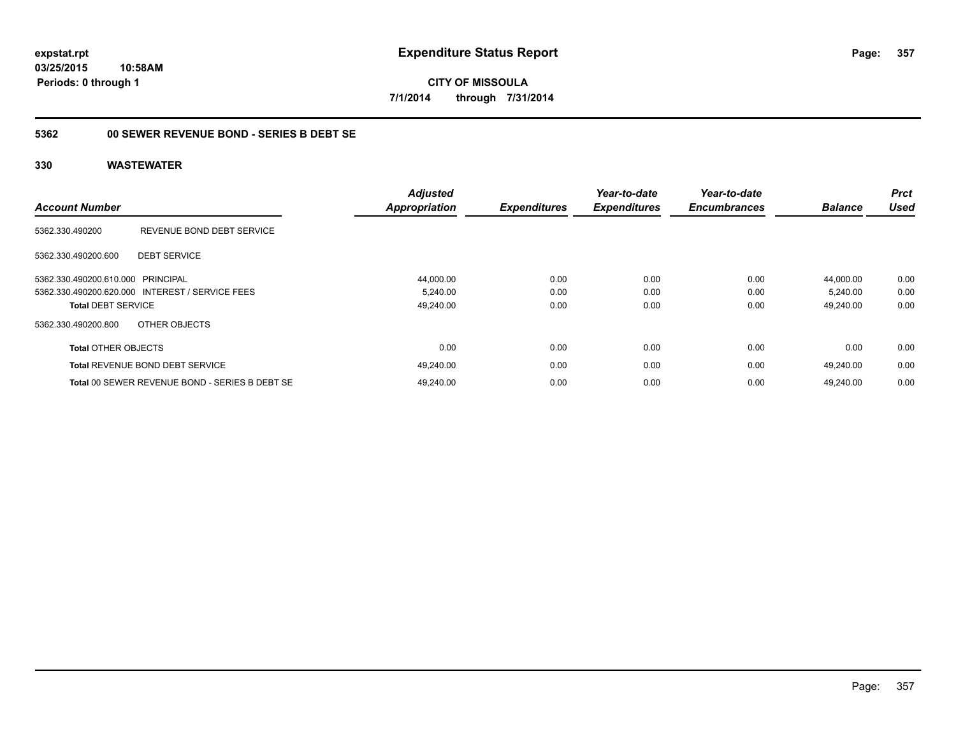**CITY OF MISSOULA 7/1/2014 through 7/31/2014**

### **5362 00 SEWER REVENUE BOND - SERIES B DEBT SE**

| <b>Account Number</b>             |                                                 | <b>Adjusted</b><br><b>Appropriation</b> | <b>Expenditures</b> | Year-to-date<br><b>Expenditures</b> | Year-to-date<br><b>Encumbrances</b> | <b>Balance</b> | <b>Prct</b><br><b>Used</b> |
|-----------------------------------|-------------------------------------------------|-----------------------------------------|---------------------|-------------------------------------|-------------------------------------|----------------|----------------------------|
| 5362.330.490200                   | REVENUE BOND DEBT SERVICE                       |                                         |                     |                                     |                                     |                |                            |
| 5362.330.490200.600               | <b>DEBT SERVICE</b>                             |                                         |                     |                                     |                                     |                |                            |
| 5362.330.490200.610.000 PRINCIPAL |                                                 | 44,000.00                               | 0.00                | 0.00                                | 0.00                                | 44.000.00      | 0.00                       |
|                                   | 5362.330.490200.620.000 INTEREST / SERVICE FEES | 5,240.00                                | 0.00                | 0.00                                | 0.00                                | 5,240.00       | 0.00                       |
| <b>Total DEBT SERVICE</b>         |                                                 | 49,240.00                               | 0.00                | 0.00                                | 0.00                                | 49,240.00      | 0.00                       |
| 5362.330.490200.800               | OTHER OBJECTS                                   |                                         |                     |                                     |                                     |                |                            |
| <b>Total OTHER OBJECTS</b>        |                                                 | 0.00                                    | 0.00                | 0.00                                | 0.00                                | 0.00           | 0.00                       |
|                                   | <b>Total REVENUE BOND DEBT SERVICE</b>          | 49.240.00                               | 0.00                | 0.00                                | 0.00                                | 49.240.00      | 0.00                       |
|                                   | Total 00 SEWER REVENUE BOND - SERIES B DEBT SE  | 49.240.00                               | 0.00                | 0.00                                | 0.00                                | 49.240.00      | 0.00                       |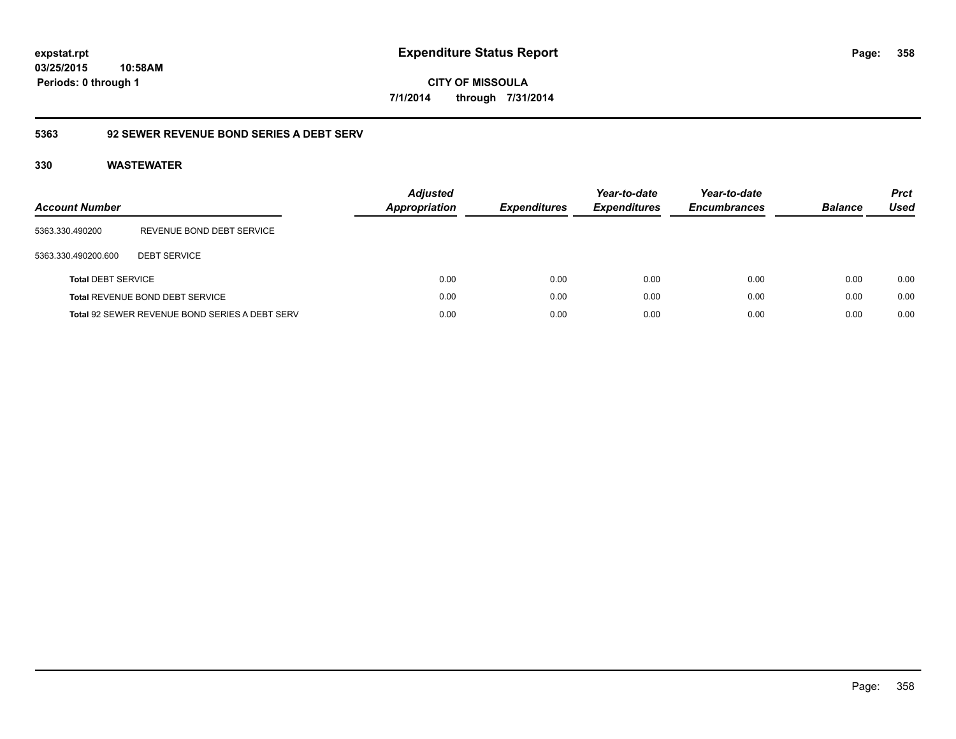**CITY OF MISSOULA 7/1/2014 through 7/31/2014**

### **5363 92 SEWER REVENUE BOND SERIES A DEBT SERV**

| Account Number            |                                                | <b>Adjusted</b><br><b>Appropriation</b> | <b>Expenditures</b> | Year-to-date<br><b>Expenditures</b> | Year-to-date<br><b>Encumbrances</b> | <b>Balance</b> | <b>Prct</b><br><b>Used</b> |
|---------------------------|------------------------------------------------|-----------------------------------------|---------------------|-------------------------------------|-------------------------------------|----------------|----------------------------|
| 5363.330.490200           | REVENUE BOND DEBT SERVICE                      |                                         |                     |                                     |                                     |                |                            |
| 5363.330.490200.600       | <b>DEBT SERVICE</b>                            |                                         |                     |                                     |                                     |                |                            |
| <b>Total DEBT SERVICE</b> |                                                | 0.00                                    | 0.00                | 0.00                                | 0.00                                | 0.00           | 0.00                       |
|                           | <b>Total REVENUE BOND DEBT SERVICE</b>         | 0.00                                    | 0.00                | 0.00                                | 0.00                                | 0.00           | 0.00                       |
|                           | Total 92 SEWER REVENUE BOND SERIES A DEBT SERV | 0.00                                    | 0.00                | 0.00                                | 0.00                                | 0.00           | 0.00                       |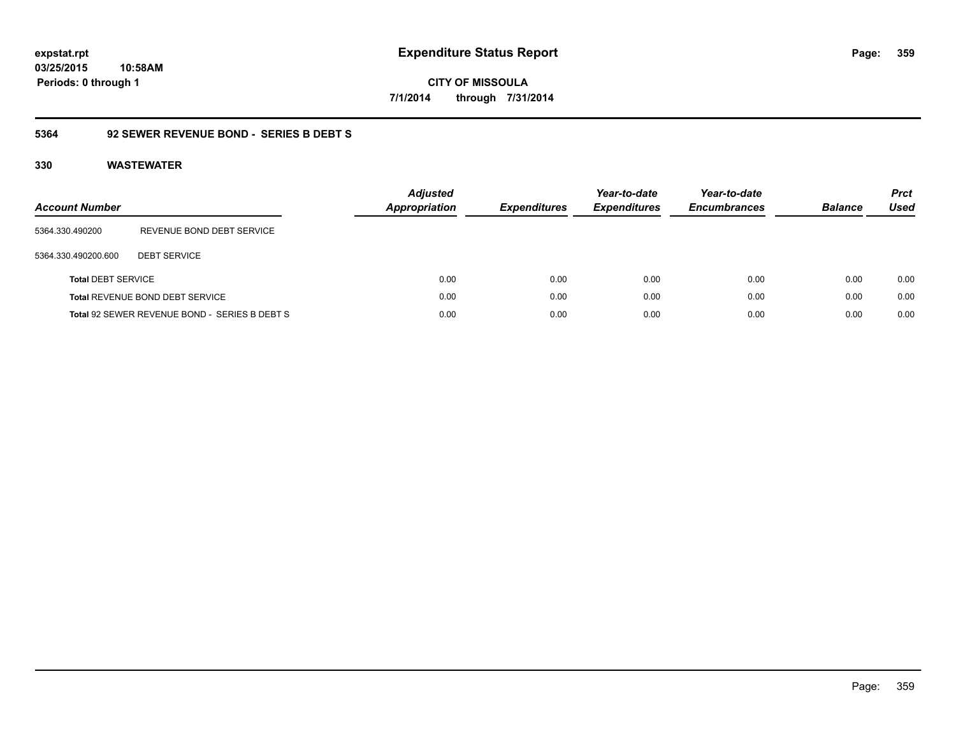**CITY OF MISSOULA 7/1/2014 through 7/31/2014**

### **5364 92 SEWER REVENUE BOND - SERIES B DEBT S**

| <b>Account Number</b>     |                                               | <b>Adjusted</b><br>Appropriation | <b>Expenditures</b> | Year-to-date<br><b>Expenditures</b> | Year-to-date<br><b>Encumbrances</b> | <b>Balance</b> | <b>Prct</b><br><b>Used</b> |
|---------------------------|-----------------------------------------------|----------------------------------|---------------------|-------------------------------------|-------------------------------------|----------------|----------------------------|
| 5364.330.490200           | REVENUE BOND DEBT SERVICE                     |                                  |                     |                                     |                                     |                |                            |
| 5364.330.490200.600       | <b>DEBT SERVICE</b>                           |                                  |                     |                                     |                                     |                |                            |
| <b>Total DEBT SERVICE</b> |                                               | 0.00                             | 0.00                | 0.00                                | 0.00                                | 0.00           | 0.00                       |
|                           | Total REVENUE BOND DEBT SERVICE               | 0.00                             | 0.00                | 0.00                                | 0.00                                | 0.00           | 0.00                       |
|                           | Total 92 SEWER REVENUE BOND - SERIES B DEBT S | 0.00                             | 0.00                | 0.00                                | 0.00                                | 0.00           | 0.00                       |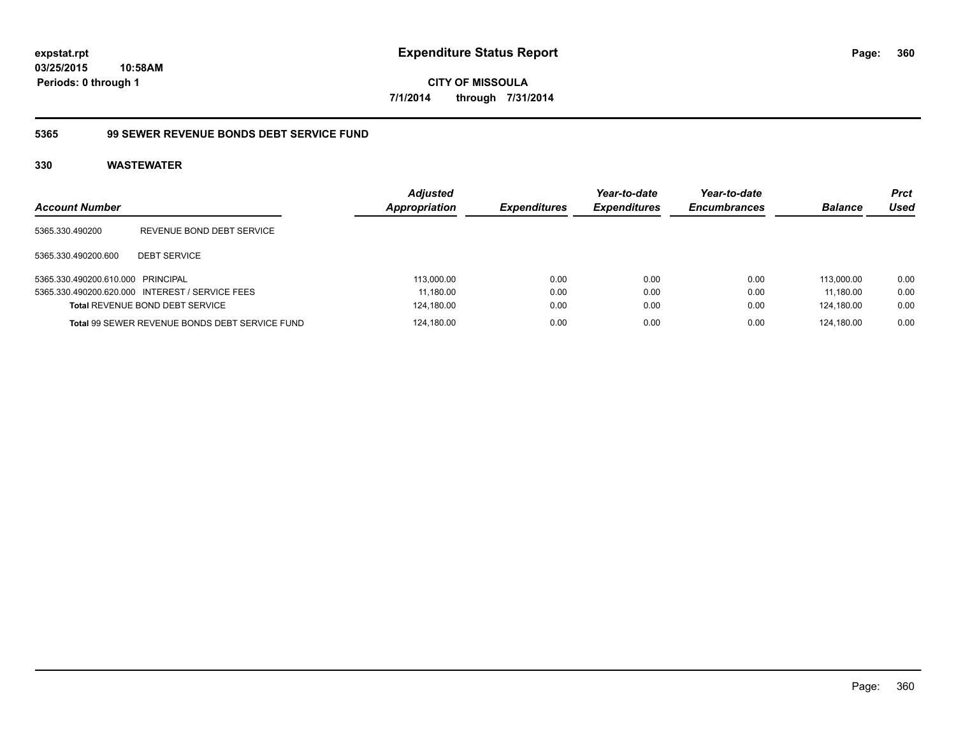**CITY OF MISSOULA 7/1/2014 through 7/31/2014**

### **5365 99 SEWER REVENUE BONDS DEBT SERVICE FUND**

| <b>Account Number</b>             |                                                 | <b>Adjusted</b><br>Appropriation | <b>Expenditures</b> | Year-to-date<br><b>Expenditures</b> | Year-to-date<br><b>Encumbrances</b> | <b>Balance</b> | <b>Prct</b><br>Used |
|-----------------------------------|-------------------------------------------------|----------------------------------|---------------------|-------------------------------------|-------------------------------------|----------------|---------------------|
| 5365.330.490200                   | REVENUE BOND DEBT SERVICE                       |                                  |                     |                                     |                                     |                |                     |
| 5365.330.490200.600               | <b>DEBT SERVICE</b>                             |                                  |                     |                                     |                                     |                |                     |
| 5365.330.490200.610.000 PRINCIPAL |                                                 | 113.000.00                       | 0.00                | 0.00                                | 0.00                                | 113.000.00     | 0.00                |
|                                   | 5365.330.490200.620.000 INTEREST / SERVICE FEES | 11.180.00                        | 0.00                | 0.00                                | 0.00                                | 11.180.00      | 0.00                |
|                                   | <b>Total REVENUE BOND DEBT SERVICE</b>          | 124,180.00                       | 0.00                | 0.00                                | 0.00                                | 124.180.00     | 0.00                |
|                                   | Total 99 SEWER REVENUE BONDS DEBT SERVICE FUND  | 124.180.00                       | 0.00                | 0.00                                | 0.00                                | 124.180.00     | 0.00                |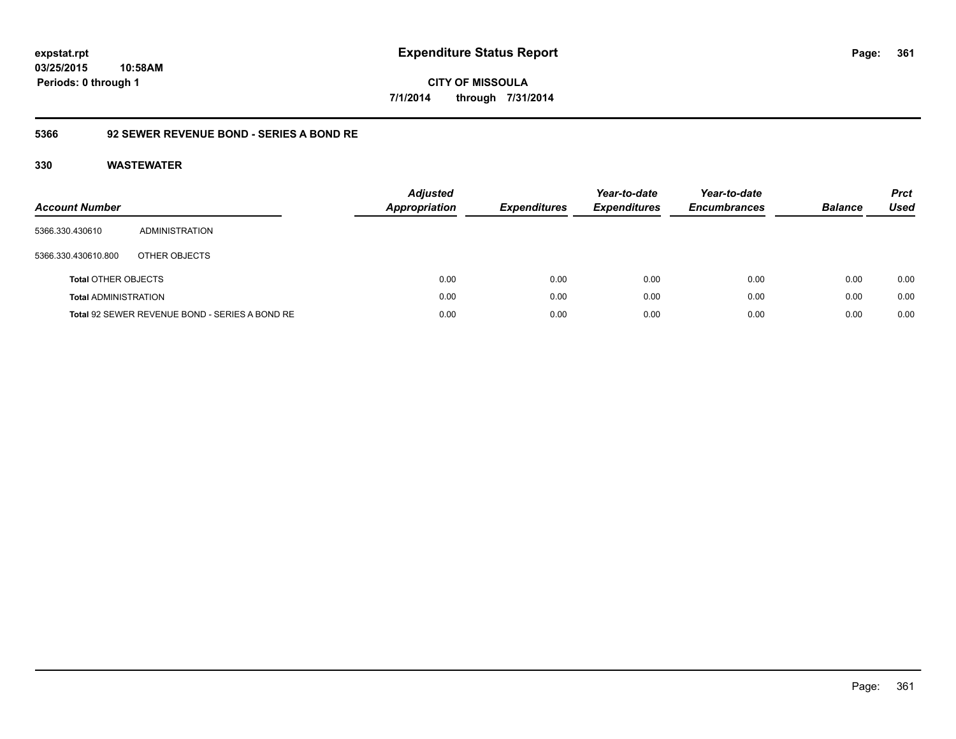## **03/25/2015 10:58AM Periods: 0 through 1**

**CITY OF MISSOULA 7/1/2014 through 7/31/2014**

### **5366 92 SEWER REVENUE BOND - SERIES A BOND RE**

| <b>Account Number</b>       |                                                | <b>Adjusted</b><br>Appropriation | <b>Expenditures</b> | Year-to-date<br><b>Expenditures</b> | Year-to-date<br><b>Encumbrances</b> | <b>Balance</b> | <b>Prct</b><br>Used |
|-----------------------------|------------------------------------------------|----------------------------------|---------------------|-------------------------------------|-------------------------------------|----------------|---------------------|
| 5366.330.430610             | ADMINISTRATION                                 |                                  |                     |                                     |                                     |                |                     |
| 5366.330.430610.800         | OTHER OBJECTS                                  |                                  |                     |                                     |                                     |                |                     |
| <b>Total OTHER OBJECTS</b>  |                                                | 0.00                             | 0.00                | 0.00                                | 0.00                                | 0.00           | 0.00                |
| <b>Total ADMINISTRATION</b> |                                                | 0.00                             | 0.00                | 0.00                                | 0.00                                | 0.00           | 0.00                |
|                             | Total 92 SEWER REVENUE BOND - SERIES A BOND RE | 0.00                             | 0.00                | 0.00                                | 0.00                                | 0.00           | 0.00                |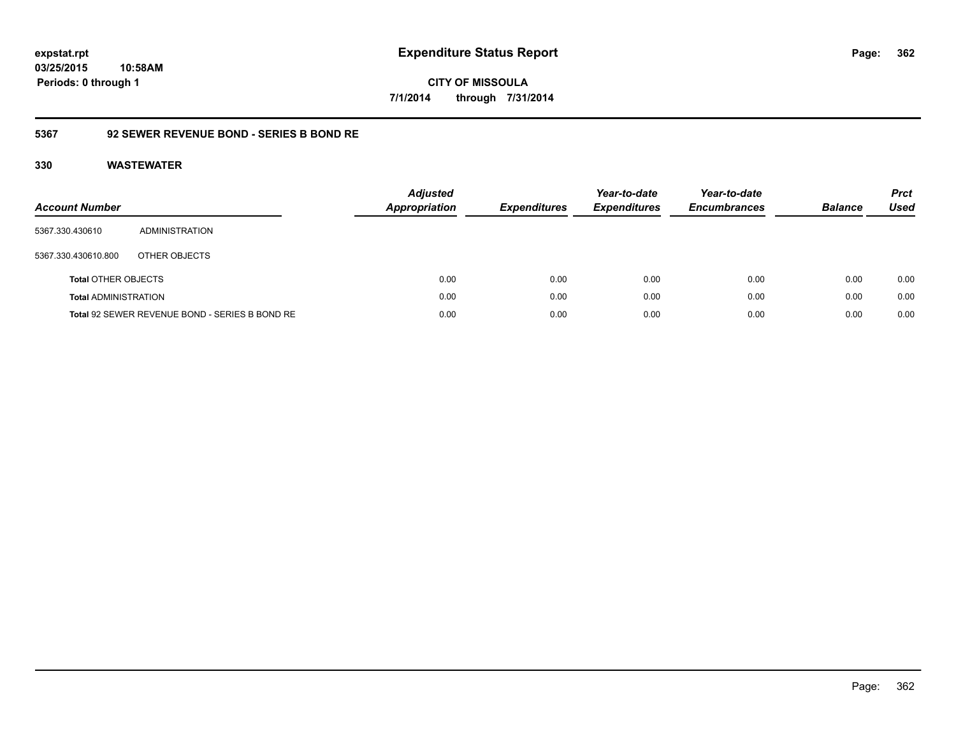## **03/25/2015 10:58AM Periods: 0 through 1**

**CITY OF MISSOULA 7/1/2014 through 7/31/2014**

### **5367 92 SEWER REVENUE BOND - SERIES B BOND RE**

| <b>Account Number</b>       |                                                | <b>Adjusted</b><br>Appropriation | <b>Expenditures</b> | Year-to-date<br><b>Expenditures</b> | Year-to-date<br><b>Encumbrances</b> | <b>Balance</b> | <b>Prct</b><br><b>Used</b> |
|-----------------------------|------------------------------------------------|----------------------------------|---------------------|-------------------------------------|-------------------------------------|----------------|----------------------------|
| 5367.330.430610             | ADMINISTRATION                                 |                                  |                     |                                     |                                     |                |                            |
| 5367.330.430610.800         | OTHER OBJECTS                                  |                                  |                     |                                     |                                     |                |                            |
| <b>Total OTHER OBJECTS</b>  |                                                | 0.00                             | 0.00                | 0.00                                | 0.00                                | 0.00           | 0.00                       |
| <b>Total ADMINISTRATION</b> |                                                | 0.00                             | 0.00                | 0.00                                | 0.00                                | 0.00           | 0.00                       |
|                             | Total 92 SEWER REVENUE BOND - SERIES B BOND RE | 0.00                             | 0.00                | 0.00                                | 0.00                                | 0.00           | 0.00                       |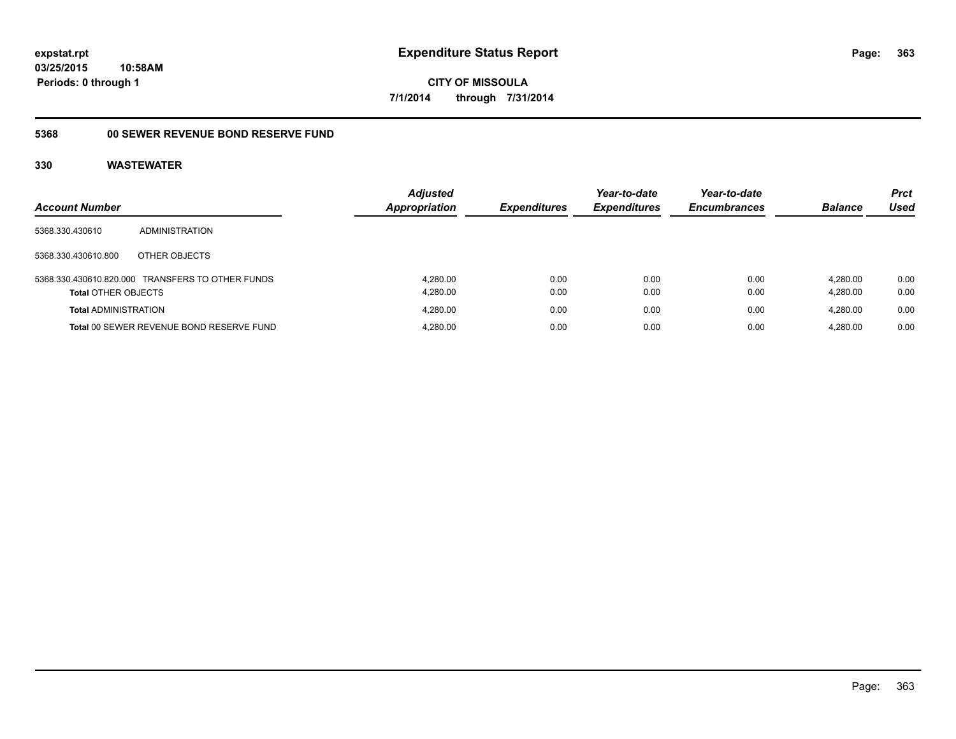#### **5368 00 SEWER REVENUE BOND RESERVE FUND**

| <b>Account Number</b>       |                                                  | <b>Adjusted</b><br><b>Appropriation</b> | <b>Expenditures</b> | Year-to-date<br><b>Expenditures</b> | Year-to-date<br><b>Encumbrances</b> | <b>Balance</b> | <b>Prct</b><br><b>Used</b> |
|-----------------------------|--------------------------------------------------|-----------------------------------------|---------------------|-------------------------------------|-------------------------------------|----------------|----------------------------|
| 5368.330.430610             | ADMINISTRATION                                   |                                         |                     |                                     |                                     |                |                            |
| 5368.330.430610.800         | OTHER OBJECTS                                    |                                         |                     |                                     |                                     |                |                            |
|                             | 5368.330.430610.820.000 TRANSFERS TO OTHER FUNDS | 4.280.00                                | 0.00                | 0.00                                | 0.00                                | 4.280.00       | 0.00                       |
| <b>Total OTHER OBJECTS</b>  |                                                  | 4,280.00                                | 0.00                | 0.00                                | 0.00                                | 4.280.00       | 0.00                       |
| <b>Total ADMINISTRATION</b> |                                                  | 4.280.00                                | 0.00                | 0.00                                | 0.00                                | 4.280.00       | 0.00                       |
|                             | Total 00 SEWER REVENUE BOND RESERVE FUND         | 4.280.00                                | 0.00                | 0.00                                | 0.00                                | 4.280.00       | 0.00                       |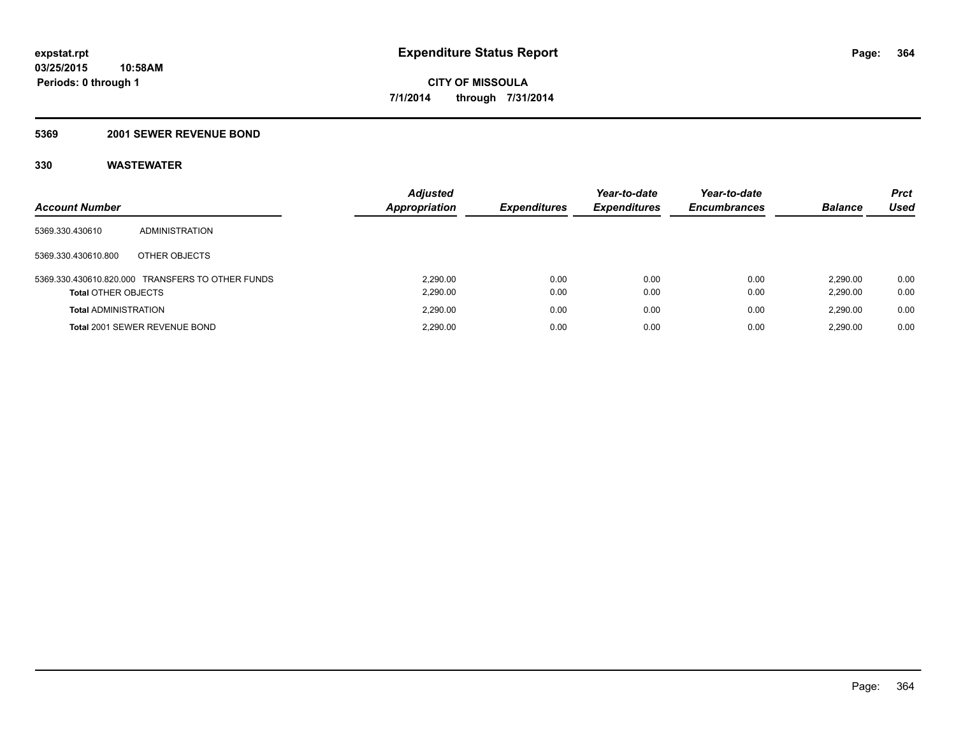#### **5369 2001 SEWER REVENUE BOND**

| <b>Account Number</b>       |                                                  | <b>Adjusted</b><br>Appropriation | <b>Expenditures</b> | Year-to-date<br><b>Expenditures</b> | Year-to-date<br><b>Encumbrances</b> | <b>Balance</b>       | <b>Prct</b><br>Used |
|-----------------------------|--------------------------------------------------|----------------------------------|---------------------|-------------------------------------|-------------------------------------|----------------------|---------------------|
| 5369.330.430610             | ADMINISTRATION                                   |                                  |                     |                                     |                                     |                      |                     |
| 5369.330.430610.800         | OTHER OBJECTS                                    |                                  |                     |                                     |                                     |                      |                     |
| <b>Total OTHER OBJECTS</b>  | 5369.330.430610.820.000 TRANSFERS TO OTHER FUNDS | 2.290.00<br>2,290.00             | 0.00<br>0.00        | 0.00<br>0.00                        | 0.00<br>0.00                        | 2.290.00<br>2,290.00 | 0.00<br>0.00        |
| <b>Total ADMINISTRATION</b> |                                                  | 2.290.00                         | 0.00                | 0.00                                | 0.00                                | 2.290.00             | 0.00                |
|                             | Total 2001 SEWER REVENUE BOND                    | 2.290.00                         | 0.00                | 0.00                                | 0.00                                | 2.290.00             | 0.00                |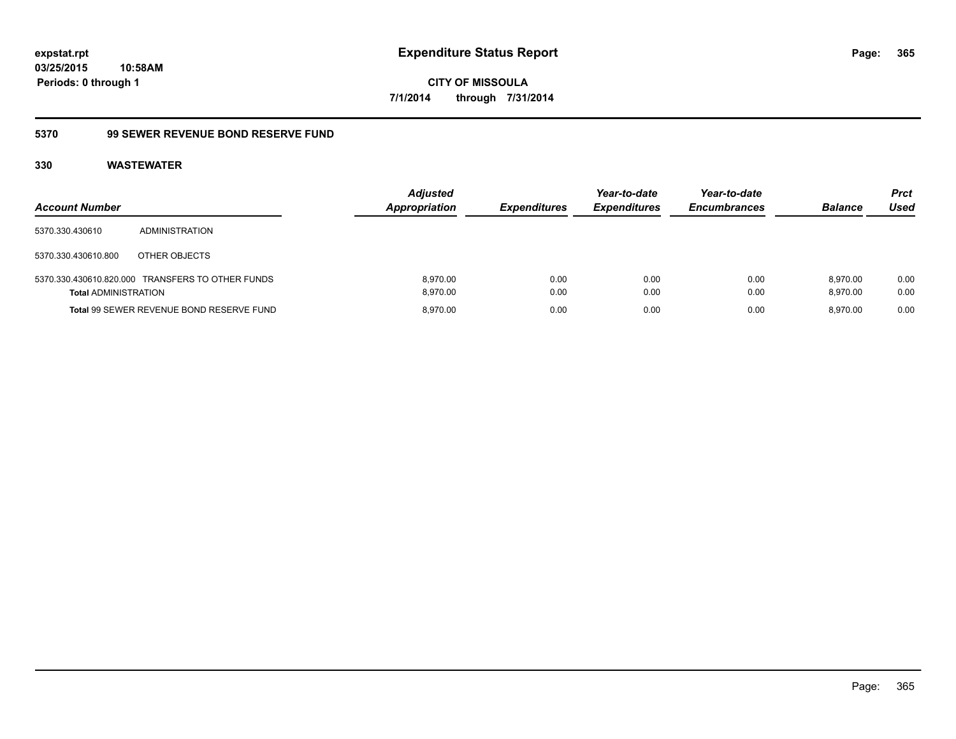## **5370 99 SEWER REVENUE BOND RESERVE FUND**

| <b>Account Number</b>       |                                                  | <b>Adjusted</b><br><b>Appropriation</b> | <b>Expenditures</b> | Year-to-date<br><b>Expenditures</b> | Year-to-date<br><b>Encumbrances</b> | <b>Balance</b>       | <b>Prct</b><br>Used |
|-----------------------------|--------------------------------------------------|-----------------------------------------|---------------------|-------------------------------------|-------------------------------------|----------------------|---------------------|
| 5370.330.430610             | <b>ADMINISTRATION</b>                            |                                         |                     |                                     |                                     |                      |                     |
| 5370.330.430610.800         | OTHER OBJECTS                                    |                                         |                     |                                     |                                     |                      |                     |
| <b>Total ADMINISTRATION</b> | 5370.330.430610.820.000 TRANSFERS TO OTHER FUNDS | 8.970.00<br>8.970.00                    | 0.00<br>0.00        | 0.00<br>0.00                        | 0.00<br>0.00                        | 8.970.00<br>8.970.00 | 0.00<br>0.00        |
|                             | Total 99 SEWER REVENUE BOND RESERVE FUND         | 8.970.00                                | 0.00                | 0.00                                | 0.00                                | 8.970.00             | 0.00                |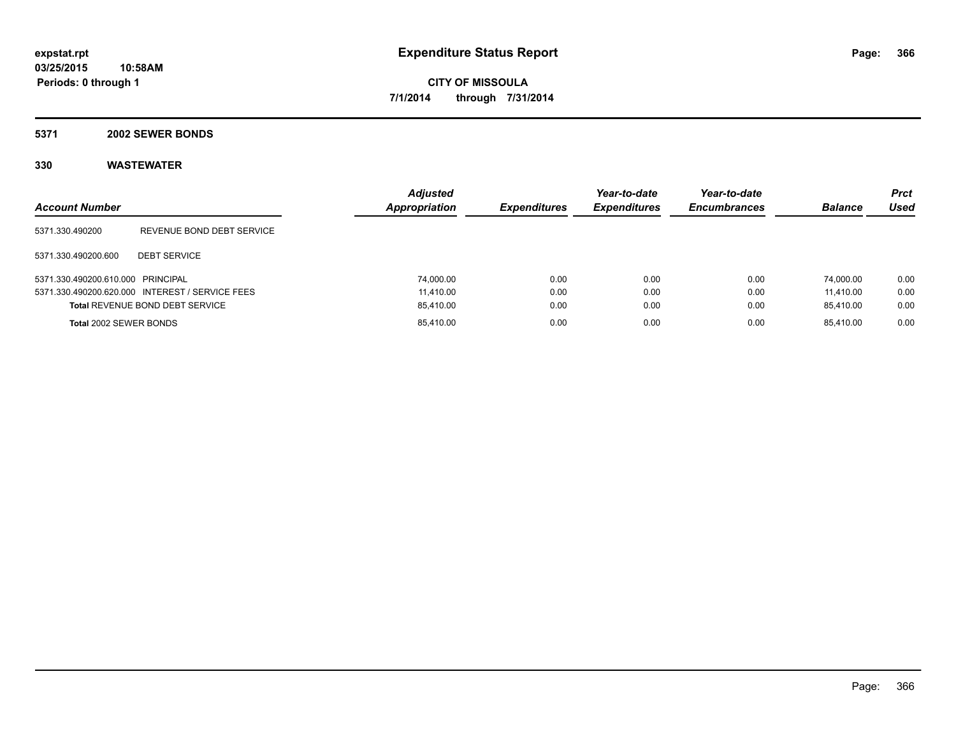#### **5371 2002 SEWER BONDS**

| <b>Account Number</b>             |                                                 | <b>Adjusted</b><br><b>Appropriation</b> | <i><b>Expenditures</b></i> | Year-to-date<br><b>Expenditures</b> | Year-to-date<br><b>Encumbrances</b> | <b>Balance</b> | <b>Prct</b><br>Used |
|-----------------------------------|-------------------------------------------------|-----------------------------------------|----------------------------|-------------------------------------|-------------------------------------|----------------|---------------------|
| 5371.330.490200                   | REVENUE BOND DEBT SERVICE                       |                                         |                            |                                     |                                     |                |                     |
| 5371.330.490200.600               | <b>DEBT SERVICE</b>                             |                                         |                            |                                     |                                     |                |                     |
| 5371.330.490200.610.000 PRINCIPAL |                                                 | 74,000.00                               | 0.00                       | 0.00                                | 0.00                                | 74.000.00      | 0.00                |
|                                   | 5371.330.490200.620.000 INTEREST / SERVICE FEES | 11.410.00                               | 0.00                       | 0.00                                | 0.00                                | 11.410.00      | 0.00                |
|                                   | <b>Total REVENUE BOND DEBT SERVICE</b>          | 85,410.00                               | 0.00                       | 0.00                                | 0.00                                | 85.410.00      | 0.00                |
| <b>Total 2002 SEWER BONDS</b>     |                                                 | 85,410.00                               | 0.00                       | 0.00                                | 0.00                                | 85.410.00      | 0.00                |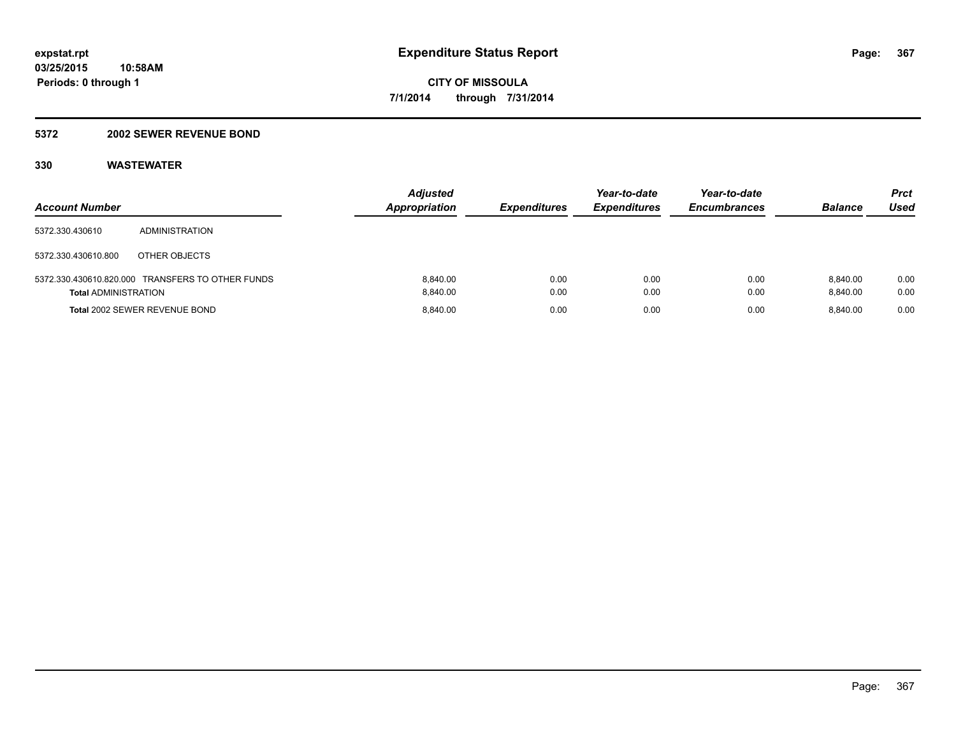#### **5372 2002 SEWER REVENUE BOND**

| <b>Account Number</b>       |                                                  | <b>Adjusted</b><br><b>Appropriation</b> | <b>Expenditures</b> | Year-to-date<br><b>Expenditures</b> | Year-to-date<br><b>Encumbrances</b> | <b>Balance</b>       | Prct<br>Used |
|-----------------------------|--------------------------------------------------|-----------------------------------------|---------------------|-------------------------------------|-------------------------------------|----------------------|--------------|
| 5372.330.430610             | ADMINISTRATION                                   |                                         |                     |                                     |                                     |                      |              |
| 5372.330.430610.800         | OTHER OBJECTS                                    |                                         |                     |                                     |                                     |                      |              |
| <b>Total ADMINISTRATION</b> | 5372.330.430610.820.000 TRANSFERS TO OTHER FUNDS | 8.840.00<br>8.840.00                    | 0.00<br>0.00        | 0.00<br>0.00                        | 0.00<br>0.00                        | 8.840.00<br>8.840.00 | 0.00<br>0.00 |
|                             | <b>Total 2002 SEWER REVENUE BOND</b>             | 8.840.00                                | 0.00                | 0.00                                | 0.00                                | 8.840.00             | 0.00         |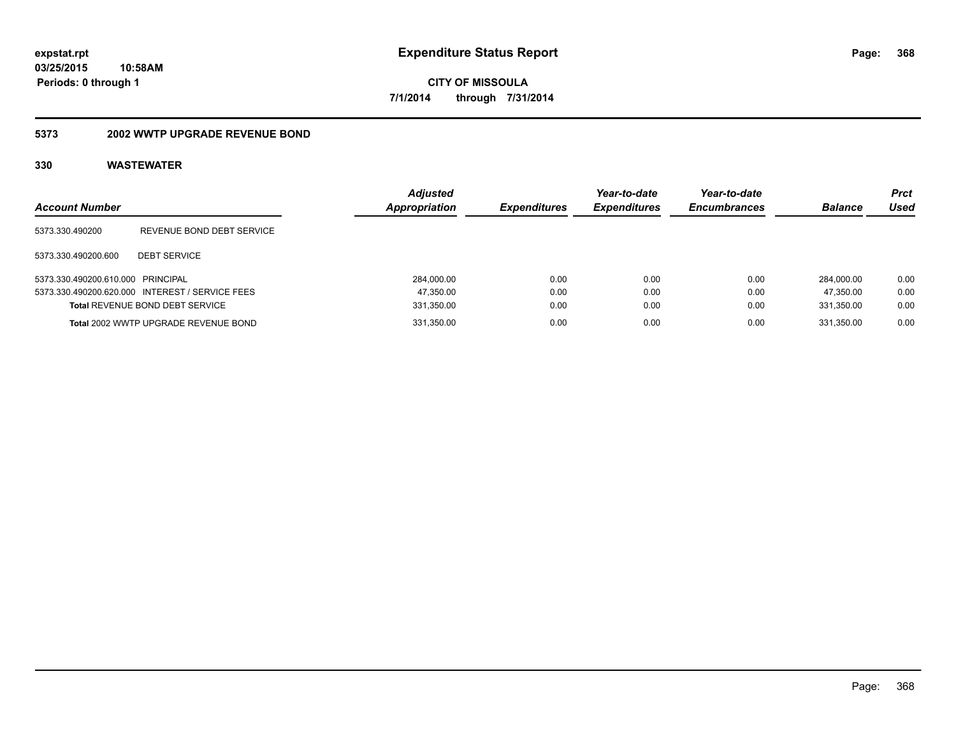#### **5373 2002 WWTP UPGRADE REVENUE BOND**

| <b>Account Number</b>             |                                                 | <b>Adjusted</b><br>Appropriation | <b>Expenditures</b> | Year-to-date<br><b>Expenditures</b> | Year-to-date<br><b>Encumbrances</b> | <b>Balance</b> | <b>Prct</b><br>Used |
|-----------------------------------|-------------------------------------------------|----------------------------------|---------------------|-------------------------------------|-------------------------------------|----------------|---------------------|
| 5373.330.490200                   | REVENUE BOND DEBT SERVICE                       |                                  |                     |                                     |                                     |                |                     |
| 5373.330.490200.600               | <b>DEBT SERVICE</b>                             |                                  |                     |                                     |                                     |                |                     |
| 5373.330.490200.610.000 PRINCIPAL |                                                 | 284.000.00                       | 0.00                | 0.00                                | 0.00                                | 284.000.00     | 0.00                |
|                                   | 5373.330.490200.620.000 INTEREST / SERVICE FEES | 47,350.00                        | 0.00                | 0.00                                | 0.00                                | 47.350.00      | 0.00                |
|                                   | <b>Total REVENUE BOND DEBT SERVICE</b>          | 331,350.00                       | 0.00                | 0.00                                | 0.00                                | 331.350.00     | 0.00                |
|                                   | Total 2002 WWTP UPGRADE REVENUE BOND            | 331,350.00                       | 0.00                | 0.00                                | 0.00                                | 331.350.00     | 0.00                |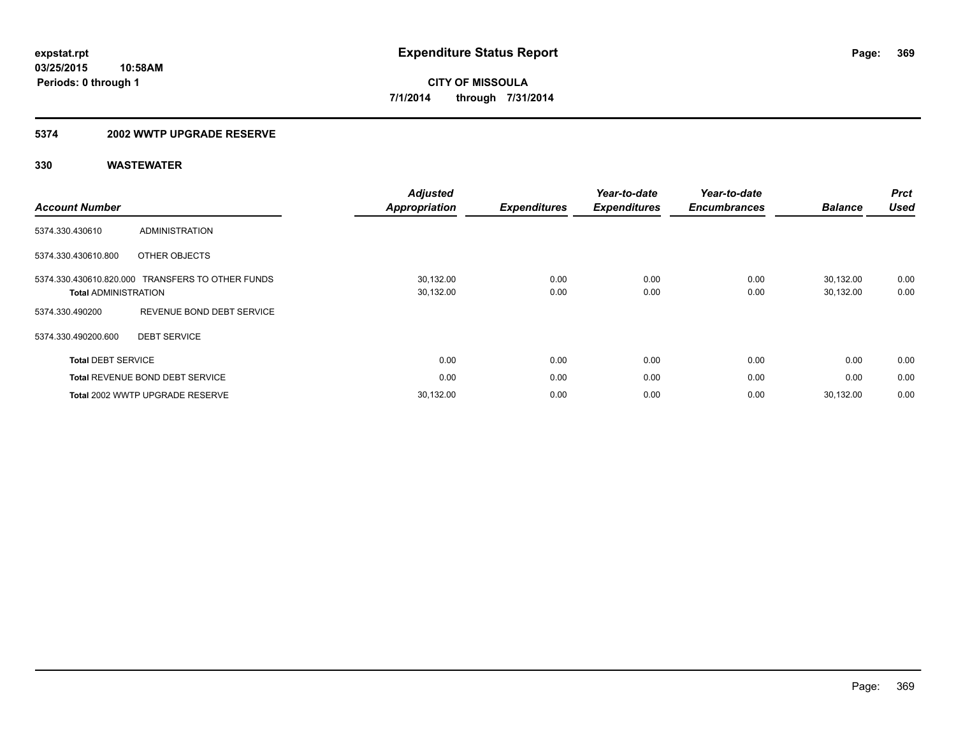#### **5374 2002 WWTP UPGRADE RESERVE**

| <b>Account Number</b>                                  |                                        | <b>Adjusted</b><br><b>Appropriation</b> | <b>Expenditures</b> | Year-to-date<br><b>Expenditures</b> | Year-to-date<br><b>Encumbrances</b> | <b>Balance</b>         | <b>Prct</b><br><b>Used</b> |
|--------------------------------------------------------|----------------------------------------|-----------------------------------------|---------------------|-------------------------------------|-------------------------------------|------------------------|----------------------------|
| 5374.330.430610                                        | <b>ADMINISTRATION</b>                  |                                         |                     |                                     |                                     |                        |                            |
| 5374.330.430610.800                                    | OTHER OBJECTS                          |                                         |                     |                                     |                                     |                        |                            |
| 5374.330.430610.820.000<br><b>Total ADMINISTRATION</b> | <b>TRANSFERS TO OTHER FUNDS</b>        | 30,132.00<br>30,132.00                  | 0.00<br>0.00        | 0.00<br>0.00                        | 0.00<br>0.00                        | 30,132.00<br>30,132.00 | 0.00<br>0.00               |
| 5374.330.490200                                        | REVENUE BOND DEBT SERVICE              |                                         |                     |                                     |                                     |                        |                            |
| 5374.330.490200.600                                    | <b>DEBT SERVICE</b>                    |                                         |                     |                                     |                                     |                        |                            |
| <b>Total DEBT SERVICE</b>                              |                                        | 0.00                                    | 0.00                | 0.00                                | 0.00                                | 0.00                   | 0.00                       |
|                                                        | <b>Total REVENUE BOND DEBT SERVICE</b> | 0.00                                    | 0.00                | 0.00                                | 0.00                                | 0.00                   | 0.00                       |
|                                                        | Total 2002 WWTP UPGRADE RESERVE        | 30,132.00                               | 0.00                | 0.00                                | 0.00                                | 30.132.00              | 0.00                       |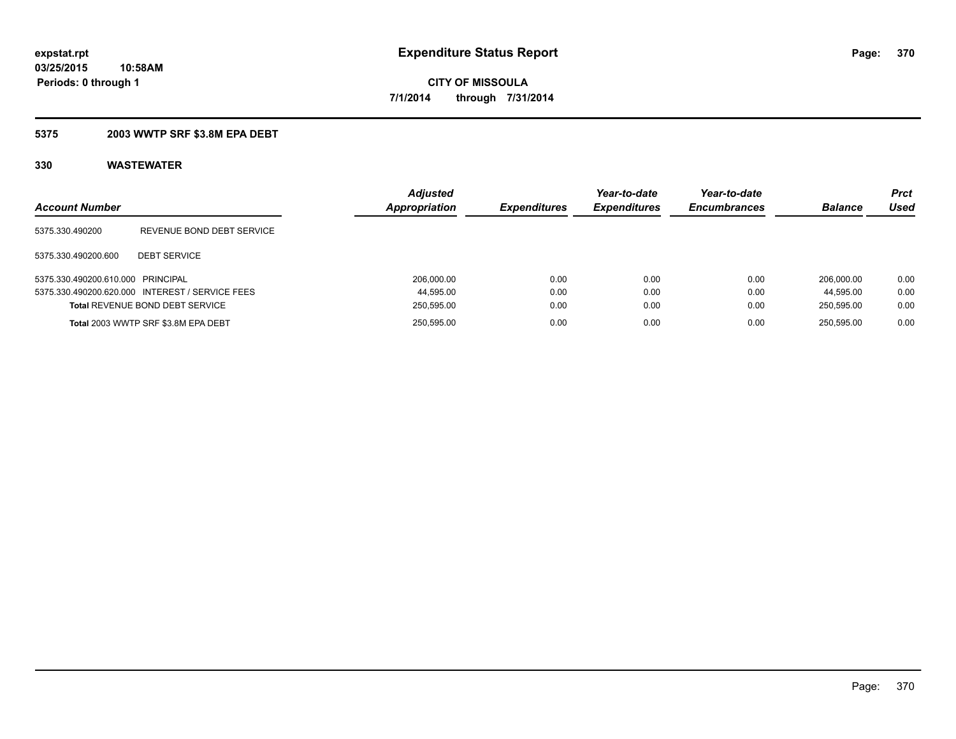### **5375 2003 WWTP SRF \$3.8M EPA DEBT**

| <b>Account Number</b>             |                                                 | <b>Adjusted</b><br>Appropriation | <b>Expenditures</b> | Year-to-date<br><b>Expenditures</b> | Year-to-date<br><b>Encumbrances</b> | <b>Balance</b> | <b>Prct</b><br>Used |
|-----------------------------------|-------------------------------------------------|----------------------------------|---------------------|-------------------------------------|-------------------------------------|----------------|---------------------|
| 5375.330.490200                   | REVENUE BOND DEBT SERVICE                       |                                  |                     |                                     |                                     |                |                     |
| 5375.330.490200.600               | <b>DEBT SERVICE</b>                             |                                  |                     |                                     |                                     |                |                     |
| 5375.330.490200.610.000 PRINCIPAL |                                                 | 206.000.00                       | 0.00                | 0.00                                | 0.00                                | 206.000.00     | 0.00                |
|                                   | 5375.330.490200.620.000 INTEREST / SERVICE FEES | 44.595.00                        | 0.00                | 0.00                                | 0.00                                | 44.595.00      | 0.00                |
|                                   | <b>Total REVENUE BOND DEBT SERVICE</b>          | 250,595.00                       | 0.00                | 0.00                                | 0.00                                | 250.595.00     | 0.00                |
|                                   | Total 2003 WWTP SRF \$3.8M EPA DEBT             | 250.595.00                       | 0.00                | 0.00                                | 0.00                                | 250.595.00     | 0.00                |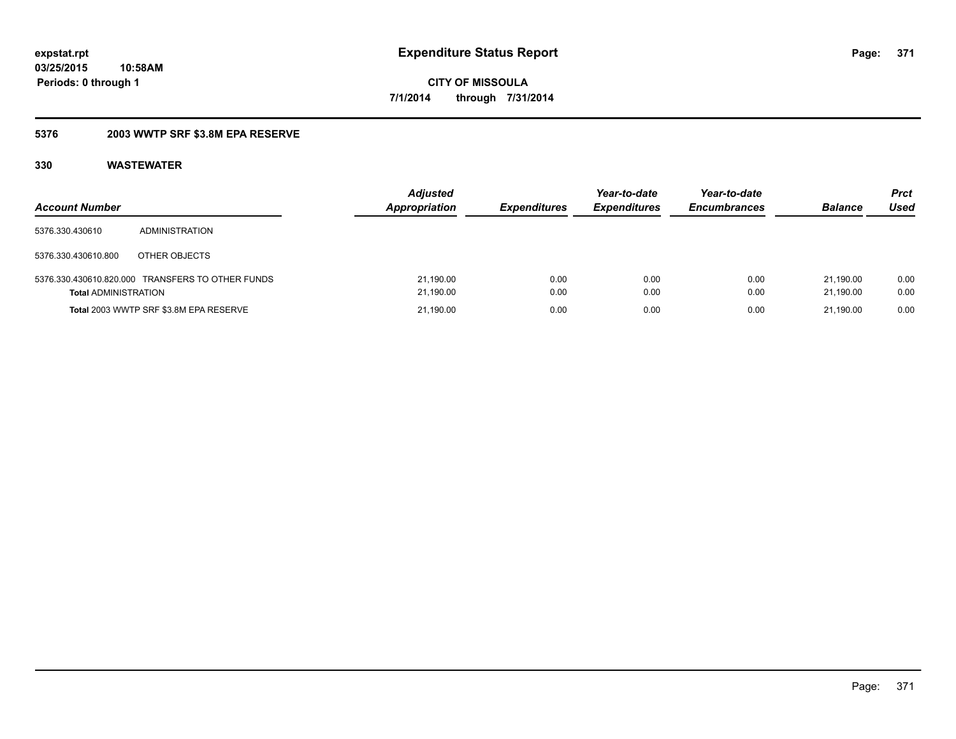### **5376 2003 WWTP SRF \$3.8M EPA RESERVE**

| <b>Account Number</b>       |                                                  | <b>Adjusted</b><br><b>Appropriation</b> | <b>Expenditures</b> | Year-to-date<br><b>Expenditures</b> | Year-to-date<br><b>Encumbrances</b> | <b>Balance</b>         | Prct<br>Used |
|-----------------------------|--------------------------------------------------|-----------------------------------------|---------------------|-------------------------------------|-------------------------------------|------------------------|--------------|
| 5376.330.430610             | ADMINISTRATION                                   |                                         |                     |                                     |                                     |                        |              |
| 5376.330.430610.800         | OTHER OBJECTS                                    |                                         |                     |                                     |                                     |                        |              |
| <b>Total ADMINISTRATION</b> | 5376.330.430610.820.000 TRANSFERS TO OTHER FUNDS | 21,190.00<br>21,190.00                  | 0.00<br>0.00        | 0.00<br>0.00                        | 0.00<br>0.00                        | 21.190.00<br>21.190.00 | 0.00<br>0.00 |
|                             | Total 2003 WWTP SRF \$3.8M EPA RESERVE           | 21,190.00                               | 0.00                | 0.00                                | 0.00                                | 21.190.00              | 0.00         |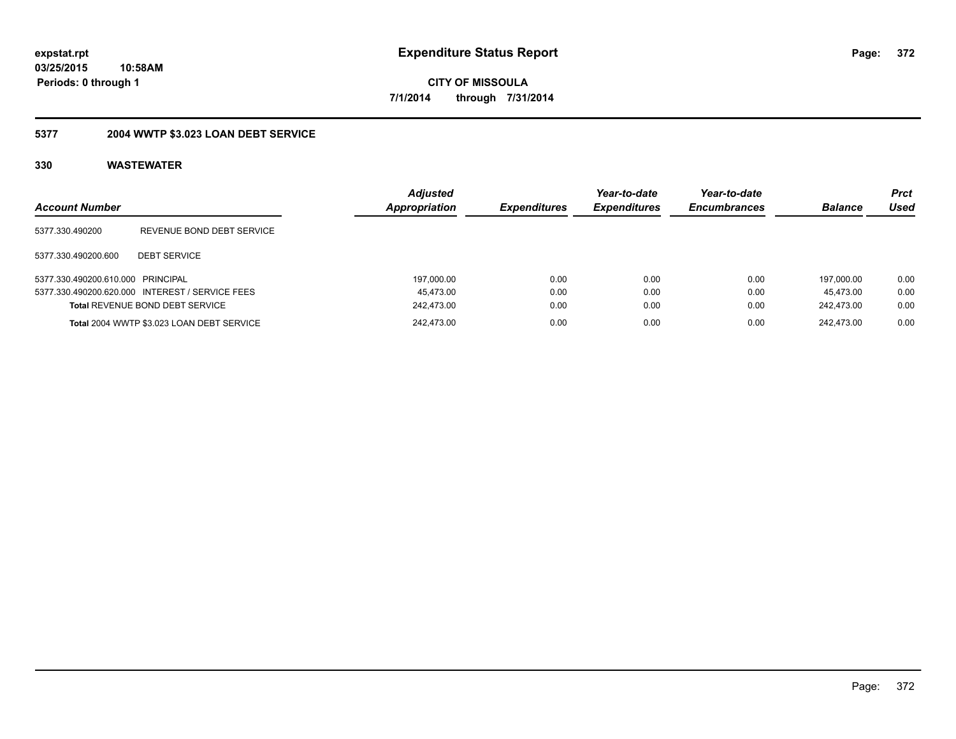## **5377 2004 WWTP \$3.023 LOAN DEBT SERVICE**

| <b>Account Number</b>             |                                                 | <b>Adjusted</b><br>Appropriation | <b>Expenditures</b> | Year-to-date<br><b>Expenditures</b> | Year-to-date<br><b>Encumbrances</b> | <b>Balance</b> | Prct<br>Used |
|-----------------------------------|-------------------------------------------------|----------------------------------|---------------------|-------------------------------------|-------------------------------------|----------------|--------------|
| 5377.330.490200                   | REVENUE BOND DEBT SERVICE                       |                                  |                     |                                     |                                     |                |              |
| 5377.330.490200.600               | <b>DEBT SERVICE</b>                             |                                  |                     |                                     |                                     |                |              |
| 5377.330.490200.610.000 PRINCIPAL |                                                 | 197,000.00                       | 0.00                | 0.00                                | 0.00                                | 197.000.00     | 0.00         |
|                                   | 5377.330.490200.620.000 INTEREST / SERVICE FEES | 45.473.00                        | 0.00                | 0.00                                | 0.00                                | 45.473.00      | 0.00         |
|                                   | Total REVENUE BOND DEBT SERVICE                 | 242,473.00                       | 0.00                | 0.00                                | 0.00                                | 242,473.00     | 0.00         |
|                                   | Total 2004 WWTP \$3.023 LOAN DEBT SERVICE       | 242.473.00                       | 0.00                | 0.00                                | 0.00                                | 242.473.00     | 0.00         |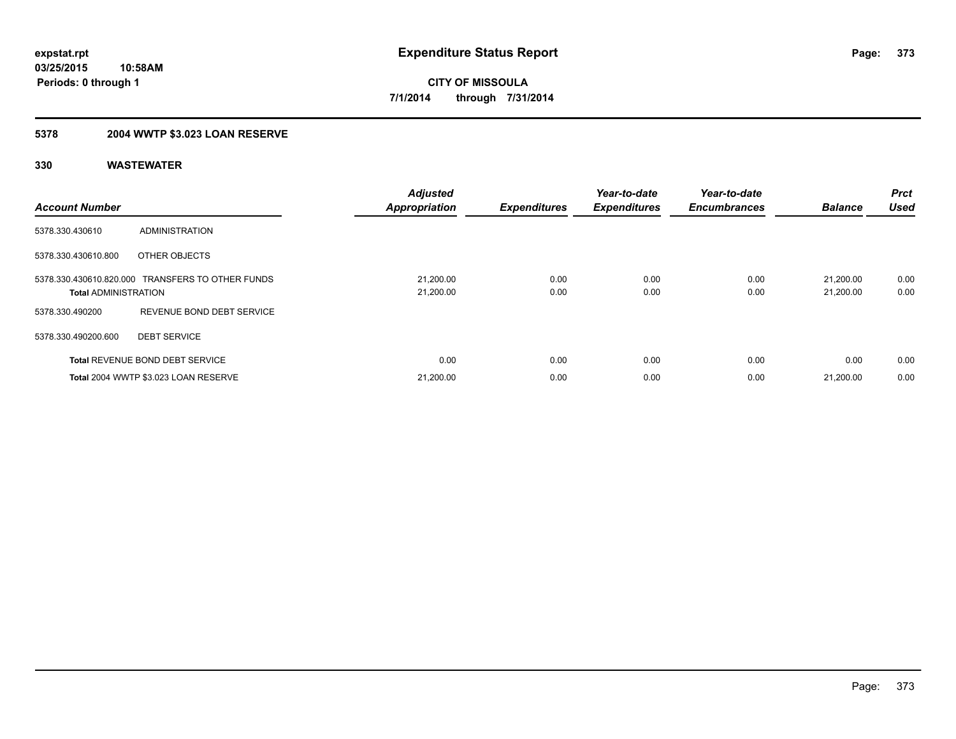### **5378 2004 WWTP \$3.023 LOAN RESERVE**

| <b>Account Number</b>       |                                                  | <b>Adjusted</b><br><b>Appropriation</b> | <b>Expenditures</b> | Year-to-date<br><b>Expenditures</b> | Year-to-date<br><b>Encumbrances</b> | <b>Balance</b>         | <b>Prct</b><br><b>Used</b> |
|-----------------------------|--------------------------------------------------|-----------------------------------------|---------------------|-------------------------------------|-------------------------------------|------------------------|----------------------------|
| 5378.330.430610             | <b>ADMINISTRATION</b>                            |                                         |                     |                                     |                                     |                        |                            |
| 5378.330.430610.800         | OTHER OBJECTS                                    |                                         |                     |                                     |                                     |                        |                            |
| <b>Total ADMINISTRATION</b> | 5378.330.430610.820.000 TRANSFERS TO OTHER FUNDS | 21,200.00<br>21,200.00                  | 0.00<br>0.00        | 0.00<br>0.00                        | 0.00<br>0.00                        | 21.200.00<br>21,200.00 | 0.00<br>0.00               |
| 5378.330.490200             | REVENUE BOND DEBT SERVICE                        |                                         |                     |                                     |                                     |                        |                            |
| 5378.330.490200.600         | <b>DEBT SERVICE</b>                              |                                         |                     |                                     |                                     |                        |                            |
|                             | <b>Total REVENUE BOND DEBT SERVICE</b>           | 0.00                                    | 0.00                | 0.00                                | 0.00                                | 0.00                   | 0.00                       |
|                             | Total 2004 WWTP \$3.023 LOAN RESERVE             | 21,200.00                               | 0.00                | 0.00                                | 0.00                                | 21,200.00              | 0.00                       |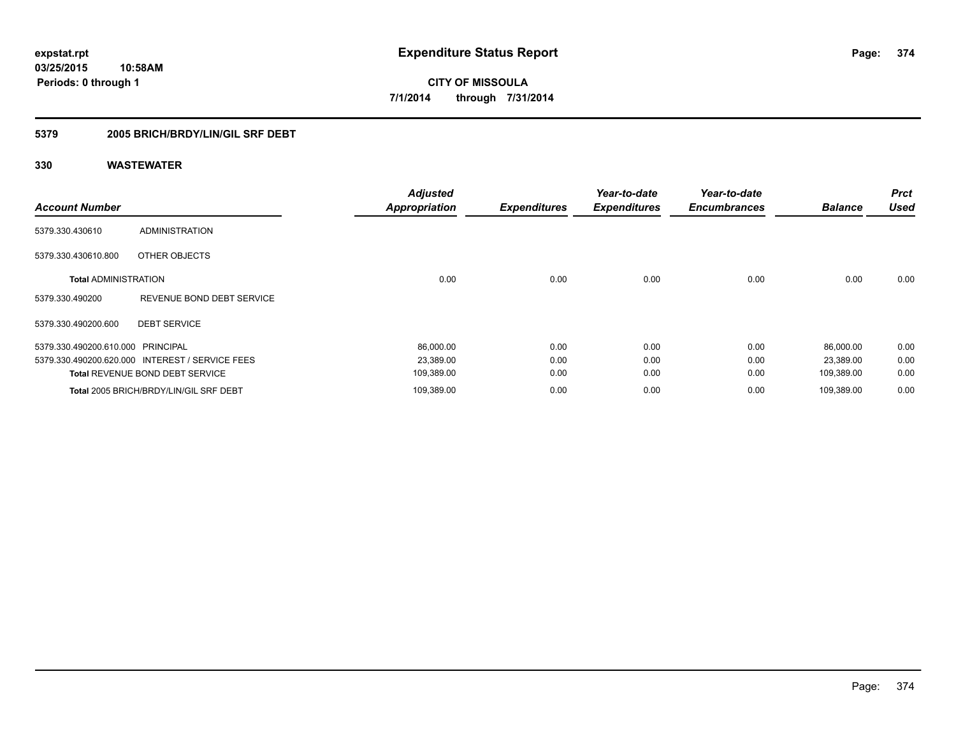### **5379 2005 BRICH/BRDY/LIN/GIL SRF DEBT**

| <b>Account Number</b>             |                                                 | <b>Adjusted</b><br><b>Appropriation</b> | <b>Expenditures</b> | Year-to-date<br><b>Expenditures</b> | Year-to-date<br><b>Encumbrances</b> | <b>Balance</b> | <b>Prct</b><br><b>Used</b> |
|-----------------------------------|-------------------------------------------------|-----------------------------------------|---------------------|-------------------------------------|-------------------------------------|----------------|----------------------------|
| 5379.330.430610                   | <b>ADMINISTRATION</b>                           |                                         |                     |                                     |                                     |                |                            |
| 5379.330.430610.800               | OTHER OBJECTS                                   |                                         |                     |                                     |                                     |                |                            |
| <b>Total ADMINISTRATION</b>       |                                                 | 0.00                                    | 0.00                | 0.00                                | 0.00                                | 0.00           | 0.00                       |
| 5379.330.490200                   | REVENUE BOND DEBT SERVICE                       |                                         |                     |                                     |                                     |                |                            |
| 5379.330.490200.600               | <b>DEBT SERVICE</b>                             |                                         |                     |                                     |                                     |                |                            |
| 5379.330.490200.610.000 PRINCIPAL |                                                 | 86,000.00                               | 0.00                | 0.00                                | 0.00                                | 86,000.00      | 0.00                       |
|                                   | 5379.330.490200.620.000 INTEREST / SERVICE FEES | 23,389.00                               | 0.00                | 0.00                                | 0.00                                | 23,389.00      | 0.00                       |
|                                   | <b>Total REVENUE BOND DEBT SERVICE</b>          | 109,389.00                              | 0.00                | 0.00                                | 0.00                                | 109,389.00     | 0.00                       |
|                                   | Total 2005 BRICH/BRDY/LIN/GIL SRF DEBT          | 109,389.00                              | 0.00                | 0.00                                | 0.00                                | 109,389.00     | 0.00                       |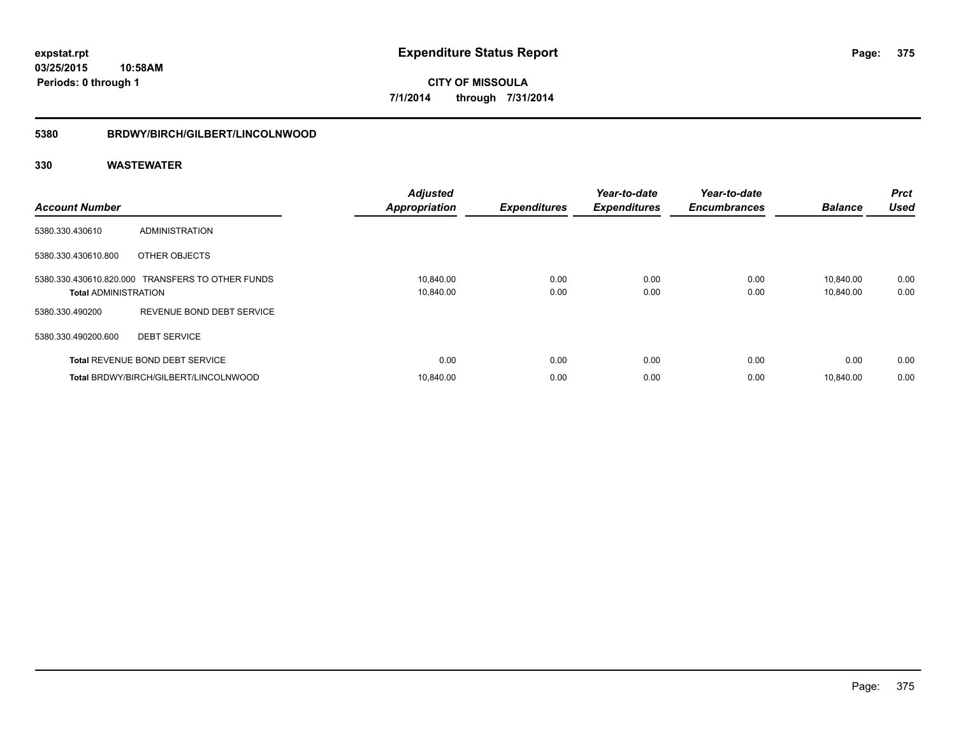### **5380 BRDWY/BIRCH/GILBERT/LINCOLNWOOD**

| <b>Account Number</b>       |                                                  | <b>Adjusted</b><br><b>Appropriation</b> | <b>Expenditures</b> | Year-to-date<br><b>Expenditures</b> | Year-to-date<br><b>Encumbrances</b> | <b>Balance</b>         | <b>Prct</b><br><b>Used</b> |
|-----------------------------|--------------------------------------------------|-----------------------------------------|---------------------|-------------------------------------|-------------------------------------|------------------------|----------------------------|
| 5380.330.430610             | <b>ADMINISTRATION</b>                            |                                         |                     |                                     |                                     |                        |                            |
| 5380.330.430610.800         | OTHER OBJECTS                                    |                                         |                     |                                     |                                     |                        |                            |
| <b>Total ADMINISTRATION</b> | 5380.330.430610.820.000 TRANSFERS TO OTHER FUNDS | 10,840.00<br>10,840.00                  | 0.00<br>0.00        | 0.00<br>0.00                        | 0.00<br>0.00                        | 10.840.00<br>10,840.00 | 0.00<br>0.00               |
| 5380.330.490200             | REVENUE BOND DEBT SERVICE                        |                                         |                     |                                     |                                     |                        |                            |
| 5380.330.490200.600         | <b>DEBT SERVICE</b>                              |                                         |                     |                                     |                                     |                        |                            |
|                             | <b>Total REVENUE BOND DEBT SERVICE</b>           | 0.00                                    | 0.00                | 0.00                                | 0.00                                | 0.00                   | 0.00                       |
|                             | Total BRDWY/BIRCH/GILBERT/LINCOLNWOOD            | 10.840.00                               | 0.00                | 0.00                                | 0.00                                | 10.840.00              | 0.00                       |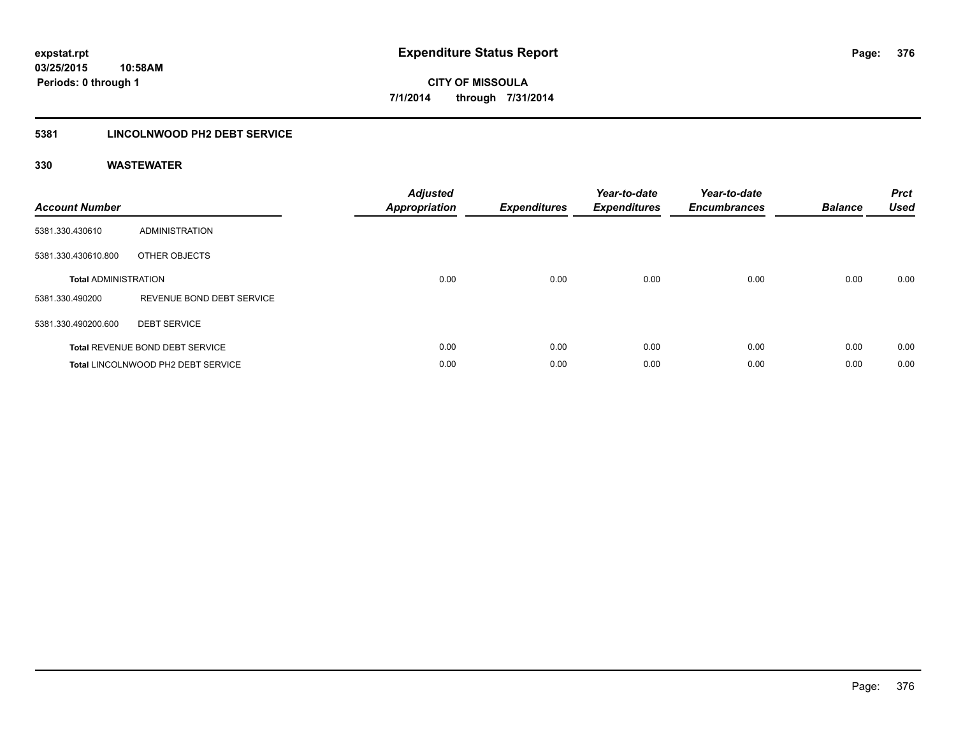### **5381 LINCOLNWOOD PH2 DEBT SERVICE**

| <b>Account Number</b>       |                                        | <b>Adjusted</b><br>Appropriation | <b>Expenditures</b> | Year-to-date<br><b>Expenditures</b> | Year-to-date<br><b>Encumbrances</b> | <b>Balance</b> | <b>Prct</b><br><b>Used</b> |
|-----------------------------|----------------------------------------|----------------------------------|---------------------|-------------------------------------|-------------------------------------|----------------|----------------------------|
| 5381.330.430610             | ADMINISTRATION                         |                                  |                     |                                     |                                     |                |                            |
| 5381.330.430610.800         | OTHER OBJECTS                          |                                  |                     |                                     |                                     |                |                            |
| <b>Total ADMINISTRATION</b> |                                        | 0.00                             | 0.00                | 0.00                                | 0.00                                | 0.00           | 0.00                       |
| 5381.330.490200             | REVENUE BOND DEBT SERVICE              |                                  |                     |                                     |                                     |                |                            |
| 5381.330.490200.600         | <b>DEBT SERVICE</b>                    |                                  |                     |                                     |                                     |                |                            |
|                             | <b>Total REVENUE BOND DEBT SERVICE</b> | 0.00                             | 0.00                | 0.00                                | 0.00                                | 0.00           | 0.00                       |
|                             | Total LINCOLNWOOD PH2 DEBT SERVICE     | 0.00                             | 0.00                | 0.00                                | 0.00                                | 0.00           | 0.00                       |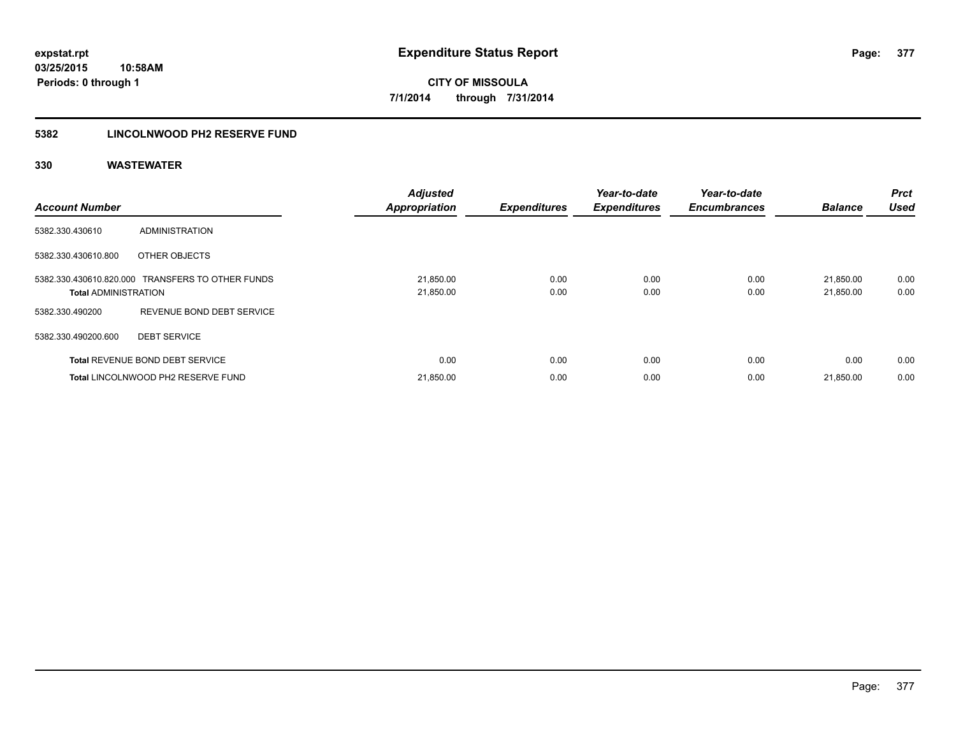### **5382 LINCOLNWOOD PH2 RESERVE FUND**

| <b>Account Number</b>       |                                                  | <b>Adjusted</b><br><b>Appropriation</b> | <b>Expenditures</b> | Year-to-date<br><b>Expenditures</b> | Year-to-date<br><b>Encumbrances</b> | <b>Balance</b>         | Prct<br><b>Used</b> |
|-----------------------------|--------------------------------------------------|-----------------------------------------|---------------------|-------------------------------------|-------------------------------------|------------------------|---------------------|
| 5382.330.430610             | <b>ADMINISTRATION</b>                            |                                         |                     |                                     |                                     |                        |                     |
| 5382.330.430610.800         | OTHER OBJECTS                                    |                                         |                     |                                     |                                     |                        |                     |
| <b>Total ADMINISTRATION</b> | 5382.330.430610.820.000 TRANSFERS TO OTHER FUNDS | 21,850.00<br>21,850.00                  | 0.00<br>0.00        | 0.00<br>0.00                        | 0.00<br>0.00                        | 21,850.00<br>21,850.00 | 0.00<br>0.00        |
| 5382.330.490200             | REVENUE BOND DEBT SERVICE                        |                                         |                     |                                     |                                     |                        |                     |
| 5382.330.490200.600         | <b>DEBT SERVICE</b>                              |                                         |                     |                                     |                                     |                        |                     |
|                             | <b>Total REVENUE BOND DEBT SERVICE</b>           | 0.00                                    | 0.00                | 0.00                                | 0.00                                | 0.00                   | 0.00                |
|                             | <b>Total LINCOLNWOOD PH2 RESERVE FUND</b>        | 21,850.00                               | 0.00                | 0.00                                | 0.00                                | 21,850.00              | 0.00                |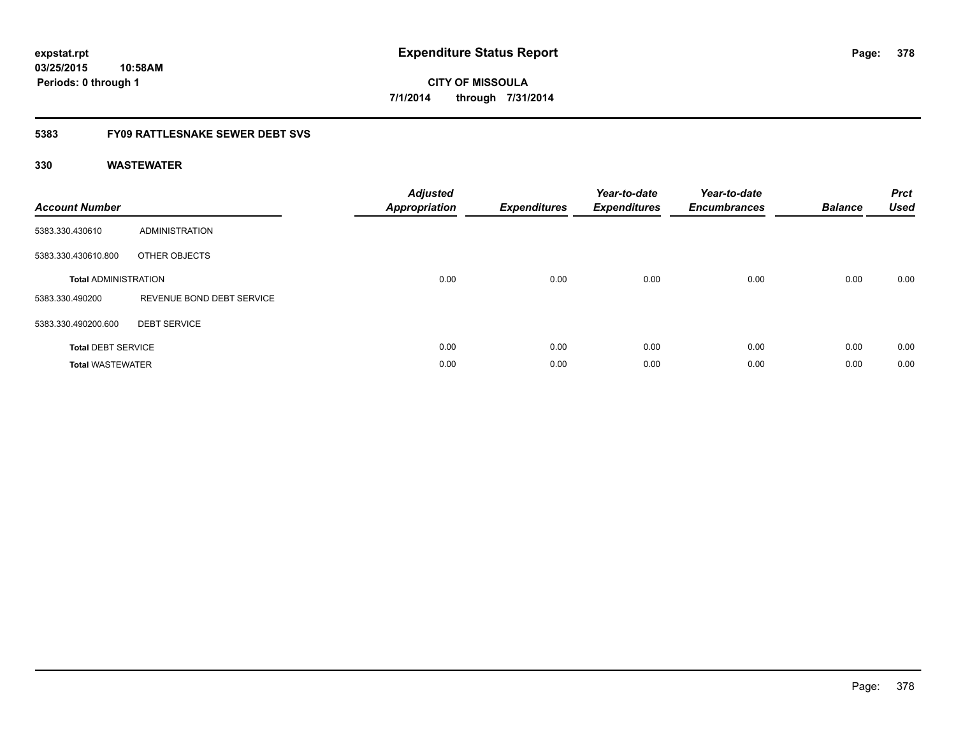## **03/25/2015 10:58AM Periods: 0 through 1**

**CITY OF MISSOULA 7/1/2014 through 7/31/2014**

### **5383 FY09 RATTLESNAKE SEWER DEBT SVS**

| <b>Account Number</b>       |                           | <b>Adjusted</b><br>Appropriation | <b>Expenditures</b> | Year-to-date<br><b>Expenditures</b> | Year-to-date<br><b>Encumbrances</b> | <b>Balance</b> | <b>Prct</b><br><b>Used</b> |
|-----------------------------|---------------------------|----------------------------------|---------------------|-------------------------------------|-------------------------------------|----------------|----------------------------|
| 5383.330.430610             | ADMINISTRATION            |                                  |                     |                                     |                                     |                |                            |
| 5383.330.430610.800         | OTHER OBJECTS             |                                  |                     |                                     |                                     |                |                            |
| <b>Total ADMINISTRATION</b> |                           | 0.00                             | 0.00                | 0.00                                | 0.00                                | 0.00           | 0.00                       |
| 5383.330.490200             | REVENUE BOND DEBT SERVICE |                                  |                     |                                     |                                     |                |                            |
| 5383.330.490200.600         | <b>DEBT SERVICE</b>       |                                  |                     |                                     |                                     |                |                            |
| <b>Total DEBT SERVICE</b>   |                           | 0.00                             | 0.00                | 0.00                                | 0.00                                | 0.00           | 0.00                       |
| <b>Total WASTEWATER</b>     |                           | 0.00                             | 0.00                | 0.00                                | 0.00                                | 0.00           | 0.00                       |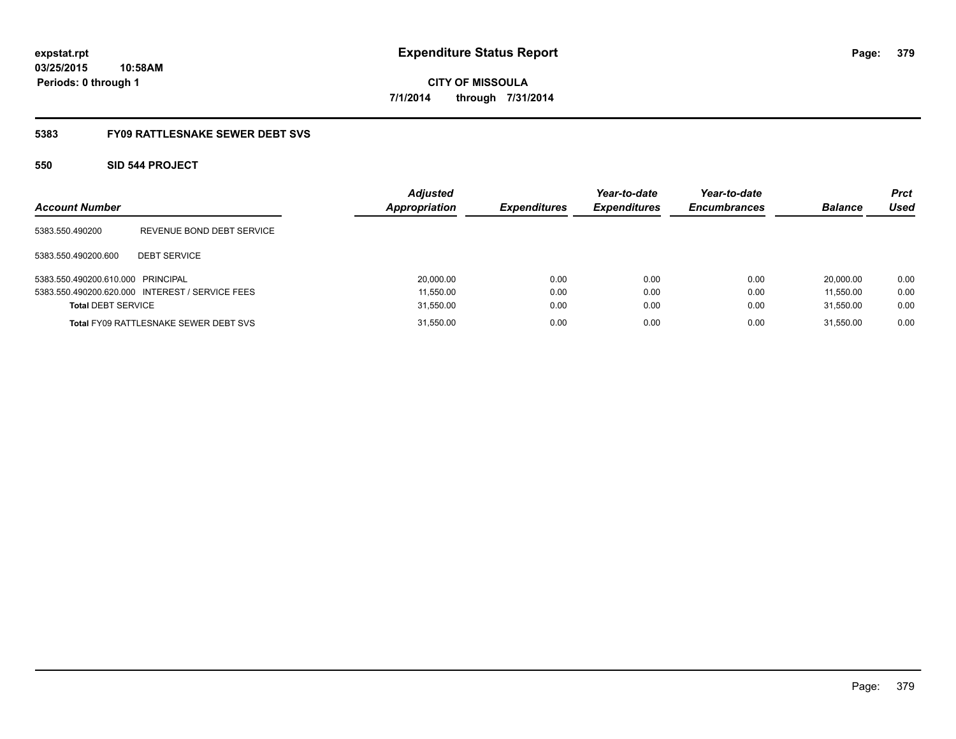## **03/25/2015 10:58AM Periods: 0 through 1**

**CITY OF MISSOULA 7/1/2014 through 7/31/2014**

### **5383 FY09 RATTLESNAKE SEWER DEBT SVS**

### **550 SID 544 PROJECT**

| <b>Account Number</b>             |                                                 | <b>Adjusted</b><br><b>Appropriation</b> | <b>Expenditures</b> | Year-to-date<br><b>Expenditures</b> | Year-to-date<br><b>Encumbrances</b> | <b>Balance</b> | <b>Prct</b><br>Used |
|-----------------------------------|-------------------------------------------------|-----------------------------------------|---------------------|-------------------------------------|-------------------------------------|----------------|---------------------|
| 5383.550.490200                   | REVENUE BOND DEBT SERVICE                       |                                         |                     |                                     |                                     |                |                     |
| 5383.550.490200.600               | <b>DEBT SERVICE</b>                             |                                         |                     |                                     |                                     |                |                     |
| 5383.550.490200.610.000 PRINCIPAL |                                                 | 20,000.00                               | 0.00                | 0.00                                | 0.00                                | 20.000.00      | 0.00                |
|                                   | 5383.550.490200.620.000 INTEREST / SERVICE FEES | 11,550.00                               | 0.00                | 0.00                                | 0.00                                | 11.550.00      | 0.00                |
| <b>Total DEBT SERVICE</b>         |                                                 | 31,550.00                               | 0.00                | 0.00                                | 0.00                                | 31.550.00      | 0.00                |
|                                   | <b>Total FY09 RATTLESNAKE SEWER DEBT SVS</b>    | 31,550.00                               | 0.00                | 0.00                                | 0.00                                | 31.550.00      | 0.00                |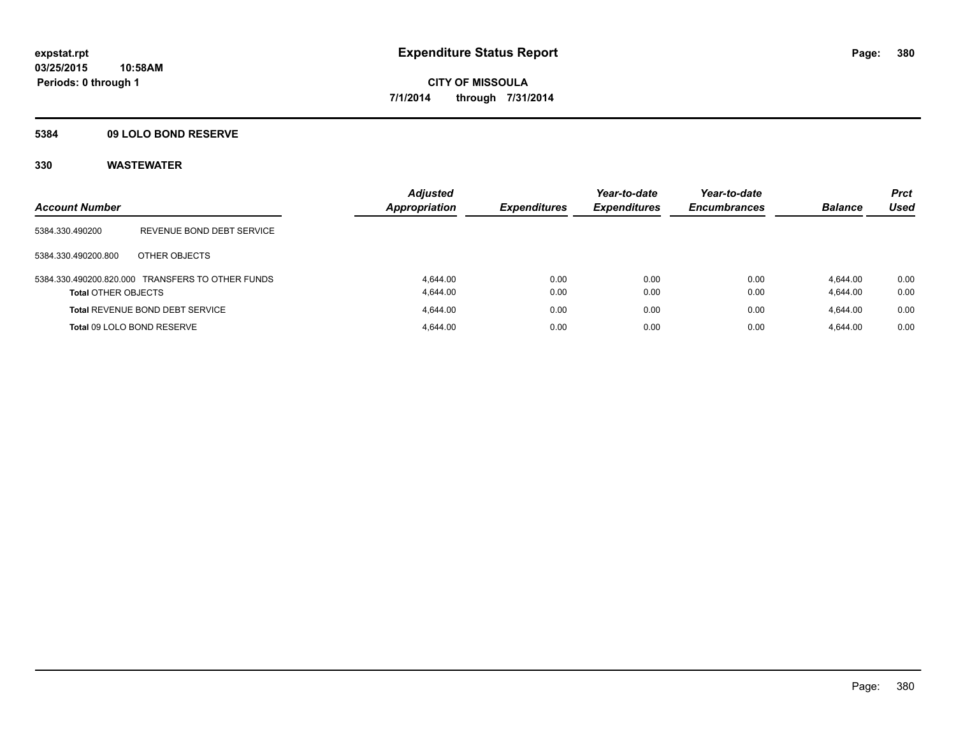### **5384 09 LOLO BOND RESERVE**

| <b>Account Number</b>      |                                                  | <b>Adjusted</b><br><b>Appropriation</b> | <b>Expenditures</b> | Year-to-date<br><b>Expenditures</b> | Year-to-date<br><b>Encumbrances</b> | <b>Balance</b>       | <b>Prct</b><br><b>Used</b> |
|----------------------------|--------------------------------------------------|-----------------------------------------|---------------------|-------------------------------------|-------------------------------------|----------------------|----------------------------|
| 5384.330.490200            | REVENUE BOND DEBT SERVICE                        |                                         |                     |                                     |                                     |                      |                            |
| 5384.330.490200.800        | OTHER OBJECTS                                    |                                         |                     |                                     |                                     |                      |                            |
| <b>Total OTHER OBJECTS</b> | 5384.330.490200.820.000 TRANSFERS TO OTHER FUNDS | 4.644.00<br>4.644.00                    | 0.00<br>0.00        | 0.00<br>0.00                        | 0.00<br>0.00                        | 4.644.00<br>4,644.00 | 0.00<br>0.00               |
|                            | <b>Total REVENUE BOND DEBT SERVICE</b>           | 4.644.00                                | 0.00                | 0.00                                | 0.00                                | 4.644.00             | 0.00                       |
|                            | Total 09 LOLO BOND RESERVE                       | 4.644.00                                | 0.00                | 0.00                                | 0.00                                | 4.644.00             | 0.00                       |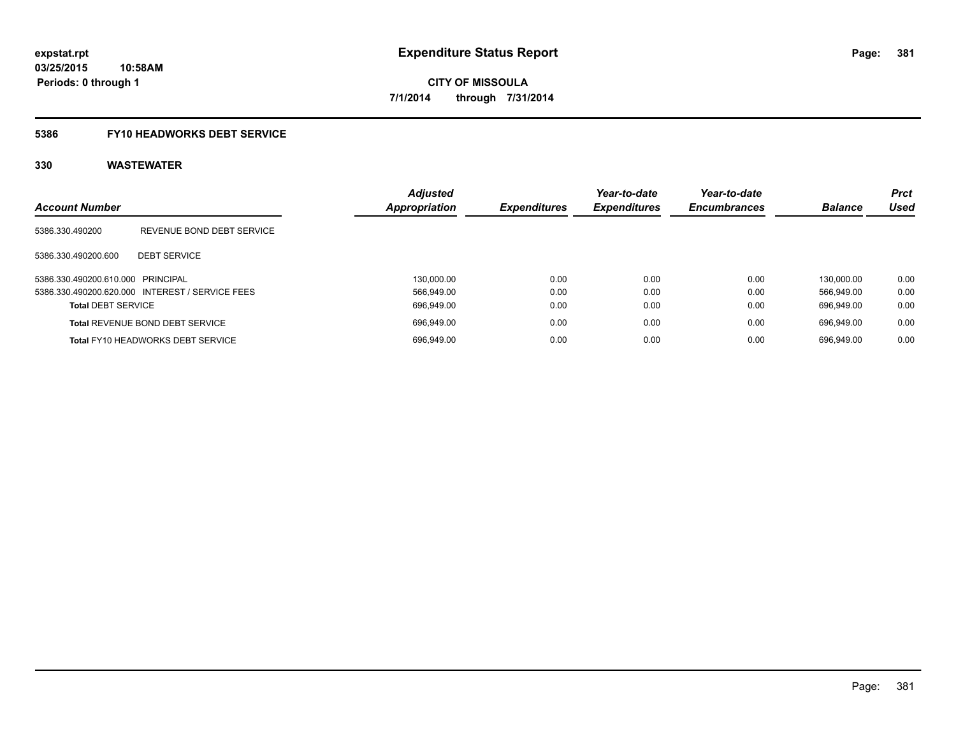### **5386 FY10 HEADWORKS DEBT SERVICE**

| <b>Account Number</b>                           | <b>Adjusted</b><br>Appropriation | <b>Expenditures</b> | Year-to-date<br><b>Expenditures</b> | Year-to-date<br><b>Encumbrances</b> | <b>Balance</b> | <b>Prct</b><br><b>Used</b> |
|-------------------------------------------------|----------------------------------|---------------------|-------------------------------------|-------------------------------------|----------------|----------------------------|
| 5386.330.490200<br>REVENUE BOND DEBT SERVICE    |                                  |                     |                                     |                                     |                |                            |
| <b>DEBT SERVICE</b><br>5386.330.490200.600      |                                  |                     |                                     |                                     |                |                            |
| 5386.330.490200.610.000 PRINCIPAL               | 130.000.00                       | 0.00                | 0.00                                | 0.00                                | 130.000.00     | 0.00                       |
| 5386.330.490200.620.000 INTEREST / SERVICE FEES | 566.949.00                       | 0.00                | 0.00                                | 0.00                                | 566.949.00     | 0.00                       |
| <b>Total DEBT SERVICE</b>                       | 696.949.00                       | 0.00                | 0.00                                | 0.00                                | 696.949.00     | 0.00                       |
| <b>Total REVENUE BOND DEBT SERVICE</b>          | 696.949.00                       | 0.00                | 0.00                                | 0.00                                | 696.949.00     | 0.00                       |
| <b>Total FY10 HEADWORKS DEBT SERVICE</b>        | 696.949.00                       | 0.00                | 0.00                                | 0.00                                | 696.949.00     | 0.00                       |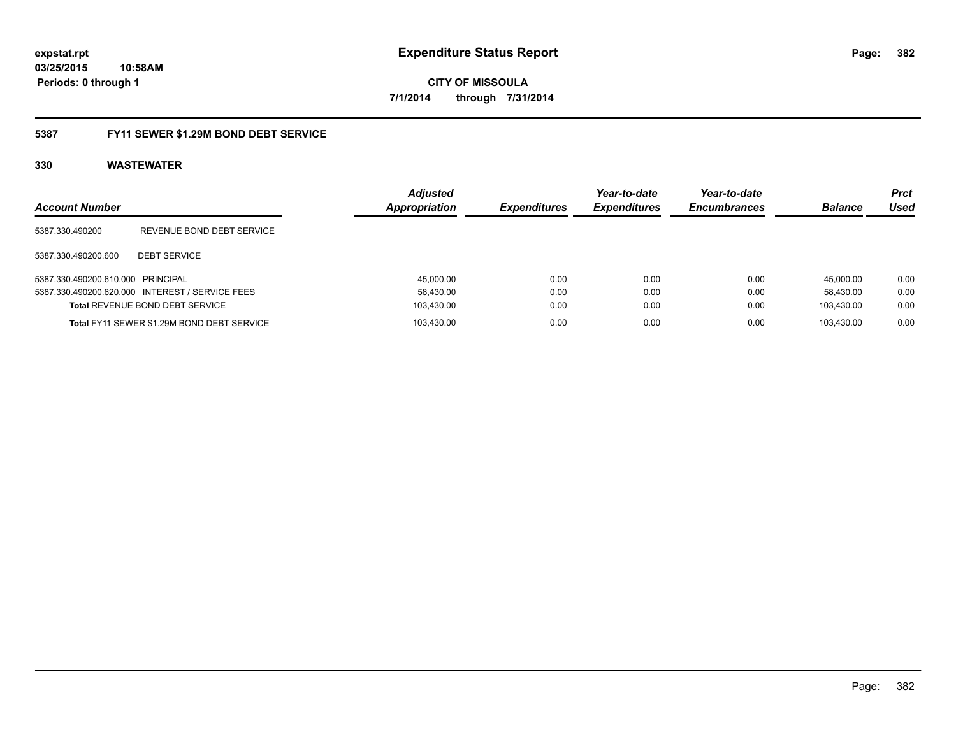### **5387 FY11 SEWER \$1.29M BOND DEBT SERVICE**

| <b>Account Number</b>             |                                                 | <b>Adjusted</b><br>Appropriation | <b>Expenditures</b> | Year-to-date<br><b>Expenditures</b> | Year-to-date<br><b>Encumbrances</b> | <b>Balance</b> | Prct<br>Used |
|-----------------------------------|-------------------------------------------------|----------------------------------|---------------------|-------------------------------------|-------------------------------------|----------------|--------------|
| 5387.330.490200                   | REVENUE BOND DEBT SERVICE                       |                                  |                     |                                     |                                     |                |              |
| 5387.330.490200.600               | <b>DEBT SERVICE</b>                             |                                  |                     |                                     |                                     |                |              |
| 5387.330.490200.610.000 PRINCIPAL |                                                 | 45.000.00                        | 0.00                | 0.00                                | 0.00                                | 45.000.00      | 0.00         |
|                                   | 5387.330.490200.620.000 INTEREST / SERVICE FEES | 58.430.00                        | 0.00                | 0.00                                | 0.00                                | 58.430.00      | 0.00         |
|                                   | Total REVENUE BOND DEBT SERVICE                 | 103,430.00                       | 0.00                | 0.00                                | 0.00                                | 103.430.00     | 0.00         |
|                                   | Total FY11 SEWER \$1.29M BOND DEBT SERVICE      | 103.430.00                       | 0.00                | 0.00                                | 0.00                                | 103.430.00     | 0.00         |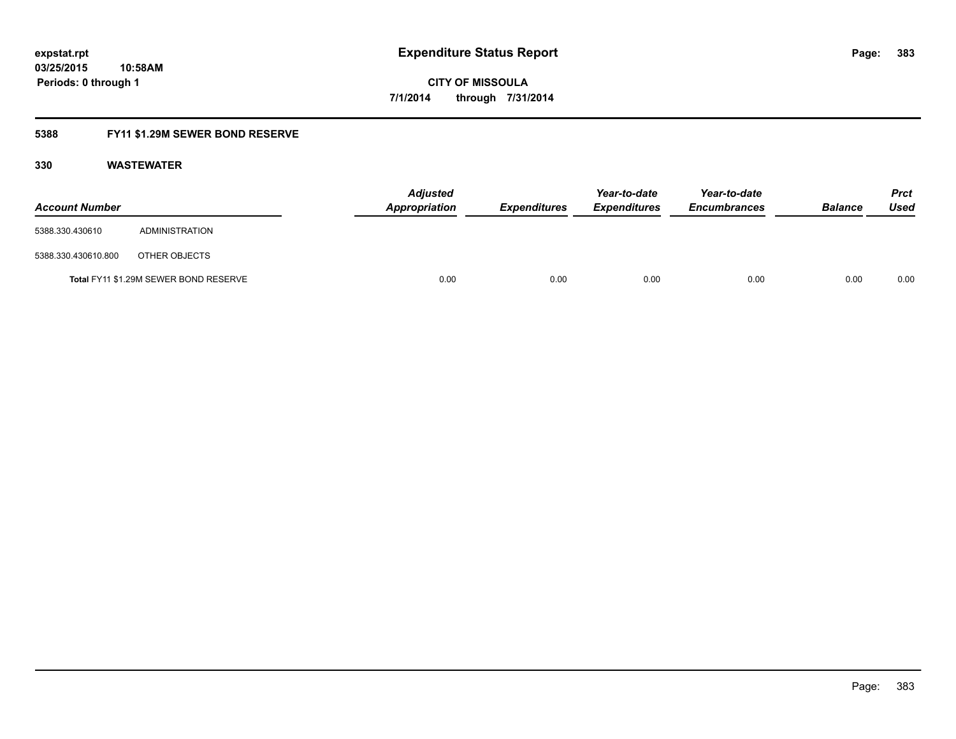### **5388 FY11 \$1.29M SEWER BOND RESERVE**

| <b>Account Number</b> |                                       | <b>Adjusted</b><br>Appropriation | <b>Expenditures</b> | Year-to-date<br><b>Expenditures</b> | Year-to-date<br><b>Encumbrances</b> | <b>Balance</b> | <b>Prct</b><br>Used |
|-----------------------|---------------------------------------|----------------------------------|---------------------|-------------------------------------|-------------------------------------|----------------|---------------------|
| 5388.330.430610       | ADMINISTRATION                        |                                  |                     |                                     |                                     |                |                     |
| 5388.330.430610.800   | OTHER OBJECTS                         |                                  |                     |                                     |                                     |                |                     |
|                       | Total FY11 \$1.29M SEWER BOND RESERVE | 0.00                             | 0.00                | 0.00                                | 0.00                                | 0.00           | 0.00                |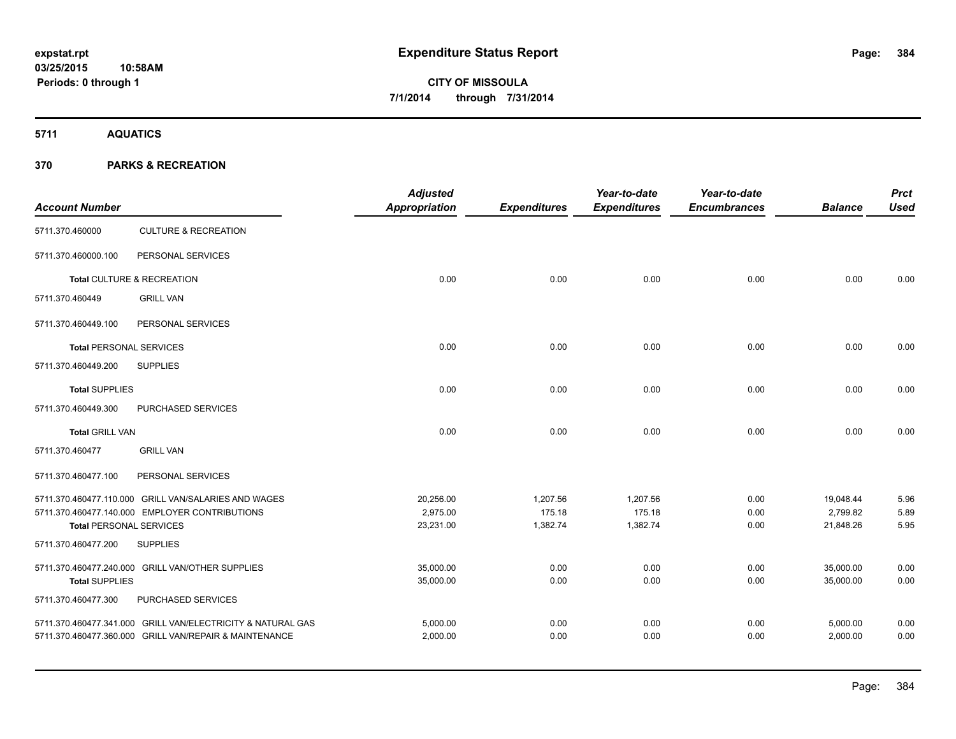**5711 AQUATICS**

| <b>Account Number</b>          |                                                             | <b>Adjusted</b><br>Appropriation | <b>Expenditures</b> | Year-to-date<br><b>Expenditures</b> | Year-to-date<br><b>Encumbrances</b> | <b>Balance</b> | <b>Prct</b><br><b>Used</b> |
|--------------------------------|-------------------------------------------------------------|----------------------------------|---------------------|-------------------------------------|-------------------------------------|----------------|----------------------------|
| 5711.370.460000                | <b>CULTURE &amp; RECREATION</b>                             |                                  |                     |                                     |                                     |                |                            |
| 5711.370.460000.100            | PERSONAL SERVICES                                           |                                  |                     |                                     |                                     |                |                            |
|                                | Total CULTURE & RECREATION                                  | 0.00                             | 0.00                | 0.00                                | 0.00                                | 0.00           | 0.00                       |
| 5711.370.460449                | <b>GRILL VAN</b>                                            |                                  |                     |                                     |                                     |                |                            |
| 5711.370.460449.100            | PERSONAL SERVICES                                           |                                  |                     |                                     |                                     |                |                            |
| <b>Total PERSONAL SERVICES</b> |                                                             | 0.00                             | 0.00                | 0.00                                | 0.00                                | 0.00           | 0.00                       |
| 5711.370.460449.200            | <b>SUPPLIES</b>                                             |                                  |                     |                                     |                                     |                |                            |
| <b>Total SUPPLIES</b>          |                                                             | 0.00                             | 0.00                | 0.00                                | 0.00                                | 0.00           | 0.00                       |
| 5711.370.460449.300            | <b>PURCHASED SERVICES</b>                                   |                                  |                     |                                     |                                     |                |                            |
| <b>Total GRILL VAN</b>         |                                                             | 0.00                             | 0.00                | 0.00                                | 0.00                                | 0.00           | 0.00                       |
| 5711.370.460477                | <b>GRILL VAN</b>                                            |                                  |                     |                                     |                                     |                |                            |
| 5711.370.460477.100            | PERSONAL SERVICES                                           |                                  |                     |                                     |                                     |                |                            |
|                                | 5711.370.460477.110.000 GRILL VAN/SALARIES AND WAGES        | 20,256.00                        | 1,207.56            | 1,207.56                            | 0.00                                | 19,048.44      | 5.96                       |
|                                | 5711.370.460477.140.000 EMPLOYER CONTRIBUTIONS              | 2.975.00                         | 175.18              | 175.18                              | 0.00                                | 2.799.82       | 5.89                       |
| <b>Total PERSONAL SERVICES</b> |                                                             | 23,231.00                        | 1,382.74            | 1,382.74                            | 0.00                                | 21,848.26      | 5.95                       |
| 5711.370.460477.200            | <b>SUPPLIES</b>                                             |                                  |                     |                                     |                                     |                |                            |
|                                | 5711.370.460477.240.000 GRILL VAN/OTHER SUPPLIES            | 35,000.00                        | 0.00                | 0.00                                | 0.00                                | 35,000.00      | 0.00                       |
| <b>Total SUPPLIES</b>          |                                                             | 35,000.00                        | 0.00                | 0.00                                | 0.00                                | 35,000.00      | 0.00                       |
| 5711.370.460477.300            | PURCHASED SERVICES                                          |                                  |                     |                                     |                                     |                |                            |
|                                | 5711.370.460477.341.000 GRILL VAN/ELECTRICITY & NATURAL GAS | 5,000.00                         | 0.00                | 0.00                                | 0.00                                | 5,000.00       | 0.00                       |
|                                | 5711.370.460477.360.000 GRILL VAN/REPAIR & MAINTENANCE      | 2,000.00                         | 0.00                | 0.00                                | 0.00                                | 2,000.00       | 0.00                       |
|                                |                                                             |                                  |                     |                                     |                                     |                |                            |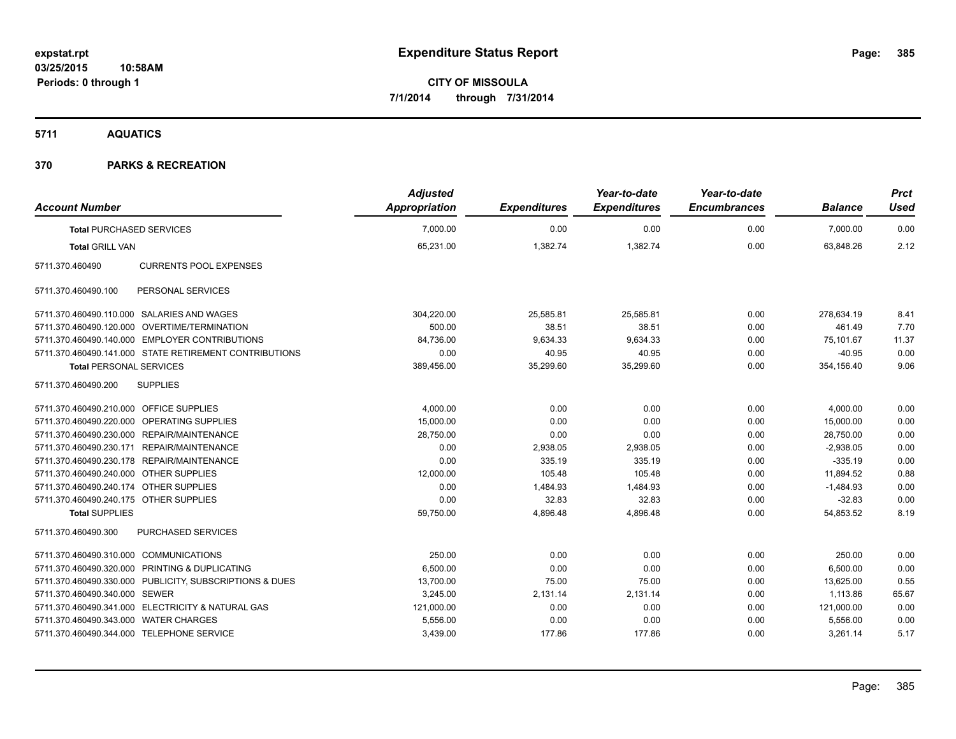**5711 AQUATICS**

| <b>Account Number</b>                     |                                                         | <b>Adjusted</b><br>Appropriation | <b>Expenditures</b> | Year-to-date<br><b>Expenditures</b> | Year-to-date<br><b>Encumbrances</b> | <b>Balance</b> | <b>Prct</b><br><b>Used</b> |
|-------------------------------------------|---------------------------------------------------------|----------------------------------|---------------------|-------------------------------------|-------------------------------------|----------------|----------------------------|
| <b>Total PURCHASED SERVICES</b>           |                                                         | 7,000.00                         | 0.00                | 0.00                                | 0.00                                | 7,000.00       | 0.00                       |
| <b>Total GRILL VAN</b>                    |                                                         | 65,231.00                        | 1,382.74            | 1,382.74                            | 0.00                                | 63,848.26      | 2.12                       |
| 5711.370.460490                           | <b>CURRENTS POOL EXPENSES</b>                           |                                  |                     |                                     |                                     |                |                            |
| 5711.370.460490.100                       | PERSONAL SERVICES                                       |                                  |                     |                                     |                                     |                |                            |
|                                           | 5711.370.460490.110.000 SALARIES AND WAGES              | 304,220.00                       | 25,585.81           | 25,585.81                           | 0.00                                | 278,634.19     | 8.41                       |
|                                           | 5711.370.460490.120.000 OVERTIME/TERMINATION            | 500.00                           | 38.51               | 38.51                               | 0.00                                | 461.49         | 7.70                       |
|                                           | 5711.370.460490.140.000 EMPLOYER CONTRIBUTIONS          | 84,736.00                        | 9,634.33            | 9,634.33                            | 0.00                                | 75,101.67      | 11.37                      |
|                                           | 5711.370.460490.141.000 STATE RETIREMENT CONTRIBUTIONS  | 0.00                             | 40.95               | 40.95                               | 0.00                                | $-40.95$       | 0.00                       |
| <b>Total PERSONAL SERVICES</b>            |                                                         | 389,456.00                       | 35,299.60           | 35,299.60                           | 0.00                                | 354,156.40     | 9.06                       |
| 5711.370.460490.200                       | <b>SUPPLIES</b>                                         |                                  |                     |                                     |                                     |                |                            |
| 5711.370.460490.210.000 OFFICE SUPPLIES   |                                                         | 4,000.00                         | 0.00                | 0.00                                | 0.00                                | 4,000.00       | 0.00                       |
|                                           | 5711.370.460490.220.000 OPERATING SUPPLIES              | 15.000.00                        | 0.00                | 0.00                                | 0.00                                | 15.000.00      | 0.00                       |
|                                           | 5711.370.460490.230.000 REPAIR/MAINTENANCE              | 28,750.00                        | 0.00                | 0.00                                | 0.00                                | 28,750.00      | 0.00                       |
|                                           | 5711.370.460490.230.171 REPAIR/MAINTENANCE              | 0.00                             | 2,938.05            | 2,938.05                            | 0.00                                | $-2,938.05$    | 0.00                       |
|                                           | 5711.370.460490.230.178 REPAIR/MAINTENANCE              | 0.00                             | 335.19              | 335.19                              | 0.00                                | $-335.19$      | 0.00                       |
| 5711.370.460490.240.000 OTHER SUPPLIES    |                                                         | 12,000.00                        | 105.48              | 105.48                              | 0.00                                | 11,894.52      | 0.88                       |
| 5711.370.460490.240.174 OTHER SUPPLIES    |                                                         | 0.00                             | 1,484.93            | 1,484.93                            | 0.00                                | $-1,484.93$    | 0.00                       |
| 5711.370.460490.240.175 OTHER SUPPLIES    |                                                         | 0.00                             | 32.83               | 32.83                               | 0.00                                | $-32.83$       | 0.00                       |
| <b>Total SUPPLIES</b>                     |                                                         | 59,750.00                        | 4.896.48            | 4.896.48                            | 0.00                                | 54,853.52      | 8.19                       |
| 5711.370.460490.300                       | <b>PURCHASED SERVICES</b>                               |                                  |                     |                                     |                                     |                |                            |
| 5711.370.460490.310.000 COMMUNICATIONS    |                                                         | 250.00                           | 0.00                | 0.00                                | 0.00                                | 250.00         | 0.00                       |
|                                           | 5711.370.460490.320.000 PRINTING & DUPLICATING          | 6,500.00                         | 0.00                | 0.00                                | 0.00                                | 6,500.00       | 0.00                       |
|                                           | 5711.370.460490.330.000 PUBLICITY, SUBSCRIPTIONS & DUES | 13,700.00                        | 75.00               | 75.00                               | 0.00                                | 13,625.00      | 0.55                       |
| 5711.370.460490.340.000 SEWER             |                                                         | 3,245.00                         | 2,131.14            | 2,131.14                            | 0.00                                | 1,113.86       | 65.67                      |
|                                           | 5711.370.460490.341.000 ELECTRICITY & NATURAL GAS       | 121,000.00                       | 0.00                | 0.00                                | 0.00                                | 121,000.00     | 0.00                       |
| 5711.370.460490.343.000 WATER CHARGES     |                                                         | 5,556.00                         | 0.00                | 0.00                                | 0.00                                | 5,556.00       | 0.00                       |
| 5711.370.460490.344.000 TELEPHONE SERVICE |                                                         | 3,439.00                         | 177.86              | 177.86                              | 0.00                                | 3,261.14       | 5.17                       |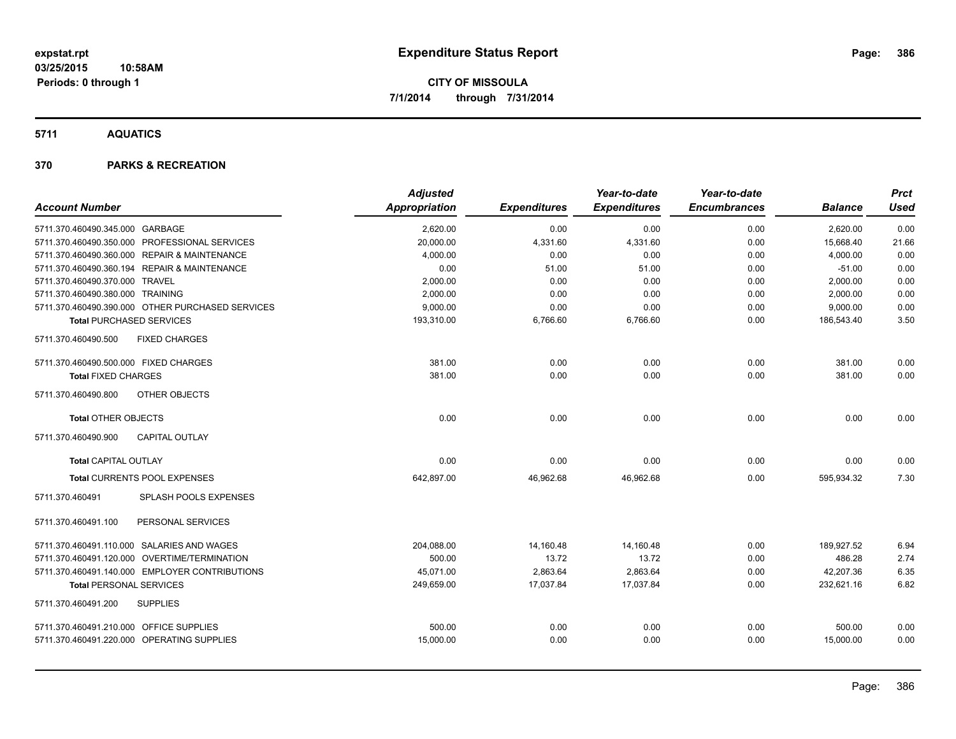**5711 AQUATICS**

|                                                  | <b>Adjusted</b> |                     | Year-to-date        | Year-to-date        |                | <b>Prct</b> |
|--------------------------------------------------|-----------------|---------------------|---------------------|---------------------|----------------|-------------|
| <b>Account Number</b>                            | Appropriation   | <b>Expenditures</b> | <b>Expenditures</b> | <b>Encumbrances</b> | <b>Balance</b> | <b>Used</b> |
| 5711.370.460490.345.000 GARBAGE                  | 2,620.00        | 0.00                | 0.00                | 0.00                | 2,620.00       | 0.00        |
| 5711.370.460490.350.000 PROFESSIONAL SERVICES    | 20,000.00       | 4,331.60            | 4,331.60            | 0.00                | 15.668.40      | 21.66       |
| 5711.370.460490.360.000 REPAIR & MAINTENANCE     | 4,000.00        | 0.00                | 0.00                | 0.00                | 4,000.00       | 0.00        |
| 5711.370.460490.360.194 REPAIR & MAINTENANCE     | 0.00            | 51.00               | 51.00               | 0.00                | $-51.00$       | 0.00        |
| 5711.370.460490.370.000 TRAVEL                   | 2,000.00        | 0.00                | 0.00                | 0.00                | 2,000.00       | 0.00        |
| 5711.370.460490.380.000 TRAINING                 | 2,000.00        | 0.00                | 0.00                | 0.00                | 2,000.00       | 0.00        |
| 5711.370.460490.390.000 OTHER PURCHASED SERVICES | 9,000.00        | 0.00                | 0.00                | 0.00                | 9,000.00       | 0.00        |
| <b>Total PURCHASED SERVICES</b>                  | 193,310.00      | 6,766.60            | 6,766.60            | 0.00                | 186,543.40     | 3.50        |
| <b>FIXED CHARGES</b><br>5711.370.460490.500      |                 |                     |                     |                     |                |             |
| 5711.370.460490.500.000 FIXED CHARGES            | 381.00          | 0.00                | 0.00                | 0.00                | 381.00         | 0.00        |
| <b>Total FIXED CHARGES</b>                       | 381.00          | 0.00                | 0.00                | 0.00                | 381.00         | 0.00        |
| 5711.370.460490.800<br><b>OTHER OBJECTS</b>      |                 |                     |                     |                     |                |             |
| <b>Total OTHER OBJECTS</b>                       | 0.00            | 0.00                | 0.00                | 0.00                | 0.00           | 0.00        |
| 5711.370.460490.900<br><b>CAPITAL OUTLAY</b>     |                 |                     |                     |                     |                |             |
| <b>Total CAPITAL OUTLAY</b>                      | 0.00            | 0.00                | 0.00                | 0.00                | 0.00           | 0.00        |
| <b>Total CURRENTS POOL EXPENSES</b>              | 642,897.00      | 46,962.68           | 46,962.68           | 0.00                | 595,934.32     | 7.30        |
| SPLASH POOLS EXPENSES<br>5711.370.460491         |                 |                     |                     |                     |                |             |
| PERSONAL SERVICES<br>5711.370.460491.100         |                 |                     |                     |                     |                |             |
| 5711.370.460491.110.000 SALARIES AND WAGES       | 204,088.00      | 14,160.48           | 14,160.48           | 0.00                | 189.927.52     | 6.94        |
| 5711.370.460491.120.000 OVERTIME/TERMINATION     | 500.00          | 13.72               | 13.72               | 0.00                | 486.28         | 2.74        |
| 5711.370.460491.140.000 EMPLOYER CONTRIBUTIONS   | 45,071.00       | 2,863.64            | 2,863.64            | 0.00                | 42,207.36      | 6.35        |
| <b>Total PERSONAL SERVICES</b>                   | 249,659.00      | 17,037.84           | 17,037.84           | 0.00                | 232,621.16     | 6.82        |
| 5711.370.460491.200<br><b>SUPPLIES</b>           |                 |                     |                     |                     |                |             |
| 5711.370.460491.210.000 OFFICE SUPPLIES          | 500.00          | 0.00                | 0.00                | 0.00                | 500.00         | 0.00        |
| 5711.370.460491.220.000 OPERATING SUPPLIES       | 15,000.00       | 0.00                | 0.00                | 0.00                | 15,000.00      | 0.00        |
|                                                  |                 |                     |                     |                     |                |             |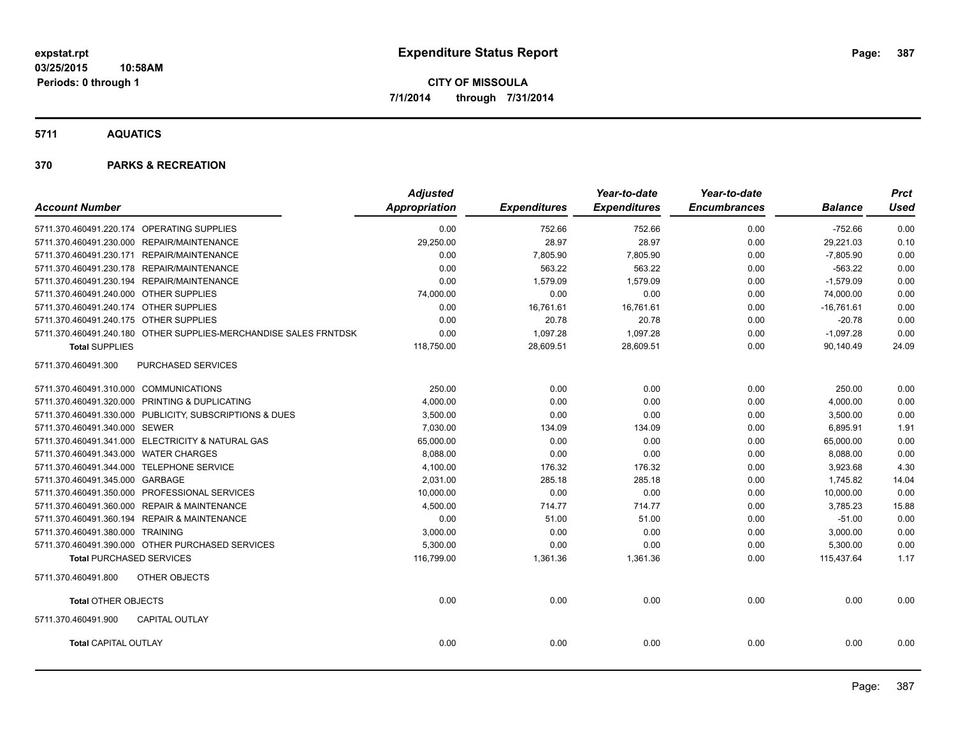**5711 AQUATICS**

|                                                                  | <b>Adjusted</b>      |                     | Year-to-date        | Year-to-date        |                | <b>Prct</b> |
|------------------------------------------------------------------|----------------------|---------------------|---------------------|---------------------|----------------|-------------|
| <b>Account Number</b>                                            | <b>Appropriation</b> | <b>Expenditures</b> | <b>Expenditures</b> | <b>Encumbrances</b> | <b>Balance</b> | <b>Used</b> |
| 5711.370.460491.220.174 OPERATING SUPPLIES                       | 0.00                 | 752.66              | 752.66              | 0.00                | $-752.66$      | 0.00        |
| 5711.370.460491.230.000 REPAIR/MAINTENANCE                       | 29,250.00            | 28.97               | 28.97               | 0.00                | 29,221.03      | 0.10        |
| 5711.370.460491.230.171 REPAIR/MAINTENANCE                       | 0.00                 | 7,805.90            | 7,805.90            | 0.00                | $-7,805.90$    | 0.00        |
| 5711.370.460491.230.178 REPAIR/MAINTENANCE                       | 0.00                 | 563.22              | 563.22              | 0.00                | $-563.22$      | 0.00        |
| 5711.370.460491.230.194 REPAIR/MAINTENANCE                       | 0.00                 | 1,579.09            | 1,579.09            | 0.00                | $-1,579.09$    | 0.00        |
| 5711.370.460491.240.000 OTHER SUPPLIES                           | 74,000.00            | 0.00                | 0.00                | 0.00                | 74,000.00      | 0.00        |
| 5711.370.460491.240.174 OTHER SUPPLIES                           | 0.00                 | 16,761.61           | 16,761.61           | 0.00                | $-16,761.61$   | 0.00        |
| 5711.370.460491.240.175 OTHER SUPPLIES                           | 0.00                 | 20.78               | 20.78               | 0.00                | $-20.78$       | 0.00        |
| 5711.370.460491.240.180 OTHER SUPPLIES-MERCHANDISE SALES FRNTDSK | 0.00                 | 1,097.28            | 1,097.28            | 0.00                | $-1,097.28$    | 0.00        |
| <b>Total SUPPLIES</b>                                            | 118,750.00           | 28,609.51           | 28,609.51           | 0.00                | 90.140.49      | 24.09       |
| PURCHASED SERVICES<br>5711.370.460491.300                        |                      |                     |                     |                     |                |             |
| 5711.370.460491.310.000 COMMUNICATIONS                           | 250.00               | 0.00                | 0.00                | 0.00                | 250.00         | 0.00        |
| 5711.370.460491.320.000 PRINTING & DUPLICATING                   | 4,000.00             | 0.00                | 0.00                | 0.00                | 4,000.00       | 0.00        |
| 5711.370.460491.330.000 PUBLICITY, SUBSCRIPTIONS & DUES          | 3,500.00             | 0.00                | 0.00                | 0.00                | 3,500.00       | 0.00        |
| 5711.370.460491.340.000 SEWER                                    | 7,030.00             | 134.09              | 134.09              | 0.00                | 6,895.91       | 1.91        |
| 5711.370.460491.341.000 ELECTRICITY & NATURAL GAS                | 65,000.00            | 0.00                | 0.00                | 0.00                | 65,000.00      | 0.00        |
| 5711.370.460491.343.000 WATER CHARGES                            | 8,088.00             | 0.00                | 0.00                | 0.00                | 8,088.00       | 0.00        |
| 5711.370.460491.344.000 TELEPHONE SERVICE                        | 4,100.00             | 176.32              | 176.32              | 0.00                | 3,923.68       | 4.30        |
| 5711.370.460491.345.000 GARBAGE                                  | 2,031.00             | 285.18              | 285.18              | 0.00                | 1.745.82       | 14.04       |
| 5711.370.460491.350.000 PROFESSIONAL SERVICES                    | 10,000.00            | 0.00                | 0.00                | 0.00                | 10,000.00      | 0.00        |
| 5711.370.460491.360.000 REPAIR & MAINTENANCE                     | 4,500.00             | 714.77              | 714.77              | 0.00                | 3,785.23       | 15.88       |
| 5711.370.460491.360.194 REPAIR & MAINTENANCE                     | 0.00                 | 51.00               | 51.00               | 0.00                | $-51.00$       | 0.00        |
| 5711.370.460491.380.000 TRAINING                                 | 3,000.00             | 0.00                | 0.00                | 0.00                | 3,000.00       | 0.00        |
| 5711.370.460491.390.000 OTHER PURCHASED SERVICES                 | 5,300.00             | 0.00                | 0.00                | 0.00                | 5,300.00       | 0.00        |
| <b>Total PURCHASED SERVICES</b>                                  | 116,799.00           | 1,361.36            | 1,361.36            | 0.00                | 115,437.64     | 1.17        |
| OTHER OBJECTS<br>5711.370.460491.800                             |                      |                     |                     |                     |                |             |
| <b>Total OTHER OBJECTS</b>                                       | 0.00                 | 0.00                | 0.00                | 0.00                | 0.00           | 0.00        |
| 5711.370.460491.900<br><b>CAPITAL OUTLAY</b>                     |                      |                     |                     |                     |                |             |
| <b>Total CAPITAL OUTLAY</b>                                      | 0.00                 | 0.00                | 0.00                | 0.00                | 0.00           | 0.00        |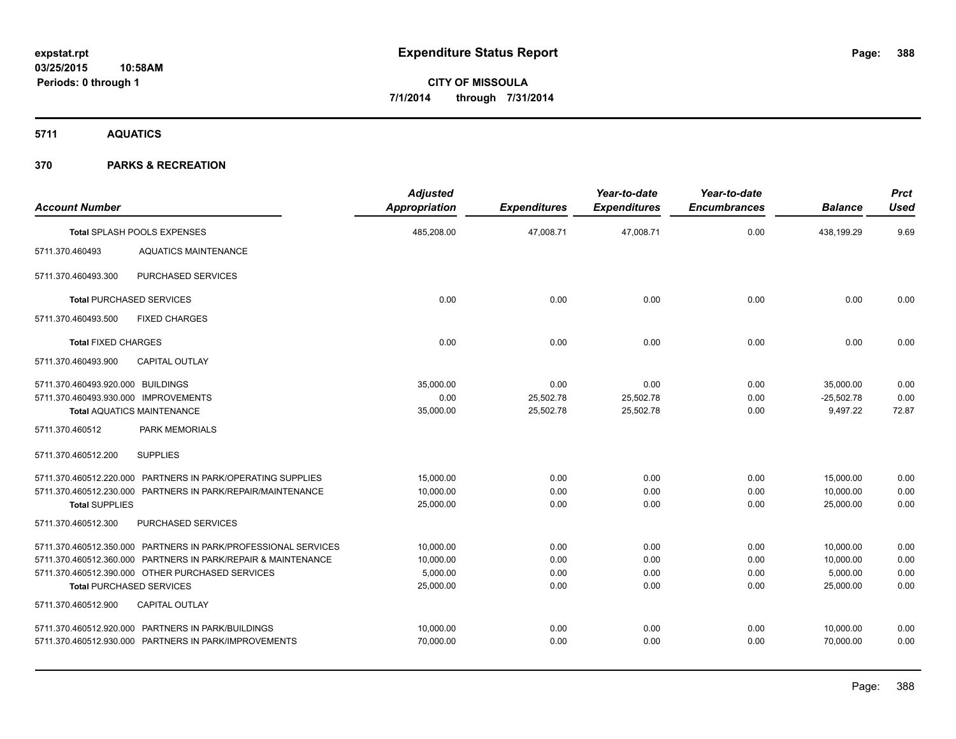**5711 AQUATICS**

| <b>Account Number</b>                                                     |                                                                                                                                                                                                                        | <b>Adjusted</b><br><b>Appropriation</b>         | <b>Expenditures</b>            | Year-to-date<br><b>Expenditures</b> | Year-to-date<br><b>Encumbrances</b> | <b>Balance</b>                                  | <b>Prct</b><br><b>Used</b>   |
|---------------------------------------------------------------------------|------------------------------------------------------------------------------------------------------------------------------------------------------------------------------------------------------------------------|-------------------------------------------------|--------------------------------|-------------------------------------|-------------------------------------|-------------------------------------------------|------------------------------|
|                                                                           | Total SPLASH POOLS EXPENSES                                                                                                                                                                                            | 485,208.00                                      | 47,008.71                      | 47,008.71                           | 0.00                                | 438.199.29                                      | 9.69                         |
| 5711.370.460493                                                           | <b>AQUATICS MAINTENANCE</b>                                                                                                                                                                                            |                                                 |                                |                                     |                                     |                                                 |                              |
| 5711.370.460493.300                                                       | PURCHASED SERVICES                                                                                                                                                                                                     |                                                 |                                |                                     |                                     |                                                 |                              |
|                                                                           | <b>Total PURCHASED SERVICES</b>                                                                                                                                                                                        | 0.00                                            | 0.00                           | 0.00                                | 0.00                                | 0.00                                            | 0.00                         |
| 5711.370.460493.500                                                       | <b>FIXED CHARGES</b>                                                                                                                                                                                                   |                                                 |                                |                                     |                                     |                                                 |                              |
| <b>Total FIXED CHARGES</b>                                                |                                                                                                                                                                                                                        | 0.00                                            | 0.00                           | 0.00                                | 0.00                                | 0.00                                            | 0.00                         |
| 5711.370.460493.900                                                       | <b>CAPITAL OUTLAY</b>                                                                                                                                                                                                  |                                                 |                                |                                     |                                     |                                                 |                              |
| 5711.370.460493.920.000 BUILDINGS<br>5711.370.460493.930.000 IMPROVEMENTS | <b>Total AQUATICS MAINTENANCE</b>                                                                                                                                                                                      | 35.000.00<br>0.00<br>35,000.00                  | 0.00<br>25,502.78<br>25,502.78 | 0.00<br>25,502.78<br>25,502.78      | 0.00<br>0.00<br>0.00                | 35,000.00<br>$-25,502.78$<br>9,497.22           | 0.00<br>0.00<br>72.87        |
| 5711.370.460512                                                           | <b>PARK MEMORIALS</b>                                                                                                                                                                                                  |                                                 |                                |                                     |                                     |                                                 |                              |
| 5711.370.460512.200                                                       | <b>SUPPLIES</b>                                                                                                                                                                                                        |                                                 |                                |                                     |                                     |                                                 |                              |
| <b>Total SUPPLIES</b>                                                     | 5711.370.460512.220.000 PARTNERS IN PARK/OPERATING SUPPLIES<br>5711.370.460512.230.000 PARTNERS IN PARK/REPAIR/MAINTENANCE                                                                                             | 15.000.00<br>10,000.00<br>25,000.00             | 0.00<br>0.00<br>0.00           | 0.00<br>0.00<br>0.00                | 0.00<br>0.00<br>0.00                | 15.000.00<br>10,000.00<br>25,000.00             | 0.00<br>0.00<br>0.00         |
| 5711.370.460512.300                                                       | PURCHASED SERVICES                                                                                                                                                                                                     |                                                 |                                |                                     |                                     |                                                 |                              |
|                                                                           | 5711.370.460512.350.000 PARTNERS IN PARK/PROFESSIONAL SERVICES<br>5711.370.460512.360.000 PARTNERS IN PARK/REPAIR & MAINTENANCE<br>5711.370.460512.390.000 OTHER PURCHASED SERVICES<br><b>Total PURCHASED SERVICES</b> | 10.000.00<br>10,000.00<br>5,000.00<br>25,000.00 | 0.00<br>0.00<br>0.00<br>0.00   | 0.00<br>0.00<br>0.00<br>0.00        | 0.00<br>0.00<br>0.00<br>0.00        | 10,000.00<br>10,000.00<br>5,000.00<br>25,000.00 | 0.00<br>0.00<br>0.00<br>0.00 |
| 5711.370.460512.900                                                       | <b>CAPITAL OUTLAY</b>                                                                                                                                                                                                  |                                                 |                                |                                     |                                     |                                                 |                              |
|                                                                           | 5711.370.460512.920.000 PARTNERS IN PARK/BUILDINGS<br>5711.370.460512.930.000 PARTNERS IN PARK/IMPROVEMENTS                                                                                                            | 10,000.00<br>70,000.00                          | 0.00<br>0.00                   | 0.00<br>0.00                        | 0.00<br>0.00                        | 10,000.00<br>70,000.00                          | 0.00<br>0.00                 |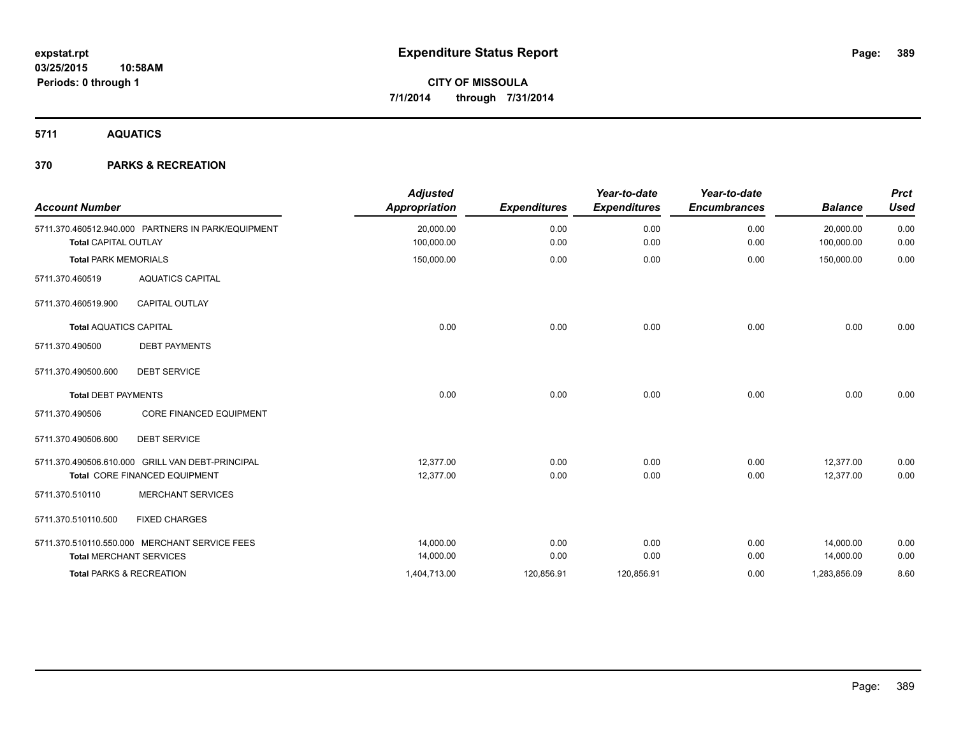**5711 AQUATICS**

| <b>Account Number</b>         |                                                    | <b>Adjusted</b><br><b>Appropriation</b> | <b>Expenditures</b> | Year-to-date<br><b>Expenditures</b> | Year-to-date<br><b>Encumbrances</b> | <b>Balance</b>          | <b>Prct</b><br><b>Used</b> |
|-------------------------------|----------------------------------------------------|-----------------------------------------|---------------------|-------------------------------------|-------------------------------------|-------------------------|----------------------------|
|                               | 5711.370.460512.940.000 PARTNERS IN PARK/EQUIPMENT | 20,000.00<br>100,000.00                 | 0.00<br>0.00        | 0.00<br>0.00                        | 0.00                                | 20,000.00<br>100,000.00 | 0.00                       |
| <b>Total CAPITAL OUTLAY</b>   |                                                    |                                         |                     |                                     | 0.00                                |                         | 0.00                       |
| <b>Total PARK MEMORIALS</b>   |                                                    | 150,000.00                              | 0.00                | 0.00                                | 0.00                                | 150,000.00              | 0.00                       |
| 5711.370.460519               | <b>AQUATICS CAPITAL</b>                            |                                         |                     |                                     |                                     |                         |                            |
| 5711.370.460519.900           | <b>CAPITAL OUTLAY</b>                              |                                         |                     |                                     |                                     |                         |                            |
| <b>Total AQUATICS CAPITAL</b> |                                                    | 0.00                                    | 0.00                | 0.00                                | 0.00                                | 0.00                    | 0.00                       |
| 5711.370.490500               | <b>DEBT PAYMENTS</b>                               |                                         |                     |                                     |                                     |                         |                            |
| 5711.370.490500.600           | <b>DEBT SERVICE</b>                                |                                         |                     |                                     |                                     |                         |                            |
| <b>Total DEBT PAYMENTS</b>    |                                                    | 0.00                                    | 0.00                | 0.00                                | 0.00                                | 0.00                    | 0.00                       |
| 5711.370.490506               | <b>CORE FINANCED EQUIPMENT</b>                     |                                         |                     |                                     |                                     |                         |                            |
| 5711.370.490506.600           | <b>DEBT SERVICE</b>                                |                                         |                     |                                     |                                     |                         |                            |
|                               | 5711.370.490506.610.000 GRILL VAN DEBT-PRINCIPAL   | 12.377.00                               | 0.00                | 0.00                                | 0.00                                | 12,377.00               | 0.00                       |
|                               | Total CORE FINANCED EQUIPMENT                      | 12,377.00                               | 0.00                | 0.00                                | 0.00                                | 12,377.00               | 0.00                       |
| 5711.370.510110               | <b>MERCHANT SERVICES</b>                           |                                         |                     |                                     |                                     |                         |                            |
| 5711.370.510110.500           | <b>FIXED CHARGES</b>                               |                                         |                     |                                     |                                     |                         |                            |
|                               | 5711.370.510110.550.000 MERCHANT SERVICE FEES      | 14,000.00                               | 0.00                | 0.00                                | 0.00                                | 14,000.00               | 0.00                       |
|                               | <b>Total MERCHANT SERVICES</b>                     | 14,000.00                               | 0.00                | 0.00                                | 0.00                                | 14,000.00               | 0.00                       |
|                               | <b>Total PARKS &amp; RECREATION</b>                | 1,404,713.00                            | 120,856.91          | 120,856.91                          | 0.00                                | 1,283,856.09            | 8.60                       |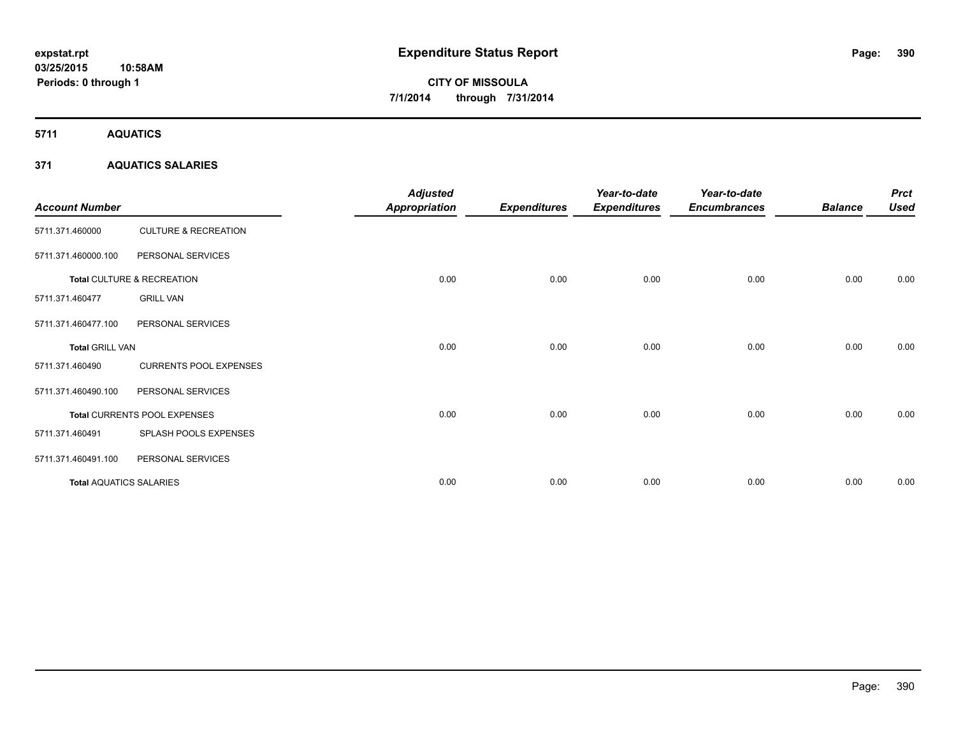**5711 AQUATICS**

### **371 AQUATICS SALARIES**

| <b>Account Number</b>          |                                 | <b>Adjusted</b><br><b>Appropriation</b> | <b>Expenditures</b> | Year-to-date<br><b>Expenditures</b> | Year-to-date<br><b>Encumbrances</b> | <b>Balance</b> | <b>Prct</b><br><b>Used</b> |
|--------------------------------|---------------------------------|-----------------------------------------|---------------------|-------------------------------------|-------------------------------------|----------------|----------------------------|
| 5711.371.460000                | <b>CULTURE &amp; RECREATION</b> |                                         |                     |                                     |                                     |                |                            |
| 5711.371.460000.100            | PERSONAL SERVICES               |                                         |                     |                                     |                                     |                |                            |
|                                | Total CULTURE & RECREATION      | 0.00                                    | 0.00                | 0.00                                | 0.00                                | 0.00           | 0.00                       |
| 5711.371.460477                | <b>GRILL VAN</b>                |                                         |                     |                                     |                                     |                |                            |
| 5711.371.460477.100            | PERSONAL SERVICES               |                                         |                     |                                     |                                     |                |                            |
| <b>Total GRILL VAN</b>         |                                 | 0.00                                    | 0.00                | 0.00                                | 0.00                                | 0.00           | 0.00                       |
| 5711.371.460490                | <b>CURRENTS POOL EXPENSES</b>   |                                         |                     |                                     |                                     |                |                            |
| 5711.371.460490.100            | PERSONAL SERVICES               |                                         |                     |                                     |                                     |                |                            |
|                                | Total CURRENTS POOL EXPENSES    | 0.00                                    | 0.00                | 0.00                                | 0.00                                | 0.00           | 0.00                       |
| 5711.371.460491                | SPLASH POOLS EXPENSES           |                                         |                     |                                     |                                     |                |                            |
| 5711.371.460491.100            | PERSONAL SERVICES               |                                         |                     |                                     |                                     |                |                            |
| <b>Total AQUATICS SALARIES</b> |                                 | 0.00                                    | 0.00                | 0.00                                | 0.00                                | 0.00           | 0.00                       |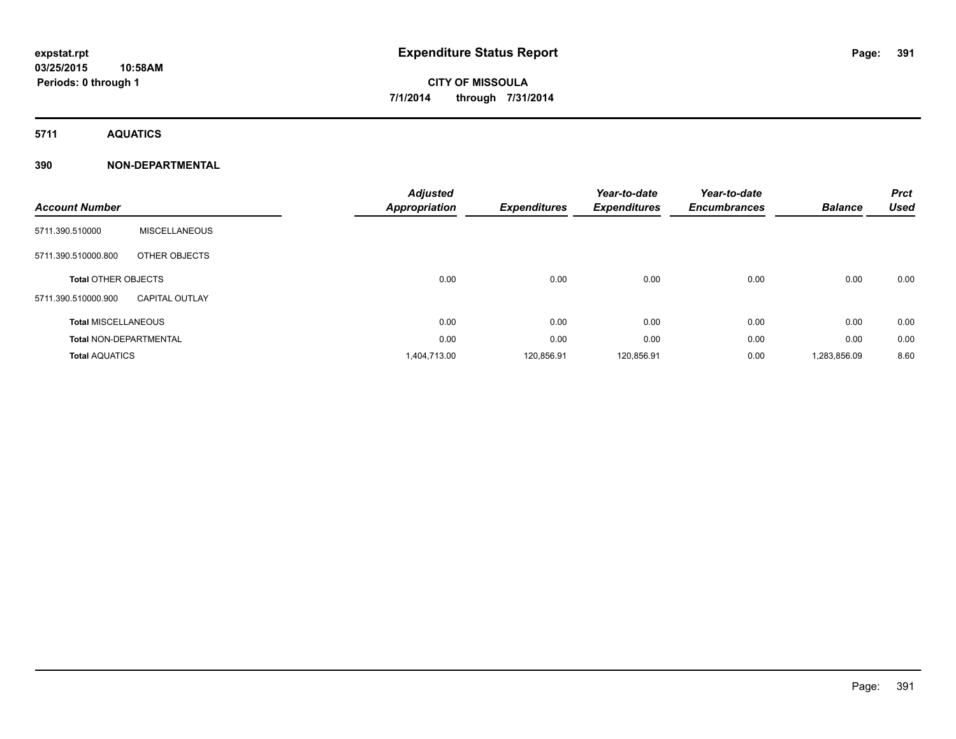**5711 AQUATICS**

### **390 NON-DEPARTMENTAL**

| <b>Account Number</b>         |                       | <b>Adjusted</b><br><b>Appropriation</b> | <b>Expenditures</b> | Year-to-date<br><b>Expenditures</b> | Year-to-date<br><b>Encumbrances</b> | <b>Balance</b> | <b>Prct</b><br><b>Used</b> |
|-------------------------------|-----------------------|-----------------------------------------|---------------------|-------------------------------------|-------------------------------------|----------------|----------------------------|
| 5711.390.510000               | <b>MISCELLANEOUS</b>  |                                         |                     |                                     |                                     |                |                            |
| 5711.390.510000.800           | OTHER OBJECTS         |                                         |                     |                                     |                                     |                |                            |
| <b>Total OTHER OBJECTS</b>    |                       | 0.00                                    | 0.00                | 0.00                                | 0.00                                | 0.00           | 0.00                       |
| 5711.390.510000.900           | <b>CAPITAL OUTLAY</b> |                                         |                     |                                     |                                     |                |                            |
| <b>Total MISCELLANEOUS</b>    |                       | 0.00                                    | 0.00                | 0.00                                | 0.00                                | 0.00           | 0.00                       |
| <b>Total NON-DEPARTMENTAL</b> |                       | 0.00                                    | 0.00                | 0.00                                | 0.00                                | 0.00           | 0.00                       |
| <b>Total AQUATICS</b>         |                       | 1,404,713.00                            | 120,856.91          | 120,856.91                          | 0.00                                | 1,283,856.09   | 8.60                       |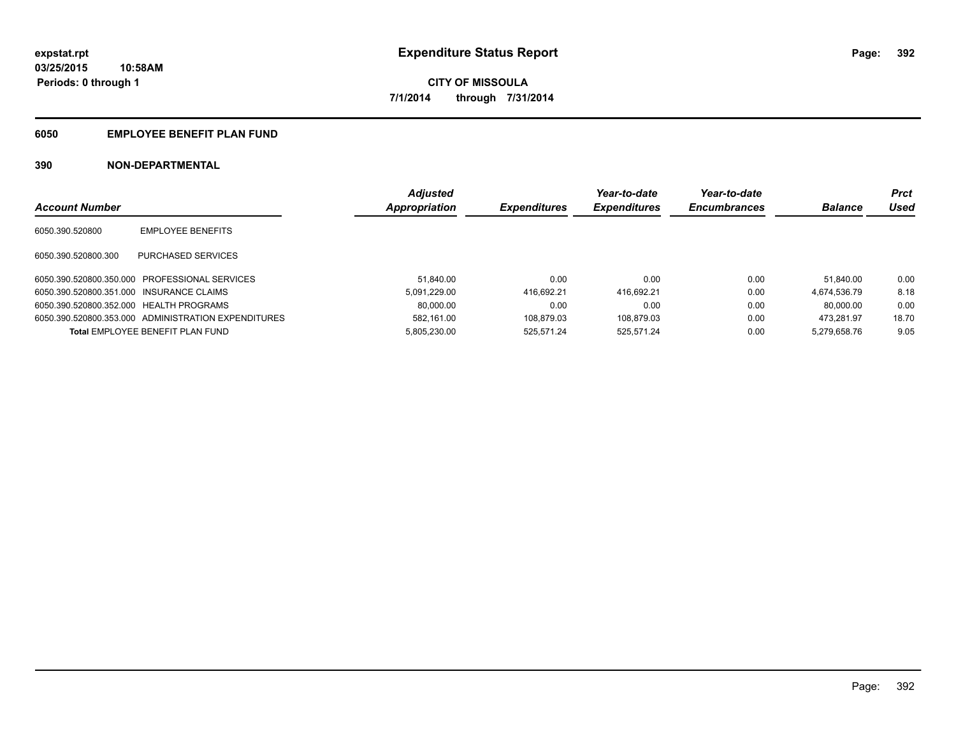### **6050 EMPLOYEE BENEFIT PLAN FUND**

### **390 NON-DEPARTMENTAL**

|                                          |                                                     | <b>Adjusted</b> |                     | Year-to-date        | Year-to-date        |                | Prct        |
|------------------------------------------|-----------------------------------------------------|-----------------|---------------------|---------------------|---------------------|----------------|-------------|
| <b>Account Number</b>                    |                                                     | Appropriation   | <b>Expenditures</b> | <b>Expenditures</b> | <b>Encumbrances</b> | <b>Balance</b> | <b>Used</b> |
| 6050.390.520800                          | <b>EMPLOYEE BENEFITS</b>                            |                 |                     |                     |                     |                |             |
| 6050.390.520800.300                      | PURCHASED SERVICES                                  |                 |                     |                     |                     |                |             |
|                                          | 6050.390.520800.350.000 PROFESSIONAL SERVICES       | 51.840.00       | 0.00                | 0.00                | 0.00                | 51.840.00      | 0.00        |
| 6050.390.520800.351.000 INSURANCE CLAIMS |                                                     | 5.091.229.00    | 416.692.21          | 416.692.21          | 0.00                | 4.674.536.79   | 8.18        |
| 6050.390.520800.352.000 HEALTH PROGRAMS  |                                                     | 80.000.00       | 0.00                | 0.00                | 0.00                | 80.000.00      | 0.00        |
|                                          | 6050.390.520800.353.000 ADMINISTRATION EXPENDITURES | 582.161.00      | 108.879.03          | 108.879.03          | 0.00                | 473.281.97     | 18.70       |
|                                          | <b>Total EMPLOYEE BENEFIT PLAN FUND</b>             | 5.805.230.00    | 525.571.24          | 525.571.24          | 0.00                | 5.279.658.76   | 9.05        |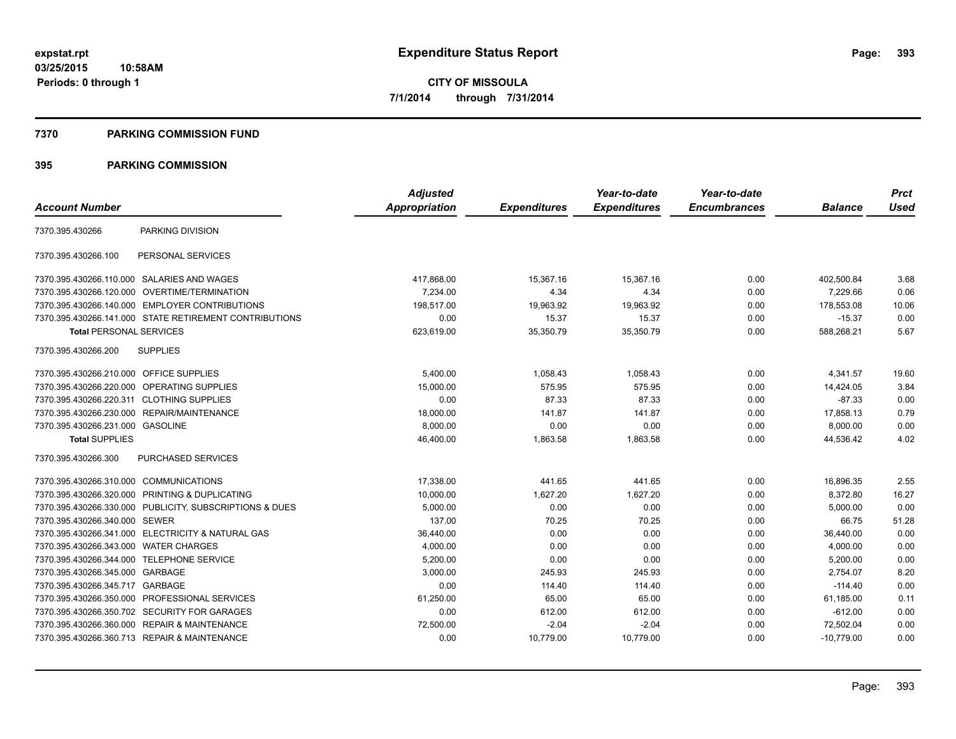#### **7370 PARKING COMMISSION FUND**

### **395 PARKING COMMISSION**

|                                           |                                                         | <b>Adjusted</b> |                     | Year-to-date        | Year-to-date        |                | <b>Prct</b> |
|-------------------------------------------|---------------------------------------------------------|-----------------|---------------------|---------------------|---------------------|----------------|-------------|
| <b>Account Number</b>                     |                                                         | Appropriation   | <b>Expenditures</b> | <b>Expenditures</b> | <b>Encumbrances</b> | <b>Balance</b> | <b>Used</b> |
| 7370.395.430266                           | PARKING DIVISION                                        |                 |                     |                     |                     |                |             |
| 7370.395.430266.100                       | PERSONAL SERVICES                                       |                 |                     |                     |                     |                |             |
|                                           | 7370.395.430266.110.000 SALARIES AND WAGES              | 417,868.00      | 15,367.16           | 15,367.16           | 0.00                | 402,500.84     | 3.68        |
| 7370.395.430266.120.000                   | OVERTIME/TERMINATION                                    | 7,234.00        | 4.34                | 4.34                | 0.00                | 7,229.66       | 0.06        |
|                                           | 7370.395.430266.140.000 EMPLOYER CONTRIBUTIONS          | 198.517.00      | 19,963.92           | 19.963.92           | 0.00                | 178.553.08     | 10.06       |
|                                           | 7370.395.430266.141.000 STATE RETIREMENT CONTRIBUTIONS  | 0.00            | 15.37               | 15.37               | 0.00                | $-15.37$       | 0.00        |
| <b>Total PERSONAL SERVICES</b>            |                                                         | 623,619.00      | 35,350.79           | 35,350.79           | 0.00                | 588,268.21     | 5.67        |
| 7370.395.430266.200                       | <b>SUPPLIES</b>                                         |                 |                     |                     |                     |                |             |
| 7370.395.430266.210.000 OFFICE SUPPLIES   |                                                         | 5,400.00        | 1,058.43            | 1,058.43            | 0.00                | 4,341.57       | 19.60       |
| 7370.395.430266.220.000                   | OPERATING SUPPLIES                                      | 15,000.00       | 575.95              | 575.95              | 0.00                | 14,424.05      | 3.84        |
| 7370.395.430266.220.311 CLOTHING SUPPLIES |                                                         | 0.00            | 87.33               | 87.33               | 0.00                | $-87.33$       | 0.00        |
| 7370.395.430266.230.000                   | REPAIR/MAINTENANCE                                      | 18,000.00       | 141.87              | 141.87              | 0.00                | 17,858.13      | 0.79        |
| 7370.395.430266.231.000 GASOLINE          |                                                         | 8,000.00        | 0.00                | 0.00                | 0.00                | 8,000.00       | 0.00        |
| <b>Total SUPPLIES</b>                     |                                                         | 46,400.00       | 1,863.58            | 1,863.58            | 0.00                | 44,536.42      | 4.02        |
| 7370.395.430266.300                       | PURCHASED SERVICES                                      |                 |                     |                     |                     |                |             |
| 7370.395.430266.310.000                   | <b>COMMUNICATIONS</b>                                   | 17,338.00       | 441.65              | 441.65              | 0.00                | 16,896.35      | 2.55        |
|                                           | 7370.395.430266.320.000 PRINTING & DUPLICATING          | 10,000.00       | 1,627.20            | 1,627.20            | 0.00                | 8,372.80       | 16.27       |
|                                           | 7370.395.430266.330.000 PUBLICITY, SUBSCRIPTIONS & DUES | 5,000.00        | 0.00                | 0.00                | 0.00                | 5,000.00       | 0.00        |
| 7370.395.430266.340.000 SEWER             |                                                         | 137.00          | 70.25               | 70.25               | 0.00                | 66.75          | 51.28       |
|                                           | 7370.395.430266.341.000 ELECTRICITY & NATURAL GAS       | 36,440.00       | 0.00                | 0.00                | 0.00                | 36,440.00      | 0.00        |
| 7370.395.430266.343.000 WATER CHARGES     |                                                         | 4,000.00        | 0.00                | 0.00                | 0.00                | 4,000.00       | 0.00        |
| 7370.395.430266.344.000                   | <b>TELEPHONE SERVICE</b>                                | 5,200.00        | 0.00                | 0.00                | 0.00                | 5,200.00       | 0.00        |
| 7370.395.430266.345.000 GARBAGE           |                                                         | 3,000.00        | 245.93              | 245.93              | 0.00                | 2,754.07       | 8.20        |
| 7370.395.430266.345.717                   | GARBAGE                                                 | 0.00            | 114.40              | 114.40              | 0.00                | $-114.40$      | 0.00        |
| 7370.395.430266.350.000                   | PROFESSIONAL SERVICES                                   | 61,250.00       | 65.00               | 65.00               | 0.00                | 61,185.00      | 0.11        |
|                                           | 7370.395.430266.350.702 SECURITY FOR GARAGES            | 0.00            | 612.00              | 612.00              | 0.00                | $-612.00$      | 0.00        |
|                                           | 7370.395.430266.360.000 REPAIR & MAINTENANCE            | 72,500.00       | $-2.04$             | $-2.04$             | 0.00                | 72,502.04      | 0.00        |
|                                           | 7370.395.430266.360.713 REPAIR & MAINTENANCE            | 0.00            | 10,779.00           | 10,779.00           | 0.00                | $-10,779.00$   | 0.00        |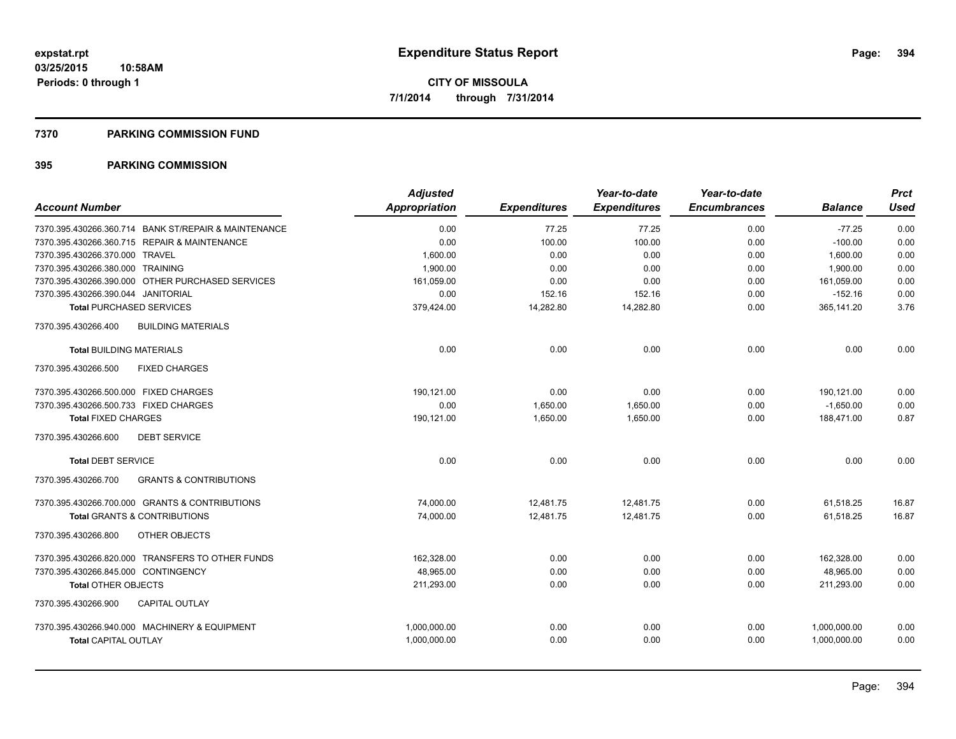#### **7370 PARKING COMMISSION FUND**

### **395 PARKING COMMISSION**

|                                                          | <b>Adjusted</b>      |                     | Year-to-date        | Year-to-date        |                | <b>Prct</b> |
|----------------------------------------------------------|----------------------|---------------------|---------------------|---------------------|----------------|-------------|
| <b>Account Number</b>                                    | <b>Appropriation</b> | <b>Expenditures</b> | <b>Expenditures</b> | <b>Encumbrances</b> | <b>Balance</b> | Used        |
| 7370.395.430266.360.714 BANK ST/REPAIR & MAINTENANCE     | 0.00                 | 77.25               | 77.25               | 0.00                | $-77.25$       | 0.00        |
| 7370.395.430266.360.715 REPAIR & MAINTENANCE             | 0.00                 | 100.00              | 100.00              | 0.00                | $-100.00$      | 0.00        |
| 7370.395.430266.370.000 TRAVEL                           | 1,600.00             | 0.00                | 0.00                | 0.00                | 1,600.00       | 0.00        |
| 7370.395.430266.380.000 TRAINING                         | 1,900.00             | 0.00                | 0.00                | 0.00                | 1,900.00       | 0.00        |
| 7370.395.430266.390.000 OTHER PURCHASED SERVICES         | 161,059.00           | 0.00                | 0.00                | 0.00                | 161,059.00     | 0.00        |
| 7370.395.430266.390.044 JANITORIAL                       | 0.00                 | 152.16              | 152.16              | 0.00                | $-152.16$      | 0.00        |
| <b>Total PURCHASED SERVICES</b>                          | 379,424.00           | 14,282.80           | 14,282.80           | 0.00                | 365,141.20     | 3.76        |
| <b>BUILDING MATERIALS</b><br>7370.395.430266.400         |                      |                     |                     |                     |                |             |
| <b>Total BUILDING MATERIALS</b>                          | 0.00                 | 0.00                | 0.00                | 0.00                | 0.00           | 0.00        |
| 7370.395.430266.500<br><b>FIXED CHARGES</b>              |                      |                     |                     |                     |                |             |
| 7370.395.430266.500.000 FIXED CHARGES                    | 190.121.00           | 0.00                | 0.00                | 0.00                | 190,121.00     | 0.00        |
| 7370.395.430266.500.733 FIXED CHARGES                    | 0.00                 | 1,650.00            | 1,650.00            | 0.00                | $-1,650.00$    | 0.00        |
| <b>Total FIXED CHARGES</b>                               | 190,121.00           | 1,650.00            | 1,650.00            | 0.00                | 188,471.00     | 0.87        |
| 7370.395.430266.600<br><b>DEBT SERVICE</b>               |                      |                     |                     |                     |                |             |
| <b>Total DEBT SERVICE</b>                                | 0.00                 | 0.00                | 0.00                | 0.00                | 0.00           | 0.00        |
| <b>GRANTS &amp; CONTRIBUTIONS</b><br>7370.395.430266.700 |                      |                     |                     |                     |                |             |
| 7370.395.430266.700.000 GRANTS & CONTRIBUTIONS           | 74,000.00            | 12,481.75           | 12,481.75           | 0.00                | 61,518.25      | 16.87       |
| <b>Total GRANTS &amp; CONTRIBUTIONS</b>                  | 74.000.00            | 12.481.75           | 12.481.75           | 0.00                | 61.518.25      | 16.87       |
| 7370.395.430266.800<br>OTHER OBJECTS                     |                      |                     |                     |                     |                |             |
| 7370.395.430266.820.000 TRANSFERS TO OTHER FUNDS         | 162.328.00           | 0.00                | 0.00                | 0.00                | 162,328.00     | 0.00        |
| 7370.395.430266.845.000 CONTINGENCY                      | 48.965.00            | 0.00                | 0.00                | 0.00                | 48.965.00      | 0.00        |
| <b>Total OTHER OBJECTS</b>                               | 211,293.00           | 0.00                | 0.00                | 0.00                | 211,293.00     | 0.00        |
| 7370.395.430266.900<br><b>CAPITAL OUTLAY</b>             |                      |                     |                     |                     |                |             |
| 7370.395.430266.940.000 MACHINERY & EQUIPMENT            | 1,000,000.00         | 0.00                | 0.00                | 0.00                | 1,000,000.00   | 0.00        |
| <b>Total CAPITAL OUTLAY</b>                              | 1,000,000.00         | 0.00                | 0.00                | 0.00                | 1,000,000.00   | 0.00        |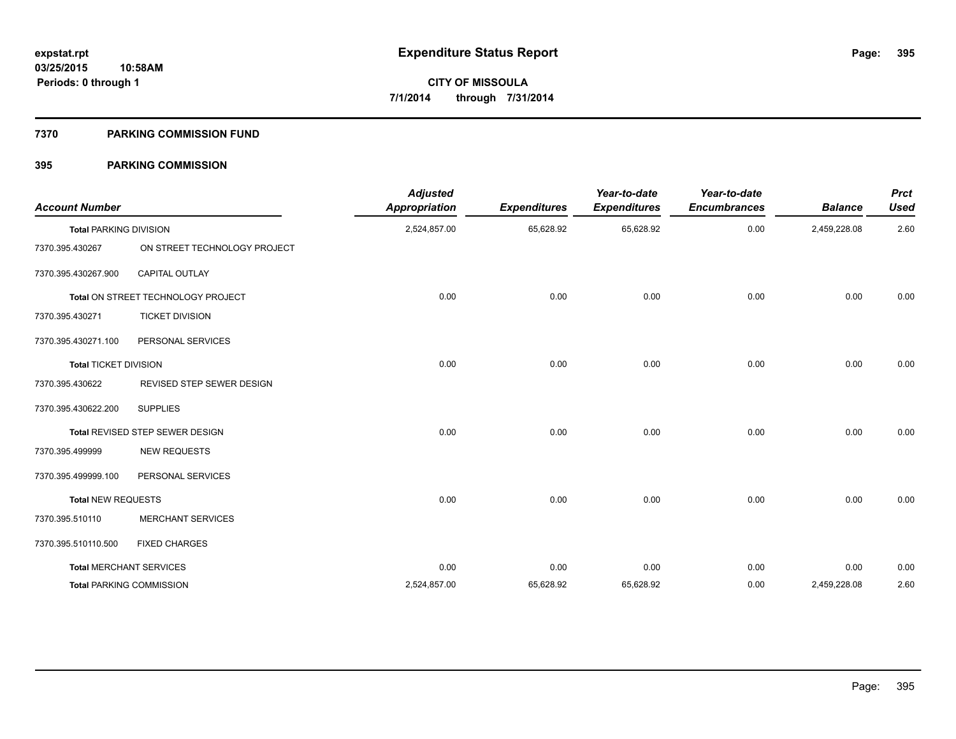#### **7370 PARKING COMMISSION FUND**

### **395 PARKING COMMISSION**

| <b>Account Number</b>         |                                    | <b>Adjusted</b><br><b>Appropriation</b> | <b>Expenditures</b> | Year-to-date<br><b>Expenditures</b> | Year-to-date<br><b>Encumbrances</b> | <b>Balance</b> | <b>Prct</b><br><b>Used</b> |
|-------------------------------|------------------------------------|-----------------------------------------|---------------------|-------------------------------------|-------------------------------------|----------------|----------------------------|
| <b>Total PARKING DIVISION</b> |                                    | 2,524,857.00                            | 65,628.92           | 65,628.92                           | 0.00                                | 2,459,228.08   | 2.60                       |
| 7370.395.430267               | ON STREET TECHNOLOGY PROJECT       |                                         |                     |                                     |                                     |                |                            |
| 7370.395.430267.900           | <b>CAPITAL OUTLAY</b>              |                                         |                     |                                     |                                     |                |                            |
|                               | Total ON STREET TECHNOLOGY PROJECT | 0.00                                    | 0.00                | 0.00                                | 0.00                                | 0.00           | 0.00                       |
| 7370.395.430271               | <b>TICKET DIVISION</b>             |                                         |                     |                                     |                                     |                |                            |
| 7370.395.430271.100           | PERSONAL SERVICES                  |                                         |                     |                                     |                                     |                |                            |
| <b>Total TICKET DIVISION</b>  |                                    | 0.00                                    | 0.00                | 0.00                                | 0.00                                | 0.00           | 0.00                       |
| 7370.395.430622               | REVISED STEP SEWER DESIGN          |                                         |                     |                                     |                                     |                |                            |
| 7370.395.430622.200           | <b>SUPPLIES</b>                    |                                         |                     |                                     |                                     |                |                            |
|                               | Total REVISED STEP SEWER DESIGN    | 0.00                                    | 0.00                | 0.00                                | 0.00                                | 0.00           | 0.00                       |
| 7370.395.499999               | <b>NEW REQUESTS</b>                |                                         |                     |                                     |                                     |                |                            |
| 7370.395.499999.100           | PERSONAL SERVICES                  |                                         |                     |                                     |                                     |                |                            |
| <b>Total NEW REQUESTS</b>     |                                    | 0.00                                    | 0.00                | 0.00                                | 0.00                                | 0.00           | 0.00                       |
| 7370.395.510110               | <b>MERCHANT SERVICES</b>           |                                         |                     |                                     |                                     |                |                            |
| 7370.395.510110.500           | <b>FIXED CHARGES</b>               |                                         |                     |                                     |                                     |                |                            |
|                               | <b>Total MERCHANT SERVICES</b>     | 0.00                                    | 0.00                | 0.00                                | 0.00                                | 0.00           | 0.00                       |
|                               | <b>Total PARKING COMMISSION</b>    | 2,524,857.00                            | 65,628.92           | 65,628.92                           | 0.00                                | 2,459,228.08   | 2.60                       |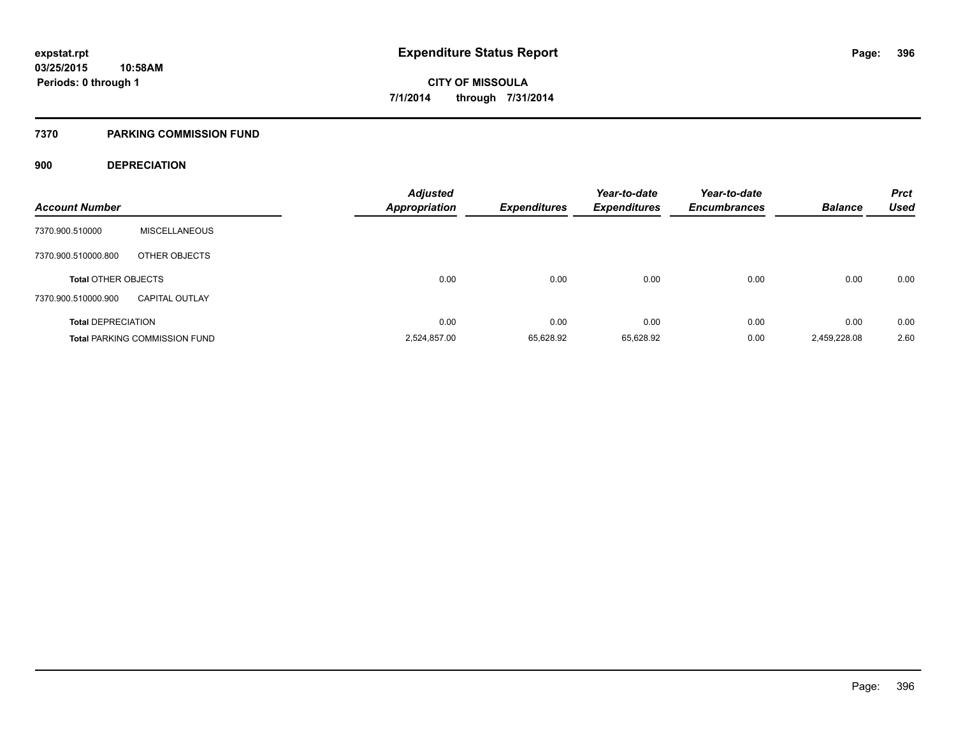#### **7370 PARKING COMMISSION FUND**

### **900 DEPRECIATION**

| <b>Account Number</b>      |                                      | <b>Adjusted</b><br><b>Appropriation</b> | <b>Expenditures</b> | Year-to-date<br><b>Expenditures</b> | Year-to-date<br><b>Encumbrances</b> | <b>Balance</b> | <b>Prct</b><br><b>Used</b> |
|----------------------------|--------------------------------------|-----------------------------------------|---------------------|-------------------------------------|-------------------------------------|----------------|----------------------------|
| 7370.900.510000            | <b>MISCELLANEOUS</b>                 |                                         |                     |                                     |                                     |                |                            |
| 7370.900.510000.800        | OTHER OBJECTS                        |                                         |                     |                                     |                                     |                |                            |
| <b>Total OTHER OBJECTS</b> |                                      | 0.00                                    | 0.00                | 0.00                                | 0.00                                | 0.00           | 0.00                       |
| 7370.900.510000.900        | <b>CAPITAL OUTLAY</b>                |                                         |                     |                                     |                                     |                |                            |
| <b>Total DEPRECIATION</b>  |                                      | 0.00                                    | 0.00                | 0.00                                | 0.00                                | 0.00           | 0.00                       |
|                            | <b>Total PARKING COMMISSION FUND</b> | 2,524,857.00                            | 65.628.92           | 65,628.92                           | 0.00                                | 2,459,228.08   | 2.60                       |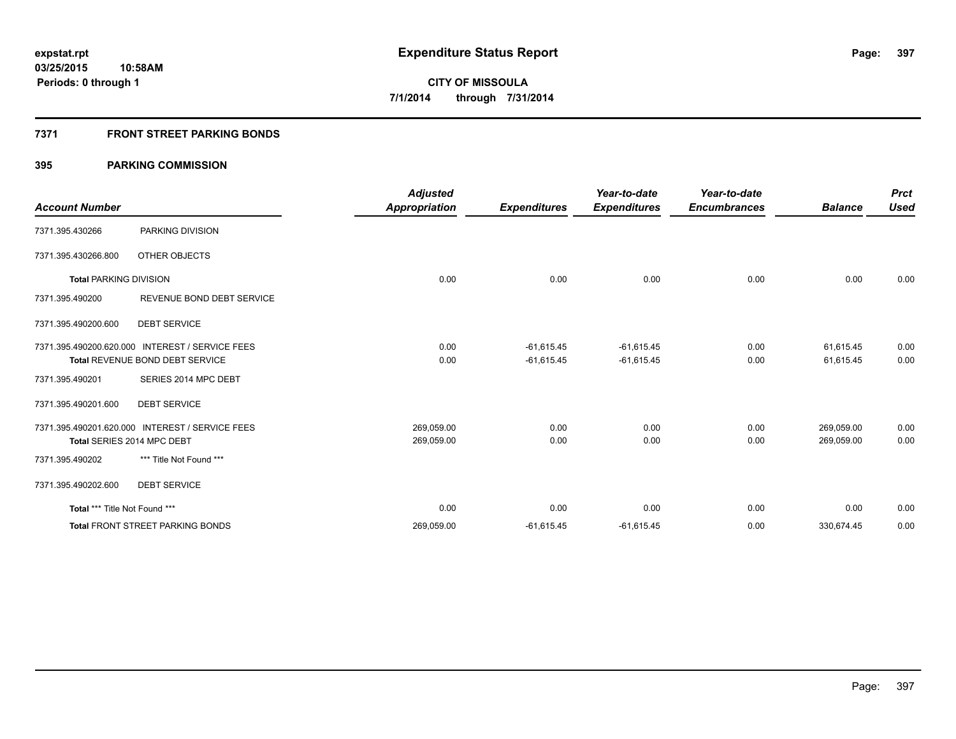### **7371 FRONT STREET PARKING BONDS**

|                               |                                                 | <b>Adjusted</b>      |                     | Year-to-date        | Year-to-date        |                | <b>Prct</b> |
|-------------------------------|-------------------------------------------------|----------------------|---------------------|---------------------|---------------------|----------------|-------------|
| <b>Account Number</b>         |                                                 | <b>Appropriation</b> | <b>Expenditures</b> | <b>Expenditures</b> | <b>Encumbrances</b> | <b>Balance</b> | <b>Used</b> |
| 7371.395.430266               | PARKING DIVISION                                |                      |                     |                     |                     |                |             |
| 7371.395.430266.800           | OTHER OBJECTS                                   |                      |                     |                     |                     |                |             |
| <b>Total PARKING DIVISION</b> |                                                 | 0.00                 | 0.00                | 0.00                | 0.00                | 0.00           | 0.00        |
| 7371.395.490200               | REVENUE BOND DEBT SERVICE                       |                      |                     |                     |                     |                |             |
| 7371.395.490200.600           | <b>DEBT SERVICE</b>                             |                      |                     |                     |                     |                |             |
|                               | 7371.395.490200.620.000 INTEREST / SERVICE FEES | 0.00                 | $-61,615.45$        | $-61,615.45$        | 0.00                | 61,615.45      | 0.00        |
|                               | Total REVENUE BOND DEBT SERVICE                 | 0.00                 | $-61,615.45$        | $-61,615.45$        | 0.00                | 61,615.45      | 0.00        |
| 7371.395.490201               | SERIES 2014 MPC DEBT                            |                      |                     |                     |                     |                |             |
| 7371.395.490201.600           | <b>DEBT SERVICE</b>                             |                      |                     |                     |                     |                |             |
|                               | 7371.395.490201.620.000 INTEREST / SERVICE FEES | 269,059.00           | 0.00                | 0.00                | 0.00                | 269,059.00     | 0.00        |
|                               | Total SERIES 2014 MPC DEBT                      | 269,059.00           | 0.00                | 0.00                | 0.00                | 269,059.00     | 0.00        |
| 7371.395.490202               | *** Title Not Found ***                         |                      |                     |                     |                     |                |             |
| 7371.395.490202.600           | <b>DEBT SERVICE</b>                             |                      |                     |                     |                     |                |             |
| Total *** Title Not Found *** |                                                 | 0.00                 | 0.00                | 0.00                | 0.00                | 0.00           | 0.00        |
|                               | <b>Total FRONT STREET PARKING BONDS</b>         | 269,059.00           | $-61,615.45$        | $-61,615.45$        | 0.00                | 330,674.45     | 0.00        |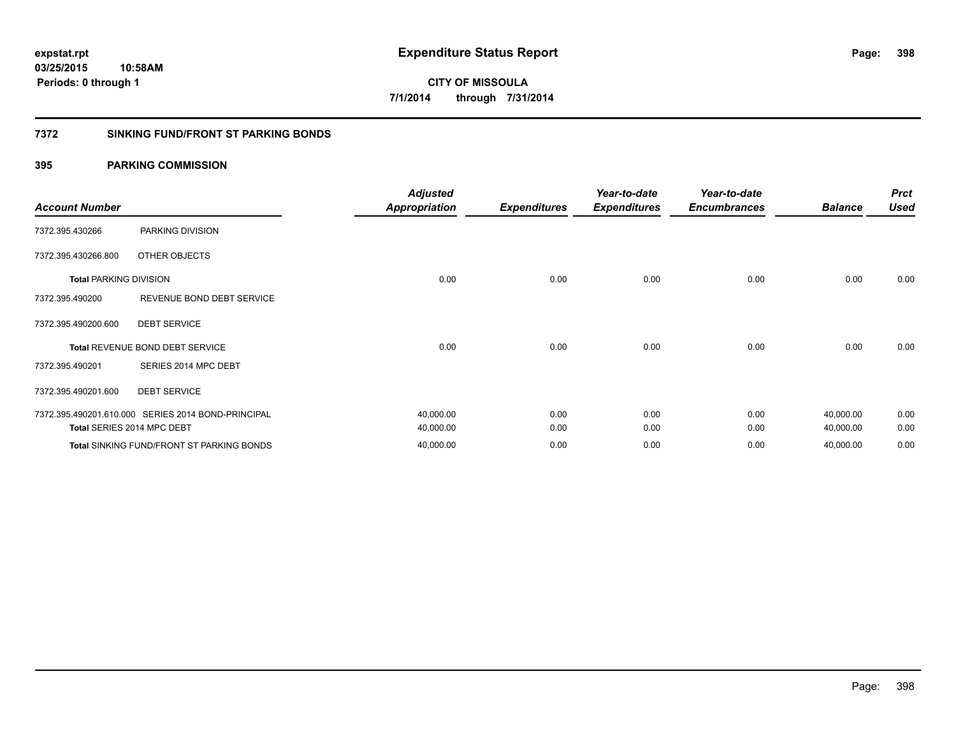#### **7372 SINKING FUND/FRONT ST PARKING BONDS**

| <b>Account Number</b>         |                                                    | <b>Adjusted</b><br><b>Appropriation</b> | <b>Expenditures</b> | Year-to-date<br><b>Expenditures</b> | Year-to-date<br><b>Encumbrances</b> | <b>Balance</b> | <b>Prct</b><br><b>Used</b> |
|-------------------------------|----------------------------------------------------|-----------------------------------------|---------------------|-------------------------------------|-------------------------------------|----------------|----------------------------|
| 7372.395.430266               | PARKING DIVISION                                   |                                         |                     |                                     |                                     |                |                            |
| 7372.395.430266.800           | OTHER OBJECTS                                      |                                         |                     |                                     |                                     |                |                            |
| <b>Total PARKING DIVISION</b> |                                                    | 0.00                                    | 0.00                | 0.00                                | 0.00                                | 0.00           | 0.00                       |
| 7372.395.490200               | REVENUE BOND DEBT SERVICE                          |                                         |                     |                                     |                                     |                |                            |
| 7372.395.490200.600           | <b>DEBT SERVICE</b>                                |                                         |                     |                                     |                                     |                |                            |
|                               | Total REVENUE BOND DEBT SERVICE                    | 0.00                                    | 0.00                | 0.00                                | 0.00                                | 0.00           | 0.00                       |
| 7372.395.490201               | SERIES 2014 MPC DEBT                               |                                         |                     |                                     |                                     |                |                            |
| 7372.395.490201.600           | <b>DEBT SERVICE</b>                                |                                         |                     |                                     |                                     |                |                            |
|                               | 7372.395.490201.610.000 SERIES 2014 BOND-PRINCIPAL | 40,000.00                               | 0.00                | 0.00                                | 0.00                                | 40,000.00      | 0.00                       |
|                               | Total SERIES 2014 MPC DEBT                         | 40,000.00                               | 0.00                | 0.00                                | 0.00                                | 40,000.00      | 0.00                       |
|                               | <b>Total SINKING FUND/FRONT ST PARKING BONDS</b>   | 40,000.00                               | 0.00                | 0.00                                | 0.00                                | 40,000.00      | 0.00                       |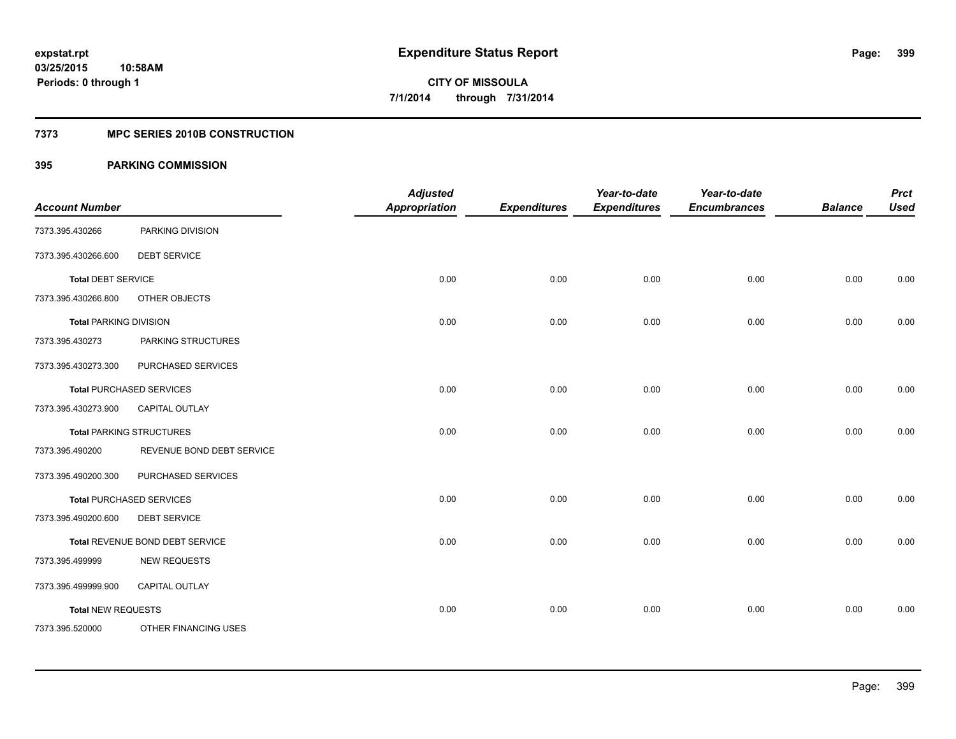### **7373 MPC SERIES 2010B CONSTRUCTION**

| <b>Account Number</b>         |                                 | <b>Adjusted</b><br><b>Appropriation</b> | <b>Expenditures</b> | Year-to-date<br><b>Expenditures</b> | Year-to-date<br><b>Encumbrances</b> | <b>Balance</b> | <b>Prct</b><br><b>Used</b> |
|-------------------------------|---------------------------------|-----------------------------------------|---------------------|-------------------------------------|-------------------------------------|----------------|----------------------------|
| 7373.395.430266               | PARKING DIVISION                |                                         |                     |                                     |                                     |                |                            |
| 7373.395.430266.600           | <b>DEBT SERVICE</b>             |                                         |                     |                                     |                                     |                |                            |
| <b>Total DEBT SERVICE</b>     |                                 | 0.00                                    | 0.00                | 0.00                                | 0.00                                | 0.00           | 0.00                       |
| 7373.395.430266.800           | OTHER OBJECTS                   |                                         |                     |                                     |                                     |                |                            |
| <b>Total PARKING DIVISION</b> |                                 | 0.00                                    | 0.00                | 0.00                                | 0.00                                | 0.00           | 0.00                       |
| 7373.395.430273               | PARKING STRUCTURES              |                                         |                     |                                     |                                     |                |                            |
| 7373.395.430273.300           | PURCHASED SERVICES              |                                         |                     |                                     |                                     |                |                            |
|                               | <b>Total PURCHASED SERVICES</b> | 0.00                                    | 0.00                | 0.00                                | 0.00                                | 0.00           | 0.00                       |
| 7373.395.430273.900           | <b>CAPITAL OUTLAY</b>           |                                         |                     |                                     |                                     |                |                            |
|                               | <b>Total PARKING STRUCTURES</b> | 0.00                                    | 0.00                | 0.00                                | 0.00                                | 0.00           | 0.00                       |
| 7373.395.490200               | REVENUE BOND DEBT SERVICE       |                                         |                     |                                     |                                     |                |                            |
| 7373.395.490200.300           | PURCHASED SERVICES              |                                         |                     |                                     |                                     |                |                            |
|                               | <b>Total PURCHASED SERVICES</b> | 0.00                                    | 0.00                | 0.00                                | 0.00                                | 0.00           | 0.00                       |
| 7373.395.490200.600           | <b>DEBT SERVICE</b>             |                                         |                     |                                     |                                     |                |                            |
|                               | Total REVENUE BOND DEBT SERVICE | 0.00                                    | 0.00                | 0.00                                | 0.00                                | 0.00           | 0.00                       |
| 7373.395.499999               | <b>NEW REQUESTS</b>             |                                         |                     |                                     |                                     |                |                            |
| 7373.395.499999.900           | CAPITAL OUTLAY                  |                                         |                     |                                     |                                     |                |                            |
| <b>Total NEW REQUESTS</b>     |                                 | 0.00                                    | 0.00                | 0.00                                | 0.00                                | 0.00           | 0.00                       |
| 7373.395.520000               | OTHER FINANCING USES            |                                         |                     |                                     |                                     |                |                            |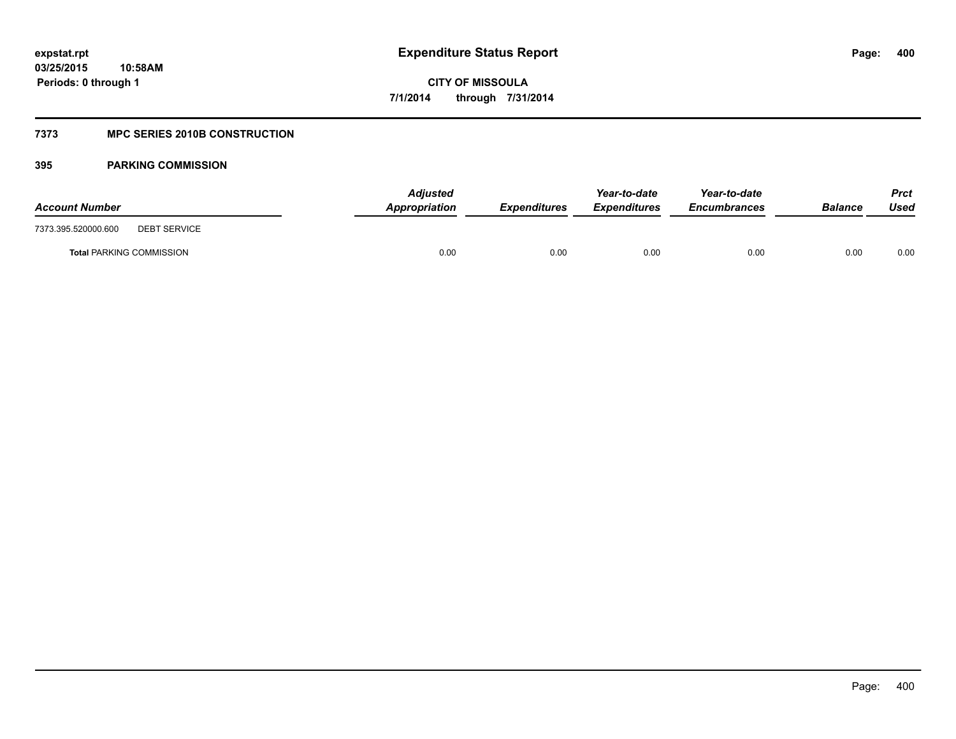### **7373 MPC SERIES 2010B CONSTRUCTION**

| <b>Account Number</b>                      | <b>Adjusted</b><br>Appropriation | <b>Expenditures</b> | Year-to-date<br><b>Expenditures</b> | Year-to-date<br><b>Encumbrances</b> | Balance | <b>Prct</b><br>Used |
|--------------------------------------------|----------------------------------|---------------------|-------------------------------------|-------------------------------------|---------|---------------------|
| 7373.395.520000.600<br><b>DEBT SERVICE</b> |                                  |                     |                                     |                                     |         |                     |
| <b>Total PARKING COMMISSION</b>            | 0.00                             | 0.00                | 0.00                                | 0.00                                | 0.00    | 0.00                |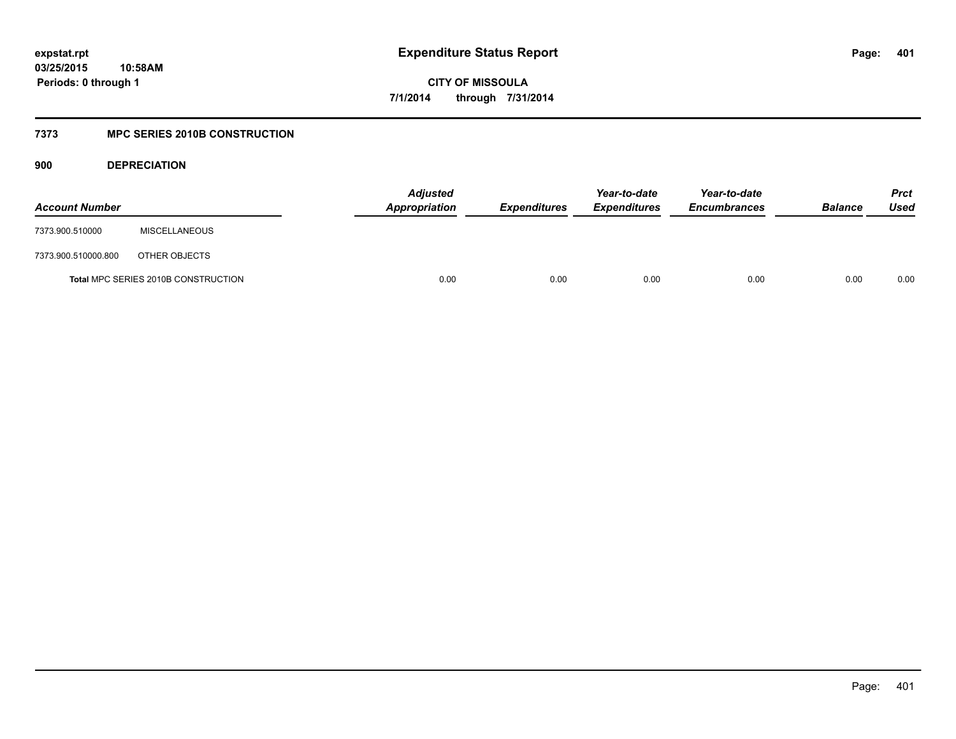### **7373 MPC SERIES 2010B CONSTRUCTION**

**900 DEPRECIATION**

| <b>Account Number</b> |                                     | <b>Adjusted</b><br>Appropriation | <b>Expenditures</b> | Year-to-date<br><b>Expenditures</b> | Year-to-date<br><b>Encumbrances</b> | <b>Balance</b> | <b>Prct</b><br>Used |
|-----------------------|-------------------------------------|----------------------------------|---------------------|-------------------------------------|-------------------------------------|----------------|---------------------|
| 7373.900.510000       | <b>MISCELLANEOUS</b>                |                                  |                     |                                     |                                     |                |                     |
| 7373.900.510000.800   | OTHER OBJECTS                       |                                  |                     |                                     |                                     |                |                     |
|                       | Total MPC SERIES 2010B CONSTRUCTION | 0.00                             | 0.00                | 0.00                                | 0.00                                | 0.00           | 0.00                |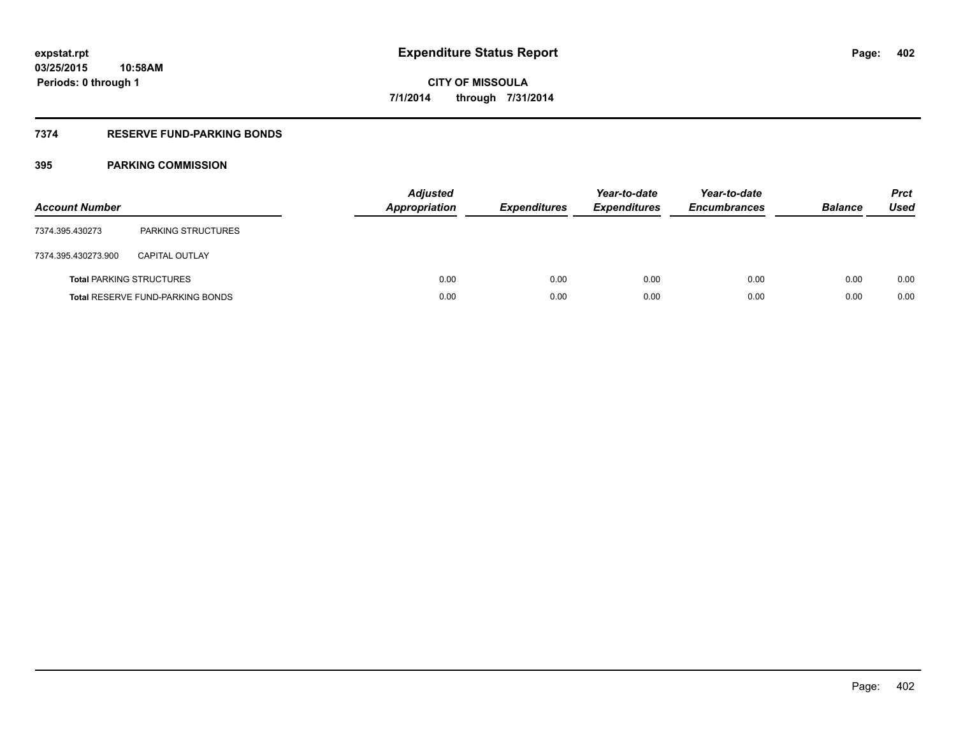### **7374 RESERVE FUND-PARKING BONDS**

| <b>Account Number</b> |                                         | <b>Adjusted</b><br><b>Appropriation</b> | <b>Expenditures</b> | Year-to-date<br><b>Expenditures</b> | Year-to-date<br><b>Encumbrances</b> | <b>Balance</b> | <b>Prct</b><br>Used |
|-----------------------|-----------------------------------------|-----------------------------------------|---------------------|-------------------------------------|-------------------------------------|----------------|---------------------|
| 7374.395.430273       | PARKING STRUCTURES                      |                                         |                     |                                     |                                     |                |                     |
| 7374.395.430273.900   | <b>CAPITAL OUTLAY</b>                   |                                         |                     |                                     |                                     |                |                     |
|                       | <b>Total PARKING STRUCTURES</b>         | 0.00                                    | 0.00                | 0.00                                | 0.00                                | 0.00           | 0.00                |
|                       | <b>Total RESERVE FUND-PARKING BONDS</b> | 0.00                                    | 0.00                | 0.00                                | 0.00                                | 0.00           | 0.00                |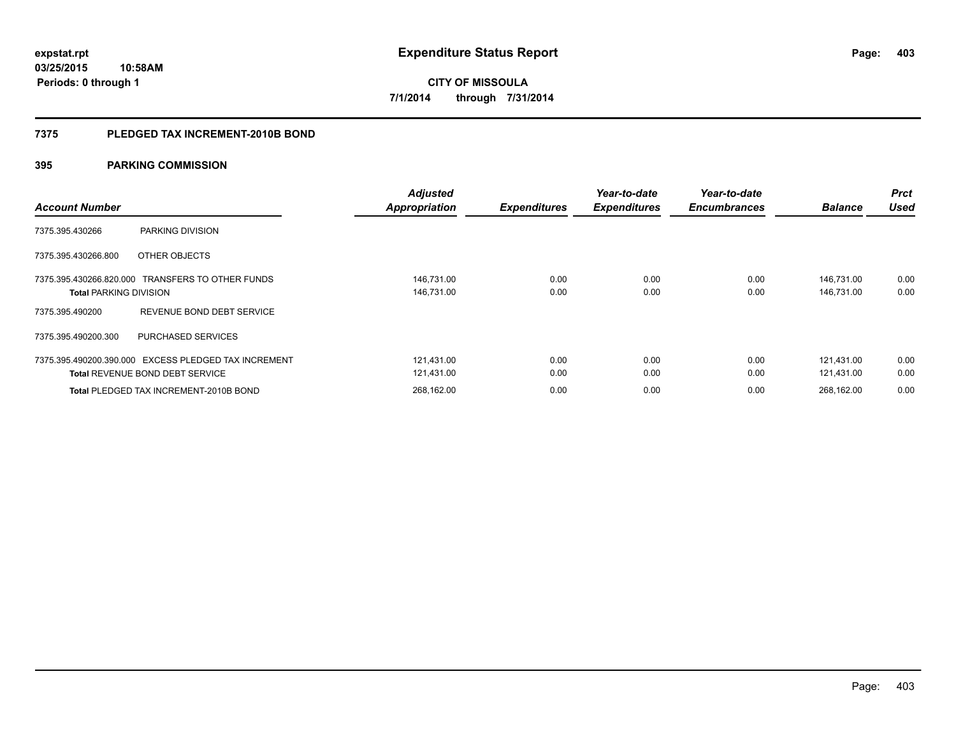#### **7375 PLEDGED TAX INCREMENT-2010B BOND**

| <b>Account Number</b>         |                                                                                                | <b>Adjusted</b><br><b>Appropriation</b> | <b>Expenditures</b> | Year-to-date<br><b>Expenditures</b> | Year-to-date<br><b>Encumbrances</b> | <b>Balance</b>           | Prct<br>Used |
|-------------------------------|------------------------------------------------------------------------------------------------|-----------------------------------------|---------------------|-------------------------------------|-------------------------------------|--------------------------|--------------|
| 7375.395.430266               | PARKING DIVISION                                                                               |                                         |                     |                                     |                                     |                          |              |
| 7375.395.430266.800           | OTHER OBJECTS                                                                                  |                                         |                     |                                     |                                     |                          |              |
| <b>Total PARKING DIVISION</b> | 7375.395.430266.820.000 TRANSFERS TO OTHER FUNDS                                               | 146,731.00<br>146,731.00                | 0.00<br>0.00        | 0.00<br>0.00                        | 0.00<br>0.00                        | 146,731.00<br>146,731.00 | 0.00<br>0.00 |
| 7375.395.490200               | REVENUE BOND DEBT SERVICE                                                                      |                                         |                     |                                     |                                     |                          |              |
| 7375.395.490200.300           | PURCHASED SERVICES                                                                             |                                         |                     |                                     |                                     |                          |              |
|                               | 7375.395.490200.390.000 EXCESS PLEDGED TAX INCREMENT<br><b>Total REVENUE BOND DEBT SERVICE</b> | 121.431.00<br>121,431.00                | 0.00<br>0.00        | 0.00<br>0.00                        | 0.00<br>0.00                        | 121.431.00<br>121.431.00 | 0.00<br>0.00 |
|                               | <b>Total PLEDGED TAX INCREMENT-2010B BOND</b>                                                  | 268.162.00                              | 0.00                | 0.00                                | 0.00                                | 268.162.00               | 0.00         |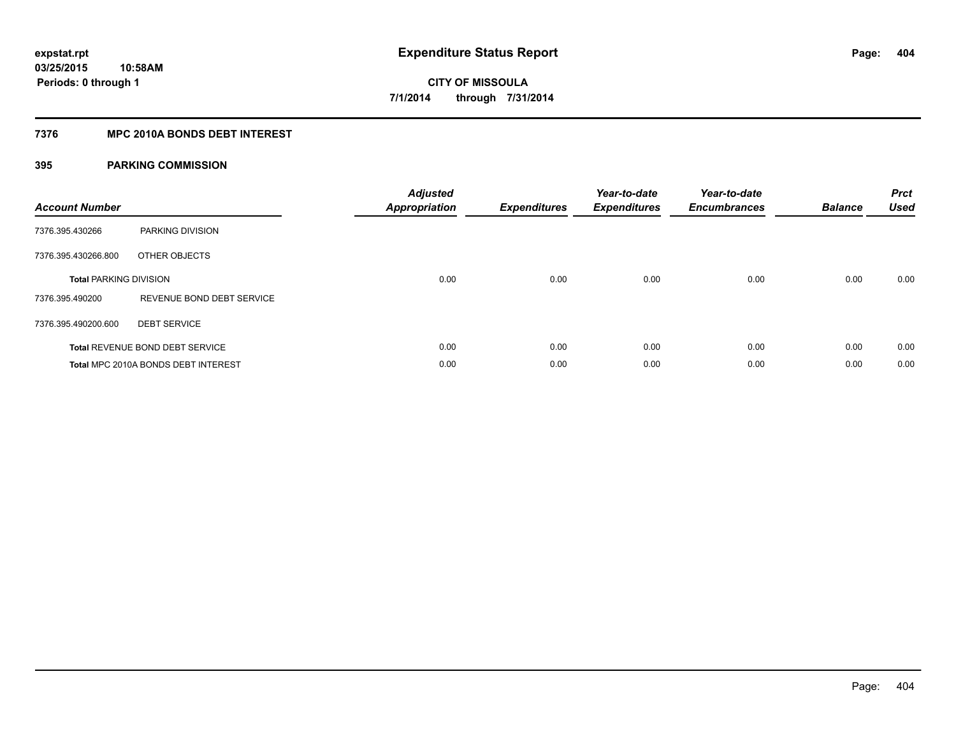### **7376 MPC 2010A BONDS DEBT INTEREST**

| <b>Account Number</b>         |                                        | <b>Adjusted</b><br>Appropriation | <b>Expenditures</b> | Year-to-date<br><b>Expenditures</b> | Year-to-date<br><b>Encumbrances</b> | <b>Balance</b> | <b>Prct</b><br><b>Used</b> |
|-------------------------------|----------------------------------------|----------------------------------|---------------------|-------------------------------------|-------------------------------------|----------------|----------------------------|
| 7376.395.430266               | PARKING DIVISION                       |                                  |                     |                                     |                                     |                |                            |
| 7376.395.430266.800           | OTHER OBJECTS                          |                                  |                     |                                     |                                     |                |                            |
| <b>Total PARKING DIVISION</b> |                                        | 0.00                             | 0.00                | 0.00                                | 0.00                                | 0.00           | 0.00                       |
| 7376.395.490200               | REVENUE BOND DEBT SERVICE              |                                  |                     |                                     |                                     |                |                            |
| 7376.395.490200.600           | <b>DEBT SERVICE</b>                    |                                  |                     |                                     |                                     |                |                            |
|                               | <b>Total REVENUE BOND DEBT SERVICE</b> | 0.00                             | 0.00                | 0.00                                | 0.00                                | 0.00           | 0.00                       |
|                               | Total MPC 2010A BONDS DEBT INTEREST    | 0.00                             | 0.00                | 0.00                                | 0.00                                | 0.00           | 0.00                       |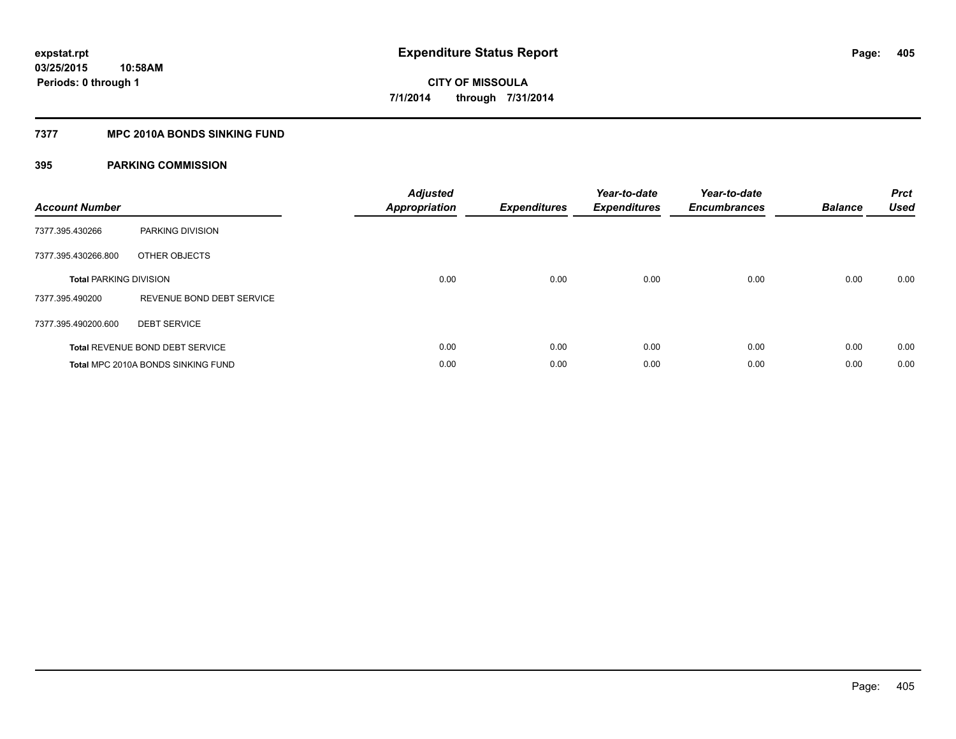#### **7377 MPC 2010A BONDS SINKING FUND**

| <b>Account Number</b>         |                                        | <b>Adjusted</b><br><b>Appropriation</b> | <b>Expenditures</b> | Year-to-date<br><b>Expenditures</b> | Year-to-date<br><b>Encumbrances</b> | <b>Balance</b> | <b>Prct</b><br><b>Used</b> |
|-------------------------------|----------------------------------------|-----------------------------------------|---------------------|-------------------------------------|-------------------------------------|----------------|----------------------------|
| 7377.395.430266               | PARKING DIVISION                       |                                         |                     |                                     |                                     |                |                            |
| 7377.395.430266.800           | OTHER OBJECTS                          |                                         |                     |                                     |                                     |                |                            |
| <b>Total PARKING DIVISION</b> |                                        | 0.00                                    | 0.00                | 0.00                                | 0.00                                | 0.00           | 0.00                       |
| 7377.395.490200               | REVENUE BOND DEBT SERVICE              |                                         |                     |                                     |                                     |                |                            |
| 7377.395.490200.600           | <b>DEBT SERVICE</b>                    |                                         |                     |                                     |                                     |                |                            |
|                               | <b>Total REVENUE BOND DEBT SERVICE</b> | 0.00                                    | 0.00                | 0.00                                | 0.00                                | 0.00           | 0.00                       |
|                               | Total MPC 2010A BONDS SINKING FUND     | 0.00                                    | 0.00                | 0.00                                | 0.00                                | 0.00           | 0.00                       |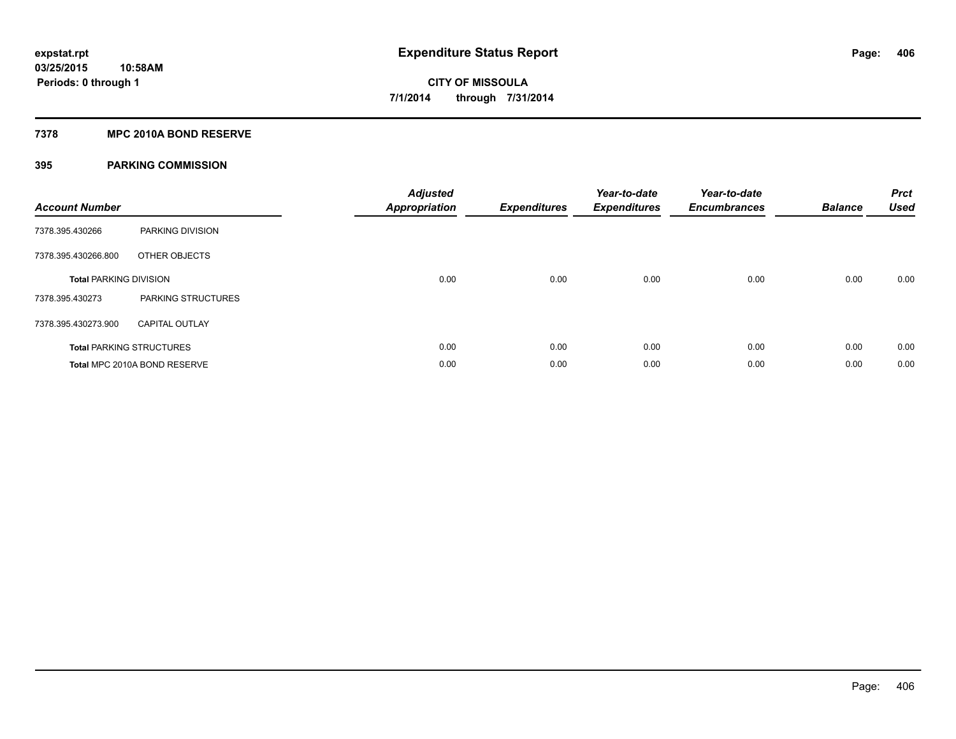#### **7378 MPC 2010A BOND RESERVE**

| <b>Account Number</b>         |                                 | <b>Adjusted</b><br><b>Appropriation</b> | <b>Expenditures</b> | Year-to-date<br><b>Expenditures</b> | Year-to-date<br><b>Encumbrances</b> | <b>Balance</b> | <b>Prct</b><br><b>Used</b> |
|-------------------------------|---------------------------------|-----------------------------------------|---------------------|-------------------------------------|-------------------------------------|----------------|----------------------------|
| 7378.395.430266               | PARKING DIVISION                |                                         |                     |                                     |                                     |                |                            |
| 7378.395.430266.800           | OTHER OBJECTS                   |                                         |                     |                                     |                                     |                |                            |
| <b>Total PARKING DIVISION</b> |                                 | 0.00                                    | 0.00                | 0.00                                | 0.00                                | 0.00           | 0.00                       |
| 7378.395.430273               | PARKING STRUCTURES              |                                         |                     |                                     |                                     |                |                            |
| 7378.395.430273.900           | <b>CAPITAL OUTLAY</b>           |                                         |                     |                                     |                                     |                |                            |
|                               | <b>Total PARKING STRUCTURES</b> | 0.00                                    | 0.00                | 0.00                                | 0.00                                | 0.00           | 0.00                       |
|                               | Total MPC 2010A BOND RESERVE    | 0.00                                    | 0.00                | 0.00                                | 0.00                                | 0.00           | 0.00                       |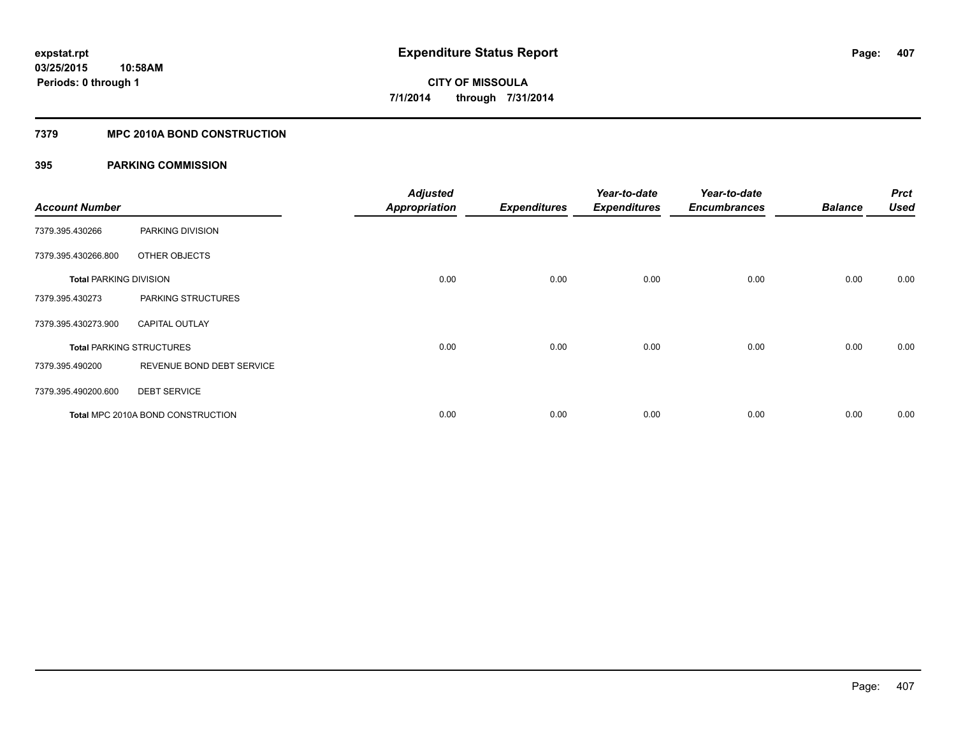### **7379 MPC 2010A BOND CONSTRUCTION**

| <b>Account Number</b>         |                                          | <b>Adjusted</b><br><b>Appropriation</b> | <b>Expenditures</b> | Year-to-date<br><b>Expenditures</b> | Year-to-date<br><b>Encumbrances</b> | <b>Balance</b> | <b>Prct</b><br>Used |
|-------------------------------|------------------------------------------|-----------------------------------------|---------------------|-------------------------------------|-------------------------------------|----------------|---------------------|
| 7379.395.430266               | PARKING DIVISION                         |                                         |                     |                                     |                                     |                |                     |
| 7379.395.430266.800           | OTHER OBJECTS                            |                                         |                     |                                     |                                     |                |                     |
| <b>Total PARKING DIVISION</b> |                                          | 0.00                                    | 0.00                | 0.00                                | 0.00                                | 0.00           | 0.00                |
| 7379.395.430273               | PARKING STRUCTURES                       |                                         |                     |                                     |                                     |                |                     |
| 7379.395.430273.900           | <b>CAPITAL OUTLAY</b>                    |                                         |                     |                                     |                                     |                |                     |
|                               | <b>Total PARKING STRUCTURES</b>          | 0.00                                    | 0.00                | 0.00                                | 0.00                                | 0.00           | 0.00                |
| 7379.395.490200               | REVENUE BOND DEBT SERVICE                |                                         |                     |                                     |                                     |                |                     |
| 7379.395.490200.600           | <b>DEBT SERVICE</b>                      |                                         |                     |                                     |                                     |                |                     |
|                               | <b>Total MPC 2010A BOND CONSTRUCTION</b> | 0.00                                    | 0.00                | 0.00                                | 0.00                                | 0.00           | 0.00                |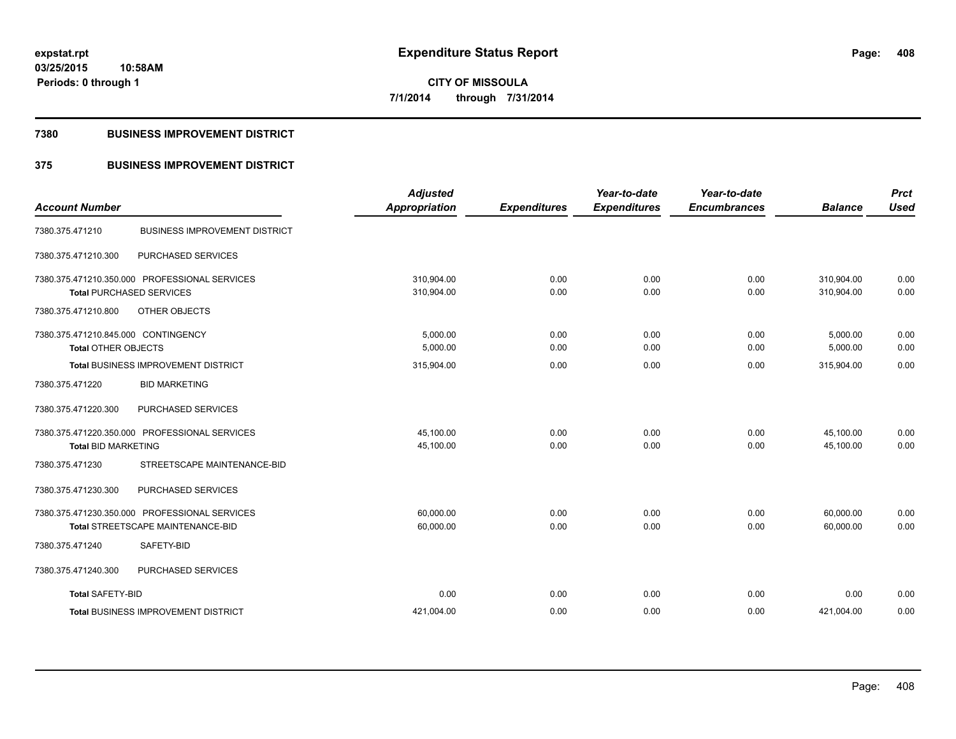#### **7380 BUSINESS IMPROVEMENT DISTRICT**

### **375 BUSINESS IMPROVEMENT DISTRICT**

|                                                                                    | <b>Adjusted</b>          |                     | Year-to-date        | Year-to-date        |                          | <b>Prct</b>  |
|------------------------------------------------------------------------------------|--------------------------|---------------------|---------------------|---------------------|--------------------------|--------------|
| <b>Account Number</b>                                                              | <b>Appropriation</b>     | <b>Expenditures</b> | <b>Expenditures</b> | <b>Encumbrances</b> | <b>Balance</b>           | <b>Used</b>  |
| <b>BUSINESS IMPROVEMENT DISTRICT</b><br>7380.375.471210                            |                          |                     |                     |                     |                          |              |
| 7380.375.471210.300<br>PURCHASED SERVICES                                          |                          |                     |                     |                     |                          |              |
| 7380.375.471210.350.000 PROFESSIONAL SERVICES<br><b>Total PURCHASED SERVICES</b>   | 310,904.00<br>310,904.00 | 0.00<br>0.00        | 0.00<br>0.00        | 0.00<br>0.00        | 310,904.00<br>310,904.00 | 0.00<br>0.00 |
| 7380.375.471210.800<br>OTHER OBJECTS                                               |                          |                     |                     |                     |                          |              |
| 7380.375.471210.845.000 CONTINGENCY<br><b>Total OTHER OBJECTS</b>                  | 5.000.00<br>5,000.00     | 0.00<br>0.00        | 0.00<br>0.00        | 0.00<br>0.00        | 5,000.00<br>5,000.00     | 0.00<br>0.00 |
| Total BUSINESS IMPROVEMENT DISTRICT                                                | 315,904.00               | 0.00                | 0.00                | 0.00                | 315,904.00               | 0.00         |
| <b>BID MARKETING</b><br>7380.375.471220                                            |                          |                     |                     |                     |                          |              |
| 7380.375.471220.300<br>PURCHASED SERVICES                                          |                          |                     |                     |                     |                          |              |
| 7380.375.471220.350.000 PROFESSIONAL SERVICES<br><b>Total BID MARKETING</b>        | 45.100.00<br>45,100.00   | 0.00<br>0.00        | 0.00<br>0.00        | 0.00<br>0.00        | 45,100.00<br>45,100.00   | 0.00<br>0.00 |
| STREETSCAPE MAINTENANCE-BID<br>7380.375.471230                                     |                          |                     |                     |                     |                          |              |
| 7380.375.471230.300<br>PURCHASED SERVICES                                          |                          |                     |                     |                     |                          |              |
| 7380.375.471230.350.000 PROFESSIONAL SERVICES<br>Total STREETSCAPE MAINTENANCE-BID | 60.000.00<br>60,000.00   | 0.00<br>0.00        | 0.00<br>0.00        | 0.00<br>0.00        | 60,000.00<br>60,000.00   | 0.00<br>0.00 |
| SAFETY-BID<br>7380.375.471240                                                      |                          |                     |                     |                     |                          |              |
| 7380.375.471240.300<br>PURCHASED SERVICES                                          |                          |                     |                     |                     |                          |              |
| <b>Total SAFETY-BID</b>                                                            | 0.00                     | 0.00                | 0.00                | 0.00                | 0.00                     | 0.00         |
| <b>Total BUSINESS IMPROVEMENT DISTRICT</b>                                         | 421,004.00               | 0.00                | 0.00                | 0.00                | 421,004.00               | 0.00         |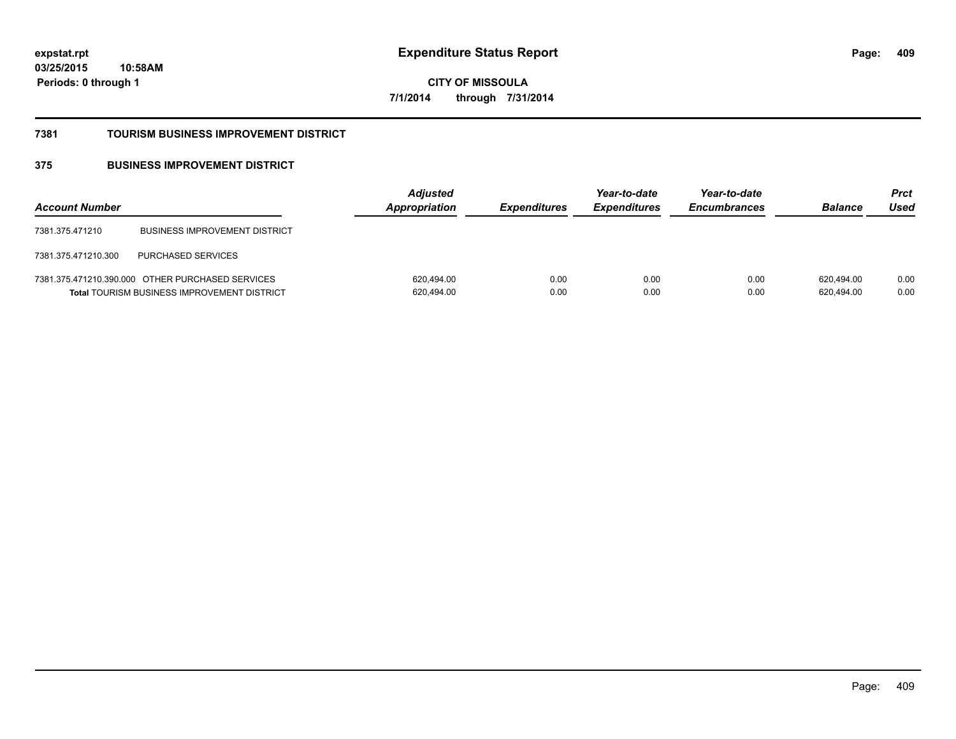**03/25/2015 10:58AM Periods: 0 through 1**

**CITY OF MISSOULA 7/1/2014 through 7/31/2014**

#### **7381 TOURISM BUSINESS IMPROVEMENT DISTRICT**

### **375 BUSINESS IMPROVEMENT DISTRICT**

| <b>Account Number</b> |                                                                                                        | <b>Adjusted</b><br>Appropriation | <i><b>Expenditures</b></i> | Year-to-date<br><b>Expenditures</b> | Year-to-date<br><b>Encumbrances</b> | <b>Balance</b>           | <b>Prct</b><br>Used |
|-----------------------|--------------------------------------------------------------------------------------------------------|----------------------------------|----------------------------|-------------------------------------|-------------------------------------|--------------------------|---------------------|
| 7381.375.471210       | <b>BUSINESS IMPROVEMENT DISTRICT</b>                                                                   |                                  |                            |                                     |                                     |                          |                     |
| 7381.375.471210.300   | <b>PURCHASED SERVICES</b>                                                                              |                                  |                            |                                     |                                     |                          |                     |
|                       | 7381.375.471210.390.000 OTHER PURCHASED SERVICES<br><b>Total TOURISM BUSINESS IMPROVEMENT DISTRICT</b> | 620.494.00<br>620,494.00         | 0.00<br>0.00               | 0.00<br>0.00                        | 0.00<br>0.00                        | 620.494.00<br>620,494.00 | 0.00<br>0.00        |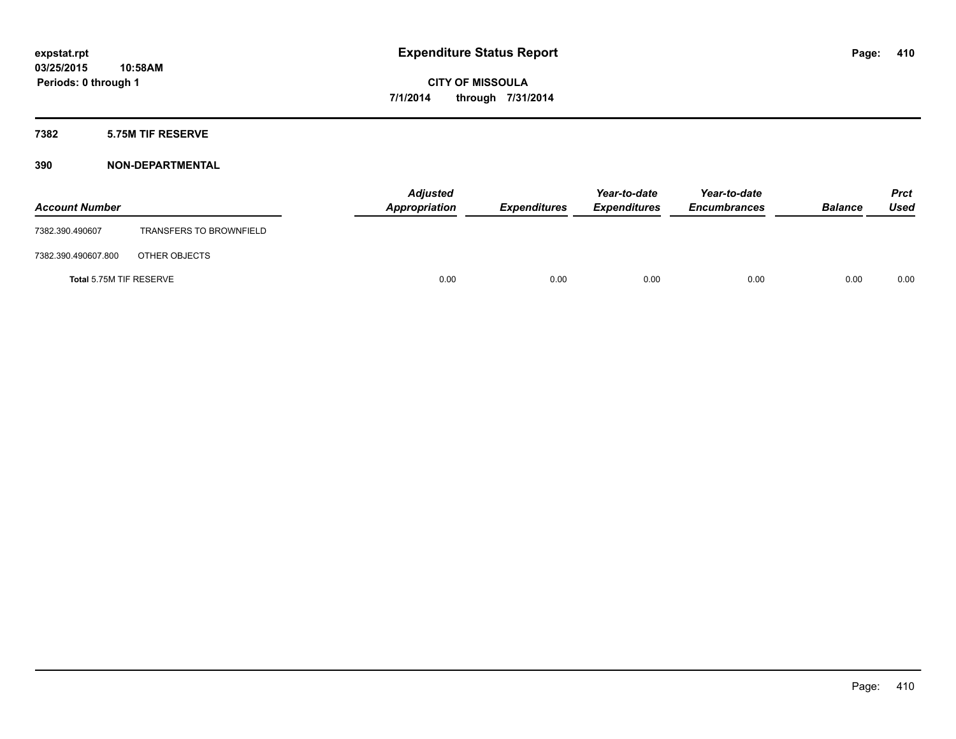#### **7382 5.75M TIF RESERVE**

| <b>Account Number</b>   |                                | <b>Adjusted</b><br>Appropriation | <b>Expenditures</b> | Year-to-date<br><b>Expenditures</b> | Year-to-date<br><b>Encumbrances</b> | <b>Balance</b> | <b>Prct</b><br><b>Used</b> |
|-------------------------|--------------------------------|----------------------------------|---------------------|-------------------------------------|-------------------------------------|----------------|----------------------------|
| 7382.390.490607         | <b>TRANSFERS TO BROWNFIELD</b> |                                  |                     |                                     |                                     |                |                            |
| 7382.390.490607.800     | OTHER OBJECTS                  |                                  |                     |                                     |                                     |                |                            |
| Total 5.75M TIF RESERVE |                                | 0.00                             | 0.00                | 0.00                                | 0.00                                | 0.00           | 0.00                       |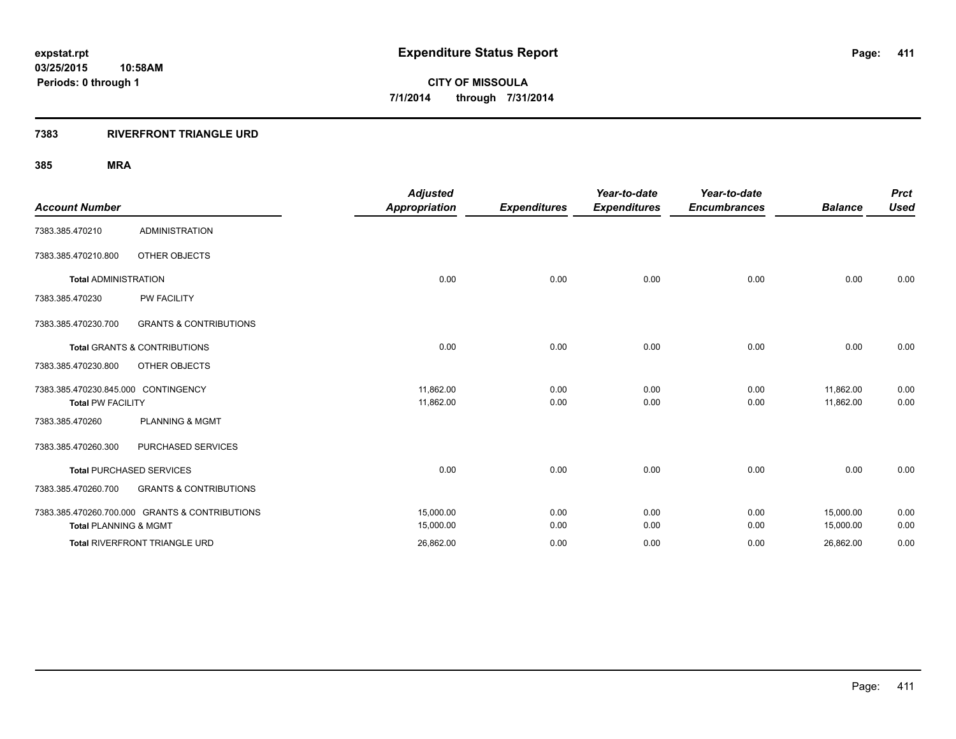### **7383 RIVERFRONT TRIANGLE URD**

|                                     |                                                | <b>Adjusted</b>      |                     | Year-to-date        | Year-to-date        |                | <b>Prct</b> |
|-------------------------------------|------------------------------------------------|----------------------|---------------------|---------------------|---------------------|----------------|-------------|
| <b>Account Number</b>               |                                                | <b>Appropriation</b> | <b>Expenditures</b> | <b>Expenditures</b> | <b>Encumbrances</b> | <b>Balance</b> | <b>Used</b> |
| 7383.385.470210                     | <b>ADMINISTRATION</b>                          |                      |                     |                     |                     |                |             |
| 7383.385.470210.800                 | OTHER OBJECTS                                  |                      |                     |                     |                     |                |             |
| <b>Total ADMINISTRATION</b>         |                                                | 0.00                 | 0.00                | 0.00                | 0.00                | 0.00           | 0.00        |
| 7383.385.470230                     | <b>PW FACILITY</b>                             |                      |                     |                     |                     |                |             |
| 7383.385.470230.700                 | <b>GRANTS &amp; CONTRIBUTIONS</b>              |                      |                     |                     |                     |                |             |
|                                     | <b>Total GRANTS &amp; CONTRIBUTIONS</b>        | 0.00                 | 0.00                | 0.00                | 0.00                | 0.00           | 0.00        |
| 7383.385.470230.800                 | OTHER OBJECTS                                  |                      |                     |                     |                     |                |             |
| 7383.385.470230.845.000 CONTINGENCY |                                                | 11,862.00            | 0.00                | 0.00                | 0.00                | 11,862.00      | 0.00        |
| <b>Total PW FACILITY</b>            |                                                | 11,862.00            | 0.00                | 0.00                | 0.00                | 11,862.00      | 0.00        |
| 7383.385.470260                     | <b>PLANNING &amp; MGMT</b>                     |                      |                     |                     |                     |                |             |
| 7383.385.470260.300                 | PURCHASED SERVICES                             |                      |                     |                     |                     |                |             |
|                                     | <b>Total PURCHASED SERVICES</b>                | 0.00                 | 0.00                | 0.00                | 0.00                | 0.00           | 0.00        |
| 7383.385.470260.700                 | <b>GRANTS &amp; CONTRIBUTIONS</b>              |                      |                     |                     |                     |                |             |
|                                     | 7383.385.470260.700.000 GRANTS & CONTRIBUTIONS | 15,000.00            | 0.00                | 0.00                | 0.00                | 15,000.00      | 0.00        |
| <b>Total PLANNING &amp; MGMT</b>    |                                                | 15,000.00            | 0.00                | 0.00                | 0.00                | 15,000.00      | 0.00        |
|                                     | Total RIVERFRONT TRIANGLE URD                  | 26,862.00            | 0.00                | 0.00                | 0.00                | 26,862.00      | 0.00        |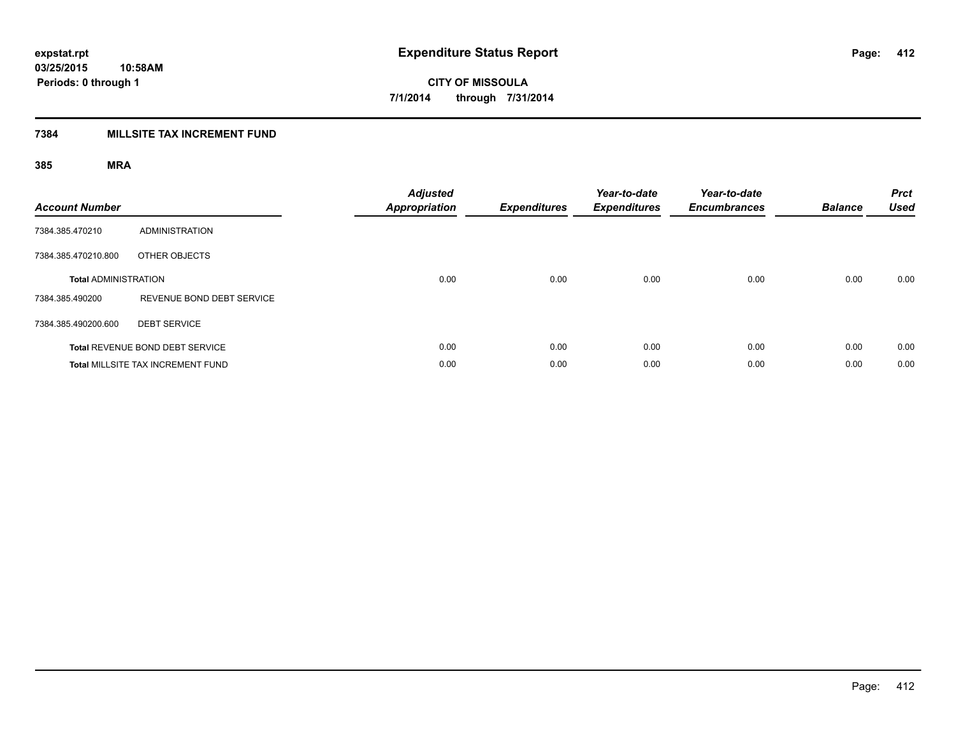### **7384 MILLSITE TAX INCREMENT FUND**

| <b>Account Number</b>       |                                          | <b>Adjusted</b><br><b>Appropriation</b> | <b>Expenditures</b> | Year-to-date<br><b>Expenditures</b> | Year-to-date<br><b>Encumbrances</b> | <b>Balance</b> | <b>Prct</b><br><b>Used</b> |
|-----------------------------|------------------------------------------|-----------------------------------------|---------------------|-------------------------------------|-------------------------------------|----------------|----------------------------|
| 7384.385.470210             | <b>ADMINISTRATION</b>                    |                                         |                     |                                     |                                     |                |                            |
| 7384.385.470210.800         | OTHER OBJECTS                            |                                         |                     |                                     |                                     |                |                            |
| <b>Total ADMINISTRATION</b> |                                          | 0.00                                    | 0.00                | 0.00                                | 0.00                                | 0.00           | 0.00                       |
| 7384.385.490200             | REVENUE BOND DEBT SERVICE                |                                         |                     |                                     |                                     |                |                            |
| 7384.385.490200.600         | <b>DEBT SERVICE</b>                      |                                         |                     |                                     |                                     |                |                            |
|                             | <b>Total REVENUE BOND DEBT SERVICE</b>   | 0.00                                    | 0.00                | 0.00                                | 0.00                                | 0.00           | 0.00                       |
|                             | <b>Total MILLSITE TAX INCREMENT FUND</b> | 0.00                                    | 0.00                | 0.00                                | 0.00                                | 0.00           | 0.00                       |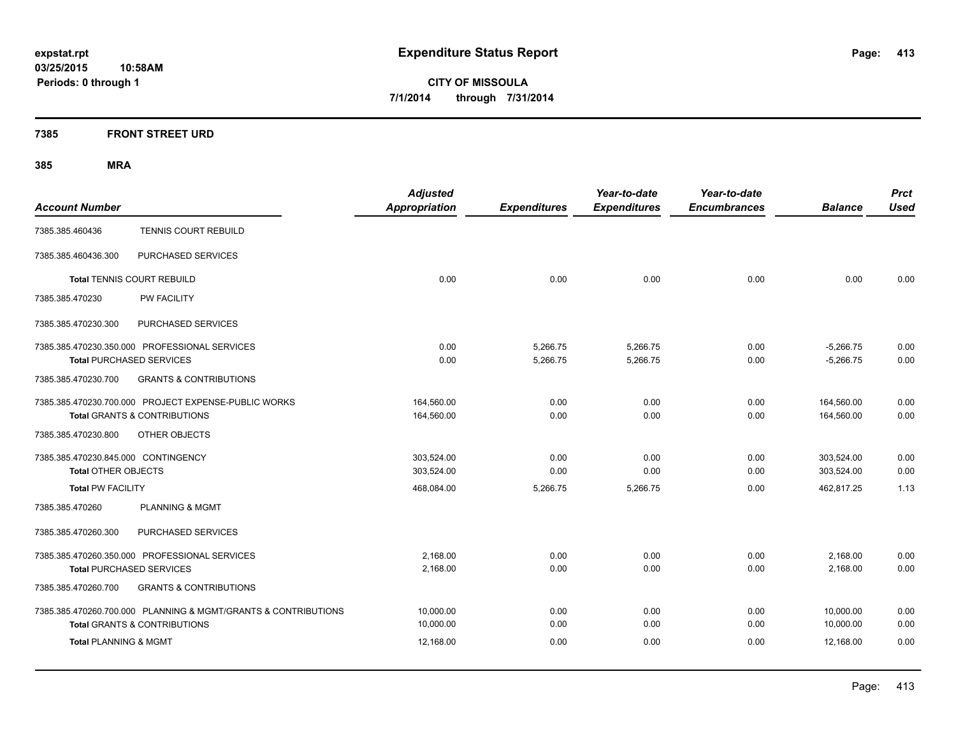### **7385 FRONT STREET URD**

|                                                                | <b>Adjusted</b>      |                     | Year-to-date        | Year-to-date        |                | <b>Prct</b> |
|----------------------------------------------------------------|----------------------|---------------------|---------------------|---------------------|----------------|-------------|
| <b>Account Number</b>                                          | <b>Appropriation</b> | <b>Expenditures</b> | <b>Expenditures</b> | <b>Encumbrances</b> | <b>Balance</b> | <b>Used</b> |
| <b>TENNIS COURT REBUILD</b><br>7385.385.460436                 |                      |                     |                     |                     |                |             |
| PURCHASED SERVICES<br>7385.385.460436.300                      |                      |                     |                     |                     |                |             |
| <b>Total TENNIS COURT REBUILD</b>                              | 0.00                 | 0.00                | 0.00                | 0.00                | 0.00           | 0.00        |
| PW FACILITY<br>7385.385.470230                                 |                      |                     |                     |                     |                |             |
| 7385.385.470230.300<br>PURCHASED SERVICES                      |                      |                     |                     |                     |                |             |
| 7385.385.470230.350.000 PROFESSIONAL SERVICES                  | 0.00                 | 5,266.75            | 5,266.75            | 0.00                | $-5,266.75$    | 0.00        |
| <b>Total PURCHASED SERVICES</b>                                | 0.00                 | 5,266.75            | 5,266.75            | 0.00                | $-5,266.75$    | 0.00        |
| 7385.385.470230.700<br><b>GRANTS &amp; CONTRIBUTIONS</b>       |                      |                     |                     |                     |                |             |
| 7385.385.470230.700.000 PROJECT EXPENSE-PUBLIC WORKS           | 164,560.00           | 0.00                | 0.00                | 0.00                | 164,560.00     | 0.00        |
| <b>Total GRANTS &amp; CONTRIBUTIONS</b>                        | 164,560.00           | 0.00                | 0.00                | 0.00                | 164,560.00     | 0.00        |
| OTHER OBJECTS<br>7385.385.470230.800                           |                      |                     |                     |                     |                |             |
| 7385.385.470230.845.000 CONTINGENCY                            | 303,524.00           | 0.00                | 0.00                | 0.00                | 303,524.00     | 0.00        |
| <b>Total OTHER OBJECTS</b>                                     | 303,524.00           | 0.00                | 0.00                | 0.00                | 303,524.00     | 0.00        |
| <b>Total PW FACILITY</b>                                       | 468,084.00           | 5,266.75            | 5,266.75            | 0.00                | 462,817.25     | 1.13        |
| <b>PLANNING &amp; MGMT</b><br>7385.385.470260                  |                      |                     |                     |                     |                |             |
| 7385.385.470260.300<br>PURCHASED SERVICES                      |                      |                     |                     |                     |                |             |
| 7385.385.470260.350.000 PROFESSIONAL SERVICES                  | 2,168.00             | 0.00                | 0.00                | 0.00                | 2,168.00       | 0.00        |
| <b>Total PURCHASED SERVICES</b>                                | 2,168.00             | 0.00                | 0.00                | 0.00                | 2,168.00       | 0.00        |
| 7385.385.470260.700<br><b>GRANTS &amp; CONTRIBUTIONS</b>       |                      |                     |                     |                     |                |             |
| 7385.385.470260.700.000 PLANNING & MGMT/GRANTS & CONTRIBUTIONS | 10,000.00            | 0.00                | 0.00                | 0.00                | 10,000.00      | 0.00        |
| <b>Total GRANTS &amp; CONTRIBUTIONS</b>                        | 10,000.00            | 0.00                | 0.00                | 0.00                | 10,000.00      | 0.00        |
| <b>Total PLANNING &amp; MGMT</b>                               | 12,168.00            | 0.00                | 0.00                | 0.00                | 12,168.00      | 0.00        |
|                                                                |                      |                     |                     |                     |                |             |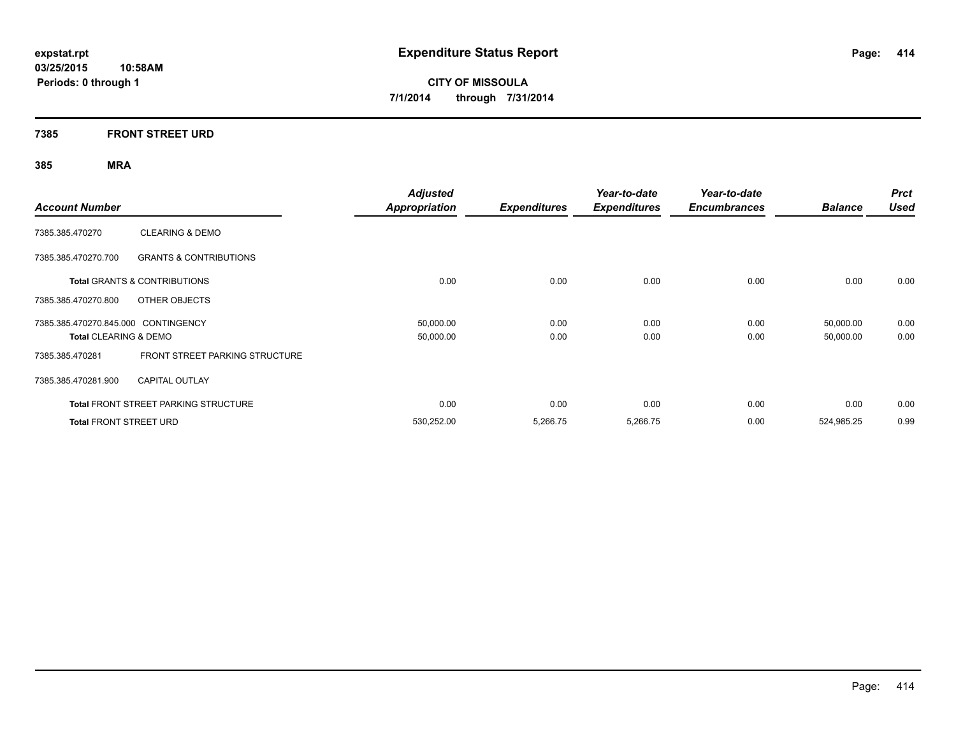### **7385 FRONT STREET URD**

| <b>Account Number</b>               |                                             | Adjusted<br><b>Appropriation</b> | <b>Expenditures</b> | Year-to-date<br><b>Expenditures</b> | Year-to-date<br><b>Encumbrances</b> | <b>Balance</b> | <b>Prct</b><br><b>Used</b> |
|-------------------------------------|---------------------------------------------|----------------------------------|---------------------|-------------------------------------|-------------------------------------|----------------|----------------------------|
| 7385.385.470270                     | <b>CLEARING &amp; DEMO</b>                  |                                  |                     |                                     |                                     |                |                            |
| 7385.385.470270.700                 | <b>GRANTS &amp; CONTRIBUTIONS</b>           |                                  |                     |                                     |                                     |                |                            |
|                                     | Total GRANTS & CONTRIBUTIONS                | 0.00                             | 0.00                | 0.00                                | 0.00                                | 0.00           | 0.00                       |
| 7385.385.470270.800                 | OTHER OBJECTS                               |                                  |                     |                                     |                                     |                |                            |
| 7385.385.470270.845.000 CONTINGENCY |                                             | 50,000.00                        | 0.00                | 0.00                                | 0.00                                | 50,000.00      | 0.00                       |
| <b>Total CLEARING &amp; DEMO</b>    |                                             | 50,000.00                        | 0.00                | 0.00                                | 0.00                                | 50,000.00      | 0.00                       |
| 7385.385.470281                     | <b>FRONT STREET PARKING STRUCTURE</b>       |                                  |                     |                                     |                                     |                |                            |
| 7385.385.470281.900                 | <b>CAPITAL OUTLAY</b>                       |                                  |                     |                                     |                                     |                |                            |
|                                     | <b>Total FRONT STREET PARKING STRUCTURE</b> | 0.00                             | 0.00                | 0.00                                | 0.00                                | 0.00           | 0.00                       |
| <b>Total FRONT STREET URD</b>       |                                             | 530.252.00                       | 5,266.75            | 5,266.75                            | 0.00                                | 524,985.25     | 0.99                       |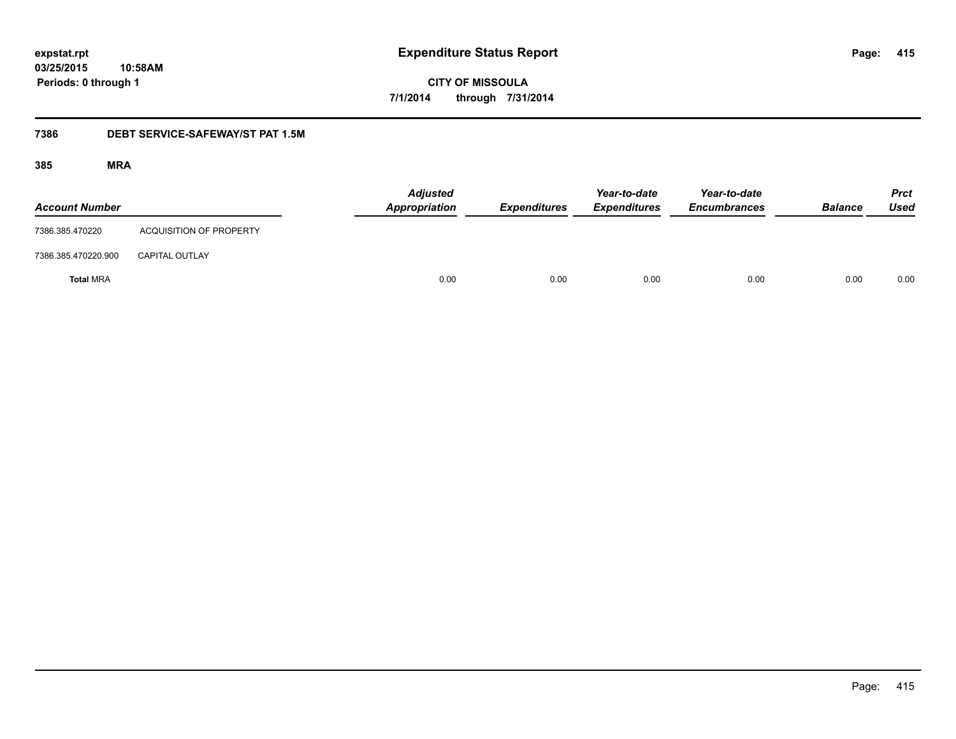**03/25/2015 10:58AM Periods: 0 through 1**

**CITY OF MISSOULA 7/1/2014 through 7/31/2014**

#### **7386 DEBT SERVICE-SAFEWAY/ST PAT 1.5M**

| <b>Account Number</b> |                                | <b>Adjusted</b><br>Appropriation | <b>Expenditures</b> | Year-to-date<br><b>Expenditures</b> | Year-to-date<br><b>Encumbrances</b> | <b>Balance</b> | <b>Prct</b><br><b>Used</b> |
|-----------------------|--------------------------------|----------------------------------|---------------------|-------------------------------------|-------------------------------------|----------------|----------------------------|
| 7386.385.470220       | <b>ACQUISITION OF PROPERTY</b> |                                  |                     |                                     |                                     |                |                            |
| 7386.385.470220.900   | <b>CAPITAL OUTLAY</b>          |                                  |                     |                                     |                                     |                |                            |
| <b>Total MRA</b>      |                                | 0.00                             | 0.00                | 0.00                                | 0.00                                | 0.00           | 0.00                       |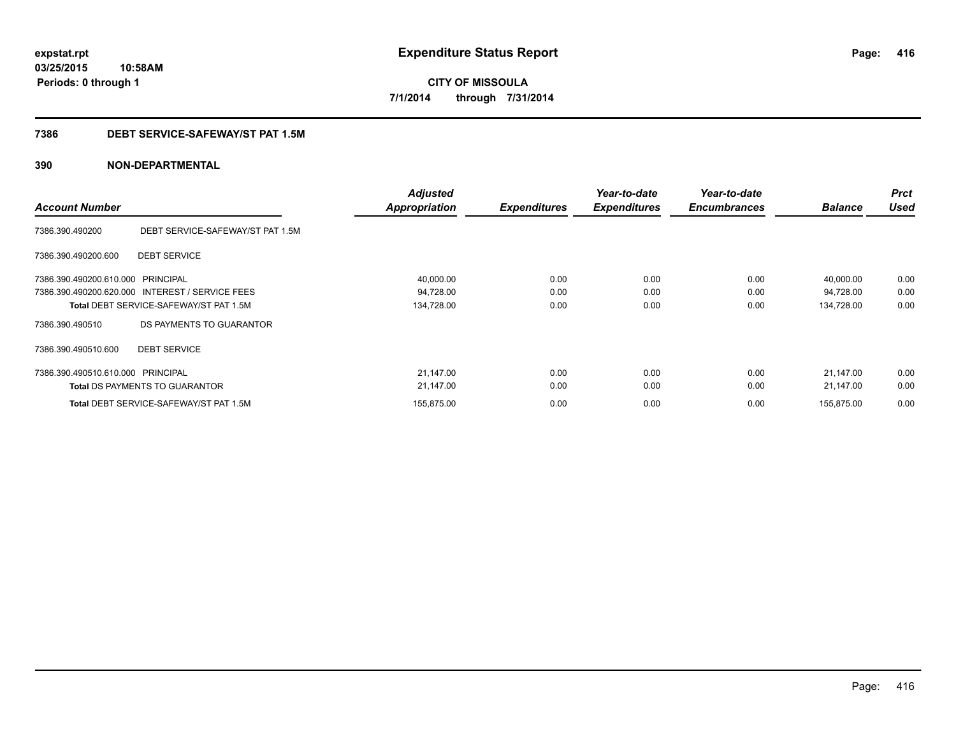#### **7386 DEBT SERVICE-SAFEWAY/ST PAT 1.5M**

| <b>Account Number</b>             |                                                 | <b>Adjusted</b><br><b>Appropriation</b> | <b>Expenditures</b> | Year-to-date<br><b>Expenditures</b> | Year-to-date<br><b>Encumbrances</b> | <b>Balance</b> | <b>Prct</b><br><b>Used</b> |
|-----------------------------------|-------------------------------------------------|-----------------------------------------|---------------------|-------------------------------------|-------------------------------------|----------------|----------------------------|
| 7386.390.490200                   | DEBT SERVICE-SAFEWAY/ST PAT 1.5M                |                                         |                     |                                     |                                     |                |                            |
| 7386.390.490200.600               | <b>DEBT SERVICE</b>                             |                                         |                     |                                     |                                     |                |                            |
| 7386.390.490200.610.000 PRINCIPAL |                                                 | 40,000.00                               | 0.00                | 0.00                                | 0.00                                | 40,000.00      | 0.00                       |
|                                   | 7386.390.490200.620.000 INTEREST / SERVICE FEES | 94,728.00                               | 0.00                | 0.00                                | 0.00                                | 94,728.00      | 0.00                       |
|                                   | <b>Total DEBT SERVICE-SAFEWAY/ST PAT 1.5M</b>   | 134,728.00                              | 0.00                | 0.00                                | 0.00                                | 134,728.00     | 0.00                       |
| 7386.390.490510                   | DS PAYMENTS TO GUARANTOR                        |                                         |                     |                                     |                                     |                |                            |
| 7386.390.490510.600               | <b>DEBT SERVICE</b>                             |                                         |                     |                                     |                                     |                |                            |
| 7386.390.490510.610.000 PRINCIPAL |                                                 | 21,147.00                               | 0.00                | 0.00                                | 0.00                                | 21.147.00      | 0.00                       |
|                                   | <b>Total DS PAYMENTS TO GUARANTOR</b>           | 21,147.00                               | 0.00                | 0.00                                | 0.00                                | 21,147.00      | 0.00                       |
|                                   | Total DEBT SERVICE-SAFEWAY/ST PAT 1.5M          | 155,875.00                              | 0.00                | 0.00                                | 0.00                                | 155,875.00     | 0.00                       |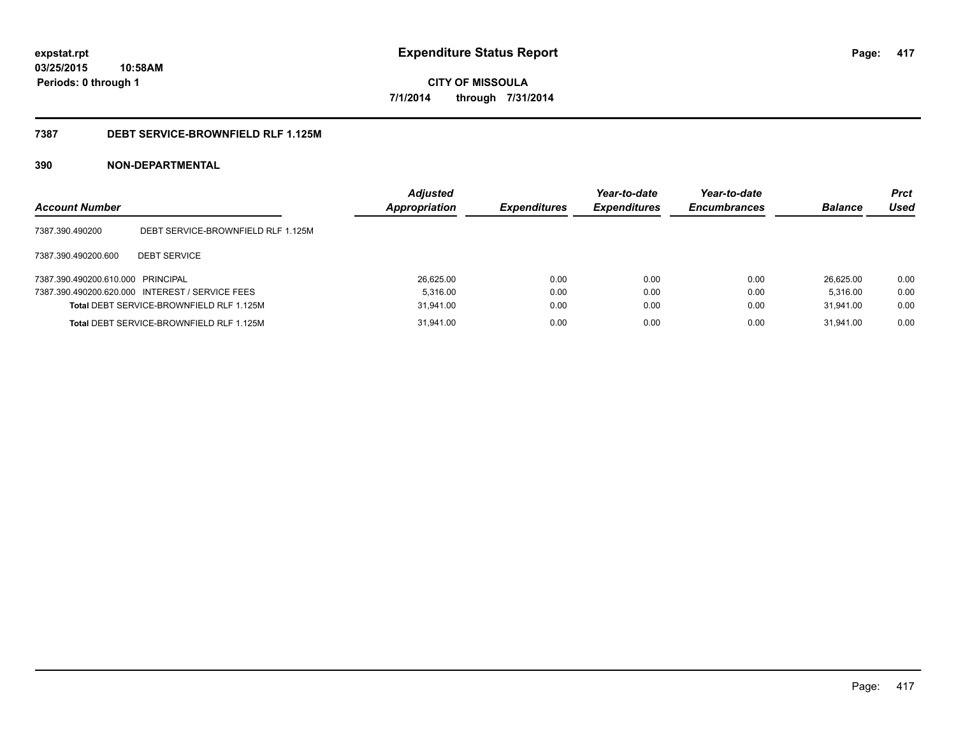#### **7387 DEBT SERVICE-BROWNFIELD RLF 1.125M**

| <b>Account Number</b>             |                                                 | <b>Adjusted</b><br>Appropriation | <b>Expenditures</b> | Year-to-date<br><b>Expenditures</b> | Year-to-date<br><b>Encumbrances</b> | <b>Balance</b> | <b>Prct</b><br>Used |
|-----------------------------------|-------------------------------------------------|----------------------------------|---------------------|-------------------------------------|-------------------------------------|----------------|---------------------|
| 7387.390.490200                   | DEBT SERVICE-BROWNFIELD RLF 1.125M              |                                  |                     |                                     |                                     |                |                     |
| 7387.390.490200.600               | <b>DEBT SERVICE</b>                             |                                  |                     |                                     |                                     |                |                     |
| 7387.390.490200.610.000 PRINCIPAL |                                                 | 26.625.00                        | 0.00                | 0.00                                | 0.00                                | 26.625.00      | 0.00                |
|                                   | 7387.390.490200.620.000 INTEREST / SERVICE FEES | 5.316.00                         | 0.00                | 0.00                                | 0.00                                | 5.316.00       | 0.00                |
|                                   | Total DEBT SERVICE-BROWNFIELD RLF 1.125M        | 31.941.00                        | 0.00                | 0.00                                | 0.00                                | 31.941.00      | 0.00                |
|                                   | Total DEBT SERVICE-BROWNFIELD RLF 1.125M        | 31,941.00                        | 0.00                | 0.00                                | 0.00                                | 31.941.00      | 0.00                |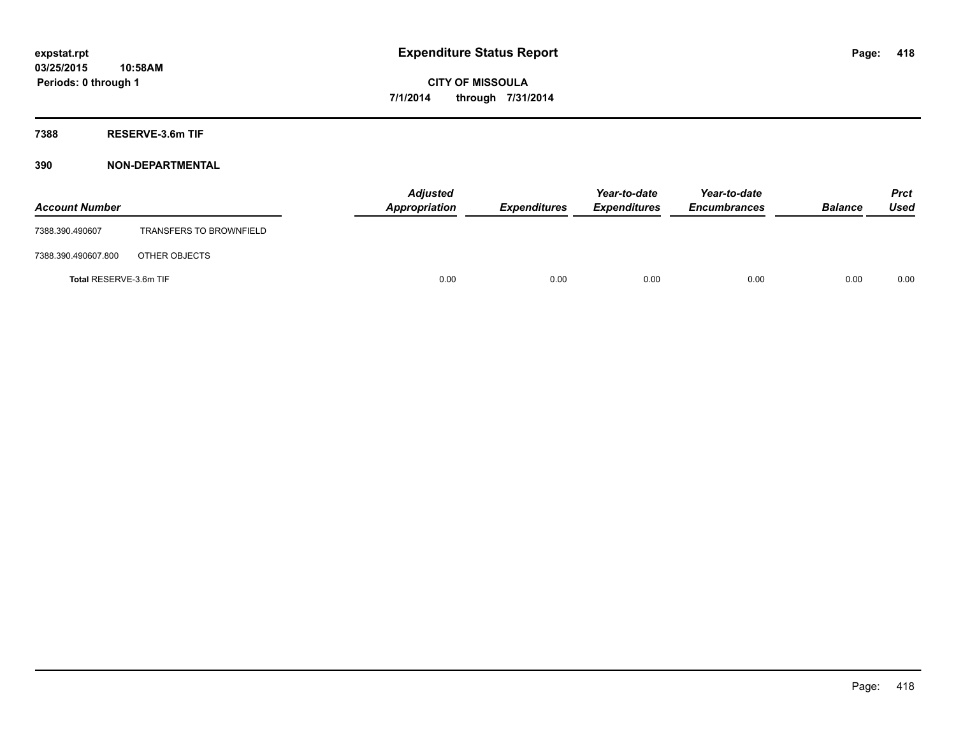**7388 RESERVE-3.6m TIF**

| <b>Account Number</b>  |                                | <b>Adjusted</b><br>Appropriation | <b>Expenditures</b> | Year-to-date<br><b>Expenditures</b> | Year-to-date<br><b>Encumbrances</b> | <b>Balance</b> | <b>Prct</b><br>Used |
|------------------------|--------------------------------|----------------------------------|---------------------|-------------------------------------|-------------------------------------|----------------|---------------------|
| 7388.390.490607        | <b>TRANSFERS TO BROWNFIELD</b> |                                  |                     |                                     |                                     |                |                     |
| 7388.390.490607.800    | OTHER OBJECTS                  |                                  |                     |                                     |                                     |                |                     |
| Total RESERVE-3.6m TIF |                                | 0.00                             | 0.00                | 0.00                                | 0.00                                | 0.00           | 0.00                |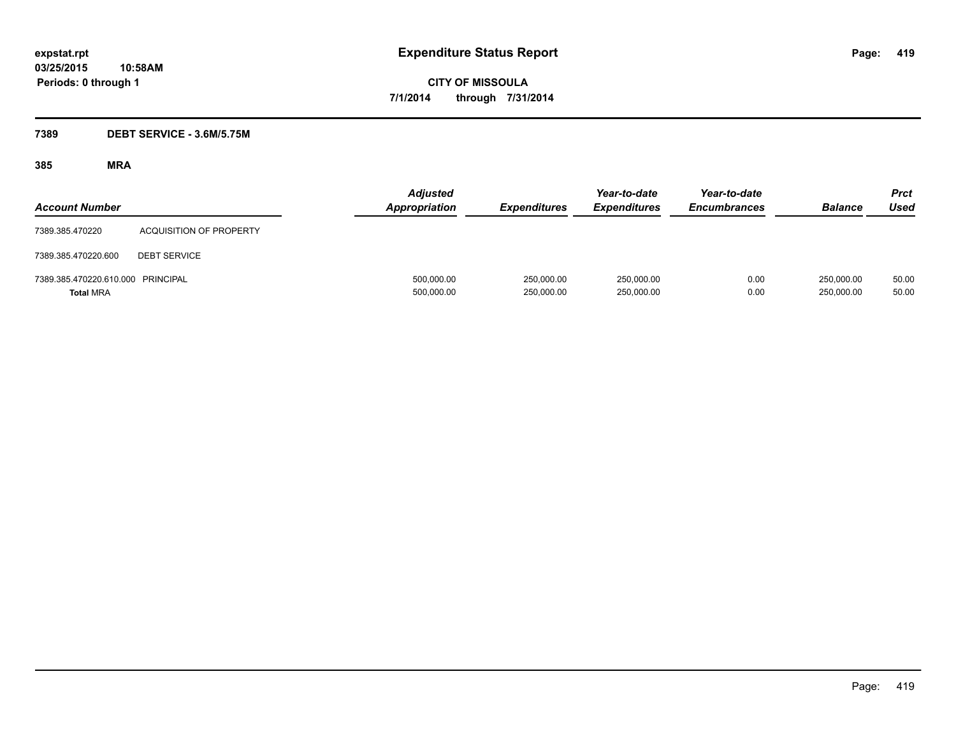### **7389 DEBT SERVICE - 3.6M/5.75M**

| <b>Account Number</b>                                 |                                | <b>Adjusted</b><br><b>Appropriation</b> | <b>Expenditures</b>      | Year-to-date<br><b>Expenditures</b> | Year-to-date<br><b>Encumbrances</b> | <b>Balance</b>           | <b>Prct</b><br><b>Used</b> |
|-------------------------------------------------------|--------------------------------|-----------------------------------------|--------------------------|-------------------------------------|-------------------------------------|--------------------------|----------------------------|
| 7389.385.470220                                       | <b>ACQUISITION OF PROPERTY</b> |                                         |                          |                                     |                                     |                          |                            |
| 7389.385.470220.600                                   | <b>DEBT SERVICE</b>            |                                         |                          |                                     |                                     |                          |                            |
| 7389.385.470220.610.000 PRINCIPAL<br><b>Total MRA</b> |                                | 500,000.00<br>500,000.00                | 250,000.00<br>250,000.00 | 250,000.00<br>250,000.00            | 0.00<br>0.00                        | 250,000.00<br>250,000.00 | 50.00<br>50.00             |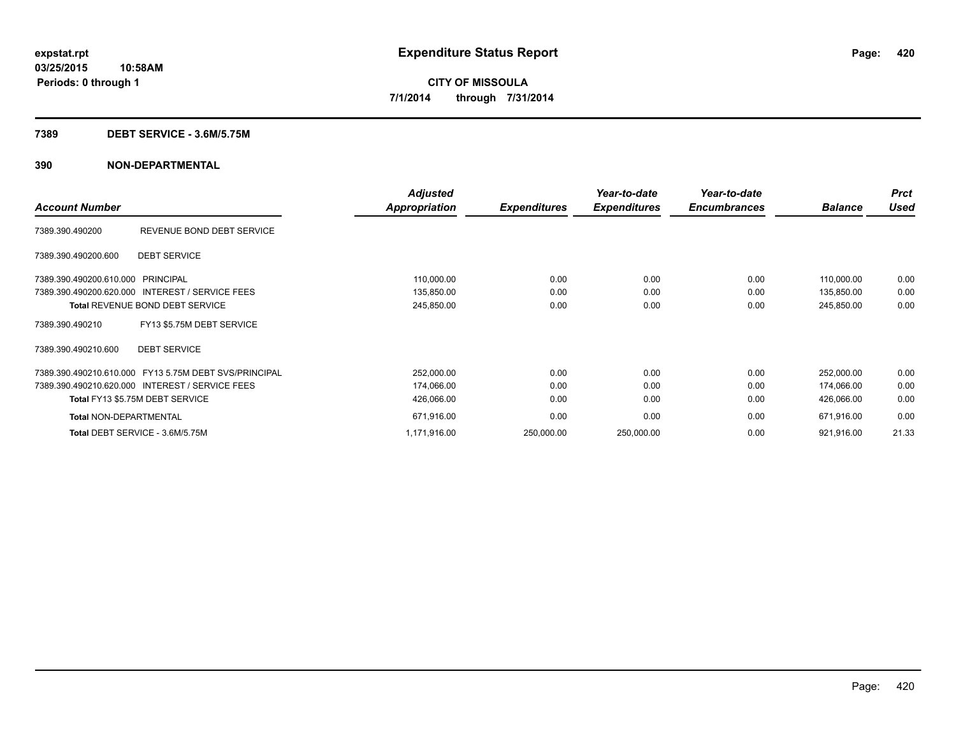#### **7389 DEBT SERVICE - 3.6M/5.75M**

|                                                       |                           | <b>Adjusted</b>      |                     | Year-to-date        | Year-to-date        |                | <b>Prct</b> |
|-------------------------------------------------------|---------------------------|----------------------|---------------------|---------------------|---------------------|----------------|-------------|
| <b>Account Number</b>                                 |                           | <b>Appropriation</b> | <b>Expenditures</b> | <b>Expenditures</b> | <b>Encumbrances</b> | <b>Balance</b> | <b>Used</b> |
| 7389.390.490200                                       | REVENUE BOND DEBT SERVICE |                      |                     |                     |                     |                |             |
| 7389.390.490200.600                                   | <b>DEBT SERVICE</b>       |                      |                     |                     |                     |                |             |
| 7389.390.490200.610.000                               | <b>PRINCIPAL</b>          | 110,000.00           | 0.00                | 0.00                | 0.00                | 110,000.00     | 0.00        |
| 7389.390.490200.620.000 INTEREST / SERVICE FEES       |                           | 135,850.00           | 0.00                | 0.00                | 0.00                | 135,850.00     | 0.00        |
| Total REVENUE BOND DEBT SERVICE                       |                           | 245,850.00           | 0.00                | 0.00                | 0.00                | 245,850.00     | 0.00        |
| 7389.390.490210                                       | FY13 \$5.75M DEBT SERVICE |                      |                     |                     |                     |                |             |
| 7389.390.490210.600                                   | <b>DEBT SERVICE</b>       |                      |                     |                     |                     |                |             |
| 7389.390.490210.610.000 FY13 5.75M DEBT SVS/PRINCIPAL |                           | 252,000.00           | 0.00                | 0.00                | 0.00                | 252,000.00     | 0.00        |
| 7389.390.490210.620.000 INTEREST / SERVICE FEES       |                           | 174,066.00           | 0.00                | 0.00                | 0.00                | 174,066.00     | 0.00        |
| Total FY13 \$5.75M DEBT SERVICE                       |                           | 426,066.00           | 0.00                | 0.00                | 0.00                | 426,066.00     | 0.00        |
| <b>Total NON-DEPARTMENTAL</b>                         |                           | 671,916.00           | 0.00                | 0.00                | 0.00                | 671,916.00     | 0.00        |
| Total DEBT SERVICE - 3.6M/5.75M                       |                           | 1,171,916.00         | 250,000.00          | 250,000.00          | 0.00                | 921,916.00     | 21.33       |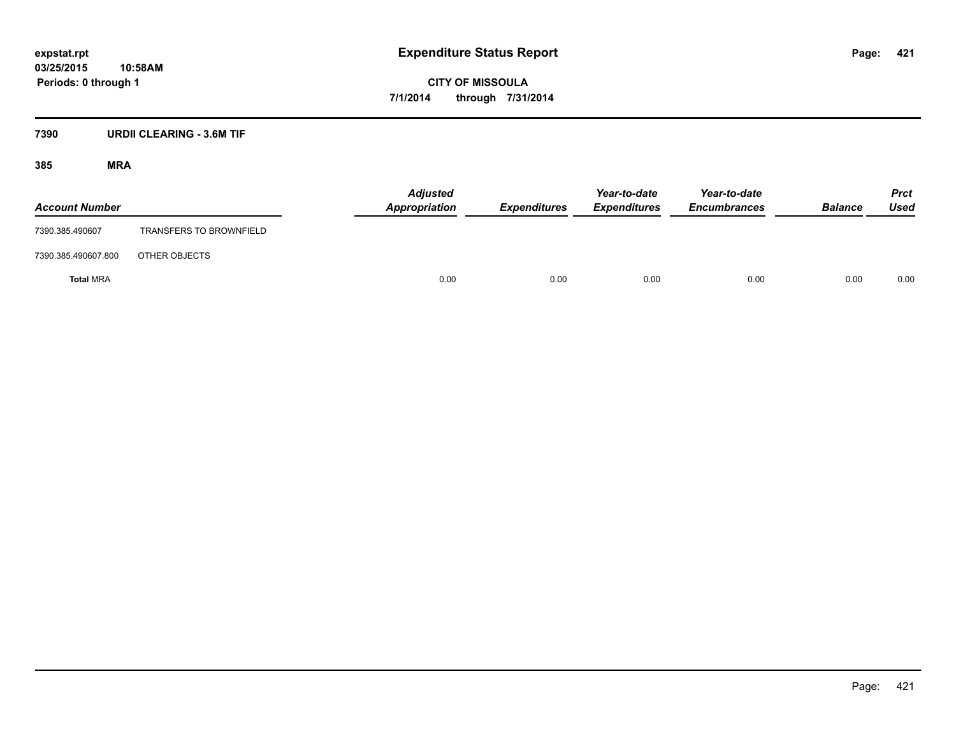### **7390 URDII CLEARING - 3.6M TIF**

| <b>Account Number</b> |                                | Adjusted<br>Appropriation | <b>Expenditures</b> | Year-to-date<br><b>Expenditures</b> | Year-to-date<br><b>Encumbrances</b> | <b>Balance</b> | <b>Prct</b><br>Used |
|-----------------------|--------------------------------|---------------------------|---------------------|-------------------------------------|-------------------------------------|----------------|---------------------|
| 7390.385.490607       | <b>TRANSFERS TO BROWNFIELD</b> |                           |                     |                                     |                                     |                |                     |
| 7390.385.490607.800   | OTHER OBJECTS                  |                           |                     |                                     |                                     |                |                     |
| <b>Total MRA</b>      |                                | 0.00                      | 0.00                | 0.00                                | 0.00                                | 0.00           | 0.00                |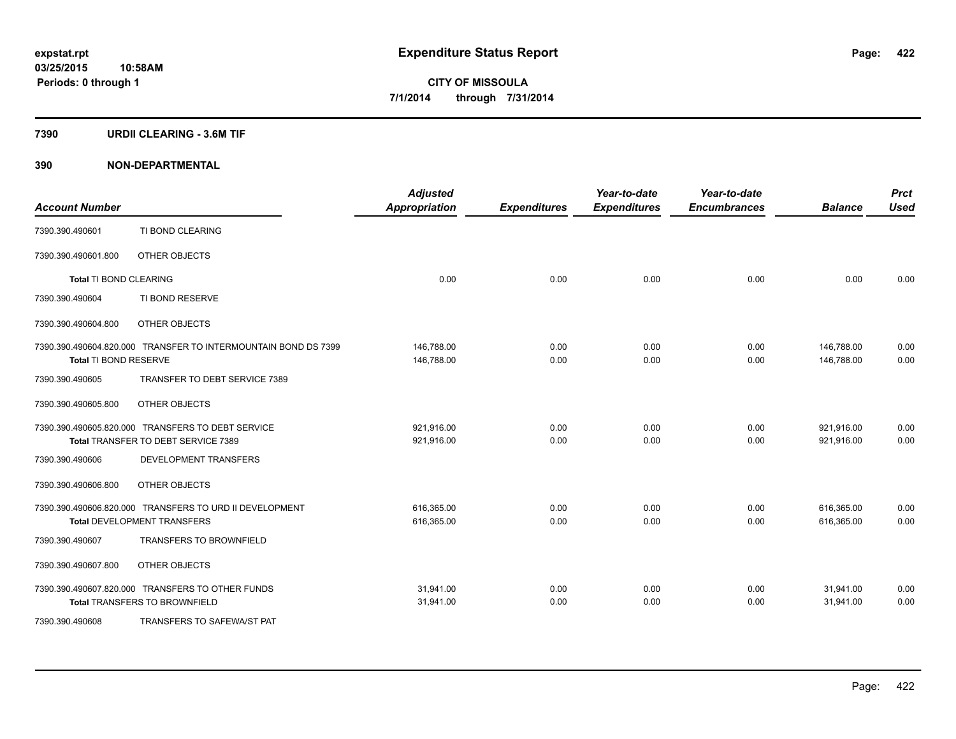#### **7390 URDII CLEARING - 3.6M TIF**

| <b>Account Number</b>         |                                                                | <b>Adjusted</b><br><b>Appropriation</b> | <b>Expenditures</b> | Year-to-date<br><b>Expenditures</b> | Year-to-date<br><b>Encumbrances</b> | <b>Balance</b> | <b>Prct</b><br><b>Used</b> |
|-------------------------------|----------------------------------------------------------------|-----------------------------------------|---------------------|-------------------------------------|-------------------------------------|----------------|----------------------------|
| 7390.390.490601               | TI BOND CLEARING                                               |                                         |                     |                                     |                                     |                |                            |
| 7390.390.490601.800           | OTHER OBJECTS                                                  |                                         |                     |                                     |                                     |                |                            |
| <b>Total TI BOND CLEARING</b> |                                                                | 0.00                                    | 0.00                | 0.00                                | 0.00                                | 0.00           | 0.00                       |
| 7390.390.490604               | TI BOND RESERVE                                                |                                         |                     |                                     |                                     |                |                            |
| 7390.390.490604.800           | OTHER OBJECTS                                                  |                                         |                     |                                     |                                     |                |                            |
|                               | 7390.390.490604.820.000 TRANSFER TO INTERMOUNTAIN BOND DS 7399 | 146,788.00                              | 0.00                | 0.00                                | 0.00                                | 146,788.00     | 0.00                       |
| Total TI BOND RESERVE         |                                                                | 146,788.00                              | 0.00                | 0.00                                | 0.00                                | 146,788.00     | 0.00                       |
| 7390.390.490605               | TRANSFER TO DEBT SERVICE 7389                                  |                                         |                     |                                     |                                     |                |                            |
| 7390.390.490605.800           | OTHER OBJECTS                                                  |                                         |                     |                                     |                                     |                |                            |
|                               | 7390.390.490605.820.000 TRANSFERS TO DEBT SERVICE              | 921,916.00                              | 0.00                | 0.00                                | 0.00                                | 921,916.00     | 0.00                       |
|                               | Total TRANSFER TO DEBT SERVICE 7389                            | 921,916.00                              | 0.00                | 0.00                                | 0.00                                | 921,916.00     | 0.00                       |
| 7390.390.490606               | DEVELOPMENT TRANSFERS                                          |                                         |                     |                                     |                                     |                |                            |
| 7390.390.490606.800           | OTHER OBJECTS                                                  |                                         |                     |                                     |                                     |                |                            |
|                               | 7390.390.490606.820.000 TRANSFERS TO URD II DEVELOPMENT        | 616,365.00                              | 0.00                | 0.00                                | 0.00                                | 616,365.00     | 0.00                       |
|                               | <b>Total DEVELOPMENT TRANSFERS</b>                             | 616,365.00                              | 0.00                | 0.00                                | 0.00                                | 616,365.00     | 0.00                       |
| 7390.390.490607               | <b>TRANSFERS TO BROWNFIELD</b>                                 |                                         |                     |                                     |                                     |                |                            |
| 7390.390.490607.800           | OTHER OBJECTS                                                  |                                         |                     |                                     |                                     |                |                            |
|                               | 7390.390.490607.820.000 TRANSFERS TO OTHER FUNDS               | 31,941.00                               | 0.00                | 0.00                                | 0.00                                | 31,941.00      | 0.00                       |
|                               | <b>Total TRANSFERS TO BROWNFIELD</b>                           | 31,941.00                               | 0.00                | 0.00                                | 0.00                                | 31,941.00      | 0.00                       |
| 7390.390.490608               | TRANSFERS TO SAFEWA/ST PAT                                     |                                         |                     |                                     |                                     |                |                            |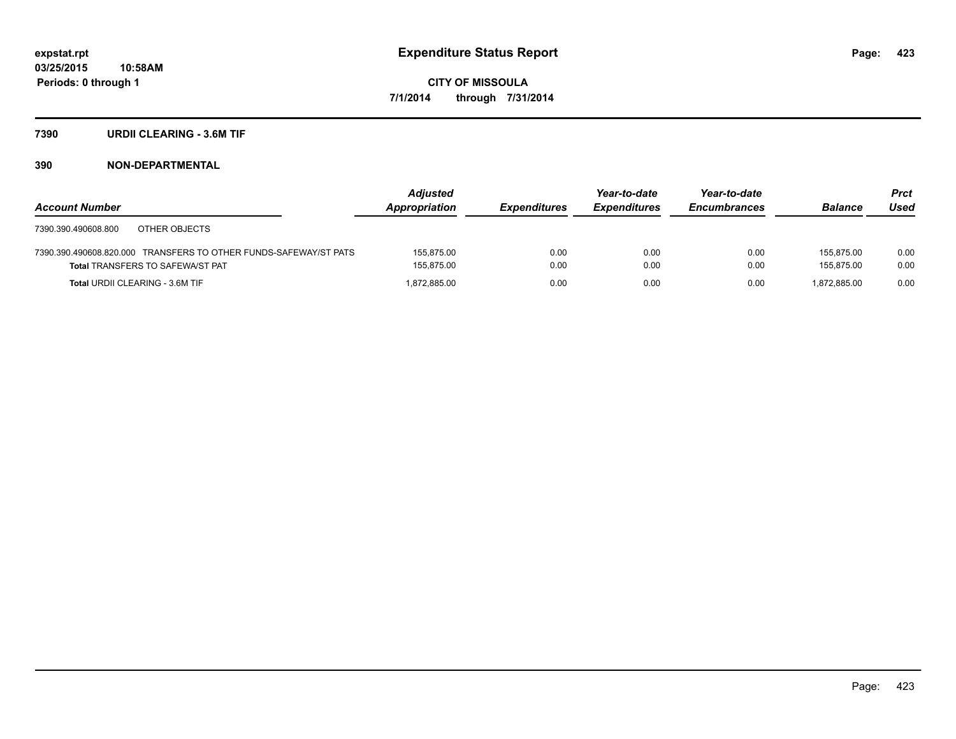#### **7390 URDII CLEARING - 3.6M TIF**

|                                                                  | <b>Adjusted</b> |                     | Year-to-date        | Year-to-date        |                | <b>Prct</b> |
|------------------------------------------------------------------|-----------------|---------------------|---------------------|---------------------|----------------|-------------|
| <b>Account Number</b>                                            | Appropriation   | <b>Expenditures</b> | <b>Expenditures</b> | <b>Encumbrances</b> | <b>Balance</b> | Used        |
| OTHER OBJECTS<br>7390.390.490608.800                             |                 |                     |                     |                     |                |             |
| 7390.390.490608.820.000 TRANSFERS TO OTHER FUNDS-SAFEWAY/ST PATS | 155.875.00      | 0.00                | 0.00                | 0.00                | 155.875.00     | 0.00        |
| <b>Total TRANSFERS TO SAFEWA/ST PAT</b>                          | 155,875.00      | 0.00                | 0.00                | 0.00                | 155.875.00     | 0.00        |
| <b>Total URDII CLEARING - 3.6M TIF</b>                           | 1.872.885.00    | 0.00                | 0.00                | 0.00                | 1.872.885.00   | 0.00        |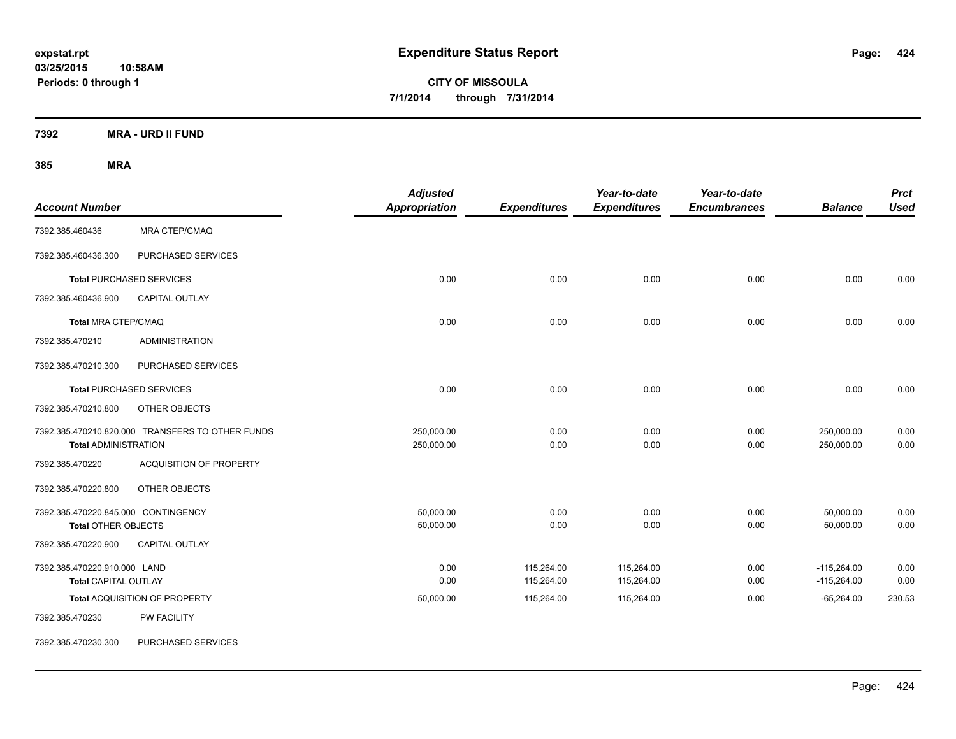**7392 MRA - URD II FUND**

| <b>Account Number</b>                                             |                                                  | <b>Adjusted</b><br><b>Appropriation</b> | <b>Expenditures</b>      | Year-to-date<br><b>Expenditures</b> | Year-to-date<br><b>Encumbrances</b> | <b>Balance</b>                 | <b>Prct</b><br><b>Used</b> |
|-------------------------------------------------------------------|--------------------------------------------------|-----------------------------------------|--------------------------|-------------------------------------|-------------------------------------|--------------------------------|----------------------------|
| 7392.385.460436                                                   | MRA CTEP/CMAQ                                    |                                         |                          |                                     |                                     |                                |                            |
| 7392.385.460436.300                                               | PURCHASED SERVICES                               |                                         |                          |                                     |                                     |                                |                            |
|                                                                   | <b>Total PURCHASED SERVICES</b>                  | 0.00                                    | 0.00                     | 0.00                                | 0.00                                | 0.00                           | 0.00                       |
| 7392.385.460436.900                                               | <b>CAPITAL OUTLAY</b>                            |                                         |                          |                                     |                                     |                                |                            |
| <b>Total MRA CTEP/CMAQ</b>                                        |                                                  | 0.00                                    | 0.00                     | 0.00                                | 0.00                                | 0.00                           | 0.00                       |
| 7392.385.470210                                                   | <b>ADMINISTRATION</b>                            |                                         |                          |                                     |                                     |                                |                            |
| 7392.385.470210.300                                               | PURCHASED SERVICES                               |                                         |                          |                                     |                                     |                                |                            |
|                                                                   | <b>Total PURCHASED SERVICES</b>                  | 0.00                                    | 0.00                     | 0.00                                | 0.00                                | 0.00                           | 0.00                       |
| 7392.385.470210.800                                               | OTHER OBJECTS                                    |                                         |                          |                                     |                                     |                                |                            |
| <b>Total ADMINISTRATION</b>                                       | 7392.385.470210.820.000 TRANSFERS TO OTHER FUNDS | 250,000.00<br>250,000.00                | 0.00<br>0.00             | 0.00<br>0.00                        | 0.00<br>0.00                        | 250,000.00<br>250,000.00       | 0.00<br>0.00               |
| 7392.385.470220                                                   | <b>ACQUISITION OF PROPERTY</b>                   |                                         |                          |                                     |                                     |                                |                            |
| 7392.385.470220.800                                               | OTHER OBJECTS                                    |                                         |                          |                                     |                                     |                                |                            |
| 7392.385.470220.845.000 CONTINGENCY<br><b>Total OTHER OBJECTS</b> |                                                  | 50,000.00<br>50,000.00                  | 0.00<br>0.00             | 0.00<br>0.00                        | 0.00<br>0.00                        | 50,000.00<br>50,000.00         | 0.00<br>0.00               |
| 7392.385.470220.900                                               | <b>CAPITAL OUTLAY</b>                            |                                         |                          |                                     |                                     |                                |                            |
| 7392.385.470220.910.000 LAND<br><b>Total CAPITAL OUTLAY</b>       |                                                  | 0.00<br>0.00                            | 115,264.00<br>115,264.00 | 115,264.00<br>115,264.00            | 0.00<br>0.00                        | $-115,264.00$<br>$-115,264.00$ | 0.00<br>0.00               |
|                                                                   | Total ACQUISITION OF PROPERTY                    | 50,000.00                               | 115,264.00               | 115,264.00                          | 0.00                                | $-65,264.00$                   | 230.53                     |
| 7392.385.470230                                                   | PW FACILITY                                      |                                         |                          |                                     |                                     |                                |                            |
| 7392.385.470230.300                                               | PURCHASED SERVICES                               |                                         |                          |                                     |                                     |                                |                            |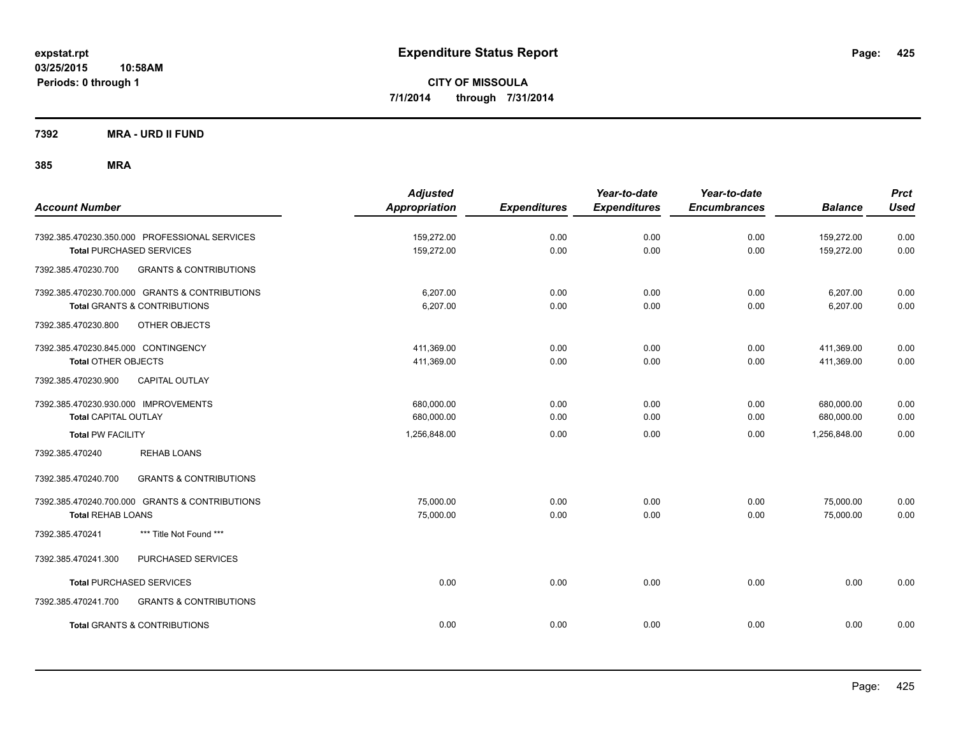**7392 MRA - URD II FUND**

| <b>Account Number</b>                                                                                                             | <b>Adjusted</b><br><b>Appropriation</b> | <b>Expenditures</b> | Year-to-date<br><b>Expenditures</b> | Year-to-date<br><b>Encumbrances</b> | <b>Balance</b>           | <b>Prct</b><br><b>Used</b> |
|-----------------------------------------------------------------------------------------------------------------------------------|-----------------------------------------|---------------------|-------------------------------------|-------------------------------------|--------------------------|----------------------------|
| 7392.385.470230.350.000 PROFESSIONAL SERVICES<br><b>Total PURCHASED SERVICES</b>                                                  | 159,272.00<br>159,272.00                | 0.00<br>0.00        | 0.00<br>0.00                        | 0.00<br>0.00                        | 159,272.00<br>159,272.00 | 0.00<br>0.00               |
| 7392.385.470230.700<br><b>GRANTS &amp; CONTRIBUTIONS</b>                                                                          |                                         |                     |                                     |                                     |                          |                            |
| 7392.385.470230.700.000 GRANTS & CONTRIBUTIONS<br><b>Total GRANTS &amp; CONTRIBUTIONS</b><br>7392.385.470230.800<br>OTHER OBJECTS | 6,207.00<br>6,207.00                    | 0.00<br>0.00        | 0.00<br>0.00                        | 0.00<br>0.00                        | 6,207.00<br>6,207.00     | 0.00<br>0.00               |
| 7392.385.470230.845.000 CONTINGENCY<br><b>Total OTHER OBJECTS</b>                                                                 | 411,369.00<br>411,369.00                | 0.00<br>0.00        | 0.00<br>0.00                        | 0.00<br>0.00                        | 411,369.00<br>411,369.00 | 0.00<br>0.00               |
| <b>CAPITAL OUTLAY</b><br>7392.385.470230.900<br>7392.385.470230.930.000 IMPROVEMENTS<br><b>Total CAPITAL OUTLAY</b>               | 680,000.00<br>680,000.00                | 0.00<br>0.00        | 0.00<br>0.00                        | 0.00<br>0.00                        | 680,000.00<br>680,000.00 | 0.00<br>0.00               |
| <b>Total PW FACILITY</b><br><b>REHAB LOANS</b><br>7392.385.470240                                                                 | 1,256,848.00                            | 0.00                | 0.00                                | 0.00                                | 1,256,848.00             | 0.00                       |
| 7392.385.470240.700<br><b>GRANTS &amp; CONTRIBUTIONS</b>                                                                          |                                         |                     |                                     |                                     |                          |                            |
| 7392.385.470240.700.000 GRANTS & CONTRIBUTIONS<br><b>Total REHAB LOANS</b>                                                        | 75,000.00<br>75,000.00                  | 0.00<br>0.00        | 0.00<br>0.00                        | 0.00<br>0.00                        | 75,000.00<br>75,000.00   | 0.00<br>0.00               |
| *** Title Not Found ***<br>7392.385.470241                                                                                        |                                         |                     |                                     |                                     |                          |                            |
| 7392.385.470241.300<br>PURCHASED SERVICES                                                                                         |                                         |                     |                                     |                                     |                          |                            |
| <b>Total PURCHASED SERVICES</b>                                                                                                   | 0.00                                    | 0.00                | 0.00                                | 0.00                                | 0.00                     | 0.00                       |
| 7392.385.470241.700<br><b>GRANTS &amp; CONTRIBUTIONS</b>                                                                          |                                         |                     |                                     |                                     |                          |                            |
| <b>Total GRANTS &amp; CONTRIBUTIONS</b>                                                                                           | 0.00                                    | 0.00                | 0.00                                | 0.00                                | 0.00                     | 0.00                       |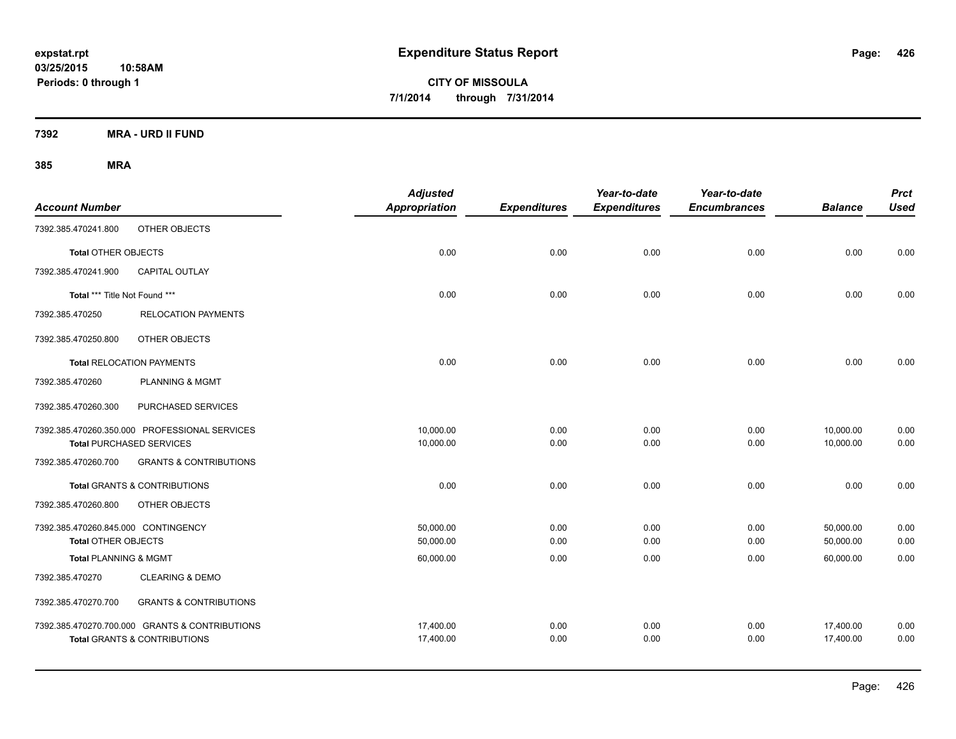**7392 MRA - URD II FUND**

| <b>Account Number</b>               |                                                | <b>Adjusted</b><br><b>Appropriation</b> | <b>Expenditures</b> | Year-to-date<br><b>Expenditures</b> | Year-to-date<br><b>Encumbrances</b> | <b>Balance</b> | <b>Prct</b><br><b>Used</b> |
|-------------------------------------|------------------------------------------------|-----------------------------------------|---------------------|-------------------------------------|-------------------------------------|----------------|----------------------------|
| 7392.385.470241.800                 | OTHER OBJECTS                                  |                                         |                     |                                     |                                     |                |                            |
| <b>Total OTHER OBJECTS</b>          |                                                | 0.00                                    | 0.00                | 0.00                                | 0.00                                | 0.00           | 0.00                       |
| 7392.385.470241.900                 | <b>CAPITAL OUTLAY</b>                          |                                         |                     |                                     |                                     |                |                            |
| Total *** Title Not Found ***       |                                                | 0.00                                    | 0.00                | 0.00                                | 0.00                                | 0.00           | 0.00                       |
| 7392.385.470250                     | <b>RELOCATION PAYMENTS</b>                     |                                         |                     |                                     |                                     |                |                            |
| 7392.385.470250.800                 | OTHER OBJECTS                                  |                                         |                     |                                     |                                     |                |                            |
|                                     | <b>Total RELOCATION PAYMENTS</b>               | 0.00                                    | 0.00                | 0.00                                | 0.00                                | 0.00           | 0.00                       |
| 7392.385.470260                     | <b>PLANNING &amp; MGMT</b>                     |                                         |                     |                                     |                                     |                |                            |
| 7392.385.470260.300                 | PURCHASED SERVICES                             |                                         |                     |                                     |                                     |                |                            |
|                                     | 7392.385.470260.350.000 PROFESSIONAL SERVICES  | 10,000.00                               | 0.00                | 0.00                                | 0.00                                | 10,000.00      | 0.00                       |
|                                     | <b>Total PURCHASED SERVICES</b>                | 10,000.00                               | 0.00                | 0.00                                | 0.00                                | 10,000.00      | 0.00                       |
| 7392.385.470260.700                 | <b>GRANTS &amp; CONTRIBUTIONS</b>              |                                         |                     |                                     |                                     |                |                            |
|                                     | <b>Total GRANTS &amp; CONTRIBUTIONS</b>        | 0.00                                    | 0.00                | 0.00                                | 0.00                                | 0.00           | 0.00                       |
| 7392.385.470260.800                 | OTHER OBJECTS                                  |                                         |                     |                                     |                                     |                |                            |
| 7392.385.470260.845.000 CONTINGENCY |                                                | 50,000.00                               | 0.00                | 0.00                                | 0.00                                | 50,000.00      | 0.00                       |
| <b>Total OTHER OBJECTS</b>          |                                                | 50,000.00                               | 0.00                | 0.00                                | 0.00                                | 50,000.00      | 0.00                       |
| <b>Total PLANNING &amp; MGMT</b>    |                                                | 60,000.00                               | 0.00                | 0.00                                | 0.00                                | 60,000.00      | 0.00                       |
| 7392.385.470270                     | <b>CLEARING &amp; DEMO</b>                     |                                         |                     |                                     |                                     |                |                            |
| 7392.385.470270.700                 | <b>GRANTS &amp; CONTRIBUTIONS</b>              |                                         |                     |                                     |                                     |                |                            |
|                                     | 7392.385.470270.700.000 GRANTS & CONTRIBUTIONS | 17,400.00                               | 0.00                | 0.00                                | 0.00                                | 17,400.00      | 0.00                       |
|                                     | <b>Total GRANTS &amp; CONTRIBUTIONS</b>        | 17,400.00                               | 0.00                | 0.00                                | 0.00                                | 17,400.00      | 0.00                       |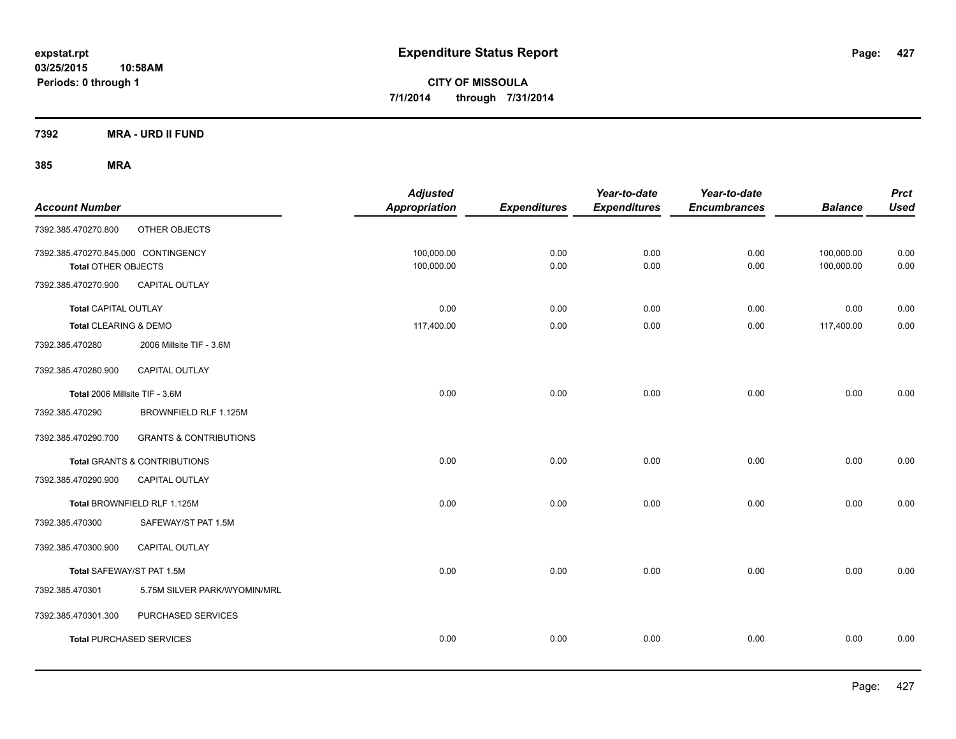**7392 MRA - URD II FUND**

| <b>Account Number</b>                                             |                                   | <b>Adjusted</b><br><b>Appropriation</b> | <b>Expenditures</b> | Year-to-date<br><b>Expenditures</b> | Year-to-date<br><b>Encumbrances</b> | <b>Balance</b>           | <b>Prct</b><br><b>Used</b> |
|-------------------------------------------------------------------|-----------------------------------|-----------------------------------------|---------------------|-------------------------------------|-------------------------------------|--------------------------|----------------------------|
| 7392.385.470270.800                                               | OTHER OBJECTS                     |                                         |                     |                                     |                                     |                          |                            |
| 7392.385.470270.845.000 CONTINGENCY<br><b>Total OTHER OBJECTS</b> |                                   | 100,000.00<br>100,000.00                | 0.00<br>0.00        | 0.00<br>0.00                        | 0.00<br>0.00                        | 100,000.00<br>100,000.00 | 0.00<br>0.00               |
| 7392.385.470270.900                                               | <b>CAPITAL OUTLAY</b>             |                                         |                     |                                     |                                     |                          |                            |
| <b>Total CAPITAL OUTLAY</b>                                       |                                   | 0.00                                    | 0.00                | 0.00                                | 0.00                                | 0.00                     | 0.00                       |
| Total CLEARING & DEMO                                             |                                   | 117,400.00                              | 0.00                | 0.00                                | 0.00                                | 117,400.00               | 0.00                       |
| 7392.385.470280                                                   | 2006 Millsite TIF - 3.6M          |                                         |                     |                                     |                                     |                          |                            |
| 7392.385.470280.900                                               | <b>CAPITAL OUTLAY</b>             |                                         |                     |                                     |                                     |                          |                            |
| Total 2006 Millsite TIF - 3.6M                                    |                                   | 0.00                                    | 0.00                | 0.00                                | 0.00                                | 0.00                     | 0.00                       |
| 7392.385.470290                                                   | BROWNFIELD RLF 1.125M             |                                         |                     |                                     |                                     |                          |                            |
| 7392.385.470290.700                                               | <b>GRANTS &amp; CONTRIBUTIONS</b> |                                         |                     |                                     |                                     |                          |                            |
|                                                                   | Total GRANTS & CONTRIBUTIONS      | 0.00                                    | 0.00                | 0.00                                | 0.00                                | 0.00                     | 0.00                       |
| 7392.385.470290.900                                               | <b>CAPITAL OUTLAY</b>             |                                         |                     |                                     |                                     |                          |                            |
|                                                                   | Total BROWNFIELD RLF 1.125M       | 0.00                                    | 0.00                | 0.00                                | 0.00                                | 0.00                     | 0.00                       |
| 7392.385.470300                                                   | SAFEWAY/ST PAT 1.5M               |                                         |                     |                                     |                                     |                          |                            |
| 7392.385.470300.900                                               | <b>CAPITAL OUTLAY</b>             |                                         |                     |                                     |                                     |                          |                            |
| Total SAFEWAY/ST PAT 1.5M                                         |                                   | 0.00                                    | 0.00                | 0.00                                | 0.00                                | 0.00                     | 0.00                       |
| 7392.385.470301                                                   | 5.75M SILVER PARK/WYOMIN/MRL      |                                         |                     |                                     |                                     |                          |                            |
| 7392.385.470301.300                                               | PURCHASED SERVICES                |                                         |                     |                                     |                                     |                          |                            |
|                                                                   | <b>Total PURCHASED SERVICES</b>   | 0.00                                    | 0.00                | 0.00                                | 0.00                                | 0.00                     | 0.00                       |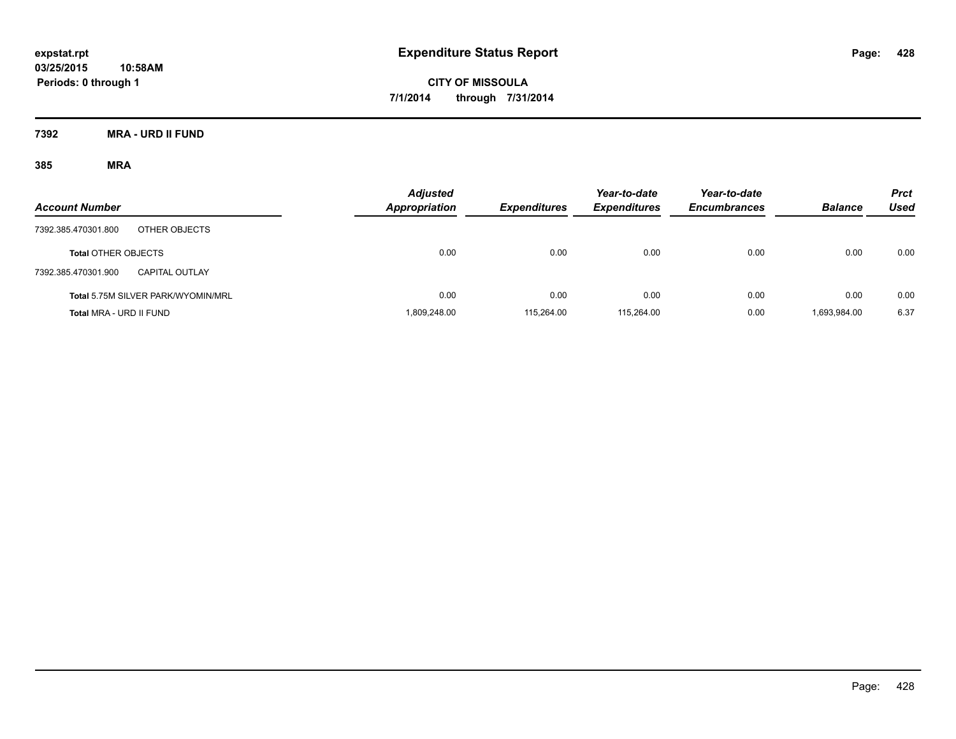**7392 MRA - URD II FUND**

| <b>Account Number</b>                 | <b>Adjusted</b><br>Appropriation | <b>Expenditures</b> | Year-to-date<br><b>Expenditures</b> | Year-to-date<br><b>Encumbrances</b> | <b>Balance</b> | <b>Prct</b><br>Used |
|---------------------------------------|----------------------------------|---------------------|-------------------------------------|-------------------------------------|----------------|---------------------|
| OTHER OBJECTS<br>7392.385.470301.800  |                                  |                     |                                     |                                     |                |                     |
| <b>Total OTHER OBJECTS</b>            | 0.00                             | 0.00                | 0.00                                | 0.00                                | 0.00           | 0.00                |
| 7392.385.470301.900<br>CAPITAL OUTLAY |                                  |                     |                                     |                                     |                |                     |
| Total 5.75M SILVER PARK/WYOMIN/MRL    | 0.00                             | 0.00                | 0.00                                | 0.00                                | 0.00           | 0.00                |
| Total MRA - URD II FUND               | 1.809.248.00                     | 115.264.00          | 115.264.00                          | 0.00                                | 1.693.984.00   | 6.37                |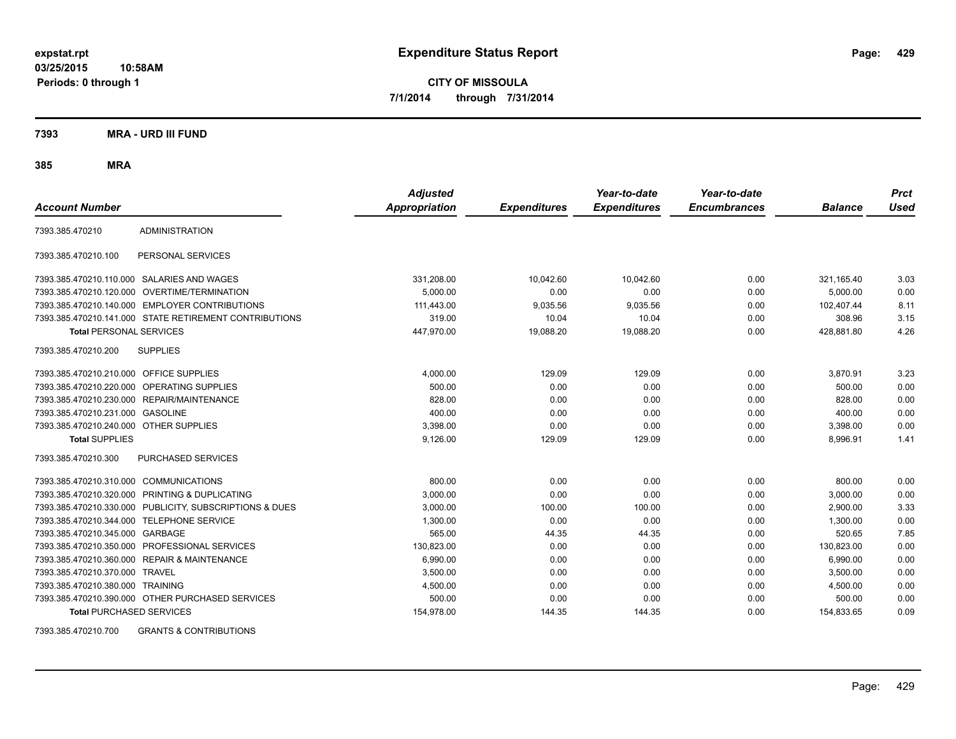**03/25/2015 10:58AM Periods: 0 through 1**

**CITY OF MISSOULA 7/1/2014 through 7/31/2014**

**7393 MRA - URD III FUND**

**385 MRA**

| <b>Account Number</b>           |                                                        | <b>Adjusted</b><br><b>Appropriation</b> | <b>Expenditures</b> | Year-to-date<br><b>Expenditures</b> | Year-to-date<br><b>Encumbrances</b> | <b>Balance</b> | <b>Prct</b><br>Used |
|---------------------------------|--------------------------------------------------------|-----------------------------------------|---------------------|-------------------------------------|-------------------------------------|----------------|---------------------|
| 7393.385.470210                 | <b>ADMINISTRATION</b>                                  |                                         |                     |                                     |                                     |                |                     |
| 7393.385.470210.100             | PERSONAL SERVICES                                      |                                         |                     |                                     |                                     |                |                     |
| 7393.385.470210.110.000         | SALARIES AND WAGES                                     | 331,208.00                              | 10.042.60           | 10.042.60                           | 0.00                                | 321,165.40     | 3.03                |
| 7393.385.470210.120.000         | <b>OVERTIME/TERMINATION</b>                            | 5,000.00                                | 0.00                | 0.00                                | 0.00                                | 5,000.00       | 0.00                |
|                                 | 7393.385.470210.140.000 EMPLOYER CONTRIBUTIONS         | 111.443.00                              | 9,035.56            | 9,035.56                            | 0.00                                | 102.407.44     | 8.11                |
|                                 | 7393.385.470210.141.000 STATE RETIREMENT CONTRIBUTIONS | 319.00                                  | 10.04               | 10.04                               | 0.00                                | 308.96         | 3.15                |
| <b>Total PERSONAL SERVICES</b>  |                                                        | 447,970.00                              | 19,088.20           | 19,088.20                           | 0.00                                | 428,881.80     | 4.26                |
| 7393.385.470210.200             | <b>SUPPLIES</b>                                        |                                         |                     |                                     |                                     |                |                     |
| 7393.385.470210.210.000         | <b>OFFICE SUPPLIES</b>                                 | 4,000.00                                | 129.09              | 129.09                              | 0.00                                | 3,870.91       | 3.23                |
| 7393.385.470210.220.000         | <b>OPERATING SUPPLIES</b>                              | 500.00                                  | 0.00                | 0.00                                | 0.00                                | 500.00         | 0.00                |
| 7393.385.470210.230.000         | REPAIR/MAINTENANCE                                     | 828.00                                  | 0.00                | 0.00                                | 0.00                                | 828.00         | 0.00                |
| 7393.385.470210.231.000         | <b>GASOLINE</b>                                        | 400.00                                  | 0.00                | 0.00                                | 0.00                                | 400.00         | 0.00                |
| 7393.385.470210.240.000         | <b>OTHER SUPPLIES</b>                                  | 3,398.00                                | 0.00                | 0.00                                | 0.00                                | 3,398.00       | 0.00                |
| <b>Total SUPPLIES</b>           |                                                        | 9,126.00                                | 129.09              | 129.09                              | 0.00                                | 8,996.91       | 1.41                |
| 7393.385.470210.300             | PURCHASED SERVICES                                     |                                         |                     |                                     |                                     |                |                     |
| 7393.385.470210.310.000         | <b>COMMUNICATIONS</b>                                  | 800.00                                  | 0.00                | 0.00                                | 0.00                                | 800.00         | 0.00                |
| 7393.385.470210.320.000         | PRINTING & DUPLICATING                                 | 3,000.00                                | 0.00                | 0.00                                | 0.00                                | 3.000.00       | 0.00                |
| 7393.385.470210.330.000         | PUBLICITY, SUBSCRIPTIONS & DUES                        | 3,000.00                                | 100.00              | 100.00                              | 0.00                                | 2,900.00       | 3.33                |
| 7393.385.470210.344.000         | <b>TELEPHONE SERVICE</b>                               | 1,300.00                                | 0.00                | 0.00                                | 0.00                                | 1,300.00       | 0.00                |
| 7393.385.470210.345.000 GARBAGE |                                                        | 565.00                                  | 44.35               | 44.35                               | 0.00                                | 520.65         | 7.85                |
| 7393.385.470210.350.000         | PROFESSIONAL SERVICES                                  | 130,823.00                              | 0.00                | 0.00                                | 0.00                                | 130,823.00     | 0.00                |
| 7393.385.470210.360.000         | <b>REPAIR &amp; MAINTENANCE</b>                        | 6.990.00                                | 0.00                | 0.00                                | 0.00                                | 6,990.00       | 0.00                |
| 7393.385.470210.370.000         | <b>TRAVEL</b>                                          | 3,500.00                                | 0.00                | 0.00                                | 0.00                                | 3,500.00       | 0.00                |
| 7393.385.470210.380.000         | <b>TRAINING</b>                                        | 4,500.00                                | 0.00                | 0.00                                | 0.00                                | 4,500.00       | 0.00                |
|                                 | 7393.385.470210.390.000 OTHER PURCHASED SERVICES       | 500.00                                  | 0.00                | 0.00                                | 0.00                                | 500.00         | 0.00                |
| <b>Total PURCHASED SERVICES</b> |                                                        | 154,978.00                              | 144.35              | 144.35                              | 0.00                                | 154,833.65     | 0.09                |

7393.385.470210.700 GRANTS & CONTRIBUTIONS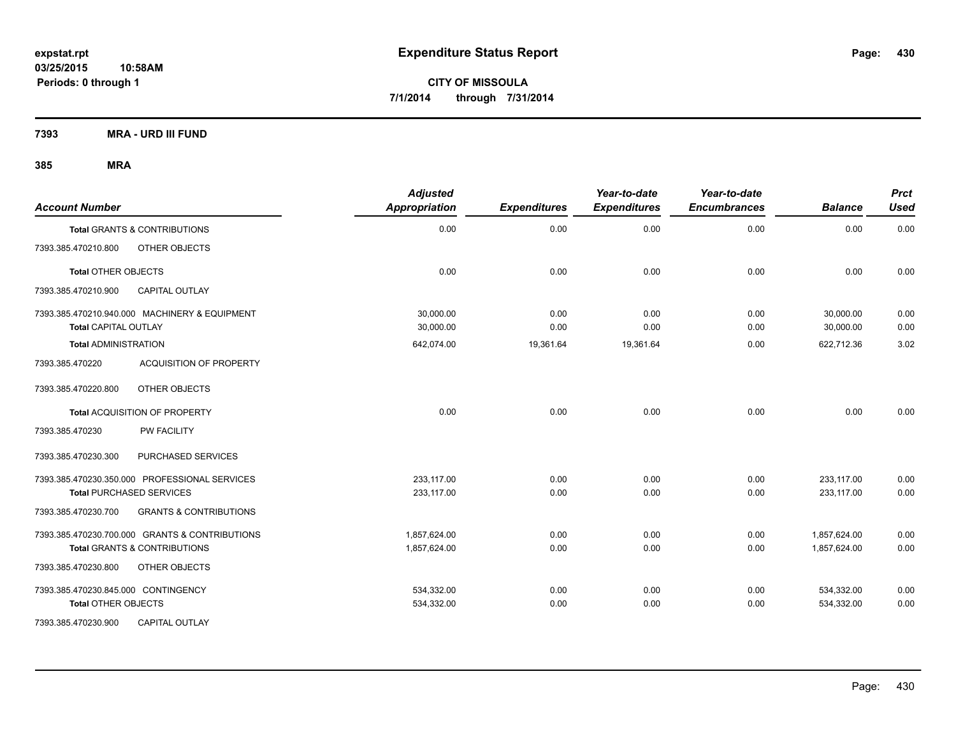**7393 MRA - URD III FUND**

| <b>Account Number</b>                                    | <b>Adjusted</b><br><b>Appropriation</b> | <b>Expenditures</b> | Year-to-date<br><b>Expenditures</b> | Year-to-date<br><b>Encumbrances</b> | <b>Balance</b> | <b>Prct</b><br><b>Used</b> |
|----------------------------------------------------------|-----------------------------------------|---------------------|-------------------------------------|-------------------------------------|----------------|----------------------------|
| <b>Total GRANTS &amp; CONTRIBUTIONS</b>                  | 0.00                                    | 0.00                | 0.00                                | 0.00                                | 0.00           | 0.00                       |
| 7393.385.470210.800<br>OTHER OBJECTS                     |                                         |                     |                                     |                                     |                |                            |
| <b>Total OTHER OBJECTS</b>                               | 0.00                                    | 0.00                | 0.00                                | 0.00                                | 0.00           | 0.00                       |
| 7393.385.470210.900<br><b>CAPITAL OUTLAY</b>             |                                         |                     |                                     |                                     |                |                            |
| 7393.385.470210.940.000 MACHINERY & EQUIPMENT            | 30,000.00                               | 0.00                | 0.00                                | 0.00                                | 30,000.00      | 0.00                       |
| <b>Total CAPITAL OUTLAY</b>                              | 30,000.00                               | 0.00                | 0.00                                | 0.00                                | 30,000.00      | 0.00                       |
| <b>Total ADMINISTRATION</b>                              | 642,074.00                              | 19,361.64           | 19,361.64                           | 0.00                                | 622,712.36     | 3.02                       |
| <b>ACQUISITION OF PROPERTY</b><br>7393.385.470220        |                                         |                     |                                     |                                     |                |                            |
| OTHER OBJECTS<br>7393.385.470220.800                     |                                         |                     |                                     |                                     |                |                            |
| Total ACQUISITION OF PROPERTY                            | 0.00                                    | 0.00                | 0.00                                | 0.00                                | 0.00           | 0.00                       |
| <b>PW FACILITY</b><br>7393.385.470230                    |                                         |                     |                                     |                                     |                |                            |
| 7393.385.470230.300<br>PURCHASED SERVICES                |                                         |                     |                                     |                                     |                |                            |
| 7393.385.470230.350.000 PROFESSIONAL SERVICES            | 233.117.00                              | 0.00                | 0.00                                | 0.00                                | 233,117.00     | 0.00                       |
| <b>Total PURCHASED SERVICES</b>                          | 233,117.00                              | 0.00                | 0.00                                | 0.00                                | 233,117.00     | 0.00                       |
| 7393.385.470230.700<br><b>GRANTS &amp; CONTRIBUTIONS</b> |                                         |                     |                                     |                                     |                |                            |
| 7393.385.470230.700.000 GRANTS & CONTRIBUTIONS           | 1,857,624.00                            | 0.00                | 0.00                                | 0.00                                | 1,857,624.00   | 0.00                       |
| <b>Total GRANTS &amp; CONTRIBUTIONS</b>                  | 1,857,624.00                            | 0.00                | 0.00                                | 0.00                                | 1,857,624.00   | 0.00                       |
| 7393.385.470230.800<br>OTHER OBJECTS                     |                                         |                     |                                     |                                     |                |                            |
| 7393.385.470230.845.000 CONTINGENCY                      | 534,332.00                              | 0.00                | 0.00                                | 0.00                                | 534,332.00     | 0.00                       |
| <b>Total OTHER OBJECTS</b>                               | 534,332.00                              | 0.00                | 0.00                                | 0.00                                | 534,332.00     | 0.00                       |
| 7393.385.470230.900<br><b>CAPITAL OUTLAY</b>             |                                         |                     |                                     |                                     |                |                            |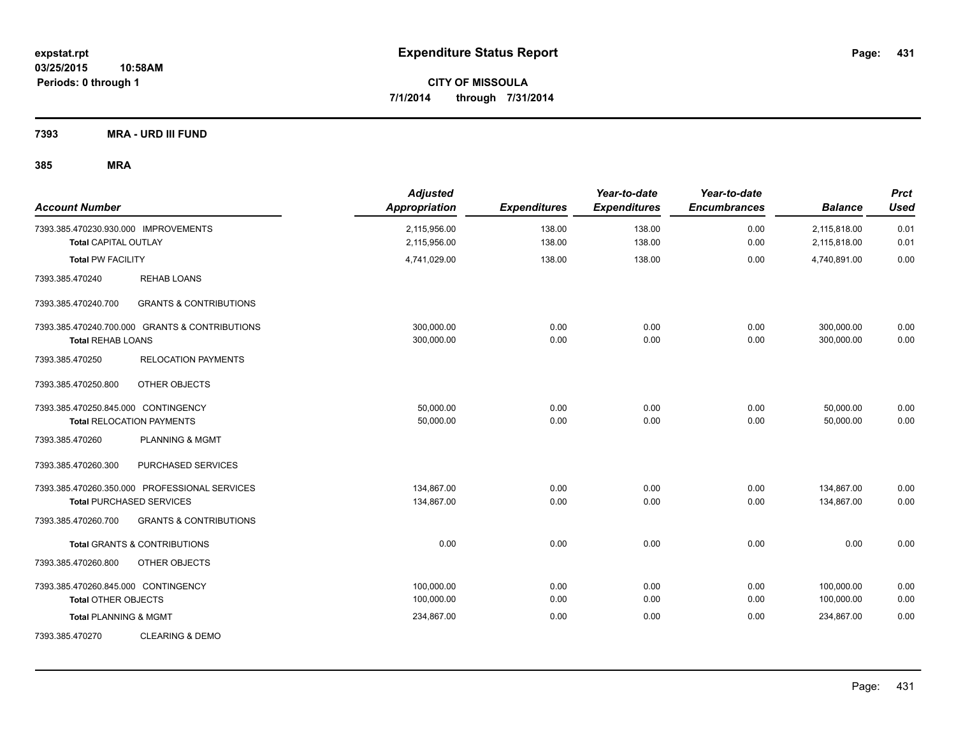**7393 MRA - URD III FUND**

|              | <b>Used</b><br><b>Balance</b>                     |
|--------------|---------------------------------------------------|
| 0.00<br>0.00 | 2,115,818.00<br>0.01<br>0.01<br>2,115,818.00      |
| 0.00         | 0.00<br>4,740,891.00                              |
|              |                                                   |
|              |                                                   |
| 0.00<br>0.00 | 300,000.00<br>0.00<br>0.00<br>300,000.00          |
|              |                                                   |
|              |                                                   |
| 0.00<br>0.00 | 50,000.00<br>0.00<br>0.00<br>50,000.00            |
|              |                                                   |
|              |                                                   |
| 0.00<br>0.00 | 134,867.00<br>0.00<br>134,867.00<br>0.00          |
|              |                                                   |
| 0.00         | 0.00<br>0.00                                      |
|              |                                                   |
| 0.00         | 100,000.00<br>0.00                                |
|              | 0.00                                              |
|              | 0.00<br>234,867.00                                |
|              | <b>Encumbrances</b><br>100,000.00<br>0.00<br>0.00 |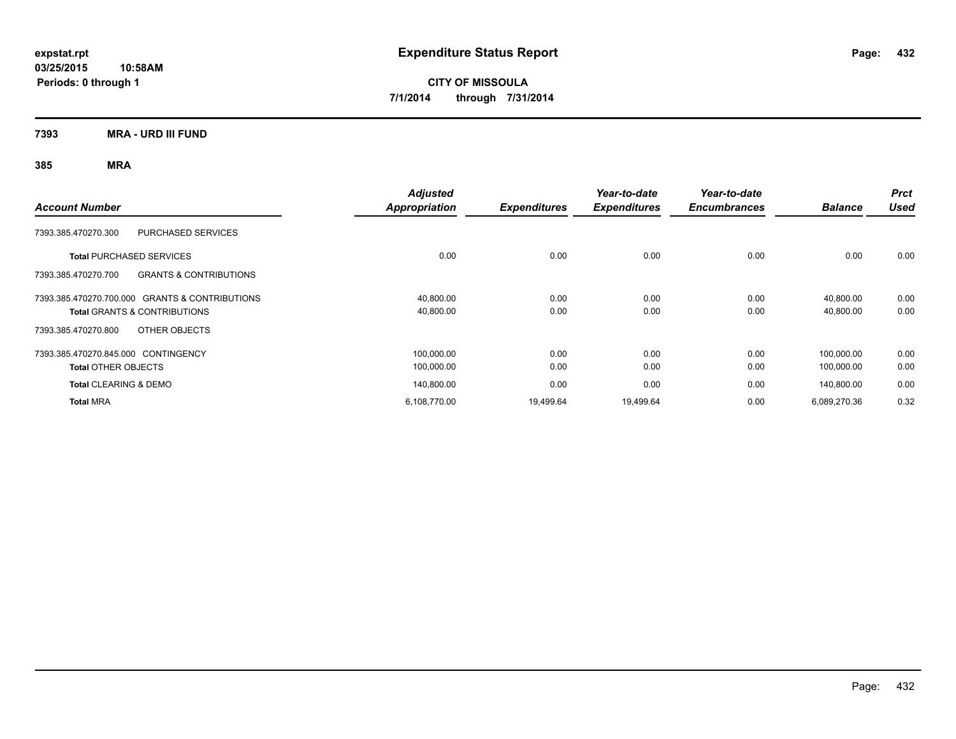**7393 MRA - URD III FUND**

| <b>Account Number</b>                                    | <b>Adjusted</b><br>Appropriation | <b>Expenditures</b> | Year-to-date<br><b>Expenditures</b> | Year-to-date<br><b>Encumbrances</b> | <b>Balance</b> | <b>Prct</b><br><b>Used</b> |
|----------------------------------------------------------|----------------------------------|---------------------|-------------------------------------|-------------------------------------|----------------|----------------------------|
| <b>PURCHASED SERVICES</b><br>7393.385.470270.300         |                                  |                     |                                     |                                     |                |                            |
| <b>Total PURCHASED SERVICES</b>                          | 0.00                             | 0.00                | 0.00                                | 0.00                                | 0.00           | 0.00                       |
| 7393.385.470270.700<br><b>GRANTS &amp; CONTRIBUTIONS</b> |                                  |                     |                                     |                                     |                |                            |
| 7393.385.470270.700.000 GRANTS & CONTRIBUTIONS           | 40.800.00                        | 0.00                | 0.00                                | 0.00                                | 40.800.00      | 0.00                       |
| <b>Total GRANTS &amp; CONTRIBUTIONS</b>                  | 40,800.00                        | 0.00                | 0.00                                | 0.00                                | 40,800.00      | 0.00                       |
| OTHER OBJECTS<br>7393.385.470270.800                     |                                  |                     |                                     |                                     |                |                            |
| 7393.385.470270.845.000 CONTINGENCY                      | 100,000.00                       | 0.00                | 0.00                                | 0.00                                | 100.000.00     | 0.00                       |
| <b>Total OTHER OBJECTS</b>                               | 100,000.00                       | 0.00                | 0.00                                | 0.00                                | 100,000.00     | 0.00                       |
| <b>Total CLEARING &amp; DEMO</b>                         | 140.800.00                       | 0.00                | 0.00                                | 0.00                                | 140.800.00     | 0.00                       |
| <b>Total MRA</b>                                         | 6,108,770.00                     | 19,499.64           | 19,499.64                           | 0.00                                | 6,089,270.36   | 0.32                       |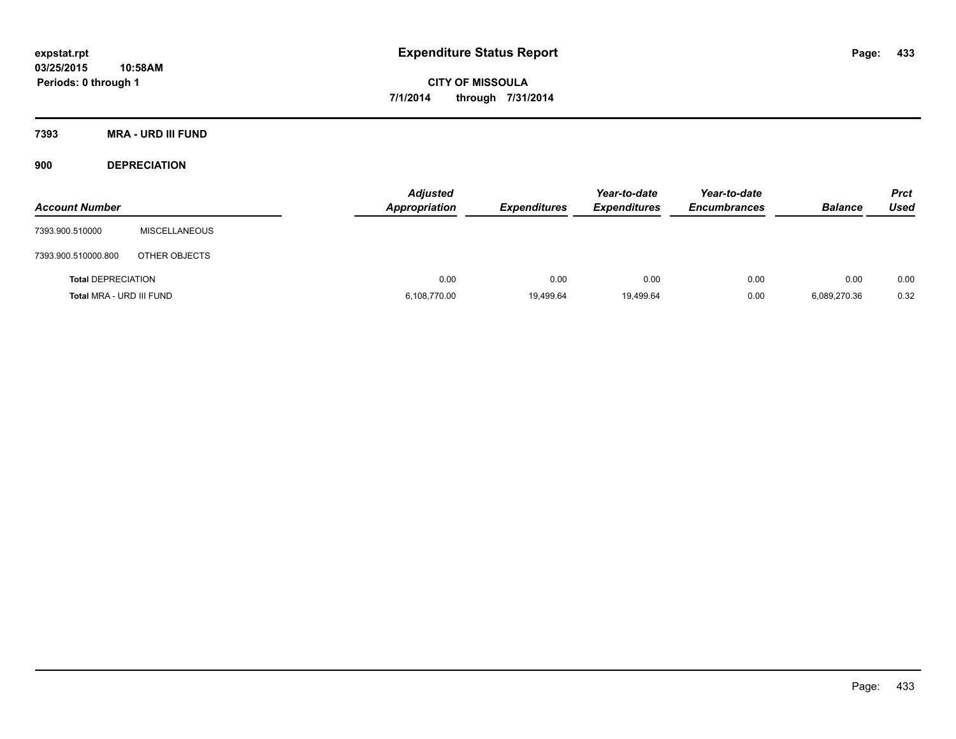**7393 MRA - URD III FUND**

**900 DEPRECIATION**

| <b>Account Number</b>     |                      | <b>Adjusted</b><br>Appropriation | <b>Expenditures</b> | Year-to-date<br><b>Expenditures</b> | Year-to-date<br><b>Encumbrances</b> | <b>Balance</b> | <b>Prct</b><br>Used |
|---------------------------|----------------------|----------------------------------|---------------------|-------------------------------------|-------------------------------------|----------------|---------------------|
| 7393.900.510000           | <b>MISCELLANEOUS</b> |                                  |                     |                                     |                                     |                |                     |
| 7393.900.510000.800       | OTHER OBJECTS        |                                  |                     |                                     |                                     |                |                     |
| <b>Total DEPRECIATION</b> |                      | 0.00                             | 0.00                | 0.00                                | 0.00                                | 0.00           | 0.00                |
| Total MRA - URD III FUND  |                      | 6,108,770.00                     | 19,499.64           | 19,499.64                           | 0.00                                | 6,089,270.36   | 0.32                |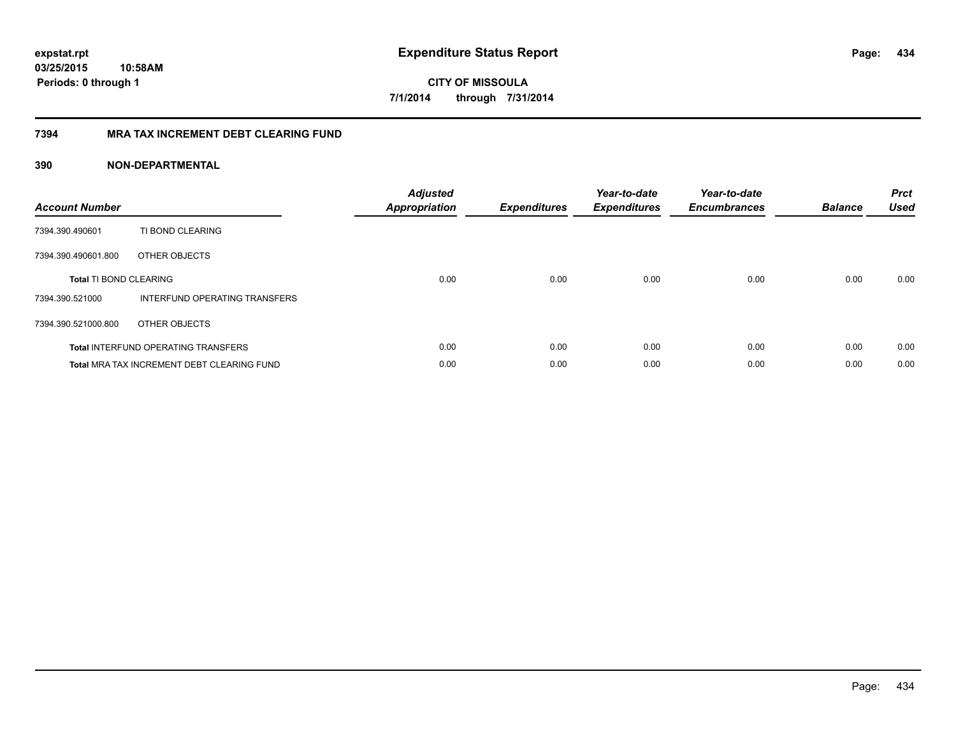#### **7394 MRA TAX INCREMENT DEBT CLEARING FUND**

| <b>Account Number</b>         |                                                   | <b>Adjusted</b><br><b>Appropriation</b> | <b>Expenditures</b> | Year-to-date<br><b>Expenditures</b> | Year-to-date<br><b>Encumbrances</b> | <b>Balance</b> | <b>Prct</b><br><b>Used</b> |
|-------------------------------|---------------------------------------------------|-----------------------------------------|---------------------|-------------------------------------|-------------------------------------|----------------|----------------------------|
| 7394.390.490601               | TI BOND CLEARING                                  |                                         |                     |                                     |                                     |                |                            |
| 7394.390.490601.800           | OTHER OBJECTS                                     |                                         |                     |                                     |                                     |                |                            |
| <b>Total TI BOND CLEARING</b> |                                                   | 0.00                                    | 0.00                | 0.00                                | 0.00                                | 0.00           | 0.00                       |
| 7394.390.521000               | INTERFUND OPERATING TRANSFERS                     |                                         |                     |                                     |                                     |                |                            |
| 7394.390.521000.800           | OTHER OBJECTS                                     |                                         |                     |                                     |                                     |                |                            |
|                               | <b>Total INTERFUND OPERATING TRANSFERS</b>        | 0.00                                    | 0.00                | 0.00                                | 0.00                                | 0.00           | 0.00                       |
|                               | <b>Total MRA TAX INCREMENT DEBT CLEARING FUND</b> | 0.00                                    | 0.00                | 0.00                                | 0.00                                | 0.00           | 0.00                       |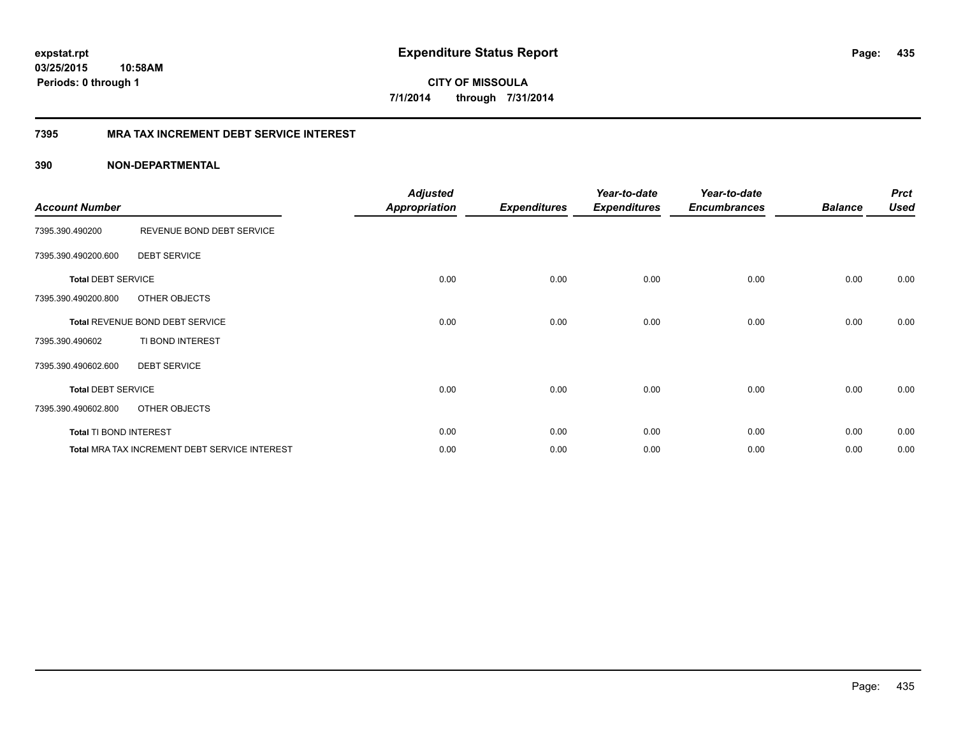**CITY OF MISSOULA 7/1/2014 through 7/31/2014**

#### **7395 MRA TAX INCREMENT DEBT SERVICE INTEREST**

| <b>Account Number</b>     |                                                      | <b>Adjusted</b><br><b>Appropriation</b> | <b>Expenditures</b> | Year-to-date<br><b>Expenditures</b> | Year-to-date<br><b>Encumbrances</b> | <b>Balance</b> | <b>Prct</b><br><b>Used</b> |
|---------------------------|------------------------------------------------------|-----------------------------------------|---------------------|-------------------------------------|-------------------------------------|----------------|----------------------------|
| 7395.390.490200           | REVENUE BOND DEBT SERVICE                            |                                         |                     |                                     |                                     |                |                            |
| 7395.390.490200.600       | <b>DEBT SERVICE</b>                                  |                                         |                     |                                     |                                     |                |                            |
| <b>Total DEBT SERVICE</b> |                                                      | 0.00                                    | 0.00                | 0.00                                | 0.00                                | 0.00           | 0.00                       |
| 7395.390.490200.800       | OTHER OBJECTS                                        |                                         |                     |                                     |                                     |                |                            |
|                           | Total REVENUE BOND DEBT SERVICE                      | 0.00                                    | 0.00                | 0.00                                | 0.00                                | 0.00           | 0.00                       |
| 7395.390.490602           | TI BOND INTEREST                                     |                                         |                     |                                     |                                     |                |                            |
| 7395.390.490602.600       | <b>DEBT SERVICE</b>                                  |                                         |                     |                                     |                                     |                |                            |
| <b>Total DEBT SERVICE</b> |                                                      | 0.00                                    | 0.00                | 0.00                                | 0.00                                | 0.00           | 0.00                       |
| 7395.390.490602.800       | OTHER OBJECTS                                        |                                         |                     |                                     |                                     |                |                            |
| Total TI BOND INTEREST    |                                                      | 0.00                                    | 0.00                | 0.00                                | 0.00                                | 0.00           | 0.00                       |
|                           | <b>Total MRA TAX INCREMENT DEBT SERVICE INTEREST</b> | 0.00                                    | 0.00                | 0.00                                | 0.00                                | 0.00           | 0.00                       |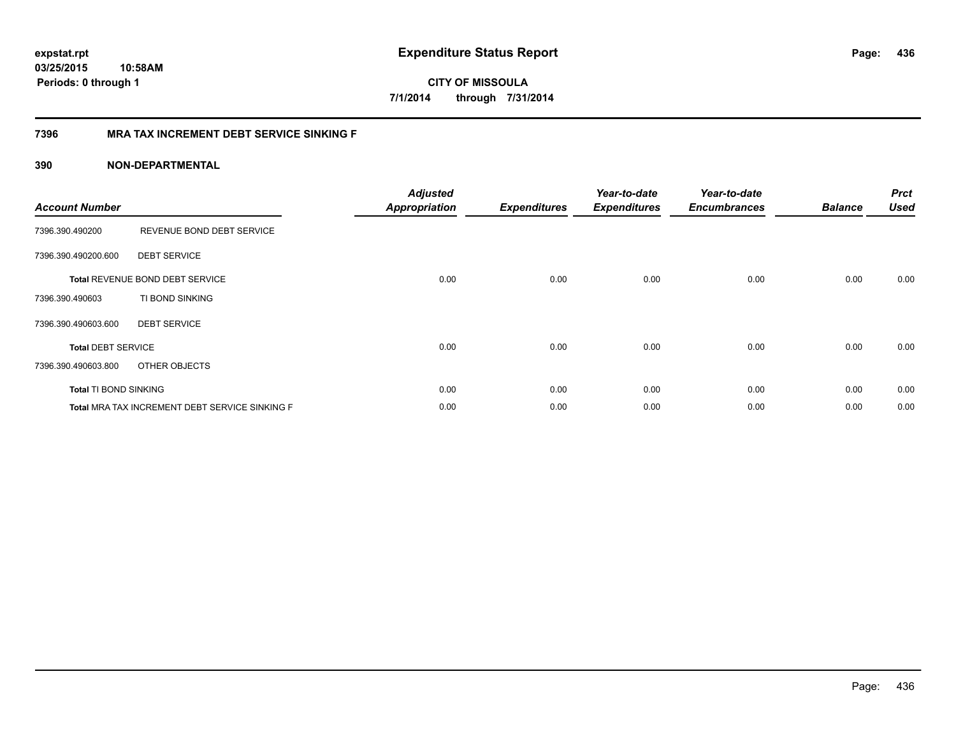**CITY OF MISSOULA 7/1/2014 through 7/31/2014**

#### **7396 MRA TAX INCREMENT DEBT SERVICE SINKING F**

| <b>Account Number</b>     |                                                | <b>Adjusted</b><br><b>Appropriation</b> | <b>Expenditures</b> | Year-to-date<br><b>Expenditures</b> | Year-to-date<br><b>Encumbrances</b> | <b>Balance</b> | <b>Prct</b><br><b>Used</b> |
|---------------------------|------------------------------------------------|-----------------------------------------|---------------------|-------------------------------------|-------------------------------------|----------------|----------------------------|
| 7396.390.490200           | REVENUE BOND DEBT SERVICE                      |                                         |                     |                                     |                                     |                |                            |
| 7396.390.490200.600       | <b>DEBT SERVICE</b>                            |                                         |                     |                                     |                                     |                |                            |
|                           | <b>Total REVENUE BOND DEBT SERVICE</b>         | 0.00                                    | 0.00                | 0.00                                | 0.00                                | 0.00           | 0.00                       |
| 7396.390.490603           | TI BOND SINKING                                |                                         |                     |                                     |                                     |                |                            |
| 7396.390.490603.600       | <b>DEBT SERVICE</b>                            |                                         |                     |                                     |                                     |                |                            |
| <b>Total DEBT SERVICE</b> |                                                | 0.00                                    | 0.00                | 0.00                                | 0.00                                | 0.00           | 0.00                       |
| 7396.390.490603.800       | OTHER OBJECTS                                  |                                         |                     |                                     |                                     |                |                            |
| Total TI BOND SINKING     |                                                | 0.00                                    | 0.00                | 0.00                                | 0.00                                | 0.00           | 0.00                       |
|                           | Total MRA TAX INCREMENT DEBT SERVICE SINKING F | 0.00                                    | 0.00                | 0.00                                | 0.00                                | 0.00           | 0.00                       |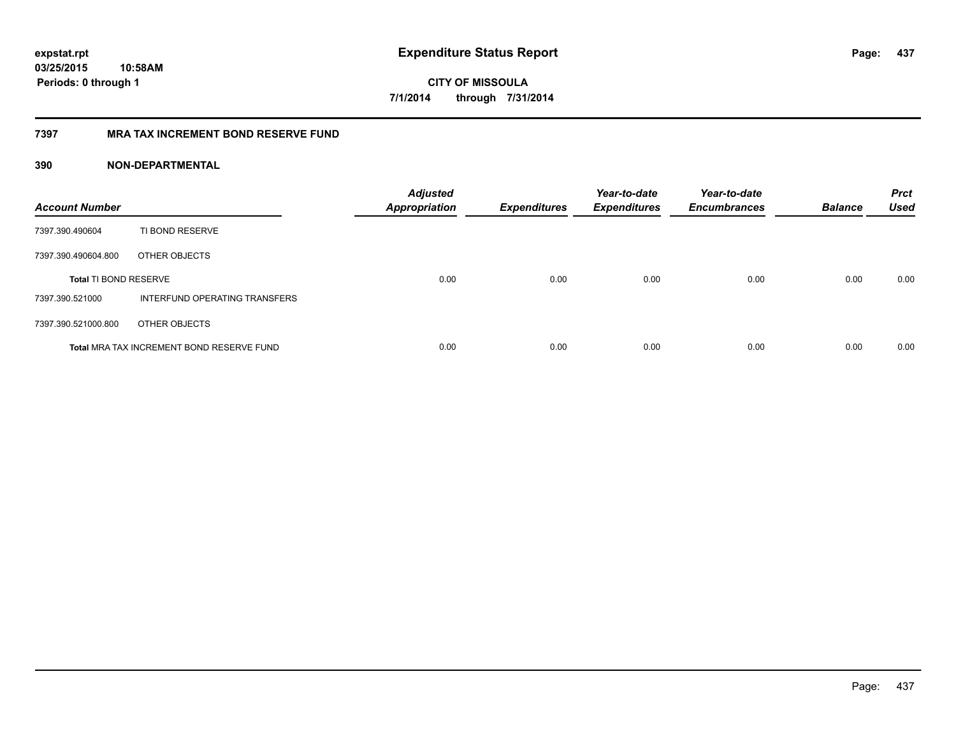#### **7397 MRA TAX INCREMENT BOND RESERVE FUND**

| <b>Account Number</b>        |                                           | <b>Adjusted</b><br><b>Appropriation</b> | <b>Expenditures</b> | Year-to-date<br><b>Expenditures</b> | Year-to-date<br><b>Encumbrances</b> | <b>Balance</b> | <b>Prct</b><br><b>Used</b> |
|------------------------------|-------------------------------------------|-----------------------------------------|---------------------|-------------------------------------|-------------------------------------|----------------|----------------------------|
| 7397.390.490604              | TI BOND RESERVE                           |                                         |                     |                                     |                                     |                |                            |
| 7397.390.490604.800          | OTHER OBJECTS                             |                                         |                     |                                     |                                     |                |                            |
| <b>Total TI BOND RESERVE</b> |                                           | 0.00                                    | 0.00                | 0.00                                | 0.00                                | 0.00           | 0.00                       |
| 7397.390.521000              | INTERFUND OPERATING TRANSFERS             |                                         |                     |                                     |                                     |                |                            |
| 7397.390.521000.800          | OTHER OBJECTS                             |                                         |                     |                                     |                                     |                |                            |
|                              | Total MRA TAX INCREMENT BOND RESERVE FUND | 0.00                                    | 0.00                | 0.00                                | 0.00                                | 0.00           | 0.00                       |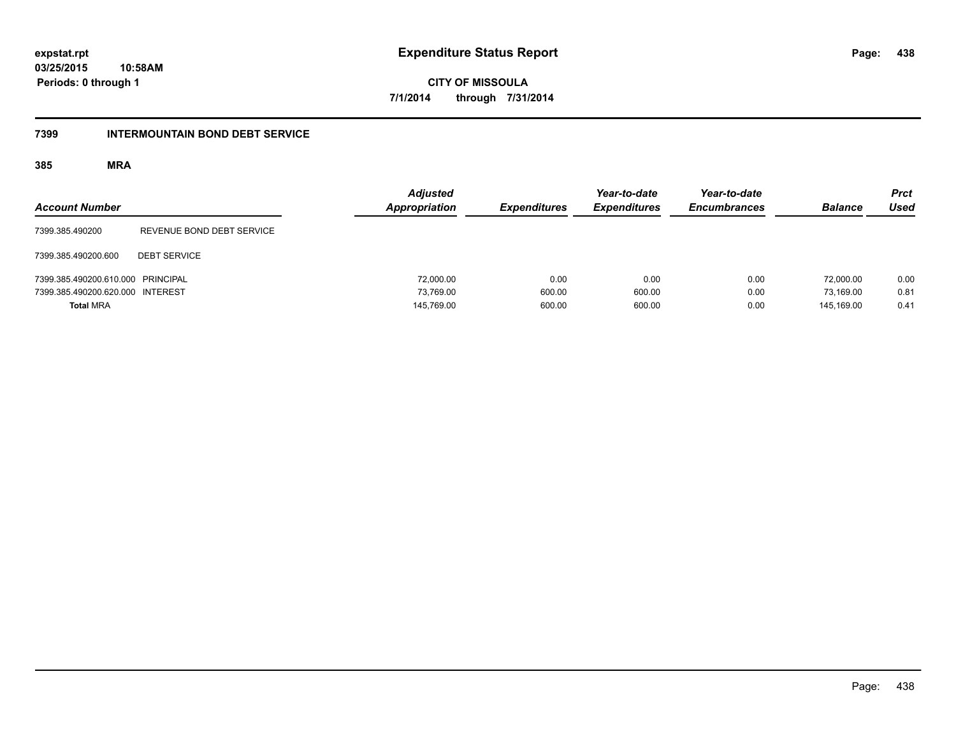**CITY OF MISSOULA 7/1/2014 through 7/31/2014**

#### **7399 INTERMOUNTAIN BOND DEBT SERVICE**

| <b>Account Number</b>             |                           | <b>Adjusted</b><br>Appropriation | <b>Expenditures</b> | Year-to-date<br><b>Expenditures</b> | Year-to-date<br><b>Encumbrances</b> | <b>Balance</b> | <b>Prct</b><br><b>Used</b> |
|-----------------------------------|---------------------------|----------------------------------|---------------------|-------------------------------------|-------------------------------------|----------------|----------------------------|
| 7399.385.490200                   | REVENUE BOND DEBT SERVICE |                                  |                     |                                     |                                     |                |                            |
| 7399.385.490200.600               | <b>DEBT SERVICE</b>       |                                  |                     |                                     |                                     |                |                            |
| 7399.385.490200.610.000 PRINCIPAL |                           | 72,000.00                        | 0.00                | 0.00                                | 0.00                                | 72.000.00      | 0.00                       |
| 7399.385.490200.620.000 INTEREST  |                           | 73.769.00                        | 600.00              | 600.00                              | 0.00                                | 73.169.00      | 0.81                       |
| <b>Total MRA</b>                  |                           | 145,769.00                       | 600.00              | 600.00                              | 0.00                                | 145.169.00     | 0.41                       |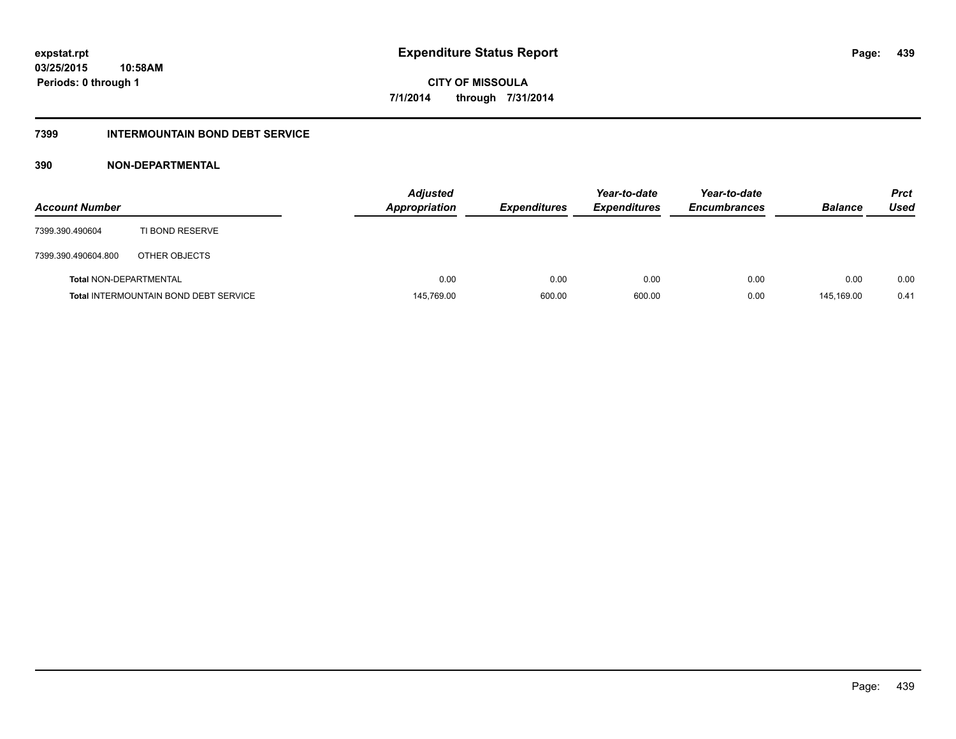#### **7399 INTERMOUNTAIN BOND DEBT SERVICE**

| <b>Account Number</b>         |                                              | <b>Adjusted</b><br>Appropriation | <b>Expenditures</b> | Year-to-date<br><b>Expenditures</b> | Year-to-date<br><b>Encumbrances</b> | <b>Balance</b> | <b>Prct</b><br>Used |
|-------------------------------|----------------------------------------------|----------------------------------|---------------------|-------------------------------------|-------------------------------------|----------------|---------------------|
| 7399.390.490604               | TI BOND RESERVE                              |                                  |                     |                                     |                                     |                |                     |
| 7399.390.490604.800           | OTHER OBJECTS                                |                                  |                     |                                     |                                     |                |                     |
| <b>Total NON-DEPARTMENTAL</b> |                                              | 0.00                             | 0.00                | 0.00                                | 0.00                                | 0.00           | 0.00                |
|                               | <b>Total INTERMOUNTAIN BOND DEBT SERVICE</b> | 145,769.00                       | 600.00              | 600.00                              | 0.00                                | 145.169.00     | 0.41                |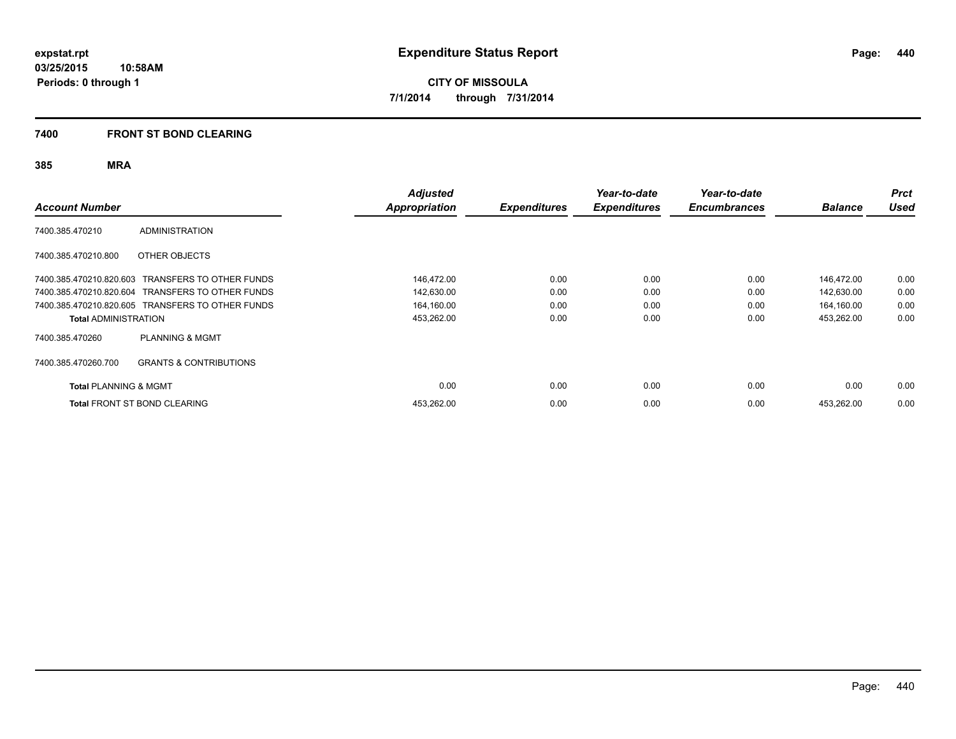#### **7400 FRONT ST BOND CLEARING**

| <b>Account Number</b>            |                                                  | Adjusted<br>Appropriation | <b>Expenditures</b> | Year-to-date<br><b>Expenditures</b> | Year-to-date<br><b>Encumbrances</b> | <b>Balance</b> | <b>Prct</b><br><b>Used</b> |
|----------------------------------|--------------------------------------------------|---------------------------|---------------------|-------------------------------------|-------------------------------------|----------------|----------------------------|
| 7400.385.470210                  | <b>ADMINISTRATION</b>                            |                           |                     |                                     |                                     |                |                            |
| 7400.385.470210.800              | OTHER OBJECTS                                    |                           |                     |                                     |                                     |                |                            |
|                                  | 7400.385.470210.820.603 TRANSFERS TO OTHER FUNDS | 146,472.00                | 0.00                | 0.00                                | 0.00                                | 146,472.00     | 0.00                       |
|                                  | 7400.385.470210.820.604 TRANSFERS TO OTHER FUNDS | 142,630.00                | 0.00                | 0.00                                | 0.00                                | 142,630.00     | 0.00                       |
|                                  | 7400.385.470210.820.605 TRANSFERS TO OTHER FUNDS | 164,160.00                | 0.00                | 0.00                                | 0.00                                | 164,160.00     | 0.00                       |
| <b>Total ADMINISTRATION</b>      |                                                  | 453,262.00                | 0.00                | 0.00                                | 0.00                                | 453,262.00     | 0.00                       |
| 7400.385.470260                  | <b>PLANNING &amp; MGMT</b>                       |                           |                     |                                     |                                     |                |                            |
| 7400.385.470260.700              | <b>GRANTS &amp; CONTRIBUTIONS</b>                |                           |                     |                                     |                                     |                |                            |
| <b>Total PLANNING &amp; MGMT</b> |                                                  | 0.00                      | 0.00                | 0.00                                | 0.00                                | 0.00           | 0.00                       |
|                                  | <b>Total FRONT ST BOND CLEARING</b>              | 453,262.00                | 0.00                | 0.00                                | 0.00                                | 453,262.00     | 0.00                       |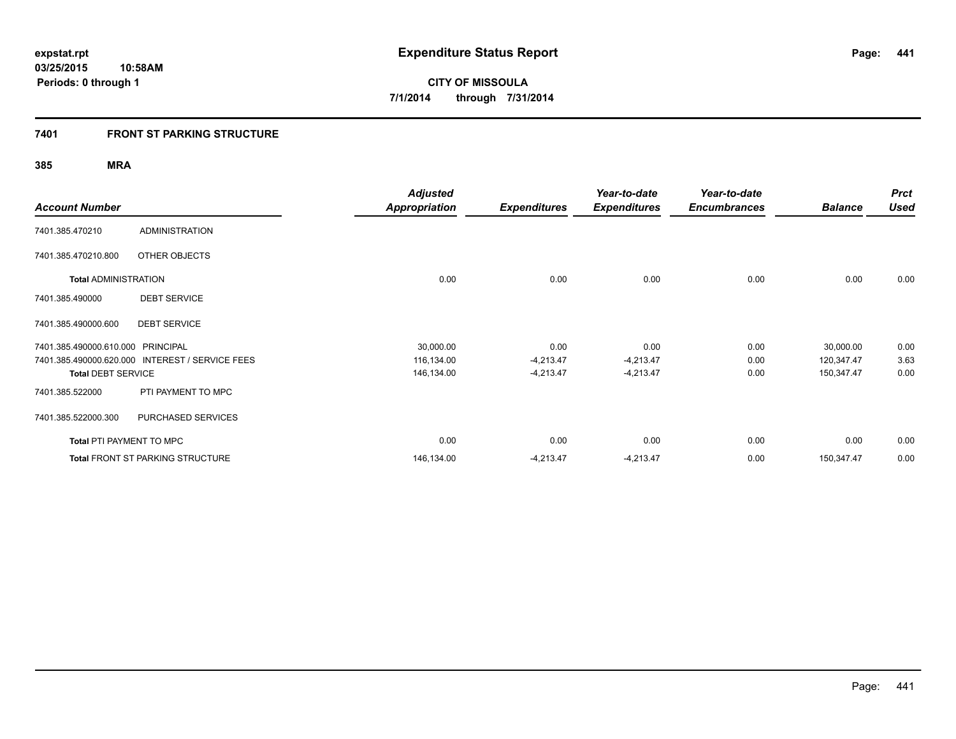#### **7401 FRONT ST PARKING STRUCTURE**

|                                 |                                         | <b>Adjusted</b>      |                     | Year-to-date        | Year-to-date        |                | <b>Prct</b> |
|---------------------------------|-----------------------------------------|----------------------|---------------------|---------------------|---------------------|----------------|-------------|
| <b>Account Number</b>           |                                         | <b>Appropriation</b> | <b>Expenditures</b> | <b>Expenditures</b> | <b>Encumbrances</b> | <b>Balance</b> | <b>Used</b> |
| 7401.385.470210                 | <b>ADMINISTRATION</b>                   |                      |                     |                     |                     |                |             |
| 7401.385.470210.800             | OTHER OBJECTS                           |                      |                     |                     |                     |                |             |
| <b>Total ADMINISTRATION</b>     |                                         | 0.00                 | 0.00                | 0.00                | 0.00                | 0.00           | 0.00        |
| 7401.385.490000                 | <b>DEBT SERVICE</b>                     |                      |                     |                     |                     |                |             |
| 7401.385.490000.600             | <b>DEBT SERVICE</b>                     |                      |                     |                     |                     |                |             |
| 7401.385.490000.610.000         | <b>PRINCIPAL</b>                        | 30,000.00            | 0.00                | 0.00                | 0.00                | 30,000.00      | 0.00        |
| 7401.385.490000.620.000         | <b>INTEREST / SERVICE FEES</b>          | 116,134.00           | $-4,213.47$         | $-4,213.47$         | 0.00                | 120,347.47     | 3.63        |
| <b>Total DEBT SERVICE</b>       |                                         | 146,134.00           | $-4,213.47$         | $-4,213.47$         | 0.00                | 150,347.47     | 0.00        |
| 7401.385.522000                 | PTI PAYMENT TO MPC                      |                      |                     |                     |                     |                |             |
| 7401.385.522000.300             | PURCHASED SERVICES                      |                      |                     |                     |                     |                |             |
| <b>Total PTI PAYMENT TO MPC</b> |                                         | 0.00                 | 0.00                | 0.00                | 0.00                | 0.00           | 0.00        |
|                                 | <b>Total FRONT ST PARKING STRUCTURE</b> | 146,134.00           | $-4,213.47$         | $-4,213.47$         | 0.00                | 150,347.47     | 0.00        |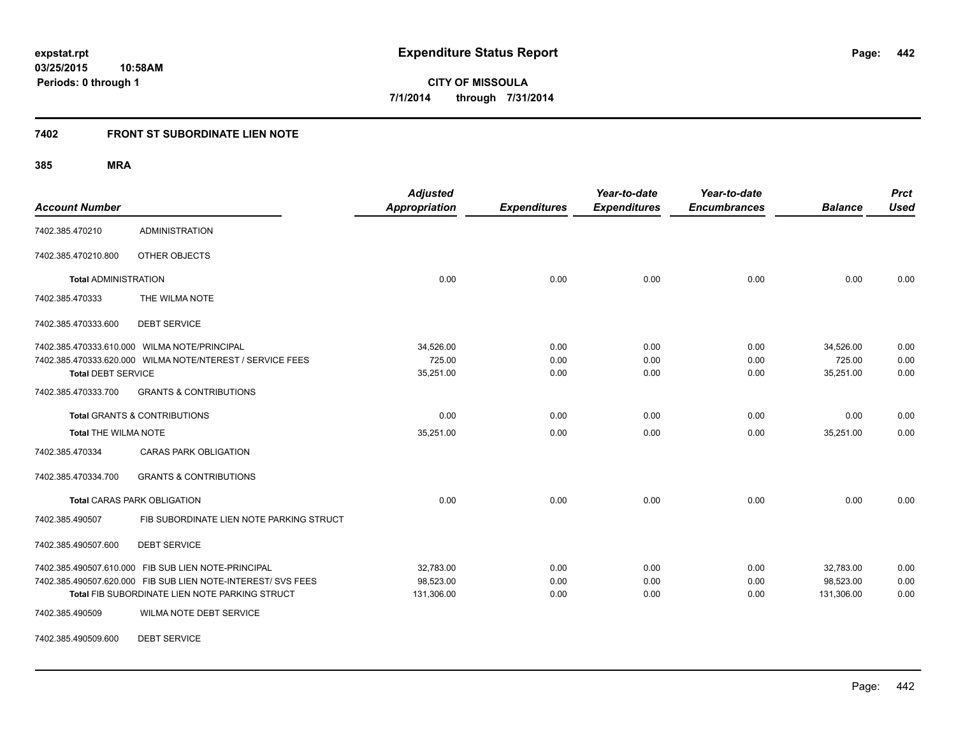#### **7402 FRONT ST SUBORDINATE LIEN NOTE**

**385 MRA**

| <b>Account Number</b>       |                                                                                                                | <b>Adjusted</b><br><b>Appropriation</b> | <b>Expenditures</b> | Year-to-date<br><b>Expenditures</b> | Year-to-date<br><b>Encumbrances</b> | <b>Balance</b>          | <b>Prct</b><br><b>Used</b> |
|-----------------------------|----------------------------------------------------------------------------------------------------------------|-----------------------------------------|---------------------|-------------------------------------|-------------------------------------|-------------------------|----------------------------|
| 7402.385.470210             | <b>ADMINISTRATION</b>                                                                                          |                                         |                     |                                     |                                     |                         |                            |
| 7402.385.470210.800         | OTHER OBJECTS                                                                                                  |                                         |                     |                                     |                                     |                         |                            |
| <b>Total ADMINISTRATION</b> |                                                                                                                | 0.00                                    | 0.00                | 0.00                                | 0.00                                | 0.00                    | 0.00                       |
| 7402.385.470333             | THE WILMA NOTE                                                                                                 |                                         |                     |                                     |                                     |                         |                            |
| 7402.385.470333.600         | <b>DEBT SERVICE</b>                                                                                            |                                         |                     |                                     |                                     |                         |                            |
|                             | 7402.385.470333.610.000 WILMA NOTE/PRINCIPAL                                                                   | 34,526.00                               | 0.00                | 0.00                                | 0.00                                | 34,526.00               | 0.00                       |
| <b>Total DEBT SERVICE</b>   | 7402.385.470333.620.000 WILMA NOTE/NTEREST / SERVICE FEES                                                      | 725.00<br>35,251.00                     | 0.00<br>0.00        | 0.00<br>0.00                        | 0.00<br>0.00                        | 725.00<br>35,251.00     | 0.00<br>0.00               |
| 7402.385.470333.700         | <b>GRANTS &amp; CONTRIBUTIONS</b>                                                                              |                                         |                     |                                     |                                     |                         |                            |
|                             | <b>Total GRANTS &amp; CONTRIBUTIONS</b>                                                                        | 0.00                                    | 0.00                | 0.00                                | 0.00                                | 0.00                    | 0.00                       |
| <b>Total THE WILMA NOTE</b> |                                                                                                                | 35,251.00                               | 0.00                | 0.00                                | 0.00                                | 35,251.00               | 0.00                       |
| 7402.385.470334             | <b>CARAS PARK OBLIGATION</b>                                                                                   |                                         |                     |                                     |                                     |                         |                            |
| 7402.385.470334.700         | <b>GRANTS &amp; CONTRIBUTIONS</b>                                                                              |                                         |                     |                                     |                                     |                         |                            |
|                             | <b>Total CARAS PARK OBLIGATION</b>                                                                             | 0.00                                    | 0.00                | 0.00                                | 0.00                                | 0.00                    | 0.00                       |
| 7402.385.490507             | FIB SUBORDINATE LIEN NOTE PARKING STRUCT                                                                       |                                         |                     |                                     |                                     |                         |                            |
| 7402.385.490507.600         | <b>DEBT SERVICE</b>                                                                                            |                                         |                     |                                     |                                     |                         |                            |
|                             | 7402.385.490507.610.000 FIB SUB LIEN NOTE-PRINCIPAL                                                            | 32,783.00                               | 0.00                | 0.00                                | 0.00                                | 32,783.00               | 0.00                       |
|                             | 7402.385.490507.620.000 FIB SUB LIEN NOTE-INTEREST/ SVS FEES<br>Total FIB SUBORDINATE LIEN NOTE PARKING STRUCT | 98,523.00<br>131,306.00                 | 0.00<br>0.00        | 0.00<br>0.00                        | 0.00<br>0.00                        | 98,523.00<br>131,306.00 | 0.00<br>0.00               |
| 7402.385.490509             | WILMA NOTE DEBT SERVICE                                                                                        |                                         |                     |                                     |                                     |                         |                            |

7402.385.490509.600 DEBT SERVICE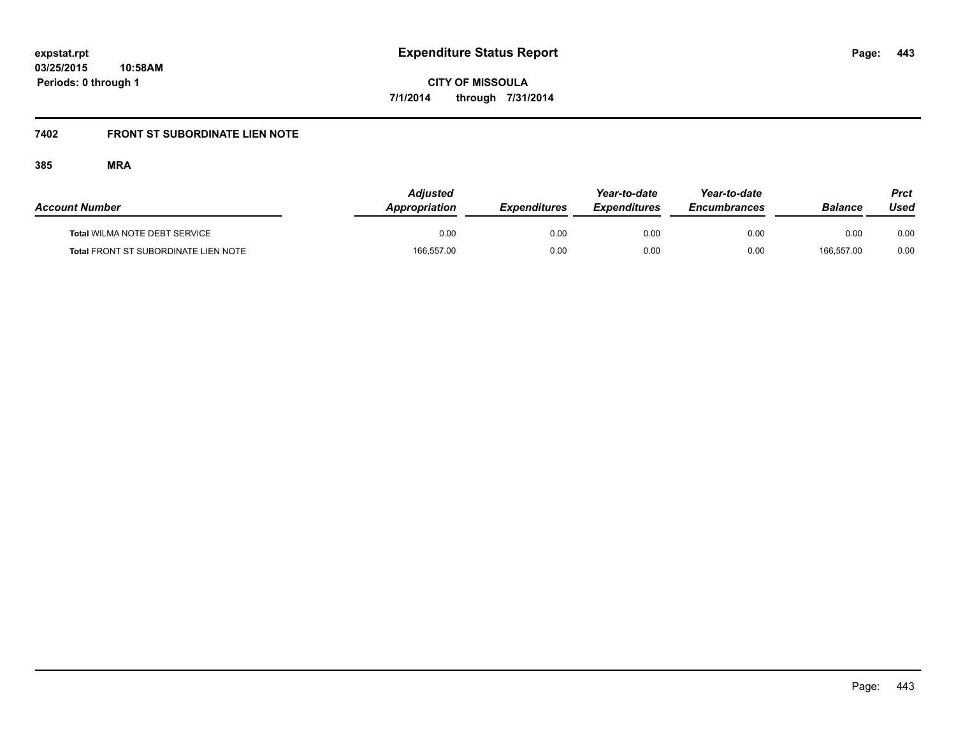# **7402 FRONT ST SUBORDINATE LIEN NOTE**

| <b>Account Number</b>                       | <b>Adjusted</b><br>Appropriation | <b>Expenditures</b> | Year-to-date<br><b>Expenditures</b> | Year-to-date<br><b>Encumbrances</b> | Balance    | Prct<br>Used |
|---------------------------------------------|----------------------------------|---------------------|-------------------------------------|-------------------------------------|------------|--------------|
| <b>Total WILMA NOTE DEBT SERVICE</b>        | 0.00                             | 0.00                | 0.00                                | 0.00                                | 0.00       | 0.00         |
| <b>Total FRONT ST SUBORDINATE LIEN NOTE</b> | 166,557.00                       | 0.00                | 0.00                                | 0.00                                | 166.557.00 | 0.00         |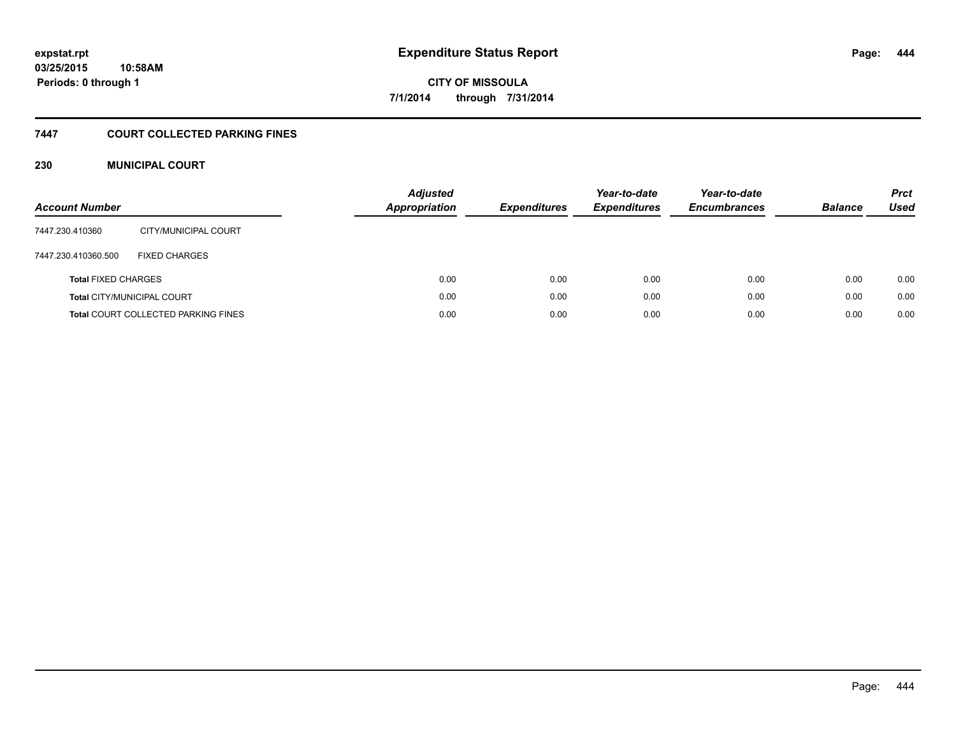#### **7447 COURT COLLECTED PARKING FINES**

#### **230 MUNICIPAL COURT**

| <b>Account Number</b>      |                                            | <b>Adjusted</b><br><b>Appropriation</b> | <b>Expenditures</b> | Year-to-date<br><b>Expenditures</b> | Year-to-date<br><b>Encumbrances</b> | <b>Balance</b> | <b>Prct</b><br>Used |
|----------------------------|--------------------------------------------|-----------------------------------------|---------------------|-------------------------------------|-------------------------------------|----------------|---------------------|
| 7447.230.410360            | CITY/MUNICIPAL COURT                       |                                         |                     |                                     |                                     |                |                     |
| 7447.230.410360.500        | <b>FIXED CHARGES</b>                       |                                         |                     |                                     |                                     |                |                     |
| <b>Total FIXED CHARGES</b> |                                            | 0.00                                    | 0.00                | 0.00                                | 0.00                                | 0.00           | 0.00                |
|                            | <b>Total CITY/MUNICIPAL COURT</b>          | 0.00                                    | 0.00                | 0.00                                | 0.00                                | 0.00           | 0.00                |
|                            | <b>Total COURT COLLECTED PARKING FINES</b> | 0.00                                    | 0.00                | 0.00                                | 0.00                                | 0.00           | 0.00                |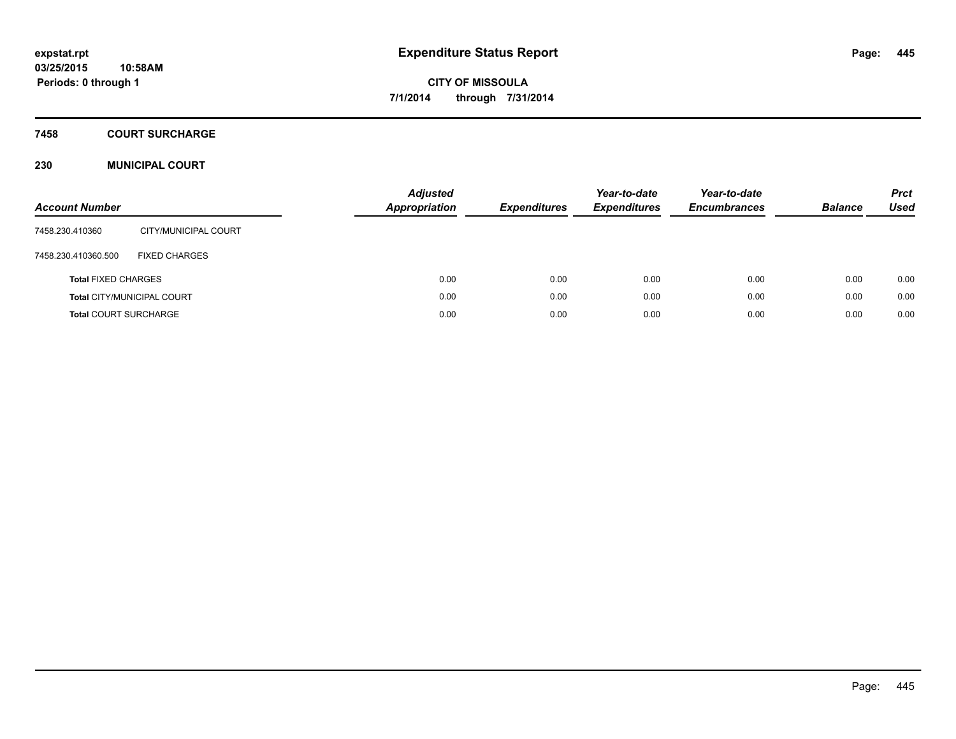### **7458 COURT SURCHARGE**

#### **230 MUNICIPAL COURT**

| <b>Account Number</b>        |                                   | <b>Adjusted</b><br><b>Appropriation</b> | <b>Expenditures</b> | Year-to-date<br><b>Expenditures</b> | Year-to-date<br><b>Encumbrances</b> | <b>Balance</b> | <b>Prct</b><br><b>Used</b> |
|------------------------------|-----------------------------------|-----------------------------------------|---------------------|-------------------------------------|-------------------------------------|----------------|----------------------------|
| 7458.230.410360              | CITY/MUNICIPAL COURT              |                                         |                     |                                     |                                     |                |                            |
| 7458.230.410360.500          | <b>FIXED CHARGES</b>              |                                         |                     |                                     |                                     |                |                            |
| <b>Total FIXED CHARGES</b>   |                                   | 0.00                                    | 0.00                | 0.00                                | 0.00                                | 0.00           | 0.00                       |
|                              | <b>Total CITY/MUNICIPAL COURT</b> | 0.00                                    | 0.00                | 0.00                                | 0.00                                | 0.00           | 0.00                       |
| <b>Total COURT SURCHARGE</b> |                                   | 0.00                                    | 0.00                | 0.00                                | 0.00                                | 0.00           | 0.00                       |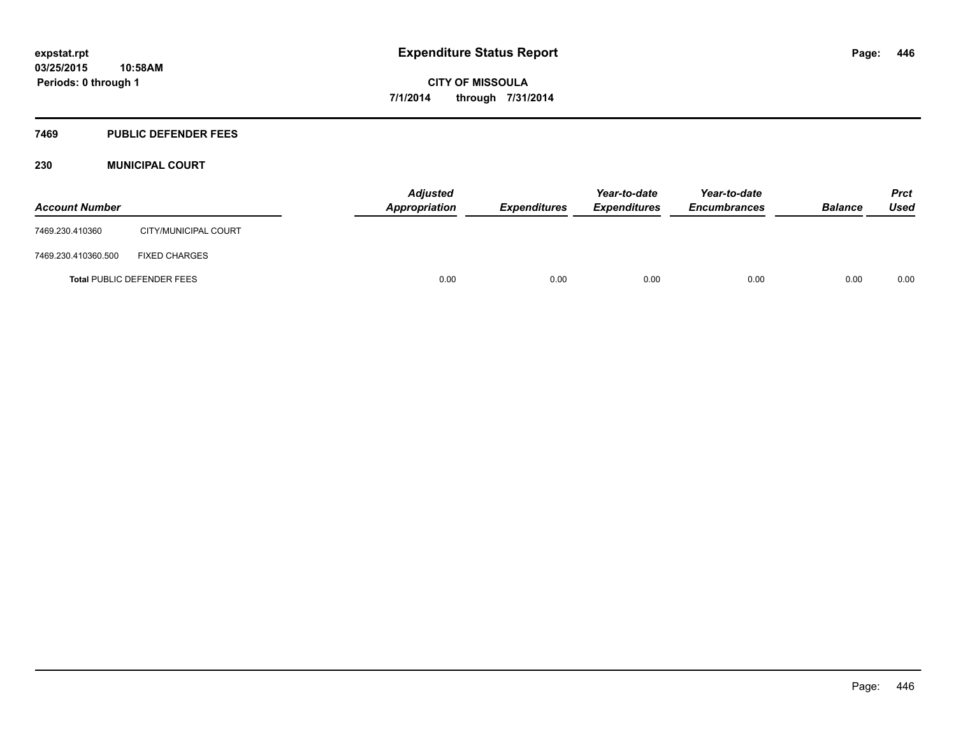#### **7469 PUBLIC DEFENDER FEES**

#### **230 MUNICIPAL COURT**

| <b>Account Number</b> |                                   | <b>Adjusted</b><br>Appropriation | <b>Expenditures</b> | Year-to-date<br><b>Expenditures</b> | Year-to-date<br><b>Encumbrances</b> | <b>Balance</b> | <b>Prct</b><br><b>Used</b> |
|-----------------------|-----------------------------------|----------------------------------|---------------------|-------------------------------------|-------------------------------------|----------------|----------------------------|
| 7469.230.410360       | CITY/MUNICIPAL COURT              |                                  |                     |                                     |                                     |                |                            |
| 7469.230.410360.500   | <b>FIXED CHARGES</b>              |                                  |                     |                                     |                                     |                |                            |
|                       | <b>Total PUBLIC DEFENDER FEES</b> | 0.00                             | 0.00                | 0.00                                | 0.00                                | 0.00           | 0.00                       |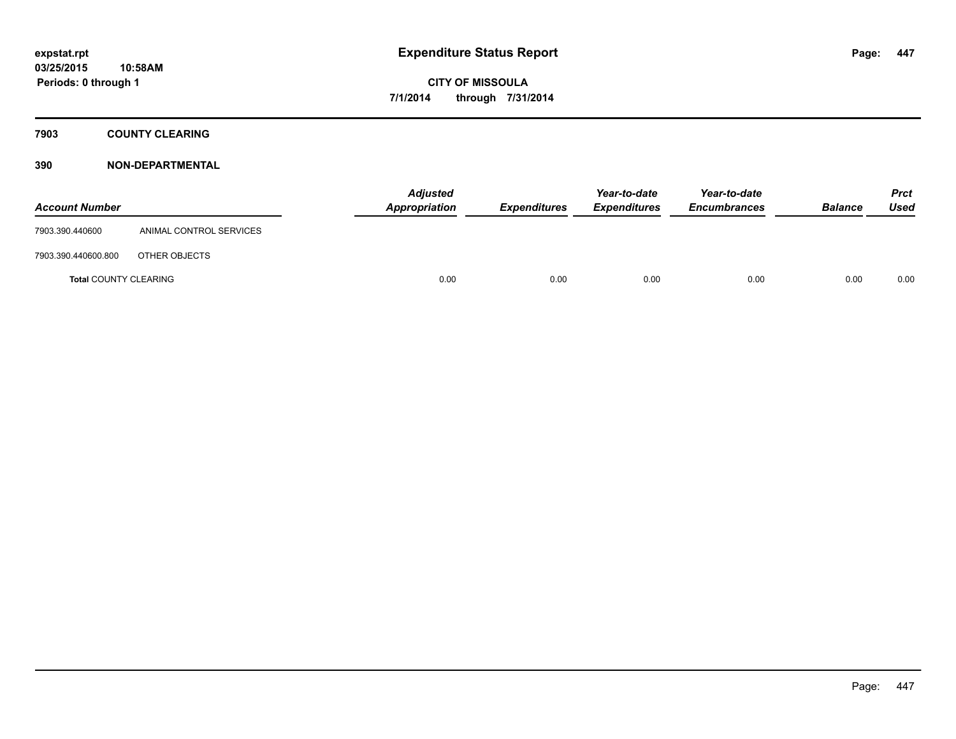#### **7903 COUNTY CLEARING**

| <b>Account Number</b>        |                         | <b>Adjusted</b><br><b>Appropriation</b> | <b>Expenditures</b> | Year-to-date<br><b>Expenditures</b> | Year-to-date<br><b>Encumbrances</b> | <b>Balance</b> | Prct<br><b>Used</b> |
|------------------------------|-------------------------|-----------------------------------------|---------------------|-------------------------------------|-------------------------------------|----------------|---------------------|
| 7903.390.440600              | ANIMAL CONTROL SERVICES |                                         |                     |                                     |                                     |                |                     |
| 7903.390.440600.800          | OTHER OBJECTS           |                                         |                     |                                     |                                     |                |                     |
| <b>Total COUNTY CLEARING</b> |                         | 0.00                                    | 0.00                | 0.00                                | 0.00                                | 0.00           | 0.00                |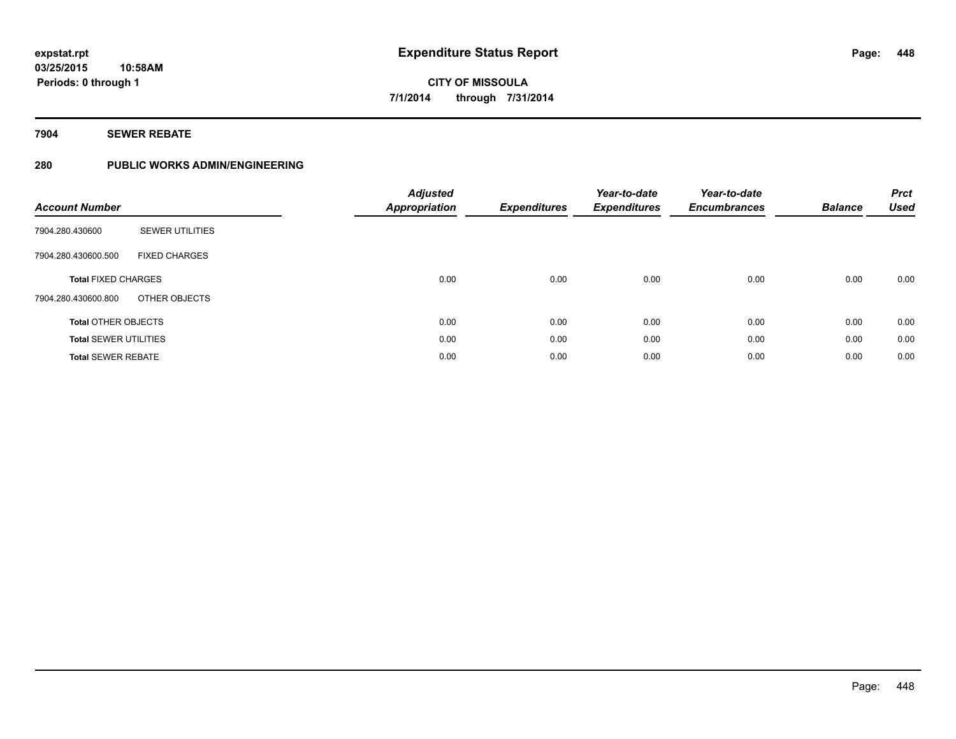#### **7904 SEWER REBATE**

#### **280 PUBLIC WORKS ADMIN/ENGINEERING**

| <b>Account Number</b>        |                        | <b>Adjusted</b><br><b>Appropriation</b> | <b>Expenditures</b> | Year-to-date<br><b>Expenditures</b> | Year-to-date<br><b>Encumbrances</b> | <b>Balance</b> | <b>Prct</b><br><b>Used</b> |
|------------------------------|------------------------|-----------------------------------------|---------------------|-------------------------------------|-------------------------------------|----------------|----------------------------|
| 7904.280.430600              | <b>SEWER UTILITIES</b> |                                         |                     |                                     |                                     |                |                            |
| 7904.280.430600.500          | <b>FIXED CHARGES</b>   |                                         |                     |                                     |                                     |                |                            |
| <b>Total FIXED CHARGES</b>   |                        | 0.00                                    | 0.00                | 0.00                                | 0.00                                | 0.00           | 0.00                       |
| 7904.280.430600.800          | OTHER OBJECTS          |                                         |                     |                                     |                                     |                |                            |
| <b>Total OTHER OBJECTS</b>   |                        | 0.00                                    | 0.00                | 0.00                                | 0.00                                | 0.00           | 0.00                       |
| <b>Total SEWER UTILITIES</b> |                        | 0.00                                    | 0.00                | 0.00                                | 0.00                                | 0.00           | 0.00                       |
| <b>Total SEWER REBATE</b>    |                        | 0.00                                    | 0.00                | 0.00                                | 0.00                                | 0.00           | 0.00                       |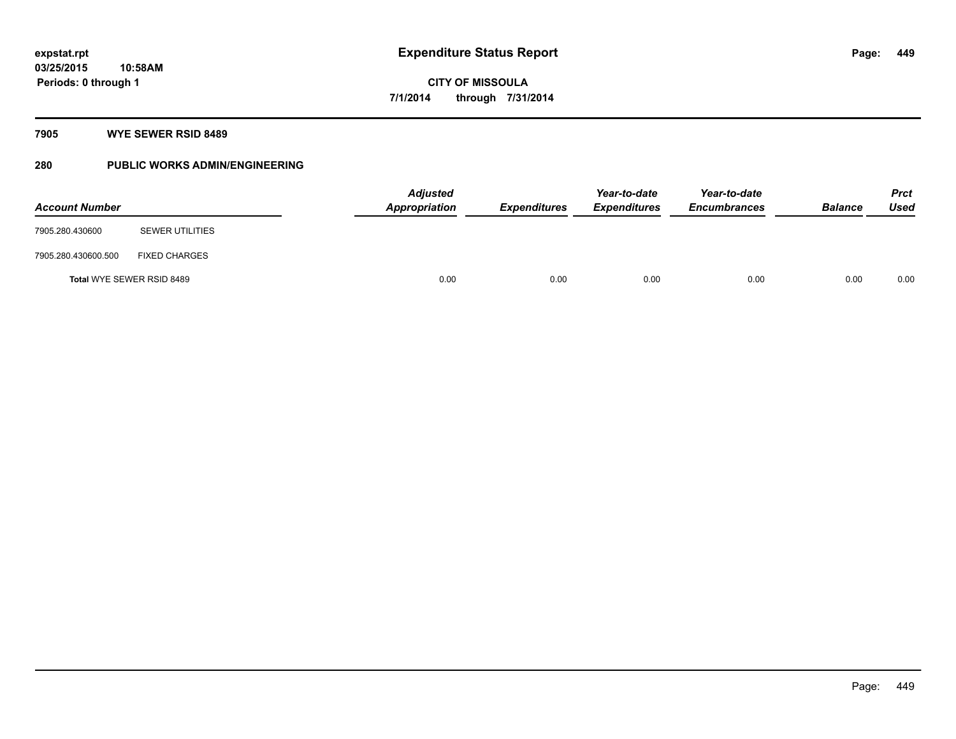#### **7905 WYE SEWER RSID 8489**

### **280 PUBLIC WORKS ADMIN/ENGINEERING**

| <b>Account Number</b> |                           | <b>Adjusted</b><br><b>Appropriation</b> | <b>Expenditures</b> | Year-to-date<br><b>Expenditures</b> | Year-to-date<br><b>Encumbrances</b> | <b>Balance</b> | <b>Prct</b><br><b>Used</b> |
|-----------------------|---------------------------|-----------------------------------------|---------------------|-------------------------------------|-------------------------------------|----------------|----------------------------|
| 7905.280.430600       | <b>SEWER UTILITIES</b>    |                                         |                     |                                     |                                     |                |                            |
| 7905.280.430600.500   | <b>FIXED CHARGES</b>      |                                         |                     |                                     |                                     |                |                            |
|                       | Total WYE SEWER RSID 8489 | 0.00                                    | 0.00                | 0.00                                | 0.00                                | 0.00           | 0.00                       |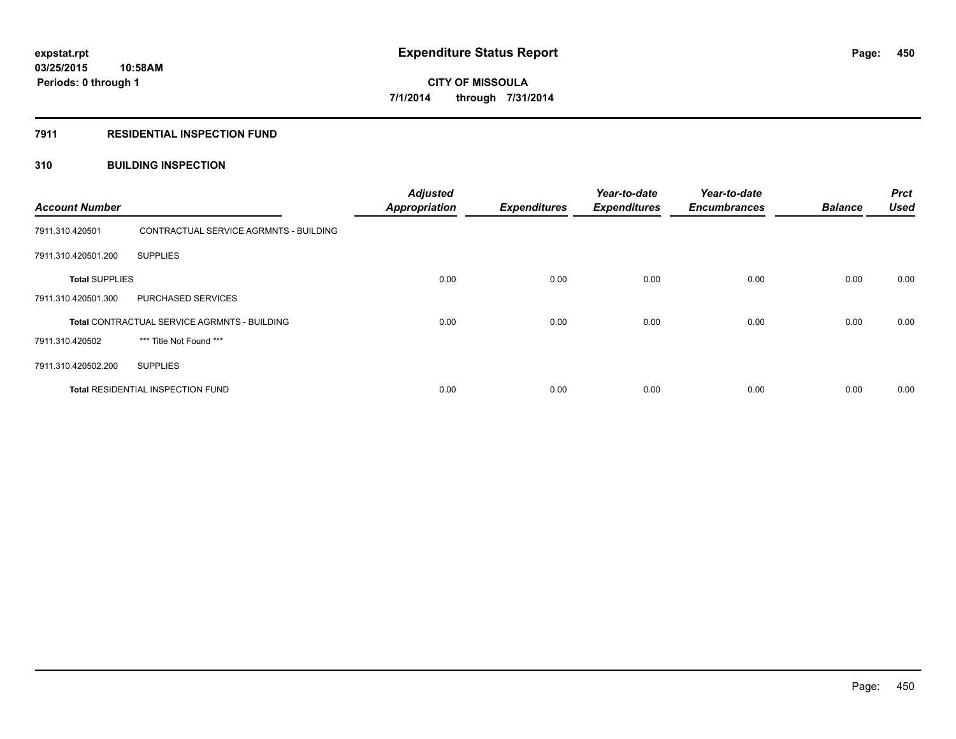#### **7911 RESIDENTIAL INSPECTION FUND**

#### **310 BUILDING INSPECTION**

| <b>Account Number</b> |                                              | <b>Adjusted</b><br><b>Appropriation</b> | <b>Expenditures</b> | Year-to-date<br><b>Expenditures</b> | Year-to-date<br><b>Encumbrances</b> | <b>Balance</b> | <b>Prct</b><br><b>Used</b> |
|-----------------------|----------------------------------------------|-----------------------------------------|---------------------|-------------------------------------|-------------------------------------|----------------|----------------------------|
| 7911.310.420501       | CONTRACTUAL SERVICE AGRMNTS - BUILDING       |                                         |                     |                                     |                                     |                |                            |
| 7911.310.420501.200   | <b>SUPPLIES</b>                              |                                         |                     |                                     |                                     |                |                            |
| <b>Total SUPPLIES</b> |                                              | 0.00                                    | 0.00                | 0.00                                | 0.00                                | 0.00           | 0.00                       |
| 7911.310.420501.300   | <b>PURCHASED SERVICES</b>                    |                                         |                     |                                     |                                     |                |                            |
|                       | Total CONTRACTUAL SERVICE AGRMNTS - BUILDING | 0.00                                    | 0.00                | 0.00                                | 0.00                                | 0.00           | 0.00                       |
| 7911.310.420502       | *** Title Not Found ***                      |                                         |                     |                                     |                                     |                |                            |
| 7911.310.420502.200   | <b>SUPPLIES</b>                              |                                         |                     |                                     |                                     |                |                            |
|                       | <b>Total RESIDENTIAL INSPECTION FUND</b>     | 0.00                                    | 0.00                | 0.00                                | 0.00                                | 0.00           | 0.00                       |